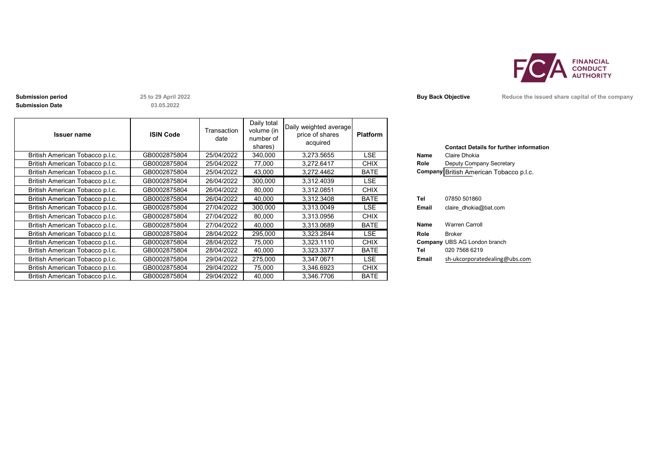

**Submission Date**

**03.05.2022**

| <b>Issuer name</b>              | <b>ISIN Code</b> | Transaction<br>date | Daily total<br>volume (in<br>number of<br>shares) | Daily weighted average<br>price of shares<br>acquired | <b>Platform</b> |       | <b>Contact Details for further inforn</b> |
|---------------------------------|------------------|---------------------|---------------------------------------------------|-------------------------------------------------------|-----------------|-------|-------------------------------------------|
| British American Tobacco p.l.c. | GB0002875804     | 25/04/2022          | 340,000                                           | 3.273.5655                                            | LSE             | Name  | Claire Dhokia                             |
| British American Tobacco p.l.c. | GB0002875804     | 25/04/2022          | 77,000                                            | 3,272.6417                                            | <b>CHIX</b>     | Role  | Deputy Company Secretary                  |
| British American Tobacco p.l.c. | GB0002875804     | 25/04/2022          | 43,000                                            | 3,272.4462                                            | <b>BATE</b>     |       | Company British American Tobacco p.l.c.   |
| British American Tobacco p.l.c. | GB0002875804     | 26/04/2022          | 300,000                                           | 3.312.4039                                            | LSE.            |       |                                           |
| British American Tobacco p.l.c. | GB0002875804     | 26/04/2022          | 80,000                                            | 3,312.0851                                            | <b>CHIX</b>     |       |                                           |
| British American Tobacco p.l.c. | GB0002875804     | 26/04/2022          | 40,000                                            | 3,312.3408                                            | <b>BATE</b>     | Tel   | 07850 501860                              |
| British American Tobacco p.l.c. | GB0002875804     | 27/04/2022          | 300,000                                           | 3,313.0049                                            | LSE.            | Email | claire dhokia@bat.com                     |
| British American Tobacco p.l.c. | GB0002875804     | 27/04/2022          | 80,000                                            | 3,313.0956                                            | <b>CHIX</b>     |       |                                           |
| British American Tobacco p.l.c. | GB0002875804     | 27/04/2022          | 40,000                                            | 3,313.0689                                            | <b>BATE</b>     | Name  | <b>Warren Carroll</b>                     |
| British American Tobacco p.l.c. | GB0002875804     | 28/04/2022          | 295,000                                           | 3,323.2844                                            | LSE.            | Role  | <b>Broker</b>                             |
| British American Tobacco p.l.c. | GB0002875804     | 28/04/2022          | 75,000                                            | 3,323.1110                                            | <b>CHIX</b>     |       | <b>Company UBS AG London branch</b>       |
| British American Tobacco p.l.c. | GB0002875804     | 28/04/2022          | 40,000                                            | 3,323.3377                                            | <b>BATE</b>     | Tel   | 020 7568 6219                             |
| British American Tobacco p.l.c. | GB0002875804     | 29/04/2022          | 275,000                                           | 3,347.0671                                            | LSE.            | Email | sh-ukcorporatedealing@ubs.com             |
| British American Tobacco p.l.c. | GB0002875804     | 29/04/2022          | 75,000                                            | 3,346.6923                                            | <b>CHIX</b>     |       |                                           |
| British American Tobacco p.l.c. | GB0002875804     | 29/04/2022          | 40.000                                            | 3.346.7706                                            | <b>BATE</b>     |       |                                           |

**Submission period 25 to 29 April 2022 Buy Back Objective Reduce the issued share capital of the company** 

|       | <b>Contact Details for further information</b> |
|-------|------------------------------------------------|
| Name  | Claire Dhokia                                  |
| Role  | Deputy Company Secretary                       |
|       | Company British American Tobacco p.l.c.        |
|       |                                                |
|       |                                                |
| Tel   | 07850 501860                                   |
| Email | claire dhokia@bat.com                          |
|       |                                                |
| Name  | <b>Warren Carroll</b>                          |
| Role  | <b>Broker</b>                                  |
|       | <b>Company UBS AG London branch</b>            |
| Tel   | 020 7568 6219                                  |
| Email | sh-ukcorporatedealing@ubs.com                  |
|       |                                                |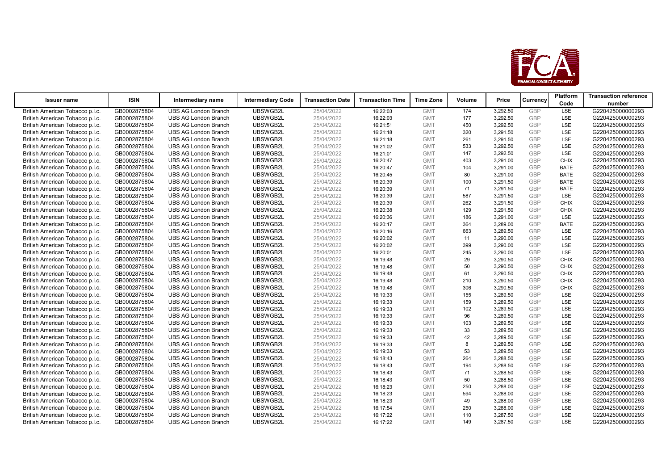

| <b>Issuer name</b>              | <b>ISIN</b>  | Intermediary name           | <b>Intermediary Code</b> | <b>Transaction Date</b> | <b>Transaction Time</b> | <b>Time Zone</b> | Volume | Price    | Currency   | Platform    | <b>Transaction reference</b> |
|---------------------------------|--------------|-----------------------------|--------------------------|-------------------------|-------------------------|------------------|--------|----------|------------|-------------|------------------------------|
|                                 |              |                             |                          |                         |                         |                  |        |          |            | Code        | number                       |
| British American Tobacco p.l.c. | GB0002875804 | <b>UBS AG London Branch</b> | UBSWGB2L                 | 25/04/2022              | 16:22:03                | <b>GMT</b>       | 174    | 3,292.50 | <b>GBP</b> | <b>LSE</b>  | G220425000000293             |
| British American Tobacco p.l.c. | GB0002875804 | <b>UBS AG London Branch</b> | UBSWGB2L                 | 25/04/2022              | 16:22:03                | <b>GMT</b>       | 177    | 3,292.50 | <b>GBP</b> | <b>LSE</b>  | G220425000000293             |
| British American Tobacco p.l.c. | GB0002875804 | <b>UBS AG London Branch</b> | UBSWGB2L                 | 25/04/2022              | 16:21:51                | <b>GMT</b>       | 450    | 3,292.50 | <b>GBP</b> | <b>LSE</b>  | G220425000000293             |
| British American Tobacco p.l.c. | GB0002875804 | <b>UBS AG London Branch</b> | UBSWGB2L                 | 25/04/2022              | 16:21:18                | <b>GMT</b>       | 320    | 3,291.50 | <b>GBP</b> | <b>LSE</b>  | G220425000000293             |
| British American Tobacco p.l.c. | GB0002875804 | <b>UBS AG London Branch</b> | UBSWGB2L                 | 25/04/2022              | 16:21:18                | <b>GMT</b>       | 261    | 3,291.50 | <b>GBP</b> | <b>LSE</b>  | G220425000000293             |
| British American Tobacco p.l.c. | GB0002875804 | <b>UBS AG London Branch</b> | UBSWGB2L                 | 25/04/2022              | 16:21:02                | <b>GMT</b>       | 533    | 3,292.50 | <b>GBP</b> | <b>LSE</b>  | G220425000000293             |
| British American Tobacco p.l.c. | GB0002875804 | <b>UBS AG London Branch</b> | UBSWGB2L                 | 25/04/2022              | 16:21:01                | <b>GMT</b>       | 147    | 3,292.50 | GBP        | <b>LSE</b>  | G220425000000293             |
| British American Tobacco p.l.c. | GB0002875804 | <b>UBS AG London Branch</b> | UBSWGB2L                 | 25/04/2022              | 16:20:47                | <b>GMT</b>       | 403    | 3,291.00 | <b>GBP</b> | <b>CHIX</b> | G220425000000293             |
| British American Tobacco p.l.c. | GB0002875804 | <b>UBS AG London Branch</b> | UBSWGB2L                 | 25/04/2022              | 16:20:47                | <b>GMT</b>       | 104    | 3,291.00 | <b>GBP</b> | <b>BATE</b> | G220425000000293             |
| British American Tobacco p.l.c. | GB0002875804 | <b>UBS AG London Branch</b> | UBSWGB2L                 | 25/04/2022              | 16:20:45                | <b>GMT</b>       | 80     | 3,291.00 | <b>GBP</b> | <b>BATE</b> | G220425000000293             |
| British American Tobacco p.l.c. | GB0002875804 | <b>UBS AG London Branch</b> | UBSWGB2L                 | 25/04/2022              | 16:20:39                | <b>GMT</b>       | 100    | 3,291.50 | <b>GBP</b> | <b>BATE</b> | G220425000000293             |
| British American Tobacco p.l.c. | GB0002875804 | <b>UBS AG London Branch</b> | UBSWGB2L                 | 25/04/2022              | 16:20:39                | <b>GMT</b>       | 71     | 3,291.50 | <b>GBP</b> | <b>BATE</b> | G220425000000293             |
| British American Tobacco p.l.c. | GB0002875804 | <b>UBS AG London Branch</b> | UBSWGB2L                 | 25/04/2022              | 16:20:39                | <b>GMT</b>       | 587    | 3,291.50 | <b>GBP</b> | <b>LSE</b>  | G220425000000293             |
| British American Tobacco p.l.c. | GB0002875804 | <b>UBS AG London Branch</b> | UBSWGB2L                 | 25/04/2022              | 16:20:39                | <b>GMT</b>       | 262    | 3,291.50 | <b>GBP</b> | <b>CHIX</b> | G220425000000293             |
| British American Tobacco p.l.c. | GB0002875804 | <b>UBS AG London Branch</b> | UBSWGB2L                 | 25/04/2022              | 16:20:38                | <b>GMT</b>       | 129    | 3,291.50 | <b>GBP</b> | <b>CHIX</b> | G220425000000293             |
| British American Tobacco p.l.c. | GB0002875804 | <b>UBS AG London Branch</b> | UBSWGB2L                 | 25/04/2022              | 16:20:36                | <b>GMT</b>       | 186    | 3,291.00 | <b>GBP</b> | <b>LSE</b>  | G220425000000293             |
| British American Tobacco p.l.c. | GB0002875804 | <b>UBS AG London Branch</b> | UBSWGB2L                 | 25/04/2022              | 16:20:17                | <b>GMT</b>       | 364    | 3,289.00 | <b>GBP</b> | <b>BATE</b> | G220425000000293             |
| British American Tobacco p.l.c. | GB0002875804 | <b>UBS AG London Branch</b> | UBSWGB2L                 | 25/04/2022              | 16:20:16                | <b>GMT</b>       | 663    | 3,289.50 | <b>GBP</b> | <b>LSE</b>  | G220425000000293             |
| British American Tobacco p.l.c. | GB0002875804 | <b>UBS AG London Branch</b> | UBSWGB2L                 | 25/04/2022              | 16:20:02                | <b>GMT</b>       | 11     | 3,290.00 | <b>GBP</b> | <b>LSE</b>  | G220425000000293             |
| British American Tobacco p.l.c. | GB0002875804 | <b>UBS AG London Branch</b> | UBSWGB2L                 | 25/04/2022              | 16:20:02                | <b>GMT</b>       | 399    | 3,290.00 | <b>GBP</b> | <b>LSE</b>  | G220425000000293             |
| British American Tobacco p.l.c. | GB0002875804 | <b>UBS AG London Branch</b> | UBSWGB2L                 | 25/04/2022              | 16:20:01                | <b>GMT</b>       | 245    | 3,290.00 | <b>GBP</b> | <b>LSE</b>  | G220425000000293             |
| British American Tobacco p.l.c. | GB0002875804 | <b>UBS AG London Branch</b> | UBSWGB2L                 | 25/04/2022              | 16:19:48                | <b>GMT</b>       | 29     | 3,290.50 | <b>GBP</b> | <b>CHIX</b> | G220425000000293             |
| British American Tobacco p.l.c. | GB0002875804 | <b>UBS AG London Branch</b> | UBSWGB2L                 | 25/04/2022              | 16:19:48                | <b>GMT</b>       | 50     | 3,290.50 | <b>GBP</b> | <b>CHIX</b> | G220425000000293             |
| British American Tobacco p.l.c. | GB0002875804 | <b>UBS AG London Branch</b> | UBSWGB2L                 | 25/04/2022              | 16:19:48                | <b>GMT</b>       | 61     | 3,290.50 | <b>GBP</b> | <b>CHIX</b> | G220425000000293             |
| British American Tobacco p.l.c. | GB0002875804 | <b>UBS AG London Branch</b> | UBSWGB2L                 | 25/04/2022              | 16:19:48                | <b>GMT</b>       | 210    | 3,290.50 | <b>GBP</b> | <b>CHIX</b> | G220425000000293             |
| British American Tobacco p.l.c. | GB0002875804 | <b>UBS AG London Branch</b> | UBSWGB2L                 | 25/04/2022              | 16:19:48                | <b>GMT</b>       | 306    | 3,290.50 | <b>GBP</b> | <b>CHIX</b> | G220425000000293             |
| British American Tobacco p.l.c. | GB0002875804 | <b>UBS AG London Branch</b> | UBSWGB2L                 | 25/04/2022              | 16:19:33                | <b>GMT</b>       | 155    | 3,289.50 | <b>GBP</b> | <b>LSE</b>  | G220425000000293             |
| British American Tobacco p.l.c. | GB0002875804 | <b>UBS AG London Branch</b> | UBSWGB2L                 | 25/04/2022              | 16:19:33                | <b>GMT</b>       | 159    | 3,289.50 | <b>GBP</b> | LSE         | G220425000000293             |
| British American Tobacco p.l.c. | GB0002875804 | <b>UBS AG London Branch</b> | UBSWGB2L                 | 25/04/2022              | 16:19:33                | <b>GMT</b>       | 102    | 3,289.50 | <b>GBP</b> | <b>LSE</b>  | G220425000000293             |
| British American Tobacco p.l.c. | GB0002875804 | <b>UBS AG London Branch</b> | UBSWGB2L                 | 25/04/2022              | 16:19:33                | <b>GMT</b>       | 96     | 3,289.50 | <b>GBP</b> | <b>LSE</b>  | G220425000000293             |
| British American Tobacco p.l.c. | GB0002875804 | <b>UBS AG London Branch</b> | UBSWGB2L                 | 25/04/2022              | 16:19:33                | <b>GMT</b>       | 103    | 3,289.50 | <b>GBP</b> | <b>LSE</b>  | G220425000000293             |
| British American Tobacco p.l.c. | GB0002875804 | <b>UBS AG London Branch</b> | UBSWGB2L                 | 25/04/2022              | 16:19:33                | <b>GMT</b>       | 33     | 3,289.50 | <b>GBP</b> | <b>LSE</b>  | G220425000000293             |
| British American Tobacco p.l.c. | GB0002875804 | <b>UBS AG London Branch</b> | UBSWGB2L                 | 25/04/2022              | 16:19:33                | <b>GMT</b>       | 42     | 3,289.50 | <b>GBP</b> | <b>LSE</b>  | G220425000000293             |
| British American Tobacco p.l.c. | GB0002875804 | <b>UBS AG London Branch</b> | UBSWGB2L                 | 25/04/2022              | 16:19:33                | <b>GMT</b>       | 8      | 3,289.50 | <b>GBP</b> | <b>LSE</b>  | G220425000000293             |
| British American Tobacco p.l.c. | GB0002875804 | <b>UBS AG London Branch</b> | UBSWGB2L                 | 25/04/2022              | 16:19:33                | <b>GMT</b>       | 53     | 3,289.50 | <b>GBP</b> | <b>LSE</b>  | G220425000000293             |
| British American Tobacco p.l.c. | GB0002875804 | <b>UBS AG London Branch</b> | UBSWGB2L                 | 25/04/2022              | 16:18:43                | <b>GMT</b>       | 264    | 3,288.50 | <b>GBP</b> | <b>LSE</b>  | G220425000000293             |
| British American Tobacco p.l.c. | GB0002875804 | <b>UBS AG London Branch</b> | UBSWGB2L                 | 25/04/2022              | 16:18:43                | <b>GMT</b>       | 194    | 3,288.50 | <b>GBP</b> | <b>LSE</b>  | G220425000000293             |
| British American Tobacco p.l.c. | GB0002875804 | <b>UBS AG London Branch</b> | UBSWGB2L                 | 25/04/2022              | 16:18:43                | <b>GMT</b>       | 71     | 3,288.50 | <b>GBP</b> | <b>LSE</b>  | G220425000000293             |
| British American Tobacco p.l.c. | GB0002875804 | <b>UBS AG London Branch</b> | UBSWGB2L                 | 25/04/2022              | 16:18:43                | <b>GMT</b>       | 50     | 3,288.50 | <b>GBP</b> | <b>LSE</b>  | G220425000000293             |
| British American Tobacco p.l.c. | GB0002875804 | <b>UBS AG London Branch</b> | UBSWGB2L                 | 25/04/2022              | 16:18:23                | <b>GMT</b>       | 250    | 3,288.00 | <b>GBP</b> | <b>LSE</b>  | G220425000000293             |
| British American Tobacco p.l.c. | GB0002875804 | <b>UBS AG London Branch</b> | UBSWGB2L                 | 25/04/2022              | 16:18:23                | <b>GMT</b>       | 594    | 3,288.00 | <b>GBP</b> | <b>LSE</b>  | G220425000000293             |
| British American Tobacco p.l.c. | GB0002875804 | <b>UBS AG London Branch</b> | UBSWGB2L                 | 25/04/2022              | 16:18:23                | <b>GMT</b>       | 49     | 3,288.00 | <b>GBP</b> | <b>LSE</b>  | G220425000000293             |
| British American Tobacco p.l.c. | GB0002875804 | <b>UBS AG London Branch</b> | UBSWGB2L                 | 25/04/2022              | 16:17:54                | <b>GMT</b>       | 250    | 3,288.00 | <b>GBP</b> | <b>LSE</b>  | G220425000000293             |
| British American Tobacco p.l.c. | GB0002875804 | <b>UBS AG London Branch</b> | UBSWGB2L                 | 25/04/2022              | 16:17:22                | <b>GMT</b>       | 110    | 3,287.50 | <b>GBP</b> | <b>LSE</b>  | G220425000000293             |
| British American Tobacco p.l.c. | GB0002875804 | <b>UBS AG London Branch</b> | UBSWGB2L                 | 25/04/2022              | 16:17:22                | <b>GMT</b>       | 149    | 3,287.50 | GBP        | <b>LSE</b>  | G220425000000293             |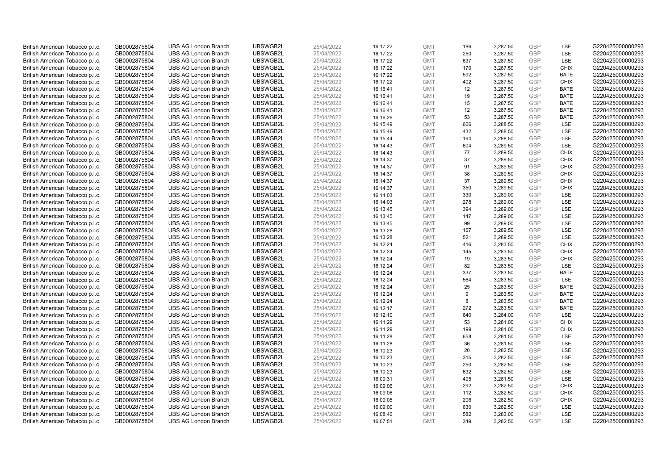| British American Tobacco p.l.c. | GB0002875804 | <b>UBS AG London Branch</b> | UBSWGB2L | 25/04/2022 | 16:17:22 | <b>GMT</b> | 186 | 3,287.50 | <b>GBP</b> | LSE         | G220425000000293 |
|---------------------------------|--------------|-----------------------------|----------|------------|----------|------------|-----|----------|------------|-------------|------------------|
| British American Tobacco p.l.c. | GB0002875804 | <b>UBS AG London Branch</b> | UBSWGB2L | 25/04/2022 | 16:17:22 | <b>GMT</b> | 250 | 3,287.50 | <b>GBP</b> | LSE         | G220425000000293 |
| British American Tobacco p.l.c. | GB0002875804 | <b>UBS AG London Branch</b> | UBSWGB2L | 25/04/2022 | 16:17:22 | <b>GMT</b> | 637 | 3,287.50 | <b>GBP</b> | LSE         | G220425000000293 |
| British American Tobacco p.l.c. | GB0002875804 | <b>UBS AG London Branch</b> | UBSWGB2L | 25/04/2022 | 16:17:22 | <b>GMT</b> | 170 | 3,287.50 | <b>GBP</b> | <b>CHIX</b> | G220425000000293 |
| British American Tobacco p.l.c. | GB0002875804 | <b>UBS AG London Branch</b> | UBSWGB2L | 25/04/2022 | 16:17:22 | <b>GMT</b> | 592 | 3,287.50 | <b>GBP</b> | <b>BATE</b> | G220425000000293 |
| British American Tobacco p.l.c. | GB0002875804 | <b>UBS AG London Branch</b> | UBSWGB2L | 25/04/2022 | 16:17:22 | <b>GMT</b> | 402 | 3,287.50 | <b>GBP</b> | <b>CHIX</b> | G220425000000293 |
| British American Tobacco p.l.c. | GB0002875804 | <b>UBS AG London Branch</b> | UBSWGB2L | 25/04/2022 | 16:16:41 | <b>GMT</b> | 12  | 3,287.50 | <b>GBP</b> | <b>BATE</b> | G220425000000293 |
| British American Tobacco p.l.c. | GB0002875804 | <b>UBS AG London Branch</b> | UBSWGB2L | 25/04/2022 | 16:16:41 | <b>GMT</b> | 19  | 3,287.50 | GBP        | <b>BATE</b> | G220425000000293 |
| British American Tobacco p.l.c. | GB0002875804 | <b>UBS AG London Branch</b> | UBSWGB2L | 25/04/2022 | 16:16:41 | <b>GMT</b> | 15  | 3,287.50 | <b>GBP</b> | <b>BATE</b> | G220425000000293 |
| British American Tobacco p.l.c. | GB0002875804 | <b>UBS AG London Branch</b> | UBSWGB2L | 25/04/2022 | 16:16:41 | <b>GMT</b> | 12  | 3,287.50 | <b>GBP</b> | <b>BATE</b> | G220425000000293 |
| British American Tobacco p.l.c. | GB0002875804 | <b>UBS AG London Branch</b> | UBSWGB2L | 25/04/2022 | 16:16:26 | <b>GMT</b> | 53  | 3,287.50 | <b>GBP</b> | <b>BATE</b> | G220425000000293 |
| British American Tobacco p.l.c. | GB0002875804 | <b>UBS AG London Branch</b> | UBSWGB2L | 25/04/2022 | 16:15:49 | <b>GMT</b> | 666 | 3,288.50 | <b>GBP</b> | LSE         | G220425000000293 |
| British American Tobacco p.l.c. | GB0002875804 | <b>UBS AG London Branch</b> | UBSWGB2L | 25/04/2022 | 16:15:49 | <b>GMT</b> | 432 | 3,288.50 | <b>GBP</b> | LSE         | G220425000000293 |
| British American Tobacco p.l.c. | GB0002875804 | <b>UBS AG London Branch</b> | UBSWGB2L | 25/04/2022 | 16:15:44 | <b>GMT</b> | 194 | 3,288.50 | <b>GBP</b> | LSE         | G220425000000293 |
| British American Tobacco p.l.c. | GB0002875804 | <b>UBS AG London Branch</b> | UBSWGB2L | 25/04/2022 | 16:14:43 | <b>GMT</b> | 604 | 3,289.50 | <b>GBP</b> | LSE         | G220425000000293 |
| British American Tobacco p.l.c. | GB0002875804 | <b>UBS AG London Branch</b> | UBSWGB2L | 25/04/2022 | 16:14:43 | <b>GMT</b> | 77  | 3,289.50 | <b>GBP</b> | <b>CHIX</b> | G220425000000293 |
| British American Tobacco p.l.c. | GB0002875804 | <b>UBS AG London Branch</b> | UBSWGB2L | 25/04/2022 | 16:14:37 | <b>GMT</b> | 37  | 3,289.50 | <b>GBP</b> | <b>CHIX</b> | G220425000000293 |
| British American Tobacco p.l.c. | GB0002875804 | <b>UBS AG London Branch</b> | UBSWGB2L | 25/04/2022 | 16:14:37 | <b>GMT</b> | 91  | 3,289.50 | <b>GBP</b> | <b>CHIX</b> | G220425000000293 |
| British American Tobacco p.l.c. | GB0002875804 | <b>UBS AG London Branch</b> | UBSWGB2L | 25/04/2022 | 16:14:37 | <b>GMT</b> | 38  | 3,289.50 | <b>GBP</b> | <b>CHIX</b> | G220425000000293 |
| British American Tobacco p.l.c. | GB0002875804 | <b>UBS AG London Branch</b> | UBSWGB2L | 25/04/2022 | 16:14:37 | <b>GMT</b> | 37  | 3,289.50 | <b>GBP</b> | <b>CHIX</b> | G220425000000293 |
| British American Tobacco p.l.c. | GB0002875804 | <b>UBS AG London Branch</b> | UBSWGB2L | 25/04/2022 | 16:14:37 | <b>GMT</b> | 350 | 3,289.50 | <b>GBP</b> | <b>CHIX</b> | G220425000000293 |
| British American Tobacco p.l.c. | GB0002875804 | <b>UBS AG London Branch</b> | UBSWGB2L | 25/04/2022 | 16:14:03 | <b>GMT</b> | 330 | 3,289.00 | <b>GBP</b> | LSE         | G220425000000293 |
| British American Tobacco p.l.c. | GB0002875804 | <b>UBS AG London Branch</b> | UBSWGB2L | 25/04/2022 | 16:14:03 | <b>GMT</b> | 278 | 3,289.00 | <b>GBP</b> | LSE         | G220425000000293 |
| British American Tobacco p.l.c. | GB0002875804 | <b>UBS AG London Branch</b> | UBSWGB2L | 25/04/2022 | 16:13:45 | <b>GMT</b> | 394 | 3,289.00 | <b>GBP</b> | LSE         | G220425000000293 |
| British American Tobacco p.l.c. | GB0002875804 | <b>UBS AG London Branch</b> | UBSWGB2L | 25/04/2022 | 16:13:45 | <b>GMT</b> | 147 | 3,289.00 | <b>GBP</b> | LSE         | G220425000000293 |
| British American Tobacco p.l.c. | GB0002875804 | <b>UBS AG London Branch</b> | UBSWGB2L | 25/04/2022 | 16:13:45 | <b>GMT</b> | 99  | 3,289.00 | <b>GBP</b> | LSE         | G220425000000293 |
| British American Tobacco p.l.c. | GB0002875804 | <b>UBS AG London Branch</b> | UBSWGB2L | 25/04/2022 | 16:13:28 | <b>GMT</b> | 167 | 3,289.50 | <b>GBP</b> | LSE         | G220425000000293 |
| British American Tobacco p.l.c. | GB0002875804 | <b>UBS AG London Branch</b> | UBSWGB2L | 25/04/2022 | 16:13:28 | <b>GMT</b> | 521 | 3,289.50 | <b>GBP</b> | LSE         | G220425000000293 |
| British American Tobacco p.l.c. | GB0002875804 | <b>UBS AG London Branch</b> | UBSWGB2L | 25/04/2022 | 16:12:24 | <b>GMT</b> | 416 | 3,283.50 | <b>GBP</b> | <b>CHIX</b> | G220425000000293 |
| British American Tobacco p.l.c. | GB0002875804 | <b>UBS AG London Branch</b> | UBSWGB2L | 25/04/2022 | 16:12:24 | <b>GMT</b> | 145 | 3,283.50 | <b>GBP</b> | <b>CHIX</b> | G220425000000293 |
| British American Tobacco p.l.c. | GB0002875804 | <b>UBS AG London Branch</b> | UBSWGB2L | 25/04/2022 | 16:12:24 | <b>GMT</b> | 19  | 3,283.50 | <b>GBP</b> | <b>CHIX</b> | G220425000000293 |
| British American Tobacco p.l.c. | GB0002875804 | <b>UBS AG London Branch</b> | UBSWGB2L | 25/04/2022 | 16:12:24 | <b>GMT</b> | 82  | 3,283.50 | <b>GBP</b> | LSE         | G220425000000293 |
| British American Tobacco p.l.c. | GB0002875804 | <b>UBS AG London Branch</b> | UBSWGB2L | 25/04/2022 | 16:12:24 | <b>GMT</b> | 337 | 3,283.50 | <b>GBP</b> | <b>BATE</b> | G220425000000293 |
| British American Tobacco p.l.c. | GB0002875804 | <b>UBS AG London Branch</b> | UBSWGB2L | 25/04/2022 | 16:12:24 | <b>GMT</b> | 564 | 3,283.50 | <b>GBP</b> | LSE         | G220425000000293 |
| British American Tobacco p.l.c. | GB0002875804 | UBS AG London Branch        | UBSWGB2L | 25/04/2022 | 16:12:24 | <b>GMT</b> | 25  | 3,283.50 | <b>GBP</b> | <b>BATE</b> | G220425000000293 |
| British American Tobacco p.l.c. | GB0002875804 | <b>UBS AG London Branch</b> | UBSWGB2L | 25/04/2022 | 16:12:24 | <b>GMT</b> | 9   | 3,283.50 | <b>GBP</b> | <b>BATE</b> | G220425000000293 |
| British American Tobacco p.l.c. | GB0002875804 | <b>UBS AG London Branch</b> | UBSWGB2L | 25/04/2022 | 16:12:24 | <b>GMT</b> | 8   | 3,283.50 | <b>GBP</b> | <b>BATE</b> | G220425000000293 |
| British American Tobacco p.l.c. | GB0002875804 | <b>UBS AG London Branch</b> | UBSWGB2L | 25/04/2022 | 16:12:17 | <b>GMT</b> | 272 | 3,283.50 | <b>GBP</b> | <b>BATE</b> | G220425000000293 |
| British American Tobacco p.l.c. | GB0002875804 | <b>UBS AG London Branch</b> | UBSWGB2L | 25/04/2022 | 16:12:10 | <b>GMT</b> | 640 | 3,284.00 | <b>GBP</b> | LSE         | G220425000000293 |
| British American Tobacco p.l.c. | GB0002875804 | <b>UBS AG London Branch</b> | UBSWGB2L | 25/04/2022 | 16:11:29 | <b>GMT</b> | 53  | 3,281.00 | <b>GBP</b> | <b>CHIX</b> | G220425000000293 |
| British American Tobacco p.l.c. | GB0002875804 | <b>UBS AG London Branch</b> | UBSWGB2L | 25/04/2022 | 16:11:29 | <b>GMT</b> | 199 | 3,281.00 | <b>GBP</b> | <b>CHIX</b> | G220425000000293 |
| British American Tobacco p.l.c. | GB0002875804 | <b>UBS AG London Branch</b> | UBSWGB2L | 25/04/2022 | 16:11:28 | <b>GMT</b> | 658 | 3,281.50 | <b>GBP</b> | LSE         | G220425000000293 |
| British American Tobacco p.l.c. | GB0002875804 | <b>UBS AG London Branch</b> | UBSWGB2L | 25/04/2022 | 16:11:28 | <b>GMT</b> | 36  | 3,281.50 | <b>GBP</b> | LSE         | G220425000000293 |
| British American Tobacco p.l.c. | GB0002875804 | <b>UBS AG London Branch</b> | UBSWGB2L | 25/04/2022 | 16:10:23 | <b>GMT</b> | 20  | 3,282.50 | <b>GBP</b> | LSE         | G220425000000293 |
| British American Tobacco p.l.c. | GB0002875804 | <b>UBS AG London Branch</b> | UBSWGB2L | 25/04/2022 | 16:10:23 | <b>GMT</b> | 315 | 3,282.50 | <b>GBP</b> | LSE         | G220425000000293 |
| British American Tobacco p.l.c. | GB0002875804 | <b>UBS AG London Branch</b> | UBSWGB2L | 25/04/2022 | 16:10:23 | <b>GMT</b> | 250 | 3,282.50 | <b>GBP</b> | LSE         | G220425000000293 |
| British American Tobacco p.l.c. | GB0002875804 | <b>UBS AG London Branch</b> | UBSWGB2L | 25/04/2022 | 16:10:23 | <b>GMT</b> | 632 | 3,282.50 | <b>GBP</b> | LSE         | G220425000000293 |
| British American Tobacco p.l.c. | GB0002875804 | <b>UBS AG London Branch</b> | UBSWGB2L | 25/04/2022 | 16:09:31 | <b>GMT</b> | 495 | 3,281.50 | <b>GBP</b> | LSE         | G220425000000293 |
| British American Tobacco p.l.c. | GB0002875804 | <b>UBS AG London Branch</b> | UBSWGB2L | 25/04/2022 | 16:09:06 | <b>GMT</b> | 292 | 3,282.50 | <b>GBP</b> | <b>CHIX</b> | G220425000000293 |
| British American Tobacco p.l.c. | GB0002875804 | <b>UBS AG London Branch</b> | UBSWGB2L | 25/04/2022 | 16:09:06 | <b>GMT</b> | 112 | 3,282.50 | <b>GBP</b> | <b>CHIX</b> | G220425000000293 |
| British American Tobacco p.l.c. | GB0002875804 | <b>UBS AG London Branch</b> | UBSWGB2L | 25/04/2022 | 16:09:05 | <b>GMT</b> | 206 | 3,282.50 | <b>GBP</b> | <b>CHIX</b> | G220425000000293 |
| British American Tobacco p.l.c. | GB0002875804 | <b>UBS AG London Branch</b> | UBSWGB2L | 25/04/2022 | 16:09:00 | <b>GMT</b> | 630 | 3,282.50 | <b>GBP</b> | LSE         | G220425000000293 |
| British American Tobacco p.l.c. | GB0002875804 | <b>UBS AG London Branch</b> | UBSWGB2L | 25/04/2022 | 16:08:46 | <b>GMT</b> | 582 | 3,283.00 | <b>GBP</b> | LSE         | G220425000000293 |
| British American Tobacco p.l.c. | GB0002875804 | <b>UBS AG London Branch</b> | UBSWGB2L | 25/04/2022 | 16:07:51 | <b>GMT</b> | 349 | 3,282.50 | GBP        | <b>LSE</b>  | G220425000000293 |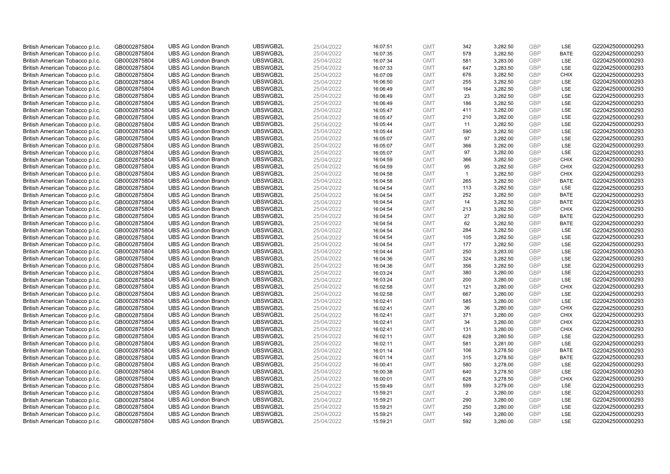| British American Tobacco p.l.c. | GB0002875804 | <b>UBS AG London Branch</b> | UBSWGB2L | 25/04/2022 | 16:07:51 | <b>GMT</b> | 342          | 3,282.50 | <b>GBP</b>               | LSE                        | G220425000000293 |
|---------------------------------|--------------|-----------------------------|----------|------------|----------|------------|--------------|----------|--------------------------|----------------------------|------------------|
| British American Tobacco p.l.c. | GB0002875804 | <b>UBS AG London Branch</b> | UBSWGB2L | 25/04/2022 | 16:07:35 | <b>GMT</b> | 578          | 3,282.50 | GBP                      | <b>BATE</b>                | G220425000000293 |
| British American Tobacco p.l.c. | GB0002875804 | <b>UBS AG London Branch</b> | UBSWGB2L | 25/04/2022 | 16:07:34 | <b>GMT</b> | 581          | 3,283.00 | <b>GBP</b>               | LSE                        | G220425000000293 |
|                                 |              |                             | UBSWGB2L |            |          |            |              |          | <b>GBP</b>               |                            |                  |
| British American Tobacco p.l.c. | GB0002875804 | <b>UBS AG London Branch</b> |          | 25/04/2022 | 16:07:33 | <b>GMT</b> | 647          | 3,283.50 |                          | LSE                        | G220425000000293 |
| British American Tobacco p.l.c. | GB0002875804 | <b>UBS AG London Branch</b> | UBSWGB2L | 25/04/2022 | 16:07:09 | <b>GMT</b> | 676          | 3,282.50 | <b>GBP</b>               | <b>CHIX</b>                | G220425000000293 |
| British American Tobacco p.l.c. | GB0002875804 | <b>UBS AG London Branch</b> | UBSWGB2L | 25/04/2022 | 16:06:50 | <b>GMT</b> | 255          | 3,282.50 | <b>GBP</b>               | LSE                        | G220425000000293 |
| British American Tobacco p.l.c. | GB0002875804 | <b>UBS AG London Branch</b> | UBSWGB2L | 25/04/2022 | 16:06:49 | <b>GMT</b> | 164          | 3,282.50 | <b>GBP</b>               | LSE                        | G220425000000293 |
| British American Tobacco p.l.c. | GB0002875804 | <b>UBS AG London Branch</b> | UBSWGB2L | 25/04/2022 | 16:06:49 | <b>GMT</b> | 23           | 3,282.50 | <b>GBP</b>               | LSE                        | G220425000000293 |
| British American Tobacco p.l.c. | GB0002875804 | <b>UBS AG London Branch</b> | UBSWGB2L | 25/04/2022 | 16:06:49 | <b>GMT</b> | 186          | 3,282.50 | <b>GBP</b>               | LSE                        | G220425000000293 |
| British American Tobacco p.l.c. | GB0002875804 | <b>UBS AG London Branch</b> | UBSWGB2L | 25/04/2022 | 16:05:47 | <b>GMT</b> | 411          | 3,282.00 | <b>GBP</b>               | LSE                        | G220425000000293 |
| British American Tobacco p.l.c. | GB0002875804 | <b>UBS AG London Branch</b> | UBSWGB2L | 25/04/2022 | 16:05:47 | <b>GMT</b> | 210          | 3,282.00 | <b>GBP</b>               | LSE                        | G220425000000293 |
| British American Tobacco p.l.c. | GB0002875804 | <b>UBS AG London Branch</b> | UBSWGB2L | 25/04/2022 | 16:05:44 | <b>GMT</b> | 11           | 3,282.50 | <b>GBP</b>               | LSE                        | G220425000000293 |
| British American Tobacco p.l.c. | GB0002875804 | <b>UBS AG London Branch</b> | UBSWGB2L | 25/04/2022 | 16:05:44 | <b>GMT</b> | 590          | 3,282.50 | <b>GBP</b>               | <b>LSE</b>                 | G220425000000293 |
| British American Tobacco p.l.c. | GB0002875804 | <b>UBS AG London Branch</b> | UBSWGB2L | 25/04/2022 | 16:05:07 | <b>GMT</b> | 97           | 3,282.00 | <b>GBP</b>               | LSE                        | G220425000000293 |
| British American Tobacco p.l.c. | GB0002875804 | <b>UBS AG London Branch</b> | UBSWGB2L | 25/04/2022 | 16:05:07 | <b>GMT</b> | 366          | 3,282.00 | <b>GBP</b>               | <b>LSE</b>                 | G220425000000293 |
| British American Tobacco p.l.c. | GB0002875804 | <b>UBS AG London Branch</b> | UBSWGB2L | 25/04/2022 | 16:05:07 | <b>GMT</b> | 97           | 3,282.00 | <b>GBP</b>               | LSE                        | G220425000000293 |
| British American Tobacco p.l.c. | GB0002875804 | <b>UBS AG London Branch</b> | UBSWGB2L | 25/04/2022 | 16:04:59 | <b>GMT</b> | 366          | 3,282.50 | <b>GBP</b>               | <b>CHIX</b>                | G220425000000293 |
| British American Tobacco p.l.c. | GB0002875804 | <b>UBS AG London Branch</b> | UBSWGB2L | 25/04/2022 | 16:04:59 | <b>GMT</b> | 95           | 3,282.50 | <b>GBP</b>               | <b>CHIX</b>                | G220425000000293 |
| British American Tobacco p.l.c. | GB0002875804 | <b>UBS AG London Branch</b> | UBSWGB2L | 25/04/2022 | 16:04:58 | <b>GMT</b> | $\mathbf{1}$ | 3,282.50 | <b>GBP</b>               | <b>CHIX</b>                | G220425000000293 |
| British American Tobacco p.l.c. | GB0002875804 | <b>UBS AG London Branch</b> | UBSWGB2L | 25/04/2022 | 16:04:58 | <b>GMT</b> | 265          | 3,282.50 | <b>GBP</b>               | <b>BATE</b>                | G220425000000293 |
| British American Tobacco p.l.c. | GB0002875804 | <b>UBS AG London Branch</b> | UBSWGB2L | 25/04/2022 | 16:04:54 | <b>GMT</b> | 113          | 3,282.50 | <b>GBP</b>               | LSE                        | G220425000000293 |
| British American Tobacco p.l.c. | GB0002875804 | <b>UBS AG London Branch</b> | UBSWGB2L | 25/04/2022 | 16:04:54 | <b>GMT</b> | 252          | 3,282.50 | <b>GBP</b>               | <b>BATE</b>                | G220425000000293 |
| British American Tobacco p.l.c. | GB0002875804 | <b>UBS AG London Branch</b> | UBSWGB2L | 25/04/2022 | 16:04:54 | <b>GMT</b> | 14           | 3,282.50 | <b>GBP</b>               | <b>BATE</b>                | G220425000000293 |
| British American Tobacco p.l.c. | GB0002875804 | <b>UBS AG London Branch</b> | UBSWGB2L | 25/04/2022 | 16:04:54 | <b>GMT</b> | 213          | 3,282.50 | <b>GBP</b>               | <b>CHIX</b>                | G220425000000293 |
| British American Tobacco p.l.c. | GB0002875804 | <b>UBS AG London Branch</b> | UBSWGB2L | 25/04/2022 | 16:04:54 | <b>GMT</b> | 27           | 3,282.50 | <b>GBP</b>               | <b>BATE</b>                | G220425000000293 |
| British American Tobacco p.l.c. | GB0002875804 | <b>UBS AG London Branch</b> | UBSWGB2L | 25/04/2022 | 16:04:54 | <b>GMT</b> | 62           | 3,282.50 | <b>GBP</b>               | <b>BATE</b>                | G220425000000293 |
| British American Tobacco p.l.c. | GB0002875804 | <b>UBS AG London Branch</b> | UBSWGB2L | 25/04/2022 | 16:04:54 | <b>GMT</b> | 284          | 3,282.50 | <b>GBP</b>               | LSE                        | G220425000000293 |
| British American Tobacco p.l.c. | GB0002875804 | <b>UBS AG London Branch</b> | UBSWGB2L | 25/04/2022 | 16:04:54 | <b>GMT</b> | 105          | 3,282.50 | <b>GBP</b>               | <b>LSE</b>                 | G220425000000293 |
| British American Tobacco p.l.c. | GB0002875804 | <b>UBS AG London Branch</b> | UBSWGB2L | 25/04/2022 | 16:04:54 | <b>GMT</b> | 177          | 3,282.50 | <b>GBP</b>               | LSE                        | G220425000000293 |
| British American Tobacco p.l.c. | GB0002875804 | <b>UBS AG London Branch</b> | UBSWGB2L | 25/04/2022 | 16:04:44 | <b>GMT</b> | 250          | 3,283.00 | <b>GBP</b>               | LSE                        | G220425000000293 |
| British American Tobacco p.l.c. | GB0002875804 | <b>UBS AG London Branch</b> | UBSWGB2L | 25/04/2022 | 16:04:36 | <b>GMT</b> | 324          | 3,282.50 | <b>GBP</b>               | LSE                        | G220425000000293 |
| British American Tobacco p.l.c. | GB0002875804 | <b>UBS AG London Branch</b> | UBSWGB2L | 25/04/2022 | 16:04:36 | <b>GMT</b> | 356          | 3,282.50 | <b>GBP</b>               | <b>LSE</b>                 | G220425000000293 |
| British American Tobacco p.l.c. | GB0002875804 | <b>UBS AG London Branch</b> | UBSWGB2L | 25/04/2022 | 16:03:24 | <b>GMT</b> | 380          | 3,280.00 | <b>GBP</b>               | LSE                        | G220425000000293 |
| British American Tobacco p.l.c. | GB0002875804 | <b>UBS AG London Branch</b> | UBSWGB2L | 25/04/2022 | 16:03:24 | <b>GMT</b> | 200          | 3,280.00 | <b>GBP</b>               | LSE                        | G220425000000293 |
| British American Tobacco p.l.c. | GB0002875804 | <b>UBS AG London Branch</b> | UBSWGB2L | 25/04/2022 | 16:02:58 | <b>GMT</b> | 121          | 3,280.00 | <b>GBP</b>               | <b>CHIX</b>                | G220425000000293 |
| British American Tobacco p.l.c. | GB0002875804 | <b>UBS AG London Branch</b> | UBSWGB2L | 25/04/2022 | 16:02:58 | <b>GMT</b> | 667          | 3,280.00 | <b>GBP</b>               | LSE                        | G220425000000293 |
| British American Tobacco p.l.c. | GB0002875804 | <b>UBS AG London Branch</b> | UBSWGB2L | 25/04/2022 | 16:02:41 | <b>GMT</b> | 585          | 3,280.00 | <b>GBP</b>               | <b>LSE</b>                 | G220425000000293 |
| British American Tobacco p.l.c. | GB0002875804 | <b>UBS AG London Branch</b> | UBSWGB2L | 25/04/2022 | 16:02:41 | <b>GMT</b> | 36           | 3,280.00 | <b>GBP</b>               | <b>CHIX</b>                | G220425000000293 |
|                                 |              | <b>UBS AG London Branch</b> | UBSWGB2L | 25/04/2022 |          | <b>GMT</b> | 371          |          | <b>GBP</b>               | <b>CHIX</b>                | G220425000000293 |
| British American Tobacco p.l.c. | GB0002875804 |                             |          |            | 16:02:41 |            |              | 3,280.00 |                          |                            |                  |
| British American Tobacco p.l.c. | GB0002875804 | <b>UBS AG London Branch</b> | UBSWGB2L | 25/04/2022 | 16:02:41 | <b>GMT</b> | 34           | 3,280.00 | <b>GBP</b><br><b>GBP</b> | <b>CHIX</b><br><b>CHIX</b> | G220425000000293 |
| British American Tobacco p.l.c. | GB0002875804 | <b>UBS AG London Branch</b> | UBSWGB2L | 25/04/2022 | 16:02:41 | <b>GMT</b> | 131          | 3,280.00 |                          |                            | G220425000000293 |
| British American Tobacco p.l.c. | GB0002875804 | <b>UBS AG London Branch</b> | UBSWGB2L | 25/04/2022 | 16:02:11 | <b>GMT</b> | 628          | 3,280.50 | <b>GBP</b>               | LSE                        | G220425000000293 |
| British American Tobacco p.l.c. | GB0002875804 | <b>UBS AG London Branch</b> | UBSWGB2L | 25/04/2022 | 16:02:11 | <b>GMT</b> | 581          | 3,281.00 | <b>GBP</b>               | LSE                        | G220425000000293 |
| British American Tobacco p.l.c. | GB0002875804 | <b>UBS AG London Branch</b> | UBSWGB2L | 25/04/2022 | 16:01:14 | <b>GMT</b> | 106          | 3,278.50 | <b>GBP</b>               | <b>BATE</b>                | G220425000000293 |
| British American Tobacco p.l.c. | GB0002875804 | <b>UBS AG London Branch</b> | UBSWGB2L | 25/04/2022 | 16:01:14 | <b>GMT</b> | 315          | 3,278.50 | <b>GBP</b>               | <b>BATE</b>                | G220425000000293 |
| British American Tobacco p.l.c. | GB0002875804 | <b>UBS AG London Branch</b> | UBSWGB2L | 25/04/2022 | 16:00:41 | <b>GMT</b> | 580          | 3,278.00 | <b>GBP</b>               | LSE                        | G220425000000293 |
| British American Tobacco p.l.c. | GB0002875804 | <b>UBS AG London Branch</b> | UBSWGB2L | 25/04/2022 | 16:00:38 | <b>GMT</b> | 640          | 3,278.50 | <b>GBP</b>               | LSE                        | G220425000000293 |
| British American Tobacco p.l.c. | GB0002875804 | <b>UBS AG London Branch</b> | UBSWGB2L | 25/04/2022 | 16:00:01 | <b>GMT</b> | 628          | 3,278.50 | <b>GBP</b>               | <b>CHIX</b>                | G220425000000293 |
| British American Tobacco p.l.c. | GB0002875804 | <b>UBS AG London Branch</b> | UBSWGB2L | 25/04/2022 | 15:59:49 | <b>GMT</b> | 599          | 3,279.00 | <b>GBP</b>               | LSE                        | G220425000000293 |
| British American Tobacco p.l.c. | GB0002875804 | <b>UBS AG London Branch</b> | UBSWGB2L | 25/04/2022 | 15:59:21 | <b>GMT</b> | 2            | 3,280.00 | <b>GBP</b>               | <b>LSE</b>                 | G220425000000293 |
| British American Tobacco p.l.c. | GB0002875804 | <b>UBS AG London Branch</b> | UBSWGB2L | 25/04/2022 | 15:59:21 | <b>GMT</b> | 290          | 3,280.00 | <b>GBP</b>               | LSE                        | G220425000000293 |
| British American Tobacco p.l.c. | GB0002875804 | <b>UBS AG London Branch</b> | UBSWGB2L | 25/04/2022 | 15:59:21 | <b>GMT</b> | 250          | 3,280.00 | <b>GBP</b>               | LSE                        | G220425000000293 |
| British American Tobacco p.l.c. | GB0002875804 | <b>UBS AG London Branch</b> | UBSWGB2L | 25/04/2022 | 15:59:21 | <b>GMT</b> | 149          | 3,280.00 | <b>GBP</b>               | LSE                        | G220425000000293 |
| British American Tobacco p.l.c. | GB0002875804 | <b>UBS AG London Branch</b> | UBSWGB2L | 25/04/2022 | 15:59:21 | <b>GMT</b> | 592          | 3.280.00 | GBP                      | <b>LSE</b>                 | G220425000000293 |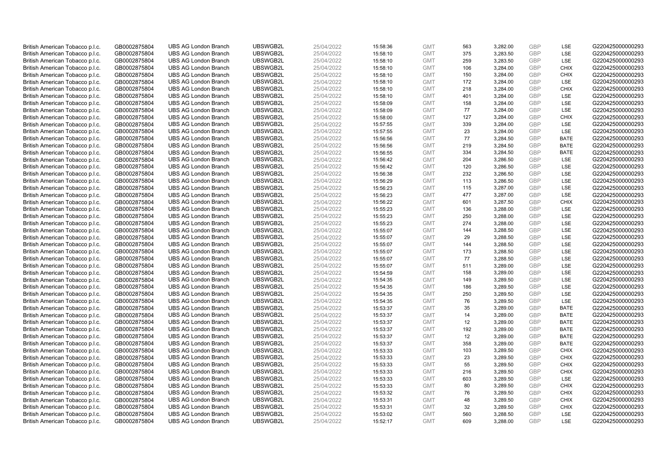| British American Tobacco p.l.c. | GB0002875804 | <b>UBS AG London Branch</b> | UBSWGB2L | 25/04/2022 | 15:58:36 | <b>GMT</b> | 563 | 3,282.00 | <b>GBP</b> | LSE         | G220425000000293 |
|---------------------------------|--------------|-----------------------------|----------|------------|----------|------------|-----|----------|------------|-------------|------------------|
|                                 |              |                             |          |            |          |            | 375 |          | GBP        | <b>LSE</b>  |                  |
| British American Tobacco p.l.c. | GB0002875804 | <b>UBS AG London Branch</b> | UBSWGB2L | 25/04/2022 | 15:58:10 | <b>GMT</b> |     | 3,283.50 |            |             | G220425000000293 |
| British American Tobacco p.l.c. | GB0002875804 | <b>UBS AG London Branch</b> | UBSWGB2L | 25/04/2022 | 15:58:10 | <b>GMT</b> | 259 | 3,283.50 | <b>GBP</b> | LSE         | G220425000000293 |
| British American Tobacco p.l.c. | GB0002875804 | <b>UBS AG London Branch</b> | UBSWGB2L | 25/04/2022 | 15:58:10 | <b>GMT</b> | 106 | 3,284.00 | <b>GBP</b> | <b>CHIX</b> | G220425000000293 |
| British American Tobacco p.l.c. | GB0002875804 | <b>UBS AG London Branch</b> | UBSWGB2L | 25/04/2022 | 15:58:10 | <b>GMT</b> | 150 | 3,284.00 | <b>GBP</b> | <b>CHIX</b> | G220425000000293 |
| British American Tobacco p.l.c. | GB0002875804 | <b>UBS AG London Branch</b> | UBSWGB2L | 25/04/2022 | 15:58:10 | <b>GMT</b> | 172 | 3,284.00 | <b>GBP</b> | LSE         | G220425000000293 |
| British American Tobacco p.l.c. | GB0002875804 | <b>UBS AG London Branch</b> | UBSWGB2L | 25/04/2022 | 15:58:10 | <b>GMT</b> | 218 | 3,284.00 | <b>GBP</b> | <b>CHIX</b> | G220425000000293 |
| British American Tobacco p.l.c. | GB0002875804 | <b>UBS AG London Branch</b> | UBSWGB2L | 25/04/2022 | 15:58:10 | <b>GMT</b> | 401 | 3,284.00 | <b>GBP</b> | LSE         | G220425000000293 |
| British American Tobacco p.l.c. | GB0002875804 | <b>UBS AG London Branch</b> | UBSWGB2L | 25/04/2022 | 15:58:09 | <b>GMT</b> | 158 | 3,284.00 | <b>GBP</b> | LSE         | G220425000000293 |
| British American Tobacco p.l.c. | GB0002875804 | <b>UBS AG London Branch</b> | UBSWGB2L | 25/04/2022 | 15:58:09 | <b>GMT</b> | 77  | 3,284.00 | <b>GBP</b> | LSE         | G220425000000293 |
| British American Tobacco p.l.c. | GB0002875804 | <b>UBS AG London Branch</b> | UBSWGB2L | 25/04/2022 | 15:58:00 | <b>GMT</b> | 127 | 3,284.00 | <b>GBP</b> | <b>CHIX</b> | G220425000000293 |
| British American Tobacco p.l.c. | GB0002875804 | <b>UBS AG London Branch</b> | UBSWGB2L | 25/04/2022 | 15:57:55 | <b>GMT</b> | 339 | 3,284.00 | <b>GBP</b> | LSE         | G220425000000293 |
| British American Tobacco p.l.c. | GB0002875804 | <b>UBS AG London Branch</b> | UBSWGB2L | 25/04/2022 | 15:57:55 | <b>GMT</b> | 23  | 3,284.00 | <b>GBP</b> | LSE         | G220425000000293 |
| British American Tobacco p.l.c. | GB0002875804 | <b>UBS AG London Branch</b> | UBSWGB2L | 25/04/2022 | 15:56:56 | <b>GMT</b> | 77  | 3,284.50 | <b>GBP</b> | <b>BATE</b> | G220425000000293 |
| British American Tobacco p.l.c. | GB0002875804 | <b>UBS AG London Branch</b> | UBSWGB2L | 25/04/2022 | 15:56:56 | <b>GMT</b> | 219 | 3,284.50 | <b>GBP</b> | <b>BATE</b> | G220425000000293 |
| British American Tobacco p.l.c. | GB0002875804 | <b>UBS AG London Branch</b> | UBSWGB2L | 25/04/2022 | 15:56:55 | <b>GMT</b> | 334 | 3,284.50 | <b>GBP</b> | <b>BATE</b> | G220425000000293 |
| British American Tobacco p.l.c. | GB0002875804 | <b>UBS AG London Branch</b> | UBSWGB2L | 25/04/2022 | 15:56:42 | <b>GMT</b> | 204 | 3,286.50 | <b>GBP</b> | LSE         | G220425000000293 |
| British American Tobacco p.l.c. | GB0002875804 | <b>UBS AG London Branch</b> | UBSWGB2L | 25/04/2022 | 15:56:42 | <b>GMT</b> | 120 | 3,286.50 | <b>GBP</b> | LSE         | G220425000000293 |
|                                 |              | <b>UBS AG London Branch</b> | UBSWGB2L |            |          |            |     |          |            | <b>LSE</b>  |                  |
| British American Tobacco p.l.c. | GB0002875804 |                             |          | 25/04/2022 | 15:56:38 | <b>GMT</b> | 232 | 3,286.50 | <b>GBP</b> |             | G220425000000293 |
| British American Tobacco p.l.c. | GB0002875804 | <b>UBS AG London Branch</b> | UBSWGB2L | 25/04/2022 | 15:56:29 | <b>GMT</b> | 113 | 3,286.50 | <b>GBP</b> | LSE         | G220425000000293 |
| British American Tobacco p.l.c. | GB0002875804 | <b>UBS AG London Branch</b> | UBSWGB2L | 25/04/2022 | 15:56:23 | <b>GMT</b> | 115 | 3,287.00 | <b>GBP</b> | LSE         | G220425000000293 |
| British American Tobacco p.l.c. | GB0002875804 | <b>UBS AG London Branch</b> | UBSWGB2L | 25/04/2022 | 15:56:23 | <b>GMT</b> | 477 | 3,287.00 | <b>GBP</b> | LSE         | G220425000000293 |
| British American Tobacco p.l.c. | GB0002875804 | <b>UBS AG London Branch</b> | UBSWGB2L | 25/04/2022 | 15:56:22 | <b>GMT</b> | 601 | 3,287.50 | <b>GBP</b> | <b>CHIX</b> | G220425000000293 |
| British American Tobacco p.l.c. | GB0002875804 | <b>UBS AG London Branch</b> | UBSWGB2L | 25/04/2022 | 15:55:23 | <b>GMT</b> | 136 | 3,288.00 | <b>GBP</b> | <b>LSE</b>  | G220425000000293 |
| British American Tobacco p.l.c. | GB0002875804 | <b>UBS AG London Branch</b> | UBSWGB2L | 25/04/2022 | 15:55:23 | <b>GMT</b> | 250 | 3,288.00 | <b>GBP</b> | LSE         | G220425000000293 |
| British American Tobacco p.l.c. | GB0002875804 | <b>UBS AG London Branch</b> | UBSWGB2L | 25/04/2022 | 15:55:23 | <b>GMT</b> | 274 | 3,288.00 | <b>GBP</b> | LSE         | G220425000000293 |
| British American Tobacco p.l.c. | GB0002875804 | <b>UBS AG London Branch</b> | UBSWGB2L | 25/04/2022 | 15:55:07 | <b>GMT</b> | 144 | 3,288.50 | <b>GBP</b> | LSE         | G220425000000293 |
| British American Tobacco p.l.c. | GB0002875804 | <b>UBS AG London Branch</b> | UBSWGB2L | 25/04/2022 | 15:55:07 | <b>GMT</b> | 29  | 3,288.50 | <b>GBP</b> | <b>LSE</b>  | G220425000000293 |
| British American Tobacco p.l.c. | GB0002875804 | <b>UBS AG London Branch</b> | UBSWGB2L | 25/04/2022 | 15:55:07 | <b>GMT</b> | 144 | 3,288.50 | <b>GBP</b> | LSE         | G220425000000293 |
| British American Tobacco p.l.c. | GB0002875804 | <b>UBS AG London Branch</b> | UBSWGB2L | 25/04/2022 | 15:55:07 | <b>GMT</b> | 173 | 3,288.50 | <b>GBP</b> | LSE         | G220425000000293 |
| British American Tobacco p.l.c. | GB0002875804 | <b>UBS AG London Branch</b> | UBSWGB2L | 25/04/2022 | 15:55:07 | <b>GMT</b> | 77  | 3,288.50 | <b>GBP</b> | LSE         | G220425000000293 |
| British American Tobacco p.l.c. | GB0002875804 | <b>UBS AG London Branch</b> | UBSWGB2L | 25/04/2022 | 15:55:07 | <b>GMT</b> | 511 | 3,289.00 | <b>GBP</b> | <b>LSE</b>  | G220425000000293 |
| British American Tobacco p.l.c. | GB0002875804 | <b>UBS AG London Branch</b> | UBSWGB2L | 25/04/2022 | 15:54:59 | <b>GMT</b> | 158 | 3,289.00 | <b>GBP</b> | LSE         | G220425000000293 |
| British American Tobacco p.l.c. | GB0002875804 | <b>UBS AG London Branch</b> | UBSWGB2L | 25/04/2022 | 15:54:35 | <b>GMT</b> | 149 | 3,289.50 | <b>GBP</b> | LSE         | G220425000000293 |
| British American Tobacco p.l.c. | GB0002875804 | <b>UBS AG London Branch</b> | UBSWGB2L | 25/04/2022 | 15:54:35 | <b>GMT</b> | 186 | 3,289.50 | <b>GBP</b> | LSE         | G220425000000293 |
| British American Tobacco p.l.c. | GB0002875804 | <b>UBS AG London Branch</b> | UBSWGB2L | 25/04/2022 | 15:54:35 | <b>GMT</b> | 250 | 3,289.50 | <b>GBP</b> | LSE         | G220425000000293 |
| British American Tobacco p.l.c. | GB0002875804 | <b>UBS AG London Branch</b> | UBSWGB2L | 25/04/2022 | 15:54:35 | <b>GMT</b> | 76  | 3,289.50 | <b>GBP</b> | <b>LSE</b>  | G220425000000293 |
| British American Tobacco p.l.c. | GB0002875804 | <b>UBS AG London Branch</b> | UBSWGB2L | 25/04/2022 | 15:53:37 | <b>GMT</b> | 35  | 3,289.00 | <b>GBP</b> | <b>BATE</b> | G220425000000293 |
| British American Tobacco p.l.c. | GB0002875804 | <b>UBS AG London Branch</b> | UBSWGB2L | 25/04/2022 | 15:53:37 | <b>GMT</b> | 14  | 3,289.00 | <b>GBP</b> | <b>BATE</b> | G220425000000293 |
| British American Tobacco p.l.c. | GB0002875804 | <b>UBS AG London Branch</b> | UBSWGB2L | 25/04/2022 | 15:53:37 | <b>GMT</b> | 12  | 3,289.00 | <b>GBP</b> | <b>BATE</b> | G220425000000293 |
| British American Tobacco p.l.c. | GB0002875804 | <b>UBS AG London Branch</b> | UBSWGB2L | 25/04/2022 | 15:53:37 | <b>GMT</b> | 192 | 3,289.00 | <b>GBP</b> | <b>BATE</b> | G220425000000293 |
| British American Tobacco p.l.c. | GB0002875804 | <b>UBS AG London Branch</b> | UBSWGB2L | 25/04/2022 | 15:53:37 | <b>GMT</b> | 12  | 3,289.00 | <b>GBP</b> | <b>BATE</b> | G220425000000293 |
| British American Tobacco p.l.c. | GB0002875804 | <b>UBS AG London Branch</b> | UBSWGB2L | 25/04/2022 | 15:53:37 | <b>GMT</b> | 358 | 3,289.00 | <b>GBP</b> | <b>BATE</b> | G220425000000293 |
| British American Tobacco p.l.c. |              | <b>UBS AG London Branch</b> | UBSWGB2L | 25/04/2022 |          | <b>GMT</b> | 103 | 3,289.50 | <b>GBP</b> | <b>CHIX</b> | G220425000000293 |
|                                 | GB0002875804 |                             | UBSWGB2L |            | 15:53:33 |            |     |          |            |             | G220425000000293 |
| British American Tobacco p.l.c. | GB0002875804 | <b>UBS AG London Branch</b> |          | 25/04/2022 | 15:53:33 | <b>GMT</b> | 23  | 3,289.50 | <b>GBP</b> | <b>CHIX</b> |                  |
| British American Tobacco p.l.c. | GB0002875804 | <b>UBS AG London Branch</b> | UBSWGB2L | 25/04/2022 | 15:53:33 | <b>GMT</b> | 55  | 3,289.50 | <b>GBP</b> | <b>CHIX</b> | G220425000000293 |
| British American Tobacco p.l.c. | GB0002875804 | <b>UBS AG London Branch</b> | UBSWGB2L | 25/04/2022 | 15:53:33 | <b>GMT</b> | 216 | 3,289.50 | <b>GBP</b> | <b>CHIX</b> | G220425000000293 |
| British American Tobacco p.l.c. | GB0002875804 | <b>UBS AG London Branch</b> | UBSWGB2L | 25/04/2022 | 15:53:33 | <b>GMT</b> | 603 | 3,289.50 | <b>GBP</b> | LSE         | G220425000000293 |
| British American Tobacco p.l.c. | GB0002875804 | <b>UBS AG London Branch</b> | UBSWGB2L | 25/04/2022 | 15:53:33 | <b>GMT</b> | 80  | 3,289.50 | <b>GBP</b> | <b>CHIX</b> | G220425000000293 |
| British American Tobacco p.l.c. | GB0002875804 | <b>UBS AG London Branch</b> | UBSWGB2L | 25/04/2022 | 15:53:32 | <b>GMT</b> | 76  | 3,289.50 | <b>GBP</b> | <b>CHIX</b> | G220425000000293 |
| British American Tobacco p.l.c. | GB0002875804 | <b>UBS AG London Branch</b> | UBSWGB2L | 25/04/2022 | 15:53:31 | <b>GMT</b> | 48  | 3,289.50 | <b>GBP</b> | <b>CHIX</b> | G220425000000293 |
| British American Tobacco p.l.c. | GB0002875804 | <b>UBS AG London Branch</b> | UBSWGB2L | 25/04/2022 | 15:53:31 | <b>GMT</b> | 32  | 3,289.50 | <b>GBP</b> | <b>CHIX</b> | G220425000000293 |
| British American Tobacco p.l.c. | GB0002875804 | <b>UBS AG London Branch</b> | UBSWGB2L | 25/04/2022 | 15:53:02 | <b>GMT</b> | 560 | 3,288.50 | <b>GBP</b> | LSE         | G220425000000293 |
| British American Tobacco p.l.c. | GB0002875804 | <b>UBS AG London Branch</b> | UBSWGB2L | 25/04/2022 | 15:52:17 | <b>GMT</b> | 609 | 3.288.00 | GBP        | <b>LSE</b>  | G220425000000293 |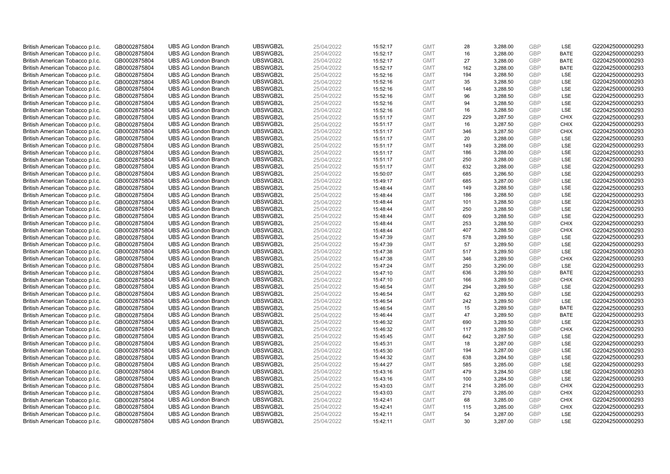| British American Tobacco p.l.c. | GB0002875804 | <b>UBS AG London Branch</b> | UBSWGB2L | 25/04/2022 | 15:52:17 | <b>GMT</b> | 28  | 3,288.00 | <b>GBP</b> | LSE         | G220425000000293 |
|---------------------------------|--------------|-----------------------------|----------|------------|----------|------------|-----|----------|------------|-------------|------------------|
| British American Tobacco p.l.c. | GB0002875804 | <b>UBS AG London Branch</b> | UBSWGB2L | 25/04/2022 | 15:52:17 | <b>GMT</b> | 16  | 3,288.00 | <b>GBP</b> | <b>BATE</b> | G220425000000293 |
| British American Tobacco p.l.c. | GB0002875804 | <b>UBS AG London Branch</b> | UBSWGB2L | 25/04/2022 | 15:52:17 | <b>GMT</b> | 27  | 3,288.00 | <b>GBP</b> | <b>BATE</b> | G220425000000293 |
| British American Tobacco p.l.c. | GB0002875804 | <b>UBS AG London Branch</b> | UBSWGB2L | 25/04/2022 | 15:52:17 | <b>GMT</b> | 162 | 3,288.00 | <b>GBP</b> | <b>BATE</b> | G220425000000293 |
| British American Tobacco p.l.c. | GB0002875804 | <b>UBS AG London Branch</b> | UBSWGB2L | 25/04/2022 | 15:52:16 | <b>GMT</b> | 194 | 3,288.50 | <b>GBP</b> | LSE         | G220425000000293 |
| British American Tobacco p.l.c. | GB0002875804 | <b>UBS AG London Branch</b> | UBSWGB2L | 25/04/2022 | 15:52:16 | <b>GMT</b> | 35  | 3,288.50 | <b>GBP</b> | <b>LSE</b>  | G220425000000293 |
| British American Tobacco p.l.c. | GB0002875804 | <b>UBS AG London Branch</b> | UBSWGB2L | 25/04/2022 | 15:52:16 | <b>GMT</b> | 146 | 3,288.50 | <b>GBP</b> | LSE         | G220425000000293 |
| British American Tobacco p.l.c. | GB0002875804 | <b>UBS AG London Branch</b> | UBSWGB2L | 25/04/2022 | 15:52:16 | <b>GMT</b> | 96  | 3,288.50 | <b>GBP</b> | LSE         | G220425000000293 |
| British American Tobacco p.l.c. | GB0002875804 | <b>UBS AG London Branch</b> | UBSWGB2L | 25/04/2022 | 15:52:16 | <b>GMT</b> | 94  | 3,288.50 | <b>GBP</b> | LSE         | G220425000000293 |
| British American Tobacco p.l.c. | GB0002875804 | <b>UBS AG London Branch</b> | UBSWGB2L | 25/04/2022 | 15:52:16 | <b>GMT</b> | 16  | 3,288.50 | <b>GBP</b> | LSE         | G220425000000293 |
| British American Tobacco p.l.c. | GB0002875804 | <b>UBS AG London Branch</b> | UBSWGB2L | 25/04/2022 | 15:51:17 | <b>GMT</b> | 229 | 3,287.50 | <b>GBP</b> | <b>CHIX</b> | G220425000000293 |
| British American Tobacco p.l.c. | GB0002875804 | <b>UBS AG London Branch</b> | UBSWGB2L | 25/04/2022 | 15:51:17 | <b>GMT</b> | 16  | 3,287.50 | <b>GBP</b> | <b>CHIX</b> | G220425000000293 |
| British American Tobacco p.l.c. | GB0002875804 | <b>UBS AG London Branch</b> | UBSWGB2L | 25/04/2022 | 15:51:17 | <b>GMT</b> | 346 | 3,287.50 | <b>GBP</b> | <b>CHIX</b> | G220425000000293 |
| British American Tobacco p.l.c. | GB0002875804 | <b>UBS AG London Branch</b> | UBSWGB2L | 25/04/2022 | 15:51:17 | <b>GMT</b> | 20  | 3,288.00 | <b>GBP</b> | LSE         | G220425000000293 |
| British American Tobacco p.l.c. | GB0002875804 | <b>UBS AG London Branch</b> | UBSWGB2L | 25/04/2022 | 15:51:17 | <b>GMT</b> | 149 | 3,288.00 | <b>GBP</b> | LSE         | G220425000000293 |
| British American Tobacco p.l.c. | GB0002875804 | <b>UBS AG London Branch</b> | UBSWGB2L | 25/04/2022 | 15:51:17 | <b>GMT</b> | 186 | 3,288.00 | <b>GBP</b> | LSE         | G220425000000293 |
| British American Tobacco p.l.c. | GB0002875804 | <b>UBS AG London Branch</b> | UBSWGB2L | 25/04/2022 | 15:51:17 | <b>GMT</b> | 250 | 3,288.00 | <b>GBP</b> | LSE         | G220425000000293 |
| British American Tobacco p.l.c. | GB0002875804 | <b>UBS AG London Branch</b> | UBSWGB2L | 25/04/2022 | 15:51:17 | <b>GMT</b> | 632 | 3,288.00 | <b>GBP</b> | LSE         | G220425000000293 |
| British American Tobacco p.l.c. | GB0002875804 | <b>UBS AG London Branch</b> | UBSWGB2L | 25/04/2022 | 15:50:07 | <b>GMT</b> | 685 | 3,286.50 | <b>GBP</b> | LSE         | G220425000000293 |
| British American Tobacco p.l.c. | GB0002875804 | <b>UBS AG London Branch</b> | UBSWGB2L | 25/04/2022 | 15:49:17 | <b>GMT</b> | 685 | 3,287.00 | <b>GBP</b> | LSE         | G220425000000293 |
| British American Tobacco p.l.c. | GB0002875804 | <b>UBS AG London Branch</b> | UBSWGB2L | 25/04/2022 | 15:48:44 | <b>GMT</b> | 149 | 3,288.50 | <b>GBP</b> | LSE         | G220425000000293 |
| British American Tobacco p.l.c. | GB0002875804 | <b>UBS AG London Branch</b> | UBSWGB2L | 25/04/2022 | 15:48:44 | <b>GMT</b> | 186 | 3,288.50 | <b>GBP</b> | LSE         | G220425000000293 |
| British American Tobacco p.l.c. | GB0002875804 | <b>UBS AG London Branch</b> | UBSWGB2L | 25/04/2022 | 15:48:44 | <b>GMT</b> | 101 | 3,288.50 | <b>GBP</b> | LSE         | G220425000000293 |
| British American Tobacco p.l.c. | GB0002875804 | <b>UBS AG London Branch</b> | UBSWGB2L | 25/04/2022 | 15:48:44 | <b>GMT</b> | 250 | 3,288.50 | <b>GBP</b> | LSE         | G220425000000293 |
| British American Tobacco p.l.c. | GB0002875804 | <b>UBS AG London Branch</b> | UBSWGB2L | 25/04/2022 | 15:48:44 | <b>GMT</b> | 609 | 3,288.50 | <b>GBP</b> | LSE         | G220425000000293 |
| British American Tobacco p.l.c. | GB0002875804 | <b>UBS AG London Branch</b> | UBSWGB2L | 25/04/2022 | 15:48:44 | <b>GMT</b> | 253 | 3,288.50 | <b>GBP</b> | <b>CHIX</b> | G220425000000293 |
| British American Tobacco p.l.c. | GB0002875804 | <b>UBS AG London Branch</b> | UBSWGB2L | 25/04/2022 | 15:48:44 | <b>GMT</b> | 407 | 3,288.50 | <b>GBP</b> | <b>CHIX</b> | G220425000000293 |
| British American Tobacco p.l.c. | GB0002875804 | <b>UBS AG London Branch</b> | UBSWGB2L | 25/04/2022 | 15:47:39 | <b>GMT</b> | 578 | 3,289.50 | <b>GBP</b> | LSE         | G220425000000293 |
| British American Tobacco p.l.c. | GB0002875804 | <b>UBS AG London Branch</b> | UBSWGB2L | 25/04/2022 | 15:47:39 | <b>GMT</b> | 57  | 3,289.50 | <b>GBP</b> | LSE         | G220425000000293 |
| British American Tobacco p.l.c. | GB0002875804 | <b>UBS AG London Branch</b> | UBSWGB2L | 25/04/2022 | 15:47:38 | <b>GMT</b> | 517 | 3,289.50 | <b>GBP</b> | LSE         | G220425000000293 |
| British American Tobacco p.l.c. | GB0002875804 | <b>UBS AG London Branch</b> | UBSWGB2L | 25/04/2022 | 15:47:38 | <b>GMT</b> | 346 | 3,289.50 | <b>GBP</b> | <b>CHIX</b> | G220425000000293 |
| British American Tobacco p.l.c. | GB0002875804 | <b>UBS AG London Branch</b> | UBSWGB2L | 25/04/2022 | 15:47:24 | <b>GMT</b> | 250 | 3,290.00 | <b>GBP</b> | LSE         | G220425000000293 |
| British American Tobacco p.l.c. | GB0002875804 | <b>UBS AG London Branch</b> | UBSWGB2L | 25/04/2022 | 15:47:10 | <b>GMT</b> | 636 | 3,289.50 | <b>GBP</b> | <b>BATE</b> | G220425000000293 |
| British American Tobacco p.l.c. | GB0002875804 | <b>UBS AG London Branch</b> | UBSWGB2L | 25/04/2022 | 15:47:10 | <b>GMT</b> | 166 | 3,289.50 | <b>GBP</b> | <b>CHIX</b> | G220425000000293 |
| British American Tobacco p.l.c. | GB0002875804 | UBS AG London Branch        | UBSWGB2L | 25/04/2022 | 15:46:54 | <b>GMT</b> | 294 | 3,289.50 | GBP        | LSE         | G220425000000293 |
| British American Tobacco p.l.c. | GB0002875804 | <b>UBS AG London Branch</b> | UBSWGB2L | 25/04/2022 | 15:46:54 | <b>GMT</b> | 62  | 3,289.50 | <b>GBP</b> | LSE         | G220425000000293 |
| British American Tobacco p.l.c. | GB0002875804 | <b>UBS AG London Branch</b> | UBSWGB2L | 25/04/2022 | 15:46:54 | <b>GMT</b> | 242 | 3.289.50 | <b>GBP</b> | <b>LSE</b>  | G220425000000293 |
| British American Tobacco p.l.c. | GB0002875804 | <b>UBS AG London Branch</b> | UBSWGB2L | 25/04/2022 | 15:46:54 | <b>GMT</b> | 15  | 3,289.50 | <b>GBP</b> | <b>BATE</b> | G220425000000293 |
| British American Tobacco p.l.c. | GB0002875804 | <b>UBS AG London Branch</b> | UBSWGB2L | 25/04/2022 | 15:46:44 | <b>GMT</b> | 47  | 3,289.50 | <b>GBP</b> | <b>BATE</b> | G220425000000293 |
| British American Tobacco p.l.c. | GB0002875804 | <b>UBS AG London Branch</b> | UBSWGB2L | 25/04/2022 | 15:46:32 | <b>GMT</b> | 690 | 3,289.50 | <b>GBP</b> | LSE         | G220425000000293 |
| British American Tobacco p.l.c. | GB0002875804 | <b>UBS AG London Branch</b> | UBSWGB2L | 25/04/2022 | 15:46:32 | <b>GMT</b> | 117 | 3,289.50 | <b>GBP</b> | <b>CHIX</b> | G220425000000293 |
| British American Tobacco p.l.c. | GB0002875804 | <b>UBS AG London Branch</b> | UBSWGB2L | 25/04/2022 | 15:45:45 | <b>GMT</b> | 642 | 3,287.50 | <b>GBP</b> | LSE         | G220425000000293 |
| British American Tobacco p.l.c. | GB0002875804 | <b>UBS AG London Branch</b> | UBSWGB2L | 25/04/2022 | 15:45:31 | <b>GMT</b> | 18  | 3,287.00 | <b>GBP</b> | LSE         | G220425000000293 |
| British American Tobacco p.l.c. | GB0002875804 | <b>UBS AG London Branch</b> | UBSWGB2L | 25/04/2022 | 15:45:30 | <b>GMT</b> | 194 | 3,287.00 | <b>GBP</b> | LSE         | G220425000000293 |
| British American Tobacco p.l.c. | GB0002875804 | <b>UBS AG London Branch</b> | UBSWGB2L | 25/04/2022 | 15:44:32 | <b>GMT</b> | 638 | 3,284.50 | <b>GBP</b> | LSE         | G220425000000293 |
| British American Tobacco p.l.c. | GB0002875804 | <b>UBS AG London Branch</b> | UBSWGB2L | 25/04/2022 | 15:44:27 | <b>GMT</b> | 585 | 3,285.00 | <b>GBP</b> | LSE         | G220425000000293 |
| British American Tobacco p.l.c. | GB0002875804 | <b>UBS AG London Branch</b> | UBSWGB2L | 25/04/2022 | 15:43:16 | <b>GMT</b> | 479 | 3,284.50 | <b>GBP</b> | LSE         | G220425000000293 |
| British American Tobacco p.l.c. | GB0002875804 | <b>UBS AG London Branch</b> | UBSWGB2L | 25/04/2022 | 15:43:16 | <b>GMT</b> | 100 | 3,284.50 | <b>GBP</b> | LSE         | G220425000000293 |
| British American Tobacco p.l.c. | GB0002875804 | <b>UBS AG London Branch</b> | UBSWGB2L | 25/04/2022 | 15:43:03 | <b>GMT</b> | 214 | 3,285.00 | <b>GBP</b> | <b>CHIX</b> | G220425000000293 |
| British American Tobacco p.l.c. | GB0002875804 | <b>UBS AG London Branch</b> | UBSWGB2L | 25/04/2022 | 15:43:03 | <b>GMT</b> | 270 | 3,285.00 | <b>GBP</b> | <b>CHIX</b> | G220425000000293 |
| British American Tobacco p.l.c. | GB0002875804 | <b>UBS AG London Branch</b> | UBSWGB2L | 25/04/2022 | 15:42:41 | <b>GMT</b> | 68  | 3,285.00 | <b>GBP</b> | <b>CHIX</b> | G220425000000293 |
| British American Tobacco p.l.c. | GB0002875804 | <b>UBS AG London Branch</b> | UBSWGB2L | 25/04/2022 | 15:42:41 | <b>GMT</b> | 115 | 3,285.00 | <b>GBP</b> | <b>CHIX</b> | G220425000000293 |
| British American Tobacco p.l.c. | GB0002875804 | <b>UBS AG London Branch</b> | UBSWGB2L | 25/04/2022 | 15:42:11 | <b>GMT</b> | 54  | 3,287.00 | <b>GBP</b> | LSE         | G220425000000293 |
| British American Tobacco p.l.c. | GB0002875804 | <b>UBS AG London Branch</b> | UBSWGB2L | 25/04/2022 | 15:42:11 | <b>GMT</b> | 30  | 3,287.00 | GBP        | LSE         | G220425000000293 |
|                                 |              |                             |          |            |          |            |     |          |            |             |                  |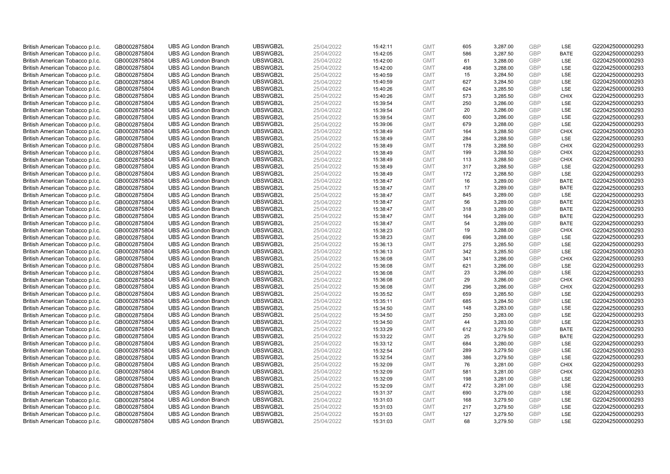| British American Tobacco p.l.c. | GB0002875804 | <b>UBS AG London Branch</b> | UBSWGB2L | 25/04/2022 |          | <b>GMT</b> | 605 | 3,287.00 | <b>GBP</b> | LSE         | G220425000000293 |
|---------------------------------|--------------|-----------------------------|----------|------------|----------|------------|-----|----------|------------|-------------|------------------|
|                                 |              |                             |          |            | 15:42:11 |            | 586 |          | <b>GBP</b> | <b>BATE</b> |                  |
| British American Tobacco p.l.c. | GB0002875804 | <b>UBS AG London Branch</b> | UBSWGB2L | 25/04/2022 | 15:42:05 | <b>GMT</b> |     | 3,287.50 |            |             | G220425000000293 |
| British American Tobacco p.l.c. | GB0002875804 | <b>UBS AG London Branch</b> | UBSWGB2L | 25/04/2022 | 15:42:00 | <b>GMT</b> | 61  | 3,288.00 | <b>GBP</b> | LSE         | G220425000000293 |
| British American Tobacco p.l.c. | GB0002875804 | <b>UBS AG London Branch</b> | UBSWGB2L | 25/04/2022 | 15:42:00 | <b>GMT</b> | 498 | 3,288.00 | <b>GBP</b> | LSE         | G220425000000293 |
| British American Tobacco p.l.c. | GB0002875804 | <b>UBS AG London Branch</b> | UBSWGB2L | 25/04/2022 | 15:40:59 | <b>GMT</b> | 15  | 3,284.50 | <b>GBP</b> | LSE         | G220425000000293 |
| British American Tobacco p.l.c. | GB0002875804 | <b>UBS AG London Branch</b> | UBSWGB2L | 25/04/2022 | 15:40:59 | <b>GMT</b> | 627 | 3,284.50 | <b>GBP</b> | LSE         | G220425000000293 |
| British American Tobacco p.l.c. | GB0002875804 | <b>UBS AG London Branch</b> | UBSWGB2L | 25/04/2022 | 15:40:26 | <b>GMT</b> | 624 | 3,285.50 | <b>GBP</b> | LSE         | G220425000000293 |
| British American Tobacco p.l.c. | GB0002875804 | <b>UBS AG London Branch</b> | UBSWGB2L | 25/04/2022 | 15:40:26 | <b>GMT</b> | 573 | 3,285.50 | <b>GBP</b> | <b>CHIX</b> | G220425000000293 |
| British American Tobacco p.l.c. | GB0002875804 | <b>UBS AG London Branch</b> | UBSWGB2L | 25/04/2022 | 15:39:54 | <b>GMT</b> | 250 | 3,286.00 | <b>GBP</b> | LSE         | G220425000000293 |
| British American Tobacco p.l.c. | GB0002875804 | <b>UBS AG London Branch</b> | UBSWGB2L | 25/04/2022 | 15:39:54 | <b>GMT</b> | 20  | 3,286.00 | <b>GBP</b> | LSE         | G220425000000293 |
| British American Tobacco p.l.c. | GB0002875804 | <b>UBS AG London Branch</b> | UBSWGB2L | 25/04/2022 | 15:39:54 | <b>GMT</b> | 600 | 3,286.00 | <b>GBP</b> | LSE         | G220425000000293 |
| British American Tobacco p.l.c. | GB0002875804 | <b>UBS AG London Branch</b> | UBSWGB2L | 25/04/2022 | 15:39:06 | <b>GMT</b> | 679 | 3,288.00 | <b>GBP</b> | LSE         | G220425000000293 |
| British American Tobacco p.l.c. | GB0002875804 | <b>UBS AG London Branch</b> | UBSWGB2L | 25/04/2022 | 15:38:49 | <b>GMT</b> | 164 | 3,288.50 | <b>GBP</b> | <b>CHIX</b> | G220425000000293 |
| British American Tobacco p.l.c. | GB0002875804 | <b>UBS AG London Branch</b> | UBSWGB2L | 25/04/2022 | 15:38:49 | <b>GMT</b> | 284 | 3,288.50 | <b>GBP</b> | <b>LSE</b>  | G220425000000293 |
| British American Tobacco p.l.c. | GB0002875804 | <b>UBS AG London Branch</b> | UBSWGB2L | 25/04/2022 | 15:38:49 | <b>GMT</b> | 178 | 3,288.50 | <b>GBP</b> | <b>CHIX</b> | G220425000000293 |
| British American Tobacco p.l.c. | GB0002875804 | <b>UBS AG London Branch</b> | UBSWGB2L | 25/04/2022 | 15:38:49 | <b>GMT</b> | 199 | 3,288.50 | <b>GBP</b> | <b>CHIX</b> | G220425000000293 |
| British American Tobacco p.l.c. | GB0002875804 | <b>UBS AG London Branch</b> | UBSWGB2L | 25/04/2022 | 15:38:49 | <b>GMT</b> | 113 | 3,288.50 | <b>GBP</b> | <b>CHIX</b> | G220425000000293 |
| British American Tobacco p.l.c. | GB0002875804 | <b>UBS AG London Branch</b> | UBSWGB2L | 25/04/2022 | 15:38:49 | <b>GMT</b> | 317 | 3,288.50 | <b>GBP</b> | LSE         | G220425000000293 |
| British American Tobacco p.l.c. | GB0002875804 | <b>UBS AG London Branch</b> | UBSWGB2L | 25/04/2022 | 15:38:49 | <b>GMT</b> | 172 | 3,288.50 | <b>GBP</b> | LSE         | G220425000000293 |
| British American Tobacco p.l.c. | GB0002875804 | <b>UBS AG London Branch</b> | UBSWGB2L | 25/04/2022 | 15:38:47 | <b>GMT</b> | 16  | 3,289.00 | <b>GBP</b> | <b>BATE</b> | G220425000000293 |
| British American Tobacco p.l.c. | GB0002875804 | <b>UBS AG London Branch</b> | UBSWGB2L | 25/04/2022 | 15:38:47 | <b>GMT</b> | 17  | 3,289.00 | <b>GBP</b> | <b>BATE</b> | G220425000000293 |
| British American Tobacco p.l.c. | GB0002875804 | <b>UBS AG London Branch</b> | UBSWGB2L | 25/04/2022 | 15:38:47 | <b>GMT</b> | 845 | 3,289.00 | <b>GBP</b> | LSE         | G220425000000293 |
| British American Tobacco p.l.c. | GB0002875804 | <b>UBS AG London Branch</b> | UBSWGB2L | 25/04/2022 | 15:38:47 | <b>GMT</b> | 56  | 3,289.00 | <b>GBP</b> | <b>BATE</b> | G220425000000293 |
| British American Tobacco p.l.c. | GB0002875804 | <b>UBS AG London Branch</b> | UBSWGB2L | 25/04/2022 | 15:38:47 | <b>GMT</b> | 318 | 3,289.00 | <b>GBP</b> | <b>BATE</b> | G220425000000293 |
| British American Tobacco p.l.c. | GB0002875804 | <b>UBS AG London Branch</b> | UBSWGB2L | 25/04/2022 | 15:38:47 | <b>GMT</b> | 164 | 3,289.00 | <b>GBP</b> | <b>BATE</b> | G220425000000293 |
| British American Tobacco p.l.c. | GB0002875804 | <b>UBS AG London Branch</b> | UBSWGB2L | 25/04/2022 | 15:38:47 | <b>GMT</b> | 54  | 3,289.00 | <b>GBP</b> | <b>BATE</b> | G220425000000293 |
| British American Tobacco p.l.c. | GB0002875804 | <b>UBS AG London Branch</b> | UBSWGB2L | 25/04/2022 | 15:38:23 | <b>GMT</b> | 19  | 3,288.00 | <b>GBP</b> | <b>CHIX</b> | G220425000000293 |
| British American Tobacco p.l.c. | GB0002875804 | <b>UBS AG London Branch</b> | UBSWGB2L | 25/04/2022 | 15:38:23 | <b>GMT</b> | 696 | 3,288.00 | <b>GBP</b> | LSE         | G220425000000293 |
| British American Tobacco p.l.c. | GB0002875804 | <b>UBS AG London Branch</b> | UBSWGB2L | 25/04/2022 | 15:36:13 | <b>GMT</b> | 275 | 3,285.50 | <b>GBP</b> | LSE         | G220425000000293 |
| British American Tobacco p.l.c. | GB0002875804 | <b>UBS AG London Branch</b> | UBSWGB2L | 25/04/2022 | 15:36:13 | <b>GMT</b> | 342 | 3,285.50 | <b>GBP</b> | LSE         | G220425000000293 |
| British American Tobacco p.l.c. | GB0002875804 | <b>UBS AG London Branch</b> | UBSWGB2L | 25/04/2022 | 15:36:08 | <b>GMT</b> | 341 | 3,286.00 | <b>GBP</b> | <b>CHIX</b> | G220425000000293 |
| British American Tobacco p.l.c. | GB0002875804 | <b>UBS AG London Branch</b> | UBSWGB2L | 25/04/2022 | 15:36:08 | <b>GMT</b> | 621 | 3,286.00 | <b>GBP</b> | LSE         | G220425000000293 |
| British American Tobacco p.l.c. | GB0002875804 | <b>UBS AG London Branch</b> | UBSWGB2L | 25/04/2022 | 15:36:08 | <b>GMT</b> | 23  | 3,286.00 | <b>GBP</b> | LSE         | G220425000000293 |
| British American Tobacco p.l.c. | GB0002875804 | <b>UBS AG London Branch</b> | UBSWGB2L | 25/04/2022 | 15:36:08 | <b>GMT</b> | 29  | 3,286.00 | <b>GBP</b> | <b>CHIX</b> | G220425000000293 |
| British American Tobacco p.l.c. | GB0002875804 | UBS AG London Branch        | UBSWGB2L | 25/04/2022 | 15:36:08 | <b>GMT</b> | 296 | 3,286.00 | <b>GBP</b> | <b>CHIX</b> | G220425000000293 |
| British American Tobacco p.l.c. | GB0002875804 | <b>UBS AG London Branch</b> | UBSWGB2L | 25/04/2022 | 15:35:52 | <b>GMT</b> | 659 | 3,285.50 | <b>GBP</b> | LSE         | G220425000000293 |
|                                 |              | <b>UBS AG London Branch</b> | UBSWGB2L | 25/04/2022 |          | <b>GMT</b> | 685 |          | GBP        | <b>LSE</b>  | G220425000000293 |
| British American Tobacco p.l.c. | GB0002875804 |                             |          |            | 15:35:11 |            | 148 | 3,284.50 | <b>GBP</b> | LSE         |                  |
| British American Tobacco p.l.c. | GB0002875804 | <b>UBS AG London Branch</b> | UBSWGB2L | 25/04/2022 | 15:34:50 | <b>GMT</b> |     | 3,283.00 |            | <b>LSE</b>  | G220425000000293 |
| British American Tobacco p.l.c. | GB0002875804 | <b>UBS AG London Branch</b> | UBSWGB2L | 25/04/2022 | 15:34:50 | <b>GMT</b> | 250 | 3,283.00 | <b>GBP</b> |             | G220425000000293 |
| British American Tobacco p.l.c. | GB0002875804 | <b>UBS AG London Branch</b> | UBSWGB2L | 25/04/2022 | 15:34:50 | <b>GMT</b> | 44  | 3,283.00 | <b>GBP</b> | LSE         | G220425000000293 |
| British American Tobacco p.l.c. | GB0002875804 | <b>UBS AG London Branch</b> | UBSWGB2L | 25/04/2022 | 15:33:29 | <b>GMT</b> | 612 | 3,279.50 | <b>GBP</b> | <b>BATE</b> | G220425000000293 |
| British American Tobacco p.l.c. | GB0002875804 | <b>UBS AG London Branch</b> | UBSWGB2L | 25/04/2022 | 15:33:22 | <b>GMT</b> | 25  | 3,279.50 | <b>GBP</b> | <b>BATE</b> | G220425000000293 |
| British American Tobacco p.l.c. | GB0002875804 | <b>UBS AG London Branch</b> | UBSWGB2L | 25/04/2022 | 15:33:12 | <b>GMT</b> | 684 | 3,280.00 | <b>GBP</b> | LSE         | G220425000000293 |
| British American Tobacco p.l.c. | GB0002875804 | <b>UBS AG London Branch</b> | UBSWGB2L | 25/04/2022 | 15:32:54 | <b>GMT</b> | 289 | 3,279.50 | <b>GBP</b> | LSE         | G220425000000293 |
| British American Tobacco p.l.c. | GB0002875804 | <b>UBS AG London Branch</b> | UBSWGB2L | 25/04/2022 | 15:32:54 | <b>GMT</b> | 386 | 3,279.50 | <b>GBP</b> | LSE         | G220425000000293 |
| British American Tobacco p.l.c. | GB0002875804 | <b>UBS AG London Branch</b> | UBSWGB2L | 25/04/2022 | 15:32:09 | <b>GMT</b> | 76  | 3,281.00 | <b>GBP</b> | <b>CHIX</b> | G220425000000293 |
| British American Tobacco p.l.c. | GB0002875804 | <b>UBS AG London Branch</b> | UBSWGB2L | 25/04/2022 | 15:32:09 | <b>GMT</b> | 581 | 3,281.00 | <b>GBP</b> | <b>CHIX</b> | G220425000000293 |
| British American Tobacco p.l.c. | GB0002875804 | <b>UBS AG London Branch</b> | UBSWGB2L | 25/04/2022 | 15:32:09 | <b>GMT</b> | 198 | 3,281.00 | <b>GBP</b> | LSE         | G220425000000293 |
| British American Tobacco p.l.c. | GB0002875804 | <b>UBS AG London Branch</b> | UBSWGB2L | 25/04/2022 | 15:32:09 | <b>GMT</b> | 472 | 3,281.00 | <b>GBP</b> | LSE         | G220425000000293 |
| British American Tobacco p.l.c. | GB0002875804 | <b>UBS AG London Branch</b> | UBSWGB2L | 25/04/2022 | 15:31:37 | <b>GMT</b> | 690 | 3,279.00 | <b>GBP</b> | LSE         | G220425000000293 |
| British American Tobacco p.l.c. | GB0002875804 | <b>UBS AG London Branch</b> | UBSWGB2L | 25/04/2022 | 15:31:03 | <b>GMT</b> | 168 | 3,279.50 | <b>GBP</b> | LSE         | G220425000000293 |
| British American Tobacco p.l.c. | GB0002875804 | <b>UBS AG London Branch</b> | UBSWGB2L | 25/04/2022 | 15:31:03 | <b>GMT</b> | 217 | 3,279.50 | <b>GBP</b> | LSE         | G220425000000293 |
| British American Tobacco p.l.c. | GB0002875804 | <b>UBS AG London Branch</b> | UBSWGB2L | 25/04/2022 | 15:31:03 | <b>GMT</b> | 127 | 3,279.50 | <b>GBP</b> | LSE         | G220425000000293 |
| British American Tobacco p.l.c. | GB0002875804 | <b>UBS AG London Branch</b> | UBSWGB2L | 25/04/2022 | 15:31:03 | <b>GMT</b> | 68  | 3,279.50 | GBP        | <b>LSE</b>  | G220425000000293 |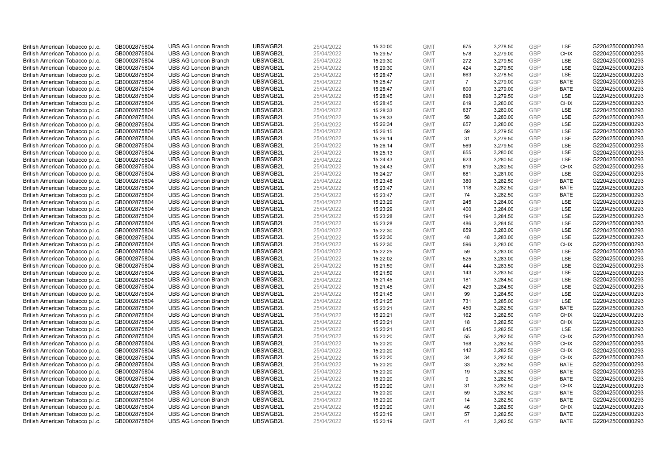| British American Tobacco p.l.c. | GB0002875804 | <b>UBS AG London Branch</b> | UBSWGB2L | 25/04/2022 | 15:30:00 | <b>GMT</b> | 675            | 3,278.50 | <b>GBP</b> | LSE         | G220425000000293 |
|---------------------------------|--------------|-----------------------------|----------|------------|----------|------------|----------------|----------|------------|-------------|------------------|
|                                 | GB0002875804 | <b>UBS AG London Branch</b> | UBSWGB2L | 25/04/2022 |          | <b>GMT</b> | 578            | 3,279.00 | GBP        | <b>CHIX</b> | G220425000000293 |
| British American Tobacco p.l.c. |              |                             |          |            | 15:29:57 |            |                |          |            |             |                  |
| British American Tobacco p.l.c. | GB0002875804 | <b>UBS AG London Branch</b> | UBSWGB2L | 25/04/2022 | 15:29:30 | <b>GMT</b> | 272            | 3,279.50 | <b>GBP</b> | LSE         | G220425000000293 |
| British American Tobacco p.l.c. | GB0002875804 | <b>UBS AG London Branch</b> | UBSWGB2L | 25/04/2022 | 15:29:30 | <b>GMT</b> | 424            | 3,279.50 | <b>GBP</b> | LSE         | G220425000000293 |
| British American Tobacco p.l.c. | GB0002875804 | <b>UBS AG London Branch</b> | UBSWGB2L | 25/04/2022 | 15:28:47 | <b>GMT</b> | 663            | 3,278.50 | <b>GBP</b> | LSE         | G220425000000293 |
| British American Tobacco p.l.c. | GB0002875804 | <b>UBS AG London Branch</b> | UBSWGB2L | 25/04/2022 | 15:28:47 | <b>GMT</b> | $\overline{7}$ | 3,279.00 | <b>GBP</b> | <b>BATE</b> | G220425000000293 |
| British American Tobacco p.l.c. | GB0002875804 | <b>UBS AG London Branch</b> | UBSWGB2L | 25/04/2022 | 15:28:47 | <b>GMT</b> | 600            | 3,279.00 | <b>GBP</b> | <b>BATE</b> | G220425000000293 |
| British American Tobacco p.l.c. | GB0002875804 | <b>UBS AG London Branch</b> | UBSWGB2L | 25/04/2022 | 15:28:45 | <b>GMT</b> | 898            | 3,279.50 | <b>GBP</b> | LSE         | G220425000000293 |
| British American Tobacco p.l.c. | GB0002875804 | <b>UBS AG London Branch</b> | UBSWGB2L | 25/04/2022 | 15:28:45 | <b>GMT</b> | 619            | 3,280.00 | <b>GBP</b> | <b>CHIX</b> | G220425000000293 |
| British American Tobacco p.l.c. | GB0002875804 | <b>UBS AG London Branch</b> | UBSWGB2L | 25/04/2022 | 15:28:33 | <b>GMT</b> | 637            | 3,280.00 | <b>GBP</b> | LSE         | G220425000000293 |
| British American Tobacco p.l.c. | GB0002875804 | <b>UBS AG London Branch</b> | UBSWGB2L | 25/04/2022 | 15:28:33 | <b>GMT</b> | 58             | 3,280.00 | <b>GBP</b> | LSE         | G220425000000293 |
| British American Tobacco p.l.c. | GB0002875804 | <b>UBS AG London Branch</b> | UBSWGB2L | 25/04/2022 | 15:26:34 | <b>GMT</b> | 657            | 3,280.00 | <b>GBP</b> | LSE         | G220425000000293 |
| British American Tobacco p.l.c. | GB0002875804 | <b>UBS AG London Branch</b> | UBSWGB2L | 25/04/2022 | 15:26:15 | <b>GMT</b> | 59             | 3,279.50 | <b>GBP</b> | LSE         | G220425000000293 |
| British American Tobacco p.l.c. | GB0002875804 | <b>UBS AG London Branch</b> | UBSWGB2L | 25/04/2022 | 15:26:14 | <b>GMT</b> | 31             | 3,279.50 | <b>GBP</b> | LSE         | G220425000000293 |
| British American Tobacco p.l.c. | GB0002875804 | <b>UBS AG London Branch</b> | UBSWGB2L | 25/04/2022 | 15:26:14 | <b>GMT</b> | 569            | 3,279.50 | GBP        | LSE         | G220425000000293 |
| British American Tobacco p.l.c. | GB0002875804 | <b>UBS AG London Branch</b> | UBSWGB2L | 25/04/2022 | 15:25:13 | <b>GMT</b> | 655            | 3,280.00 | <b>GBP</b> | LSE         | G220425000000293 |
| British American Tobacco p.l.c. | GB0002875804 | <b>UBS AG London Branch</b> | UBSWGB2L | 25/04/2022 | 15:24:43 | <b>GMT</b> | 623            | 3,280.50 | <b>GBP</b> | LSE         | G220425000000293 |
| British American Tobacco p.l.c. | GB0002875804 | <b>UBS AG London Branch</b> | UBSWGB2L | 25/04/2022 | 15:24:43 | <b>GMT</b> | 619            | 3,280.50 | <b>GBP</b> | <b>CHIX</b> | G220425000000293 |
|                                 |              | <b>UBS AG London Branch</b> | UBSWGB2L |            |          |            | 681            |          |            | <b>LSE</b>  |                  |
| British American Tobacco p.l.c. | GB0002875804 |                             |          | 25/04/2022 | 15:24:27 | <b>GMT</b> |                | 3,281.00 | <b>GBP</b> |             | G220425000000293 |
| British American Tobacco p.l.c. | GB0002875804 | <b>UBS AG London Branch</b> | UBSWGB2L | 25/04/2022 | 15:23:48 | <b>GMT</b> | 380            | 3,282.50 | <b>GBP</b> | <b>BATE</b> | G220425000000293 |
| British American Tobacco p.l.c. | GB0002875804 | <b>UBS AG London Branch</b> | UBSWGB2L | 25/04/2022 | 15:23:47 | <b>GMT</b> | 118            | 3,282.50 | <b>GBP</b> | <b>BATE</b> | G220425000000293 |
| British American Tobacco p.l.c. | GB0002875804 | <b>UBS AG London Branch</b> | UBSWGB2L | 25/04/2022 | 15:23:47 | <b>GMT</b> | 74             | 3,282.50 | <b>GBP</b> | <b>BATE</b> | G220425000000293 |
| British American Tobacco p.l.c. | GB0002875804 | <b>UBS AG London Branch</b> | UBSWGB2L | 25/04/2022 | 15:23:29 | <b>GMT</b> | 245            | 3,284.00 | <b>GBP</b> | LSE         | G220425000000293 |
| British American Tobacco p.l.c. | GB0002875804 | <b>UBS AG London Branch</b> | UBSWGB2L | 25/04/2022 | 15:23:29 | <b>GMT</b> | 400            | 3,284.00 | <b>GBP</b> | LSE         | G220425000000293 |
| British American Tobacco p.l.c. | GB0002875804 | <b>UBS AG London Branch</b> | UBSWGB2L | 25/04/2022 | 15:23:28 | <b>GMT</b> | 194            | 3,284.50 | <b>GBP</b> | LSE         | G220425000000293 |
| British American Tobacco p.l.c. | GB0002875804 | <b>UBS AG London Branch</b> | UBSWGB2L | 25/04/2022 | 15:23:28 | <b>GMT</b> | 486            | 3,284.50 | <b>GBP</b> | LSE         | G220425000000293 |
| British American Tobacco p.l.c. | GB0002875804 | <b>UBS AG London Branch</b> | UBSWGB2L | 25/04/2022 | 15:22:30 | <b>GMT</b> | 659            | 3,283.00 | <b>GBP</b> | LSE         | G220425000000293 |
| British American Tobacco p.l.c. | GB0002875804 | <b>UBS AG London Branch</b> | UBSWGB2L | 25/04/2022 | 15:22:30 | <b>GMT</b> | 48             | 3,283.00 | <b>GBP</b> | LSE         | G220425000000293 |
| British American Tobacco p.l.c. | GB0002875804 | <b>UBS AG London Branch</b> | UBSWGB2L | 25/04/2022 | 15:22:30 | <b>GMT</b> | 596            | 3,283.00 | <b>GBP</b> | <b>CHIX</b> | G220425000000293 |
| British American Tobacco p.l.c. | GB0002875804 | <b>UBS AG London Branch</b> | UBSWGB2L | 25/04/2022 | 15:22:25 | <b>GMT</b> | 59             | 3,283.00 | <b>GBP</b> | LSE         | G220425000000293 |
| British American Tobacco p.l.c. | GB0002875804 | <b>UBS AG London Branch</b> | UBSWGB2L | 25/04/2022 | 15:22:02 | <b>GMT</b> | 525            | 3,283.00 | <b>GBP</b> | LSE         | G220425000000293 |
| British American Tobacco p.l.c. | GB0002875804 | <b>UBS AG London Branch</b> | UBSWGB2L | 25/04/2022 | 15:21:59 | <b>GMT</b> | 444            | 3,283.50 | <b>GBP</b> | LSE         | G220425000000293 |
| British American Tobacco p.l.c. | GB0002875804 | <b>UBS AG London Branch</b> | UBSWGB2L | 25/04/2022 | 15:21:59 | <b>GMT</b> | 143            | 3,283.50 | <b>GBP</b> | LSE         | G220425000000293 |
| British American Tobacco p.l.c. | GB0002875804 | <b>UBS AG London Branch</b> | UBSWGB2L | 25/04/2022 | 15:21:45 | <b>GMT</b> | 181            | 3,284.50 | <b>GBP</b> | LSE         | G220425000000293 |
| British American Tobacco p.l.c. | GB0002875804 | <b>UBS AG London Branch</b> | UBSWGB2L | 25/04/2022 | 15:21:45 | <b>GMT</b> | 429            | 3,284.50 | <b>GBP</b> | LSE         | G220425000000293 |
| British American Tobacco p.l.c. | GB0002875804 | <b>UBS AG London Branch</b> | UBSWGB2L | 25/04/2022 | 15:21:45 | <b>GMT</b> | 99             | 3,284.50 | <b>GBP</b> | LSE         | G220425000000293 |
| British American Tobacco p.l.c. | GB0002875804 | <b>UBS AG London Branch</b> | UBSWGB2L | 25/04/2022 | 15:21:25 | <b>GMT</b> | 731            | 3,285.00 | <b>GBP</b> | LSE         | G220425000000293 |
| British American Tobacco p.l.c. | GB0002875804 | <b>UBS AG London Branch</b> | UBSWGB2L | 25/04/2022 | 15:20:21 | <b>GMT</b> | 450            | 3,282.50 | <b>GBP</b> | <b>BATE</b> | G220425000000293 |
| British American Tobacco p.l.c. | GB0002875804 | <b>UBS AG London Branch</b> | UBSWGB2L | 25/04/2022 | 15:20:21 | <b>GMT</b> | 162            | 3,282.50 | <b>GBP</b> | <b>CHIX</b> | G220425000000293 |
| British American Tobacco p.l.c. | GB0002875804 | <b>UBS AG London Branch</b> | UBSWGB2L | 25/04/2022 | 15:20:21 | <b>GMT</b> | 18             | 3,282.50 | <b>GBP</b> | <b>CHIX</b> | G220425000000293 |
| British American Tobacco p.l.c. | GB0002875804 | <b>UBS AG London Branch</b> | UBSWGB2L | 25/04/2022 | 15:20:21 | <b>GMT</b> | 645            | 3,282.50 | <b>GBP</b> | LSE         | G220425000000293 |
| British American Tobacco p.l.c. | GB0002875804 | <b>UBS AG London Branch</b> | UBSWGB2L | 25/04/2022 | 15:20:20 | <b>GMT</b> | 55             | 3,282.50 | <b>GBP</b> | <b>CHIX</b> | G220425000000293 |
| British American Tobacco p.l.c. | GB0002875804 | <b>UBS AG London Branch</b> | UBSWGB2L | 25/04/2022 | 15:20:20 | <b>GMT</b> | 168            | 3,282.50 | <b>GBP</b> | <b>CHIX</b> | G220425000000293 |
| British American Tobacco p.l.c. | GB0002875804 | <b>UBS AG London Branch</b> | UBSWGB2L | 25/04/2022 | 15:20:20 | <b>GMT</b> | 142            | 3,282.50 | <b>GBP</b> | <b>CHIX</b> | G220425000000293 |
| British American Tobacco p.l.c. | GB0002875804 | <b>UBS AG London Branch</b> | UBSWGB2L | 25/04/2022 | 15:20:20 | <b>GMT</b> | 34             | 3,282.50 | <b>GBP</b> | <b>CHIX</b> | G220425000000293 |
| British American Tobacco p.l.c. | GB0002875804 | <b>UBS AG London Branch</b> | UBSWGB2L | 25/04/2022 | 15:20:20 | <b>GMT</b> | 33             | 3,282.50 | <b>GBP</b> | <b>BATE</b> | G220425000000293 |
| British American Tobacco p.l.c. | GB0002875804 | <b>UBS AG London Branch</b> | UBSWGB2L | 25/04/2022 | 15:20:20 | <b>GMT</b> | 19             | 3,282.50 | <b>GBP</b> | <b>BATE</b> | G220425000000293 |
| British American Tobacco p.l.c. | GB0002875804 | <b>UBS AG London Branch</b> | UBSWGB2L | 25/04/2022 | 15:20:20 | <b>GMT</b> | 9              | 3,282.50 | <b>GBP</b> | <b>BATE</b> | G220425000000293 |
|                                 |              |                             |          |            |          | <b>GMT</b> |                |          | <b>GBP</b> |             |                  |
| British American Tobacco p.l.c. | GB0002875804 | <b>UBS AG London Branch</b> | UBSWGB2L | 25/04/2022 | 15:20:20 |            | 31             | 3,282.50 | <b>GBP</b> | <b>CHIX</b> | G220425000000293 |
| British American Tobacco p.l.c. | GB0002875804 | <b>UBS AG London Branch</b> | UBSWGB2L | 25/04/2022 | 15:20:20 | <b>GMT</b> | 59             | 3,282.50 |            | <b>BATE</b> | G220425000000293 |
| British American Tobacco p.l.c. | GB0002875804 | <b>UBS AG London Branch</b> | UBSWGB2L | 25/04/2022 | 15:20:20 | <b>GMT</b> | 14             | 3,282.50 | <b>GBP</b> | <b>BATE</b> | G220425000000293 |
| British American Tobacco p.l.c. | GB0002875804 | <b>UBS AG London Branch</b> | UBSWGB2L | 25/04/2022 | 15:20:20 | <b>GMT</b> | 46             | 3,282.50 | <b>GBP</b> | <b>CHIX</b> | G220425000000293 |
| British American Tobacco p.l.c. | GB0002875804 | <b>UBS AG London Branch</b> | UBSWGB2L | 25/04/2022 | 15:20:19 | <b>GMT</b> | 57             | 3,282.50 | <b>GBP</b> | <b>BATE</b> | G220425000000293 |
| British American Tobacco p.l.c. | GB0002875804 | <b>UBS AG London Branch</b> | UBSWGB2L | 25/04/2022 | 15:20:19 | <b>GMT</b> | 41             | 3.282.50 | GBP        | <b>BATE</b> | G220425000000293 |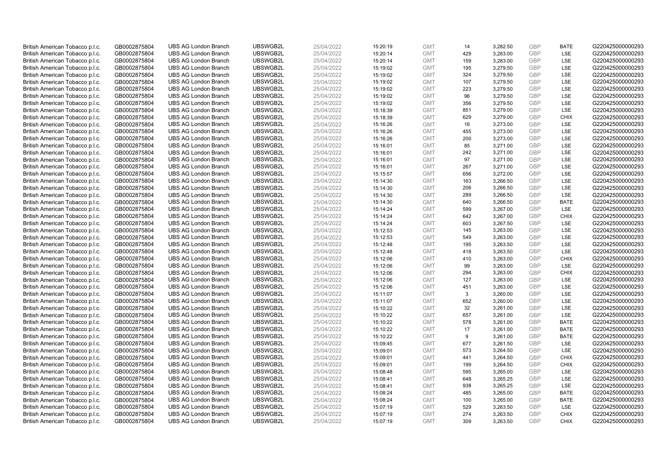| British American Tobacco p.l.c. | GB0002875804 | <b>UBS AG London Branch</b> | UBSWGB2L | 25/04/2022 | 15:20:19 | <b>GMT</b> | 14  | 3,282.50 | <b>GBP</b> | <b>BATE</b> | G220425000000293 |
|---------------------------------|--------------|-----------------------------|----------|------------|----------|------------|-----|----------|------------|-------------|------------------|
| British American Tobacco p.l.c. | GB0002875804 | <b>UBS AG London Branch</b> | UBSWGB2L | 25/04/2022 | 15:20:14 | <b>GMT</b> | 429 | 3,283.00 | <b>GBP</b> | LSE         | G220425000000293 |
| British American Tobacco p.l.c. | GB0002875804 | <b>UBS AG London Branch</b> | UBSWGB2L | 25/04/2022 | 15:20:14 | <b>GMT</b> | 159 | 3,283.00 | <b>GBP</b> | LSE         | G220425000000293 |
| British American Tobacco p.l.c. | GB0002875804 | <b>UBS AG London Branch</b> | UBSWGB2L | 25/04/2022 | 15:19:02 | <b>GMT</b> | 195 | 3,279.50 | <b>GBP</b> | LSE         | G220425000000293 |
| British American Tobacco p.l.c. | GB0002875804 | <b>UBS AG London Branch</b> | UBSWGB2L | 25/04/2022 | 15:19:02 | <b>GMT</b> | 324 | 3,279.50 | <b>GBP</b> | LSE         | G220425000000293 |
| British American Tobacco p.l.c. | GB0002875804 | <b>UBS AG London Branch</b> | UBSWGB2L | 25/04/2022 | 15:19:02 | <b>GMT</b> | 107 | 3,279.50 | <b>GBP</b> | <b>LSE</b>  | G220425000000293 |
| British American Tobacco p.l.c. | GB0002875804 | <b>UBS AG London Branch</b> | UBSWGB2L | 25/04/2022 | 15:19:02 | <b>GMT</b> | 223 | 3,279.50 | <b>GBP</b> | LSE         | G220425000000293 |
| British American Tobacco p.l.c. | GB0002875804 | <b>UBS AG London Branch</b> | UBSWGB2L | 25/04/2022 | 15:19:02 | <b>GMT</b> | 96  | 3,279.50 | <b>GBP</b> | LSE         | G220425000000293 |
| British American Tobacco p.l.c. | GB0002875804 | <b>UBS AG London Branch</b> | UBSWGB2L | 25/04/2022 | 15:19:02 | <b>GMT</b> | 356 | 3,279.50 | <b>GBP</b> | LSE         | G220425000000293 |
| British American Tobacco p.l.c. | GB0002875804 | <b>UBS AG London Branch</b> | UBSWGB2L | 25/04/2022 | 15:18:39 | <b>GMT</b> | 851 | 3,279.00 | <b>GBP</b> | LSE         | G220425000000293 |
| British American Tobacco p.l.c. | GB0002875804 | <b>UBS AG London Branch</b> | UBSWGB2L | 25/04/2022 | 15:18:39 | <b>GMT</b> | 629 | 3,279.00 | <b>GBP</b> | <b>CHIX</b> | G220425000000293 |
| British American Tobacco p.l.c. | GB0002875804 | <b>UBS AG London Branch</b> | UBSWGB2L | 25/04/2022 | 15:16:26 | <b>GMT</b> | 16  | 3,273.00 | <b>GBP</b> | LSE         | G220425000000293 |
| British American Tobacco p.l.c. | GB0002875804 | <b>UBS AG London Branch</b> | UBSWGB2L | 25/04/2022 | 15:16:26 | <b>GMT</b> | 455 | 3,273.00 | <b>GBP</b> | LSE         | G220425000000293 |
| British American Tobacco p.l.c. | GB0002875804 | <b>UBS AG London Branch</b> | UBSWGB2L | 25/04/2022 | 15:16:26 | <b>GMT</b> | 200 | 3,273.00 | <b>GBP</b> | LSE         | G220425000000293 |
| British American Tobacco p.l.c. | GB0002875804 | <b>UBS AG London Branch</b> | UBSWGB2L | 25/04/2022 | 15:16:01 | <b>GMT</b> | 85  | 3,271.00 | <b>GBP</b> | LSE         | G220425000000293 |
| British American Tobacco p.l.c. | GB0002875804 | <b>UBS AG London Branch</b> | UBSWGB2L | 25/04/2022 | 15:16:01 | <b>GMT</b> | 242 | 3,271.00 | <b>GBP</b> | LSE         | G220425000000293 |
| British American Tobacco p.l.c. | GB0002875804 | <b>UBS AG London Branch</b> | UBSWGB2L | 25/04/2022 | 15:16:01 | <b>GMT</b> | 97  | 3,271.00 | <b>GBP</b> | LSE         | G220425000000293 |
| British American Tobacco p.l.c. | GB0002875804 | <b>UBS AG London Branch</b> | UBSWGB2L | 25/04/2022 | 15:16:01 | <b>GMT</b> | 267 | 3,271.00 | <b>GBP</b> | LSE         | G220425000000293 |
| British American Tobacco p.l.c. | GB0002875804 | <b>UBS AG London Branch</b> | UBSWGB2L | 25/04/2022 | 15:15:57 | <b>GMT</b> | 656 | 3,272.00 | <b>GBP</b> | LSE         | G220425000000293 |
| British American Tobacco p.l.c. | GB0002875804 | <b>UBS AG London Branch</b> | UBSWGB2L | 25/04/2022 | 15:14:30 | <b>GMT</b> | 163 | 3,266.50 | <b>GBP</b> | LSE         | G220425000000293 |
| British American Tobacco p.l.c. | GB0002875804 | <b>UBS AG London Branch</b> | UBSWGB2L | 25/04/2022 | 15:14:30 | <b>GMT</b> | 206 | 3,266.50 | <b>GBP</b> | LSE         | G220425000000293 |
| British American Tobacco p.l.c. | GB0002875804 | <b>UBS AG London Branch</b> | UBSWGB2L | 25/04/2022 | 15:14:30 | <b>GMT</b> | 289 | 3,266.50 | <b>GBP</b> | LSE         | G220425000000293 |
| British American Tobacco p.l.c. | GB0002875804 | <b>UBS AG London Branch</b> | UBSWGB2L | 25/04/2022 | 15:14:30 | <b>GMT</b> | 640 | 3,266.50 | <b>GBP</b> | <b>BATE</b> | G220425000000293 |
| British American Tobacco p.l.c. | GB0002875804 | <b>UBS AG London Branch</b> | UBSWGB2L | 25/04/2022 | 15:14:24 | <b>GMT</b> | 599 | 3,267.00 | <b>GBP</b> | LSE         | G220425000000293 |
| British American Tobacco p.l.c. | GB0002875804 | <b>UBS AG London Branch</b> | UBSWGB2L | 25/04/2022 | 15:14:24 | <b>GMT</b> | 642 | 3,267.00 | <b>GBP</b> | <b>CHIX</b> | G220425000000293 |
| British American Tobacco p.l.c. | GB0002875804 | <b>UBS AG London Branch</b> | UBSWGB2L | 25/04/2022 | 15:14:24 | <b>GMT</b> | 603 | 3,267.50 | <b>GBP</b> | LSE         | G220425000000293 |
| British American Tobacco p.l.c. | GB0002875804 | <b>UBS AG London Branch</b> | UBSWGB2L | 25/04/2022 | 15:12:53 | <b>GMT</b> | 145 | 3,263.00 | <b>GBP</b> | <b>LSE</b>  | G220425000000293 |
| British American Tobacco p.l.c. | GB0002875804 | <b>UBS AG London Branch</b> | UBSWGB2L | 25/04/2022 | 15:12:53 | <b>GMT</b> | 549 | 3,263.00 | <b>GBP</b> | LSE         | G220425000000293 |
| British American Tobacco p.l.c. | GB0002875804 | <b>UBS AG London Branch</b> | UBSWGB2L | 25/04/2022 | 15:12:48 | <b>GMT</b> | 195 | 3,263.50 | <b>GBP</b> | LSE         | G220425000000293 |
| British American Tobacco p.l.c. | GB0002875804 | <b>UBS AG London Branch</b> | UBSWGB2L | 25/04/2022 | 15:12:48 | <b>GMT</b> | 418 | 3,263.50 | <b>GBP</b> | LSE         | G220425000000293 |
| British American Tobacco p.l.c. | GB0002875804 | <b>UBS AG London Branch</b> | UBSWGB2L | 25/04/2022 | 15:12:06 | <b>GMT</b> | 410 | 3,263.00 | <b>GBP</b> | <b>CHIX</b> | G220425000000293 |
| British American Tobacco p.l.c. | GB0002875804 | <b>UBS AG London Branch</b> | UBSWGB2L | 25/04/2022 | 15:12:06 | <b>GMT</b> | 99  | 3,263.00 | <b>GBP</b> | <b>LSE</b>  | G220425000000293 |
| British American Tobacco p.l.c. | GB0002875804 | <b>UBS AG London Branch</b> | UBSWGB2L | 25/04/2022 | 15:12:06 | <b>GMT</b> | 294 | 3,263.00 | <b>GBP</b> | <b>CHIX</b> | G220425000000293 |
| British American Tobacco p.l.c. | GB0002875804 | <b>UBS AG London Branch</b> | UBSWGB2L | 25/04/2022 | 15:12:06 | <b>GMT</b> | 127 | 3,263.00 | <b>GBP</b> | LSE         | G220425000000293 |
| British American Tobacco p.l.c. | GB0002875804 | UBS AG London Branch        | UBSWGB2L | 25/04/2022 | 15:12:06 | <b>GMT</b> | 451 | 3,263.00 | GBP        | <b>LSE</b>  | G220425000000293 |
| British American Tobacco p.l.c. | GB0002875804 | <b>UBS AG London Branch</b> | UBSWGB2L | 25/04/2022 | 15:11:07 | <b>GMT</b> | 3   | 3,260.00 | <b>GBP</b> | LSE         | G220425000000293 |
| British American Tobacco p.l.c. | GB0002875804 | <b>UBS AG London Branch</b> | UBSWGB2L | 25/04/2022 | 15:11:07 | <b>GMT</b> | 652 | 3,260.00 | GBP        | <b>LSE</b>  | G220425000000293 |
| British American Tobacco p.l.c. | GB0002875804 | <b>UBS AG London Branch</b> | UBSWGB2L | 25/04/2022 | 15:10:22 | <b>GMT</b> | 32  | 3,261.00 | <b>GBP</b> | LSE         | G220425000000293 |
| British American Tobacco p.l.c. | GB0002875804 | <b>UBS AG London Branch</b> | UBSWGB2L | 25/04/2022 | 15:10:22 | <b>GMT</b> | 657 | 3,261.00 | <b>GBP</b> | LSE         | G220425000000293 |
| British American Tobacco p.l.c. | GB0002875804 | <b>UBS AG London Branch</b> | UBSWGB2L | 25/04/2022 | 15:10:22 | <b>GMT</b> | 578 | 3,261.00 | <b>GBP</b> | <b>BATE</b> | G220425000000293 |
| British American Tobacco p.l.c. | GB0002875804 | <b>UBS AG London Branch</b> | UBSWGB2L | 25/04/2022 | 15:10:22 | <b>GMT</b> | 17  | 3,261.00 | <b>GBP</b> | <b>BATE</b> | G220425000000293 |
| British American Tobacco p.l.c. | GB0002875804 | <b>UBS AG London Branch</b> | UBSWGB2L | 25/04/2022 | 15:10:22 | <b>GMT</b> | 9   | 3,261.00 | <b>GBP</b> | <b>BATE</b> | G220425000000293 |
| British American Tobacco p.l.c. | GB0002875804 | <b>UBS AG London Branch</b> | UBSWGB2L | 25/04/2022 | 15:09:45 | <b>GMT</b> | 677 | 3,261.50 | <b>GBP</b> | LSE         | G220425000000293 |
| British American Tobacco p.l.c. | GB0002875804 | <b>UBS AG London Branch</b> | UBSWGB2L | 25/04/2022 | 15:09:01 | <b>GMT</b> | 573 | 3,264.50 | <b>GBP</b> | LSE         | G220425000000293 |
| British American Tobacco p.l.c. | GB0002875804 | <b>UBS AG London Branch</b> | UBSWGB2L | 25/04/2022 | 15:09:01 | <b>GMT</b> | 441 | 3,264.50 | <b>GBP</b> | <b>CHIX</b> | G220425000000293 |
| British American Tobacco p.l.c. | GB0002875804 | <b>UBS AG London Branch</b> | UBSWGB2L | 25/04/2022 | 15:09:01 | <b>GMT</b> | 199 | 3,264.50 | <b>GBP</b> | <b>CHIX</b> | G220425000000293 |
| British American Tobacco p.l.c. | GB0002875804 | <b>UBS AG London Branch</b> | UBSWGB2L | 25/04/2022 | 15:08:48 | <b>GMT</b> | 595 | 3,265.00 | <b>GBP</b> | LSE         | G220425000000293 |
| British American Tobacco p.l.c. | GB0002875804 | <b>UBS AG London Branch</b> | UBSWGB2L | 25/04/2022 | 15:08:41 | <b>GMT</b> | 648 | 3,265.25 | <b>GBP</b> | LSE         | G220425000000293 |
| British American Tobacco p.l.c. | GB0002875804 | <b>UBS AG London Branch</b> | UBSWGB2L | 25/04/2022 | 15:08:41 | <b>GMT</b> | 938 | 3,265.25 | <b>GBP</b> | LSE         | G220425000000293 |
| British American Tobacco p.l.c. | GB0002875804 | <b>UBS AG London Branch</b> | UBSWGB2L | 25/04/2022 | 15:08:24 | <b>GMT</b> | 485 | 3,265.00 | <b>GBP</b> | <b>BATE</b> | G220425000000293 |
| British American Tobacco p.l.c. | GB0002875804 | <b>UBS AG London Branch</b> | UBSWGB2L | 25/04/2022 | 15:08:24 | <b>GMT</b> | 100 | 3,265.00 | <b>GBP</b> | <b>BATE</b> | G220425000000293 |
| British American Tobacco p.l.c. | GB0002875804 | <b>UBS AG London Branch</b> | UBSWGB2L | 25/04/2022 | 15:07:19 | <b>GMT</b> | 529 | 3,263.50 | <b>GBP</b> | LSE         | G220425000000293 |
| British American Tobacco p.l.c. | GB0002875804 | <b>UBS AG London Branch</b> | UBSWGB2L | 25/04/2022 | 15:07:19 | <b>GMT</b> | 274 | 3,263.50 | <b>GBP</b> | <b>CHIX</b> | G220425000000293 |
| British American Tobacco p.l.c. | GB0002875804 | <b>UBS AG London Branch</b> | UBSWGB2L | 25/04/2022 | 15:07:19 | <b>GMT</b> | 309 | 3,263.50 | GBP        | <b>CHIX</b> | G220425000000293 |
|                                 |              |                             |          |            |          |            |     |          |            |             |                  |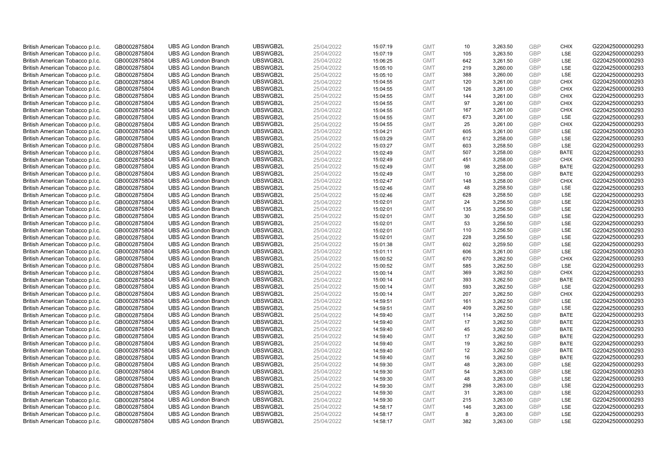| British American Tobacco p.l.c. | GB0002875804 | <b>UBS AG London Branch</b> | UBSWGB2L | 25/04/2022 | 15:07:19 | <b>GMT</b> | 10  | 3,263.50 | <b>GBP</b> | <b>CHIX</b> | G220425000000293 |
|---------------------------------|--------------|-----------------------------|----------|------------|----------|------------|-----|----------|------------|-------------|------------------|
|                                 | GB0002875804 | <b>UBS AG London Branch</b> | UBSWGB2L | 25/04/2022 |          | <b>GMT</b> | 105 | 3,263.50 | GBP        | <b>LSE</b>  | G220425000000293 |
| British American Tobacco p.l.c. |              |                             |          |            | 15:07:19 |            |     |          |            |             |                  |
| British American Tobacco p.l.c. | GB0002875804 | <b>UBS AG London Branch</b> | UBSWGB2L | 25/04/2022 | 15:06:25 | <b>GMT</b> | 642 | 3,261.50 | <b>GBP</b> | LSE         | G220425000000293 |
| British American Tobacco p.l.c. | GB0002875804 | <b>UBS AG London Branch</b> | UBSWGB2L | 25/04/2022 | 15:05:10 | <b>GMT</b> | 219 | 3,260.00 | <b>GBP</b> | LSE         | G220425000000293 |
| British American Tobacco p.l.c. | GB0002875804 | <b>UBS AG London Branch</b> | UBSWGB2L | 25/04/2022 | 15:05:10 | <b>GMT</b> | 388 | 3,260.00 | <b>GBP</b> | LSE         | G220425000000293 |
| British American Tobacco p.l.c. | GB0002875804 | <b>UBS AG London Branch</b> | UBSWGB2L | 25/04/2022 | 15:04:55 | <b>GMT</b> | 120 | 3,261.00 | <b>GBP</b> | <b>CHIX</b> | G220425000000293 |
| British American Tobacco p.l.c. | GB0002875804 | <b>UBS AG London Branch</b> | UBSWGB2L | 25/04/2022 | 15:04:55 | <b>GMT</b> | 126 | 3,261.00 | <b>GBP</b> | <b>CHIX</b> | G220425000000293 |
| British American Tobacco p.l.c. | GB0002875804 | <b>UBS AG London Branch</b> | UBSWGB2L | 25/04/2022 | 15:04:55 | <b>GMT</b> | 144 | 3,261.00 | <b>GBP</b> | <b>CHIX</b> | G220425000000293 |
| British American Tobacco p.l.c. | GB0002875804 | <b>UBS AG London Branch</b> | UBSWGB2L | 25/04/2022 | 15:04:55 | <b>GMT</b> | 97  | 3,261.00 | <b>GBP</b> | <b>CHIX</b> | G220425000000293 |
| British American Tobacco p.l.c. | GB0002875804 | <b>UBS AG London Branch</b> | UBSWGB2L | 25/04/2022 | 15:04:55 | <b>GMT</b> | 167 | 3,261.00 | <b>GBP</b> | <b>CHIX</b> | G220425000000293 |
| British American Tobacco p.l.c. | GB0002875804 | <b>UBS AG London Branch</b> | UBSWGB2L | 25/04/2022 | 15:04:55 | <b>GMT</b> | 673 | 3,261.00 | <b>GBP</b> | <b>LSE</b>  | G220425000000293 |
| British American Tobacco p.l.c. | GB0002875804 | <b>UBS AG London Branch</b> | UBSWGB2L | 25/04/2022 | 15:04:55 | <b>GMT</b> | 25  | 3,261.00 | <b>GBP</b> | <b>CHIX</b> | G220425000000293 |
| British American Tobacco p.l.c. | GB0002875804 | <b>UBS AG London Branch</b> | UBSWGB2L | 25/04/2022 | 15:04:21 | <b>GMT</b> | 605 | 3,261.00 | <b>GBP</b> | <b>LSE</b>  | G220425000000293 |
| British American Tobacco p.l.c. | GB0002875804 | <b>UBS AG London Branch</b> | UBSWGB2L | 25/04/2022 | 15:03:29 | <b>GMT</b> | 612 | 3,258.00 | <b>GBP</b> | LSE         | G220425000000293 |
| British American Tobacco p.l.c. | GB0002875804 | <b>UBS AG London Branch</b> | UBSWGB2L | 25/04/2022 | 15:03:27 | <b>GMT</b> | 603 | 3,258.50 | <b>GBP</b> | <b>LSE</b>  | G220425000000293 |
| British American Tobacco p.l.c. | GB0002875804 | <b>UBS AG London Branch</b> | UBSWGB2L | 25/04/2022 | 15:02:49 | <b>GMT</b> | 507 | 3,258.00 | <b>GBP</b> | <b>BATE</b> | G220425000000293 |
|                                 | GB0002875804 | <b>UBS AG London Branch</b> | UBSWGB2L | 25/04/2022 | 15:02:49 | <b>GMT</b> | 451 |          | <b>GBP</b> | <b>CHIX</b> | G220425000000293 |
| British American Tobacco p.l.c. |              |                             |          |            |          |            |     | 3,258.00 |            |             |                  |
| British American Tobacco p.l.c. | GB0002875804 | <b>UBS AG London Branch</b> | UBSWGB2L | 25/04/2022 | 15:02:49 | <b>GMT</b> | 98  | 3,258.00 | <b>GBP</b> | <b>BATE</b> | G220425000000293 |
| British American Tobacco p.l.c. | GB0002875804 | <b>UBS AG London Branch</b> | UBSWGB2L | 25/04/2022 | 15:02:49 | <b>GMT</b> | 10  | 3,258.00 | <b>GBP</b> | <b>BATE</b> | G220425000000293 |
| British American Tobacco p.l.c. | GB0002875804 | <b>UBS AG London Branch</b> | UBSWGB2L | 25/04/2022 | 15:02:47 | <b>GMT</b> | 148 | 3,258.00 | <b>GBP</b> | <b>CHIX</b> | G220425000000293 |
| British American Tobacco p.l.c. | GB0002875804 | <b>UBS AG London Branch</b> | UBSWGB2L | 25/04/2022 | 15:02:46 | <b>GMT</b> | 48  | 3,258.50 | <b>GBP</b> | LSE         | G220425000000293 |
| British American Tobacco p.l.c. | GB0002875804 | <b>UBS AG London Branch</b> | UBSWGB2L | 25/04/2022 | 15:02:46 | <b>GMT</b> | 628 | 3,258.50 | <b>GBP</b> | LSE         | G220425000000293 |
| British American Tobacco p.l.c. | GB0002875804 | <b>UBS AG London Branch</b> | UBSWGB2L | 25/04/2022 | 15:02:01 | <b>GMT</b> | 24  | 3,256.50 | <b>GBP</b> | LSE         | G220425000000293 |
| British American Tobacco p.l.c. | GB0002875804 | <b>UBS AG London Branch</b> | UBSWGB2L | 25/04/2022 | 15:02:01 | <b>GMT</b> | 135 | 3,256.50 | <b>GBP</b> | <b>LSE</b>  | G220425000000293 |
| British American Tobacco p.l.c. | GB0002875804 | <b>UBS AG London Branch</b> | UBSWGB2L | 25/04/2022 | 15:02:01 | <b>GMT</b> | 30  | 3,256.50 | <b>GBP</b> | LSE         | G220425000000293 |
| British American Tobacco p.l.c. | GB0002875804 | <b>UBS AG London Branch</b> | UBSWGB2L | 25/04/2022 | 15:02:01 | <b>GMT</b> | 53  | 3,256.50 | <b>GBP</b> | LSE         | G220425000000293 |
| British American Tobacco p.l.c. | GB0002875804 | <b>UBS AG London Branch</b> | UBSWGB2L | 25/04/2022 | 15:02:01 | <b>GMT</b> | 110 | 3,256.50 | <b>GBP</b> | LSE         | G220425000000293 |
| British American Tobacco p.l.c. | GB0002875804 | <b>UBS AG London Branch</b> | UBSWGB2L | 25/04/2022 | 15:02:01 | <b>GMT</b> | 228 | 3,256.50 | <b>GBP</b> | <b>LSE</b>  | G220425000000293 |
| British American Tobacco p.l.c. | GB0002875804 | <b>UBS AG London Branch</b> | UBSWGB2L | 25/04/2022 | 15:01:38 | <b>GMT</b> | 602 | 3,259.50 | <b>GBP</b> | LSE         | G220425000000293 |
| British American Tobacco p.l.c. | GB0002875804 | <b>UBS AG London Branch</b> | UBSWGB2L | 25/04/2022 | 15:01:11 | <b>GMT</b> | 606 | 3,261.00 | <b>GBP</b> | LSE         | G220425000000293 |
| British American Tobacco p.l.c. | GB0002875804 | <b>UBS AG London Branch</b> | UBSWGB2L | 25/04/2022 | 15:00:52 | <b>GMT</b> | 670 | 3,262.50 | <b>GBP</b> | <b>CHIX</b> | G220425000000293 |
| British American Tobacco p.l.c. | GB0002875804 | <b>UBS AG London Branch</b> | UBSWGB2L | 25/04/2022 | 15:00:52 | <b>GMT</b> | 585 | 3,262.50 | <b>GBP</b> | <b>LSE</b>  | G220425000000293 |
| British American Tobacco p.l.c. | GB0002875804 | <b>UBS AG London Branch</b> | UBSWGB2L | 25/04/2022 | 15:00:14 | <b>GMT</b> | 369 | 3,262.50 | <b>GBP</b> | <b>CHIX</b> | G220425000000293 |
| British American Tobacco p.l.c. | GB0002875804 | <b>UBS AG London Branch</b> | UBSWGB2L | 25/04/2022 | 15:00:14 | <b>GMT</b> | 393 | 3,262.50 | <b>GBP</b> | <b>BATE</b> | G220425000000293 |
| British American Tobacco p.l.c. | GB0002875804 | <b>UBS AG London Branch</b> | UBSWGB2L | 25/04/2022 | 15:00:14 | <b>GMT</b> | 593 | 3,262.50 | <b>GBP</b> | LSE         | G220425000000293 |
| British American Tobacco p.l.c. | GB0002875804 | <b>UBS AG London Branch</b> | UBSWGB2L | 25/04/2022 | 15:00:14 | <b>GMT</b> | 207 | 3,262.50 | <b>GBP</b> | <b>CHIX</b> | G220425000000293 |
| British American Tobacco p.l.c. | GB0002875804 | <b>UBS AG London Branch</b> | UBSWGB2L | 25/04/2022 | 14:59:51 | <b>GMT</b> | 161 | 3,262.50 | <b>GBP</b> | <b>LSE</b>  | G220425000000293 |
| British American Tobacco p.l.c. | GB0002875804 | <b>UBS AG London Branch</b> | UBSWGB2L | 25/04/2022 | 14:59:51 | <b>GMT</b> | 409 | 3,262.50 | <b>GBP</b> | LSE         | G220425000000293 |
|                                 |              | <b>UBS AG London Branch</b> | UBSWGB2L | 25/04/2022 |          | <b>GMT</b> | 114 |          |            | <b>BATE</b> | G220425000000293 |
| British American Tobacco p.l.c. | GB0002875804 |                             |          |            | 14:59:40 |            |     | 3,262.50 | <b>GBP</b> |             |                  |
| British American Tobacco p.l.c. | GB0002875804 | <b>UBS AG London Branch</b> | UBSWGB2L | 25/04/2022 | 14:59:40 | <b>GMT</b> | 17  | 3,262.50 | <b>GBP</b> | <b>BATE</b> | G220425000000293 |
| British American Tobacco p.l.c. | GB0002875804 | <b>UBS AG London Branch</b> | UBSWGB2L | 25/04/2022 | 14:59:40 | <b>GMT</b> | 45  | 3,262.50 | <b>GBP</b> | <b>BATE</b> | G220425000000293 |
| British American Tobacco p.l.c. | GB0002875804 | <b>UBS AG London Branch</b> | UBSWGB2L | 25/04/2022 | 14:59:40 | <b>GMT</b> | 17  | 3,262.50 | <b>GBP</b> | <b>BATE</b> | G220425000000293 |
| British American Tobacco p.l.c. | GB0002875804 | <b>UBS AG London Branch</b> | UBSWGB2L | 25/04/2022 | 14:59:40 | <b>GMT</b> | 19  | 3,262.50 | <b>GBP</b> | <b>BATE</b> | G220425000000293 |
| British American Tobacco p.l.c. | GB0002875804 | <b>UBS AG London Branch</b> | UBSWGB2L | 25/04/2022 | 14:59:40 | <b>GMT</b> | 12  | 3,262.50 | <b>GBP</b> | <b>BATE</b> | G220425000000293 |
| British American Tobacco p.l.c. | GB0002875804 | <b>UBS AG London Branch</b> | UBSWGB2L | 25/04/2022 | 14:59:40 | <b>GMT</b> | 16  | 3,262.50 | <b>GBP</b> | <b>BATE</b> | G220425000000293 |
| British American Tobacco p.l.c. | GB0002875804 | <b>UBS AG London Branch</b> | UBSWGB2L | 25/04/2022 | 14:59:30 | <b>GMT</b> | 48  | 3,263.00 | <b>GBP</b> | LSE         | G220425000000293 |
| British American Tobacco p.l.c. | GB0002875804 | <b>UBS AG London Branch</b> | UBSWGB2L | 25/04/2022 | 14:59:30 | <b>GMT</b> | 54  | 3,263.00 | <b>GBP</b> | LSE         | G220425000000293 |
| British American Tobacco p.l.c. | GB0002875804 | <b>UBS AG London Branch</b> | UBSWGB2L | 25/04/2022 | 14:59:30 | <b>GMT</b> | 48  | 3,263.00 | <b>GBP</b> | LSE         | G220425000000293 |
| British American Tobacco p.l.c. | GB0002875804 | <b>UBS AG London Branch</b> | UBSWGB2L | 25/04/2022 | 14:59:30 | <b>GMT</b> | 298 | 3,263.00 | <b>GBP</b> | LSE         | G220425000000293 |
| British American Tobacco p.l.c. | GB0002875804 | <b>UBS AG London Branch</b> | UBSWGB2L | 25/04/2022 | 14:59:30 | <b>GMT</b> | 31  | 3,263.00 | <b>GBP</b> | LSE         | G220425000000293 |
| British American Tobacco p.l.c. | GB0002875804 | <b>UBS AG London Branch</b> | UBSWGB2L | 25/04/2022 | 14:59:30 | <b>GMT</b> | 215 | 3,263.00 | <b>GBP</b> | LSE         | G220425000000293 |
| British American Tobacco p.l.c. | GB0002875804 | <b>UBS AG London Branch</b> | UBSWGB2L | 25/04/2022 | 14:58:17 | <b>GMT</b> | 146 | 3,263.00 | <b>GBP</b> | LSE         | G220425000000293 |
| British American Tobacco p.l.c. | GB0002875804 | <b>UBS AG London Branch</b> | UBSWGB2L | 25/04/2022 | 14:58:17 | <b>GMT</b> | 8   | 3,263.00 | <b>GBP</b> | LSE         | G220425000000293 |
| British American Tobacco p.l.c. | GB0002875804 | <b>UBS AG London Branch</b> | UBSWGB2L | 25/04/2022 | 14:58:17 | <b>GMT</b> | 382 | 3.263.00 | GBP        | LSE         | G220425000000293 |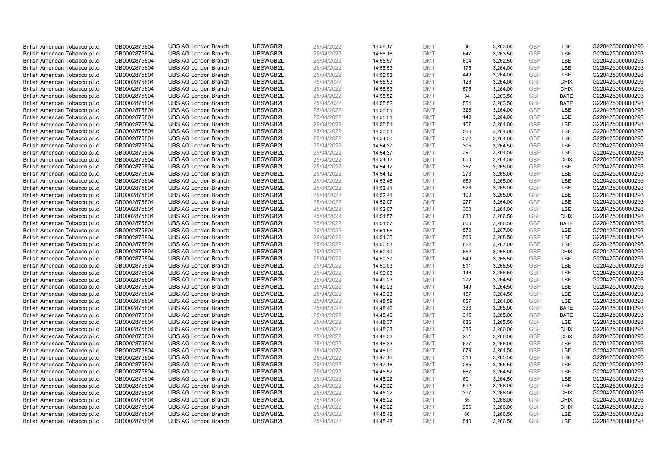| British American Tobacco p.l.c. | GB0002875804 | <b>UBS AG London Branch</b> | UBSWGB2L | 25/04/2022 | 14:58:17 | <b>GMT</b> | 30  | 3,263.00 | <b>GBP</b> | LSE         | G220425000000293 |
|---------------------------------|--------------|-----------------------------|----------|------------|----------|------------|-----|----------|------------|-------------|------------------|
| British American Tobacco p.l.c. | GB0002875804 | <b>UBS AG London Branch</b> | UBSWGB2L | 25/04/2022 | 14:58:16 | <b>GMT</b> | 647 | 3,263.50 | <b>GBP</b> | LSE         | G220425000000293 |
| British American Tobacco p.l.c. | GB0002875804 | <b>UBS AG London Branch</b> | UBSWGB2L | 25/04/2022 | 14:56:57 | <b>GMT</b> | 604 | 3,262.50 | <b>GBP</b> | LSE         | G220425000000293 |
| British American Tobacco p.l.c. | GB0002875804 | <b>UBS AG London Branch</b> | UBSWGB2L | 25/04/2022 | 14:56:53 | <b>GMT</b> | 175 | 3,264.00 | <b>GBP</b> | LSE         | G220425000000293 |
| British American Tobacco p.l.c. | GB0002875804 | <b>UBS AG London Branch</b> | UBSWGB2L | 25/04/2022 | 14:56:53 | <b>GMT</b> | 449 | 3,264.00 | <b>GBP</b> | LSE         | G220425000000293 |
| British American Tobacco p.l.c. | GB0002875804 | <b>UBS AG London Branch</b> | UBSWGB2L | 25/04/2022 | 14:56:53 | <b>GMT</b> | 126 | 3,264.00 | <b>GBP</b> | <b>CHIX</b> | G220425000000293 |
| British American Tobacco p.l.c. | GB0002875804 | <b>UBS AG London Branch</b> | UBSWGB2L | 25/04/2022 | 14:56:53 | <b>GMT</b> | 575 | 3,264.00 | <b>GBP</b> | <b>CHIX</b> | G220425000000293 |
| British American Tobacco p.l.c. | GB0002875804 | <b>UBS AG London Branch</b> | UBSWGB2L | 25/04/2022 | 14:55:52 | <b>GMT</b> | 34  | 3,263.50 | <b>GBP</b> | <b>BATE</b> | G220425000000293 |
| British American Tobacco p.l.c. | GB0002875804 | <b>UBS AG London Branch</b> | UBSWGB2L | 25/04/2022 | 14:55:52 | <b>GMT</b> | 554 | 3,263.50 | <b>GBP</b> | <b>BATE</b> | G220425000000293 |
| British American Tobacco p.l.c. | GB0002875804 | <b>UBS AG London Branch</b> | UBSWGB2L | 25/04/2022 | 14:55:51 | <b>GMT</b> | 326 | 3,264.00 | <b>GBP</b> | LSE         | G220425000000293 |
| British American Tobacco p.l.c. | GB0002875804 | <b>UBS AG London Branch</b> | UBSWGB2L | 25/04/2022 | 14:55:51 | <b>GMT</b> | 149 | 3,264.00 | <b>GBP</b> | LSE         | G220425000000293 |
| British American Tobacco p.l.c. | GB0002875804 | <b>UBS AG London Branch</b> | UBSWGB2L | 25/04/2022 | 14:55:51 | <b>GMT</b> | 157 | 3,264.00 | <b>GBP</b> | LSE         | G220425000000293 |
| British American Tobacco p.l.c. | GB0002875804 | <b>UBS AG London Branch</b> | UBSWGB2L | 25/04/2022 | 14:55:51 | <b>GMT</b> | 560 | 3,264.00 | <b>GBP</b> | LSE         | G220425000000293 |
| British American Tobacco p.l.c. | GB0002875804 | <b>UBS AG London Branch</b> | UBSWGB2L | 25/04/2022 | 14:54:50 | <b>GMT</b> | 572 | 3,264.00 | <b>GBP</b> | LSE         | G220425000000293 |
| British American Tobacco p.l.c. | GB0002875804 | <b>UBS AG London Branch</b> | UBSWGB2L | 25/04/2022 | 14:54:37 | <b>GMT</b> | 305 | 3,264.50 | <b>GBP</b> | LSE         | G220425000000293 |
| British American Tobacco p.l.c. | GB0002875804 | <b>UBS AG London Branch</b> | UBSWGB2L | 25/04/2022 | 14:54:37 | <b>GMT</b> | 391 | 3,264.50 | <b>GBP</b> | LSE         | G220425000000293 |
| British American Tobacco p.l.c. | GB0002875804 | <b>UBS AG London Branch</b> | UBSWGB2L | 25/04/2022 | 14:54:12 | <b>GMT</b> | 650 | 3,264.50 | <b>GBP</b> | <b>CHIX</b> | G220425000000293 |
| British American Tobacco p.l.c. | GB0002875804 | <b>UBS AG London Branch</b> | UBSWGB2L | 25/04/2022 | 14:54:12 | <b>GMT</b> | 357 | 3,265.00 | <b>GBP</b> | LSE         | G220425000000293 |
| British American Tobacco p.l.c. | GB0002875804 | <b>UBS AG London Branch</b> | UBSWGB2L | 25/04/2022 | 14:54:12 | <b>GMT</b> | 273 | 3,265.00 | <b>GBP</b> | LSE         | G220425000000293 |
| British American Tobacco p.l.c. | GB0002875804 | <b>UBS AG London Branch</b> | UBSWGB2L | 25/04/2022 | 14:53:46 | <b>GMT</b> | 689 | 3,265.00 | <b>GBP</b> | LSE         | G220425000000293 |
| British American Tobacco p.l.c. | GB0002875804 | <b>UBS AG London Branch</b> | UBSWGB2L | 25/04/2022 | 14:52:41 | <b>GMT</b> | 526 | 3,265.00 | <b>GBP</b> | LSE         | G220425000000293 |
| British American Tobacco p.l.c. | GB0002875804 | <b>UBS AG London Branch</b> | UBSWGB2L | 25/04/2022 | 14:52:41 | <b>GMT</b> | 100 | 3,265.00 | <b>GBP</b> | LSE         | G220425000000293 |
| British American Tobacco p.l.c. | GB0002875804 | <b>UBS AG London Branch</b> | UBSWGB2L | 25/04/2022 | 14:52:07 | <b>GMT</b> | 277 | 3,264.00 | <b>GBP</b> | LSE         | G220425000000293 |
| British American Tobacco p.l.c. | GB0002875804 | <b>UBS AG London Branch</b> | UBSWGB2L | 25/04/2022 | 14:52:07 | <b>GMT</b> | 300 | 3,264.00 | <b>GBP</b> | LSE         | G220425000000293 |
| British American Tobacco p.l.c. | GB0002875804 | <b>UBS AG London Branch</b> | UBSWGB2L | 25/04/2022 | 14:51:57 | <b>GMT</b> | 630 | 3,266.50 | <b>GBP</b> | <b>CHIX</b> | G220425000000293 |
| British American Tobacco p.l.c. | GB0002875804 | <b>UBS AG London Branch</b> | UBSWGB2L | 25/04/2022 | 14:51:57 | <b>GMT</b> | 600 | 3,266.50 | <b>GBP</b> | <b>BATE</b> | G220425000000293 |
| British American Tobacco p.l.c. | GB0002875804 | <b>UBS AG London Branch</b> | UBSWGB2L | 25/04/2022 | 14:51:55 | <b>GMT</b> | 570 | 3,267.00 | <b>GBP</b> | LSE         | G220425000000293 |
| British American Tobacco p.l.c. | GB0002875804 | <b>UBS AG London Branch</b> | UBSWGB2L | 25/04/2022 | 14:51:35 | <b>GMT</b> | 566 | 3,268.50 | <b>GBP</b> | LSE         | G220425000000293 |
| British American Tobacco p.l.c. | GB0002875804 | <b>UBS AG London Branch</b> | UBSWGB2L | 25/04/2022 | 14:50:53 | <b>GMT</b> | 622 | 3,267.00 | <b>GBP</b> | LSE         | G220425000000293 |
| British American Tobacco p.l.c. | GB0002875804 | <b>UBS AG London Branch</b> | UBSWGB2L | 25/04/2022 | 14:50:40 | <b>GMT</b> | 652 | 3,268.00 | <b>GBP</b> | <b>CHIX</b> | G220425000000293 |
| British American Tobacco p.l.c. | GB0002875804 | <b>UBS AG London Branch</b> | UBSWGB2L | 25/04/2022 | 14:50:37 | <b>GMT</b> | 649 | 3,268.50 | <b>GBP</b> | LSE         | G220425000000293 |
| British American Tobacco p.l.c. | GB0002875804 | <b>UBS AG London Branch</b> | UBSWGB2L | 25/04/2022 | 14:50:03 | <b>GMT</b> | 511 | 3,266.50 | <b>GBP</b> | LSE         | G220425000000293 |
| British American Tobacco p.l.c. | GB0002875804 | <b>UBS AG London Branch</b> | UBSWGB2L | 25/04/2022 | 14:50:03 | <b>GMT</b> | 146 | 3,266.50 | <b>GBP</b> | LSE         | G220425000000293 |
| British American Tobacco p.l.c. | GB0002875804 | <b>UBS AG London Branch</b> | UBSWGB2L | 25/04/2022 | 14:49:23 | <b>GMT</b> | 272 | 3,264.50 | <b>GBP</b> | LSE         | G220425000000293 |
|                                 | GB0002875804 | UBS AG London Branch        | UBSWGB2L | 25/04/2022 | 14:49:23 | <b>GMT</b> | 149 | 3,264.50 | <b>GBP</b> | LSE         | G220425000000293 |
| British American Tobacco p.l.c. |              | <b>UBS AG London Branch</b> | UBSWGB2L |            |          | <b>GMT</b> |     |          | <b>GBP</b> | LSE         | G220425000000293 |
| British American Tobacco p.l.c. | GB0002875804 |                             |          | 25/04/2022 | 14:49:23 |            | 157 | 3,264.50 | <b>GBP</b> |             |                  |
| British American Tobacco p.l.c. | GB0002875804 | <b>UBS AG London Branch</b> | UBSWGB2L | 25/04/2022 | 14:48:59 | <b>GMT</b> | 657 | 3,264.00 |            | <b>LSE</b>  | G220425000000293 |
| British American Tobacco p.l.c. | GB0002875804 | <b>UBS AG London Branch</b> | UBSWGB2L | 25/04/2022 | 14:48:40 | <b>GMT</b> | 333 | 3,265.00 | <b>GBP</b> | <b>BATE</b> | G220425000000293 |
| British American Tobacco p.l.c. | GB0002875804 | <b>UBS AG London Branch</b> | UBSWGB2L | 25/04/2022 | 14:48:40 | <b>GMT</b> | 315 | 3,265.00 | <b>GBP</b> | <b>BATE</b> | G220425000000293 |
| British American Tobacco p.l.c. | GB0002875804 | <b>UBS AG London Branch</b> | UBSWGB2L | 25/04/2022 | 14:48:37 | <b>GMT</b> | 636 | 3,265.50 | <b>GBP</b> | LSE         | G220425000000293 |
| British American Tobacco p.l.c. | GB0002875804 | <b>UBS AG London Branch</b> | UBSWGB2L | 25/04/2022 | 14:48:33 | <b>GMT</b> | 335 | 3,266.00 | <b>GBP</b> | <b>CHIX</b> | G220425000000293 |
| British American Tobacco p.l.c. | GB0002875804 | <b>UBS AG London Branch</b> | UBSWGB2L | 25/04/2022 | 14:48:33 | <b>GMT</b> | 251 | 3,266.00 | <b>GBP</b> | <b>CHIX</b> | G220425000000293 |
| British American Tobacco p.l.c. | GB0002875804 | <b>UBS AG London Branch</b> | UBSWGB2L | 25/04/2022 | 14:48:33 | <b>GMT</b> | 627 | 3,266.00 | <b>GBP</b> | LSE         | G220425000000293 |
| British American Tobacco p.l.c. | GB0002875804 | <b>UBS AG London Branch</b> | UBSWGB2L | 25/04/2022 | 14:48:00 | <b>GMT</b> | 679 | 3,264.50 | <b>GBP</b> | LSE         | G220425000000293 |
| British American Tobacco p.l.c. | GB0002875804 | <b>UBS AG London Branch</b> | UBSWGB2L | 25/04/2022 | 14:47:16 | <b>GMT</b> | 316 | 3,265.50 | <b>GBP</b> | LSE         | G220425000000293 |
| British American Tobacco p.l.c. | GB0002875804 | <b>UBS AG London Branch</b> | UBSWGB2L | 25/04/2022 | 14:47:16 | <b>GMT</b> | 285 | 3,265.50 | <b>GBP</b> | LSE         | G220425000000293 |
| British American Tobacco p.l.c. | GB0002875804 | <b>UBS AG London Branch</b> | UBSWGB2L | 25/04/2022 | 14:46:52 | <b>GMT</b> | 667 | 3,264.50 | <b>GBP</b> | LSE         | G220425000000293 |
| British American Tobacco p.l.c. | GB0002875804 | <b>UBS AG London Branch</b> | UBSWGB2L | 25/04/2022 | 14:46:22 | <b>GMT</b> | 601 | 3,264.50 | <b>GBP</b> | LSE         | G220425000000293 |
| British American Tobacco p.l.c. | GB0002875804 | <b>UBS AG London Branch</b> | UBSWGB2L | 25/04/2022 | 14:46:22 | <b>GMT</b> | 592 | 3,266.00 | <b>GBP</b> | LSE         | G220425000000293 |
| British American Tobacco p.l.c. | GB0002875804 | <b>UBS AG London Branch</b> | UBSWGB2L | 25/04/2022 | 14:46:22 | <b>GMT</b> | 397 | 3,266.00 | <b>GBP</b> | <b>CHIX</b> | G220425000000293 |
| British American Tobacco p.l.c. | GB0002875804 | <b>UBS AG London Branch</b> | UBSWGB2L | 25/04/2022 | 14:46:22 | <b>GMT</b> | 35  | 3,266.00 | <b>GBP</b> | <b>CHIX</b> | G220425000000293 |
| British American Tobacco p.l.c. | GB0002875804 | <b>UBS AG London Branch</b> | UBSWGB2L | 25/04/2022 | 14:46:22 | <b>GMT</b> | 256 | 3,266.00 | <b>GBP</b> | <b>CHIX</b> | G220425000000293 |
| British American Tobacco p.l.c. | GB0002875804 | <b>UBS AG London Branch</b> | UBSWGB2L | 25/04/2022 | 14:45:48 | <b>GMT</b> | 66  | 3,266.50 | <b>GBP</b> | LSE         | G220425000000293 |
| British American Tobacco p.l.c. | GB0002875804 | <b>UBS AG London Branch</b> | UBSWGB2L | 25/04/2022 | 14:45:48 | <b>GMT</b> | 540 | 3,266.50 | GBP        | LSE         | G220425000000293 |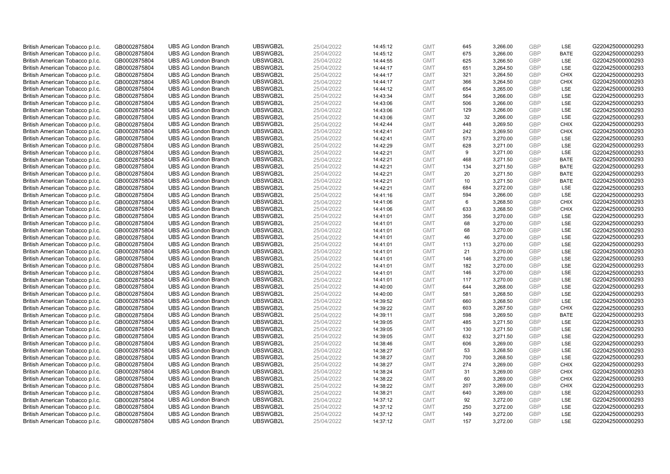| British American Tobacco p.l.c. | GB0002875804 | <b>UBS AG London Branch</b>                                | UBSWGB2L | 25/04/2022 | 14:45:12 | <b>GMT</b>               | 645 | 3,266.00 | <b>GBP</b>               | LSE         | G220425000000293 |
|---------------------------------|--------------|------------------------------------------------------------|----------|------------|----------|--------------------------|-----|----------|--------------------------|-------------|------------------|
| British American Tobacco p.l.c. | GB0002875804 | <b>UBS AG London Branch</b>                                | UBSWGB2L | 25/04/2022 | 14:45:12 | <b>GMT</b>               | 675 | 3,266.00 | <b>GBP</b>               | <b>BATE</b> | G220425000000293 |
| British American Tobacco p.l.c. | GB0002875804 | <b>UBS AG London Branch</b>                                | UBSWGB2L | 25/04/2022 | 14:44:55 | <b>GMT</b>               | 625 | 3,266.50 | <b>GBP</b>               | LSE         | G220425000000293 |
|                                 |              |                                                            | UBSWGB2L |            |          |                          |     |          | <b>GBP</b>               |             |                  |
| British American Tobacco p.l.c. | GB0002875804 | <b>UBS AG London Branch</b>                                |          | 25/04/2022 | 14:44:17 | <b>GMT</b>               | 651 | 3,264.50 |                          | LSE         | G220425000000293 |
| British American Tobacco p.l.c. | GB0002875804 | <b>UBS AG London Branch</b>                                | UBSWGB2L | 25/04/2022 | 14:44:17 | <b>GMT</b>               | 321 | 3,264.50 | <b>GBP</b>               | <b>CHIX</b> | G220425000000293 |
| British American Tobacco p.l.c. | GB0002875804 | <b>UBS AG London Branch</b>                                | UBSWGB2L | 25/04/2022 | 14:44:17 | <b>GMT</b>               | 366 | 3,264.50 | <b>GBP</b>               | <b>CHIX</b> | G220425000000293 |
| British American Tobacco p.l.c. | GB0002875804 | <b>UBS AG London Branch</b>                                | UBSWGB2L | 25/04/2022 | 14:44:12 | <b>GMT</b>               | 654 | 3,265.00 | <b>GBP</b>               | LSE         | G220425000000293 |
| British American Tobacco p.l.c. | GB0002875804 | <b>UBS AG London Branch</b>                                | UBSWGB2L | 25/04/2022 | 14:43:34 | <b>GMT</b>               | 564 | 3,266.00 | <b>GBP</b>               | LSE         | G220425000000293 |
| British American Tobacco p.l.c. | GB0002875804 | <b>UBS AG London Branch</b>                                | UBSWGB2L | 25/04/2022 | 14:43:06 | <b>GMT</b>               | 506 | 3,266.00 | <b>GBP</b>               | LSE         | G220425000000293 |
| British American Tobacco p.l.c. | GB0002875804 | <b>UBS AG London Branch</b>                                | UBSWGB2L | 25/04/2022 | 14:43:06 | <b>GMT</b>               | 129 | 3,266.00 | <b>GBP</b>               | LSE         | G220425000000293 |
| British American Tobacco p.l.c. | GB0002875804 | <b>UBS AG London Branch</b>                                | UBSWGB2L | 25/04/2022 | 14:43:06 | <b>GMT</b>               | 32  | 3,266.00 | <b>GBP</b>               | LSE         | G220425000000293 |
| British American Tobacco p.l.c. | GB0002875804 | <b>UBS AG London Branch</b>                                | UBSWGB2L | 25/04/2022 | 14:42:44 | <b>GMT</b>               | 448 | 3,269.50 | <b>GBP</b>               | <b>CHIX</b> | G220425000000293 |
| British American Tobacco p.l.c. | GB0002875804 | <b>UBS AG London Branch</b>                                | UBSWGB2L | 25/04/2022 | 14:42:41 | <b>GMT</b>               | 242 | 3,269.50 | <b>GBP</b>               | <b>CHIX</b> | G220425000000293 |
| British American Tobacco p.l.c. | GB0002875804 | <b>UBS AG London Branch</b>                                | UBSWGB2L | 25/04/2022 | 14:42:41 | <b>GMT</b>               | 573 | 3,270.00 | <b>GBP</b>               | LSE         | G220425000000293 |
| British American Tobacco p.l.c. | GB0002875804 | <b>UBS AG London Branch</b>                                | UBSWGB2L | 25/04/2022 | 14:42:29 | <b>GMT</b>               | 628 | 3,271.00 | <b>GBP</b>               | <b>LSE</b>  | G220425000000293 |
| British American Tobacco p.l.c. | GB0002875804 | <b>UBS AG London Branch</b>                                | UBSWGB2L | 25/04/2022 | 14:42:21 | <b>GMT</b>               | 9   | 3,271.00 | <b>GBP</b>               | LSE         | G220425000000293 |
| British American Tobacco p.l.c. | GB0002875804 | <b>UBS AG London Branch</b>                                | UBSWGB2L | 25/04/2022 | 14:42:21 | <b>GMT</b>               | 468 | 3,271.50 | <b>GBP</b>               | <b>BATE</b> | G220425000000293 |
| British American Tobacco p.l.c. | GB0002875804 | <b>UBS AG London Branch</b>                                | UBSWGB2L | 25/04/2022 | 14:42:21 | <b>GMT</b>               | 134 | 3,271.50 | <b>GBP</b>               | <b>BATE</b> | G220425000000293 |
| British American Tobacco p.l.c. | GB0002875804 | <b>UBS AG London Branch</b>                                | UBSWGB2L | 25/04/2022 | 14:42:21 | <b>GMT</b>               | 20  | 3,271.50 | <b>GBP</b>               | <b>BATE</b> | G220425000000293 |
| British American Tobacco p.l.c. | GB0002875804 | <b>UBS AG London Branch</b>                                | UBSWGB2L | 25/04/2022 | 14:42:21 | <b>GMT</b>               | 10  | 3,271.50 | <b>GBP</b>               | <b>BATE</b> | G220425000000293 |
| British American Tobacco p.l.c. | GB0002875804 | <b>UBS AG London Branch</b>                                | UBSWGB2L | 25/04/2022 | 14:42:21 | <b>GMT</b>               | 684 | 3,272.00 | <b>GBP</b>               | LSE         | G220425000000293 |
| British American Tobacco p.l.c. | GB0002875804 | <b>UBS AG London Branch</b>                                | UBSWGB2L | 25/04/2022 | 14:41:16 | <b>GMT</b>               | 594 | 3,266.00 | <b>GBP</b>               | LSE         | G220425000000293 |
| British American Tobacco p.l.c. | GB0002875804 | <b>UBS AG London Branch</b>                                | UBSWGB2L | 25/04/2022 | 14:41:06 | <b>GMT</b>               | 6   | 3,268.50 | <b>GBP</b>               | <b>CHIX</b> | G220425000000293 |
| British American Tobacco p.l.c. | GB0002875804 | <b>UBS AG London Branch</b>                                | UBSWGB2L | 25/04/2022 | 14:41:06 | <b>GMT</b>               | 633 | 3,268.50 | <b>GBP</b>               | <b>CHIX</b> | G220425000000293 |
| British American Tobacco p.l.c. | GB0002875804 | <b>UBS AG London Branch</b>                                | UBSWGB2L | 25/04/2022 | 14:41:01 | <b>GMT</b>               | 356 | 3,270.00 | <b>GBP</b>               | LSE         | G220425000000293 |
| British American Tobacco p.l.c. | GB0002875804 | <b>UBS AG London Branch</b>                                | UBSWGB2L | 25/04/2022 | 14:41:01 | <b>GMT</b>               | 68  | 3,270.00 | <b>GBP</b>               | LSE         | G220425000000293 |
| British American Tobacco p.l.c. | GB0002875804 | <b>UBS AG London Branch</b>                                | UBSWGB2L | 25/04/2022 | 14:41:01 | <b>GMT</b>               | 68  | 3,270.00 | <b>GBP</b>               | LSE         | G220425000000293 |
| British American Tobacco p.l.c. | GB0002875804 | <b>UBS AG London Branch</b>                                | UBSWGB2L | 25/04/2022 | 14:41:01 | <b>GMT</b>               | 46  | 3,270.00 | <b>GBP</b>               | <b>LSE</b>  | G220425000000293 |
| British American Tobacco p.l.c. | GB0002875804 | <b>UBS AG London Branch</b>                                | UBSWGB2L | 25/04/2022 | 14:41:01 | <b>GMT</b>               | 113 | 3,270.00 | <b>GBP</b>               | LSE         | G220425000000293 |
| British American Tobacco p.l.c. | GB0002875804 | <b>UBS AG London Branch</b>                                | UBSWGB2L | 25/04/2022 | 14:41:01 | <b>GMT</b>               | 21  | 3,270.00 | <b>GBP</b>               | LSE         | G220425000000293 |
| British American Tobacco p.l.c. | GB0002875804 | <b>UBS AG London Branch</b>                                | UBSWGB2L | 25/04/2022 | 14:41:01 | <b>GMT</b>               | 146 | 3,270.00 | <b>GBP</b>               | LSE         | G220425000000293 |
| British American Tobacco p.l.c. | GB0002875804 | <b>UBS AG London Branch</b>                                | UBSWGB2L | 25/04/2022 | 14:41:01 | <b>GMT</b>               | 182 | 3,270.00 | <b>GBP</b>               | <b>LSE</b>  | G220425000000293 |
| British American Tobacco p.l.c. | GB0002875804 | <b>UBS AG London Branch</b>                                | UBSWGB2L | 25/04/2022 | 14:41:01 | <b>GMT</b>               | 146 | 3,270.00 | <b>GBP</b>               | LSE         | G220425000000293 |
| British American Tobacco p.l.c. | GB0002875804 | <b>UBS AG London Branch</b>                                | UBSWGB2L | 25/04/2022 | 14:41:01 | <b>GMT</b>               | 117 | 3,270.00 | <b>GBP</b>               | LSE         | G220425000000293 |
| British American Tobacco p.l.c. | GB0002875804 | <b>UBS AG London Branch</b>                                | UBSWGB2L | 25/04/2022 | 14:40:00 | <b>GMT</b>               | 644 | 3,268.00 | <b>GBP</b>               | LSE         | G220425000000293 |
| British American Tobacco p.l.c. | GB0002875804 | <b>UBS AG London Branch</b>                                | UBSWGB2L | 25/04/2022 | 14:40:00 | <b>GMT</b>               | 581 | 3,268.50 | <b>GBP</b>               | LSE         | G220425000000293 |
| British American Tobacco p.l.c. | GB0002875804 | <b>UBS AG London Branch</b>                                | UBSWGB2L | 25/04/2022 | 14:39:52 | <b>GMT</b>               | 660 | 3,268.50 | <b>GBP</b>               | <b>LSE</b>  | G220425000000293 |
| British American Tobacco p.l.c. | GB0002875804 | <b>UBS AG London Branch</b>                                | UBSWGB2L | 25/04/2022 | 14:39:22 | <b>GMT</b>               | 603 | 3,267.50 | <b>GBP</b>               | <b>CHIX</b> | G220425000000293 |
|                                 |              |                                                            | UBSWGB2L |            |          |                          | 598 |          |                          | <b>BATE</b> | G220425000000293 |
| British American Tobacco p.l.c. | GB0002875804 | <b>UBS AG London Branch</b><br><b>UBS AG London Branch</b> | UBSWGB2L | 25/04/2022 | 14:39:11 | <b>GMT</b><br><b>GMT</b> | 485 | 3,269.50 | <b>GBP</b><br><b>GBP</b> | LSE         | G220425000000293 |
| British American Tobacco p.l.c. | GB0002875804 |                                                            |          | 25/04/2022 | 14:39:05 |                          |     | 3,271.50 | <b>GBP</b>               | LSE         |                  |
| British American Tobacco p.l.c. | GB0002875804 | <b>UBS AG London Branch</b>                                | UBSWGB2L | 25/04/2022 | 14:39:05 | <b>GMT</b>               | 130 | 3,271.50 |                          |             | G220425000000293 |
| British American Tobacco p.l.c. | GB0002875804 | <b>UBS AG London Branch</b>                                | UBSWGB2L | 25/04/2022 | 14:39:05 | <b>GMT</b>               | 632 | 3,271.50 | <b>GBP</b>               | LSE         | G220425000000293 |
| British American Tobacco p.l.c. | GB0002875804 | <b>UBS AG London Branch</b>                                | UBSWGB2L | 25/04/2022 | 14:38:46 | <b>GMT</b>               | 606 | 3,269.00 | <b>GBP</b>               | LSE         | G220425000000293 |
| British American Tobacco p.l.c. | GB0002875804 | <b>UBS AG London Branch</b>                                | UBSWGB2L | 25/04/2022 | 14:38:27 | <b>GMT</b>               | 53  | 3,268.50 | <b>GBP</b>               | LSE         | G220425000000293 |
| British American Tobacco p.l.c. | GB0002875804 | <b>UBS AG London Branch</b>                                | UBSWGB2L | 25/04/2022 | 14:38:27 | <b>GMT</b>               | 700 | 3,268.50 | <b>GBP</b>               | LSE         | G220425000000293 |
| British American Tobacco p.l.c. | GB0002875804 | <b>UBS AG London Branch</b>                                | UBSWGB2L | 25/04/2022 | 14:38:27 | <b>GMT</b>               | 274 | 3,269.00 | <b>GBP</b>               | <b>CHIX</b> | G220425000000293 |
| British American Tobacco p.l.c. | GB0002875804 | <b>UBS AG London Branch</b>                                | UBSWGB2L | 25/04/2022 | 14:38:24 | <b>GMT</b>               | 31  | 3,269.00 | <b>GBP</b>               | <b>CHIX</b> | G220425000000293 |
| British American Tobacco p.l.c. | GB0002875804 | <b>UBS AG London Branch</b>                                | UBSWGB2L | 25/04/2022 | 14:38:22 | <b>GMT</b>               | 60  | 3,269.00 | <b>GBP</b>               | <b>CHIX</b> | G220425000000293 |
| British American Tobacco p.l.c. | GB0002875804 | <b>UBS AG London Branch</b>                                | UBSWGB2L | 25/04/2022 | 14:38:22 | <b>GMT</b>               | 207 | 3,269.00 | <b>GBP</b>               | <b>CHIX</b> | G220425000000293 |
| British American Tobacco p.l.c. | GB0002875804 | <b>UBS AG London Branch</b>                                | UBSWGB2L | 25/04/2022 | 14:38:21 | <b>GMT</b>               | 640 | 3,269.00 | <b>GBP</b>               | <b>LSE</b>  | G220425000000293 |
| British American Tobacco p.l.c. | GB0002875804 | <b>UBS AG London Branch</b>                                | UBSWGB2L | 25/04/2022 | 14:37:12 | <b>GMT</b>               | 92  | 3,272.00 | <b>GBP</b>               | LSE         | G220425000000293 |
| British American Tobacco p.l.c. | GB0002875804 | <b>UBS AG London Branch</b>                                | UBSWGB2L | 25/04/2022 | 14:37:12 | <b>GMT</b>               | 250 | 3,272.00 | <b>GBP</b>               | LSE         | G220425000000293 |
| British American Tobacco p.l.c. | GB0002875804 | <b>UBS AG London Branch</b>                                | UBSWGB2L | 25/04/2022 | 14:37:12 | <b>GMT</b>               | 149 | 3,272.00 | <b>GBP</b>               | LSE         | G220425000000293 |
| British American Tobacco p.l.c. | GB0002875804 | <b>UBS AG London Branch</b>                                | UBSWGB2L | 25/04/2022 | 14:37:12 | <b>GMT</b>               | 157 | 3.272.00 | GBP                      | <b>LSE</b>  | G220425000000293 |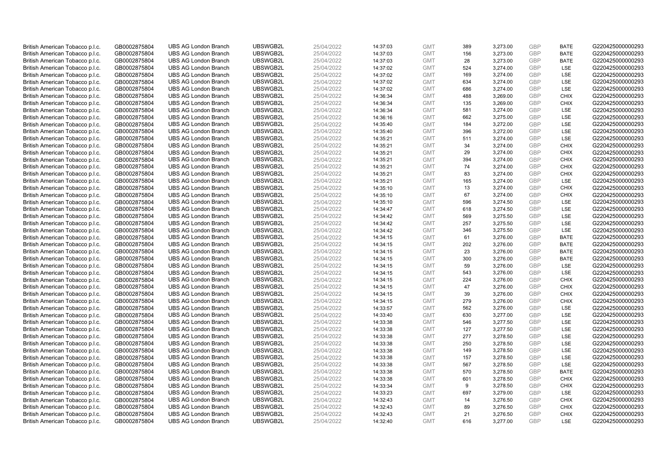| British American Tobacco p.l.c. | GB0002875804 | <b>UBS AG London Branch</b> | UBSWGB2L             | 25/04/2022 | 14:37:03 | <b>GMT</b> | 389        | 3,273.00 | <b>GBP</b>               | <b>BATE</b> | G220425000000293                     |
|---------------------------------|--------------|-----------------------------|----------------------|------------|----------|------------|------------|----------|--------------------------|-------------|--------------------------------------|
|                                 | GB0002875804 | <b>UBS AG London Branch</b> | UBSWGB2L             | 25/04/2022 |          | <b>GMT</b> | 156        | 3,273.00 | <b>GBP</b>               | <b>BATE</b> | G220425000000293                     |
| British American Tobacco p.l.c. |              |                             |                      |            | 14:37:03 |            |            |          |                          |             |                                      |
| British American Tobacco p.l.c. | GB0002875804 | <b>UBS AG London Branch</b> | UBSWGB2L             | 25/04/2022 | 14:37:03 | <b>GMT</b> | 28         | 3,273.00 | <b>GBP</b>               | <b>BATE</b> | G220425000000293                     |
| British American Tobacco p.l.c. | GB0002875804 | <b>UBS AG London Branch</b> | UBSWGB2L             | 25/04/2022 | 14:37:02 | <b>GMT</b> | 524        | 3,274.00 | <b>GBP</b>               | LSE         | G220425000000293                     |
| British American Tobacco p.l.c. | GB0002875804 | <b>UBS AG London Branch</b> | UBSWGB2L             | 25/04/2022 | 14:37:02 | <b>GMT</b> | 169        | 3,274.00 | <b>GBP</b>               | LSE         | G220425000000293                     |
| British American Tobacco p.l.c. | GB0002875804 | <b>UBS AG London Branch</b> | UBSWGB2L             | 25/04/2022 | 14:37:02 | <b>GMT</b> | 634        | 3,274.00 | <b>GBP</b>               | LSE         | G220425000000293                     |
| British American Tobacco p.l.c. | GB0002875804 | <b>UBS AG London Branch</b> | UBSWGB2L             | 25/04/2022 | 14:37:02 | <b>GMT</b> | 686        | 3,274.00 | <b>GBP</b>               | LSE         | G220425000000293                     |
| British American Tobacco p.l.c. | GB0002875804 | <b>UBS AG London Branch</b> | UBSWGB2L             | 25/04/2022 | 14:36:34 | <b>GMT</b> | 488        | 3,269.00 | <b>GBP</b>               | <b>CHIX</b> | G220425000000293                     |
| British American Tobacco p.l.c. | GB0002875804 | <b>UBS AG London Branch</b> | UBSWGB2L             | 25/04/2022 | 14:36:34 | <b>GMT</b> | 135        | 3,269.00 | <b>GBP</b>               | <b>CHIX</b> | G220425000000293                     |
| British American Tobacco p.l.c. | GB0002875804 | <b>UBS AG London Branch</b> | UBSWGB2L             | 25/04/2022 | 14:36:34 | <b>GMT</b> | 581        | 3,274.00 | <b>GBP</b>               | LSE         | G220425000000293                     |
| British American Tobacco p.l.c. | GB0002875804 | <b>UBS AG London Branch</b> | UBSWGB2L             | 25/04/2022 | 14:36:16 | <b>GMT</b> | 662        | 3,275.00 | <b>GBP</b>               | <b>LSE</b>  | G220425000000293                     |
| British American Tobacco p.l.c. | GB0002875804 | <b>UBS AG London Branch</b> | UBSWGB2L             | 25/04/2022 | 14:35:40 | <b>GMT</b> | 184        | 3,272.00 | <b>GBP</b>               | LSE         | G220425000000293                     |
| British American Tobacco p.l.c. | GB0002875804 | <b>UBS AG London Branch</b> | UBSWGB2L             | 25/04/2022 | 14:35:40 | <b>GMT</b> | 396        | 3,272.00 | <b>GBP</b>               | LSE         | G220425000000293                     |
| British American Tobacco p.l.c. | GB0002875804 | <b>UBS AG London Branch</b> | UBSWGB2L             | 25/04/2022 | 14:35:21 | <b>GMT</b> | 511        | 3,274.00 | <b>GBP</b>               | LSE         | G220425000000293                     |
| British American Tobacco p.l.c. | GB0002875804 | <b>UBS AG London Branch</b> | UBSWGB2L             | 25/04/2022 | 14:35:21 | <b>GMT</b> | 34         | 3,274.00 | <b>GBP</b>               | <b>CHIX</b> | G220425000000293                     |
| British American Tobacco p.l.c. | GB0002875804 | <b>UBS AG London Branch</b> | UBSWGB2L             | 25/04/2022 | 14:35:21 | <b>GMT</b> | 29         | 3,274.00 | <b>GBP</b>               | <b>CHIX</b> | G220425000000293                     |
| British American Tobacco p.l.c. | GB0002875804 | <b>UBS AG London Branch</b> | UBSWGB2L             | 25/04/2022 | 14:35:21 | <b>GMT</b> | 394        | 3,274.00 | <b>GBP</b>               | <b>CHIX</b> | G220425000000293                     |
| British American Tobacco p.l.c. | GB0002875804 | <b>UBS AG London Branch</b> | UBSWGB2L             | 25/04/2022 | 14:35:21 | <b>GMT</b> | 74         | 3,274.00 | <b>GBP</b>               | <b>CHIX</b> | G220425000000293                     |
|                                 |              | <b>UBS AG London Branch</b> | UBSWGB2L             |            |          |            | 83         |          |                          | <b>CHIX</b> |                                      |
| British American Tobacco p.l.c. | GB0002875804 |                             |                      | 25/04/2022 | 14:35:21 | <b>GMT</b> |            | 3,274.00 | <b>GBP</b>               |             | G220425000000293                     |
| British American Tobacco p.l.c. | GB0002875804 | <b>UBS AG London Branch</b> | UBSWGB2L             | 25/04/2022 | 14:35:21 | <b>GMT</b> | 165        | 3,274.00 | <b>GBP</b>               | LSE         | G220425000000293                     |
| British American Tobacco p.l.c. | GB0002875804 | <b>UBS AG London Branch</b> | UBSWGB2L             | 25/04/2022 | 14:35:10 | <b>GMT</b> | 13         | 3,274.00 | <b>GBP</b>               | <b>CHIX</b> | G220425000000293                     |
| British American Tobacco p.l.c. | GB0002875804 | <b>UBS AG London Branch</b> | UBSWGB2L             | 25/04/2022 | 14:35:10 | <b>GMT</b> | 67         | 3,274.00 | <b>GBP</b>               | <b>CHIX</b> | G220425000000293                     |
| British American Tobacco p.l.c. | GB0002875804 | <b>UBS AG London Branch</b> | UBSWGB2L             | 25/04/2022 | 14:35:10 | <b>GMT</b> | 596        | 3,274.50 | <b>GBP</b>               | LSE         | G220425000000293                     |
| British American Tobacco p.l.c. | GB0002875804 | <b>UBS AG London Branch</b> | UBSWGB2L             | 25/04/2022 | 14:34:47 | <b>GMT</b> | 618        | 3,274.50 | <b>GBP</b>               | <b>LSE</b>  | G220425000000293                     |
| British American Tobacco p.l.c. | GB0002875804 | <b>UBS AG London Branch</b> | UBSWGB2L             | 25/04/2022 | 14:34:42 | <b>GMT</b> | 569        | 3,275.50 | <b>GBP</b>               | LSE         | G220425000000293                     |
| British American Tobacco p.l.c. | GB0002875804 | <b>UBS AG London Branch</b> | UBSWGB2L             | 25/04/2022 | 14:34:42 | <b>GMT</b> | 257        | 3,275.50 | <b>GBP</b>               | LSE         | G220425000000293                     |
| British American Tobacco p.l.c. | GB0002875804 | <b>UBS AG London Branch</b> | UBSWGB2L             | 25/04/2022 | 14:34:42 | <b>GMT</b> | 346        | 3,275.50 | <b>GBP</b>               | LSE         | G220425000000293                     |
| British American Tobacco p.l.c. | GB0002875804 | <b>UBS AG London Branch</b> | UBSWGB2L             | 25/04/2022 | 14:34:15 | <b>GMT</b> | 61         | 3,276.00 | <b>GBP</b>               | <b>BATE</b> | G220425000000293                     |
| British American Tobacco p.l.c. | GB0002875804 | <b>UBS AG London Branch</b> | UBSWGB2L             | 25/04/2022 | 14:34:15 | <b>GMT</b> | 202        | 3,276.00 | <b>GBP</b>               | <b>BATE</b> | G220425000000293                     |
| British American Tobacco p.l.c. | GB0002875804 | <b>UBS AG London Branch</b> | UBSWGB2L             | 25/04/2022 | 14:34:15 | <b>GMT</b> | 23         | 3,276.00 | <b>GBP</b>               | <b>BATE</b> | G220425000000293                     |
| British American Tobacco p.l.c. | GB0002875804 | <b>UBS AG London Branch</b> | UBSWGB2L             | 25/04/2022 | 14:34:15 | <b>GMT</b> | 300        | 3,276.00 | <b>GBP</b>               | <b>BATE</b> | G220425000000293                     |
| British American Tobacco p.l.c. | GB0002875804 | <b>UBS AG London Branch</b> | UBSWGB2L             | 25/04/2022 | 14:34:15 | <b>GMT</b> | 59         | 3,276.00 | <b>GBP</b>               | <b>LSE</b>  | G220425000000293                     |
| British American Tobacco p.l.c. | GB0002875804 | <b>UBS AG London Branch</b> | UBSWGB2L             | 25/04/2022 | 14:34:15 | <b>GMT</b> | 543        | 3,276.00 | <b>GBP</b>               | LSE         | G220425000000293                     |
| British American Tobacco p.l.c. | GB0002875804 | <b>UBS AG London Branch</b> | UBSWGB2L             | 25/04/2022 | 14:34:15 | <b>GMT</b> | 224        | 3,276.00 | <b>GBP</b>               | <b>CHIX</b> | G220425000000293                     |
| British American Tobacco p.l.c. | GB0002875804 | <b>UBS AG London Branch</b> | UBSWGB2L             | 25/04/2022 | 14:34:15 | <b>GMT</b> | 47         | 3,276.00 | <b>GBP</b>               | <b>CHIX</b> | G220425000000293                     |
| British American Tobacco p.l.c. | GB0002875804 | <b>UBS AG London Branch</b> | UBSWGB2L             | 25/04/2022 | 14:34:15 | <b>GMT</b> | 39         | 3,276.00 | <b>GBP</b>               | <b>CHIX</b> | G220425000000293                     |
| British American Tobacco p.l.c. | GB0002875804 | <b>UBS AG London Branch</b> | UBSWGB2L             | 25/04/2022 | 14:34:15 | <b>GMT</b> | 279        | 3,276.00 | <b>GBP</b>               | <b>CHIX</b> | G220425000000293                     |
| British American Tobacco p.l.c. | GB0002875804 | <b>UBS AG London Branch</b> | UBSWGB2L             | 25/04/2022 | 14:33:57 | <b>GMT</b> | 562        | 3,276.00 | <b>GBP</b>               | LSE         | G220425000000293                     |
| British American Tobacco p.l.c. | GB0002875804 | <b>UBS AG London Branch</b> | UBSWGB2L             | 25/04/2022 | 14:33:40 | <b>GMT</b> | 630        | 3,277.00 | <b>GBP</b>               | LSE         | G220425000000293                     |
| British American Tobacco p.l.c. | GB0002875804 | <b>UBS AG London Branch</b> | UBSWGB2L             | 25/04/2022 | 14:33:38 | <b>GMT</b> | 546        | 3,277.50 | <b>GBP</b>               | LSE         | G220425000000293                     |
| British American Tobacco p.l.c. | GB0002875804 | <b>UBS AG London Branch</b> | UBSWGB2L             | 25/04/2022 | 14:33:38 | <b>GMT</b> | 127        | 3,277.50 | <b>GBP</b>               | <b>LSE</b>  | G220425000000293                     |
| British American Tobacco p.l.c. | GB0002875804 | <b>UBS AG London Branch</b> | UBSWGB2L             | 25/04/2022 | 14:33:38 | <b>GMT</b> | 277        | 3,278.50 | <b>GBP</b>               | LSE         | G220425000000293                     |
| British American Tobacco p.l.c. | GB0002875804 | <b>UBS AG London Branch</b> | UBSWGB2L             | 25/04/2022 | 14:33:38 | <b>GMT</b> | 250        | 3,278.50 | <b>GBP</b>               | LSE         | G220425000000293                     |
| British American Tobacco p.l.c. | GB0002875804 | <b>UBS AG London Branch</b> | UBSWGB2L             | 25/04/2022 | 14:33:38 | <b>GMT</b> | 149        | 3,278.50 | <b>GBP</b>               | LSE         | G220425000000293                     |
| British American Tobacco p.l.c. | GB0002875804 | <b>UBS AG London Branch</b> | UBSWGB2L             | 25/04/2022 | 14:33:38 | <b>GMT</b> | 157        | 3,278.50 | <b>GBP</b>               | <b>LSE</b>  | G220425000000293                     |
|                                 |              | <b>UBS AG London Branch</b> | UBSWGB2L             | 25/04/2022 |          | <b>GMT</b> |            |          | <b>GBP</b>               | LSE         | G220425000000293                     |
| British American Tobacco p.l.c. | GB0002875804 |                             |                      |            | 14:33:38 | <b>GMT</b> | 567<br>570 | 3,278.50 |                          | <b>BATE</b> |                                      |
| British American Tobacco p.l.c. | GB0002875804 | <b>UBS AG London Branch</b> | UBSWGB2L<br>UBSWGB2L | 25/04/2022 | 14:33:38 |            |            | 3,278.50 | <b>GBP</b><br><b>GBP</b> |             | G220425000000293<br>G220425000000293 |
| British American Tobacco p.l.c. | GB0002875804 | <b>UBS AG London Branch</b> |                      | 25/04/2022 | 14:33:38 | <b>GMT</b> | 601        | 3,278.50 |                          | <b>CHIX</b> |                                      |
| British American Tobacco p.l.c. | GB0002875804 | <b>UBS AG London Branch</b> | UBSWGB2L             | 25/04/2022 | 14:33:34 | <b>GMT</b> | 9          | 3,278.50 | <b>GBP</b>               | <b>CHIX</b> | G220425000000293                     |
| British American Tobacco p.l.c. | GB0002875804 | <b>UBS AG London Branch</b> | UBSWGB2L             | 25/04/2022 | 14:33:23 | <b>GMT</b> | 697        | 3,279.00 | <b>GBP</b>               | <b>LSE</b>  | G220425000000293                     |
| British American Tobacco p.l.c. | GB0002875804 | <b>UBS AG London Branch</b> | UBSWGB2L             | 25/04/2022 | 14:32:43 | <b>GMT</b> | 14         | 3,276.50 | <b>GBP</b>               | <b>CHIX</b> | G220425000000293                     |
| British American Tobacco p.l.c. | GB0002875804 | <b>UBS AG London Branch</b> | UBSWGB2L             | 25/04/2022 | 14:32:43 | <b>GMT</b> | 89         | 3,276.50 | <b>GBP</b>               | <b>CHIX</b> | G220425000000293                     |
| British American Tobacco p.l.c. | GB0002875804 | <b>UBS AG London Branch</b> | UBSWGB2L             | 25/04/2022 | 14:32:43 | <b>GMT</b> | 21         | 3,276.50 | <b>GBP</b>               | <b>CHIX</b> | G220425000000293                     |
| British American Tobacco p.l.c. | GB0002875804 | <b>UBS AG London Branch</b> | UBSWGB2L             | 25/04/2022 | 14:32:40 | <b>GMT</b> | 616        | 3.277.00 | GBP                      | <b>LSE</b>  | G220425000000293                     |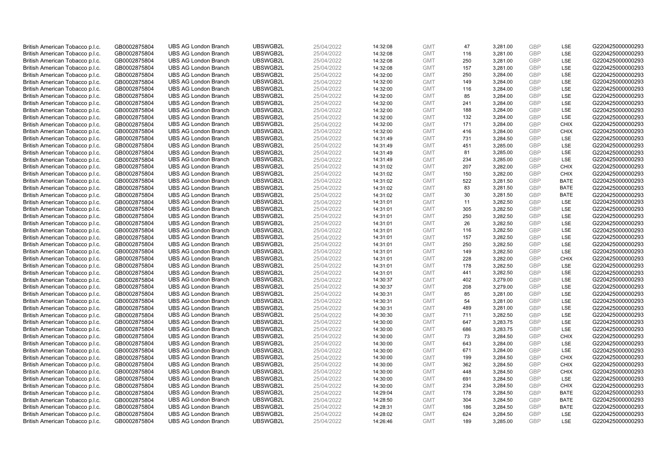| British American Tobacco p.l.c. | GB0002875804 | <b>UBS AG London Branch</b> | UBSWGB2L | 25/04/2022 | 14:32:08 | <b>GMT</b> | 47  | 3,281.00 | <b>GBP</b> | LSE         | G220425000000293 |
|---------------------------------|--------------|-----------------------------|----------|------------|----------|------------|-----|----------|------------|-------------|------------------|
| British American Tobacco p.l.c. | GB0002875804 | <b>UBS AG London Branch</b> | UBSWGB2L | 25/04/2022 | 14:32:08 | <b>GMT</b> | 116 | 3,281.00 | GBP        | <b>LSE</b>  | G220425000000293 |
| British American Tobacco p.l.c. | GB0002875804 | <b>UBS AG London Branch</b> | UBSWGB2L | 25/04/2022 | 14:32:08 | <b>GMT</b> | 250 | 3,281.00 | <b>GBP</b> | LSE         | G220425000000293 |
| British American Tobacco p.l.c. | GB0002875804 | <b>UBS AG London Branch</b> | UBSWGB2L | 25/04/2022 | 14:32:08 | <b>GMT</b> | 157 | 3,281.00 | <b>GBP</b> | LSE         | G220425000000293 |
| British American Tobacco p.l.c. | GB0002875804 | <b>UBS AG London Branch</b> | UBSWGB2L | 25/04/2022 | 14:32:00 | <b>GMT</b> | 250 | 3,284.00 | <b>GBP</b> | LSE         | G220425000000293 |
| British American Tobacco p.l.c. | GB0002875804 | <b>UBS AG London Branch</b> | UBSWGB2L | 25/04/2022 | 14:32:00 | <b>GMT</b> | 149 | 3,284.00 | <b>GBP</b> | <b>LSE</b>  | G220425000000293 |
| British American Tobacco p.l.c. | GB0002875804 | <b>UBS AG London Branch</b> | UBSWGB2L | 25/04/2022 | 14:32:00 | <b>GMT</b> | 116 | 3,284.00 | <b>GBP</b> | LSE         | G220425000000293 |
| British American Tobacco p.l.c. | GB0002875804 | <b>UBS AG London Branch</b> | UBSWGB2L | 25/04/2022 | 14:32:00 | <b>GMT</b> | 85  | 3,284.00 | <b>GBP</b> | LSE         | G220425000000293 |
| British American Tobacco p.l.c. | GB0002875804 | <b>UBS AG London Branch</b> | UBSWGB2L | 25/04/2022 | 14:32:00 | <b>GMT</b> | 241 | 3,284.00 | <b>GBP</b> | LSE         | G220425000000293 |
| British American Tobacco p.l.c. | GB0002875804 | <b>UBS AG London Branch</b> | UBSWGB2L | 25/04/2022 | 14:32:00 | <b>GMT</b> | 188 | 3,284.00 | <b>GBP</b> | LSE         | G220425000000293 |
| British American Tobacco p.l.c. | GB0002875804 | <b>UBS AG London Branch</b> | UBSWGB2L | 25/04/2022 | 14:32:00 | <b>GMT</b> | 132 | 3,284.00 | <b>GBP</b> | LSE         | G220425000000293 |
| British American Tobacco p.l.c. | GB0002875804 | <b>UBS AG London Branch</b> | UBSWGB2L | 25/04/2022 | 14:32:00 | <b>GMT</b> | 171 | 3,284.00 | <b>GBP</b> | <b>CHIX</b> | G220425000000293 |
| British American Tobacco p.l.c. | GB0002875804 | <b>UBS AG London Branch</b> | UBSWGB2L | 25/04/2022 | 14:32:00 | <b>GMT</b> | 416 | 3,284.00 | <b>GBP</b> | <b>CHIX</b> | G220425000000293 |
| British American Tobacco p.l.c. | GB0002875804 | <b>UBS AG London Branch</b> | UBSWGB2L | 25/04/2022 | 14:31:49 | <b>GMT</b> | 731 | 3,284.50 | <b>GBP</b> | LSE         | G220425000000293 |
| British American Tobacco p.l.c. | GB0002875804 | <b>UBS AG London Branch</b> | UBSWGB2L | 25/04/2022 | 14:31:49 | <b>GMT</b> | 451 | 3,285.00 | <b>GBP</b> | LSE         | G220425000000293 |
| British American Tobacco p.l.c. | GB0002875804 | <b>UBS AG London Branch</b> | UBSWGB2L | 25/04/2022 | 14:31:49 | <b>GMT</b> | 81  | 3,285.00 | <b>GBP</b> | LSE         | G220425000000293 |
| British American Tobacco p.l.c. | GB0002875804 | <b>UBS AG London Branch</b> | UBSWGB2L | 25/04/2022 | 14:31:49 | <b>GMT</b> | 234 | 3,285.00 | <b>GBP</b> | LSE         | G220425000000293 |
| British American Tobacco p.l.c. | GB0002875804 | <b>UBS AG London Branch</b> | UBSWGB2L | 25/04/2022 | 14:31:02 | <b>GMT</b> | 207 | 3,282.00 | <b>GBP</b> | <b>CHIX</b> | G220425000000293 |
| British American Tobacco p.l.c. | GB0002875804 | <b>UBS AG London Branch</b> | UBSWGB2L | 25/04/2022 | 14:31:02 | <b>GMT</b> | 150 | 3,282.00 | <b>GBP</b> | <b>CHIX</b> | G220425000000293 |
| British American Tobacco p.l.c. | GB0002875804 | <b>UBS AG London Branch</b> | UBSWGB2L | 25/04/2022 | 14:31:02 | <b>GMT</b> | 522 | 3,281.50 | <b>GBP</b> | <b>BATE</b> | G220425000000293 |
| British American Tobacco p.l.c. | GB0002875804 | <b>UBS AG London Branch</b> | UBSWGB2L | 25/04/2022 | 14:31:02 | <b>GMT</b> | 83  | 3,281.50 | <b>GBP</b> | <b>BATE</b> | G220425000000293 |
| British American Tobacco p.l.c. | GB0002875804 | <b>UBS AG London Branch</b> | UBSWGB2L | 25/04/2022 | 14:31:02 | <b>GMT</b> | 30  | 3,281.50 | <b>GBP</b> | <b>BATE</b> | G220425000000293 |
| British American Tobacco p.l.c. | GB0002875804 | <b>UBS AG London Branch</b> | UBSWGB2L | 25/04/2022 | 14:31:01 | <b>GMT</b> | 11  | 3,282.50 | <b>GBP</b> | LSE         | G220425000000293 |
| British American Tobacco p.l.c. | GB0002875804 | <b>UBS AG London Branch</b> | UBSWGB2L | 25/04/2022 | 14:31:01 | <b>GMT</b> | 305 | 3,282.50 | <b>GBP</b> | LSE         | G220425000000293 |
| British American Tobacco p.l.c. | GB0002875804 | <b>UBS AG London Branch</b> | UBSWGB2L | 25/04/2022 | 14:31:01 | <b>GMT</b> | 250 | 3,282.50 | <b>GBP</b> | LSE         | G220425000000293 |
| British American Tobacco p.l.c. | GB0002875804 | <b>UBS AG London Branch</b> | UBSWGB2L | 25/04/2022 | 14:31:01 | <b>GMT</b> | 26  | 3,282.50 | <b>GBP</b> | LSE         | G220425000000293 |
| British American Tobacco p.l.c. | GB0002875804 | <b>UBS AG London Branch</b> | UBSWGB2L | 25/04/2022 | 14:31:01 | <b>GMT</b> | 116 | 3,282.50 | <b>GBP</b> | LSE         | G220425000000293 |
| British American Tobacco p.l.c. | GB0002875804 | <b>UBS AG London Branch</b> | UBSWGB2L | 25/04/2022 | 14:31:01 | <b>GMT</b> | 157 | 3,282.50 | <b>GBP</b> | LSE         | G220425000000293 |
| British American Tobacco p.l.c. | GB0002875804 | <b>UBS AG London Branch</b> | UBSWGB2L | 25/04/2022 | 14:31:01 | <b>GMT</b> | 250 | 3,282.50 | <b>GBP</b> | LSE         | G220425000000293 |
| British American Tobacco p.l.c. | GB0002875804 | <b>UBS AG London Branch</b> | UBSWGB2L | 25/04/2022 | 14:31:01 | <b>GMT</b> | 149 | 3,282.50 | <b>GBP</b> | LSE         | G220425000000293 |
| British American Tobacco p.l.c. | GB0002875804 | <b>UBS AG London Branch</b> | UBSWGB2L | 25/04/2022 | 14:31:01 | <b>GMT</b> | 228 | 3,282.00 | <b>GBP</b> | <b>CHIX</b> | G220425000000293 |
| British American Tobacco p.l.c. | GB0002875804 | <b>UBS AG London Branch</b> | UBSWGB2L | 25/04/2022 | 14:31:01 | <b>GMT</b> | 178 | 3,282.50 | <b>GBP</b> | LSE         | G220425000000293 |
| British American Tobacco p.l.c. | GB0002875804 | <b>UBS AG London Branch</b> | UBSWGB2L | 25/04/2022 | 14:31:01 | <b>GMT</b> | 441 | 3,282.50 | <b>GBP</b> | LSE         | G220425000000293 |
| British American Tobacco p.l.c. | GB0002875804 | <b>UBS AG London Branch</b> | UBSWGB2L | 25/04/2022 | 14:30:37 | <b>GMT</b> | 402 | 3,279.00 | <b>GBP</b> | LSE         | G220425000000293 |
| British American Tobacco p.l.c. | GB0002875804 | UBS AG London Branch        | UBSWGB2L | 25/04/2022 | 14:30:37 | <b>GMT</b> | 208 | 3,279.00 | GBP        | LSE         | G220425000000293 |
| British American Tobacco p.l.c. | GB0002875804 | <b>UBS AG London Branch</b> | UBSWGB2L | 25/04/2022 | 14:30:31 | <b>GMT</b> | 85  | 3,281.00 | <b>GBP</b> | LSE         | G220425000000293 |
| British American Tobacco p.l.c. | GB0002875804 | <b>UBS AG London Branch</b> | UBSWGB2L | 25/04/2022 | 14:30:31 | <b>GMT</b> | 54  | 3,281.00 | GBP        | <b>LSE</b>  | G220425000000293 |
| British American Tobacco p.l.c. | GB0002875804 | <b>UBS AG London Branch</b> | UBSWGB2L | 25/04/2022 | 14:30:31 | <b>GMT</b> | 489 | 3,281.00 | <b>GBP</b> | LSE         | G220425000000293 |
| British American Tobacco p.l.c. | GB0002875804 | <b>UBS AG London Branch</b> | UBSWGB2L | 25/04/2022 | 14:30:30 | <b>GMT</b> | 711 | 3,282.50 | <b>GBP</b> | <b>LSE</b>  | G220425000000293 |
| British American Tobacco p.l.c. | GB0002875804 | <b>UBS AG London Branch</b> | UBSWGB2L | 25/04/2022 | 14:30:00 | <b>GMT</b> | 647 | 3,283.75 | <b>GBP</b> | LSE         | G220425000000293 |
| British American Tobacco p.l.c. | GB0002875804 | <b>UBS AG London Branch</b> | UBSWGB2L | 25/04/2022 | 14:30:00 | <b>GMT</b> | 686 | 3,283.75 | <b>GBP</b> | <b>LSE</b>  | G220425000000293 |
| British American Tobacco p.l.c. | GB0002875804 | <b>UBS AG London Branch</b> | UBSWGB2L | 25/04/2022 | 14:30:00 | <b>GMT</b> | 73  | 3,284.50 | <b>GBP</b> | <b>CHIX</b> | G220425000000293 |
| British American Tobacco p.l.c. | GB0002875804 | <b>UBS AG London Branch</b> | UBSWGB2L | 25/04/2022 | 14:30:00 | <b>GMT</b> | 643 | 3,284.00 | <b>GBP</b> | LSE         | G220425000000293 |
| British American Tobacco p.l.c. | GB0002875804 | <b>UBS AG London Branch</b> | UBSWGB2L | 25/04/2022 | 14:30:00 | <b>GMT</b> | 671 | 3,284.00 | <b>GBP</b> | LSE         | G220425000000293 |
| British American Tobacco p.l.c. | GB0002875804 | <b>UBS AG London Branch</b> | UBSWGB2L | 25/04/2022 | 14:30:00 | <b>GMT</b> | 199 | 3,284.50 | <b>GBP</b> | <b>CHIX</b> | G220425000000293 |
| British American Tobacco p.l.c. | GB0002875804 | <b>UBS AG London Branch</b> | UBSWGB2L | 25/04/2022 | 14:30:00 | <b>GMT</b> | 362 | 3,284.50 | <b>GBP</b> | <b>CHIX</b> | G220425000000293 |
| British American Tobacco p.l.c. | GB0002875804 | <b>UBS AG London Branch</b> | UBSWGB2L | 25/04/2022 | 14:30:00 | <b>GMT</b> | 448 | 3,284.50 | <b>GBP</b> | <b>CHIX</b> | G220425000000293 |
| British American Tobacco p.l.c. | GB0002875804 | <b>UBS AG London Branch</b> | UBSWGB2L | 25/04/2022 | 14:30:00 | <b>GMT</b> | 691 | 3,284.50 | <b>GBP</b> | LSE         | G220425000000293 |
| British American Tobacco p.l.c. | GB0002875804 | <b>UBS AG London Branch</b> | UBSWGB2L | 25/04/2022 | 14:30:00 | <b>GMT</b> | 234 | 3,284.50 | <b>GBP</b> | <b>CHIX</b> | G220425000000293 |
| British American Tobacco p.l.c. | GB0002875804 | <b>UBS AG London Branch</b> | UBSWGB2L | 25/04/2022 | 14:29:04 | <b>GMT</b> | 178 | 3,284.50 | <b>GBP</b> | <b>BATE</b> | G220425000000293 |
| British American Tobacco p.l.c. | GB0002875804 | <b>UBS AG London Branch</b> | UBSWGB2L | 25/04/2022 | 14:28:50 | <b>GMT</b> | 304 | 3,284.50 | <b>GBP</b> | <b>BATE</b> | G220425000000293 |
| British American Tobacco p.l.c. | GB0002875804 | <b>UBS AG London Branch</b> | UBSWGB2L | 25/04/2022 | 14:28:31 | <b>GMT</b> | 186 | 3,284.50 | <b>GBP</b> | <b>BATE</b> | G220425000000293 |
| British American Tobacco p.l.c. | GB0002875804 | <b>UBS AG London Branch</b> | UBSWGB2L | 25/04/2022 | 14:28:02 | <b>GMT</b> | 624 | 3,284.50 | <b>GBP</b> | LSE         | G220425000000293 |
| British American Tobacco p.l.c. | GB0002875804 | <b>UBS AG London Branch</b> | UBSWGB2L | 25/04/2022 | 14:26:46 | <b>GMT</b> | 189 | 3.285.00 | GBP        | LSE         | G220425000000293 |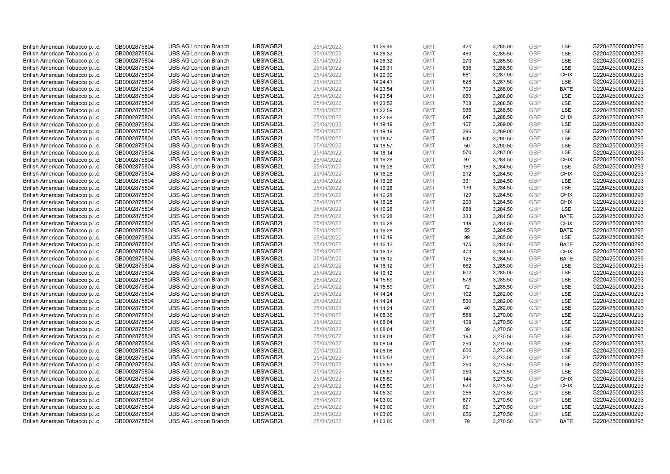| British American Tobacco p.l.c. | GB0002875804 | <b>UBS AG London Branch</b> | UBSWGB2L | 25/04/2022 | 14:26:46 | <b>GMT</b> | 424 | 3,285.00 | <b>GBP</b> | LSE         | G220425000000293 |
|---------------------------------|--------------|-----------------------------|----------|------------|----------|------------|-----|----------|------------|-------------|------------------|
|                                 | GB0002875804 | <b>UBS AG London Branch</b> | UBSWGB2L | 25/04/2022 |          | <b>GMT</b> | 460 | 3,285.50 | GBP        | LSE         | G220425000000293 |
| British American Tobacco p.l.c. |              |                             |          |            | 14:26:32 |            |     |          |            |             |                  |
| British American Tobacco p.l.c. | GB0002875804 | <b>UBS AG London Branch</b> | UBSWGB2L | 25/04/2022 | 14:26:32 | <b>GMT</b> | 270 | 3,285.50 | <b>GBP</b> | LSE         | G220425000000293 |
| British American Tobacco p.l.c. | GB0002875804 | <b>UBS AG London Branch</b> | UBSWGB2L | 25/04/2022 | 14:26:31 | <b>GMT</b> | 636 | 3,286.50 | <b>GBP</b> | LSE         | G220425000000293 |
| British American Tobacco p.l.c. | GB0002875804 | <b>UBS AG London Branch</b> | UBSWGB2L | 25/04/2022 | 14:26:30 | <b>GMT</b> | 681 | 3,287.00 | <b>GBP</b> | <b>CHIX</b> | G220425000000293 |
| British American Tobacco p.l.c. | GB0002875804 | <b>UBS AG London Branch</b> | UBSWGB2L | 25/04/2022 | 14:24:41 | <b>GMT</b> | 628 | 3,287.50 | <b>GBP</b> | LSE         | G220425000000293 |
| British American Tobacco p.l.c. | GB0002875804 | <b>UBS AG London Branch</b> | UBSWGB2L | 25/04/2022 | 14:23:54 | <b>GMT</b> | 709 | 3,288.00 | <b>GBP</b> | <b>BATE</b> | G220425000000293 |
| British American Tobacco p.l.c. | GB0002875804 | <b>UBS AG London Branch</b> | UBSWGB2L | 25/04/2022 | 14:23:54 | <b>GMT</b> | 680 | 3,288.00 | <b>GBP</b> | LSE         | G220425000000293 |
| British American Tobacco p.l.c. | GB0002875804 | <b>UBS AG London Branch</b> | UBSWGB2L | 25/04/2022 | 14:23:52 | <b>GMT</b> | 708 | 3,288.50 | <b>GBP</b> | LSE         | G220425000000293 |
| British American Tobacco p.l.c. | GB0002875804 | <b>UBS AG London Branch</b> | UBSWGB2L | 25/04/2022 | 14:22:59 | <b>GMT</b> | 936 | 3,288.50 | <b>GBP</b> | LSE         | G220425000000293 |
| British American Tobacco p.l.c. | GB0002875804 | <b>UBS AG London Branch</b> | UBSWGB2L | 25/04/2022 | 14:22:59 | <b>GMT</b> | 647 | 3,288.50 | <b>GBP</b> | <b>CHIX</b> | G220425000000293 |
| British American Tobacco p.l.c. | GB0002875804 | <b>UBS AG London Branch</b> | UBSWGB2L | 25/04/2022 | 14:19:19 | <b>GMT</b> | 167 | 3,289.00 | <b>GBP</b> | LSE         | G220425000000293 |
| British American Tobacco p.l.c. | GB0002875804 | <b>UBS AG London Branch</b> | UBSWGB2L | 25/04/2022 | 14:19:19 | <b>GMT</b> | 396 | 3,289.00 | <b>GBP</b> | LSE         | G220425000000293 |
| British American Tobacco p.l.c. | GB0002875804 | <b>UBS AG London Branch</b> | UBSWGB2L | 25/04/2022 | 14:18:57 | <b>GMT</b> | 642 | 3,290.50 | <b>GBP</b> | LSE         | G220425000000293 |
| British American Tobacco p.l.c. | GB0002875804 | <b>UBS AG London Branch</b> | UBSWGB2L | 25/04/2022 | 14:18:57 | <b>GMT</b> | 50  | 3,290.50 | <b>GBP</b> | LSE         | G220425000000293 |
| British American Tobacco p.l.c. | GB0002875804 | <b>UBS AG London Branch</b> | UBSWGB2L | 25/04/2022 | 14:18:14 | <b>GMT</b> | 570 | 3,287.00 | <b>GBP</b> | LSE         | G220425000000293 |
| British American Tobacco p.l.c. | GB0002875804 | <b>UBS AG London Branch</b> | UBSWGB2L | 25/04/2022 | 14:16:28 | <b>GMT</b> | 97  | 3,284.50 | <b>GBP</b> | <b>CHIX</b> | G220425000000293 |
| British American Tobacco p.l.c. | GB0002875804 | <b>UBS AG London Branch</b> | UBSWGB2L | 25/04/2022 | 14:16:28 | <b>GMT</b> | 169 | 3,284.50 | <b>GBP</b> | LSE         | G220425000000293 |
|                                 |              | <b>UBS AG London Branch</b> | UBSWGB2L |            |          |            |     |          |            | <b>CHIX</b> |                  |
| British American Tobacco p.l.c. | GB0002875804 |                             |          | 25/04/2022 | 14:16:28 | <b>GMT</b> | 212 | 3,284.50 | <b>GBP</b> |             | G220425000000293 |
| British American Tobacco p.l.c. | GB0002875804 | <b>UBS AG London Branch</b> | UBSWGB2L | 25/04/2022 | 14:16:28 | <b>GMT</b> | 331 | 3,284.50 | <b>GBP</b> | LSE         | G220425000000293 |
| British American Tobacco p.l.c. | GB0002875804 | <b>UBS AG London Branch</b> | UBSWGB2L | 25/04/2022 | 14:16:28 | <b>GMT</b> | 139 | 3,284.50 | <b>GBP</b> | LSE         | G220425000000293 |
| British American Tobacco p.l.c. | GB0002875804 | <b>UBS AG London Branch</b> | UBSWGB2L | 25/04/2022 | 14:16:28 | <b>GMT</b> | 129 | 3,284.50 | <b>GBP</b> | <b>CHIX</b> | G220425000000293 |
| British American Tobacco p.l.c. | GB0002875804 | <b>UBS AG London Branch</b> | UBSWGB2L | 25/04/2022 | 14:16:28 | <b>GMT</b> | 200 | 3,284.50 | <b>GBP</b> | <b>CHIX</b> | G220425000000293 |
| British American Tobacco p.l.c. | GB0002875804 | <b>UBS AG London Branch</b> | UBSWGB2L | 25/04/2022 | 14:16:28 | <b>GMT</b> | 688 | 3,284.50 | <b>GBP</b> | LSE         | G220425000000293 |
| British American Tobacco p.l.c. | GB0002875804 | <b>UBS AG London Branch</b> | UBSWGB2L | 25/04/2022 | 14:16:28 | <b>GMT</b> | 333 | 3,284.50 | <b>GBP</b> | <b>BATE</b> | G220425000000293 |
| British American Tobacco p.l.c. | GB0002875804 | <b>UBS AG London Branch</b> | UBSWGB2L | 25/04/2022 | 14:16:28 | <b>GMT</b> | 149 | 3,284.50 | <b>GBP</b> | <b>CHIX</b> | G220425000000293 |
| British American Tobacco p.l.c. | GB0002875804 | <b>UBS AG London Branch</b> | UBSWGB2L | 25/04/2022 | 14:16:28 | <b>GMT</b> | 55  | 3,284.50 | <b>GBP</b> | <b>BATE</b> | G220425000000293 |
| British American Tobacco p.l.c. | GB0002875804 | <b>UBS AG London Branch</b> | UBSWGB2L | 25/04/2022 | 14:16:19 | <b>GMT</b> | 99  | 3,285.00 | <b>GBP</b> | LSE         | G220425000000293 |
| British American Tobacco p.l.c. | GB0002875804 | <b>UBS AG London Branch</b> | UBSWGB2L | 25/04/2022 | 14:16:12 | <b>GMT</b> | 175 | 3,284.50 | <b>GBP</b> | <b>BATE</b> | G220425000000293 |
| British American Tobacco p.l.c. | GB0002875804 | <b>UBS AG London Branch</b> | UBSWGB2L | 25/04/2022 | 14:16:12 | <b>GMT</b> | 473 | 3,284.50 | <b>GBP</b> | <b>CHIX</b> | G220425000000293 |
| British American Tobacco p.l.c. | GB0002875804 | <b>UBS AG London Branch</b> | UBSWGB2L | 25/04/2022 | 14:16:12 | <b>GMT</b> | 125 | 3,284.50 | <b>GBP</b> | <b>BATE</b> | G220425000000293 |
| British American Tobacco p.l.c. | GB0002875804 | <b>UBS AG London Branch</b> | UBSWGB2L | 25/04/2022 | 14:16:12 | <b>GMT</b> | 662 | 3,285.00 | <b>GBP</b> | LSE         | G220425000000293 |
| British American Tobacco p.l.c. | GB0002875804 | <b>UBS AG London Branch</b> | UBSWGB2L | 25/04/2022 | 14:16:12 | <b>GMT</b> | 602 | 3,285.00 | <b>GBP</b> | LSE         | G220425000000293 |
| British American Tobacco p.l.c. | GB0002875804 | <b>UBS AG London Branch</b> | UBSWGB2L | 25/04/2022 | 14:15:59 | <b>GMT</b> | 578 | 3,285.50 | <b>GBP</b> | LSE         | G220425000000293 |
| British American Tobacco p.l.c. | GB0002875804 | <b>UBS AG London Branch</b> | UBSWGB2L | 25/04/2022 | 14:15:59 | <b>GMT</b> | 72  | 3,285.50 | <b>GBP</b> | LSE         | G220425000000293 |
| British American Tobacco p.l.c. | GB0002875804 | <b>UBS AG London Branch</b> | UBSWGB2L | 25/04/2022 | 14:14:24 | <b>GMT</b> | 102 | 3,282.00 | <b>GBP</b> | LSE         | G220425000000293 |
| British American Tobacco p.l.c. | GB0002875804 | <b>UBS AG London Branch</b> | UBSWGB2L | 25/04/2022 | 14:14:24 | <b>GMT</b> | 530 | 3,282.00 | <b>GBP</b> | LSE         | G220425000000293 |
| British American Tobacco p.l.c. | GB0002875804 | <b>UBS AG London Branch</b> | UBSWGB2L | 25/04/2022 | 14:14:24 | <b>GMT</b> | 40  | 3,282.00 | <b>GBP</b> | LSE         | G220425000000293 |
| British American Tobacco p.l.c. | GB0002875804 | <b>UBS AG London Branch</b> | UBSWGB2L | 25/04/2022 | 14:08:36 | <b>GMT</b> | 588 | 3,270.00 | <b>GBP</b> | LSE         | G220425000000293 |
| British American Tobacco p.l.c. | GB0002875804 | <b>UBS AG London Branch</b> | UBSWGB2L | 25/04/2022 | 14:08:04 | <b>GMT</b> | 109 | 3,270.50 | <b>GBP</b> | LSE         | G220425000000293 |
| British American Tobacco p.l.c. | GB0002875804 | <b>UBS AG London Branch</b> | UBSWGB2L | 25/04/2022 | 14:08:04 | <b>GMT</b> | 39  | 3,270.50 | <b>GBP</b> | LSE         | G220425000000293 |
| British American Tobacco p.l.c. | GB0002875804 | <b>UBS AG London Branch</b> | UBSWGB2L | 25/04/2022 | 14:08:04 | <b>GMT</b> | 193 | 3,270.50 | <b>GBP</b> | LSE         | G220425000000293 |
| British American Tobacco p.l.c. | GB0002875804 | <b>UBS AG London Branch</b> | UBSWGB2L | 25/04/2022 | 14:08:04 | <b>GMT</b> | 250 | 3,270.50 | <b>GBP</b> | LSE         | G220425000000293 |
| British American Tobacco p.l.c. |              | <b>UBS AG London Branch</b> | UBSWGB2L | 25/04/2022 |          | <b>GMT</b> | 650 | 3,273.00 | <b>GBP</b> | LSE         | G220425000000293 |
|                                 | GB0002875804 |                             | UBSWGB2L |            | 14:06:06 |            |     |          |            | LSE         | G220425000000293 |
| British American Tobacco p.l.c. | GB0002875804 | <b>UBS AG London Branch</b> |          | 25/04/2022 | 14:05:53 | <b>GMT</b> | 231 | 3,273.50 | <b>GBP</b> |             |                  |
| British American Tobacco p.l.c. | GB0002875804 | <b>UBS AG London Branch</b> | UBSWGB2L | 25/04/2022 | 14:05:53 | <b>GMT</b> | 250 | 3,273.50 | <b>GBP</b> | LSE         | G220425000000293 |
| British American Tobacco p.l.c. | GB0002875804 | <b>UBS AG London Branch</b> | UBSWGB2L | 25/04/2022 | 14:05:53 | <b>GMT</b> | 250 | 3,273.50 | <b>GBP</b> | LSE         | G220425000000293 |
| British American Tobacco p.l.c. | GB0002875804 | <b>UBS AG London Branch</b> | UBSWGB2L | 25/04/2022 | 14:05:50 | <b>GMT</b> | 144 | 3,273.50 | <b>GBP</b> | <b>CHIX</b> | G220425000000293 |
| British American Tobacco p.l.c. | GB0002875804 | <b>UBS AG London Branch</b> | UBSWGB2L | 25/04/2022 | 14:05:50 | <b>GMT</b> | 524 | 3,273.50 | <b>GBP</b> | <b>CHIX</b> | G220425000000293 |
| British American Tobacco p.l.c. | GB0002875804 | <b>UBS AG London Branch</b> | UBSWGB2L | 25/04/2022 | 14:05:30 | <b>GMT</b> | 255 | 3,273.50 | <b>GBP</b> | <b>LSE</b>  | G220425000000293 |
| British American Tobacco p.l.c. | GB0002875804 | <b>UBS AG London Branch</b> | UBSWGB2L | 25/04/2022 | 14:03:00 | <b>GMT</b> | 677 | 3,270.50 | <b>GBP</b> | LSE         | G220425000000293 |
| British American Tobacco p.l.c. | GB0002875804 | <b>UBS AG London Branch</b> | UBSWGB2L | 25/04/2022 | 14:03:00 | <b>GMT</b> | 691 | 3,270.50 | <b>GBP</b> | LSE         | G220425000000293 |
| British American Tobacco p.l.c. | GB0002875804 | <b>UBS AG London Branch</b> | UBSWGB2L | 25/04/2022 | 14:03:00 | <b>GMT</b> | 656 | 3,270.50 | <b>GBP</b> | LSE         | G220425000000293 |
| British American Tobacco p.l.c. | GB0002875804 | <b>UBS AG London Branch</b> | UBSWGB2L | 25/04/2022 | 14:03:00 | <b>GMT</b> | 79  | 3.270.50 | GBP        | <b>BATE</b> | G220425000000293 |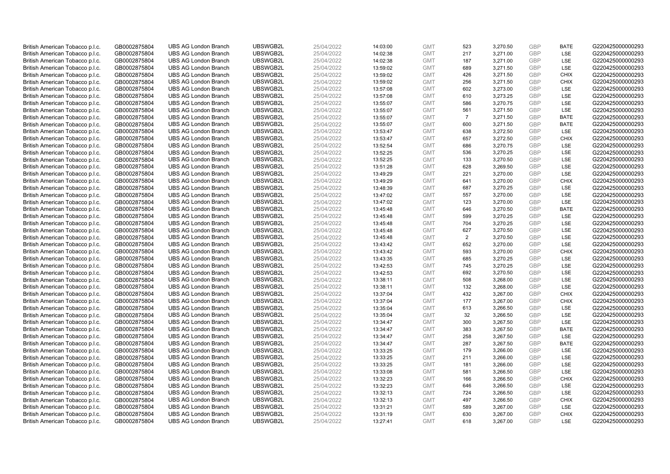| British American Tobacco p.l.c. | GB0002875804 | <b>UBS AG London Branch</b> | UBSWGB2L | 25/04/2022 | 14:03:00 | <b>GMT</b> | 523            | 3,270.50             | <b>GBP</b> | <b>BATE</b> | G220425000000293 |
|---------------------------------|--------------|-----------------------------|----------|------------|----------|------------|----------------|----------------------|------------|-------------|------------------|
|                                 | GB0002875804 | <b>UBS AG London Branch</b> | UBSWGB2L | 25/04/2022 |          | <b>GMT</b> | 217            | 3,271.00             | GBP        | LSE         | G220425000000293 |
| British American Tobacco p.l.c. |              |                             |          |            | 14:02:38 |            |                |                      | <b>GBP</b> | LSE         | G220425000000293 |
| British American Tobacco p.l.c. | GB0002875804 | <b>UBS AG London Branch</b> | UBSWGB2L | 25/04/2022 | 14:02:38 | <b>GMT</b> | 187            | 3,271.00             |            |             |                  |
| British American Tobacco p.l.c. | GB0002875804 | <b>UBS AG London Branch</b> | UBSWGB2L | 25/04/2022 | 13:59:02 | <b>GMT</b> | 689            | 3,271.50             | <b>GBP</b> | LSE         | G220425000000293 |
| British American Tobacco p.l.c. | GB0002875804 | <b>UBS AG London Branch</b> | UBSWGB2L | 25/04/2022 | 13:59:02 | <b>GMT</b> | 426            | 3,271.50             | <b>GBP</b> | <b>CHIX</b> | G220425000000293 |
| British American Tobacco p.l.c. | GB0002875804 | <b>UBS AG London Branch</b> | UBSWGB2L | 25/04/2022 | 13:59:02 | <b>GMT</b> | 256            | 3,271.50             | <b>GBP</b> | <b>CHIX</b> | G220425000000293 |
| British American Tobacco p.l.c. | GB0002875804 | <b>UBS AG London Branch</b> | UBSWGB2L | 25/04/2022 | 13:57:08 | <b>GMT</b> | 602            | 3,273.00             | <b>GBP</b> | LSE         | G220425000000293 |
| British American Tobacco p.l.c. | GB0002875804 | <b>UBS AG London Branch</b> | UBSWGB2L | 25/04/2022 | 13:57:08 | <b>GMT</b> | 610            | 3,273.25             | <b>GBP</b> | LSE         | G220425000000293 |
| British American Tobacco p.l.c. | GB0002875804 | <b>UBS AG London Branch</b> | UBSWGB2L | 25/04/2022 | 13:55:07 | <b>GMT</b> | 586            | 3,270.75             | <b>GBP</b> | LSE         | G220425000000293 |
| British American Tobacco p.l.c. | GB0002875804 | <b>UBS AG London Branch</b> | UBSWGB2L | 25/04/2022 | 13:55:07 | <b>GMT</b> | 561            | 3,271.50             | <b>GBP</b> | LSE         | G220425000000293 |
| British American Tobacco p.l.c. | GB0002875804 | <b>UBS AG London Branch</b> | UBSWGB2L | 25/04/2022 | 13:55:07 | <b>GMT</b> | $\overline{7}$ | 3.271.50             | <b>GBP</b> | <b>BATE</b> | G220425000000293 |
| British American Tobacco p.l.c. | GB0002875804 | <b>UBS AG London Branch</b> | UBSWGB2L | 25/04/2022 | 13:55:07 | <b>GMT</b> | 600            | 3,271.50             | <b>GBP</b> | <b>BATE</b> | G220425000000293 |
| British American Tobacco p.l.c. | GB0002875804 | <b>UBS AG London Branch</b> | UBSWGB2L | 25/04/2022 | 13:53:47 | <b>GMT</b> | 638            | 3,272.50             | <b>GBP</b> | LSE         | G220425000000293 |
| British American Tobacco p.l.c. | GB0002875804 | <b>UBS AG London Branch</b> | UBSWGB2L | 25/04/2022 | 13:53:47 | <b>GMT</b> | 657            | 3,272.50             | <b>GBP</b> | <b>CHIX</b> | G220425000000293 |
| British American Tobacco p.l.c. | GB0002875804 | <b>UBS AG London Branch</b> | UBSWGB2L | 25/04/2022 | 13:52:54 | <b>GMT</b> | 686            | 3,270.75             | <b>GBP</b> | LSE         | G220425000000293 |
| British American Tobacco p.l.c. | GB0002875804 | <b>UBS AG London Branch</b> | UBSWGB2L | 25/04/2022 | 13:52:25 | <b>GMT</b> | 536            | 3,270.25             | <b>GBP</b> | LSE         | G220425000000293 |
| British American Tobacco p.l.c. | GB0002875804 | <b>UBS AG London Branch</b> | UBSWGB2L | 25/04/2022 | 13:52:25 | <b>GMT</b> | 133            | 3,270.50             | <b>GBP</b> | LSE         | G220425000000293 |
| British American Tobacco p.l.c. | GB0002875804 | <b>UBS AG London Branch</b> | UBSWGB2L | 25/04/2022 | 13:51:28 | <b>GMT</b> | 628            | 3,269.50             | <b>GBP</b> | LSE         | G220425000000293 |
| British American Tobacco p.l.c. | GB0002875804 | <b>UBS AG London Branch</b> | UBSWGB2L | 25/04/2022 | 13:49:29 | <b>GMT</b> | 221            | 3,270.00             | <b>GBP</b> | <b>LSE</b>  | G220425000000293 |
| British American Tobacco p.l.c. | GB0002875804 | <b>UBS AG London Branch</b> | UBSWGB2L | 25/04/2022 | 13:49:29 | <b>GMT</b> | 641            | 3,270.00             | <b>GBP</b> | <b>CHIX</b> | G220425000000293 |
| British American Tobacco p.l.c. | GB0002875804 | <b>UBS AG London Branch</b> | UBSWGB2L | 25/04/2022 | 13:48:39 | <b>GMT</b> | 687            | 3,270.25             | <b>GBP</b> | LSE         | G220425000000293 |
| British American Tobacco p.l.c. | GB0002875804 | <b>UBS AG London Branch</b> | UBSWGB2L | 25/04/2022 | 13:47:02 | <b>GMT</b> | 557            | 3,270.00             | <b>GBP</b> | LSE         | G220425000000293 |
| British American Tobacco p.l.c. | GB0002875804 | <b>UBS AG London Branch</b> | UBSWGB2L | 25/04/2022 | 13:47:02 | <b>GMT</b> | 123            | 3,270.00             | <b>GBP</b> | LSE         | G220425000000293 |
| British American Tobacco p.l.c. | GB0002875804 | <b>UBS AG London Branch</b> | UBSWGB2L | 25/04/2022 | 13:45:48 | <b>GMT</b> | 646            | 3,270.50             | <b>GBP</b> | <b>BATE</b> | G220425000000293 |
| British American Tobacco p.l.c. | GB0002875804 | <b>UBS AG London Branch</b> | UBSWGB2L | 25/04/2022 | 13:45:48 | <b>GMT</b> | 599            | 3,270.25             | <b>GBP</b> | LSE         | G220425000000293 |
| British American Tobacco p.l.c. | GB0002875804 | <b>UBS AG London Branch</b> | UBSWGB2L | 25/04/2022 | 13:45:48 | <b>GMT</b> | 704            | 3,270.25             | <b>GBP</b> | LSE         | G220425000000293 |
| British American Tobacco p.l.c. | GB0002875804 | <b>UBS AG London Branch</b> | UBSWGB2L | 25/04/2022 | 13:45:48 | <b>GMT</b> | 627            | 3,270.50             | <b>GBP</b> | LSE         | G220425000000293 |
| British American Tobacco p.l.c. | GB0002875804 | <b>UBS AG London Branch</b> | UBSWGB2L | 25/04/2022 | 13:45:48 | <b>GMT</b> | 2              | 3,270.50             | <b>GBP</b> | LSE         | G220425000000293 |
| British American Tobacco p.l.c. | GB0002875804 | <b>UBS AG London Branch</b> | UBSWGB2L | 25/04/2022 | 13:43:42 | <b>GMT</b> | 652            | 3,270.00             | <b>GBP</b> | LSE         | G220425000000293 |
| British American Tobacco p.l.c. | GB0002875804 | <b>UBS AG London Branch</b> | UBSWGB2L | 25/04/2022 | 13:43:42 | <b>GMT</b> | 593            | 3,270.00             | <b>GBP</b> | <b>CHIX</b> | G220425000000293 |
| British American Tobacco p.l.c. | GB0002875804 | <b>UBS AG London Branch</b> | UBSWGB2L | 25/04/2022 | 13:43:35 | <b>GMT</b> | 685            | 3,270.25             | <b>GBP</b> | LSE         | G220425000000293 |
| British American Tobacco p.l.c. | GB0002875804 | <b>UBS AG London Branch</b> | UBSWGB2L | 25/04/2022 | 13:42:53 | <b>GMT</b> | 745            | 3,270.25             | <b>GBP</b> | LSE         | G220425000000293 |
| British American Tobacco p.l.c. | GB0002875804 | <b>UBS AG London Branch</b> | UBSWGB2L | 25/04/2022 | 13:42:53 | <b>GMT</b> | 692            | 3,270.50             | <b>GBP</b> | LSE         | G220425000000293 |
| British American Tobacco p.l.c. | GB0002875804 | <b>UBS AG London Branch</b> | UBSWGB2L | 25/04/2022 | 13:38:11 | <b>GMT</b> | 508            | 3,268.00             | <b>GBP</b> | LSE         | G220425000000293 |
| British American Tobacco p.l.c. | GB0002875804 | <b>UBS AG London Branch</b> | UBSWGB2L | 25/04/2022 | 13:38:11 | <b>GMT</b> | 132            | 3,268.00             | <b>GBP</b> | LSE         | G220425000000293 |
| British American Tobacco p.l.c. | GB0002875804 | <b>UBS AG London Branch</b> | UBSWGB2L | 25/04/2022 | 13:37:04 | <b>GMT</b> | 432            | 3,267.00             | <b>GBP</b> | <b>CHIX</b> | G220425000000293 |
| British American Tobacco p.l.c. | GB0002875804 | <b>UBS AG London Branch</b> | UBSWGB2L | 25/04/2022 | 13:37:04 | <b>GMT</b> | 177            | 3,267.00             | <b>GBP</b> | <b>CHIX</b> | G220425000000293 |
| British American Tobacco p.l.c. | GB0002875804 | <b>UBS AG London Branch</b> | UBSWGB2L | 25/04/2022 | 13:35:04 | <b>GMT</b> | 613            | 3,266.50             | <b>GBP</b> | LSE         | G220425000000293 |
| British American Tobacco p.l.c. | GB0002875804 | <b>UBS AG London Branch</b> | UBSWGB2L | 25/04/2022 | 13:35:04 | <b>GMT</b> | 32             | 3,266.50             | <b>GBP</b> | LSE         | G220425000000293 |
| British American Tobacco p.l.c. | GB0002875804 | <b>UBS AG London Branch</b> | UBSWGB2L | 25/04/2022 | 13:34:47 | <b>GMT</b> | 300            | 3,267.50             | <b>GBP</b> | LSE         | G220425000000293 |
| British American Tobacco p.l.c. | GB0002875804 | <b>UBS AG London Branch</b> | UBSWGB2L | 25/04/2022 | 13:34:47 | <b>GMT</b> | 383            | 3,267.50             | <b>GBP</b> | <b>BATE</b> | G220425000000293 |
| British American Tobacco p.l.c. | GB0002875804 | <b>UBS AG London Branch</b> | UBSWGB2L | 25/04/2022 | 13:34:47 | <b>GMT</b> | 258            |                      | <b>GBP</b> | LSE         | G220425000000293 |
| British American Tobacco p.l.c. | GB0002875804 | <b>UBS AG London Branch</b> | UBSWGB2L | 25/04/2022 | 13:34:47 | <b>GMT</b> | 287            | 3,267.50<br>3,267.50 | <b>GBP</b> | <b>BATE</b> | G220425000000293 |
| British American Tobacco p.l.c. |              | <b>UBS AG London Branch</b> | UBSWGB2L | 25/04/2022 |          | <b>GMT</b> | 179            |                      | <b>GBP</b> | LSE         | G220425000000293 |
|                                 | GB0002875804 |                             | UBSWGB2L |            | 13:33:25 |            | 211            | 3,266.00             |            | LSE         | G220425000000293 |
| British American Tobacco p.l.c. | GB0002875804 | <b>UBS AG London Branch</b> |          | 25/04/2022 | 13:33:25 | <b>GMT</b> |                | 3,266.00             | <b>GBP</b> |             |                  |
| British American Tobacco p.l.c. | GB0002875804 | <b>UBS AG London Branch</b> | UBSWGB2L | 25/04/2022 | 13:33:25 | <b>GMT</b> | 181            | 3,266.00             | <b>GBP</b> | LSE         | G220425000000293 |
| British American Tobacco p.l.c. | GB0002875804 | <b>UBS AG London Branch</b> | UBSWGB2L | 25/04/2022 | 13:33:08 | <b>GMT</b> | 581            | 3,266.50             | <b>GBP</b> | LSE         | G220425000000293 |
| British American Tobacco p.l.c. | GB0002875804 | <b>UBS AG London Branch</b> | UBSWGB2L | 25/04/2022 | 13:32:23 | <b>GMT</b> | 166            | 3,266.50             | <b>GBP</b> | <b>CHIX</b> | G220425000000293 |
| British American Tobacco p.l.c. | GB0002875804 | <b>UBS AG London Branch</b> | UBSWGB2L | 25/04/2022 | 13:32:23 | <b>GMT</b> | 646            | 3,266.50             | <b>GBP</b> | LSE         | G220425000000293 |
| British American Tobacco p.l.c. | GB0002875804 | <b>UBS AG London Branch</b> | UBSWGB2L | 25/04/2022 | 13:32:13 | <b>GMT</b> | 724            | 3,266.50             | <b>GBP</b> | LSE         | G220425000000293 |
| British American Tobacco p.l.c. | GB0002875804 | <b>UBS AG London Branch</b> | UBSWGB2L | 25/04/2022 | 13:32:13 | <b>GMT</b> | 497            | 3,266.50             | <b>GBP</b> | <b>CHIX</b> | G220425000000293 |
| British American Tobacco p.l.c. | GB0002875804 | <b>UBS AG London Branch</b> | UBSWGB2L | 25/04/2022 | 13:31:21 | <b>GMT</b> | 589            | 3,267.00             | <b>GBP</b> | LSE         | G220425000000293 |
| British American Tobacco p.l.c. | GB0002875804 | <b>UBS AG London Branch</b> | UBSWGB2L | 25/04/2022 | 13:31:19 | <b>GMT</b> | 630            | 3,267.00             | <b>GBP</b> | <b>CHIX</b> | G220425000000293 |
| British American Tobacco p.l.c. | GB0002875804 | <b>UBS AG London Branch</b> | UBSWGB2L | 25/04/2022 | 13:27:41 | <b>GMT</b> | 618            | 3.267.00             | GBP        | LSE         | G220425000000293 |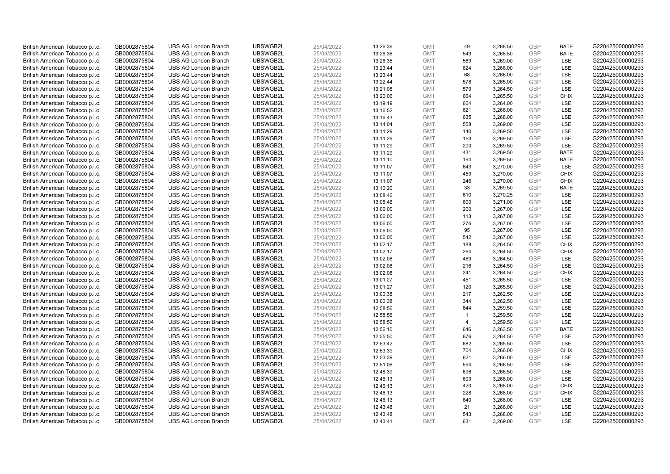| British American Tobacco p.l.c.                                    | GB0002875804                 | <b>UBS AG London Branch</b>                                | UBSWGB2L | 25/04/2022               | 13:26:36             | <b>GMT</b> | 49             | 3,268.50 | <b>GBP</b> | <b>BATE</b>        | G220425000000293                     |
|--------------------------------------------------------------------|------------------------------|------------------------------------------------------------|----------|--------------------------|----------------------|------------|----------------|----------|------------|--------------------|--------------------------------------|
| British American Tobacco p.l.c.                                    | GB0002875804                 | <b>UBS AG London Branch</b>                                | UBSWGB2L | 25/04/2022               | 13:26:36             | <b>GMT</b> | 543            | 3,268.50 | <b>GBP</b> | <b>BATE</b>        | G220425000000293                     |
| British American Tobacco p.l.c.                                    | GB0002875804                 | <b>UBS AG London Branch</b>                                | UBSWGB2L | 25/04/2022               | 13:26:35             | <b>GMT</b> | 569            | 3,269.00 | <b>GBP</b> | LSE                | G220425000000293                     |
| British American Tobacco p.l.c.                                    | GB0002875804                 | <b>UBS AG London Branch</b>                                | UBSWGB2L | 25/04/2022               | 13:23:44             | <b>GMT</b> | 624            | 3,266.00 | <b>GBP</b> | LSE                | G220425000000293                     |
| British American Tobacco p.l.c.                                    | GB0002875804                 | <b>UBS AG London Branch</b>                                | UBSWGB2L | 25/04/2022               | 13:23:44             | <b>GMT</b> | 68             | 3,266.00 | <b>GBP</b> | LSE                | G220425000000293                     |
| British American Tobacco p.l.c.                                    | GB0002875804                 | <b>UBS AG London Branch</b>                                | UBSWGB2L | 25/04/2022               | 13:22:44             | <b>GMT</b> | 578            | 3,265.00 | <b>GBP</b> | LSE                | G220425000000293                     |
| British American Tobacco p.l.c.                                    | GB0002875804                 | <b>UBS AG London Branch</b>                                | UBSWGB2L | 25/04/2022               | 13:21:08             | <b>GMT</b> | 579            | 3,264.50 | <b>GBP</b> | LSE                | G220425000000293                     |
| British American Tobacco p.l.c.                                    | GB0002875804                 | <b>UBS AG London Branch</b>                                | UBSWGB2L | 25/04/2022               | 13:20:06             | <b>GMT</b> | 664            | 3,265.50 | <b>GBP</b> | <b>CHIX</b>        | G220425000000293                     |
| British American Tobacco p.l.c.                                    | GB0002875804                 | <b>UBS AG London Branch</b>                                | UBSWGB2L | 25/04/2022               | 13:19:19             | <b>GMT</b> | 604            | 3,264.00 | <b>GBP</b> | LSE                | G220425000000293                     |
| British American Tobacco p.l.c.                                    | GB0002875804                 | <b>UBS AG London Branch</b>                                | UBSWGB2L | 25/04/2022               | 13:16:52             | <b>GMT</b> | 621            | 3,266.00 | <b>GBP</b> | LSE                | G220425000000293                     |
| British American Tobacco p.l.c.                                    | GB0002875804                 | <b>UBS AG London Branch</b>                                | UBSWGB2L | 25/04/2022               | 13:16:43             | <b>GMT</b> | 635            | 3,268.00 | <b>GBP</b> | LSE                | G220425000000293                     |
| British American Tobacco p.l.c.                                    | GB0002875804                 | <b>UBS AG London Branch</b>                                | UBSWGB2L | 25/04/2022               | 13:14:04             | <b>GMT</b> | 558            | 3,269.00 | <b>GBP</b> | LSE                | G220425000000293                     |
| British American Tobacco p.l.c.                                    | GB0002875804                 | <b>UBS AG London Branch</b>                                | UBSWGB2L | 25/04/2022               | 13:11:29             | <b>GMT</b> | 140            | 3,269.50 | <b>GBP</b> | LSE                | G220425000000293                     |
| British American Tobacco p.l.c.                                    | GB0002875804                 | <b>UBS AG London Branch</b>                                | UBSWGB2L | 25/04/2022               | 13:11:29             | <b>GMT</b> | 153            | 3,269.50 | <b>GBP</b> | LSE                | G220425000000293                     |
| British American Tobacco p.l.c.                                    | GB0002875804                 | <b>UBS AG London Branch</b>                                | UBSWGB2L | 25/04/2022               | 13:11:29             | <b>GMT</b> | 200            | 3,269.50 | <b>GBP</b> | LSE                | G220425000000293                     |
| British American Tobacco p.l.c.                                    | GB0002875804                 | <b>UBS AG London Branch</b>                                | UBSWGB2L | 25/04/2022               | 13:11:29             | <b>GMT</b> | 431            | 3,269.50 | <b>GBP</b> | <b>BATE</b>        | G220425000000293                     |
| British American Tobacco p.l.c.                                    | GB0002875804                 | <b>UBS AG London Branch</b>                                | UBSWGB2L | 25/04/2022               | 13:11:10             | <b>GMT</b> | 194            | 3,269.50 | <b>GBP</b> | <b>BATE</b>        | G220425000000293                     |
| British American Tobacco p.l.c.                                    | GB0002875804                 | <b>UBS AG London Branch</b>                                | UBSWGB2L | 25/04/2022               | 13:11:07             | <b>GMT</b> | 643            | 3,270.00 | <b>GBP</b> | LSE                | G220425000000293                     |
| British American Tobacco p.l.c.                                    | GB0002875804                 | <b>UBS AG London Branch</b>                                | UBSWGB2L | 25/04/2022               | 13:11:07             | <b>GMT</b> | 459            | 3,270.00 | <b>GBP</b> | <b>CHIX</b>        | G220425000000293                     |
| British American Tobacco p.l.c.                                    | GB0002875804                 | <b>UBS AG London Branch</b>                                | UBSWGB2L | 25/04/2022               | 13:11:07             | <b>GMT</b> | 246            | 3,270.00 | <b>GBP</b> | <b>CHIX</b>        | G220425000000293                     |
| British American Tobacco p.l.c.                                    | GB0002875804                 | <b>UBS AG London Branch</b>                                | UBSWGB2L | 25/04/2022               | 13:10:20             | <b>GMT</b> | 33             | 3,269.50 | <b>GBP</b> | <b>BATE</b>        | G220425000000293                     |
| British American Tobacco p.l.c.                                    | GB0002875804                 | <b>UBS AG London Branch</b>                                | UBSWGB2L | 25/04/2022               | 13:08:46             | <b>GMT</b> | 610            | 3,270.25 | <b>GBP</b> | LSE                | G220425000000293                     |
| British American Tobacco p.l.c.                                    | GB0002875804                 | <b>UBS AG London Branch</b>                                | UBSWGB2L | 25/04/2022               | 13:08:46             | <b>GMT</b> | 600            | 3,271.00 | <b>GBP</b> | LSE                | G220425000000293                     |
| British American Tobacco p.l.c.                                    | GB0002875804                 | <b>UBS AG London Branch</b>                                | UBSWGB2L | 25/04/2022               | 13:06:00             | <b>GMT</b> | 200            | 3,267.00 | <b>GBP</b> | LSE                | G220425000000293                     |
| British American Tobacco p.l.c.                                    | GB0002875804                 | <b>UBS AG London Branch</b>                                | UBSWGB2L | 25/04/2022               | 13:06:00             | <b>GMT</b> | 113            | 3,267.00 | <b>GBP</b> | LSE                | G220425000000293                     |
| British American Tobacco p.l.c.                                    | GB0002875804                 | <b>UBS AG London Branch</b>                                | UBSWGB2L | 25/04/2022               | 13:06:00             | <b>GMT</b> | 276            | 3,267.00 | <b>GBP</b> | LSE                | G220425000000293                     |
| British American Tobacco p.l.c.                                    | GB0002875804                 | <b>UBS AG London Branch</b>                                | UBSWGB2L | 25/04/2022               | 13:06:00             | <b>GMT</b> | 95             | 3,267.00 | <b>GBP</b> | LSE                | G220425000000293                     |
| British American Tobacco p.l.c.                                    | GB0002875804                 | <b>UBS AG London Branch</b>                                | UBSWGB2L | 25/04/2022               | 13:06:00             | <b>GMT</b> | 542            | 3,267.00 | <b>GBP</b> | LSE                | G220425000000293                     |
| British American Tobacco p.l.c.                                    | GB0002875804                 | <b>UBS AG London Branch</b>                                | UBSWGB2L | 25/04/2022               | 13:02:17             | <b>GMT</b> | 188            | 3,264.50 | <b>GBP</b> | <b>CHIX</b>        | G220425000000293                     |
| British American Tobacco p.l.c.                                    | GB0002875804                 | <b>UBS AG London Branch</b>                                | UBSWGB2L | 25/04/2022               | 13:02:17             | <b>GMT</b> | 264            | 3,264.50 | <b>GBP</b> | <b>CHIX</b>        | G220425000000293                     |
| British American Tobacco p.l.c.                                    | GB0002875804                 | <b>UBS AG London Branch</b>                                | UBSWGB2L | 25/04/2022               | 13:02:08             | <b>GMT</b> | 469            | 3,264.50 | <b>GBP</b> | LSE                | G220425000000293                     |
| British American Tobacco p.l.c.                                    | GB0002875804                 | <b>UBS AG London Branch</b>                                | UBSWGB2L | 25/04/2022               | 13:02:08             | <b>GMT</b> | 216            | 3,264.50 | <b>GBP</b> | LSE                | G220425000000293                     |
| British American Tobacco p.l.c.                                    | GB0002875804                 | <b>UBS AG London Branch</b>                                | UBSWGB2L | 25/04/2022               | 13:02:08             | <b>GMT</b> | 241            | 3,264.50 | <b>GBP</b> | <b>CHIX</b>        | G220425000000293                     |
| British American Tobacco p.l.c.                                    | GB0002875804                 | <b>UBS AG London Branch</b>                                | UBSWGB2L | 25/04/2022               | 13:01:27             | <b>GMT</b> | 451            | 3,265.50 | <b>GBP</b> | LSE                | G220425000000293                     |
| British American Tobacco p.l.c.                                    | GB0002875804                 | UBS AG London Branch                                       | UBSWGB2L | 25/04/2022               | 13:01:27             | <b>GMT</b> | 120            | 3,265.50 | <b>GBP</b> | LSE                | G220425000000293                     |
| British American Tobacco p.l.c.                                    | GB0002875804                 | <b>UBS AG London Branch</b>                                | UBSWGB2L | 25/04/2022               | 13:00:38             | <b>GMT</b> | 217            | 3,262.50 | <b>GBP</b> | LSE                | G220425000000293                     |
| British American Tobacco p.l.c.                                    | GB0002875804                 | <b>UBS AG London Branch</b>                                | UBSWGB2L | 25/04/2022               | 13:00:38             | <b>GMT</b> | 344            | 3,262.50 | GBP        | <b>LSE</b>         | G220425000000293                     |
| British American Tobacco p.l.c.                                    | GB0002875804                 | <b>UBS AG London Branch</b>                                | UBSWGB2L | 25/04/2022               | 12:58:56             | <b>GMT</b> | 644            | 3,259.50 | <b>GBP</b> | LSE                | G220425000000293                     |
| British American Tobacco p.l.c.                                    | GB0002875804                 | UBS AG London Branch                                       | UBSWGB2L | 25/04/2022               | 12:58:56             | <b>GMT</b> | $\mathbf{1}$   | 3,259.50 | <b>GBP</b> | <b>LSE</b>         | G220425000000293                     |
| British American Tobacco p.l.c.                                    | GB0002875804                 | <b>UBS AG London Branch</b>                                | UBSWGB2L | 25/04/2022               | 12:58:56             | <b>GMT</b> | $\overline{4}$ | 3,259.50 | <b>GBP</b> | LSE                | G220425000000293                     |
|                                                                    |                              |                                                            | UBSWGB2L |                          |                      | <b>GMT</b> | 646            | 3,263.50 | <b>GBP</b> | <b>BATE</b>        |                                      |
| British American Tobacco p.l.c.<br>British American Tobacco p.l.c. | GB0002875804<br>GB0002875804 | <b>UBS AG London Branch</b><br><b>UBS AG London Branch</b> | UBSWGB2L | 25/04/2022<br>25/04/2022 | 12:56:10<br>12:55:50 | <b>GMT</b> | 676            | 3,264.50 | <b>GBP</b> | LSE                | G220425000000293<br>G220425000000293 |
|                                                                    |                              |                                                            |          |                          |                      |            |                |          |            |                    |                                      |
| British American Tobacco p.l.c.                                    | GB0002875804                 | <b>UBS AG London Branch</b>                                | UBSWGB2L | 25/04/2022               | 12:53:42             | <b>GMT</b> | 682<br>704     | 3,265.50 | <b>GBP</b> | LSE<br><b>CHIX</b> | G220425000000293                     |
| British American Tobacco p.l.c.                                    | GB0002875804                 | <b>UBS AG London Branch</b>                                | UBSWGB2L | 25/04/2022               | 12:53:39             | <b>GMT</b> |                | 3,266.00 | <b>GBP</b> |                    | G220425000000293                     |
| British American Tobacco p.l.c.                                    | GB0002875804                 | <b>UBS AG London Branch</b>                                | UBSWGB2L | 25/04/2022               | 12:53:39             | <b>GMT</b> | 621            | 3,266.00 | <b>GBP</b> | LSE                | G220425000000293                     |
| British American Tobacco p.l.c.                                    | GB0002875804                 | <b>UBS AG London Branch</b>                                | UBSWGB2L | 25/04/2022               | 12:51:06             | <b>GMT</b> | 594            | 3,266.50 | <b>GBP</b> | LSE                | G220425000000293                     |
| British American Tobacco p.l.c.                                    | GB0002875804                 | <b>UBS AG London Branch</b>                                | UBSWGB2L | 25/04/2022               | 12:48:39             | <b>GMT</b> | 696            | 3,266.50 | <b>GBP</b> | LSE                | G220425000000293                     |
| British American Tobacco p.l.c.                                    | GB0002875804                 | <b>UBS AG London Branch</b>                                | UBSWGB2L | 25/04/2022               | 12:46:13             | <b>GMT</b> | 609            | 3,268.00 | <b>GBP</b> | LSE                | G220425000000293                     |
| British American Tobacco p.l.c.                                    | GB0002875804                 | <b>UBS AG London Branch</b>                                | UBSWGB2L | 25/04/2022               | 12:46:13             | <b>GMT</b> | 420            | 3,268.00 | <b>GBP</b> | <b>CHIX</b>        | G220425000000293                     |
| British American Tobacco p.l.c.                                    | GB0002875804                 | <b>UBS AG London Branch</b>                                | UBSWGB2L | 25/04/2022               | 12:46:13             | <b>GMT</b> | 228            | 3,268.00 | <b>GBP</b> | <b>CHIX</b>        | G220425000000293                     |
| British American Tobacco p.l.c.                                    | GB0002875804                 | <b>UBS AG London Branch</b>                                | UBSWGB2L | 25/04/2022               | 12:46:13             | <b>GMT</b> | 640            | 3,268.00 | <b>GBP</b> | LSE                | G220425000000293                     |
| British American Tobacco p.l.c.                                    | GB0002875804                 | <b>UBS AG London Branch</b>                                | UBSWGB2L | 25/04/2022               | 12:43:48             | <b>GMT</b> | 21             | 3,268.00 | <b>GBP</b> | LSE                | G220425000000293                     |
| British American Tobacco p.l.c.                                    | GB0002875804                 | <b>UBS AG London Branch</b>                                | UBSWGB2L | 25/04/2022               | 12:43:48             | <b>GMT</b> | 543            | 3,268.00 | <b>GBP</b> | LSE                | G220425000000293                     |
| British American Tobacco p.l.c.                                    | GB0002875804                 | <b>UBS AG London Branch</b>                                | UBSWGB2L | 25/04/2022               | 12:43:41             | <b>GMT</b> | 631            | 3.269.00 | GBP        | <b>LSE</b>         | G220425000000293                     |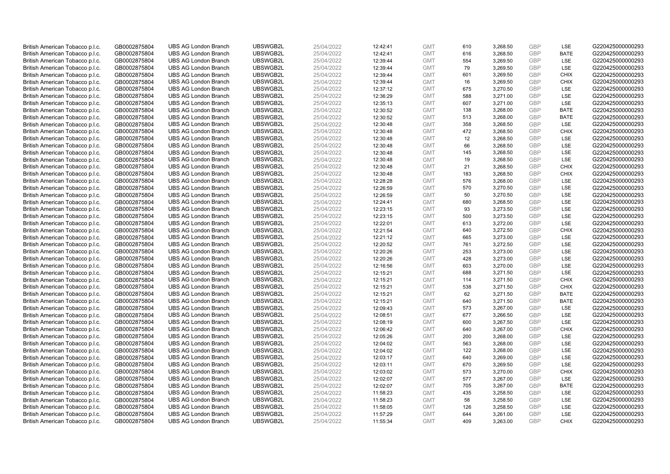| British American Tobacco p.l.c. | GB0002875804 | <b>UBS AG London Branch</b> | UBSWGB2L | 25/04/2022 | 12:42:41 | <b>GMT</b> | 610 | 3,268.50 | <b>GBP</b> | LSE         | G220425000000293 |
|---------------------------------|--------------|-----------------------------|----------|------------|----------|------------|-----|----------|------------|-------------|------------------|
|                                 |              |                             |          |            |          |            |     |          | <b>GBP</b> | <b>BATE</b> |                  |
| British American Tobacco p.l.c. | GB0002875804 | <b>UBS AG London Branch</b> | UBSWGB2L | 25/04/2022 | 12:42:41 | <b>GMT</b> | 616 | 3,268.50 |            |             | G220425000000293 |
| British American Tobacco p.l.c. | GB0002875804 | <b>UBS AG London Branch</b> | UBSWGB2L | 25/04/2022 | 12:39:44 | <b>GMT</b> | 554 | 3,269.50 | <b>GBP</b> | LSE         | G220425000000293 |
| British American Tobacco p.l.c. | GB0002875804 | <b>UBS AG London Branch</b> | UBSWGB2L | 25/04/2022 | 12:39:44 | <b>GMT</b> | 79  | 3,269.50 | <b>GBP</b> | LSE         | G220425000000293 |
| British American Tobacco p.l.c. | GB0002875804 | <b>UBS AG London Branch</b> | UBSWGB2L | 25/04/2022 | 12:39:44 | <b>GMT</b> | 601 | 3,269.50 | <b>GBP</b> | <b>CHIX</b> | G220425000000293 |
| British American Tobacco p.l.c. | GB0002875804 | <b>UBS AG London Branch</b> | UBSWGB2L | 25/04/2022 | 12:39:44 | <b>GMT</b> | 16  | 3,269.50 | <b>GBP</b> | <b>CHIX</b> | G220425000000293 |
| British American Tobacco p.l.c. | GB0002875804 | <b>UBS AG London Branch</b> | UBSWGB2L | 25/04/2022 | 12:37:12 | <b>GMT</b> | 675 | 3,270.50 | <b>GBP</b> | LSE         | G220425000000293 |
| British American Tobacco p.l.c. | GB0002875804 | <b>UBS AG London Branch</b> | UBSWGB2L | 25/04/2022 | 12:36:29 | <b>GMT</b> | 588 | 3,271.00 | <b>GBP</b> | LSE         | G220425000000293 |
| British American Tobacco p.l.c. | GB0002875804 | <b>UBS AG London Branch</b> | UBSWGB2L | 25/04/2022 | 12:35:13 | <b>GMT</b> | 607 | 3,271.00 | <b>GBP</b> | LSE         | G220425000000293 |
| British American Tobacco p.l.c. | GB0002875804 | <b>UBS AG London Branch</b> | UBSWGB2L | 25/04/2022 | 12:30:52 | <b>GMT</b> | 138 | 3,268.00 | <b>GBP</b> | <b>BATE</b> | G220425000000293 |
| British American Tobacco p.l.c. | GB0002875804 | <b>UBS AG London Branch</b> | UBSWGB2L | 25/04/2022 | 12:30:52 | <b>GMT</b> | 513 | 3,268.00 | <b>GBP</b> | <b>BATE</b> | G220425000000293 |
| British American Tobacco p.l.c. | GB0002875804 | <b>UBS AG London Branch</b> | UBSWGB2L | 25/04/2022 | 12:30:48 | <b>GMT</b> | 358 | 3,268.50 | <b>GBP</b> | LSE         | G220425000000293 |
| British American Tobacco p.l.c. | GB0002875804 | <b>UBS AG London Branch</b> | UBSWGB2L | 25/04/2022 | 12:30:48 | <b>GMT</b> | 472 | 3,268.50 | <b>GBP</b> | <b>CHIX</b> | G220425000000293 |
| British American Tobacco p.l.c. | GB0002875804 | <b>UBS AG London Branch</b> | UBSWGB2L | 25/04/2022 | 12:30:48 | <b>GMT</b> | 12  | 3,268.50 | <b>GBP</b> | LSE         | G220425000000293 |
| British American Tobacco p.l.c. | GB0002875804 | <b>UBS AG London Branch</b> | UBSWGB2L | 25/04/2022 | 12:30:48 | <b>GMT</b> | 66  | 3,268.50 | GBP        | LSE         | G220425000000293 |
| British American Tobacco p.l.c. | GB0002875804 | <b>UBS AG London Branch</b> | UBSWGB2L | 25/04/2022 | 12:30:48 | <b>GMT</b> | 145 | 3,268.50 | <b>GBP</b> | LSE         | G220425000000293 |
| British American Tobacco p.l.c. | GB0002875804 | <b>UBS AG London Branch</b> | UBSWGB2L | 25/04/2022 | 12:30:48 | <b>GMT</b> | 19  | 3,268.50 | <b>GBP</b> | LSE         | G220425000000293 |
| British American Tobacco p.l.c. | GB0002875804 | <b>UBS AG London Branch</b> | UBSWGB2L | 25/04/2022 | 12:30:48 | <b>GMT</b> | 21  | 3,268.50 | <b>GBP</b> | <b>CHIX</b> | G220425000000293 |
|                                 |              | <b>UBS AG London Branch</b> | UBSWGB2L |            |          |            | 183 |          |            | <b>CHIX</b> |                  |
| British American Tobacco p.l.c. | GB0002875804 |                             |          | 25/04/2022 | 12:30:48 | <b>GMT</b> |     | 3,268.50 | <b>GBP</b> |             | G220425000000293 |
| British American Tobacco p.l.c. | GB0002875804 | <b>UBS AG London Branch</b> | UBSWGB2L | 25/04/2022 | 12:28:28 | <b>GMT</b> | 576 | 3,268.00 | <b>GBP</b> | LSE         | G220425000000293 |
| British American Tobacco p.l.c. | GB0002875804 | <b>UBS AG London Branch</b> | UBSWGB2L | 25/04/2022 | 12:26:59 | <b>GMT</b> | 570 | 3,270.50 | <b>GBP</b> | LSE         | G220425000000293 |
| British American Tobacco p.l.c. | GB0002875804 | <b>UBS AG London Branch</b> | UBSWGB2L | 25/04/2022 | 12:26:59 | <b>GMT</b> | 50  | 3,270.50 | <b>GBP</b> | LSE         | G220425000000293 |
| British American Tobacco p.l.c. | GB0002875804 | <b>UBS AG London Branch</b> | UBSWGB2L | 25/04/2022 | 12:24:41 | <b>GMT</b> | 680 | 3,268.50 | <b>GBP</b> | LSE         | G220425000000293 |
| British American Tobacco p.l.c. | GB0002875804 | <b>UBS AG London Branch</b> | UBSWGB2L | 25/04/2022 | 12:23:15 | <b>GMT</b> | 93  | 3,273.50 | <b>GBP</b> | LSE         | G220425000000293 |
| British American Tobacco p.l.c. | GB0002875804 | <b>UBS AG London Branch</b> | UBSWGB2L | 25/04/2022 | 12:23:15 | <b>GMT</b> | 500 | 3,273.50 | <b>GBP</b> | LSE         | G220425000000293 |
| British American Tobacco p.l.c. | GB0002875804 | <b>UBS AG London Branch</b> | UBSWGB2L | 25/04/2022 | 12:22:01 | <b>GMT</b> | 613 | 3,272.00 | <b>GBP</b> | LSE         | G220425000000293 |
| British American Tobacco p.l.c. | GB0002875804 | <b>UBS AG London Branch</b> | UBSWGB2L | 25/04/2022 | 12:21:54 | <b>GMT</b> | 640 | 3,272.50 | <b>GBP</b> | <b>CHIX</b> | G220425000000293 |
| British American Tobacco p.l.c. | GB0002875804 | <b>UBS AG London Branch</b> | UBSWGB2L | 25/04/2022 | 12:21:12 | <b>GMT</b> | 665 | 3,273.00 | <b>GBP</b> | LSE         | G220425000000293 |
| British American Tobacco p.l.c. | GB0002875804 | <b>UBS AG London Branch</b> | UBSWGB2L | 25/04/2022 | 12:20:52 | <b>GMT</b> | 761 | 3,272.50 | <b>GBP</b> | LSE         | G220425000000293 |
| British American Tobacco p.l.c. | GB0002875804 | <b>UBS AG London Branch</b> | UBSWGB2L | 25/04/2022 | 12:20:26 | <b>GMT</b> | 253 | 3,273.00 | <b>GBP</b> | LSE         | G220425000000293 |
| British American Tobacco p.l.c. | GB0002875804 | <b>UBS AG London Branch</b> | UBSWGB2L | 25/04/2022 | 12:20:26 | <b>GMT</b> | 428 | 3,273.00 | <b>GBP</b> | LSE         | G220425000000293 |
| British American Tobacco p.l.c. | GB0002875804 | <b>UBS AG London Branch</b> | UBSWGB2L | 25/04/2022 | 12:16:56 | <b>GMT</b> | 603 | 3,270.00 | <b>GBP</b> | LSE         | G220425000000293 |
| British American Tobacco p.l.c. | GB0002875804 | <b>UBS AG London Branch</b> | UBSWGB2L | 25/04/2022 | 12:15:21 | <b>GMT</b> | 688 | 3,271.50 | <b>GBP</b> | LSE         | G220425000000293 |
| British American Tobacco p.l.c. | GB0002875804 | <b>UBS AG London Branch</b> | UBSWGB2L | 25/04/2022 | 12:15:21 | <b>GMT</b> | 114 | 3,271.50 | <b>GBP</b> | <b>CHIX</b> | G220425000000293 |
| British American Tobacco p.l.c. | GB0002875804 | <b>UBS AG London Branch</b> | UBSWGB2L | 25/04/2022 | 12:15:21 | <b>GMT</b> | 538 | 3,271.50 | <b>GBP</b> | <b>CHIX</b> | G220425000000293 |
| British American Tobacco p.l.c. | GB0002875804 | <b>UBS AG London Branch</b> | UBSWGB2L | 25/04/2022 | 12:15:21 | <b>GMT</b> | 62  | 3,271.50 | <b>GBP</b> | <b>BATE</b> | G220425000000293 |
| British American Tobacco p.l.c. | GB0002875804 | <b>UBS AG London Branch</b> | UBSWGB2L | 25/04/2022 | 12:15:21 | <b>GMT</b> | 640 | 3,271.50 | <b>GBP</b> | <b>BATE</b> | G220425000000293 |
| British American Tobacco p.l.c. | GB0002875804 | <b>UBS AG London Branch</b> | UBSWGB2L | 25/04/2022 | 12:09:43 | <b>GMT</b> | 573 | 3,267.00 | <b>GBP</b> | LSE         | G220425000000293 |
| British American Tobacco p.l.c. | GB0002875804 | <b>UBS AG London Branch</b> | UBSWGB2L | 25/04/2022 | 12:08:51 | <b>GMT</b> | 677 | 3,266.50 | <b>GBP</b> | LSE         | G220425000000293 |
| British American Tobacco p.l.c. | GB0002875804 | <b>UBS AG London Branch</b> | UBSWGB2L | 25/04/2022 | 12:08:19 | <b>GMT</b> | 600 | 3,267.50 | <b>GBP</b> | LSE         | G220425000000293 |
| British American Tobacco p.l.c. | GB0002875804 | <b>UBS AG London Branch</b> | UBSWGB2L | 25/04/2022 | 12:06:42 | <b>GMT</b> | 640 | 3,267.00 | <b>GBP</b> | <b>CHIX</b> | G220425000000293 |
| British American Tobacco p.l.c. | GB0002875804 | <b>UBS AG London Branch</b> | UBSWGB2L | 25/04/2022 | 12:05:26 | <b>GMT</b> | 200 | 3,268.00 | <b>GBP</b> | LSE         | G220425000000293 |
| British American Tobacco p.l.c. | GB0002875804 | <b>UBS AG London Branch</b> | UBSWGB2L | 25/04/2022 | 12:04:02 | <b>GMT</b> | 563 | 3,268.00 | <b>GBP</b> | LSE         | G220425000000293 |
| British American Tobacco p.l.c. |              | <b>UBS AG London Branch</b> | UBSWGB2L | 25/04/2022 | 12:04:02 | <b>GMT</b> | 122 | 3,268.00 | <b>GBP</b> | LSE         | G220425000000293 |
|                                 | GB0002875804 |                             | UBSWGB2L |            |          |            | 640 |          |            | LSE         | G220425000000293 |
| British American Tobacco p.l.c. | GB0002875804 | <b>UBS AG London Branch</b> |          | 25/04/2022 | 12:03:17 | <b>GMT</b> |     | 3,269.00 | <b>GBP</b> |             |                  |
| British American Tobacco p.l.c. | GB0002875804 | <b>UBS AG London Branch</b> | UBSWGB2L | 25/04/2022 | 12:03:11 | <b>GMT</b> | 670 | 3,269.50 | <b>GBP</b> | LSE         | G220425000000293 |
| British American Tobacco p.l.c. | GB0002875804 | <b>UBS AG London Branch</b> | UBSWGB2L | 25/04/2022 | 12:03:02 | <b>GMT</b> | 573 | 3,270.00 | <b>GBP</b> | <b>CHIX</b> | G220425000000293 |
| British American Tobacco p.l.c. | GB0002875804 | <b>UBS AG London Branch</b> | UBSWGB2L | 25/04/2022 | 12:02:07 | <b>GMT</b> | 577 | 3,267.00 | <b>GBP</b> | LSE         | G220425000000293 |
| British American Tobacco p.l.c. | GB0002875804 | <b>UBS AG London Branch</b> | UBSWGB2L | 25/04/2022 | 12:02:07 | <b>GMT</b> | 705 | 3,267.00 | <b>GBP</b> | <b>BATE</b> | G220425000000293 |
| British American Tobacco p.l.c. | GB0002875804 | <b>UBS AG London Branch</b> | UBSWGB2L | 25/04/2022 | 11:58:23 | <b>GMT</b> | 435 | 3,258.50 | <b>GBP</b> | LSE         | G220425000000293 |
| British American Tobacco p.l.c. | GB0002875804 | <b>UBS AG London Branch</b> | UBSWGB2L | 25/04/2022 | 11:58:23 | <b>GMT</b> | 58  | 3,258.50 | <b>GBP</b> | LSE         | G220425000000293 |
| British American Tobacco p.l.c. | GB0002875804 | <b>UBS AG London Branch</b> | UBSWGB2L | 25/04/2022 | 11:58:05 | <b>GMT</b> | 126 | 3,258.50 | <b>GBP</b> | LSE         | G220425000000293 |
| British American Tobacco p.l.c. | GB0002875804 | <b>UBS AG London Branch</b> | UBSWGB2L | 25/04/2022 | 11:57:29 | <b>GMT</b> | 644 | 3,261.00 | <b>GBP</b> | LSE         | G220425000000293 |
| British American Tobacco p.l.c. | GB0002875804 | <b>UBS AG London Branch</b> | UBSWGB2L | 25/04/2022 | 11:55:34 | <b>GMT</b> | 409 | 3.263.00 | GBP        | <b>CHIX</b> | G220425000000293 |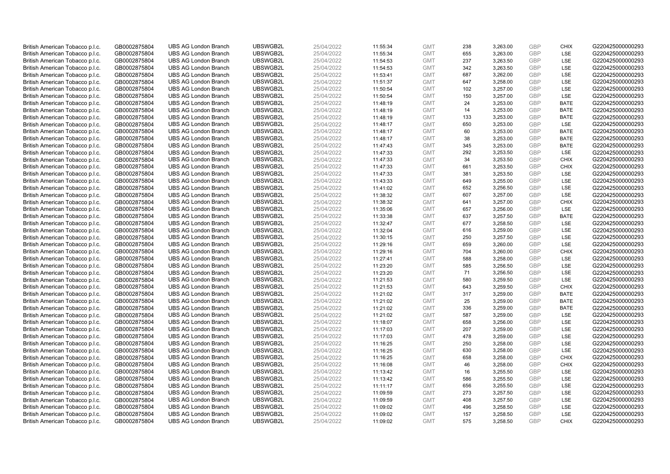| British American Tobacco p.l.c. | GB0002875804 | <b>UBS AG London Branch</b> | UBSWGB2L | 25/04/2022 |          | <b>GMT</b> | 238 | 3,263.00 | <b>GBP</b>               | <b>CHIX</b> | G220425000000293 |
|---------------------------------|--------------|-----------------------------|----------|------------|----------|------------|-----|----------|--------------------------|-------------|------------------|
|                                 |              |                             |          |            | 11:55:34 |            | 655 |          | GBP                      | LSE         |                  |
| British American Tobacco p.l.c. | GB0002875804 | <b>UBS AG London Branch</b> | UBSWGB2L | 25/04/2022 | 11:55:34 | <b>GMT</b> |     | 3,263.00 |                          |             | G220425000000293 |
| British American Tobacco p.l.c. | GB0002875804 | <b>UBS AG London Branch</b> | UBSWGB2L | 25/04/2022 | 11:54:53 | <b>GMT</b> | 237 | 3,263.50 | <b>GBP</b>               | LSE         | G220425000000293 |
| British American Tobacco p.l.c. | GB0002875804 | <b>UBS AG London Branch</b> | UBSWGB2L | 25/04/2022 | 11:54:53 | <b>GMT</b> | 342 | 3,263.50 | <b>GBP</b>               | LSE         | G220425000000293 |
| British American Tobacco p.l.c. | GB0002875804 | <b>UBS AG London Branch</b> | UBSWGB2L | 25/04/2022 | 11:53:41 | <b>GMT</b> | 687 | 3,262.00 | <b>GBP</b>               | LSE         | G220425000000293 |
| British American Tobacco p.l.c. | GB0002875804 | <b>UBS AG London Branch</b> | UBSWGB2L | 25/04/2022 | 11:51:37 | <b>GMT</b> | 647 | 3,258.00 | <b>GBP</b>               | LSE         | G220425000000293 |
| British American Tobacco p.l.c. | GB0002875804 | <b>UBS AG London Branch</b> | UBSWGB2L | 25/04/2022 | 11:50:54 | <b>GMT</b> | 102 | 3,257.00 | <b>GBP</b>               | LSE         | G220425000000293 |
| British American Tobacco p.l.c. | GB0002875804 | <b>UBS AG London Branch</b> | UBSWGB2L | 25/04/2022 | 11:50:54 | <b>GMT</b> | 150 | 3,257.00 | <b>GBP</b>               | LSE         | G220425000000293 |
| British American Tobacco p.l.c. | GB0002875804 | <b>UBS AG London Branch</b> | UBSWGB2L | 25/04/2022 | 11:48:19 | <b>GMT</b> | 24  | 3,253.00 | <b>GBP</b>               | <b>BATE</b> | G220425000000293 |
| British American Tobacco p.l.c. | GB0002875804 | <b>UBS AG London Branch</b> | UBSWGB2L | 25/04/2022 | 11:48:19 | <b>GMT</b> | 14  | 3,253.00 | <b>GBP</b>               | <b>BATE</b> | G220425000000293 |
| British American Tobacco p.l.c. | GB0002875804 | <b>UBS AG London Branch</b> | UBSWGB2L | 25/04/2022 | 11:48:19 | <b>GMT</b> | 133 | 3,253.00 | <b>GBP</b>               | <b>BATE</b> | G220425000000293 |
| British American Tobacco p.l.c. | GB0002875804 | <b>UBS AG London Branch</b> | UBSWGB2L | 25/04/2022 | 11:48:17 | <b>GMT</b> | 650 | 3,253.00 | <b>GBP</b>               | LSE         | G220425000000293 |
| British American Tobacco p.l.c. | GB0002875804 | <b>UBS AG London Branch</b> | UBSWGB2L | 25/04/2022 | 11:48:17 | <b>GMT</b> | 60  | 3,253.00 | <b>GBP</b>               | <b>BATE</b> | G220425000000293 |
| British American Tobacco p.l.c. | GB0002875804 | <b>UBS AG London Branch</b> | UBSWGB2L | 25/04/2022 | 11:48:17 | <b>GMT</b> | 38  | 3,253.00 | <b>GBP</b>               | <b>BATE</b> | G220425000000293 |
| British American Tobacco p.l.c. | GB0002875804 | <b>UBS AG London Branch</b> | UBSWGB2L | 25/04/2022 | 11:47:43 | <b>GMT</b> | 345 | 3,253.00 | <b>GBP</b>               | <b>BATE</b> | G220425000000293 |
| British American Tobacco p.l.c. | GB0002875804 | <b>UBS AG London Branch</b> | UBSWGB2L | 25/04/2022 | 11:47:33 | <b>GMT</b> | 292 | 3,253.50 | <b>GBP</b>               | LSE         | G220425000000293 |
| British American Tobacco p.l.c. | GB0002875804 | <b>UBS AG London Branch</b> | UBSWGB2L | 25/04/2022 | 11:47:33 | <b>GMT</b> | 34  | 3,253.50 | <b>GBP</b>               | <b>CHIX</b> | G220425000000293 |
| British American Tobacco p.l.c. | GB0002875804 | <b>UBS AG London Branch</b> | UBSWGB2L | 25/04/2022 | 11:47:33 | <b>GMT</b> | 661 | 3,253.50 | <b>GBP</b>               | <b>CHIX</b> | G220425000000293 |
| British American Tobacco p.l.c. | GB0002875804 | <b>UBS AG London Branch</b> | UBSWGB2L | 25/04/2022 | 11:47:33 | <b>GMT</b> | 381 | 3,253.50 | <b>GBP</b>               | <b>LSE</b>  | G220425000000293 |
| British American Tobacco p.l.c. | GB0002875804 | <b>UBS AG London Branch</b> | UBSWGB2L | 25/04/2022 | 11:43:33 | <b>GMT</b> | 649 | 3,255.00 | <b>GBP</b>               | LSE         | G220425000000293 |
| British American Tobacco p.l.c. | GB0002875804 | <b>UBS AG London Branch</b> | UBSWGB2L | 25/04/2022 | 11:41:02 | <b>GMT</b> | 652 | 3,256.50 | <b>GBP</b>               | LSE         | G220425000000293 |
| British American Tobacco p.l.c. | GB0002875804 | <b>UBS AG London Branch</b> | UBSWGB2L | 25/04/2022 | 11:38:32 | <b>GMT</b> | 607 | 3,257.00 | <b>GBP</b>               | LSE         | G220425000000293 |
| British American Tobacco p.l.c. | GB0002875804 | <b>UBS AG London Branch</b> | UBSWGB2L | 25/04/2022 | 11:38:32 | <b>GMT</b> | 641 | 3,257.00 | <b>GBP</b>               | <b>CHIX</b> | G220425000000293 |
| British American Tobacco p.l.c. | GB0002875804 | <b>UBS AG London Branch</b> | UBSWGB2L | 25/04/2022 | 11:35:06 | <b>GMT</b> | 657 | 3,256.00 | <b>GBP</b>               | LSE         | G220425000000293 |
| British American Tobacco p.l.c. | GB0002875804 | <b>UBS AG London Branch</b> | UBSWGB2L | 25/04/2022 | 11:33:38 | <b>GMT</b> | 637 | 3,257.50 | <b>GBP</b>               | <b>BATE</b> | G220425000000293 |
| British American Tobacco p.l.c. | GB0002875804 | <b>UBS AG London Branch</b> | UBSWGB2L | 25/04/2022 | 11:32:47 | <b>GMT</b> | 677 | 3,258.50 | <b>GBP</b>               | LSE         | G220425000000293 |
| British American Tobacco p.l.c. | GB0002875804 | <b>UBS AG London Branch</b> | UBSWGB2L | 25/04/2022 | 11:32:04 | <b>GMT</b> | 616 | 3,259.00 | <b>GBP</b>               | LSE         | G220425000000293 |
| British American Tobacco p.l.c. | GB0002875804 | <b>UBS AG London Branch</b> | UBSWGB2L | 25/04/2022 | 11:30:15 | <b>GMT</b> | 250 | 3,257.50 | <b>GBP</b>               | LSE         | G220425000000293 |
| British American Tobacco p.l.c. | GB0002875804 | <b>UBS AG London Branch</b> | UBSWGB2L | 25/04/2022 | 11:29:16 | <b>GMT</b> | 659 | 3,260.00 | <b>GBP</b>               | LSE         | G220425000000293 |
| British American Tobacco p.l.c. | GB0002875804 | <b>UBS AG London Branch</b> | UBSWGB2L | 25/04/2022 | 11:29:16 | <b>GMT</b> | 704 | 3,260.00 | <b>GBP</b>               | <b>CHIX</b> | G220425000000293 |
| British American Tobacco p.l.c. | GB0002875804 | <b>UBS AG London Branch</b> | UBSWGB2L | 25/04/2022 | 11:27:41 | <b>GMT</b> | 588 | 3,258.00 | <b>GBP</b>               | LSE         | G220425000000293 |
|                                 |              | <b>UBS AG London Branch</b> | UBSWGB2L |            |          |            | 585 |          |                          | LSE         | G220425000000293 |
| British American Tobacco p.l.c. | GB0002875804 |                             |          | 25/04/2022 | 11:23:20 | <b>GMT</b> |     | 3,256.50 | <b>GBP</b><br><b>GBP</b> |             |                  |
| British American Tobacco p.l.c. | GB0002875804 | <b>UBS AG London Branch</b> | UBSWGB2L | 25/04/2022 | 11:23:20 | <b>GMT</b> | 71  | 3,256.50 |                          | LSE         | G220425000000293 |
| British American Tobacco p.l.c. | GB0002875804 | <b>UBS AG London Branch</b> | UBSWGB2L | 25/04/2022 | 11:21:53 | <b>GMT</b> | 580 | 3,259.50 | <b>GBP</b>               | LSE         | G220425000000293 |
| British American Tobacco p.l.c. | GB0002875804 | <b>UBS AG London Branch</b> | UBSWGB2L | 25/04/2022 | 11:21:53 | <b>GMT</b> | 643 | 3,259.50 | <b>GBP</b>               | <b>CHIX</b> | G220425000000293 |
| British American Tobacco p.l.c. | GB0002875804 | <b>UBS AG London Branch</b> | UBSWGB2L | 25/04/2022 | 11:21:02 | <b>GMT</b> | 317 | 3,259.00 | <b>GBP</b>               | <b>BATE</b> | G220425000000293 |
| British American Tobacco p.l.c. | GB0002875804 | <b>UBS AG London Branch</b> | UBSWGB2L | 25/04/2022 | 11:21:02 | <b>GMT</b> | 25  | 3,259.00 | <b>GBP</b>               | <b>BATE</b> | G220425000000293 |
| British American Tobacco p.l.c. | GB0002875804 | <b>UBS AG London Branch</b> | UBSWGB2L | 25/04/2022 | 11:21:02 | <b>GMT</b> | 336 | 3,259.00 | <b>GBP</b>               | <b>BATE</b> | G220425000000293 |
| British American Tobacco p.l.c. | GB0002875804 | <b>UBS AG London Branch</b> | UBSWGB2L | 25/04/2022 | 11:21:02 | <b>GMT</b> | 587 | 3,259.00 | <b>GBP</b>               | LSE         | G220425000000293 |
| British American Tobacco p.l.c. | GB0002875804 | <b>UBS AG London Branch</b> | UBSWGB2L | 25/04/2022 | 11:18:07 | <b>GMT</b> | 658 | 3,256.00 | <b>GBP</b>               | LSE         | G220425000000293 |
| British American Tobacco p.l.c. | GB0002875804 | <b>UBS AG London Branch</b> | UBSWGB2L | 25/04/2022 | 11:17:03 | <b>GMT</b> | 207 | 3,259.00 | <b>GBP</b>               | LSE         | G220425000000293 |
| British American Tobacco p.l.c. | GB0002875804 | <b>UBS AG London Branch</b> | UBSWGB2L | 25/04/2022 | 11:17:03 | <b>GMT</b> | 478 | 3,259.00 | <b>GBP</b>               | LSE         | G220425000000293 |
| British American Tobacco p.l.c. | GB0002875804 | <b>UBS AG London Branch</b> | UBSWGB2L | 25/04/2022 | 11:16:25 | <b>GMT</b> | 250 | 3,258.00 | <b>GBP</b>               | LSE         | G220425000000293 |
| British American Tobacco p.l.c. | GB0002875804 | <b>UBS AG London Branch</b> | UBSWGB2L | 25/04/2022 | 11:16:25 | <b>GMT</b> | 630 | 3,258.00 | <b>GBP</b>               | LSE         | G220425000000293 |
| British American Tobacco p.l.c. | GB0002875804 | <b>UBS AG London Branch</b> | UBSWGB2L | 25/04/2022 | 11:16:25 | <b>GMT</b> | 658 | 3,258.00 | <b>GBP</b>               | <b>CHIX</b> | G220425000000293 |
| British American Tobacco p.l.c. | GB0002875804 | <b>UBS AG London Branch</b> | UBSWGB2L | 25/04/2022 | 11:16:08 | <b>GMT</b> | 46  | 3,258.00 | <b>GBP</b>               | <b>CHIX</b> | G220425000000293 |
| British American Tobacco p.l.c. | GB0002875804 | <b>UBS AG London Branch</b> | UBSWGB2L | 25/04/2022 | 11:13:42 | <b>GMT</b> | 16  | 3,255.50 | <b>GBP</b>               | LSE         | G220425000000293 |
| British American Tobacco p.l.c. | GB0002875804 | <b>UBS AG London Branch</b> | UBSWGB2L | 25/04/2022 | 11:13:42 | <b>GMT</b> | 586 | 3,255.50 | <b>GBP</b>               | LSE         | G220425000000293 |
| British American Tobacco p.l.c. | GB0002875804 | <b>UBS AG London Branch</b> | UBSWGB2L | 25/04/2022 | 11:11:17 | <b>GMT</b> | 656 | 3,255.50 | <b>GBP</b>               | LSE         | G220425000000293 |
| British American Tobacco p.l.c. | GB0002875804 | <b>UBS AG London Branch</b> | UBSWGB2L | 25/04/2022 | 11:09:59 | <b>GMT</b> | 273 | 3,257.50 | <b>GBP</b>               | LSE         | G220425000000293 |
| British American Tobacco p.l.c. | GB0002875804 | <b>UBS AG London Branch</b> | UBSWGB2L | 25/04/2022 | 11:09:59 | <b>GMT</b> | 408 | 3,257.50 | <b>GBP</b>               | LSE         | G220425000000293 |
| British American Tobacco p.l.c. | GB0002875804 | <b>UBS AG London Branch</b> | UBSWGB2L | 25/04/2022 | 11:09:02 | <b>GMT</b> | 496 | 3,258.50 | <b>GBP</b>               | LSE         | G220425000000293 |
| British American Tobacco p.l.c. | GB0002875804 | <b>UBS AG London Branch</b> | UBSWGB2L | 25/04/2022 | 11:09:02 | <b>GMT</b> | 157 | 3,258.50 | <b>GBP</b>               | LSE         | G220425000000293 |
| British American Tobacco p.l.c. | GB0002875804 | <b>UBS AG London Branch</b> | UBSWGB2L | 25/04/2022 | 11:09:02 | <b>GMT</b> | 575 | 3.258.50 | GBP                      | <b>CHIX</b> | G220425000000293 |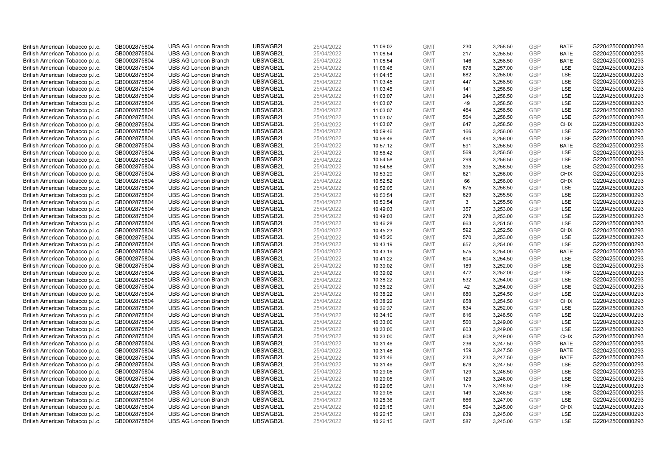| British American Tobacco p.l.c. | GB0002875804 | <b>UBS AG London Branch</b> | UBSWGB2L | 25/04/2022 | 11:09:02 | <b>GMT</b> | 230 | 3,258.50 | <b>GBP</b> | <b>BATE</b> | G220425000000293 |
|---------------------------------|--------------|-----------------------------|----------|------------|----------|------------|-----|----------|------------|-------------|------------------|
|                                 |              |                             |          |            |          |            |     |          |            |             |                  |
| British American Tobacco p.l.c. | GB0002875804 | <b>UBS AG London Branch</b> | UBSWGB2L | 25/04/2022 | 11:08:54 | <b>GMT</b> | 217 | 3,258.50 | <b>GBP</b> | <b>BATE</b> | G220425000000293 |
| British American Tobacco p.l.c. | GB0002875804 | <b>UBS AG London Branch</b> | UBSWGB2L | 25/04/2022 | 11:08:54 | <b>GMT</b> | 146 | 3,258.50 | <b>GBP</b> | <b>BATE</b> | G220425000000293 |
| British American Tobacco p.l.c. | GB0002875804 | <b>UBS AG London Branch</b> | UBSWGB2L | 25/04/2022 | 11:06:46 | <b>GMT</b> | 678 | 3,257.00 | <b>GBP</b> | LSE         | G220425000000293 |
| British American Tobacco p.l.c. | GB0002875804 | <b>UBS AG London Branch</b> | UBSWGB2L | 25/04/2022 | 11:04:15 | <b>GMT</b> | 682 | 3,258.00 | <b>GBP</b> | LSE         | G220425000000293 |
| British American Tobacco p.l.c. | GB0002875804 | <b>UBS AG London Branch</b> | UBSWGB2L | 25/04/2022 | 11:03:45 | <b>GMT</b> | 447 | 3,258.50 | <b>GBP</b> | LSE         | G220425000000293 |
| British American Tobacco p.l.c. | GB0002875804 | <b>UBS AG London Branch</b> | UBSWGB2L | 25/04/2022 | 11:03:45 | <b>GMT</b> | 141 | 3,258.50 | <b>GBP</b> | LSE         | G220425000000293 |
| British American Tobacco p.l.c. | GB0002875804 | <b>UBS AG London Branch</b> | UBSWGB2L | 25/04/2022 | 11:03:07 | <b>GMT</b> | 244 | 3,258.50 | <b>GBP</b> | LSE         | G220425000000293 |
| British American Tobacco p.l.c. | GB0002875804 | <b>UBS AG London Branch</b> | UBSWGB2L | 25/04/2022 | 11:03:07 | <b>GMT</b> | 49  | 3,258.50 | <b>GBP</b> | LSE         | G220425000000293 |
| British American Tobacco p.l.c. | GB0002875804 | <b>UBS AG London Branch</b> | UBSWGB2L | 25/04/2022 | 11:03:07 | <b>GMT</b> | 464 | 3,258.50 | <b>GBP</b> | LSE         | G220425000000293 |
| British American Tobacco p.l.c. | GB0002875804 | <b>UBS AG London Branch</b> | UBSWGB2L | 25/04/2022 | 11:03:07 | <b>GMT</b> | 564 | 3,258.50 | <b>GBP</b> | LSE         | G220425000000293 |
| British American Tobacco p.l.c. | GB0002875804 | <b>UBS AG London Branch</b> | UBSWGB2L | 25/04/2022 | 11:03:07 | <b>GMT</b> | 647 | 3,258.50 | <b>GBP</b> | <b>CHIX</b> | G220425000000293 |
| British American Tobacco p.l.c. | GB0002875804 | <b>UBS AG London Branch</b> | UBSWGB2L | 25/04/2022 | 10:59:46 | <b>GMT</b> | 166 | 3,256.00 | <b>GBP</b> | LSE         | G220425000000293 |
| British American Tobacco p.l.c. | GB0002875804 | <b>UBS AG London Branch</b> | UBSWGB2L | 25/04/2022 | 10:59:46 | <b>GMT</b> | 494 | 3,256.00 | <b>GBP</b> | LSE         | G220425000000293 |
| British American Tobacco p.l.c. | GB0002875804 | <b>UBS AG London Branch</b> | UBSWGB2L | 25/04/2022 | 10:57:12 | <b>GMT</b> | 591 | 3,256.50 | <b>GBP</b> | <b>BATE</b> | G220425000000293 |
| British American Tobacco p.l.c. | GB0002875804 | <b>UBS AG London Branch</b> | UBSWGB2L | 25/04/2022 | 10:56:42 | <b>GMT</b> | 569 | 3,256.50 | <b>GBP</b> | LSE         | G220425000000293 |
| British American Tobacco p.l.c. | GB0002875804 | <b>UBS AG London Branch</b> | UBSWGB2L | 25/04/2022 | 10:54:58 | <b>GMT</b> | 299 | 3,256.50 | <b>GBP</b> | LSE         | G220425000000293 |
| British American Tobacco p.l.c. | GB0002875804 | <b>UBS AG London Branch</b> | UBSWGB2L | 25/04/2022 | 10:54:58 | <b>GMT</b> | 395 | 3,256.50 | <b>GBP</b> | LSE         | G220425000000293 |
| British American Tobacco p.l.c. | GB0002875804 | <b>UBS AG London Branch</b> | UBSWGB2L | 25/04/2022 | 10:53:29 | <b>GMT</b> | 621 | 3,256.00 | <b>GBP</b> | <b>CHIX</b> | G220425000000293 |
| British American Tobacco p.l.c. | GB0002875804 | <b>UBS AG London Branch</b> | UBSWGB2L | 25/04/2022 | 10:52:52 | <b>GMT</b> | 66  | 3,256.00 | <b>GBP</b> | <b>CHIX</b> | G220425000000293 |
| British American Tobacco p.l.c. | GB0002875804 | <b>UBS AG London Branch</b> | UBSWGB2L | 25/04/2022 | 10:52:05 | <b>GMT</b> | 675 | 3,256.50 | <b>GBP</b> | LSE         | G220425000000293 |
| British American Tobacco p.l.c. | GB0002875804 | <b>UBS AG London Branch</b> | UBSWGB2L | 25/04/2022 | 10:50:54 | <b>GMT</b> | 629 | 3,255.50 | <b>GBP</b> | LSE         | G220425000000293 |
| British American Tobacco p.l.c. | GB0002875804 | <b>UBS AG London Branch</b> | UBSWGB2L | 25/04/2022 | 10:50:54 | <b>GMT</b> | 3   |          | <b>GBP</b> | LSE         | G220425000000293 |
| British American Tobacco p.l.c. | GB0002875804 | <b>UBS AG London Branch</b> | UBSWGB2L | 25/04/2022 |          | <b>GMT</b> | 357 | 3,255.50 | <b>GBP</b> | LSE         | G220425000000293 |
|                                 |              |                             |          |            | 10:49:03 |            |     | 3,253.00 |            |             |                  |
| British American Tobacco p.l.c. | GB0002875804 | <b>UBS AG London Branch</b> | UBSWGB2L | 25/04/2022 | 10:49:03 | <b>GMT</b> | 278 | 3,253.00 | <b>GBP</b> | LSE         | G220425000000293 |
| British American Tobacco p.l.c. | GB0002875804 | <b>UBS AG London Branch</b> | UBSWGB2L | 25/04/2022 | 10:46:28 | <b>GMT</b> | 663 | 3,251.50 | <b>GBP</b> | LSE         | G220425000000293 |
| British American Tobacco p.l.c. | GB0002875804 | <b>UBS AG London Branch</b> | UBSWGB2L | 25/04/2022 | 10:45:23 | <b>GMT</b> | 592 | 3,252.50 | <b>GBP</b> | <b>CHIX</b> | G220425000000293 |
| British American Tobacco p.l.c. | GB0002875804 | <b>UBS AG London Branch</b> | UBSWGB2L | 25/04/2022 | 10:45:20 | <b>GMT</b> | 570 | 3,253.00 | <b>GBP</b> | LSE         | G220425000000293 |
| British American Tobacco p.l.c. | GB0002875804 | <b>UBS AG London Branch</b> | UBSWGB2L | 25/04/2022 | 10:43:19 | <b>GMT</b> | 657 | 3,254.00 | <b>GBP</b> | LSE         | G220425000000293 |
| British American Tobacco p.l.c. | GB0002875804 | <b>UBS AG London Branch</b> | UBSWGB2L | 25/04/2022 | 10:43:19 | <b>GMT</b> | 575 | 3,254.00 | <b>GBP</b> | <b>BATE</b> | G220425000000293 |
| British American Tobacco p.l.c. | GB0002875804 | <b>UBS AG London Branch</b> | UBSWGB2L | 25/04/2022 | 10:41:22 | <b>GMT</b> | 604 | 3,254.50 | <b>GBP</b> | LSE         | G220425000000293 |
| British American Tobacco p.l.c. | GB0002875804 | <b>UBS AG London Branch</b> | UBSWGB2L | 25/04/2022 | 10:39:02 | <b>GMT</b> | 189 | 3,252.00 | <b>GBP</b> | LSE         | G220425000000293 |
| British American Tobacco p.l.c. | GB0002875804 | <b>UBS AG London Branch</b> | UBSWGB2L | 25/04/2022 | 10:39:02 | <b>GMT</b> | 472 | 3,252.00 | <b>GBP</b> | LSE         | G220425000000293 |
| British American Tobacco p.l.c. | GB0002875804 | <b>UBS AG London Branch</b> | UBSWGB2L | 25/04/2022 | 10:38:22 | <b>GMT</b> | 532 | 3,254.00 | <b>GBP</b> | LSE         | G220425000000293 |
| British American Tobacco p.l.c. | GB0002875804 | <b>UBS AG London Branch</b> | UBSWGB2L | 25/04/2022 | 10:38:22 | <b>GMT</b> | 42  | 3,254.00 | <b>GBP</b> | LSE         | G220425000000293 |
| British American Tobacco p.l.c. | GB0002875804 | <b>UBS AG London Branch</b> | UBSWGB2L | 25/04/2022 | 10:38:22 | <b>GMT</b> | 680 | 3,254.50 | <b>GBP</b> | LSE         | G220425000000293 |
| British American Tobacco p.l.c. | GB0002875804 | <b>UBS AG London Branch</b> | UBSWGB2L | 25/04/2022 | 10:38:22 | <b>GMT</b> | 658 | 3,254.50 | <b>GBP</b> | <b>CHIX</b> | G220425000000293 |
| British American Tobacco p.l.c. | GB0002875804 | <b>UBS AG London Branch</b> | UBSWGB2L | 25/04/2022 | 10:36:37 | <b>GMT</b> | 634 | 3,252.00 | <b>GBP</b> | LSE         | G220425000000293 |
| British American Tobacco p.l.c. | GB0002875804 | <b>UBS AG London Branch</b> | UBSWGB2L | 25/04/2022 | 10:34:10 | <b>GMT</b> | 616 | 3,248.50 | <b>GBP</b> | LSE         | G220425000000293 |
| British American Tobacco p.l.c. | GB0002875804 | <b>UBS AG London Branch</b> | UBSWGB2L | 25/04/2022 | 10:33:00 | <b>GMT</b> | 560 | 3,249.00 | <b>GBP</b> | LSE         | G220425000000293 |
| British American Tobacco p.l.c. | GB0002875804 | <b>UBS AG London Branch</b> | UBSWGB2L | 25/04/2022 | 10:33:00 | <b>GMT</b> | 603 | 3,249.00 | <b>GBP</b> | LSE         | G220425000000293 |
| British American Tobacco p.l.c. | GB0002875804 | <b>UBS AG London Branch</b> | UBSWGB2L | 25/04/2022 | 10:33:00 | <b>GMT</b> | 608 | 3,249.00 | <b>GBP</b> | <b>CHIX</b> | G220425000000293 |
| British American Tobacco p.l.c. | GB0002875804 | <b>UBS AG London Branch</b> | UBSWGB2L | 25/04/2022 | 10:31:46 | <b>GMT</b> | 236 | 3,247.50 | <b>GBP</b> | <b>BATE</b> | G220425000000293 |
| British American Tobacco p.l.c. | GB0002875804 | <b>UBS AG London Branch</b> | UBSWGB2L | 25/04/2022 | 10:31:46 | <b>GMT</b> | 159 | 3,247.50 | <b>GBP</b> | <b>BATE</b> | G220425000000293 |
| British American Tobacco p.l.c. | GB0002875804 | <b>UBS AG London Branch</b> | UBSWGB2L | 25/04/2022 | 10:31:46 | <b>GMT</b> | 233 | 3,247.50 | <b>GBP</b> | <b>BATE</b> | G220425000000293 |
| British American Tobacco p.l.c. | GB0002875804 | <b>UBS AG London Branch</b> | UBSWGB2L | 25/04/2022 | 10:31:46 | <b>GMT</b> | 679 | 3,247.50 | <b>GBP</b> | LSE         | G220425000000293 |
| British American Tobacco p.l.c. | GB0002875804 | <b>UBS AG London Branch</b> | UBSWGB2L | 25/04/2022 | 10:29:05 | <b>GMT</b> | 129 | 3,246.50 | <b>GBP</b> | LSE         | G220425000000293 |
| British American Tobacco p.l.c. | GB0002875804 | <b>UBS AG London Branch</b> | UBSWGB2L | 25/04/2022 | 10:29:05 | <b>GMT</b> | 129 | 3,246.00 | <b>GBP</b> | LSE         | G220425000000293 |
| British American Tobacco p.l.c. | GB0002875804 | <b>UBS AG London Branch</b> | UBSWGB2L | 25/04/2022 | 10:29:05 | <b>GMT</b> | 175 | 3,246.50 | <b>GBP</b> | LSE         | G220425000000293 |
| British American Tobacco p.l.c. | GB0002875804 | <b>UBS AG London Branch</b> | UBSWGB2L | 25/04/2022 | 10:29:05 | <b>GMT</b> | 149 | 3,246.50 | <b>GBP</b> | LSE         | G220425000000293 |
| British American Tobacco p.l.c. | GB0002875804 | <b>UBS AG London Branch</b> | UBSWGB2L | 25/04/2022 | 10:28:36 | <b>GMT</b> | 666 | 3,247.00 | <b>GBP</b> | LSE         | G220425000000293 |
| British American Tobacco p.l.c. | GB0002875804 | <b>UBS AG London Branch</b> | UBSWGB2L | 25/04/2022 | 10:26:15 | <b>GMT</b> | 594 | 3,245.00 | <b>GBP</b> | <b>CHIX</b> | G220425000000293 |
| British American Tobacco p.l.c. | GB0002875804 | <b>UBS AG London Branch</b> | UBSWGB2L | 25/04/2022 | 10:26:15 | <b>GMT</b> | 639 | 3,245.00 | <b>GBP</b> | LSE         | G220425000000293 |
| British American Tobacco p.l.c. | GB0002875804 | <b>UBS AG London Branch</b> | UBSWGB2L | 25/04/2022 | 10:26:15 | <b>GMT</b> | 587 | 3.245.00 | GBP        | LSE         | G220425000000293 |
|                                 |              |                             |          |            |          |            |     |          |            |             |                  |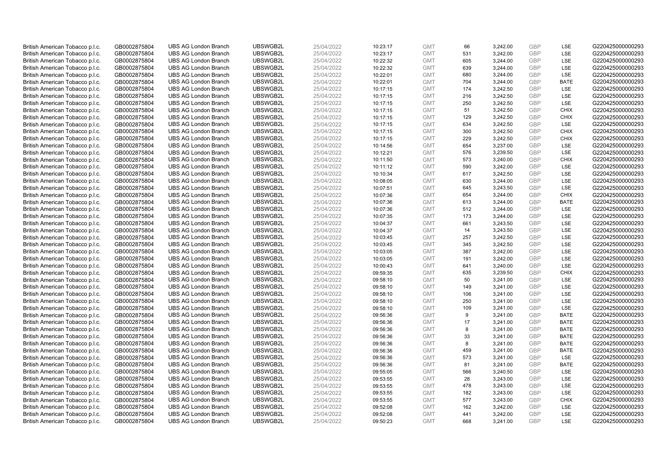| British American Tobacco p.l.c. | GB0002875804 | <b>UBS AG London Branch</b> | UBSWGB2L             | 25/04/2022 | 10:23:17 | <b>GMT</b> | 66        | 3,242.00             | <b>GBP</b> | LSE         | G220425000000293                     |
|---------------------------------|--------------|-----------------------------|----------------------|------------|----------|------------|-----------|----------------------|------------|-------------|--------------------------------------|
|                                 |              |                             |                      |            |          |            | 531       |                      | GBP        | LSE         |                                      |
| British American Tobacco p.l.c. | GB0002875804 | <b>UBS AG London Branch</b> | UBSWGB2L             | 25/04/2022 | 10:23:17 | <b>GMT</b> |           | 3,242.00             |            |             | G220425000000293                     |
| British American Tobacco p.l.c. | GB0002875804 | <b>UBS AG London Branch</b> | UBSWGB2L             | 25/04/2022 | 10:22:32 | <b>GMT</b> | 605       | 3,244.00             | <b>GBP</b> | LSE         | G220425000000293                     |
| British American Tobacco p.l.c. | GB0002875804 | <b>UBS AG London Branch</b> | UBSWGB2L             | 25/04/2022 | 10:22:32 | <b>GMT</b> | 639       | 3,244.00             | <b>GBP</b> | LSE         | G220425000000293                     |
| British American Tobacco p.l.c. | GB0002875804 | <b>UBS AG London Branch</b> | UBSWGB2L             | 25/04/2022 | 10:22:01 | <b>GMT</b> | 680       | 3,244.00             | <b>GBP</b> | LSE         | G220425000000293                     |
| British American Tobacco p.l.c. | GB0002875804 | <b>UBS AG London Branch</b> | UBSWGB2L             | 25/04/2022 | 10:22:01 | <b>GMT</b> | 704       | 3,244.00             | <b>GBP</b> | <b>BATE</b> | G220425000000293                     |
| British American Tobacco p.l.c. | GB0002875804 | <b>UBS AG London Branch</b> | UBSWGB2L             | 25/04/2022 | 10:17:15 | <b>GMT</b> | 174       | 3,242.50             | <b>GBP</b> | LSE         | G220425000000293                     |
| British American Tobacco p.l.c. | GB0002875804 | <b>UBS AG London Branch</b> | UBSWGB2L             | 25/04/2022 | 10:17:15 | <b>GMT</b> | 216       | 3,242.50             | <b>GBP</b> | LSE         | G220425000000293                     |
| British American Tobacco p.l.c. | GB0002875804 | <b>UBS AG London Branch</b> | UBSWGB2L             | 25/04/2022 | 10:17:15 | <b>GMT</b> | 250       | 3,242.50             | <b>GBP</b> | LSE         | G220425000000293                     |
| British American Tobacco p.l.c. | GB0002875804 | <b>UBS AG London Branch</b> | UBSWGB2L             | 25/04/2022 | 10:17:15 | <b>GMT</b> | 51        | 3,242.50             | <b>GBP</b> | <b>CHIX</b> | G220425000000293                     |
| British American Tobacco p.l.c. | GB0002875804 | <b>UBS AG London Branch</b> | UBSWGB2L             | 25/04/2022 | 10:17:15 | <b>GMT</b> | 129       | 3,242.50             | <b>GBP</b> | <b>CHIX</b> | G220425000000293                     |
| British American Tobacco p.l.c. | GB0002875804 | <b>UBS AG London Branch</b> | UBSWGB2L             | 25/04/2022 | 10:17:15 | <b>GMT</b> | 634       | 3,242.50             | <b>GBP</b> | LSE         | G220425000000293                     |
| British American Tobacco p.l.c. | GB0002875804 | <b>UBS AG London Branch</b> | UBSWGB2L             | 25/04/2022 | 10:17:15 | <b>GMT</b> | 300       | 3,242.50             | <b>GBP</b> | <b>CHIX</b> | G220425000000293                     |
| British American Tobacco p.l.c. | GB0002875804 | <b>UBS AG London Branch</b> | UBSWGB2L             | 25/04/2022 | 10:17:15 | <b>GMT</b> | 229       | 3,242.50             | <b>GBP</b> | <b>CHIX</b> | G220425000000293                     |
| British American Tobacco p.l.c. | GB0002875804 | <b>UBS AG London Branch</b> | UBSWGB2L             | 25/04/2022 | 10:14:56 | <b>GMT</b> | 654       | 3,237.00             | <b>GBP</b> | LSE         | G220425000000293                     |
| British American Tobacco p.l.c. | GB0002875804 | <b>UBS AG London Branch</b> | UBSWGB2L             | 25/04/2022 | 10:12:21 | <b>GMT</b> | 576       | 3,239.50             | <b>GBP</b> | LSE         | G220425000000293                     |
| British American Tobacco p.l.c. | GB0002875804 | <b>UBS AG London Branch</b> | UBSWGB2L             | 25/04/2022 | 10:11:50 | <b>GMT</b> | 573       | 3,240.00             | <b>GBP</b> | <b>CHIX</b> | G220425000000293                     |
| British American Tobacco p.l.c. | GB0002875804 | <b>UBS AG London Branch</b> | UBSWGB2L             | 25/04/2022 | 10:11:12 | <b>GMT</b> | 590       | 3,242.00             | <b>GBP</b> | LSE         | G220425000000293                     |
| British American Tobacco p.l.c. | GB0002875804 | <b>UBS AG London Branch</b> | UBSWGB2L             | 25/04/2022 | 10:10:34 | <b>GMT</b> | 617       | 3,242.50             | <b>GBP</b> | <b>LSE</b>  | G220425000000293                     |
| British American Tobacco p.l.c. | GB0002875804 | <b>UBS AG London Branch</b> | UBSWGB2L             | 25/04/2022 | 10:08:05 | <b>GMT</b> | 630       | 3,244.00             | <b>GBP</b> | LSE         | G220425000000293                     |
| British American Tobacco p.l.c. | GB0002875804 | <b>UBS AG London Branch</b> | UBSWGB2L             | 25/04/2022 | 10:07:51 | <b>GMT</b> | 645       | 3,243.50             | <b>GBP</b> | LSE         | G220425000000293                     |
| British American Tobacco p.l.c. | GB0002875804 | <b>UBS AG London Branch</b> | UBSWGB2L             | 25/04/2022 | 10:07:36 | <b>GMT</b> | 654       | 3,244.00             | <b>GBP</b> | <b>CHIX</b> | G220425000000293                     |
| British American Tobacco p.l.c. | GB0002875804 | <b>UBS AG London Branch</b> | UBSWGB2L             | 25/04/2022 | 10:07:36 | <b>GMT</b> | 613       | 3,244.00             | <b>GBP</b> | <b>BATE</b> | G220425000000293                     |
| British American Tobacco p.l.c. | GB0002875804 | <b>UBS AG London Branch</b> | UBSWGB2L             | 25/04/2022 | 10:07:36 | <b>GMT</b> | 512       | 3,244.00             | <b>GBP</b> | LSE         | G220425000000293                     |
| British American Tobacco p.l.c. | GB0002875804 | <b>UBS AG London Branch</b> | UBSWGB2L             | 25/04/2022 | 10:07:35 | <b>GMT</b> | 173       | 3,244.00             | <b>GBP</b> | LSE         | G220425000000293                     |
| British American Tobacco p.l.c. | GB0002875804 | <b>UBS AG London Branch</b> | UBSWGB2L             | 25/04/2022 | 10:04:37 | <b>GMT</b> | 661       | 3,243.50             | <b>GBP</b> | LSE         | G220425000000293                     |
| British American Tobacco p.l.c. | GB0002875804 | <b>UBS AG London Branch</b> | UBSWGB2L             | 25/04/2022 | 10:04:37 | <b>GMT</b> | 14        | 3,243.50             | <b>GBP</b> | LSE         | G220425000000293                     |
| British American Tobacco p.l.c. | GB0002875804 | <b>UBS AG London Branch</b> | UBSWGB2L             | 25/04/2022 | 10:03:45 | <b>GMT</b> | 257       | 3,242.50             | <b>GBP</b> | LSE         | G220425000000293                     |
| British American Tobacco p.l.c. | GB0002875804 | <b>UBS AG London Branch</b> | UBSWGB2L             | 25/04/2022 | 10:03:45 | <b>GMT</b> | 345       | 3,242.50             | <b>GBP</b> | LSE         | G220425000000293                     |
| British American Tobacco p.l.c. | GB0002875804 | <b>UBS AG London Branch</b> | UBSWGB2L             | 25/04/2022 | 10:03:05 | <b>GMT</b> | 387       | 3,242.00             | <b>GBP</b> | LSE         | G220425000000293                     |
| British American Tobacco p.l.c. | GB0002875804 | <b>UBS AG London Branch</b> | UBSWGB2L             | 25/04/2022 | 10:03:05 | <b>GMT</b> | 191       | 3,242.00             | <b>GBP</b> | LSE         | G220425000000293                     |
| British American Tobacco p.l.c. | GB0002875804 | <b>UBS AG London Branch</b> | UBSWGB2L             | 25/04/2022 | 10:00:43 | <b>GMT</b> | 641       | 3,240.00             | <b>GBP</b> | LSE         | G220425000000293                     |
| British American Tobacco p.l.c. | GB0002875804 | <b>UBS AG London Branch</b> | UBSWGB2L             | 25/04/2022 | 09:59:35 | <b>GMT</b> | 635       | 3,239.50             | <b>GBP</b> | <b>CHIX</b> | G220425000000293                     |
| British American Tobacco p.l.c. | GB0002875804 | <b>UBS AG London Branch</b> | UBSWGB2L             | 25/04/2022 | 09:58:10 | <b>GMT</b> | 50        | 3,241.00             | <b>GBP</b> | LSE         | G220425000000293                     |
| British American Tobacco p.l.c. | GB0002875804 | <b>UBS AG London Branch</b> | UBSWGB2L             | 25/04/2022 | 09:58:10 | <b>GMT</b> | 149       | 3,241.00             | <b>GBP</b> | LSE         | G220425000000293                     |
| British American Tobacco p.l.c. | GB0002875804 | <b>UBS AG London Branch</b> | UBSWGB2L             | 25/04/2022 | 09:58:10 | <b>GMT</b> | 106       | 3,241.00             | <b>GBP</b> | LSE         | G220425000000293                     |
| British American Tobacco p.l.c. | GB0002875804 | <b>UBS AG London Branch</b> | UBSWGB2L             | 25/04/2022 | 09:58:10 | <b>GMT</b> | 250       | 3,241.00             | <b>GBP</b> | LSE         | G220425000000293                     |
| British American Tobacco p.l.c. | GB0002875804 | <b>UBS AG London Branch</b> | UBSWGB2L             | 25/04/2022 | 09:58:10 | <b>GMT</b> | 109       | 3,241.00             | <b>GBP</b> | LSE         | G220425000000293                     |
| British American Tobacco p.l.c. | GB0002875804 | <b>UBS AG London Branch</b> | UBSWGB2L             | 25/04/2022 | 09:56:36 | <b>GMT</b> | 9         | 3,241.00             | <b>GBP</b> | <b>BATE</b> | G220425000000293                     |
| British American Tobacco p.l.c. | GB0002875804 | <b>UBS AG London Branch</b> | UBSWGB2L             | 25/04/2022 | 09:56:36 | <b>GMT</b> | 17        | 3,241.00             | <b>GBP</b> | <b>BATE</b> | G220425000000293                     |
| British American Tobacco p.l.c. | GB0002875804 | <b>UBS AG London Branch</b> | UBSWGB2L             | 25/04/2022 | 09:56:36 | <b>GMT</b> | 8         | 3,241.00             | <b>GBP</b> | <b>BATE</b> | G220425000000293                     |
| British American Tobacco p.l.c. | GB0002875804 | <b>UBS AG London Branch</b> | UBSWGB2L             | 25/04/2022 | 09:56:36 | <b>GMT</b> | 33        | 3,241.00             | <b>GBP</b> | <b>BATE</b> | G220425000000293                     |
| British American Tobacco p.l.c. | GB0002875804 | <b>UBS AG London Branch</b> | UBSWGB2L             | 25/04/2022 | 09:56:36 | <b>GMT</b> | 8         | 3,241.00             | <b>GBP</b> | <b>BATE</b> | G220425000000293                     |
| British American Tobacco p.l.c. | GB0002875804 | <b>UBS AG London Branch</b> | UBSWGB2L             | 25/04/2022 | 09:56:36 | <b>GMT</b> | 459       | 3,241.00             | <b>GBP</b> | <b>BATE</b> | G220425000000293                     |
| British American Tobacco p.l.c. | GB0002875804 | <b>UBS AG London Branch</b> | UBSWGB2L             | 25/04/2022 | 09:56:36 | <b>GMT</b> | 573       | 3,241.00             | <b>GBP</b> | <b>LSE</b>  | G220425000000293                     |
|                                 |              | <b>UBS AG London Branch</b> | UBSWGB2L             | 25/04/2022 |          | <b>GMT</b> |           |                      | <b>GBP</b> | <b>BATE</b> | G220425000000293                     |
| British American Tobacco p.l.c. | GB0002875804 |                             |                      |            | 09:56:36 | <b>GMT</b> | 81<br>566 | 3,241.00<br>3,240.50 | <b>GBP</b> | LSE         |                                      |
| British American Tobacco p.l.c. | GB0002875804 | <b>UBS AG London Branch</b> | UBSWGB2L<br>UBSWGB2L | 25/04/2022 | 09:55:05 |            | 28        |                      | <b>GBP</b> | LSE         | G220425000000293<br>G220425000000293 |
| British American Tobacco p.l.c. | GB0002875804 | <b>UBS AG London Branch</b> |                      | 25/04/2022 | 09:53:55 | <b>GMT</b> |           | 3,243.00             |            |             |                                      |
| British American Tobacco p.l.c. | GB0002875804 | <b>UBS AG London Branch</b> | UBSWGB2L             | 25/04/2022 | 09:53:55 | <b>GMT</b> | 478       | 3,243.00             | <b>GBP</b> | LSE         | G220425000000293                     |
| British American Tobacco p.l.c. | GB0002875804 | <b>UBS AG London Branch</b> | UBSWGB2L             | 25/04/2022 | 09:53:55 | <b>GMT</b> | 182       | 3,243.00             | <b>GBP</b> | LSE         | G220425000000293                     |
| British American Tobacco p.l.c. | GB0002875804 | <b>UBS AG London Branch</b> | UBSWGB2L             | 25/04/2022 | 09:53:55 | <b>GMT</b> | 577       | 3,243.00             | <b>GBP</b> | <b>CHIX</b> | G220425000000293                     |
| British American Tobacco p.l.c. | GB0002875804 | <b>UBS AG London Branch</b> | UBSWGB2L             | 25/04/2022 | 09:52:08 | <b>GMT</b> | 162       | 3,242.00             | <b>GBP</b> | LSE         | G220425000000293                     |
| British American Tobacco p.l.c. | GB0002875804 | <b>UBS AG London Branch</b> | UBSWGB2L             | 25/04/2022 | 09:52:08 | <b>GMT</b> | 441       | 3,242.00             | <b>GBP</b> | LSE         | G220425000000293                     |
| British American Tobacco p.l.c. | GB0002875804 | <b>UBS AG London Branch</b> | UBSWGB2L             | 25/04/2022 | 09:50:23 | <b>GMT</b> | 668       | 3.241.00             | GBP        | LSE         | G220425000000293                     |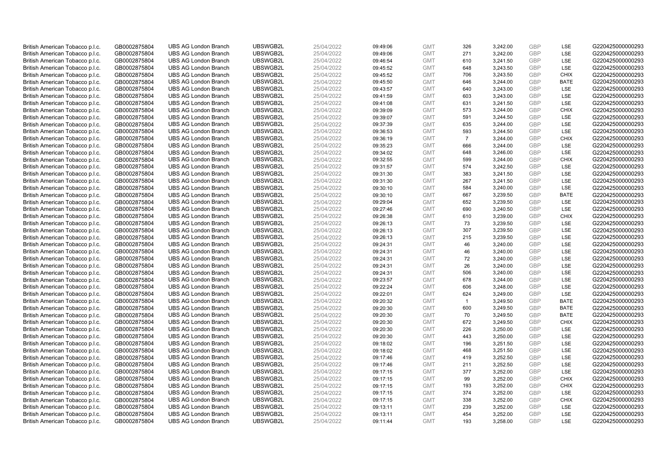| British American Tobacco p.l.c. | GB0002875804 | <b>UBS AG London Branch</b> | UBSWGB2L | 25/04/2022 | 09:49:06 | <b>GMT</b> | 326            | 3,242.00 | <b>GBP</b> | LSE         | G220425000000293 |
|---------------------------------|--------------|-----------------------------|----------|------------|----------|------------|----------------|----------|------------|-------------|------------------|
|                                 |              |                             |          |            |          |            | 271            |          | GBP        | LSE         |                  |
| British American Tobacco p.l.c. | GB0002875804 | <b>UBS AG London Branch</b> | UBSWGB2L | 25/04/2022 | 09:49:06 | <b>GMT</b> |                | 3,242.00 |            |             | G220425000000293 |
| British American Tobacco p.l.c. | GB0002875804 | <b>UBS AG London Branch</b> | UBSWGB2L | 25/04/2022 | 09:46:54 | <b>GMT</b> | 610            | 3,241.50 | <b>GBP</b> | LSE         | G220425000000293 |
| British American Tobacco p.l.c. | GB0002875804 | <b>UBS AG London Branch</b> | UBSWGB2L | 25/04/2022 | 09:45:52 | <b>GMT</b> | 648            | 3,243.50 | <b>GBP</b> | LSE         | G220425000000293 |
| British American Tobacco p.l.c. | GB0002875804 | <b>UBS AG London Branch</b> | UBSWGB2L | 25/04/2022 | 09:45:52 | <b>GMT</b> | 706            | 3,243.50 | <b>GBP</b> | <b>CHIX</b> | G220425000000293 |
| British American Tobacco p.l.c. | GB0002875804 | <b>UBS AG London Branch</b> | UBSWGB2L | 25/04/2022 | 09:45:50 | <b>GMT</b> | 646            | 3,244.00 | <b>GBP</b> | <b>BATE</b> | G220425000000293 |
| British American Tobacco p.l.c. | GB0002875804 | <b>UBS AG London Branch</b> | UBSWGB2L | 25/04/2022 | 09:43:57 | <b>GMT</b> | 640            | 3,243.00 | <b>GBP</b> | LSE         | G220425000000293 |
| British American Tobacco p.l.c. | GB0002875804 | <b>UBS AG London Branch</b> | UBSWGB2L | 25/04/2022 | 09:41:59 | <b>GMT</b> | 603            | 3,243.00 | <b>GBP</b> | LSE         | G220425000000293 |
| British American Tobacco p.l.c. | GB0002875804 | <b>UBS AG London Branch</b> | UBSWGB2L | 25/04/2022 | 09:41:08 | <b>GMT</b> | 631            | 3,241.50 | <b>GBP</b> | LSE         | G220425000000293 |
| British American Tobacco p.l.c. | GB0002875804 | <b>UBS AG London Branch</b> | UBSWGB2L | 25/04/2022 | 09:39:09 | <b>GMT</b> | 573            | 3,244.00 | <b>GBP</b> | <b>CHIX</b> | G220425000000293 |
| British American Tobacco p.l.c. | GB0002875804 | <b>UBS AG London Branch</b> | UBSWGB2L | 25/04/2022 | 09:39:07 | <b>GMT</b> | 591            | 3,244.50 | <b>GBP</b> | LSE         | G220425000000293 |
| British American Tobacco p.l.c. | GB0002875804 | <b>UBS AG London Branch</b> | UBSWGB2L | 25/04/2022 | 09:37:39 | <b>GMT</b> | 635            | 3,244.00 | <b>GBP</b> | LSE         | G220425000000293 |
| British American Tobacco p.l.c. | GB0002875804 | <b>UBS AG London Branch</b> | UBSWGB2L | 25/04/2022 | 09:36:53 | <b>GMT</b> | 593            | 3,244.50 | <b>GBP</b> | LSE         | G220425000000293 |
| British American Tobacco p.l.c. | GB0002875804 | <b>UBS AG London Branch</b> | UBSWGB2L | 25/04/2022 | 09:36:19 | <b>GMT</b> | $\overline{7}$ | 3,244.00 | <b>GBP</b> | <b>CHIX</b> | G220425000000293 |
| British American Tobacco p.l.c. | GB0002875804 | <b>UBS AG London Branch</b> | UBSWGB2L | 25/04/2022 | 09:35:23 | <b>GMT</b> | 666            | 3,244.00 | <b>GBP</b> | LSE         | G220425000000293 |
| British American Tobacco p.l.c. | GB0002875804 | <b>UBS AG London Branch</b> | UBSWGB2L | 25/04/2022 | 09:34:02 | <b>GMT</b> | 648            | 3,246.00 | <b>GBP</b> | LSE         | G220425000000293 |
| British American Tobacco p.l.c. | GB0002875804 | <b>UBS AG London Branch</b> | UBSWGB2L | 25/04/2022 | 09:32:55 | <b>GMT</b> | 599            | 3,244.00 | <b>GBP</b> | <b>CHIX</b> | G220425000000293 |
| British American Tobacco p.l.c. | GB0002875804 | <b>UBS AG London Branch</b> | UBSWGB2L | 25/04/2022 | 09:31:57 | <b>GMT</b> | 574            | 3,242.50 | <b>GBP</b> | LSE         | G220425000000293 |
| British American Tobacco p.l.c. | GB0002875804 | <b>UBS AG London Branch</b> | UBSWGB2L | 25/04/2022 | 09:31:30 | <b>GMT</b> | 383            | 3,241.50 | <b>GBP</b> | <b>LSE</b>  | G220425000000293 |
| British American Tobacco p.l.c. | GB0002875804 | <b>UBS AG London Branch</b> | UBSWGB2L | 25/04/2022 | 09:31:30 | <b>GMT</b> | 267            | 3,241.50 | <b>GBP</b> | LSE         | G220425000000293 |
| British American Tobacco p.l.c. | GB0002875804 | <b>UBS AG London Branch</b> | UBSWGB2L | 25/04/2022 | 09:30:10 | <b>GMT</b> | 584            | 3,240.00 | <b>GBP</b> | LSE         | G220425000000293 |
| British American Tobacco p.l.c. | GB0002875804 | <b>UBS AG London Branch</b> | UBSWGB2L | 25/04/2022 | 09:30:10 | <b>GMT</b> | 667            | 3,239.50 | <b>GBP</b> | <b>BATE</b> | G220425000000293 |
| British American Tobacco p.l.c. | GB0002875804 | <b>UBS AG London Branch</b> | UBSWGB2L | 25/04/2022 | 09:29:04 | <b>GMT</b> | 652            | 3,239.50 | <b>GBP</b> | LSE         | G220425000000293 |
| British American Tobacco p.l.c. | GB0002875804 | <b>UBS AG London Branch</b> | UBSWGB2L | 25/04/2022 | 09:27:46 | <b>GMT</b> | 690            | 3,240.50 | <b>GBP</b> | LSE         | G220425000000293 |
| British American Tobacco p.l.c. | GB0002875804 | <b>UBS AG London Branch</b> | UBSWGB2L | 25/04/2022 | 09:26:38 | <b>GMT</b> | 610            | 3,239.00 | <b>GBP</b> | <b>CHIX</b> | G220425000000293 |
| British American Tobacco p.l.c. | GB0002875804 | <b>UBS AG London Branch</b> | UBSWGB2L | 25/04/2022 | 09:26:13 | <b>GMT</b> | 73             | 3,239.50 | <b>GBP</b> | LSE         | G220425000000293 |
| British American Tobacco p.l.c. | GB0002875804 | <b>UBS AG London Branch</b> | UBSWGB2L | 25/04/2022 | 09:26:13 | <b>GMT</b> | 307            | 3,239.50 | <b>GBP</b> | LSE         | G220425000000293 |
| British American Tobacco p.l.c. | GB0002875804 | <b>UBS AG London Branch</b> | UBSWGB2L | 25/04/2022 | 09:26:13 | <b>GMT</b> | 215            | 3,239.50 | <b>GBP</b> | LSE         | G220425000000293 |
| British American Tobacco p.l.c. | GB0002875804 | <b>UBS AG London Branch</b> | UBSWGB2L | 25/04/2022 | 09:24:31 | <b>GMT</b> | 46             | 3,240.00 | <b>GBP</b> | LSE         | G220425000000293 |
| British American Tobacco p.l.c. | GB0002875804 | <b>UBS AG London Branch</b> | UBSWGB2L | 25/04/2022 | 09:24:31 | <b>GMT</b> | 46             | 3,240.00 | <b>GBP</b> | LSE         | G220425000000293 |
| British American Tobacco p.l.c. |              | <b>UBS AG London Branch</b> | UBSWGB2L | 25/04/2022 |          | <b>GMT</b> | 72             | 3,240.00 | <b>GBP</b> | LSE         | G220425000000293 |
|                                 | GB0002875804 |                             |          |            | 09:24:31 |            |                |          |            | LSE         |                  |
| British American Tobacco p.l.c. | GB0002875804 | <b>UBS AG London Branch</b> | UBSWGB2L | 25/04/2022 | 09:24:31 | <b>GMT</b> | 26             | 3,240.00 | <b>GBP</b> |             | G220425000000293 |
| British American Tobacco p.l.c. | GB0002875804 | <b>UBS AG London Branch</b> | UBSWGB2L | 25/04/2022 | 09:24:31 | <b>GMT</b> | 506            | 3,240.00 | <b>GBP</b> | LSE         | G220425000000293 |
| British American Tobacco p.l.c. | GB0002875804 | <b>UBS AG London Branch</b> | UBSWGB2L | 25/04/2022 | 09:23:57 | <b>GMT</b> | 678            | 3,244.00 | <b>GBP</b> | LSE         | G220425000000293 |
| British American Tobacco p.l.c. | GB0002875804 | <b>UBS AG London Branch</b> | UBSWGB2L | 25/04/2022 | 09:22:24 | <b>GMT</b> | 606            | 3,248.00 | <b>GBP</b> | LSE         | G220425000000293 |
| British American Tobacco p.l.c. | GB0002875804 | <b>UBS AG London Branch</b> | UBSWGB2L | 25/04/2022 | 09:22:01 | <b>GMT</b> | 624            | 3,249.00 | <b>GBP</b> | LSE         | G220425000000293 |
| British American Tobacco p.l.c. | GB0002875804 | <b>UBS AG London Branch</b> | UBSWGB2L | 25/04/2022 | 09:20:32 | <b>GMT</b> | $\mathbf{1}$   | 3,249.50 | <b>GBP</b> | <b>BATE</b> | G220425000000293 |
| British American Tobacco p.l.c. | GB0002875804 | <b>UBS AG London Branch</b> | UBSWGB2L | 25/04/2022 | 09:20:30 | <b>GMT</b> | 600            | 3,249.50 | <b>GBP</b> | <b>BATE</b> | G220425000000293 |
| British American Tobacco p.l.c. | GB0002875804 | <b>UBS AG London Branch</b> | UBSWGB2L | 25/04/2022 | 09:20:30 | <b>GMT</b> | 70             | 3,249.50 | <b>GBP</b> | <b>BATE</b> | G220425000000293 |
| British American Tobacco p.l.c. | GB0002875804 | <b>UBS AG London Branch</b> | UBSWGB2L | 25/04/2022 | 09:20:30 | <b>GMT</b> | 672            | 3,249.50 | <b>GBP</b> | <b>CHIX</b> | G220425000000293 |
| British American Tobacco p.l.c. | GB0002875804 | <b>UBS AG London Branch</b> | UBSWGB2L | 25/04/2022 | 09:20:30 | <b>GMT</b> | 226            | 3,250.00 | <b>GBP</b> | LSE         | G220425000000293 |
| British American Tobacco p.l.c. | GB0002875804 | <b>UBS AG London Branch</b> | UBSWGB2L | 25/04/2022 | 09:20:30 | <b>GMT</b> | 443            | 3,250.00 | <b>GBP</b> | LSE         | G220425000000293 |
| British American Tobacco p.l.c. | GB0002875804 | <b>UBS AG London Branch</b> | UBSWGB2L | 25/04/2022 | 09:18:02 | <b>GMT</b> | 196            | 3,251.50 | <b>GBP</b> | LSE         | G220425000000293 |
| British American Tobacco p.l.c. | GB0002875804 | <b>UBS AG London Branch</b> | UBSWGB2L | 25/04/2022 | 09:18:02 | <b>GMT</b> | 468            | 3,251.50 | <b>GBP</b> | LSE         | G220425000000293 |
| British American Tobacco p.l.c. | GB0002875804 | <b>UBS AG London Branch</b> | UBSWGB2L | 25/04/2022 | 09:17:46 | <b>GMT</b> | 419            | 3,252.50 | <b>GBP</b> | LSE         | G220425000000293 |
| British American Tobacco p.l.c. | GB0002875804 | <b>UBS AG London Branch</b> | UBSWGB2L | 25/04/2022 | 09:17:46 | <b>GMT</b> | 211            | 3,252.50 | <b>GBP</b> | LSE         | G220425000000293 |
| British American Tobacco p.l.c. | GB0002875804 | <b>UBS AG London Branch</b> | UBSWGB2L | 25/04/2022 | 09:17:15 | <b>GMT</b> | 377            | 3,252.00 | <b>GBP</b> | LSE         | G220425000000293 |
| British American Tobacco p.l.c. | GB0002875804 | <b>UBS AG London Branch</b> | UBSWGB2L | 25/04/2022 | 09:17:15 | <b>GMT</b> | 99             | 3,252.00 | <b>GBP</b> | <b>CHIX</b> | G220425000000293 |
| British American Tobacco p.l.c. | GB0002875804 | <b>UBS AG London Branch</b> | UBSWGB2L | 25/04/2022 | 09:17:15 | <b>GMT</b> | 193            | 3,252.00 | <b>GBP</b> | <b>CHIX</b> | G220425000000293 |
| British American Tobacco p.l.c. | GB0002875804 | <b>UBS AG London Branch</b> | UBSWGB2L | 25/04/2022 | 09:17:15 | <b>GMT</b> | 374            | 3,252.00 | <b>GBP</b> | LSE         | G220425000000293 |
| British American Tobacco p.l.c. | GB0002875804 | <b>UBS AG London Branch</b> | UBSWGB2L | 25/04/2022 | 09:17:15 | <b>GMT</b> | 338            | 3,252.00 | <b>GBP</b> | <b>CHIX</b> | G220425000000293 |
| British American Tobacco p.l.c. | GB0002875804 | <b>UBS AG London Branch</b> | UBSWGB2L | 25/04/2022 | 09:13:11 | <b>GMT</b> | 239            | 3,252.00 | <b>GBP</b> | LSE         | G220425000000293 |
| British American Tobacco p.l.c. | GB0002875804 | <b>UBS AG London Branch</b> | UBSWGB2L | 25/04/2022 | 09:13:11 | <b>GMT</b> | 454            | 3,252.00 | <b>GBP</b> | LSE         | G220425000000293 |
| British American Tobacco p.l.c. | GB0002875804 | <b>UBS AG London Branch</b> | UBSWGB2L | 25/04/2022 | 09:11:44 | <b>GMT</b> | 193            | 3.258.00 | GBP        | LSE         | G220425000000293 |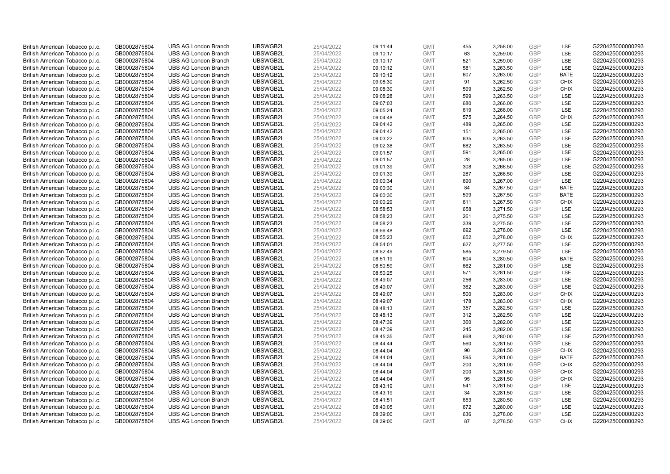| British American Tobacco p.l.c. | GB0002875804 | <b>UBS AG London Branch</b> | UBSWGB2L | 25/04/2022 | 09:11:44 | <b>GMT</b> | 455 | 3,258.00 | <b>GBP</b> | LSE         | G220425000000293 |
|---------------------------------|--------------|-----------------------------|----------|------------|----------|------------|-----|----------|------------|-------------|------------------|
|                                 |              |                             |          |            |          |            | 63  |          | GBP        | LSE         |                  |
| British American Tobacco p.l.c. | GB0002875804 | <b>UBS AG London Branch</b> | UBSWGB2L | 25/04/2022 | 09:10:17 | <b>GMT</b> |     | 3,259.00 |            |             | G220425000000293 |
| British American Tobacco p.l.c. | GB0002875804 | <b>UBS AG London Branch</b> | UBSWGB2L | 25/04/2022 | 09:10:17 | <b>GMT</b> | 521 | 3,259.00 | <b>GBP</b> | LSE         | G220425000000293 |
| British American Tobacco p.l.c. | GB0002875804 | <b>UBS AG London Branch</b> | UBSWGB2L | 25/04/2022 | 09:10:12 | <b>GMT</b> | 581 | 3,263.50 | <b>GBP</b> | LSE         | G220425000000293 |
| British American Tobacco p.l.c. | GB0002875804 | <b>UBS AG London Branch</b> | UBSWGB2L | 25/04/2022 | 09:10:12 | <b>GMT</b> | 607 | 3,263.00 | <b>GBP</b> | <b>BATE</b> | G220425000000293 |
| British American Tobacco p.l.c. | GB0002875804 | <b>UBS AG London Branch</b> | UBSWGB2L | 25/04/2022 | 09:08:30 | <b>GMT</b> | 91  | 3,262.50 | <b>GBP</b> | <b>CHIX</b> | G220425000000293 |
| British American Tobacco p.l.c. | GB0002875804 | <b>UBS AG London Branch</b> | UBSWGB2L | 25/04/2022 | 09:08:30 | <b>GMT</b> | 599 | 3,262.50 | <b>GBP</b> | <b>CHIX</b> | G220425000000293 |
| British American Tobacco p.l.c. | GB0002875804 | <b>UBS AG London Branch</b> | UBSWGB2L | 25/04/2022 | 09:08:28 | <b>GMT</b> | 599 | 3,263.50 | <b>GBP</b> | LSE         | G220425000000293 |
| British American Tobacco p.l.c. | GB0002875804 | <b>UBS AG London Branch</b> | UBSWGB2L | 25/04/2022 | 09:07:03 | <b>GMT</b> | 680 | 3,266.00 | <b>GBP</b> | LSE         | G220425000000293 |
| British American Tobacco p.l.c. | GB0002875804 | <b>UBS AG London Branch</b> | UBSWGB2L | 25/04/2022 | 09:05:24 | <b>GMT</b> | 619 | 3,266.00 | <b>GBP</b> | LSE         | G220425000000293 |
| British American Tobacco p.l.c. | GB0002875804 | <b>UBS AG London Branch</b> | UBSWGB2L | 25/04/2022 | 09:04:48 | <b>GMT</b> | 575 | 3,264.50 | <b>GBP</b> | <b>CHIX</b> | G220425000000293 |
| British American Tobacco p.l.c. | GB0002875804 | <b>UBS AG London Branch</b> | UBSWGB2L | 25/04/2022 | 09:04:42 | <b>GMT</b> | 489 | 3,265.00 | <b>GBP</b> | LSE         | G220425000000293 |
| British American Tobacco p.l.c. | GB0002875804 | <b>UBS AG London Branch</b> | UBSWGB2L | 25/04/2022 | 09:04:42 | <b>GMT</b> | 151 | 3,265.00 | <b>GBP</b> | LSE         | G220425000000293 |
| British American Tobacco p.l.c. | GB0002875804 | <b>UBS AG London Branch</b> | UBSWGB2L | 25/04/2022 | 09:03:22 | <b>GMT</b> | 635 | 3,263.50 | <b>GBP</b> | LSE         | G220425000000293 |
| British American Tobacco p.l.c. | GB0002875804 | <b>UBS AG London Branch</b> | UBSWGB2L | 25/04/2022 | 09:02:38 | <b>GMT</b> | 682 | 3,263.50 | GBP        | LSE         | G220425000000293 |
| British American Tobacco p.l.c. | GB0002875804 | <b>UBS AG London Branch</b> | UBSWGB2L | 25/04/2022 | 09:01:57 | <b>GMT</b> | 591 | 3,265.00 | <b>GBP</b> | LSE         | G220425000000293 |
| British American Tobacco p.l.c. | GB0002875804 | <b>UBS AG London Branch</b> | UBSWGB2L | 25/04/2022 | 09:01:57 | <b>GMT</b> | 28  | 3,265.00 | <b>GBP</b> | LSE         | G220425000000293 |
| British American Tobacco p.l.c. | GB0002875804 | <b>UBS AG London Branch</b> | UBSWGB2L | 25/04/2022 | 09:01:39 | <b>GMT</b> | 308 | 3,266.50 | <b>GBP</b> | LSE         | G220425000000293 |
|                                 |              | <b>UBS AG London Branch</b> | UBSWGB2L |            |          |            |     |          |            | <b>LSE</b>  |                  |
| British American Tobacco p.l.c. | GB0002875804 |                             |          | 25/04/2022 | 09:01:39 | <b>GMT</b> | 287 | 3,266.50 | <b>GBP</b> |             | G220425000000293 |
| British American Tobacco p.l.c. | GB0002875804 | <b>UBS AG London Branch</b> | UBSWGB2L | 25/04/2022 | 09:00:34 | <b>GMT</b> | 690 | 3,267.00 | <b>GBP</b> | LSE         | G220425000000293 |
| British American Tobacco p.l.c. | GB0002875804 | <b>UBS AG London Branch</b> | UBSWGB2L | 25/04/2022 | 09:00:30 | <b>GMT</b> | 84  | 3,267.50 | <b>GBP</b> | <b>BATE</b> | G220425000000293 |
| British American Tobacco p.l.c. | GB0002875804 | <b>UBS AG London Branch</b> | UBSWGB2L | 25/04/2022 | 09:00:30 | <b>GMT</b> | 599 | 3,267.50 | <b>GBP</b> | <b>BATE</b> | G220425000000293 |
| British American Tobacco p.l.c. | GB0002875804 | <b>UBS AG London Branch</b> | UBSWGB2L | 25/04/2022 | 09:00:29 | <b>GMT</b> | 611 | 3,267.50 | <b>GBP</b> | <b>CHIX</b> | G220425000000293 |
| British American Tobacco p.l.c. | GB0002875804 | <b>UBS AG London Branch</b> | UBSWGB2L | 25/04/2022 | 08:58:53 | <b>GMT</b> | 658 | 3,271.50 | <b>GBP</b> | LSE         | G220425000000293 |
| British American Tobacco p.l.c. | GB0002875804 | <b>UBS AG London Branch</b> | UBSWGB2L | 25/04/2022 | 08:58:23 | <b>GMT</b> | 261 | 3,275.50 | <b>GBP</b> | LSE         | G220425000000293 |
| British American Tobacco p.l.c. | GB0002875804 | <b>UBS AG London Branch</b> | UBSWGB2L | 25/04/2022 | 08:58:23 | <b>GMT</b> | 339 | 3,275.50 | <b>GBP</b> | LSE         | G220425000000293 |
| British American Tobacco p.l.c. | GB0002875804 | <b>UBS AG London Branch</b> | UBSWGB2L | 25/04/2022 | 08:56:48 | <b>GMT</b> | 692 | 3,278.00 | <b>GBP</b> | LSE         | G220425000000293 |
| British American Tobacco p.l.c. | GB0002875804 | <b>UBS AG London Branch</b> | UBSWGB2L | 25/04/2022 | 08:55:23 | <b>GMT</b> | 652 | 3,278.00 | <b>GBP</b> | <b>CHIX</b> | G220425000000293 |
| British American Tobacco p.l.c. | GB0002875804 | <b>UBS AG London Branch</b> | UBSWGB2L | 25/04/2022 | 08:54:01 | <b>GMT</b> | 627 | 3,277.50 | <b>GBP</b> | LSE         | G220425000000293 |
| British American Tobacco p.l.c. | GB0002875804 | <b>UBS AG London Branch</b> | UBSWGB2L | 25/04/2022 | 08:52:49 | <b>GMT</b> | 585 | 3,279.50 | <b>GBP</b> | LSE         | G220425000000293 |
| British American Tobacco p.l.c. | GB0002875804 | <b>UBS AG London Branch</b> | UBSWGB2L | 25/04/2022 | 08:51:19 | <b>GMT</b> | 604 | 3,280.50 | <b>GBP</b> | <b>BATE</b> | G220425000000293 |
| British American Tobacco p.l.c. | GB0002875804 | <b>UBS AG London Branch</b> | UBSWGB2L | 25/04/2022 | 08:50:59 | <b>GMT</b> | 662 | 3,281.00 | <b>GBP</b> | LSE         | G220425000000293 |
| British American Tobacco p.l.c. | GB0002875804 | <b>UBS AG London Branch</b> | UBSWGB2L | 25/04/2022 | 08:50:25 | <b>GMT</b> | 571 | 3,281.50 | <b>GBP</b> | LSE         | G220425000000293 |
| British American Tobacco p.l.c. | GB0002875804 | <b>UBS AG London Branch</b> | UBSWGB2L | 25/04/2022 | 08:49:07 | <b>GMT</b> | 256 | 3,283.00 | <b>GBP</b> | LSE         | G220425000000293 |
| British American Tobacco p.l.c. | GB0002875804 | <b>UBS AG London Branch</b> | UBSWGB2L | 25/04/2022 | 08:49:07 | <b>GMT</b> | 362 | 3,283.00 | <b>GBP</b> | LSE         | G220425000000293 |
| British American Tobacco p.l.c. | GB0002875804 | <b>UBS AG London Branch</b> | UBSWGB2L | 25/04/2022 | 08:49:07 | <b>GMT</b> | 500 | 3,283.00 | <b>GBP</b> | <b>CHIX</b> | G220425000000293 |
| British American Tobacco p.l.c. | GB0002875804 | <b>UBS AG London Branch</b> | UBSWGB2L | 25/04/2022 | 08:49:07 | <b>GMT</b> | 178 | 3,283.00 | <b>GBP</b> | <b>CHIX</b> | G220425000000293 |
| British American Tobacco p.l.c. | GB0002875804 | <b>UBS AG London Branch</b> | UBSWGB2L | 25/04/2022 | 08:48:13 | <b>GMT</b> | 357 | 3,282.50 | <b>GBP</b> | LSE         | G220425000000293 |
| British American Tobacco p.l.c. | GB0002875804 | <b>UBS AG London Branch</b> | UBSWGB2L | 25/04/2022 | 08:48:13 | <b>GMT</b> | 312 | 3,282.50 | <b>GBP</b> | LSE         | G220425000000293 |
| British American Tobacco p.l.c. | GB0002875804 | <b>UBS AG London Branch</b> | UBSWGB2L | 25/04/2022 | 08:47:39 | <b>GMT</b> | 360 | 3,282.00 | <b>GBP</b> | LSE         | G220425000000293 |
| British American Tobacco p.l.c. | GB0002875804 | <b>UBS AG London Branch</b> | UBSWGB2L | 25/04/2022 | 08:47:39 | <b>GMT</b> | 245 | 3,282.00 | <b>GBP</b> | LSE         | G220425000000293 |
| British American Tobacco p.l.c. | GB0002875804 | <b>UBS AG London Branch</b> | UBSWGB2L | 25/04/2022 | 08:45:35 | <b>GMT</b> | 668 | 3,280.00 | <b>GBP</b> | LSE         | G220425000000293 |
| British American Tobacco p.l.c. | GB0002875804 | <b>UBS AG London Branch</b> | UBSWGB2L | 25/04/2022 | 08:44:44 | <b>GMT</b> | 560 | 3,281.50 | <b>GBP</b> | LSE         | G220425000000293 |
| British American Tobacco p.l.c. |              | <b>UBS AG London Branch</b> | UBSWGB2L | 25/04/2022 | 08:44:04 | <b>GMT</b> | 90  | 3,281.50 | <b>GBP</b> | <b>CHIX</b> | G220425000000293 |
|                                 | GB0002875804 |                             | UBSWGB2L |            |          |            |     |          |            |             | G220425000000293 |
| British American Tobacco p.l.c. | GB0002875804 | <b>UBS AG London Branch</b> |          | 25/04/2022 | 08:44:04 | <b>GMT</b> | 595 | 3,281.00 | <b>GBP</b> | <b>BATE</b> |                  |
| British American Tobacco p.l.c. | GB0002875804 | <b>UBS AG London Branch</b> | UBSWGB2L | 25/04/2022 | 08:44:04 | <b>GMT</b> | 200 | 3,281.00 | <b>GBP</b> | <b>CHIX</b> | G220425000000293 |
| British American Tobacco p.l.c. | GB0002875804 | <b>UBS AG London Branch</b> | UBSWGB2L | 25/04/2022 | 08:44:04 | <b>GMT</b> | 200 | 3,281.50 | <b>GBP</b> | <b>CHIX</b> | G220425000000293 |
| British American Tobacco p.l.c. | GB0002875804 | <b>UBS AG London Branch</b> | UBSWGB2L | 25/04/2022 | 08:44:04 | <b>GMT</b> | 95  | 3,281.50 | <b>GBP</b> | <b>CHIX</b> | G220425000000293 |
| British American Tobacco p.l.c. | GB0002875804 | <b>UBS AG London Branch</b> | UBSWGB2L | 25/04/2022 | 08:43:19 | <b>GMT</b> | 541 | 3,281.50 | <b>GBP</b> | LSE         | G220425000000293 |
| British American Tobacco p.l.c. | GB0002875804 | <b>UBS AG London Branch</b> | UBSWGB2L | 25/04/2022 | 08:43:19 | <b>GMT</b> | 34  | 3,281.50 | <b>GBP</b> | LSE         | G220425000000293 |
| British American Tobacco p.l.c. | GB0002875804 | <b>UBS AG London Branch</b> | UBSWGB2L | 25/04/2022 | 08:41:51 | <b>GMT</b> | 653 | 3,280.50 | <b>GBP</b> | LSE         | G220425000000293 |
| British American Tobacco p.l.c. | GB0002875804 | <b>UBS AG London Branch</b> | UBSWGB2L | 25/04/2022 | 08:40:05 | <b>GMT</b> | 672 | 3,280.00 | <b>GBP</b> | LSE         | G220425000000293 |
| British American Tobacco p.l.c. | GB0002875804 | <b>UBS AG London Branch</b> | UBSWGB2L | 25/04/2022 | 08:39:00 | <b>GMT</b> | 636 | 3,278.00 | <b>GBP</b> | LSE         | G220425000000293 |
| British American Tobacco p.l.c. | GB0002875804 | <b>UBS AG London Branch</b> | UBSWGB2L | 25/04/2022 | 08:39:00 | <b>GMT</b> | 87  | 3.278.50 | GBP        | <b>CHIX</b> | G220425000000293 |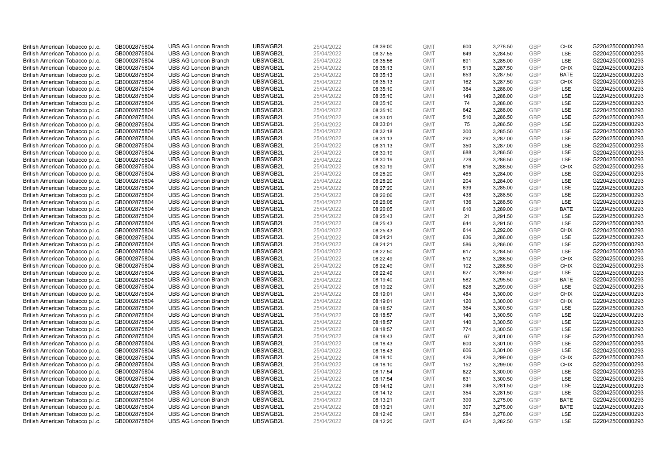| British American Tobacco p.l.c. | GB0002875804 | <b>UBS AG London Branch</b> | UBSWGB2L | 25/04/2022 | 08:39:00 | <b>GMT</b> | 600 | 3,278.50 | <b>GBP</b> | <b>CHIX</b> | G220425000000293 |
|---------------------------------|--------------|-----------------------------|----------|------------|----------|------------|-----|----------|------------|-------------|------------------|
|                                 |              |                             |          |            |          |            | 649 |          | <b>GBP</b> | LSE         |                  |
| British American Tobacco p.l.c. | GB0002875804 | <b>UBS AG London Branch</b> | UBSWGB2L | 25/04/2022 | 08:37:55 | <b>GMT</b> |     | 3,284.50 |            |             | G220425000000293 |
| British American Tobacco p.l.c. | GB0002875804 | <b>UBS AG London Branch</b> | UBSWGB2L | 25/04/2022 | 08:35:56 | <b>GMT</b> | 691 | 3,285.00 | <b>GBP</b> | LSE         | G220425000000293 |
| British American Tobacco p.l.c. | GB0002875804 | <b>UBS AG London Branch</b> | UBSWGB2L | 25/04/2022 | 08:35:13 | <b>GMT</b> | 513 | 3,287.50 | <b>GBP</b> | <b>CHIX</b> | G220425000000293 |
| British American Tobacco p.l.c. | GB0002875804 | <b>UBS AG London Branch</b> | UBSWGB2L | 25/04/2022 | 08:35:13 | <b>GMT</b> | 653 | 3,287.50 | <b>GBP</b> | <b>BATE</b> | G220425000000293 |
| British American Tobacco p.l.c. | GB0002875804 | <b>UBS AG London Branch</b> | UBSWGB2L | 25/04/2022 | 08:35:13 | <b>GMT</b> | 162 | 3,287.50 | <b>GBP</b> | <b>CHIX</b> | G220425000000293 |
| British American Tobacco p.l.c. | GB0002875804 | <b>UBS AG London Branch</b> | UBSWGB2L | 25/04/2022 | 08:35:10 | <b>GMT</b> | 384 | 3,288.00 | <b>GBP</b> | LSE         | G220425000000293 |
| British American Tobacco p.l.c. | GB0002875804 | <b>UBS AG London Branch</b> | UBSWGB2L | 25/04/2022 | 08:35:10 | <b>GMT</b> | 149 | 3,288.00 | <b>GBP</b> | LSE         | G220425000000293 |
| British American Tobacco p.l.c. | GB0002875804 | <b>UBS AG London Branch</b> | UBSWGB2L | 25/04/2022 | 08:35:10 | <b>GMT</b> | 74  | 3,288.00 | <b>GBP</b> | LSE         | G220425000000293 |
| British American Tobacco p.l.c. | GB0002875804 | <b>UBS AG London Branch</b> | UBSWGB2L | 25/04/2022 | 08:35:10 | <b>GMT</b> | 642 | 3,288.00 | <b>GBP</b> | LSE         | G220425000000293 |
| British American Tobacco p.l.c. | GB0002875804 | <b>UBS AG London Branch</b> | UBSWGB2L | 25/04/2022 | 08:33:01 | <b>GMT</b> | 510 | 3,286.50 | <b>GBP</b> | LSE         | G220425000000293 |
| British American Tobacco p.l.c. | GB0002875804 | <b>UBS AG London Branch</b> | UBSWGB2L | 25/04/2022 | 08:33:01 | <b>GMT</b> | 75  | 3,286.50 | <b>GBP</b> | LSE         | G220425000000293 |
| British American Tobacco p.l.c. | GB0002875804 | <b>UBS AG London Branch</b> | UBSWGB2L | 25/04/2022 | 08:32:18 | <b>GMT</b> | 300 | 3,285.50 | <b>GBP</b> | LSE         | G220425000000293 |
| British American Tobacco p.l.c. | GB0002875804 | <b>UBS AG London Branch</b> | UBSWGB2L | 25/04/2022 | 08:31:13 | <b>GMT</b> | 292 | 3,287.00 | <b>GBP</b> | LSE         | G220425000000293 |
| British American Tobacco p.l.c. | GB0002875804 | <b>UBS AG London Branch</b> | UBSWGB2L | 25/04/2022 | 08:31:13 | <b>GMT</b> | 350 | 3,287.00 | GBP        | LSE         | G220425000000293 |
| British American Tobacco p.l.c. | GB0002875804 | <b>UBS AG London Branch</b> | UBSWGB2L | 25/04/2022 | 08:30:19 | <b>GMT</b> | 688 | 3,286.50 | <b>GBP</b> | LSE         | G220425000000293 |
| British American Tobacco p.l.c. | GB0002875804 | <b>UBS AG London Branch</b> | UBSWGB2L | 25/04/2022 | 08:30:19 | <b>GMT</b> | 729 | 3,286.50 | <b>GBP</b> | LSE         | G220425000000293 |
| British American Tobacco p.l.c. | GB0002875804 | <b>UBS AG London Branch</b> | UBSWGB2L | 25/04/2022 | 08:30:19 | <b>GMT</b> | 616 | 3,286.50 | <b>GBP</b> | <b>CHIX</b> | G220425000000293 |
|                                 |              | <b>UBS AG London Branch</b> | UBSWGB2L |            |          |            |     |          |            | <b>LSE</b>  |                  |
| British American Tobacco p.l.c. | GB0002875804 |                             |          | 25/04/2022 | 08:28:20 | <b>GMT</b> | 465 | 3,284.00 | <b>GBP</b> |             | G220425000000293 |
| British American Tobacco p.l.c. | GB0002875804 | <b>UBS AG London Branch</b> | UBSWGB2L | 25/04/2022 | 08:28:20 | <b>GMT</b> | 204 | 3,284.00 | <b>GBP</b> | LSE         | G220425000000293 |
| British American Tobacco p.l.c. | GB0002875804 | <b>UBS AG London Branch</b> | UBSWGB2L | 25/04/2022 | 08:27:20 | <b>GMT</b> | 639 | 3,285.00 | <b>GBP</b> | LSE         | G220425000000293 |
| British American Tobacco p.l.c. | GB0002875804 | <b>UBS AG London Branch</b> | UBSWGB2L | 25/04/2022 | 08:26:06 | <b>GMT</b> | 438 | 3,288.50 | <b>GBP</b> | LSE         | G220425000000293 |
| British American Tobacco p.l.c. | GB0002875804 | <b>UBS AG London Branch</b> | UBSWGB2L | 25/04/2022 | 08:26:06 | <b>GMT</b> | 136 | 3,288.50 | <b>GBP</b> | LSE         | G220425000000293 |
| British American Tobacco p.l.c. | GB0002875804 | <b>UBS AG London Branch</b> | UBSWGB2L | 25/04/2022 | 08:26:05 | <b>GMT</b> | 610 | 3,289.00 | <b>GBP</b> | <b>BATE</b> | G220425000000293 |
| British American Tobacco p.l.c. | GB0002875804 | <b>UBS AG London Branch</b> | UBSWGB2L | 25/04/2022 | 08:25:43 | <b>GMT</b> | 21  | 3,291.50 | <b>GBP</b> | LSE         | G220425000000293 |
| British American Tobacco p.l.c. | GB0002875804 | <b>UBS AG London Branch</b> | UBSWGB2L | 25/04/2022 | 08:25:43 | <b>GMT</b> | 644 | 3,291.50 | <b>GBP</b> | LSE         | G220425000000293 |
| British American Tobacco p.l.c. | GB0002875804 | <b>UBS AG London Branch</b> | UBSWGB2L | 25/04/2022 | 08:25:43 | <b>GMT</b> | 614 | 3,292.00 | <b>GBP</b> | <b>CHIX</b> | G220425000000293 |
| British American Tobacco p.l.c. | GB0002875804 | <b>UBS AG London Branch</b> | UBSWGB2L | 25/04/2022 | 08:24:21 | <b>GMT</b> | 636 | 3,286.00 | <b>GBP</b> | LSE         | G220425000000293 |
| British American Tobacco p.l.c. | GB0002875804 | <b>UBS AG London Branch</b> | UBSWGB2L | 25/04/2022 | 08:24:21 | <b>GMT</b> | 586 | 3,286.00 | <b>GBP</b> | LSE         | G220425000000293 |
| British American Tobacco p.l.c. | GB0002875804 | <b>UBS AG London Branch</b> | UBSWGB2L | 25/04/2022 | 08:22:50 | <b>GMT</b> | 617 | 3,284.50 | <b>GBP</b> | LSE         | G220425000000293 |
| British American Tobacco p.l.c. | GB0002875804 | <b>UBS AG London Branch</b> | UBSWGB2L | 25/04/2022 | 08:22:49 | <b>GMT</b> | 512 | 3,286.50 | <b>GBP</b> | <b>CHIX</b> | G220425000000293 |
| British American Tobacco p.l.c. | GB0002875804 | <b>UBS AG London Branch</b> | UBSWGB2L | 25/04/2022 | 08:22:49 | <b>GMT</b> | 102 | 3,286.50 | <b>GBP</b> | <b>CHIX</b> | G220425000000293 |
| British American Tobacco p.l.c. | GB0002875804 | <b>UBS AG London Branch</b> | UBSWGB2L | 25/04/2022 | 08:22:49 | <b>GMT</b> | 627 | 3,286.50 | <b>GBP</b> | LSE         | G220425000000293 |
| British American Tobacco p.l.c. | GB0002875804 | <b>UBS AG London Branch</b> | UBSWGB2L | 25/04/2022 | 08:19:40 | <b>GMT</b> | 582 | 3,295.50 | <b>GBP</b> | <b>BATE</b> | G220425000000293 |
| British American Tobacco p.l.c. | GB0002875804 | <b>UBS AG London Branch</b> | UBSWGB2L | 25/04/2022 | 08:19:22 | <b>GMT</b> | 628 | 3,299.00 | <b>GBP</b> | LSE         | G220425000000293 |
| British American Tobacco p.l.c. | GB0002875804 | <b>UBS AG London Branch</b> | UBSWGB2L | 25/04/2022 | 08:19:01 | <b>GMT</b> | 484 | 3,300.00 | <b>GBP</b> | <b>CHIX</b> | G220425000000293 |
| British American Tobacco p.l.c. | GB0002875804 | <b>UBS AG London Branch</b> | UBSWGB2L | 25/04/2022 | 08:19:01 | <b>GMT</b> | 120 | 3,300.00 | <b>GBP</b> | <b>CHIX</b> | G220425000000293 |
| British American Tobacco p.l.c. | GB0002875804 | <b>UBS AG London Branch</b> | UBSWGB2L | 25/04/2022 | 08:18:57 | <b>GMT</b> | 364 | 3,300.50 | <b>GBP</b> | LSE         | G220425000000293 |
| British American Tobacco p.l.c. | GB0002875804 | <b>UBS AG London Branch</b> | UBSWGB2L | 25/04/2022 | 08:18:57 | <b>GMT</b> | 140 | 3,300.50 | <b>GBP</b> | LSE         | G220425000000293 |
| British American Tobacco p.l.c. | GB0002875804 | <b>UBS AG London Branch</b> | UBSWGB2L | 25/04/2022 | 08:18:57 | <b>GMT</b> | 140 | 3,300.50 | <b>GBP</b> | LSE         | G220425000000293 |
| British American Tobacco p.l.c. | GB0002875804 | <b>UBS AG London Branch</b> | UBSWGB2L | 25/04/2022 | 08:18:57 | <b>GMT</b> | 774 | 3,300.50 | <b>GBP</b> | LSE         | G220425000000293 |
| British American Tobacco p.l.c. | GB0002875804 | <b>UBS AG London Branch</b> | UBSWGB2L | 25/04/2022 | 08:18:43 | <b>GMT</b> | 67  | 3,301.00 | <b>GBP</b> | LSE         | G220425000000293 |
| British American Tobacco p.l.c. | GB0002875804 | <b>UBS AG London Branch</b> | UBSWGB2L | 25/04/2022 | 08:18:43 | <b>GMT</b> | 600 | 3,301.00 | <b>GBP</b> | LSE         | G220425000000293 |
| British American Tobacco p.l.c. |              | <b>UBS AG London Branch</b> | UBSWGB2L | 25/04/2022 | 08:18:43 | <b>GMT</b> | 606 | 3,301.00 | <b>GBP</b> | LSE         | G220425000000293 |
|                                 | GB0002875804 |                             | UBSWGB2L |            |          |            |     |          |            | <b>CHIX</b> | G220425000000293 |
| British American Tobacco p.l.c. | GB0002875804 | <b>UBS AG London Branch</b> |          | 25/04/2022 | 08:18:10 | <b>GMT</b> | 426 | 3,299.00 | <b>GBP</b> |             |                  |
| British American Tobacco p.l.c. | GB0002875804 | <b>UBS AG London Branch</b> | UBSWGB2L | 25/04/2022 | 08:18:10 | <b>GMT</b> | 152 | 3,299.00 | <b>GBP</b> | <b>CHIX</b> | G220425000000293 |
| British American Tobacco p.l.c. | GB0002875804 | <b>UBS AG London Branch</b> | UBSWGB2L | 25/04/2022 | 08:17:54 | <b>GMT</b> | 822 | 3,300.00 | <b>GBP</b> | LSE         | G220425000000293 |
| British American Tobacco p.l.c. | GB0002875804 | <b>UBS AG London Branch</b> | UBSWGB2L | 25/04/2022 | 08:17:54 | <b>GMT</b> | 631 | 3,300.50 | <b>GBP</b> | LSE         | G220425000000293 |
| British American Tobacco p.l.c. | GB0002875804 | <b>UBS AG London Branch</b> | UBSWGB2L | 25/04/2022 | 08:14:12 | <b>GMT</b> | 246 | 3,281.50 | <b>GBP</b> | LSE         | G220425000000293 |
| British American Tobacco p.l.c. | GB0002875804 | <b>UBS AG London Branch</b> | UBSWGB2L | 25/04/2022 | 08:14:12 | <b>GMT</b> | 354 | 3,281.50 | <b>GBP</b> | LSE         | G220425000000293 |
| British American Tobacco p.l.c. | GB0002875804 | <b>UBS AG London Branch</b> | UBSWGB2L | 25/04/2022 | 08:13:21 | <b>GMT</b> | 390 | 3,275.00 | <b>GBP</b> | <b>BATE</b> | G220425000000293 |
| British American Tobacco p.l.c. | GB0002875804 | <b>UBS AG London Branch</b> | UBSWGB2L | 25/04/2022 | 08:13:21 | <b>GMT</b> | 307 | 3,275.00 | <b>GBP</b> | <b>BATE</b> | G220425000000293 |
| British American Tobacco p.l.c. | GB0002875804 | <b>UBS AG London Branch</b> | UBSWGB2L | 25/04/2022 | 08:12:46 | <b>GMT</b> | 584 | 3,278.00 | <b>GBP</b> | LSE         | G220425000000293 |
| British American Tobacco p.l.c. | GB0002875804 | <b>UBS AG London Branch</b> | UBSWGB2L | 25/04/2022 | 08:12:20 | <b>GMT</b> | 624 | 3.282.50 | GBP        | LSE         | G220425000000293 |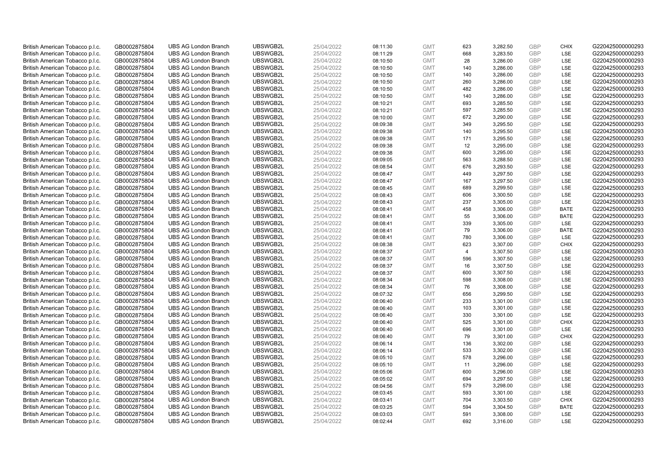| British American Tobacco p.l.c. | GB0002875804 | <b>UBS AG London Branch</b> | UBSWGB2L             | 25/04/2022               | 08:11:30 | <b>GMT</b>               | 623            | 3,282.50 | <b>GBP</b>               | <b>CHIX</b>        | G220425000000293 |
|---------------------------------|--------------|-----------------------------|----------------------|--------------------------|----------|--------------------------|----------------|----------|--------------------------|--------------------|------------------|
| British American Tobacco p.l.c. | GB0002875804 | <b>UBS AG London Branch</b> | UBSWGB2L             | 25/04/2022               | 08:11:29 | <b>GMT</b>               | 668            | 3,283.50 | GBP                      | LSE                | G220425000000293 |
| British American Tobacco p.l.c. | GB0002875804 | <b>UBS AG London Branch</b> | UBSWGB2L             | 25/04/2022               | 08:10:50 | <b>GMT</b>               | 28             | 3,286.00 | <b>GBP</b>               | LSE                | G220425000000293 |
|                                 |              |                             | UBSWGB2L             |                          |          |                          |                |          | <b>GBP</b>               | LSE                |                  |
| British American Tobacco p.l.c. | GB0002875804 | <b>UBS AG London Branch</b> |                      | 25/04/2022               | 08:10:50 | <b>GMT</b>               | 140            | 3,286.00 |                          |                    | G220425000000293 |
| British American Tobacco p.l.c. | GB0002875804 | <b>UBS AG London Branch</b> | UBSWGB2L             | 25/04/2022               | 08:10:50 | <b>GMT</b>               | 140            | 3,286.00 | <b>GBP</b>               | LSE                | G220425000000293 |
| British American Tobacco p.l.c. | GB0002875804 | <b>UBS AG London Branch</b> | UBSWGB2L             | 25/04/2022               | 08:10:50 | <b>GMT</b>               | 260            | 3,286.00 | <b>GBP</b>               | LSE                | G220425000000293 |
| British American Tobacco p.l.c. | GB0002875804 | <b>UBS AG London Branch</b> | UBSWGB2L             | 25/04/2022               | 08:10:50 | <b>GMT</b>               | 482            | 3,286.00 | <b>GBP</b>               | LSE                | G220425000000293 |
| British American Tobacco p.l.c. | GB0002875804 | <b>UBS AG London Branch</b> | UBSWGB2L             | 25/04/2022               | 08:10:50 | <b>GMT</b>               | 140            | 3,286.00 | <b>GBP</b>               | LSE                | G220425000000293 |
| British American Tobacco p.l.c. | GB0002875804 | <b>UBS AG London Branch</b> | UBSWGB2L             | 25/04/2022               | 08:10:21 | <b>GMT</b>               | 693            | 3,285.50 | <b>GBP</b>               | LSE                | G220425000000293 |
| British American Tobacco p.l.c. | GB0002875804 | <b>UBS AG London Branch</b> | UBSWGB2L             | 25/04/2022               | 08:10:21 | <b>GMT</b>               | 597            | 3,285.50 | <b>GBP</b>               | LSE                | G220425000000293 |
| British American Tobacco p.l.c. | GB0002875804 | <b>UBS AG London Branch</b> | UBSWGB2L             | 25/04/2022               | 08:10:00 | <b>GMT</b>               | 672            | 3,290.00 | <b>GBP</b>               | LSE                | G220425000000293 |
| British American Tobacco p.l.c. | GB0002875804 | <b>UBS AG London Branch</b> | UBSWGB2L             | 25/04/2022               | 08:09:38 | <b>GMT</b>               | 349            | 3,295.50 | <b>GBP</b>               | LSE                | G220425000000293 |
| British American Tobacco p.l.c. | GB0002875804 | <b>UBS AG London Branch</b> | UBSWGB2L             | 25/04/2022               | 08:09:38 | <b>GMT</b>               | 140            | 3,295.50 | <b>GBP</b>               | <b>LSE</b>         | G220425000000293 |
| British American Tobacco p.l.c. | GB0002875804 | <b>UBS AG London Branch</b> | UBSWGB2L             | 25/04/2022               | 08:09:38 | <b>GMT</b>               | 171            | 3,295.50 | <b>GBP</b>               | LSE                | G220425000000293 |
| British American Tobacco p.l.c. | GB0002875804 | <b>UBS AG London Branch</b> | UBSWGB2L             | 25/04/2022               | 08:09:38 | <b>GMT</b>               | 12             | 3,295.00 | GBP                      | <b>LSE</b>         | G220425000000293 |
| British American Tobacco p.l.c. | GB0002875804 | <b>UBS AG London Branch</b> | UBSWGB2L             | 25/04/2022               | 08:09:38 | <b>GMT</b>               | 600            | 3,295.00 | <b>GBP</b>               | LSE                | G220425000000293 |
| British American Tobacco p.l.c. | GB0002875804 | <b>UBS AG London Branch</b> | UBSWGB2L             | 25/04/2022               | 08:09:05 | <b>GMT</b>               | 563            | 3,288.50 | <b>GBP</b>               | LSE                | G220425000000293 |
| British American Tobacco p.l.c. | GB0002875804 | <b>UBS AG London Branch</b> | UBSWGB2L             | 25/04/2022               | 08:08:54 | <b>GMT</b>               | 676            | 3,293.50 | <b>GBP</b>               | LSE                | G220425000000293 |
| British American Tobacco p.l.c. | GB0002875804 | <b>UBS AG London Branch</b> | UBSWGB2L             | 25/04/2022               | 08:08:47 | <b>GMT</b>               | 449            | 3,297.50 | <b>GBP</b>               | <b>LSE</b>         | G220425000000293 |
| British American Tobacco p.l.c. | GB0002875804 | <b>UBS AG London Branch</b> | UBSWGB2L             | 25/04/2022               | 08:08:47 | <b>GMT</b>               | 167            | 3,297.50 | <b>GBP</b>               | LSE                | G220425000000293 |
| British American Tobacco p.l.c. | GB0002875804 | <b>UBS AG London Branch</b> | UBSWGB2L             | 25/04/2022               | 08:08:45 | <b>GMT</b>               | 689            | 3,299.50 | <b>GBP</b>               | LSE                | G220425000000293 |
| British American Tobacco p.l.c. | GB0002875804 | <b>UBS AG London Branch</b> | UBSWGB2L             | 25/04/2022               | 08:08:43 | <b>GMT</b>               | 606            | 3,300.50 | <b>GBP</b>               | LSE                | G220425000000293 |
| British American Tobacco p.l.c. | GB0002875804 | <b>UBS AG London Branch</b> | UBSWGB2L             | 25/04/2022               | 08:08:43 | <b>GMT</b>               | 237            | 3,305.00 | <b>GBP</b>               | LSE                | G220425000000293 |
| British American Tobacco p.l.c. | GB0002875804 | <b>UBS AG London Branch</b> | UBSWGB2L             | 25/04/2022               | 08:08:41 | <b>GMT</b>               | 458            | 3,306.00 | <b>GBP</b>               | <b>BATE</b>        | G220425000000293 |
| British American Tobacco p.l.c. | GB0002875804 | <b>UBS AG London Branch</b> | UBSWGB2L             | 25/04/2022               | 08:08:41 | <b>GMT</b>               | 55             | 3,306.00 | <b>GBP</b>               | <b>BATE</b>        | G220425000000293 |
| British American Tobacco p.l.c. | GB0002875804 | <b>UBS AG London Branch</b> | UBSWGB2L             | 25/04/2022               | 08:08:41 | <b>GMT</b>               | 339            | 3,305.00 | <b>GBP</b>               | LSE                | G220425000000293 |
| British American Tobacco p.l.c. | GB0002875804 | <b>UBS AG London Branch</b> | UBSWGB2L             | 25/04/2022               | 08:08:41 | <b>GMT</b>               | 79             | 3,306.00 | <b>GBP</b>               | <b>BATE</b>        | G220425000000293 |
| British American Tobacco p.l.c. | GB0002875804 | <b>UBS AG London Branch</b> | UBSWGB2L             | 25/04/2022               | 08:08:41 | <b>GMT</b>               | 780            | 3,306.00 | <b>GBP</b>               | LSE                | G220425000000293 |
| British American Tobacco p.l.c. | GB0002875804 | <b>UBS AG London Branch</b> | UBSWGB2L             | 25/04/2022               | 08:08:38 | <b>GMT</b>               | 623            | 3,307.00 | <b>GBP</b>               | <b>CHIX</b>        | G220425000000293 |
| British American Tobacco p.l.c. | GB0002875804 | <b>UBS AG London Branch</b> | UBSWGB2L             | 25/04/2022               | 08:08:37 | <b>GMT</b>               | $\overline{4}$ | 3,307.50 | <b>GBP</b>               | LSE                | G220425000000293 |
| British American Tobacco p.l.c. | GB0002875804 | <b>UBS AG London Branch</b> | UBSWGB2L             | 25/04/2022               | 08:08:37 | <b>GMT</b>               | 596            | 3,307.50 | <b>GBP</b>               | LSE                | G220425000000293 |
| British American Tobacco p.l.c. | GB0002875804 | <b>UBS AG London Branch</b> | UBSWGB2L             | 25/04/2022               | 08:08:37 | <b>GMT</b>               | 16             | 3,307.50 | <b>GBP</b>               | LSE                | G220425000000293 |
| British American Tobacco p.l.c. | GB0002875804 | <b>UBS AG London Branch</b> | UBSWGB2L             | 25/04/2022               | 08:08:37 | <b>GMT</b>               | 600            | 3,307.50 | <b>GBP</b>               | LSE                | G220425000000293 |
| British American Tobacco p.l.c. | GB0002875804 | <b>UBS AG London Branch</b> | UBSWGB2L             | 25/04/2022               | 08:08:34 | <b>GMT</b>               | 598            | 3,308.00 | <b>GBP</b>               | LSE                | G220425000000293 |
| British American Tobacco p.l.c. | GB0002875804 | <b>UBS AG London Branch</b> | UBSWGB2L             | 25/04/2022               | 08:08:34 | <b>GMT</b>               | 76             | 3,308.00 | <b>GBP</b>               | LSE                | G220425000000293 |
| British American Tobacco p.l.c. | GB0002875804 | <b>UBS AG London Branch</b> | UBSWGB2L             | 25/04/2022               | 08:07:32 | <b>GMT</b>               | 656            | 3,299.50 | <b>GBP</b>               | LSE                | G220425000000293 |
| British American Tobacco p.l.c. | GB0002875804 | <b>UBS AG London Branch</b> | UBSWGB2L             | 25/04/2022               | 08:06:40 | <b>GMT</b>               | 233            | 3,301.00 | <b>GBP</b>               | LSE                | G220425000000293 |
| British American Tobacco p.l.c. | GB0002875804 | <b>UBS AG London Branch</b> | UBSWGB2L             | 25/04/2022               | 08:06:40 | <b>GMT</b>               | 103            | 3,301.00 | <b>GBP</b>               | LSE                | G220425000000293 |
|                                 |              | <b>UBS AG London Branch</b> | UBSWGB2L             | 25/04/2022               |          | <b>GMT</b>               | 330            | 3,301.00 | <b>GBP</b>               | LSE                | G220425000000293 |
| British American Tobacco p.l.c. | GB0002875804 |                             |                      |                          | 08:06:40 |                          |                |          |                          |                    |                  |
| British American Tobacco p.l.c. | GB0002875804 | <b>UBS AG London Branch</b> | UBSWGB2L<br>UBSWGB2L | 25/04/2022<br>25/04/2022 | 08:06:40 | <b>GMT</b><br><b>GMT</b> | 525<br>696     | 3,301.00 | <b>GBP</b><br><b>GBP</b> | <b>CHIX</b><br>LSE | G220425000000293 |
| British American Tobacco p.l.c. | GB0002875804 | <b>UBS AG London Branch</b> |                      |                          | 08:06:40 |                          |                | 3,301.00 |                          |                    | G220425000000293 |
| British American Tobacco p.l.c. | GB0002875804 | <b>UBS AG London Branch</b> | UBSWGB2L             | 25/04/2022               | 08:06:40 | <b>GMT</b>               | 79             | 3,301.00 | <b>GBP</b>               | <b>CHIX</b>        | G220425000000293 |
| British American Tobacco p.l.c. | GB0002875804 | <b>UBS AG London Branch</b> | UBSWGB2L             | 25/04/2022               | 08:06:14 | <b>GMT</b>               | 136            | 3,302.00 | <b>GBP</b>               | LSE                | G220425000000293 |
| British American Tobacco p.l.c. | GB0002875804 | <b>UBS AG London Branch</b> | UBSWGB2L             | 25/04/2022               | 08:06:14 | <b>GMT</b>               | 533            | 3,302.00 | <b>GBP</b>               | LSE                | G220425000000293 |
| British American Tobacco p.l.c. | GB0002875804 | <b>UBS AG London Branch</b> | UBSWGB2L             | 25/04/2022               | 08:05:10 | <b>GMT</b>               | 578            | 3,296.00 | <b>GBP</b>               | LSE                | G220425000000293 |
| British American Tobacco p.l.c. | GB0002875804 | <b>UBS AG London Branch</b> | UBSWGB2L             | 25/04/2022               | 08:05:10 | <b>GMT</b>               | 11             | 3,296.00 | <b>GBP</b>               | LSE                | G220425000000293 |
| British American Tobacco p.l.c. | GB0002875804 | <b>UBS AG London Branch</b> | UBSWGB2L             | 25/04/2022               | 08:05:06 | <b>GMT</b>               | 600            | 3,296.00 | <b>GBP</b>               | LSE                | G220425000000293 |
| British American Tobacco p.l.c. | GB0002875804 | <b>UBS AG London Branch</b> | UBSWGB2L             | 25/04/2022               | 08:05:02 | <b>GMT</b>               | 694            | 3,297.50 | <b>GBP</b>               | LSE                | G220425000000293 |
| British American Tobacco p.l.c. | GB0002875804 | <b>UBS AG London Branch</b> | UBSWGB2L             | 25/04/2022               | 08:04:56 | <b>GMT</b>               | 579            | 3,298.00 | <b>GBP</b>               | LSE                | G220425000000293 |
| British American Tobacco p.l.c. | GB0002875804 | <b>UBS AG London Branch</b> | UBSWGB2L             | 25/04/2022               | 08:03:45 | <b>GMT</b>               | 593            | 3,301.00 | <b>GBP</b>               | LSE                | G220425000000293 |
| British American Tobacco p.l.c. | GB0002875804 | <b>UBS AG London Branch</b> | UBSWGB2L             | 25/04/2022               | 08:03:41 | <b>GMT</b>               | 704            | 3,303.50 | <b>GBP</b>               | <b>CHIX</b>        | G220425000000293 |
| British American Tobacco p.l.c. | GB0002875804 | <b>UBS AG London Branch</b> | UBSWGB2L             | 25/04/2022               | 08:03:25 | <b>GMT</b>               | 594            | 3,304.50 | <b>GBP</b>               | <b>BATE</b>        | G220425000000293 |
| British American Tobacco p.l.c. | GB0002875804 | <b>UBS AG London Branch</b> | UBSWGB2L             | 25/04/2022               | 08:03:03 | <b>GMT</b>               | 591            | 3,308.00 | <b>GBP</b>               | LSE                | G220425000000293 |
| British American Tobacco p.l.c. | GB0002875804 | <b>UBS AG London Branch</b> | UBSWGB2L             | 25/04/2022               | 08:02:44 | <b>GMT</b>               | 692            | 3.316.00 | GBP                      | LSE                | G220425000000293 |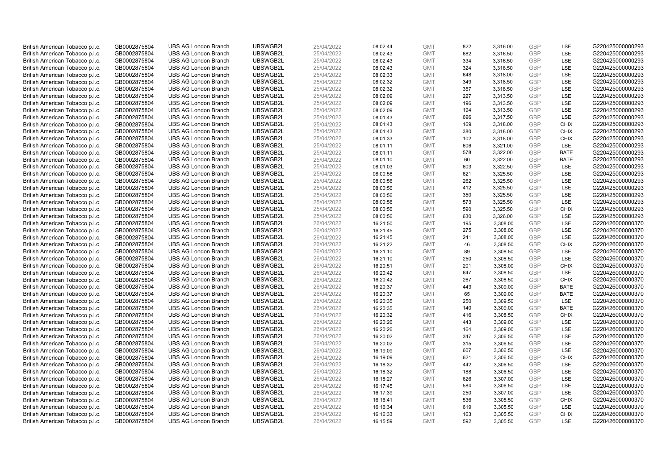| British American Tobacco p.l.c.                                    | GB0002875804                 | <b>UBS AG London Branch</b>                                | UBSWGB2L             | 25/04/2022               | 08:02:44             | <b>GMT</b>               | 822        | 3,316.00             | <b>GBP</b>               | LSE                | G220425000000293                     |
|--------------------------------------------------------------------|------------------------------|------------------------------------------------------------|----------------------|--------------------------|----------------------|--------------------------|------------|----------------------|--------------------------|--------------------|--------------------------------------|
| British American Tobacco p.l.c.                                    | GB0002875804                 | <b>UBS AG London Branch</b>                                | UBSWGB2L             | 25/04/2022               | 08:02:43             | <b>GMT</b>               | 682        | 3,316.50             | GBP                      | LSE                | G220425000000293                     |
| British American Tobacco p.l.c.                                    | GB0002875804                 | <b>UBS AG London Branch</b>                                | UBSWGB2L             | 25/04/2022               | 08:02:43             | <b>GMT</b>               | 334        | 3,316.50             | <b>GBP</b>               | LSE                | G220425000000293                     |
| British American Tobacco p.l.c.                                    | GB0002875804                 | <b>UBS AG London Branch</b>                                | UBSWGB2L             | 25/04/2022               | 08:02:43             | <b>GMT</b>               | 324        | 3,316.50             | <b>GBP</b>               | LSE                | G220425000000293                     |
| British American Tobacco p.l.c.                                    | GB0002875804                 | <b>UBS AG London Branch</b>                                | UBSWGB2L             | 25/04/2022               | 08:02:33             | <b>GMT</b>               | 648        | 3,318.00             | <b>GBP</b>               | LSE                | G220425000000293                     |
| British American Tobacco p.l.c.                                    | GB0002875804                 | <b>UBS AG London Branch</b>                                | UBSWGB2L             | 25/04/2022               | 08:02:32             | <b>GMT</b>               | 349        | 3,318.50             | <b>GBP</b>               | LSE                | G220425000000293                     |
| British American Tobacco p.l.c.                                    | GB0002875804                 | <b>UBS AG London Branch</b>                                | UBSWGB2L             | 25/04/2022               | 08:02:32             | <b>GMT</b>               | 357        | 3,318.50             | <b>GBP</b>               | LSE                | G220425000000293                     |
| British American Tobacco p.l.c.                                    | GB0002875804                 | <b>UBS AG London Branch</b>                                | UBSWGB2L             | 25/04/2022               | 08:02:09             | <b>GMT</b>               | 227        | 3,313.50             | <b>GBP</b>               | LSE                | G220425000000293                     |
| British American Tobacco p.l.c.                                    | GB0002875804                 | <b>UBS AG London Branch</b>                                | UBSWGB2L             | 25/04/2022               | 08:02:09             | <b>GMT</b>               | 196        | 3,313.50             | <b>GBP</b>               | LSE                | G220425000000293                     |
| British American Tobacco p.l.c.                                    | GB0002875804                 | <b>UBS AG London Branch</b>                                | UBSWGB2L             | 25/04/2022               | 08:02:09             | <b>GMT</b>               | 194        | 3,313.50             | <b>GBP</b>               | LSE                | G220425000000293                     |
| British American Tobacco p.l.c.                                    | GB0002875804                 | <b>UBS AG London Branch</b>                                | UBSWGB2L             | 25/04/2022               | 08:01:43             | <b>GMT</b>               | 696        | 3,317.50             | <b>GBP</b>               | LSE                | G220425000000293                     |
| British American Tobacco p.l.c.                                    | GB0002875804                 | <b>UBS AG London Branch</b>                                | UBSWGB2L             | 25/04/2022               | 08:01:43             | <b>GMT</b>               | 169        | 3,318.00             | <b>GBP</b>               | <b>CHIX</b>        | G220425000000293                     |
| British American Tobacco p.l.c.                                    | GB0002875804                 | <b>UBS AG London Branch</b>                                | UBSWGB2L             | 25/04/2022               | 08:01:43             | <b>GMT</b>               | 380        | 3,318.00             | <b>GBP</b>               | <b>CHIX</b>        | G220425000000293                     |
| British American Tobacco p.l.c.                                    | GB0002875804                 | <b>UBS AG London Branch</b>                                | UBSWGB2L             | 25/04/2022               | 08:01:33             | <b>GMT</b>               | 102        | 3,318.00             | <b>GBP</b>               | <b>CHIX</b>        | G220425000000293                     |
| British American Tobacco p.l.c.                                    | GB0002875804                 | <b>UBS AG London Branch</b>                                | UBSWGB2L             | 25/04/2022               | 08:01:11             | <b>GMT</b>               | 606        | 3,321.00             | <b>GBP</b>               | LSE                | G220425000000293                     |
| British American Tobacco p.l.c.                                    | GB0002875804                 | <b>UBS AG London Branch</b>                                | UBSWGB2L             | 25/04/2022               | 08:01:11             | <b>GMT</b>               | 578        | 3,322.00             | <b>GBP</b>               | <b>BATE</b>        | G220425000000293                     |
| British American Tobacco p.l.c.                                    | GB0002875804                 | <b>UBS AG London Branch</b>                                | UBSWGB2L             | 25/04/2022               | 08:01:10             | <b>GMT</b>               | 60         | 3,322.00             | <b>GBP</b>               | <b>BATE</b>        | G220425000000293                     |
| British American Tobacco p.l.c.                                    | GB0002875804                 | <b>UBS AG London Branch</b>                                | UBSWGB2L             | 25/04/2022               | 08:01:03             | <b>GMT</b>               | 603        | 3,322.50             | <b>GBP</b>               | LSE                | G220425000000293                     |
| British American Tobacco p.l.c.                                    | GB0002875804                 | <b>UBS AG London Branch</b>                                | UBSWGB2L             | 25/04/2022               | 08:00:56             | <b>GMT</b>               | 621        | 3,325.50             | <b>GBP</b>               | LSE                | G220425000000293                     |
| British American Tobacco p.l.c.                                    | GB0002875804                 | <b>UBS AG London Branch</b>                                | UBSWGB2L             | 25/04/2022               | 08:00:56             | <b>GMT</b>               | 262        | 3,325.50             | <b>GBP</b>               | LSE                | G220425000000293                     |
| British American Tobacco p.l.c.                                    | GB0002875804                 | <b>UBS AG London Branch</b>                                | UBSWGB2L             | 25/04/2022               | 08:00:56             | <b>GMT</b>               | 412        | 3,325.50             | <b>GBP</b>               | LSE                | G220425000000293                     |
| British American Tobacco p.l.c.                                    | GB0002875804                 | <b>UBS AG London Branch</b>                                | UBSWGB2L             | 25/04/2022               | 08:00:56             | <b>GMT</b>               | 350        | 3,325.50             | <b>GBP</b><br><b>GBP</b> | LSE                | G220425000000293                     |
| British American Tobacco p.l.c.                                    | GB0002875804                 | <b>UBS AG London Branch</b>                                | UBSWGB2L             | 25/04/2022               | 08:00:56             | <b>GMT</b>               | 573        | 3,325.50             | <b>GBP</b>               | LSE                | G220425000000293                     |
| British American Tobacco p.l.c.<br>British American Tobacco p.l.c. | GB0002875804<br>GB0002875804 | <b>UBS AG London Branch</b><br><b>UBS AG London Branch</b> | UBSWGB2L<br>UBSWGB2L | 25/04/2022<br>25/04/2022 | 08:00:56<br>08:00:56 | <b>GMT</b><br><b>GMT</b> | 590<br>630 | 3,325.50<br>3,326.00 | <b>GBP</b>               | <b>CHIX</b><br>LSE | G220425000000293<br>G220425000000293 |
|                                                                    |                              | <b>UBS AG London Branch</b>                                | UBSWGB2L             |                          |                      |                          | 195        |                      |                          | LSE                | G220426000000370                     |
| British American Tobacco p.l.c.<br>British American Tobacco p.l.c. | GB0002875804<br>GB0002875804 | <b>UBS AG London Branch</b>                                | UBSWGB2L             | 26/04/2022<br>26/04/2022 | 16:21:50<br>16:21:45 | <b>GMT</b><br><b>GMT</b> | 275        | 3,308.00<br>3,308.00 | <b>GBP</b><br><b>GBP</b> | LSE                | G220426000000370                     |
| British American Tobacco p.l.c.                                    | GB0002875804                 | <b>UBS AG London Branch</b>                                | UBSWGB2L             | 26/04/2022               |                      | <b>GMT</b>               | 241        | 3,308.00             | <b>GBP</b>               | LSE                | G220426000000370                     |
| British American Tobacco p.l.c.                                    | GB0002875804                 | <b>UBS AG London Branch</b>                                | UBSWGB2L             | 26/04/2022               | 16:21:45<br>16:21:22 | <b>GMT</b>               | 46         | 3,308.50             | <b>GBP</b>               | <b>CHIX</b>        | G220426000000370                     |
| British American Tobacco p.l.c.                                    | GB0002875804                 | <b>UBS AG London Branch</b>                                | UBSWGB2L             | 26/04/2022               | 16:21:10             | <b>GMT</b>               | 89         | 3,308.50             | <b>GBP</b>               | LSE                | G220426000000370                     |
| British American Tobacco p.l.c.                                    | GB0002875804                 | <b>UBS AG London Branch</b>                                | UBSWGB2L             | 26/04/2022               | 16:21:10             | <b>GMT</b>               | 250        | 3,308.50             | <b>GBP</b>               | LSE                | G220426000000370                     |
| British American Tobacco p.l.c.                                    | GB0002875804                 | <b>UBS AG London Branch</b>                                | UBSWGB2L             | 26/04/2022               | 16:20:51             | <b>GMT</b>               | 201        | 3,308.00             | <b>GBP</b>               | <b>CHIX</b>        | G220426000000370                     |
| British American Tobacco p.l.c.                                    | GB0002875804                 | <b>UBS AG London Branch</b>                                | UBSWGB2L             | 26/04/2022               | 16:20:42             | <b>GMT</b>               | 647        | 3,308.50             | <b>GBP</b>               | LSE                | G220426000000370                     |
| British American Tobacco p.l.c.                                    | GB0002875804                 | <b>UBS AG London Branch</b>                                | UBSWGB2L             | 26/04/2022               | 16:20:42             | <b>GMT</b>               | 267        | 3,308.50             | <b>GBP</b>               | <b>CHIX</b>        | G220426000000370                     |
| British American Tobacco p.l.c.                                    | GB0002875804                 | UBS AG London Branch                                       | UBSWGB2L             | 26/04/2022               | 16:20:37             | <b>GMT</b>               | 443        | 3,309.00             | <b>GBP</b>               | <b>BATE</b>        | G220426000000370                     |
| British American Tobacco p.l.c.                                    | GB0002875804                 | <b>UBS AG London Branch</b>                                | UBSWGB2L             | 26/04/2022               | 16:20:37             | <b>GMT</b>               | 65         | 3,309.00             | <b>GBP</b>               | <b>BATE</b>        | G220426000000370                     |
| British American Tobacco p.l.c.                                    | GB0002875804                 | <b>UBS AG London Branch</b>                                | UBSWGB2L             | 26/04/2022               | 16:20:35             | <b>GMT</b>               | 250        | 3,309.50             | <b>GBP</b>               | <b>LSE</b>         | G220426000000370                     |
| British American Tobacco p.l.c.                                    | GB0002875804                 | <b>UBS AG London Branch</b>                                | UBSWGB2L             | 26/04/2022               | 16:20:35             | <b>GMT</b>               | 140        | 3,309.00             | <b>GBP</b>               | <b>BATE</b>        | G220426000000370                     |
| British American Tobacco p.l.c.                                    | GB0002875804                 | UBS AG London Branch                                       | UBSWGB2L             | 26/04/2022               | 16:20:32             | <b>GMT</b>               | 416        | 3,308.50             | <b>GBP</b>               | <b>CHIX</b>        | G220426000000370                     |
| British American Tobacco p.l.c.                                    | GB0002875804                 | <b>UBS AG London Branch</b>                                | UBSWGB2L             | 26/04/2022               | 16:20:26             | <b>GMT</b>               | 443        | 3,309.00             | <b>GBP</b>               | LSE                | G220426000000370                     |
| British American Tobacco p.l.c.                                    | GB0002875804                 | <b>UBS AG London Branch</b>                                | UBSWGB2L             | 26/04/2022               | 16:20:26             | <b>GMT</b>               | 164        | 3,309.00             | <b>GBP</b>               | <b>LSE</b>         | G220426000000370                     |
| British American Tobacco p.l.c.                                    | GB0002875804                 | <b>UBS AG London Branch</b>                                | UBSWGB2L             | 26/04/2022               | 16:20:02             | <b>GMT</b>               | 347        | 3,306.50             | <b>GBP</b>               | LSE                | G220426000000370                     |
| British American Tobacco p.l.c.                                    | GB0002875804                 | <b>UBS AG London Branch</b>                                | UBSWGB2L             | 26/04/2022               | 16:20:02             | <b>GMT</b>               | 315        | 3,306.50             | <b>GBP</b>               | LSE                | G220426000000370                     |
| British American Tobacco p.l.c.                                    | GB0002875804                 | <b>UBS AG London Branch</b>                                | UBSWGB2L             | 26/04/2022               | 16:19:09             | <b>GMT</b>               | 607        | 3,306.50             | <b>GBP</b>               | LSE                | G220426000000370                     |
| British American Tobacco p.l.c.                                    | GB0002875804                 | <b>UBS AG London Branch</b>                                | UBSWGB2L             | 26/04/2022               | 16:19:09             | <b>GMT</b>               | 621        | 3,306.50             | <b>GBP</b>               | <b>CHIX</b>        | G220426000000370                     |
| British American Tobacco p.l.c.                                    | GB0002875804                 | <b>UBS AG London Branch</b>                                | UBSWGB2L             | 26/04/2022               | 16:18:32             | <b>GMT</b>               | 442        | 3,306.50             | <b>GBP</b>               | LSE                | G220426000000370                     |
| British American Tobacco p.l.c.                                    | GB0002875804                 | <b>UBS AG London Branch</b>                                | UBSWGB2L             | 26/04/2022               | 16:18:32             | <b>GMT</b>               | 188        | 3,306.50             | <b>GBP</b>               | LSE                | G220426000000370                     |
| British American Tobacco p.l.c.                                    | GB0002875804                 | <b>UBS AG London Branch</b>                                | UBSWGB2L             | 26/04/2022               | 16:18:27             | <b>GMT</b>               | 626        | 3,307.00             | <b>GBP</b>               | LSE                | G220426000000370                     |
| British American Tobacco p.l.c.                                    | GB0002875804                 | <b>UBS AG London Branch</b>                                | UBSWGB2L             | 26/04/2022               | 16:17:45             | <b>GMT</b>               | 584        | 3,306.50             | <b>GBP</b>               | LSE                | G220426000000370                     |
| British American Tobacco p.l.c.                                    | GB0002875804                 | <b>UBS AG London Branch</b>                                | UBSWGB2L             | 26/04/2022               | 16:17:39             | <b>GMT</b>               | 250        | 3,307.00             | <b>GBP</b>               | LSE                | G220426000000370                     |
| British American Tobacco p.l.c.                                    | GB0002875804                 | <b>UBS AG London Branch</b>                                | UBSWGB2L             | 26/04/2022               | 16:16:41             | <b>GMT</b>               | 536        | 3,305.50             | <b>GBP</b>               | <b>CHIX</b>        | G220426000000370                     |
| British American Tobacco p.l.c.                                    | GB0002875804                 | <b>UBS AG London Branch</b>                                | UBSWGB2L             | 26/04/2022               | 16:16:34             | <b>GMT</b>               | 619        | 3,305.50             | <b>GBP</b>               | LSE                | G220426000000370                     |
| British American Tobacco p.l.c.                                    | GB0002875804                 | <b>UBS AG London Branch</b>                                | UBSWGB2L             | 26/04/2022               | 16:16:33             | <b>GMT</b>               | 163        | 3,305.50             | <b>GBP</b>               | <b>CHIX</b>        | G220426000000370                     |
| British American Tobacco p.l.c.                                    | GB0002875804                 | <b>UBS AG London Branch</b>                                | UBSWGB2L             | 26/04/2022               | 16:15:59             | <b>GMT</b>               | 592        | 3,305.50             | GBP                      | LSE                | G220426000000370                     |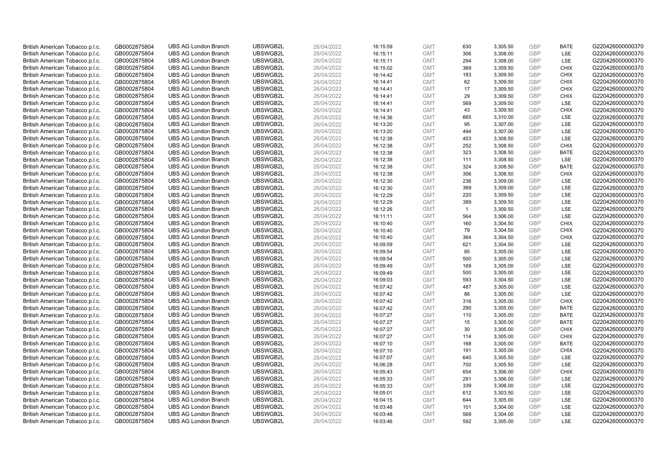| British American Tobacco p.l.c. | GB0002875804 | <b>UBS AG London Branch</b> | UBSWGB2L | 26/04/2022 | 16:15:59 | <b>GMT</b> | 630            | 3,305.50 | <b>GBP</b> | <b>BATE</b> | G220426000000370 |
|---------------------------------|--------------|-----------------------------|----------|------------|----------|------------|----------------|----------|------------|-------------|------------------|
| British American Tobacco p.l.c. | GB0002875804 | <b>UBS AG London Branch</b> | UBSWGB2L | 26/04/2022 | 16:15:11 | <b>GMT</b> | 306            | 3,308.00 | <b>GBP</b> | LSE         | G220426000000370 |
| British American Tobacco p.l.c. | GB0002875804 | <b>UBS AG London Branch</b> | UBSWGB2L | 26/04/2022 | 16:15:11 | <b>GMT</b> | 294            | 3,308.00 | <b>GBP</b> | LSE         | G220426000000370 |
| British American Tobacco p.l.c. | GB0002875804 | <b>UBS AG London Branch</b> | UBSWGB2L | 26/04/2022 | 16:15:02 | <b>GMT</b> | 369            | 3,309.50 | <b>GBP</b> | <b>CHIX</b> | G220426000000370 |
| British American Tobacco p.l.c. | GB0002875804 | <b>UBS AG London Branch</b> | UBSWGB2L | 26/04/2022 | 16:14:42 | <b>GMT</b> | 183            | 3,309.50 | <b>GBP</b> | <b>CHIX</b> | G220426000000370 |
| British American Tobacco p.l.c. | GB0002875804 | <b>UBS AG London Branch</b> | UBSWGB2L | 26/04/2022 | 16:14:41 | <b>GMT</b> | 62             | 3,309.50 | <b>GBP</b> | <b>CHIX</b> | G220426000000370 |
| British American Tobacco p.l.c. | GB0002875804 | <b>UBS AG London Branch</b> | UBSWGB2L | 26/04/2022 | 16:14:41 | <b>GMT</b> | 17             | 3,309.50 | <b>GBP</b> | <b>CHIX</b> | G220426000000370 |
| British American Tobacco p.l.c. | GB0002875804 | <b>UBS AG London Branch</b> | UBSWGB2L | 26/04/2022 | 16:14:41 | <b>GMT</b> | 29             | 3,309.50 | <b>GBP</b> | <b>CHIX</b> | G220426000000370 |
| British American Tobacco p.l.c. | GB0002875804 | <b>UBS AG London Branch</b> | UBSWGB2L | 26/04/2022 | 16:14:41 | <b>GMT</b> | 569            | 3,309.50 | <b>GBP</b> | LSE         | G220426000000370 |
| British American Tobacco p.l.c. | GB0002875804 | <b>UBS AG London Branch</b> | UBSWGB2L | 26/04/2022 | 16:14:41 | <b>GMT</b> | 43             | 3,309.50 | <b>GBP</b> | <b>CHIX</b> | G220426000000370 |
| British American Tobacco p.l.c. | GB0002875804 | <b>UBS AG London Branch</b> | UBSWGB2L | 26/04/2022 | 16:14:36 | <b>GMT</b> | 665            | 3,310.00 | <b>GBP</b> | LSE         | G220426000000370 |
| British American Tobacco p.l.c. | GB0002875804 | <b>UBS AG London Branch</b> | UBSWGB2L | 26/04/2022 | 16:13:20 | <b>GMT</b> | 95             | 3,307.00 | <b>GBP</b> | LSE         | G220426000000370 |
| British American Tobacco p.l.c. | GB0002875804 | <b>UBS AG London Branch</b> | UBSWGB2L | 26/04/2022 | 16:13:20 | <b>GMT</b> | 494            | 3,307.00 | <b>GBP</b> | LSE         | G220426000000370 |
| British American Tobacco p.l.c. | GB0002875804 | <b>UBS AG London Branch</b> | UBSWGB2L | 26/04/2022 | 16:12:38 | <b>GMT</b> | 453            | 3,308.50 | <b>GBP</b> | LSE         | G220426000000370 |
| British American Tobacco p.l.c. | GB0002875804 | <b>UBS AG London Branch</b> | UBSWGB2L | 26/04/2022 | 16:12:38 | <b>GMT</b> | 252            | 3,308.50 | <b>GBP</b> | <b>CHIX</b> | G220426000000370 |
|                                 |              | <b>UBS AG London Branch</b> | UBSWGB2L |            |          | <b>GMT</b> | 323            |          | <b>GBP</b> | <b>BATE</b> | G220426000000370 |
| British American Tobacco p.l.c. | GB0002875804 | <b>UBS AG London Branch</b> | UBSWGB2L | 26/04/2022 | 16:12:38 | <b>GMT</b> |                | 3,308.50 | <b>GBP</b> |             | G220426000000370 |
| British American Tobacco p.l.c. | GB0002875804 |                             |          | 26/04/2022 | 16:12:38 |            | 111            | 3,308.50 |            | LSE         |                  |
| British American Tobacco p.l.c. | GB0002875804 | <b>UBS AG London Branch</b> | UBSWGB2L | 26/04/2022 | 16:12:38 | <b>GMT</b> | 324            | 3,308.50 | <b>GBP</b> | <b>BATE</b> | G220426000000370 |
| British American Tobacco p.l.c. | GB0002875804 | <b>UBS AG London Branch</b> | UBSWGB2L | 26/04/2022 | 16:12:38 | <b>GMT</b> | 356            | 3,308.50 | <b>GBP</b> | <b>CHIX</b> | G220426000000370 |
| British American Tobacco p.l.c. | GB0002875804 | <b>UBS AG London Branch</b> | UBSWGB2L | 26/04/2022 | 16:12:30 | <b>GMT</b> | 236            | 3,309.00 | <b>GBP</b> | LSE         | G220426000000370 |
| British American Tobacco p.l.c. | GB0002875804 | <b>UBS AG London Branch</b> | UBSWGB2L | 26/04/2022 | 16:12:30 | <b>GMT</b> | 369            | 3,309.00 | <b>GBP</b> | LSE         | G220426000000370 |
| British American Tobacco p.l.c. | GB0002875804 | <b>UBS AG London Branch</b> | UBSWGB2L | 26/04/2022 | 16:12:29 | <b>GMT</b> | 220            | 3,309.50 | <b>GBP</b> | LSE         | G220426000000370 |
| British American Tobacco p.l.c. | GB0002875804 | <b>UBS AG London Branch</b> | UBSWGB2L | 26/04/2022 | 16:12:29 | <b>GMT</b> | 389            | 3,309.50 | <b>GBP</b> | LSE         | G220426000000370 |
| British American Tobacco p.l.c. | GB0002875804 | <b>UBS AG London Branch</b> | UBSWGB2L | 26/04/2022 | 16:12:26 | <b>GMT</b> | $\overline{1}$ | 3,309.50 | <b>GBP</b> | LSE         | G220426000000370 |
| British American Tobacco p.l.c. | GB0002875804 | <b>UBS AG London Branch</b> | UBSWGB2L | 26/04/2022 | 16:11:11 | <b>GMT</b> | 564            | 3,306.00 | <b>GBP</b> | LSE         | G220426000000370 |
| British American Tobacco p.l.c. | GB0002875804 | <b>UBS AG London Branch</b> | UBSWGB2L | 26/04/2022 | 16:10:40 | <b>GMT</b> | 160            | 3,304.50 | <b>GBP</b> | <b>CHIX</b> | G220426000000370 |
| British American Tobacco p.l.c. | GB0002875804 | <b>UBS AG London Branch</b> | UBSWGB2L | 26/04/2022 | 16:10:40 | <b>GMT</b> | 79             | 3,304.50 | <b>GBP</b> | <b>CHIX</b> | G220426000000370 |
| British American Tobacco p.l.c. | GB0002875804 | <b>UBS AG London Branch</b> | UBSWGB2L | 26/04/2022 | 16:10:40 | <b>GMT</b> | 364            | 3,304.50 | <b>GBP</b> | <b>CHIX</b> | G220426000000370 |
| British American Tobacco p.l.c. | GB0002875804 | <b>UBS AG London Branch</b> | UBSWGB2L | 26/04/2022 | 16:09:59 | <b>GMT</b> | 621            | 3,304.50 | <b>GBP</b> | LSE         | G220426000000370 |
| British American Tobacco p.l.c. | GB0002875804 | <b>UBS AG London Branch</b> | UBSWGB2L | 26/04/2022 | 16:09:54 | <b>GMT</b> | 85             | 3,305.00 | <b>GBP</b> | LSE         | G220426000000370 |
| British American Tobacco p.l.c. | GB0002875804 | <b>UBS AG London Branch</b> | UBSWGB2L | 26/04/2022 | 16:09:54 | <b>GMT</b> | 500            | 3,305.00 | <b>GBP</b> | LSE         | G220426000000370 |
| British American Tobacco p.l.c. | GB0002875804 | <b>UBS AG London Branch</b> | UBSWGB2L | 26/04/2022 | 16:09:49 | <b>GMT</b> | 169            | 3,305.00 | <b>GBP</b> | LSE         | G220426000000370 |
| British American Tobacco p.l.c. | GB0002875804 | <b>UBS AG London Branch</b> | UBSWGB2L | 26/04/2022 | 16:09:49 | <b>GMT</b> | 500            | 3,305.00 | <b>GBP</b> | LSE         | G220426000000370 |
| British American Tobacco p.l.c. | GB0002875804 | <b>UBS AG London Branch</b> | UBSWGB2L | 26/04/2022 | 16:09:03 | <b>GMT</b> | 593            | 3,304.50 | <b>GBP</b> | LSE         | G220426000000370 |
| British American Tobacco p.l.c. | GB0002875804 | <b>UBS AG London Branch</b> | UBSWGB2L | 26/04/2022 | 16:07:42 | <b>GMT</b> | 487            | 3,305.00 | <b>GBP</b> | LSE         | G220426000000370 |
| British American Tobacco p.l.c. | GB0002875804 | <b>UBS AG London Branch</b> | UBSWGB2L | 26/04/2022 | 16:07:42 | <b>GMT</b> | 86             | 3,305.00 | <b>GBP</b> | LSE         | G220426000000370 |
| British American Tobacco p.l.c. | GB0002875804 | <b>UBS AG London Branch</b> | UBSWGB2L | 26/04/2022 | 16:07:42 | <b>GMT</b> | 316            | 3,305.00 | <b>GBP</b> | <b>CHIX</b> | G220426000000370 |
| British American Tobacco p.l.c. | GB0002875804 | <b>UBS AG London Branch</b> | UBSWGB2L | 26/04/2022 | 16:07:42 | <b>GMT</b> | 290            | 3,305.00 | <b>GBP</b> | <b>BATE</b> | G220426000000370 |
| British American Tobacco p.l.c. | GB0002875804 | <b>UBS AG London Branch</b> | UBSWGB2L | 26/04/2022 | 16:07:27 | <b>GMT</b> | 110            | 3,305.00 | <b>GBP</b> | <b>BATE</b> | G220426000000370 |
| British American Tobacco p.l.c. | GB0002875804 | <b>UBS AG London Branch</b> | UBSWGB2L | 26/04/2022 | 16:07:27 | <b>GMT</b> | 15             | 3,305.00 | <b>GBP</b> | <b>BATE</b> | G220426000000370 |
| British American Tobacco p.l.c. | GB0002875804 | <b>UBS AG London Branch</b> | UBSWGB2L | 26/04/2022 | 16:07:27 | <b>GMT</b> | 30             | 3,305.00 | <b>GBP</b> | <b>CHIX</b> | G220426000000370 |
| British American Tobacco p.l.c. | GB0002875804 | <b>UBS AG London Branch</b> | UBSWGB2L | 26/04/2022 | 16:07:27 | <b>GMT</b> | 114            | 3,305.00 | <b>GBP</b> | <b>CHIX</b> | G220426000000370 |
| British American Tobacco p.l.c. | GB0002875804 | <b>UBS AG London Branch</b> | UBSWGB2L | 26/04/2022 | 16:07:10 | <b>GMT</b> | 168            | 3,305.00 | <b>GBP</b> | <b>BATE</b> | G220426000000370 |
| British American Tobacco p.l.c. | GB0002875804 | <b>UBS AG London Branch</b> | UBSWGB2L | 26/04/2022 | 16:07:10 | <b>GMT</b> | 191            | 3,305.00 | <b>GBP</b> | <b>CHIX</b> | G220426000000370 |
| British American Tobacco p.l.c. | GB0002875804 | <b>UBS AG London Branch</b> | UBSWGB2L | 26/04/2022 | 16:07:07 | <b>GMT</b> | 640            | 3,305.50 | <b>GBP</b> | <b>LSE</b>  | G220426000000370 |
| British American Tobacco p.l.c. | GB0002875804 | <b>UBS AG London Branch</b> | UBSWGB2L | 26/04/2022 | 16:06:28 | <b>GMT</b> | 700            | 3,305.50 | <b>GBP</b> | LSE         | G220426000000370 |
| British American Tobacco p.l.c. | GB0002875804 | <b>UBS AG London Branch</b> | UBSWGB2L | 26/04/2022 | 16:05:43 | <b>GMT</b> | 654            | 3,306.00 | <b>GBP</b> | <b>CHIX</b> | G220426000000370 |
| British American Tobacco p.l.c. | GB0002875804 | <b>UBS AG London Branch</b> | UBSWGB2L | 26/04/2022 | 16:05:33 | <b>GMT</b> | 291            | 3,306.00 | <b>GBP</b> | LSE         | G220426000000370 |
| British American Tobacco p.l.c. | GB0002875804 | <b>UBS AG London Branch</b> | UBSWGB2L | 26/04/2022 | 16:05:33 | <b>GMT</b> | 339            | 3,306.00 | <b>GBP</b> | LSE         | G220426000000370 |
| British American Tobacco p.l.c. | GB0002875804 | <b>UBS AG London Branch</b> | UBSWGB2L | 26/04/2022 | 16:05:01 | <b>GMT</b> | 612            | 3,303.50 | <b>GBP</b> | LSE         | G220426000000370 |
| British American Tobacco p.l.c. | GB0002875804 | <b>UBS AG London Branch</b> | UBSWGB2L | 26/04/2022 | 16:04:15 | <b>GMT</b> | 644            | 3,305.00 | <b>GBP</b> | LSE         | G220426000000370 |
| British American Tobacco p.l.c. | GB0002875804 | <b>UBS AG London Branch</b> | UBSWGB2L | 26/04/2022 | 16:03:48 | <b>GMT</b> | 101            | 3,304.00 | <b>GBP</b> | LSE         | G220426000000370 |
| British American Tobacco p.l.c. | GB0002875804 | <b>UBS AG London Branch</b> | UBSWGB2L | 26/04/2022 | 16:03:48 | <b>GMT</b> | 569            | 3,304.00 | <b>GBP</b> | LSE         | G220426000000370 |
| British American Tobacco p.l.c. | GB0002875804 | <b>UBS AG London Branch</b> | UBSWGB2L | 26/04/2022 | 16:03:46 | <b>GMT</b> | 592            | 3.305.00 | GBP        | LSE         | G220426000000370 |
|                                 |              |                             |          |            |          |            |                |          |            |             |                  |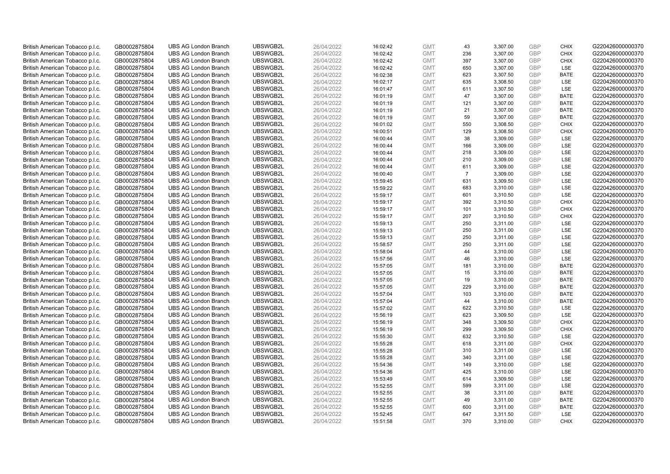| British American Tobacco p.l.c. | GB0002875804 | <b>UBS AG London Branch</b> | UBSWGB2L | 26/04/2022 | 16:02:42 | <b>GMT</b> | 43             | 3,307.00 | <b>GBP</b>               | <b>CHIX</b>                | G220426000000370 |
|---------------------------------|--------------|-----------------------------|----------|------------|----------|------------|----------------|----------|--------------------------|----------------------------|------------------|
| British American Tobacco p.l.c. | GB0002875804 | <b>UBS AG London Branch</b> | UBSWGB2L | 26/04/2022 | 16:02:42 | <b>GMT</b> | 236            | 3,307.00 | <b>GBP</b>               | <b>CHIX</b>                | G220426000000370 |
| British American Tobacco p.l.c. | GB0002875804 | <b>UBS AG London Branch</b> | UBSWGB2L | 26/04/2022 | 16:02:42 | <b>GMT</b> | 397            | 3,307.00 | <b>GBP</b>               | <b>CHIX</b>                | G220426000000370 |
|                                 |              |                             | UBSWGB2L |            |          |            |                |          | <b>GBP</b>               |                            |                  |
| British American Tobacco p.l.c. | GB0002875804 | <b>UBS AG London Branch</b> |          | 26/04/2022 | 16:02:42 | <b>GMT</b> | 650            | 3,307.00 |                          | LSE                        | G220426000000370 |
| British American Tobacco p.l.c. | GB0002875804 | <b>UBS AG London Branch</b> | UBSWGB2L | 26/04/2022 | 16:02:38 | <b>GMT</b> | 623            | 3,307.50 | <b>GBP</b>               | <b>BATE</b>                | G220426000000370 |
| British American Tobacco p.l.c. | GB0002875804 | <b>UBS AG London Branch</b> | UBSWGB2L | 26/04/2022 | 16:02:17 | <b>GMT</b> | 635            | 3,308.50 | <b>GBP</b>               | LSE                        | G220426000000370 |
| British American Tobacco p.l.c. | GB0002875804 | <b>UBS AG London Branch</b> | UBSWGB2L | 26/04/2022 | 16:01:47 | <b>GMT</b> | 611            | 3,307.50 | <b>GBP</b>               | LSE                        | G220426000000370 |
| British American Tobacco p.l.c. | GB0002875804 | <b>UBS AG London Branch</b> | UBSWGB2L | 26/04/2022 | 16:01:19 | <b>GMT</b> | 47             | 3,307.00 | <b>GBP</b>               | <b>BATE</b>                | G220426000000370 |
| British American Tobacco p.l.c. | GB0002875804 | <b>UBS AG London Branch</b> | UBSWGB2L | 26/04/2022 | 16:01:19 | <b>GMT</b> | 121            | 3,307.00 | <b>GBP</b>               | <b>BATE</b>                | G220426000000370 |
| British American Tobacco p.l.c. | GB0002875804 | <b>UBS AG London Branch</b> | UBSWGB2L | 26/04/2022 | 16:01:19 | <b>GMT</b> | 21             | 3,307.00 | <b>GBP</b>               | <b>BATE</b>                | G220426000000370 |
| British American Tobacco p.l.c. | GB0002875804 | <b>UBS AG London Branch</b> | UBSWGB2L | 26/04/2022 | 16:01:19 | <b>GMT</b> | 59             | 3,307.00 | <b>GBP</b>               | <b>BATE</b>                | G220426000000370 |
| British American Tobacco p.l.c. | GB0002875804 | <b>UBS AG London Branch</b> | UBSWGB2L | 26/04/2022 | 16:01:02 | <b>GMT</b> | 550            | 3,308.50 | <b>GBP</b>               | <b>CHIX</b>                | G220426000000370 |
| British American Tobacco p.l.c. | GB0002875804 | <b>UBS AG London Branch</b> | UBSWGB2L | 26/04/2022 | 16:00:51 | <b>GMT</b> | 129            | 3,308.50 | <b>GBP</b>               | <b>CHIX</b>                | G220426000000370 |
| British American Tobacco p.l.c. | GB0002875804 | <b>UBS AG London Branch</b> | UBSWGB2L | 26/04/2022 | 16:00:44 | <b>GMT</b> | 38             | 3,309.00 | <b>GBP</b>               | LSE                        | G220426000000370 |
| British American Tobacco p.l.c. | GB0002875804 | <b>UBS AG London Branch</b> | UBSWGB2L | 26/04/2022 | 16:00:44 | <b>GMT</b> | 166            | 3,309.00 | GBP                      | LSE                        | G220426000000370 |
| British American Tobacco p.l.c. | GB0002875804 | <b>UBS AG London Branch</b> | UBSWGB2L | 26/04/2022 | 16:00:44 | <b>GMT</b> | 218            | 3,309.00 | <b>GBP</b>               | LSE                        | G220426000000370 |
| British American Tobacco p.l.c. | GB0002875804 | <b>UBS AG London Branch</b> | UBSWGB2L | 26/04/2022 | 16:00:44 | <b>GMT</b> | 210            | 3,309.00 | <b>GBP</b>               | LSE                        | G220426000000370 |
| British American Tobacco p.l.c. | GB0002875804 | <b>UBS AG London Branch</b> | UBSWGB2L | 26/04/2022 | 16:00:44 | <b>GMT</b> | 611            | 3,309.00 | <b>GBP</b>               | LSE                        | G220426000000370 |
| British American Tobacco p.l.c. | GB0002875804 | <b>UBS AG London Branch</b> | UBSWGB2L | 26/04/2022 | 16:00:40 | <b>GMT</b> | $\overline{7}$ | 3,309.00 | <b>GBP</b>               | <b>LSE</b>                 | G220426000000370 |
| British American Tobacco p.l.c. | GB0002875804 | <b>UBS AG London Branch</b> | UBSWGB2L | 26/04/2022 | 15:59:45 | <b>GMT</b> | 631            | 3,309.50 | <b>GBP</b>               | LSE                        | G220426000000370 |
| British American Tobacco p.l.c. | GB0002875804 | <b>UBS AG London Branch</b> | UBSWGB2L | 26/04/2022 | 15:59:22 | <b>GMT</b> | 683            | 3,310.00 | <b>GBP</b>               | LSE                        | G220426000000370 |
| British American Tobacco p.l.c. | GB0002875804 | <b>UBS AG London Branch</b> | UBSWGB2L | 26/04/2022 | 15:59:17 | <b>GMT</b> | 601            | 3,310.50 | <b>GBP</b>               | LSE                        | G220426000000370 |
| British American Tobacco p.l.c. | GB0002875804 | <b>UBS AG London Branch</b> | UBSWGB2L | 26/04/2022 | 15:59:17 | <b>GMT</b> | 392            | 3,310.50 | <b>GBP</b>               | <b>CHIX</b>                | G220426000000370 |
| British American Tobacco p.l.c. | GB0002875804 | <b>UBS AG London Branch</b> | UBSWGB2L | 26/04/2022 | 15:59:17 | <b>GMT</b> | 101            | 3,310.50 | <b>GBP</b>               | <b>CHIX</b>                | G220426000000370 |
| British American Tobacco p.l.c. | GB0002875804 | <b>UBS AG London Branch</b> | UBSWGB2L | 26/04/2022 | 15:59:17 | <b>GMT</b> | 207            | 3,310.50 | <b>GBP</b>               | <b>CHIX</b>                | G220426000000370 |
| British American Tobacco p.l.c. | GB0002875804 | <b>UBS AG London Branch</b> | UBSWGB2L | 26/04/2022 | 15:59:13 | <b>GMT</b> | 250            | 3,311.00 | <b>GBP</b>               | LSE                        | G220426000000370 |
| British American Tobacco p.l.c. | GB0002875804 | <b>UBS AG London Branch</b> | UBSWGB2L | 26/04/2022 | 15:59:13 | <b>GMT</b> | 250            | 3,311.00 | <b>GBP</b>               | LSE                        | G220426000000370 |
| British American Tobacco p.l.c. | GB0002875804 | <b>UBS AG London Branch</b> | UBSWGB2L | 26/04/2022 | 15:59:13 | <b>GMT</b> | 250            | 3,311.00 | <b>GBP</b>               | LSE                        | G220426000000370 |
| British American Tobacco p.l.c. | GB0002875804 | <b>UBS AG London Branch</b> | UBSWGB2L | 26/04/2022 | 15:58:57 | <b>GMT</b> | 250            | 3,311.00 | <b>GBP</b>               | LSE                        | G220426000000370 |
| British American Tobacco p.l.c. | GB0002875804 | <b>UBS AG London Branch</b> | UBSWGB2L | 26/04/2022 | 15:58:04 | <b>GMT</b> | 44             | 3,310.00 | <b>GBP</b>               | LSE                        | G220426000000370 |
| British American Tobacco p.l.c. | GB0002875804 | <b>UBS AG London Branch</b> | UBSWGB2L | 26/04/2022 | 15:57:56 | <b>GMT</b> | 46             | 3,310.00 | <b>GBP</b>               | LSE                        | G220426000000370 |
| British American Tobacco p.l.c. | GB0002875804 | <b>UBS AG London Branch</b> | UBSWGB2L | 26/04/2022 | 15:57:05 | <b>GMT</b> | 181            | 3,310.00 | <b>GBP</b>               | BATE                       | G220426000000370 |
| British American Tobacco p.l.c. | GB0002875804 | <b>UBS AG London Branch</b> | UBSWGB2L | 26/04/2022 | 15:57:05 | <b>GMT</b> | 15             | 3,310.00 | <b>GBP</b>               | <b>BATE</b>                | G220426000000370 |
| British American Tobacco p.l.c. | GB0002875804 | <b>UBS AG London Branch</b> | UBSWGB2L | 26/04/2022 | 15:57:05 | <b>GMT</b> | 19             | 3,310.00 | GBP                      | <b>BATE</b>                | G220426000000370 |
| British American Tobacco p.l.c. | GB0002875804 | <b>UBS AG London Branch</b> | UBSWGB2L | 26/04/2022 | 15:57:05 | <b>GMT</b> | 229            | 3,310.00 | <b>GBP</b>               | <b>BATE</b>                | G220426000000370 |
| British American Tobacco p.l.c. | GB0002875804 | <b>UBS AG London Branch</b> | UBSWGB2L | 26/04/2022 | 15:57:04 | <b>GMT</b> | 103            | 3,310.00 | <b>GBP</b>               | <b>BATE</b>                | G220426000000370 |
| British American Tobacco p.l.c. | GB0002875804 | <b>UBS AG London Branch</b> | UBSWGB2L | 26/04/2022 | 15:57:04 | <b>GMT</b> | 44             | 3,310.00 | <b>GBP</b>               | <b>BATE</b>                | G220426000000370 |
| British American Tobacco p.l.c. | GB0002875804 | <b>UBS AG London Branch</b> | UBSWGB2L | 26/04/2022 | 15:57:02 | <b>GMT</b> | 622            | 3,310.50 | <b>GBP</b>               | LSE                        | G220426000000370 |
|                                 |              | <b>UBS AG London Branch</b> | UBSWGB2L |            |          | <b>GMT</b> | 623            |          | <b>GBP</b>               | LSE                        | G220426000000370 |
| British American Tobacco p.l.c. | GB0002875804 |                             |          | 26/04/2022 | 15:56:19 |            |                | 3,309.50 |                          |                            |                  |
| British American Tobacco p.l.c. | GB0002875804 | <b>UBS AG London Branch</b> | UBSWGB2L | 26/04/2022 | 15:56:19 | <b>GMT</b> | 348            | 3,309.50 | <b>GBP</b><br><b>GBP</b> | <b>CHIX</b><br><b>CHIX</b> | G220426000000370 |
| British American Tobacco p.l.c. | GB0002875804 | <b>UBS AG London Branch</b> | UBSWGB2L | 26/04/2022 | 15:56:19 | <b>GMT</b> | 299            | 3,309.50 |                          |                            | G220426000000370 |
| British American Tobacco p.l.c. | GB0002875804 | <b>UBS AG London Branch</b> | UBSWGB2L | 26/04/2022 | 15:55:30 | <b>GMT</b> | 632            | 3,310.50 | <b>GBP</b>               | LSE                        | G220426000000370 |
| British American Tobacco p.l.c. | GB0002875804 | <b>UBS AG London Branch</b> | UBSWGB2L | 26/04/2022 | 15:55:28 | <b>GMT</b> | 618            | 3,311.00 | <b>GBP</b>               | <b>CHIX</b>                | G220426000000370 |
| British American Tobacco p.l.c. | GB0002875804 | <b>UBS AG London Branch</b> | UBSWGB2L | 26/04/2022 | 15:55:28 | <b>GMT</b> | 310            | 3,311.00 | <b>GBP</b>               | LSE                        | G220426000000370 |
| British American Tobacco p.l.c. | GB0002875804 | <b>UBS AG London Branch</b> | UBSWGB2L | 26/04/2022 | 15:55:28 | <b>GMT</b> | 340            | 3,311.00 | <b>GBP</b>               | LSE                        | G220426000000370 |
| British American Tobacco p.l.c. | GB0002875804 | <b>UBS AG London Branch</b> | UBSWGB2L | 26/04/2022 | 15:54:36 | <b>GMT</b> | 149            | 3,310.00 | <b>GBP</b>               | LSE                        | G220426000000370 |
| British American Tobacco p.l.c. | GB0002875804 | <b>UBS AG London Branch</b> | UBSWGB2L | 26/04/2022 | 15:54:36 | <b>GMT</b> | 425            | 3,310.00 | <b>GBP</b>               | LSE                        | G220426000000370 |
| British American Tobacco p.l.c. | GB0002875804 | <b>UBS AG London Branch</b> | UBSWGB2L | 26/04/2022 | 15:53:49 | <b>GMT</b> | 614            | 3,309.50 | <b>GBP</b>               | LSE                        | G220426000000370 |
| British American Tobacco p.l.c. | GB0002875804 | <b>UBS AG London Branch</b> | UBSWGB2L | 26/04/2022 | 15:52:55 | <b>GMT</b> | 599            | 3,311.00 | <b>GBP</b>               | LSE                        | G220426000000370 |
| British American Tobacco p.l.c. | GB0002875804 | <b>UBS AG London Branch</b> | UBSWGB2L | 26/04/2022 | 15:52:55 | <b>GMT</b> | 38             | 3,311.00 | <b>GBP</b>               | <b>BATE</b>                | G220426000000370 |
| British American Tobacco p.l.c. | GB0002875804 | <b>UBS AG London Branch</b> | UBSWGB2L | 26/04/2022 | 15:52:55 | <b>GMT</b> | 49             | 3,311.00 | <b>GBP</b>               | <b>BATE</b>                | G220426000000370 |
| British American Tobacco p.l.c. | GB0002875804 | <b>UBS AG London Branch</b> | UBSWGB2L | 26/04/2022 | 15:52:55 | <b>GMT</b> | 600            | 3,311.00 | <b>GBP</b>               | <b>BATE</b>                | G220426000000370 |
| British American Tobacco p.l.c. | GB0002875804 | <b>UBS AG London Branch</b> | UBSWGB2L | 26/04/2022 | 15:52:45 | <b>GMT</b> | 647            | 3,311.50 | <b>GBP</b>               | <b>LSE</b>                 | G220426000000370 |
| British American Tobacco p.l.c. | GB0002875804 | <b>UBS AG London Branch</b> | UBSWGB2L | 26/04/2022 | 15:51:58 | <b>GMT</b> | 370            | 3.310.00 | GBP                      | <b>CHIX</b>                | G220426000000370 |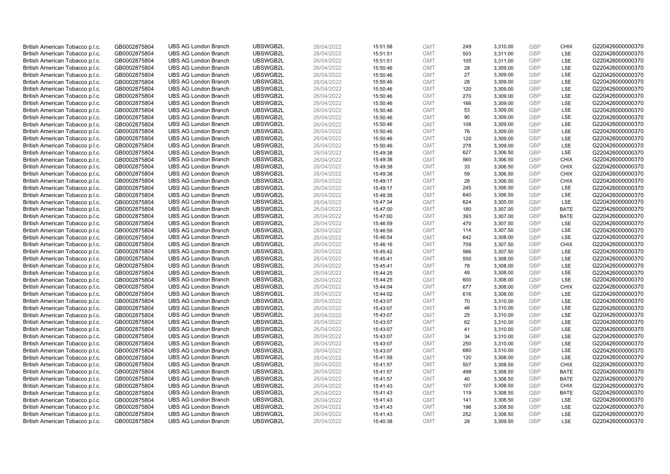| British American Tobacco p.l.c. | GB0002875804 | <b>UBS AG London Branch</b> | UBSWGB2L | 26/04/2022 | 15:51:58 | <b>GMT</b> | 249 | 3,310.00 | <b>GBP</b> | <b>CHIX</b> | G220426000000370 |
|---------------------------------|--------------|-----------------------------|----------|------------|----------|------------|-----|----------|------------|-------------|------------------|
| British American Tobacco p.l.c. | GB0002875804 | <b>UBS AG London Branch</b> | UBSWGB2L | 26/04/2022 | 15:51:51 | <b>GMT</b> | 503 | 3,311.00 | GBP        | LSE         | G220426000000370 |
| British American Tobacco p.l.c. | GB0002875804 | <b>UBS AG London Branch</b> | UBSWGB2L | 26/04/2022 | 15:51:51 | <b>GMT</b> | 105 | 3,311.00 | <b>GBP</b> | LSE         | G220426000000370 |
|                                 |              | <b>UBS AG London Branch</b> | UBSWGB2L |            |          | <b>GMT</b> |     |          | <b>GBP</b> |             | G220426000000370 |
| British American Tobacco p.l.c. | GB0002875804 |                             |          | 26/04/2022 | 15:50:46 |            | 28  | 3,309.00 |            | LSE         |                  |
| British American Tobacco p.l.c. | GB0002875804 | <b>UBS AG London Branch</b> | UBSWGB2L | 26/04/2022 | 15:50:46 | <b>GMT</b> | 27  | 3,309.00 | <b>GBP</b> | LSE         | G220426000000370 |
| British American Tobacco p.l.c. | GB0002875804 | <b>UBS AG London Branch</b> | UBSWGB2L | 26/04/2022 | 15:50:46 | <b>GMT</b> | 28  | 3,309.00 | <b>GBP</b> | LSE         | G220426000000370 |
| British American Tobacco p.l.c. | GB0002875804 | <b>UBS AG London Branch</b> | UBSWGB2L | 26/04/2022 | 15:50:46 | <b>GMT</b> | 120 | 3,309.00 | <b>GBP</b> | LSE         | G220426000000370 |
| British American Tobacco p.l.c. | GB0002875804 | <b>UBS AG London Branch</b> | UBSWGB2L | 26/04/2022 | 15:50:46 | <b>GMT</b> | 270 | 3,309.00 | <b>GBP</b> | LSE         | G220426000000370 |
| British American Tobacco p.l.c. | GB0002875804 | <b>UBS AG London Branch</b> | UBSWGB2L | 26/04/2022 | 15:50:46 | <b>GMT</b> | 166 | 3,309.00 | <b>GBP</b> | LSE         | G220426000000370 |
| British American Tobacco p.l.c. | GB0002875804 | <b>UBS AG London Branch</b> | UBSWGB2L | 26/04/2022 | 15:50:46 | <b>GMT</b> | 53  | 3,309.00 | <b>GBP</b> | LSE         | G220426000000370 |
| British American Tobacco p.l.c. | GB0002875804 | <b>UBS AG London Branch</b> | UBSWGB2L | 26/04/2022 | 15:50:46 | <b>GMT</b> | 90  | 3,309.00 | <b>GBP</b> | LSE         | G220426000000370 |
| British American Tobacco p.l.c. | GB0002875804 | <b>UBS AG London Branch</b> | UBSWGB2L | 26/04/2022 | 15:50:46 | <b>GMT</b> | 108 | 3,309.00 | <b>GBP</b> | LSE         | G220426000000370 |
| British American Tobacco p.l.c. | GB0002875804 | <b>UBS AG London Branch</b> | UBSWGB2L | 26/04/2022 | 15:50:46 | <b>GMT</b> | 76  | 3,309.00 | <b>GBP</b> | LSE         | G220426000000370 |
| British American Tobacco p.l.c. | GB0002875804 | <b>UBS AG London Branch</b> | UBSWGB2L | 26/04/2022 | 15:50:46 | <b>GMT</b> | 120 | 3,309.00 | <b>GBP</b> | LSE         | G220426000000370 |
| British American Tobacco p.l.c. | GB0002875804 | <b>UBS AG London Branch</b> | UBSWGB2L | 26/04/2022 | 15:50:46 | <b>GMT</b> | 278 | 3,309.00 | <b>GBP</b> | LSE         | G220426000000370 |
| British American Tobacco p.l.c. | GB0002875804 | <b>UBS AG London Branch</b> | UBSWGB2L | 26/04/2022 | 15:49:38 | <b>GMT</b> | 627 | 3,306.50 | <b>GBP</b> | LSE         | G220426000000370 |
| British American Tobacco p.l.c. | GB0002875804 | <b>UBS AG London Branch</b> | UBSWGB2L | 26/04/2022 | 15:49:38 | <b>GMT</b> | 560 | 3,306.50 | <b>GBP</b> | <b>CHIX</b> | G220426000000370 |
| British American Tobacco p.l.c. | GB0002875804 | <b>UBS AG London Branch</b> | UBSWGB2L | 26/04/2022 | 15:49:38 | <b>GMT</b> | 33  | 3,306.50 | <b>GBP</b> | <b>CHIX</b> | G220426000000370 |
| British American Tobacco p.l.c. | GB0002875804 | <b>UBS AG London Branch</b> | UBSWGB2L | 26/04/2022 | 15:49:38 | <b>GMT</b> | 59  | 3,306.50 | <b>GBP</b> | <b>CHIX</b> | G220426000000370 |
| British American Tobacco p.l.c. | GB0002875804 | <b>UBS AG London Branch</b> | UBSWGB2L | 26/04/2022 | 15:49:17 | <b>GMT</b> | 28  | 3,306.00 | <b>GBP</b> | <b>CHIX</b> | G220426000000370 |
| British American Tobacco p.l.c. | GB0002875804 | <b>UBS AG London Branch</b> | UBSWGB2L | 26/04/2022 | 15:49:17 | <b>GMT</b> | 245 | 3,306.50 | <b>GBP</b> | LSE         | G220426000000370 |
| British American Tobacco p.l.c. | GB0002875804 | <b>UBS AG London Branch</b> | UBSWGB2L | 26/04/2022 | 15:48:38 | <b>GMT</b> | 640 | 3,306.50 | <b>GBP</b> | LSE         | G220426000000370 |
| British American Tobacco p.l.c. | GB0002875804 | <b>UBS AG London Branch</b> | UBSWGB2L | 26/04/2022 | 15:47:34 | <b>GMT</b> | 624 | 3,305.00 | <b>GBP</b> | LSE         | G220426000000370 |
| British American Tobacco p.l.c. | GB0002875804 | <b>UBS AG London Branch</b> | UBSWGB2L | 26/04/2022 | 15:47:00 | <b>GMT</b> | 180 | 3,307.00 | <b>GBP</b> | <b>BATE</b> | G220426000000370 |
| British American Tobacco p.l.c. | GB0002875804 | <b>UBS AG London Branch</b> | UBSWGB2L | 26/04/2022 | 15:47:00 | <b>GMT</b> | 393 | 3,307.00 | <b>GBP</b> | <b>BATE</b> | G220426000000370 |
| British American Tobacco p.l.c. | GB0002875804 | <b>UBS AG London Branch</b> | UBSWGB2L | 26/04/2022 | 15:46:59 | <b>GMT</b> | 470 | 3,307.50 | <b>GBP</b> | LSE         | G220426000000370 |
| British American Tobacco p.l.c. | GB0002875804 | <b>UBS AG London Branch</b> | UBSWGB2L | 26/04/2022 | 15:46:59 | <b>GMT</b> | 114 | 3,307.50 | <b>GBP</b> | LSE         | G220426000000370 |
| British American Tobacco p.l.c. | GB0002875804 | <b>UBS AG London Branch</b> | UBSWGB2L | 26/04/2022 | 15:46:54 | <b>GMT</b> | 642 | 3,308.00 | <b>GBP</b> | LSE         | G220426000000370 |
| British American Tobacco p.l.c. | GB0002875804 | <b>UBS AG London Branch</b> | UBSWGB2L | 26/04/2022 | 15:46:16 | <b>GMT</b> | 709 | 3,307.50 | <b>GBP</b> | <b>CHIX</b> | G220426000000370 |
| British American Tobacco p.l.c. | GB0002875804 | <b>UBS AG London Branch</b> | UBSWGB2L | 26/04/2022 | 15:45:42 | <b>GMT</b> | 566 | 3,307.50 | <b>GBP</b> | LSE         | G220426000000370 |
| British American Tobacco p.l.c. | GB0002875804 | <b>UBS AG London Branch</b> | UBSWGB2L | 26/04/2022 | 15:45:41 | <b>GMT</b> | 550 | 3,308.00 | <b>GBP</b> | LSE         | G220426000000370 |
| British American Tobacco p.l.c. | GB0002875804 | <b>UBS AG London Branch</b> | UBSWGB2L | 26/04/2022 | 15:45:41 | <b>GMT</b> | 78  | 3,308.00 | <b>GBP</b> | LSE         | G220426000000370 |
| British American Tobacco p.l.c. | GB0002875804 | <b>UBS AG London Branch</b> | UBSWGB2L | 26/04/2022 | 15:44:25 | <b>GMT</b> | 49  | 3,308.00 | <b>GBP</b> | LSE         | G220426000000370 |
|                                 |              | <b>UBS AG London Branch</b> | UBSWGB2L | 26/04/2022 |          | <b>GMT</b> | 600 | 3,308.00 | <b>GBP</b> | LSE         | G220426000000370 |
| British American Tobacco p.l.c. | GB0002875804 |                             | UBSWGB2L | 26/04/2022 | 15:44:25 |            | 677 |          | <b>GBP</b> | <b>CHIX</b> | G220426000000370 |
| British American Tobacco p.l.c. | GB0002875804 | UBS AG London Branch        |          |            | 15:44:04 | <b>GMT</b> |     | 3,308.00 |            |             |                  |
| British American Tobacco p.l.c. | GB0002875804 | <b>UBS AG London Branch</b> | UBSWGB2L | 26/04/2022 | 15:44:02 | <b>GMT</b> | 616 | 3,308.00 | <b>GBP</b> | LSE         | G220426000000370 |
| British American Tobacco p.l.c. | GB0002875804 | <b>UBS AG London Branch</b> | UBSWGB2L | 26/04/2022 | 15:43:07 | <b>GMT</b> | 70  | 3,310.00 | GBP        | <b>LSE</b>  | G220426000000370 |
| British American Tobacco p.l.c. | GB0002875804 | <b>UBS AG London Branch</b> | UBSWGB2L | 26/04/2022 | 15:43:07 | <b>GMT</b> | 46  | 3,310.00 | <b>GBP</b> | LSE         | G220426000000370 |
| British American Tobacco p.l.c. | GB0002875804 | <b>UBS AG London Branch</b> | UBSWGB2L | 26/04/2022 | 15:43:07 | <b>GMT</b> | 25  | 3,310.00 | <b>GBP</b> | <b>LSE</b>  | G220426000000370 |
| British American Tobacco p.l.c. | GB0002875804 | <b>UBS AG London Branch</b> | UBSWGB2L | 26/04/2022 | 15:43:07 | <b>GMT</b> | 62  | 3,310.00 | <b>GBP</b> | LSE         | G220426000000370 |
| British American Tobacco p.l.c. | GB0002875804 | <b>UBS AG London Branch</b> | UBSWGB2L | 26/04/2022 | 15:43:07 | <b>GMT</b> | 41  | 3,310.00 | <b>GBP</b> | <b>LSE</b>  | G220426000000370 |
| British American Tobacco p.l.c. | GB0002875804 | <b>UBS AG London Branch</b> | UBSWGB2L | 26/04/2022 | 15:43:07 | <b>GMT</b> | 34  | 3,310.00 | <b>GBP</b> | LSE         | G220426000000370 |
| British American Tobacco p.l.c. | GB0002875804 | <b>UBS AG London Branch</b> | UBSWGB2L | 26/04/2022 | 15:43:07 | <b>GMT</b> | 250 | 3,310.00 | <b>GBP</b> | LSE         | G220426000000370 |
| British American Tobacco p.l.c. | GB0002875804 | <b>UBS AG London Branch</b> | UBSWGB2L | 26/04/2022 | 15:43:07 | <b>GMT</b> | 680 | 3,310.00 | <b>GBP</b> | LSE         | G220426000000370 |
| British American Tobacco p.l.c. | GB0002875804 | <b>UBS AG London Branch</b> | UBSWGB2L | 26/04/2022 | 15:41:58 | <b>GMT</b> | 120 | 3,308.00 | <b>GBP</b> | LSE         | G220426000000370 |
| British American Tobacco p.l.c. | GB0002875804 | <b>UBS AG London Branch</b> | UBSWGB2L | 26/04/2022 | 15:41:57 | <b>GMT</b> | 507 | 3,308.50 | <b>GBP</b> | <b>CHIX</b> | G220426000000370 |
| British American Tobacco p.l.c. | GB0002875804 | <b>UBS AG London Branch</b> | UBSWGB2L | 26/04/2022 | 15:41:57 | <b>GMT</b> | 499 | 3,308.50 | <b>GBP</b> | <b>BATE</b> | G220426000000370 |
| British American Tobacco p.l.c. | GB0002875804 | <b>UBS AG London Branch</b> | UBSWGB2L | 26/04/2022 | 15:41:57 | <b>GMT</b> | 40  | 3,308.50 | <b>GBP</b> | <b>BATE</b> | G220426000000370 |
| British American Tobacco p.l.c. | GB0002875804 | <b>UBS AG London Branch</b> | UBSWGB2L | 26/04/2022 | 15:41:43 | <b>GMT</b> | 107 | 3,308.50 | <b>GBP</b> | <b>CHIX</b> | G220426000000370 |
| British American Tobacco p.l.c. | GB0002875804 | <b>UBS AG London Branch</b> | UBSWGB2L | 26/04/2022 | 15:41:43 | <b>GMT</b> | 119 | 3,308.50 | <b>GBP</b> | <b>BATE</b> | G220426000000370 |
| British American Tobacco p.l.c. | GB0002875804 | <b>UBS AG London Branch</b> | UBSWGB2L | 26/04/2022 | 15:41:43 | <b>GMT</b> | 141 | 3,308.50 | <b>GBP</b> | LSE         | G220426000000370 |
| British American Tobacco p.l.c. | GB0002875804 | <b>UBS AG London Branch</b> | UBSWGB2L | 26/04/2022 | 15:41:43 | <b>GMT</b> | 196 | 3,308.50 | <b>GBP</b> | LSE         | G220426000000370 |
| British American Tobacco p.l.c. | GB0002875804 | <b>UBS AG London Branch</b> | UBSWGB2L | 26/04/2022 | 15:41:43 | <b>GMT</b> | 252 | 3,308.50 | <b>GBP</b> | LSE         | G220426000000370 |
| British American Tobacco p.l.c. | GB0002875804 | <b>UBS AG London Branch</b> | UBSWGB2L | 26/04/2022 | 15:40:38 | <b>GMT</b> | 28  | 3,309.50 | GBP        | <b>LSE</b>  | G220426000000370 |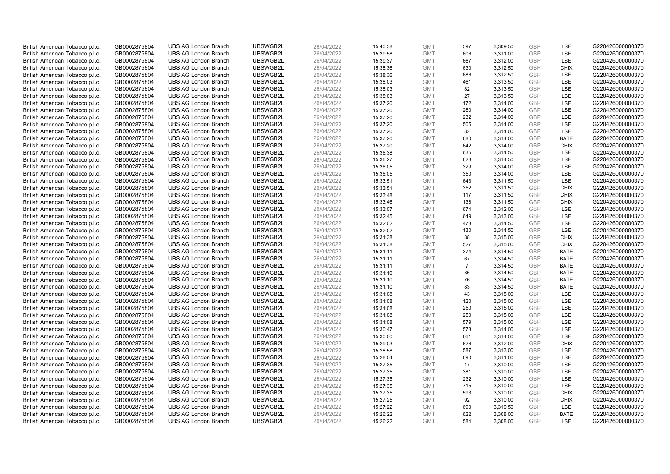| British American Tobacco p.l.c. | GB0002875804 | <b>UBS AG London Branch</b> | UBSWGB2L | 26/04/2022 | 15:40:38 | <b>GMT</b> | 597            | 3,309.50 | <b>GBP</b> | LSE         | G220426000000370 |
|---------------------------------|--------------|-----------------------------|----------|------------|----------|------------|----------------|----------|------------|-------------|------------------|
| British American Tobacco p.l.c. | GB0002875804 | <b>UBS AG London Branch</b> | UBSWGB2L | 26/04/2022 | 15:39:58 | <b>GMT</b> | 606            | 3,311.00 | GBP        | LSE         | G220426000000370 |
| British American Tobacco p.l.c. | GB0002875804 | <b>UBS AG London Branch</b> | UBSWGB2L | 26/04/2022 | 15:39:37 | <b>GMT</b> | 667            | 3,312.00 | GBP        | LSE         | G220426000000370 |
| British American Tobacco p.l.c. | GB0002875804 | <b>UBS AG London Branch</b> | UBSWGB2L | 26/04/2022 | 15:38:36 | <b>GMT</b> | 630            | 3,312.50 | GBP        | <b>CHIX</b> | G220426000000370 |
| British American Tobacco p.l.c. | GB0002875804 | <b>UBS AG London Branch</b> | UBSWGB2L | 26/04/2022 | 15:38:36 | <b>GMT</b> | 686            | 3,312.50 | <b>GBP</b> | LSE         | G220426000000370 |
| British American Tobacco p.l.c. | GB0002875804 | <b>UBS AG London Branch</b> | UBSWGB2L | 26/04/2022 | 15:38:03 | <b>GMT</b> | 461            | 3,313.50 | <b>GBP</b> | LSE         | G220426000000370 |
| British American Tobacco p.l.c. | GB0002875804 | <b>UBS AG London Branch</b> | UBSWGB2L | 26/04/2022 | 15:38:03 | <b>GMT</b> | 82             | 3,313.50 | <b>GBP</b> | LSE         | G220426000000370 |
| British American Tobacco p.l.c. | GB0002875804 | <b>UBS AG London Branch</b> | UBSWGB2L | 26/04/2022 | 15:38:03 | <b>GMT</b> | 27             | 3,313.50 | GBP        | <b>LSE</b>  | G220426000000370 |
| British American Tobacco p.l.c. | GB0002875804 | <b>UBS AG London Branch</b> | UBSWGB2L | 26/04/2022 | 15:37:20 | <b>GMT</b> | 172            | 3,314.00 | GBP        | LSE         | G220426000000370 |
| British American Tobacco p.l.c. | GB0002875804 | <b>UBS AG London Branch</b> | UBSWGB2L | 26/04/2022 | 15:37:20 | <b>GMT</b> | 280            | 3,314.00 | <b>GBP</b> | <b>LSE</b>  | G220426000000370 |
| British American Tobacco p.l.c. | GB0002875804 | <b>UBS AG London Branch</b> | UBSWGB2L | 26/04/2022 | 15:37:20 | <b>GMT</b> | 232            | 3,314.00 | GBP        | LSE         | G220426000000370 |
| British American Tobacco p.l.c. | GB0002875804 | <b>UBS AG London Branch</b> | UBSWGB2L | 26/04/2022 | 15:37:20 | <b>GMT</b> | 505            | 3,314.00 | <b>GBP</b> | LSE         | G220426000000370 |
| British American Tobacco p.l.c. | GB0002875804 | <b>UBS AG London Branch</b> | UBSWGB2L | 26/04/2022 | 15:37:20 | <b>GMT</b> | 82             | 3,314.00 | GBP        | LSE         | G220426000000370 |
| British American Tobacco p.l.c. | GB0002875804 | <b>UBS AG London Branch</b> | UBSWGB2L | 26/04/2022 | 15:37:20 | <b>GMT</b> | 680            | 3,314.00 | <b>GBP</b> | <b>BATE</b> | G220426000000370 |
| British American Tobacco p.l.c. | GB0002875804 | <b>UBS AG London Branch</b> | UBSWGB2L | 26/04/2022 | 15:37:20 | <b>GMT</b> | 642            | 3,314.00 | <b>GBP</b> | <b>CHIX</b> | G220426000000370 |
| British American Tobacco p.l.c. | GB0002875804 | <b>UBS AG London Branch</b> | UBSWGB2L | 26/04/2022 | 15:36:38 | <b>GMT</b> | 636            | 3,314.50 | <b>GBP</b> | <b>LSE</b>  | G220426000000370 |
| British American Tobacco p.l.c. | GB0002875804 | <b>UBS AG London Branch</b> | UBSWGB2L | 26/04/2022 | 15:36:27 | <b>GMT</b> | 628            | 3,314.50 | <b>GBP</b> | LSE         | G220426000000370 |
| British American Tobacco p.l.c. | GB0002875804 | <b>UBS AG London Branch</b> | UBSWGB2L | 26/04/2022 | 15:36:05 | <b>GMT</b> | 329            | 3,314.00 | <b>GBP</b> | LSE         | G220426000000370 |
| British American Tobacco p.l.c. | GB0002875804 | <b>UBS AG London Branch</b> | UBSWGB2L | 26/04/2022 | 15:36:05 | <b>GMT</b> | 350            | 3,314.00 | GBP        | <b>LSE</b>  | G220426000000370 |
| British American Tobacco p.l.c. | GB0002875804 | <b>UBS AG London Branch</b> | UBSWGB2L | 26/04/2022 | 15:33:51 | <b>GMT</b> | 643            | 3,311.50 | <b>GBP</b> | LSE         | G220426000000370 |
| British American Tobacco p.l.c. | GB0002875804 | <b>UBS AG London Branch</b> | UBSWGB2L | 26/04/2022 | 15:33:51 | <b>GMT</b> | 352            | 3,311.50 | GBP        | <b>CHIX</b> | G220426000000370 |
| British American Tobacco p.l.c. | GB0002875804 | <b>UBS AG London Branch</b> | UBSWGB2L | 26/04/2022 | 15:33:48 | <b>GMT</b> | 117            | 3,311.50 | GBP        | <b>CHIX</b> | G220426000000370 |
| British American Tobacco p.l.c. | GB0002875804 | <b>UBS AG London Branch</b> | UBSWGB2L | 26/04/2022 | 15:33:46 | <b>GMT</b> | 138            | 3,311.50 | GBP        | <b>CHIX</b> | G220426000000370 |
| British American Tobacco p.l.c. | GB0002875804 | <b>UBS AG London Branch</b> | UBSWGB2L | 26/04/2022 | 15:33:07 | <b>GMT</b> | 674            | 3,312.00 | GBP        | <b>LSE</b>  | G220426000000370 |
| British American Tobacco p.l.c. | GB0002875804 | <b>UBS AG London Branch</b> | UBSWGB2L | 26/04/2022 | 15:32:45 | <b>GMT</b> | 649            | 3,313.00 | <b>GBP</b> | LSE         | G220426000000370 |
| British American Tobacco p.l.c. | GB0002875804 | <b>UBS AG London Branch</b> | UBSWGB2L | 26/04/2022 | 15:32:02 | <b>GMT</b> | 478            | 3,314.50 | <b>GBP</b> | LSE         | G220426000000370 |
| British American Tobacco p.l.c. | GB0002875804 | <b>UBS AG London Branch</b> | UBSWGB2L | 26/04/2022 | 15:32:02 | <b>GMT</b> | 130            | 3,314.50 | <b>GBP</b> | LSE         | G220426000000370 |
| British American Tobacco p.l.c. | GB0002875804 | <b>UBS AG London Branch</b> | UBSWGB2L | 26/04/2022 | 15:31:38 | <b>GMT</b> | 88             | 3,315.00 | GBP        | <b>CHIX</b> | G220426000000370 |
| British American Tobacco p.l.c. | GB0002875804 | <b>UBS AG London Branch</b> | UBSWGB2L | 26/04/2022 | 15:31:38 | <b>GMT</b> | 527            | 3,315.00 | <b>GBP</b> | <b>CHIX</b> | G220426000000370 |
| British American Tobacco p.l.c. | GB0002875804 | <b>UBS AG London Branch</b> | UBSWGB2L | 26/04/2022 | 15:31:11 | <b>GMT</b> | 374            | 3,314.50 | GBP        | <b>BATE</b> | G220426000000370 |
| British American Tobacco p.l.c. | GB0002875804 | <b>UBS AG London Branch</b> | UBSWGB2L | 26/04/2022 | 15:31:11 | <b>GMT</b> | 67             | 3,314.50 | GBP        | <b>BATE</b> | G220426000000370 |
| British American Tobacco p.l.c. | GB0002875804 | <b>UBS AG London Branch</b> | UBSWGB2L | 26/04/2022 | 15:31:11 | <b>GMT</b> | $\overline{7}$ | 3,314.50 | <b>GBP</b> | <b>BATE</b> | G220426000000370 |
| British American Tobacco p.l.c. | GB0002875804 | <b>UBS AG London Branch</b> | UBSWGB2L | 26/04/2022 | 15:31:10 | <b>GMT</b> | 86             | 3,314.50 | GBP        | <b>BATE</b> | G220426000000370 |
| British American Tobacco p.l.c. | GB0002875804 | <b>UBS AG London Branch</b> | UBSWGB2L | 26/04/2022 | 15:31:10 | <b>GMT</b> | 76             | 3,314.50 | GBP        | <b>BATE</b> | G220426000000370 |
| British American Tobacco p.l.c. | GB0002875804 | <b>UBS AG London Branch</b> | UBSWGB2L | 26/04/2022 | 15:31:10 | <b>GMT</b> | 83             | 3,314.50 | GBP        | <b>BATE</b> | G220426000000370 |
| British American Tobacco p.l.c. | GB0002875804 | <b>UBS AG London Branch</b> | UBSWGB2L | 26/04/2022 | 15:31:08 | <b>GMT</b> | 43             | 3,315.00 | GBP        | LSE         | G220426000000370 |
| British American Tobacco p.l.c. | GB0002875804 | <b>UBS AG London Branch</b> | UBSWGB2L | 26/04/2022 | 15:31:08 | <b>GMT</b> | 120            | 3,315.00 | GBP        | LSE         | G220426000000370 |
| British American Tobacco p.l.c. | GB0002875804 | <b>UBS AG London Branch</b> | UBSWGB2L | 26/04/2022 | 15:31:08 | <b>GMT</b> | 250            | 3,315.00 | <b>GBP</b> | LSE         | G220426000000370 |
| British American Tobacco p.l.c. | GB0002875804 | <b>UBS AG London Branch</b> | UBSWGB2L | 26/04/2022 | 15:31:08 | <b>GMT</b> | 250            | 3,315.00 | <b>GBP</b> | <b>LSE</b>  | G220426000000370 |
| British American Tobacco p.l.c. | GB0002875804 | <b>UBS AG London Branch</b> | UBSWGB2L | 26/04/2022 | 15:31:08 | <b>GMT</b> | 579            | 3,315.00 | GBP        | <b>LSE</b>  | G220426000000370 |
| British American Tobacco p.l.c. | GB0002875804 | <b>UBS AG London Branch</b> | UBSWGB2L | 26/04/2022 | 15:30:47 | <b>GMT</b> | 578            | 3,314.00 | <b>GBP</b> | <b>LSE</b>  | G220426000000370 |
| British American Tobacco p.l.c. | GB0002875804 | <b>UBS AG London Branch</b> | UBSWGB2L | 26/04/2022 | 15:30:00 | <b>GMT</b> | 661            | 3,314.00 | <b>GBP</b> | LSE         | G220426000000370 |
| British American Tobacco p.l.c. | GB0002875804 | <b>UBS AG London Branch</b> | UBSWGB2L | 26/04/2022 | 15:29:03 | <b>GMT</b> | 626            | 3,312.00 | GBP        | <b>CHIX</b> | G220426000000370 |
| British American Tobacco p.l.c. | GB0002875804 | <b>UBS AG London Branch</b> | UBSWGB2L | 26/04/2022 | 15:28:58 | <b>GMT</b> | 587            | 3,313.00 | <b>GBP</b> | <b>LSE</b>  | G220426000000370 |
| British American Tobacco p.l.c. | GB0002875804 | <b>UBS AG London Branch</b> | UBSWGB2L | 26/04/2022 | 15:28:04 | <b>GMT</b> | 690            | 3,311.00 | <b>GBP</b> | <b>LSE</b>  | G220426000000370 |
| British American Tobacco p.l.c. | GB0002875804 | <b>UBS AG London Branch</b> | UBSWGB2L | 26/04/2022 | 15:27:35 | <b>GMT</b> | 47             | 3,310.00 | <b>GBP</b> | LSE         | G220426000000370 |
| British American Tobacco p.l.c. | GB0002875804 | <b>UBS AG London Branch</b> | UBSWGB2L | 26/04/2022 | 15:27:35 | <b>GMT</b> | 381            | 3,310.00 | <b>GBP</b> | LSE         | G220426000000370 |
| British American Tobacco p.l.c. | GB0002875804 | <b>UBS AG London Branch</b> | UBSWGB2L | 26/04/2022 | 15:27:35 | <b>GMT</b> | 232            | 3,310.00 | GBP        | LSE         | G220426000000370 |
| British American Tobacco p.l.c. | GB0002875804 | <b>UBS AG London Branch</b> | UBSWGB2L | 26/04/2022 | 15:27:35 | <b>GMT</b> | 715            | 3,310.00 | <b>GBP</b> | LSE         | G220426000000370 |
| British American Tobacco p.l.c. | GB0002875804 | <b>UBS AG London Branch</b> | UBSWGB2L | 26/04/2022 | 15:27:35 | <b>GMT</b> | 593            | 3,310.00 | GBP        | <b>CHIX</b> | G220426000000370 |
| British American Tobacco p.l.c. | GB0002875804 | <b>UBS AG London Branch</b> | UBSWGB2L | 26/04/2022 | 15:27:25 | <b>GMT</b> | 92             | 3,310.00 | GBP        | <b>CHIX</b> | G220426000000370 |
| British American Tobacco p.l.c. | GB0002875804 | <b>UBS AG London Branch</b> | UBSWGB2L | 26/04/2022 | 15:27:22 | <b>GMT</b> | 690            | 3,310.50 | <b>GBP</b> | LSE         | G220426000000370 |
| British American Tobacco p.l.c. | GB0002875804 | <b>UBS AG London Branch</b> | UBSWGB2L | 26/04/2022 | 15:26:22 | <b>GMT</b> | 622            | 3,308.00 | GBP        | <b>BATE</b> | G220426000000370 |
| British American Tobacco p.l.c. | GB0002875804 | <b>UBS AG London Branch</b> | UBSWGB2L | 26/04/2022 | 15:26:22 | <b>GMT</b> | 584            | 3.308.00 | GBP        | <b>LSE</b>  | G220426000000370 |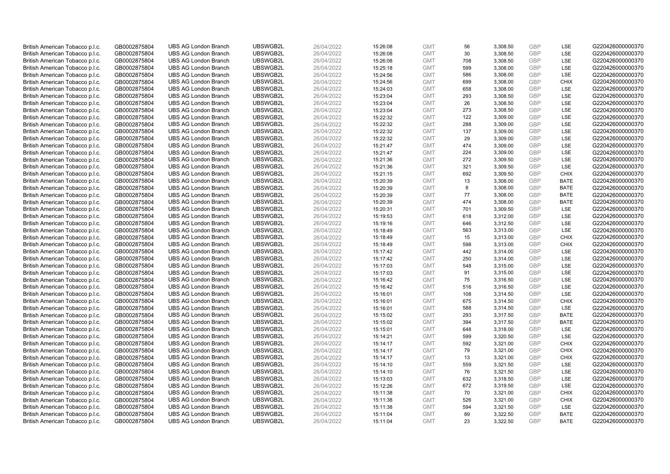| British American Tobacco p.l.c.                                    | GB0002875804                 | <b>UBS AG London Branch</b> | UBSWGB2L | 26/04/2022 | 15:26:08 | <b>GMT</b> | 56  | 3,308.50 | <b>GBP</b> | LSE         | G220426000000370 |
|--------------------------------------------------------------------|------------------------------|-----------------------------|----------|------------|----------|------------|-----|----------|------------|-------------|------------------|
| British American Tobacco p.l.c.                                    | GB0002875804                 | <b>UBS AG London Branch</b> | UBSWGB2L | 26/04/2022 | 15:26:08 | <b>GMT</b> | 30  | 3,308.50 | GBP        | LSE         | G220426000000370 |
| British American Tobacco p.l.c.                                    | GB0002875804                 | <b>UBS AG London Branch</b> | UBSWGB2L | 26/04/2022 | 15:26:08 | <b>GMT</b> | 708 | 3,308.50 | GBP        | LSE         | G220426000000370 |
| British American Tobacco p.l.c.                                    | GB0002875804                 | <b>UBS AG London Branch</b> | UBSWGB2L | 26/04/2022 | 15:25:18 | <b>GMT</b> | 599 | 3,308.00 | GBP        | LSE         | G220426000000370 |
| British American Tobacco p.l.c.                                    | GB0002875804                 | <b>UBS AG London Branch</b> | UBSWGB2L | 26/04/2022 | 15:24:56 | <b>GMT</b> | 586 | 3,308.00 | <b>GBP</b> | LSE         | G220426000000370 |
| British American Tobacco p.l.c.                                    | GB0002875804                 | <b>UBS AG London Branch</b> | UBSWGB2L | 26/04/2022 | 15:24:56 | <b>GMT</b> | 699 | 3,308.00 | <b>GBP</b> | <b>CHIX</b> | G220426000000370 |
| British American Tobacco p.l.c.                                    | GB0002875804                 | <b>UBS AG London Branch</b> | UBSWGB2L | 26/04/2022 | 15:24:03 | <b>GMT</b> | 658 | 3,308.00 | GBP        | LSE         | G220426000000370 |
| British American Tobacco p.l.c.                                    | GB0002875804                 | <b>UBS AG London Branch</b> | UBSWGB2L | 26/04/2022 | 15:23:04 | <b>GMT</b> | 293 | 3,308.50 | GBP        | LSE         | G220426000000370 |
| British American Tobacco p.l.c.                                    | GB0002875804                 | <b>UBS AG London Branch</b> | UBSWGB2L | 26/04/2022 | 15:23:04 | <b>GMT</b> | 26  | 3,308.50 | GBP        | LSE         | G220426000000370 |
| British American Tobacco p.l.c.                                    | GB0002875804                 | <b>UBS AG London Branch</b> | UBSWGB2L | 26/04/2022 | 15:23:04 | <b>GMT</b> | 273 | 3,308.50 | <b>GBP</b> | <b>LSE</b>  | G220426000000370 |
| British American Tobacco p.l.c.                                    | GB0002875804                 | <b>UBS AG London Branch</b> | UBSWGB2L | 26/04/2022 | 15:22:32 | <b>GMT</b> | 122 | 3,309.00 | GBP        | LSE         | G220426000000370 |
| British American Tobacco p.l.c.                                    | GB0002875804                 | <b>UBS AG London Branch</b> | UBSWGB2L | 26/04/2022 | 15:22:32 | <b>GMT</b> | 288 | 3,309.00 | <b>GBP</b> | LSE         | G220426000000370 |
| British American Tobacco p.l.c.                                    | GB0002875804                 | <b>UBS AG London Branch</b> | UBSWGB2L | 26/04/2022 | 15:22:32 | <b>GMT</b> | 137 | 3,309.00 | GBP        | LSE         | G220426000000370 |
| British American Tobacco p.l.c.                                    | GB0002875804                 | <b>UBS AG London Branch</b> | UBSWGB2L | 26/04/2022 | 15:22:32 | <b>GMT</b> | 29  | 3,309.00 | <b>GBP</b> | LSE         | G220426000000370 |
| British American Tobacco p.l.c.                                    | GB0002875804                 | <b>UBS AG London Branch</b> | UBSWGB2L | 26/04/2022 | 15:21:47 | <b>GMT</b> | 474 | 3,309.00 | GBP        | <b>LSE</b>  | G220426000000370 |
| British American Tobacco p.l.c.                                    | GB0002875804                 | <b>UBS AG London Branch</b> | UBSWGB2L | 26/04/2022 | 15:21:47 | <b>GMT</b> | 224 | 3,309.00 | <b>GBP</b> | LSE         | G220426000000370 |
| British American Tobacco p.l.c.                                    | GB0002875804                 | <b>UBS AG London Branch</b> | UBSWGB2L | 26/04/2022 | 15:21:36 | <b>GMT</b> | 272 | 3,309.50 | GBP        | LSE         | G220426000000370 |
| British American Tobacco p.l.c.                                    | GB0002875804                 | <b>UBS AG London Branch</b> | UBSWGB2L | 26/04/2022 | 15:21:36 | <b>GMT</b> | 321 | 3,309.50 | <b>GBP</b> | LSE         | G220426000000370 |
| British American Tobacco p.l.c.                                    | GB0002875804                 | <b>UBS AG London Branch</b> | UBSWGB2L | 26/04/2022 | 15:21:15 | <b>GMT</b> | 692 | 3,309.50 | <b>GBP</b> | <b>CHIX</b> | G220426000000370 |
| British American Tobacco p.l.c.                                    | GB0002875804                 | <b>UBS AG London Branch</b> | UBSWGB2L | 26/04/2022 | 15:20:39 | <b>GMT</b> | 13  | 3,308.00 | <b>GBP</b> | <b>BATE</b> | G220426000000370 |
| British American Tobacco p.l.c.                                    | GB0002875804                 | <b>UBS AG London Branch</b> | UBSWGB2L | 26/04/2022 | 15:20:39 | <b>GMT</b> | 8   | 3,308.00 | GBP        | <b>BATE</b> | G220426000000370 |
| British American Tobacco p.l.c.                                    | GB0002875804                 | <b>UBS AG London Branch</b> | UBSWGB2L | 26/04/2022 | 15:20:39 | <b>GMT</b> | 77  | 3,308.00 | <b>GBP</b> | <b>BATE</b> | G220426000000370 |
| British American Tobacco p.l.c.                                    | GB0002875804                 | <b>UBS AG London Branch</b> | UBSWGB2L | 26/04/2022 | 15:20:39 | <b>GMT</b> | 474 | 3,308.00 | <b>GBP</b> | <b>BATE</b> | G220426000000370 |
| British American Tobacco p.l.c.                                    | GB0002875804                 | <b>UBS AG London Branch</b> | UBSWGB2L | 26/04/2022 | 15:20:31 | <b>GMT</b> | 701 | 3,309.50 | <b>GBP</b> | <b>LSE</b>  | G220426000000370 |
| British American Tobacco p.l.c.                                    | GB0002875804                 | <b>UBS AG London Branch</b> | UBSWGB2L | 26/04/2022 | 15:19:53 | <b>GMT</b> | 618 | 3,312.00 | <b>GBP</b> | LSE         | G220426000000370 |
| British American Tobacco p.l.c.                                    | GB0002875804                 | <b>UBS AG London Branch</b> | UBSWGB2L | 26/04/2022 | 15:19:16 | <b>GMT</b> | 646 | 3,312.50 | <b>GBP</b> | LSE         | G220426000000370 |
| British American Tobacco p.l.c.                                    | GB0002875804                 | <b>UBS AG London Branch</b> | UBSWGB2L | 26/04/2022 | 15:18:49 | <b>GMT</b> | 563 | 3,313.00 | <b>GBP</b> | LSE         | G220426000000370 |
| British American Tobacco p.l.c.                                    | GB0002875804                 | <b>UBS AG London Branch</b> | UBSWGB2L | 26/04/2022 | 15:18:49 | <b>GMT</b> | 15  | 3,313.00 | <b>GBP</b> | <b>CHIX</b> | G220426000000370 |
| British American Tobacco p.l.c.                                    | GB0002875804                 | <b>UBS AG London Branch</b> | UBSWGB2L | 26/04/2022 | 15:18:49 | <b>GMT</b> | 598 | 3,313.00 | <b>GBP</b> | <b>CHIX</b> | G220426000000370 |
| British American Tobacco p.l.c.                                    | GB0002875804                 | <b>UBS AG London Branch</b> | UBSWGB2L | 26/04/2022 | 15:17:42 | <b>GMT</b> | 442 | 3,314.00 | <b>GBP</b> | LSE         | G220426000000370 |
| British American Tobacco p.l.c.                                    | GB0002875804                 | <b>UBS AG London Branch</b> | UBSWGB2L | 26/04/2022 | 15:17:42 | <b>GMT</b> | 250 | 3,314.00 | <b>GBP</b> | <b>LSE</b>  | G220426000000370 |
| British American Tobacco p.l.c.                                    | GB0002875804                 | <b>UBS AG London Branch</b> | UBSWGB2L | 26/04/2022 | 15:17:03 | <b>GMT</b> | 548 | 3,315.00 | <b>GBP</b> | <b>LSE</b>  | G220426000000370 |
| British American Tobacco p.l.c.                                    | GB0002875804                 | <b>UBS AG London Branch</b> | UBSWGB2L | 26/04/2022 | 15:17:03 | <b>GMT</b> | 91  | 3,315.00 | <b>GBP</b> | LSE         | G220426000000370 |
| British American Tobacco p.l.c.                                    | GB0002875804                 | <b>UBS AG London Branch</b> | UBSWGB2L | 26/04/2022 | 15:16:42 | <b>GMT</b> | 75  | 3,316.50 | GBP        | LSE         | G220426000000370 |
| British American Tobacco p.l.c.                                    | GB0002875804                 | <b>UBS AG London Branch</b> | UBSWGB2L | 26/04/2022 | 15:16:42 | <b>GMT</b> | 516 | 3,316.50 | <b>GBP</b> | LSE         | G220426000000370 |
| British American Tobacco p.l.c.                                    | GB0002875804                 | <b>UBS AG London Branch</b> | UBSWGB2L | 26/04/2022 | 15:16:01 | <b>GMT</b> | 108 | 3,314.50 | GBP        | LSE         | G220426000000370 |
| British American Tobacco p.l.c.                                    | GB0002875804                 | <b>UBS AG London Branch</b> | UBSWGB2L | 26/04/2022 | 15:16:01 | <b>GMT</b> | 675 | 3,314.50 | <b>GBP</b> | <b>CHIX</b> | G220426000000370 |
| British American Tobacco p.l.c.                                    | GB0002875804                 | <b>UBS AG London Branch</b> | UBSWGB2L | 26/04/2022 | 15:16:01 | <b>GMT</b> | 588 | 3,314.50 | <b>GBP</b> | LSE         | G220426000000370 |
| British American Tobacco p.l.c.                                    | GB0002875804                 | <b>UBS AG London Branch</b> | UBSWGB2L | 26/04/2022 | 15:15:02 | <b>GMT</b> | 293 | 3,317.50 | <b>GBP</b> | <b>BATE</b> | G220426000000370 |
| British American Tobacco p.l.c.                                    | GB0002875804                 | <b>UBS AG London Branch</b> | UBSWGB2L | 26/04/2022 | 15:15:02 | <b>GMT</b> | 394 | 3,317.50 | <b>GBP</b> | <b>BATE</b> | G220426000000370 |
| British American Tobacco p.l.c.                                    | GB0002875804                 | <b>UBS AG London Branch</b> | UBSWGB2L | 26/04/2022 | 15:15:01 | <b>GMT</b> | 648 | 3,318.00 | <b>GBP</b> | LSE         | G220426000000370 |
| British American Tobacco p.l.c.                                    | GB0002875804                 | <b>UBS AG London Branch</b> | UBSWGB2L | 26/04/2022 | 15:14:21 | <b>GMT</b> | 599 | 3,320.50 | <b>GBP</b> | LSE         | G220426000000370 |
| British American Tobacco p.l.c.                                    | GB0002875804                 | <b>UBS AG London Branch</b> | UBSWGB2L | 26/04/2022 | 15:14:17 | <b>GMT</b> | 592 | 3,321.00 | <b>GBP</b> | <b>CHIX</b> | G220426000000370 |
| British American Tobacco p.l.c.                                    | GB0002875804                 | <b>UBS AG London Branch</b> | UBSWGB2L | 26/04/2022 | 15:14:17 | <b>GMT</b> | 79  | 3,321.00 | GBP        | <b>CHIX</b> | G220426000000370 |
| British American Tobacco p.l.c.                                    | GB0002875804                 | <b>UBS AG London Branch</b> | UBSWGB2L | 26/04/2022 | 15:14:17 | <b>GMT</b> | 13  | 3,321.00 | <b>GBP</b> | <b>CHIX</b> | G220426000000370 |
|                                                                    |                              | <b>UBS AG London Branch</b> | UBSWGB2L | 26/04/2022 | 15:14:10 | <b>GMT</b> | 559 | 3,321.50 | <b>GBP</b> | LSE         | G220426000000370 |
| British American Tobacco p.l.c.<br>British American Tobacco p.l.c. | GB0002875804<br>GB0002875804 | <b>UBS AG London Branch</b> | UBSWGB2L | 26/04/2022 |          | <b>GMT</b> | 76  | 3,321.50 | <b>GBP</b> | LSE         | G220426000000370 |
|                                                                    |                              | <b>UBS AG London Branch</b> | UBSWGB2L |            | 15:14:10 | <b>GMT</b> | 632 |          | <b>GBP</b> | LSE         | G220426000000370 |
| British American Tobacco p.l.c.                                    | GB0002875804                 |                             |          | 26/04/2022 | 15:13:03 | <b>GMT</b> |     | 3,318.50 | <b>GBP</b> |             |                  |
| British American Tobacco p.l.c.                                    | GB0002875804                 | <b>UBS AG London Branch</b> | UBSWGB2L | 26/04/2022 | 15:12:26 |            | 672 | 3,319.50 | <b>GBP</b> | LSE         | G220426000000370 |
| British American Tobacco p.l.c.                                    | GB0002875804                 | <b>UBS AG London Branch</b> | UBSWGB2L | 26/04/2022 | 15:11:38 | <b>GMT</b> | 70  | 3,321.00 |            | <b>CHIX</b> | G220426000000370 |
| British American Tobacco p.l.c.                                    | GB0002875804                 | <b>UBS AG London Branch</b> | UBSWGB2L | 26/04/2022 | 15:11:38 | <b>GMT</b> | 526 | 3,321.00 | GBP        | <b>CHIX</b> | G220426000000370 |
| British American Tobacco p.l.c.                                    | GB0002875804                 | <b>UBS AG London Branch</b> | UBSWGB2L | 26/04/2022 | 15:11:38 | <b>GMT</b> | 594 | 3,321.50 | <b>GBP</b> | LSE         | G220426000000370 |
| British American Tobacco p.l.c.                                    | GB0002875804                 | <b>UBS AG London Branch</b> | UBSWGB2L | 26/04/2022 | 15:11:04 | <b>GMT</b> | 89  | 3,322.50 | GBP        | <b>BATE</b> | G220426000000370 |
| British American Tobacco p.l.c.                                    | GB0002875804                 | <b>UBS AG London Branch</b> | UBSWGB2L | 26/04/2022 | 15:11:04 | <b>GMT</b> | 23  | 3.322.50 | GBP        | <b>BATE</b> | G220426000000370 |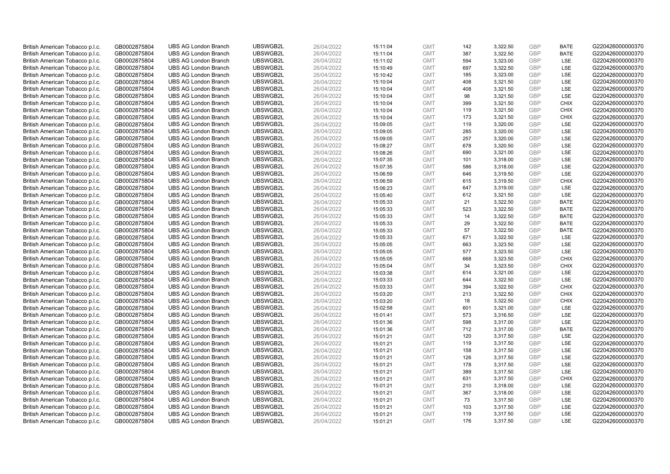| British American Tobacco p.l.c. | GB0002875804 | <b>UBS AG London Branch</b> | UBSWGB2L | 26/04/2022 | 15:11:04 | <b>GMT</b> | 142 | 3,322.50 | <b>GBP</b> | <b>BATE</b> | G220426000000370 |
|---------------------------------|--------------|-----------------------------|----------|------------|----------|------------|-----|----------|------------|-------------|------------------|
| British American Tobacco p.l.c. | GB0002875804 | <b>UBS AG London Branch</b> | UBSWGB2L | 26/04/2022 | 15:11:04 | <b>GMT</b> | 387 | 3,322.50 | <b>GBP</b> | <b>BATE</b> | G220426000000370 |
| British American Tobacco p.l.c. | GB0002875804 | <b>UBS AG London Branch</b> | UBSWGB2L | 26/04/2022 | 15:11:02 | <b>GMT</b> | 594 | 3,323.00 | <b>GBP</b> | LSE         | G220426000000370 |
| British American Tobacco p.l.c. | GB0002875804 | <b>UBS AG London Branch</b> | UBSWGB2L | 26/04/2022 | 15:10:49 | <b>GMT</b> | 697 | 3,322.50 | <b>GBP</b> | LSE         | G220426000000370 |
| British American Tobacco p.l.c. | GB0002875804 | <b>UBS AG London Branch</b> | UBSWGB2L | 26/04/2022 | 15:10:42 | <b>GMT</b> | 185 | 3,323.00 | <b>GBP</b> | LSE         | G220426000000370 |
| British American Tobacco p.l.c. | GB0002875804 | <b>UBS AG London Branch</b> | UBSWGB2L | 26/04/2022 | 15:10:04 | <b>GMT</b> | 408 | 3,321.50 | <b>GBP</b> | LSE         | G220426000000370 |
| British American Tobacco p.l.c. | GB0002875804 | <b>UBS AG London Branch</b> | UBSWGB2L | 26/04/2022 | 15:10:04 | <b>GMT</b> | 408 | 3,321.50 | <b>GBP</b> | LSE         | G220426000000370 |
| British American Tobacco p.l.c. | GB0002875804 | <b>UBS AG London Branch</b> | UBSWGB2L | 26/04/2022 | 15:10:04 | <b>GMT</b> | 98  | 3,321.50 | <b>GBP</b> | LSE         | G220426000000370 |
| British American Tobacco p.l.c. | GB0002875804 | <b>UBS AG London Branch</b> | UBSWGB2L | 26/04/2022 | 15:10:04 | <b>GMT</b> | 399 | 3,321.50 | <b>GBP</b> | <b>CHIX</b> | G220426000000370 |
| British American Tobacco p.l.c. | GB0002875804 | <b>UBS AG London Branch</b> | UBSWGB2L | 26/04/2022 | 15:10:04 | <b>GMT</b> | 119 | 3,321.50 | <b>GBP</b> | <b>CHIX</b> | G220426000000370 |
| British American Tobacco p.l.c. | GB0002875804 | <b>UBS AG London Branch</b> | UBSWGB2L | 26/04/2022 | 15:10:04 | <b>GMT</b> | 173 | 3,321.50 | <b>GBP</b> | <b>CHIX</b> | G220426000000370 |
| British American Tobacco p.l.c. | GB0002875804 | <b>UBS AG London Branch</b> | UBSWGB2L | 26/04/2022 | 15:09:05 | <b>GMT</b> | 119 | 3,320.00 | <b>GBP</b> | LSE         | G220426000000370 |
| British American Tobacco p.l.c. | GB0002875804 | <b>UBS AG London Branch</b> | UBSWGB2L | 26/04/2022 | 15:09:05 | <b>GMT</b> | 285 | 3,320.00 | <b>GBP</b> | LSE         | G220426000000370 |
| British American Tobacco p.l.c. | GB0002875804 | <b>UBS AG London Branch</b> | UBSWGB2L | 26/04/2022 | 15:09:05 | <b>GMT</b> | 257 | 3,320.00 | <b>GBP</b> | LSE         | G220426000000370 |
| British American Tobacco p.l.c. | GB0002875804 | <b>UBS AG London Branch</b> | UBSWGB2L | 26/04/2022 | 15:08:27 | <b>GMT</b> | 678 | 3,320.50 | GBP        | LSE         | G220426000000370 |
|                                 |              | <b>UBS AG London Branch</b> | UBSWGB2L |            |          | <b>GMT</b> | 690 |          | <b>GBP</b> | LSE         | G220426000000370 |
| British American Tobacco p.l.c. | GB0002875804 | <b>UBS AG London Branch</b> | UBSWGB2L | 26/04/2022 | 15:08:26 | <b>GMT</b> |     | 3,321.00 | <b>GBP</b> |             | G220426000000370 |
| British American Tobacco p.l.c. | GB0002875804 |                             |          | 26/04/2022 | 15:07:35 |            | 101 | 3,318.00 |            | LSE<br>LSE  |                  |
| British American Tobacco p.l.c. | GB0002875804 | <b>UBS AG London Branch</b> | UBSWGB2L | 26/04/2022 | 15:07:35 | <b>GMT</b> | 586 | 3,318.00 | <b>GBP</b> |             | G220426000000370 |
| British American Tobacco p.l.c. | GB0002875804 | <b>UBS AG London Branch</b> | UBSWGB2L | 26/04/2022 | 15:06:59 | <b>GMT</b> | 646 | 3,319.50 | <b>GBP</b> | <b>LSE</b>  | G220426000000370 |
| British American Tobacco p.l.c. | GB0002875804 | <b>UBS AG London Branch</b> | UBSWGB2L | 26/04/2022 | 15:06:59 | <b>GMT</b> | 615 | 3,319.50 | <b>GBP</b> | <b>CHIX</b> | G220426000000370 |
| British American Tobacco p.l.c. | GB0002875804 | <b>UBS AG London Branch</b> | UBSWGB2L | 26/04/2022 | 15:06:23 | <b>GMT</b> | 647 | 3,319.00 | <b>GBP</b> | LSE         | G220426000000370 |
| British American Tobacco p.l.c. | GB0002875804 | <b>UBS AG London Branch</b> | UBSWGB2L | 26/04/2022 | 15:05:40 | <b>GMT</b> | 612 | 3,321.50 | <b>GBP</b> | LSE         | G220426000000370 |
| British American Tobacco p.l.c. | GB0002875804 | <b>UBS AG London Branch</b> | UBSWGB2L | 26/04/2022 | 15:05:33 | <b>GMT</b> | 21  | 3,322.50 | <b>GBP</b> | <b>BATE</b> | G220426000000370 |
| British American Tobacco p.l.c. | GB0002875804 | <b>UBS AG London Branch</b> | UBSWGB2L | 26/04/2022 | 15:05:33 | <b>GMT</b> | 523 | 3,322.50 | <b>GBP</b> | <b>BATE</b> | G220426000000370 |
| British American Tobacco p.l.c. | GB0002875804 | <b>UBS AG London Branch</b> | UBSWGB2L | 26/04/2022 | 15:05:33 | <b>GMT</b> | 14  | 3,322.50 | <b>GBP</b> | <b>BATE</b> | G220426000000370 |
| British American Tobacco p.l.c. | GB0002875804 | <b>UBS AG London Branch</b> | UBSWGB2L | 26/04/2022 | 15:05:33 | <b>GMT</b> | 29  | 3,322.50 | <b>GBP</b> | <b>BATE</b> | G220426000000370 |
| British American Tobacco p.l.c. | GB0002875804 | <b>UBS AG London Branch</b> | UBSWGB2L | 26/04/2022 | 15:05:33 | <b>GMT</b> | 57  | 3,322.50 | <b>GBP</b> | <b>BATE</b> | G220426000000370 |
| British American Tobacco p.l.c. | GB0002875804 | <b>UBS AG London Branch</b> | UBSWGB2L | 26/04/2022 | 15:05:33 | <b>GMT</b> | 671 | 3,322.50 | <b>GBP</b> | LSE         | G220426000000370 |
| British American Tobacco p.l.c. | GB0002875804 | <b>UBS AG London Branch</b> | UBSWGB2L | 26/04/2022 | 15:05:05 | <b>GMT</b> | 663 | 3,323.50 | <b>GBP</b> | LSE         | G220426000000370 |
| British American Tobacco p.l.c. | GB0002875804 | <b>UBS AG London Branch</b> | UBSWGB2L | 26/04/2022 | 15:05:05 | <b>GMT</b> | 577 | 3,323.50 | <b>GBP</b> | LSE         | G220426000000370 |
| British American Tobacco p.l.c. | GB0002875804 | <b>UBS AG London Branch</b> | UBSWGB2L | 26/04/2022 | 15:05:05 | <b>GMT</b> | 668 | 3,323.50 | <b>GBP</b> | <b>CHIX</b> | G220426000000370 |
| British American Tobacco p.l.c. | GB0002875804 | <b>UBS AG London Branch</b> | UBSWGB2L | 26/04/2022 | 15:05:04 | <b>GMT</b> | 34  | 3,323.50 | <b>GBP</b> | <b>CHIX</b> | G220426000000370 |
| British American Tobacco p.l.c. | GB0002875804 | <b>UBS AG London Branch</b> | UBSWGB2L | 26/04/2022 | 15:03:38 | <b>GMT</b> | 614 | 3,321.00 | <b>GBP</b> | LSE         | G220426000000370 |
| British American Tobacco p.l.c. | GB0002875804 | <b>UBS AG London Branch</b> | UBSWGB2L | 26/04/2022 | 15:03:33 | <b>GMT</b> | 644 | 3,322.50 | <b>GBP</b> | LSE         | G220426000000370 |
| British American Tobacco p.l.c. | GB0002875804 | <b>UBS AG London Branch</b> | UBSWGB2L | 26/04/2022 | 15:03:33 | <b>GMT</b> | 394 | 3,322.50 | <b>GBP</b> | <b>CHIX</b> | G220426000000370 |
| British American Tobacco p.l.c. | GB0002875804 | <b>UBS AG London Branch</b> | UBSWGB2L | 26/04/2022 | 15:03:20 | <b>GMT</b> | 213 | 3,322.50 | <b>GBP</b> | <b>CHIX</b> | G220426000000370 |
| British American Tobacco p.l.c. | GB0002875804 | <b>UBS AG London Branch</b> | UBSWGB2L | 26/04/2022 | 15:03:20 | <b>GMT</b> | 18  | 3,322.50 | <b>GBP</b> | <b>CHIX</b> | G220426000000370 |
| British American Tobacco p.l.c. | GB0002875804 | <b>UBS AG London Branch</b> | UBSWGB2L | 26/04/2022 | 15:02:58 | <b>GMT</b> | 601 | 3,321.00 | <b>GBP</b> | LSE         | G220426000000370 |
| British American Tobacco p.l.c. | GB0002875804 | <b>UBS AG London Branch</b> | UBSWGB2L | 26/04/2022 | 15:01:41 | <b>GMT</b> | 573 | 3,316.50 | <b>GBP</b> | LSE         | G220426000000370 |
| British American Tobacco p.l.c. | GB0002875804 | <b>UBS AG London Branch</b> | UBSWGB2L | 26/04/2022 | 15:01:36 | <b>GMT</b> | 598 | 3,317.00 | <b>GBP</b> | LSE         | G220426000000370 |
| British American Tobacco p.l.c. | GB0002875804 | <b>UBS AG London Branch</b> | UBSWGB2L | 26/04/2022 | 15:01:36 | <b>GMT</b> | 712 | 3,317.00 | <b>GBP</b> | <b>BATE</b> | G220426000000370 |
| British American Tobacco p.l.c. | GB0002875804 | <b>UBS AG London Branch</b> | UBSWGB2L | 26/04/2022 | 15:01:21 | <b>GMT</b> | 120 | 3,317.50 | <b>GBP</b> | LSE         | G220426000000370 |
| British American Tobacco p.l.c. | GB0002875804 | <b>UBS AG London Branch</b> | UBSWGB2L | 26/04/2022 | 15:01:21 | <b>GMT</b> | 119 | 3,317.50 | <b>GBP</b> | LSE         | G220426000000370 |
| British American Tobacco p.l.c. | GB0002875804 | <b>UBS AG London Branch</b> | UBSWGB2L | 26/04/2022 | 15:01:21 | <b>GMT</b> | 158 | 3,317.50 | <b>GBP</b> | LSE         | G220426000000370 |
| British American Tobacco p.l.c. | GB0002875804 | <b>UBS AG London Branch</b> | UBSWGB2L | 26/04/2022 | 15:01:21 | <b>GMT</b> | 126 | 3,317.50 | <b>GBP</b> | LSE         | G220426000000370 |
| British American Tobacco p.l.c. | GB0002875804 | <b>UBS AG London Branch</b> | UBSWGB2L | 26/04/2022 | 15:01:21 | <b>GMT</b> | 178 | 3,317.50 | <b>GBP</b> | LSE         | G220426000000370 |
| British American Tobacco p.l.c. | GB0002875804 | <b>UBS AG London Branch</b> | UBSWGB2L | 26/04/2022 | 15:01:21 | <b>GMT</b> | 389 | 3,317.50 | <b>GBP</b> | LSE         | G220426000000370 |
| British American Tobacco p.l.c. | GB0002875804 | <b>UBS AG London Branch</b> | UBSWGB2L | 26/04/2022 | 15:01:21 | <b>GMT</b> | 631 | 3,317.50 | <b>GBP</b> | <b>CHIX</b> | G220426000000370 |
| British American Tobacco p.l.c. | GB0002875804 | <b>UBS AG London Branch</b> | UBSWGB2L | 26/04/2022 | 15:01:21 | <b>GMT</b> | 210 | 3,318.00 | <b>GBP</b> | <b>LSE</b>  | G220426000000370 |
| British American Tobacco p.l.c. | GB0002875804 | <b>UBS AG London Branch</b> | UBSWGB2L | 26/04/2022 | 15:01:21 | <b>GMT</b> | 367 | 3,318.00 | <b>GBP</b> | LSE         | G220426000000370 |
| British American Tobacco p.l.c. | GB0002875804 | <b>UBS AG London Branch</b> | UBSWGB2L | 26/04/2022 | 15:01:21 | <b>GMT</b> | 73  | 3,317.50 | <b>GBP</b> | LSE         | G220426000000370 |
| British American Tobacco p.l.c. | GB0002875804 | <b>UBS AG London Branch</b> | UBSWGB2L | 26/04/2022 | 15:01:21 | <b>GMT</b> | 103 | 3,317.50 | <b>GBP</b> | LSE         | G220426000000370 |
| British American Tobacco p.l.c. | GB0002875804 | <b>UBS AG London Branch</b> | UBSWGB2L | 26/04/2022 | 15:01:21 | <b>GMT</b> | 119 | 3,317.50 | <b>GBP</b> | LSE         | G220426000000370 |
| British American Tobacco p.l.c. | GB0002875804 | <b>UBS AG London Branch</b> | UBSWGB2L | 26/04/2022 | 15:01:21 | <b>GMT</b> | 176 | 3.317.50 | GBP        | LSE         | G220426000000370 |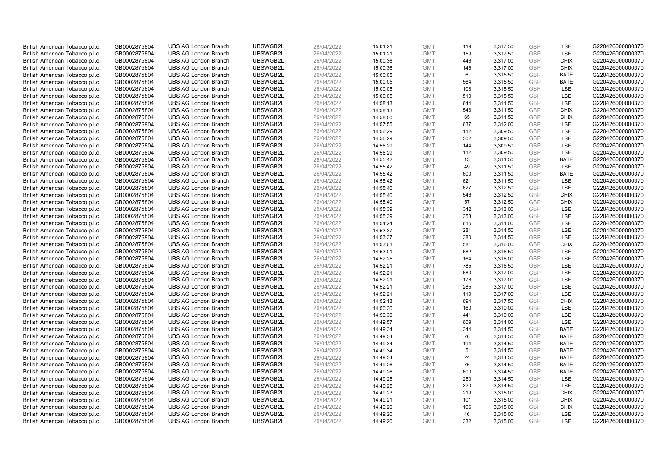| British American Tobacco p.l.c. | GB0002875804 | <b>UBS AG London Branch</b> | UBSWGB2L | 26/04/2022 | 15:01:21 | <b>GMT</b> | 119 | 3,317.50 | <b>GBP</b>               | LSE         | G220426000000370 |
|---------------------------------|--------------|-----------------------------|----------|------------|----------|------------|-----|----------|--------------------------|-------------|------------------|
| British American Tobacco p.l.c. | GB0002875804 | <b>UBS AG London Branch</b> | UBSWGB2L | 26/04/2022 | 15:01:21 | <b>GMT</b> | 159 | 3,317.50 | <b>GBP</b>               | LSE         | G220426000000370 |
| British American Tobacco p.l.c. | GB0002875804 | <b>UBS AG London Branch</b> | UBSWGB2L | 26/04/2022 | 15:00:36 | <b>GMT</b> | 446 | 3,317.00 | <b>GBP</b>               | <b>CHIX</b> | G220426000000370 |
| British American Tobacco p.l.c. | GB0002875804 | <b>UBS AG London Branch</b> | UBSWGB2L | 26/04/2022 | 15:00:36 | <b>GMT</b> | 146 | 3,317.00 | <b>GBP</b>               | <b>CHIX</b> | G220426000000370 |
| British American Tobacco p.l.c. | GB0002875804 | <b>UBS AG London Branch</b> | UBSWGB2L | 26/04/2022 |          | <b>GMT</b> | 6   | 3,315.50 | <b>GBP</b>               | <b>BATE</b> | G220426000000370 |
|                                 |              |                             |          |            | 15:00:05 |            |     |          |                          |             |                  |
| British American Tobacco p.l.c. | GB0002875804 | <b>UBS AG London Branch</b> | UBSWGB2L | 26/04/2022 | 15:00:05 | <b>GMT</b> | 564 | 3,315.50 | <b>GBP</b>               | <b>BATE</b> | G220426000000370 |
| British American Tobacco p.l.c. | GB0002875804 | <b>UBS AG London Branch</b> | UBSWGB2L | 26/04/2022 | 15:00:05 | <b>GMT</b> | 108 | 3,315.50 | <b>GBP</b>               | LSE         | G220426000000370 |
| British American Tobacco p.l.c. | GB0002875804 | <b>UBS AG London Branch</b> | UBSWGB2L | 26/04/2022 | 15:00:05 | <b>GMT</b> | 510 | 3,315.50 | <b>GBP</b>               | LSE         | G220426000000370 |
| British American Tobacco p.l.c. | GB0002875804 | <b>UBS AG London Branch</b> | UBSWGB2L | 26/04/2022 | 14:58:13 | <b>GMT</b> | 644 | 3,311.50 | <b>GBP</b>               | LSE         | G220426000000370 |
| British American Tobacco p.l.c. | GB0002875804 | <b>UBS AG London Branch</b> | UBSWGB2L | 26/04/2022 | 14:58:13 | <b>GMT</b> | 543 | 3,311.50 | <b>GBP</b>               | <b>CHIX</b> | G220426000000370 |
| British American Tobacco p.l.c. | GB0002875804 | <b>UBS AG London Branch</b> | UBSWGB2L | 26/04/2022 | 14:58:00 | <b>GMT</b> | 65  | 3,311.50 | <b>GBP</b>               | <b>CHIX</b> | G220426000000370 |
| British American Tobacco p.l.c. | GB0002875804 | <b>UBS AG London Branch</b> | UBSWGB2L | 26/04/2022 | 14:57:55 | <b>GMT</b> | 637 | 3,312.00 | <b>GBP</b>               | LSE         | G220426000000370 |
| British American Tobacco p.l.c. | GB0002875804 | <b>UBS AG London Branch</b> | UBSWGB2L | 26/04/2022 | 14:56:29 | <b>GMT</b> | 112 | 3,309.50 | <b>GBP</b>               | LSE         | G220426000000370 |
| British American Tobacco p.l.c. | GB0002875804 | <b>UBS AG London Branch</b> | UBSWGB2L | 26/04/2022 | 14:56:29 | <b>GMT</b> | 302 | 3,309.50 | <b>GBP</b>               | LSE         | G220426000000370 |
| British American Tobacco p.l.c. | GB0002875804 | <b>UBS AG London Branch</b> | UBSWGB2L | 26/04/2022 | 14:56:29 | <b>GMT</b> | 144 | 3,309.50 | <b>GBP</b>               | LSE         | G220426000000370 |
| British American Tobacco p.l.c. | GB0002875804 | <b>UBS AG London Branch</b> | UBSWGB2L | 26/04/2022 | 14:56:29 | <b>GMT</b> | 112 | 3,309.50 | <b>GBP</b>               | LSE         | G220426000000370 |
| British American Tobacco p.l.c. | GB0002875804 | <b>UBS AG London Branch</b> | UBSWGB2L | 26/04/2022 | 14:55:42 | <b>GMT</b> | 13  | 3,311.50 | <b>GBP</b>               | <b>BATE</b> | G220426000000370 |
| British American Tobacco p.l.c. | GB0002875804 | <b>UBS AG London Branch</b> | UBSWGB2L | 26/04/2022 | 14:55:42 | <b>GMT</b> | 49  | 3,311.50 | <b>GBP</b>               | LSE         | G220426000000370 |
| British American Tobacco p.l.c. | GB0002875804 | <b>UBS AG London Branch</b> | UBSWGB2L | 26/04/2022 | 14:55:42 | <b>GMT</b> | 600 | 3,311.50 | <b>GBP</b>               | <b>BATE</b> | G220426000000370 |
| British American Tobacco p.l.c. | GB0002875804 | <b>UBS AG London Branch</b> | UBSWGB2L | 26/04/2022 | 14:55:42 | <b>GMT</b> | 621 | 3,311.50 | <b>GBP</b>               | LSE         | G220426000000370 |
| British American Tobacco p.l.c. | GB0002875804 | <b>UBS AG London Branch</b> | UBSWGB2L | 26/04/2022 | 14:55:40 | <b>GMT</b> | 627 | 3,312.50 | <b>GBP</b>               | LSE         | G220426000000370 |
| British American Tobacco p.l.c. | GB0002875804 | <b>UBS AG London Branch</b> | UBSWGB2L | 26/04/2022 | 14:55:40 | <b>GMT</b> | 546 | 3,312.50 | <b>GBP</b>               | <b>CHIX</b> | G220426000000370 |
| British American Tobacco p.l.c. | GB0002875804 | <b>UBS AG London Branch</b> | UBSWGB2L | 26/04/2022 | 14:55:40 | <b>GMT</b> | 57  | 3,312.50 | <b>GBP</b>               | <b>CHIX</b> | G220426000000370 |
| British American Tobacco p.l.c. | GB0002875804 | <b>UBS AG London Branch</b> | UBSWGB2L | 26/04/2022 | 14:55:39 | <b>GMT</b> | 342 | 3,313.00 | <b>GBP</b>               | LSE         | G220426000000370 |
| British American Tobacco p.l.c. | GB0002875804 | <b>UBS AG London Branch</b> | UBSWGB2L | 26/04/2022 | 14:55:39 | <b>GMT</b> | 353 | 3,313.00 | <b>GBP</b>               | LSE         | G220426000000370 |
| British American Tobacco p.l.c. | GB0002875804 | <b>UBS AG London Branch</b> | UBSWGB2L | 26/04/2022 | 14:54:24 | <b>GMT</b> | 615 | 3,311.00 | <b>GBP</b>               | LSE         | G220426000000370 |
| British American Tobacco p.l.c. | GB0002875804 | <b>UBS AG London Branch</b> | UBSWGB2L | 26/04/2022 | 14:53:37 | <b>GMT</b> | 281 | 3,314.50 | <b>GBP</b>               | LSE         | G220426000000370 |
| British American Tobacco p.l.c. | GB0002875804 | <b>UBS AG London Branch</b> | UBSWGB2L | 26/04/2022 | 14:53:37 | <b>GMT</b> | 380 | 3,314.50 | <b>GBP</b>               | LSE         | G220426000000370 |
| British American Tobacco p.l.c. | GB0002875804 | <b>UBS AG London Branch</b> | UBSWGB2L | 26/04/2022 | 14:53:01 | <b>GMT</b> | 581 | 3,316.00 | <b>GBP</b>               | <b>CHIX</b> | G220426000000370 |
| British American Tobacco p.l.c. | GB0002875804 | <b>UBS AG London Branch</b> | UBSWGB2L | 26/04/2022 | 14:53:01 | <b>GMT</b> | 682 | 3,316.50 | <b>GBP</b>               | LSE         | G220426000000370 |
| British American Tobacco p.l.c. | GB0002875804 | <b>UBS AG London Branch</b> | UBSWGB2L | 26/04/2022 | 14:52:25 | <b>GMT</b> | 164 | 3,316.00 | <b>GBP</b>               | LSE         | G220426000000370 |
| British American Tobacco p.l.c. | GB0002875804 | <b>UBS AG London Branch</b> | UBSWGB2L | 26/04/2022 | 14:52:21 | <b>GMT</b> | 785 | 3,316.50 | <b>GBP</b>               | LSE         | G220426000000370 |
| British American Tobacco p.l.c. | GB0002875804 | <b>UBS AG London Branch</b> | UBSWGB2L | 26/04/2022 | 14:52:21 | <b>GMT</b> | 680 | 3,317.00 | <b>GBP</b>               | LSE         | G220426000000370 |
| British American Tobacco p.l.c. | GB0002875804 | <b>UBS AG London Branch</b> | UBSWGB2L | 26/04/2022 | 14:52:21 | <b>GMT</b> | 176 | 3,317.00 | <b>GBP</b>               | LSE         | G220426000000370 |
| British American Tobacco p.l.c. | GB0002875804 | <b>UBS AG London Branch</b> | UBSWGB2L | 26/04/2022 | 14:52:21 | <b>GMT</b> | 285 | 3,317.00 | <b>GBP</b>               | LSE         | G220426000000370 |
| British American Tobacco p.l.c. | GB0002875804 | <b>UBS AG London Branch</b> | UBSWGB2L | 26/04/2022 | 14:52:21 | <b>GMT</b> | 119 | 3,317.00 | <b>GBP</b>               | LSE         | G220426000000370 |
| British American Tobacco p.l.c. | GB0002875804 | <b>UBS AG London Branch</b> | UBSWGB2L | 26/04/2022 | 14:52:13 | <b>GMT</b> | 694 | 3,317.50 | <b>GBP</b>               | <b>CHIX</b> | G220426000000370 |
| British American Tobacco p.l.c. | GB0002875804 | <b>UBS AG London Branch</b> | UBSWGB2L | 26/04/2022 | 14:50:30 | <b>GMT</b> | 160 | 3,310.00 | <b>GBP</b>               | LSE         | G220426000000370 |
|                                 |              | <b>UBS AG London Branch</b> | UBSWGB2L |            |          | <b>GMT</b> | 441 | 3,310.00 | <b>GBP</b>               | LSE         | G220426000000370 |
| British American Tobacco p.l.c. | GB0002875804 |                             |          | 26/04/2022 | 14:50:30 |            |     |          |                          |             |                  |
| British American Tobacco p.l.c. | GB0002875804 | <b>UBS AG London Branch</b> | UBSWGB2L | 26/04/2022 | 14:49:57 | <b>GMT</b> | 609 | 3,314.00 | <b>GBP</b><br><b>GBP</b> | LSE         | G220426000000370 |
| British American Tobacco p.l.c. | GB0002875804 | <b>UBS AG London Branch</b> | UBSWGB2L | 26/04/2022 | 14:49:34 | <b>GMT</b> | 344 | 3,314.50 |                          | <b>BATE</b> | G220426000000370 |
| British American Tobacco p.l.c. | GB0002875804 | <b>UBS AG London Branch</b> | UBSWGB2L | 26/04/2022 | 14:49:34 | <b>GMT</b> | 76  | 3,314.50 | <b>GBP</b>               | <b>BATE</b> | G220426000000370 |
| British American Tobacco p.l.c. | GB0002875804 | <b>UBS AG London Branch</b> | UBSWGB2L | 26/04/2022 | 14:49:34 | <b>GMT</b> | 194 | 3,314.50 | <b>GBP</b>               | <b>BATE</b> | G220426000000370 |
| British American Tobacco p.l.c. | GB0002875804 | <b>UBS AG London Branch</b> | UBSWGB2L | 26/04/2022 | 14:49:34 | <b>GMT</b> | 5   | 3,314.50 | <b>GBP</b>               | <b>BATE</b> | G220426000000370 |
| British American Tobacco p.l.c. | GB0002875804 | <b>UBS AG London Branch</b> | UBSWGB2L | 26/04/2022 | 14:49:34 | <b>GMT</b> | 24  | 3,314.50 | <b>GBP</b>               | <b>BATE</b> | G220426000000370 |
| British American Tobacco p.l.c. | GB0002875804 | <b>UBS AG London Branch</b> | UBSWGB2L | 26/04/2022 | 14:49:26 | <b>GMT</b> | 76  | 3,314.50 | <b>GBP</b>               | <b>BATE</b> | G220426000000370 |
| British American Tobacco p.l.c. | GB0002875804 | <b>UBS AG London Branch</b> | UBSWGB2L | 26/04/2022 | 14:49:26 | <b>GMT</b> | 600 | 3,314.50 | <b>GBP</b>               | <b>BATE</b> | G220426000000370 |
| British American Tobacco p.l.c. | GB0002875804 | <b>UBS AG London Branch</b> | UBSWGB2L | 26/04/2022 | 14:49:25 | <b>GMT</b> | 250 | 3,314.50 | <b>GBP</b>               | LSE         | G220426000000370 |
| British American Tobacco p.l.c. | GB0002875804 | <b>UBS AG London Branch</b> | UBSWGB2L | 26/04/2022 | 14:49:25 | <b>GMT</b> | 320 | 3,314.50 | <b>GBP</b>               | LSE         | G220426000000370 |
| British American Tobacco p.l.c. | GB0002875804 | <b>UBS AG London Branch</b> | UBSWGB2L | 26/04/2022 | 14:49:23 | <b>GMT</b> | 219 | 3,315.00 | <b>GBP</b>               | <b>CHIX</b> | G220426000000370 |
| British American Tobacco p.l.c. | GB0002875804 | <b>UBS AG London Branch</b> | UBSWGB2L | 26/04/2022 | 14:49:21 | <b>GMT</b> | 101 | 3,315.00 | <b>GBP</b>               | <b>CHIX</b> | G220426000000370 |
| British American Tobacco p.l.c. | GB0002875804 | <b>UBS AG London Branch</b> | UBSWGB2L | 26/04/2022 | 14:49:20 | <b>GMT</b> | 106 | 3,315.00 | <b>GBP</b>               | <b>CHIX</b> | G220426000000370 |
| British American Tobacco p.l.c. | GB0002875804 | <b>UBS AG London Branch</b> | UBSWGB2L | 26/04/2022 | 14:49:20 | <b>GMT</b> | 46  | 3,315.00 | <b>GBP</b>               | LSE         | G220426000000370 |
| British American Tobacco p.l.c. | GB0002875804 | <b>UBS AG London Branch</b> | UBSWGB2L | 26/04/2022 | 14:49:20 | <b>GMT</b> | 332 | 3.315.00 | GBP                      | <b>LSE</b>  | G220426000000370 |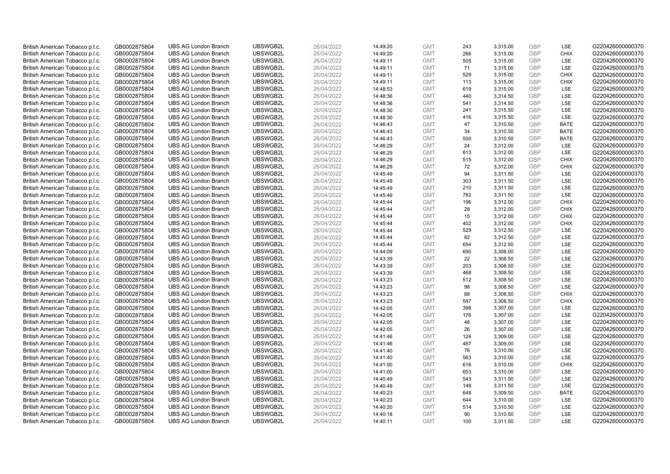| British American Tobacco p.l.c. | GB0002875804 | <b>UBS AG London Branch</b> | UBSWGB2L | 26/04/2022 | 14:49:20 | <b>GMT</b> | 243 | 3,315.00             | <b>GBP</b>               | LSE         | G220426000000370 |
|---------------------------------|--------------|-----------------------------|----------|------------|----------|------------|-----|----------------------|--------------------------|-------------|------------------|
| British American Tobacco p.l.c. | GB0002875804 | <b>UBS AG London Branch</b> | UBSWGB2L | 26/04/2022 | 14:49:20 | <b>GMT</b> | 266 | 3,315.00             | <b>GBP</b>               | <b>CHIX</b> | G220426000000370 |
| British American Tobacco p.l.c. | GB0002875804 | <b>UBS AG London Branch</b> | UBSWGB2L | 26/04/2022 | 14:49:11 | <b>GMT</b> | 505 | 3,315.00             | <b>GBP</b>               | LSE         | G220426000000370 |
| British American Tobacco p.l.c. | GB0002875804 | <b>UBS AG London Branch</b> | UBSWGB2L | 26/04/2022 | 14:49:11 | <b>GMT</b> | 71  |                      | <b>GBP</b>               | LSE         | G220426000000370 |
| British American Tobacco p.l.c. | GB0002875804 | <b>UBS AG London Branch</b> | UBSWGB2L | 26/04/2022 |          | <b>GMT</b> | 529 | 3,315.00<br>3,315.00 | <b>GBP</b>               | <b>CHIX</b> | G220426000000370 |
|                                 |              |                             |          |            | 14:49:11 |            |     |                      |                          |             |                  |
| British American Tobacco p.l.c. | GB0002875804 | <b>UBS AG London Branch</b> | UBSWGB2L | 26/04/2022 | 14:49:11 | <b>GMT</b> | 113 | 3,315.00             | <b>GBP</b>               | <b>CHIX</b> | G220426000000370 |
| British American Tobacco p.l.c. | GB0002875804 | <b>UBS AG London Branch</b> | UBSWGB2L | 26/04/2022 | 14:48:53 | <b>GMT</b> | 619 | 3,315.00             | <b>GBP</b>               | LSE         | G220426000000370 |
| British American Tobacco p.l.c. | GB0002875804 | <b>UBS AG London Branch</b> | UBSWGB2L | 26/04/2022 | 14:48:36 | <b>GMT</b> | 440 | 3,314.50             | <b>GBP</b>               | LSE         | G220426000000370 |
| British American Tobacco p.l.c. | GB0002875804 | <b>UBS AG London Branch</b> | UBSWGB2L | 26/04/2022 | 14:48:36 | <b>GMT</b> | 541 | 3,314.50             | <b>GBP</b>               | LSE         | G220426000000370 |
| British American Tobacco p.l.c. | GB0002875804 | <b>UBS AG London Branch</b> | UBSWGB2L | 26/04/2022 | 14:48:30 | <b>GMT</b> | 241 | 3,315.50             | <b>GBP</b>               | LSE         | G220426000000370 |
| British American Tobacco p.l.c. | GB0002875804 | <b>UBS AG London Branch</b> | UBSWGB2L | 26/04/2022 | 14:48:30 | <b>GMT</b> | 416 | 3,315.50             | <b>GBP</b>               | LSE         | G220426000000370 |
| British American Tobacco p.l.c. | GB0002875804 | <b>UBS AG London Branch</b> | UBSWGB2L | 26/04/2022 | 14:46:43 | <b>GMT</b> | 47  | 3,310.50             | <b>GBP</b>               | <b>BATE</b> | G220426000000370 |
| British American Tobacco p.l.c. | GB0002875804 | <b>UBS AG London Branch</b> | UBSWGB2L | 26/04/2022 | 14:46:43 | <b>GMT</b> | 34  | 3,310.50             | <b>GBP</b>               | <b>BATE</b> | G220426000000370 |
| British American Tobacco p.l.c. | GB0002875804 | <b>UBS AG London Branch</b> | UBSWGB2L | 26/04/2022 | 14:46:43 | <b>GMT</b> | 500 | 3,310.50             | <b>GBP</b>               | <b>BATE</b> | G220426000000370 |
| British American Tobacco p.l.c. | GB0002875804 | <b>UBS AG London Branch</b> | UBSWGB2L | 26/04/2022 | 14:46:29 | <b>GMT</b> | 24  | 3,312.00             | <b>GBP</b>               | LSE         | G220426000000370 |
| British American Tobacco p.l.c. | GB0002875804 | <b>UBS AG London Branch</b> | UBSWGB2L | 26/04/2022 | 14:46:29 | <b>GMT</b> | 613 | 3,312.00             | <b>GBP</b>               | LSE         | G220426000000370 |
| British American Tobacco p.l.c. | GB0002875804 | <b>UBS AG London Branch</b> | UBSWGB2L | 26/04/2022 | 14:46:29 | <b>GMT</b> | 515 | 3,312.00             | <b>GBP</b>               | <b>CHIX</b> | G220426000000370 |
| British American Tobacco p.l.c. | GB0002875804 | <b>UBS AG London Branch</b> | UBSWGB2L | 26/04/2022 | 14:46:29 | <b>GMT</b> | 72  | 3,312.00             | <b>GBP</b>               | <b>CHIX</b> | G220426000000370 |
| British American Tobacco p.l.c. | GB0002875804 | <b>UBS AG London Branch</b> | UBSWGB2L | 26/04/2022 | 14:45:49 | <b>GMT</b> | 94  | 3,311.50             | <b>GBP</b>               | <b>LSE</b>  | G220426000000370 |
| British American Tobacco p.l.c. | GB0002875804 | <b>UBS AG London Branch</b> | UBSWGB2L | 26/04/2022 | 14:45:49 | <b>GMT</b> | 303 | 3,311.50             | <b>GBP</b>               | LSE         | G220426000000370 |
| British American Tobacco p.l.c. | GB0002875804 | <b>UBS AG London Branch</b> | UBSWGB2L | 26/04/2022 | 14:45:49 | <b>GMT</b> | 210 | 3,311.50             | <b>GBP</b>               | LSE         | G220426000000370 |
| British American Tobacco p.l.c. | GB0002875804 | <b>UBS AG London Branch</b> | UBSWGB2L | 26/04/2022 | 14:45:49 | <b>GMT</b> | 782 | 3,311.50             | <b>GBP</b>               | LSE         | G220426000000370 |
| British American Tobacco p.l.c. | GB0002875804 | <b>UBS AG London Branch</b> | UBSWGB2L | 26/04/2022 | 14:45:44 | <b>GMT</b> | 196 | 3,312.00             | <b>GBP</b>               | <b>CHIX</b> | G220426000000370 |
| British American Tobacco p.l.c. | GB0002875804 | <b>UBS AG London Branch</b> | UBSWGB2L | 26/04/2022 | 14:45:44 | <b>GMT</b> | 28  | 3,312.00             | <b>GBP</b>               | <b>CHIX</b> | G220426000000370 |
| British American Tobacco p.l.c. | GB0002875804 | <b>UBS AG London Branch</b> | UBSWGB2L | 26/04/2022 | 14:45:44 | <b>GMT</b> | 15  | 3,312.00             | <b>GBP</b>               | <b>CHIX</b> | G220426000000370 |
| British American Tobacco p.l.c. | GB0002875804 | <b>UBS AG London Branch</b> | UBSWGB2L | 26/04/2022 | 14:45:44 | <b>GMT</b> | 402 | 3,312.00             | <b>GBP</b>               | <b>CHIX</b> | G220426000000370 |
| British American Tobacco p.l.c. | GB0002875804 | <b>UBS AG London Branch</b> | UBSWGB2L | 26/04/2022 | 14:45:44 | <b>GMT</b> | 529 | 3,312.50             | <b>GBP</b>               | LSE         | G220426000000370 |
| British American Tobacco p.l.c. | GB0002875804 | <b>UBS AG London Branch</b> | UBSWGB2L | 26/04/2022 | 14:45:44 | <b>GMT</b> | 82  | 3,312.50             | <b>GBP</b>               | LSE         | G220426000000370 |
| British American Tobacco p.l.c. | GB0002875804 | <b>UBS AG London Branch</b> | UBSWGB2L | 26/04/2022 | 14:45:44 | <b>GMT</b> | 654 | 3,312.50             | <b>GBP</b>               | LSE         | G220426000000370 |
| British American Tobacco p.l.c. | GB0002875804 | <b>UBS AG London Branch</b> | UBSWGB2L | 26/04/2022 | 14:44:09 | <b>GMT</b> | 690 | 3,308.00             | <b>GBP</b>               | LSE         | G220426000000370 |
| British American Tobacco p.l.c. | GB0002875804 | <b>UBS AG London Branch</b> | UBSWGB2L | 26/04/2022 | 14:43:39 | <b>GMT</b> | 22  | 3,308.50             | <b>GBP</b>               | LSE         | G220426000000370 |
| British American Tobacco p.l.c. | GB0002875804 | <b>UBS AG London Branch</b> | UBSWGB2L | 26/04/2022 | 14:43:39 | <b>GMT</b> | 203 | 3,308.50             | <b>GBP</b>               | LSE         | G220426000000370 |
| British American Tobacco p.l.c. | GB0002875804 | <b>UBS AG London Branch</b> | UBSWGB2L | 26/04/2022 | 14:43:39 | <b>GMT</b> | 468 | 3,308.50             | <b>GBP</b>               | LSE         | G220426000000370 |
| British American Tobacco p.l.c. | GB0002875804 | <b>UBS AG London Branch</b> | UBSWGB2L | 26/04/2022 | 14:43:23 | <b>GMT</b> | 512 | 3,308.50             | <b>GBP</b>               | LSE         | G220426000000370 |
| British American Tobacco p.l.c. | GB0002875804 | <b>UBS AG London Branch</b> | UBSWGB2L | 26/04/2022 | 14:43:23 | <b>GMT</b> | 98  | 3,308.50             | <b>GBP</b>               | LSE         | G220426000000370 |
| British American Tobacco p.l.c. | GB0002875804 | <b>UBS AG London Branch</b> | UBSWGB2L | 26/04/2022 | 14:43:23 | <b>GMT</b> | 88  | 3,308.50             | <b>GBP</b>               | <b>CHIX</b> | G220426000000370 |
| British American Tobacco p.l.c. | GB0002875804 | <b>UBS AG London Branch</b> | UBSWGB2L | 26/04/2022 | 14:43:23 | <b>GMT</b> | 597 | 3,308.50             | <b>GBP</b>               | <b>CHIX</b> | G220426000000370 |
| British American Tobacco p.l.c. | GB0002875804 | <b>UBS AG London Branch</b> | UBSWGB2L | 26/04/2022 |          | <b>GMT</b> | 398 | 3,307.00             | <b>GBP</b>               | LSE         | G220426000000370 |
|                                 |              | <b>UBS AG London Branch</b> | UBSWGB2L |            | 14:42:05 | <b>GMT</b> | 176 |                      | <b>GBP</b>               | LSE         | G220426000000370 |
| British American Tobacco p.l.c. | GB0002875804 |                             |          | 26/04/2022 | 14:42:05 |            |     | 3,307.00             |                          |             |                  |
| British American Tobacco p.l.c. | GB0002875804 | <b>UBS AG London Branch</b> | UBSWGB2L | 26/04/2022 | 14:42:05 | <b>GMT</b> | 48  | 3,307.00             | <b>GBP</b><br><b>GBP</b> | LSE<br>LSE  | G220426000000370 |
| British American Tobacco p.l.c. | GB0002875804 | <b>UBS AG London Branch</b> | UBSWGB2L | 26/04/2022 | 14:42:05 | <b>GMT</b> | 26  | 3,307.00             |                          |             | G220426000000370 |
| British American Tobacco p.l.c. | GB0002875804 | <b>UBS AG London Branch</b> | UBSWGB2L | 26/04/2022 | 14:41:46 | <b>GMT</b> | 124 | 3,309.00             | <b>GBP</b>               | LSE         | G220426000000370 |
| British American Tobacco p.l.c. | GB0002875804 | <b>UBS AG London Branch</b> | UBSWGB2L | 26/04/2022 | 14:41:46 | <b>GMT</b> | 487 | 3,309.00             | <b>GBP</b>               | LSE         | G220426000000370 |
| British American Tobacco p.l.c. | GB0002875804 | <b>UBS AG London Branch</b> | UBSWGB2L | 26/04/2022 | 14:41:40 | <b>GMT</b> | 76  | 3,310.00             | <b>GBP</b>               | LSE         | G220426000000370 |
| British American Tobacco p.l.c. | GB0002875804 | <b>UBS AG London Branch</b> | UBSWGB2L | 26/04/2022 | 14:41:40 | <b>GMT</b> | 563 | 3,310.00             | <b>GBP</b>               | LSE         | G220426000000370 |
| British American Tobacco p.l.c. | GB0002875804 | <b>UBS AG London Branch</b> | UBSWGB2L | 26/04/2022 | 14:41:00 | <b>GMT</b> | 616 | 3,310.00             | <b>GBP</b>               | <b>CHIX</b> | G220426000000370 |
| British American Tobacco p.l.c. | GB0002875804 | <b>UBS AG London Branch</b> | UBSWGB2L | 26/04/2022 | 14:41:00 | <b>GMT</b> | 653 | 3,310.00             | <b>GBP</b>               | LSE         | G220426000000370 |
| British American Tobacco p.l.c. | GB0002875804 | <b>UBS AG London Branch</b> | UBSWGB2L | 26/04/2022 | 14:40:49 | <b>GMT</b> | 543 | 3,311.50             | <b>GBP</b>               | LSE         | G220426000000370 |
| British American Tobacco p.l.c. | GB0002875804 | <b>UBS AG London Branch</b> | UBSWGB2L | 26/04/2022 | 14:40:49 | <b>GMT</b> | 148 | 3,311.50             | <b>GBP</b>               | LSE         | G220426000000370 |
| British American Tobacco p.l.c. | GB0002875804 | <b>UBS AG London Branch</b> | UBSWGB2L | 26/04/2022 | 14:40:23 | <b>GMT</b> | 648 | 3,309.50             | <b>GBP</b>               | <b>BATE</b> | G220426000000370 |
| British American Tobacco p.l.c. | GB0002875804 | <b>UBS AG London Branch</b> | UBSWGB2L | 26/04/2022 | 14:40:23 | <b>GMT</b> | 644 | 3,310.00             | <b>GBP</b>               | LSE         | G220426000000370 |
| British American Tobacco p.l.c. | GB0002875804 | <b>UBS AG London Branch</b> | UBSWGB2L | 26/04/2022 | 14:40:20 | <b>GMT</b> | 514 | 3,310.50             | <b>GBP</b>               | LSE         | G220426000000370 |
| British American Tobacco p.l.c. | GB0002875804 | <b>UBS AG London Branch</b> | UBSWGB2L | 26/04/2022 | 14:40:18 | <b>GMT</b> | 90  | 3,310.50             | <b>GBP</b>               | LSE         | G220426000000370 |
| British American Tobacco p.l.c. | GB0002875804 | <b>UBS AG London Branch</b> | UBSWGB2L | 26/04/2022 | 14:40:11 | <b>GMT</b> | 100 | 3,311.50             | GBP                      | LSE         | G220426000000370 |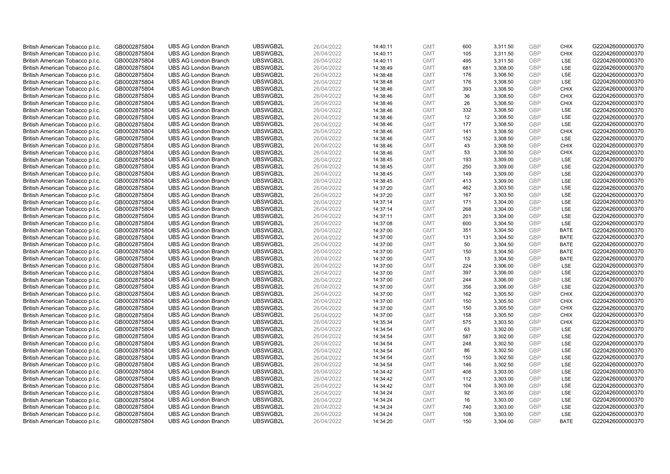| British American Tobacco p.l.c. | GB0002875804                 | <b>UBS AG London Branch</b> | UBSWGB2L | 26/04/2022 | 14:40:11 | <b>GMT</b> | 600 | 3,311.50 | <b>GBP</b> | <b>CHIX</b> | G220426000000370 |
|---------------------------------|------------------------------|-----------------------------|----------|------------|----------|------------|-----|----------|------------|-------------|------------------|
| British American Tobacco p.l.c. | GB0002875804                 | <b>UBS AG London Branch</b> | UBSWGB2L | 26/04/2022 | 14:40:11 | <b>GMT</b> | 105 | 3,311.50 | <b>GBP</b> | <b>CHIX</b> | G220426000000370 |
| British American Tobacco p.l.c. | GB0002875804                 | <b>UBS AG London Branch</b> | UBSWGB2L | 26/04/2022 | 14:40:11 | <b>GMT</b> | 495 | 3,311.50 | <b>GBP</b> | LSE         | G220426000000370 |
| British American Tobacco p.l.c. | GB0002875804                 | <b>UBS AG London Branch</b> | UBSWGB2L | 26/04/2022 | 14:38:49 | <b>GMT</b> | 681 | 3,308.00 | <b>GBP</b> | LSE         | G220426000000370 |
| British American Tobacco p.l.c. | GB0002875804                 | <b>UBS AG London Branch</b> | UBSWGB2L | 26/04/2022 |          | <b>GMT</b> | 176 | 3,308.50 | <b>GBP</b> | LSE         | G220426000000370 |
|                                 |                              |                             |          |            | 14:38:48 |            |     |          |            |             |                  |
| British American Tobacco p.l.c. | GB0002875804                 | <b>UBS AG London Branch</b> | UBSWGB2L | 26/04/2022 | 14:38:48 | <b>GMT</b> | 176 | 3,308.50 | <b>GBP</b> | LSE         | G220426000000370 |
| British American Tobacco p.l.c. | GB0002875804                 | <b>UBS AG London Branch</b> | UBSWGB2L | 26/04/2022 | 14:38:46 | <b>GMT</b> | 393 | 3,308.50 | <b>GBP</b> | <b>CHIX</b> | G220426000000370 |
| British American Tobacco p.l.c. | GB0002875804                 | <b>UBS AG London Branch</b> | UBSWGB2L | 26/04/2022 | 14:38:46 | <b>GMT</b> | 36  | 3,308.50 | <b>GBP</b> | <b>CHIX</b> | G220426000000370 |
| British American Tobacco p.l.c. | GB0002875804                 | <b>UBS AG London Branch</b> | UBSWGB2L | 26/04/2022 | 14:38:46 | <b>GMT</b> | 26  | 3,308.50 | <b>GBP</b> | <b>CHIX</b> | G220426000000370 |
| British American Tobacco p.l.c. | GB0002875804                 | <b>UBS AG London Branch</b> | UBSWGB2L | 26/04/2022 | 14:38:46 | <b>GMT</b> | 332 | 3,308.50 | <b>GBP</b> | LSE         | G220426000000370 |
| British American Tobacco p.l.c. | GB0002875804                 | <b>UBS AG London Branch</b> | UBSWGB2L | 26/04/2022 | 14:38:46 | <b>GMT</b> | 12  | 3,308.50 | <b>GBP</b> | LSE         | G220426000000370 |
| British American Tobacco p.l.c. | GB0002875804                 | <b>UBS AG London Branch</b> | UBSWGB2L | 26/04/2022 | 14:38:46 | <b>GMT</b> | 177 | 3,308.50 | <b>GBP</b> | LSE         | G220426000000370 |
| British American Tobacco p.l.c. | GB0002875804                 | <b>UBS AG London Branch</b> | UBSWGB2L | 26/04/2022 | 14:38:46 | <b>GMT</b> | 141 | 3,308.50 | <b>GBP</b> | <b>CHIX</b> | G220426000000370 |
| British American Tobacco p.l.c. | GB0002875804                 | <b>UBS AG London Branch</b> | UBSWGB2L | 26/04/2022 | 14:38:46 | <b>GMT</b> | 152 | 3,308.50 | <b>GBP</b> | <b>LSE</b>  | G220426000000370 |
| British American Tobacco p.l.c. | GB0002875804                 | <b>UBS AG London Branch</b> | UBSWGB2L | 26/04/2022 | 14:38:46 | <b>GMT</b> | 43  | 3,308.50 | <b>GBP</b> | <b>CHIX</b> | G220426000000370 |
| British American Tobacco p.l.c. | GB0002875804                 | <b>UBS AG London Branch</b> | UBSWGB2L | 26/04/2022 | 14:38:46 | <b>GMT</b> | 53  | 3,308.50 | <b>GBP</b> | <b>CHIX</b> | G220426000000370 |
| British American Tobacco p.l.c. | GB0002875804                 | <b>UBS AG London Branch</b> | UBSWGB2L | 26/04/2022 | 14:38:45 | <b>GMT</b> | 193 | 3,309.00 | <b>GBP</b> | LSE         | G220426000000370 |
| British American Tobacco p.l.c. | GB0002875804                 | <b>UBS AG London Branch</b> | UBSWGB2L | 26/04/2022 | 14:38:45 | <b>GMT</b> | 250 | 3,309.00 | <b>GBP</b> | LSE         | G220426000000370 |
| British American Tobacco p.l.c. | GB0002875804                 | <b>UBS AG London Branch</b> | UBSWGB2L | 26/04/2022 | 14:38:45 | <b>GMT</b> | 149 | 3,309.00 | <b>GBP</b> | <b>LSE</b>  | G220426000000370 |
| British American Tobacco p.l.c. | GB0002875804                 | <b>UBS AG London Branch</b> | UBSWGB2L | 26/04/2022 | 14:38:45 | <b>GMT</b> | 413 | 3,309.00 | <b>GBP</b> | LSE         | G220426000000370 |
| British American Tobacco p.l.c. | GB0002875804                 | <b>UBS AG London Branch</b> | UBSWGB2L | 26/04/2022 | 14:37:20 | <b>GMT</b> | 462 | 3,303.50 | <b>GBP</b> | LSE         | G220426000000370 |
| British American Tobacco p.l.c. | GB0002875804                 | <b>UBS AG London Branch</b> | UBSWGB2L | 26/04/2022 | 14:37:20 | <b>GMT</b> | 167 | 3,303.50 | <b>GBP</b> | LSE         | G220426000000370 |
| British American Tobacco p.l.c. | GB0002875804                 | <b>UBS AG London Branch</b> | UBSWGB2L | 26/04/2022 | 14:37:14 | <b>GMT</b> | 171 | 3,304.00 | <b>GBP</b> | LSE         | G220426000000370 |
| British American Tobacco p.l.c. | GB0002875804                 | <b>UBS AG London Branch</b> | UBSWGB2L | 26/04/2022 | 14:37:14 | <b>GMT</b> | 268 | 3,304.00 | <b>GBP</b> | LSE         | G220426000000370 |
| British American Tobacco p.l.c. | GB0002875804                 | <b>UBS AG London Branch</b> | UBSWGB2L | 26/04/2022 | 14:37:11 | <b>GMT</b> | 201 | 3,304.00 | <b>GBP</b> | LSE         | G220426000000370 |
| British American Tobacco p.l.c. | GB0002875804                 | <b>UBS AG London Branch</b> | UBSWGB2L | 26/04/2022 | 14:37:08 | <b>GMT</b> | 600 | 3,304.50 | <b>GBP</b> | LSE         | G220426000000370 |
| British American Tobacco p.l.c. | GB0002875804                 | <b>UBS AG London Branch</b> | UBSWGB2L | 26/04/2022 | 14:37:00 | <b>GMT</b> | 351 | 3,304.50 | <b>GBP</b> | <b>BATE</b> | G220426000000370 |
| British American Tobacco p.l.c. | GB0002875804                 | <b>UBS AG London Branch</b> | UBSWGB2L | 26/04/2022 | 14:37:00 | <b>GMT</b> | 131 | 3,304.50 | <b>GBP</b> | <b>BATE</b> | G220426000000370 |
| British American Tobacco p.l.c. | GB0002875804                 | <b>UBS AG London Branch</b> | UBSWGB2L | 26/04/2022 | 14:37:00 | <b>GMT</b> | 50  | 3,304.50 | <b>GBP</b> | <b>BATE</b> | G220426000000370 |
| British American Tobacco p.l.c. | GB0002875804                 | <b>UBS AG London Branch</b> | UBSWGB2L | 26/04/2022 | 14:37:00 | <b>GMT</b> | 150 | 3,304.50 | <b>GBP</b> | <b>BATE</b> | G220426000000370 |
| British American Tobacco p.l.c. | GB0002875804                 | <b>UBS AG London Branch</b> | UBSWGB2L | 26/04/2022 | 14:37:00 | <b>GMT</b> | 13  | 3,304.50 | <b>GBP</b> | <b>BATE</b> | G220426000000370 |
| British American Tobacco p.l.c. | GB0002875804                 | <b>UBS AG London Branch</b> | UBSWGB2L | 26/04/2022 | 14:37:00 | <b>GMT</b> | 224 | 3,306.00 | <b>GBP</b> | LSE         | G220426000000370 |
| British American Tobacco p.l.c. | GB0002875804                 | <b>UBS AG London Branch</b> | UBSWGB2L | 26/04/2022 | 14:37:00 | <b>GMT</b> | 397 | 3,306.00 | <b>GBP</b> | LSE         | G220426000000370 |
| British American Tobacco p.l.c. | GB0002875804                 | <b>UBS AG London Branch</b> | UBSWGB2L | 26/04/2022 | 14:37:00 | <b>GMT</b> | 244 | 3,306.00 | <b>GBP</b> | LSE         | G220426000000370 |
| British American Tobacco p.l.c. | GB0002875804                 | <b>UBS AG London Branch</b> | UBSWGB2L | 26/04/2022 | 14:37:00 | <b>GMT</b> | 356 | 3,306.00 | <b>GBP</b> | LSE         | G220426000000370 |
| British American Tobacco p.l.c. | GB0002875804                 | <b>UBS AG London Branch</b> | UBSWGB2L | 26/04/2022 | 14:37:00 | <b>GMT</b> | 162 | 3,305.50 | <b>GBP</b> | <b>CHIX</b> | G220426000000370 |
| British American Tobacco p.l.c. | GB0002875804                 | <b>UBS AG London Branch</b> | UBSWGB2L | 26/04/2022 | 14:37:00 | <b>GMT</b> | 150 | 3,305.50 | <b>GBP</b> | <b>CHIX</b> | G220426000000370 |
| British American Tobacco p.l.c. | GB0002875804                 | <b>UBS AG London Branch</b> | UBSWGB2L | 26/04/2022 | 14:37:00 | <b>GMT</b> | 150 | 3,305.50 | <b>GBP</b> | <b>CHIX</b> | G220426000000370 |
| British American Tobacco p.l.c. | GB0002875804                 | <b>UBS AG London Branch</b> | UBSWGB2L | 26/04/2022 | 14:37:00 | <b>GMT</b> | 158 | 3,305.50 | <b>GBP</b> | <b>CHIX</b> | G220426000000370 |
| British American Tobacco p.l.c. | GB0002875804                 | <b>UBS AG London Branch</b> | UBSWGB2L | 26/04/2022 | 14:35:34 | <b>GMT</b> | 575 | 3,303.50 | <b>GBP</b> | <b>CHIX</b> | G220426000000370 |
| British American Tobacco p.l.c. | GB0002875804                 | <b>UBS AG London Branch</b> | UBSWGB2L | 26/04/2022 | 14:34:54 | <b>GMT</b> | 63  | 3,302.00 | <b>GBP</b> | LSE         | G220426000000370 |
| British American Tobacco p.l.c. |                              | <b>UBS AG London Branch</b> | UBSWGB2L | 26/04/2022 | 14:34:54 | <b>GMT</b> | 587 | 3,302.00 | <b>GBP</b> | LSE         | G220426000000370 |
|                                 | GB0002875804<br>GB0002875804 |                             | UBSWGB2L | 26/04/2022 | 14:34:54 | <b>GMT</b> |     |          | <b>GBP</b> | LSE         | G220426000000370 |
| British American Tobacco p.l.c. |                              | <b>UBS AG London Branch</b> |          |            |          |            | 248 | 3,302.50 |            | LSE         |                  |
| British American Tobacco p.l.c. | GB0002875804                 | <b>UBS AG London Branch</b> | UBSWGB2L | 26/04/2022 | 14:34:54 | <b>GMT</b> | 86  | 3,302.50 | <b>GBP</b> | LSE         | G220426000000370 |
| British American Tobacco p.l.c. | GB0002875804                 | <b>UBS AG London Branch</b> | UBSWGB2L | 26/04/2022 | 14:34:54 | <b>GMT</b> | 150 | 3,302.50 | <b>GBP</b> |             | G220426000000370 |
| British American Tobacco p.l.c. | GB0002875804                 | <b>UBS AG London Branch</b> | UBSWGB2L | 26/04/2022 | 14:34:54 | <b>GMT</b> | 146 | 3,302.50 | <b>GBP</b> | LSE         | G220426000000370 |
| British American Tobacco p.l.c. | GB0002875804                 | <b>UBS AG London Branch</b> | UBSWGB2L | 26/04/2022 | 14:34:42 | <b>GMT</b> | 408 | 3,303.00 | <b>GBP</b> | LSE         | G220426000000370 |
| British American Tobacco p.l.c. | GB0002875804                 | <b>UBS AG London Branch</b> | UBSWGB2L | 26/04/2022 | 14:34:42 | <b>GMT</b> | 112 | 3,303.00 | <b>GBP</b> | LSE         | G220426000000370 |
| British American Tobacco p.l.c. | GB0002875804                 | <b>UBS AG London Branch</b> | UBSWGB2L | 26/04/2022 | 14:34:42 | <b>GMT</b> | 104 | 3,303.00 | <b>GBP</b> | LSE         | G220426000000370 |
| British American Tobacco p.l.c. | GB0002875804                 | <b>UBS AG London Branch</b> | UBSWGB2L | 26/04/2022 | 14:34:24 | <b>GMT</b> | 92  | 3,303.00 | <b>GBP</b> | LSE         | G220426000000370 |
| British American Tobacco p.l.c. | GB0002875804                 | <b>UBS AG London Branch</b> | UBSWGB2L | 26/04/2022 | 14:34:24 | <b>GMT</b> | 16  | 3,303.00 | <b>GBP</b> | LSE         | G220426000000370 |
| British American Tobacco p.l.c. | GB0002875804                 | <b>UBS AG London Branch</b> | UBSWGB2L | 26/04/2022 | 14:34:24 | <b>GMT</b> | 740 | 3,303.00 | <b>GBP</b> | LSE         | G220426000000370 |
| British American Tobacco p.l.c. | GB0002875804                 | <b>UBS AG London Branch</b> | UBSWGB2L | 26/04/2022 | 14:34:24 | <b>GMT</b> | 108 | 3,303.00 | <b>GBP</b> | LSE         | G220426000000370 |
| British American Tobacco p.l.c. | GB0002875804                 | <b>UBS AG London Branch</b> | UBSWGB2L | 26/04/2022 | 14:34:20 | <b>GMT</b> | 150 | 3,304.00 | GBP        | <b>BATE</b> | G220426000000370 |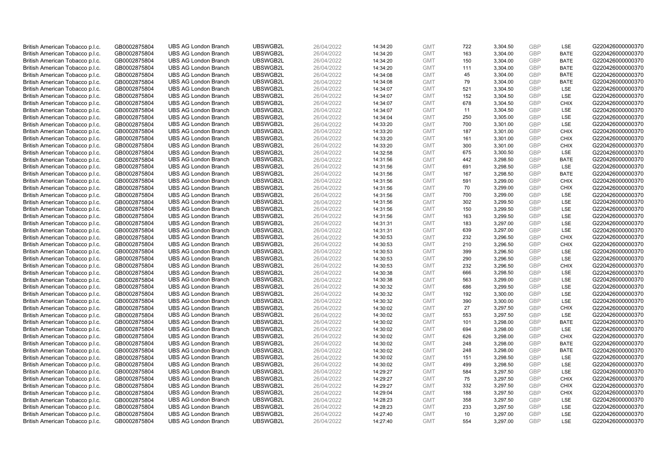| British American Tobacco p.l.c. | GB0002875804 | <b>UBS AG London Branch</b> | UBSWGB2L | 26/04/2022 | 14:34:20 | <b>GMT</b> | 722 | 3,304.50 | <b>GBP</b> | LSE         | G220426000000370 |
|---------------------------------|--------------|-----------------------------|----------|------------|----------|------------|-----|----------|------------|-------------|------------------|
| British American Tobacco p.l.c. | GB0002875804 | <b>UBS AG London Branch</b> | UBSWGB2L | 26/04/2022 | 14:34:20 | <b>GMT</b> | 163 | 3,304.00 | GBP        | <b>BATE</b> | G220426000000370 |
| British American Tobacco p.l.c. | GB0002875804 | <b>UBS AG London Branch</b> | UBSWGB2L | 26/04/2022 | 14:34:20 | <b>GMT</b> | 150 | 3,304.00 | GBP        | <b>BATE</b> | G220426000000370 |
| British American Tobacco p.l.c. | GB0002875804 | <b>UBS AG London Branch</b> | UBSWGB2L | 26/04/2022 | 14:34:20 | <b>GMT</b> | 111 | 3,304.00 | GBP        | <b>BATE</b> | G220426000000370 |
| British American Tobacco p.l.c. | GB0002875804 | <b>UBS AG London Branch</b> | UBSWGB2L | 26/04/2022 | 14:34:08 | <b>GMT</b> | 45  | 3,304.00 | <b>GBP</b> | <b>BATE</b> | G220426000000370 |
| British American Tobacco p.l.c. | GB0002875804 | <b>UBS AG London Branch</b> | UBSWGB2L | 26/04/2022 | 14:34:08 | <b>GMT</b> | 79  | 3,304.00 | <b>GBP</b> | <b>BATE</b> | G220426000000370 |
| British American Tobacco p.l.c. | GB0002875804 | <b>UBS AG London Branch</b> | UBSWGB2L | 26/04/2022 | 14:34:07 | <b>GMT</b> | 521 | 3,304.50 | GBP        | LSE         | G220426000000370 |
| British American Tobacco p.l.c. | GB0002875804 | <b>UBS AG London Branch</b> | UBSWGB2L | 26/04/2022 | 14:34:07 | <b>GMT</b> | 152 | 3,304.50 | GBP        | LSE         | G220426000000370 |
| British American Tobacco p.l.c. | GB0002875804 | <b>UBS AG London Branch</b> | UBSWGB2L | 26/04/2022 | 14:34:07 | <b>GMT</b> | 678 | 3,304.50 | GBP        | <b>CHIX</b> | G220426000000370 |
| British American Tobacco p.l.c. | GB0002875804 | <b>UBS AG London Branch</b> | UBSWGB2L | 26/04/2022 | 14:34:07 | <b>GMT</b> | 11  | 3,304.50 | <b>GBP</b> | <b>LSE</b>  | G220426000000370 |
| British American Tobacco p.l.c. | GB0002875804 | <b>UBS AG London Branch</b> | UBSWGB2L | 26/04/2022 | 14:34:04 | <b>GMT</b> | 250 | 3,305.00 | GBP        | LSE         | G220426000000370 |
| British American Tobacco p.l.c. | GB0002875804 | <b>UBS AG London Branch</b> | UBSWGB2L | 26/04/2022 | 14:33:20 | <b>GMT</b> | 700 | 3,301.00 | <b>GBP</b> | LSE         | G220426000000370 |
| British American Tobacco p.l.c. | GB0002875804 | <b>UBS AG London Branch</b> | UBSWGB2L | 26/04/2022 | 14:33:20 | <b>GMT</b> | 187 | 3,301.00 | GBP        | <b>CHIX</b> | G220426000000370 |
| British American Tobacco p.l.c. | GB0002875804 | <b>UBS AG London Branch</b> | UBSWGB2L | 26/04/2022 | 14:33:20 | <b>GMT</b> | 161 | 3,301.00 | <b>GBP</b> | <b>CHIX</b> | G220426000000370 |
| British American Tobacco p.l.c. | GB0002875804 | <b>UBS AG London Branch</b> | UBSWGB2L | 26/04/2022 | 14:33:20 | <b>GMT</b> | 300 | 3,301.00 | GBP        | <b>CHIX</b> | G220426000000370 |
| British American Tobacco p.l.c. | GB0002875804 | <b>UBS AG London Branch</b> | UBSWGB2L | 26/04/2022 | 14:32:58 | <b>GMT</b> | 675 | 3,300.50 | <b>GBP</b> | <b>LSE</b>  | G220426000000370 |
| British American Tobacco p.l.c. | GB0002875804 | <b>UBS AG London Branch</b> | UBSWGB2L | 26/04/2022 | 14:31:56 | <b>GMT</b> | 442 | 3,298.50 | GBP        | <b>BATE</b> | G220426000000370 |
| British American Tobacco p.l.c. | GB0002875804 | <b>UBS AG London Branch</b> | UBSWGB2L | 26/04/2022 | 14:31:56 | <b>GMT</b> | 691 | 3,298.50 | <b>GBP</b> | LSE         | G220426000000370 |
| British American Tobacco p.l.c. | GB0002875804 | <b>UBS AG London Branch</b> | UBSWGB2L | 26/04/2022 | 14:31:56 | <b>GMT</b> | 167 | 3,298.50 | <b>GBP</b> | <b>BATE</b> | G220426000000370 |
| British American Tobacco p.l.c. | GB0002875804 | <b>UBS AG London Branch</b> | UBSWGB2L | 26/04/2022 | 14:31:56 | <b>GMT</b> | 591 | 3,299.00 | <b>GBP</b> | <b>CHIX</b> | G220426000000370 |
| British American Tobacco p.l.c. | GB0002875804 | <b>UBS AG London Branch</b> | UBSWGB2L | 26/04/2022 | 14:31:56 | <b>GMT</b> | 70  | 3,299.00 | GBP        | <b>CHIX</b> | G220426000000370 |
| British American Tobacco p.l.c. | GB0002875804 | <b>UBS AG London Branch</b> | UBSWGB2L | 26/04/2022 | 14:31:56 | <b>GMT</b> | 700 | 3,299.00 | GBP        | LSE         | G220426000000370 |
| British American Tobacco p.l.c. | GB0002875804 | <b>UBS AG London Branch</b> | UBSWGB2L | 26/04/2022 | 14:31:56 | <b>GMT</b> | 302 | 3,299.50 | GBP        | LSE         | G220426000000370 |
| British American Tobacco p.l.c. | GB0002875804 | <b>UBS AG London Branch</b> | UBSWGB2L | 26/04/2022 | 14:31:56 | <b>GMT</b> | 150 | 3,299.50 | GBP        | LSE         | G220426000000370 |
| British American Tobacco p.l.c. | GB0002875804 | <b>UBS AG London Branch</b> | UBSWGB2L | 26/04/2022 | 14:31:56 | <b>GMT</b> | 163 | 3,299.50 | <b>GBP</b> | LSE         | G220426000000370 |
| British American Tobacco p.l.c. | GB0002875804 | <b>UBS AG London Branch</b> | UBSWGB2L | 26/04/2022 | 14:31:31 | <b>GMT</b> | 183 | 3,297.00 | <b>GBP</b> | LSE         | G220426000000370 |
| British American Tobacco p.l.c. | GB0002875804 | <b>UBS AG London Branch</b> | UBSWGB2L | 26/04/2022 | 14:31:31 | <b>GMT</b> | 639 | 3,297.00 | <b>GBP</b> | LSE         | G220426000000370 |
| British American Tobacco p.l.c. | GB0002875804 | <b>UBS AG London Branch</b> | UBSWGB2L | 26/04/2022 | 14:30:53 | <b>GMT</b> | 232 | 3,296.50 | GBP        | <b>CHIX</b> | G220426000000370 |
| British American Tobacco p.l.c. | GB0002875804 | <b>UBS AG London Branch</b> | UBSWGB2L | 26/04/2022 | 14:30:53 | <b>GMT</b> | 210 | 3,296.50 | <b>GBP</b> | <b>CHIX</b> | G220426000000370 |
| British American Tobacco p.l.c. | GB0002875804 | <b>UBS AG London Branch</b> | UBSWGB2L | 26/04/2022 | 14:30:53 | <b>GMT</b> | 399 | 3,296.50 | GBP        | LSE         | G220426000000370 |
| British American Tobacco p.l.c. | GB0002875804 | <b>UBS AG London Branch</b> | UBSWGB2L | 26/04/2022 | 14:30:53 | <b>GMT</b> | 290 | 3,296.50 | <b>GBP</b> | <b>LSE</b>  | G220426000000370 |
| British American Tobacco p.l.c. | GB0002875804 | <b>UBS AG London Branch</b> | UBSWGB2L | 26/04/2022 | 14:30:53 | <b>GMT</b> | 232 | 3,296.50 | <b>GBP</b> | <b>CHIX</b> | G220426000000370 |
| British American Tobacco p.l.c. | GB0002875804 | <b>UBS AG London Branch</b> | UBSWGB2L | 26/04/2022 | 14:30:38 | <b>GMT</b> | 666 | 3,298.50 | <b>GBP</b> | LSE         | G220426000000370 |
| British American Tobacco p.l.c. | GB0002875804 | <b>UBS AG London Branch</b> | UBSWGB2L | 26/04/2022 | 14:30:38 | <b>GMT</b> | 563 | 3,299.00 | GBP        | LSE         | G220426000000370 |
| British American Tobacco p.l.c. | GB0002875804 | <b>UBS AG London Branch</b> | UBSWGB2L | 26/04/2022 | 14:30:32 | <b>GMT</b> | 686 | 3,299.50 | GBP        | LSE         | G220426000000370 |
| British American Tobacco p.l.c. | GB0002875804 | <b>UBS AG London Branch</b> | UBSWGB2L | 26/04/2022 | 14:30:32 | <b>GMT</b> | 192 | 3,300.00 | GBP        | LSE         | G220426000000370 |
| British American Tobacco p.l.c. | GB0002875804 | <b>UBS AG London Branch</b> | UBSWGB2L | 26/04/2022 | 14:30:32 | <b>GMT</b> | 390 | 3,300.00 | GBP        | <b>LSE</b>  | G220426000000370 |
| British American Tobacco p.l.c. | GB0002875804 | <b>UBS AG London Branch</b> | UBSWGB2L | 26/04/2022 | 14:30:02 | <b>GMT</b> | 27  | 3,297.50 | <b>GBP</b> | <b>CHIX</b> | G220426000000370 |
| British American Tobacco p.l.c. | GB0002875804 | <b>UBS AG London Branch</b> | UBSWGB2L | 26/04/2022 | 14:30:02 | <b>GMT</b> | 553 | 3,297.50 | <b>GBP</b> | LSE         | G220426000000370 |
| British American Tobacco p.l.c. | GB0002875804 | <b>UBS AG London Branch</b> | UBSWGB2L | 26/04/2022 | 14:30:02 | <b>GMT</b> | 101 | 3,298.00 | <b>GBP</b> | <b>BATE</b> | G220426000000370 |
| British American Tobacco p.l.c. | GB0002875804 | <b>UBS AG London Branch</b> | UBSWGB2L | 26/04/2022 | 14:30:02 | <b>GMT</b> | 694 | 3,298.00 | <b>GBP</b> | <b>LSE</b>  | G220426000000370 |
| British American Tobacco p.l.c. | GB0002875804 | <b>UBS AG London Branch</b> | UBSWGB2L | 26/04/2022 | 14:30:02 | <b>GMT</b> | 626 | 3,298.00 | <b>GBP</b> | <b>CHIX</b> | G220426000000370 |
| British American Tobacco p.l.c. | GB0002875804 | <b>UBS AG London Branch</b> | UBSWGB2L | 26/04/2022 | 14:30:02 | <b>GMT</b> | 248 | 3,298.00 | GBP        | <b>BATE</b> | G220426000000370 |
| British American Tobacco p.l.c. | GB0002875804 | <b>UBS AG London Branch</b> | UBSWGB2L | 26/04/2022 | 14:30:02 | <b>GMT</b> | 248 | 3,298.00 | GBP        | <b>BATE</b> | G220426000000370 |
| British American Tobacco p.l.c. | GB0002875804 | <b>UBS AG London Branch</b> | UBSWGB2L | 26/04/2022 | 14:30:02 | <b>GMT</b> | 151 | 3,298.50 | <b>GBP</b> | <b>LSE</b>  | G220426000000370 |
| British American Tobacco p.l.c. | GB0002875804 | <b>UBS AG London Branch</b> | UBSWGB2L | 26/04/2022 | 14:30:02 | <b>GMT</b> | 499 | 3,298.50 | <b>GBP</b> | LSE         | G220426000000370 |
| British American Tobacco p.l.c. | GB0002875804 | <b>UBS AG London Branch</b> | UBSWGB2L | 26/04/2022 | 14:29:27 | <b>GMT</b> | 584 | 3,297.50 | <b>GBP</b> | LSE         | G220426000000370 |
| British American Tobacco p.l.c. | GB0002875804 | <b>UBS AG London Branch</b> | UBSWGB2L | 26/04/2022 | 14:29:27 | <b>GMT</b> | 75  | 3,297.50 | GBP        | <b>CHIX</b> | G220426000000370 |
| British American Tobacco p.l.c. | GB0002875804 | <b>UBS AG London Branch</b> | UBSWGB2L | 26/04/2022 | 14:29:27 | <b>GMT</b> | 332 | 3,297.50 | <b>GBP</b> | <b>CHIX</b> | G220426000000370 |
| British American Tobacco p.l.c. | GB0002875804 | <b>UBS AG London Branch</b> | UBSWGB2L | 26/04/2022 | 14:29:04 | <b>GMT</b> | 188 | 3,297.50 | GBP        | <b>CHIX</b> | G220426000000370 |
| British American Tobacco p.l.c. | GB0002875804 | <b>UBS AG London Branch</b> | UBSWGB2L | 26/04/2022 | 14:28:23 | <b>GMT</b> | 358 | 3,297.50 | <b>GBP</b> | LSE         | G220426000000370 |
| British American Tobacco p.l.c. | GB0002875804 | <b>UBS AG London Branch</b> | UBSWGB2L | 26/04/2022 | 14:28:23 | <b>GMT</b> | 233 | 3,297.50 | <b>GBP</b> | LSE         | G220426000000370 |
| British American Tobacco p.l.c. | GB0002875804 | <b>UBS AG London Branch</b> | UBSWGB2L | 26/04/2022 | 14:27:40 | <b>GMT</b> | 10  | 3,297.00 | GBP        | LSE         | G220426000000370 |
| British American Tobacco p.l.c. | GB0002875804 | <b>UBS AG London Branch</b> | UBSWGB2L | 26/04/2022 | 14:27:40 | <b>GMT</b> | 554 | 3,297.00 | GBP        | <b>LSE</b>  | G220426000000370 |
|                                 |              |                             |          |            |          |            |     |          |            |             |                  |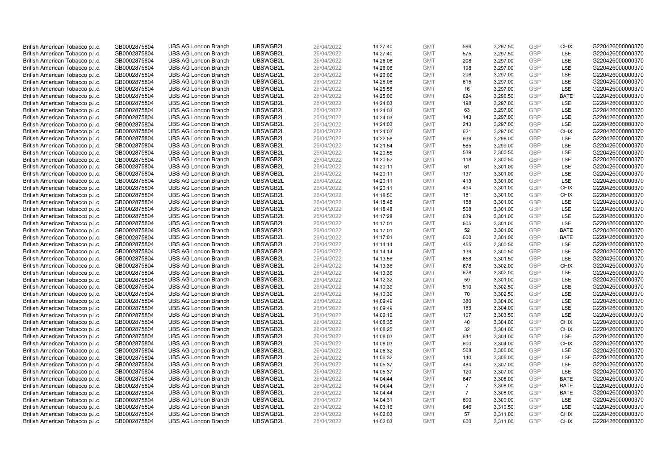| British American Tobacco p.l.c. | GB0002875804 | <b>UBS AG London Branch</b> | UBSWGB2L | 26/04/2022 | 14:27:40 | <b>GMT</b> | 596            | 3,297.50 | <b>GBP</b>               | <b>CHIX</b>                | G220426000000370 |
|---------------------------------|--------------|-----------------------------|----------|------------|----------|------------|----------------|----------|--------------------------|----------------------------|------------------|
| British American Tobacco p.l.c. | GB0002875804 | <b>UBS AG London Branch</b> | UBSWGB2L | 26/04/2022 | 14:27:40 | <b>GMT</b> | 575            | 3,297.50 | GBP                      | LSE                        | G220426000000370 |
| British American Tobacco p.l.c. | GB0002875804 | <b>UBS AG London Branch</b> | UBSWGB2L | 26/04/2022 | 14:26:06 | <b>GMT</b> | 208            | 3,297.00 | <b>GBP</b>               | LSE                        | G220426000000370 |
| British American Tobacco p.l.c. | GB0002875804 | <b>UBS AG London Branch</b> | UBSWGB2L | 26/04/2022 | 14:26:06 | <b>GMT</b> | 198            | 3,297.00 | <b>GBP</b>               | LSE                        | G220426000000370 |
|                                 |              |                             |          |            |          |            | 206            |          | <b>GBP</b>               | LSE                        |                  |
| British American Tobacco p.l.c. | GB0002875804 | <b>UBS AG London Branch</b> | UBSWGB2L | 26/04/2022 | 14:26:06 | <b>GMT</b> |                | 3,297.00 |                          |                            | G220426000000370 |
| British American Tobacco p.l.c. | GB0002875804 | <b>UBS AG London Branch</b> | UBSWGB2L | 26/04/2022 | 14:26:06 | <b>GMT</b> | 615            | 3,297.00 | <b>GBP</b>               | LSE                        | G220426000000370 |
| British American Tobacco p.l.c. | GB0002875804 | <b>UBS AG London Branch</b> | UBSWGB2L | 26/04/2022 | 14:25:58 | <b>GMT</b> | 16             | 3,297.00 | <b>GBP</b>               | LSE                        | G220426000000370 |
| British American Tobacco p.l.c. | GB0002875804 | <b>UBS AG London Branch</b> | UBSWGB2L | 26/04/2022 | 14:25:06 | <b>GMT</b> | 624            | 3,296.50 | <b>GBP</b>               | <b>BATE</b>                | G220426000000370 |
| British American Tobacco p.l.c. | GB0002875804 | <b>UBS AG London Branch</b> | UBSWGB2L | 26/04/2022 | 14:24:03 | <b>GMT</b> | 198            | 3,297.00 | <b>GBP</b>               | LSE                        | G220426000000370 |
| British American Tobacco p.l.c. | GB0002875804 | <b>UBS AG London Branch</b> | UBSWGB2L | 26/04/2022 | 14:24:03 | <b>GMT</b> | 63             | 3,297.00 | <b>GBP</b>               | LSE                        | G220426000000370 |
| British American Tobacco p.l.c. | GB0002875804 | <b>UBS AG London Branch</b> | UBSWGB2L | 26/04/2022 | 14:24:03 | <b>GMT</b> | 143            | 3,297.00 | <b>GBP</b>               | LSE                        | G220426000000370 |
| British American Tobacco p.l.c. | GB0002875804 | <b>UBS AG London Branch</b> | UBSWGB2L | 26/04/2022 | 14:24:03 | <b>GMT</b> | 243            | 3,297.00 | <b>GBP</b>               | LSE                        | G220426000000370 |
| British American Tobacco p.l.c. | GB0002875804 | <b>UBS AG London Branch</b> | UBSWGB2L | 26/04/2022 | 14:24:03 | <b>GMT</b> | 621            | 3,297.00 | <b>GBP</b>               | <b>CHIX</b>                | G220426000000370 |
| British American Tobacco p.l.c. | GB0002875804 | <b>UBS AG London Branch</b> | UBSWGB2L | 26/04/2022 | 14:22:58 | <b>GMT</b> | 639            | 3,298.00 | <b>GBP</b>               | LSE                        | G220426000000370 |
| British American Tobacco p.l.c. | GB0002875804 | <b>UBS AG London Branch</b> | UBSWGB2L | 26/04/2022 | 14:21:54 | <b>GMT</b> | 565            | 3,299.00 | GBP                      | LSE                        | G220426000000370 |
| British American Tobacco p.l.c. | GB0002875804 | <b>UBS AG London Branch</b> | UBSWGB2L | 26/04/2022 | 14:20:55 | <b>GMT</b> | 539            | 3,300.50 | <b>GBP</b>               | LSE                        | G220426000000370 |
| British American Tobacco p.l.c. | GB0002875804 | <b>UBS AG London Branch</b> | UBSWGB2L | 26/04/2022 | 14:20:52 | <b>GMT</b> | 118            | 3,300.50 | <b>GBP</b>               | LSE                        | G220426000000370 |
| British American Tobacco p.l.c. | GB0002875804 | <b>UBS AG London Branch</b> | UBSWGB2L | 26/04/2022 | 14:20:11 | <b>GMT</b> | 61             | 3,301.00 | <b>GBP</b>               | LSE                        | G220426000000370 |
| British American Tobacco p.l.c. | GB0002875804 | <b>UBS AG London Branch</b> | UBSWGB2L | 26/04/2022 | 14:20:11 | <b>GMT</b> | 137            | 3,301.00 | <b>GBP</b>               | <b>LSE</b>                 | G220426000000370 |
| British American Tobacco p.l.c. | GB0002875804 | <b>UBS AG London Branch</b> | UBSWGB2L | 26/04/2022 | 14:20:11 | <b>GMT</b> | 413            | 3,301.00 | <b>GBP</b>               | LSE                        | G220426000000370 |
| British American Tobacco p.l.c. | GB0002875804 | <b>UBS AG London Branch</b> | UBSWGB2L | 26/04/2022 | 14:20:11 | <b>GMT</b> | 494            | 3,301.00 | <b>GBP</b>               | <b>CHIX</b>                | G220426000000370 |
| British American Tobacco p.l.c. | GB0002875804 | <b>UBS AG London Branch</b> | UBSWGB2L | 26/04/2022 | 14:18:50 | <b>GMT</b> | 181            | 3,301.00 | <b>GBP</b>               | <b>CHIX</b>                | G220426000000370 |
| British American Tobacco p.l.c. | GB0002875804 | <b>UBS AG London Branch</b> | UBSWGB2L | 26/04/2022 | 14:18:48 | <b>GMT</b> | 158            | 3,301.00 | <b>GBP</b>               | LSE                        | G220426000000370 |
| British American Tobacco p.l.c. | GB0002875804 | <b>UBS AG London Branch</b> | UBSWGB2L | 26/04/2022 | 14:18:48 | <b>GMT</b> | 508            | 3,301.00 | <b>GBP</b>               | LSE                        | G220426000000370 |
| British American Tobacco p.l.c. | GB0002875804 | <b>UBS AG London Branch</b> | UBSWGB2L | 26/04/2022 | 14:17:28 | <b>GMT</b> | 639            | 3,301.00 | <b>GBP</b>               | LSE                        | G220426000000370 |
| British American Tobacco p.l.c. | GB0002875804 | <b>UBS AG London Branch</b> | UBSWGB2L | 26/04/2022 | 14:17:01 | <b>GMT</b> | 605            | 3,301.00 | <b>GBP</b>               | LSE                        | G220426000000370 |
| British American Tobacco p.l.c. | GB0002875804 | <b>UBS AG London Branch</b> | UBSWGB2L | 26/04/2022 | 14:17:01 | <b>GMT</b> | 52             | 3,301.00 | <b>GBP</b>               | <b>BATE</b>                | G220426000000370 |
| British American Tobacco p.l.c. | GB0002875804 | <b>UBS AG London Branch</b> | UBSWGB2L | 26/04/2022 | 14:17:01 | <b>GMT</b> | 600            | 3,301.00 | <b>GBP</b>               | <b>BATE</b>                | G220426000000370 |
| British American Tobacco p.l.c. | GB0002875804 | <b>UBS AG London Branch</b> | UBSWGB2L | 26/04/2022 | 14:14:14 | <b>GMT</b> | 455            | 3,300.50 | <b>GBP</b>               | LSE                        | G220426000000370 |
| British American Tobacco p.l.c. | GB0002875804 | <b>UBS AG London Branch</b> | UBSWGB2L | 26/04/2022 | 14:14:14 | <b>GMT</b> | 139            | 3,300.50 | <b>GBP</b>               | LSE                        | G220426000000370 |
| British American Tobacco p.l.c. | GB0002875804 | <b>UBS AG London Branch</b> | UBSWGB2L | 26/04/2022 | 14:13:56 | <b>GMT</b> | 658            | 3,301.50 | <b>GBP</b>               | LSE                        | G220426000000370 |
| British American Tobacco p.l.c. | GB0002875804 | <b>UBS AG London Branch</b> | UBSWGB2L | 26/04/2022 | 14:13:36 | <b>GMT</b> | 678            | 3,302.00 | <b>GBP</b>               | <b>CHIX</b>                | G220426000000370 |
| British American Tobacco p.l.c. | GB0002875804 | <b>UBS AG London Branch</b> | UBSWGB2L | 26/04/2022 | 14:13:36 | <b>GMT</b> | 628            | 3,302.00 | <b>GBP</b>               | LSE                        | G220426000000370 |
| British American Tobacco p.l.c. | GB0002875804 | <b>UBS AG London Branch</b> | UBSWGB2L | 26/04/2022 | 14:12:32 | <b>GMT</b> | 59             | 3,301.00 | <b>GBP</b>               | LSE                        | G220426000000370 |
| British American Tobacco p.l.c. | GB0002875804 | <b>UBS AG London Branch</b> | UBSWGB2L | 26/04/2022 | 14:10:39 | <b>GMT</b> | 510            | 3,302.50 | <b>GBP</b>               | LSE                        | G220426000000370 |
| British American Tobacco p.l.c. | GB0002875804 | <b>UBS AG London Branch</b> | UBSWGB2L | 26/04/2022 | 14:10:39 | <b>GMT</b> | 70             | 3,302.50 | <b>GBP</b>               | LSE                        | G220426000000370 |
| British American Tobacco p.l.c. | GB0002875804 | <b>UBS AG London Branch</b> | UBSWGB2L | 26/04/2022 | 14:09:49 | <b>GMT</b> | 380            | 3,304.00 | <b>GBP</b>               | <b>LSE</b>                 | G220426000000370 |
| British American Tobacco p.l.c. | GB0002875804 | <b>UBS AG London Branch</b> | UBSWGB2L | 26/04/2022 | 14:09:49 | <b>GMT</b> | 183            | 3,304.00 | <b>GBP</b>               | LSE                        | G220426000000370 |
|                                 |              | <b>UBS AG London Branch</b> | UBSWGB2L |            |          | <b>GMT</b> | 107            |          | <b>GBP</b>               | LSE                        | G220426000000370 |
| British American Tobacco p.l.c. | GB0002875804 |                             |          | 26/04/2022 | 14:09:19 |            |                | 3,303.50 |                          |                            |                  |
| British American Tobacco p.l.c. | GB0002875804 | <b>UBS AG London Branch</b> | UBSWGB2L | 26/04/2022 | 14:08:35 | <b>GMT</b> | 40             | 3,304.00 | <b>GBP</b><br><b>GBP</b> | <b>CHIX</b><br><b>CHIX</b> | G220426000000370 |
| British American Tobacco p.l.c. | GB0002875804 | <b>UBS AG London Branch</b> | UBSWGB2L | 26/04/2022 | 14:08:25 | <b>GMT</b> | 32             | 3,304.00 |                          |                            | G220426000000370 |
| British American Tobacco p.l.c. | GB0002875804 | <b>UBS AG London Branch</b> | UBSWGB2L | 26/04/2022 | 14:08:03 | <b>GMT</b> | 644            | 3,304.00 | <b>GBP</b>               | LSE                        | G220426000000370 |
| British American Tobacco p.l.c. | GB0002875804 | <b>UBS AG London Branch</b> | UBSWGB2L | 26/04/2022 | 14:08:03 | <b>GMT</b> | 600            | 3,304.00 | <b>GBP</b>               | <b>CHIX</b>                | G220426000000370 |
| British American Tobacco p.l.c. | GB0002875804 | <b>UBS AG London Branch</b> | UBSWGB2L | 26/04/2022 | 14:06:32 | <b>GMT</b> | 508            | 3,306.00 | <b>GBP</b>               | LSE                        | G220426000000370 |
| British American Tobacco p.l.c. | GB0002875804 | <b>UBS AG London Branch</b> | UBSWGB2L | 26/04/2022 | 14:06:32 | <b>GMT</b> | 140            | 3,306.00 | <b>GBP</b>               | <b>LSE</b>                 | G220426000000370 |
| British American Tobacco p.l.c. | GB0002875804 | <b>UBS AG London Branch</b> | UBSWGB2L | 26/04/2022 | 14:05:37 | <b>GMT</b> | 484            | 3,307.00 | <b>GBP</b>               | LSE                        | G220426000000370 |
| British American Tobacco p.l.c. | GB0002875804 | <b>UBS AG London Branch</b> | UBSWGB2L | 26/04/2022 | 14:05:37 | <b>GMT</b> | 120            | 3,307.00 | <b>GBP</b>               | LSE                        | G220426000000370 |
| British American Tobacco p.l.c. | GB0002875804 | <b>UBS AG London Branch</b> | UBSWGB2L | 26/04/2022 | 14:04:44 | <b>GMT</b> | 647            | 3,308.00 | <b>GBP</b>               | <b>BATE</b>                | G220426000000370 |
| British American Tobacco p.l.c. | GB0002875804 | <b>UBS AG London Branch</b> | UBSWGB2L | 26/04/2022 | 14:04:44 | <b>GMT</b> | $\overline{7}$ | 3,308.00 | <b>GBP</b>               | <b>BATE</b>                | G220426000000370 |
| British American Tobacco p.l.c. | GB0002875804 | <b>UBS AG London Branch</b> | UBSWGB2L | 26/04/2022 | 14:04:44 | <b>GMT</b> | $\overline{7}$ | 3,308.00 | <b>GBP</b>               | <b>BATE</b>                | G220426000000370 |
| British American Tobacco p.l.c. | GB0002875804 | <b>UBS AG London Branch</b> | UBSWGB2L | 26/04/2022 | 14:04:31 | <b>GMT</b> | 600            | 3,309.00 | <b>GBP</b>               | LSE                        | G220426000000370 |
| British American Tobacco p.l.c. | GB0002875804 | <b>UBS AG London Branch</b> | UBSWGB2L | 26/04/2022 | 14:03:16 | <b>GMT</b> | 646            | 3,310.50 | <b>GBP</b>               | LSE                        | G220426000000370 |
| British American Tobacco p.l.c. | GB0002875804 | <b>UBS AG London Branch</b> | UBSWGB2L | 26/04/2022 | 14:02:03 | <b>GMT</b> | 57             | 3,311.00 | <b>GBP</b>               | <b>CHIX</b>                | G220426000000370 |
| British American Tobacco p.l.c. | GB0002875804 | <b>UBS AG London Branch</b> | UBSWGB2L | 26/04/2022 | 14:02:03 | <b>GMT</b> | 600            | 3,311.00 | GBP                      | <b>CHIX</b>                | G220426000000370 |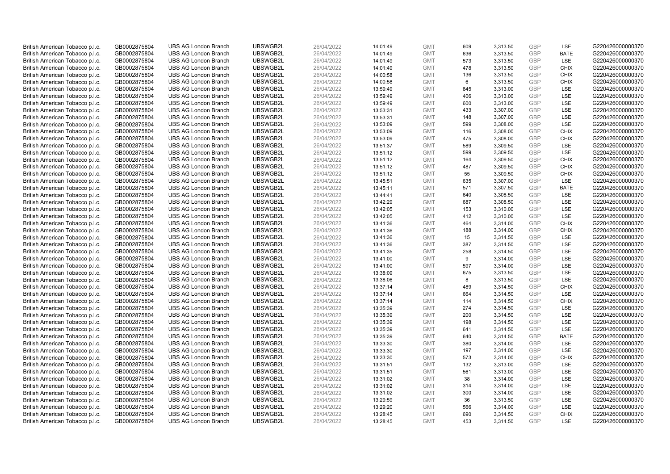| British American Tobacco p.l.c.                                    | GB0002875804 | <b>UBS AG London Branch</b>                                | UBSWGB2L | 26/04/2022 | 14:01:49 | <b>GMT</b>               | 609 | 3,313.50             | <b>GBP</b>               | LSE         | G220426000000370 |
|--------------------------------------------------------------------|--------------|------------------------------------------------------------|----------|------------|----------|--------------------------|-----|----------------------|--------------------------|-------------|------------------|
| British American Tobacco p.l.c.                                    | GB0002875804 | <b>UBS AG London Branch</b>                                | UBSWGB2L | 26/04/2022 | 14:01:49 | <b>GMT</b>               | 636 | 3,313.50             | <b>GBP</b>               | <b>BATE</b> | G220426000000370 |
| British American Tobacco p.l.c.                                    | GB0002875804 | <b>UBS AG London Branch</b>                                | UBSWGB2L | 26/04/2022 | 14:01:49 | <b>GMT</b>               | 573 | 3,313.50             | <b>GBP</b>               | LSE         | G220426000000370 |
| British American Tobacco p.l.c.                                    | GB0002875804 | <b>UBS AG London Branch</b>                                | UBSWGB2L | 26/04/2022 | 14:01:49 | <b>GMT</b>               | 478 | 3,313.50             | <b>GBP</b>               | <b>CHIX</b> | G220426000000370 |
| British American Tobacco p.l.c.                                    | GB0002875804 | <b>UBS AG London Branch</b>                                | UBSWGB2L | 26/04/2022 | 14:00:58 | <b>GMT</b>               | 136 | 3,313.50             | <b>GBP</b>               | <b>CHIX</b> | G220426000000370 |
| British American Tobacco p.l.c.                                    | GB0002875804 | <b>UBS AG London Branch</b>                                | UBSWGB2L | 26/04/2022 | 14:00:58 | <b>GMT</b>               | 6   | 3,313.50             | <b>GBP</b>               | <b>CHIX</b> | G220426000000370 |
| British American Tobacco p.l.c.                                    | GB0002875804 | <b>UBS AG London Branch</b>                                | UBSWGB2L | 26/04/2022 | 13:59:49 | <b>GMT</b>               | 845 | 3,313.00             | <b>GBP</b>               | LSE         | G220426000000370 |
| British American Tobacco p.l.c.                                    | GB0002875804 | <b>UBS AG London Branch</b>                                | UBSWGB2L | 26/04/2022 | 13:59:49 | <b>GMT</b>               | 406 | 3,313.00             | <b>GBP</b>               | LSE         | G220426000000370 |
| British American Tobacco p.l.c.                                    | GB0002875804 | <b>UBS AG London Branch</b>                                | UBSWGB2L | 26/04/2022 | 13:59:49 | <b>GMT</b>               | 600 | 3,313.00             | <b>GBP</b>               | LSE         | G220426000000370 |
| British American Tobacco p.l.c.                                    | GB0002875804 | <b>UBS AG London Branch</b>                                | UBSWGB2L | 26/04/2022 | 13:53:31 | <b>GMT</b>               | 433 | 3,307.00             | <b>GBP</b>               | LSE         | G220426000000370 |
| British American Tobacco p.l.c.                                    | GB0002875804 | <b>UBS AG London Branch</b>                                | UBSWGB2L | 26/04/2022 | 13:53:31 | <b>GMT</b>               | 148 | 3,307.00             | <b>GBP</b>               | LSE         | G220426000000370 |
| British American Tobacco p.l.c.                                    | GB0002875804 | <b>UBS AG London Branch</b>                                | UBSWGB2L | 26/04/2022 | 13:53:09 | <b>GMT</b>               | 599 | 3,308.00             | <b>GBP</b>               | LSE         | G220426000000370 |
| British American Tobacco p.l.c.                                    | GB0002875804 | <b>UBS AG London Branch</b>                                | UBSWGB2L | 26/04/2022 | 13:53:09 | <b>GMT</b>               | 116 | 3,308.00             | <b>GBP</b>               | <b>CHIX</b> | G220426000000370 |
|                                                                    | GB0002875804 | <b>UBS AG London Branch</b>                                | UBSWGB2L | 26/04/2022 |          | <b>GMT</b>               | 475 |                      | <b>GBP</b>               | <b>CHIX</b> | G220426000000370 |
| British American Tobacco p.l.c.<br>British American Tobacco p.l.c. | GB0002875804 | <b>UBS AG London Branch</b>                                | UBSWGB2L | 26/04/2022 | 13:53:09 | <b>GMT</b>               | 589 | 3,308.00<br>3,309.50 | <b>GBP</b>               | <b>LSE</b>  | G220426000000370 |
|                                                                    |              |                                                            | UBSWGB2L |            | 13:51:37 |                          |     |                      |                          | LSE         | G220426000000370 |
| British American Tobacco p.l.c.                                    | GB0002875804 | <b>UBS AG London Branch</b><br><b>UBS AG London Branch</b> |          | 26/04/2022 | 13:51:12 | <b>GMT</b><br><b>GMT</b> | 599 | 3,309.50             | <b>GBP</b><br><b>GBP</b> |             | G220426000000370 |
| British American Tobacco p.l.c.                                    | GB0002875804 |                                                            | UBSWGB2L | 26/04/2022 | 13:51:12 |                          | 164 | 3,309.50             |                          | <b>CHIX</b> |                  |
| British American Tobacco p.l.c.                                    | GB0002875804 | <b>UBS AG London Branch</b>                                | UBSWGB2L | 26/04/2022 | 13:51:12 | <b>GMT</b>               | 487 | 3,309.50             | <b>GBP</b>               | <b>CHIX</b> | G220426000000370 |
| British American Tobacco p.l.c.                                    | GB0002875804 | <b>UBS AG London Branch</b>                                | UBSWGB2L | 26/04/2022 | 13:51:12 | <b>GMT</b>               | 55  | 3,309.50             | <b>GBP</b>               | <b>CHIX</b> | G220426000000370 |
| British American Tobacco p.l.c.                                    | GB0002875804 | <b>UBS AG London Branch</b>                                | UBSWGB2L | 26/04/2022 | 13:45:51 | <b>GMT</b>               | 635 | 3,307.00             | <b>GBP</b>               | LSE         | G220426000000370 |
| British American Tobacco p.l.c.                                    | GB0002875804 | <b>UBS AG London Branch</b>                                | UBSWGB2L | 26/04/2022 | 13:45:11 | <b>GMT</b>               | 571 | 3,307.50             | <b>GBP</b>               | <b>BATE</b> | G220426000000370 |
| British American Tobacco p.l.c.                                    | GB0002875804 | <b>UBS AG London Branch</b>                                | UBSWGB2L | 26/04/2022 | 13:44:41 | <b>GMT</b>               | 640 | 3,308.50             | <b>GBP</b>               | LSE         | G220426000000370 |
| British American Tobacco p.l.c.                                    | GB0002875804 | <b>UBS AG London Branch</b>                                | UBSWGB2L | 26/04/2022 | 13:42:29 | <b>GMT</b>               | 687 | 3,308.50             | <b>GBP</b>               | LSE         | G220426000000370 |
| British American Tobacco p.l.c.                                    | GB0002875804 | <b>UBS AG London Branch</b>                                | UBSWGB2L | 26/04/2022 | 13:42:05 | <b>GMT</b>               | 153 | 3,310.00             | <b>GBP</b>               | LSE         | G220426000000370 |
| British American Tobacco p.l.c.                                    | GB0002875804 | <b>UBS AG London Branch</b>                                | UBSWGB2L | 26/04/2022 | 13:42:05 | <b>GMT</b>               | 412 | 3,310.00             | <b>GBP</b>               | LSE         | G220426000000370 |
| British American Tobacco p.l.c.                                    | GB0002875804 | <b>UBS AG London Branch</b>                                | UBSWGB2L | 26/04/2022 | 13:41:36 | <b>GMT</b>               | 464 | 3,314.00             | <b>GBP</b>               | <b>CHIX</b> | G220426000000370 |
| British American Tobacco p.l.c.                                    | GB0002875804 | <b>UBS AG London Branch</b>                                | UBSWGB2L | 26/04/2022 | 13:41:36 | <b>GMT</b>               | 188 | 3,314.00             | <b>GBP</b>               | <b>CHIX</b> | G220426000000370 |
| British American Tobacco p.l.c.                                    | GB0002875804 | <b>UBS AG London Branch</b>                                | UBSWGB2L | 26/04/2022 | 13:41:36 | <b>GMT</b>               | 15  | 3,314.50             | <b>GBP</b>               | LSE         | G220426000000370 |
| British American Tobacco p.l.c.                                    | GB0002875804 | <b>UBS AG London Branch</b>                                | UBSWGB2L | 26/04/2022 | 13:41:36 | <b>GMT</b>               | 387 | 3,314.50             | <b>GBP</b>               | LSE         | G220426000000370 |
| British American Tobacco p.l.c.                                    | GB0002875804 | <b>UBS AG London Branch</b>                                | UBSWGB2L | 26/04/2022 | 13:41:35 | <b>GMT</b>               | 258 | 3,314.50             | <b>GBP</b>               | LSE         | G220426000000370 |
| British American Tobacco p.l.c.                                    | GB0002875804 | <b>UBS AG London Branch</b>                                | UBSWGB2L | 26/04/2022 | 13:41:00 | <b>GMT</b>               | 9   | 3,314.00             | <b>GBP</b>               | LSE         | G220426000000370 |
| British American Tobacco p.l.c.                                    | GB0002875804 | <b>UBS AG London Branch</b>                                | UBSWGB2L | 26/04/2022 | 13:41:00 | <b>GMT</b>               | 597 | 3,314.00             | <b>GBP</b>               | LSE         | G220426000000370 |
| British American Tobacco p.l.c.                                    | GB0002875804 | <b>UBS AG London Branch</b>                                | UBSWGB2L | 26/04/2022 | 13:38:09 | <b>GMT</b>               | 675 | 3,313.50             | <b>GBP</b>               | LSE         | G220426000000370 |
| British American Tobacco p.l.c.                                    | GB0002875804 | <b>UBS AG London Branch</b>                                | UBSWGB2L | 26/04/2022 | 13:38:06 | <b>GMT</b>               | 8   | 3,313.50             | <b>GBP</b>               | LSE         | G220426000000370 |
| British American Tobacco p.l.c.                                    | GB0002875804 | <b>UBS AG London Branch</b>                                | UBSWGB2L | 26/04/2022 | 13:37:14 | <b>GMT</b>               | 489 | 3,314.50             | <b>GBP</b>               | <b>CHIX</b> | G220426000000370 |
| British American Tobacco p.l.c.                                    | GB0002875804 | <b>UBS AG London Branch</b>                                | UBSWGB2L | 26/04/2022 | 13:37:14 | <b>GMT</b>               | 664 | 3,314.50             | <b>GBP</b>               | LSE         | G220426000000370 |
| British American Tobacco p.l.c.                                    | GB0002875804 | <b>UBS AG London Branch</b>                                | UBSWGB2L | 26/04/2022 | 13:37:14 | <b>GMT</b>               | 114 | 3,314.50             | <b>GBP</b>               | <b>CHIX</b> | G220426000000370 |
| British American Tobacco p.l.c.                                    | GB0002875804 | <b>UBS AG London Branch</b>                                | UBSWGB2L | 26/04/2022 | 13:35:39 | <b>GMT</b>               | 274 | 3,314.50             | <b>GBP</b>               | LSE         | G220426000000370 |
| British American Tobacco p.l.c.                                    | GB0002875804 | <b>UBS AG London Branch</b>                                | UBSWGB2L | 26/04/2022 | 13:35:39 | <b>GMT</b>               | 200 | 3,314.50             | <b>GBP</b>               | LSE         | G220426000000370 |
| British American Tobacco p.l.c.                                    | GB0002875804 | <b>UBS AG London Branch</b>                                | UBSWGB2L | 26/04/2022 | 13:35:39 | <b>GMT</b>               | 198 | 3,314.50             | <b>GBP</b>               | LSE         | G220426000000370 |
| British American Tobacco p.l.c.                                    | GB0002875804 | <b>UBS AG London Branch</b>                                | UBSWGB2L | 26/04/2022 | 13:35:39 | <b>GMT</b>               | 641 | 3,314.50             | <b>GBP</b>               | LSE         | G220426000000370 |
| British American Tobacco p.l.c.                                    | GB0002875804 | <b>UBS AG London Branch</b>                                | UBSWGB2L | 26/04/2022 | 13:35:39 | <b>GMT</b>               | 640 | 3,314.50             | <b>GBP</b>               | <b>BATE</b> | G220426000000370 |
| British American Tobacco p.l.c.                                    | GB0002875804 | <b>UBS AG London Branch</b>                                | UBSWGB2L | 26/04/2022 | 13:33:30 | <b>GMT</b>               | 380 | 3,314.00             | <b>GBP</b>               | LSE         | G220426000000370 |
| British American Tobacco p.l.c.                                    | GB0002875804 | <b>UBS AG London Branch</b>                                | UBSWGB2L | 26/04/2022 | 13:33:30 | <b>GMT</b>               | 197 | 3,314.00             | <b>GBP</b>               | LSE         | G220426000000370 |
| British American Tobacco p.l.c.                                    | GB0002875804 | <b>UBS AG London Branch</b>                                | UBSWGB2L | 26/04/2022 | 13:33:30 | <b>GMT</b>               | 573 | 3,314.00             | <b>GBP</b>               | <b>CHIX</b> | G220426000000370 |
| British American Tobacco p.l.c.                                    | GB0002875804 | <b>UBS AG London Branch</b>                                | UBSWGB2L | 26/04/2022 | 13:31:51 | <b>GMT</b>               | 132 | 3,313.00             | <b>GBP</b>               | LSE         | G220426000000370 |
| British American Tobacco p.l.c.                                    | GB0002875804 | <b>UBS AG London Branch</b>                                | UBSWGB2L | 26/04/2022 | 13:31:51 | <b>GMT</b>               | 561 | 3,313.00             | <b>GBP</b>               | LSE         | G220426000000370 |
| British American Tobacco p.l.c.                                    | GB0002875804 | <b>UBS AG London Branch</b>                                | UBSWGB2L | 26/04/2022 | 13:31:02 | <b>GMT</b>               | 38  | 3,314.00             | <b>GBP</b>               | LSE         | G220426000000370 |
| British American Tobacco p.l.c.                                    | GB0002875804 | <b>UBS AG London Branch</b>                                | UBSWGB2L | 26/04/2022 | 13:31:02 | <b>GMT</b>               | 314 | 3,314.00             | <b>GBP</b>               | LSE         | G220426000000370 |
| British American Tobacco p.l.c.                                    | GB0002875804 | <b>UBS AG London Branch</b>                                | UBSWGB2L | 26/04/2022 | 13:31:02 | <b>GMT</b>               | 300 | 3,314.00             | <b>GBP</b>               | LSE         | G220426000000370 |
| British American Tobacco p.l.c.                                    | GB0002875804 | <b>UBS AG London Branch</b>                                | UBSWGB2L | 26/04/2022 | 13:29:59 | <b>GMT</b>               | 36  | 3,313.50             | <b>GBP</b>               | LSE         | G220426000000370 |
| British American Tobacco p.l.c.                                    | GB0002875804 | <b>UBS AG London Branch</b>                                | UBSWGB2L | 26/04/2022 | 13:29:20 | <b>GMT</b>               | 566 | 3,314.00             | <b>GBP</b>               | LSE         | G220426000000370 |
| British American Tobacco p.l.c.                                    | GB0002875804 | <b>UBS AG London Branch</b>                                | UBSWGB2L | 26/04/2022 | 13:28:45 | <b>GMT</b>               | 690 | 3,314.50             | <b>GBP</b>               | <b>CHIX</b> | G220426000000370 |
| British American Tobacco p.l.c.                                    | GB0002875804 | <b>UBS AG London Branch</b>                                | UBSWGB2L | 26/04/2022 | 13:28:45 | <b>GMT</b>               | 453 | 3.314.50             | GBP                      | LSE         | G220426000000370 |
|                                                                    |              |                                                            |          |            |          |                          |     |                      |                          |             |                  |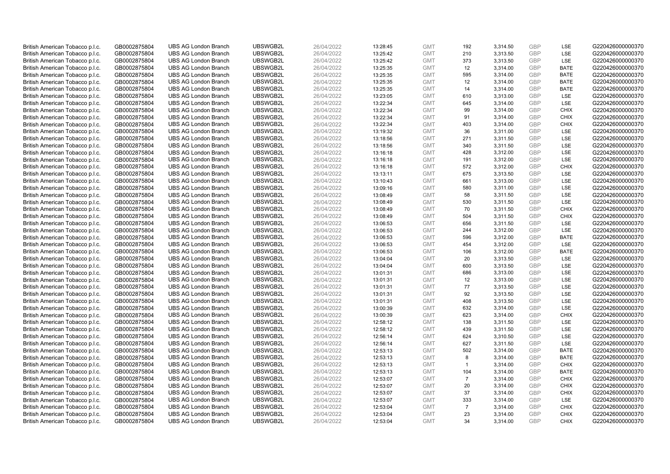| British American Tobacco p.l.c. | GB0002875804 | <b>UBS AG London Branch</b> | UBSWGB2L | 26/04/2022 | 13:28:45             | <b>GMT</b> | 192                 | 3,314.50 | <b>GBP</b> | LSE                        | G220426000000370 |
|---------------------------------|--------------|-----------------------------|----------|------------|----------------------|------------|---------------------|----------|------------|----------------------------|------------------|
| British American Tobacco p.l.c. | GB0002875804 | <b>UBS AG London Branch</b> | UBSWGB2L | 26/04/2022 | 13:25:42             | <b>GMT</b> | 210                 | 3,313.50 | GBP        | LSE                        | G220426000000370 |
| British American Tobacco p.l.c. | GB0002875804 | <b>UBS AG London Branch</b> | UBSWGB2L | 26/04/2022 | 13:25:42             | <b>GMT</b> | 373                 | 3,313.50 | <b>GBP</b> | LSE                        | G220426000000370 |
| British American Tobacco p.l.c. | GB0002875804 | <b>UBS AG London Branch</b> | UBSWGB2L | 26/04/2022 | 13:25:35             | <b>GMT</b> | 12                  | 3,314.00 | <b>GBP</b> | <b>BATE</b>                | G220426000000370 |
| British American Tobacco p.l.c. | GB0002875804 | <b>UBS AG London Branch</b> | UBSWGB2L | 26/04/2022 | 13:25:35             | <b>GMT</b> | 595                 | 3,314.00 | <b>GBP</b> | <b>BATE</b>                | G220426000000370 |
|                                 |              |                             |          |            |                      |            |                     |          |            |                            |                  |
| British American Tobacco p.l.c. | GB0002875804 | <b>UBS AG London Branch</b> | UBSWGB2L | 26/04/2022 | 13:25:35             | <b>GMT</b> | 12                  | 3,314.00 | <b>GBP</b> | BATE                       | G220426000000370 |
| British American Tobacco p.l.c. | GB0002875804 | <b>UBS AG London Branch</b> | UBSWGB2L | 26/04/2022 | 13:25:35             | <b>GMT</b> | 14                  | 3,314.00 | <b>GBP</b> | <b>BATE</b>                | G220426000000370 |
| British American Tobacco p.l.c. | GB0002875804 | <b>UBS AG London Branch</b> | UBSWGB2L | 26/04/2022 | 13:23:05             | <b>GMT</b> | 610                 | 3,313.00 | <b>GBP</b> | LSE                        | G220426000000370 |
| British American Tobacco p.l.c. | GB0002875804 | <b>UBS AG London Branch</b> | UBSWGB2L | 26/04/2022 | 13:22:34             | <b>GMT</b> | 645                 | 3,314.00 | <b>GBP</b> | LSE                        | G220426000000370 |
| British American Tobacco p.l.c. | GB0002875804 | <b>UBS AG London Branch</b> | UBSWGB2L | 26/04/2022 | 13:22:34             | <b>GMT</b> | 99                  | 3,314.00 | <b>GBP</b> | <b>CHIX</b>                | G220426000000370 |
| British American Tobacco p.l.c. | GB0002875804 | <b>UBS AG London Branch</b> | UBSWGB2L | 26/04/2022 | 13:22:34             | <b>GMT</b> | 91                  | 3,314.00 | <b>GBP</b> | <b>CHIX</b>                | G220426000000370 |
| British American Tobacco p.l.c. | GB0002875804 | <b>UBS AG London Branch</b> | UBSWGB2L | 26/04/2022 | 13:22:34             | <b>GMT</b> | 403                 | 3,314.00 | <b>GBP</b> | <b>CHIX</b>                | G220426000000370 |
| British American Tobacco p.l.c. | GB0002875804 | <b>UBS AG London Branch</b> | UBSWGB2L | 26/04/2022 | 13:19:32             | <b>GMT</b> | 36                  | 3,311.00 | <b>GBP</b> | LSE                        | G220426000000370 |
| British American Tobacco p.l.c. | GB0002875804 | <b>UBS AG London Branch</b> | UBSWGB2L | 26/04/2022 | 13:18:56             | <b>GMT</b> | 271                 | 3,311.50 | <b>GBP</b> | LSE                        | G220426000000370 |
| British American Tobacco p.l.c. | GB0002875804 | <b>UBS AG London Branch</b> | UBSWGB2L | 26/04/2022 | 13:18:56             | <b>GMT</b> | 340                 | 3,311.50 | GBP        | LSE                        | G220426000000370 |
| British American Tobacco p.l.c. | GB0002875804 | <b>UBS AG London Branch</b> | UBSWGB2L | 26/04/2022 | 13:16:18             | <b>GMT</b> | 428                 | 3,312.00 | <b>GBP</b> | LSE                        | G220426000000370 |
| British American Tobacco p.l.c. | GB0002875804 | <b>UBS AG London Branch</b> | UBSWGB2L | 26/04/2022 | 13:16:18             | <b>GMT</b> | 191                 | 3,312.00 | <b>GBP</b> | LSE                        | G220426000000370 |
| British American Tobacco p.l.c. | GB0002875804 | <b>UBS AG London Branch</b> | UBSWGB2L | 26/04/2022 | 13:16:18             | <b>GMT</b> | 572                 | 3,312.00 | <b>GBP</b> | <b>CHIX</b>                | G220426000000370 |
| British American Tobacco p.l.c. | GB0002875804 | <b>UBS AG London Branch</b> | UBSWGB2L | 26/04/2022 | 13:13:11             | <b>GMT</b> | 675                 | 3,313.50 | <b>GBP</b> | <b>LSE</b>                 | G220426000000370 |
| British American Tobacco p.l.c. | GB0002875804 | <b>UBS AG London Branch</b> | UBSWGB2L | 26/04/2022 | 13:10:43             | <b>GMT</b> | 661                 | 3,313.00 | <b>GBP</b> | LSE                        | G220426000000370 |
| British American Tobacco p.l.c. | GB0002875804 | <b>UBS AG London Branch</b> | UBSWGB2L | 26/04/2022 | 13:09:16             | <b>GMT</b> | 580                 | 3,311.00 | <b>GBP</b> | LSE                        | G220426000000370 |
| British American Tobacco p.l.c. | GB0002875804 | <b>UBS AG London Branch</b> | UBSWGB2L | 26/04/2022 | 13:08:49             | <b>GMT</b> | 58                  | 3,311.50 | <b>GBP</b> | LSE                        | G220426000000370 |
| British American Tobacco p.l.c. | GB0002875804 | <b>UBS AG London Branch</b> | UBSWGB2L | 26/04/2022 | 13:08:49             | <b>GMT</b> | 530                 | 3,311.50 | <b>GBP</b> | LSE                        | G220426000000370 |
| British American Tobacco p.l.c. | GB0002875804 | <b>UBS AG London Branch</b> | UBSWGB2L | 26/04/2022 | 13:08:49             | <b>GMT</b> | 70                  | 3,311.50 | <b>GBP</b> | <b>CHIX</b>                | G220426000000370 |
| British American Tobacco p.l.c. | GB0002875804 | <b>UBS AG London Branch</b> | UBSWGB2L | 26/04/2022 | 13:08:49             | <b>GMT</b> | 504                 | 3,311.50 | <b>GBP</b> | <b>CHIX</b>                | G220426000000370 |
| British American Tobacco p.l.c. | GB0002875804 | <b>UBS AG London Branch</b> | UBSWGB2L | 26/04/2022 | 13:06:53             | <b>GMT</b> | 656                 | 3,311.50 | <b>GBP</b> | LSE                        | G220426000000370 |
| British American Tobacco p.l.c. | GB0002875804 | <b>UBS AG London Branch</b> | UBSWGB2L | 26/04/2022 | 13:06:53             | <b>GMT</b> | 244                 | 3,312.00 | <b>GBP</b> | LSE                        | G220426000000370 |
| British American Tobacco p.l.c. | GB0002875804 | <b>UBS AG London Branch</b> | UBSWGB2L | 26/04/2022 | 13:06:53             | <b>GMT</b> | 596                 | 3,312.00 | <b>GBP</b> | <b>BATE</b>                | G220426000000370 |
| British American Tobacco p.l.c. | GB0002875804 | <b>UBS AG London Branch</b> | UBSWGB2L | 26/04/2022 | 13:06:53             | <b>GMT</b> | 454                 | 3,312.00 | <b>GBP</b> | LSE                        | G220426000000370 |
| British American Tobacco p.l.c. | GB0002875804 | <b>UBS AG London Branch</b> | UBSWGB2L | 26/04/2022 | 13:06:53             | <b>GMT</b> | 106                 | 3,312.00 | <b>GBP</b> | <b>BATE</b>                | G220426000000370 |
| British American Tobacco p.l.c. | GB0002875804 | <b>UBS AG London Branch</b> | UBSWGB2L | 26/04/2022 | 13:04:04             | <b>GMT</b> | 20                  | 3,313.50 | <b>GBP</b> | LSE                        | G220426000000370 |
| British American Tobacco p.l.c. | GB0002875804 | <b>UBS AG London Branch</b> | UBSWGB2L | 26/04/2022 | 13:04:04             | <b>GMT</b> | 600                 | 3,313.50 | <b>GBP</b> | LSE                        | G220426000000370 |
| British American Tobacco p.l.c. | GB0002875804 | <b>UBS AG London Branch</b> | UBSWGB2L | 26/04/2022 | 13:01:31             | <b>GMT</b> | 686                 | 3,313.00 | <b>GBP</b> | LSE                        | G220426000000370 |
| British American Tobacco p.l.c. | GB0002875804 | <b>UBS AG London Branch</b> | UBSWGB2L | 26/04/2022 | 13:01:31             | <b>GMT</b> | 12                  | 3,313.00 | <b>GBP</b> | LSE                        | G220426000000370 |
| British American Tobacco p.l.c. | GB0002875804 | <b>UBS AG London Branch</b> | UBSWGB2L | 26/04/2022 | 13:01:31             | <b>GMT</b> | 77                  | 3,313.50 | <b>GBP</b> | LSE                        | G220426000000370 |
| British American Tobacco p.l.c. | GB0002875804 | <b>UBS AG London Branch</b> | UBSWGB2L | 26/04/2022 | 13:01:31             | <b>GMT</b> | 92                  | 3,313.50 | <b>GBP</b> | LSE                        | G220426000000370 |
| British American Tobacco p.l.c. | GB0002875804 | <b>UBS AG London Branch</b> | UBSWGB2L | 26/04/2022 | 13:01:31             | <b>GMT</b> | 408                 | 3,313.50 | <b>GBP</b> | LSE                        | G220426000000370 |
| British American Tobacco p.l.c. | GB0002875804 | <b>UBS AG London Branch</b> | UBSWGB2L | 26/04/2022 | 13:00:39             | <b>GMT</b> | 632                 | 3,314.00 | <b>GBP</b> | LSE                        | G220426000000370 |
| British American Tobacco p.l.c. | GB0002875804 | <b>UBS AG London Branch</b> | UBSWGB2L | 26/04/2022 | 13:00:39             | <b>GMT</b> | 623                 | 3,314.00 | <b>GBP</b> | <b>CHIX</b>                | G220426000000370 |
| British American Tobacco p.l.c. | GB0002875804 | <b>UBS AG London Branch</b> | UBSWGB2L | 26/04/2022 | 12:58:12             | <b>GMT</b> | 138                 | 3,311.50 | <b>GBP</b> | LSE                        | G220426000000370 |
| British American Tobacco p.l.c. | GB0002875804 | <b>UBS AG London Branch</b> | UBSWGB2L | 26/04/2022 | 12:58:12             | <b>GMT</b> | 439                 | 3,311.50 | <b>GBP</b> | LSE                        | G220426000000370 |
| British American Tobacco p.l.c. | GB0002875804 | <b>UBS AG London Branch</b> | UBSWGB2L | 26/04/2022 | 12:56:14             | <b>GMT</b> | 624                 | 3,310.50 | <b>GBP</b> | LSE                        | G220426000000370 |
| British American Tobacco p.l.c. | GB0002875804 | <b>UBS AG London Branch</b> | UBSWGB2L | 26/04/2022 | 12:56:14             | <b>GMT</b> | 627                 | 3,311.50 | <b>GBP</b> | LSE                        | G220426000000370 |
| British American Tobacco p.l.c. | GB0002875804 | <b>UBS AG London Branch</b> | UBSWGB2L | 26/04/2022 |                      | <b>GMT</b> | 502                 | 3,314.00 | <b>GBP</b> | <b>BATE</b>                | G220426000000370 |
| British American Tobacco p.l.c. | GB0002875804 | <b>UBS AG London Branch</b> | UBSWGB2L | 26/04/2022 | 12:53:13<br>12:53:13 | <b>GMT</b> | 8                   | 3,314.00 | <b>GBP</b> | <b>BATE</b>                | G220426000000370 |
|                                 |              |                             |          |            |                      |            |                     |          |            |                            |                  |
| British American Tobacco p.l.c. | GB0002875804 | <b>UBS AG London Branch</b> | UBSWGB2L | 26/04/2022 | 12:53:13             | <b>GMT</b> | $\mathbf{1}$<br>104 | 3,314.00 | <b>GBP</b> | <b>CHIX</b><br><b>BATE</b> | G220426000000370 |
| British American Tobacco p.l.c. | GB0002875804 | <b>UBS AG London Branch</b> | UBSWGB2L | 26/04/2022 | 12:53:13             | <b>GMT</b> |                     | 3,314.00 | <b>GBP</b> |                            | G220426000000370 |
| British American Tobacco p.l.c. | GB0002875804 | <b>UBS AG London Branch</b> | UBSWGB2L | 26/04/2022 | 12:53:07             | <b>GMT</b> | $\overline{7}$      | 3,314.00 | <b>GBP</b> | <b>CHIX</b>                | G220426000000370 |
| British American Tobacco p.l.c. | GB0002875804 | <b>UBS AG London Branch</b> | UBSWGB2L | 26/04/2022 | 12:53:07             | <b>GMT</b> | 20                  | 3,314.00 | <b>GBP</b> | <b>CHIX</b>                | G220426000000370 |
| British American Tobacco p.l.c. | GB0002875804 | <b>UBS AG London Branch</b> | UBSWGB2L | 26/04/2022 | 12:53:07             | <b>GMT</b> | 37                  | 3,314.00 | <b>GBP</b> | <b>CHIX</b>                | G220426000000370 |
| British American Tobacco p.l.c. | GB0002875804 | <b>UBS AG London Branch</b> | UBSWGB2L | 26/04/2022 | 12:53:07             | <b>GMT</b> | 333                 | 3,314.00 | <b>GBP</b> | LSE                        | G220426000000370 |
| British American Tobacco p.l.c. | GB0002875804 | <b>UBS AG London Branch</b> | UBSWGB2L | 26/04/2022 | 12:53:04             | <b>GMT</b> | $\overline{7}$      | 3,314.00 | <b>GBP</b> | <b>CHIX</b>                | G220426000000370 |
| British American Tobacco p.l.c. | GB0002875804 | <b>UBS AG London Branch</b> | UBSWGB2L | 26/04/2022 | 12:53:04             | <b>GMT</b> | 23                  | 3,314.00 | <b>GBP</b> | <b>CHIX</b>                | G220426000000370 |
| British American Tobacco p.l.c. | GB0002875804 | <b>UBS AG London Branch</b> | UBSWGB2L | 26/04/2022 | 12:53:04             | <b>GMT</b> | 34                  | 3.314.00 | GBP        | <b>CHIX</b>                | G220426000000370 |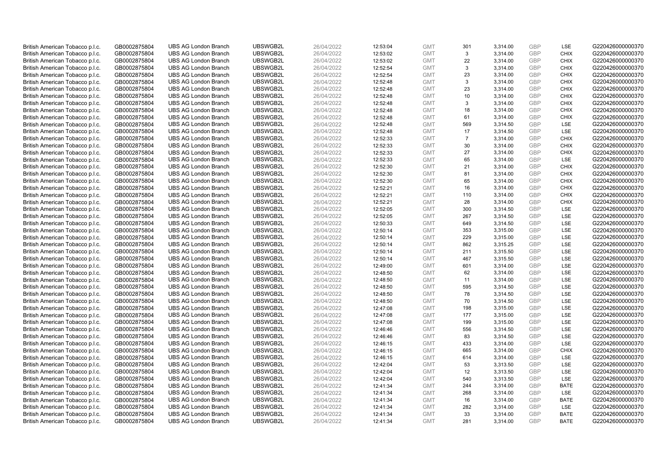| British American Tobacco p.l.c. | GB0002875804 | <b>UBS AG London Branch</b> | UBSWGB2L | 26/04/2022 | 12:53:04 | <b>GMT</b> | 301            | 3,314.00 | <b>GBP</b> | LSE         | G220426000000370 |
|---------------------------------|--------------|-----------------------------|----------|------------|----------|------------|----------------|----------|------------|-------------|------------------|
| British American Tobacco p.l.c. | GB0002875804 | <b>UBS AG London Branch</b> | UBSWGB2L | 26/04/2022 | 12:53:02 | <b>GMT</b> | 3              | 3,314.00 | GBP        | <b>CHIX</b> | G220426000000370 |
| British American Tobacco p.l.c. | GB0002875804 | <b>UBS AG London Branch</b> | UBSWGB2L | 26/04/2022 | 12:53:02 | <b>GMT</b> | 22             | 3,314.00 | GBP        | <b>CHIX</b> | G220426000000370 |
| British American Tobacco p.l.c. | GB0002875804 | <b>UBS AG London Branch</b> | UBSWGB2L | 26/04/2022 | 12:52:54 | <b>GMT</b> | 3              | 3,314.00 | GBP        | <b>CHIX</b> | G220426000000370 |
| British American Tobacco p.l.c. | GB0002875804 | <b>UBS AG London Branch</b> | UBSWGB2L | 26/04/2022 | 12:52:54 | <b>GMT</b> | 23             | 3,314.00 | <b>GBP</b> | <b>CHIX</b> | G220426000000370 |
| British American Tobacco p.l.c. | GB0002875804 | <b>UBS AG London Branch</b> | UBSWGB2L | 26/04/2022 | 12:52:48 | <b>GMT</b> | 3              | 3,314.00 | <b>GBP</b> | <b>CHIX</b> | G220426000000370 |
| British American Tobacco p.l.c. | GB0002875804 | <b>UBS AG London Branch</b> | UBSWGB2L | 26/04/2022 | 12:52:48 | <b>GMT</b> | 23             | 3,314.00 | GBP        | <b>CHIX</b> | G220426000000370 |
| British American Tobacco p.l.c. | GB0002875804 | <b>UBS AG London Branch</b> | UBSWGB2L | 26/04/2022 | 12:52:48 | <b>GMT</b> | 10             | 3,314.00 | GBP        | <b>CHIX</b> | G220426000000370 |
| British American Tobacco p.l.c. | GB0002875804 | <b>UBS AG London Branch</b> | UBSWGB2L | 26/04/2022 | 12:52:48 | <b>GMT</b> | 3              | 3,314.00 | GBP        | <b>CHIX</b> | G220426000000370 |
| British American Tobacco p.l.c. | GB0002875804 | <b>UBS AG London Branch</b> | UBSWGB2L | 26/04/2022 | 12:52:48 | <b>GMT</b> | 18             | 3,314.00 | <b>GBP</b> | <b>CHIX</b> | G220426000000370 |
| British American Tobacco p.l.c. | GB0002875804 | <b>UBS AG London Branch</b> | UBSWGB2L | 26/04/2022 | 12:52:48 | <b>GMT</b> | 61             | 3,314.00 | GBP        | <b>CHIX</b> | G220426000000370 |
| British American Tobacco p.l.c. | GB0002875804 | <b>UBS AG London Branch</b> | UBSWGB2L | 26/04/2022 | 12:52:48 | <b>GMT</b> | 569            | 3,314.50 | <b>GBP</b> | LSE         | G220426000000370 |
| British American Tobacco p.l.c. | GB0002875804 | <b>UBS AG London Branch</b> | UBSWGB2L | 26/04/2022 | 12:52:48 | <b>GMT</b> | 17             | 3,314.50 | GBP        | LSE         | G220426000000370 |
| British American Tobacco p.l.c. | GB0002875804 | <b>UBS AG London Branch</b> | UBSWGB2L | 26/04/2022 | 12:52:33 | <b>GMT</b> | $\overline{7}$ | 3,314.00 | <b>GBP</b> | <b>CHIX</b> | G220426000000370 |
| British American Tobacco p.l.c. | GB0002875804 | <b>UBS AG London Branch</b> | UBSWGB2L | 26/04/2022 | 12:52:33 | <b>GMT</b> | 30             | 3,314.00 | GBP        | <b>CHIX</b> | G220426000000370 |
| British American Tobacco p.l.c. | GB0002875804 | <b>UBS AG London Branch</b> | UBSWGB2L | 26/04/2022 | 12:52:33 | <b>GMT</b> | 27             | 3,314.00 | <b>GBP</b> | <b>CHIX</b> | G220426000000370 |
| British American Tobacco p.l.c. | GB0002875804 | <b>UBS AG London Branch</b> | UBSWGB2L | 26/04/2022 | 12:52:33 | <b>GMT</b> | 65             | 3,314.00 | GBP        | <b>LSE</b>  | G220426000000370 |
| British American Tobacco p.l.c. | GB0002875804 | <b>UBS AG London Branch</b> | UBSWGB2L | 26/04/2022 | 12:52:30 | <b>GMT</b> | 21             | 3,314.00 | <b>GBP</b> | <b>CHIX</b> | G220426000000370 |
| British American Tobacco p.l.c. | GB0002875804 | <b>UBS AG London Branch</b> | UBSWGB2L | 26/04/2022 | 12:52:30 | <b>GMT</b> | 81             | 3,314.00 | GBP        | <b>CHIX</b> | G220426000000370 |
| British American Tobacco p.l.c. | GB0002875804 | <b>UBS AG London Branch</b> | UBSWGB2L | 26/04/2022 | 12:52:30 | <b>GMT</b> | 65             | 3,314.00 | <b>GBP</b> | <b>CHIX</b> | G220426000000370 |
| British American Tobacco p.l.c. | GB0002875804 | <b>UBS AG London Branch</b> | UBSWGB2L | 26/04/2022 | 12:52:21 | <b>GMT</b> | 16             | 3,314.00 | GBP        | <b>CHIX</b> | G220426000000370 |
| British American Tobacco p.l.c. | GB0002875804 | <b>UBS AG London Branch</b> | UBSWGB2L | 26/04/2022 | 12:52:21 | <b>GMT</b> | 110            | 3,314.00 | GBP        | <b>CHIX</b> | G220426000000370 |
| British American Tobacco p.l.c. | GB0002875804 | <b>UBS AG London Branch</b> | UBSWGB2L | 26/04/2022 | 12:52:21 | <b>GMT</b> | 28             | 3,314.00 | GBP        | <b>CHIX</b> | G220426000000370 |
| British American Tobacco p.l.c. | GB0002875804 | <b>UBS AG London Branch</b> | UBSWGB2L | 26/04/2022 | 12:52:05 | <b>GMT</b> | 300            | 3,314.50 | GBP        | <b>LSE</b>  | G220426000000370 |
| British American Tobacco p.l.c. | GB0002875804 | <b>UBS AG London Branch</b> | UBSWGB2L | 26/04/2022 | 12:52:05 | <b>GMT</b> | 267            | 3,314.50 | <b>GBP</b> | LSE         | G220426000000370 |
| British American Tobacco p.l.c. | GB0002875804 | <b>UBS AG London Branch</b> | UBSWGB2L | 26/04/2022 | 12:50:33 | <b>GMT</b> | 649            | 3,314.50 | <b>GBP</b> | LSE         | G220426000000370 |
| British American Tobacco p.l.c. | GB0002875804 | <b>UBS AG London Branch</b> | UBSWGB2L | 26/04/2022 | 12:50:14 | <b>GMT</b> | 353            | 3,315.00 | <b>GBP</b> | LSE         | G220426000000370 |
| British American Tobacco p.l.c. | GB0002875804 | <b>UBS AG London Branch</b> | UBSWGB2L | 26/04/2022 | 12:50:14 | <b>GMT</b> | 229            | 3,315.00 | GBP        | <b>LSE</b>  | G220426000000370 |
| British American Tobacco p.l.c. | GB0002875804 | <b>UBS AG London Branch</b> | UBSWGB2L | 26/04/2022 | 12:50:14 | <b>GMT</b> | 862            | 3,315.25 | <b>GBP</b> | LSE         | G220426000000370 |
| British American Tobacco p.l.c. | GB0002875804 | <b>UBS AG London Branch</b> | UBSWGB2L | 26/04/2022 | 12:50:14 | <b>GMT</b> | 211            | 3,315.50 | <b>GBP</b> | LSE         | G220426000000370 |
| British American Tobacco p.l.c. | GB0002875804 | <b>UBS AG London Branch</b> | UBSWGB2L | 26/04/2022 | 12:50:14 | <b>GMT</b> | 467            | 3,315.50 | <b>GBP</b> | LSE         | G220426000000370 |
| British American Tobacco p.l.c. | GB0002875804 | <b>UBS AG London Branch</b> | UBSWGB2L | 26/04/2022 | 12:49:00 | <b>GMT</b> | 601            | 3,314.00 | <b>GBP</b> | <b>LSE</b>  | G220426000000370 |
| British American Tobacco p.l.c. | GB0002875804 | <b>UBS AG London Branch</b> | UBSWGB2L | 26/04/2022 | 12:48:50 | <b>GMT</b> | 62             | 3,314.00 | <b>GBP</b> | LSE         | G220426000000370 |
| British American Tobacco p.l.c. | GB0002875804 | <b>UBS AG London Branch</b> | UBSWGB2L | 26/04/2022 | 12:48:50 | <b>GMT</b> | 11             | 3,314.00 | GBP        | LSE         | G220426000000370 |
| British American Tobacco p.l.c. | GB0002875804 | <b>UBS AG London Branch</b> | UBSWGB2L | 26/04/2022 | 12:48:50 | <b>GMT</b> | 595            | 3,314.50 | GBP        | LSE         | G220426000000370 |
| British American Tobacco p.l.c. | GB0002875804 | <b>UBS AG London Branch</b> | UBSWGB2L | 26/04/2022 | 12:48:50 | <b>GMT</b> | 78             | 3,314.50 | GBP        | LSE         | G220426000000370 |
| British American Tobacco p.l.c. | GB0002875804 | <b>UBS AG London Branch</b> | UBSWGB2L | 26/04/2022 | 12:48:50 | <b>GMT</b> | 70             | 3,314.50 | GBP        | LSE         | G220426000000370 |
| British American Tobacco p.l.c. | GB0002875804 | <b>UBS AG London Branch</b> | UBSWGB2L | 26/04/2022 | 12:47:08 | <b>GMT</b> | 198            | 3,315.00 | <b>GBP</b> | LSE         | G220426000000370 |
| British American Tobacco p.l.c. | GB0002875804 | <b>UBS AG London Branch</b> | UBSWGB2L | 26/04/2022 | 12:47:08 | <b>GMT</b> | 177            | 3,315.00 | <b>GBP</b> | LSE         | G220426000000370 |
| British American Tobacco p.l.c. | GB0002875804 | <b>UBS AG London Branch</b> | UBSWGB2L | 26/04/2022 | 12:47:08 | <b>GMT</b> | 199            | 3,315.00 | GBP        | <b>LSE</b>  | G220426000000370 |
| British American Tobacco p.l.c. | GB0002875804 | <b>UBS AG London Branch</b> | UBSWGB2L | 26/04/2022 | 12:46:46 | <b>GMT</b> | 556            | 3,314.50 | <b>GBP</b> | <b>LSE</b>  | G220426000000370 |
| British American Tobacco p.l.c. | GB0002875804 | <b>UBS AG London Branch</b> | UBSWGB2L | 26/04/2022 | 12:46:46 | <b>GMT</b> | 83             | 3,314.50 | <b>GBP</b> | LSE         | G220426000000370 |
| British American Tobacco p.l.c. | GB0002875804 | <b>UBS AG London Branch</b> | UBSWGB2L | 26/04/2022 | 12:46:15 | <b>GMT</b> | 433            | 3,314.00 | <b>GBP</b> | LSE         | G220426000000370 |
| British American Tobacco p.l.c. | GB0002875804 | <b>UBS AG London Branch</b> | UBSWGB2L | 26/04/2022 | 12:46:15 | <b>GMT</b> | 665            | 3,314.00 | GBP        | <b>CHIX</b> | G220426000000370 |
| British American Tobacco p.l.c. | GB0002875804 | <b>UBS AG London Branch</b> | UBSWGB2L | 26/04/2022 | 12:46:15 | <b>GMT</b> | 614            | 3,314.00 | <b>GBP</b> | <b>LSE</b>  | G220426000000370 |
| British American Tobacco p.l.c. | GB0002875804 | <b>UBS AG London Branch</b> | UBSWGB2L | 26/04/2022 | 12:42:04 | <b>GMT</b> | 53             | 3,313.50 | <b>GBP</b> | LSE         | G220426000000370 |
| British American Tobacco p.l.c. | GB0002875804 | <b>UBS AG London Branch</b> | UBSWGB2L | 26/04/2022 | 12:42:04 | <b>GMT</b> | 12             | 3,313.50 | <b>GBP</b> | LSE         | G220426000000370 |
| British American Tobacco p.l.c. | GB0002875804 | <b>UBS AG London Branch</b> | UBSWGB2L | 26/04/2022 | 12:42:04 | <b>GMT</b> | 540            | 3,313.50 | GBP        | LSE         | G220426000000370 |
| British American Tobacco p.l.c. | GB0002875804 | <b>UBS AG London Branch</b> | UBSWGB2L | 26/04/2022 | 12:41:34 | <b>GMT</b> | 244            | 3,314.00 | <b>GBP</b> | <b>BATE</b> | G220426000000370 |
| British American Tobacco p.l.c. | GB0002875804 | <b>UBS AG London Branch</b> | UBSWGB2L | 26/04/2022 | 12:41:34 | <b>GMT</b> | 268            | 3,314.00 | GBP        | <b>LSE</b>  | G220426000000370 |
| British American Tobacco p.l.c. | GB0002875804 | <b>UBS AG London Branch</b> | UBSWGB2L | 26/04/2022 | 12:41:34 | <b>GMT</b> | 16             | 3,314.00 | GBP        | <b>BATE</b> | G220426000000370 |
| British American Tobacco p.l.c. | GB0002875804 | <b>UBS AG London Branch</b> | UBSWGB2L | 26/04/2022 | 12:41:34 | <b>GMT</b> | 282            | 3,314.00 | <b>GBP</b> | LSE         | G220426000000370 |
| British American Tobacco p.l.c. | GB0002875804 | <b>UBS AG London Branch</b> | UBSWGB2L | 26/04/2022 | 12:41:34 | <b>GMT</b> | 33             | 3,314.00 | GBP        | <b>BATE</b> | G220426000000370 |
| British American Tobacco p.l.c. | GB0002875804 | <b>UBS AG London Branch</b> | UBSWGB2L | 26/04/2022 | 12:41:34 | <b>GMT</b> | 281            | 3.314.00 | GBP        | <b>BATE</b> | G220426000000370 |
|                                 |              |                             |          |            |          |            |                |          |            |             |                  |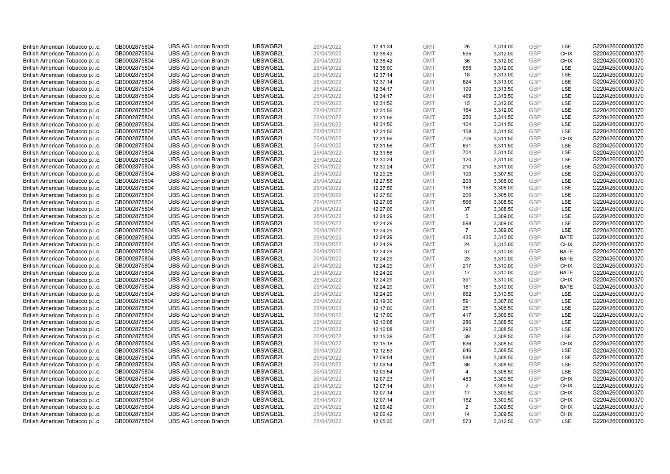| British American Tobacco p.l.c.                                    | GB0002875804 | <b>UBS AG London Branch</b>                                | UBSWGB2L | 26/04/2022 | 12:41:34 | <b>GMT</b>               | 26             | 3,314.00 | <b>GBP</b>               | LSE         | G220426000000370 |
|--------------------------------------------------------------------|--------------|------------------------------------------------------------|----------|------------|----------|--------------------------|----------------|----------|--------------------------|-------------|------------------|
| British American Tobacco p.l.c.                                    | GB0002875804 | <b>UBS AG London Branch</b>                                | UBSWGB2L | 26/04/2022 | 12:38:42 | <b>GMT</b>               | 595            | 3,312.00 | <b>GBP</b>               | <b>CHIX</b> | G220426000000370 |
| British American Tobacco p.l.c.                                    | GB0002875804 | <b>UBS AG London Branch</b>                                | UBSWGB2L | 26/04/2022 | 12:38:42 | <b>GMT</b>               | 36             | 3,312.00 | <b>GBP</b>               | <b>CHIX</b> | G220426000000370 |
| British American Tobacco p.l.c.                                    | GB0002875804 | <b>UBS AG London Branch</b>                                | UBSWGB2L | 26/04/2022 | 12:38:00 | <b>GMT</b>               | 655            | 3,312.00 | <b>GBP</b>               | LSE         | G220426000000370 |
| British American Tobacco p.l.c.                                    | GB0002875804 | <b>UBS AG London Branch</b>                                | UBSWGB2L | 26/04/2022 | 12:37:14 | <b>GMT</b>               | 18             | 3,313.00 | <b>GBP</b>               | LSE         | G220426000000370 |
| British American Tobacco p.l.c.                                    | GB0002875804 | <b>UBS AG London Branch</b>                                | UBSWGB2L | 26/04/2022 | 12:37:14 | <b>GMT</b>               | 624            | 3,313.00 | <b>GBP</b>               | LSE         | G220426000000370 |
| British American Tobacco p.l.c.                                    | GB0002875804 | <b>UBS AG London Branch</b>                                | UBSWGB2L | 26/04/2022 | 12:34:17 | <b>GMT</b>               | 190            | 3,313.50 | <b>GBP</b>               | LSE         | G220426000000370 |
| British American Tobacco p.l.c.                                    | GB0002875804 | <b>UBS AG London Branch</b>                                | UBSWGB2L | 26/04/2022 | 12:34:17 | <b>GMT</b>               | 469            | 3,313.50 | <b>GBP</b>               | LSE         | G220426000000370 |
| British American Tobacco p.l.c.                                    | GB0002875804 | <b>UBS AG London Branch</b>                                | UBSWGB2L | 26/04/2022 | 12:31:56 | <b>GMT</b>               | 15             | 3,312.00 | <b>GBP</b>               | LSE         | G220426000000370 |
| British American Tobacco p.l.c.                                    | GB0002875804 | <b>UBS AG London Branch</b>                                | UBSWGB2L | 26/04/2022 | 12:31:56 | <b>GMT</b>               | 164            | 3,312.00 | <b>GBP</b>               | LSE         | G220426000000370 |
| British American Tobacco p.l.c.                                    | GB0002875804 | <b>UBS AG London Branch</b>                                | UBSWGB2L | 26/04/2022 | 12:31:56 | <b>GMT</b>               | 250            | 3,311.50 | <b>GBP</b>               | LSE         | G220426000000370 |
| British American Tobacco p.l.c.                                    | GB0002875804 | <b>UBS AG London Branch</b>                                | UBSWGB2L | 26/04/2022 | 12:31:56 | <b>GMT</b>               | 164            | 3,311.50 | <b>GBP</b>               | LSE         | G220426000000370 |
| British American Tobacco p.l.c.                                    | GB0002875804 | <b>UBS AG London Branch</b>                                | UBSWGB2L | 26/04/2022 | 12:31:56 | <b>GMT</b>               | 158            | 3,311.50 | <b>GBP</b>               | LSE         | G220426000000370 |
|                                                                    | GB0002875804 | <b>UBS AG London Branch</b>                                | UBSWGB2L | 26/04/2022 |          | <b>GMT</b>               | 706            | 3,311.50 | <b>GBP</b>               | <b>CHIX</b> | G220426000000370 |
| British American Tobacco p.l.c.<br>British American Tobacco p.l.c. | GB0002875804 | <b>UBS AG London Branch</b>                                | UBSWGB2L | 26/04/2022 | 12:31:56 | <b>GMT</b>               | 691            | 3,311.50 | <b>GBP</b>               | LSE         | G220426000000370 |
|                                                                    |              |                                                            | UBSWGB2L |            | 12:31:56 |                          |                |          |                          | LSE         | G220426000000370 |
| British American Tobacco p.l.c.                                    | GB0002875804 | <b>UBS AG London Branch</b><br><b>UBS AG London Branch</b> |          | 26/04/2022 | 12:31:56 | <b>GMT</b><br><b>GMT</b> | 704            | 3,311.50 | <b>GBP</b><br><b>GBP</b> |             | G220426000000370 |
| British American Tobacco p.l.c.                                    | GB0002875804 |                                                            | UBSWGB2L | 26/04/2022 | 12:30:24 |                          | 120            | 3,311.00 |                          | LSE         |                  |
| British American Tobacco p.l.c.                                    | GB0002875804 | <b>UBS AG London Branch</b>                                | UBSWGB2L | 26/04/2022 | 12:30:24 | <b>GMT</b>               | 210            | 3,311.00 | <b>GBP</b>               | LSE         | G220426000000370 |
| British American Tobacco p.l.c.                                    | GB0002875804 | <b>UBS AG London Branch</b>                                | UBSWGB2L | 26/04/2022 | 12:29:25 | <b>GMT</b>               | 100            | 3,307.50 | <b>GBP</b>               | <b>LSE</b>  | G220426000000370 |
| British American Tobacco p.l.c.                                    | GB0002875804 | <b>UBS AG London Branch</b>                                | UBSWGB2L | 26/04/2022 | 12:27:56 | <b>GMT</b>               | 209            | 3,308.00 | <b>GBP</b>               | LSE         | G220426000000370 |
| British American Tobacco p.l.c.                                    | GB0002875804 | <b>UBS AG London Branch</b>                                | UBSWGB2L | 26/04/2022 | 12:27:56 | <b>GMT</b>               | 158            | 3,308.00 | <b>GBP</b>               | LSE         | G220426000000370 |
| British American Tobacco p.l.c.                                    | GB0002875804 | <b>UBS AG London Branch</b>                                | UBSWGB2L | 26/04/2022 | 12:27:56 | <b>GMT</b>               | 200            | 3,308.00 | <b>GBP</b>               | LSE         | G220426000000370 |
| British American Tobacco p.l.c.                                    | GB0002875804 | <b>UBS AG London Branch</b>                                | UBSWGB2L | 26/04/2022 | 12:27:06 | <b>GMT</b>               | 566            | 3,308.50 | <b>GBP</b>               | LSE         | G220426000000370 |
| British American Tobacco p.l.c.                                    | GB0002875804 | <b>UBS AG London Branch</b>                                | UBSWGB2L | 26/04/2022 | 12:27:06 | <b>GMT</b>               | 37             | 3,308.50 | <b>GBP</b>               | LSE         | G220426000000370 |
| British American Tobacco p.l.c.                                    | GB0002875804 | <b>UBS AG London Branch</b>                                | UBSWGB2L | 26/04/2022 | 12:24:29 | <b>GMT</b>               | 5              | 3,309.00 | <b>GBP</b>               | LSE         | G220426000000370 |
| British American Tobacco p.l.c.                                    | GB0002875804 | <b>UBS AG London Branch</b>                                | UBSWGB2L | 26/04/2022 | 12:24:29 | <b>GMT</b>               | 598            | 3,309.00 | <b>GBP</b>               | LSE         | G220426000000370 |
| British American Tobacco p.l.c.                                    | GB0002875804 | <b>UBS AG London Branch</b>                                | UBSWGB2L | 26/04/2022 | 12:24:29 | <b>GMT</b>               | $\overline{7}$ | 3,309.00 | <b>GBP</b>               | LSE         | G220426000000370 |
| British American Tobacco p.l.c.                                    | GB0002875804 | <b>UBS AG London Branch</b>                                | UBSWGB2L | 26/04/2022 | 12:24:29 | <b>GMT</b>               | 435            | 3,310.00 | <b>GBP</b>               | <b>BATE</b> | G220426000000370 |
| British American Tobacco p.l.c.                                    | GB0002875804 | <b>UBS AG London Branch</b>                                | UBSWGB2L | 26/04/2022 | 12:24:29 | <b>GMT</b>               | 24             | 3,310.00 | <b>GBP</b>               | <b>CHIX</b> | G220426000000370 |
| British American Tobacco p.l.c.                                    | GB0002875804 | <b>UBS AG London Branch</b>                                | UBSWGB2L | 26/04/2022 | 12:24:29 | <b>GMT</b>               | 37             | 3,310.00 | <b>GBP</b>               | <b>BATE</b> | G220426000000370 |
| British American Tobacco p.l.c.                                    | GB0002875804 | <b>UBS AG London Branch</b>                                | UBSWGB2L | 26/04/2022 | 12:24:29 | <b>GMT</b>               | 23             | 3,310.00 | <b>GBP</b>               | <b>BATE</b> | G220426000000370 |
| British American Tobacco p.l.c.                                    | GB0002875804 | <b>UBS AG London Branch</b>                                | UBSWGB2L | 26/04/2022 | 12:24:29 | <b>GMT</b>               | 217            | 3,310.00 | <b>GBP</b>               | <b>CHIX</b> | G220426000000370 |
| British American Tobacco p.l.c.                                    | GB0002875804 | <b>UBS AG London Branch</b>                                | UBSWGB2L | 26/04/2022 | 12:24:29 | <b>GMT</b>               | 17             | 3,310.00 | <b>GBP</b>               | <b>BATE</b> | G220426000000370 |
| British American Tobacco p.l.c.                                    | GB0002875804 | <b>UBS AG London Branch</b>                                | UBSWGB2L | 26/04/2022 | 12:24:29 | <b>GMT</b>               | 391            | 3,310.00 | <b>GBP</b>               | <b>CHIX</b> | G220426000000370 |
| British American Tobacco p.l.c.                                    | GB0002875804 | <b>UBS AG London Branch</b>                                | UBSWGB2L | 26/04/2022 | 12:24:29 | <b>GMT</b>               | 161            | 3,310.00 | <b>GBP</b>               | <b>BATE</b> | G220426000000370 |
| British American Tobacco p.l.c.                                    | GB0002875804 | <b>UBS AG London Branch</b>                                | UBSWGB2L | 26/04/2022 | 12:24:29 | <b>GMT</b>               | 662            | 3,310.50 | <b>GBP</b>               | LSE         | G220426000000370 |
| British American Tobacco p.l.c.                                    | GB0002875804 | <b>UBS AG London Branch</b>                                | UBSWGB2L | 26/04/2022 | 12:19:30 | <b>GMT</b>               | 591            | 3,307.00 | <b>GBP</b>               | LSE         | G220426000000370 |
| British American Tobacco p.l.c.                                    | GB0002875804 | <b>UBS AG London Branch</b>                                | UBSWGB2L | 26/04/2022 | 12:17:00 | <b>GMT</b>               | 251            | 3,306.50 | <b>GBP</b>               | LSE         | G220426000000370 |
| British American Tobacco p.l.c.                                    | GB0002875804 | <b>UBS AG London Branch</b>                                | UBSWGB2L | 26/04/2022 | 12:17:00 | <b>GMT</b>               | 417            | 3,306.50 | <b>GBP</b>               | LSE         | G220426000000370 |
| British American Tobacco p.l.c.                                    | GB0002875804 | <b>UBS AG London Branch</b>                                | UBSWGB2L | 26/04/2022 | 12:16:08 | <b>GMT</b>               | 286            | 3,308.50 | <b>GBP</b>               | LSE         | G220426000000370 |
| British American Tobacco p.l.c.                                    | GB0002875804 | <b>UBS AG London Branch</b>                                | UBSWGB2L | 26/04/2022 | 12:16:08 | <b>GMT</b>               | 292            | 3,308.50 | <b>GBP</b>               | LSE         | G220426000000370 |
| British American Tobacco p.l.c.                                    | GB0002875804 | <b>UBS AG London Branch</b>                                | UBSWGB2L | 26/04/2022 | 12:15:39 | <b>GMT</b>               | 39             | 3,308.50 | <b>GBP</b>               | LSE         | G220426000000370 |
| British American Tobacco p.l.c.                                    | GB0002875804 | <b>UBS AG London Branch</b>                                | UBSWGB2L | 26/04/2022 | 12:15:18 | <b>GMT</b>               | 636            | 3,308.50 | <b>GBP</b>               | <b>CHIX</b> | G220426000000370 |
| British American Tobacco p.l.c.                                    | GB0002875804 | <b>UBS AG London Branch</b>                                | UBSWGB2L | 26/04/2022 | 12:12:53 | <b>GMT</b>               | 646            | 3,308.50 | <b>GBP</b>               | LSE         | G220426000000370 |
| British American Tobacco p.l.c.                                    | GB0002875804 | <b>UBS AG London Branch</b>                                | UBSWGB2L | 26/04/2022 | 12:09:54 | <b>GMT</b>               | 588            | 3,308.50 | <b>GBP</b>               | LSE         | G220426000000370 |
| British American Tobacco p.l.c.                                    | GB0002875804 | <b>UBS AG London Branch</b>                                | UBSWGB2L | 26/04/2022 | 12:09:54 | <b>GMT</b>               | 86             | 3,308.50 | <b>GBP</b>               | LSE         | G220426000000370 |
| British American Tobacco p.l.c.                                    | GB0002875804 | <b>UBS AG London Branch</b>                                | UBSWGB2L | 26/04/2022 | 12:09:54 | <b>GMT</b>               | $\overline{4}$ | 3,308.50 | <b>GBP</b>               | LSE         | G220426000000370 |
| British American Tobacco p.l.c.                                    | GB0002875804 | <b>UBS AG London Branch</b>                                | UBSWGB2L | 26/04/2022 | 12:07:23 | <b>GMT</b>               | 483            | 3,309.50 | <b>GBP</b>               | <b>CHIX</b> | G220426000000370 |
| British American Tobacco p.l.c.                                    | GB0002875804 | <b>UBS AG London Branch</b>                                | UBSWGB2L | 26/04/2022 | 12:07:14 | <b>GMT</b>               | 2              | 3,309.50 | <b>GBP</b>               | <b>CHIX</b> | G220426000000370 |
| British American Tobacco p.l.c.                                    | GB0002875804 | <b>UBS AG London Branch</b>                                | UBSWGB2L | 26/04/2022 | 12:07:14 | <b>GMT</b>               | 17             | 3,309.50 | <b>GBP</b>               | <b>CHIX</b> | G220426000000370 |
| British American Tobacco p.l.c.                                    | GB0002875804 | <b>UBS AG London Branch</b>                                | UBSWGB2L | 26/04/2022 | 12:07:14 | <b>GMT</b>               | 152            | 3,309.50 | <b>GBP</b>               | <b>CHIX</b> | G220426000000370 |
| British American Tobacco p.l.c.                                    | GB0002875804 | <b>UBS AG London Branch</b>                                | UBSWGB2L | 26/04/2022 | 12:06:42 | <b>GMT</b>               | $\overline{2}$ | 3,309.50 | <b>GBP</b>               | <b>CHIX</b> | G220426000000370 |
| British American Tobacco p.l.c.                                    | GB0002875804 | <b>UBS AG London Branch</b>                                | UBSWGB2L | 26/04/2022 | 12:06:42 | <b>GMT</b>               | 14             | 3,309.50 | <b>GBP</b>               | <b>CHIX</b> | G220426000000370 |
| British American Tobacco p.l.c.                                    | GB0002875804 | <b>UBS AG London Branch</b>                                | UBSWGB2L | 26/04/2022 | 12:05:35 | <b>GMT</b>               | 573            | 3.312.50 | GBP                      | LSE         | G220426000000370 |
|                                                                    |              |                                                            |          |            |          |                          |                |          |                          |             |                  |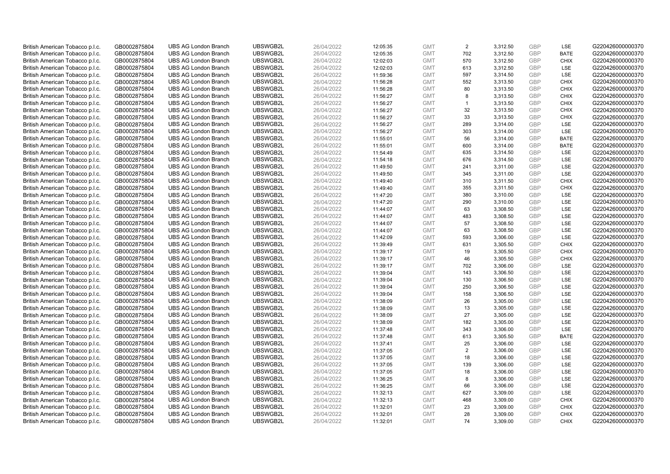| British American Tobacco p.l.c.                                    | GB0002875804                 | <b>UBS AG London Branch</b>                                | UBSWGB2L             | 26/04/2022               | 12:05:35             | <b>GMT</b>               | 2              | 3,312.50             | <b>GBP</b>               | LSE                        | G220426000000370                     |
|--------------------------------------------------------------------|------------------------------|------------------------------------------------------------|----------------------|--------------------------|----------------------|--------------------------|----------------|----------------------|--------------------------|----------------------------|--------------------------------------|
| British American Tobacco p.l.c.                                    | GB0002875804                 | <b>UBS AG London Branch</b>                                | UBSWGB2L             | 26/04/2022               | 12:05:35             | <b>GMT</b>               | 702            | 3,312.50             | GBP                      | <b>BATE</b>                | G220426000000370                     |
| British American Tobacco p.l.c.                                    | GB0002875804                 | <b>UBS AG London Branch</b>                                | UBSWGB2L             | 26/04/2022               | 12:02:03             | <b>GMT</b>               | 570            | 3,312.50             | GBP                      | <b>CHIX</b>                | G220426000000370                     |
| British American Tobacco p.l.c.                                    | GB0002875804                 | <b>UBS AG London Branch</b>                                | UBSWGB2L             | 26/04/2022               | 12:02:03             | <b>GMT</b>               | 613            | 3,312.50             | GBP                      | <b>LSE</b>                 | G220426000000370                     |
| British American Tobacco p.l.c.                                    | GB0002875804                 | <b>UBS AG London Branch</b>                                | UBSWGB2L             | 26/04/2022               | 11:59:36             | <b>GMT</b>               | 597            | 3,314.50             | <b>GBP</b>               | LSE                        | G220426000000370                     |
| British American Tobacco p.l.c.                                    | GB0002875804                 | <b>UBS AG London Branch</b>                                | UBSWGB2L             | 26/04/2022               | 11:56:28             | <b>GMT</b>               | 552            | 3,313.50             | <b>GBP</b>               | <b>CHIX</b>                | G220426000000370                     |
| British American Tobacco p.l.c.                                    | GB0002875804                 | <b>UBS AG London Branch</b>                                | UBSWGB2L             | 26/04/2022               | 11:56:28             | <b>GMT</b>               | 80             | 3,313.50             | GBP                      | <b>CHIX</b>                | G220426000000370                     |
| British American Tobacco p.l.c.                                    | GB0002875804                 | <b>UBS AG London Branch</b>                                | UBSWGB2L             | 26/04/2022               | 11:56:27             | <b>GMT</b>               | 8              | 3,313.50             | GBP                      | <b>CHIX</b>                | G220426000000370                     |
| British American Tobacco p.l.c.                                    | GB0002875804                 | <b>UBS AG London Branch</b>                                | UBSWGB2L             | 26/04/2022               | 11:56:27             | <b>GMT</b>               |                | 3,313.50             | GBP                      | <b>CHIX</b>                | G220426000000370                     |
| British American Tobacco p.l.c.                                    | GB0002875804                 | <b>UBS AG London Branch</b>                                | UBSWGB2L             | 26/04/2022               | 11:56:27             | <b>GMT</b>               | 32             | 3,313.50             | <b>GBP</b>               | <b>CHIX</b>                | G220426000000370                     |
| British American Tobacco p.l.c.                                    | GB0002875804                 | <b>UBS AG London Branch</b>                                | UBSWGB2L             | 26/04/2022               | 11:56:27             | <b>GMT</b>               | 33             | 3,313.50             | GBP                      | <b>CHIX</b>                | G220426000000370                     |
| British American Tobacco p.l.c.                                    | GB0002875804                 | <b>UBS AG London Branch</b>                                | UBSWGB2L             | 26/04/2022               | 11:56:27             | <b>GMT</b>               | 289            | 3,314.00             | <b>GBP</b>               | LSE                        | G220426000000370                     |
| British American Tobacco p.l.c.                                    | GB0002875804                 | <b>UBS AG London Branch</b>                                | UBSWGB2L             | 26/04/2022               | 11:56:27             | <b>GMT</b>               | 303            | 3,314.00             | GBP                      | LSE                        | G220426000000370                     |
| British American Tobacco p.l.c.                                    | GB0002875804                 | <b>UBS AG London Branch</b>                                | UBSWGB2L             | 26/04/2022               | 11:55:01             | <b>GMT</b>               | 56             | 3,314.00             | <b>GBP</b>               | <b>BATE</b>                | G220426000000370                     |
| British American Tobacco p.l.c.                                    | GB0002875804                 | <b>UBS AG London Branch</b>                                | UBSWGB2L             | 26/04/2022               | 11:55:01             | <b>GMT</b>               | 600            | 3,314.00             | <b>GBP</b>               | <b>BATE</b>                | G220426000000370                     |
| British American Tobacco p.l.c.                                    | GB0002875804                 | <b>UBS AG London Branch</b>                                | UBSWGB2L             | 26/04/2022               | 11:54:49             | <b>GMT</b>               | 635            | 3,314.50             | <b>GBP</b><br><b>GBP</b> | LSE                        | G220426000000370                     |
| British American Tobacco p.l.c.                                    | GB0002875804                 | <b>UBS AG London Branch</b>                                | UBSWGB2L             | 26/04/2022               | 11:54:18             | <b>GMT</b>               | 676            | 3,314.50             |                          | LSE                        | G220426000000370                     |
| British American Tobacco p.l.c.                                    | GB0002875804                 | <b>UBS AG London Branch</b>                                | UBSWGB2L             | 26/04/2022               | 11:49:50             | <b>GMT</b>               | 241            | 3,311.00             | <b>GBP</b>               | LSE                        | G220426000000370                     |
| British American Tobacco p.l.c.                                    | GB0002875804                 | <b>UBS AG London Branch</b>                                | UBSWGB2L             | 26/04/2022               | 11:49:50             | <b>GMT</b>               | 345            | 3,311.00             | GBP                      | <b>LSE</b>                 | G220426000000370                     |
| British American Tobacco p.l.c.                                    | GB0002875804                 | <b>UBS AG London Branch</b>                                | UBSWGB2L             | 26/04/2022               | 11:49:40             | <b>GMT</b>               | 310            | 3,311.50             | <b>GBP</b>               | <b>CHIX</b>                | G220426000000370                     |
| British American Tobacco p.l.c.                                    | GB0002875804                 | <b>UBS AG London Branch</b>                                | UBSWGB2L             | 26/04/2022               | 11:49:40             | <b>GMT</b>               | 355            | 3,311.50             | GBP                      | <b>CHIX</b>                | G220426000000370                     |
| British American Tobacco p.l.c.                                    | GB0002875804                 | <b>UBS AG London Branch</b>                                | UBSWGB2L             | 26/04/2022               | 11:47:20             | <b>GMT</b>               | 380            | 3,310.00             | GBP                      | LSE                        | G220426000000370                     |
| British American Tobacco p.l.c.                                    | GB0002875804                 | <b>UBS AG London Branch</b>                                | UBSWGB2L             | 26/04/2022               | 11:47:20             | <b>GMT</b>               | 290            | 3,310.00             | GBP                      | LSE                        | G220426000000370                     |
| British American Tobacco p.l.c.                                    | GB0002875804                 | <b>UBS AG London Branch</b>                                | UBSWGB2L             | 26/04/2022               | 11:44:07             | <b>GMT</b>               | 63             | 3,308.50             | GBP                      | LSE                        | G220426000000370                     |
| British American Tobacco p.l.c.                                    | GB0002875804                 | <b>UBS AG London Branch</b>                                | UBSWGB2L             | 26/04/2022               | 11:44:07             | <b>GMT</b>               | 483            | 3,308.50             | <b>GBP</b>               | LSE<br>LSE                 | G220426000000370                     |
| British American Tobacco p.l.c.                                    | GB0002875804                 | <b>UBS AG London Branch</b>                                | UBSWGB2L             | 26/04/2022               | 11:44:07             | <b>GMT</b>               | 57             | 3,308.50             | <b>GBP</b>               |                            | G220426000000370                     |
| British American Tobacco p.l.c.                                    | GB0002875804                 | <b>UBS AG London Branch</b>                                | UBSWGB2L             | 26/04/2022               | 11:44:07             | <b>GMT</b>               | 63             | 3,308.50             | <b>GBP</b>               | LSE<br><b>LSE</b>          | G220426000000370                     |
| British American Tobacco p.l.c.                                    | GB0002875804                 | <b>UBS AG London Branch</b>                                | UBSWGB2L             | 26/04/2022               | 11:42:09             | <b>GMT</b>               | 593            | 3,306.00             | <b>GBP</b>               |                            | G220426000000370                     |
| British American Tobacco p.l.c.                                    | GB0002875804                 | <b>UBS AG London Branch</b>                                | UBSWGB2L             | 26/04/2022               | 11:39:49             | <b>GMT</b>               | 631<br>19      | 3,305.50             | <b>GBP</b><br>GBP        | <b>CHIX</b>                | G220426000000370                     |
| British American Tobacco p.l.c.<br>British American Tobacco p.l.c. | GB0002875804                 | <b>UBS AG London Branch</b><br><b>UBS AG London Branch</b> | UBSWGB2L<br>UBSWGB2L | 26/04/2022<br>26/04/2022 | 11:39:17             | <b>GMT</b><br><b>GMT</b> | 46             | 3,305.50<br>3,305.50 | <b>GBP</b>               | <b>CHIX</b><br><b>CHIX</b> | G220426000000370<br>G220426000000370 |
|                                                                    | GB0002875804                 | <b>UBS AG London Branch</b>                                | UBSWGB2L             | 26/04/2022               | 11:39:17<br>11:39:17 | <b>GMT</b>               | 702            | 3,306.00             | <b>GBP</b>               | <b>LSE</b>                 | G220426000000370                     |
| British American Tobacco p.l.c.                                    | GB0002875804<br>GB0002875804 | <b>UBS AG London Branch</b>                                | UBSWGB2L             | 26/04/2022               | 11:39:04             | <b>GMT</b>               | 143            | 3,306.50             | <b>GBP</b>               | LSE                        | G220426000000370                     |
| British American Tobacco p.l.c.                                    |                              |                                                            |                      |                          |                      | <b>GMT</b>               | 130            | 3,306.50             | GBP                      | LSE                        |                                      |
| British American Tobacco p.l.c.<br>British American Tobacco p.l.c. | GB0002875804<br>GB0002875804 | <b>UBS AG London Branch</b><br><b>UBS AG London Branch</b> | UBSWGB2L<br>UBSWGB2L | 26/04/2022<br>26/04/2022 | 11:39:04<br>11:39:04 | <b>GMT</b>               | 250            | 3,306.50             | GBP                      | LSE                        | G220426000000370<br>G220426000000370 |
| British American Tobacco p.l.c.                                    | GB0002875804                 | <b>UBS AG London Branch</b>                                | UBSWGB2L             | 26/04/2022               |                      | <b>GMT</b>               | 158            |                      | GBP                      | LSE                        | G220426000000370                     |
| British American Tobacco p.l.c.                                    | GB0002875804                 | <b>UBS AG London Branch</b>                                | UBSWGB2L             | 26/04/2022               | 11:39:04<br>11:38:09 | <b>GMT</b>               | 26             | 3,306.50<br>3,305.00 | GBP                      | LSE                        | G220426000000370                     |
| British American Tobacco p.l.c.                                    | GB0002875804                 | <b>UBS AG London Branch</b>                                | UBSWGB2L             | 26/04/2022               | 11:38:09             | <b>GMT</b>               | 13             | 3,305.00             | <b>GBP</b>               | LSE                        | G220426000000370                     |
| British American Tobacco p.l.c.                                    | GB0002875804                 | <b>UBS AG London Branch</b>                                | UBSWGB2L             | 26/04/2022               | 11:38:09             | <b>GMT</b>               | 27             | 3,305.00             | <b>GBP</b>               | LSE                        | G220426000000370                     |
| British American Tobacco p.l.c.                                    | GB0002875804                 | <b>UBS AG London Branch</b>                                | UBSWGB2L             | 26/04/2022               | 11:38:09             | <b>GMT</b>               | 182            | 3,305.00             | GBP                      | <b>LSE</b>                 | G220426000000370                     |
| British American Tobacco p.l.c.                                    | GB0002875804                 | <b>UBS AG London Branch</b>                                | UBSWGB2L             | 26/04/2022               | 11:37:48             | <b>GMT</b>               | 343            | 3,306.00             | <b>GBP</b>               | <b>LSE</b>                 | G220426000000370                     |
| British American Tobacco p.l.c.                                    | GB0002875804                 | <b>UBS AG London Branch</b>                                | UBSWGB2L             | 26/04/2022               | 11:37:48             | <b>GMT</b>               | 613            | 3,305.50             | <b>GBP</b>               | <b>BATE</b>                | G220426000000370                     |
| British American Tobacco p.l.c.                                    | GB0002875804                 | <b>UBS AG London Branch</b>                                | UBSWGB2L             | 26/04/2022               | 11:37:41             | <b>GMT</b>               | 25             | 3,306.00             | GBP                      | LSE                        | G220426000000370                     |
| British American Tobacco p.l.c.                                    | GB0002875804                 | <b>UBS AG London Branch</b>                                | UBSWGB2L             | 26/04/2022               | 11:37:05             | <b>GMT</b>               | $\overline{2}$ | 3,306.00             | <b>GBP</b>               | <b>LSE</b>                 | G220426000000370                     |
| British American Tobacco p.l.c.                                    | GB0002875804                 | <b>UBS AG London Branch</b>                                | UBSWGB2L             | 26/04/2022               | 11:37:05             | <b>GMT</b>               | 18             | 3,306.00             | <b>GBP</b>               | <b>LSE</b>                 | G220426000000370                     |
| British American Tobacco p.l.c.                                    | GB0002875804                 | <b>UBS AG London Branch</b>                                | UBSWGB2L             | 26/04/2022               | 11:37:05             | <b>GMT</b>               | 139            | 3,306.00             | <b>GBP</b>               | LSE                        | G220426000000370                     |
| British American Tobacco p.l.c.                                    | GB0002875804                 | <b>UBS AG London Branch</b>                                | UBSWGB2L             | 26/04/2022               | 11:37:05             | <b>GMT</b>               | 18             | 3,306.00             | <b>GBP</b>               | LSE                        | G220426000000370                     |
| British American Tobacco p.l.c.                                    | GB0002875804                 | <b>UBS AG London Branch</b>                                | UBSWGB2L             | 26/04/2022               | 11:36:25             | <b>GMT</b>               | 8              | 3,306.00             | GBP                      | LSE                        | G220426000000370                     |
| British American Tobacco p.l.c.                                    | GB0002875804                 | <b>UBS AG London Branch</b>                                | UBSWGB2L             | 26/04/2022               | 11:36:25             | <b>GMT</b>               | 66             | 3,306.00             | <b>GBP</b>               | LSE                        | G220426000000370                     |
| British American Tobacco p.l.c.                                    | GB0002875804                 | <b>UBS AG London Branch</b>                                | UBSWGB2L             | 26/04/2022               | 11:32:13             | <b>GMT</b>               | 627            | 3,309.00             | GBP                      | <b>LSE</b>                 | G220426000000370                     |
| British American Tobacco p.l.c.                                    | GB0002875804                 | <b>UBS AG London Branch</b>                                | UBSWGB2L             | 26/04/2022               | 11:32:13             | <b>GMT</b>               | 468            | 3,309.00             | <b>GBP</b>               | <b>CHIX</b>                | G220426000000370                     |
| British American Tobacco p.l.c.                                    | GB0002875804                 | <b>UBS AG London Branch</b>                                | UBSWGB2L             | 26/04/2022               | 11:32:01             | <b>GMT</b>               | 23             | 3,309.00             | <b>GBP</b>               | <b>CHIX</b>                | G220426000000370                     |
| British American Tobacco p.l.c.                                    | GB0002875804                 | <b>UBS AG London Branch</b>                                | UBSWGB2L             | 26/04/2022               | 11:32:01             | <b>GMT</b>               | 28             | 3,309.00             | GBP                      | <b>CHIX</b>                | G220426000000370                     |
| British American Tobacco p.l.c.                                    | GB0002875804                 | <b>UBS AG London Branch</b>                                | UBSWGB2L             | 26/04/2022               | 11:32:01             | <b>GMT</b>               | 74             | 3.309.00             | GBP                      | <b>CHIX</b>                | G220426000000370                     |
|                                                                    |                              |                                                            |                      |                          |                      |                          |                |                      |                          |                            |                                      |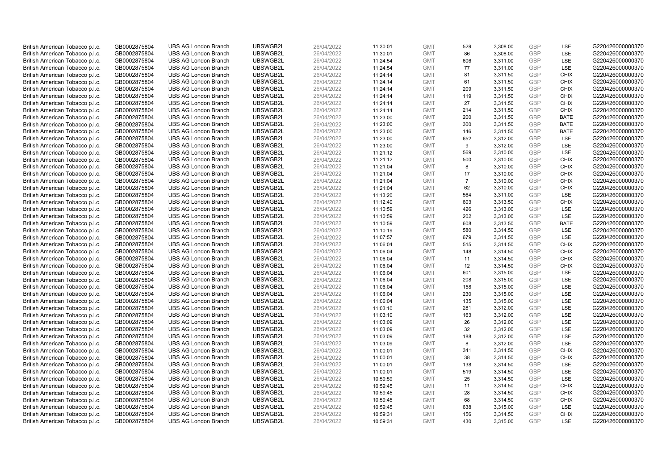| British American Tobacco p.l.c. | GB0002875804                 | <b>UBS AG London Branch</b> | UBSWGB2L | 26/04/2022 | 11:30:01 | <b>GMT</b> | 529            | 3,308.00             | <b>GBP</b> | LSE         | G220426000000370 |
|---------------------------------|------------------------------|-----------------------------|----------|------------|----------|------------|----------------|----------------------|------------|-------------|------------------|
| British American Tobacco p.l.c. | GB0002875804                 | <b>UBS AG London Branch</b> | UBSWGB2L | 26/04/2022 | 11:30:01 | <b>GMT</b> | 86             | 3,308.00             | GBP        | LSE         | G220426000000370 |
| British American Tobacco p.l.c. | GB0002875804                 | <b>UBS AG London Branch</b> | UBSWGB2L | 26/04/2022 | 11:24:54 | <b>GMT</b> | 606            | 3,311.00             | GBP        | LSE         | G220426000000370 |
| British American Tobacco p.l.c. | GB0002875804                 | <b>UBS AG London Branch</b> | UBSWGB2L | 26/04/2022 | 11:24:54 | <b>GMT</b> | 77             | 3,311.00             | GBP        | LSE         | G220426000000370 |
| British American Tobacco p.l.c. | GB0002875804                 | <b>UBS AG London Branch</b> | UBSWGB2L | 26/04/2022 | 11:24:14 | <b>GMT</b> | 81             | 3,311.50             | <b>GBP</b> | <b>CHIX</b> | G220426000000370 |
| British American Tobacco p.l.c. | GB0002875804                 | <b>UBS AG London Branch</b> | UBSWGB2L | 26/04/2022 | 11:24:14 | <b>GMT</b> | 61             | 3,311.50             | <b>GBP</b> | <b>CHIX</b> | G220426000000370 |
| British American Tobacco p.l.c. | GB0002875804                 | <b>UBS AG London Branch</b> | UBSWGB2L | 26/04/2022 | 11:24:14 | <b>GMT</b> | 209            | 3,311.50             | GBP        | <b>CHIX</b> | G220426000000370 |
| British American Tobacco p.l.c. | GB0002875804                 | <b>UBS AG London Branch</b> | UBSWGB2L | 26/04/2022 | 11:24:14 | <b>GMT</b> | 119            | 3,311.50             | GBP        | <b>CHIX</b> | G220426000000370 |
| British American Tobacco p.l.c. | GB0002875804                 | <b>UBS AG London Branch</b> | UBSWGB2L | 26/04/2022 | 11:24:14 | <b>GMT</b> | 27             | 3,311.50             | GBP        | <b>CHIX</b> | G220426000000370 |
| British American Tobacco p.l.c. | GB0002875804                 | <b>UBS AG London Branch</b> | UBSWGB2L | 26/04/2022 | 11:24:14 | <b>GMT</b> | 214            | 3,311.50             | <b>GBP</b> | <b>CHIX</b> | G220426000000370 |
| British American Tobacco p.l.c. | GB0002875804                 | <b>UBS AG London Branch</b> | UBSWGB2L | 26/04/2022 | 11:23:00 | <b>GMT</b> | 200            | 3,311.50             | GBP        | <b>BATE</b> | G220426000000370 |
| British American Tobacco p.l.c. | GB0002875804                 | <b>UBS AG London Branch</b> | UBSWGB2L | 26/04/2022 | 11:23:00 | <b>GMT</b> | 300            | 3,311.50             | <b>GBP</b> | <b>BATE</b> | G220426000000370 |
| British American Tobacco p.l.c. | GB0002875804                 | <b>UBS AG London Branch</b> | UBSWGB2L | 26/04/2022 | 11:23:00 | <b>GMT</b> | 146            | 3,311.50             | <b>GBP</b> | <b>BATE</b> | G220426000000370 |
| British American Tobacco p.l.c. | GB0002875804                 | <b>UBS AG London Branch</b> | UBSWGB2L | 26/04/2022 | 11:23:00 | <b>GMT</b> | 652            | 3,312.00             | <b>GBP</b> | <b>LSE</b>  | G220426000000370 |
| British American Tobacco p.l.c. | GB0002875804                 | <b>UBS AG London Branch</b> | UBSWGB2L | 26/04/2022 | 11:23:00 | <b>GMT</b> | 9              | 3,312.00             | GBP        | <b>LSE</b>  | G220426000000370 |
| British American Tobacco p.l.c. | GB0002875804                 | <b>UBS AG London Branch</b> | UBSWGB2L | 26/04/2022 | 11:21:12 | <b>GMT</b> | 569            | 3,310.00             | <b>GBP</b> | LSE         | G220426000000370 |
| British American Tobacco p.l.c. | GB0002875804                 | <b>UBS AG London Branch</b> | UBSWGB2L | 26/04/2022 | 11:21:12 | <b>GMT</b> | 500            | 3,310.00             | GBP        | <b>CHIX</b> | G220426000000370 |
| British American Tobacco p.l.c. | GB0002875804                 | <b>UBS AG London Branch</b> | UBSWGB2L | 26/04/2022 | 11:21:04 | <b>GMT</b> | 8              | 3,310.00             | GBP        | <b>CHIX</b> | G220426000000370 |
| British American Tobacco p.l.c. | GB0002875804                 | <b>UBS AG London Branch</b> | UBSWGB2L | 26/04/2022 | 11:21:04 | <b>GMT</b> | 17             | 3,310.00             | GBP        | <b>CHIX</b> | G220426000000370 |
| British American Tobacco p.l.c. | GB0002875804                 | <b>UBS AG London Branch</b> | UBSWGB2L | 26/04/2022 | 11:21:04 | <b>GMT</b> | $\overline{7}$ | 3,310.00             | <b>GBP</b> | <b>CHIX</b> | G220426000000370 |
| British American Tobacco p.l.c. | GB0002875804                 | <b>UBS AG London Branch</b> | UBSWGB2L | 26/04/2022 | 11:21:04 | <b>GMT</b> | 62             | 3,310.00             | GBP        | <b>CHIX</b> | G220426000000370 |
| British American Tobacco p.l.c. | GB0002875804                 | <b>UBS AG London Branch</b> | UBSWGB2L | 26/04/2022 | 11:13:20 | <b>GMT</b> | 564            | 3,311.00             | GBP        | LSE         | G220426000000370 |
| British American Tobacco p.l.c. | GB0002875804                 | <b>UBS AG London Branch</b> | UBSWGB2L | 26/04/2022 | 11:12:40 | <b>GMT</b> | 603            | 3,313.50             | GBP        | <b>CHIX</b> | G220426000000370 |
| British American Tobacco p.l.c. | GB0002875804                 | <b>UBS AG London Branch</b> | UBSWGB2L | 26/04/2022 | 11:10:59 | <b>GMT</b> | 426            | 3,313.00             | GBP        | <b>LSE</b>  | G220426000000370 |
| British American Tobacco p.l.c. | GB0002875804                 | <b>UBS AG London Branch</b> | UBSWGB2L | 26/04/2022 | 11:10:59 | <b>GMT</b> | 202            | 3,313.00             | <b>GBP</b> | LSE         | G220426000000370 |
| British American Tobacco p.l.c. | GB0002875804                 | <b>UBS AG London Branch</b> | UBSWGB2L | 26/04/2022 | 11:10:59 | <b>GMT</b> | 608            | 3,313.50             | <b>GBP</b> | <b>BATE</b> | G220426000000370 |
| British American Tobacco p.l.c. | GB0002875804                 | <b>UBS AG London Branch</b> | UBSWGB2L | 26/04/2022 | 11:10:19 | <b>GMT</b> | 580            | 3,314.50             | <b>GBP</b> | <b>LSE</b>  | G220426000000370 |
| British American Tobacco p.l.c. | GB0002875804                 | <b>UBS AG London Branch</b> | UBSWGB2L | 26/04/2022 | 11:07:57 | <b>GMT</b> | 679            | 3,314.50             | <b>GBP</b> | LSE         | G220426000000370 |
| British American Tobacco p.l.c. | GB0002875804                 | <b>UBS AG London Branch</b> | UBSWGB2L | 26/04/2022 | 11:06:04 | <b>GMT</b> | 515            | 3,314.50             | <b>GBP</b> | <b>CHIX</b> | G220426000000370 |
| British American Tobacco p.l.c. | GB0002875804                 | <b>UBS AG London Branch</b> | UBSWGB2L | 26/04/2022 | 11:06:04 | <b>GMT</b> | 148            | 3,314.50             | GBP        | <b>CHIX</b> | G220426000000370 |
| British American Tobacco p.l.c. | GB0002875804                 | <b>UBS AG London Branch</b> | UBSWGB2L | 26/04/2022 | 11:06:04 | <b>GMT</b> | 11             | 3,314.50             | GBP        | <b>CHIX</b> | G220426000000370 |
| British American Tobacco p.l.c. | GB0002875804                 | <b>UBS AG London Branch</b> | UBSWGB2L | 26/04/2022 | 11:06:04 | <b>GMT</b> | 12             | 3,314.50             | <b>GBP</b> | <b>CHIX</b> | G220426000000370 |
| British American Tobacco p.l.c. | GB0002875804                 | <b>UBS AG London Branch</b> | UBSWGB2L | 26/04/2022 | 11:06:04 | <b>GMT</b> | 601            | 3,315.00             | <b>GBP</b> | LSE         | G220426000000370 |
| British American Tobacco p.l.c. | GB0002875804                 | <b>UBS AG London Branch</b> | UBSWGB2L | 26/04/2022 | 11:06:04 | <b>GMT</b> | 208            | 3,315.00             | GBP        | LSE         | G220426000000370 |
| British American Tobacco p.l.c. | GB0002875804                 | <b>UBS AG London Branch</b> | UBSWGB2L | 26/04/2022 | 11:06:04 | <b>GMT</b> | 158            | 3,315.00             | <b>GBP</b> | LSE         | G220426000000370 |
| British American Tobacco p.l.c. | GB0002875804                 | <b>UBS AG London Branch</b> | UBSWGB2L | 26/04/2022 | 11:06:04 | <b>GMT</b> | 230            | 3,315.00             | GBP        | LSE         | G220426000000370 |
| British American Tobacco p.l.c. | GB0002875804                 | <b>UBS AG London Branch</b> | UBSWGB2L | 26/04/2022 | 11:06:04 | <b>GMT</b> | 135            | 3,315.00             | <b>GBP</b> | LSE         | G220426000000370 |
| British American Tobacco p.l.c. | GB0002875804                 | <b>UBS AG London Branch</b> | UBSWGB2L | 26/04/2022 | 11:03:10 | <b>GMT</b> | 281            | 3,312.00             | <b>GBP</b> | LSE         | G220426000000370 |
| British American Tobacco p.l.c. | GB0002875804                 | <b>UBS AG London Branch</b> | UBSWGB2L | 26/04/2022 | 11:03:10 | <b>GMT</b> | 163            | 3,312.00             | <b>GBP</b> | <b>LSE</b>  | G220426000000370 |
| British American Tobacco p.l.c. | GB0002875804                 | <b>UBS AG London Branch</b> | UBSWGB2L | 26/04/2022 | 11:03:09 | <b>GMT</b> | 26             | 3,312.00             | GBP        | <b>LSE</b>  | G220426000000370 |
| British American Tobacco p.l.c. | GB0002875804                 | <b>UBS AG London Branch</b> | UBSWGB2L | 26/04/2022 | 11:03:09 | <b>GMT</b> | 32             | 3,312.00             | <b>GBP</b> | <b>LSE</b>  | G220426000000370 |
| British American Tobacco p.l.c. | GB0002875804                 | <b>UBS AG London Branch</b> | UBSWGB2L | 26/04/2022 | 11:03:09 | <b>GMT</b> | 188            | 3,312.00             | <b>GBP</b> | LSE         | G220426000000370 |
| British American Tobacco p.l.c. | GB0002875804                 | <b>UBS AG London Branch</b> | UBSWGB2L | 26/04/2022 | 11:03:09 | <b>GMT</b> | 8              | 3,312.00             | <b>GBP</b> | LSE         | G220426000000370 |
| British American Tobacco p.l.c. | GB0002875804                 | <b>UBS AG London Branch</b> | UBSWGB2L | 26/04/2022 | 11:00:01 | <b>GMT</b> | 341            | 3,314.50             | GBP        | <b>CHIX</b> | G220426000000370 |
| British American Tobacco p.l.c. | GB0002875804                 | <b>UBS AG London Branch</b> | UBSWGB2L | 26/04/2022 | 11:00:01 | <b>GMT</b> | 38             | 3,314.50             | <b>GBP</b> | <b>CHIX</b> | G220426000000370 |
| British American Tobacco p.l.c. | GB0002875804                 | <b>UBS AG London Branch</b> | UBSWGB2L | 26/04/2022 | 11:00:01 | <b>GMT</b> | 138            | 3,314.50             | <b>GBP</b> | LSE         | G220426000000370 |
| British American Tobacco p.l.c. | GB0002875804                 | <b>UBS AG London Branch</b> | UBSWGB2L | 26/04/2022 | 11:00:01 | <b>GMT</b> | 519            | 3,314.50             | <b>GBP</b> | LSE         | G220426000000370 |
| British American Tobacco p.l.c. | GB0002875804                 | <b>UBS AG London Branch</b> | UBSWGB2L | 26/04/2022 | 10:59:59 | <b>GMT</b> | 25             | 3,314.50             | <b>GBP</b> | LSE         | G220426000000370 |
| British American Tobacco p.l.c. | GB0002875804                 | <b>UBS AG London Branch</b> | UBSWGB2L | 26/04/2022 | 10:59:45 | <b>GMT</b> | 11             | 3,314.50             | <b>GBP</b> | <b>CHIX</b> | G220426000000370 |
| British American Tobacco p.l.c. | GB0002875804                 | <b>UBS AG London Branch</b> | UBSWGB2L | 26/04/2022 | 10:59:45 | <b>GMT</b> | 28             | 3,314.50             | <b>GBP</b> | <b>CHIX</b> | G220426000000370 |
| British American Tobacco p.l.c. | GB0002875804                 | <b>UBS AG London Branch</b> | UBSWGB2L | 26/04/2022 | 10:59:45 | <b>GMT</b> | 68             | 3,314.50             | GBP        | <b>CHIX</b> | G220426000000370 |
| British American Tobacco p.l.c. |                              | <b>UBS AG London Branch</b> | UBSWGB2L | 26/04/2022 | 10:59:45 | <b>GMT</b> | 638            | 3,315.00             | <b>GBP</b> | LSE         | G220426000000370 |
|                                 | GB0002875804<br>GB0002875804 | <b>UBS AG London Branch</b> | UBSWGB2L | 26/04/2022 |          | <b>GMT</b> | 156            |                      | GBP        | <b>CHIX</b> | G220426000000370 |
| British American Tobacco p.l.c. | GB0002875804                 |                             | UBSWGB2L | 26/04/2022 | 10:59:31 | <b>GMT</b> | 430            | 3,314.50<br>3.315.00 | GBP        | <b>LSE</b>  |                  |
| British American Tobacco p.l.c. |                              | <b>UBS AG London Branch</b> |          |            | 10:59:31 |            |                |                      |            |             | G220426000000370 |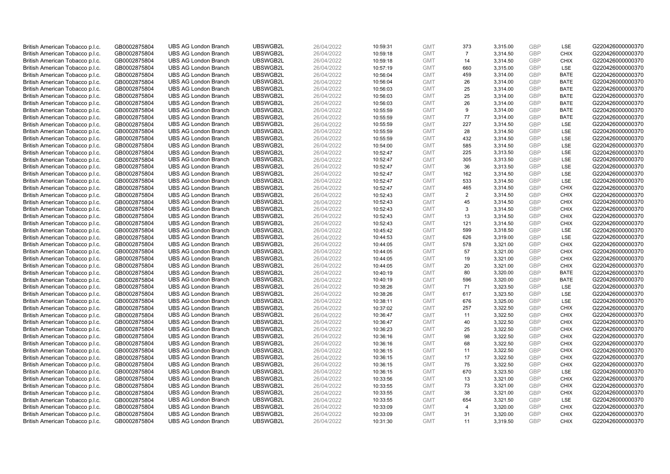| British American Tobacco p.l.c. | GB0002875804 | <b>UBS AG London Branch</b> | UBSWGB2L | 26/04/2022 | 10:59:31 | <b>GMT</b> | 373            | 3,315.00 | <b>GBP</b>               | LSE         | G220426000000370 |
|---------------------------------|--------------|-----------------------------|----------|------------|----------|------------|----------------|----------|--------------------------|-------------|------------------|
| British American Tobacco p.l.c. | GB0002875804 | <b>UBS AG London Branch</b> | UBSWGB2L | 26/04/2022 | 10:59:18 | <b>GMT</b> | $\overline{7}$ | 3,314.50 | <b>GBP</b>               | <b>CHIX</b> | G220426000000370 |
| British American Tobacco p.l.c. | GB0002875804 | <b>UBS AG London Branch</b> | UBSWGB2L | 26/04/2022 | 10:59:18 | <b>GMT</b> | 14             | 3,314.50 | <b>GBP</b>               | <b>CHIX</b> | G220426000000370 |
| British American Tobacco p.l.c. | GB0002875804 | <b>UBS AG London Branch</b> | UBSWGB2L | 26/04/2022 | 10:57:19 | <b>GMT</b> | 660            | 3,315.00 | <b>GBP</b>               | LSE         | G220426000000370 |
| British American Tobacco p.l.c. | GB0002875804 | <b>UBS AG London Branch</b> | UBSWGB2L | 26/04/2022 | 10:56:04 | <b>GMT</b> | 459            | 3,314.00 | <b>GBP</b>               | <b>BATE</b> | G220426000000370 |
|                                 |              |                             |          |            |          |            |                |          |                          |             |                  |
| British American Tobacco p.l.c. | GB0002875804 | <b>UBS AG London Branch</b> | UBSWGB2L | 26/04/2022 | 10:56:04 | <b>GMT</b> | 26             | 3,314.00 | <b>GBP</b>               | BATE        | G220426000000370 |
| British American Tobacco p.l.c. | GB0002875804 | <b>UBS AG London Branch</b> | UBSWGB2L | 26/04/2022 | 10:56:03 | <b>GMT</b> | 25             | 3,314.00 | <b>GBP</b>               | <b>BATE</b> | G220426000000370 |
| British American Tobacco p.l.c. | GB0002875804 | <b>UBS AG London Branch</b> | UBSWGB2L | 26/04/2022 | 10:56:03 | <b>GMT</b> | 25             | 3,314.00 | <b>GBP</b>               | <b>BATE</b> | G220426000000370 |
| British American Tobacco p.l.c. | GB0002875804 | <b>UBS AG London Branch</b> | UBSWGB2L | 26/04/2022 | 10:56:03 | <b>GMT</b> | 26             | 3,314.00 | <b>GBP</b>               | <b>BATE</b> | G220426000000370 |
| British American Tobacco p.l.c. | GB0002875804 | <b>UBS AG London Branch</b> | UBSWGB2L | 26/04/2022 | 10:55:59 | <b>GMT</b> | 9              | 3,314.00 | <b>GBP</b>               | <b>BATE</b> | G220426000000370 |
| British American Tobacco p.l.c. | GB0002875804 | <b>UBS AG London Branch</b> | UBSWGB2L | 26/04/2022 | 10:55:59 | <b>GMT</b> | 77             | 3,314.00 | <b>GBP</b>               | <b>BATE</b> | G220426000000370 |
| British American Tobacco p.l.c. | GB0002875804 | <b>UBS AG London Branch</b> | UBSWGB2L | 26/04/2022 | 10:55:59 | <b>GMT</b> | 227            | 3,314.50 | <b>GBP</b>               | LSE         | G220426000000370 |
| British American Tobacco p.l.c. | GB0002875804 | <b>UBS AG London Branch</b> | UBSWGB2L | 26/04/2022 | 10:55:59 | <b>GMT</b> | 28             | 3,314.50 | <b>GBP</b>               | LSE         | G220426000000370 |
| British American Tobacco p.l.c. | GB0002875804 | <b>UBS AG London Branch</b> | UBSWGB2L | 26/04/2022 | 10:55:59 | <b>GMT</b> | 432            | 3,314.50 | <b>GBP</b>               | LSE         | G220426000000370 |
| British American Tobacco p.l.c. | GB0002875804 | <b>UBS AG London Branch</b> | UBSWGB2L | 26/04/2022 | 10:54:00 | <b>GMT</b> | 585            | 3,314.50 | GBP                      | <b>LSE</b>  | G220426000000370 |
| British American Tobacco p.l.c. | GB0002875804 | <b>UBS AG London Branch</b> | UBSWGB2L | 26/04/2022 | 10:52:47 | <b>GMT</b> | 225            | 3,313.50 | <b>GBP</b>               | LSE         | G220426000000370 |
| British American Tobacco p.l.c. | GB0002875804 | <b>UBS AG London Branch</b> | UBSWGB2L | 26/04/2022 | 10:52:47 | <b>GMT</b> | 305            | 3,313.50 | <b>GBP</b>               | LSE         | G220426000000370 |
| British American Tobacco p.l.c. | GB0002875804 | <b>UBS AG London Branch</b> | UBSWGB2L | 26/04/2022 | 10:52:47 | <b>GMT</b> | 36             | 3,313.50 | <b>GBP</b>               | LSE         | G220426000000370 |
| British American Tobacco p.l.c. | GB0002875804 | <b>UBS AG London Branch</b> | UBSWGB2L | 26/04/2022 | 10:52:47 | <b>GMT</b> | 162            | 3,314.50 | <b>GBP</b>               | <b>LSE</b>  | G220426000000370 |
| British American Tobacco p.l.c. | GB0002875804 | <b>UBS AG London Branch</b> | UBSWGB2L | 26/04/2022 | 10:52:47 | <b>GMT</b> | 533            | 3,314.50 | <b>GBP</b>               | LSE         | G220426000000370 |
| British American Tobacco p.l.c. | GB0002875804 | <b>UBS AG London Branch</b> | UBSWGB2L | 26/04/2022 | 10:52:47 | <b>GMT</b> | 465            | 3,314.50 | <b>GBP</b>               | <b>CHIX</b> | G220426000000370 |
| British American Tobacco p.l.c. | GB0002875804 | <b>UBS AG London Branch</b> | UBSWGB2L | 26/04/2022 | 10:52:43 | <b>GMT</b> | 2              | 3,314.50 | <b>GBP</b>               | <b>CHIX</b> | G220426000000370 |
| British American Tobacco p.l.c. | GB0002875804 | <b>UBS AG London Branch</b> | UBSWGB2L | 26/04/2022 | 10:52:43 | <b>GMT</b> | 45             | 3,314.50 | <b>GBP</b>               | <b>CHIX</b> | G220426000000370 |
| British American Tobacco p.l.c. | GB0002875804 | <b>UBS AG London Branch</b> | UBSWGB2L | 26/04/2022 | 10:52:43 | <b>GMT</b> | 3              | 3,314.50 | <b>GBP</b>               | <b>CHIX</b> | G220426000000370 |
| British American Tobacco p.l.c. | GB0002875804 | <b>UBS AG London Branch</b> | UBSWGB2L | 26/04/2022 | 10:52:43 | <b>GMT</b> | 13             | 3,314.50 | <b>GBP</b>               | <b>CHIX</b> | G220426000000370 |
| British American Tobacco p.l.c. | GB0002875804 | <b>UBS AG London Branch</b> | UBSWGB2L | 26/04/2022 | 10:52:43 | <b>GMT</b> | 121            | 3,314.50 | <b>GBP</b>               | <b>CHIX</b> | G220426000000370 |
| British American Tobacco p.l.c. | GB0002875804 | <b>UBS AG London Branch</b> | UBSWGB2L | 26/04/2022 | 10:45:42 | <b>GMT</b> | 599            | 3,318.50 | <b>GBP</b>               | LSE         | G220426000000370 |
| British American Tobacco p.l.c. | GB0002875804 | <b>UBS AG London Branch</b> | UBSWGB2L | 26/04/2022 | 10:44:53 | <b>GMT</b> | 626            | 3,319.00 | <b>GBP</b>               | LSE         | G220426000000370 |
| British American Tobacco p.l.c. | GB0002875804 | <b>UBS AG London Branch</b> | UBSWGB2L | 26/04/2022 | 10:44:05 | <b>GMT</b> | 578            | 3,321.00 | <b>GBP</b>               | <b>CHIX</b> | G220426000000370 |
| British American Tobacco p.l.c. | GB0002875804 | <b>UBS AG London Branch</b> | UBSWGB2L | 26/04/2022 | 10:44:05 | <b>GMT</b> | 57             | 3,321.00 | <b>GBP</b>               | <b>CHIX</b> | G220426000000370 |
| British American Tobacco p.l.c. | GB0002875804 | <b>UBS AG London Branch</b> | UBSWGB2L | 26/04/2022 | 10:44:05 | <b>GMT</b> | 19             | 3,321.00 | <b>GBP</b>               | <b>CHIX</b> | G220426000000370 |
| British American Tobacco p.l.c. | GB0002875804 | <b>UBS AG London Branch</b> | UBSWGB2L | 26/04/2022 | 10:44:05 | <b>GMT</b> | 20             | 3,321.00 | <b>GBP</b>               | <b>CHIX</b> | G220426000000370 |
| British American Tobacco p.l.c. | GB0002875804 | <b>UBS AG London Branch</b> | UBSWGB2L | 26/04/2022 | 10:40:19 | <b>GMT</b> | 80             | 3,320.00 | <b>GBP</b>               | <b>BATE</b> | G220426000000370 |
| British American Tobacco p.l.c. | GB0002875804 | <b>UBS AG London Branch</b> | UBSWGB2L | 26/04/2022 | 10:40:19 | <b>GMT</b> | 596            | 3,320.00 | <b>GBP</b>               | <b>BATE</b> | G220426000000370 |
| British American Tobacco p.l.c. | GB0002875804 | <b>UBS AG London Branch</b> | UBSWGB2L | 26/04/2022 | 10:38:26 | <b>GMT</b> | 71             | 3,323.50 | <b>GBP</b>               | LSE         | G220426000000370 |
| British American Tobacco p.l.c. | GB0002875804 | <b>UBS AG London Branch</b> | UBSWGB2L | 26/04/2022 | 10:38:26 | <b>GMT</b> | 617            | 3,323.50 | <b>GBP</b>               | LSE         | G220426000000370 |
| British American Tobacco p.l.c. | GB0002875804 | <b>UBS AG London Branch</b> | UBSWGB2L | 26/04/2022 | 10:38:11 | <b>GMT</b> | 676            | 3,325.00 | <b>GBP</b>               | <b>LSE</b>  | G220426000000370 |
| British American Tobacco p.l.c. | GB0002875804 | <b>UBS AG London Branch</b> | UBSWGB2L | 26/04/2022 | 10:37:02 | <b>GMT</b> | 257            | 3,322.50 | <b>GBP</b>               | <b>CHIX</b> | G220426000000370 |
| British American Tobacco p.l.c. | GB0002875804 | <b>UBS AG London Branch</b> | UBSWGB2L | 26/04/2022 | 10:36:47 | <b>GMT</b> | 11             | 3,322.50 | <b>GBP</b>               | <b>CHIX</b> | G220426000000370 |
| British American Tobacco p.l.c. | GB0002875804 | <b>UBS AG London Branch</b> | UBSWGB2L | 26/04/2022 | 10:36:47 | <b>GMT</b> | 40             | 3,322.50 | <b>GBP</b>               | <b>CHIX</b> | G220426000000370 |
| British American Tobacco p.l.c. |              | <b>UBS AG London Branch</b> | UBSWGB2L | 26/04/2022 |          | <b>GMT</b> | 25             | 3,322.50 | <b>GBP</b>               | <b>CHIX</b> | G220426000000370 |
|                                 | GB0002875804 |                             |          |            | 10:36:23 | <b>GMT</b> | 98             |          |                          | <b>CHIX</b> |                  |
| British American Tobacco p.l.c. | GB0002875804 | <b>UBS AG London Branch</b> | UBSWGB2L | 26/04/2022 | 10:36:16 |            |                | 3,322.50 | <b>GBP</b><br><b>GBP</b> |             | G220426000000370 |
| British American Tobacco p.l.c. | GB0002875804 | <b>UBS AG London Branch</b> | UBSWGB2L | 26/04/2022 | 10:36:16 | <b>GMT</b> | 68             | 3,322.50 |                          | <b>CHIX</b> | G220426000000370 |
| British American Tobacco p.l.c. | GB0002875804 | <b>UBS AG London Branch</b> | UBSWGB2L | 26/04/2022 | 10:36:15 | <b>GMT</b> | 11             | 3,322.50 | <b>GBP</b>               | <b>CHIX</b> | G220426000000370 |
| British American Tobacco p.l.c. | GB0002875804 | <b>UBS AG London Branch</b> | UBSWGB2L | 26/04/2022 | 10:36:15 | <b>GMT</b> | 17             | 3,322.50 | <b>GBP</b>               | <b>CHIX</b> | G220426000000370 |
| British American Tobacco p.l.c. | GB0002875804 | <b>UBS AG London Branch</b> | UBSWGB2L | 26/04/2022 | 10:36:15 | <b>GMT</b> | 75             | 3,322.50 | <b>GBP</b>               | <b>CHIX</b> | G220426000000370 |
| British American Tobacco p.l.c. | GB0002875804 | <b>UBS AG London Branch</b> | UBSWGB2L | 26/04/2022 | 10:36:15 | <b>GMT</b> | 670            | 3,323.50 | <b>GBP</b>               | LSE         | G220426000000370 |
| British American Tobacco p.l.c. | GB0002875804 | <b>UBS AG London Branch</b> | UBSWGB2L | 26/04/2022 | 10:33:56 | <b>GMT</b> | 13             | 3,321.00 | <b>GBP</b>               | <b>CHIX</b> | G220426000000370 |
| British American Tobacco p.l.c. | GB0002875804 | <b>UBS AG London Branch</b> | UBSWGB2L | 26/04/2022 | 10:33:55 | <b>GMT</b> | 73             | 3,321.00 | <b>GBP</b>               | <b>CHIX</b> | G220426000000370 |
| British American Tobacco p.l.c. | GB0002875804 | <b>UBS AG London Branch</b> | UBSWGB2L | 26/04/2022 | 10:33:55 | <b>GMT</b> | 38             | 3,321.00 | <b>GBP</b>               | <b>CHIX</b> | G220426000000370 |
| British American Tobacco p.l.c. | GB0002875804 | <b>UBS AG London Branch</b> | UBSWGB2L | 26/04/2022 | 10:33:55 | <b>GMT</b> | 654            | 3,321.50 | <b>GBP</b>               | LSE         | G220426000000370 |
| British American Tobacco p.l.c. | GB0002875804 | <b>UBS AG London Branch</b> | UBSWGB2L | 26/04/2022 | 10:33:09 | <b>GMT</b> | $\overline{4}$ | 3,320.00 | <b>GBP</b>               | <b>CHIX</b> | G220426000000370 |
| British American Tobacco p.l.c. | GB0002875804 | <b>UBS AG London Branch</b> | UBSWGB2L | 26/04/2022 | 10:33:09 | <b>GMT</b> | 31             | 3,320.00 | <b>GBP</b>               | <b>CHIX</b> | G220426000000370 |
| British American Tobacco p.l.c. | GB0002875804 | <b>UBS AG London Branch</b> | UBSWGB2L | 26/04/2022 | 10:31:30 | <b>GMT</b> | 11             | 3.319.50 | GBP                      | <b>CHIX</b> | G220426000000370 |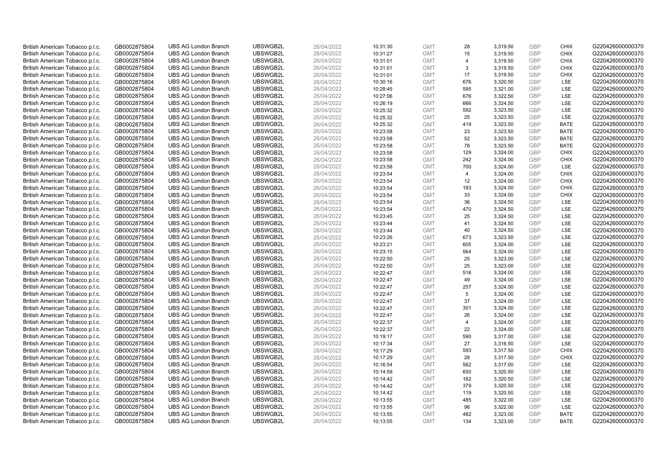| British American Tobacco p.l.c. | GB0002875804 | <b>UBS AG London Branch</b> | UBSWGB2L | 26/04/2022 | 10:31:30 | <b>GMT</b> | 28             | 3,319.50 | <b>GBP</b> | <b>CHIX</b> | G220426000000370 |
|---------------------------------|--------------|-----------------------------|----------|------------|----------|------------|----------------|----------|------------|-------------|------------------|
| British American Tobacco p.l.c. | GB0002875804 | <b>UBS AG London Branch</b> | UBSWGB2L | 26/04/2022 | 10:31:27 | <b>GMT</b> | 15             | 3,319.50 | <b>GBP</b> | <b>CHIX</b> | G220426000000370 |
| British American Tobacco p.l.c. | GB0002875804 | <b>UBS AG London Branch</b> | UBSWGB2L | 26/04/2022 | 10:31:01 | <b>GMT</b> | $\overline{4}$ | 3,319.50 | <b>GBP</b> | <b>CHIX</b> | G220426000000370 |
| British American Tobacco p.l.c. | GB0002875804 | <b>UBS AG London Branch</b> | UBSWGB2L | 26/04/2022 | 10:31:01 | <b>GMT</b> | 3              | 3,319.50 | <b>GBP</b> | <b>CHIX</b> | G220426000000370 |
|                                 |              |                             |          |            |          |            | 17             |          | <b>GBP</b> | <b>CHIX</b> |                  |
| British American Tobacco p.l.c. | GB0002875804 | <b>UBS AG London Branch</b> | UBSWGB2L | 26/04/2022 | 10:31:01 | <b>GMT</b> |                | 3,319.50 |            |             | G220426000000370 |
| British American Tobacco p.l.c. | GB0002875804 | <b>UBS AG London Branch</b> | UBSWGB2L | 26/04/2022 | 10:30:16 | <b>GMT</b> | 676            | 3,320.50 | <b>GBP</b> | LSE         | G220426000000370 |
| British American Tobacco p.l.c. | GB0002875804 | <b>UBS AG London Branch</b> | UBSWGB2L | 26/04/2022 | 10:28:45 | <b>GMT</b> | 595            | 3,321.00 | <b>GBP</b> | LSE         | G220426000000370 |
| British American Tobacco p.l.c. | GB0002875804 | <b>UBS AG London Branch</b> | UBSWGB2L | 26/04/2022 | 10:27:06 | <b>GMT</b> | 676            | 3,322.50 | <b>GBP</b> | LSE         | G220426000000370 |
| British American Tobacco p.l.c. | GB0002875804 | <b>UBS AG London Branch</b> | UBSWGB2L | 26/04/2022 | 10:26:19 | <b>GMT</b> | 666            | 3,324.50 | <b>GBP</b> | LSE         | G220426000000370 |
| British American Tobacco p.l.c. | GB0002875804 | <b>UBS AG London Branch</b> | UBSWGB2L | 26/04/2022 | 10:25:32 | <b>GMT</b> | 592            | 3,323.50 | <b>GBP</b> | LSE         | G220426000000370 |
| British American Tobacco p.l.c. | GB0002875804 | <b>UBS AG London Branch</b> | UBSWGB2L | 26/04/2022 | 10:25:32 | <b>GMT</b> | 25             | 3,323.50 | <b>GBP</b> | LSE         | G220426000000370 |
| British American Tobacco p.l.c. | GB0002875804 | <b>UBS AG London Branch</b> | UBSWGB2L | 26/04/2022 | 10:25:32 | <b>GMT</b> | 419            | 3,323.50 | <b>GBP</b> | <b>BATE</b> | G220426000000370 |
| British American Tobacco p.l.c. | GB0002875804 | <b>UBS AG London Branch</b> | UBSWGB2L | 26/04/2022 | 10:23:58 | <b>GMT</b> | 23             | 3,323.50 | <b>GBP</b> | <b>BATE</b> | G220426000000370 |
| British American Tobacco p.l.c. | GB0002875804 | <b>UBS AG London Branch</b> | UBSWGB2L | 26/04/2022 | 10:23:58 | <b>GMT</b> | 52             | 3,323.50 | <b>GBP</b> | <b>BATE</b> | G220426000000370 |
| British American Tobacco p.l.c. | GB0002875804 | <b>UBS AG London Branch</b> | UBSWGB2L | 26/04/2022 | 10:23:58 | <b>GMT</b> | 78             | 3,323.50 | <b>GBP</b> | <b>BATE</b> | G220426000000370 |
| British American Tobacco p.l.c. | GB0002875804 | <b>UBS AG London Branch</b> | UBSWGB2L | 26/04/2022 | 10:23:58 | <b>GMT</b> | 129            | 3,324.00 | <b>GBP</b> | <b>CHIX</b> | G220426000000370 |
| British American Tobacco p.l.c. | GB0002875804 | <b>UBS AG London Branch</b> | UBSWGB2L | 26/04/2022 | 10:23:58 | <b>GMT</b> | 242            | 3,324.00 | <b>GBP</b> | <b>CHIX</b> | G220426000000370 |
| British American Tobacco p.l.c. | GB0002875804 | <b>UBS AG London Branch</b> | UBSWGB2L | 26/04/2022 | 10:23:58 | <b>GMT</b> | 700            | 3,324.00 | <b>GBP</b> | LSE         | G220426000000370 |
| British American Tobacco p.l.c. | GB0002875804 | <b>UBS AG London Branch</b> | UBSWGB2L | 26/04/2022 | 10:23:54 | <b>GMT</b> | $\overline{4}$ | 3,324.00 | <b>GBP</b> | <b>CHIX</b> | G220426000000370 |
| British American Tobacco p.l.c. | GB0002875804 | <b>UBS AG London Branch</b> | UBSWGB2L | 26/04/2022 | 10:23:54 | <b>GMT</b> | 12             | 3,324.00 | <b>GBP</b> | <b>CHIX</b> | G220426000000370 |
| British American Tobacco p.l.c. | GB0002875804 | <b>UBS AG London Branch</b> | UBSWGB2L | 26/04/2022 | 10:23:54 | <b>GMT</b> | 183            | 3,324.00 | <b>GBP</b> | <b>CHIX</b> | G220426000000370 |
| British American Tobacco p.l.c. | GB0002875804 | <b>UBS AG London Branch</b> | UBSWGB2L | 26/04/2022 | 10:23:54 | <b>GMT</b> | 33             | 3,324.00 | <b>GBP</b> | <b>CHIX</b> | G220426000000370 |
| British American Tobacco p.l.c. | GB0002875804 | <b>UBS AG London Branch</b> | UBSWGB2L | 26/04/2022 | 10:23:54 | <b>GMT</b> | 36             | 3,324.50 | <b>GBP</b> | LSE         | G220426000000370 |
| British American Tobacco p.l.c. | GB0002875804 | <b>UBS AG London Branch</b> | UBSWGB2L | 26/04/2022 | 10:23:54 | <b>GMT</b> | 470            | 3,324.50 | <b>GBP</b> | <b>LSE</b>  | G220426000000370 |
| British American Tobacco p.l.c. | GB0002875804 | <b>UBS AG London Branch</b> | UBSWGB2L | 26/04/2022 | 10:23:45 | <b>GMT</b> | 25             | 3,324.50 | <b>GBP</b> | LSE         | G220426000000370 |
| British American Tobacco p.l.c. | GB0002875804 | <b>UBS AG London Branch</b> | UBSWGB2L | 26/04/2022 | 10:23:44 | <b>GMT</b> | 41             | 3,324.50 | <b>GBP</b> | LSE         | G220426000000370 |
| British American Tobacco p.l.c. | GB0002875804 | <b>UBS AG London Branch</b> | UBSWGB2L | 26/04/2022 | 10:23:44 | <b>GMT</b> | 40             | 3,324.50 | <b>GBP</b> | LSE         | G220426000000370 |
| British American Tobacco p.l.c. | GB0002875804 | <b>UBS AG London Branch</b> | UBSWGB2L | 26/04/2022 | 10:23:26 | <b>GMT</b> | 673            | 3,323.50 | <b>GBP</b> | <b>LSE</b>  | G220426000000370 |
| British American Tobacco p.l.c. | GB0002875804 | <b>UBS AG London Branch</b> | UBSWGB2L | 26/04/2022 | 10:23:21 | <b>GMT</b> | 605            | 3,324.00 | <b>GBP</b> | LSE         | G220426000000370 |
| British American Tobacco p.l.c. | GB0002875804 | <b>UBS AG London Branch</b> | UBSWGB2L | 26/04/2022 | 10:23:15 | <b>GMT</b> | 564            | 3,324.00 | <b>GBP</b> | LSE         | G220426000000370 |
| British American Tobacco p.l.c. | GB0002875804 | <b>UBS AG London Branch</b> | UBSWGB2L | 26/04/2022 | 10:22:50 | <b>GMT</b> | 25             | 3,323.00 | <b>GBP</b> | LSE         | G220426000000370 |
| British American Tobacco p.l.c. | GB0002875804 | <b>UBS AG London Branch</b> | UBSWGB2L | 26/04/2022 | 10:22:50 | <b>GMT</b> | 25             | 3,323.00 | <b>GBP</b> | <b>LSE</b>  | G220426000000370 |
| British American Tobacco p.l.c. | GB0002875804 | <b>UBS AG London Branch</b> | UBSWGB2L | 26/04/2022 | 10:22:47 | <b>GMT</b> | 516            | 3,324.00 | <b>GBP</b> | LSE         | G220426000000370 |
| British American Tobacco p.l.c. | GB0002875804 | <b>UBS AG London Branch</b> | UBSWGB2L | 26/04/2022 | 10:22:47 | <b>GMT</b> | 49             | 3,324.00 | <b>GBP</b> | LSE         | G220426000000370 |
| British American Tobacco p.l.c. | GB0002875804 | <b>UBS AG London Branch</b> | UBSWGB2L | 26/04/2022 | 10:22:47 | <b>GMT</b> | 257            | 3,324.00 | <b>GBP</b> | LSE         | G220426000000370 |
| British American Tobacco p.l.c. | GB0002875804 | <b>UBS AG London Branch</b> | UBSWGB2L | 26/04/2022 | 10:22:47 | <b>GMT</b> | 5              | 3,324.00 | <b>GBP</b> | LSE         | G220426000000370 |
| British American Tobacco p.l.c. | GB0002875804 | <b>UBS AG London Branch</b> | UBSWGB2L | 26/04/2022 | 10:22:47 | <b>GMT</b> | 37             | 3,324.00 | <b>GBP</b> | <b>LSE</b>  | G220426000000370 |
| British American Tobacco p.l.c. | GB0002875804 | <b>UBS AG London Branch</b> | UBSWGB2L | 26/04/2022 | 10:22:47 | <b>GMT</b> | 301            | 3,324.00 | <b>GBP</b> | LSE         | G220426000000370 |
| British American Tobacco p.l.c. | GB0002875804 | <b>UBS AG London Branch</b> | UBSWGB2L | 26/04/2022 | 10:22:47 | <b>GMT</b> | 26             | 3,324.00 | <b>GBP</b> | LSE         | G220426000000370 |
| British American Tobacco p.l.c. | GB0002875804 | <b>UBS AG London Branch</b> | UBSWGB2L | 26/04/2022 | 10:22:37 | <b>GMT</b> | $\overline{4}$ | 3,324.00 | <b>GBP</b> | LSE         | G220426000000370 |
| British American Tobacco p.l.c. |              | <b>UBS AG London Branch</b> | UBSWGB2L | 26/04/2022 |          | <b>GMT</b> | 22             | 3,324.00 | <b>GBP</b> | <b>LSE</b>  | G220426000000370 |
|                                 | GB0002875804 |                             |          |            | 10:22:37 |            |                |          |            | LSE         |                  |
| British American Tobacco p.l.c. | GB0002875804 | <b>UBS AG London Branch</b> | UBSWGB2L | 26/04/2022 | 10:19:17 | <b>GMT</b> | 590            | 3,317.00 | <b>GBP</b> |             | G220426000000370 |
| British American Tobacco p.l.c. | GB0002875804 | <b>UBS AG London Branch</b> | UBSWGB2L | 26/04/2022 | 10:17:34 | <b>GMT</b> | 27             | 3,316.50 | <b>GBP</b> | LSE         | G220426000000370 |
| British American Tobacco p.l.c. | GB0002875804 | <b>UBS AG London Branch</b> | UBSWGB2L | 26/04/2022 | 10:17:29 | <b>GMT</b> | 593            | 3,317.50 | <b>GBP</b> | <b>CHIX</b> | G220426000000370 |
| British American Tobacco p.l.c. | GB0002875804 | <b>UBS AG London Branch</b> | UBSWGB2L | 26/04/2022 | 10:17:29 | <b>GMT</b> | 28             | 3,317.50 | <b>GBP</b> | <b>CHIX</b> | G220426000000370 |
| British American Tobacco p.l.c. | GB0002875804 | <b>UBS AG London Branch</b> | UBSWGB2L | 26/04/2022 | 10:16:54 | <b>GMT</b> | 562            | 3,317.00 | <b>GBP</b> | LSE         | G220426000000370 |
| British American Tobacco p.l.c. | GB0002875804 | <b>UBS AG London Branch</b> | UBSWGB2L | 26/04/2022 | 10:14:59 | <b>GMT</b> | 650            | 3,320.50 | <b>GBP</b> | LSE         | G220426000000370 |
| British American Tobacco p.l.c. | GB0002875804 | <b>UBS AG London Branch</b> | UBSWGB2L | 26/04/2022 | 10:14:42 | <b>GMT</b> | 162            | 3,320.50 | <b>GBP</b> | LSE         | G220426000000370 |
| British American Tobacco p.l.c. | GB0002875804 | <b>UBS AG London Branch</b> | UBSWGB2L | 26/04/2022 | 10:14:42 | <b>GMT</b> | 379            | 3,320.50 | <b>GBP</b> | LSE         | G220426000000370 |
| British American Tobacco p.l.c. | GB0002875804 | <b>UBS AG London Branch</b> | UBSWGB2L | 26/04/2022 | 10:14:42 | <b>GMT</b> | 119            | 3,320.50 | <b>GBP</b> | <b>LSE</b>  | G220426000000370 |
| British American Tobacco p.l.c. | GB0002875804 | <b>UBS AG London Branch</b> | UBSWGB2L | 26/04/2022 | 10:13:55 | <b>GMT</b> | 485            | 3,322.00 | <b>GBP</b> | LSE         | G220426000000370 |
| British American Tobacco p.l.c. | GB0002875804 | <b>UBS AG London Branch</b> | UBSWGB2L | 26/04/2022 | 10:13:55 | <b>GMT</b> | 96             | 3,322.00 | <b>GBP</b> | LSE         | G220426000000370 |
| British American Tobacco p.l.c. | GB0002875804 | <b>UBS AG London Branch</b> | UBSWGB2L | 26/04/2022 | 10:13:55 | <b>GMT</b> | 482            | 3,323.00 | <b>GBP</b> | <b>BATE</b> | G220426000000370 |
| British American Tobacco p.l.c. | GB0002875804 | <b>UBS AG London Branch</b> | UBSWGB2L | 26/04/2022 | 10:13:55 | <b>GMT</b> | 134            | 3.323.00 | GBP        | <b>BATE</b> | G220426000000370 |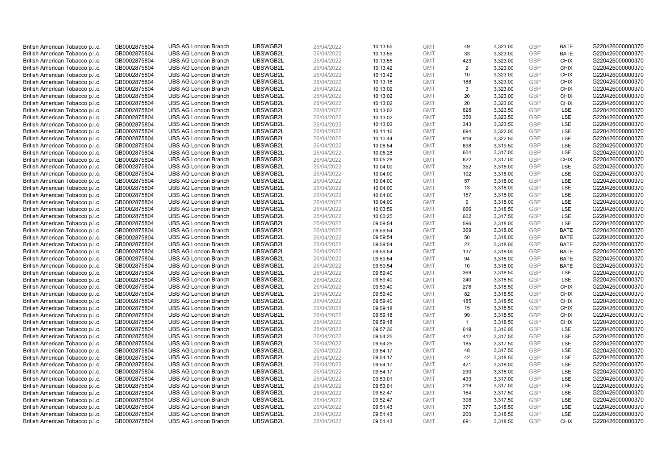| British American Tobacco p.l.c.                                    | GB0002875804                 | <b>UBS AG London Branch</b> | UBSWGB2L | 26/04/2022               | 10:13:55             | <b>GMT</b>               | 49             | 3,323.00 | <b>GBP</b>               | <b>BATE</b> | G220426000000370 |
|--------------------------------------------------------------------|------------------------------|-----------------------------|----------|--------------------------|----------------------|--------------------------|----------------|----------|--------------------------|-------------|------------------|
| British American Tobacco p.l.c.                                    | GB0002875804                 | <b>UBS AG London Branch</b> | UBSWGB2L | 26/04/2022               | 10:13:55             | <b>GMT</b>               | 33             | 3,323.00 | <b>GBP</b>               | <b>BATE</b> | G220426000000370 |
| British American Tobacco p.l.c.                                    | GB0002875804                 | <b>UBS AG London Branch</b> | UBSWGB2L | 26/04/2022               | 10:13:55             | <b>GMT</b>               | 423            | 3,323.00 | <b>GBP</b>               | <b>CHIX</b> | G220426000000370 |
| British American Tobacco p.l.c.                                    | GB0002875804                 | <b>UBS AG London Branch</b> | UBSWGB2L | 26/04/2022               | 10:13:42             | <b>GMT</b>               | $\overline{2}$ | 3,323.00 | <b>GBP</b>               | <b>CHIX</b> | G220426000000370 |
| British American Tobacco p.l.c.                                    | GB0002875804                 | <b>UBS AG London Branch</b> | UBSWGB2L | 26/04/2022               | 10:13:42             | <b>GMT</b>               | 10             | 3,323.00 | <b>GBP</b>               | <b>CHIX</b> | G220426000000370 |
|                                                                    |                              | <b>UBS AG London Branch</b> | UBSWGB2L |                          |                      |                          | 188            |          |                          | <b>CHIX</b> | G220426000000370 |
| British American Tobacco p.l.c.<br>British American Tobacco p.l.c. | GB0002875804<br>GB0002875804 | <b>UBS AG London Branch</b> | UBSWGB2L | 26/04/2022<br>26/04/2022 | 10:13:16<br>10:13:02 | <b>GMT</b><br><b>GMT</b> |                | 3,323.00 | <b>GBP</b><br><b>GBP</b> | <b>CHIX</b> | G220426000000370 |
|                                                                    |                              |                             |          |                          |                      |                          | 3              | 3,323.00 |                          |             |                  |
| British American Tobacco p.l.c.                                    | GB0002875804                 | <b>UBS AG London Branch</b> | UBSWGB2L | 26/04/2022               | 10:13:02             | <b>GMT</b>               | 20             | 3,323.00 | <b>GBP</b>               | <b>CHIX</b> | G220426000000370 |
| British American Tobacco p.l.c.                                    | GB0002875804                 | <b>UBS AG London Branch</b> | UBSWGB2L | 26/04/2022               | 10:13:02             | <b>GMT</b>               | 20             | 3,323.00 | <b>GBP</b>               | <b>CHIX</b> | G220426000000370 |
| British American Tobacco p.l.c.                                    | GB0002875804                 | <b>UBS AG London Branch</b> | UBSWGB2L | 26/04/2022               | 10:13:02             | <b>GMT</b>               | 628            | 3,323.50 | <b>GBP</b>               | LSE         | G220426000000370 |
| British American Tobacco p.l.c.                                    | GB0002875804                 | <b>UBS AG London Branch</b> | UBSWGB2L | 26/04/2022               | 10:13:02             | <b>GMT</b>               | 350            | 3,323.50 | <b>GBP</b>               | <b>LSE</b>  | G220426000000370 |
| British American Tobacco p.l.c.                                    | GB0002875804                 | <b>UBS AG London Branch</b> | UBSWGB2L | 26/04/2022               | 10:13:02             | <b>GMT</b>               | 343            | 3,323.50 | <b>GBP</b>               | LSE         | G220426000000370 |
| British American Tobacco p.l.c.                                    | GB0002875804                 | <b>UBS AG London Branch</b> | UBSWGB2L | 26/04/2022               | 10:11:16             | <b>GMT</b>               | 694            | 3,322.00 | <b>GBP</b>               | <b>LSE</b>  | G220426000000370 |
| British American Tobacco p.l.c.                                    | GB0002875804                 | <b>UBS AG London Branch</b> | UBSWGB2L | 26/04/2022               | 10:10:44             | <b>GMT</b>               | 919            | 3,322.50 | <b>GBP</b>               | LSE         | G220426000000370 |
| British American Tobacco p.l.c.                                    | GB0002875804                 | <b>UBS AG London Branch</b> | UBSWGB2L | 26/04/2022               | 10:08:54             | <b>GMT</b>               | 698            | 3,319.50 | <b>GBP</b>               | <b>LSE</b>  | G220426000000370 |
| British American Tobacco p.l.c.                                    | GB0002875804                 | <b>UBS AG London Branch</b> | UBSWGB2L | 26/04/2022               | 10:05:28             | <b>GMT</b>               | 604            | 3,317.00 | <b>GBP</b>               | LSE         | G220426000000370 |
| British American Tobacco p.l.c.                                    | GB0002875804                 | <b>UBS AG London Branch</b> | UBSWGB2L | 26/04/2022               | 10:05:28             | <b>GMT</b>               | 622            | 3,317.00 | <b>GBP</b>               | <b>CHIX</b> | G220426000000370 |
| British American Tobacco p.l.c.                                    | GB0002875804                 | <b>UBS AG London Branch</b> | UBSWGB2L | 26/04/2022               | 10:04:00             | <b>GMT</b>               | 352            | 3,318.00 | <b>GBP</b>               | LSE         | G220426000000370 |
| British American Tobacco p.l.c.                                    | GB0002875804                 | <b>UBS AG London Branch</b> | UBSWGB2L | 26/04/2022               | 10:04:00             | <b>GMT</b>               | 102            | 3,318.00 | <b>GBP</b>               | <b>LSE</b>  | G220426000000370 |
| British American Tobacco p.l.c.                                    | GB0002875804                 | <b>UBS AG London Branch</b> | UBSWGB2L | 26/04/2022               | 10:04:00             | <b>GMT</b>               | 57             | 3,318.00 | <b>GBP</b>               | LSE         | G220426000000370 |
| British American Tobacco p.l.c.                                    | GB0002875804                 | <b>UBS AG London Branch</b> | UBSWGB2L | 26/04/2022               | 10:04:00             | <b>GMT</b>               | 13             | 3,318.00 | <b>GBP</b>               | LSE         | G220426000000370 |
| British American Tobacco p.l.c.                                    | GB0002875804                 | <b>UBS AG London Branch</b> | UBSWGB2L | 26/04/2022               | 10:04:00             | <b>GMT</b>               | 157            | 3,318.00 | <b>GBP</b>               | LSE         | G220426000000370 |
| British American Tobacco p.l.c.                                    | GB0002875804                 | <b>UBS AG London Branch</b> | UBSWGB2L | 26/04/2022               | 10:04:00             | <b>GMT</b>               | 9              | 3,318.00 | <b>GBP</b>               | LSE         | G220426000000370 |
| British American Tobacco p.l.c.                                    | GB0002875804                 | <b>UBS AG London Branch</b> | UBSWGB2L | 26/04/2022               | 10:03:59             | <b>GMT</b>               | 666            | 3,318.50 | <b>GBP</b>               | LSE         | G220426000000370 |
| British American Tobacco p.l.c.                                    | GB0002875804                 | <b>UBS AG London Branch</b> | UBSWGB2L | 26/04/2022               | 10:00:25             | <b>GMT</b>               | 602            | 3,317.50 | <b>GBP</b>               | LSE         | G220426000000370 |
| British American Tobacco p.l.c.                                    | GB0002875804                 | <b>UBS AG London Branch</b> | UBSWGB2L | 26/04/2022               | 09:59:54             | <b>GMT</b>               | 596            | 3,318.00 | <b>GBP</b>               | LSE         | G220426000000370 |
| British American Tobacco p.l.c.                                    | GB0002875804                 | <b>UBS AG London Branch</b> | UBSWGB2L | 26/04/2022               | 09:59:54             | <b>GMT</b>               | 369            | 3,318.00 | <b>GBP</b>               | <b>BATE</b> | G220426000000370 |
| British American Tobacco p.l.c.                                    | GB0002875804                 | <b>UBS AG London Branch</b> | UBSWGB2L | 26/04/2022               | 09:59:54             | <b>GMT</b>               | 50             | 3,318.00 | <b>GBP</b>               | <b>BATE</b> | G220426000000370 |
| British American Tobacco p.l.c.                                    | GB0002875804                 | <b>UBS AG London Branch</b> | UBSWGB2L | 26/04/2022               | 09:59:54             | <b>GMT</b>               | 27             | 3,318.00 | <b>GBP</b>               | <b>BATE</b> | G220426000000370 |
| British American Tobacco p.l.c.                                    | GB0002875804                 | <b>UBS AG London Branch</b> | UBSWGB2L | 26/04/2022               | 09:59:54             | <b>GMT</b>               | 137            | 3,318.00 | <b>GBP</b>               | <b>BATE</b> | G220426000000370 |
| British American Tobacco p.l.c.                                    | GB0002875804                 | <b>UBS AG London Branch</b> | UBSWGB2L | 26/04/2022               | 09:59:54             | <b>GMT</b>               | 94             | 3,318.00 | <b>GBP</b>               | <b>BATE</b> | G220426000000370 |
| British American Tobacco p.l.c.                                    | GB0002875804                 | <b>UBS AG London Branch</b> | UBSWGB2L | 26/04/2022               | 09:59:54             | <b>GMT</b>               | 10             | 3,318.00 | <b>GBP</b>               | <b>BATE</b> | G220426000000370 |
| British American Tobacco p.l.c.                                    | GB0002875804                 | <b>UBS AG London Branch</b> | UBSWGB2L | 26/04/2022               | 09:59:40             | <b>GMT</b>               | 369            | 3,318.50 | <b>GBP</b>               | LSE         | G220426000000370 |
| British American Tobacco p.l.c.                                    | GB0002875804                 | <b>UBS AG London Branch</b> | UBSWGB2L | 26/04/2022               | 09:59:40             | <b>GMT</b>               | 240            | 3,318.50 | <b>GBP</b>               | LSE         | G220426000000370 |
| British American Tobacco p.l.c.                                    | GB0002875804                 | <b>UBS AG London Branch</b> | UBSWGB2L | 26/04/2022               | 09:59:40             | <b>GMT</b>               | 278            | 3,318.50 | <b>GBP</b>               | <b>CHIX</b> | G220426000000370 |
| British American Tobacco p.l.c.                                    | GB0002875804                 | <b>UBS AG London Branch</b> | UBSWGB2L | 26/04/2022               | 09:59:40             | <b>GMT</b>               | 82             | 3,318.50 | <b>GBP</b>               | <b>CHIX</b> | G220426000000370 |
| British American Tobacco p.l.c.                                    | GB0002875804                 | <b>UBS AG London Branch</b> | UBSWGB2L | 26/04/2022               | 09:59:40             | <b>GMT</b>               | 185            | 3,318.50 | <b>GBP</b>               | <b>CHIX</b> | G220426000000370 |
| British American Tobacco p.l.c.                                    | GB0002875804                 | <b>UBS AG London Branch</b> | UBSWGB2L | 26/04/2022               | 09:59:18             | <b>GMT</b>               | 15             | 3,318.50 | <b>GBP</b>               | <b>CHIX</b> | G220426000000370 |
| British American Tobacco p.l.c.                                    | GB0002875804                 | <b>UBS AG London Branch</b> | UBSWGB2L | 26/04/2022               | 09:59:18             | <b>GMT</b>               | 99             | 3,318.50 | <b>GBP</b>               | <b>CHIX</b> | G220426000000370 |
| British American Tobacco p.l.c.                                    | GB0002875804                 | <b>UBS AG London Branch</b> | UBSWGB2L | 26/04/2022               | 09:59:18             | <b>GMT</b>               | $\mathbf{1}$   | 3,318.50 | <b>GBP</b>               | <b>CHIX</b> | G220426000000370 |
| British American Tobacco p.l.c.                                    | GB0002875804                 | <b>UBS AG London Branch</b> | UBSWGB2L | 26/04/2022               | 09:57:36             | <b>GMT</b>               | 619            | 3,316.00 | <b>GBP</b>               | LSE         | G220426000000370 |
| British American Tobacco p.l.c.                                    | GB0002875804                 | <b>UBS AG London Branch</b> | UBSWGB2L | 26/04/2022               | 09:54:25             | <b>GMT</b>               | 412            | 3,317.50 | <b>GBP</b>               | LSE         | G220426000000370 |
| British American Tobacco p.l.c.                                    | GB0002875804                 | <b>UBS AG London Branch</b> | UBSWGB2L | 26/04/2022               | 09:54:25             | <b>GMT</b>               | 185            | 3,317.50 | <b>GBP</b>               | LSE         | G220426000000370 |
| British American Tobacco p.l.c.                                    | GB0002875804                 | <b>UBS AG London Branch</b> | UBSWGB2L | 26/04/2022               | 09:54:17             | <b>GMT</b>               | 48             | 3,317.50 | <b>GBP</b>               | LSE         | G220426000000370 |
| British American Tobacco p.l.c.                                    | GB0002875804                 | <b>UBS AG London Branch</b> | UBSWGB2L | 26/04/2022               | 09:54:17             | <b>GMT</b>               | 42             | 3,318.50 | <b>GBP</b>               | LSE         | G220426000000370 |
| British American Tobacco p.l.c.                                    | GB0002875804                 | <b>UBS AG London Branch</b> | UBSWGB2L | 26/04/2022               | 09:54:17             | <b>GMT</b>               | 421            | 3,318.00 | <b>GBP</b>               | LSE         | G220426000000370 |
| British American Tobacco p.l.c.                                    | GB0002875804                 | <b>UBS AG London Branch</b> | UBSWGB2L | 26/04/2022               | 09:54:17             | <b>GMT</b>               | 230            | 3,318.00 | <b>GBP</b>               | LSE         | G220426000000370 |
| British American Tobacco p.l.c.                                    | GB0002875804                 | <b>UBS AG London Branch</b> | UBSWGB2L | 26/04/2022               | 09:53:01             | <b>GMT</b>               | 433            | 3,317.00 | <b>GBP</b>               | LSE         | G220426000000370 |
| British American Tobacco p.l.c.                                    | GB0002875804                 | <b>UBS AG London Branch</b> | UBSWGB2L | 26/04/2022               | 09:53:01             | <b>GMT</b>               | 219            | 3,317.00 | <b>GBP</b>               | LSE         | G220426000000370 |
| British American Tobacco p.l.c.                                    | GB0002875804                 | <b>UBS AG London Branch</b> | UBSWGB2L | 26/04/2022               | 09:52:47             | <b>GMT</b>               | 164            | 3,317.50 | <b>GBP</b>               | LSE         | G220426000000370 |
| British American Tobacco p.l.c.                                    | GB0002875804                 | <b>UBS AG London Branch</b> | UBSWGB2L | 26/04/2022               | 09:52:47             | <b>GMT</b>               | 398            | 3,317.50 | <b>GBP</b>               | LSE         | G220426000000370 |
| British American Tobacco p.l.c.                                    | GB0002875804                 | <b>UBS AG London Branch</b> | UBSWGB2L | 26/04/2022               | 09:51:43             | <b>GMT</b>               | 377            | 3,318.50 | <b>GBP</b>               | LSE         | G220426000000370 |
| British American Tobacco p.l.c.                                    | GB0002875804                 | <b>UBS AG London Branch</b> | UBSWGB2L | 26/04/2022               | 09:51:43             | <b>GMT</b>               | 200            | 3,318.50 | <b>GBP</b>               | LSE         | G220426000000370 |
| British American Tobacco p.l.c.                                    | GB0002875804                 | <b>UBS AG London Branch</b> | UBSWGB2L | 26/04/2022               | 09:51:43             | <b>GMT</b>               | 691            | 3.318.50 | GBP                      | <b>CHIX</b> | G220426000000370 |
|                                                                    |                              |                             |          |                          |                      |                          |                |          |                          |             |                  |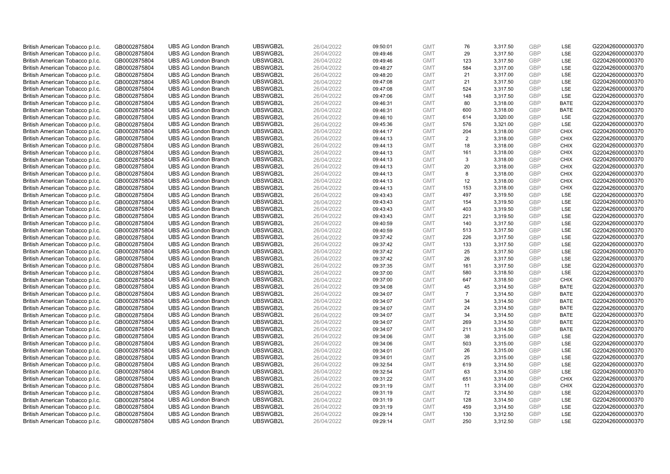| British American Tobacco p.l.c. | GB0002875804 | <b>UBS AG London Branch</b> | UBSWGB2L | 26/04/2022 | 09:50:01 | <b>GMT</b> | 76             | 3,317.50 | <b>GBP</b> | LSE         | G220426000000370 |
|---------------------------------|--------------|-----------------------------|----------|------------|----------|------------|----------------|----------|------------|-------------|------------------|
| British American Tobacco p.l.c. | GB0002875804 | <b>UBS AG London Branch</b> | UBSWGB2L | 26/04/2022 | 09:49:46 | <b>GMT</b> | 29             | 3,317.50 | GBP        | LSE         | G220426000000370 |
| British American Tobacco p.l.c. | GB0002875804 | <b>UBS AG London Branch</b> | UBSWGB2L | 26/04/2022 | 09:49:46 | <b>GMT</b> | 123            | 3,317.50 | <b>GBP</b> | LSE         | G220426000000370 |
| British American Tobacco p.l.c. | GB0002875804 | <b>UBS AG London Branch</b> | UBSWGB2L | 26/04/2022 | 09:48:27 | <b>GMT</b> | 584            | 3,317.00 | GBP        | LSE         | G220426000000370 |
| British American Tobacco p.l.c. | GB0002875804 | <b>UBS AG London Branch</b> | UBSWGB2L | 26/04/2022 | 09:48:20 | <b>GMT</b> | 21             | 3,317.00 | <b>GBP</b> | LSE         | G220426000000370 |
| British American Tobacco p.l.c. | GB0002875804 | <b>UBS AG London Branch</b> | UBSWGB2L | 26/04/2022 | 09:47:08 | <b>GMT</b> | 21             | 3,317.50 | <b>GBP</b> | LSE         | G220426000000370 |
| British American Tobacco p.l.c. | GB0002875804 | <b>UBS AG London Branch</b> | UBSWGB2L | 26/04/2022 | 09:47:08 | <b>GMT</b> | 524            | 3,317.50 | <b>GBP</b> | LSE         | G220426000000370 |
| British American Tobacco p.l.c. | GB0002875804 | <b>UBS AG London Branch</b> | UBSWGB2L | 26/04/2022 | 09:47:06 | <b>GMT</b> | 148            | 3,317.50 | GBP        | LSE         | G220426000000370 |
| British American Tobacco p.l.c. | GB0002875804 | <b>UBS AG London Branch</b> | UBSWGB2L | 26/04/2022 | 09:46:31 | <b>GMT</b> | 80             | 3,318.00 | <b>GBP</b> | <b>BATE</b> | G220426000000370 |
| British American Tobacco p.l.c. | GB0002875804 | <b>UBS AG London Branch</b> | UBSWGB2L | 26/04/2022 | 09:46:31 | <b>GMT</b> | 600            | 3,318.00 | <b>GBP</b> | <b>BATE</b> | G220426000000370 |
| British American Tobacco p.l.c. | GB0002875804 | <b>UBS AG London Branch</b> | UBSWGB2L | 26/04/2022 | 09:46:10 | <b>GMT</b> | 614            | 3,320.00 | <b>GBP</b> | <b>LSE</b>  | G220426000000370 |
| British American Tobacco p.l.c. | GB0002875804 | <b>UBS AG London Branch</b> | UBSWGB2L | 26/04/2022 | 09:45:36 | <b>GMT</b> | 576            | 3,321.00 | <b>GBP</b> | LSE         | G220426000000370 |
| British American Tobacco p.l.c. | GB0002875804 | <b>UBS AG London Branch</b> | UBSWGB2L | 26/04/2022 | 09:44:17 | <b>GMT</b> | 204            | 3,318.00 | <b>GBP</b> | <b>CHIX</b> | G220426000000370 |
| British American Tobacco p.l.c. | GB0002875804 | <b>UBS AG London Branch</b> | UBSWGB2L | 26/04/2022 | 09:44:13 | <b>GMT</b> | 2              | 3,318.00 | <b>GBP</b> | <b>CHIX</b> | G220426000000370 |
| British American Tobacco p.l.c. | GB0002875804 | <b>UBS AG London Branch</b> | UBSWGB2L | 26/04/2022 | 09:44:13 | <b>GMT</b> | 18             | 3,318.00 | GBP        | <b>CHIX</b> | G220426000000370 |
| British American Tobacco p.l.c. | GB0002875804 | <b>UBS AG London Branch</b> | UBSWGB2L | 26/04/2022 | 09:44:13 | <b>GMT</b> | 161            | 3,318.00 | <b>GBP</b> | <b>CHIX</b> | G220426000000370 |
| British American Tobacco p.l.c. | GB0002875804 | <b>UBS AG London Branch</b> | UBSWGB2L | 26/04/2022 | 09:44:13 | <b>GMT</b> | 3              | 3,318.00 | GBP        | <b>CHIX</b> | G220426000000370 |
| British American Tobacco p.l.c. | GB0002875804 | <b>UBS AG London Branch</b> | UBSWGB2L | 26/04/2022 | 09:44:13 | <b>GMT</b> | 20             | 3,318.00 | <b>GBP</b> | <b>CHIX</b> | G220426000000370 |
| British American Tobacco p.l.c. | GB0002875804 | <b>UBS AG London Branch</b> | UBSWGB2L | 26/04/2022 | 09:44:13 | <b>GMT</b> | 8              | 3,318.00 | GBP        | <b>CHIX</b> | G220426000000370 |
| British American Tobacco p.l.c. | GB0002875804 | <b>UBS AG London Branch</b> | UBSWGB2L | 26/04/2022 | 09:44:13 | <b>GMT</b> | 12             | 3,318.00 | <b>GBP</b> | <b>CHIX</b> | G220426000000370 |
| British American Tobacco p.l.c. | GB0002875804 | <b>UBS AG London Branch</b> | UBSWGB2L | 26/04/2022 | 09:44:13 | <b>GMT</b> | 153            | 3,318.00 | GBP        | <b>CHIX</b> | G220426000000370 |
| British American Tobacco p.l.c. | GB0002875804 | <b>UBS AG London Branch</b> | UBSWGB2L | 26/04/2022 | 09:43:43 | <b>GMT</b> | 497            | 3,319.50 | GBP        | LSE         | G220426000000370 |
| British American Tobacco p.l.c. | GB0002875804 | <b>UBS AG London Branch</b> | UBSWGB2L | 26/04/2022 | 09:43:43 | <b>GMT</b> | 154            | 3,319.50 | GBP        | LSE         | G220426000000370 |
| British American Tobacco p.l.c. | GB0002875804 | <b>UBS AG London Branch</b> | UBSWGB2L | 26/04/2022 | 09:43:43 | <b>GMT</b> | 403            | 3,319.50 | GBP        | LSE         | G220426000000370 |
| British American Tobacco p.l.c. | GB0002875804 | <b>UBS AG London Branch</b> | UBSWGB2L | 26/04/2022 | 09:43:43 | <b>GMT</b> | 221            | 3,319.50 | <b>GBP</b> | LSE         | G220426000000370 |
| British American Tobacco p.l.c. | GB0002875804 | <b>UBS AG London Branch</b> | UBSWGB2L | 26/04/2022 | 09:40:59 | <b>GMT</b> | 140            | 3,317.50 | <b>GBP</b> | LSE         | G220426000000370 |
| British American Tobacco p.l.c. | GB0002875804 | <b>UBS AG London Branch</b> | UBSWGB2L | 26/04/2022 | 09:40:59 | <b>GMT</b> | 513            | 3,317.50 | <b>GBP</b> | <b>LSE</b>  | G220426000000370 |
| British American Tobacco p.l.c. | GB0002875804 | <b>UBS AG London Branch</b> | UBSWGB2L | 26/04/2022 | 09:37:42 | <b>GMT</b> | 226            | 3,317.50 | GBP        | <b>LSE</b>  | G220426000000370 |
| British American Tobacco p.l.c. | GB0002875804 | <b>UBS AG London Branch</b> | UBSWGB2L | 26/04/2022 | 09:37:42 | <b>GMT</b> | 133            | 3,317.50 | <b>GBP</b> | LSE         | G220426000000370 |
| British American Tobacco p.l.c. | GB0002875804 | <b>UBS AG London Branch</b> | UBSWGB2L | 26/04/2022 | 09:37:42 | <b>GMT</b> | 25             | 3,317.50 | <b>GBP</b> | LSE         | G220426000000370 |
| British American Tobacco p.l.c. | GB0002875804 | <b>UBS AG London Branch</b> | UBSWGB2L | 26/04/2022 | 09:37:42 | <b>GMT</b> | 26             | 3,317.50 | <b>GBP</b> | LSE         | G220426000000370 |
| British American Tobacco p.l.c. | GB0002875804 | <b>UBS AG London Branch</b> | UBSWGB2L | 26/04/2022 | 09:37:35 | <b>GMT</b> | 161            | 3,317.50 | <b>GBP</b> | <b>LSE</b>  | G220426000000370 |
| British American Tobacco p.l.c. | GB0002875804 | <b>UBS AG London Branch</b> | UBSWGB2L | 26/04/2022 | 09:37:00 | <b>GMT</b> | 580            | 3,318.50 | <b>GBP</b> | LSE         | G220426000000370 |
| British American Tobacco p.l.c. | GB0002875804 | <b>UBS AG London Branch</b> | UBSWGB2L | 26/04/2022 | 09:37:00 | <b>GMT</b> | 647            | 3,318.50 | GBP        | <b>CHIX</b> | G220426000000370 |
| British American Tobacco p.l.c. | GB0002875804 | <b>UBS AG London Branch</b> | UBSWGB2L | 26/04/2022 | 09:34:08 | <b>GMT</b> | 45             | 3,314.50 | GBP        | <b>BATE</b> | G220426000000370 |
| British American Tobacco p.l.c. | GB0002875804 | <b>UBS AG London Branch</b> | UBSWGB2L | 26/04/2022 | 09:34:07 | <b>GMT</b> | $\overline{7}$ | 3,314.50 | GBP        | <b>BATE</b> | G220426000000370 |
| British American Tobacco p.l.c. | GB0002875804 | <b>UBS AG London Branch</b> | UBSWGB2L | 26/04/2022 | 09:34:07 | <b>GMT</b> | 34             | 3,314.50 | GBP        | <b>BATE</b> | G220426000000370 |
| British American Tobacco p.l.c. | GB0002875804 | <b>UBS AG London Branch</b> | UBSWGB2L | 26/04/2022 | 09:34:07 | <b>GMT</b> | 24             | 3,314.50 | <b>GBP</b> | <b>BATE</b> | G220426000000370 |
| British American Tobacco p.l.c. | GB0002875804 | <b>UBS AG London Branch</b> | UBSWGB2L | 26/04/2022 | 09:34:07 | <b>GMT</b> | 34             | 3,314.50 | <b>GBP</b> | <b>BATE</b> | G220426000000370 |
| British American Tobacco p.l.c. | GB0002875804 | <b>UBS AG London Branch</b> | UBSWGB2L | 26/04/2022 | 09:34:07 | <b>GMT</b> | 269            | 3,314.50 | GBP        | <b>BATE</b> | G220426000000370 |
| British American Tobacco p.l.c. | GB0002875804 | <b>UBS AG London Branch</b> | UBSWGB2L | 26/04/2022 | 09:34:07 | <b>GMT</b> | 211            | 3,314.50 | <b>GBP</b> | <b>BATE</b> | G220426000000370 |
| British American Tobacco p.l.c. | GB0002875804 | <b>UBS AG London Branch</b> | UBSWGB2L | 26/04/2022 | 09:34:06 | <b>GMT</b> | 38             | 3,315.00 | <b>GBP</b> | <b>LSE</b>  | G220426000000370 |
| British American Tobacco p.l.c. | GB0002875804 | <b>UBS AG London Branch</b> | UBSWGB2L | 26/04/2022 | 09:34:06 | <b>GMT</b> | 503            | 3,315.00 | <b>GBP</b> | LSE         | G220426000000370 |
| British American Tobacco p.l.c. | GB0002875804 | <b>UBS AG London Branch</b> | UBSWGB2L | 26/04/2022 | 09:34:01 | <b>GMT</b> | 26             | 3,315.00 | <b>GBP</b> | <b>LSE</b>  | G220426000000370 |
| British American Tobacco p.l.c. | GB0002875804 | <b>UBS AG London Branch</b> | UBSWGB2L | 26/04/2022 | 09:34:01 | <b>GMT</b> | 25             | 3,315.00 | <b>GBP</b> | <b>LSE</b>  | G220426000000370 |
| British American Tobacco p.l.c. | GB0002875804 | <b>UBS AG London Branch</b> | UBSWGB2L | 26/04/2022 | 09:32:54 | <b>GMT</b> | 619            | 3,314.50 | <b>GBP</b> | LSE         | G220426000000370 |
| British American Tobacco p.l.c. | GB0002875804 | <b>UBS AG London Branch</b> | UBSWGB2L | 26/04/2022 | 09:32:54 | <b>GMT</b> | 63             | 3,314.50 | <b>GBP</b> | LSE         | G220426000000370 |
| British American Tobacco p.l.c. | GB0002875804 | <b>UBS AG London Branch</b> | UBSWGB2L | 26/04/2022 | 09:31:22 | <b>GMT</b> | 651            | 3,314.00 | GBP        | <b>CHIX</b> | G220426000000370 |
| British American Tobacco p.l.c. | GB0002875804 | <b>UBS AG London Branch</b> | UBSWGB2L | 26/04/2022 | 09:31:19 | <b>GMT</b> | 11             | 3,314.00 | <b>GBP</b> | <b>CHIX</b> | G220426000000370 |
| British American Tobacco p.l.c. | GB0002875804 | <b>UBS AG London Branch</b> | UBSWGB2L | 26/04/2022 | 09:31:19 | <b>GMT</b> | 72             | 3,314.50 | GBP        | <b>LSE</b>  | G220426000000370 |
| British American Tobacco p.l.c. | GB0002875804 | <b>UBS AG London Branch</b> | UBSWGB2L | 26/04/2022 | 09:31:19 | <b>GMT</b> | 128            | 3,314.50 | GBP        | LSE         | G220426000000370 |
| British American Tobacco p.l.c. | GB0002875804 | <b>UBS AG London Branch</b> | UBSWGB2L | 26/04/2022 | 09:31:19 | <b>GMT</b> | 459            | 3,314.50 | <b>GBP</b> | LSE         | G220426000000370 |
| British American Tobacco p.l.c. | GB0002875804 | <b>UBS AG London Branch</b> | UBSWGB2L | 26/04/2022 | 09:29:14 | <b>GMT</b> | 130            | 3,312.50 | GBP        | LSE         | G220426000000370 |
| British American Tobacco p.l.c. | GB0002875804 | <b>UBS AG London Branch</b> | UBSWGB2L | 26/04/2022 | 09:29:14 | <b>GMT</b> | 250            | 3,312.50 | GBP        | <b>LSE</b>  | G220426000000370 |
|                                 |              |                             |          |            |          |            |                |          |            |             |                  |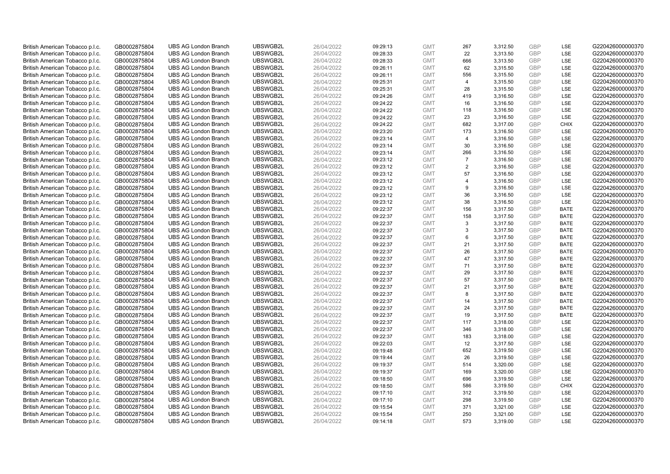| British American Tobacco p.l.c. | GB0002875804 | <b>UBS AG London Branch</b> | UBSWGB2L | 26/04/2022 | 09:29:13 | <b>GMT</b> | 267            | 3,312.50 | <b>GBP</b> | LSE         | G220426000000370 |
|---------------------------------|--------------|-----------------------------|----------|------------|----------|------------|----------------|----------|------------|-------------|------------------|
| British American Tobacco p.l.c. | GB0002875804 | <b>UBS AG London Branch</b> | UBSWGB2L | 26/04/2022 | 09:28:33 | <b>GMT</b> | 22             | 3,313.50 | GBP        | LSE         | G220426000000370 |
| British American Tobacco p.l.c. | GB0002875804 | <b>UBS AG London Branch</b> | UBSWGB2L | 26/04/2022 | 09:28:33 | <b>GMT</b> | 666            | 3,313.50 | <b>GBP</b> | LSE         | G220426000000370 |
| British American Tobacco p.l.c. | GB0002875804 | <b>UBS AG London Branch</b> | UBSWGB2L | 26/04/2022 | 09:26:11 | <b>GMT</b> | 62             | 3,315.50 | GBP        | LSE         | G220426000000370 |
| British American Tobacco p.l.c. | GB0002875804 | <b>UBS AG London Branch</b> | UBSWGB2L | 26/04/2022 | 09:26:11 | <b>GMT</b> | 556            | 3,315.50 | <b>GBP</b> | LSE         | G220426000000370 |
| British American Tobacco p.l.c. | GB0002875804 | <b>UBS AG London Branch</b> | UBSWGB2L | 26/04/2022 | 09:25:31 | <b>GMT</b> | $\overline{4}$ | 3,315.50 | <b>GBP</b> | LSE         | G220426000000370 |
| British American Tobacco p.l.c. | GB0002875804 | <b>UBS AG London Branch</b> | UBSWGB2L | 26/04/2022 | 09:25:31 | <b>GMT</b> | 28             | 3,315.50 | <b>GBP</b> | LSE         | G220426000000370 |
| British American Tobacco p.l.c. | GB0002875804 | <b>UBS AG London Branch</b> | UBSWGB2L | 26/04/2022 | 09:24:26 | <b>GMT</b> | 419            | 3,316.50 | GBP        | <b>LSE</b>  | G220426000000370 |
| British American Tobacco p.l.c. | GB0002875804 | <b>UBS AG London Branch</b> | UBSWGB2L | 26/04/2022 | 09:24:22 | <b>GMT</b> | 16             | 3,316.50 | GBP        | LSE         | G220426000000370 |
| British American Tobacco p.l.c. | GB0002875804 | <b>UBS AG London Branch</b> | UBSWGB2L | 26/04/2022 | 09:24:22 | <b>GMT</b> | 118            | 3,316.50 | GBP        | LSE         | G220426000000370 |
| British American Tobacco p.l.c. | GB0002875804 | <b>UBS AG London Branch</b> | UBSWGB2L | 26/04/2022 | 09:24:22 | <b>GMT</b> | 23             | 3,316.50 | GBP        | LSE         | G220426000000370 |
| British American Tobacco p.l.c. | GB0002875804 | <b>UBS AG London Branch</b> | UBSWGB2L | 26/04/2022 | 09:24:22 | <b>GMT</b> | 682            | 3,317.00 | <b>GBP</b> | <b>CHIX</b> | G220426000000370 |
| British American Tobacco p.l.c. | GB0002875804 | <b>UBS AG London Branch</b> | UBSWGB2L | 26/04/2022 | 09:23:20 | <b>GMT</b> | 173            | 3,316.50 | <b>GBP</b> | <b>LSE</b>  | G220426000000370 |
| British American Tobacco p.l.c. | GB0002875804 | <b>UBS AG London Branch</b> | UBSWGB2L | 26/04/2022 | 09:23:14 | <b>GMT</b> | $\overline{4}$ | 3,316.50 | <b>GBP</b> | <b>LSE</b>  | G220426000000370 |
| British American Tobacco p.l.c. | GB0002875804 | <b>UBS AG London Branch</b> | UBSWGB2L | 26/04/2022 | 09:23:14 | <b>GMT</b> | 30             | 3,316.50 | GBP        | <b>LSE</b>  | G220426000000370 |
| British American Tobacco p.l.c. | GB0002875804 | <b>UBS AG London Branch</b> | UBSWGB2L | 26/04/2022 | 09:23:14 | <b>GMT</b> | 266            | 3,316.50 | <b>GBP</b> | LSE         | G220426000000370 |
| British American Tobacco p.l.c. | GB0002875804 | <b>UBS AG London Branch</b> | UBSWGB2L | 26/04/2022 | 09:23:12 | <b>GMT</b> | $\overline{7}$ | 3,316.50 | <b>GBP</b> | LSE         | G220426000000370 |
| British American Tobacco p.l.c. | GB0002875804 | <b>UBS AG London Branch</b> | UBSWGB2L | 26/04/2022 | 09:23:12 | <b>GMT</b> | 2              | 3,316.50 | <b>GBP</b> | LSE         | G220426000000370 |
| British American Tobacco p.l.c. | GB0002875804 | <b>UBS AG London Branch</b> | UBSWGB2L | 26/04/2022 | 09:23:12 | <b>GMT</b> | 57             | 3,316.50 | GBP        | <b>LSE</b>  | G220426000000370 |
| British American Tobacco p.l.c. | GB0002875804 | <b>UBS AG London Branch</b> | UBSWGB2L | 26/04/2022 | 09:23:12 | <b>GMT</b> | $\overline{4}$ | 3,316.50 | <b>GBP</b> | LSE         | G220426000000370 |
| British American Tobacco p.l.c. | GB0002875804 | <b>UBS AG London Branch</b> | UBSWGB2L | 26/04/2022 | 09:23:12 | <b>GMT</b> | 9              | 3,316.50 | GBP        | LSE         | G220426000000370 |
| British American Tobacco p.l.c. | GB0002875804 | <b>UBS AG London Branch</b> | UBSWGB2L | 26/04/2022 | 09:23:12 | <b>GMT</b> | 36             | 3,316.50 | GBP        | LSE         | G220426000000370 |
| British American Tobacco p.l.c. | GB0002875804 | <b>UBS AG London Branch</b> | UBSWGB2L | 26/04/2022 | 09:23:12 | <b>GMT</b> | 38             | 3,316.50 | GBP        | LSE         | G220426000000370 |
| British American Tobacco p.l.c. | GB0002875804 | <b>UBS AG London Branch</b> | UBSWGB2L | 26/04/2022 | 09:22:37 | <b>GMT</b> | 156            | 3,317.50 | GBP        | <b>BATE</b> | G220426000000370 |
| British American Tobacco p.l.c. | GB0002875804 | <b>UBS AG London Branch</b> | UBSWGB2L | 26/04/2022 | 09:22:37 | <b>GMT</b> | 158            | 3,317.50 | <b>GBP</b> | <b>BATE</b> | G220426000000370 |
| British American Tobacco p.l.c. | GB0002875804 | <b>UBS AG London Branch</b> | UBSWGB2L | 26/04/2022 | 09:22:37 | <b>GMT</b> | 3              | 3,317.50 | <b>GBP</b> | <b>BATE</b> | G220426000000370 |
| British American Tobacco p.l.c. | GB0002875804 | <b>UBS AG London Branch</b> | UBSWGB2L | 26/04/2022 | 09:22:37 | <b>GMT</b> | 3              | 3,317.50 | <b>GBP</b> | <b>BATE</b> | G220426000000370 |
| British American Tobacco p.l.c. | GB0002875804 | <b>UBS AG London Branch</b> | UBSWGB2L | 26/04/2022 | 09:22:37 | <b>GMT</b> | 6              | 3,317.50 | <b>GBP</b> | <b>BATE</b> | G220426000000370 |
| British American Tobacco p.l.c. | GB0002875804 | <b>UBS AG London Branch</b> | UBSWGB2L | 26/04/2022 | 09:22:37 | <b>GMT</b> | 21             | 3,317.50 | <b>GBP</b> | <b>BATE</b> | G220426000000370 |
| British American Tobacco p.l.c. | GB0002875804 | <b>UBS AG London Branch</b> | UBSWGB2L | 26/04/2022 | 09:22:37 | <b>GMT</b> | 26             | 3,317.50 | GBP        | <b>BATE</b> | G220426000000370 |
| British American Tobacco p.l.c. | GB0002875804 | <b>UBS AG London Branch</b> | UBSWGB2L | 26/04/2022 | 09:22:37 | <b>GMT</b> | 47             | 3,317.50 | GBP        | <b>BATE</b> | G220426000000370 |
| British American Tobacco p.l.c. | GB0002875804 | <b>UBS AG London Branch</b> | UBSWGB2L | 26/04/2022 | 09:22:37 | <b>GMT</b> | 71             | 3,317.50 | <b>GBP</b> | <b>BATE</b> | G220426000000370 |
| British American Tobacco p.l.c. | GB0002875804 | <b>UBS AG London Branch</b> | UBSWGB2L | 26/04/2022 | 09:22:37 | <b>GMT</b> | 29             | 3,317.50 | GBP        | <b>BATE</b> | G220426000000370 |
| British American Tobacco p.l.c. | GB0002875804 | <b>UBS AG London Branch</b> | UBSWGB2L | 26/04/2022 | 09:22:37 | <b>GMT</b> | 57             | 3,317.50 | GBP        | <b>BATE</b> | G220426000000370 |
| British American Tobacco p.l.c. | GB0002875804 | <b>UBS AG London Branch</b> | UBSWGB2L | 26/04/2022 | 09:22:37 | <b>GMT</b> | 21             | 3,317.50 | GBP        | <b>BATE</b> | G220426000000370 |
| British American Tobacco p.l.c. | GB0002875804 | <b>UBS AG London Branch</b> | UBSWGB2L | 26/04/2022 | 09:22:37 | <b>GMT</b> | 8              | 3,317.50 | GBP        | <b>BATE</b> | G220426000000370 |
| British American Tobacco p.l.c. | GB0002875804 | <b>UBS AG London Branch</b> | UBSWGB2L | 26/04/2022 | 09:22:37 | <b>GMT</b> | 14             | 3,317.50 | GBP        | <b>BATE</b> | G220426000000370 |
| British American Tobacco p.l.c. | GB0002875804 | <b>UBS AG London Branch</b> | UBSWGB2L | 26/04/2022 | 09:22:37 | <b>GMT</b> | 24             | 3,317.50 | <b>GBP</b> | <b>BATE</b> | G220426000000370 |
| British American Tobacco p.l.c. | GB0002875804 | <b>UBS AG London Branch</b> | UBSWGB2L | 26/04/2022 | 09:22:37 | <b>GMT</b> | 19             | 3,317.50 | <b>GBP</b> | <b>BATE</b> | G220426000000370 |
| British American Tobacco p.l.c. | GB0002875804 | <b>UBS AG London Branch</b> | UBSWGB2L | 26/04/2022 | 09:22:37 | <b>GMT</b> | 117            | 3,318.00 | GBP        | <b>LSE</b>  | G220426000000370 |
| British American Tobacco p.l.c. | GB0002875804 | <b>UBS AG London Branch</b> | UBSWGB2L | 26/04/2022 | 09:22:37 | <b>GMT</b> | 346            | 3,318.00 | <b>GBP</b> | <b>LSE</b>  | G220426000000370 |
| British American Tobacco p.l.c. | GB0002875804 | <b>UBS AG London Branch</b> | UBSWGB2L | 26/04/2022 | 09:22:37 | <b>GMT</b> | 183            | 3,318.00 | <b>GBP</b> | LSE         | G220426000000370 |
| British American Tobacco p.l.c. | GB0002875804 | <b>UBS AG London Branch</b> | UBSWGB2L | 26/04/2022 | 09:22:03 | <b>GMT</b> | 12             | 3,317.50 | GBP        | LSE         | G220426000000370 |
| British American Tobacco p.l.c. | GB0002875804 | <b>UBS AG London Branch</b> | UBSWGB2L | 26/04/2022 | 09:19:48 | <b>GMT</b> | 652            | 3,319.50 | <b>GBP</b> | LSE         | G220426000000370 |
| British American Tobacco p.l.c. | GB0002875804 | <b>UBS AG London Branch</b> | UBSWGB2L | 26/04/2022 | 09:19:44 | <b>GMT</b> | 26             | 3,319.50 | <b>GBP</b> | <b>LSE</b>  | G220426000000370 |
| British American Tobacco p.l.c. | GB0002875804 | <b>UBS AG London Branch</b> | UBSWGB2L | 26/04/2022 | 09:19:37 | <b>GMT</b> | 514            | 3,320.00 | <b>GBP</b> | LSE         | G220426000000370 |
| British American Tobacco p.l.c. | GB0002875804 | <b>UBS AG London Branch</b> | UBSWGB2L | 26/04/2022 | 09:19:37 | <b>GMT</b> | 169            | 3,320.00 | <b>GBP</b> | LSE         | G220426000000370 |
| British American Tobacco p.l.c. | GB0002875804 | <b>UBS AG London Branch</b> | UBSWGB2L | 26/04/2022 | 09:18:50 | <b>GMT</b> | 696            | 3,319.50 | GBP        | LSE         | G220426000000370 |
| British American Tobacco p.l.c. | GB0002875804 | <b>UBS AG London Branch</b> | UBSWGB2L | 26/04/2022 | 09:18:50 | <b>GMT</b> | 586            | 3,319.50 | <b>GBP</b> | <b>CHIX</b> | G220426000000370 |
| British American Tobacco p.l.c. | GB0002875804 | <b>UBS AG London Branch</b> | UBSWGB2L | 26/04/2022 | 09:17:10 | <b>GMT</b> | 312            | 3,319.50 | GBP        | <b>LSE</b>  | G220426000000370 |
| British American Tobacco p.l.c. | GB0002875804 | <b>UBS AG London Branch</b> | UBSWGB2L | 26/04/2022 | 09:17:10 | <b>GMT</b> | 298            | 3,319.50 | GBP        | LSE         | G220426000000370 |
| British American Tobacco p.l.c. | GB0002875804 | <b>UBS AG London Branch</b> | UBSWGB2L | 26/04/2022 | 09:15:54 | <b>GMT</b> | 371            | 3,321.00 | <b>GBP</b> | LSE         | G220426000000370 |
| British American Tobacco p.l.c. | GB0002875804 | <b>UBS AG London Branch</b> | UBSWGB2L | 26/04/2022 | 09:15:54 | <b>GMT</b> | 250            | 3,321.00 | GBP        | LSE         | G220426000000370 |
| British American Tobacco p.l.c. | GB0002875804 | <b>UBS AG London Branch</b> | UBSWGB2L | 26/04/2022 | 09:14:18 | <b>GMT</b> | 573            | 3.319.00 | GBP        | <b>LSE</b>  | G220426000000370 |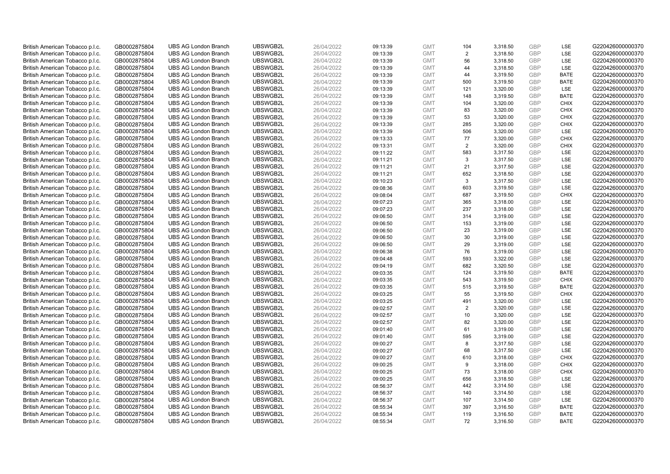| British American Tobacco p.l.c. | GB0002875804 | <b>UBS AG London Branch</b> | UBSWGB2L | 26/04/2022 | 09:13:39 | <b>GMT</b> | 104 | 3,318.50 | <b>GBP</b> | LSE         | G220426000000370 |
|---------------------------------|--------------|-----------------------------|----------|------------|----------|------------|-----|----------|------------|-------------|------------------|
| British American Tobacco p.l.c. | GB0002875804 | <b>UBS AG London Branch</b> | UBSWGB2L | 26/04/2022 | 09:13:39 | <b>GMT</b> | 2   | 3,318.50 | GBP        | LSE         | G220426000000370 |
| British American Tobacco p.l.c. | GB0002875804 | <b>UBS AG London Branch</b> | UBSWGB2L | 26/04/2022 | 09:13:39 | <b>GMT</b> | 56  | 3,318.50 | <b>GBP</b> | LSE         | G220426000000370 |
| British American Tobacco p.l.c. | GB0002875804 | <b>UBS AG London Branch</b> | UBSWGB2L | 26/04/2022 | 09:13:39 | <b>GMT</b> | 44  | 3,318.50 | GBP        | LSE         | G220426000000370 |
| British American Tobacco p.l.c. | GB0002875804 | <b>UBS AG London Branch</b> | UBSWGB2L | 26/04/2022 | 09:13:39 | <b>GMT</b> | 44  | 3,319.50 | <b>GBP</b> | <b>BATE</b> | G220426000000370 |
| British American Tobacco p.l.c. | GB0002875804 | <b>UBS AG London Branch</b> | UBSWGB2L | 26/04/2022 | 09:13:39 | <b>GMT</b> | 500 | 3,319.50 | <b>GBP</b> | <b>BATE</b> | G220426000000370 |
| British American Tobacco p.l.c. | GB0002875804 | <b>UBS AG London Branch</b> | UBSWGB2L | 26/04/2022 | 09:13:39 | <b>GMT</b> | 121 | 3,320.00 | GBP        | LSE         | G220426000000370 |
| British American Tobacco p.l.c. | GB0002875804 | <b>UBS AG London Branch</b> | UBSWGB2L | 26/04/2022 | 09:13:39 | <b>GMT</b> | 148 | 3,319.50 | GBP        | <b>BATE</b> | G220426000000370 |
| British American Tobacco p.l.c. | GB0002875804 | <b>UBS AG London Branch</b> | UBSWGB2L | 26/04/2022 | 09:13:39 | <b>GMT</b> | 104 | 3,320.00 | GBP        | <b>CHIX</b> | G220426000000370 |
| British American Tobacco p.l.c. | GB0002875804 | <b>UBS AG London Branch</b> | UBSWGB2L | 26/04/2022 | 09:13:39 | <b>GMT</b> | 83  | 3,320.00 | <b>GBP</b> | <b>CHIX</b> | G220426000000370 |
| British American Tobacco p.l.c. | GB0002875804 | <b>UBS AG London Branch</b> | UBSWGB2L | 26/04/2022 | 09:13:39 | <b>GMT</b> | 53  | 3,320.00 | GBP        | <b>CHIX</b> | G220426000000370 |
| British American Tobacco p.l.c. | GB0002875804 | <b>UBS AG London Branch</b> | UBSWGB2L | 26/04/2022 | 09:13:39 | <b>GMT</b> | 285 | 3,320.00 | <b>GBP</b> | <b>CHIX</b> | G220426000000370 |
| British American Tobacco p.l.c. | GB0002875804 | <b>UBS AG London Branch</b> | UBSWGB2L | 26/04/2022 | 09:13:39 | <b>GMT</b> | 506 | 3,320.00 | GBP        | <b>LSE</b>  | G220426000000370 |
| British American Tobacco p.l.c. | GB0002875804 | <b>UBS AG London Branch</b> | UBSWGB2L | 26/04/2022 | 09:13:33 | <b>GMT</b> | 77  | 3,320.00 | <b>GBP</b> | <b>CHIX</b> | G220426000000370 |
| British American Tobacco p.l.c. | GB0002875804 | <b>UBS AG London Branch</b> | UBSWGB2L | 26/04/2022 | 09:13:31 | <b>GMT</b> | 2   | 3,320.00 | GBP        | <b>CHIX</b> | G220426000000370 |
| British American Tobacco p.l.c. | GB0002875804 | <b>UBS AG London Branch</b> | UBSWGB2L | 26/04/2022 | 09:11:22 | <b>GMT</b> | 583 | 3,317.50 | <b>GBP</b> | <b>LSE</b>  | G220426000000370 |
| British American Tobacco p.l.c. | GB0002875804 | <b>UBS AG London Branch</b> | UBSWGB2L | 26/04/2022 | 09:11:21 | <b>GMT</b> | 3   | 3,317.50 | GBP        | LSE         | G220426000000370 |
| British American Tobacco p.l.c. | GB0002875804 | <b>UBS AG London Branch</b> | UBSWGB2L | 26/04/2022 | 09:11:21 | <b>GMT</b> | 21  | 3,317.50 | <b>GBP</b> | LSE         | G220426000000370 |
| British American Tobacco p.l.c. | GB0002875804 | <b>UBS AG London Branch</b> | UBSWGB2L | 26/04/2022 | 09:11:21 | <b>GMT</b> | 652 | 3,318.50 | GBP        | <b>LSE</b>  | G220426000000370 |
| British American Tobacco p.l.c. | GB0002875804 | <b>UBS AG London Branch</b> | UBSWGB2L | 26/04/2022 | 09:10:23 | <b>GMT</b> | 3   | 3,317.50 | <b>GBP</b> | LSE         | G220426000000370 |
| British American Tobacco p.l.c. | GB0002875804 | <b>UBS AG London Branch</b> | UBSWGB2L | 26/04/2022 | 09:08:36 | <b>GMT</b> | 603 | 3,319.50 | GBP        | LSE         | G220426000000370 |
| British American Tobacco p.l.c. | GB0002875804 | <b>UBS AG London Branch</b> | UBSWGB2L | 26/04/2022 | 09:08:04 | <b>GMT</b> | 687 | 3,319.50 | GBP        | <b>CHIX</b> | G220426000000370 |
| British American Tobacco p.l.c. | GB0002875804 | <b>UBS AG London Branch</b> | UBSWGB2L | 26/04/2022 | 09:07:23 | <b>GMT</b> | 365 | 3,318.00 | GBP        | <b>LSE</b>  | G220426000000370 |
| British American Tobacco p.l.c. | GB0002875804 | <b>UBS AG London Branch</b> | UBSWGB2L | 26/04/2022 | 09:07:23 | <b>GMT</b> | 237 | 3,318.00 | GBP        | LSE         | G220426000000370 |
| British American Tobacco p.l.c. | GB0002875804 | <b>UBS AG London Branch</b> | UBSWGB2L | 26/04/2022 | 09:06:50 | <b>GMT</b> | 314 | 3,319.00 | <b>GBP</b> | LSE         | G220426000000370 |
| British American Tobacco p.l.c. | GB0002875804 | <b>UBS AG London Branch</b> | UBSWGB2L | 26/04/2022 | 09:06:50 | <b>GMT</b> | 153 | 3,319.00 | <b>GBP</b> | LSE         | G220426000000370 |
| British American Tobacco p.l.c. | GB0002875804 | <b>UBS AG London Branch</b> | UBSWGB2L | 26/04/2022 | 09:06:50 | <b>GMT</b> | 23  | 3,319.00 | <b>GBP</b> | <b>LSE</b>  | G220426000000370 |
| British American Tobacco p.l.c. | GB0002875804 | <b>UBS AG London Branch</b> | UBSWGB2L | 26/04/2022 | 09:06:50 | <b>GMT</b> | 30  | 3,319.00 | GBP        | <b>LSE</b>  | G220426000000370 |
| British American Tobacco p.l.c. | GB0002875804 | <b>UBS AG London Branch</b> | UBSWGB2L | 26/04/2022 | 09:06:50 | <b>GMT</b> | 29  | 3,319.00 | <b>GBP</b> | LSE         | G220426000000370 |
| British American Tobacco p.l.c. | GB0002875804 | <b>UBS AG London Branch</b> | UBSWGB2L | 26/04/2022 | 09:06:38 | <b>GMT</b> | 76  | 3,319.00 | GBP        | LSE         | G220426000000370 |
| British American Tobacco p.l.c. | GB0002875804 | <b>UBS AG London Branch</b> | UBSWGB2L | 26/04/2022 | 09:04:48 | <b>GMT</b> | 593 | 3,322.00 | <b>GBP</b> | LSE         | G220426000000370 |
| British American Tobacco p.l.c. | GB0002875804 | <b>UBS AG London Branch</b> | UBSWGB2L | 26/04/2022 | 09:04:19 | <b>GMT</b> | 682 | 3,320.50 | <b>GBP</b> | <b>LSE</b>  | G220426000000370 |
| British American Tobacco p.l.c. | GB0002875804 | <b>UBS AG London Branch</b> | UBSWGB2L | 26/04/2022 | 09:03:35 | <b>GMT</b> | 124 | 3,319.50 | <b>GBP</b> | <b>BATE</b> | G220426000000370 |
| British American Tobacco p.l.c. | GB0002875804 | <b>UBS AG London Branch</b> | UBSWGB2L | 26/04/2022 | 09:03:35 | <b>GMT</b> | 543 | 3,319.50 | GBP        | <b>CHIX</b> | G220426000000370 |
| British American Tobacco p.l.c. | GB0002875804 | <b>UBS AG London Branch</b> | UBSWGB2L | 26/04/2022 | 09:03:35 | <b>GMT</b> | 515 | 3,319.50 | GBP        | <b>BATE</b> | G220426000000370 |
| British American Tobacco p.l.c. | GB0002875804 | <b>UBS AG London Branch</b> | UBSWGB2L | 26/04/2022 | 09:03:25 | <b>GMT</b> | 55  | 3,319.50 | GBP        | <b>CHIX</b> | G220426000000370 |
| British American Tobacco p.l.c. | GB0002875804 | <b>UBS AG London Branch</b> | UBSWGB2L | 26/04/2022 | 09:03:25 | <b>GMT</b> | 491 | 3,320.00 | GBP        | <b>LSE</b>  | G220426000000370 |
| British American Tobacco p.l.c. | GB0002875804 | <b>UBS AG London Branch</b> | UBSWGB2L | 26/04/2022 | 09:02:57 | <b>GMT</b> | 2   | 3,320.00 | <b>GBP</b> | LSE         | G220426000000370 |
| British American Tobacco p.l.c. | GB0002875804 | <b>UBS AG London Branch</b> | UBSWGB2L | 26/04/2022 | 09:02:57 | <b>GMT</b> | 10  | 3,320.00 | <b>GBP</b> | <b>LSE</b>  | G220426000000370 |
| British American Tobacco p.l.c. | GB0002875804 | <b>UBS AG London Branch</b> | UBSWGB2L | 26/04/2022 | 09:02:57 | <b>GMT</b> | 82  | 3,320.00 | GBP        | <b>LSE</b>  | G220426000000370 |
| British American Tobacco p.l.c. | GB0002875804 | <b>UBS AG London Branch</b> | UBSWGB2L | 26/04/2022 | 09:01:40 | <b>GMT</b> | 61  | 3,319.00 | <b>GBP</b> | <b>LSE</b>  | G220426000000370 |
| British American Tobacco p.l.c. | GB0002875804 | <b>UBS AG London Branch</b> | UBSWGB2L | 26/04/2022 | 09:01:40 | <b>GMT</b> | 595 | 3,319.00 | <b>GBP</b> | LSE         | G220426000000370 |
| British American Tobacco p.l.c. | GB0002875804 | <b>UBS AG London Branch</b> | UBSWGB2L | 26/04/2022 | 09:00:27 | <b>GMT</b> | 8   | 3,317.50 | GBP        | LSE         | G220426000000370 |
| British American Tobacco p.l.c. |              | <b>UBS AG London Branch</b> | UBSWGB2L | 26/04/2022 |          | <b>GMT</b> | 68  | 3,317.50 | GBP        | <b>LSE</b>  | G220426000000370 |
|                                 | GB0002875804 |                             | UBSWGB2L |            | 09:00:27 |            |     |          |            |             |                  |
| British American Tobacco p.l.c. | GB0002875804 | <b>UBS AG London Branch</b> |          | 26/04/2022 | 09:00:27 | <b>GMT</b> | 610 | 3,318.00 | <b>GBP</b> | <b>CHIX</b> | G220426000000370 |
| British American Tobacco p.l.c. | GB0002875804 | <b>UBS AG London Branch</b> | UBSWGB2L | 26/04/2022 | 09:00:25 | <b>GMT</b> | 9   | 3,318.00 | <b>GBP</b> | <b>CHIX</b> | G220426000000370 |
| British American Tobacco p.l.c. | GB0002875804 | <b>UBS AG London Branch</b> | UBSWGB2L | 26/04/2022 | 09:00:25 | <b>GMT</b> | 73  | 3,318.00 | <b>GBP</b> | <b>CHIX</b> | G220426000000370 |
| British American Tobacco p.l.c. | GB0002875804 | <b>UBS AG London Branch</b> | UBSWGB2L | 26/04/2022 | 09:00:25 | <b>GMT</b> | 656 | 3,318.50 | GBP        | LSE         | G220426000000370 |
| British American Tobacco p.l.c. | GB0002875804 | <b>UBS AG London Branch</b> | UBSWGB2L | 26/04/2022 | 08:56:37 | <b>GMT</b> | 442 | 3,314.50 | <b>GBP</b> | LSE         | G220426000000370 |
| British American Tobacco p.l.c. | GB0002875804 | <b>UBS AG London Branch</b> | UBSWGB2L | 26/04/2022 | 08:56:37 | <b>GMT</b> | 140 | 3,314.50 | GBP        | LSE         | G220426000000370 |
| British American Tobacco p.l.c. | GB0002875804 | <b>UBS AG London Branch</b> | UBSWGB2L | 26/04/2022 | 08:56:37 | <b>GMT</b> | 107 | 3,314.50 | <b>GBP</b> | LSE         | G220426000000370 |
| British American Tobacco p.l.c. | GB0002875804 | <b>UBS AG London Branch</b> | UBSWGB2L | 26/04/2022 | 08:55:34 | <b>GMT</b> | 397 | 3,316.50 | <b>GBP</b> | <b>BATE</b> | G220426000000370 |
| British American Tobacco p.l.c. | GB0002875804 | <b>UBS AG London Branch</b> | UBSWGB2L | 26/04/2022 | 08:55:34 | <b>GMT</b> | 119 | 3,316.50 | GBP        | <b>BATE</b> | G220426000000370 |
| British American Tobacco p.l.c. | GB0002875804 | <b>UBS AG London Branch</b> | UBSWGB2L | 26/04/2022 | 08:55:34 | <b>GMT</b> | 72  | 3,316.50 | GBP        | <b>BATE</b> | G220426000000370 |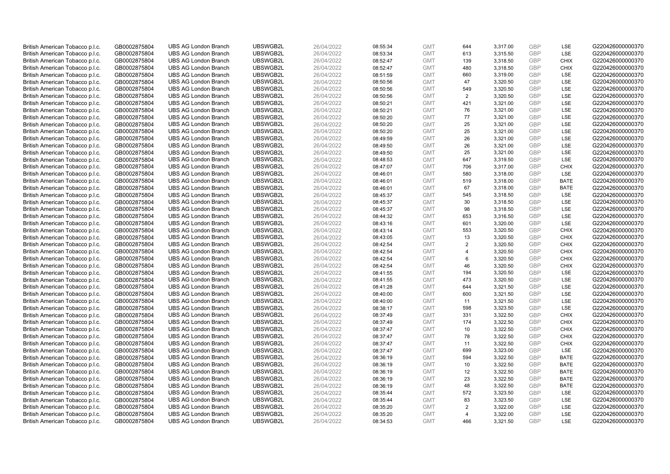| British American Tobacco p.l.c. | GB0002875804 | <b>UBS AG London Branch</b> | UBSWGB2L | 26/04/2022 | 08:55:34 | <b>GMT</b> | 644                     | 3,317.00 | <b>GBP</b>               | LSE         | G220426000000370 |
|---------------------------------|--------------|-----------------------------|----------|------------|----------|------------|-------------------------|----------|--------------------------|-------------|------------------|
| British American Tobacco p.l.c. | GB0002875804 | <b>UBS AG London Branch</b> | UBSWGB2L | 26/04/2022 | 08:53:34 | <b>GMT</b> | 613                     | 3,315.50 | <b>GBP</b>               | LSE         | G220426000000370 |
| British American Tobacco p.l.c. | GB0002875804 | <b>UBS AG London Branch</b> | UBSWGB2L | 26/04/2022 | 08:52:47 | <b>GMT</b> | 139                     | 3,318.50 | <b>GBP</b>               | <b>CHIX</b> | G220426000000370 |
| British American Tobacco p.l.c. | GB0002875804 | <b>UBS AG London Branch</b> | UBSWGB2L | 26/04/2022 | 08:52:47 | <b>GMT</b> | 480                     | 3,318.50 | <b>GBP</b>               | <b>CHIX</b> | G220426000000370 |
|                                 |              |                             |          |            |          |            | 660                     |          | <b>GBP</b>               | LSE         |                  |
| British American Tobacco p.l.c. | GB0002875804 | <b>UBS AG London Branch</b> | UBSWGB2L | 26/04/2022 | 08:51:59 | <b>GMT</b> |                         | 3,319.00 |                          |             | G220426000000370 |
| British American Tobacco p.l.c. | GB0002875804 | <b>UBS AG London Branch</b> | UBSWGB2L | 26/04/2022 | 08:50:56 | <b>GMT</b> | 47                      | 3,320.50 | <b>GBP</b>               | LSE         | G220426000000370 |
| British American Tobacco p.l.c. | GB0002875804 | <b>UBS AG London Branch</b> | UBSWGB2L | 26/04/2022 | 08:50:56 | <b>GMT</b> | 549                     | 3,320.50 | <b>GBP</b>               | LSE         | G220426000000370 |
| British American Tobacco p.l.c. | GB0002875804 | <b>UBS AG London Branch</b> | UBSWGB2L | 26/04/2022 | 08:50:56 | <b>GMT</b> | $\overline{2}$          | 3,320.50 | <b>GBP</b>               | LSE         | G220426000000370 |
| British American Tobacco p.l.c. | GB0002875804 | <b>UBS AG London Branch</b> | UBSWGB2L | 26/04/2022 | 08:50:21 | <b>GMT</b> | 421                     | 3,321.00 | <b>GBP</b>               | LSE         | G220426000000370 |
| British American Tobacco p.l.c. | GB0002875804 | <b>UBS AG London Branch</b> | UBSWGB2L | 26/04/2022 | 08:50:21 | <b>GMT</b> | 76                      | 3,321.00 | <b>GBP</b>               | LSE         | G220426000000370 |
| British American Tobacco p.l.c. | GB0002875804 | <b>UBS AG London Branch</b> | UBSWGB2L | 26/04/2022 | 08:50:20 | <b>GMT</b> | 77                      | 3,321.00 | <b>GBP</b>               | LSE         | G220426000000370 |
| British American Tobacco p.l.c. | GB0002875804 | <b>UBS AG London Branch</b> | UBSWGB2L | 26/04/2022 | 08:50:20 | <b>GMT</b> | 25                      | 3,321.00 | <b>GBP</b>               | LSE         | G220426000000370 |
| British American Tobacco p.l.c. | GB0002875804 | <b>UBS AG London Branch</b> | UBSWGB2L | 26/04/2022 | 08:50:20 | <b>GMT</b> | 25                      | 3,321.00 | <b>GBP</b>               | LSE         | G220426000000370 |
| British American Tobacco p.l.c. | GB0002875804 | <b>UBS AG London Branch</b> | UBSWGB2L | 26/04/2022 | 08:49:59 | <b>GMT</b> | 26                      | 3,321.00 | <b>GBP</b>               | LSE         | G220426000000370 |
| British American Tobacco p.l.c. | GB0002875804 | <b>UBS AG London Branch</b> | UBSWGB2L | 26/04/2022 | 08:49:50 | <b>GMT</b> | 26                      | 3,321.00 | GBP                      | LSE         | G220426000000370 |
| British American Tobacco p.l.c. | GB0002875804 | <b>UBS AG London Branch</b> | UBSWGB2L | 26/04/2022 | 08:49:50 | <b>GMT</b> | 25                      | 3,321.00 | <b>GBP</b>               | LSE         | G220426000000370 |
| British American Tobacco p.l.c. | GB0002875804 | <b>UBS AG London Branch</b> | UBSWGB2L | 26/04/2022 | 08:48:53 | <b>GMT</b> | 647                     | 3,319.50 | <b>GBP</b>               | LSE         | G220426000000370 |
| British American Tobacco p.l.c. | GB0002875804 | <b>UBS AG London Branch</b> | UBSWGB2L | 26/04/2022 | 08:47:07 | <b>GMT</b> | 706                     | 3,317.00 | <b>GBP</b>               | <b>CHIX</b> | G220426000000370 |
| British American Tobacco p.l.c. | GB0002875804 | <b>UBS AG London Branch</b> | UBSWGB2L | 26/04/2022 | 08:46:01 | <b>GMT</b> | 580                     | 3,318.00 | <b>GBP</b>               | <b>LSE</b>  | G220426000000370 |
| British American Tobacco p.l.c. | GB0002875804 | <b>UBS AG London Branch</b> | UBSWGB2L | 26/04/2022 | 08:46:01 | <b>GMT</b> | 519                     | 3,318.00 | <b>GBP</b>               | <b>BATE</b> | G220426000000370 |
| British American Tobacco p.l.c. | GB0002875804 | <b>UBS AG London Branch</b> | UBSWGB2L | 26/04/2022 | 08:46:01 | <b>GMT</b> | 67                      | 3,318.00 | <b>GBP</b>               | <b>BATE</b> | G220426000000370 |
| British American Tobacco p.l.c. | GB0002875804 | <b>UBS AG London Branch</b> | UBSWGB2L | 26/04/2022 | 08:45:37 | <b>GMT</b> | 545                     | 3,318.50 | <b>GBP</b>               | LSE         | G220426000000370 |
| British American Tobacco p.l.c. | GB0002875804 | <b>UBS AG London Branch</b> | UBSWGB2L | 26/04/2022 | 08:45:37 | <b>GMT</b> | 30                      | 3,318.50 | <b>GBP</b>               | LSE         | G220426000000370 |
| British American Tobacco p.l.c. | GB0002875804 | <b>UBS AG London Branch</b> | UBSWGB2L | 26/04/2022 | 08:45:37 | <b>GMT</b> | 98                      | 3,318.50 | <b>GBP</b>               | LSE         | G220426000000370 |
| British American Tobacco p.l.c. | GB0002875804 | <b>UBS AG London Branch</b> | UBSWGB2L | 26/04/2022 | 08:44:32 | <b>GMT</b> | 653                     | 3,316.50 | <b>GBP</b>               | LSE         | G220426000000370 |
| British American Tobacco p.l.c. | GB0002875804 | <b>UBS AG London Branch</b> | UBSWGB2L | 26/04/2022 | 08:43:16 | <b>GMT</b> | 601                     | 3,320.00 | <b>GBP</b>               | LSE         | G220426000000370 |
| British American Tobacco p.l.c. | GB0002875804 | <b>UBS AG London Branch</b> | UBSWGB2L | 26/04/2022 | 08:43:14 | <b>GMT</b> | 553                     | 3,320.50 | <b>GBP</b>               | <b>CHIX</b> | G220426000000370 |
| British American Tobacco p.l.c. | GB0002875804 | <b>UBS AG London Branch</b> | UBSWGB2L | 26/04/2022 | 08:43:05 | <b>GMT</b> | 13                      | 3,320.50 | <b>GBP</b>               | <b>CHIX</b> | G220426000000370 |
| British American Tobacco p.l.c. | GB0002875804 | <b>UBS AG London Branch</b> | UBSWGB2L | 26/04/2022 | 08:42:54 | <b>GMT</b> | $\overline{2}$          | 3,320.50 | <b>GBP</b>               | <b>CHIX</b> | G220426000000370 |
| British American Tobacco p.l.c. | GB0002875804 | <b>UBS AG London Branch</b> | UBSWGB2L | 26/04/2022 | 08:42:54 | <b>GMT</b> | $\overline{4}$          | 3,320.50 | <b>GBP</b>               | <b>CHIX</b> | G220426000000370 |
| British American Tobacco p.l.c. | GB0002875804 | <b>UBS AG London Branch</b> | UBSWGB2L | 26/04/2022 | 08:42:54 | <b>GMT</b> | 6                       | 3,320.50 | <b>GBP</b>               | <b>CHIX</b> | G220426000000370 |
| British American Tobacco p.l.c. | GB0002875804 | <b>UBS AG London Branch</b> | UBSWGB2L | 26/04/2022 | 08:42:54 | <b>GMT</b> | 46                      | 3,320.50 | <b>GBP</b>               | <b>CHIX</b> | G220426000000370 |
| British American Tobacco p.l.c. | GB0002875804 | <b>UBS AG London Branch</b> | UBSWGB2L | 26/04/2022 | 08:41:55 | <b>GMT</b> | 194                     | 3,320.50 | <b>GBP</b>               | LSE         | G220426000000370 |
| British American Tobacco p.l.c. | GB0002875804 | <b>UBS AG London Branch</b> | UBSWGB2L | 26/04/2022 | 08:41:55 | <b>GMT</b> | 473                     | 3,320.50 | <b>GBP</b>               | LSE         | G220426000000370 |
| British American Tobacco p.l.c. | GB0002875804 | <b>UBS AG London Branch</b> | UBSWGB2L | 26/04/2022 | 08:41:28 | <b>GMT</b> | 644                     | 3,321.50 | <b>GBP</b>               | LSE         | G220426000000370 |
| British American Tobacco p.l.c. | GB0002875804 | <b>UBS AG London Branch</b> | UBSWGB2L | 26/04/2022 | 08:40:00 | <b>GMT</b> | 600                     | 3,321.50 | <b>GBP</b>               | LSE         | G220426000000370 |
| British American Tobacco p.l.c. | GB0002875804 | <b>UBS AG London Branch</b> | UBSWGB2L | 26/04/2022 | 08:40:00 | <b>GMT</b> | 11                      | 3,321.50 | <b>GBP</b>               | LSE         | G220426000000370 |
| British American Tobacco p.l.c. | GB0002875804 | <b>UBS AG London Branch</b> | UBSWGB2L | 26/04/2022 | 08:38:17 | <b>GMT</b> | 598                     | 3,323.50 | <b>GBP</b>               | LSE         | G220426000000370 |
| British American Tobacco p.l.c. | GB0002875804 | <b>UBS AG London Branch</b> | UBSWGB2L | 26/04/2022 | 08:37:49 | <b>GMT</b> | 331                     | 3,322.50 | <b>GBP</b>               | <b>CHIX</b> | G220426000000370 |
| British American Tobacco p.l.c. | GB0002875804 | <b>UBS AG London Branch</b> | UBSWGB2L | 26/04/2022 | 08:37:49 | <b>GMT</b> | 174                     | 3,322.50 | <b>GBP</b>               | <b>CHIX</b> | G220426000000370 |
| British American Tobacco p.l.c. |              | <b>UBS AG London Branch</b> | UBSWGB2L | 26/04/2022 |          | <b>GMT</b> | 10                      | 3,322.50 | <b>GBP</b>               | <b>CHIX</b> | G220426000000370 |
|                                 | GB0002875804 |                             |          |            | 08:37:47 |            | 78                      |          |                          | <b>CHIX</b> |                  |
| British American Tobacco p.l.c. | GB0002875804 | <b>UBS AG London Branch</b> | UBSWGB2L | 26/04/2022 | 08:37:47 | <b>GMT</b> |                         | 3,322.50 | <b>GBP</b><br><b>GBP</b> |             | G220426000000370 |
| British American Tobacco p.l.c. | GB0002875804 | <b>UBS AG London Branch</b> | UBSWGB2L | 26/04/2022 | 08:37:47 | <b>GMT</b> | 11                      | 3,322.50 |                          | <b>CHIX</b> | G220426000000370 |
| British American Tobacco p.l.c. | GB0002875804 | <b>UBS AG London Branch</b> | UBSWGB2L | 26/04/2022 | 08:37:47 | <b>GMT</b> | 699                     | 3,323.00 | <b>GBP</b>               | LSE         | G220426000000370 |
| British American Tobacco p.l.c. | GB0002875804 | <b>UBS AG London Branch</b> | UBSWGB2L | 26/04/2022 | 08:36:19 | <b>GMT</b> | 594                     | 3,322.50 | <b>GBP</b>               | <b>BATE</b> | G220426000000370 |
| British American Tobacco p.l.c. | GB0002875804 | <b>UBS AG London Branch</b> | UBSWGB2L | 26/04/2022 | 08:36:19 | <b>GMT</b> | 10                      | 3,322.50 | <b>GBP</b>               | <b>BATE</b> | G220426000000370 |
| British American Tobacco p.l.c. | GB0002875804 | <b>UBS AG London Branch</b> | UBSWGB2L | 26/04/2022 | 08:36:19 | <b>GMT</b> | 12                      | 3,322.50 | <b>GBP</b>               | <b>BATE</b> | G220426000000370 |
| British American Tobacco p.l.c. | GB0002875804 | <b>UBS AG London Branch</b> | UBSWGB2L | 26/04/2022 | 08:36:19 | <b>GMT</b> | 23                      | 3,322.50 | <b>GBP</b>               | <b>BATE</b> | G220426000000370 |
| British American Tobacco p.l.c. | GB0002875804 | <b>UBS AG London Branch</b> | UBSWGB2L | 26/04/2022 | 08:36:19 | <b>GMT</b> | 48                      | 3,322.50 | <b>GBP</b>               | <b>BATE</b> | G220426000000370 |
| British American Tobacco p.l.c. | GB0002875804 | <b>UBS AG London Branch</b> | UBSWGB2L | 26/04/2022 | 08:35:44 | <b>GMT</b> | 572                     | 3,323.50 | <b>GBP</b>               | LSE         | G220426000000370 |
| British American Tobacco p.l.c. | GB0002875804 | <b>UBS AG London Branch</b> | UBSWGB2L | 26/04/2022 | 08:35:44 | <b>GMT</b> | 83                      | 3,323.50 | <b>GBP</b>               | LSE         | G220426000000370 |
| British American Tobacco p.l.c. | GB0002875804 | <b>UBS AG London Branch</b> | UBSWGB2L | 26/04/2022 | 08:35:20 | <b>GMT</b> | $\overline{2}$          | 3,322.00 | <b>GBP</b>               | LSE         | G220426000000370 |
| British American Tobacco p.l.c. | GB0002875804 | <b>UBS AG London Branch</b> | UBSWGB2L | 26/04/2022 | 08:35:20 | <b>GMT</b> | $\overline{\mathbf{A}}$ | 3,322.00 | <b>GBP</b>               | LSE         | G220426000000370 |
| British American Tobacco p.l.c. | GB0002875804 | <b>UBS AG London Branch</b> | UBSWGB2L | 26/04/2022 | 08:34:53 | <b>GMT</b> | 466                     | 3,321.50 | GBP                      | LSE         | G220426000000370 |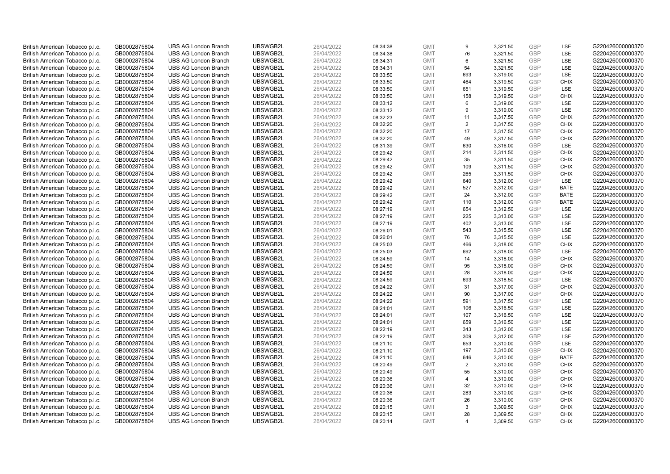| British American Tobacco p.l.c. | GB0002875804 | <b>UBS AG London Branch</b> | UBSWGB2L | 26/04/2022 | 08:34:38 | <b>GMT</b> | 9                       | 3,321.50 | <b>GBP</b> | LSE         | G220426000000370 |
|---------------------------------|--------------|-----------------------------|----------|------------|----------|------------|-------------------------|----------|------------|-------------|------------------|
| British American Tobacco p.l.c. | GB0002875804 | <b>UBS AG London Branch</b> | UBSWGB2L | 26/04/2022 | 08:34:38 | <b>GMT</b> | 76                      | 3,321.50 | GBP        | LSE         | G220426000000370 |
| British American Tobacco p.l.c. | GB0002875804 | <b>UBS AG London Branch</b> | UBSWGB2L | 26/04/2022 | 08:34:31 | <b>GMT</b> | 6                       | 3,321.50 | <b>GBP</b> | LSE         | G220426000000370 |
| British American Tobacco p.l.c. | GB0002875804 | <b>UBS AG London Branch</b> | UBSWGB2L | 26/04/2022 | 08:34:31 | <b>GMT</b> | 54                      | 3,321.50 | <b>GBP</b> | LSE         | G220426000000370 |
| British American Tobacco p.l.c. | GB0002875804 | <b>UBS AG London Branch</b> | UBSWGB2L | 26/04/2022 | 08:33:50 | <b>GMT</b> | 693                     | 3,319.00 | <b>GBP</b> | LSE         | G220426000000370 |
|                                 |              |                             |          |            |          |            |                         |          |            |             |                  |
| British American Tobacco p.l.c. | GB0002875804 | <b>UBS AG London Branch</b> | UBSWGB2L | 26/04/2022 | 08:33:50 | <b>GMT</b> | 464                     | 3,319.50 | <b>GBP</b> | <b>CHIX</b> | G220426000000370 |
| British American Tobacco p.l.c. | GB0002875804 | <b>UBS AG London Branch</b> | UBSWGB2L | 26/04/2022 | 08:33:50 | <b>GMT</b> | 651                     | 3,319.50 | <b>GBP</b> | LSE         | G220426000000370 |
| British American Tobacco p.l.c. | GB0002875804 | <b>UBS AG London Branch</b> | UBSWGB2L | 26/04/2022 | 08:33:50 | <b>GMT</b> | 158                     | 3,319.50 | <b>GBP</b> | <b>CHIX</b> | G220426000000370 |
| British American Tobacco p.l.c. | GB0002875804 | <b>UBS AG London Branch</b> | UBSWGB2L | 26/04/2022 | 08:33:12 | <b>GMT</b> | 6                       | 3,319.00 | <b>GBP</b> | LSE         | G220426000000370 |
| British American Tobacco p.l.c. | GB0002875804 | <b>UBS AG London Branch</b> | UBSWGB2L | 26/04/2022 | 08:33:12 | <b>GMT</b> | 9                       | 3,319.00 | <b>GBP</b> | LSE         | G220426000000370 |
| British American Tobacco p.l.c. | GB0002875804 | <b>UBS AG London Branch</b> | UBSWGB2L | 26/04/2022 | 08:32:23 | <b>GMT</b> | 11                      | 3,317.50 | <b>GBP</b> | <b>CHIX</b> | G220426000000370 |
| British American Tobacco p.l.c. | GB0002875804 | <b>UBS AG London Branch</b> | UBSWGB2L | 26/04/2022 | 08:32:20 | <b>GMT</b> | $\overline{2}$          | 3,317.50 | <b>GBP</b> | <b>CHIX</b> | G220426000000370 |
| British American Tobacco p.l.c. | GB0002875804 | <b>UBS AG London Branch</b> | UBSWGB2L | 26/04/2022 | 08:32:20 | <b>GMT</b> | 17                      | 3,317.50 | <b>GBP</b> | <b>CHIX</b> | G220426000000370 |
| British American Tobacco p.l.c. | GB0002875804 | <b>UBS AG London Branch</b> | UBSWGB2L | 26/04/2022 | 08:32:20 | <b>GMT</b> | 49                      | 3,317.50 | <b>GBP</b> | <b>CHIX</b> | G220426000000370 |
| British American Tobacco p.l.c. | GB0002875804 | <b>UBS AG London Branch</b> | UBSWGB2L | 26/04/2022 | 08:31:39 | <b>GMT</b> | 630                     | 3,316.00 | <b>GBP</b> | LSE         | G220426000000370 |
| British American Tobacco p.l.c. | GB0002875804 | <b>UBS AG London Branch</b> | UBSWGB2L | 26/04/2022 | 08:29:42 | <b>GMT</b> | 214                     | 3,311.50 | <b>GBP</b> | <b>CHIX</b> | G220426000000370 |
| British American Tobacco p.l.c. | GB0002875804 | <b>UBS AG London Branch</b> | UBSWGB2L | 26/04/2022 | 08:29:42 | <b>GMT</b> | 35                      | 3,311.50 | <b>GBP</b> | <b>CHIX</b> | G220426000000370 |
| British American Tobacco p.l.c. | GB0002875804 | <b>UBS AG London Branch</b> | UBSWGB2L | 26/04/2022 | 08:29:42 | <b>GMT</b> | 109                     | 3,311.50 | <b>GBP</b> | <b>CHIX</b> | G220426000000370 |
| British American Tobacco p.l.c. | GB0002875804 | <b>UBS AG London Branch</b> | UBSWGB2L | 26/04/2022 | 08:29:42 | <b>GMT</b> | 265                     | 3,311.50 | <b>GBP</b> | <b>CHIX</b> | G220426000000370 |
| British American Tobacco p.l.c. | GB0002875804 | <b>UBS AG London Branch</b> | UBSWGB2L | 26/04/2022 | 08:29:42 | <b>GMT</b> | 640                     | 3,312.00 | <b>GBP</b> | LSE         | G220426000000370 |
| British American Tobacco p.l.c. | GB0002875804 | <b>UBS AG London Branch</b> | UBSWGB2L | 26/04/2022 | 08:29:42 | <b>GMT</b> | 527                     | 3,312.00 | <b>GBP</b> | <b>BATE</b> | G220426000000370 |
| British American Tobacco p.l.c. | GB0002875804 | <b>UBS AG London Branch</b> | UBSWGB2L | 26/04/2022 | 08:29:42 | <b>GMT</b> | 24                      | 3,312.00 | <b>GBP</b> | <b>BATE</b> | G220426000000370 |
| British American Tobacco p.l.c. | GB0002875804 | <b>UBS AG London Branch</b> | UBSWGB2L | 26/04/2022 | 08:29:42 | <b>GMT</b> | 110                     | 3,312.00 | <b>GBP</b> | <b>BATE</b> | G220426000000370 |
| British American Tobacco p.l.c. | GB0002875804 | <b>UBS AG London Branch</b> | UBSWGB2L | 26/04/2022 | 08:27:19 | <b>GMT</b> | 654                     | 3,312.50 | <b>GBP</b> | LSE         | G220426000000370 |
| British American Tobacco p.l.c. | GB0002875804 | <b>UBS AG London Branch</b> | UBSWGB2L | 26/04/2022 | 08:27:19 | <b>GMT</b> | 225                     | 3,313.00 | <b>GBP</b> | LSE         | G220426000000370 |
| British American Tobacco p.l.c. | GB0002875804 | <b>UBS AG London Branch</b> | UBSWGB2L | 26/04/2022 | 08:27:19 | <b>GMT</b> | 402                     | 3,313.00 | <b>GBP</b> | LSE         | G220426000000370 |
| British American Tobacco p.l.c. | GB0002875804 | <b>UBS AG London Branch</b> | UBSWGB2L | 26/04/2022 | 08:26:01 | <b>GMT</b> | 543                     | 3,315.50 | <b>GBP</b> | LSE         | G220426000000370 |
| British American Tobacco p.l.c. | GB0002875804 | <b>UBS AG London Branch</b> | UBSWGB2L | 26/04/2022 | 08:26:01 | <b>GMT</b> | 76                      | 3,315.50 | <b>GBP</b> | LSE         | G220426000000370 |
| British American Tobacco p.l.c. | GB0002875804 | <b>UBS AG London Branch</b> | UBSWGB2L | 26/04/2022 | 08:25:03 | <b>GMT</b> | 466                     | 3,318.00 | <b>GBP</b> | <b>CHIX</b> | G220426000000370 |
| British American Tobacco p.l.c. | GB0002875804 | <b>UBS AG London Branch</b> | UBSWGB2L | 26/04/2022 | 08:25:03 | <b>GMT</b> | 692                     | 3,318.00 | <b>GBP</b> | LSE         | G220426000000370 |
| British American Tobacco p.l.c. | GB0002875804 | <b>UBS AG London Branch</b> | UBSWGB2L | 26/04/2022 | 08:24:59 | <b>GMT</b> | 14                      | 3,318.00 | <b>GBP</b> | <b>CHIX</b> | G220426000000370 |
| British American Tobacco p.l.c. | GB0002875804 | <b>UBS AG London Branch</b> | UBSWGB2L | 26/04/2022 | 08:24:59 | <b>GMT</b> | 95                      | 3,318.00 | <b>GBP</b> | <b>CHIX</b> | G220426000000370 |
| British American Tobacco p.l.c. | GB0002875804 | <b>UBS AG London Branch</b> | UBSWGB2L | 26/04/2022 | 08:24:59 | <b>GMT</b> | 28                      | 3,318.00 | <b>GBP</b> | <b>CHIX</b> | G220426000000370 |
| British American Tobacco p.l.c. | GB0002875804 | <b>UBS AG London Branch</b> | UBSWGB2L | 26/04/2022 | 08:24:59 | <b>GMT</b> | 693                     | 3,318.50 | <b>GBP</b> | LSE         | G220426000000370 |
| British American Tobacco p.l.c. | GB0002875804 | <b>UBS AG London Branch</b> | UBSWGB2L | 26/04/2022 | 08:24:22 | <b>GMT</b> | 31                      | 3,317.00 | <b>GBP</b> | <b>CHIX</b> | G220426000000370 |
| British American Tobacco p.l.c. | GB0002875804 | <b>UBS AG London Branch</b> | UBSWGB2L | 26/04/2022 | 08:24:22 | <b>GMT</b> | 90                      | 3,317.00 | <b>GBP</b> | <b>CHIX</b> | G220426000000370 |
| British American Tobacco p.l.c. | GB0002875804 | <b>UBS AG London Branch</b> | UBSWGB2L | 26/04/2022 | 08:24:22 | <b>GMT</b> | 591                     | 3,317.50 | <b>GBP</b> | LSE         | G220426000000370 |
| British American Tobacco p.l.c. | GB0002875804 | <b>UBS AG London Branch</b> | UBSWGB2L | 26/04/2022 | 08:24:01 | <b>GMT</b> | 106                     | 3,316.50 | <b>GBP</b> | LSE         | G220426000000370 |
| British American Tobacco p.l.c. | GB0002875804 | <b>UBS AG London Branch</b> | UBSWGB2L | 26/04/2022 | 08:24:01 | <b>GMT</b> | 107                     | 3,316.50 | <b>GBP</b> | LSE         | G220426000000370 |
| British American Tobacco p.l.c. | GB0002875804 | <b>UBS AG London Branch</b> | UBSWGB2L | 26/04/2022 | 08:24:01 | <b>GMT</b> | 659                     | 3,316.50 | <b>GBP</b> | LSE         | G220426000000370 |
| British American Tobacco p.l.c. | GB0002875804 | <b>UBS AG London Branch</b> | UBSWGB2L | 26/04/2022 | 08:22:19 | <b>GMT</b> | 343                     | 3,312.00 | <b>GBP</b> | LSE         | G220426000000370 |
| British American Tobacco p.l.c. |              | <b>UBS AG London Branch</b> | UBSWGB2L | 26/04/2022 | 08:22:19 | <b>GMT</b> | 309                     | 3,312.00 | <b>GBP</b> | LSE         | G220426000000370 |
|                                 | GB0002875804 |                             | UBSWGB2L | 26/04/2022 | 08:21:10 | <b>GMT</b> |                         |          | <b>GBP</b> | LSE         | G220426000000370 |
| British American Tobacco p.l.c. | GB0002875804 | <b>UBS AG London Branch</b> |          |            |          |            | 653                     | 3,310.00 |            | <b>CHIX</b> |                  |
| British American Tobacco p.l.c. | GB0002875804 | <b>UBS AG London Branch</b> | UBSWGB2L | 26/04/2022 | 08:21:10 | <b>GMT</b> | 197                     | 3,310.00 | <b>GBP</b> |             | G220426000000370 |
| British American Tobacco p.l.c. | GB0002875804 | <b>UBS AG London Branch</b> | UBSWGB2L | 26/04/2022 | 08:21:10 | <b>GMT</b> | 646                     | 3,310.00 | <b>GBP</b> | <b>BATE</b> | G220426000000370 |
| British American Tobacco p.l.c. | GB0002875804 | <b>UBS AG London Branch</b> | UBSWGB2L | 26/04/2022 | 08:20:49 | <b>GMT</b> | 2                       | 3,310.00 | <b>GBP</b> | <b>CHIX</b> | G220426000000370 |
| British American Tobacco p.l.c. | GB0002875804 | <b>UBS AG London Branch</b> | UBSWGB2L | 26/04/2022 | 08:20:49 | <b>GMT</b> | 55                      | 3,310.00 | <b>GBP</b> | <b>CHIX</b> | G220426000000370 |
| British American Tobacco p.l.c. | GB0002875804 | <b>UBS AG London Branch</b> | UBSWGB2L | 26/04/2022 | 08:20:36 | <b>GMT</b> | $\overline{4}$          | 3,310.00 | <b>GBP</b> | <b>CHIX</b> | G220426000000370 |
| British American Tobacco p.l.c. | GB0002875804 | <b>UBS AG London Branch</b> | UBSWGB2L | 26/04/2022 | 08:20:36 | <b>GMT</b> | 32                      | 3,310.00 | <b>GBP</b> | <b>CHIX</b> | G220426000000370 |
| British American Tobacco p.l.c. | GB0002875804 | <b>UBS AG London Branch</b> | UBSWGB2L | 26/04/2022 | 08:20:36 | <b>GMT</b> | 283                     | 3,310.00 | <b>GBP</b> | <b>CHIX</b> | G220426000000370 |
| British American Tobacco p.l.c. | GB0002875804 | <b>UBS AG London Branch</b> | UBSWGB2L | 26/04/2022 | 08:20:36 | <b>GMT</b> | 26                      | 3,310.00 | <b>GBP</b> | <b>CHIX</b> | G220426000000370 |
| British American Tobacco p.l.c. | GB0002875804 | <b>UBS AG London Branch</b> | UBSWGB2L | 26/04/2022 | 08:20:15 | <b>GMT</b> | 3                       | 3,309.50 | <b>GBP</b> | <b>CHIX</b> | G220426000000370 |
| British American Tobacco p.l.c. | GB0002875804 | <b>UBS AG London Branch</b> | UBSWGB2L | 26/04/2022 | 08:20:15 | <b>GMT</b> | 28                      | 3,309.50 | <b>GBP</b> | <b>CHIX</b> | G220426000000370 |
| British American Tobacco p.l.c. | GB0002875804 | <b>UBS AG London Branch</b> | UBSWGB2L | 26/04/2022 | 08:20:14 | <b>GMT</b> | $\overline{\mathbf{A}}$ | 3.309.50 | GBP        | <b>CHIX</b> | G220426000000370 |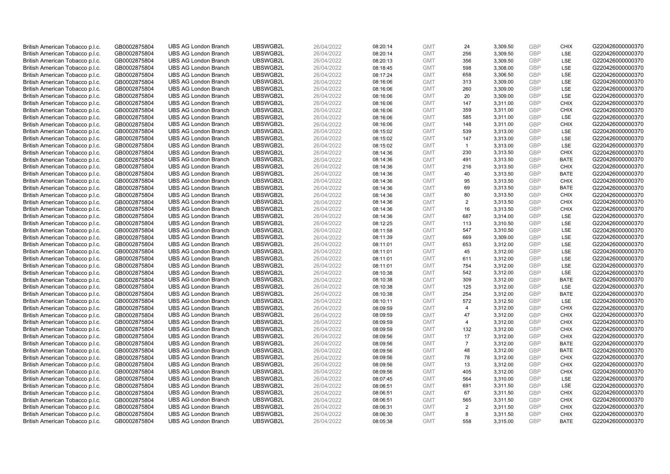| British American Tobacco p.l.c. | GB0002875804                 | <b>UBS AG London Branch</b> | UBSWGB2L             | 26/04/2022               | 08:20:14             | <b>GMT</b>               | 24             | 3,309.50             | <b>GBP</b> | <b>CHIX</b>                | G220426000000370 |
|---------------------------------|------------------------------|-----------------------------|----------------------|--------------------------|----------------------|--------------------------|----------------|----------------------|------------|----------------------------|------------------|
| British American Tobacco p.l.c. | GB0002875804                 | <b>UBS AG London Branch</b> | UBSWGB2L             | 26/04/2022               | 08:20:14             | <b>GMT</b>               | 256            | 3,309.50             | GBP        | <b>LSE</b>                 | G220426000000370 |
| British American Tobacco p.l.c. | GB0002875804                 | <b>UBS AG London Branch</b> | UBSWGB2L             | 26/04/2022               | 08:20:13             | <b>GMT</b>               | 356            | 3,309.50             | GBP        | LSE                        | G220426000000370 |
| British American Tobacco p.l.c. | GB0002875804                 | <b>UBS AG London Branch</b> | UBSWGB2L             | 26/04/2022               | 08:18:45             | <b>GMT</b>               | 598            | 3,308.00             | GBP        | LSE                        | G220426000000370 |
| British American Tobacco p.l.c. | GB0002875804                 | <b>UBS AG London Branch</b> | UBSWGB2L             | 26/04/2022               | 08:17:24             | <b>GMT</b>               | 658            | 3,306.50             | <b>GBP</b> | LSE                        | G220426000000370 |
| British American Tobacco p.l.c. | GB0002875804                 | <b>UBS AG London Branch</b> | UBSWGB2L             | 26/04/2022               | 08:16:06             | <b>GMT</b>               | 313            | 3,309.00             | <b>GBP</b> | LSE                        | G220426000000370 |
| British American Tobacco p.l.c. | GB0002875804                 | <b>UBS AG London Branch</b> | UBSWGB2L             | 26/04/2022               | 08:16:06             | <b>GMT</b>               | 260            | 3,309.00             | GBP        | LSE                        | G220426000000370 |
| British American Tobacco p.l.c. | GB0002875804                 | <b>UBS AG London Branch</b> | UBSWGB2L             | 26/04/2022               | 08:16:06             | <b>GMT</b>               | 20             | 3,309.00             | GBP        | LSE                        | G220426000000370 |
| British American Tobacco p.l.c. | GB0002875804                 | <b>UBS AG London Branch</b> | UBSWGB2L             | 26/04/2022               | 08:16:06             | <b>GMT</b>               | 147            | 3,311.00             | GBP        | <b>CHIX</b>                | G220426000000370 |
| British American Tobacco p.l.c. | GB0002875804                 | <b>UBS AG London Branch</b> | UBSWGB2L             | 26/04/2022               | 08:16:06             | <b>GMT</b>               | 359            | 3,311.00             | <b>GBP</b> | <b>CHIX</b>                | G220426000000370 |
| British American Tobacco p.l.c. | GB0002875804                 | <b>UBS AG London Branch</b> | UBSWGB2L             | 26/04/2022               | 08:16:06             | <b>GMT</b>               | 585            | 3.311.00             | GBP        | <b>LSE</b>                 | G220426000000370 |
| British American Tobacco p.l.c. | GB0002875804                 | <b>UBS AG London Branch</b> | UBSWGB2L             | 26/04/2022               | 08:16:06             | <b>GMT</b>               | 148            | 3,311.00             | <b>GBP</b> | <b>CHIX</b>                | G220426000000370 |
| British American Tobacco p.l.c. | GB0002875804                 | <b>UBS AG London Branch</b> | UBSWGB2L             | 26/04/2022               | 08:15:02             | <b>GMT</b>               | 539            | 3,313.00             | GBP        | <b>LSE</b>                 | G220426000000370 |
| British American Tobacco p.l.c. | GB0002875804                 | <b>UBS AG London Branch</b> | UBSWGB2L             | 26/04/2022               | 08:15:02             | <b>GMT</b>               | 147            | 3,313.00             | <b>GBP</b> | <b>LSE</b>                 | G220426000000370 |
| British American Tobacco p.l.c. | GB0002875804                 | <b>UBS AG London Branch</b> | UBSWGB2L             | 26/04/2022               | 08:15:02             | <b>GMT</b>               | $\overline{1}$ | 3,313.00             | <b>GBP</b> | <b>LSE</b>                 | G220426000000370 |
| British American Tobacco p.l.c. | GB0002875804                 | <b>UBS AG London Branch</b> | UBSWGB2L             | 26/04/2022               | 08:14:36             | <b>GMT</b>               | 230            | 3,313.50             | GBP        | <b>CHIX</b>                | G220426000000370 |
| British American Tobacco p.l.c. | GB0002875804                 | <b>UBS AG London Branch</b> | UBSWGB2L             | 26/04/2022               | 08:14:36             | <b>GMT</b>               | 491            | 3,313.50             | GBP        | <b>BATE</b>                | G220426000000370 |
| British American Tobacco p.l.c. | GB0002875804                 | <b>UBS AG London Branch</b> | UBSWGB2L             | 26/04/2022               | 08:14:36             | <b>GMT</b>               | 216            | 3,313.50             | GBP        | <b>CHIX</b>                | G220426000000370 |
| British American Tobacco p.l.c. | GB0002875804                 | <b>UBS AG London Branch</b> | UBSWGB2L             | 26/04/2022               | 08:14:36             | <b>GMT</b>               | 40             | 3,313.50             | <b>GBP</b> | <b>BATE</b>                | G220426000000370 |
| British American Tobacco p.l.c. | GB0002875804                 | <b>UBS AG London Branch</b> | UBSWGB2L             | 26/04/2022               | 08:14:36             | <b>GMT</b>               | 95             | 3,313.50             | <b>GBP</b> | <b>CHIX</b>                | G220426000000370 |
| British American Tobacco p.l.c. | GB0002875804                 | <b>UBS AG London Branch</b> | UBSWGB2L             | 26/04/2022               | 08:14:36             | <b>GMT</b>               | 69             | 3,313.50             | GBP        | <b>BATE</b>                | G220426000000370 |
| British American Tobacco p.l.c. | GB0002875804                 | <b>UBS AG London Branch</b> | UBSWGB2L             | 26/04/2022               | 08:14:36             | <b>GMT</b>               | 80             | 3,313.50             | GBP        | <b>CHIX</b>                | G220426000000370 |
| British American Tobacco p.l.c. | GB0002875804                 | <b>UBS AG London Branch</b> | UBSWGB2L             | 26/04/2022               | 08:14:36             | <b>GMT</b>               | $\overline{2}$ | 3,313.50             | GBP        | <b>CHIX</b>                | G220426000000370 |
| British American Tobacco p.l.c. | GB0002875804                 | <b>UBS AG London Branch</b> | UBSWGB2L             | 26/04/2022               | 08:14:36             | <b>GMT</b>               | 16             | 3,313.50             | GBP        | <b>CHIX</b>                | G220426000000370 |
| British American Tobacco p.l.c. | GB0002875804                 | <b>UBS AG London Branch</b> | UBSWGB2L             | 26/04/2022               | 08:14:36             | <b>GMT</b>               | 687            | 3,314.00             | <b>GBP</b> | LSE                        | G220426000000370 |
| British American Tobacco p.l.c. | GB0002875804                 | <b>UBS AG London Branch</b> | UBSWGB2L             | 26/04/2022               | 08:12:25             | <b>GMT</b>               | 113            | 3,310.50             | <b>GBP</b> | <b>LSE</b>                 | G220426000000370 |
| British American Tobacco p.l.c. | GB0002875804                 | <b>UBS AG London Branch</b> | UBSWGB2L             | 26/04/2022               | 08:11:58             | <b>GMT</b>               | 547            | 3,310.50             | <b>GBP</b> | <b>LSE</b>                 | G220426000000370 |
| British American Tobacco p.l.c. | GB0002875804                 | <b>UBS AG London Branch</b> | UBSWGB2L             | 26/04/2022               | 08:11:39             | <b>GMT</b>               | 669            | 3,309.00             | GBP        | <b>LSE</b>                 | G220426000000370 |
| British American Tobacco p.l.c. | GB0002875804                 | <b>UBS AG London Branch</b> | UBSWGB2L             | 26/04/2022               | 08:11:01             | <b>GMT</b>               | 653            | 3,312.00             | <b>GBP</b> | LSE                        | G220426000000370 |
| British American Tobacco p.l.c. | GB0002875804                 | <b>UBS AG London Branch</b> | UBSWGB2L             | 26/04/2022               | 08:11:01             | <b>GMT</b>               | 45             | 3,312.00             | <b>GBP</b> | LSE                        | G220426000000370 |
| British American Tobacco p.l.c. | GB0002875804                 | <b>UBS AG London Branch</b> | UBSWGB2L             | 26/04/2022               | 08:11:01             | <b>GMT</b>               | 611            | 3,312.00             | <b>GBP</b> | LSE                        | G220426000000370 |
| British American Tobacco p.l.c. | GB0002875804                 | <b>UBS AG London Branch</b> | UBSWGB2L             | 26/04/2022               | 08:11:01             | <b>GMT</b>               | 754            | 3,312.00             | <b>GBP</b> | <b>LSE</b>                 | G220426000000370 |
| British American Tobacco p.l.c. | GB0002875804                 | <b>UBS AG London Branch</b> | UBSWGB2L             | 26/04/2022               | 08:10:38             | <b>GMT</b>               | 542            | 3,312.00             | <b>GBP</b> | LSE                        | G220426000000370 |
| British American Tobacco p.l.c. | GB0002875804                 | <b>UBS AG London Branch</b> | UBSWGB2L             | 26/04/2022               | 08:10:38             | <b>GMT</b>               | 309            | 3,312.00             | GBP        | <b>BATE</b>                | G220426000000370 |
| British American Tobacco p.l.c. | GB0002875804                 | <b>UBS AG London Branch</b> | UBSWGB2L             | 26/04/2022               | 08:10:38             | <b>GMT</b>               | 125            | 3,312.00             | GBP        | LSE                        | G220426000000370 |
| British American Tobacco p.l.c. | GB0002875804                 | <b>UBS AG London Branch</b> | UBSWGB2L             | 26/04/2022               | 08:10:38             | <b>GMT</b>               | 254            | 3,312.00             | GBP        | <b>BATE</b>                | G220426000000370 |
| British American Tobacco p.l.c. | GB0002875804                 | <b>UBS AG London Branch</b> | UBSWGB2L             | 26/04/2022               | 08:10:11             | <b>GMT</b>               | 572            | 3,312.50             | GBP        | <b>LSE</b>                 | G220426000000370 |
| British American Tobacco p.l.c. | GB0002875804                 | <b>UBS AG London Branch</b> | UBSWGB2L             | 26/04/2022               | 08:09:59             | <b>GMT</b>               | $\overline{4}$ | 3,312.00             | <b>GBP</b> | <b>CHIX</b>                | G220426000000370 |
| British American Tobacco p.l.c. | GB0002875804                 | <b>UBS AG London Branch</b> | UBSWGB2L             | 26/04/2022               | 08:09:59             | <b>GMT</b>               | 47             | 3,312.00             | <b>GBP</b> | <b>CHIX</b>                | G220426000000370 |
| British American Tobacco p.l.c. | GB0002875804                 | <b>UBS AG London Branch</b> | UBSWGB2L             | 26/04/2022               | 08:09:59             | <b>GMT</b>               | $\overline{4}$ | 3,312.00             | <b>GBP</b> | <b>CHIX</b>                | G220426000000370 |
| British American Tobacco p.l.c. | GB0002875804                 | <b>UBS AG London Branch</b> | UBSWGB2L             | 26/04/2022               | 08:09:59             | <b>GMT</b>               | 132            | 3,312.00             | GBP        | <b>CHIX</b>                | G220426000000370 |
| British American Tobacco p.l.c. | GB0002875804                 | <b>UBS AG London Branch</b> | UBSWGB2L             | 26/04/2022               | 08:09:56             | <b>GMT</b>               | 17             | 3,312.00             | <b>GBP</b> | <b>CHIX</b>                | G220426000000370 |
| British American Tobacco p.l.c. | GB0002875804                 | <b>UBS AG London Branch</b> | UBSWGB2L             | 26/04/2022               | 08:09:56             | <b>GMT</b>               | $\overline{7}$ | 3,312.00             | GBP        | <b>BATE</b>                | G220426000000370 |
| British American Tobacco p.l.c. | GB0002875804                 | <b>UBS AG London Branch</b> | UBSWGB2L             | 26/04/2022               | 08:09:56             | <b>GMT</b>               | 48             | 3,312.00             | GBP        | <b>BATE</b>                | G220426000000370 |
| British American Tobacco p.l.c. | GB0002875804                 | <b>UBS AG London Branch</b> | UBSWGB2L             | 26/04/2022               | 08:09:56             | <b>GMT</b>               | 78             | 3,312.00             | <b>GBP</b> | <b>CHIX</b>                | G220426000000370 |
| British American Tobacco p.l.c. | GB0002875804                 | <b>UBS AG London Branch</b> | UBSWGB2L             | 26/04/2022               | 08:09:56             | <b>GMT</b>               | 13             | 3,312.00             | <b>GBP</b> | <b>CHIX</b>                | G220426000000370 |
| British American Tobacco p.l.c. | GB0002875804                 | <b>UBS AG London Branch</b> | UBSWGB2L             | 26/04/2022               | 08:09:56             | <b>GMT</b>               | 405            | 3,312.00             | <b>GBP</b> | <b>CHIX</b>                | G220426000000370 |
| British American Tobacco p.l.c. | GB0002875804                 | <b>UBS AG London Branch</b> | UBSWGB2L             | 26/04/2022               | 08:07:45             | <b>GMT</b>               | 564            | 3,310.00             | GBP        | LSE                        | G220426000000370 |
| British American Tobacco p.l.c. | GB0002875804                 | <b>UBS AG London Branch</b> | UBSWGB2L             | 26/04/2022               | 08:06:51             | <b>GMT</b>               | 691            | 3,311.50             | <b>GBP</b> | LSE                        | G220426000000370 |
| British American Tobacco p.l.c. | GB0002875804                 | <b>UBS AG London Branch</b> | UBSWGB2L             | 26/04/2022               | 08:06:51             | <b>GMT</b>               | 67             | 3,311.50             | GBP        | <b>CHIX</b>                | G220426000000370 |
| British American Tobacco p.l.c. |                              | <b>UBS AG London Branch</b> | UBSWGB2L             | 26/04/2022               |                      | <b>GMT</b>               | 565            | 3,311.50             | GBP        | <b>CHIX</b>                | G220426000000370 |
| British American Tobacco p.l.c. | GB0002875804                 | <b>UBS AG London Branch</b> | UBSWGB2L             | 26/04/2022               | 08:06:51<br>08:06:31 | <b>GMT</b>               | 2              | 3,311.50             | <b>GBP</b> | <b>CHIX</b>                | G220426000000370 |
|                                 | GB0002875804                 |                             |                      |                          |                      |                          |                |                      | GBP        |                            |                  |
| British American Tobacco p.l.c. | GB0002875804<br>GB0002875804 | <b>UBS AG London Branch</b> | UBSWGB2L<br>UBSWGB2L | 26/04/2022<br>26/04/2022 | 08:06:30             | <b>GMT</b><br><b>GMT</b> | 8<br>558       | 3,311.50<br>3.315.00 | GBP        | <b>CHIX</b><br><b>BATE</b> | G220426000000370 |
| British American Tobacco p.l.c. |                              | <b>UBS AG London Branch</b> |                      |                          | 08:05:38             |                          |                |                      |            |                            | G220426000000370 |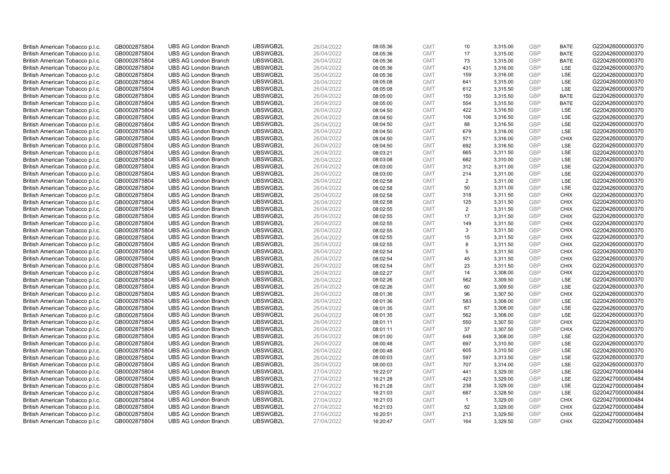| British American Tobacco p.l.c. | GB0002875804 | <b>UBS AG London Branch</b> | UBSWGB2L | 26/04/2022 | 08:05:36 | <b>GMT</b> | 10             | 3,315.00 | <b>GBP</b> | <b>BATE</b> | G220426000000370 |
|---------------------------------|--------------|-----------------------------|----------|------------|----------|------------|----------------|----------|------------|-------------|------------------|
| British American Tobacco p.l.c. | GB0002875804 | <b>UBS AG London Branch</b> | UBSWGB2L | 26/04/2022 | 08:05:36 | <b>GMT</b> | 17             | 3,315.00 | GBP        | <b>BATE</b> | G220426000000370 |
| British American Tobacco p.l.c. | GB0002875804 | <b>UBS AG London Branch</b> | UBSWGB2L | 26/04/2022 | 08:05:36 | <b>GMT</b> | 73             | 3,315.00 | GBP        | <b>BATE</b> | G220426000000370 |
| British American Tobacco p.l.c. | GB0002875804 | <b>UBS AG London Branch</b> | UBSWGB2L | 26/04/2022 | 08:05:36 | <b>GMT</b> | 431            | 3,316.00 | GBP        | <b>LSE</b>  | G220426000000370 |
| British American Tobacco p.l.c. | GB0002875804 | <b>UBS AG London Branch</b> | UBSWGB2L | 26/04/2022 | 08:05:36 | <b>GMT</b> | 159            | 3,316.00 | <b>GBP</b> | LSE         | G220426000000370 |
| British American Tobacco p.l.c. | GB0002875804 | <b>UBS AG London Branch</b> | UBSWGB2L | 26/04/2022 | 08:05:08 | <b>GMT</b> | 641            | 3,315.00 | <b>GBP</b> | <b>LSE</b>  | G220426000000370 |
| British American Tobacco p.l.c. | GB0002875804 | <b>UBS AG London Branch</b> | UBSWGB2L | 26/04/2022 | 08:05:08 | <b>GMT</b> | 612            | 3,315.50 | GBP        | LSE         | G220426000000370 |
| British American Tobacco p.l.c. | GB0002875804 | <b>UBS AG London Branch</b> | UBSWGB2L | 26/04/2022 | 08:05:00 | <b>GMT</b> | 150            | 3,315.50 | GBP        | <b>BATE</b> | G220426000000370 |
| British American Tobacco p.l.c. | GB0002875804 | <b>UBS AG London Branch</b> | UBSWGB2L | 26/04/2022 | 08:05:00 | <b>GMT</b> | 554            | 3,315.50 | GBP        | <b>BATE</b> | G220426000000370 |
| British American Tobacco p.l.c. | GB0002875804 | <b>UBS AG London Branch</b> | UBSWGB2L | 26/04/2022 | 08:04:50 | <b>GMT</b> | 422            | 3,316.50 | <b>GBP</b> | <b>LSE</b>  | G220426000000370 |
| British American Tobacco p.l.c. | GB0002875804 | <b>UBS AG London Branch</b> | UBSWGB2L | 26/04/2022 | 08:04:50 | <b>GMT</b> | 106            | 3,316.50 | GBP        | LSE         | G220426000000370 |
| British American Tobacco p.l.c. | GB0002875804 | <b>UBS AG London Branch</b> | UBSWGB2L | 26/04/2022 | 08:04:50 | <b>GMT</b> | 88             | 3,316.50 | <b>GBP</b> | LSE         | G220426000000370 |
| British American Tobacco p.l.c. | GB0002875804 | <b>UBS AG London Branch</b> | UBSWGB2L | 26/04/2022 | 08:04:50 | <b>GMT</b> | 679            | 3,316.00 | GBP        | LSE         | G220426000000370 |
| British American Tobacco p.l.c. | GB0002875804 | <b>UBS AG London Branch</b> | UBSWGB2L | 26/04/2022 | 08:04:50 | <b>GMT</b> | 571            | 3,316.00 | <b>GBP</b> | <b>CHIX</b> | G220426000000370 |
| British American Tobacco p.l.c. | GB0002875804 | <b>UBS AG London Branch</b> | UBSWGB2L | 26/04/2022 | 08:04:50 | <b>GMT</b> | 692            | 3,316.50 | GBP        | <b>LSE</b>  | G220426000000370 |
| British American Tobacco p.l.c. | GB0002875804 | <b>UBS AG London Branch</b> | UBSWGB2L | 26/04/2022 | 08:03:21 | <b>GMT</b> | 665            | 3,311.50 | <b>GBP</b> | LSE         | G220426000000370 |
| British American Tobacco p.l.c. | GB0002875804 | <b>UBS AG London Branch</b> | UBSWGB2L | 26/04/2022 | 08:03:08 | <b>GMT</b> | 682            | 3,310.00 | <b>GBP</b> | LSE         | G220426000000370 |
| British American Tobacco p.l.c. | GB0002875804 | <b>UBS AG London Branch</b> | UBSWGB2L | 26/04/2022 | 08:03:00 | <b>GMT</b> | 312            | 3,311.00 | <b>GBP</b> | LSE         | G220426000000370 |
| British American Tobacco p.l.c. | GB0002875804 | <b>UBS AG London Branch</b> | UBSWGB2L | 26/04/2022 | 08:03:00 | <b>GMT</b> | 214            | 3,311.00 | GBP        | <b>LSE</b>  | G220426000000370 |
| British American Tobacco p.l.c. | GB0002875804 | <b>UBS AG London Branch</b> | UBSWGB2L | 26/04/2022 | 08:02:58 | <b>GMT</b> | 2              | 3,311.00 | <b>GBP</b> | LSE         | G220426000000370 |
| British American Tobacco p.l.c. | GB0002875804 | <b>UBS AG London Branch</b> | UBSWGB2L | 26/04/2022 | 08:02:58 | <b>GMT</b> | 50             | 3,311.00 | GBP        | LSE         | G220426000000370 |
| British American Tobacco p.l.c. | GB0002875804 | <b>UBS AG London Branch</b> | UBSWGB2L | 26/04/2022 | 08:02:58 | <b>GMT</b> | 318            | 3,311.50 | GBP        | <b>CHIX</b> | G220426000000370 |
| British American Tobacco p.l.c. | GB0002875804 | <b>UBS AG London Branch</b> | UBSWGB2L | 26/04/2022 | 08:02:58 | <b>GMT</b> | 125            | 3,311.50 | <b>GBP</b> | <b>CHIX</b> | G220426000000370 |
| British American Tobacco p.l.c. | GB0002875804 | <b>UBS AG London Branch</b> | UBSWGB2L | 26/04/2022 | 08:02:55 | <b>GMT</b> | $\overline{2}$ | 3,311.50 | GBP        | <b>CHIX</b> | G220426000000370 |
| British American Tobacco p.l.c. | GB0002875804 | <b>UBS AG London Branch</b> | UBSWGB2L | 26/04/2022 | 08:02:55 | <b>GMT</b> | 17             | 3,311.50 | <b>GBP</b> | <b>CHIX</b> | G220426000000370 |
| British American Tobacco p.l.c. | GB0002875804 | <b>UBS AG London Branch</b> | UBSWGB2L | 26/04/2022 | 08:02:55 | <b>GMT</b> | 149            | 3,311.50 | <b>GBP</b> | <b>CHIX</b> | G220426000000370 |
| British American Tobacco p.l.c. | GB0002875804 | <b>UBS AG London Branch</b> | UBSWGB2L | 26/04/2022 | 08:02:55 | <b>GMT</b> | 3              | 3,311.50 | <b>GBP</b> | <b>CHIX</b> | G220426000000370 |
| British American Tobacco p.l.c. | GB0002875804 | <b>UBS AG London Branch</b> | UBSWGB2L | 26/04/2022 | 08:02:55 | <b>GMT</b> | 15             | 3,311.50 | GBP        | <b>CHIX</b> | G220426000000370 |
| British American Tobacco p.l.c. | GB0002875804 | <b>UBS AG London Branch</b> | UBSWGB2L | 26/04/2022 | 08:02:55 | <b>GMT</b> | 8              | 3,311.50 | <b>GBP</b> | <b>CHIX</b> | G220426000000370 |
| British American Tobacco p.l.c. | GB0002875804 | <b>UBS AG London Branch</b> | UBSWGB2L | 26/04/2022 | 08:02:54 | <b>GMT</b> | 5              | 3,311.50 | GBP        | <b>CHIX</b> | G220426000000370 |
| British American Tobacco p.l.c. | GB0002875804 | <b>UBS AG London Branch</b> | UBSWGB2L | 26/04/2022 | 08:02:54 | <b>GMT</b> | 45             | 3,311.50 | GBP        | <b>CHIX</b> | G220426000000370 |
| British American Tobacco p.l.c. | GB0002875804 | <b>UBS AG London Branch</b> | UBSWGB2L | 26/04/2022 | 08:02:54 | <b>GMT</b> | 23             | 3,311.50 | <b>GBP</b> | <b>CHIX</b> | G220426000000370 |
| British American Tobacco p.l.c. | GB0002875804 | <b>UBS AG London Branch</b> | UBSWGB2L | 26/04/2022 | 08:02:27 | <b>GMT</b> | 14             | 3,308.00 | <b>GBP</b> | <b>CHIX</b> | G220426000000370 |
| British American Tobacco p.l.c. | GB0002875804 | <b>UBS AG London Branch</b> | UBSWGB2L | 26/04/2022 | 08:02:26 | <b>GMT</b> | 562            | 3,309.50 | GBP        | LSE         | G220426000000370 |
| British American Tobacco p.l.c. | GB0002875804 | <b>UBS AG London Branch</b> | UBSWGB2L | 26/04/2022 | 08:02:26 | <b>GMT</b> | 60             | 3,309.50 | GBP        | LSE         | G220426000000370 |
| British American Tobacco p.l.c. | GB0002875804 | <b>UBS AG London Branch</b> | UBSWGB2L | 26/04/2022 | 08:01:36 | <b>GMT</b> | 96             | 3,307.50 | GBP        | <b>CHIX</b> | G220426000000370 |
| British American Tobacco p.l.c. | GB0002875804 | <b>UBS AG London Branch</b> | UBSWGB2L | 26/04/2022 | 08:01:36 | <b>GMT</b> | 583            | 3,308.00 | GBP        | <b>LSE</b>  | G220426000000370 |
| British American Tobacco p.l.c. | GB0002875804 | <b>UBS AG London Branch</b> | UBSWGB2L | 26/04/2022 | 08:01:35 | <b>GMT</b> | 67             | 3,308.00 | <b>GBP</b> | LSE         | G220426000000370 |
| British American Tobacco p.l.c. | GB0002875804 | <b>UBS AG London Branch</b> | UBSWGB2L | 26/04/2022 | 08:01:35 | <b>GMT</b> | 562            | 3,308.00 | <b>GBP</b> | LSE         | G220426000000370 |
| British American Tobacco p.l.c. | GB0002875804 | <b>UBS AG London Branch</b> | UBSWGB2L | 26/04/2022 | 08:01:11 | <b>GMT</b> | 550            | 3,307.50 | <b>GBP</b> | <b>CHIX</b> | G220426000000370 |
| British American Tobacco p.l.c. |              | <b>UBS AG London Branch</b> | UBSWGB2L | 26/04/2022 |          | <b>GMT</b> | 37             | 3,307.50 | GBP        | <b>CHIX</b> | G220426000000370 |
|                                 | GB0002875804 |                             |          |            | 08:01:11 |            | 648            |          | <b>GBP</b> | <b>LSE</b>  | G220426000000370 |
| British American Tobacco p.l.c. | GB0002875804 | <b>UBS AG London Branch</b> | UBSWGB2L | 26/04/2022 | 08:01:00 | <b>GMT</b> |                | 3,308.00 | <b>GBP</b> |             |                  |
| British American Tobacco p.l.c. | GB0002875804 | <b>UBS AG London Branch</b> | UBSWGB2L | 26/04/2022 | 08:00:48 | <b>GMT</b> | 697            | 3,310.50 |            | LSE         | G220426000000370 |
| British American Tobacco p.l.c. | GB0002875804 | <b>UBS AG London Branch</b> | UBSWGB2L | 26/04/2022 | 08:00:48 | <b>GMT</b> | 605            | 3,310.50 | <b>GBP</b> | <b>LSE</b>  | G220426000000370 |
| British American Tobacco p.l.c. | GB0002875804 | <b>UBS AG London Branch</b> | UBSWGB2L | 26/04/2022 | 08:00:03 | <b>GMT</b> | 597            | 3,313.50 | <b>GBP</b> | <b>LSE</b>  | G220426000000370 |
| British American Tobacco p.l.c. | GB0002875804 | <b>UBS AG London Branch</b> | UBSWGB2L | 26/04/2022 | 08:00:03 | <b>GMT</b> | 707            | 3,314.00 | <b>GBP</b> | LSE         | G220426000000370 |
| British American Tobacco p.l.c. | GB0002875804 | <b>UBS AG London Branch</b> | UBSWGB2L | 27/04/2022 | 16:22:07 | <b>GMT</b> | 441            | 3,329.00 | <b>GBP</b> | LSE         | G220427000000484 |
| British American Tobacco p.l.c. | GB0002875804 | <b>UBS AG London Branch</b> | UBSWGB2L | 27/04/2022 | 16:21:28 | <b>GMT</b> | 423            | 3,329.00 | <b>GBP</b> | LSE         | G220427000000484 |
| British American Tobacco p.l.c. | GB0002875804 | <b>UBS AG London Branch</b> | UBSWGB2L | 27/04/2022 | 16:21:28 | <b>GMT</b> | 238            | 3,329.00 | <b>GBP</b> | LSE         | G220427000000484 |
| British American Tobacco p.l.c. | GB0002875804 | <b>UBS AG London Branch</b> | UBSWGB2L | 27/04/2022 | 16:21:03 | <b>GMT</b> | 687            | 3,328.50 | <b>GBP</b> | <b>LSE</b>  | G220427000000484 |
| British American Tobacco p.l.c. | GB0002875804 | <b>UBS AG London Branch</b> | UBSWGB2L | 27/04/2022 | 16:21:03 | <b>GMT</b> | $\overline{1}$ | 3,329.00 | <b>GBP</b> | <b>CHIX</b> | G220427000000484 |
| British American Tobacco p.l.c. | GB0002875804 | <b>UBS AG London Branch</b> | UBSWGB2L | 27/04/2022 | 16:21:03 | <b>GMT</b> | 52             | 3,329.00 | <b>GBP</b> | <b>CHIX</b> | G220427000000484 |
| British American Tobacco p.l.c. | GB0002875804 | <b>UBS AG London Branch</b> | UBSWGB2L | 27/04/2022 | 16:20:51 | <b>GMT</b> | 213            | 3,329.50 | GBP        | <b>CHIX</b> | G220427000000484 |
| British American Tobacco p.l.c. | GB0002875804 | <b>UBS AG London Branch</b> | UBSWGB2L | 27/04/2022 | 16:20:47 | <b>GMT</b> | 164            | 3.329.50 | GBP        | <b>CHIX</b> | G220427000000484 |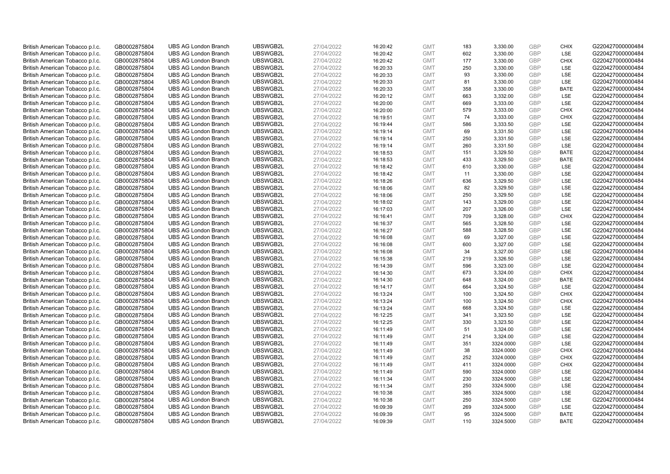| British American Tobacco p.l.c. | GB0002875804 | <b>UBS AG London Branch</b> | UBSWGB2L | 27/04/2022 | 16:20:42 | <b>GMT</b> | 183 | 3,330.00  | <b>GBP</b>               | <b>CHIX</b> | G220427000000484 |
|---------------------------------|--------------|-----------------------------|----------|------------|----------|------------|-----|-----------|--------------------------|-------------|------------------|
| British American Tobacco p.l.c. | GB0002875804 | <b>UBS AG London Branch</b> | UBSWGB2L | 27/04/2022 | 16:20:42 | <b>GMT</b> | 602 | 3,330.00  | <b>GBP</b>               | LSE         | G220427000000484 |
| British American Tobacco p.l.c. | GB0002875804 | <b>UBS AG London Branch</b> | UBSWGB2L | 27/04/2022 | 16:20:42 | <b>GMT</b> | 177 | 3,330.00  | <b>GBP</b>               | <b>CHIX</b> | G220427000000484 |
|                                 |              |                             | UBSWGB2L | 27/04/2022 |          |            |     |           | <b>GBP</b>               |             |                  |
| British American Tobacco p.l.c. | GB0002875804 | <b>UBS AG London Branch</b> |          |            | 16:20:33 | <b>GMT</b> | 250 | 3,330.00  |                          | LSE         | G220427000000484 |
| British American Tobacco p.l.c. | GB0002875804 | <b>UBS AG London Branch</b> | UBSWGB2L | 27/04/2022 | 16:20:33 | <b>GMT</b> | 93  | 3,330.00  | <b>GBP</b>               | LSE         | G220427000000484 |
| British American Tobacco p.l.c. | GB0002875804 | <b>UBS AG London Branch</b> | UBSWGB2L | 27/04/2022 | 16:20:33 | <b>GMT</b> | 81  | 3,330.00  | <b>GBP</b>               | LSE         | G220427000000484 |
| British American Tobacco p.l.c. | GB0002875804 | <b>UBS AG London Branch</b> | UBSWGB2L | 27/04/2022 | 16:20:33 | <b>GMT</b> | 358 | 3,330.00  | <b>GBP</b>               | <b>BATE</b> | G220427000000484 |
| British American Tobacco p.l.c. | GB0002875804 | <b>UBS AG London Branch</b> | UBSWGB2L | 27/04/2022 | 16:20:12 | <b>GMT</b> | 663 | 3,332.00  | <b>GBP</b>               | LSE         | G220427000000484 |
| British American Tobacco p.l.c. | GB0002875804 | <b>UBS AG London Branch</b> | UBSWGB2L | 27/04/2022 | 16:20:00 | <b>GMT</b> | 669 | 3,333.00  | <b>GBP</b>               | LSE         | G220427000000484 |
| British American Tobacco p.l.c. | GB0002875804 | <b>UBS AG London Branch</b> | UBSWGB2L | 27/04/2022 | 16:20:00 | <b>GMT</b> | 579 | 3,333.00  | <b>GBP</b>               | <b>CHIX</b> | G220427000000484 |
| British American Tobacco p.l.c. | GB0002875804 | <b>UBS AG London Branch</b> | UBSWGB2L | 27/04/2022 | 16:19:51 | <b>GMT</b> | 74  | 3,333.00  | <b>GBP</b>               | <b>CHIX</b> | G220427000000484 |
| British American Tobacco p.l.c. | GB0002875804 | <b>UBS AG London Branch</b> | UBSWGB2L | 27/04/2022 | 16:19:44 | <b>GMT</b> | 586 | 3,333.50  | <b>GBP</b>               | LSE         | G220427000000484 |
| British American Tobacco p.l.c. | GB0002875804 | <b>UBS AG London Branch</b> | UBSWGB2L | 27/04/2022 | 16:19:14 | <b>GMT</b> | 69  | 3,331.50  | <b>GBP</b>               | LSE         | G220427000000484 |
| British American Tobacco p.l.c. | GB0002875804 | <b>UBS AG London Branch</b> | UBSWGB2L | 27/04/2022 | 16:19:14 | <b>GMT</b> | 250 | 3,331.50  | <b>GBP</b>               | LSE         | G220427000000484 |
| British American Tobacco p.l.c. | GB0002875804 | <b>UBS AG London Branch</b> | UBSWGB2L | 27/04/2022 | 16:19:14 | <b>GMT</b> | 260 | 3,331.50  | <b>GBP</b>               | LSE         | G220427000000484 |
| British American Tobacco p.l.c. | GB0002875804 | <b>UBS AG London Branch</b> | UBSWGB2L | 27/04/2022 | 16:18:53 | <b>GMT</b> | 151 | 3,329.50  | <b>GBP</b>               | <b>BATE</b> | G220427000000484 |
| British American Tobacco p.l.c. | GB0002875804 | <b>UBS AG London Branch</b> | UBSWGB2L | 27/04/2022 | 16:18:53 | <b>GMT</b> | 433 | 3,329.50  | <b>GBP</b>               | <b>BATE</b> | G220427000000484 |
| British American Tobacco p.l.c. | GB0002875804 | <b>UBS AG London Branch</b> | UBSWGB2L | 27/04/2022 | 16:18:42 | <b>GMT</b> | 610 | 3,330.00  | <b>GBP</b>               | LSE         | G220427000000484 |
| British American Tobacco p.l.c. | GB0002875804 | <b>UBS AG London Branch</b> | UBSWGB2L | 27/04/2022 | 16:18:42 | <b>GMT</b> | 11  | 3,330.00  | <b>GBP</b>               | <b>LSE</b>  | G220427000000484 |
| British American Tobacco p.l.c. | GB0002875804 | <b>UBS AG London Branch</b> | UBSWGB2L | 27/04/2022 | 16:18:26 | <b>GMT</b> | 636 | 3,329.50  | <b>GBP</b>               | LSE         | G220427000000484 |
| British American Tobacco p.l.c. | GB0002875804 | <b>UBS AG London Branch</b> | UBSWGB2L | 27/04/2022 | 16:18:06 | <b>GMT</b> | 82  | 3,329.50  | <b>GBP</b>               | LSE         | G220427000000484 |
| British American Tobacco p.l.c. | GB0002875804 | <b>UBS AG London Branch</b> | UBSWGB2L | 27/04/2022 | 16:18:06 | <b>GMT</b> | 250 | 3,329.50  | <b>GBP</b>               | LSE         | G220427000000484 |
| British American Tobacco p.l.c. | GB0002875804 | <b>UBS AG London Branch</b> | UBSWGB2L | 27/04/2022 | 16:18:02 | <b>GMT</b> | 143 | 3,329.00  | <b>GBP</b>               | LSE         | G220427000000484 |
| British American Tobacco p.l.c. | GB0002875804 | <b>UBS AG London Branch</b> | UBSWGB2L | 27/04/2022 | 16:17:03 | <b>GMT</b> | 207 | 3,326.00  | <b>GBP</b>               | LSE         | G220427000000484 |
| British American Tobacco p.l.c. | GB0002875804 | <b>UBS AG London Branch</b> | UBSWGB2L | 27/04/2022 | 16:16:41 | <b>GMT</b> | 709 | 3,328.00  | <b>GBP</b>               | <b>CHIX</b> | G220427000000484 |
| British American Tobacco p.l.c. | GB0002875804 | <b>UBS AG London Branch</b> | UBSWGB2L | 27/04/2022 | 16:16:37 | <b>GMT</b> | 565 | 3,328.50  | <b>GBP</b>               | LSE         | G220427000000484 |
| British American Tobacco p.l.c. | GB0002875804 | <b>UBS AG London Branch</b> | UBSWGB2L | 27/04/2022 | 16:16:27 | <b>GMT</b> | 588 | 3,328.50  | <b>GBP</b>               | LSE         | G220427000000484 |
| British American Tobacco p.l.c. | GB0002875804 | <b>UBS AG London Branch</b> | UBSWGB2L | 27/04/2022 | 16:16:08 | <b>GMT</b> | 69  | 3,327.00  | <b>GBP</b>               | LSE         | G220427000000484 |
| British American Tobacco p.l.c. | GB0002875804 | <b>UBS AG London Branch</b> | UBSWGB2L | 27/04/2022 | 16:16:08 | <b>GMT</b> | 600 | 3,327.00  | <b>GBP</b>               | LSE         | G220427000000484 |
| British American Tobacco p.l.c. | GB0002875804 | <b>UBS AG London Branch</b> | UBSWGB2L | 27/04/2022 | 16:16:08 | <b>GMT</b> | 34  | 3,327.00  | <b>GBP</b>               | LSE         | G220427000000484 |
| British American Tobacco p.l.c. | GB0002875804 | <b>UBS AG London Branch</b> | UBSWGB2L | 27/04/2022 | 16:15:38 | <b>GMT</b> | 219 | 3,326.50  | <b>GBP</b>               | LSE         | G220427000000484 |
| British American Tobacco p.l.c. | GB0002875804 | <b>UBS AG London Branch</b> | UBSWGB2L | 27/04/2022 | 16:14:39 | <b>GMT</b> | 596 | 3,323.00  | <b>GBP</b>               | LSE         | G220427000000484 |
| British American Tobacco p.l.c. | GB0002875804 | <b>UBS AG London Branch</b> | UBSWGB2L | 27/04/2022 | 16:14:30 | <b>GMT</b> | 673 | 3,324.00  | <b>GBP</b>               | <b>CHIX</b> | G220427000000484 |
| British American Tobacco p.l.c. | GB0002875804 | <b>UBS AG London Branch</b> | UBSWGB2L | 27/04/2022 | 16:14:30 | <b>GMT</b> | 648 | 3,324.00  | <b>GBP</b>               | <b>BATE</b> | G220427000000484 |
| British American Tobacco p.l.c. | GB0002875804 | <b>UBS AG London Branch</b> | UBSWGB2L | 27/04/2022 | 16:14:17 | <b>GMT</b> | 664 | 3,324.50  | <b>GBP</b>               | LSE         | G220427000000484 |
| British American Tobacco p.l.c. | GB0002875804 | <b>UBS AG London Branch</b> | UBSWGB2L | 27/04/2022 | 16:13:24 | <b>GMT</b> | 100 | 3,324.50  | <b>GBP</b>               | <b>CHIX</b> | G220427000000484 |
| British American Tobacco p.l.c. | GB0002875804 | <b>UBS AG London Branch</b> | UBSWGB2L | 27/04/2022 | 16:13:24 | <b>GMT</b> | 100 | 3,324.50  | <b>GBP</b>               | <b>CHIX</b> | G220427000000484 |
| British American Tobacco p.l.c. | GB0002875804 | <b>UBS AG London Branch</b> | UBSWGB2L | 27/04/2022 | 16:13:24 | <b>GMT</b> | 668 | 3,324.50  | <b>GBP</b>               | LSE         | G220427000000484 |
|                                 |              | <b>UBS AG London Branch</b> | UBSWGB2L |            |          | <b>GMT</b> | 341 |           | <b>GBP</b>               | LSE         | G220427000000484 |
| British American Tobacco p.l.c. | GB0002875804 |                             |          | 27/04/2022 | 16:12:25 |            |     | 3,323.50  |                          |             |                  |
| British American Tobacco p.l.c. | GB0002875804 | <b>UBS AG London Branch</b> | UBSWGB2L | 27/04/2022 | 16:12:25 | <b>GMT</b> | 330 | 3,323.50  | <b>GBP</b><br><b>GBP</b> | LSE<br>LSE  | G220427000000484 |
| British American Tobacco p.l.c. | GB0002875804 | <b>UBS AG London Branch</b> | UBSWGB2L | 27/04/2022 | 16:11:49 | <b>GMT</b> | 51  | 3,324.00  |                          |             | G220427000000484 |
| British American Tobacco p.l.c. | GB0002875804 | <b>UBS AG London Branch</b> | UBSWGB2L | 27/04/2022 | 16:11:49 | <b>GMT</b> | 214 | 3,324.00  | <b>GBP</b>               | LSE         | G220427000000484 |
| British American Tobacco p.l.c. | GB0002875804 | <b>UBS AG London Branch</b> | UBSWGB2L | 27/04/2022 | 16:11:49 | <b>GMT</b> | 351 | 3324.0000 | <b>GBP</b>               | LSE         | G220427000000484 |
| British American Tobacco p.l.c. | GB0002875804 | <b>UBS AG London Branch</b> | UBSWGB2L | 27/04/2022 | 16:11:49 | <b>GMT</b> | 38  | 3324.0000 | <b>GBP</b>               | <b>CHIX</b> | G220427000000484 |
| British American Tobacco p.l.c. | GB0002875804 | <b>UBS AG London Branch</b> | UBSWGB2L | 27/04/2022 | 16:11:49 | <b>GMT</b> | 252 | 3324.0000 | <b>GBP</b>               | <b>CHIX</b> | G220427000000484 |
| British American Tobacco p.l.c. | GB0002875804 | <b>UBS AG London Branch</b> | UBSWGB2L | 27/04/2022 | 16:11:49 | <b>GMT</b> | 411 | 3324.0000 | <b>GBP</b>               | <b>CHIX</b> | G220427000000484 |
| British American Tobacco p.l.c. | GB0002875804 | <b>UBS AG London Branch</b> | UBSWGB2L | 27/04/2022 | 16:11:49 | <b>GMT</b> | 590 | 3324.0000 | <b>GBP</b>               | LSE         | G220427000000484 |
| British American Tobacco p.l.c. | GB0002875804 | <b>UBS AG London Branch</b> | UBSWGB2L | 27/04/2022 | 16:11:34 | <b>GMT</b> | 230 | 3324.5000 | <b>GBP</b>               | LSE         | G220427000000484 |
| British American Tobacco p.l.c. | GB0002875804 | <b>UBS AG London Branch</b> | UBSWGB2L | 27/04/2022 | 16:11:34 | <b>GMT</b> | 250 | 3324.5000 | <b>GBP</b>               | LSE         | G220427000000484 |
| British American Tobacco p.l.c. | GB0002875804 | <b>UBS AG London Branch</b> | UBSWGB2L | 27/04/2022 | 16:10:38 | <b>GMT</b> | 385 | 3324.5000 | <b>GBP</b>               | LSE         | G220427000000484 |
| British American Tobacco p.l.c. | GB0002875804 | <b>UBS AG London Branch</b> | UBSWGB2L | 27/04/2022 | 16:10:38 | <b>GMT</b> | 250 | 3324.5000 | <b>GBP</b>               | LSE         | G220427000000484 |
| British American Tobacco p.l.c. | GB0002875804 | <b>UBS AG London Branch</b> | UBSWGB2L | 27/04/2022 | 16:09:39 | <b>GMT</b> | 269 | 3324.5000 | <b>GBP</b>               | LSE         | G220427000000484 |
| British American Tobacco p.l.c. | GB0002875804 | <b>UBS AG London Branch</b> | UBSWGB2L | 27/04/2022 | 16:09:39 | <b>GMT</b> | 95  | 3324.5000 | <b>GBP</b>               | <b>BATE</b> | G220427000000484 |
| British American Tobacco p.l.c. | GB0002875804 | <b>UBS AG London Branch</b> | UBSWGB2L | 27/04/2022 | 16:09:39 | <b>GMT</b> | 110 | 3324.5000 | GBP                      | <b>BATE</b> | G220427000000484 |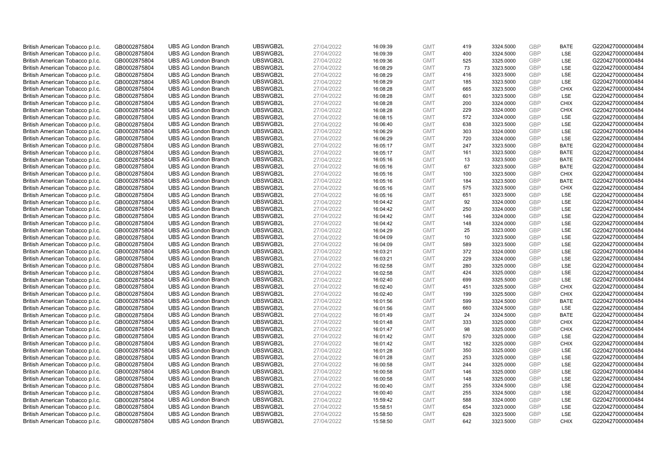| British American Tobacco p.l.c.                                    | GB0002875804                 | <b>UBS AG London Branch</b>                                | UBSWGB2L             | 27/04/2022               | 16:09:39             | <b>GMT</b>               | 419       | 3324.5000              | <b>GBP</b>        | <b>BATE</b>         | G220427000000484                     |
|--------------------------------------------------------------------|------------------------------|------------------------------------------------------------|----------------------|--------------------------|----------------------|--------------------------|-----------|------------------------|-------------------|---------------------|--------------------------------------|
| British American Tobacco p.l.c.                                    | GB0002875804                 | <b>UBS AG London Branch</b>                                | UBSWGB2L             | 27/04/2022               | 16:09:39             | <b>GMT</b>               | 400       | 3324.5000              | GBP               | LSE                 | G220427000000484                     |
| British American Tobacco p.l.c.                                    | GB0002875804                 | <b>UBS AG London Branch</b>                                | UBSWGB2L             | 27/04/2022               | 16:09:36             | <b>GMT</b>               | 525       | 3325.0000              | <b>GBP</b>        | LSE                 | G220427000000484                     |
| British American Tobacco p.l.c.                                    | GB0002875804                 | <b>UBS AG London Branch</b>                                | UBSWGB2L             | 27/04/2022               | 16:08:29             | <b>GMT</b>               | 73        | 3323.5000              | GBP               | <b>LSE</b>          | G220427000000484                     |
| British American Tobacco p.l.c.                                    | GB0002875804                 | <b>UBS AG London Branch</b>                                | UBSWGB2L             | 27/04/2022               | 16:08:29             | <b>GMT</b>               | 416       | 3323.5000              | <b>GBP</b>        | LSE                 | G220427000000484                     |
| British American Tobacco p.l.c.                                    | GB0002875804                 | <b>UBS AG London Branch</b>                                | UBSWGB2L             | 27/04/2022               | 16:08:29             | <b>GMT</b>               | 185       | 3323.5000              | GBP               | <b>LSE</b>          | G220427000000484                     |
| British American Tobacco p.l.c.                                    | GB0002875804                 | <b>UBS AG London Branch</b>                                | UBSWGB2L             | 27/04/2022               | 16:08:28             | <b>GMT</b>               | 665       | 3323.5000              | <b>GBP</b>        | <b>CHIX</b>         | G220427000000484                     |
| British American Tobacco p.l.c.                                    | GB0002875804                 | <b>UBS AG London Branch</b>                                | UBSWGB2L             | 27/04/2022               | 16:08:28             | <b>GMT</b>               | 601       | 3323.5000              | GBP               | LSE                 | G220427000000484                     |
| British American Tobacco p.l.c.                                    | GB0002875804                 | <b>UBS AG London Branch</b>                                | UBSWGB2L             | 27/04/2022               | 16:08:28             | <b>GMT</b>               | 200       | 3324.0000              | <b>GBP</b>        | <b>CHIX</b>         | G220427000000484                     |
| British American Tobacco p.l.c.                                    | GB0002875804                 | <b>UBS AG London Branch</b>                                | UBSWGB2L             | 27/04/2022               | 16:08:28             | <b>GMT</b>               | 229       | 3324.0000              | GBP               | <b>CHIX</b>         | G220427000000484                     |
| British American Tobacco p.l.c.                                    | GB0002875804                 | <b>UBS AG London Branch</b>                                | UBSWGB2L             | 27/04/2022               | 16:08:15             | <b>GMT</b>               | 572       | 3324.0000              | <b>GBP</b>        | LSE                 | G220427000000484                     |
| British American Tobacco p.l.c.                                    | GB0002875804                 | <b>UBS AG London Branch</b>                                | UBSWGB2L             | 27/04/2022               | 16:06:40             | <b>GMT</b>               | 638       | 3323.5000              | <b>GBP</b>        | LSE                 | G220427000000484                     |
| British American Tobacco p.l.c.                                    | GB0002875804                 | <b>UBS AG London Branch</b>                                | UBSWGB2L             | 27/04/2022               | 16:06:29             | <b>GMT</b>               | 303       | 3324.0000              | GBP               | LSE                 | G220427000000484                     |
| British American Tobacco p.l.c.                                    | GB0002875804                 | <b>UBS AG London Branch</b>                                | UBSWGB2L             | 27/04/2022               | 16:06:29             | <b>GMT</b>               | 720       | 3324.0000              | <b>GBP</b>        | LSE                 | G220427000000484                     |
| British American Tobacco p.l.c.                                    | GB0002875804                 | <b>UBS AG London Branch</b>                                | UBSWGB2L             | 27/04/2022               | 16:05:17             | <b>GMT</b>               | 247       | 3323.5000              | GBP               | <b>BATE</b>         | G220427000000484                     |
| British American Tobacco p.l.c.                                    | GB0002875804                 | <b>UBS AG London Branch</b>                                | UBSWGB2L             | 27/04/2022               | 16:05:17             | <b>GMT</b>               | 161       | 3323.5000              | <b>GBP</b>        | <b>BATE</b>         | G220427000000484                     |
| British American Tobacco p.l.c.                                    | GB0002875804                 | <b>UBS AG London Branch</b>                                | UBSWGB2L             | 27/04/2022               | 16:05:16             | <b>GMT</b>               | 13        | 3323.5000              | GBP               | <b>BATE</b>         | G220427000000484                     |
| British American Tobacco p.l.c.                                    | GB0002875804                 | <b>UBS AG London Branch</b>                                | UBSWGB2L             | 27/04/2022               | 16:05:16             | <b>GMT</b>               | 67        | 3323.5000              | <b>GBP</b>        | <b>BATE</b>         | G220427000000484                     |
| British American Tobacco p.l.c.                                    | GB0002875804                 | <b>UBS AG London Branch</b>                                | UBSWGB2L             | 27/04/2022               | 16:05:16             | <b>GMT</b>               | 100       | 3323.5000              | <b>GBP</b>        | <b>CHIX</b>         | G220427000000484                     |
| British American Tobacco p.l.c.                                    | GB0002875804                 | <b>UBS AG London Branch</b>                                | UBSWGB2L             | 27/04/2022               | 16:05:16             | <b>GMT</b>               | 184       | 3323.5000              | <b>GBP</b>        | <b>BATE</b>         | G220427000000484                     |
| British American Tobacco p.l.c.                                    | GB0002875804                 | <b>UBS AG London Branch</b>                                | UBSWGB2L             | 27/04/2022               | 16:05:16             | <b>GMT</b>               | 575       | 3323.5000              | GBP               | <b>CHIX</b>         | G220427000000484                     |
| British American Tobacco p.l.c.                                    | GB0002875804                 | <b>UBS AG London Branch</b>                                | UBSWGB2L             | 27/04/2022               | 16:05:16             | <b>GMT</b>               | 651       | 3323.5000              | <b>GBP</b>        | <b>LSE</b>          | G220427000000484                     |
| British American Tobacco p.l.c.                                    | GB0002875804                 | <b>UBS AG London Branch</b>                                | UBSWGB2L             | 27/04/2022               | 16:04:42             | <b>GMT</b>               | 92        | 3324.0000              | <b>GBP</b>        | <b>LSE</b>          | G220427000000484                     |
| British American Tobacco p.l.c.                                    | GB0002875804                 | <b>UBS AG London Branch</b>                                | UBSWGB2L             | 27/04/2022               | 16:04:42             | <b>GMT</b>               | 250       | 3324.0000              | <b>GBP</b>        | LSE                 | G220427000000484                     |
| British American Tobacco p.l.c.                                    | GB0002875804                 | <b>UBS AG London Branch</b>                                | UBSWGB2L             | 27/04/2022               | 16:04:42             | <b>GMT</b>               | 146       | 3324.0000              | <b>GBP</b>        | LSE                 | G220427000000484                     |
| British American Tobacco p.l.c.                                    | GB0002875804                 | <b>UBS AG London Branch</b>                                | UBSWGB2L             | 27/04/2022               | 16:04:42             | <b>GMT</b>               | 148       | 3324.0000              | <b>GBP</b>        | LSE                 | G220427000000484                     |
| British American Tobacco p.l.c.                                    | GB0002875804                 | <b>UBS AG London Branch</b>                                | UBSWGB2L             | 27/04/2022               | 16:04:29             | <b>GMT</b>               | 25        | 3323.0000              | <b>GBP</b>        | LSE                 | G220427000000484                     |
| British American Tobacco p.l.c.                                    | GB0002875804                 | <b>UBS AG London Branch</b>                                | UBSWGB2L             | 27/04/2022               | 16:04:09             | <b>GMT</b>               | 10        | 3323.5000              | GBP               | LSE                 | G220427000000484                     |
| British American Tobacco p.l.c.                                    | GB0002875804                 | <b>UBS AG London Branch</b>                                | UBSWGB2L             | 27/04/2022               | 16:04:09             | <b>GMT</b>               | 589       | 3323.5000              | <b>GBP</b>        | LSE                 | G220427000000484                     |
| British American Tobacco p.l.c.                                    | GB0002875804                 | <b>UBS AG London Branch</b>                                | UBSWGB2L             | 27/04/2022               | 16:03:21             | <b>GMT</b>               | 372       | 3324.0000              | <b>GBP</b>        | LSE                 | G220427000000484                     |
| British American Tobacco p.l.c.                                    | GB0002875804                 | <b>UBS AG London Branch</b>                                | UBSWGB2L             | 27/04/2022               | 16:03:21             | <b>GMT</b>               | 229       | 3324.0000              | <b>GBP</b>        | LSE                 | G220427000000484                     |
| British American Tobacco p.l.c.                                    | GB0002875804                 | <b>UBS AG London Branch</b>                                | UBSWGB2L             | 27/04/2022               | 16:02:58             | <b>GMT</b>               | 280       | 3325.0000              | GBP               | LSE                 | G220427000000484                     |
| British American Tobacco p.l.c.                                    | GB0002875804                 | <b>UBS AG London Branch</b>                                | UBSWGB2L             | 27/04/2022               | 16:02:58             | <b>GMT</b>               | 424       | 3325.0000              | <b>GBP</b>        | LSE                 | G220427000000484                     |
| British American Tobacco p.l.c.                                    | GB0002875804                 | <b>UBS AG London Branch</b>                                | UBSWGB2L             | 27/04/2022               | 16:02:40             | <b>GMT</b>               | 699       | 3325.5000              | <b>GBP</b>        | LSE                 | G220427000000484                     |
| British American Tobacco p.l.c.                                    | GB0002875804                 | <b>UBS AG London Branch</b>                                | UBSWGB2L             | 27/04/2022               | 16:02:40             | <b>GMT</b>               | 451       | 3325.5000              | <b>GBP</b>        | <b>CHIX</b>         | G220427000000484                     |
| British American Tobacco p.l.c.                                    | GB0002875804                 | <b>UBS AG London Branch</b>                                | UBSWGB2L             | 27/04/2022               | 16:02:40             | <b>GMT</b>               | 199       | 3325.5000              | <b>GBP</b>        | <b>CHIX</b>         | G220427000000484                     |
| British American Tobacco p.l.c.                                    | GB0002875804                 | <b>UBS AG London Branch</b>                                | UBSWGB2L             | 27/04/2022               | 16:01:56             | <b>GMT</b>               | 599       | 3324.5000              | <b>GBP</b>        | <b>BATE</b>         | G220427000000484                     |
| British American Tobacco p.l.c.                                    | GB0002875804                 | <b>UBS AG London Branch</b>                                | UBSWGB2L             | 27/04/2022               | 16:01:56             | <b>GMT</b>               | 660       | 3324.5000              | <b>GBP</b>        | LSE                 | G220427000000484                     |
| British American Tobacco p.l.c.                                    | GB0002875804                 | <b>UBS AG London Branch</b>                                | UBSWGB2L             | 27/04/2022               | 16:01:49             | <b>GMT</b>               | 24        | 3324.5000              | GBP               | <b>BATE</b>         | G220427000000484                     |
| British American Tobacco p.l.c.                                    | GB0002875804                 | <b>UBS AG London Branch</b>                                | UBSWGB2L             | 27/04/2022               | 16:01:48             | <b>GMT</b>               | 333<br>98 | 3325.0000              | <b>GBP</b><br>GBP | <b>CHIX</b><br>CHIX | G220427000000484                     |
| British American Tobacco p.l.c.                                    | GB0002875804                 | <b>UBS AG London Branch</b><br><b>UBS AG London Branch</b> | UBSWGB2L<br>UBSWGB2L | 27/04/2022               | 16:01:47             | <b>GMT</b><br><b>GMT</b> | 570       | 3325.0000<br>3325.0000 | GBP               | <b>LSE</b>          | G220427000000484<br>G220427000000484 |
| British American Tobacco p.l.c.                                    | GB0002875804<br>GB0002875804 | <b>UBS AG London Branch</b>                                | UBSWGB2L             | 27/04/2022<br>27/04/2022 | 16:01:42<br>16:01:42 | <b>GMT</b>               | 182       |                        | GBP               | <b>CHIX</b>         | G220427000000484                     |
| British American Tobacco p.l.c.<br>British American Tobacco p.l.c. | GB0002875804                 | <b>UBS AG London Branch</b>                                | UBSWGB2L             | 27/04/2022               | 16:01:28             | <b>GMT</b>               | 350       | 3325.0000<br>3325.0000 | GBP               | <b>LSE</b>          | G220427000000484                     |
| British American Tobacco p.l.c.                                    | GB0002875804                 | <b>UBS AG London Branch</b>                                | UBSWGB2L             | 27/04/2022               | 16:01:28             | <b>GMT</b>               | 253       | 3325.0000              | <b>GBP</b>        | <b>LSE</b>          | G220427000000484                     |
| British American Tobacco p.l.c.                                    | GB0002875804                 | <b>UBS AG London Branch</b>                                | UBSWGB2L             | 27/04/2022               | 16:00:58             | <b>GMT</b>               | 244       | 3325.0000              | GBP               | LSE                 | G220427000000484                     |
| British American Tobacco p.l.c.                                    | GB0002875804                 | <b>UBS AG London Branch</b>                                | UBSWGB2L             | 27/04/2022               | 16:00:58             | <b>GMT</b>               | 146       | 3325.0000              | <b>GBP</b>        | LSE                 | G220427000000484                     |
| British American Tobacco p.l.c.                                    | GB0002875804                 | <b>UBS AG London Branch</b>                                | UBSWGB2L             | 27/04/2022               | 16:00:58             | <b>GMT</b>               | 148       | 3325.0000              | GBP               | LSE                 | G220427000000484                     |
| British American Tobacco p.l.c.                                    | GB0002875804                 | <b>UBS AG London Branch</b>                                | UBSWGB2L             | 27/04/2022               | 16:00:40             | <b>GMT</b>               | 255       | 3324.5000              | <b>GBP</b>        | LSE                 | G220427000000484                     |
| British American Tobacco p.l.c.                                    | GB0002875804                 | <b>UBS AG London Branch</b>                                | UBSWGB2L             | 27/04/2022               | 16:00:40             | <b>GMT</b>               | 255       | 3324.5000              | GBP               | <b>LSE</b>          | G220427000000484                     |
| British American Tobacco p.l.c.                                    | GB0002875804                 | <b>UBS AG London Branch</b>                                | UBSWGB2L             | 27/04/2022               | 15:59:42             | <b>GMT</b>               | 588       | 3324.0000              | <b>GBP</b>        | LSE                 | G220427000000484                     |
| British American Tobacco p.l.c.                                    | GB0002875804                 | <b>UBS AG London Branch</b>                                | UBSWGB2L             | 27/04/2022               | 15:58:51             | <b>GMT</b>               | 654       | 3323.0000              | GBP               | LSE                 | G220427000000484                     |
| British American Tobacco p.l.c.                                    | GB0002875804                 | <b>UBS AG London Branch</b>                                | UBSWGB2L             | 27/04/2022               | 15:58:50             | <b>GMT</b>               | 628       | 3323.5000              | <b>GBP</b>        | LSE                 | G220427000000484                     |
| British American Tobacco p.l.c.                                    | GB0002875804                 | <b>UBS AG London Branch</b>                                | UBSWGB2L             | 27/04/2022               | 15:58:50             | <b>GMT</b>               | 642       | 3323.5000              | GBP               | CHIX                | G220427000000484                     |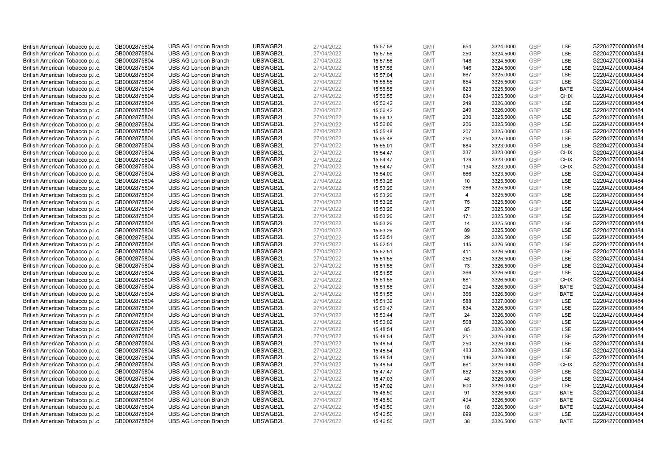| British American Tobacco p.l.c. | GB0002875804 | <b>UBS AG London Branch</b>                                | UBSWGB2L             | 27/04/2022               | 15:57:58 | <b>GMT</b> | 654            | 3324.0000              | <b>GBP</b>        | LSE         | G220427000000484                     |
|---------------------------------|--------------|------------------------------------------------------------|----------------------|--------------------------|----------|------------|----------------|------------------------|-------------------|-------------|--------------------------------------|
| British American Tobacco p.l.c. | GB0002875804 | <b>UBS AG London Branch</b>                                | UBSWGB2L             | 27/04/2022               | 15:57:56 | <b>GMT</b> | 250            | 3324.5000              | GBP               | <b>LSE</b>  | G220427000000484                     |
| British American Tobacco p.l.c. | GB0002875804 | <b>UBS AG London Branch</b>                                | UBSWGB2L             | 27/04/2022               | 15:57:56 | <b>GMT</b> | 148            | 3324.5000              | <b>GBP</b>        | LSE         | G220427000000484                     |
|                                 |              |                                                            | UBSWGB2L             | 27/04/2022               |          |            |                |                        | <b>GBP</b>        | LSE         | G220427000000484                     |
| British American Tobacco p.l.c. | GB0002875804 | <b>UBS AG London Branch</b>                                |                      |                          | 15:57:56 | <b>GMT</b> | 146            | 3324.5000              |                   |             |                                      |
| British American Tobacco p.l.c. | GB0002875804 | <b>UBS AG London Branch</b>                                | UBSWGB2L             | 27/04/2022               | 15:57:04 | <b>GMT</b> | 667            | 3325.0000              | <b>GBP</b>        | LSE         | G220427000000484                     |
| British American Tobacco p.l.c. | GB0002875804 | <b>UBS AG London Branch</b>                                | UBSWGB2L             | 27/04/2022               | 15:56:55 | <b>GMT</b> | 654            | 3325.5000              | <b>GBP</b>        | <b>LSE</b>  | G220427000000484                     |
| British American Tobacco p.l.c. | GB0002875804 | <b>UBS AG London Branch</b>                                | UBSWGB2L             | 27/04/2022               | 15:56:55 | <b>GMT</b> | 623            | 3325.5000              | <b>GBP</b>        | <b>BATE</b> | G220427000000484                     |
| British American Tobacco p.l.c. | GB0002875804 | <b>UBS AG London Branch</b>                                | UBSWGB2L             | 27/04/2022               | 15:56:55 | <b>GMT</b> | 634            | 3325.5000              | <b>GBP</b>        | <b>CHIX</b> | G220427000000484                     |
| British American Tobacco p.l.c. | GB0002875804 | <b>UBS AG London Branch</b>                                | UBSWGB2L             | 27/04/2022               | 15:56:42 | <b>GMT</b> | 249            | 3326.0000              | <b>GBP</b>        | LSE         | G220427000000484                     |
| British American Tobacco p.l.c. | GB0002875804 | <b>UBS AG London Branch</b>                                | UBSWGB2L             | 27/04/2022               | 15:56:42 | <b>GMT</b> | 249            | 3326.0000              | <b>GBP</b>        | LSE         | G220427000000484                     |
| British American Tobacco p.l.c. | GB0002875804 | <b>UBS AG London Branch</b>                                | UBSWGB2L             | 27/04/2022               | 15:56:13 | <b>GMT</b> | 230            | 3325.5000              | <b>GBP</b>        | <b>LSE</b>  | G220427000000484                     |
| British American Tobacco p.l.c. | GB0002875804 | <b>UBS AG London Branch</b>                                | UBSWGB2L             | 27/04/2022               | 15:56:06 | <b>GMT</b> | 206            | 3325.5000              | <b>GBP</b>        | LSE         | G220427000000484                     |
| British American Tobacco p.l.c. | GB0002875804 | <b>UBS AG London Branch</b>                                | UBSWGB2L             | 27/04/2022               | 15:55:48 | <b>GMT</b> | 207            | 3325.0000              | <b>GBP</b>        | LSE         | G220427000000484                     |
| British American Tobacco p.l.c. | GB0002875804 | <b>UBS AG London Branch</b>                                | UBSWGB2L             | 27/04/2022               | 15:55:48 | <b>GMT</b> | 250            | 3325.0000              | <b>GBP</b>        | LSE         | G220427000000484                     |
| British American Tobacco p.l.c. | GB0002875804 | <b>UBS AG London Branch</b>                                | UBSWGB2L             | 27/04/2022               | 15:55:01 | <b>GMT</b> | 684            | 3323.0000              | GBP               | LSE         | G220427000000484                     |
| British American Tobacco p.l.c. | GB0002875804 | <b>UBS AG London Branch</b>                                | UBSWGB2L             | 27/04/2022               | 15:54:47 | <b>GMT</b> | 337            | 3323.0000              | <b>GBP</b>        | <b>CHIX</b> | G220427000000484                     |
| British American Tobacco p.l.c. | GB0002875804 | <b>UBS AG London Branch</b>                                | UBSWGB2L             | 27/04/2022               | 15:54:47 | <b>GMT</b> | 129            | 3323.0000              | GBP               | <b>CHIX</b> | G220427000000484                     |
| British American Tobacco p.l.c. | GB0002875804 | <b>UBS AG London Branch</b>                                | UBSWGB2L             | 27/04/2022               | 15:54:47 | <b>GMT</b> | 134            | 3323.0000              | GBP               | <b>CHIX</b> | G220427000000484                     |
| British American Tobacco p.l.c. | GB0002875804 | <b>UBS AG London Branch</b>                                | UBSWGB2L             | 27/04/2022               | 15:54:00 | <b>GMT</b> | 666            | 3323.5000              | <b>GBP</b>        | <b>LSE</b>  | G220427000000484                     |
| British American Tobacco p.l.c. | GB0002875804 | <b>UBS AG London Branch</b>                                | UBSWGB2L             | 27/04/2022               | 15:53:26 | <b>GMT</b> | 10             | 3325.5000              | <b>GBP</b>        | LSE         | G220427000000484                     |
| British American Tobacco p.l.c. | GB0002875804 | <b>UBS AG London Branch</b>                                | UBSWGB2L             | 27/04/2022               | 15:53:26 | <b>GMT</b> | 286            | 3325.5000              | <b>GBP</b>        | LSE         | G220427000000484                     |
| British American Tobacco p.l.c. | GB0002875804 | <b>UBS AG London Branch</b>                                | UBSWGB2L             | 27/04/2022               | 15:53:26 | <b>GMT</b> | $\overline{4}$ | 3325.5000              | GBP               | LSE         | G220427000000484                     |
| British American Tobacco p.l.c. | GB0002875804 | <b>UBS AG London Branch</b>                                | UBSWGB2L             | 27/04/2022               | 15:53:26 | <b>GMT</b> | 75             | 3325.5000              | <b>GBP</b>        | LSE         | G220427000000484                     |
| British American Tobacco p.l.c. | GB0002875804 | <b>UBS AG London Branch</b>                                | UBSWGB2L             | 27/04/2022               | 15:53:26 | <b>GMT</b> | 27             | 3325.5000              | <b>GBP</b>        | <b>LSE</b>  | G220427000000484                     |
| British American Tobacco p.l.c. | GB0002875804 | <b>UBS AG London Branch</b>                                | UBSWGB2L             | 27/04/2022               | 15:53:26 | <b>GMT</b> | 171            | 3325.5000              | <b>GBP</b>        | LSE         | G220427000000484                     |
| British American Tobacco p.l.c. | GB0002875804 | <b>UBS AG London Branch</b>                                | UBSWGB2L             | 27/04/2022               | 15:53:26 | <b>GMT</b> | 14             | 3325.5000              | GBP               | LSE         | G220427000000484                     |
| British American Tobacco p.l.c. | GB0002875804 | <b>UBS AG London Branch</b>                                | UBSWGB2L             | 27/04/2022               | 15:53:26 | <b>GMT</b> | 89             | 3325.5000              | <b>GBP</b>        | LSE         | G220427000000484                     |
| British American Tobacco p.l.c. | GB0002875804 | <b>UBS AG London Branch</b>                                | UBSWGB2L             | 27/04/2022               | 15:52:51 | <b>GMT</b> | 29             | 3326.5000              | GBP               | LSE         | G220427000000484                     |
| British American Tobacco p.l.c. | GB0002875804 | <b>UBS AG London Branch</b>                                | UBSWGB2L             | 27/04/2022               | 15:52:51 | <b>GMT</b> | 145            | 3326.5000              | <b>GBP</b>        | LSE         | G220427000000484                     |
| British American Tobacco p.l.c. | GB0002875804 | <b>UBS AG London Branch</b>                                | UBSWGB2L             | 27/04/2022               | 15:52:51 | <b>GMT</b> | 411            | 3326.5000              | GBP               | LSE         | G220427000000484                     |
| British American Tobacco p.l.c. | GB0002875804 | <b>UBS AG London Branch</b>                                | UBSWGB2L             | 27/04/2022               | 15:51:55 | <b>GMT</b> | 250            | 3326.5000              | <b>GBP</b>        | <b>LSE</b>  | G220427000000484                     |
| British American Tobacco p.l.c. | GB0002875804 | <b>UBS AG London Branch</b>                                | UBSWGB2L             | 27/04/2022               | 15:51:55 | <b>GMT</b> | 73             | 3326.5000              | <b>GBP</b>        | <b>LSE</b>  | G220427000000484                     |
| British American Tobacco p.l.c. | GB0002875804 | <b>UBS AG London Branch</b>                                | UBSWGB2L             | 27/04/2022               | 15:51:55 | <b>GMT</b> | 366            | 3326.5000              | <b>GBP</b>        | LSE         | G220427000000484                     |
| British American Tobacco p.l.c. | GB0002875804 | <b>UBS AG London Branch</b>                                | UBSWGB2L             | 27/04/2022               | 15:51:55 | <b>GMT</b> | 681            | 3326.5000              | <b>GBP</b>        | <b>CHIX</b> | G220427000000484                     |
| British American Tobacco p.l.c. | GB0002875804 | <b>UBS AG London Branch</b>                                | UBSWGB2L             | 27/04/2022               | 15:51:55 | <b>GMT</b> | 294            | 3326.5000              | <b>GBP</b>        | <b>BATE</b> | G220427000000484                     |
| British American Tobacco p.l.c. | GB0002875804 | <b>UBS AG London Branch</b>                                | UBSWGB2L             | 27/04/2022               | 15:51:55 | <b>GMT</b> | 366            | 3326.5000              | <b>GBP</b>        | <b>BATE</b> | G220427000000484                     |
| British American Tobacco p.l.c. | GB0002875804 | <b>UBS AG London Branch</b>                                | UBSWGB2L             | 27/04/2022               | 15:51:32 | <b>GMT</b> | 588            | 3327.0000              | <b>GBP</b>        | <b>LSE</b>  | G220427000000484                     |
| British American Tobacco p.l.c. |              | <b>UBS AG London Branch</b>                                | UBSWGB2L             | 27/04/2022               | 15:50:47 | <b>GMT</b> | 634            | 3326.5000              | <b>GBP</b>        | LSE         | G220427000000484                     |
|                                 | GB0002875804 | <b>UBS AG London Branch</b>                                | UBSWGB2L             |                          |          | <b>GMT</b> | 24             | 3326.5000              | GBP               | LSE         | G220427000000484                     |
| British American Tobacco p.l.c. | GB0002875804 |                                                            |                      | 27/04/2022               | 15:50:44 |            |                |                        |                   |             |                                      |
| British American Tobacco p.l.c. | GB0002875804 | <b>UBS AG London Branch</b><br><b>UBS AG London Branch</b> | UBSWGB2L<br>UBSWGB2L | 27/04/2022<br>27/04/2022 | 15:50:02 | <b>GMT</b> | 568<br>85      | 3326.0000<br>3326.0000 | <b>GBP</b><br>GBP | LSE<br>LSE  | G220427000000484<br>G220427000000484 |
| British American Tobacco p.l.c. | GB0002875804 |                                                            |                      |                          | 15:48:54 | <b>GMT</b> |                |                        |                   |             |                                      |
| British American Tobacco p.l.c. | GB0002875804 | <b>UBS AG London Branch</b>                                | UBSWGB2L             | 27/04/2022               | 15:48:54 | <b>GMT</b> | 251            | 3326.0000              | <b>GBP</b>        | LSE         | G220427000000484                     |
| British American Tobacco p.l.c. | GB0002875804 | <b>UBS AG London Branch</b>                                | UBSWGB2L             | 27/04/2022               | 15:48:54 | <b>GMT</b> | 250            | 3326.0000              | GBP               | LSE         | G220427000000484                     |
| British American Tobacco p.l.c. | GB0002875804 | <b>UBS AG London Branch</b>                                | UBSWGB2L             | 27/04/2022               | 15:48:54 | <b>GMT</b> | 483            | 3326.0000              | <b>GBP</b>        | LSE         | G220427000000484                     |
| British American Tobacco p.l.c. | GB0002875804 | <b>UBS AG London Branch</b>                                | UBSWGB2L             | 27/04/2022               | 15:48:54 | <b>GMT</b> | 146            | 3326.0000              | GBP               | LSE         | G220427000000484                     |
| British American Tobacco p.l.c. | GB0002875804 | <b>UBS AG London Branch</b>                                | UBSWGB2L             | 27/04/2022               | 15:48:54 | <b>GMT</b> | 661            | 3326.0000              | <b>GBP</b>        | <b>CHIX</b> | G220427000000484                     |
| British American Tobacco p.l.c. | GB0002875804 | <b>UBS AG London Branch</b>                                | UBSWGB2L             | 27/04/2022               | 15:47:47 | <b>GMT</b> | 652            | 3325.5000              | GBP               | LSE         | G220427000000484                     |
| British American Tobacco p.l.c. | GB0002875804 | <b>UBS AG London Branch</b>                                | UBSWGB2L             | 27/04/2022               | 15:47:03 | <b>GMT</b> | 48             | 3326.0000              | GBP               | LSE         | G220427000000484                     |
| British American Tobacco p.l.c. | GB0002875804 | <b>UBS AG London Branch</b>                                | UBSWGB2L             | 27/04/2022               | 15:47:02 | <b>GMT</b> | 600            | 3326.0000              | GBP               | LSE         | G220427000000484                     |
| British American Tobacco p.l.c. | GB0002875804 | <b>UBS AG London Branch</b>                                | UBSWGB2L             | 27/04/2022               | 15:46:50 | <b>GMT</b> | 91             | 3326.5000              | <b>GBP</b>        | <b>BATE</b> | G220427000000484                     |
| British American Tobacco p.l.c. | GB0002875804 | <b>UBS AG London Branch</b>                                | UBSWGB2L             | 27/04/2022               | 15:46:50 | <b>GMT</b> | 494            | 3326.5000              | <b>GBP</b>        | <b>BATE</b> | G220427000000484                     |
| British American Tobacco p.l.c. | GB0002875804 | <b>UBS AG London Branch</b>                                | UBSWGB2L             | 27/04/2022               | 15:46:50 | <b>GMT</b> | 18             | 3326.5000              | <b>GBP</b>        | <b>BATE</b> | G220427000000484                     |
| British American Tobacco p.l.c. | GB0002875804 | <b>UBS AG London Branch</b>                                | UBSWGB2L             | 27/04/2022               | 15:46:50 | <b>GMT</b> | 699            | 3326.5000              | <b>GBP</b>        | <b>LSE</b>  | G220427000000484                     |
| British American Tobacco p.l.c. | GB0002875804 | <b>UBS AG London Branch</b>                                | UBSWGB2L             | 27/04/2022               | 15:46:50 | <b>GMT</b> | 38             | 3326.5000              | GBP               | <b>BATE</b> | G220427000000484                     |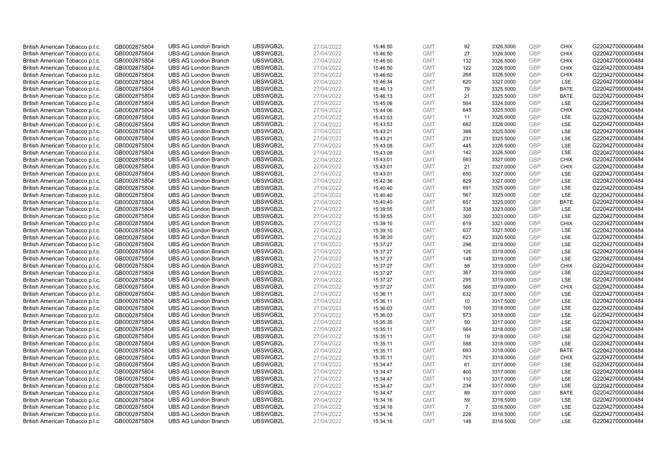| British American Tobacco p.l.c. | GB0002875804 | <b>UBS AG London Branch</b> | UBSWGB2L | 27/04/2022 | 15:46:50 | <b>GMT</b> | 92             | 3326.5000              | <b>GBP</b> | <b>CHIX</b> | G220427000000484 |
|---------------------------------|--------------|-----------------------------|----------|------------|----------|------------|----------------|------------------------|------------|-------------|------------------|
|                                 |              |                             |          |            |          |            | 27             |                        | <b>GBP</b> | <b>CHIX</b> |                  |
| British American Tobacco p.l.c. | GB0002875804 | <b>UBS AG London Branch</b> | UBSWGB2L | 27/04/2022 | 15:46:50 | <b>GMT</b> |                | 3326.5000              |            |             | G220427000000484 |
| British American Tobacco p.l.c. | GB0002875804 | <b>UBS AG London Branch</b> | UBSWGB2L | 27/04/2022 | 15:46:50 | <b>GMT</b> | 132            | 3326.5000              | <b>GBP</b> | <b>CHIX</b> | G220427000000484 |
| British American Tobacco p.l.c. | GB0002875804 | <b>UBS AG London Branch</b> | UBSWGB2L | 27/04/2022 | 15:46:50 | <b>GMT</b> | 122            | 3326.5000              | <b>GBP</b> | <b>CHIX</b> | G220427000000484 |
| British American Tobacco p.l.c. | GB0002875804 | <b>UBS AG London Branch</b> | UBSWGB2L | 27/04/2022 | 15:46:50 | <b>GMT</b> | 268            | 3326.5000              | <b>GBP</b> | <b>CHIX</b> | G220427000000484 |
| British American Tobacco p.l.c. | GB0002875804 | <b>UBS AG London Branch</b> | UBSWGB2L | 27/04/2022 | 15:46:34 | <b>GMT</b> | 620            | 3327.0000              | <b>GBP</b> | LSE         | G220427000000484 |
| British American Tobacco p.l.c. | GB0002875804 | <b>UBS AG London Branch</b> | UBSWGB2L | 27/04/2022 | 15:46:13 | <b>GMT</b> | 79             | 3325.5000              | <b>GBP</b> | <b>BATE</b> | G220427000000484 |
| British American Tobacco p.l.c. | GB0002875804 | <b>UBS AG London Branch</b> | UBSWGB2L | 27/04/2022 | 15:46:13 | <b>GMT</b> | 21             | 3325.5000              | <b>GBP</b> | <b>BATE</b> | G220427000000484 |
| British American Tobacco p.l.c. | GB0002875804 | <b>UBS AG London Branch</b> | UBSWGB2L | 27/04/2022 | 15:45:06 | <b>GMT</b> | 564            | 3324.5000              | <b>GBP</b> | LSE         | G220427000000484 |
| British American Tobacco p.l.c. | GB0002875804 | <b>UBS AG London Branch</b> | UBSWGB2L | 27/04/2022 | 15:44:06 | <b>GMT</b> | 645            | 3325.5000              | <b>GBP</b> | <b>CHIX</b> | G220427000000484 |
| British American Tobacco p.l.c. | GB0002875804 | <b>UBS AG London Branch</b> | UBSWGB2L | 27/04/2022 | 15:43:53 | <b>GMT</b> | 11             | 3326.0000              | <b>GBP</b> | LSE         | G220427000000484 |
| British American Tobacco p.l.c. | GB0002875804 | <b>UBS AG London Branch</b> | UBSWGB2L | 27/04/2022 | 15:43:53 | <b>GMT</b> | 682            | 3326.0000              | <b>GBP</b> | LSE         | G220427000000484 |
| British American Tobacco p.l.c. | GB0002875804 | <b>UBS AG London Branch</b> | UBSWGB2L | 27/04/2022 | 15:43:21 | <b>GMT</b> | 386            | 3325.5000              | <b>GBP</b> | LSE         | G220427000000484 |
| British American Tobacco p.l.c. | GB0002875804 | <b>UBS AG London Branch</b> | UBSWGB2L | 27/04/2022 | 15:43:21 | <b>GMT</b> | 231            | 3325.5000              | <b>GBP</b> | LSE         | G220427000000484 |
| British American Tobacco p.l.c. | GB0002875804 | <b>UBS AG London Branch</b> | UBSWGB2L | 27/04/2022 | 15:43:08 | <b>GMT</b> | 445            | 3326.5000              | <b>GBP</b> | LSE         | G220427000000484 |
| British American Tobacco p.l.c. | GB0002875804 | <b>UBS AG London Branch</b> | UBSWGB2L | 27/04/2022 | 15:43:08 | <b>GMT</b> | 142            | 3326.5000              | <b>GBP</b> | LSE         | G220427000000484 |
| British American Tobacco p.l.c. | GB0002875804 | <b>UBS AG London Branch</b> | UBSWGB2L | 27/04/2022 | 15:43:01 | <b>GMT</b> | 593            | 3327.0000              | <b>GBP</b> | <b>CHIX</b> | G220427000000484 |
| British American Tobacco p.l.c. | GB0002875804 | <b>UBS AG London Branch</b> | UBSWGB2L | 27/04/2022 | 15:43:01 | <b>GMT</b> | 21             | 3327.0000              | <b>GBP</b> | <b>CHIX</b> | G220427000000484 |
|                                 |              | <b>UBS AG London Branch</b> | UBSWGB2L |            |          |            |                |                        |            | <b>LSE</b>  |                  |
| British American Tobacco p.l.c. | GB0002875804 |                             |          | 27/04/2022 | 15:43:01 | <b>GMT</b> | 650            | 3327.0000              | <b>GBP</b> |             | G220427000000484 |
| British American Tobacco p.l.c. | GB0002875804 | <b>UBS AG London Branch</b> | UBSWGB2L | 27/04/2022 | 15:42:36 | <b>GMT</b> | 829            | 3327.0000              | <b>GBP</b> | LSE         | G220427000000484 |
| British American Tobacco p.l.c. | GB0002875804 | <b>UBS AG London Branch</b> | UBSWGB2L | 27/04/2022 | 15:40:40 | <b>GMT</b> | 691            | 3325.0000              | <b>GBP</b> | LSE         | G220427000000484 |
| British American Tobacco p.l.c. | GB0002875804 | <b>UBS AG London Branch</b> | UBSWGB2L | 27/04/2022 | 15:40:40 | <b>GMT</b> | 567            | 3325.0000              | <b>GBP</b> | LSE         | G220427000000484 |
| British American Tobacco p.l.c. | GB0002875804 | <b>UBS AG London Branch</b> | UBSWGB2L | 27/04/2022 | 15:40:40 | <b>GMT</b> | 657            | 3325.0000              | <b>GBP</b> | <b>BATE</b> | G220427000000484 |
| British American Tobacco p.l.c. | GB0002875804 | <b>UBS AG London Branch</b> | UBSWGB2L | 27/04/2022 | 15:39:55 | <b>GMT</b> | 338            | 3323.0000              | <b>GBP</b> | LSE         | G220427000000484 |
| British American Tobacco p.l.c. | GB0002875804 | <b>UBS AG London Branch</b> | UBSWGB2L | 27/04/2022 | 15:39:55 | <b>GMT</b> | 300            | 3323.0000              | <b>GBP</b> | LSE         | G220427000000484 |
| British American Tobacco p.l.c. | GB0002875804 | <b>UBS AG London Branch</b> | UBSWGB2L | 27/04/2022 | 15:39:10 | <b>GMT</b> | 619            | 3321.0000              | <b>GBP</b> | <b>CHIX</b> | G220427000000484 |
| British American Tobacco p.l.c. | GB0002875804 | <b>UBS AG London Branch</b> | UBSWGB2L | 27/04/2022 | 15:39:10 | <b>GMT</b> | 637            | 3321.5000              | <b>GBP</b> | LSE         | G220427000000484 |
| British American Tobacco p.l.c. | GB0002875804 | <b>UBS AG London Branch</b> | UBSWGB2L | 27/04/2022 | 15:38:20 | <b>GMT</b> | 623            | 3320.5000              | <b>GBP</b> | LSE         | G220427000000484 |
| British American Tobacco p.l.c. | GB0002875804 | <b>UBS AG London Branch</b> | UBSWGB2L | 27/04/2022 | 15:37:27 | <b>GMT</b> | 296            | 3319.0000              | <b>GBP</b> | LSE         | G220427000000484 |
| British American Tobacco p.l.c. | GB0002875804 | <b>UBS AG London Branch</b> | UBSWGB2L | 27/04/2022 | 15:37:27 | <b>GMT</b> | 126            | 3319.0000              | <b>GBP</b> | LSE         | G220427000000484 |
| British American Tobacco p.l.c. | GB0002875804 | <b>UBS AG London Branch</b> | UBSWGB2L | 27/04/2022 | 15:37:27 | <b>GMT</b> | 148            | 3319.0000              | <b>GBP</b> | LSE         | G220427000000484 |
| British American Tobacco p.l.c. | GB0002875804 | <b>UBS AG London Branch</b> | UBSWGB2L | 27/04/2022 | 15:37:27 | <b>GMT</b> | 58             | 3319.0000              | <b>GBP</b> | <b>CHIX</b> | G220427000000484 |
| British American Tobacco p.l.c. | GB0002875804 | <b>UBS AG London Branch</b> | UBSWGB2L | 27/04/2022 | 15:37:27 | <b>GMT</b> | 367            | 3319.0000              | <b>GBP</b> | LSE         | G220427000000484 |
| British American Tobacco p.l.c. | GB0002875804 | <b>UBS AG London Branch</b> | UBSWGB2L | 27/04/2022 | 15:37:27 | <b>GMT</b> | 295            | 3319.0000              | <b>GBP</b> | LSE         | G220427000000484 |
| British American Tobacco p.l.c. | GB0002875804 | <b>UBS AG London Branch</b> | UBSWGB2L | 27/04/2022 | 15:37:27 | <b>GMT</b> | 566            | 3319.0000              | <b>GBP</b> | <b>CHIX</b> | G220427000000484 |
| British American Tobacco p.l.c. | GB0002875804 | <b>UBS AG London Branch</b> | UBSWGB2L | 27/04/2022 | 15:36:11 | <b>GMT</b> | 632            | 3317.5000              | <b>GBP</b> | LSE         | G220427000000484 |
| British American Tobacco p.l.c. | GB0002875804 | <b>UBS AG London Branch</b> | UBSWGB2L | 27/04/2022 | 15:36:11 | <b>GMT</b> | 10             | 3317.5000              | <b>GBP</b> | LSE         | G220427000000484 |
| British American Tobacco p.l.c. | GB0002875804 | <b>UBS AG London Branch</b> | UBSWGB2L | 27/04/2022 | 15:36:03 | <b>GMT</b> | 100            | 3318.0000              | <b>GBP</b> | LSE         | G220427000000484 |
| British American Tobacco p.l.c. | GB0002875804 | <b>UBS AG London Branch</b> | UBSWGB2L | 27/04/2022 | 15:36:03 | <b>GMT</b> | 573            | 3318.0000              | <b>GBP</b> | LSE         | G220427000000484 |
| British American Tobacco p.l.c. | GB0002875804 | <b>UBS AG London Branch</b> | UBSWGB2L | 27/04/2022 | 15:35:35 | <b>GMT</b> | 50             | 3317.0000              | <b>GBP</b> | LSE         | G220427000000484 |
| British American Tobacco p.l.c. | GB0002875804 | <b>UBS AG London Branch</b> | UBSWGB2L | 27/04/2022 | 15:35:11 | <b>GMT</b> | 564            | 3318.0000              | <b>GBP</b> | LSE         | G220427000000484 |
| British American Tobacco p.l.c. | GB0002875804 | <b>UBS AG London Branch</b> | UBSWGB2L | 27/04/2022 | 15:35:11 | <b>GMT</b> | 19             | 3318.0000              | <b>GBP</b> | LSE         | G220427000000484 |
| British American Tobacco p.l.c. | GB0002875804 | <b>UBS AG London Branch</b> | UBSWGB2L | 27/04/2022 | 15:35:11 | <b>GMT</b> | 588            | 3318.0000              | <b>GBP</b> | LSE         | G220427000000484 |
| British American Tobacco p.l.c. | GB0002875804 | <b>UBS AG London Branch</b> | UBSWGB2L | 27/04/2022 | 15:35:11 | <b>GMT</b> | 693            | 3318.0000              | <b>GBP</b> | <b>BATE</b> | G220427000000484 |
| British American Tobacco p.l.c. | GB0002875804 | <b>UBS AG London Branch</b> | UBSWGB2L | 27/04/2022 | 15:35:11 | <b>GMT</b> | 701            | 3318.0000              | <b>GBP</b> | <b>CHIX</b> | G220427000000484 |
|                                 |              | <b>UBS AG London Branch</b> | UBSWGB2L | 27/04/2022 |          | <b>GMT</b> |                |                        | <b>GBP</b> | LSE         | G220427000000484 |
| British American Tobacco p.l.c. | GB0002875804 |                             |          |            | 15:34:47 | <b>GMT</b> | 61<br>400      | 3317.0000<br>3317.0000 | <b>GBP</b> | LSE         |                  |
| British American Tobacco p.l.c. | GB0002875804 | <b>UBS AG London Branch</b> | UBSWGB2L | 27/04/2022 | 15:34:47 |            |                |                        |            |             | G220427000000484 |
| British American Tobacco p.l.c. | GB0002875804 | <b>UBS AG London Branch</b> | UBSWGB2L | 27/04/2022 | 15:34:47 | <b>GMT</b> | 110            | 3317.0000              | <b>GBP</b> | LSE         | G220427000000484 |
| British American Tobacco p.l.c. | GB0002875804 | <b>UBS AG London Branch</b> | UBSWGB2L | 27/04/2022 | 15:34:47 | <b>GMT</b> | 234            | 3317.0000              | <b>GBP</b> | LSE         | G220427000000484 |
| British American Tobacco p.l.c. | GB0002875804 | <b>UBS AG London Branch</b> | UBSWGB2L | 27/04/2022 | 15:34:47 | <b>GMT</b> | 89             | 3317.0000              | <b>GBP</b> | <b>BATE</b> | G220427000000484 |
| British American Tobacco p.l.c. | GB0002875804 | <b>UBS AG London Branch</b> | UBSWGB2L | 27/04/2022 | 15:34:16 | <b>GMT</b> | 59             | 3316.5000              | <b>GBP</b> | LSE         | G220427000000484 |
| British American Tobacco p.l.c. | GB0002875804 | <b>UBS AG London Branch</b> | UBSWGB2L | 27/04/2022 | 15:34:16 | <b>GMT</b> | $\overline{7}$ | 3316.5000              | <b>GBP</b> | LSE         | G220427000000484 |
| British American Tobacco p.l.c. | GB0002875804 | <b>UBS AG London Branch</b> | UBSWGB2L | 27/04/2022 | 15:34:16 | <b>GMT</b> | 228            | 3316.5000              | <b>GBP</b> | LSE         | G220427000000484 |
| British American Tobacco p.l.c. | GB0002875804 | <b>UBS AG London Branch</b> | UBSWGB2L | 27/04/2022 | 15:34:16 | <b>GMT</b> | 148            | 3316.5000              | GBP        | LSE         | G220427000000484 |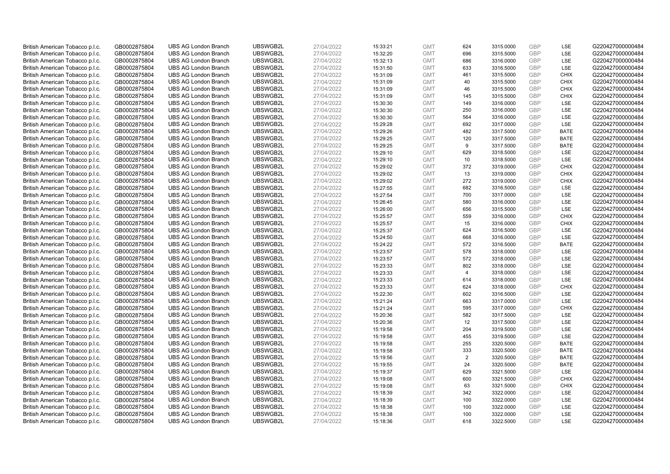| British American Tobacco p.l.c. | GB0002875804 | <b>UBS AG London Branch</b> | UBSWGB2L | 27/04/2022 | 15:33:21             | <b>GMT</b>               | 624            | 3315.0000              | <b>GBP</b> | LSE         | G220427000000484 |
|---------------------------------|--------------|-----------------------------|----------|------------|----------------------|--------------------------|----------------|------------------------|------------|-------------|------------------|
| British American Tobacco p.l.c. | GB0002875804 | <b>UBS AG London Branch</b> | UBSWGB2L | 27/04/2022 | 15:32:20             | <b>GMT</b>               | 696            | 3315.5000              | GBP        | LSE         | G220427000000484 |
| British American Tobacco p.l.c. | GB0002875804 | <b>UBS AG London Branch</b> | UBSWGB2L | 27/04/2022 | 15:32:13             | <b>GMT</b>               | 686            | 3316.0000              | <b>GBP</b> | LSE         | G220427000000484 |
|                                 |              |                             | UBSWGB2L | 27/04/2022 |                      |                          |                |                        | <b>GBP</b> | LSE         | G220427000000484 |
| British American Tobacco p.l.c. | GB0002875804 | <b>UBS AG London Branch</b> |          |            | 15:31:50             | <b>GMT</b>               | 633            | 3316.5000              |            | <b>CHIX</b> |                  |
| British American Tobacco p.l.c. | GB0002875804 | <b>UBS AG London Branch</b> | UBSWGB2L | 27/04/2022 | 15:31:09             | <b>GMT</b>               | 461            | 3315.5000              | <b>GBP</b> |             | G220427000000484 |
| British American Tobacco p.l.c. | GB0002875804 | <b>UBS AG London Branch</b> | UBSWGB2L | 27/04/2022 | 15:31:09             | <b>GMT</b>               | 40             | 3315.5000              | <b>GBP</b> | <b>CHIX</b> | G220427000000484 |
| British American Tobacco p.l.c. | GB0002875804 | <b>UBS AG London Branch</b> | UBSWGB2L | 27/04/2022 | 15:31:09             | <b>GMT</b>               | 46             | 3315.5000              | <b>GBP</b> | <b>CHIX</b> | G220427000000484 |
| British American Tobacco p.l.c. | GB0002875804 | <b>UBS AG London Branch</b> | UBSWGB2L | 27/04/2022 | 15:31:09             | <b>GMT</b>               | 145            | 3315.5000              | <b>GBP</b> | <b>CHIX</b> | G220427000000484 |
| British American Tobacco p.l.c. | GB0002875804 | <b>UBS AG London Branch</b> | UBSWGB2L | 27/04/2022 | 15:30:30             | <b>GMT</b>               | 149            | 3316.0000              | GBP        | LSE         | G220427000000484 |
| British American Tobacco p.l.c. | GB0002875804 | <b>UBS AG London Branch</b> | UBSWGB2L | 27/04/2022 | 15:30:30             | <b>GMT</b>               | 250            | 3316.0000              | <b>GBP</b> | LSE         | G220427000000484 |
| British American Tobacco p.l.c. | GB0002875804 | <b>UBS AG London Branch</b> | UBSWGB2L | 27/04/2022 | 15:30:30             | <b>GMT</b>               | 564            | 3316.0000              | <b>GBP</b> | <b>LSE</b>  | G220427000000484 |
| British American Tobacco p.l.c. | GB0002875804 | <b>UBS AG London Branch</b> | UBSWGB2L | 27/04/2022 | 15:29:28             | <b>GMT</b>               | 692            | 3317.0000              | <b>GBP</b> | LSE         | G220427000000484 |
| British American Tobacco p.l.c. | GB0002875804 | <b>UBS AG London Branch</b> | UBSWGB2L | 27/04/2022 | 15:29:26             | <b>GMT</b>               | 482            | 3317.5000              | <b>GBP</b> | <b>BATE</b> | G220427000000484 |
| British American Tobacco p.l.c. | GB0002875804 | <b>UBS AG London Branch</b> | UBSWGB2L | 27/04/2022 | 15:29:25             | <b>GMT</b>               | 120            | 3317.5000              | <b>GBP</b> | <b>BATE</b> | G220427000000484 |
| British American Tobacco p.l.c. | GB0002875804 | <b>UBS AG London Branch</b> | UBSWGB2L | 27/04/2022 | 15:29:25             | <b>GMT</b>               | 9              | 3317.5000              | <b>GBP</b> | <b>BATE</b> | G220427000000484 |
| British American Tobacco p.l.c. | GB0002875804 | <b>UBS AG London Branch</b> | UBSWGB2L | 27/04/2022 | 15:29:10             | <b>GMT</b>               | 629            | 3318.5000              | <b>GBP</b> | LSE         | G220427000000484 |
| British American Tobacco p.l.c. | GB0002875804 | <b>UBS AG London Branch</b> | UBSWGB2L | 27/04/2022 | 15:29:10             | <b>GMT</b>               | 10             | 3318.5000              | GBP        | LSE         | G220427000000484 |
| British American Tobacco p.l.c. | GB0002875804 | <b>UBS AG London Branch</b> | UBSWGB2L | 27/04/2022 | 15:29:02             | <b>GMT</b>               | 372            | 3319.0000              | <b>GBP</b> | <b>CHIX</b> | G220427000000484 |
| British American Tobacco p.l.c. | GB0002875804 | <b>UBS AG London Branch</b> | UBSWGB2L | 27/04/2022 | 15:29:02             | <b>GMT</b>               | 13             | 3319.0000              | <b>GBP</b> | <b>CHIX</b> | G220427000000484 |
| British American Tobacco p.l.c. | GB0002875804 | <b>UBS AG London Branch</b> | UBSWGB2L | 27/04/2022 | 15:29:02             | <b>GMT</b>               | 272            | 3319.0000              | <b>GBP</b> | <b>CHIX</b> | G220427000000484 |
| British American Tobacco p.l.c. | GB0002875804 | <b>UBS AG London Branch</b> | UBSWGB2L | 27/04/2022 | 15:27:55             | <b>GMT</b>               | 682            | 3316.5000              | <b>GBP</b> | LSE         | G220427000000484 |
| British American Tobacco p.l.c. | GB0002875804 | <b>UBS AG London Branch</b> | UBSWGB2L | 27/04/2022 | 15:27:54             | <b>GMT</b>               | 700            | 3317.0000              | GBP        | LSE         | G220427000000484 |
| British American Tobacco p.l.c. | GB0002875804 | <b>UBS AG London Branch</b> | UBSWGB2L | 27/04/2022 | 15:26:45             | <b>GMT</b>               | 580            | 3316.0000              | <b>GBP</b> | LSE         | G220427000000484 |
| British American Tobacco p.l.c. | GB0002875804 | <b>UBS AG London Branch</b> | UBSWGB2L | 27/04/2022 | 15:26:00             | <b>GMT</b>               | 656            | 3315.5000              | GBP        | <b>LSE</b>  | G220427000000484 |
| British American Tobacco p.l.c. | GB0002875804 | <b>UBS AG London Branch</b> | UBSWGB2L | 27/04/2022 | 15:25:57             | <b>GMT</b>               | 559            | 3316.0000              | <b>GBP</b> | <b>CHIX</b> | G220427000000484 |
| British American Tobacco p.l.c. | GB0002875804 | <b>UBS AG London Branch</b> | UBSWGB2L | 27/04/2022 | 15:25:57             | <b>GMT</b>               | 15             | 3316.0000              | GBP        | <b>CHIX</b> | G220427000000484 |
| British American Tobacco p.l.c. | GB0002875804 | <b>UBS AG London Branch</b> | UBSWGB2L | 27/04/2022 | 15:25:37             | <b>GMT</b>               | 624            | 3316.5000              | <b>GBP</b> | <b>LSE</b>  | G220427000000484 |
| British American Tobacco p.l.c. | GB0002875804 | <b>UBS AG London Branch</b> | UBSWGB2L | 27/04/2022 | 15:24:50             | <b>GMT</b>               | 668            | 3316.0000              | GBP        | LSE         | G220427000000484 |
| British American Tobacco p.l.c. | GB0002875804 | <b>UBS AG London Branch</b> | UBSWGB2L | 27/04/2022 | 15:24:22             | <b>GMT</b>               | 572            | 3316.5000              | <b>GBP</b> | <b>BATE</b> | G220427000000484 |
| British American Tobacco p.l.c. | GB0002875804 | <b>UBS AG London Branch</b> | UBSWGB2L | 27/04/2022 | 15:23:57             | <b>GMT</b>               | 578            | 3318.0000              | GBP        | LSE         | G220427000000484 |
| British American Tobacco p.l.c. | GB0002875804 | <b>UBS AG London Branch</b> | UBSWGB2L | 27/04/2022 | 15:23:57             | <b>GMT</b>               | 572            | 3318.0000              | <b>GBP</b> | <b>LSE</b>  | G220427000000484 |
| British American Tobacco p.l.c. | GB0002875804 | <b>UBS AG London Branch</b> | UBSWGB2L | 27/04/2022 | 15:23:33             | <b>GMT</b>               | 802            | 3318.0000              | GBP        | <b>LSE</b>  | G220427000000484 |
| British American Tobacco p.l.c. | GB0002875804 | <b>UBS AG London Branch</b> | UBSWGB2L | 27/04/2022 | 15:23:33             | <b>GMT</b>               | $\overline{4}$ | 3318.0000              | <b>GBP</b> | LSE         | G220427000000484 |
| British American Tobacco p.l.c. | GB0002875804 | <b>UBS AG London Branch</b> | UBSWGB2L | 27/04/2022 | 15:23:33             | <b>GMT</b>               | 614            | 3318.0000              | <b>GBP</b> | LSE         | G220427000000484 |
| British American Tobacco p.l.c. | GB0002875804 | <b>UBS AG London Branch</b> | UBSWGB2L | 27/04/2022 | 15:23:33             | <b>GMT</b>               | 624            | 3318.0000              | GBP        | <b>CHIX</b> | G220427000000484 |
| British American Tobacco p.l.c. | GB0002875804 | <b>UBS AG London Branch</b> | UBSWGB2L | 27/04/2022 | 15:22:30             | <b>GMT</b>               | 602            | 3316.5000              | <b>GBP</b> | LSE         | G220427000000484 |
| British American Tobacco p.l.c. | GB0002875804 | <b>UBS AG London Branch</b> | UBSWGB2L | 27/04/2022 | 15:21:24             | <b>GMT</b>               | 663            | 3317.0000              | <b>GBP</b> | <b>LSE</b>  | G220427000000484 |
| British American Tobacco p.l.c. | GB0002875804 | <b>UBS AG London Branch</b> | UBSWGB2L | 27/04/2022 | 15:21:24             | <b>GMT</b>               | 595            | 3317.0000              | <b>GBP</b> | <b>CHIX</b> | G220427000000484 |
| British American Tobacco p.l.c. | GB0002875804 | <b>UBS AG London Branch</b> | UBSWGB2L | 27/04/2022 | 15:20:36             | <b>GMT</b>               | 582            | 3317.5000              | GBP        | LSE         | G220427000000484 |
| British American Tobacco p.l.c. | GB0002875804 | <b>UBS AG London Branch</b> | UBSWGB2L | 27/04/2022 | 15:20:36             | <b>GMT</b>               | 12             | 3317.5000              | <b>GBP</b> | <b>LSE</b>  | G220427000000484 |
| British American Tobacco p.l.c. | GB0002875804 | <b>UBS AG London Branch</b> | UBSWGB2L | 27/04/2022 | 15:19:58             | <b>GMT</b>               | 204            | 3319.5000              | GBP        | LSE         | G220427000000484 |
| British American Tobacco p.l.c. | GB0002875804 | <b>UBS AG London Branch</b> | UBSWGB2L | 27/04/2022 | 15:19:58             | <b>GMT</b>               | 455            | 3319.5000              | <b>GBP</b> | LSE         | G220427000000484 |
| British American Tobacco p.l.c. | GB0002875804 | <b>UBS AG London Branch</b> | UBSWGB2L | 27/04/2022 | 15:19:58             | <b>GMT</b>               | 255            | 3320.5000              | <b>GBP</b> | <b>BATE</b> | G220427000000484 |
| British American Tobacco p.l.c. | GB0002875804 | <b>UBS AG London Branch</b> | UBSWGB2L | 27/04/2022 | 15:19:58             | <b>GMT</b>               | 333            | 3320.5000              | <b>GBP</b> | <b>BATE</b> | G220427000000484 |
| British American Tobacco p.l.c. | GB0002875804 | <b>UBS AG London Branch</b> | UBSWGB2L | 27/04/2022 | 15:19:56             | <b>GMT</b>               | 2              | 3320.5000              | <b>GBP</b> | <b>BATE</b> | G220427000000484 |
| British American Tobacco p.l.c. | GB0002875804 | <b>UBS AG London Branch</b> | UBSWGB2L | 27/04/2022 | 15:19:55             | <b>GMT</b>               | 24             | 3320.5000              | <b>GBP</b> | <b>BATE</b> | G220427000000484 |
| British American Tobacco p.l.c. | GB0002875804 | <b>UBS AG London Branch</b> | UBSWGB2L | 27/04/2022 | 15:19:37             | <b>GMT</b>               | 629            | 3321.5000              | <b>GBP</b> | LSE         | G220427000000484 |
| British American Tobacco p.l.c. | GB0002875804 | <b>UBS AG London Branch</b> | UBSWGB2L | 27/04/2022 | 15:19:08             | <b>GMT</b>               | 600            | 3321.5000              | <b>GBP</b> | <b>CHIX</b> | G220427000000484 |
| British American Tobacco p.l.c. | GB0002875804 | <b>UBS AG London Branch</b> | UBSWGB2L | 27/04/2022 | 15:19:08             | <b>GMT</b>               | 63             | 3321.5000              | <b>GBP</b> | <b>CHIX</b> | G220427000000484 |
| British American Tobacco p.l.c. | GB0002875804 | <b>UBS AG London Branch</b> | UBSWGB2L | 27/04/2022 | 15:18:39             | <b>GMT</b>               | 342            | 3322.0000              | <b>GBP</b> | <b>LSE</b>  | G220427000000484 |
| British American Tobacco p.l.c. |              | <b>UBS AG London Branch</b> | UBSWGB2L | 27/04/2022 |                      | <b>GMT</b>               | 100            | 3322.0000              | <b>GBP</b> | LSE         | G220427000000484 |
| British American Tobacco p.l.c. | GB0002875804 | <b>UBS AG London Branch</b> | UBSWGB2L | 27/04/2022 | 15:18:39<br>15:18:38 | <b>GMT</b>               | 100            | 3322.0000              | <b>GBP</b> | LSE         | G220427000000484 |
|                                 | GB0002875804 |                             |          |            |                      |                          |                |                        | <b>GBP</b> | LSE         | G220427000000484 |
| British American Tobacco p.l.c. | GB0002875804 | <b>UBS AG London Branch</b> | UBSWGB2L | 27/04/2022 | 15:18:38             | <b>GMT</b><br><b>GMT</b> | 100<br>618     | 3322.0000<br>3322.5000 | GBP        | <b>LSE</b>  |                  |
| British American Tobacco p.l.c. | GB0002875804 | <b>UBS AG London Branch</b> | UBSWGB2L | 27/04/2022 | 15:18:36             |                          |                |                        |            |             | G220427000000484 |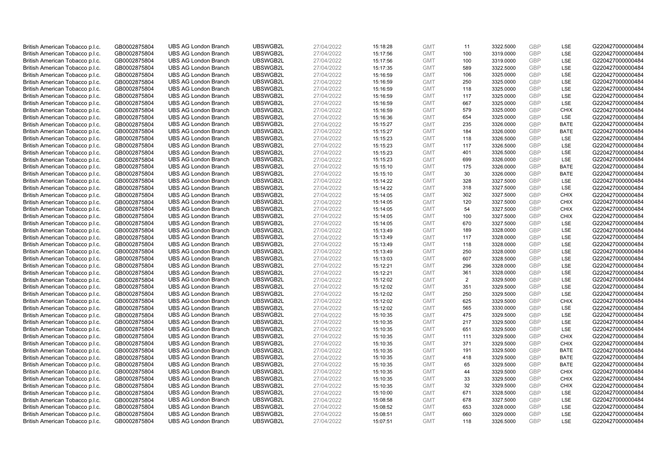| British American Tobacco p.l.c. | GB0002875804 | <b>UBS AG London Branch</b> | UBSWGB2L | 27/04/2022 | 15:18:28 | <b>GMT</b> | 11             | 3322.5000 | <b>GBP</b>               | LSE         | G220427000000484 |
|---------------------------------|--------------|-----------------------------|----------|------------|----------|------------|----------------|-----------|--------------------------|-------------|------------------|
|                                 |              |                             |          |            |          |            | 100            |           | GBP                      | LSE         |                  |
| British American Tobacco p.l.c. | GB0002875804 | <b>UBS AG London Branch</b> | UBSWGB2L | 27/04/2022 | 15:17:56 | <b>GMT</b> |                | 3319.0000 |                          |             | G220427000000484 |
| British American Tobacco p.l.c. | GB0002875804 | <b>UBS AG London Branch</b> | UBSWGB2L | 27/04/2022 | 15:17:56 | <b>GMT</b> | 100            | 3319.0000 | <b>GBP</b>               | LSE         | G220427000000484 |
| British American Tobacco p.l.c. | GB0002875804 | <b>UBS AG London Branch</b> | UBSWGB2L | 27/04/2022 | 15:17:35 | <b>GMT</b> | 589            | 3322.5000 | <b>GBP</b>               | LSE         | G220427000000484 |
| British American Tobacco p.l.c. | GB0002875804 | <b>UBS AG London Branch</b> | UBSWGB2L | 27/04/2022 | 15:16:59 | <b>GMT</b> | 106            | 3325.0000 | <b>GBP</b>               | LSE         | G220427000000484 |
| British American Tobacco p.l.c. | GB0002875804 | <b>UBS AG London Branch</b> | UBSWGB2L | 27/04/2022 | 15:16:59 | <b>GMT</b> | 250            | 3325.0000 | <b>GBP</b>               | LSE         | G220427000000484 |
| British American Tobacco p.l.c. | GB0002875804 | <b>UBS AG London Branch</b> | UBSWGB2L | 27/04/2022 | 15:16:59 | <b>GMT</b> | 118            | 3325.0000 | <b>GBP</b>               | LSE         | G220427000000484 |
| British American Tobacco p.l.c. | GB0002875804 | <b>UBS AG London Branch</b> | UBSWGB2L | 27/04/2022 | 15:16:59 | <b>GMT</b> | 117            | 3325.0000 | <b>GBP</b>               | LSE         | G220427000000484 |
| British American Tobacco p.l.c. | GB0002875804 | <b>UBS AG London Branch</b> | UBSWGB2L | 27/04/2022 | 15:16:59 | <b>GMT</b> | 667            | 3325.0000 | <b>GBP</b>               | LSE         | G220427000000484 |
| British American Tobacco p.l.c. | GB0002875804 | <b>UBS AG London Branch</b> | UBSWGB2L | 27/04/2022 | 15:16:59 | <b>GMT</b> | 579            | 3325.0000 | <b>GBP</b>               | <b>CHIX</b> | G220427000000484 |
| British American Tobacco p.l.c. | GB0002875804 | <b>UBS AG London Branch</b> | UBSWGB2L | 27/04/2022 | 15:16:36 | <b>GMT</b> | 654            | 3325.0000 | <b>GBP</b>               | LSE         | G220427000000484 |
| British American Tobacco p.l.c. | GB0002875804 | <b>UBS AG London Branch</b> | UBSWGB2L | 27/04/2022 | 15:15:27 | <b>GMT</b> | 235            | 3326.0000 | <b>GBP</b>               | <b>BATE</b> | G220427000000484 |
| British American Tobacco p.l.c. | GB0002875804 | <b>UBS AG London Branch</b> | UBSWGB2L | 27/04/2022 | 15:15:27 | <b>GMT</b> | 184            | 3326.0000 | <b>GBP</b>               | <b>BATE</b> | G220427000000484 |
| British American Tobacco p.l.c. | GB0002875804 | <b>UBS AG London Branch</b> | UBSWGB2L | 27/04/2022 | 15:15:23 | <b>GMT</b> | 118            | 3326.5000 | <b>GBP</b>               | LSE         | G220427000000484 |
| British American Tobacco p.l.c. | GB0002875804 | <b>UBS AG London Branch</b> | UBSWGB2L | 27/04/2022 | 15:15:23 | <b>GMT</b> | 117            | 3326.5000 | <b>GBP</b>               | LSE         | G220427000000484 |
| British American Tobacco p.l.c. | GB0002875804 | <b>UBS AG London Branch</b> | UBSWGB2L | 27/04/2022 | 15:15:23 | <b>GMT</b> | 401            | 3326.5000 | <b>GBP</b>               | LSE         | G220427000000484 |
| British American Tobacco p.l.c. | GB0002875804 | <b>UBS AG London Branch</b> | UBSWGB2L | 27/04/2022 | 15:15:23 | <b>GMT</b> | 699            | 3326.0000 | <b>GBP</b>               | LSE         | G220427000000484 |
| British American Tobacco p.l.c. | GB0002875804 | <b>UBS AG London Branch</b> | UBSWGB2L | 27/04/2022 | 15:15:10 | <b>GMT</b> | 175            | 3326.0000 | <b>GBP</b>               | <b>BATE</b> | G220427000000484 |
|                                 |              | <b>UBS AG London Branch</b> | UBSWGB2L |            |          |            | 30             |           |                          | <b>BATE</b> |                  |
| British American Tobacco p.l.c. | GB0002875804 |                             |          | 27/04/2022 | 15:15:10 | <b>GMT</b> |                | 3326.0000 | <b>GBP</b><br><b>GBP</b> |             | G220427000000484 |
| British American Tobacco p.l.c. | GB0002875804 | <b>UBS AG London Branch</b> | UBSWGB2L | 27/04/2022 | 15:14:22 | <b>GMT</b> | 328            | 3327.5000 |                          | LSE         | G220427000000484 |
| British American Tobacco p.l.c. | GB0002875804 | <b>UBS AG London Branch</b> | UBSWGB2L | 27/04/2022 | 15:14:22 | <b>GMT</b> | 318            | 3327.5000 | <b>GBP</b>               | LSE         | G220427000000484 |
| British American Tobacco p.l.c. | GB0002875804 | <b>UBS AG London Branch</b> | UBSWGB2L | 27/04/2022 | 15:14:05 | <b>GMT</b> | 302            | 3327.5000 | <b>GBP</b>               | <b>CHIX</b> | G220427000000484 |
| British American Tobacco p.l.c. | GB0002875804 | <b>UBS AG London Branch</b> | UBSWGB2L | 27/04/2022 | 15:14:05 | <b>GMT</b> | 120            | 3327.5000 | <b>GBP</b>               | <b>CHIX</b> | G220427000000484 |
| British American Tobacco p.l.c. | GB0002875804 | <b>UBS AG London Branch</b> | UBSWGB2L | 27/04/2022 | 15:14:05 | <b>GMT</b> | 54             | 3327.5000 | <b>GBP</b>               | <b>CHIX</b> | G220427000000484 |
| British American Tobacco p.l.c. | GB0002875804 | <b>UBS AG London Branch</b> | UBSWGB2L | 27/04/2022 | 15:14:05 | <b>GMT</b> | 100            | 3327.5000 | <b>GBP</b>               | <b>CHIX</b> | G220427000000484 |
| British American Tobacco p.l.c. | GB0002875804 | <b>UBS AG London Branch</b> | UBSWGB2L | 27/04/2022 | 15:14:05 | <b>GMT</b> | 670            | 3327.5000 | <b>GBP</b>               | LSE         | G220427000000484 |
| British American Tobacco p.l.c. | GB0002875804 | <b>UBS AG London Branch</b> | UBSWGB2L | 27/04/2022 | 15:13:49 | <b>GMT</b> | 189            | 3328.0000 | <b>GBP</b>               | LSE         | G220427000000484 |
| British American Tobacco p.l.c. | GB0002875804 | <b>UBS AG London Branch</b> | UBSWGB2L | 27/04/2022 | 15:13:49 | <b>GMT</b> | 117            | 3328.0000 | <b>GBP</b>               | LSE         | G220427000000484 |
| British American Tobacco p.l.c. | GB0002875804 | <b>UBS AG London Branch</b> | UBSWGB2L | 27/04/2022 | 15:13:49 | <b>GMT</b> | 118            | 3328.0000 | <b>GBP</b>               | LSE         | G220427000000484 |
| British American Tobacco p.l.c. | GB0002875804 | <b>UBS AG London Branch</b> | UBSWGB2L | 27/04/2022 | 15:13:49 | <b>GMT</b> | 250            | 3328.0000 | <b>GBP</b>               | LSE         | G220427000000484 |
| British American Tobacco p.l.c. | GB0002875804 | <b>UBS AG London Branch</b> | UBSWGB2L | 27/04/2022 | 15:13:03 | <b>GMT</b> | 607            | 3328.5000 | GBP                      | LSE         | G220427000000484 |
| British American Tobacco p.l.c. | GB0002875804 | <b>UBS AG London Branch</b> | UBSWGB2L | 27/04/2022 | 15:12:21 | <b>GMT</b> | 296            | 3328.0000 | <b>GBP</b>               | LSE         | G220427000000484 |
| British American Tobacco p.l.c. | GB0002875804 | <b>UBS AG London Branch</b> | UBSWGB2L | 27/04/2022 | 15:12:21 | <b>GMT</b> | 361            | 3328.0000 | <b>GBP</b>               | LSE         | G220427000000484 |
| British American Tobacco p.l.c. | GB0002875804 | <b>UBS AG London Branch</b> | UBSWGB2L | 27/04/2022 | 15:12:02 | <b>GMT</b> | $\overline{2}$ | 3329.5000 | <b>GBP</b>               | LSE         | G220427000000484 |
| British American Tobacco p.l.c. | GB0002875804 | <b>UBS AG London Branch</b> | UBSWGB2L | 27/04/2022 | 15:12:02 | <b>GMT</b> | 351            | 3329.5000 | <b>GBP</b>               | LSE         | G220427000000484 |
| British American Tobacco p.l.c. | GB0002875804 | <b>UBS AG London Branch</b> | UBSWGB2L | 27/04/2022 | 15:12:02 | <b>GMT</b> | 250            | 3329.5000 | <b>GBP</b>               | LSE         | G220427000000484 |
| British American Tobacco p.l.c. | GB0002875804 | <b>UBS AG London Branch</b> | UBSWGB2L | 27/04/2022 | 15:12:02 | <b>GMT</b> | 625            | 3329.5000 | <b>GBP</b>               | <b>CHIX</b> | G220427000000484 |
| British American Tobacco p.l.c. | GB0002875804 | <b>UBS AG London Branch</b> | UBSWGB2L | 27/04/2022 | 15:12:02 | <b>GMT</b> | 565            | 3330.0000 | <b>GBP</b>               | LSE         | G220427000000484 |
| British American Tobacco p.l.c. | GB0002875804 | <b>UBS AG London Branch</b> | UBSWGB2L | 27/04/2022 | 15:10:35 | <b>GMT</b> | 475            | 3329.5000 | <b>GBP</b>               | LSE         | G220427000000484 |
| British American Tobacco p.l.c. | GB0002875804 | <b>UBS AG London Branch</b> | UBSWGB2L | 27/04/2022 | 15:10:35 | <b>GMT</b> | 217            | 3329.5000 | <b>GBP</b>               | LSE         | G220427000000484 |
| British American Tobacco p.l.c. | GB0002875804 | <b>UBS AG London Branch</b> | UBSWGB2L | 27/04/2022 | 15:10:35 | <b>GMT</b> | 651            | 3329.5000 | <b>GBP</b>               | LSE         | G220427000000484 |
| British American Tobacco p.l.c. | GB0002875804 | <b>UBS AG London Branch</b> | UBSWGB2L | 27/04/2022 | 15:10:35 | <b>GMT</b> | 111            | 3329.5000 | <b>GBP</b>               | <b>CHIX</b> | G220427000000484 |
| British American Tobacco p.l.c. | GB0002875804 | <b>UBS AG London Branch</b> | UBSWGB2L | 27/04/2022 | 15:10:35 | <b>GMT</b> | 371            | 3329.5000 | <b>GBP</b>               | <b>CHIX</b> | G220427000000484 |
| British American Tobacco p.l.c. | GB0002875804 | <b>UBS AG London Branch</b> | UBSWGB2L | 27/04/2022 | 15:10:35 | <b>GMT</b> | 191            | 3329.5000 | <b>GBP</b>               | <b>BATE</b> | G220427000000484 |
| British American Tobacco p.l.c. | GB0002875804 | <b>UBS AG London Branch</b> | UBSWGB2L | 27/04/2022 | 15:10:35 | <b>GMT</b> | 418            | 3329.5000 | <b>GBP</b>               | <b>BATE</b> | G220427000000484 |
| British American Tobacco p.l.c. | GB0002875804 | <b>UBS AG London Branch</b> | UBSWGB2L | 27/04/2022 | 15:10:35 | <b>GMT</b> | 65             | 3329.5000 | <b>GBP</b>               | <b>BATE</b> | G220427000000484 |
| British American Tobacco p.l.c. | GB0002875804 | <b>UBS AG London Branch</b> | UBSWGB2L | 27/04/2022 | 15:10:35 | <b>GMT</b> | 44             | 3329.5000 | <b>GBP</b>               | <b>CHIX</b> | G220427000000484 |
| British American Tobacco p.l.c. | GB0002875804 | <b>UBS AG London Branch</b> | UBSWGB2L | 27/04/2022 | 15:10:35 | <b>GMT</b> | 33             | 3329.5000 | <b>GBP</b>               | <b>CHIX</b> | G220427000000484 |
|                                 |              |                             |          |            |          | <b>GMT</b> |                |           | <b>GBP</b>               |             |                  |
| British American Tobacco p.l.c. | GB0002875804 | <b>UBS AG London Branch</b> | UBSWGB2L | 27/04/2022 | 15:10:35 |            | 32             | 3329.5000 | <b>GBP</b>               | <b>CHIX</b> | G220427000000484 |
| British American Tobacco p.l.c. | GB0002875804 | <b>UBS AG London Branch</b> | UBSWGB2L | 27/04/2022 | 15:10:00 | <b>GMT</b> | 671            | 3328.5000 |                          | LSE         | G220427000000484 |
| British American Tobacco p.l.c. | GB0002875804 | <b>UBS AG London Branch</b> | UBSWGB2L | 27/04/2022 | 15:08:58 | <b>GMT</b> | 678            | 3327.5000 | <b>GBP</b>               | LSE         | G220427000000484 |
| British American Tobacco p.l.c. | GB0002875804 | <b>UBS AG London Branch</b> | UBSWGB2L | 27/04/2022 | 15:08:52 | <b>GMT</b> | 653            | 3328.0000 | <b>GBP</b>               | LSE         | G220427000000484 |
| British American Tobacco p.l.c. | GB0002875804 | <b>UBS AG London Branch</b> | UBSWGB2L | 27/04/2022 | 15:08:51 | <b>GMT</b> | 660            | 3329.0000 | <b>GBP</b>               | LSE         | G220427000000484 |
| British American Tobacco p.l.c. | GB0002875804 | <b>UBS AG London Branch</b> | UBSWGB2L | 27/04/2022 | 15:07:51 | <b>GMT</b> | 118            | 3326.5000 | GBP                      | LSE         | G220427000000484 |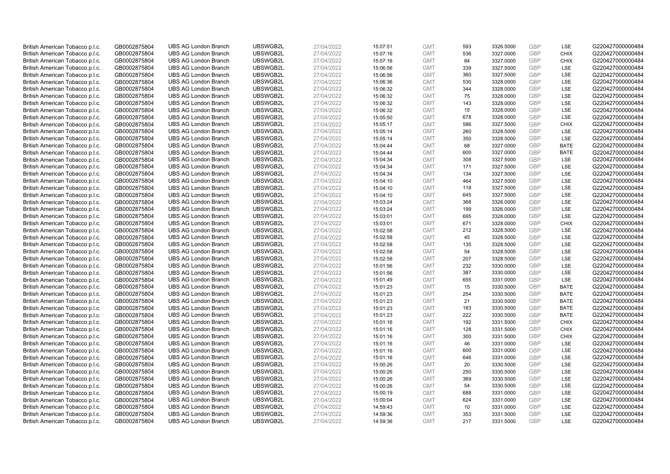| British American Tobacco p.l.c.                                    | GB0002875804                 | <b>UBS AG London Branch</b>                                | UBSWGB2L             | 27/04/2022               | 15:07:51             | <b>GMT</b>               | 593        | 3326.5000              | <b>GBP</b>               | LSE         | G220427000000484                     |
|--------------------------------------------------------------------|------------------------------|------------------------------------------------------------|----------------------|--------------------------|----------------------|--------------------------|------------|------------------------|--------------------------|-------------|--------------------------------------|
| British American Tobacco p.l.c.                                    | GB0002875804                 | <b>UBS AG London Branch</b>                                | UBSWGB2L             | 27/04/2022               | 15:07:16             | <b>GMT</b>               | 536        | 3327.0000              | <b>GBP</b>               | <b>CHIX</b> | G220427000000484                     |
| British American Tobacco p.l.c.                                    | GB0002875804                 | <b>UBS AG London Branch</b>                                | UBSWGB2L             | 27/04/2022               | 15:07:16             | <b>GMT</b>               | 84         | 3327.0000              | <b>GBP</b>               | <b>CHIX</b> | G220427000000484                     |
| British American Tobacco p.l.c.                                    | GB0002875804                 | <b>UBS AG London Branch</b>                                | UBSWGB2L             | 27/04/2022               | 15:06:56             | <b>GMT</b>               | 339        | 3327.5000              | <b>GBP</b>               | LSE         | G220427000000484                     |
| British American Tobacco p.l.c.                                    | GB0002875804                 | <b>UBS AG London Branch</b>                                | UBSWGB2L             | 27/04/2022               | 15:06:56             | <b>GMT</b>               | 360        | 3327.5000              | <b>GBP</b>               | LSE         | G220427000000484                     |
| British American Tobacco p.l.c.                                    | GB0002875804                 | <b>UBS AG London Branch</b>                                | UBSWGB2L             | 27/04/2022               | 15:06:36             | <b>GMT</b>               | 530        | 3328.0000              | GBP                      | LSE         | G220427000000484                     |
| British American Tobacco p.l.c.                                    | GB0002875804                 | <b>UBS AG London Branch</b>                                | UBSWGB2L             | 27/04/2022               | 15:06:32             | <b>GMT</b>               | 344        | 3328.0000              | <b>GBP</b>               | LSE         | G220427000000484                     |
| British American Tobacco p.l.c.                                    | GB0002875804                 | <b>UBS AG London Branch</b>                                | UBSWGB2L             | 27/04/2022               | 15:06:32             | <b>GMT</b>               | 75         | 3328.0000              | <b>GBP</b>               | LSE         | G220427000000484                     |
| British American Tobacco p.l.c.                                    | GB0002875804                 | <b>UBS AG London Branch</b>                                | UBSWGB2L             | 27/04/2022               | 15:06:32             | <b>GMT</b>               | 143        | 3328.0000              | <b>GBP</b>               | LSE         | G220427000000484                     |
| British American Tobacco p.l.c.                                    | GB0002875804                 | <b>UBS AG London Branch</b>                                | UBSWGB2L             | 27/04/2022               | 15:06:32             | <b>GMT</b>               | 15         | 3328.0000              | <b>GBP</b>               | <b>LSE</b>  | G220427000000484                     |
| British American Tobacco p.l.c.                                    | GB0002875804                 | <b>UBS AG London Branch</b>                                | UBSWGB2L             | 27/04/2022               | 15:05:50             | <b>GMT</b>               | 678        | 3328.0000              | <b>GBP</b>               | LSE         | G220427000000484                     |
| British American Tobacco p.l.c.                                    | GB0002875804                 | <b>UBS AG London Branch</b>                                | UBSWGB2L             | 27/04/2022               | 15:05:17             | <b>GMT</b>               | 586        | 3327.5000              | <b>GBP</b>               | <b>CHIX</b> | G220427000000484                     |
| British American Tobacco p.l.c.                                    | GB0002875804                 | <b>UBS AG London Branch</b>                                | UBSWGB2L             | 27/04/2022               | 15:05:14             | <b>GMT</b>               | 260        | 3328.5000              | <b>GBP</b>               | LSE         | G220427000000484                     |
| British American Tobacco p.l.c.                                    | GB0002875804                 | <b>UBS AG London Branch</b>                                | UBSWGB2L             | 27/04/2022               | 15:05:14             | <b>GMT</b>               | 350        | 3328.5000              | <b>GBP</b>               | LSE         | G220427000000484                     |
| British American Tobacco p.l.c.                                    | GB0002875804                 | <b>UBS AG London Branch</b>                                | UBSWGB2L             | 27/04/2022               | 15:04:44             | <b>GMT</b>               | 68         | 3327.0000              | <b>GBP</b>               | <b>BATE</b> | G220427000000484                     |
| British American Tobacco p.l.c.                                    | GB0002875804                 | <b>UBS AG London Branch</b>                                | UBSWGB2L             | 27/04/2022               | 15:04:44             | <b>GMT</b>               | 600        | 3327.0000              | <b>GBP</b>               | <b>BATE</b> | G220427000000484                     |
| British American Tobacco p.l.c.                                    | GB0002875804                 | <b>UBS AG London Branch</b>                                | UBSWGB2L             | 27/04/2022               | 15:04:34             | <b>GMT</b>               | 308        | 3327.5000              | <b>GBP</b>               | LSE         | G220427000000484                     |
| British American Tobacco p.l.c.                                    | GB0002875804                 | <b>UBS AG London Branch</b>                                | UBSWGB2L             | 27/04/2022               | 15:04:34             | <b>GMT</b>               | 171        | 3327.5000              | <b>GBP</b>               | LSE         | G220427000000484                     |
| British American Tobacco p.l.c.                                    | GB0002875804                 | <b>UBS AG London Branch</b>                                | UBSWGB2L             | 27/04/2022               | 15:04:34             | <b>GMT</b>               | 134        | 3327.5000              | <b>GBP</b>               | LSE         | G220427000000484                     |
| British American Tobacco p.l.c.                                    | GB0002875804                 | <b>UBS AG London Branch</b>                                | UBSWGB2L             | 27/04/2022               | 15:04:10             | <b>GMT</b>               | 464        | 3327.5000              | <b>GBP</b>               | LSE         | G220427000000484                     |
| British American Tobacco p.l.c.                                    | GB0002875804                 | <b>UBS AG London Branch</b>                                | UBSWGB2L             | 27/04/2022               | 15:04:10             | <b>GMT</b>               | 118        | 3327.5000              | <b>GBP</b>               | LSE         | G220427000000484                     |
| British American Tobacco p.l.c.                                    | GB0002875804                 | <b>UBS AG London Branch</b>                                | UBSWGB2L             | 27/04/2022               | 15:04:10             | <b>GMT</b>               | 645        | 3327.5000              | <b>GBP</b>               | LSE         | G220427000000484                     |
| British American Tobacco p.l.c.                                    | GB0002875804                 | <b>UBS AG London Branch</b>                                | UBSWGB2L             | 27/04/2022               | 15:03:24             | <b>GMT</b>               | 368        | 3326.0000              | <b>GBP</b>               | LSE         | G220427000000484                     |
| British American Tobacco p.l.c.                                    | GB0002875804                 | <b>UBS AG London Branch</b>                                | UBSWGB2L             | 27/04/2022               | 15:03:24             | <b>GMT</b>               | 199        | 3326.0000              | <b>GBP</b>               | LSE         | G220427000000484                     |
| British American Tobacco p.l.c.                                    | GB0002875804                 | <b>UBS AG London Branch</b>                                | UBSWGB2L             | 27/04/2022               | 15:03:01             | <b>GMT</b>               | 695        | 3328.0000              | <b>GBP</b>               | LSE         | G220427000000484                     |
| British American Tobacco p.l.c.                                    | GB0002875804                 | <b>UBS AG London Branch</b>                                | UBSWGB2L             | 27/04/2022               | 15:03:01             | <b>GMT</b>               | 671        | 3328.0000              | <b>GBP</b>               | <b>CHIX</b> | G220427000000484                     |
| British American Tobacco p.l.c.                                    | GB0002875804                 | <b>UBS AG London Branch</b>                                | UBSWGB2L             | 27/04/2022               | 15:02:58             | <b>GMT</b>               | 212        | 3328.5000              | <b>GBP</b>               | LSE         | G220427000000484                     |
| British American Tobacco p.l.c.                                    | GB0002875804                 | <b>UBS AG London Branch</b>                                | UBSWGB2L             | 27/04/2022               | 15:02:58             | <b>GMT</b>               | 45         | 3328.5000              | <b>GBP</b>               | LSE         | G220427000000484                     |
| British American Tobacco p.l.c.                                    | GB0002875804                 | <b>UBS AG London Branch</b>                                | UBSWGB2L             | 27/04/2022               | 15:02:58             | <b>GMT</b>               | 135        | 3328.5000              | <b>GBP</b>               | LSE         | G220427000000484                     |
| British American Tobacco p.l.c.                                    | GB0002875804                 | <b>UBS AG London Branch</b>                                | UBSWGB2L             | 27/04/2022               | 15:02:58             | <b>GMT</b>               | 54         | 3328.5000              | <b>GBP</b>               | LSE         | G220427000000484                     |
| British American Tobacco p.l.c.                                    | GB0002875804                 | <b>UBS AG London Branch</b>                                | UBSWGB2L             | 27/04/2022               | 15:02:58             | <b>GMT</b>               | 207        | 3328.5000              | <b>GBP</b>               | LSE         | G220427000000484                     |
| British American Tobacco p.l.c.                                    | GB0002875804                 | <b>UBS AG London Branch</b>                                | UBSWGB2L             | 27/04/2022               | 15:01:56             | <b>GMT</b>               | 232        | 3330.0000              | <b>GBP</b>               | LSE         | G220427000000484                     |
| British American Tobacco p.l.c.                                    | GB0002875804                 | <b>UBS AG London Branch</b>                                | UBSWGB2L             | 27/04/2022               | 15:01:56             | <b>GMT</b>               | 387        | 3330.0000              | <b>GBP</b>               | LSE         | G220427000000484                     |
| British American Tobacco p.l.c.                                    | GB0002875804                 | <b>UBS AG London Branch</b>                                | UBSWGB2L             | 27/04/2022               | 15:01:49             | <b>GMT</b>               | 655        | 3331.0000              | <b>GBP</b>               | LSE         | G220427000000484                     |
| British American Tobacco p.l.c.                                    | GB0002875804                 | <b>UBS AG London Branch</b>                                | UBSWGB2L             | 27/04/2022               | 15:01:23             | <b>GMT</b>               | 15         | 3330.5000              | <b>GBP</b>               | <b>BATE</b> | G220427000000484                     |
| British American Tobacco p.l.c.                                    | GB0002875804                 | <b>UBS AG London Branch</b>                                | UBSWGB2L             | 27/04/2022               | 15:01:23             | <b>GMT</b>               | 254        | 3330.5000              | <b>GBP</b>               | <b>BATE</b> | G220427000000484                     |
| British American Tobacco p.l.c.                                    | GB0002875804                 | <b>UBS AG London Branch</b>                                | UBSWGB2L             | 27/04/2022               | 15:01:23             | <b>GMT</b>               | 21         | 3330.5000              | <b>GBP</b>               | <b>BATE</b> | G220427000000484                     |
| British American Tobacco p.l.c.                                    | GB0002875804                 | <b>UBS AG London Branch</b>                                | UBSWGB2L             | 27/04/2022               | 15:01:23             | <b>GMT</b>               | 183        | 3330.5000              | <b>GBP</b>               | <b>BATE</b> | G220427000000484                     |
| British American Tobacco p.l.c.                                    | GB0002875804                 | <b>UBS AG London Branch</b>                                | UBSWGB2L             | 27/04/2022               | 15:01:23             | <b>GMT</b>               | 222        | 3330.5000              | <b>GBP</b>               | <b>BATE</b> | G220427000000484                     |
| British American Tobacco p.l.c.                                    | GB0002875804                 | <b>UBS AG London Branch</b>                                | UBSWGB2L             | 27/04/2022               | 15:01:16             | <b>GMT</b>               | 192        | 3331.5000              | <b>GBP</b>               | <b>CHIX</b> | G220427000000484                     |
| British American Tobacco p.l.c.                                    | GB0002875804                 | <b>UBS AG London Branch</b>                                | UBSWGB2L             | 27/04/2022               | 15:01:16             | <b>GMT</b>               | 128        | 3331.5000              | <b>GBP</b>               | <b>CHIX</b> | G220427000000484                     |
| British American Tobacco p.l.c.                                    | GB0002875804                 | <b>UBS AG London Branch</b>                                | UBSWGB2L             | 27/04/2022               | 15:01:16             | <b>GMT</b>               | 300        | 3331.5000              | <b>GBP</b>               | <b>CHIX</b> | G220427000000484                     |
| British American Tobacco p.l.c.                                    | GB0002875804                 | <b>UBS AG London Branch</b>                                | UBSWGB2L             | 27/04/2022               | 15:01:16             | <b>GMT</b>               | 46         | 3331.0000              | <b>GBP</b>               | LSE         | G220427000000484                     |
| British American Tobacco p.l.c.                                    | GB0002875804                 | <b>UBS AG London Branch</b>                                | UBSWGB2L             | 27/04/2022               | 15:01:16             | <b>GMT</b>               | 600        | 3331.0000              | <b>GBP</b>               | LSE         | G220427000000484                     |
| British American Tobacco p.l.c.                                    | GB0002875804                 | <b>UBS AG London Branch</b>                                | UBSWGB2L             | 27/04/2022               | 15:01:16             | <b>GMT</b>               | 646        | 3331.0000              | <b>GBP</b>               | <b>LSE</b>  | G220427000000484                     |
| British American Tobacco p.l.c.                                    | GB0002875804                 | <b>UBS AG London Branch</b>                                | UBSWGB2L             | 27/04/2022               | 15:00:26             | <b>GMT</b>               | 20         | 3330.5000              | <b>GBP</b>               | LSE         | G220427000000484                     |
| British American Tobacco p.l.c.                                    | GB0002875804                 | <b>UBS AG London Branch</b>                                | UBSWGB2L             | 27/04/2022               | 15:00:26             | <b>GMT</b>               | 250        | 3330.5000              | <b>GBP</b>               | LSE         | G220427000000484                     |
| British American Tobacco p.l.c.                                    | GB0002875804                 | <b>UBS AG London Branch</b>                                | UBSWGB2L             | 27/04/2022               | 15:00:26             | <b>GMT</b>               | 369        | 3330.5000              | <b>GBP</b>               | LSE         | G220427000000484                     |
| British American Tobacco p.l.c.                                    | GB0002875804                 | <b>UBS AG London Branch</b>                                | UBSWGB2L             | 27/04/2022               | 15:00:26             | <b>GMT</b><br><b>GMT</b> | 54         | 3330.5000              | <b>GBP</b><br><b>GBP</b> | LSE<br>LSE  | G220427000000484                     |
| British American Tobacco p.l.c.                                    | GB0002875804                 | <b>UBS AG London Branch</b>                                | UBSWGB2L<br>UBSWGB2L | 27/04/2022               | 15:00:19             |                          | 688<br>624 | 3331.0000<br>3331.0000 | <b>GBP</b>               | LSE         | G220427000000484                     |
| British American Tobacco p.l.c.<br>British American Tobacco p.l.c. | GB0002875804<br>GB0002875804 | <b>UBS AG London Branch</b><br><b>UBS AG London Branch</b> | UBSWGB2L             | 27/04/2022<br>27/04/2022 | 15:00:04<br>14:59:43 | <b>GMT</b><br><b>GMT</b> | 10         | 3331.0000              | <b>GBP</b>               | LSE         | G220427000000484<br>G220427000000484 |
| British American Tobacco p.l.c.                                    | GB0002875804                 | <b>UBS AG London Branch</b>                                | UBSWGB2L             | 27/04/2022               | 14:59:36             | <b>GMT</b>               | 353        | 3331.5000              | <b>GBP</b>               | LSE         | G220427000000484                     |
| British American Tobacco p.l.c.                                    | GB0002875804                 | <b>UBS AG London Branch</b>                                | UBSWGB2L             | 27/04/2022               | 14:59:36             | <b>GMT</b>               | 217        | 3331.5000              | GBP                      | LSE         | G220427000000484                     |
|                                                                    |                              |                                                            |                      |                          |                      |                          |            |                        |                          |             |                                      |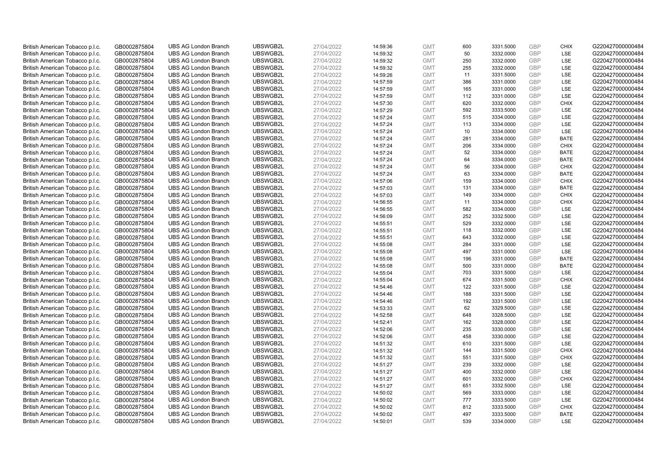| British American Tobacco p.l.c. | GB0002875804                 | <b>UBS AG London Branch</b> | UBSWGB2L             | 27/04/2022               | 14:59:36 | <b>GMT</b>               | 600        | 3331.5000              | <b>GBP</b> | <b>CHIX</b>               | G220427000000484 |
|---------------------------------|------------------------------|-----------------------------|----------------------|--------------------------|----------|--------------------------|------------|------------------------|------------|---------------------------|------------------|
| British American Tobacco p.l.c. | GB0002875804                 | <b>UBS AG London Branch</b> | UBSWGB2L             | 27/04/2022               | 14:59:32 | <b>GMT</b>               | 50         | 3332.0000              | GBP        | LSE                       | G220427000000484 |
| British American Tobacco p.l.c. | GB0002875804                 | <b>UBS AG London Branch</b> | UBSWGB2L             | 27/04/2022               | 14:59:32 | <b>GMT</b>               | 250        | 3332.0000              | <b>GBP</b> | <b>LSE</b>                | G220427000000484 |
| British American Tobacco p.l.c. | GB0002875804                 | <b>UBS AG London Branch</b> | UBSWGB2L             | 27/04/2022               | 14:59:32 | <b>GMT</b>               | 255        | 3332.0000              | GBP        | LSE                       | G220427000000484 |
| British American Tobacco p.l.c. | GB0002875804                 | <b>UBS AG London Branch</b> | UBSWGB2L             | 27/04/2022               | 14:59:26 | <b>GMT</b>               | 11         | 3331.5000              | <b>GBP</b> | <b>LSE</b>                | G220427000000484 |
| British American Tobacco p.l.c. | GB0002875804                 | <b>UBS AG London Branch</b> | UBSWGB2L             | 27/04/2022               | 14:57:59 | <b>GMT</b>               | 386        | 3331.0000              | GBP        | LSE                       | G220427000000484 |
| British American Tobacco p.l.c. | GB0002875804                 | <b>UBS AG London Branch</b> | UBSWGB2L             | 27/04/2022               | 14:57:59 | <b>GMT</b>               | 165        | 3331.0000              | <b>GBP</b> | LSE                       | G220427000000484 |
| British American Tobacco p.l.c. | GB0002875804                 | <b>UBS AG London Branch</b> | UBSWGB2L             | 27/04/2022               | 14:57:59 | <b>GMT</b>               | 112        | 3331.0000              | <b>GBP</b> | LSE                       | G220427000000484 |
| British American Tobacco p.l.c. | GB0002875804                 | <b>UBS AG London Branch</b> | UBSWGB2L             | 27/04/2022               | 14:57:30 | <b>GMT</b>               | 620        | 3332.0000              | <b>GBP</b> | <b>CHIX</b>               | G220427000000484 |
| British American Tobacco p.l.c. | GB0002875804                 | <b>UBS AG London Branch</b> | UBSWGB2L             | 27/04/2022               | 14:57:29 | <b>GMT</b>               | 592        | 3333.5000              | GBP        | <b>LSE</b>                | G220427000000484 |
| British American Tobacco p.l.c. | GB0002875804                 | <b>UBS AG London Branch</b> | UBSWGB2L             | 27/04/2022               | 14:57:24 | <b>GMT</b>               | 515        | 3334.0000              | <b>GBP</b> | LSE                       | G220427000000484 |
| British American Tobacco p.l.c. | GB0002875804                 | <b>UBS AG London Branch</b> | UBSWGB2L             | 27/04/2022               | 14:57:24 | <b>GMT</b>               | 113        | 3334.0000              | <b>GBP</b> | LSE                       | G220427000000484 |
| British American Tobacco p.l.c. | GB0002875804                 | <b>UBS AG London Branch</b> | UBSWGB2L             | 27/04/2022               | 14:57:24 | <b>GMT</b>               | 10         | 3334.0000              | <b>GBP</b> | LSE                       | G220427000000484 |
| British American Tobacco p.l.c. | GB0002875804                 | <b>UBS AG London Branch</b> | UBSWGB2L             | 27/04/2022               | 14:57:24 | <b>GMT</b>               | 281        | 3334.0000              | <b>GBP</b> | <b>BATE</b>               | G220427000000484 |
| British American Tobacco p.l.c. | GB0002875804                 | <b>UBS AG London Branch</b> | UBSWGB2L             | 27/04/2022               | 14:57:24 | <b>GMT</b>               | 206        | 3334.0000              | GBP        | <b>CHIX</b>               | G220427000000484 |
| British American Tobacco p.l.c. | GB0002875804                 | <b>UBS AG London Branch</b> | UBSWGB2L             | 27/04/2022               | 14:57:24 | <b>GMT</b>               | 52         | 3334.0000              | <b>GBP</b> | <b>BATE</b>               | G220427000000484 |
| British American Tobacco p.l.c. | GB0002875804                 | <b>UBS AG London Branch</b> | UBSWGB2L             | 27/04/2022               | 14:57:24 | <b>GMT</b>               | 64         | 3334.0000              | GBP        | <b>BATE</b>               | G220427000000484 |
| British American Tobacco p.l.c. | GB0002875804                 | <b>UBS AG London Branch</b> | UBSWGB2L             | 27/04/2022               | 14:57:24 | <b>GMT</b>               | 56         | 3334.0000              | GBP        | <b>CHIX</b>               | G220427000000484 |
| British American Tobacco p.l.c. | GB0002875804                 | <b>UBS AG London Branch</b> | UBSWGB2L             | 27/04/2022               | 14:57:24 | <b>GMT</b>               | 63         | 3334.0000              | GBP        | <b>BATE</b>               | G220427000000484 |
| British American Tobacco p.l.c. | GB0002875804                 | <b>UBS AG London Branch</b> | UBSWGB2L             | 27/04/2022               | 14:57:06 | <b>GMT</b>               | 159        | 3334.0000              | <b>GBP</b> | <b>CHIX</b>               | G220427000000484 |
| British American Tobacco p.l.c. | GB0002875804                 | <b>UBS AG London Branch</b> | UBSWGB2L             | 27/04/2022               | 14:57:03 | <b>GMT</b>               | 131        | 3334.0000              | GBP        | <b>BATE</b>               | G220427000000484 |
| British American Tobacco p.l.c. | GB0002875804                 | <b>UBS AG London Branch</b> | UBSWGB2L             | 27/04/2022               | 14:57:03 | <b>GMT</b>               | 149        | 3334.0000              | GBP        | <b>CHIX</b>               | G220427000000484 |
| British American Tobacco p.l.c. | GB0002875804                 | <b>UBS AG London Branch</b> | UBSWGB2L             | 27/04/2022               | 14:56:55 | <b>GMT</b>               | 11         | 3334.0000              | GBP        | <b>CHIX</b>               | G220427000000484 |
| British American Tobacco p.l.c. | GB0002875804                 | <b>UBS AG London Branch</b> | UBSWGB2L             | 27/04/2022               | 14:56:55 | <b>GMT</b>               | 582        | 3334.0000              | <b>GBP</b> | LSE                       | G220427000000484 |
| British American Tobacco p.l.c. | GB0002875804                 | <b>UBS AG London Branch</b> | UBSWGB2L             | 27/04/2022               | 14:56:09 | <b>GMT</b>               | 252        | 3332.5000              | <b>GBP</b> | <b>LSE</b>                | G220427000000484 |
| British American Tobacco p.l.c. | GB0002875804                 | <b>UBS AG London Branch</b> | UBSWGB2L             | 27/04/2022               | 14:55:51 | <b>GMT</b>               | 529        | 3332.0000              | <b>GBP</b> | LSE                       | G220427000000484 |
| British American Tobacco p.l.c. | GB0002875804                 | <b>UBS AG London Branch</b> | UBSWGB2L             | 27/04/2022               | 14:55:51 | <b>GMT</b>               | 118        | 3332.0000              | <b>GBP</b> | LSE                       | G220427000000484 |
| British American Tobacco p.l.c. | GB0002875804                 | <b>UBS AG London Branch</b> | UBSWGB2L             | 27/04/2022               | 14:55:51 | <b>GMT</b>               | 643        | 3332.0000              | <b>GBP</b> | LSE                       | G220427000000484 |
| British American Tobacco p.l.c. | GB0002875804                 | <b>UBS AG London Branch</b> | UBSWGB2L             | 27/04/2022               | 14:55:08 | <b>GMT</b>               | 284        | 3331.0000              | GBP        | LSE                       | G220427000000484 |
| British American Tobacco p.l.c. | GB0002875804                 | <b>UBS AG London Branch</b> | UBSWGB2L             | 27/04/2022               | 14:55:08 | <b>GMT</b>               | 497        | 3331.0000              | GBP        | LSE                       | G220427000000484 |
| British American Tobacco p.l.c. | GB0002875804                 | <b>UBS AG London Branch</b> | UBSWGB2L             | 27/04/2022               | 14:55:08 | <b>GMT</b>               | 196        | 3331.0000              | <b>GBP</b> | <b>BATE</b>               | G220427000000484 |
| British American Tobacco p.l.c. | GB0002875804                 | <b>UBS AG London Branch</b> | UBSWGB2L             | 27/04/2022               | 14:55:08 | <b>GMT</b>               | 500        | 3331.0000              | <b>GBP</b> | <b>BATE</b>               | G220427000000484 |
| British American Tobacco p.l.c. | GB0002875804                 | <b>UBS AG London Branch</b> | UBSWGB2L             | 27/04/2022               | 14:55:04 | <b>GMT</b>               | 703        | 3331.5000              | GBP        | <b>LSE</b>                | G220427000000484 |
| British American Tobacco p.l.c. | GB0002875804                 | <b>UBS AG London Branch</b> | UBSWGB2L             | 27/04/2022               | 14:55:04 | <b>GMT</b>               | 674        | 3331.5000              | <b>GBP</b> | <b>CHIX</b>               | G220427000000484 |
| British American Tobacco p.l.c. | GB0002875804                 | <b>UBS AG London Branch</b> | UBSWGB2L             | 27/04/2022               | 14:54:46 | <b>GMT</b>               | 122        | 3331.5000              | <b>GBP</b> | LSE                       | G220427000000484 |
| British American Tobacco p.l.c. | GB0002875804                 | <b>UBS AG London Branch</b> | UBSWGB2L             | 27/04/2022               | 14:54:46 | <b>GMT</b>               | 188        | 3331.5000              | <b>GBP</b> | <b>LSE</b>                | G220427000000484 |
| British American Tobacco p.l.c. | GB0002875804                 | <b>UBS AG London Branch</b> | UBSWGB2L             | 27/04/2022               | 14:54:46 | <b>GMT</b>               | 192        | 3331.5000              | GBP        | LSE                       | G220427000000484 |
| British American Tobacco p.l.c. | GB0002875804                 | <b>UBS AG London Branch</b> | UBSWGB2L             | 27/04/2022               | 14:53:33 | <b>GMT</b>               | 62         | 3329.5000              | <b>GBP</b> | LSE                       | G220427000000484 |
| British American Tobacco p.l.c. | GB0002875804                 | <b>UBS AG London Branch</b> | UBSWGB2L             | 27/04/2022               | 14:52:58 | <b>GMT</b>               | 648        | 3328.5000              | <b>GBP</b> | LSE                       | G220427000000484 |
| British American Tobacco p.l.c. | GB0002875804                 | <b>UBS AG London Branch</b> | UBSWGB2L             | 27/04/2022               | 14:52:41 | <b>GMT</b>               | 162        | 3328.0000              | <b>GBP</b> | LSE                       | G220427000000484 |
| British American Tobacco p.l.c. | GB0002875804                 | <b>UBS AG London Branch</b> | UBSWGB2L             | 27/04/2022               | 14:52:06 | <b>GMT</b>               | 235        | 3330.0000              | GBP        | LSE                       | G220427000000484 |
| British American Tobacco p.l.c. | GB0002875804                 | <b>UBS AG London Branch</b> | UBSWGB2L             | 27/04/2022               | 14:52:06 | <b>GMT</b>               | 458        | 3330.0000              | GBP        | LSE                       | G220427000000484 |
| British American Tobacco p.l.c. | GB0002875804                 | <b>UBS AG London Branch</b> | UBSWGB2L             | 27/04/2022               | 14:51:32 | <b>GMT</b>               | 610        | 3331.5000              | <b>GBP</b> | <b>LSE</b>                | G220427000000484 |
| British American Tobacco p.l.c. | GB0002875804                 | <b>UBS AG London Branch</b> | UBSWGB2L             | 27/04/2022               | 14:51:32 | <b>GMT</b>               | 144        | 3331.5000              | GBP        | <b>CHIX</b>               | G220427000000484 |
| British American Tobacco p.l.c. | GB0002875804                 | <b>UBS AG London Branch</b> | UBSWGB2L             | 27/04/2022               | 14:51:32 | <b>GMT</b>               | 551        | 3331.5000              | <b>GBP</b> | <b>CHIX</b>               | G220427000000484 |
| British American Tobacco p.l.c. | GB0002875804                 | <b>UBS AG London Branch</b> | UBSWGB2L             | 27/04/2022               | 14:51:27 | <b>GMT</b>               | 239        | 3332.0000              | <b>GBP</b> | LSE                       | G220427000000484 |
| British American Tobacco p.l.c. | GB0002875804                 | <b>UBS AG London Branch</b> | UBSWGB2L             | 27/04/2022               | 14:51:27 | <b>GMT</b>               | 400        | 3332.0000              | <b>GBP</b> | LSE                       | G220427000000484 |
| British American Tobacco p.l.c. | GB0002875804                 | <b>UBS AG London Branch</b> | UBSWGB2L             | 27/04/2022               | 14:51:27 | <b>GMT</b>               | 601        | 3332.0000              | <b>GBP</b> | <b>CHIX</b>               | G220427000000484 |
| British American Tobacco p.l.c. | GB0002875804                 | <b>UBS AG London Branch</b> | UBSWGB2L             | 27/04/2022               | 14:51:27 | <b>GMT</b>               | 651        | 3332.5000              | <b>GBP</b> | LSE                       | G220427000000484 |
| British American Tobacco p.l.c. | GB0002875804                 | <b>UBS AG London Branch</b> | UBSWGB2L             | 27/04/2022               | 14:50:02 | <b>GMT</b>               | 569        | 3333.0000              | GBP        | LSE                       | G220427000000484 |
| British American Tobacco p.l.c. | GB0002875804                 | <b>UBS AG London Branch</b> | UBSWGB2L             | 27/04/2022               | 14:50:02 | <b>GMT</b>               | 777        | 3333.5000              | <b>GBP</b> | LSE                       | G220427000000484 |
| British American Tobacco p.l.c. | GB0002875804                 | <b>UBS AG London Branch</b> | UBSWGB2L             | 27/04/2022               | 14:50:02 | <b>GMT</b>               | 812        | 3333.5000              | GBP        | <b>CHIX</b>               | G220427000000484 |
| British American Tobacco p.l.c. | GB0002875804<br>GB0002875804 | <b>UBS AG London Branch</b> | UBSWGB2L<br>UBSWGB2L | 27/04/2022<br>27/04/2022 | 14:50:02 | <b>GMT</b><br><b>GMT</b> | 497<br>539 | 3333.5000<br>3334.0000 | GBP<br>GBP | <b>BATE</b><br><b>LSE</b> | G220427000000484 |
| British American Tobacco p.l.c. |                              | <b>UBS AG London Branch</b> |                      |                          | 14:50:01 |                          |            |                        |            |                           | G220427000000484 |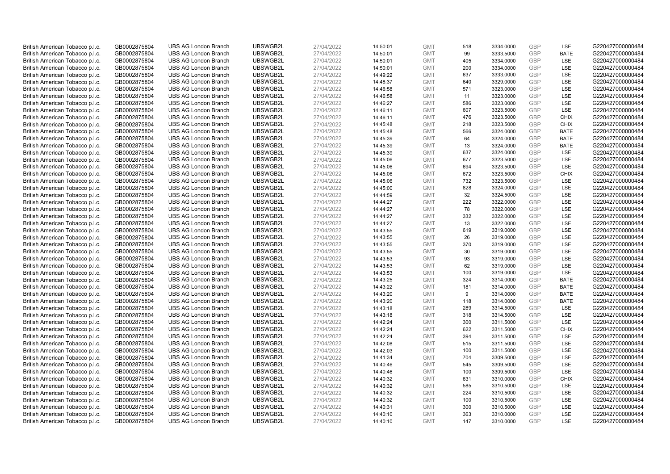| British American Tobacco p.l.c.                                    | GB0002875804                 | <b>UBS AG London Branch</b> | UBSWGB2L | 27/04/2022 | 14:50:01 | <b>GMT</b> | 518        | 3334.0000 | <b>GBP</b> | LSE         | G220427000000484 |
|--------------------------------------------------------------------|------------------------------|-----------------------------|----------|------------|----------|------------|------------|-----------|------------|-------------|------------------|
| British American Tobacco p.l.c.                                    | GB0002875804                 | <b>UBS AG London Branch</b> | UBSWGB2L | 27/04/2022 | 14:50:01 | <b>GMT</b> | 99         | 3333.5000 | GBP        | <b>BATE</b> | G220427000000484 |
| British American Tobacco p.l.c.                                    | GB0002875804                 | <b>UBS AG London Branch</b> | UBSWGB2L | 27/04/2022 | 14:50:01 | <b>GMT</b> | 405        | 3334.0000 | <b>GBP</b> | LSE         | G220427000000484 |
|                                                                    |                              |                             | UBSWGB2L | 27/04/2022 |          |            |            |           | <b>GBP</b> |             | G220427000000484 |
| British American Tobacco p.l.c.                                    | GB0002875804                 | <b>UBS AG London Branch</b> |          |            | 14:50:01 | <b>GMT</b> | 200<br>637 | 3334.0000 | <b>GBP</b> | LSE<br>LSE  |                  |
| British American Tobacco p.l.c.                                    | GB0002875804                 | <b>UBS AG London Branch</b> | UBSWGB2L | 27/04/2022 | 14:49:22 | <b>GMT</b> |            | 3333.0000 |            |             | G220427000000484 |
| British American Tobacco p.l.c.                                    | GB0002875804                 | <b>UBS AG London Branch</b> | UBSWGB2L | 27/04/2022 | 14:48:37 | <b>GMT</b> | 640        | 3329.0000 | <b>GBP</b> | <b>LSE</b>  | G220427000000484 |
| British American Tobacco p.l.c.                                    | GB0002875804                 | <b>UBS AG London Branch</b> | UBSWGB2L | 27/04/2022 | 14:46:58 | <b>GMT</b> | 571        | 3323.0000 | <b>GBP</b> | LSE         | G220427000000484 |
| British American Tobacco p.l.c.                                    | GB0002875804                 | <b>UBS AG London Branch</b> | UBSWGB2L | 27/04/2022 | 14:46:58 | <b>GMT</b> | 11         | 3323.0000 | <b>GBP</b> | LSE         | G220427000000484 |
| British American Tobacco p.l.c.                                    | GB0002875804                 | <b>UBS AG London Branch</b> | UBSWGB2L | 27/04/2022 | 14:46:27 | <b>GMT</b> | 586        | 3323.0000 | GBP        | LSE         | G220427000000484 |
| British American Tobacco p.l.c.                                    | GB0002875804                 | <b>UBS AG London Branch</b> | UBSWGB2L | 27/04/2022 | 14:46:11 | <b>GMT</b> | 607        | 3323.5000 | <b>GBP</b> | LSE         | G220427000000484 |
| British American Tobacco p.l.c.                                    | GB0002875804                 | <b>UBS AG London Branch</b> | UBSWGB2L | 27/04/2022 | 14:46:11 | <b>GMT</b> | 476        | 3323.5000 | <b>GBP</b> | <b>CHIX</b> | G220427000000484 |
| British American Tobacco p.l.c.                                    | GB0002875804                 | <b>UBS AG London Branch</b> | UBSWGB2L | 27/04/2022 | 14:45:48 | <b>GMT</b> | 218        | 3323.5000 | <b>GBP</b> | <b>CHIX</b> | G220427000000484 |
| British American Tobacco p.l.c.                                    | GB0002875804                 | <b>UBS AG London Branch</b> | UBSWGB2L | 27/04/2022 | 14:45:48 | <b>GMT</b> | 566        | 3324.0000 | <b>GBP</b> | <b>BATE</b> | G220427000000484 |
| British American Tobacco p.l.c.                                    | GB0002875804                 | <b>UBS AG London Branch</b> | UBSWGB2L | 27/04/2022 | 14:45:39 | <b>GMT</b> | 64         | 3324.0000 | <b>GBP</b> | <b>BATE</b> | G220427000000484 |
| British American Tobacco p.l.c.                                    | GB0002875804                 | <b>UBS AG London Branch</b> | UBSWGB2L | 27/04/2022 | 14:45:39 | <b>GMT</b> | 13         | 3324.0000 | GBP        | <b>BATE</b> | G220427000000484 |
| British American Tobacco p.l.c.                                    | GB0002875804                 | <b>UBS AG London Branch</b> | UBSWGB2L | 27/04/2022 | 14:45:39 | <b>GMT</b> | 637        | 3324.0000 | <b>GBP</b> | LSE         | G220427000000484 |
| British American Tobacco p.l.c.                                    | GB0002875804                 | <b>UBS AG London Branch</b> | UBSWGB2L | 27/04/2022 | 14:45:06 | <b>GMT</b> | 677        | 3323.5000 | GBP        | LSE         | G220427000000484 |
| British American Tobacco p.l.c.                                    | GB0002875804                 | <b>UBS AG London Branch</b> | UBSWGB2L | 27/04/2022 | 14:45:06 | <b>GMT</b> | 694        | 3323.5000 | <b>GBP</b> | LSE         | G220427000000484 |
| British American Tobacco p.l.c.                                    | GB0002875804                 | <b>UBS AG London Branch</b> | UBSWGB2L | 27/04/2022 | 14:45:06 | <b>GMT</b> | 672        | 3323.5000 | <b>GBP</b> | <b>CHIX</b> | G220427000000484 |
| British American Tobacco p.l.c.                                    | GB0002875804                 | <b>UBS AG London Branch</b> | UBSWGB2L | 27/04/2022 | 14:45:06 | <b>GMT</b> | 732        | 3323.5000 | <b>GBP</b> | LSE         | G220427000000484 |
| British American Tobacco p.l.c.                                    | GB0002875804                 | <b>UBS AG London Branch</b> | UBSWGB2L | 27/04/2022 | 14:45:00 | <b>GMT</b> | 828        | 3324.0000 | <b>GBP</b> | LSE         | G220427000000484 |
| British American Tobacco p.l.c.                                    | GB0002875804                 | <b>UBS AG London Branch</b> | UBSWGB2L | 27/04/2022 | 14:44:59 | <b>GMT</b> | 32         | 3324.5000 | GBP        | LSE         | G220427000000484 |
| British American Tobacco p.l.c.                                    | GB0002875804                 | <b>UBS AG London Branch</b> | UBSWGB2L | 27/04/2022 | 14:44:27 | <b>GMT</b> | 222        | 3322.0000 | <b>GBP</b> | LSE         | G220427000000484 |
| British American Tobacco p.l.c.                                    | GB0002875804                 | <b>UBS AG London Branch</b> | UBSWGB2L | 27/04/2022 | 14:44:27 | <b>GMT</b> | 78         | 3322.0000 | <b>GBP</b> | <b>LSE</b>  | G220427000000484 |
| British American Tobacco p.l.c.                                    | GB0002875804                 | <b>UBS AG London Branch</b> | UBSWGB2L | 27/04/2022 | 14:44:27 | <b>GMT</b> | 332        | 3322.0000 | <b>GBP</b> | LSE         | G220427000000484 |
| British American Tobacco p.l.c.                                    | GB0002875804                 | <b>UBS AG London Branch</b> | UBSWGB2L | 27/04/2022 | 14:44:27 | <b>GMT</b> | 13         | 3322.0000 | GBP        | LSE         | G220427000000484 |
| British American Tobacco p.l.c.                                    | GB0002875804                 | <b>UBS AG London Branch</b> | UBSWGB2L | 27/04/2022 | 14:43:55 | <b>GMT</b> | 619        | 3319.0000 | <b>GBP</b> | LSE         | G220427000000484 |
| British American Tobacco p.l.c.                                    | GB0002875804                 | <b>UBS AG London Branch</b> | UBSWGB2L | 27/04/2022 | 14:43:55 | <b>GMT</b> | 26         | 3319.0000 | GBP        | LSE         | G220427000000484 |
| British American Tobacco p.l.c.                                    | GB0002875804                 | <b>UBS AG London Branch</b> | UBSWGB2L | 27/04/2022 | 14:43:55 | <b>GMT</b> | 370        | 3319.0000 | <b>GBP</b> | LSE         | G220427000000484 |
| British American Tobacco p.l.c.                                    | GB0002875804                 | <b>UBS AG London Branch</b> | UBSWGB2L | 27/04/2022 | 14:43:55 | <b>GMT</b> | 30         | 3319.0000 | GBP        | LSE         | G220427000000484 |
| British American Tobacco p.l.c.                                    | GB0002875804                 | <b>UBS AG London Branch</b> | UBSWGB2L | 27/04/2022 | 14:43:53 | <b>GMT</b> | 93         | 3319.0000 | <b>GBP</b> | <b>LSE</b>  | G220427000000484 |
| British American Tobacco p.l.c.                                    | GB0002875804                 | <b>UBS AG London Branch</b> | UBSWGB2L | 27/04/2022 | 14:43:53 | <b>GMT</b> | 62         | 3319.0000 | <b>GBP</b> | <b>LSE</b>  | G220427000000484 |
| British American Tobacco p.l.c.                                    | GB0002875804                 | <b>UBS AG London Branch</b> | UBSWGB2L | 27/04/2022 | 14:43:53 | <b>GMT</b> | 100        | 3319.0000 | <b>GBP</b> | LSE         | G220427000000484 |
| British American Tobacco p.l.c.                                    | GB0002875804                 | <b>UBS AG London Branch</b> | UBSWGB2L | 27/04/2022 | 14:43:25 | <b>GMT</b> | 324        | 3314.0000 | <b>GBP</b> | <b>BATE</b> | G220427000000484 |
| British American Tobacco p.l.c.                                    | GB0002875804                 | <b>UBS AG London Branch</b> | UBSWGB2L | 27/04/2022 | 14:43:22 | <b>GMT</b> | 181        | 3314.0000 | <b>GBP</b> | <b>BATE</b> | G220427000000484 |
| British American Tobacco p.l.c.                                    | GB0002875804                 | <b>UBS AG London Branch</b> | UBSWGB2L | 27/04/2022 | 14:43:20 | <b>GMT</b> | 9          | 3314.0000 | <b>GBP</b> | <b>BATE</b> | G220427000000484 |
| British American Tobacco p.l.c.                                    | GB0002875804                 | <b>UBS AG London Branch</b> | UBSWGB2L | 27/04/2022 | 14:43:20 | <b>GMT</b> | 118        | 3314.0000 | <b>GBP</b> | <b>BATE</b> | G220427000000484 |
| British American Tobacco p.l.c.                                    | GB0002875804                 | <b>UBS AG London Branch</b> | UBSWGB2L | 27/04/2022 | 14:43:18 | <b>GMT</b> | 289        | 3314.5000 | <b>GBP</b> | LSE         | G220427000000484 |
| British American Tobacco p.l.c.                                    | GB0002875804                 | <b>UBS AG London Branch</b> | UBSWGB2L | 27/04/2022 | 14:43:18 | <b>GMT</b> | 318        | 3314.5000 | GBP        | LSE         | G220427000000484 |
| British American Tobacco p.l.c.                                    | GB0002875804                 | <b>UBS AG London Branch</b> | UBSWGB2L | 27/04/2022 | 14:42:24 | <b>GMT</b> | 300        | 3311.5000 | <b>GBP</b> | LSE         | G220427000000484 |
| British American Tobacco p.l.c.                                    | GB0002875804                 | <b>UBS AG London Branch</b> | UBSWGB2L | 27/04/2022 | 14:42:24 | <b>GMT</b> | 622        | 3311.5000 | GBP        | <b>CHIX</b> | G220427000000484 |
| British American Tobacco p.l.c.                                    | GB0002875804                 | <b>UBS AG London Branch</b> | UBSWGB2L | 27/04/2022 | 14:42:24 | <b>GMT</b> | 394        | 3311.5000 | <b>GBP</b> | <b>LSE</b>  | G220427000000484 |
| British American Tobacco p.l.c.                                    | GB0002875804                 | <b>UBS AG London Branch</b> | UBSWGB2L | 27/04/2022 | 14:42:08 | <b>GMT</b> | 515        | 3311.5000 | GBP        | LSE         | G220427000000484 |
| British American Tobacco p.l.c.                                    | GB0002875804                 | <b>UBS AG London Branch</b> | UBSWGB2L | 27/04/2022 | 14:42:03 | <b>GMT</b> | 100        | 3311.5000 | <b>GBP</b> | <b>LSE</b>  | G220427000000484 |
| British American Tobacco p.l.c.                                    | GB0002875804                 | <b>UBS AG London Branch</b> | UBSWGB2L | 27/04/2022 | 14:41:34 | <b>GMT</b> | 704        | 3309.5000 | GBP        | LSE         | G220427000000484 |
|                                                                    |                              | <b>UBS AG London Branch</b> | UBSWGB2L | 27/04/2022 | 14:40:46 | <b>GMT</b> | 545        | 3309.5000 | <b>GBP</b> | LSE         | G220427000000484 |
| British American Tobacco p.l.c.<br>British American Tobacco p.l.c. | GB0002875804<br>GB0002875804 | <b>UBS AG London Branch</b> | UBSWGB2L | 27/04/2022 | 14:40:46 | <b>GMT</b> | 100        | 3309.5000 | <b>GBP</b> | LSE         | G220427000000484 |
|                                                                    |                              | <b>UBS AG London Branch</b> | UBSWGB2L |            |          | <b>GMT</b> | 631        | 3310.0000 | GBP        | <b>CHIX</b> | G220427000000484 |
| British American Tobacco p.l.c.                                    | GB0002875804                 |                             |          | 27/04/2022 | 14:40:32 |            |            |           |            |             |                  |
| British American Tobacco p.l.c.                                    | GB0002875804                 | <b>UBS AG London Branch</b> | UBSWGB2L | 27/04/2022 | 14:40:32 | <b>GMT</b> | 585        | 3310.5000 | <b>GBP</b> | LSE         | G220427000000484 |
| British American Tobacco p.l.c.                                    | GB0002875804                 | <b>UBS AG London Branch</b> | UBSWGB2L | 27/04/2022 | 14:40:32 | <b>GMT</b> | 224        | 3310.5000 | GBP        | <b>LSE</b>  | G220427000000484 |
| British American Tobacco p.l.c.                                    | GB0002875804                 | <b>UBS AG London Branch</b> | UBSWGB2L | 27/04/2022 | 14:40:32 | <b>GMT</b> | 100        | 3310.5000 | <b>GBP</b> | LSE         | G220427000000484 |
| British American Tobacco p.l.c.                                    | GB0002875804                 | <b>UBS AG London Branch</b> | UBSWGB2L | 27/04/2022 | 14:40:31 | <b>GMT</b> | 300        | 3310.5000 | GBP        | LSE         | G220427000000484 |
| British American Tobacco p.l.c.                                    | GB0002875804                 | <b>UBS AG London Branch</b> | UBSWGB2L | 27/04/2022 | 14:40:10 | <b>GMT</b> | 363        | 3310.0000 | <b>GBP</b> | LSE         | G220427000000484 |
| British American Tobacco p.l.c.                                    | GB0002875804                 | <b>UBS AG London Branch</b> | UBSWGB2L | 27/04/2022 | 14:40:10 | <b>GMT</b> | 147        | 3310.0000 | GBP        | <b>LSE</b>  | G220427000000484 |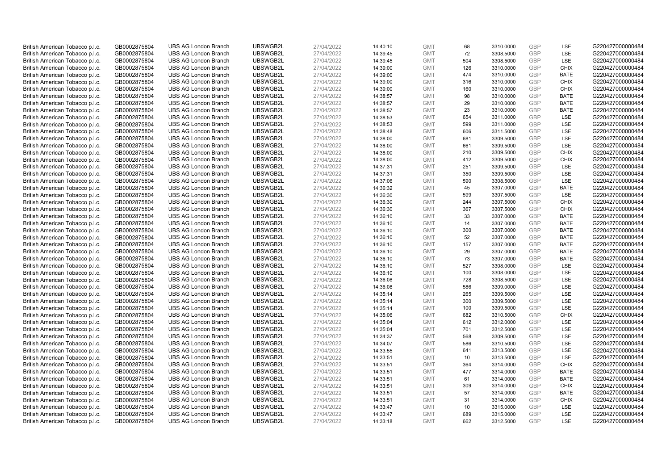| British American Tobacco p.l.c.                                    | GB0002875804                 | <b>UBS AG London Branch</b>                                | UBSWGB2L             | 27/04/2022               | 14:40:10             | <b>GMT</b>               | 68       | 3310.0000              | <b>GBP</b>               | <b>LSE</b>         | G220427000000484                     |
|--------------------------------------------------------------------|------------------------------|------------------------------------------------------------|----------------------|--------------------------|----------------------|--------------------------|----------|------------------------|--------------------------|--------------------|--------------------------------------|
| British American Tobacco p.l.c.                                    | GB0002875804                 | <b>UBS AG London Branch</b>                                | UBSWGB2L             | 27/04/2022               | 14:39:45             | <b>GMT</b>               | 72       | 3308.5000              | <b>GBP</b>               | LSE                | G220427000000484                     |
| British American Tobacco p.l.c.                                    | GB0002875804                 | <b>UBS AG London Branch</b>                                | UBSWGB2L             | 27/04/2022               | 14:39:45             | <b>GMT</b>               | 504      | 3308.5000              | <b>GBP</b>               | LSE                | G220427000000484                     |
| British American Tobacco p.l.c.                                    | GB0002875804                 | <b>UBS AG London Branch</b>                                | UBSWGB2L             | 27/04/2022               | 14:39:00             | <b>GMT</b>               | 126      | 3310.0000              | <b>GBP</b>               | <b>CHIX</b>        | G220427000000484                     |
| British American Tobacco p.l.c.                                    | GB0002875804                 | <b>UBS AG London Branch</b>                                | UBSWGB2L             | 27/04/2022               | 14:39:00             | <b>GMT</b>               | 474      | 3310.0000              | <b>GBP</b>               | <b>BATE</b>        | G220427000000484                     |
| British American Tobacco p.l.c.                                    | GB0002875804                 | <b>UBS AG London Branch</b>                                | UBSWGB2L             | 27/04/2022               | 14:39:00             | <b>GMT</b>               | 316      | 3310.0000              | <b>GBP</b>               | <b>CHIX</b>        | G220427000000484                     |
| British American Tobacco p.l.c.                                    | GB0002875804                 | <b>UBS AG London Branch</b>                                | UBSWGB2L             | 27/04/2022               | 14:39:00             | <b>GMT</b>               | 160      | 3310.0000              | <b>GBP</b>               | <b>CHIX</b>        | G220427000000484                     |
| British American Tobacco p.l.c.                                    | GB0002875804                 | <b>UBS AG London Branch</b>                                | UBSWGB2L             | 27/04/2022               | 14:38:57             | <b>GMT</b>               | 98       | 3310.0000              | <b>GBP</b>               | <b>BATE</b>        | G220427000000484                     |
| British American Tobacco p.l.c.                                    | GB0002875804                 | <b>UBS AG London Branch</b>                                | UBSWGB2L             | 27/04/2022               | 14:38:57             | <b>GMT</b>               | 29       | 3310.0000              | <b>GBP</b>               | <b>BATE</b>        | G220427000000484                     |
| British American Tobacco p.l.c.                                    | GB0002875804                 | <b>UBS AG London Branch</b>                                | UBSWGB2L             | 27/04/2022               | 14:38:57             | <b>GMT</b>               | 23       | 3310.0000              | <b>GBP</b>               | <b>BATE</b>        | G220427000000484                     |
| British American Tobacco p.l.c.                                    | GB0002875804                 | <b>UBS AG London Branch</b>                                | UBSWGB2L             | 27/04/2022               | 14:38:53             | <b>GMT</b>               | 654      | 3311.0000              | <b>GBP</b>               | LSE                | G220427000000484                     |
| British American Tobacco p.l.c.                                    | GB0002875804                 | <b>UBS AG London Branch</b>                                | UBSWGB2L             | 27/04/2022               | 14:38:53             | <b>GMT</b>               | 599      | 3311.0000              | <b>GBP</b>               | LSE                | G220427000000484                     |
| British American Tobacco p.l.c.                                    | GB0002875804                 | <b>UBS AG London Branch</b>                                | UBSWGB2L             | 27/04/2022               | 14:38:48             | <b>GMT</b>               | 606      | 3311.5000              | <b>GBP</b>               | LSE                | G220427000000484                     |
| British American Tobacco p.l.c.                                    | GB0002875804                 | <b>UBS AG London Branch</b>                                | UBSWGB2L             | 27/04/2022               | 14:38:00             | <b>GMT</b>               | 681      | 3309.5000              | <b>GBP</b>               | LSE                | G220427000000484                     |
| British American Tobacco p.l.c.                                    | GB0002875804                 | <b>UBS AG London Branch</b>                                | UBSWGB2L             | 27/04/2022               | 14:38:00             | <b>GMT</b>               | 661      | 3309.5000              | <b>GBP</b>               | LSE                | G220427000000484                     |
| British American Tobacco p.l.c.                                    | GB0002875804                 | <b>UBS AG London Branch</b>                                | UBSWGB2L             | 27/04/2022               | 14:38:00             | <b>GMT</b>               | 210      | 3309.5000              | <b>GBP</b>               | <b>CHIX</b>        | G220427000000484                     |
| British American Tobacco p.l.c.                                    | GB0002875804                 | <b>UBS AG London Branch</b>                                | UBSWGB2L             | 27/04/2022               | 14:38:00             | <b>GMT</b>               | 412      | 3309.5000              | <b>GBP</b>               | <b>CHIX</b>        | G220427000000484                     |
| British American Tobacco p.l.c.                                    | GB0002875804                 | <b>UBS AG London Branch</b>                                | UBSWGB2L             | 27/04/2022               | 14:37:31             | <b>GMT</b>               | 251      | 3309.5000              | <b>GBP</b>               | LSE                | G220427000000484                     |
| British American Tobacco p.l.c.                                    | GB0002875804                 | <b>UBS AG London Branch</b>                                | UBSWGB2L             | 27/04/2022               | 14:37:31             | <b>GMT</b>               | 350      | 3309.5000              | <b>GBP</b>               | LSE                | G220427000000484                     |
| British American Tobacco p.l.c.                                    | GB0002875804                 | <b>UBS AG London Branch</b>                                | UBSWGB2L             | 27/04/2022               | 14:37:06             | <b>GMT</b>               | 590      | 3308.5000              | <b>GBP</b>               | LSE                | G220427000000484                     |
| British American Tobacco p.l.c.                                    | GB0002875804                 | <b>UBS AG London Branch</b>                                | UBSWGB2L             | 27/04/2022               | 14:36:32             | <b>GMT</b>               | 45       | 3307.0000              | <b>GBP</b>               | <b>BATE</b>        | G220427000000484                     |
| British American Tobacco p.l.c.                                    | GB0002875804                 | <b>UBS AG London Branch</b>                                | UBSWGB2L             | 27/04/2022               | 14:36:30             | <b>GMT</b>               | 599      | 3307.5000              | <b>GBP</b>               | LSE                | G220427000000484                     |
| British American Tobacco p.l.c.                                    | GB0002875804                 | <b>UBS AG London Branch</b>                                | UBSWGB2L             | 27/04/2022               | 14:36:30             | <b>GMT</b>               | 244      | 3307.5000              | <b>GBP</b>               | <b>CHIX</b>        | G220427000000484                     |
| British American Tobacco p.l.c.                                    | GB0002875804                 | <b>UBS AG London Branch</b>                                | UBSWGB2L             | 27/04/2022               | 14:36:30             | <b>GMT</b>               | 367      | 3307.5000              | <b>GBP</b>               | <b>CHIX</b>        | G220427000000484                     |
| British American Tobacco p.l.c.                                    | GB0002875804                 | <b>UBS AG London Branch</b>                                | UBSWGB2L             | 27/04/2022               | 14:36:10             | <b>GMT</b>               | 33       | 3307.0000              | <b>GBP</b>               | <b>BATE</b>        | G220427000000484                     |
| British American Tobacco p.l.c.                                    | GB0002875804                 | <b>UBS AG London Branch</b>                                | UBSWGB2L             | 27/04/2022               | 14:36:10             | <b>GMT</b>               | 14       | 3307.0000              | <b>GBP</b>               | <b>BATE</b>        | G220427000000484                     |
| British American Tobacco p.l.c.                                    | GB0002875804                 | <b>UBS AG London Branch</b>                                | UBSWGB2L             | 27/04/2022               | 14:36:10             | <b>GMT</b>               | 300      | 3307.0000              | <b>GBP</b>               | <b>BATE</b>        | G220427000000484                     |
| British American Tobacco p.l.c.                                    | GB0002875804                 | <b>UBS AG London Branch</b>                                | UBSWGB2L             | 27/04/2022               | 14:36:10             | <b>GMT</b>               | 52       | 3307.0000              | <b>GBP</b>               | <b>BATE</b>        | G220427000000484                     |
| British American Tobacco p.l.c.                                    | GB0002875804                 | <b>UBS AG London Branch</b>                                | UBSWGB2L             | 27/04/2022               | 14:36:10             | <b>GMT</b>               | 157      | 3307.0000              | <b>GBP</b>               | <b>BATE</b>        | G220427000000484                     |
| British American Tobacco p.l.c.                                    | GB0002875804                 | <b>UBS AG London Branch</b>                                | UBSWGB2L             | 27/04/2022               | 14:36:10             | <b>GMT</b>               | 29       | 3307.0000              | <b>GBP</b>               | <b>BATE</b>        | G220427000000484                     |
| British American Tobacco p.l.c.                                    | GB0002875804                 | <b>UBS AG London Branch</b>                                | UBSWGB2L             | 27/04/2022               | 14:36:10             | <b>GMT</b>               | 73       | 3307.0000              | <b>GBP</b>               | <b>BATE</b>        | G220427000000484                     |
| British American Tobacco p.l.c.                                    | GB0002875804                 | <b>UBS AG London Branch</b>                                | UBSWGB2L             | 27/04/2022               | 14:36:10             | <b>GMT</b>               | 527      | 3308.0000              | <b>GBP</b>               | LSE                | G220427000000484                     |
| British American Tobacco p.l.c.                                    | GB0002875804                 | <b>UBS AG London Branch</b>                                | UBSWGB2L             | 27/04/2022               | 14:36:10             | <b>GMT</b>               | 100      | 3308.0000              | <b>GBP</b>               | LSE                | G220427000000484                     |
| British American Tobacco p.l.c.                                    | GB0002875804                 | <b>UBS AG London Branch</b>                                | UBSWGB2L             | 27/04/2022               | 14:36:08             | <b>GMT</b>               | 728      | 3308.5000              | <b>GBP</b>               | LSE                | G220427000000484                     |
| British American Tobacco p.l.c.                                    | GB0002875804                 | <b>UBS AG London Branch</b>                                | UBSWGB2L             | 27/04/2022               | 14:36:08             | <b>GMT</b>               | 586      | 3309.0000              | <b>GBP</b>               | LSE                | G220427000000484                     |
| British American Tobacco p.l.c.                                    | GB0002875804                 | <b>UBS AG London Branch</b>                                | UBSWGB2L             | 27/04/2022               | 14:35:14             | <b>GMT</b>               | 265      | 3309.5000              | <b>GBP</b>               | LSE                | G220427000000484                     |
| British American Tobacco p.l.c.                                    | GB0002875804                 | <b>UBS AG London Branch</b>                                | UBSWGB2L             | 27/04/2022               | 14:35:14             | <b>GMT</b>               | 300      | 3309.5000              | <b>GBP</b>               | LSE                | G220427000000484                     |
| British American Tobacco p.l.c.                                    | GB0002875804                 | <b>UBS AG London Branch</b>                                | UBSWGB2L             | 27/04/2022               | 14:35:14             | <b>GMT</b>               | 100      | 3309.5000              | <b>GBP</b>               | LSE                | G220427000000484                     |
| British American Tobacco p.l.c.                                    | GB0002875804                 | <b>UBS AG London Branch</b>                                | UBSWGB2L             | 27/04/2022               | 14:35:06             | <b>GMT</b>               | 682      | 3310.5000              | <b>GBP</b>               | <b>CHIX</b>        | G220427000000484                     |
| British American Tobacco p.l.c.                                    | GB0002875804                 | <b>UBS AG London Branch</b>                                | UBSWGB2L             | 27/04/2022               | 14:35:04             | <b>GMT</b>               | 612      | 3312.0000              | <b>GBP</b>               | LSE                | G220427000000484                     |
| British American Tobacco p.l.c.                                    | GB0002875804                 | <b>UBS AG London Branch</b>                                | UBSWGB2L             | 27/04/2022               | 14:35:04             | <b>GMT</b>               | 701      | 3312.5000              | GBP                      | LSE                | G220427000000484                     |
| British American Tobacco p.l.c.                                    | GB0002875804                 | <b>UBS AG London Branch</b>                                | UBSWGB2L             | 27/04/2022               | 14:34:37             | <b>GMT</b>               | 568      | 3309.5000              | <b>GBP</b>               | LSE                | G220427000000484                     |
| British American Tobacco p.l.c.                                    | GB0002875804                 | <b>UBS AG London Branch</b>                                | UBSWGB2L             | 27/04/2022               | 14:34:07             | <b>GMT</b>               | 586      | 3310.5000              | <b>GBP</b>               | LSE                | G220427000000484                     |
| British American Tobacco p.l.c.                                    | GB0002875804                 | <b>UBS AG London Branch</b>                                | UBSWGB2L             | 27/04/2022               | 14:33:55             | <b>GMT</b>               | 641      | 3313.5000              | GBP                      | LSE                | G220427000000484                     |
| British American Tobacco p.l.c.                                    | GB0002875804                 | <b>UBS AG London Branch</b>                                | UBSWGB2L             | 27/04/2022               | 14:33:51             | <b>GMT</b>               | 10       | 3313.5000              | <b>GBP</b>               | <b>LSE</b>         | G220427000000484                     |
| British American Tobacco p.l.c.                                    | GB0002875804                 | <b>UBS AG London Branch</b>                                | UBSWGB2L             | 27/04/2022               | 14:33:51             | <b>GMT</b>               | 364      | 3314.0000              | <b>GBP</b>               | <b>CHIX</b>        | G220427000000484                     |
| British American Tobacco p.l.c.                                    | GB0002875804                 | <b>UBS AG London Branch</b>                                | UBSWGB2L             | 27/04/2022               | 14:33:51             | <b>GMT</b>               | 477      | 3314.0000              | <b>GBP</b>               | <b>BATE</b>        | G220427000000484                     |
| British American Tobacco p.l.c.                                    | GB0002875804                 | <b>UBS AG London Branch</b>                                | UBSWGB2L             | 27/04/2022               | 14:33:51             | <b>GMT</b>               | 61       | 3314.0000              | <b>GBP</b>               | <b>BATE</b>        | G220427000000484                     |
| British American Tobacco p.l.c.                                    | GB0002875804                 | <b>UBS AG London Branch</b>                                | UBSWGB2L             | 27/04/2022               | 14:33:51             | <b>GMT</b>               | 309      | 3314.0000              | <b>GBP</b>               | <b>CHIX</b>        | G220427000000484                     |
| British American Tobacco p.l.c.                                    | GB0002875804                 | <b>UBS AG London Branch</b>                                | UBSWGB2L             | 27/04/2022               | 14:33:51             | <b>GMT</b>               | 57       | 3314.0000              | <b>GBP</b>               | <b>BATE</b>        | G220427000000484                     |
| British American Tobacco p.l.c.                                    | GB0002875804                 | <b>UBS AG London Branch</b>                                | UBSWGB2L<br>UBSWGB2L | 27/04/2022               | 14:33:51             | <b>GMT</b>               | 31<br>10 | 3314.0000              | <b>GBP</b>               | <b>CHIX</b><br>LSE | G220427000000484<br>G220427000000484 |
| British American Tobacco p.l.c.                                    | GB0002875804<br>GB0002875804 | <b>UBS AG London Branch</b><br><b>UBS AG London Branch</b> | UBSWGB2L             | 27/04/2022<br>27/04/2022 | 14:33:47             | <b>GMT</b><br><b>GMT</b> | 689      | 3315.0000              | <b>GBP</b><br><b>GBP</b> | LSE                | G220427000000484                     |
| British American Tobacco p.l.c.<br>British American Tobacco p.l.c. | GB0002875804                 | <b>UBS AG London Branch</b>                                | UBSWGB2L             | 27/04/2022               | 14:33:47<br>14:33:18 | <b>GMT</b>               | 662      | 3315.0000<br>3312.5000 | GBP                      | LSE                | G220427000000484                     |
|                                                                    |                              |                                                            |                      |                          |                      |                          |          |                        |                          |                    |                                      |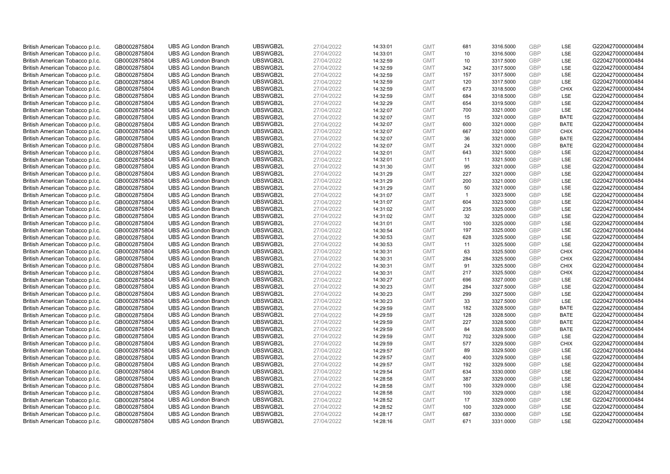| British American Tobacco p.l.c. | GB0002875804 | <b>UBS AG London Branch</b> | UBSWGB2L | 27/04/2022 | 14:33:01 | <b>GMT</b> | 681          | 3316.5000 | <b>GBP</b> | LSE         | G220427000000484 |
|---------------------------------|--------------|-----------------------------|----------|------------|----------|------------|--------------|-----------|------------|-------------|------------------|
| British American Tobacco p.l.c. | GB0002875804 | <b>UBS AG London Branch</b> | UBSWGB2L | 27/04/2022 | 14:33:01 | <b>GMT</b> | 10           | 3316.5000 | <b>GBP</b> | LSE         | G220427000000484 |
| British American Tobacco p.l.c. | GB0002875804 | <b>UBS AG London Branch</b> | UBSWGB2L | 27/04/2022 | 14:32:59 | <b>GMT</b> | 10           | 3317.5000 | <b>GBP</b> | LSE         | G220427000000484 |
| British American Tobacco p.l.c. | GB0002875804 | <b>UBS AG London Branch</b> | UBSWGB2L | 27/04/2022 | 14:32:59 | <b>GMT</b> | 342          | 3317.5000 | <b>GBP</b> | <b>LSE</b>  | G220427000000484 |
| British American Tobacco p.l.c. | GB0002875804 | <b>UBS AG London Branch</b> | UBSWGB2L | 27/04/2022 | 14:32:59 | <b>GMT</b> | 157          | 3317.5000 | <b>GBP</b> | LSE         | G220427000000484 |
| British American Tobacco p.l.c. | GB0002875804 | <b>UBS AG London Branch</b> | UBSWGB2L | 27/04/2022 | 14:32:59 | <b>GMT</b> | 120          | 3317.5000 | GBP        | <b>LSE</b>  | G220427000000484 |
| British American Tobacco p.l.c. | GB0002875804 | <b>UBS AG London Branch</b> | UBSWGB2L | 27/04/2022 | 14:32:59 | <b>GMT</b> | 673          | 3318.5000 | <b>GBP</b> | <b>CHIX</b> | G220427000000484 |
| British American Tobacco p.l.c. | GB0002875804 | <b>UBS AG London Branch</b> | UBSWGB2L | 27/04/2022 | 14:32:59 | <b>GMT</b> | 684          | 3318.5000 | GBP        | LSE         | G220427000000484 |
| British American Tobacco p.l.c. | GB0002875804 | <b>UBS AG London Branch</b> | UBSWGB2L | 27/04/2022 | 14:32:29 | <b>GMT</b> | 654          | 3319.5000 | <b>GBP</b> | LSE         | G220427000000484 |
| British American Tobacco p.l.c. | GB0002875804 | <b>UBS AG London Branch</b> | UBSWGB2L | 27/04/2022 | 14:32:07 | <b>GMT</b> | 700          | 3321.0000 | <b>GBP</b> | <b>LSE</b>  | G220427000000484 |
| British American Tobacco p.l.c. | GB0002875804 | <b>UBS AG London Branch</b> | UBSWGB2L | 27/04/2022 | 14:32:07 | <b>GMT</b> | 15           | 3321.0000 | <b>GBP</b> | <b>BATE</b> | G220427000000484 |
| British American Tobacco p.l.c. | GB0002875804 | <b>UBS AG London Branch</b> | UBSWGB2L | 27/04/2022 | 14:32:07 | <b>GMT</b> | 600          | 3321.0000 | <b>GBP</b> | <b>BATE</b> | G220427000000484 |
| British American Tobacco p.l.c. | GB0002875804 | <b>UBS AG London Branch</b> | UBSWGB2L | 27/04/2022 | 14:32:07 | <b>GMT</b> | 667          | 3321.0000 | GBP        | <b>CHIX</b> | G220427000000484 |
| British American Tobacco p.l.c. | GB0002875804 | <b>UBS AG London Branch</b> | UBSWGB2L | 27/04/2022 | 14:32:07 | <b>GMT</b> | 36           | 3321.0000 | <b>GBP</b> | <b>BATE</b> | G220427000000484 |
| British American Tobacco p.l.c. | GB0002875804 | <b>UBS AG London Branch</b> | UBSWGB2L | 27/04/2022 | 14:32:07 | <b>GMT</b> | 24           | 3321.0000 | <b>GBP</b> | <b>BATE</b> | G220427000000484 |
| British American Tobacco p.l.c. | GB0002875804 | <b>UBS AG London Branch</b> | UBSWGB2L | 27/04/2022 | 14:32:01 | <b>GMT</b> | 643          | 3321.5000 | <b>GBP</b> | LSE         | G220427000000484 |
| British American Tobacco p.l.c. | GB0002875804 | <b>UBS AG London Branch</b> | UBSWGB2L | 27/04/2022 | 14:32:01 | <b>GMT</b> | 11           | 3321.5000 | GBP        | LSE         | G220427000000484 |
| British American Tobacco p.l.c. | GB0002875804 | <b>UBS AG London Branch</b> | UBSWGB2L | 27/04/2022 | 14:31:30 | <b>GMT</b> | 95           | 3321.0000 | <b>GBP</b> | LSE         | G220427000000484 |
| British American Tobacco p.l.c. | GB0002875804 | <b>UBS AG London Branch</b> | UBSWGB2L | 27/04/2022 | 14:31:29 | <b>GMT</b> | 227          | 3321.0000 | GBP        | LSE         | G220427000000484 |
| British American Tobacco p.l.c. | GB0002875804 | <b>UBS AG London Branch</b> | UBSWGB2L | 27/04/2022 | 14:31:29 | <b>GMT</b> | 200          | 3321.0000 | <b>GBP</b> | LSE         | G220427000000484 |
| British American Tobacco p.l.c. | GB0002875804 | <b>UBS AG London Branch</b> | UBSWGB2L | 27/04/2022 | 14:31:29 | <b>GMT</b> | 50           | 3321.0000 | GBP        | LSE         | G220427000000484 |
| British American Tobacco p.l.c. | GB0002875804 | <b>UBS AG London Branch</b> | UBSWGB2L | 27/04/2022 | 14:31:07 | <b>GMT</b> | $\mathbf{1}$ | 3323.5000 | <b>GBP</b> | <b>LSE</b>  | G220427000000484 |
| British American Tobacco p.l.c. | GB0002875804 | <b>UBS AG London Branch</b> | UBSWGB2L | 27/04/2022 | 14:31:07 | <b>GMT</b> | 604          | 3323.5000 | <b>GBP</b> | LSE         | G220427000000484 |
| British American Tobacco p.l.c. | GB0002875804 | <b>UBS AG London Branch</b> | UBSWGB2L | 27/04/2022 | 14:31:02 | <b>GMT</b> | 235          | 3325.0000 | <b>GBP</b> | LSE         | G220427000000484 |
| British American Tobacco p.l.c. | GB0002875804 | <b>UBS AG London Branch</b> | UBSWGB2L | 27/04/2022 | 14:31:02 | <b>GMT</b> | 32           | 3325.0000 | <b>GBP</b> | LSE         | G220427000000484 |
| British American Tobacco p.l.c. | GB0002875804 | <b>UBS AG London Branch</b> | UBSWGB2L | 27/04/2022 | 14:31:01 | <b>GMT</b> | 100          | 3325.0000 | <b>GBP</b> | LSE         | G220427000000484 |
| British American Tobacco p.l.c. | GB0002875804 | <b>UBS AG London Branch</b> | UBSWGB2L | 27/04/2022 | 14:30:54 | <b>GMT</b> | 197          | 3325.0000 | <b>GBP</b> | LSE         | G220427000000484 |
| British American Tobacco p.l.c. | GB0002875804 | <b>UBS AG London Branch</b> | UBSWGB2L | 27/04/2022 | 14:30:53 | <b>GMT</b> | 628          | 3325.5000 | <b>GBP</b> | LSE         | G220427000000484 |
| British American Tobacco p.l.c. | GB0002875804 | <b>UBS AG London Branch</b> | UBSWGB2L | 27/04/2022 | 14:30:53 | <b>GMT</b> | 11           | 3325.5000 | <b>GBP</b> | LSE         | G220427000000484 |
| British American Tobacco p.l.c. | GB0002875804 | <b>UBS AG London Branch</b> | UBSWGB2L | 27/04/2022 | 14:30:31 | <b>GMT</b> | 63           | 3325.5000 | <b>GBP</b> | <b>CHIX</b> | G220427000000484 |
| British American Tobacco p.l.c. | GB0002875804 | <b>UBS AG London Branch</b> | UBSWGB2L | 27/04/2022 | 14:30:31 | <b>GMT</b> | 284          | 3325.5000 | <b>GBP</b> | <b>CHIX</b> | G220427000000484 |
| British American Tobacco p.l.c. | GB0002875804 | <b>UBS AG London Branch</b> | UBSWGB2L | 27/04/2022 | 14:30:31 | <b>GMT</b> | 91           | 3325.5000 | <b>GBP</b> | <b>CHIX</b> | G220427000000484 |
| British American Tobacco p.l.c. | GB0002875804 | <b>UBS AG London Branch</b> | UBSWGB2L | 27/04/2022 | 14:30:31 | <b>GMT</b> | 217          | 3325.5000 | <b>GBP</b> | CHIX        | G220427000000484 |
| British American Tobacco p.l.c. | GB0002875804 | <b>UBS AG London Branch</b> | UBSWGB2L | 27/04/2022 | 14:30:27 | <b>GMT</b> | 696          | 3327.0000 | <b>GBP</b> | LSE         | G220427000000484 |
| British American Tobacco p.l.c. | GB0002875804 | <b>UBS AG London Branch</b> | UBSWGB2L | 27/04/2022 | 14:30:23 | <b>GMT</b> | 284          | 3327.5000 | <b>GBP</b> | LSE         | G220427000000484 |
| British American Tobacco p.l.c. | GB0002875804 | <b>UBS AG London Branch</b> | UBSWGB2L | 27/04/2022 | 14:30:23 | <b>GMT</b> | 299          | 3327.5000 | <b>GBP</b> | LSE         | G220427000000484 |
| British American Tobacco p.l.c. | GB0002875804 | <b>UBS AG London Branch</b> | UBSWGB2L | 27/04/2022 | 14:30:23 | <b>GMT</b> | 33           | 3327.5000 | <b>GBP</b> | <b>LSE</b>  | G220427000000484 |
| British American Tobacco p.l.c. | GB0002875804 | <b>UBS AG London Branch</b> | UBSWGB2L | 27/04/2022 | 14:29:59 | <b>GMT</b> | 182          | 3328.5000 | <b>GBP</b> | <b>BATE</b> | G220427000000484 |
| British American Tobacco p.l.c. | GB0002875804 | <b>UBS AG London Branch</b> | UBSWGB2L | 27/04/2022 | 14:29:59 | <b>GMT</b> | 128          | 3328.5000 | <b>GBP</b> | <b>BATE</b> | G220427000000484 |
| British American Tobacco p.l.c. | GB0002875804 | <b>UBS AG London Branch</b> | UBSWGB2L | 27/04/2022 | 14:29:59 | <b>GMT</b> | 227          | 3328.5000 | <b>GBP</b> | <b>BATE</b> | G220427000000484 |
| British American Tobacco p.l.c. | GB0002875804 | <b>UBS AG London Branch</b> | UBSWGB2L | 27/04/2022 | 14:29:59 | <b>GMT</b> | 84           | 3328.5000 | GBP        | <b>BATE</b> | G220427000000484 |
| British American Tobacco p.l.c. | GB0002875804 | <b>UBS AG London Branch</b> | UBSWGB2L | 27/04/2022 | 14:29:59 | <b>GMT</b> | 702          | 3329.5000 | <b>GBP</b> | LSE         | G220427000000484 |
| British American Tobacco p.l.c. | GB0002875804 | <b>UBS AG London Branch</b> | UBSWGB2L | 27/04/2022 | 14:29:59 | <b>GMT</b> | 577          | 3329.5000 | GBP        | <b>CHIX</b> | G220427000000484 |
| British American Tobacco p.l.c. | GB0002875804 | <b>UBS AG London Branch</b> | UBSWGB2L | 27/04/2022 | 14:29:57 | <b>GMT</b> | 89           | 3329.5000 | <b>GBP</b> | <b>LSE</b>  | G220427000000484 |
| British American Tobacco p.l.c. | GB0002875804 | <b>UBS AG London Branch</b> | UBSWGB2L | 27/04/2022 | 14:29:57 | <b>GMT</b> | 400          | 3329.5000 | <b>GBP</b> | <b>LSE</b>  | G220427000000484 |
| British American Tobacco p.l.c. | GB0002875804 | <b>UBS AG London Branch</b> | UBSWGB2L | 27/04/2022 | 14:29:57 | <b>GMT</b> | 192          | 3329.5000 | <b>GBP</b> | LSE         | G220427000000484 |
| British American Tobacco p.l.c. | GB0002875804 | <b>UBS AG London Branch</b> | UBSWGB2L | 27/04/2022 | 14:29:54 | <b>GMT</b> | 634          | 3330.0000 | <b>GBP</b> | LSE         | G220427000000484 |
| British American Tobacco p.l.c. | GB0002875804 | <b>UBS AG London Branch</b> | UBSWGB2L | 27/04/2022 | 14:28:58 | <b>GMT</b> | 387          | 3329.0000 | <b>GBP</b> | LSE         | G220427000000484 |
| British American Tobacco p.l.c. | GB0002875804 | <b>UBS AG London Branch</b> | UBSWGB2L | 27/04/2022 | 14:28:58 | <b>GMT</b> | 100          | 3329.0000 | <b>GBP</b> | LSE         | G220427000000484 |
| British American Tobacco p.l.c. | GB0002875804 | <b>UBS AG London Branch</b> | UBSWGB2L | 27/04/2022 | 14:28:58 | <b>GMT</b> | 100          | 3329.0000 | <b>GBP</b> | <b>LSE</b>  | G220427000000484 |
| British American Tobacco p.l.c. | GB0002875804 | <b>UBS AG London Branch</b> | UBSWGB2L | 27/04/2022 | 14:28:52 | <b>GMT</b> | 17           | 3329.0000 | <b>GBP</b> | LSE         | G220427000000484 |
| British American Tobacco p.l.c. | GB0002875804 | <b>UBS AG London Branch</b> | UBSWGB2L | 27/04/2022 | 14:28:52 | <b>GMT</b> | 100          | 3329.0000 | GBP        | LSE         | G220427000000484 |
| British American Tobacco p.l.c. | GB0002875804 | <b>UBS AG London Branch</b> | UBSWGB2L | 27/04/2022 | 14:28:17 | <b>GMT</b> | 687          | 3330.0000 | <b>GBP</b> | LSE         | G220427000000484 |
| British American Tobacco p.l.c. | GB0002875804 | <b>UBS AG London Branch</b> | UBSWGB2L | 27/04/2022 | 14:28:16 | <b>GMT</b> | 671          | 3331.0000 | GBP        | <b>LSE</b>  | G220427000000484 |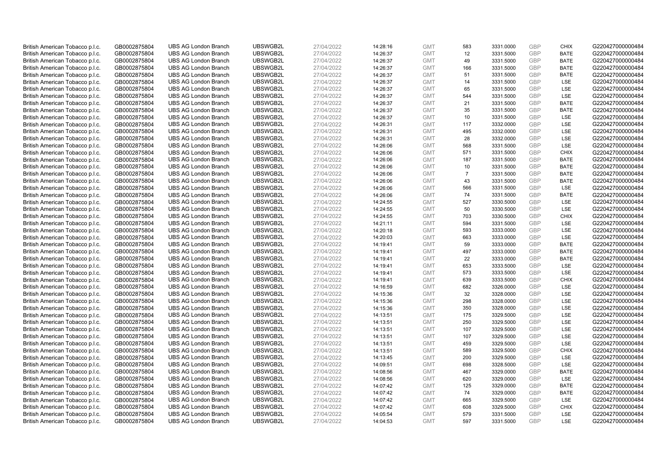| British American Tobacco p.l.c. | GB0002875804                 | <b>UBS AG London Branch</b> | UBSWGB2L             | 27/04/2022               | 14:28:16 | <b>GMT</b>               | 583            | 3331.0000              | <b>GBP</b> | <b>CHIX</b>              | G220427000000484 |
|---------------------------------|------------------------------|-----------------------------|----------------------|--------------------------|----------|--------------------------|----------------|------------------------|------------|--------------------------|------------------|
| British American Tobacco p.l.c. | GB0002875804                 | <b>UBS AG London Branch</b> | UBSWGB2L             | 27/04/2022               | 14:26:37 | <b>GMT</b>               | 12             | 3331.5000              | GBP        | <b>BATE</b>              | G220427000000484 |
| British American Tobacco p.l.c. | GB0002875804                 | <b>UBS AG London Branch</b> | UBSWGB2L             | 27/04/2022               | 14:26:37 | <b>GMT</b>               | 49             | 3331.5000              | <b>GBP</b> | <b>BATE</b>              | G220427000000484 |
| British American Tobacco p.l.c. | GB0002875804                 | <b>UBS AG London Branch</b> | UBSWGB2L             | 27/04/2022               | 14:26:37 | <b>GMT</b>               | 166            | 3331.5000              | GBP        | <b>BATE</b>              | G220427000000484 |
| British American Tobacco p.l.c. | GB0002875804                 | <b>UBS AG London Branch</b> | UBSWGB2L             | 27/04/2022               | 14:26:37 | <b>GMT</b>               | 51             | 3331.5000              | <b>GBP</b> | <b>BATE</b>              | G220427000000484 |
| British American Tobacco p.l.c. | GB0002875804                 | <b>UBS AG London Branch</b> | UBSWGB2L             | 27/04/2022               | 14:26:37 | <b>GMT</b>               | 14             | 3331.5000              | GBP        | <b>LSE</b>               | G220427000000484 |
| British American Tobacco p.l.c. | GB0002875804                 | <b>UBS AG London Branch</b> | UBSWGB2L             | 27/04/2022               | 14:26:37 | <b>GMT</b>               | 65             | 3331.5000              | <b>GBP</b> | LSE                      | G220427000000484 |
| British American Tobacco p.l.c. | GB0002875804                 | <b>UBS AG London Branch</b> | UBSWGB2L             | 27/04/2022               | 14:26:37 | <b>GMT</b>               | 544            | 3331.5000              | <b>GBP</b> | LSE                      | G220427000000484 |
| British American Tobacco p.l.c. | GB0002875804                 | <b>UBS AG London Branch</b> | UBSWGB2L             | 27/04/2022               | 14:26:37 | <b>GMT</b>               | 21             | 3331.5000              | <b>GBP</b> | <b>BATE</b>              | G220427000000484 |
| British American Tobacco p.l.c. | GB0002875804                 | <b>UBS AG London Branch</b> | UBSWGB2L             | 27/04/2022               | 14:26:37 | <b>GMT</b>               | 35             | 3331.5000              | GBP        | <b>BATE</b>              | G220427000000484 |
| British American Tobacco p.l.c. | GB0002875804                 | <b>UBS AG London Branch</b> | UBSWGB2L             | 27/04/2022               | 14:26:37 | <b>GMT</b>               | 10             | 3331.5000              | <b>GBP</b> | LSE                      | G220427000000484 |
| British American Tobacco p.l.c. | GB0002875804                 | <b>UBS AG London Branch</b> | UBSWGB2L             | 27/04/2022               | 14:26:31 | <b>GMT</b>               | 117            | 3332.0000              | <b>GBP</b> | LSE                      | G220427000000484 |
| British American Tobacco p.l.c. | GB0002875804                 | <b>UBS AG London Branch</b> | UBSWGB2L             | 27/04/2022               | 14:26:31 | <b>GMT</b>               | 495            | 3332.0000              | <b>GBP</b> | LSE                      | G220427000000484 |
| British American Tobacco p.l.c. | GB0002875804                 | <b>UBS AG London Branch</b> | UBSWGB2L             | 27/04/2022               | 14:26:31 | <b>GMT</b>               | 28             | 3332.0000              | <b>GBP</b> | <b>LSE</b>               | G220427000000484 |
| British American Tobacco p.l.c. | GB0002875804                 | <b>UBS AG London Branch</b> | UBSWGB2L             | 27/04/2022               | 14:26:06 | <b>GMT</b>               | 568            | 3331.5000              | GBP        | LSE                      | G220427000000484 |
| British American Tobacco p.l.c. | GB0002875804                 | <b>UBS AG London Branch</b> | UBSWGB2L             | 27/04/2022               | 14:26:06 | <b>GMT</b>               | 571            | 3331.5000              | <b>GBP</b> | <b>CHIX</b>              | G220427000000484 |
| British American Tobacco p.l.c. | GB0002875804                 | <b>UBS AG London Branch</b> | UBSWGB2L             | 27/04/2022               | 14:26:06 | <b>GMT</b>               | 187            | 3331.5000              | GBP        | <b>BATE</b>              | G220427000000484 |
| British American Tobacco p.l.c. | GB0002875804                 | <b>UBS AG London Branch</b> | UBSWGB2L             | 27/04/2022               | 14:26:06 | <b>GMT</b>               | 10             | 3331.5000              | GBP        | <b>BATE</b>              | G220427000000484 |
| British American Tobacco p.l.c. | GB0002875804                 | <b>UBS AG London Branch</b> | UBSWGB2L             | 27/04/2022               | 14:26:06 | <b>GMT</b>               | $\overline{7}$ | 3331.5000              | GBP        | <b>BATE</b>              | G220427000000484 |
| British American Tobacco p.l.c. | GB0002875804                 | <b>UBS AG London Branch</b> | UBSWGB2L             | 27/04/2022               | 14:26:06 | <b>GMT</b>               | 43             | 3331.5000              | <b>GBP</b> | <b>BATE</b>              | G220427000000484 |
| British American Tobacco p.l.c. | GB0002875804                 | <b>UBS AG London Branch</b> | UBSWGB2L             | 27/04/2022               | 14:26:06 | <b>GMT</b>               | 566            | 3331.5000              | GBP        | LSE                      | G220427000000484 |
| British American Tobacco p.l.c. | GB0002875804                 | <b>UBS AG London Branch</b> | UBSWGB2L             | 27/04/2022               | 14:26:06 | <b>GMT</b>               | 74             | 3331.5000              | GBP        | <b>BATE</b>              | G220427000000484 |
| British American Tobacco p.l.c. | GB0002875804                 | <b>UBS AG London Branch</b> | UBSWGB2L             | 27/04/2022               | 14:24:55 | <b>GMT</b>               | 527            | 3330.5000              | GBP        | LSE                      | G220427000000484 |
| British American Tobacco p.l.c. | GB0002875804                 | <b>UBS AG London Branch</b> | UBSWGB2L             | 27/04/2022               | 14:24:55 | <b>GMT</b>               | 50             | 3330.5000              | <b>GBP</b> | LSE                      | G220427000000484 |
| British American Tobacco p.l.c. | GB0002875804                 | <b>UBS AG London Branch</b> | UBSWGB2L             | 27/04/2022               | 14:24:55 | <b>GMT</b>               | 703            | 3330.5000              | <b>GBP</b> | <b>CHIX</b>              | G220427000000484 |
| British American Tobacco p.l.c. | GB0002875804                 | <b>UBS AG London Branch</b> | UBSWGB2L             | 27/04/2022               | 14:21:11 | <b>GMT</b>               | 594            | 3331.5000              | GBP        | LSE                      | G220427000000484 |
| British American Tobacco p.l.c. | GB0002875804                 | <b>UBS AG London Branch</b> | UBSWGB2L             | 27/04/2022               | 14:20:18 | <b>GMT</b>               | 593            | 3333.0000              | <b>GBP</b> | LSE                      | G220427000000484 |
| British American Tobacco p.l.c. | GB0002875804                 | <b>UBS AG London Branch</b> | UBSWGB2L             | 27/04/2022               | 14:20:03 | <b>GMT</b>               | 663            | 3333.0000              | <b>GBP</b> | LSE                      | G220427000000484 |
| British American Tobacco p.l.c. | GB0002875804                 | <b>UBS AG London Branch</b> | UBSWGB2L             | 27/04/2022               | 14:19:41 | <b>GMT</b>               | 59             | 3333.0000              | GBP        | <b>BATE</b>              | G220427000000484 |
| British American Tobacco p.l.c. | GB0002875804                 | <b>UBS AG London Branch</b> | UBSWGB2L             | 27/04/2022               | 14:19:41 | <b>GMT</b>               | 497            | 3333.0000              | GBP        | <b>BATE</b>              | G220427000000484 |
| British American Tobacco p.l.c. | GB0002875804                 | <b>UBS AG London Branch</b> | UBSWGB2L             | 27/04/2022               | 14:19:41 | <b>GMT</b>               | 22             | 3333.0000              | <b>GBP</b> | <b>BATE</b>              | G220427000000484 |
| British American Tobacco p.l.c. | GB0002875804                 | <b>UBS AG London Branch</b> | UBSWGB2L             | 27/04/2022               | 14:19:41 | <b>GMT</b>               | 653            | 3333.5000              | <b>GBP</b> | <b>LSE</b>               | G220427000000484 |
| British American Tobacco p.l.c. | GB0002875804                 | <b>UBS AG London Branch</b> | UBSWGB2L             | 27/04/2022               | 14:19:41 | <b>GMT</b>               | 573            | 3333.5000              | <b>GBP</b> | <b>LSE</b>               | G220427000000484 |
| British American Tobacco p.l.c. | GB0002875804                 | <b>UBS AG London Branch</b> | UBSWGB2L             | 27/04/2022               | 14:19:41 | <b>GMT</b>               | 639            | 3333.5000              | <b>GBP</b> | <b>CHIX</b>              | G220427000000484 |
| British American Tobacco p.l.c. | GB0002875804                 | <b>UBS AG London Branch</b> | UBSWGB2L             | 27/04/2022               | 14:16:59 | <b>GMT</b>               | 682            | 3326.0000              | <b>GBP</b> | LSE                      | G220427000000484 |
| British American Tobacco p.l.c. | GB0002875804                 | <b>UBS AG London Branch</b> | UBSWGB2L             | 27/04/2022               | 14:15:36 | <b>GMT</b>               | 32             | 3328.0000              | <b>GBP</b> | <b>LSE</b>               | G220427000000484 |
| British American Tobacco p.l.c. | GB0002875804                 | <b>UBS AG London Branch</b> | UBSWGB2L             | 27/04/2022               | 14:15:36 | <b>GMT</b>               | 298            | 3328.0000              | <b>GBP</b> | LSE                      | G220427000000484 |
| British American Tobacco p.l.c. | GB0002875804                 | <b>UBS AG London Branch</b> | UBSWGB2L             | 27/04/2022               | 14:15:36 | <b>GMT</b>               | 350            | 3328.0000              | <b>GBP</b> | LSE                      | G220427000000484 |
| British American Tobacco p.l.c. | GB0002875804                 | <b>UBS AG London Branch</b> | UBSWGB2L             | 27/04/2022               | 14:13:51 | <b>GMT</b>               | 175            | 3329.5000              | <b>GBP</b> | LSE                      | G220427000000484 |
| British American Tobacco p.l.c. | GB0002875804                 | <b>UBS AG London Branch</b> | UBSWGB2L             | 27/04/2022               | 14:13:51 | <b>GMT</b>               | 250            | 3329.5000              | <b>GBP</b> | LSE                      | G220427000000484 |
| British American Tobacco p.l.c. | GB0002875804                 | <b>UBS AG London Branch</b> | UBSWGB2L             | 27/04/2022               | 14:13:51 | <b>GMT</b>               | 107            | 3329.5000              | <b>GBP</b> | LSE                      | G220427000000484 |
| British American Tobacco p.l.c. | GB0002875804                 | <b>UBS AG London Branch</b> | UBSWGB2L             | 27/04/2022               | 14:13:51 | <b>GMT</b>               | 107            | 3329.5000              | <b>GBP</b> | LSE                      | G220427000000484 |
| British American Tobacco p.l.c. | GB0002875804                 | <b>UBS AG London Branch</b> | UBSWGB2L             | 27/04/2022               | 14:13:51 | <b>GMT</b>               | 459            | 3329.5000              | <b>GBP</b> | <b>LSE</b>               | G220427000000484 |
| British American Tobacco p.l.c. | GB0002875804                 | <b>UBS AG London Branch</b> | UBSWGB2L             | 27/04/2022               | 14:13:51 | <b>GMT</b>               | 589            | 3329.5000              | GBP        | <b>CHIX</b>              | G220427000000484 |
| British American Tobacco p.l.c. | GB0002875804                 | <b>UBS AG London Branch</b> | UBSWGB2L             | 27/04/2022               | 14:13:45 | <b>GMT</b>               | 200            | 3329.5000              | <b>GBP</b> | <b>LSE</b>               | G220427000000484 |
| British American Tobacco p.l.c. | GB0002875804                 | <b>UBS AG London Branch</b> | UBSWGB2L             | 27/04/2022               | 14:09:51 | <b>GMT</b>               | 698            | 3328.5000              | <b>GBP</b> | LSE                      | G220427000000484 |
| British American Tobacco p.l.c. | GB0002875804                 | <b>UBS AG London Branch</b> | UBSWGB2L             | 27/04/2022               | 14:08:56 | <b>GMT</b>               | 467            | 3329.0000              | <b>GBP</b> | <b>BATE</b>              | G220427000000484 |
| British American Tobacco p.l.c. | GB0002875804                 | <b>UBS AG London Branch</b> | UBSWGB2L             | 27/04/2022               | 14:08:56 | <b>GMT</b>               | 620            | 3329.0000              | <b>GBP</b> | LSE                      | G220427000000484 |
| British American Tobacco p.l.c. | GB0002875804                 | <b>UBS AG London Branch</b> | UBSWGB2L             | 27/04/2022               | 14:07:42 | <b>GMT</b>               | 125            | 3329.0000              | <b>GBP</b> | <b>BATE</b>              | G220427000000484 |
| British American Tobacco p.l.c. | GB0002875804                 | <b>UBS AG London Branch</b> | UBSWGB2L             | 27/04/2022               | 14:07:42 | <b>GMT</b>               | 74             | 3329.0000              | <b>GBP</b> | <b>BATE</b>              | G220427000000484 |
| British American Tobacco p.l.c. | GB0002875804                 | <b>UBS AG London Branch</b> | UBSWGB2L             | 27/04/2022               | 14:07:42 | <b>GMT</b>               | 665            | 3329.5000              | <b>GBP</b> | LSE                      | G220427000000484 |
| British American Tobacco p.l.c. | GB0002875804                 | <b>UBS AG London Branch</b> | UBSWGB2L             | 27/04/2022               | 14:07:42 | <b>GMT</b>               | 608            | 3329.5000              | <b>GBP</b> | <b>CHIX</b>              | G220427000000484 |
| British American Tobacco p.l.c. | GB0002875804<br>GB0002875804 | <b>UBS AG London Branch</b> | UBSWGB2L<br>UBSWGB2L | 27/04/2022<br>27/04/2022 | 14:05:54 | <b>GMT</b><br><b>GMT</b> | 579<br>597     | 3331.5000<br>3331.5000 | GBP<br>GBP | <b>LSE</b><br><b>LSE</b> | G220427000000484 |
| British American Tobacco p.l.c. |                              | <b>UBS AG London Branch</b> |                      |                          | 14:04:53 |                          |                |                        |            |                          | G220427000000484 |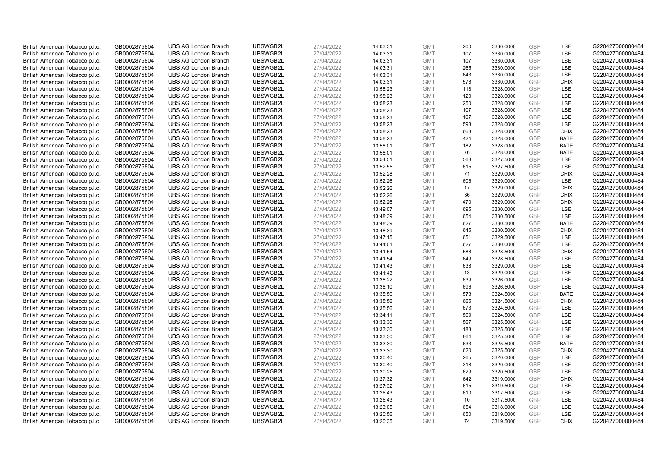| British American Tobacco p.l.c. | GB0002875804 | <b>UBS AG London Branch</b> | UBSWGB2L | 27/04/2022 |          | <b>GMT</b> | 200 | 3330.0000 | <b>GBP</b> | LSE         | G220427000000484 |
|---------------------------------|--------------|-----------------------------|----------|------------|----------|------------|-----|-----------|------------|-------------|------------------|
|                                 |              |                             |          |            | 14:03:31 |            | 107 |           | GBP        | LSE         |                  |
| British American Tobacco p.l.c. | GB0002875804 | <b>UBS AG London Branch</b> | UBSWGB2L | 27/04/2022 | 14:03:31 | <b>GMT</b> |     | 3330.0000 |            |             | G220427000000484 |
| British American Tobacco p.l.c. | GB0002875804 | <b>UBS AG London Branch</b> | UBSWGB2L | 27/04/2022 | 14:03:31 | <b>GMT</b> | 107 | 3330.0000 | <b>GBP</b> | LSE         | G220427000000484 |
| British American Tobacco p.l.c. | GB0002875804 | <b>UBS AG London Branch</b> | UBSWGB2L | 27/04/2022 | 14:03:31 | <b>GMT</b> | 265 | 3330.0000 | <b>GBP</b> | LSE         | G220427000000484 |
| British American Tobacco p.l.c. | GB0002875804 | <b>UBS AG London Branch</b> | UBSWGB2L | 27/04/2022 | 14:03:31 | <b>GMT</b> | 643 | 3330.0000 | <b>GBP</b> | LSE         | G220427000000484 |
| British American Tobacco p.l.c. | GB0002875804 | <b>UBS AG London Branch</b> | UBSWGB2L | 27/04/2022 | 14:03:31 | <b>GMT</b> | 578 | 3330.0000 | <b>GBP</b> | <b>CHIX</b> | G220427000000484 |
| British American Tobacco p.l.c. | GB0002875804 | <b>UBS AG London Branch</b> | UBSWGB2L | 27/04/2022 | 13:58:23 | <b>GMT</b> | 118 | 3328.0000 | <b>GBP</b> | LSE         | G220427000000484 |
| British American Tobacco p.l.c. | GB0002875804 | <b>UBS AG London Branch</b> | UBSWGB2L | 27/04/2022 | 13:58:23 | <b>GMT</b> | 120 | 3328.0000 | <b>GBP</b> | LSE         | G220427000000484 |
| British American Tobacco p.l.c. | GB0002875804 | <b>UBS AG London Branch</b> | UBSWGB2L | 27/04/2022 | 13:58:23 | <b>GMT</b> | 250 | 3328.0000 | <b>GBP</b> | LSE         | G220427000000484 |
| British American Tobacco p.l.c. | GB0002875804 | <b>UBS AG London Branch</b> | UBSWGB2L | 27/04/2022 | 13:58:23 | <b>GMT</b> | 107 | 3328.0000 | <b>GBP</b> | LSE         | G220427000000484 |
| British American Tobacco p.l.c. | GB0002875804 | <b>UBS AG London Branch</b> | UBSWGB2L | 27/04/2022 | 13:58:23 | <b>GMT</b> | 107 | 3328.0000 | <b>GBP</b> | LSE         | G220427000000484 |
| British American Tobacco p.l.c. | GB0002875804 | <b>UBS AG London Branch</b> | UBSWGB2L | 27/04/2022 | 13:58:23 | <b>GMT</b> | 598 | 3328.0000 | <b>GBP</b> | LSE         | G220427000000484 |
| British American Tobacco p.l.c. | GB0002875804 | <b>UBS AG London Branch</b> | UBSWGB2L | 27/04/2022 | 13:58:23 | <b>GMT</b> | 668 | 3328.0000 | <b>GBP</b> | <b>CHIX</b> | G220427000000484 |
| British American Tobacco p.l.c. | GB0002875804 | <b>UBS AG London Branch</b> | UBSWGB2L | 27/04/2022 | 13:58:23 | <b>GMT</b> | 424 | 3328.0000 | <b>GBP</b> | <b>BATE</b> | G220427000000484 |
| British American Tobacco p.l.c. | GB0002875804 | <b>UBS AG London Branch</b> | UBSWGB2L | 27/04/2022 | 13:58:01 | <b>GMT</b> | 182 | 3328.0000 | <b>GBP</b> | <b>BATE</b> | G220427000000484 |
| British American Tobacco p.l.c. | GB0002875804 | <b>UBS AG London Branch</b> | UBSWGB2L | 27/04/2022 | 13:58:01 | <b>GMT</b> | 76  | 3328.0000 | <b>GBP</b> | <b>BATE</b> | G220427000000484 |
| British American Tobacco p.l.c. | GB0002875804 | <b>UBS AG London Branch</b> | UBSWGB2L | 27/04/2022 | 13:54:51 | <b>GMT</b> | 568 | 3327.5000 | <b>GBP</b> | LSE         | G220427000000484 |
| British American Tobacco p.l.c. | GB0002875804 | <b>UBS AG London Branch</b> | UBSWGB2L | 27/04/2022 | 13:52:55 | <b>GMT</b> | 615 | 3327.5000 | GBP        | LSE         | G220427000000484 |
| British American Tobacco p.l.c. | GB0002875804 | <b>UBS AG London Branch</b> | UBSWGB2L | 27/04/2022 | 13:52:28 | <b>GMT</b> | 71  | 3329.0000 | <b>GBP</b> | <b>CHIX</b> | G220427000000484 |
| British American Tobacco p.l.c. | GB0002875804 | <b>UBS AG London Branch</b> | UBSWGB2L | 27/04/2022 | 13:52:26 | <b>GMT</b> | 606 | 3329.0000 | <b>GBP</b> | LSE         | G220427000000484 |
| British American Tobacco p.l.c. | GB0002875804 | <b>UBS AG London Branch</b> | UBSWGB2L | 27/04/2022 | 13:52:26 | <b>GMT</b> | 17  | 3329.0000 | <b>GBP</b> | <b>CHIX</b> | G220427000000484 |
| British American Tobacco p.l.c. | GB0002875804 | <b>UBS AG London Branch</b> | UBSWGB2L | 27/04/2022 | 13:52:26 | <b>GMT</b> | 36  | 3329.0000 | <b>GBP</b> | <b>CHIX</b> | G220427000000484 |
| British American Tobacco p.l.c. | GB0002875804 | <b>UBS AG London Branch</b> | UBSWGB2L | 27/04/2022 | 13:52:26 | <b>GMT</b> | 470 | 3329.0000 | <b>GBP</b> | <b>CHIX</b> | G220427000000484 |
| British American Tobacco p.l.c. | GB0002875804 | <b>UBS AG London Branch</b> | UBSWGB2L | 27/04/2022 | 13:49:07 | <b>GMT</b> | 695 | 3330.0000 | <b>GBP</b> | LSE         | G220427000000484 |
| British American Tobacco p.l.c. | GB0002875804 | <b>UBS AG London Branch</b> | UBSWGB2L | 27/04/2022 | 13:48:39 | <b>GMT</b> | 654 | 3330.5000 | <b>GBP</b> | LSE         | G220427000000484 |
| British American Tobacco p.l.c. | GB0002875804 | <b>UBS AG London Branch</b> | UBSWGB2L | 27/04/2022 | 13:48:39 | <b>GMT</b> | 627 | 3330.5000 | <b>GBP</b> | <b>BATE</b> | G220427000000484 |
| British American Tobacco p.l.c. | GB0002875804 | <b>UBS AG London Branch</b> | UBSWGB2L | 27/04/2022 | 13:48:39 | <b>GMT</b> | 645 | 3330.5000 | <b>GBP</b> | <b>CHIX</b> | G220427000000484 |
| British American Tobacco p.l.c. | GB0002875804 | <b>UBS AG London Branch</b> | UBSWGB2L | 27/04/2022 | 13:47:15 | <b>GMT</b> | 651 | 3329.5000 | <b>GBP</b> | LSE         | G220427000000484 |
| British American Tobacco p.l.c. | GB0002875804 | <b>UBS AG London Branch</b> | UBSWGB2L | 27/04/2022 | 13:44:01 | <b>GMT</b> | 627 | 3330.0000 | <b>GBP</b> | LSE         | G220427000000484 |
| British American Tobacco p.l.c. | GB0002875804 | <b>UBS AG London Branch</b> | UBSWGB2L | 27/04/2022 | 13:41:54 | <b>GMT</b> | 588 | 3328.5000 | <b>GBP</b> | <b>CHIX</b> | G220427000000484 |
| British American Tobacco p.l.c. | GB0002875804 | <b>UBS AG London Branch</b> | UBSWGB2L | 27/04/2022 | 13:41:54 | <b>GMT</b> | 649 | 3328.5000 | GBP        | LSE         | G220427000000484 |
| British American Tobacco p.l.c. | GB0002875804 | <b>UBS AG London Branch</b> | UBSWGB2L | 27/04/2022 | 13:41:43 | <b>GMT</b> | 638 | 3329.0000 | <b>GBP</b> | LSE         | G220427000000484 |
| British American Tobacco p.l.c. | GB0002875804 | <b>UBS AG London Branch</b> | UBSWGB2L | 27/04/2022 | 13:41:43 | <b>GMT</b> | 13  | 3329.0000 | <b>GBP</b> | LSE         | G220427000000484 |
| British American Tobacco p.l.c. | GB0002875804 | <b>UBS AG London Branch</b> | UBSWGB2L | 27/04/2022 | 13:38:22 | <b>GMT</b> | 639 | 3326.0000 | <b>GBP</b> | LSE         | G220427000000484 |
| British American Tobacco p.l.c. | GB0002875804 | <b>UBS AG London Branch</b> | UBSWGB2L | 27/04/2022 | 13:38:10 | <b>GMT</b> | 696 | 3326.5000 | <b>GBP</b> | LSE         | G220427000000484 |
| British American Tobacco p.l.c. | GB0002875804 | <b>UBS AG London Branch</b> | UBSWGB2L | 27/04/2022 | 13:35:56 | <b>GMT</b> | 573 | 3324.5000 | <b>GBP</b> | <b>BATE</b> | G220427000000484 |
| British American Tobacco p.l.c. | GB0002875804 | <b>UBS AG London Branch</b> | UBSWGB2L | 27/04/2022 | 13:35:56 | <b>GMT</b> | 665 | 3324.5000 | <b>GBP</b> | <b>CHIX</b> | G220427000000484 |
| British American Tobacco p.l.c. | GB0002875804 | <b>UBS AG London Branch</b> | UBSWGB2L | 27/04/2022 | 13:35:56 | <b>GMT</b> | 673 | 3324.5000 | <b>GBP</b> | LSE         | G220427000000484 |
| British American Tobacco p.l.c. | GB0002875804 | <b>UBS AG London Branch</b> | UBSWGB2L | 27/04/2022 | 13:34:11 | <b>GMT</b> | 569 | 3324.5000 | <b>GBP</b> | LSE         | G220427000000484 |
| British American Tobacco p.l.c. | GB0002875804 | <b>UBS AG London Branch</b> | UBSWGB2L | 27/04/2022 | 13:33:30 | <b>GMT</b> | 567 | 3325.5000 | <b>GBP</b> | LSE         | G220427000000484 |
| British American Tobacco p.l.c. | GB0002875804 | <b>UBS AG London Branch</b> | UBSWGB2L | 27/04/2022 | 13:33:30 | <b>GMT</b> | 183 | 3325.5000 | <b>GBP</b> | LSE         | G220427000000484 |
| British American Tobacco p.l.c. | GB0002875804 | <b>UBS AG London Branch</b> | UBSWGB2L | 27/04/2022 | 13:33:30 | <b>GMT</b> | 864 | 3325.5000 | <b>GBP</b> | LSE         | G220427000000484 |
| British American Tobacco p.l.c. | GB0002875804 | <b>UBS AG London Branch</b> | UBSWGB2L | 27/04/2022 | 13:33:30 | <b>GMT</b> | 633 | 3325.5000 | <b>GBP</b> | <b>BATE</b> | G220427000000484 |
| British American Tobacco p.l.c. |              | <b>UBS AG London Branch</b> | UBSWGB2L | 27/04/2022 |          | <b>GMT</b> | 620 | 3325.5000 | <b>GBP</b> | <b>CHIX</b> | G220427000000484 |
|                                 | GB0002875804 |                             | UBSWGB2L |            | 13:33:30 |            | 265 |           | <b>GBP</b> | <b>LSE</b>  | G220427000000484 |
| British American Tobacco p.l.c. | GB0002875804 | <b>UBS AG London Branch</b> |          | 27/04/2022 | 13:30:40 | <b>GMT</b> |     | 3320.0000 |            |             |                  |
| British American Tobacco p.l.c. | GB0002875804 | <b>UBS AG London Branch</b> | UBSWGB2L | 27/04/2022 | 13:30:40 | <b>GMT</b> | 318 | 3320.0000 | <b>GBP</b> | LSE         | G220427000000484 |
| British American Tobacco p.l.c. | GB0002875804 | <b>UBS AG London Branch</b> | UBSWGB2L | 27/04/2022 | 13:30:25 | <b>GMT</b> | 629 | 3320.5000 | <b>GBP</b> | LSE         | G220427000000484 |
| British American Tobacco p.l.c. | GB0002875804 | <b>UBS AG London Branch</b> | UBSWGB2L | 27/04/2022 | 13:27:32 | <b>GMT</b> | 642 | 3319.0000 | <b>GBP</b> | <b>CHIX</b> | G220427000000484 |
| British American Tobacco p.l.c. | GB0002875804 | <b>UBS AG London Branch</b> | UBSWGB2L | 27/04/2022 | 13:27:32 | <b>GMT</b> | 615 | 3319.5000 | <b>GBP</b> | LSE         | G220427000000484 |
| British American Tobacco p.l.c. | GB0002875804 | <b>UBS AG London Branch</b> | UBSWGB2L | 27/04/2022 | 13:26:43 | <b>GMT</b> | 610 | 3317.5000 | <b>GBP</b> | LSE         | G220427000000484 |
| British American Tobacco p.l.c. | GB0002875804 | <b>UBS AG London Branch</b> | UBSWGB2L | 27/04/2022 | 13:26:43 | <b>GMT</b> | 10  | 3317.5000 | <b>GBP</b> | LSE         | G220427000000484 |
| British American Tobacco p.l.c. | GB0002875804 | <b>UBS AG London Branch</b> | UBSWGB2L | 27/04/2022 | 13:23:05 | <b>GMT</b> | 654 | 3318.0000 | <b>GBP</b> | LSE         | G220427000000484 |
| British American Tobacco p.l.c. | GB0002875804 | <b>UBS AG London Branch</b> | UBSWGB2L | 27/04/2022 | 13:20:56 | <b>GMT</b> | 650 | 3319.0000 | <b>GBP</b> | LSE         | G220427000000484 |
| British American Tobacco p.l.c. | GB0002875804 | <b>UBS AG London Branch</b> | UBSWGB2L | 27/04/2022 | 13:20:35 | <b>GMT</b> | 74  | 3319.5000 | GBP        | <b>CHIX</b> | G220427000000484 |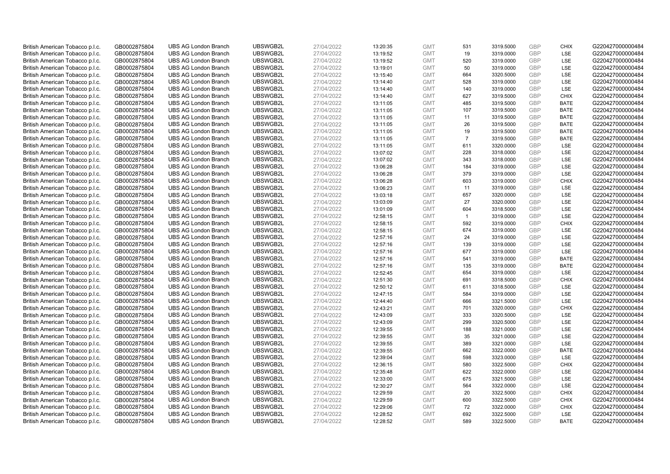| British American Tobacco p.l.c. | GB0002875804 | <b>UBS AG London Branch</b> | UBSWGB2L | 27/04/2022 | 13:20:35 | <b>GMT</b> | 531            | 3319.5000 | <b>GBP</b>               | <b>CHIX</b> | G220427000000484 |
|---------------------------------|--------------|-----------------------------|----------|------------|----------|------------|----------------|-----------|--------------------------|-------------|------------------|
|                                 | GB0002875804 | <b>UBS AG London Branch</b> | UBSWGB2L | 27/04/2022 |          | <b>GMT</b> | 19             | 3319.0000 | GBP                      | LSE         | G220427000000484 |
| British American Tobacco p.l.c. |              |                             | UBSWGB2L |            | 13:19:52 |            |                |           | <b>GBP</b>               | LSE         |                  |
| British American Tobacco p.l.c. | GB0002875804 | <b>UBS AG London Branch</b> |          | 27/04/2022 | 13:19:52 | <b>GMT</b> | 520            | 3319.0000 |                          |             | G220427000000484 |
| British American Tobacco p.l.c. | GB0002875804 | <b>UBS AG London Branch</b> | UBSWGB2L | 27/04/2022 | 13:19:01 | <b>GMT</b> | 50             | 3319.0000 | <b>GBP</b>               | LSE         | G220427000000484 |
| British American Tobacco p.l.c. | GB0002875804 | <b>UBS AG London Branch</b> | UBSWGB2L | 27/04/2022 | 13:15:40 | <b>GMT</b> | 664            | 3320.5000 | <b>GBP</b>               | LSE         | G220427000000484 |
| British American Tobacco p.l.c. | GB0002875804 | <b>UBS AG London Branch</b> | UBSWGB2L | 27/04/2022 | 13:14:40 | <b>GMT</b> | 528            | 3319.0000 | <b>GBP</b>               | LSE         | G220427000000484 |
| British American Tobacco p.l.c. | GB0002875804 | <b>UBS AG London Branch</b> | UBSWGB2L | 27/04/2022 | 13:14:40 | <b>GMT</b> | 140            | 3319.0000 | <b>GBP</b>               | LSE         | G220427000000484 |
| British American Tobacco p.l.c. | GB0002875804 | <b>UBS AG London Branch</b> | UBSWGB2L | 27/04/2022 | 13:14:40 | <b>GMT</b> | 627            | 3319.5000 | <b>GBP</b>               | <b>CHIX</b> | G220427000000484 |
| British American Tobacco p.l.c. | GB0002875804 | <b>UBS AG London Branch</b> | UBSWGB2L | 27/04/2022 | 13:11:05 | <b>GMT</b> | 485            | 3319.5000 | <b>GBP</b>               | <b>BATE</b> | G220427000000484 |
| British American Tobacco p.l.c. | GB0002875804 | <b>UBS AG London Branch</b> | UBSWGB2L | 27/04/2022 | 13:11:05 | <b>GMT</b> | 107            | 3319.5000 | <b>GBP</b>               | <b>BATE</b> | G220427000000484 |
| British American Tobacco p.l.c. | GB0002875804 | <b>UBS AG London Branch</b> | UBSWGB2L | 27/04/2022 | 13:11:05 | <b>GMT</b> | 11             | 3319.5000 | <b>GBP</b>               | <b>BATE</b> | G220427000000484 |
| British American Tobacco p.l.c. | GB0002875804 | <b>UBS AG London Branch</b> | UBSWGB2L | 27/04/2022 | 13:11:05 | <b>GMT</b> | 26             | 3319.5000 | <b>GBP</b>               | <b>BATE</b> | G220427000000484 |
| British American Tobacco p.l.c. | GB0002875804 | <b>UBS AG London Branch</b> | UBSWGB2L | 27/04/2022 | 13:11:05 | <b>GMT</b> | 19             | 3319.5000 | <b>GBP</b>               | <b>BATE</b> | G220427000000484 |
| British American Tobacco p.l.c. | GB0002875804 | <b>UBS AG London Branch</b> | UBSWGB2L | 27/04/2022 | 13:11:05 | <b>GMT</b> | $\overline{7}$ | 3319.5000 | <b>GBP</b>               | <b>BATE</b> | G220427000000484 |
| British American Tobacco p.l.c. | GB0002875804 | <b>UBS AG London Branch</b> | UBSWGB2L | 27/04/2022 | 13:11:05 | <b>GMT</b> | 611            | 3320.0000 | <b>GBP</b>               | LSE         | G220427000000484 |
| British American Tobacco p.l.c. | GB0002875804 | <b>UBS AG London Branch</b> | UBSWGB2L | 27/04/2022 | 13:07:02 | <b>GMT</b> | 228            | 3318.0000 | <b>GBP</b>               | LSE         | G220427000000484 |
| British American Tobacco p.l.c. | GB0002875804 | <b>UBS AG London Branch</b> | UBSWGB2L | 27/04/2022 | 13:07:02 | <b>GMT</b> | 343            | 3318.0000 | <b>GBP</b>               | LSE         | G220427000000484 |
| British American Tobacco p.l.c. | GB0002875804 | <b>UBS AG London Branch</b> | UBSWGB2L | 27/04/2022 | 13:06:28 | <b>GMT</b> | 184            | 3319.0000 | <b>GBP</b>               | LSE         | G220427000000484 |
| British American Tobacco p.l.c. | GB0002875804 | <b>UBS AG London Branch</b> | UBSWGB2L | 27/04/2022 | 13:06:28 | <b>GMT</b> | 379            | 3319.0000 | <b>GBP</b>               | <b>LSE</b>  | G220427000000484 |
| British American Tobacco p.l.c. | GB0002875804 | <b>UBS AG London Branch</b> | UBSWGB2L | 27/04/2022 | 13:06:28 | <b>GMT</b> | 603            | 3319.0000 | <b>GBP</b>               | <b>CHIX</b> | G220427000000484 |
| British American Tobacco p.l.c. | GB0002875804 | <b>UBS AG London Branch</b> | UBSWGB2L | 27/04/2022 | 13:06:23 | <b>GMT</b> | 11             | 3319.0000 | <b>GBP</b>               | LSE         | G220427000000484 |
| British American Tobacco p.l.c. | GB0002875804 | <b>UBS AG London Branch</b> | UBSWGB2L | 27/04/2022 | 13:03:18 | <b>GMT</b> | 657            | 3320.0000 | <b>GBP</b>               | LSE         | G220427000000484 |
| British American Tobacco p.l.c. | GB0002875804 | <b>UBS AG London Branch</b> | UBSWGB2L | 27/04/2022 | 13:03:09 | <b>GMT</b> | 27             | 3320.0000 | <b>GBP</b>               | LSE         | G220427000000484 |
| British American Tobacco p.l.c. | GB0002875804 | <b>UBS AG London Branch</b> | UBSWGB2L | 27/04/2022 | 13:01:09 | <b>GMT</b> | 604            | 3318.5000 | <b>GBP</b>               | LSE         | G220427000000484 |
| British American Tobacco p.l.c. | GB0002875804 | <b>UBS AG London Branch</b> | UBSWGB2L | 27/04/2022 | 12:58:15 | <b>GMT</b> | $\mathbf{1}$   | 3319.0000 | <b>GBP</b>               | LSE         | G220427000000484 |
| British American Tobacco p.l.c. | GB0002875804 | <b>UBS AG London Branch</b> | UBSWGB2L | 27/04/2022 | 12:58:15 | <b>GMT</b> | 592            | 3319.0000 | <b>GBP</b>               | <b>CHIX</b> | G220427000000484 |
| British American Tobacco p.l.c. | GB0002875804 | <b>UBS AG London Branch</b> | UBSWGB2L | 27/04/2022 | 12:58:15 | <b>GMT</b> | 674            | 3319.0000 | <b>GBP</b>               | LSE         | G220427000000484 |
| British American Tobacco p.l.c. | GB0002875804 | <b>UBS AG London Branch</b> | UBSWGB2L | 27/04/2022 | 12:57:16 | <b>GMT</b> | 24             | 3319.0000 | <b>GBP</b>               | LSE         | G220427000000484 |
| British American Tobacco p.l.c. | GB0002875804 | <b>UBS AG London Branch</b> | UBSWGB2L | 27/04/2022 | 12:57:16 | <b>GMT</b> | 139            | 3319.0000 | <b>GBP</b>               | LSE         | G220427000000484 |
| British American Tobacco p.l.c. | GB0002875804 | <b>UBS AG London Branch</b> | UBSWGB2L | 27/04/2022 | 12:57:16 | <b>GMT</b> | 677            | 3319.0000 | <b>GBP</b>               | LSE         | G220427000000484 |
| British American Tobacco p.l.c. | GB0002875804 | <b>UBS AG London Branch</b> | UBSWGB2L | 27/04/2022 | 12:57:16 | <b>GMT</b> | 541            | 3319.0000 | <b>GBP</b>               | <b>BATE</b> | G220427000000484 |
| British American Tobacco p.l.c. | GB0002875804 | <b>UBS AG London Branch</b> | UBSWGB2L | 27/04/2022 | 12:57:16 | <b>GMT</b> | 135            | 3319.0000 | <b>GBP</b>               | <b>BATE</b> | G220427000000484 |
| British American Tobacco p.l.c. | GB0002875804 | <b>UBS AG London Branch</b> | UBSWGB2L | 27/04/2022 | 12:52:45 | <b>GMT</b> | 654            | 3319.0000 | <b>GBP</b>               | LSE         | G220427000000484 |
| British American Tobacco p.l.c. | GB0002875804 | <b>UBS AG London Branch</b> | UBSWGB2L | 27/04/2022 | 12:51:30 | <b>GMT</b> | 691            | 3318.5000 | <b>GBP</b>               | <b>CHIX</b> | G220427000000484 |
| British American Tobacco p.l.c. | GB0002875804 | <b>UBS AG London Branch</b> | UBSWGB2L | 27/04/2022 | 12:50:12 | <b>GMT</b> | 611            | 3318.5000 | <b>GBP</b>               | LSE         | G220427000000484 |
| British American Tobacco p.l.c. | GB0002875804 | <b>UBS AG London Branch</b> | UBSWGB2L | 27/04/2022 | 12:47:15 | <b>GMT</b> | 584            | 3319.0000 | <b>GBP</b>               | LSE         | G220427000000484 |
| British American Tobacco p.l.c. | GB0002875804 | <b>UBS AG London Branch</b> | UBSWGB2L | 27/04/2022 | 12:44:40 | <b>GMT</b> | 666            | 3321.5000 | <b>GBP</b>               | LSE         | G220427000000484 |
| British American Tobacco p.l.c. | GB0002875804 | <b>UBS AG London Branch</b> | UBSWGB2L | 27/04/2022 | 12:43:21 | <b>GMT</b> | 701            | 3320.0000 | <b>GBP</b>               | <b>CHIX</b> | G220427000000484 |
|                                 |              | <b>UBS AG London Branch</b> | UBSWGB2L |            |          | <b>GMT</b> | 333            | 3320.5000 | <b>GBP</b>               | LSE         | G220427000000484 |
| British American Tobacco p.l.c. | GB0002875804 |                             |          | 27/04/2022 | 12:43:09 |            |                |           |                          |             |                  |
| British American Tobacco p.l.c. | GB0002875804 | <b>UBS AG London Branch</b> | UBSWGB2L | 27/04/2022 | 12:43:09 | <b>GMT</b> | 299            | 3320.5000 | <b>GBP</b><br><b>GBP</b> | LSE<br>LSE  | G220427000000484 |
| British American Tobacco p.l.c. | GB0002875804 | <b>UBS AG London Branch</b> | UBSWGB2L | 27/04/2022 | 12:39:55 | <b>GMT</b> | 188            | 3321.0000 |                          |             | G220427000000484 |
| British American Tobacco p.l.c. | GB0002875804 | <b>UBS AG London Branch</b> | UBSWGB2L | 27/04/2022 | 12:39:55 | <b>GMT</b> | 35             | 3321.0000 | <b>GBP</b>               | LSE         | G220427000000484 |
| British American Tobacco p.l.c. | GB0002875804 | <b>UBS AG London Branch</b> | UBSWGB2L | 27/04/2022 | 12:39:55 | <b>GMT</b> | 389            | 3321.0000 | <b>GBP</b>               | LSE         | G220427000000484 |
| British American Tobacco p.l.c. | GB0002875804 | <b>UBS AG London Branch</b> | UBSWGB2L | 27/04/2022 | 12:39:55 | <b>GMT</b> | 662            | 3322.0000 | <b>GBP</b>               | <b>BATE</b> | G220427000000484 |
| British American Tobacco p.l.c. | GB0002875804 | <b>UBS AG London Branch</b> | UBSWGB2L | 27/04/2022 | 12:39:04 | <b>GMT</b> | 598            | 3323.0000 | <b>GBP</b>               | LSE         | G220427000000484 |
| British American Tobacco p.l.c. | GB0002875804 | <b>UBS AG London Branch</b> | UBSWGB2L | 27/04/2022 | 12:36:15 | <b>GMT</b> | 580            | 3322.5000 | <b>GBP</b>               | <b>CHIX</b> | G220427000000484 |
| British American Tobacco p.l.c. | GB0002875804 | <b>UBS AG London Branch</b> | UBSWGB2L | 27/04/2022 | 12:35:48 | <b>GMT</b> | 622            | 3322.0000 | <b>GBP</b>               | LSE         | G220427000000484 |
| British American Tobacco p.l.c. | GB0002875804 | <b>UBS AG London Branch</b> | UBSWGB2L | 27/04/2022 | 12:33:00 | <b>GMT</b> | 675            | 3321.5000 | <b>GBP</b>               | LSE         | G220427000000484 |
| British American Tobacco p.l.c. | GB0002875804 | <b>UBS AG London Branch</b> | UBSWGB2L | 27/04/2022 | 12:30:27 | <b>GMT</b> | 564            | 3322.0000 | <b>GBP</b>               | LSE         | G220427000000484 |
| British American Tobacco p.l.c. | GB0002875804 | <b>UBS AG London Branch</b> | UBSWGB2L | 27/04/2022 | 12:29:59 | <b>GMT</b> | 20             | 3322.5000 | <b>GBP</b>               | <b>CHIX</b> | G220427000000484 |
| British American Tobacco p.l.c. | GB0002875804 | <b>UBS AG London Branch</b> | UBSWGB2L | 27/04/2022 | 12:29:59 | <b>GMT</b> | 600            | 3322.5000 | <b>GBP</b>               | <b>CHIX</b> | G220427000000484 |
| British American Tobacco p.l.c. | GB0002875804 | <b>UBS AG London Branch</b> | UBSWGB2L | 27/04/2022 | 12:29:06 | <b>GMT</b> | 72             | 3322.0000 | <b>GBP</b>               | <b>CHIX</b> | G220427000000484 |
| British American Tobacco p.l.c. | GB0002875804 | <b>UBS AG London Branch</b> | UBSWGB2L | 27/04/2022 | 12:28:52 | <b>GMT</b> | 692            | 3322.5000 | <b>GBP</b>               | <b>LSE</b>  | G220427000000484 |
| British American Tobacco p.l.c. | GB0002875804 | <b>UBS AG London Branch</b> | UBSWGB2L | 27/04/2022 | 12:28:52 | <b>GMT</b> | 589            | 3322.5000 | GBP                      | <b>BATE</b> | G220427000000484 |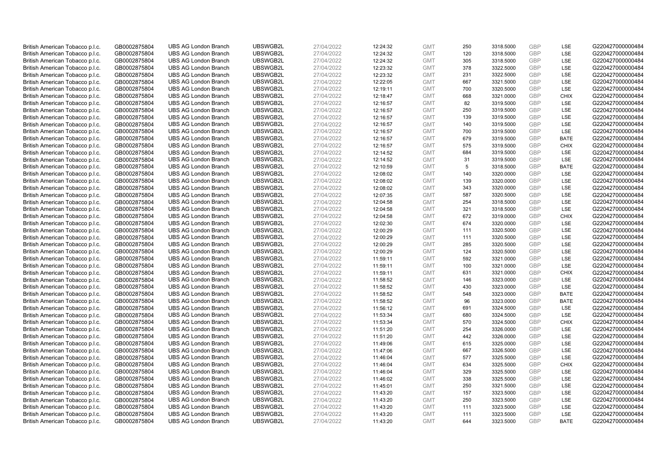| British American Tobacco p.l.c. | GB0002875804 | <b>UBS AG London Branch</b> | UBSWGB2L | 27/04/2022 | 12:24:32 | <b>GMT</b> | 250 | 3318.5000 | GBP        | LSE         | G220427000000484 |
|---------------------------------|--------------|-----------------------------|----------|------------|----------|------------|-----|-----------|------------|-------------|------------------|
| British American Tobacco p.l.c. | GB0002875804 | <b>UBS AG London Branch</b> | UBSWGB2L | 27/04/2022 | 12:24:32 | <b>GMT</b> | 120 | 3318.5000 | GBP        | LSE         | G220427000000484 |
| British American Tobacco p.l.c. | GB0002875804 | <b>UBS AG London Branch</b> | UBSWGB2L | 27/04/2022 | 12:24:32 | <b>GMT</b> | 305 | 3318.5000 | <b>GBP</b> | LSE         | G220427000000484 |
| British American Tobacco p.l.c. | GB0002875804 | <b>UBS AG London Branch</b> | UBSWGB2L | 27/04/2022 | 12:23:32 | <b>GMT</b> | 378 | 3322.5000 | GBP        | <b>LSE</b>  | G220427000000484 |
| British American Tobacco p.l.c. | GB0002875804 | <b>UBS AG London Branch</b> | UBSWGB2L | 27/04/2022 | 12:23:32 | <b>GMT</b> | 231 | 3322.5000 | <b>GBP</b> | <b>LSE</b>  | G220427000000484 |
| British American Tobacco p.l.c. | GB0002875804 | <b>UBS AG London Branch</b> | UBSWGB2L | 27/04/2022 | 12:22:05 | <b>GMT</b> | 667 | 3321.5000 | GBP        | LSE         | G220427000000484 |
| British American Tobacco p.l.c. | GB0002875804 | <b>UBS AG London Branch</b> | UBSWGB2L | 27/04/2022 | 12:19:11 | <b>GMT</b> | 700 | 3320.5000 | <b>GBP</b> | LSE         | G220427000000484 |
| British American Tobacco p.l.c. | GB0002875804 | <b>UBS AG London Branch</b> | UBSWGB2L | 27/04/2022 | 12:18:47 | <b>GMT</b> | 668 | 3321.0000 | <b>GBP</b> | <b>CHIX</b> | G220427000000484 |
| British American Tobacco p.l.c. | GB0002875804 | <b>UBS AG London Branch</b> | UBSWGB2L | 27/04/2022 | 12:16:57 | <b>GMT</b> | 82  | 3319.5000 | <b>GBP</b> | <b>LSE</b>  | G220427000000484 |
| British American Tobacco p.l.c. | GB0002875804 | <b>UBS AG London Branch</b> | UBSWGB2L | 27/04/2022 | 12:16:57 | <b>GMT</b> | 250 | 3319.5000 | <b>GBP</b> | <b>LSE</b>  | G220427000000484 |
| British American Tobacco p.l.c. | GB0002875804 | <b>UBS AG London Branch</b> | UBSWGB2L | 27/04/2022 | 12:16:57 | <b>GMT</b> | 139 | 3319.5000 | <b>GBP</b> | LSE         | G220427000000484 |
| British American Tobacco p.l.c. | GB0002875804 | <b>UBS AG London Branch</b> | UBSWGB2L | 27/04/2022 | 12:16:57 | <b>GMT</b> | 140 | 3319.5000 | GBP        | LSE         | G220427000000484 |
| British American Tobacco p.l.c. | GB0002875804 | <b>UBS AG London Branch</b> | UBSWGB2L | 27/04/2022 | 12:16:57 | <b>GMT</b> | 700 | 3319.5000 | <b>GBP</b> | LSE         | G220427000000484 |
| British American Tobacco p.l.c. | GB0002875804 | <b>UBS AG London Branch</b> | UBSWGB2L | 27/04/2022 | 12:16:57 | <b>GMT</b> | 679 | 3319.5000 | <b>GBP</b> | <b>BATE</b> | G220427000000484 |
| British American Tobacco p.l.c. | GB0002875804 | <b>UBS AG London Branch</b> | UBSWGB2L | 27/04/2022 | 12:16:57 | <b>GMT</b> | 575 | 3319.5000 | GBP        | <b>CHIX</b> | G220427000000484 |
| British American Tobacco p.l.c. | GB0002875804 | <b>UBS AG London Branch</b> | UBSWGB2L | 27/04/2022 | 12:14:52 | <b>GMT</b> | 684 | 3319.5000 | GBP        | LSE         | G220427000000484 |
| British American Tobacco p.l.c. | GB0002875804 | <b>UBS AG London Branch</b> | UBSWGB2L | 27/04/2022 | 12:14:52 | <b>GMT</b> | 31  | 3319.5000 | <b>GBP</b> | LSE         | G220427000000484 |
| British American Tobacco p.l.c. | GB0002875804 | <b>UBS AG London Branch</b> | UBSWGB2L | 27/04/2022 | 12:10:59 | <b>GMT</b> | 5   | 3318.5000 | <b>GBP</b> | <b>BATE</b> | G220427000000484 |
| British American Tobacco p.l.c. | GB0002875804 | <b>UBS AG London Branch</b> | UBSWGB2L | 27/04/2022 | 12:08:02 | <b>GMT</b> | 140 | 3320.0000 | <b>GBP</b> | <b>LSE</b>  | G220427000000484 |
| British American Tobacco p.l.c. | GB0002875804 | <b>UBS AG London Branch</b> | UBSWGB2L | 27/04/2022 | 12:08:02 | <b>GMT</b> | 139 | 3320.0000 | GBP        | LSE         | G220427000000484 |
| British American Tobacco p.l.c. | GB0002875804 | <b>UBS AG London Branch</b> | UBSWGB2L | 27/04/2022 | 12:08:02 | <b>GMT</b> | 343 | 3320.0000 | <b>GBP</b> | LSE         | G220427000000484 |
| British American Tobacco p.l.c. | GB0002875804 | <b>UBS AG London Branch</b> | UBSWGB2L | 27/04/2022 | 12:07:35 | <b>GMT</b> | 587 | 3320.5000 | <b>GBP</b> | LSE         | G220427000000484 |
| British American Tobacco p.l.c. | GB0002875804 | <b>UBS AG London Branch</b> | UBSWGB2L | 27/04/2022 | 12:04:58 | <b>GMT</b> | 254 | 3318.5000 | <b>GBP</b> | <b>LSE</b>  | G220427000000484 |
| British American Tobacco p.l.c. | GB0002875804 | <b>UBS AG London Branch</b> | UBSWGB2L | 27/04/2022 | 12:04:58 | <b>GMT</b> | 321 | 3318.5000 | GBP        | LSE         | G220427000000484 |
| British American Tobacco p.l.c. | GB0002875804 | <b>UBS AG London Branch</b> | UBSWGB2L | 27/04/2022 | 12:04:58 | <b>GMT</b> | 672 | 3319.0000 | <b>GBP</b> | <b>CHIX</b> | G220427000000484 |
| British American Tobacco p.l.c. | GB0002875804 | <b>UBS AG London Branch</b> | UBSWGB2L | 27/04/2022 | 12:02:30 | <b>GMT</b> | 674 | 3320.0000 | <b>GBP</b> | LSE         | G220427000000484 |
| British American Tobacco p.l.c. | GB0002875804 | <b>UBS AG London Branch</b> | UBSWGB2L | 27/04/2022 | 12:00:29 | <b>GMT</b> | 111 | 3320.5000 | GBP        | <b>LSE</b>  | G220427000000484 |
| British American Tobacco p.l.c. | GB0002875804 | <b>UBS AG London Branch</b> | UBSWGB2L | 27/04/2022 | 12:00:29 | <b>GMT</b> | 111 | 3320.5000 | <b>GBP</b> | LSE         | G220427000000484 |
| British American Tobacco p.l.c. | GB0002875804 | <b>UBS AG London Branch</b> | UBSWGB2L | 27/04/2022 | 12:00:29 | <b>GMT</b> | 285 | 3320.5000 | <b>GBP</b> | LSE         | G220427000000484 |
| British American Tobacco p.l.c. | GB0002875804 | <b>UBS AG London Branch</b> | UBSWGB2L | 27/04/2022 | 12:00:29 | <b>GMT</b> | 124 | 3320.5000 | <b>GBP</b> | LSE         | G220427000000484 |
| British American Tobacco p.l.c. | GB0002875804 | <b>UBS AG London Branch</b> | UBSWGB2L | 27/04/2022 | 11:59:11 | <b>GMT</b> | 592 | 3321.0000 | GBP        | <b>LSE</b>  | G220427000000484 |
| British American Tobacco p.l.c. | GB0002875804 | <b>UBS AG London Branch</b> | UBSWGB2L | 27/04/2022 | 11:59:11 | <b>GMT</b> | 100 | 3321.0000 | GBP        | <b>LSE</b>  | G220427000000484 |
| British American Tobacco p.l.c. | GB0002875804 | <b>UBS AG London Branch</b> | UBSWGB2L | 27/04/2022 | 11:59:11 | <b>GMT</b> | 631 | 3321.0000 | <b>GBP</b> | <b>CHIX</b> | G220427000000484 |
| British American Tobacco p.l.c. | GB0002875804 | <b>UBS AG London Branch</b> | UBSWGB2L | 27/04/2022 | 11:58:52 | <b>GMT</b> | 146 | 3323.0000 | <b>GBP</b> | <b>LSE</b>  | G220427000000484 |
| British American Tobacco p.l.c. | GB0002875804 | <b>UBS AG London Branch</b> | UBSWGB2L | 27/04/2022 | 11:58:52 | <b>GMT</b> | 430 | 3323.0000 | GBP        | LSE         | G220427000000484 |
| British American Tobacco p.l.c. | GB0002875804 | <b>UBS AG London Branch</b> | UBSWGB2L | 27/04/2022 | 11:58:52 | <b>GMT</b> | 548 | 3323.0000 | <b>GBP</b> | <b>BATE</b> | G220427000000484 |
| British American Tobacco p.l.c. | GB0002875804 | <b>UBS AG London Branch</b> | UBSWGB2L | 27/04/2022 | 11:58:52 | <b>GMT</b> | 96  | 3323.0000 | GBP        | <b>BATE</b> | G220427000000484 |
| British American Tobacco p.l.c. | GB0002875804 | <b>UBS AG London Branch</b> | UBSWGB2L | 27/04/2022 | 11:56:12 | <b>GMT</b> | 691 | 3324.5000 | GBP        | LSE         | G220427000000484 |
| British American Tobacco p.l.c. | GB0002875804 | <b>UBS AG London Branch</b> | UBSWGB2L | 27/04/2022 | 11:53:34 | <b>GMT</b> | 680 | 3324.5000 | <b>GBP</b> | LSE         | G220427000000484 |
| British American Tobacco p.l.c. | GB0002875804 | <b>UBS AG London Branch</b> | UBSWGB2L | 27/04/2022 | 11:53:34 | <b>GMT</b> | 570 | 3324.5000 | <b>GBP</b> | <b>CHIX</b> | G220427000000484 |
| British American Tobacco p.l.c. | GB0002875804 | <b>UBS AG London Branch</b> | UBSWGB2L | 27/04/2022 | 11:51:20 | <b>GMT</b> | 254 | 3326.0000 | <b>GBP</b> | <b>LSE</b>  | G220427000000484 |
| British American Tobacco p.l.c. | GB0002875804 | <b>UBS AG London Branch</b> | UBSWGB2L | 27/04/2022 | 11:51:20 | <b>GMT</b> | 442 | 3326.0000 | GBP        | LSE         | G220427000000484 |
| British American Tobacco p.l.c. | GB0002875804 | <b>UBS AG London Branch</b> | UBSWGB2L | 27/04/2022 | 11:49:06 | <b>GMT</b> | 615 | 3325.0000 | <b>GBP</b> | <b>LSE</b>  | G220427000000484 |
| British American Tobacco p.l.c. | GB0002875804 | <b>UBS AG London Branch</b> | UBSWGB2L | 27/04/2022 | 11:47:06 | <b>GMT</b> | 667 | 3326.5000 | <b>GBP</b> | LSE         | G220427000000484 |
| British American Tobacco p.l.c. | GB0002875804 | <b>UBS AG London Branch</b> | UBSWGB2L | 27/04/2022 | 11:46:04 | <b>GMT</b> | 577 | 3325.5000 | <b>GBP</b> | <b>LSE</b>  | G220427000000484 |
| British American Tobacco p.l.c. | GB0002875804 | <b>UBS AG London Branch</b> | UBSWGB2L | 27/04/2022 | 11:46:04 | <b>GMT</b> | 634 | 3325.5000 | <b>GBP</b> | <b>CHIX</b> | G220427000000484 |
| British American Tobacco p.l.c. | GB0002875804 | <b>UBS AG London Branch</b> | UBSWGB2L | 27/04/2022 | 11:46:04 | <b>GMT</b> | 329 | 3325.5000 | <b>GBP</b> | <b>LSE</b>  | G220427000000484 |
| British American Tobacco p.l.c. | GB0002875804 | <b>UBS AG London Branch</b> | UBSWGB2L | 27/04/2022 | 11:46:02 | <b>GMT</b> | 338 | 3325.5000 | <b>GBP</b> | LSE         | G220427000000484 |
| British American Tobacco p.l.c. | GB0002875804 | <b>UBS AG London Branch</b> | UBSWGB2L | 27/04/2022 | 11:45:01 | <b>GMT</b> | 250 | 3321.5000 | GBP        | <b>LSE</b>  | G220427000000484 |
| British American Tobacco p.l.c. | GB0002875804 | <b>UBS AG London Branch</b> | UBSWGB2L | 27/04/2022 | 11:43:20 | <b>GMT</b> | 157 | 3323.5000 | <b>GBP</b> | <b>LSE</b>  | G220427000000484 |
| British American Tobacco p.l.c. | GB0002875804 | <b>UBS AG London Branch</b> | UBSWGB2L | 27/04/2022 | 11:43:20 | <b>GMT</b> | 250 | 3323.5000 | GBP        | <b>LSE</b>  | G220427000000484 |
| British American Tobacco p.l.c. | GB0002875804 | <b>UBS AG London Branch</b> | UBSWGB2L | 27/04/2022 | 11:43:20 | <b>GMT</b> | 111 | 3323.5000 | <b>GBP</b> | LSE         | G220427000000484 |
| British American Tobacco p.l.c. | GB0002875804 | <b>UBS AG London Branch</b> | UBSWGB2L | 27/04/2022 | 11:43:20 | <b>GMT</b> | 111 | 3323.5000 | GBP        | LSE         | G220427000000484 |
| British American Tobacco p.l.c. | GB0002875804 | <b>UBS AG London Branch</b> | UBSWGB2L | 27/04/2022 | 11:43:20 | <b>GMT</b> | 644 | 3323.5000 | GBP        | <b>BATE</b> | G220427000000484 |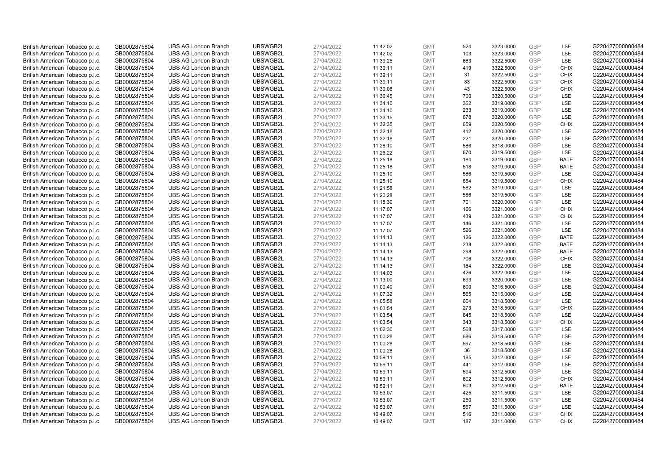| British American Tobacco p.l.c. | GB0002875804 | <b>UBS AG London Branch</b> | UBSWGB2L | 27/04/2022 | 11:42:02 | <b>GMT</b>               | 524        | 3323.0000 | <b>GBP</b> | LSE                        | G220427000000484                     |
|---------------------------------|--------------|-----------------------------|----------|------------|----------|--------------------------|------------|-----------|------------|----------------------------|--------------------------------------|
| British American Tobacco p.l.c. | GB0002875804 | <b>UBS AG London Branch</b> | UBSWGB2L | 27/04/2022 | 11:42:02 | <b>GMT</b>               | 103        | 3323.0000 | GBP        | LSE                        | G220427000000484                     |
| British American Tobacco p.l.c. | GB0002875804 | <b>UBS AG London Branch</b> | UBSWGB2L | 27/04/2022 | 11:39:25 | <b>GMT</b>               | 663        | 3322.5000 | <b>GBP</b> | LSE                        | G220427000000484                     |
|                                 |              |                             | UBSWGB2L | 27/04/2022 |          |                          |            |           | <b>GBP</b> |                            | G220427000000484                     |
| British American Tobacco p.l.c. | GB0002875804 | <b>UBS AG London Branch</b> |          |            | 11:39:11 | <b>GMT</b>               | 419        | 3322.5000 |            | <b>CHIX</b>                |                                      |
| British American Tobacco p.l.c. | GB0002875804 | <b>UBS AG London Branch</b> | UBSWGB2L | 27/04/2022 | 11:39:11 | <b>GMT</b>               | 31         | 3322.5000 | <b>GBP</b> | <b>CHIX</b>                | G220427000000484                     |
| British American Tobacco p.l.c. | GB0002875804 | <b>UBS AG London Branch</b> | UBSWGB2L | 27/04/2022 | 11:39:11 | <b>GMT</b>               | 83         | 3322.5000 | <b>GBP</b> | <b>CHIX</b>                | G220427000000484                     |
| British American Tobacco p.l.c. | GB0002875804 | <b>UBS AG London Branch</b> | UBSWGB2L | 27/04/2022 | 11:39:08 | <b>GMT</b>               | 43         | 3322.5000 | <b>GBP</b> | <b>CHIX</b>                | G220427000000484                     |
| British American Tobacco p.l.c. | GB0002875804 | <b>UBS AG London Branch</b> | UBSWGB2L | 27/04/2022 | 11:36:45 | <b>GMT</b>               | 700        | 3320.5000 | <b>GBP</b> | LSE                        | G220427000000484                     |
| British American Tobacco p.l.c. | GB0002875804 | <b>UBS AG London Branch</b> | UBSWGB2L | 27/04/2022 | 11:34:10 | <b>GMT</b>               | 362        | 3319.0000 | GBP        | LSE                        | G220427000000484                     |
| British American Tobacco p.l.c. | GB0002875804 | <b>UBS AG London Branch</b> | UBSWGB2L | 27/04/2022 | 11:34:10 | <b>GMT</b>               | 233        | 3319.0000 | <b>GBP</b> | LSE                        | G220427000000484                     |
| British American Tobacco p.l.c. | GB0002875804 | <b>UBS AG London Branch</b> | UBSWGB2L | 27/04/2022 | 11:33:15 | <b>GMT</b>               | 678        | 3320.0000 | <b>GBP</b> | <b>LSE</b>                 | G220427000000484                     |
| British American Tobacco p.l.c. | GB0002875804 | <b>UBS AG London Branch</b> | UBSWGB2L | 27/04/2022 | 11:32:35 | <b>GMT</b>               | 659        | 3320.5000 | <b>GBP</b> | <b>CHIX</b>                | G220427000000484                     |
| British American Tobacco p.l.c. | GB0002875804 | <b>UBS AG London Branch</b> | UBSWGB2L | 27/04/2022 | 11:32:18 | <b>GMT</b>               | 412        | 3320.0000 | <b>GBP</b> | LSE                        | G220427000000484                     |
| British American Tobacco p.l.c. | GB0002875804 | <b>UBS AG London Branch</b> | UBSWGB2L | 27/04/2022 | 11:32:18 | <b>GMT</b>               | 221        | 3320.0000 | <b>GBP</b> | LSE                        | G220427000000484                     |
| British American Tobacco p.l.c. | GB0002875804 | <b>UBS AG London Branch</b> | UBSWGB2L | 27/04/2022 | 11:28:10 | <b>GMT</b>               | 586        | 3318.0000 | GBP        | LSE                        | G220427000000484                     |
| British American Tobacco p.l.c. | GB0002875804 | <b>UBS AG London Branch</b> | UBSWGB2L | 27/04/2022 | 11:26:22 | <b>GMT</b>               | 670        | 3319.5000 | GBP        | LSE                        | G220427000000484                     |
| British American Tobacco p.l.c. | GB0002875804 | <b>UBS AG London Branch</b> | UBSWGB2L | 27/04/2022 | 11:25:18 | <b>GMT</b>               | 184        | 3319.0000 | GBP        | <b>BATE</b>                | G220427000000484                     |
| British American Tobacco p.l.c. | GB0002875804 | <b>UBS AG London Branch</b> | UBSWGB2L | 27/04/2022 | 11:25:18 | <b>GMT</b>               | 518        | 3319.0000 | GBP        | <b>BATE</b>                | G220427000000484                     |
| British American Tobacco p.l.c. | GB0002875804 | <b>UBS AG London Branch</b> | UBSWGB2L | 27/04/2022 | 11:25:10 | <b>GMT</b>               | 586        | 3319.5000 | <b>GBP</b> | <b>LSE</b>                 | G220427000000484                     |
| British American Tobacco p.l.c. | GB0002875804 | <b>UBS AG London Branch</b> | UBSWGB2L | 27/04/2022 | 11:25:10 | <b>GMT</b>               | 654        | 3319.5000 | <b>GBP</b> | <b>CHIX</b>                | G220427000000484                     |
| British American Tobacco p.l.c. | GB0002875804 | <b>UBS AG London Branch</b> | UBSWGB2L | 27/04/2022 | 11:21:58 | <b>GMT</b>               | 582        | 3319.0000 | <b>GBP</b> | LSE                        | G220427000000484                     |
| British American Tobacco p.l.c. | GB0002875804 | <b>UBS AG London Branch</b> | UBSWGB2L | 27/04/2022 | 11:20:28 | <b>GMT</b>               | 566        | 3319.5000 | GBP        | LSE                        | G220427000000484                     |
| British American Tobacco p.l.c. | GB0002875804 | <b>UBS AG London Branch</b> | UBSWGB2L | 27/04/2022 | 11:18:39 | <b>GMT</b>               | 701        | 3320.0000 | <b>GBP</b> | LSE                        | G220427000000484                     |
| British American Tobacco p.l.c. | GB0002875804 | <b>UBS AG London Branch</b> | UBSWGB2L | 27/04/2022 | 11:17:07 | <b>GMT</b>               | 166        | 3321.0000 | GBP        | CHIX                       | G220427000000484                     |
| British American Tobacco p.l.c. | GB0002875804 | <b>UBS AG London Branch</b> | UBSWGB2L | 27/04/2022 | 11:17:07 | <b>GMT</b>               | 439        | 3321.0000 | <b>GBP</b> | <b>CHIX</b>                | G220427000000484                     |
| British American Tobacco p.l.c. | GB0002875804 | <b>UBS AG London Branch</b> | UBSWGB2L | 27/04/2022 | 11:17:07 | <b>GMT</b>               | 146        | 3321.0000 | GBP        | LSE                        | G220427000000484                     |
| British American Tobacco p.l.c. | GB0002875804 | <b>UBS AG London Branch</b> | UBSWGB2L | 27/04/2022 | 11:17:07 | <b>GMT</b>               | 526        | 3321.0000 | <b>GBP</b> | LSE                        | G220427000000484                     |
| British American Tobacco p.l.c. | GB0002875804 | <b>UBS AG London Branch</b> | UBSWGB2L | 27/04/2022 | 11:14:13 | <b>GMT</b>               | 126        | 3322.0000 | GBP        | <b>BATE</b>                | G220427000000484                     |
| British American Tobacco p.l.c. | GB0002875804 | <b>UBS AG London Branch</b> | UBSWGB2L | 27/04/2022 | 11:14:13 | <b>GMT</b>               | 238        | 3322.0000 | <b>GBP</b> | <b>BATE</b>                | G220427000000484                     |
| British American Tobacco p.l.c. | GB0002875804 | <b>UBS AG London Branch</b> | UBSWGB2L | 27/04/2022 | 11:14:13 | <b>GMT</b>               | 298        | 3322.0000 | GBP        | <b>BATE</b>                | G220427000000484                     |
| British American Tobacco p.l.c. | GB0002875804 | <b>UBS AG London Branch</b> | UBSWGB2L | 27/04/2022 | 11:14:13 | <b>GMT</b>               | 706        | 3322.0000 | GBP        | <b>CHIX</b>                | G220427000000484                     |
| British American Tobacco p.l.c. | GB0002875804 | <b>UBS AG London Branch</b> | UBSWGB2L | 27/04/2022 | 11:14:13 | <b>GMT</b>               | 184        | 3322.0000 | GBP        | <b>LSE</b>                 | G220427000000484                     |
| British American Tobacco p.l.c. | GB0002875804 | <b>UBS AG London Branch</b> | UBSWGB2L | 27/04/2022 | 11:14:03 | <b>GMT</b>               | 426        | 3322.0000 | <b>GBP</b> | LSE                        | G220427000000484                     |
| British American Tobacco p.l.c. | GB0002875804 | <b>UBS AG London Branch</b> | UBSWGB2L | 27/04/2022 | 11:13:00 | <b>GMT</b>               | 693        | 3320.0000 | <b>GBP</b> | LSE                        | G220427000000484                     |
| British American Tobacco p.l.c. | GB0002875804 | <b>UBS AG London Branch</b> | UBSWGB2L | 27/04/2022 | 11:09:40 | <b>GMT</b>               | 600        | 3316.5000 | GBP        | LSE                        | G220427000000484                     |
| British American Tobacco p.l.c. | GB0002875804 | <b>UBS AG London Branch</b> | UBSWGB2L | 27/04/2022 | 11:07:32 | <b>GMT</b>               | 565        | 3315.0000 | <b>GBP</b> | LSE                        | G220427000000484                     |
| British American Tobacco p.l.c. | GB0002875804 | <b>UBS AG London Branch</b> | UBSWGB2L | 27/04/2022 | 11:05:58 | <b>GMT</b>               | 664        | 3318.5000 | GBP        | <b>LSE</b>                 | G220427000000484                     |
| British American Tobacco p.l.c. | GB0002875804 | <b>UBS AG London Branch</b> | UBSWGB2L | 27/04/2022 | 11:03:54 | <b>GMT</b>               | 273        | 3318.5000 | <b>GBP</b> | <b>CHIX</b>                | G220427000000484                     |
| British American Tobacco p.l.c. | GB0002875804 | <b>UBS AG London Branch</b> | UBSWGB2L | 27/04/2022 | 11:03:54 | <b>GMT</b>               | 645        | 3318.5000 | GBP        | LSE                        | G220427000000484                     |
| British American Tobacco p.l.c. | GB0002875804 | <b>UBS AG London Branch</b> | UBSWGB2L | 27/04/2022 | 11:03:54 | <b>GMT</b>               | 343        | 3318.5000 | <b>GBP</b> | <b>CHIX</b>                | G220427000000484                     |
| British American Tobacco p.l.c. | GB0002875804 | <b>UBS AG London Branch</b> | UBSWGB2L | 27/04/2022 | 11:02:30 | <b>GMT</b>               | 568        | 3317.0000 | GBP        | LSE                        | G220427000000484                     |
| British American Tobacco p.l.c. | GB0002875804 | <b>UBS AG London Branch</b> | UBSWGB2L | 27/04/2022 | 11:00:28 | <b>GMT</b>               | 686        | 3318.5000 | <b>GBP</b> | LSE                        | G220427000000484                     |
| British American Tobacco p.l.c. | GB0002875804 | <b>UBS AG London Branch</b> | UBSWGB2L | 27/04/2022 | 11:00:28 | <b>GMT</b>               | 597        | 3318.5000 | GBP        | LSE                        | G220427000000484                     |
| British American Tobacco p.l.c. | GB0002875804 | <b>UBS AG London Branch</b> | UBSWGB2L | 27/04/2022 | 11:00:28 | <b>GMT</b>               | 36         | 3318.5000 | <b>GBP</b> | <b>LSE</b>                 | G220427000000484                     |
| British American Tobacco p.l.c. | GB0002875804 | <b>UBS AG London Branch</b> | UBSWGB2L | 27/04/2022 | 10:59:11 | <b>GMT</b>               | 185        | 3312.0000 | GBP        | LSE                        | G220427000000484                     |
| British American Tobacco p.l.c. | GB0002875804 | <b>UBS AG London Branch</b> | UBSWGB2L | 27/04/2022 | 10:59:11 | <b>GMT</b>               | 441        | 3312.0000 | <b>GBP</b> | LSE                        | G220427000000484                     |
| British American Tobacco p.l.c. | GB0002875804 | <b>UBS AG London Branch</b> | UBSWGB2L | 27/04/2022 | 10:59:11 | <b>GMT</b>               | 594        | 3312.5000 | <b>GBP</b> | LSE                        | G220427000000484                     |
| British American Tobacco p.l.c. | GB0002875804 | <b>UBS AG London Branch</b> | UBSWGB2L | 27/04/2022 | 10:59:11 | <b>GMT</b>               | 602        | 3312.5000 | GBP        | <b>CHIX</b>                | G220427000000484                     |
| British American Tobacco p.l.c. | GB0002875804 | <b>UBS AG London Branch</b> | UBSWGB2L | 27/04/2022 | 10:59:11 | <b>GMT</b>               | 603        | 3312.5000 | GBP        | <b>BATE</b>                | G220427000000484                     |
| British American Tobacco p.l.c. | GB0002875804 | <b>UBS AG London Branch</b> | UBSWGB2L | 27/04/2022 | 10:53:07 | <b>GMT</b>               | 425        | 3311.5000 | <b>GBP</b> | LSE                        | G220427000000484                     |
|                                 |              | <b>UBS AG London Branch</b> | UBSWGB2L |            |          |                          | 250        | 3311.5000 | <b>GBP</b> | LSE                        |                                      |
| British American Tobacco p.l.c. | GB0002875804 | <b>UBS AG London Branch</b> | UBSWGB2L | 27/04/2022 | 10:53:07 | <b>GMT</b>               | 567        |           | <b>GBP</b> | LSE                        | G220427000000484<br>G220427000000484 |
| British American Tobacco p.l.c. | GB0002875804 |                             |          | 27/04/2022 | 10:53:07 | <b>GMT</b>               |            | 3311.5000 | <b>GBP</b> |                            | G220427000000484                     |
| British American Tobacco p.l.c. | GB0002875804 | <b>UBS AG London Branch</b> | UBSWGB2L | 27/04/2022 | 10:49:07 | <b>GMT</b><br><b>GMT</b> | 516<br>187 | 3311.0000 | GBP        | <b>CHIX</b><br><b>CHIX</b> |                                      |
| British American Tobacco p.l.c. | GB0002875804 | <b>UBS AG London Branch</b> | UBSWGB2L | 27/04/2022 | 10:49:07 |                          |            | 3311.0000 |            |                            | G220427000000484                     |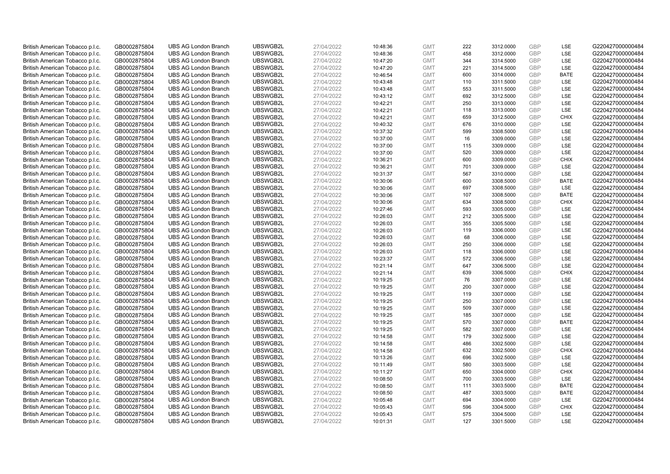| British American Tobacco p.l.c. | GB0002875804 | <b>UBS AG London Branch</b> | UBSWGB2L | 27/04/2022 | 10:48:36 | <b>GMT</b> | 222 | 3312.0000 | <b>GBP</b> | LSE         | G220427000000484 |
|---------------------------------|--------------|-----------------------------|----------|------------|----------|------------|-----|-----------|------------|-------------|------------------|
|                                 |              |                             |          |            |          |            |     |           | GBP        | LSE         |                  |
| British American Tobacco p.l.c. | GB0002875804 | <b>UBS AG London Branch</b> | UBSWGB2L | 27/04/2022 | 10:48:36 | <b>GMT</b> | 458 | 3312.0000 |            |             | G220427000000484 |
| British American Tobacco p.l.c. | GB0002875804 | <b>UBS AG London Branch</b> | UBSWGB2L | 27/04/2022 | 10:47:20 | <b>GMT</b> | 344 | 3314.5000 | <b>GBP</b> | LSE         | G220427000000484 |
| British American Tobacco p.l.c. | GB0002875804 | <b>UBS AG London Branch</b> | UBSWGB2L | 27/04/2022 | 10:47:20 | <b>GMT</b> | 221 | 3314.5000 | <b>GBP</b> | LSE         | G220427000000484 |
| British American Tobacco p.l.c. | GB0002875804 | <b>UBS AG London Branch</b> | UBSWGB2L | 27/04/2022 | 10:46:54 | <b>GMT</b> | 600 | 3314.0000 | <b>GBP</b> | <b>BATE</b> | G220427000000484 |
| British American Tobacco p.l.c. | GB0002875804 | <b>UBS AG London Branch</b> | UBSWGB2L | 27/04/2022 | 10:43:48 | <b>GMT</b> | 110 | 3311.5000 | <b>GBP</b> | LSE         | G220427000000484 |
| British American Tobacco p.l.c. | GB0002875804 | <b>UBS AG London Branch</b> | UBSWGB2L | 27/04/2022 | 10:43:48 | <b>GMT</b> | 553 | 3311.5000 | <b>GBP</b> | LSE         | G220427000000484 |
| British American Tobacco p.l.c. | GB0002875804 | <b>UBS AG London Branch</b> | UBSWGB2L | 27/04/2022 | 10:43:12 | <b>GMT</b> | 692 | 3312.5000 | <b>GBP</b> | LSE         | G220427000000484 |
| British American Tobacco p.l.c. | GB0002875804 | <b>UBS AG London Branch</b> | UBSWGB2L | 27/04/2022 | 10:42:21 | <b>GMT</b> | 250 | 3313.0000 | <b>GBP</b> | LSE         | G220427000000484 |
| British American Tobacco p.l.c. | GB0002875804 | <b>UBS AG London Branch</b> | UBSWGB2L | 27/04/2022 | 10:42:21 | <b>GMT</b> | 118 | 3313.0000 | <b>GBP</b> | LSE         | G220427000000484 |
| British American Tobacco p.l.c. | GB0002875804 | <b>UBS AG London Branch</b> | UBSWGB2L | 27/04/2022 | 10:42:21 | <b>GMT</b> | 659 | 3312.5000 | <b>GBP</b> | <b>CHIX</b> | G220427000000484 |
| British American Tobacco p.l.c. | GB0002875804 | <b>UBS AG London Branch</b> | UBSWGB2L | 27/04/2022 | 10:40:32 | <b>GMT</b> | 676 | 3310.0000 | <b>GBP</b> | LSE         | G220427000000484 |
| British American Tobacco p.l.c. | GB0002875804 | <b>UBS AG London Branch</b> | UBSWGB2L | 27/04/2022 | 10:37:32 | <b>GMT</b> | 599 | 3308.5000 | <b>GBP</b> | LSE         | G220427000000484 |
| British American Tobacco p.l.c. | GB0002875804 | <b>UBS AG London Branch</b> | UBSWGB2L | 27/04/2022 | 10:37:00 | <b>GMT</b> | 16  | 3309.0000 | <b>GBP</b> | LSE         | G220427000000484 |
| British American Tobacco p.l.c. | GB0002875804 | <b>UBS AG London Branch</b> | UBSWGB2L | 27/04/2022 | 10:37:00 | <b>GMT</b> | 115 | 3309.0000 | <b>GBP</b> | LSE         | G220427000000484 |
| British American Tobacco p.l.c. | GB0002875804 | <b>UBS AG London Branch</b> | UBSWGB2L | 27/04/2022 | 10:37:00 | <b>GMT</b> | 520 | 3309.0000 | <b>GBP</b> | LSE         | G220427000000484 |
|                                 | GB0002875804 | <b>UBS AG London Branch</b> | UBSWGB2L | 27/04/2022 | 10:36:21 | <b>GMT</b> | 600 | 3309.0000 | <b>GBP</b> | <b>CHIX</b> | G220427000000484 |
| British American Tobacco p.l.c. |              |                             |          |            |          |            |     |           | <b>GBP</b> | LSE         |                  |
| British American Tobacco p.l.c. | GB0002875804 | <b>UBS AG London Branch</b> | UBSWGB2L | 27/04/2022 | 10:36:21 | <b>GMT</b> | 701 | 3309.0000 |            |             | G220427000000484 |
| British American Tobacco p.l.c. | GB0002875804 | <b>UBS AG London Branch</b> | UBSWGB2L | 27/04/2022 | 10:31:37 | <b>GMT</b> | 567 | 3310.0000 | <b>GBP</b> | <b>LSE</b>  | G220427000000484 |
| British American Tobacco p.l.c. | GB0002875804 | <b>UBS AG London Branch</b> | UBSWGB2L | 27/04/2022 | 10:30:06 | <b>GMT</b> | 600 | 3308.5000 | <b>GBP</b> | <b>BATE</b> | G220427000000484 |
| British American Tobacco p.l.c. | GB0002875804 | <b>UBS AG London Branch</b> | UBSWGB2L | 27/04/2022 | 10:30:06 | <b>GMT</b> | 697 | 3308.5000 | <b>GBP</b> | LSE         | G220427000000484 |
| British American Tobacco p.l.c. | GB0002875804 | <b>UBS AG London Branch</b> | UBSWGB2L | 27/04/2022 | 10:30:06 | <b>GMT</b> | 107 | 3308.5000 | <b>GBP</b> | <b>BATE</b> | G220427000000484 |
| British American Tobacco p.l.c. | GB0002875804 | <b>UBS AG London Branch</b> | UBSWGB2L | 27/04/2022 | 10:30:06 | <b>GMT</b> | 634 | 3308.5000 | <b>GBP</b> | <b>CHIX</b> | G220427000000484 |
| British American Tobacco p.l.c. | GB0002875804 | <b>UBS AG London Branch</b> | UBSWGB2L | 27/04/2022 | 10:27:46 | <b>GMT</b> | 593 | 3305.0000 | <b>GBP</b> | LSE         | G220427000000484 |
| British American Tobacco p.l.c. | GB0002875804 | <b>UBS AG London Branch</b> | UBSWGB2L | 27/04/2022 | 10:26:03 | <b>GMT</b> | 212 | 3305.5000 | <b>GBP</b> | LSE         | G220427000000484 |
| British American Tobacco p.l.c. | GB0002875804 | <b>UBS AG London Branch</b> | UBSWGB2L | 27/04/2022 | 10:26:03 | <b>GMT</b> | 355 | 3305.5000 | <b>GBP</b> | LSE         | G220427000000484 |
| British American Tobacco p.l.c. | GB0002875804 | <b>UBS AG London Branch</b> | UBSWGB2L | 27/04/2022 | 10:26:03 | <b>GMT</b> | 119 | 3306.0000 | <b>GBP</b> | LSE         | G220427000000484 |
| British American Tobacco p.l.c. | GB0002875804 | <b>UBS AG London Branch</b> | UBSWGB2L | 27/04/2022 | 10:26:03 | <b>GMT</b> | 68  | 3306.0000 | <b>GBP</b> | LSE         | G220427000000484 |
| British American Tobacco p.l.c. | GB0002875804 | <b>UBS AG London Branch</b> | UBSWGB2L | 27/04/2022 | 10:26:03 | <b>GMT</b> | 250 | 3306.0000 | <b>GBP</b> | LSE         | G220427000000484 |
| British American Tobacco p.l.c. | GB0002875804 | <b>UBS AG London Branch</b> | UBSWGB2L | 27/04/2022 | 10:26:03 | <b>GMT</b> | 118 | 3306.0000 | <b>GBP</b> | LSE         | G220427000000484 |
| British American Tobacco p.l.c. | GB0002875804 | <b>UBS AG London Branch</b> | UBSWGB2L | 27/04/2022 | 10:23:37 | <b>GMT</b> | 572 | 3306.5000 | GBP        | LSE         | G220427000000484 |
| British American Tobacco p.l.c. | GB0002875804 | <b>UBS AG London Branch</b> | UBSWGB2L | 27/04/2022 | 10:21:14 | <b>GMT</b> | 647 | 3306.5000 | <b>GBP</b> | LSE         | G220427000000484 |
| British American Tobacco p.l.c. | GB0002875804 | <b>UBS AG London Branch</b> | UBSWGB2L | 27/04/2022 | 10:21:14 | <b>GMT</b> | 639 | 3306.5000 | <b>GBP</b> | <b>CHIX</b> | G220427000000484 |
| British American Tobacco p.l.c. | GB0002875804 | <b>UBS AG London Branch</b> | UBSWGB2L | 27/04/2022 | 10:19:25 | <b>GMT</b> | 76  | 3307.0000 | <b>GBP</b> | LSE         | G220427000000484 |
| British American Tobacco p.l.c. | GB0002875804 | <b>UBS AG London Branch</b> | UBSWGB2L | 27/04/2022 | 10:19:25 | <b>GMT</b> | 200 | 3307.0000 | <b>GBP</b> | LSE         | G220427000000484 |
| British American Tobacco p.l.c. | GB0002875804 | <b>UBS AG London Branch</b> | UBSWGB2L | 27/04/2022 | 10:19:25 | <b>GMT</b> | 119 | 3307.0000 | <b>GBP</b> | LSE         | G220427000000484 |
| British American Tobacco p.l.c. | GB0002875804 | <b>UBS AG London Branch</b> | UBSWGB2L | 27/04/2022 | 10:19:25 | <b>GMT</b> | 250 | 3307.0000 | <b>GBP</b> | LSE         | G220427000000484 |
| British American Tobacco p.l.c. | GB0002875804 | <b>UBS AG London Branch</b> | UBSWGB2L | 27/04/2022 | 10:19:25 | <b>GMT</b> | 509 | 3307.0000 | <b>GBP</b> | LSE         | G220427000000484 |
| British American Tobacco p.l.c. | GB0002875804 | <b>UBS AG London Branch</b> | UBSWGB2L | 27/04/2022 | 10:19:25 | <b>GMT</b> | 185 | 3307.0000 | <b>GBP</b> | LSE         | G220427000000484 |
| British American Tobacco p.l.c. | GB0002875804 | <b>UBS AG London Branch</b> | UBSWGB2L | 27/04/2022 | 10:19:25 | <b>GMT</b> | 570 | 3307.0000 | <b>GBP</b> | <b>BATE</b> | G220427000000484 |
| British American Tobacco p.l.c. | GB0002875804 | <b>UBS AG London Branch</b> | UBSWGB2L | 27/04/2022 | 10:19:25 | <b>GMT</b> | 582 | 3307.0000 | <b>GBP</b> | LSE         | G220427000000484 |
| British American Tobacco p.l.c. | GB0002875804 | <b>UBS AG London Branch</b> | UBSWGB2L | 27/04/2022 | 10:14:58 | <b>GMT</b> | 179 | 3302.5000 | <b>GBP</b> | LSE         | G220427000000484 |
| British American Tobacco p.l.c. | GB0002875804 | <b>UBS AG London Branch</b> | UBSWGB2L | 27/04/2022 | 10:14:58 | <b>GMT</b> | 486 | 3302.5000 | <b>GBP</b> | LSE         | G220427000000484 |
| British American Tobacco p.l.c. | GB0002875804 | <b>UBS AG London Branch</b> | UBSWGB2L | 27/04/2022 | 10:14:58 | <b>GMT</b> | 632 | 3302.5000 | GBP        | <b>CHIX</b> | G220427000000484 |
| British American Tobacco p.l.c. | GB0002875804 | <b>UBS AG London Branch</b> | UBSWGB2L | 27/04/2022 | 10:13:26 | <b>GMT</b> | 696 | 3302.5000 | <b>GBP</b> | LSE         | G220427000000484 |
|                                 |              |                             |          |            |          |            |     |           |            |             |                  |
| British American Tobacco p.l.c. | GB0002875804 | <b>UBS AG London Branch</b> | UBSWGB2L | 27/04/2022 | 10:11:49 | <b>GMT</b> | 580 | 3303.5000 | <b>GBP</b> | LSE         | G220427000000484 |
| British American Tobacco p.l.c. | GB0002875804 | <b>UBS AG London Branch</b> | UBSWGB2L | 27/04/2022 | 10:11:27 | <b>GMT</b> | 650 | 3304.0000 | <b>GBP</b> | <b>CHIX</b> | G220427000000484 |
| British American Tobacco p.l.c. | GB0002875804 | <b>UBS AG London Branch</b> | UBSWGB2L | 27/04/2022 | 10:08:50 | <b>GMT</b> | 700 | 3303.5000 | <b>GBP</b> | LSE         | G220427000000484 |
| British American Tobacco p.l.c. | GB0002875804 | <b>UBS AG London Branch</b> | UBSWGB2L | 27/04/2022 | 10:08:50 | <b>GMT</b> | 111 | 3303.5000 | <b>GBP</b> | <b>BATE</b> | G220427000000484 |
| British American Tobacco p.l.c. | GB0002875804 | <b>UBS AG London Branch</b> | UBSWGB2L | 27/04/2022 | 10:08:50 | <b>GMT</b> | 487 | 3303.5000 | <b>GBP</b> | <b>BATE</b> | G220427000000484 |
| British American Tobacco p.l.c. | GB0002875804 | <b>UBS AG London Branch</b> | UBSWGB2L | 27/04/2022 | 10:05:48 | <b>GMT</b> | 694 | 3304.0000 | <b>GBP</b> | LSE         | G220427000000484 |
| British American Tobacco p.l.c. | GB0002875804 | <b>UBS AG London Branch</b> | UBSWGB2L | 27/04/2022 | 10:05:43 | <b>GMT</b> | 596 | 3304.5000 | <b>GBP</b> | <b>CHIX</b> | G220427000000484 |
| British American Tobacco p.l.c. | GB0002875804 | <b>UBS AG London Branch</b> | UBSWGB2L | 27/04/2022 | 10:05:43 | <b>GMT</b> | 575 | 3304.5000 | <b>GBP</b> | LSE         | G220427000000484 |
| British American Tobacco p.l.c. | GB0002875804 | <b>UBS AG London Branch</b> | UBSWGB2L | 27/04/2022 | 10:01:31 | <b>GMT</b> | 127 | 3301.5000 | GBP        | LSE         | G220427000000484 |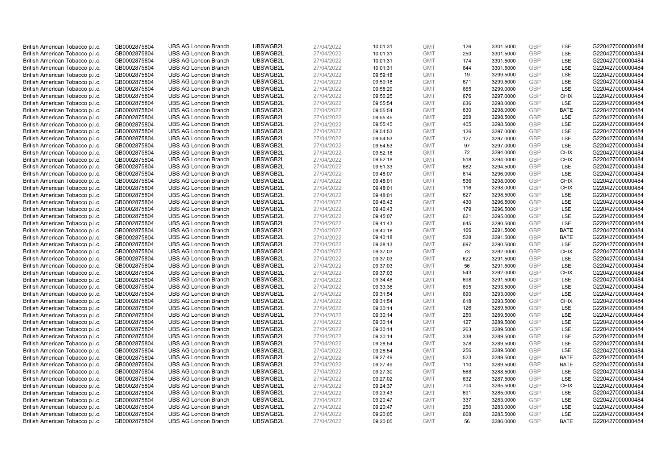| British American Tobacco p.l.c. | GB0002875804 | <b>UBS AG London Branch</b> | UBSWGB2L | 27/04/2022 | 10:01:31 | <b>GMT</b> | 126 | 3301.5000 | <b>GBP</b> | LSE         | G220427000000484 |
|---------------------------------|--------------|-----------------------------|----------|------------|----------|------------|-----|-----------|------------|-------------|------------------|
|                                 |              |                             |          |            |          |            | 250 |           | GBP        | LSE         |                  |
| British American Tobacco p.l.c. | GB0002875804 | <b>UBS AG London Branch</b> | UBSWGB2L | 27/04/2022 | 10:01:31 | <b>GMT</b> |     | 3301.5000 |            |             | G220427000000484 |
| British American Tobacco p.l.c. | GB0002875804 | <b>UBS AG London Branch</b> | UBSWGB2L | 27/04/2022 | 10:01:31 | <b>GMT</b> | 174 | 3301.5000 | <b>GBP</b> | LSE         | G220427000000484 |
| British American Tobacco p.l.c. | GB0002875804 | <b>UBS AG London Branch</b> | UBSWGB2L | 27/04/2022 | 10:01:31 | <b>GMT</b> | 644 | 3301.5000 | <b>GBP</b> | LSE         | G220427000000484 |
| British American Tobacco p.l.c. | GB0002875804 | <b>UBS AG London Branch</b> | UBSWGB2L | 27/04/2022 | 09:59:18 | <b>GMT</b> | 19  | 3299.5000 | <b>GBP</b> | LSE         | G220427000000484 |
| British American Tobacco p.l.c. | GB0002875804 | <b>UBS AG London Branch</b> | UBSWGB2L | 27/04/2022 | 09:59:18 | <b>GMT</b> | 671 | 3299.5000 | <b>GBP</b> | LSE         | G220427000000484 |
| British American Tobacco p.l.c. | GB0002875804 | <b>UBS AG London Branch</b> | UBSWGB2L | 27/04/2022 | 09:58:29 | <b>GMT</b> | 665 | 3299.0000 | <b>GBP</b> | LSE         | G220427000000484 |
| British American Tobacco p.l.c. | GB0002875804 | <b>UBS AG London Branch</b> | UBSWGB2L | 27/04/2022 | 09:56:25 | <b>GMT</b> | 676 | 3297.0000 | <b>GBP</b> | <b>CHIX</b> | G220427000000484 |
| British American Tobacco p.l.c. | GB0002875804 | <b>UBS AG London Branch</b> | UBSWGB2L | 27/04/2022 | 09:55:54 | <b>GMT</b> | 636 | 3298.0000 | <b>GBP</b> | LSE         | G220427000000484 |
| British American Tobacco p.l.c. | GB0002875804 | <b>UBS AG London Branch</b> | UBSWGB2L | 27/04/2022 | 09:55:54 | <b>GMT</b> | 630 | 3298.0000 | <b>GBP</b> | <b>BATE</b> | G220427000000484 |
| British American Tobacco p.l.c. | GB0002875804 | <b>UBS AG London Branch</b> | UBSWGB2L | 27/04/2022 | 09:55:45 | <b>GMT</b> | 269 | 3298.5000 | <b>GBP</b> | LSE         | G220427000000484 |
| British American Tobacco p.l.c. | GB0002875804 | <b>UBS AG London Branch</b> | UBSWGB2L | 27/04/2022 | 09:55:45 | <b>GMT</b> | 405 | 3298.5000 | <b>GBP</b> | LSE         | G220427000000484 |
| British American Tobacco p.l.c. | GB0002875804 | <b>UBS AG London Branch</b> | UBSWGB2L | 27/04/2022 | 09:54:53 | <b>GMT</b> | 126 | 3297.0000 | <b>GBP</b> | LSE         | G220427000000484 |
| British American Tobacco p.l.c. | GB0002875804 | <b>UBS AG London Branch</b> | UBSWGB2L | 27/04/2022 | 09:54:53 | <b>GMT</b> | 127 | 3297.0000 | <b>GBP</b> | LSE         | G220427000000484 |
| British American Tobacco p.l.c. | GB0002875804 | <b>UBS AG London Branch</b> | UBSWGB2L | 27/04/2022 | 09:54:53 | <b>GMT</b> | 97  | 3297.0000 | <b>GBP</b> | LSE         | G220427000000484 |
| British American Tobacco p.l.c. | GB0002875804 | <b>UBS AG London Branch</b> | UBSWGB2L | 27/04/2022 | 09:52:18 | <b>GMT</b> | 72  | 3294.0000 | <b>GBP</b> | <b>CHIX</b> | G220427000000484 |
| British American Tobacco p.l.c. | GB0002875804 | <b>UBS AG London Branch</b> | UBSWGB2L | 27/04/2022 | 09:52:18 | <b>GMT</b> | 518 | 3294.0000 | <b>GBP</b> | <b>CHIX</b> | G220427000000484 |
| British American Tobacco p.l.c. | GB0002875804 | <b>UBS AG London Branch</b> | UBSWGB2L | 27/04/2022 | 09:51:33 | <b>GMT</b> | 682 | 3294.5000 | <b>GBP</b> | LSE         | G220427000000484 |
|                                 |              | <b>UBS AG London Branch</b> | UBSWGB2L |            |          |            | 614 |           |            | <b>LSE</b>  |                  |
| British American Tobacco p.l.c. | GB0002875804 |                             |          | 27/04/2022 | 09:48:07 | <b>GMT</b> |     | 3296.0000 | <b>GBP</b> |             | G220427000000484 |
| British American Tobacco p.l.c. | GB0002875804 | <b>UBS AG London Branch</b> | UBSWGB2L | 27/04/2022 | 09:48:01 | <b>GMT</b> | 536 | 3298.0000 | <b>GBP</b> | <b>CHIX</b> | G220427000000484 |
| British American Tobacco p.l.c. | GB0002875804 | <b>UBS AG London Branch</b> | UBSWGB2L | 27/04/2022 | 09:48:01 | <b>GMT</b> | 116 | 3298.0000 | <b>GBP</b> | <b>CHIX</b> | G220427000000484 |
| British American Tobacco p.l.c. | GB0002875804 | <b>UBS AG London Branch</b> | UBSWGB2L | 27/04/2022 | 09:48:01 | <b>GMT</b> | 627 | 3298.5000 | <b>GBP</b> | LSE         | G220427000000484 |
| British American Tobacco p.l.c. | GB0002875804 | <b>UBS AG London Branch</b> | UBSWGB2L | 27/04/2022 | 09:46:43 | <b>GMT</b> | 430 | 3296.5000 | <b>GBP</b> | LSE         | G220427000000484 |
| British American Tobacco p.l.c. | GB0002875804 | <b>UBS AG London Branch</b> | UBSWGB2L | 27/04/2022 | 09:46:43 | <b>GMT</b> | 179 | 3296.5000 | <b>GBP</b> | LSE         | G220427000000484 |
| British American Tobacco p.l.c. | GB0002875804 | <b>UBS AG London Branch</b> | UBSWGB2L | 27/04/2022 | 09:45:07 | <b>GMT</b> | 621 | 3295.0000 | <b>GBP</b> | LSE         | G220427000000484 |
| British American Tobacco p.l.c. | GB0002875804 | <b>UBS AG London Branch</b> | UBSWGB2L | 27/04/2022 | 09:41:43 | <b>GMT</b> | 645 | 3290.5000 | <b>GBP</b> | LSE         | G220427000000484 |
| British American Tobacco p.l.c. | GB0002875804 | <b>UBS AG London Branch</b> | UBSWGB2L | 27/04/2022 | 09:40:18 | <b>GMT</b> | 166 | 3291.5000 | <b>GBP</b> | <b>BATE</b> | G220427000000484 |
| British American Tobacco p.l.c. | GB0002875804 | <b>UBS AG London Branch</b> | UBSWGB2L | 27/04/2022 | 09:40:18 | <b>GMT</b> | 528 | 3291.5000 | <b>GBP</b> | <b>BATE</b> | G220427000000484 |
| British American Tobacco p.l.c. | GB0002875804 | <b>UBS AG London Branch</b> | UBSWGB2L | 27/04/2022 | 09:38:13 | <b>GMT</b> | 697 | 3290.5000 | <b>GBP</b> | LSE         | G220427000000484 |
| British American Tobacco p.l.c. | GB0002875804 | <b>UBS AG London Branch</b> | UBSWGB2L | 27/04/2022 | 09:37:03 | <b>GMT</b> | 73  | 3292.0000 | <b>GBP</b> | <b>CHIX</b> | G220427000000484 |
| British American Tobacco p.l.c. | GB0002875804 | <b>UBS AG London Branch</b> | UBSWGB2L | 27/04/2022 | 09:37:03 | <b>GMT</b> | 622 | 3291.5000 | GBP        | LSE         | G220427000000484 |
| British American Tobacco p.l.c. | GB0002875804 | <b>UBS AG London Branch</b> | UBSWGB2L | 27/04/2022 | 09:37:03 | <b>GMT</b> | 56  | 3291.5000 | <b>GBP</b> | LSE         | G220427000000484 |
| British American Tobacco p.l.c. | GB0002875804 | <b>UBS AG London Branch</b> | UBSWGB2L | 27/04/2022 | 09:37:03 | <b>GMT</b> | 543 | 3292.0000 | <b>GBP</b> | <b>CHIX</b> | G220427000000484 |
| British American Tobacco p.l.c. | GB0002875804 | <b>UBS AG London Branch</b> | UBSWGB2L | 27/04/2022 | 09:34:48 | <b>GMT</b> | 698 | 3291.5000 | <b>GBP</b> | LSE         | G220427000000484 |
| British American Tobacco p.l.c. | GB0002875804 | <b>UBS AG London Branch</b> | UBSWGB2L | 27/04/2022 | 09:33:36 | <b>GMT</b> | 695 | 3293.5000 | <b>GBP</b> | LSE         | G220427000000484 |
| British American Tobacco p.l.c. | GB0002875804 | <b>UBS AG London Branch</b> | UBSWGB2L | 27/04/2022 | 09:31:54 | <b>GMT</b> | 690 | 3293.0000 | <b>GBP</b> | LSE         | G220427000000484 |
| British American Tobacco p.l.c. | GB0002875804 | <b>UBS AG London Branch</b> | UBSWGB2L | 27/04/2022 | 09:31:54 | <b>GMT</b> | 618 | 3293.5000 | <b>GBP</b> | <b>CHIX</b> | G220427000000484 |
| British American Tobacco p.l.c. | GB0002875804 | <b>UBS AG London Branch</b> | UBSWGB2L | 27/04/2022 | 09:30:14 | <b>GMT</b> | 126 | 3289.5000 | <b>GBP</b> | LSE         | G220427000000484 |
| British American Tobacco p.l.c. | GB0002875804 | <b>UBS AG London Branch</b> | UBSWGB2L | 27/04/2022 | 09:30:14 | <b>GMT</b> | 250 | 3289.5000 | <b>GBP</b> | LSE         | G220427000000484 |
| British American Tobacco p.l.c. | GB0002875804 | <b>UBS AG London Branch</b> | UBSWGB2L | 27/04/2022 | 09:30:14 | <b>GMT</b> | 127 | 3289.5000 | <b>GBP</b> | LSE         | G220427000000484 |
| British American Tobacco p.l.c. | GB0002875804 | <b>UBS AG London Branch</b> | UBSWGB2L | 27/04/2022 | 09:30:14 | <b>GMT</b> | 263 | 3289.5000 | <b>GBP</b> | LSE         | G220427000000484 |
| British American Tobacco p.l.c. | GB0002875804 | <b>UBS AG London Branch</b> | UBSWGB2L | 27/04/2022 | 09:30:14 | <b>GMT</b> | 338 | 3289.5000 | <b>GBP</b> | LSE         | G220427000000484 |
| British American Tobacco p.l.c. | GB0002875804 | <b>UBS AG London Branch</b> | UBSWGB2L | 27/04/2022 | 09:28:54 | <b>GMT</b> | 378 | 3289.5000 | <b>GBP</b> | LSE         | G220427000000484 |
| British American Tobacco p.l.c. | GB0002875804 | <b>UBS AG London Branch</b> | UBSWGB2L | 27/04/2022 | 09:28:54 | <b>GMT</b> | 256 | 3289.5000 | <b>GBP</b> | LSE         | G220427000000484 |
| British American Tobacco p.l.c. | GB0002875804 | <b>UBS AG London Branch</b> | UBSWGB2L | 27/04/2022 | 09:27:49 | <b>GMT</b> | 523 | 3289.5000 | <b>GBP</b> | <b>BATE</b> | G220427000000484 |
| British American Tobacco p.l.c. | GB0002875804 | <b>UBS AG London Branch</b> | UBSWGB2L | 27/04/2022 | 09:27:49 | <b>GMT</b> | 110 | 3289.5000 | <b>GBP</b> | <b>BATE</b> | G220427000000484 |
| British American Tobacco p.l.c. | GB0002875804 | <b>UBS AG London Branch</b> | UBSWGB2L | 27/04/2022 | 09:27:30 | <b>GMT</b> | 568 | 3288.5000 | <b>GBP</b> | LSE         | G220427000000484 |
| British American Tobacco p.l.c. | GB0002875804 | <b>UBS AG London Branch</b> | UBSWGB2L | 27/04/2022 | 09:27:02 | <b>GMT</b> | 632 | 3287.5000 | <b>GBP</b> | LSE         | G220427000000484 |
|                                 |              |                             |          |            |          | <b>GMT</b> |     |           | <b>GBP</b> |             |                  |
| British American Tobacco p.l.c. | GB0002875804 | <b>UBS AG London Branch</b> | UBSWGB2L | 27/04/2022 | 09:24:37 |            | 704 | 3285.5000 | <b>GBP</b> | <b>CHIX</b> | G220427000000484 |
| British American Tobacco p.l.c. | GB0002875804 | <b>UBS AG London Branch</b> | UBSWGB2L | 27/04/2022 | 09:23:43 | <b>GMT</b> | 691 | 3285.0000 |            | LSE         | G220427000000484 |
| British American Tobacco p.l.c. | GB0002875804 | <b>UBS AG London Branch</b> | UBSWGB2L | 27/04/2022 | 09:20:47 | <b>GMT</b> | 337 | 3283.0000 | <b>GBP</b> | LSE         | G220427000000484 |
| British American Tobacco p.l.c. | GB0002875804 | <b>UBS AG London Branch</b> | UBSWGB2L | 27/04/2022 | 09:20:47 | <b>GMT</b> | 250 | 3283.0000 | <b>GBP</b> | LSE         | G220427000000484 |
| British American Tobacco p.l.c. | GB0002875804 | <b>UBS AG London Branch</b> | UBSWGB2L | 27/04/2022 | 09:20:05 | <b>GMT</b> | 668 | 3285.5000 | <b>GBP</b> | LSE         | G220427000000484 |
| British American Tobacco p.l.c. | GB0002875804 | <b>UBS AG London Branch</b> | UBSWGB2L | 27/04/2022 | 09:20:05 | <b>GMT</b> | 56  | 3286.0000 | GBP        | <b>BATE</b> | G220427000000484 |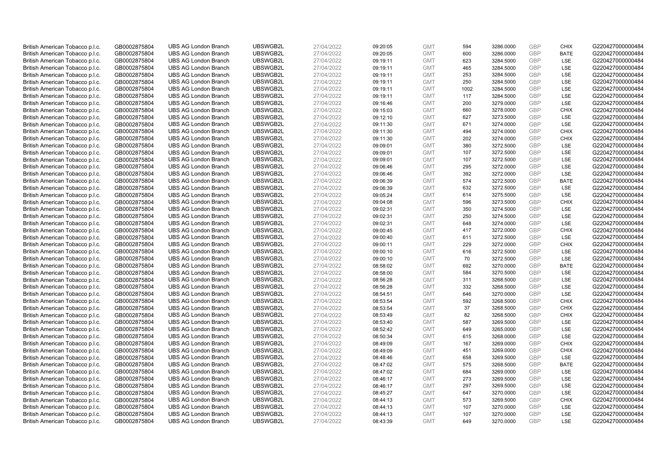| British American Tobacco p.l.c.                                    | GB0002875804                 | <b>UBS AG London Branch</b>                                | UBSWGB2L             | 27/04/2022               | 09:20:05             | <b>GMT</b>               | 594        | 3286.0000              | <b>GBP</b>               | <b>CHIX</b>        | G220427000000484                     |
|--------------------------------------------------------------------|------------------------------|------------------------------------------------------------|----------------------|--------------------------|----------------------|--------------------------|------------|------------------------|--------------------------|--------------------|--------------------------------------|
| British American Tobacco p.l.c.                                    | GB0002875804                 | <b>UBS AG London Branch</b>                                | UBSWGB2L             | 27/04/2022               | 09:20:05             | <b>GMT</b>               | 600        | 3286.0000              | <b>GBP</b>               | <b>BATE</b>        | G220427000000484                     |
| British American Tobacco p.l.c.                                    | GB0002875804                 | <b>UBS AG London Branch</b>                                | UBSWGB2L             | 27/04/2022               | 09:19:11             | <b>GMT</b>               | 623        | 3284.5000              | <b>GBP</b>               | LSE                | G220427000000484                     |
| British American Tobacco p.l.c.                                    | GB0002875804                 | <b>UBS AG London Branch</b>                                | UBSWGB2L             | 27/04/2022               | 09:19:11             | <b>GMT</b>               | 465        | 3284.5000              | <b>GBP</b>               | LSE                | G220427000000484                     |
| British American Tobacco p.l.c.                                    | GB0002875804                 | <b>UBS AG London Branch</b>                                | UBSWGB2L             | 27/04/2022               | 09:19:11             | <b>GMT</b>               | 253        | 3284.5000              | <b>GBP</b>               | LSE                | G220427000000484                     |
| British American Tobacco p.l.c.                                    | GB0002875804                 | <b>UBS AG London Branch</b>                                | UBSWGB2L             | 27/04/2022               | 09:19:11             | <b>GMT</b>               | 250        | 3284.5000              | GBP                      | LSE                | G220427000000484                     |
| British American Tobacco p.l.c.                                    | GB0002875804                 | <b>UBS AG London Branch</b>                                | UBSWGB2L             | 27/04/2022               | 09:19:11             | <b>GMT</b>               | 1002       | 3284.5000              | <b>GBP</b>               | LSE                | G220427000000484                     |
| British American Tobacco p.l.c.                                    | GB0002875804                 | <b>UBS AG London Branch</b>                                | UBSWGB2L             | 27/04/2022               | 09:19:11             | <b>GMT</b>               | 117        | 3284.5000              | <b>GBP</b>               | LSE                | G220427000000484                     |
| British American Tobacco p.l.c.                                    | GB0002875804                 | <b>UBS AG London Branch</b>                                | UBSWGB2L             | 27/04/2022               | 09:16:46             | <b>GMT</b>               | 200        | 3279.0000              | <b>GBP</b>               | LSE                | G220427000000484                     |
| British American Tobacco p.l.c.                                    | GB0002875804                 | <b>UBS AG London Branch</b>                                | UBSWGB2L             | 27/04/2022               | 09:15:03             | <b>GMT</b>               | 660        | 3278.0000              | <b>GBP</b>               | <b>CHIX</b>        | G220427000000484                     |
| British American Tobacco p.l.c.                                    | GB0002875804                 | <b>UBS AG London Branch</b>                                | UBSWGB2L             | 27/04/2022               | 09:12:10             | <b>GMT</b>               | 627        | 3273.5000              | <b>GBP</b>               | LSE                | G220427000000484                     |
| British American Tobacco p.l.c.                                    | GB0002875804                 | <b>UBS AG London Branch</b>                                | UBSWGB2L             | 27/04/2022               | 09:11:30             | <b>GMT</b>               | 671        | 3274.0000              | <b>GBP</b>               | LSE                | G220427000000484                     |
| British American Tobacco p.l.c.                                    | GB0002875804                 | <b>UBS AG London Branch</b>                                | UBSWGB2L             | 27/04/2022               | 09:11:30             | <b>GMT</b>               | 494        | 3274.0000              | <b>GBP</b>               | <b>CHIX</b>        | G220427000000484                     |
| British American Tobacco p.l.c.                                    | GB0002875804                 | <b>UBS AG London Branch</b>                                | UBSWGB2L             | 27/04/2022               | 09:11:30             | <b>GMT</b>               | 202        | 3274.0000              | <b>GBP</b>               | <b>CHIX</b>        | G220427000000484                     |
| British American Tobacco p.l.c.                                    | GB0002875804                 | <b>UBS AG London Branch</b>                                | UBSWGB2L             | 27/04/2022               | 09:09:01             | <b>GMT</b>               | 380        | 3272.5000              | <b>GBP</b>               | LSE                | G220427000000484                     |
| British American Tobacco p.l.c.                                    | GB0002875804                 | <b>UBS AG London Branch</b>                                | UBSWGB2L             | 27/04/2022               | 09:09:01             | <b>GMT</b>               | 107        | 3272.5000              | <b>GBP</b>               | LSE                | G220427000000484                     |
| British American Tobacco p.l.c.                                    | GB0002875804                 | <b>UBS AG London Branch</b>                                | UBSWGB2L             | 27/04/2022               | 09:09:01             | <b>GMT</b>               | 107        | 3272.5000              | <b>GBP</b>               | LSE                | G220427000000484                     |
| British American Tobacco p.l.c.                                    | GB0002875804                 | <b>UBS AG London Branch</b>                                | UBSWGB2L             | 27/04/2022               | 09:06:46             | <b>GMT</b>               | 295        | 3272.0000              | <b>GBP</b>               | LSE                | G220427000000484                     |
| British American Tobacco p.l.c.                                    | GB0002875804                 | <b>UBS AG London Branch</b>                                | UBSWGB2L             | 27/04/2022               | 09:06:46             | <b>GMT</b>               | 392        | 3272.0000              | <b>GBP</b>               | LSE                | G220427000000484                     |
| British American Tobacco p.l.c.                                    | GB0002875804                 | <b>UBS AG London Branch</b>                                | UBSWGB2L             | 27/04/2022               | 09:06:39             | <b>GMT</b>               | 574        | 3272.5000              | <b>GBP</b>               | <b>BATE</b>        | G220427000000484                     |
| British American Tobacco p.l.c.                                    | GB0002875804                 | <b>UBS AG London Branch</b>                                | UBSWGB2L             | 27/04/2022               | 09:06:39             | <b>GMT</b>               | 632        | 3272.5000              | <b>GBP</b>               | LSE                | G220427000000484                     |
| British American Tobacco p.l.c.                                    | GB0002875804                 | <b>UBS AG London Branch</b>                                | UBSWGB2L             | 27/04/2022               | 09:05:24             | <b>GMT</b>               | 614        | 3275.5000              | <b>GBP</b>               | LSE                | G220427000000484                     |
| British American Tobacco p.l.c.                                    | GB0002875804                 | <b>UBS AG London Branch</b>                                | UBSWGB2L             | 27/04/2022               | 09:04:08             | <b>GMT</b>               | 596        | 3273.5000              | <b>GBP</b>               | <b>CHIX</b>        | G220427000000484                     |
| British American Tobacco p.l.c.                                    | GB0002875804                 | <b>UBS AG London Branch</b>                                | UBSWGB2L             | 27/04/2022               | 09:02:31             | <b>GMT</b>               | 350        | 3274.5000              | <b>GBP</b>               | LSE                | G220427000000484                     |
| British American Tobacco p.l.c.                                    | GB0002875804                 | <b>UBS AG London Branch</b>                                | UBSWGB2L             | 27/04/2022               | 09:02:31             | <b>GMT</b>               | 250        | 3274.5000              | <b>GBP</b>               | LSE                | G220427000000484                     |
| British American Tobacco p.l.c.                                    | GB0002875804                 | <b>UBS AG London Branch</b>                                | UBSWGB2L             | 27/04/2022               | 09:02:31             | <b>GMT</b>               | 648        | 3274.0000              | <b>GBP</b>               | LSE                | G220427000000484                     |
| British American Tobacco p.l.c.                                    | GB0002875804                 | <b>UBS AG London Branch</b>                                | UBSWGB2L             | 27/04/2022               | 09:00:45             | <b>GMT</b>               | 417        | 3272.0000              | <b>GBP</b>               | <b>CHIX</b>        | G220427000000484                     |
| British American Tobacco p.l.c.                                    | GB0002875804                 | <b>UBS AG London Branch</b>                                | UBSWGB2L             | 27/04/2022               | 09:00:40             | <b>GMT</b>               | 611        | 3272.5000              | <b>GBP</b>               | LSE                | G220427000000484                     |
| British American Tobacco p.l.c.                                    | GB0002875804                 | <b>UBS AG London Branch</b>                                | UBSWGB2L             | 27/04/2022               | 09:00:11             | <b>GMT</b>               | 229        | 3272.0000              | <b>GBP</b>               | <b>CHIX</b>        | G220427000000484                     |
| British American Tobacco p.l.c.                                    | GB0002875804                 | <b>UBS AG London Branch</b>                                | UBSWGB2L             | 27/04/2022               | 09:00:10             | <b>GMT</b>               | 616        | 3272.5000              | <b>GBP</b>               | LSE                | G220427000000484                     |
| British American Tobacco p.l.c.                                    | GB0002875804                 | <b>UBS AG London Branch</b>                                | UBSWGB2L             | 27/04/2022               | 09:00:10             | <b>GMT</b>               | 70         | 3272.5000              | <b>GBP</b>               | LSE                | G220427000000484                     |
| British American Tobacco p.l.c.                                    | GB0002875804                 | <b>UBS AG London Branch</b>                                | UBSWGB2L             | 27/04/2022               | 08:58:02             | <b>GMT</b>               | 692        | 3270.0000              | <b>GBP</b>               | <b>BATE</b>        | G220427000000484                     |
| British American Tobacco p.l.c.                                    | GB0002875804                 | <b>UBS AG London Branch</b>                                | UBSWGB2L             | 27/04/2022               | 08:58:00             | <b>GMT</b>               | 584        | 3270.5000              | <b>GBP</b>               | LSE                | G220427000000484                     |
| British American Tobacco p.l.c.                                    | GB0002875804                 | <b>UBS AG London Branch</b>                                | UBSWGB2L             | 27/04/2022               | 08:56:28             | <b>GMT</b>               | 311        | 3268.5000              | <b>GBP</b>               | LSE                | G220427000000484                     |
| British American Tobacco p.l.c.                                    | GB0002875804                 | <b>UBS AG London Branch</b>                                | UBSWGB2L             | 27/04/2022               | 08:56:28             | <b>GMT</b>               | 332        | 3268.5000              | <b>GBP</b>               | LSE                | G220427000000484                     |
| British American Tobacco p.l.c.                                    | GB0002875804                 | <b>UBS AG London Branch</b>                                | UBSWGB2L             | 27/04/2022               | 08:54:51             | <b>GMT</b>               | 646        | 3270.0000              | <b>GBP</b>               | LSE                | G220427000000484                     |
| British American Tobacco p.l.c.                                    | GB0002875804                 | <b>UBS AG London Branch</b>                                | UBSWGB2L             | 27/04/2022               | 08:53:54             | <b>GMT</b>               | 592        | 3268.5000              | <b>GBP</b>               | <b>CHIX</b>        | G220427000000484                     |
| British American Tobacco p.l.c.                                    | GB0002875804                 | <b>UBS AG London Branch</b>                                | UBSWGB2L             | 27/04/2022               | 08:53:54             | <b>GMT</b>               | 37         | 3268.5000              | <b>GBP</b>               | <b>CHIX</b>        | G220427000000484                     |
| British American Tobacco p.l.c.                                    | GB0002875804                 | <b>UBS AG London Branch</b>                                | UBSWGB2L             | 27/04/2022               | 08:53:49             | <b>GMT</b>               | 82         | 3268.5000              | <b>GBP</b>               | <b>CHIX</b>        | G220427000000484                     |
| British American Tobacco p.l.c.                                    | GB0002875804                 | <b>UBS AG London Branch</b>                                | UBSWGB2L             | 27/04/2022               | 08:53:40             | <b>GMT</b>               | 587        | 3269.5000              | <b>GBP</b>               | LSE                | G220427000000484                     |
| British American Tobacco p.l.c.                                    | GB0002875804                 | <b>UBS AG London Branch</b>                                | UBSWGB2L             | 27/04/2022               | 08:52:42             | <b>GMT</b>               | 649        | 3265.0000              | <b>GBP</b>               | LSE                | G220427000000484                     |
| British American Tobacco p.l.c.                                    | GB0002875804                 | <b>UBS AG London Branch</b>                                | UBSWGB2L             | 27/04/2022               | 08:50:34             | <b>GMT</b>               | 615        | 3268.0000              | <b>GBP</b>               | LSE                | G220427000000484                     |
| British American Tobacco p.l.c.                                    | GB0002875804                 | <b>UBS AG London Branch</b>                                | UBSWGB2L             | 27/04/2022               | 08:49:09             | <b>GMT</b>               | 167        | 3269.0000              | <b>GBP</b>               | <b>CHIX</b>        | G220427000000484                     |
| British American Tobacco p.l.c.                                    | GB0002875804                 | <b>UBS AG London Branch</b>                                | UBSWGB2L             | 27/04/2022               | 08:49:09             | <b>GMT</b>               | 451        | 3269.0000              | <b>GBP</b>               | <b>CHIX</b>        | G220427000000484                     |
| British American Tobacco p.l.c.                                    | GB0002875804                 | <b>UBS AG London Branch</b>                                | UBSWGB2L             | 27/04/2022               | 08:48:46             | <b>GMT</b>               | 658        | 3269.5000              | <b>GBP</b>               | <b>LSE</b>         | G220427000000484                     |
| British American Tobacco p.l.c.                                    | GB0002875804                 | <b>UBS AG London Branch</b>                                | UBSWGB2L             | 27/04/2022               | 08:47:02             | <b>GMT</b>               | 575        | 3268.5000              | <b>GBP</b>               | <b>BATE</b>        | G220427000000484                     |
| British American Tobacco p.l.c.                                    | GB0002875804                 | <b>UBS AG London Branch</b>                                | UBSWGB2L             | 27/04/2022               | 08:47:02             | <b>GMT</b>               | 684        | 3269.0000              | <b>GBP</b>               | LSE                | G220427000000484                     |
| British American Tobacco p.l.c.                                    | GB0002875804                 | <b>UBS AG London Branch</b>                                | UBSWGB2L             | 27/04/2022               | 08:46:17             | <b>GMT</b>               | 273        | 3269.5000              | <b>GBP</b>               | LSE                | G220427000000484                     |
| British American Tobacco p.l.c.                                    | GB0002875804                 | <b>UBS AG London Branch</b>                                | UBSWGB2L             | 27/04/2022               | 08:46:17             | <b>GMT</b>               | 297        | 3269.5000              | <b>GBP</b>               | LSE                | G220427000000484                     |
| British American Tobacco p.l.c.                                    | GB0002875804                 | <b>UBS AG London Branch</b>                                | UBSWGB2L             | 27/04/2022               | 08:45:27             | <b>GMT</b>               | 647        | 3270.0000              | <b>GBP</b>               | LSE                | G220427000000484                     |
| British American Tobacco p.l.c.                                    | GB0002875804                 | <b>UBS AG London Branch</b>                                | UBSWGB2L<br>UBSWGB2L | 27/04/2022               | 08:44:13             | <b>GMT</b>               | 573<br>107 | 3269.5000              | <b>GBP</b>               | <b>CHIX</b><br>LSE | G220427000000484<br>G220427000000484 |
| British American Tobacco p.l.c.                                    | GB0002875804<br>GB0002875804 | <b>UBS AG London Branch</b><br><b>UBS AG London Branch</b> | UBSWGB2L             | 27/04/2022<br>27/04/2022 | 08:44:13             | <b>GMT</b><br><b>GMT</b> | 107        | 3270.0000              | <b>GBP</b><br><b>GBP</b> | LSE                | G220427000000484                     |
| British American Tobacco p.l.c.<br>British American Tobacco p.l.c. | GB0002875804                 | <b>UBS AG London Branch</b>                                | UBSWGB2L             | 27/04/2022               | 08:44:13<br>08:43:39 | <b>GMT</b>               | 649        | 3270.0000<br>3270.0000 | GBP                      | LSE                | G220427000000484                     |
|                                                                    |                              |                                                            |                      |                          |                      |                          |            |                        |                          |                    |                                      |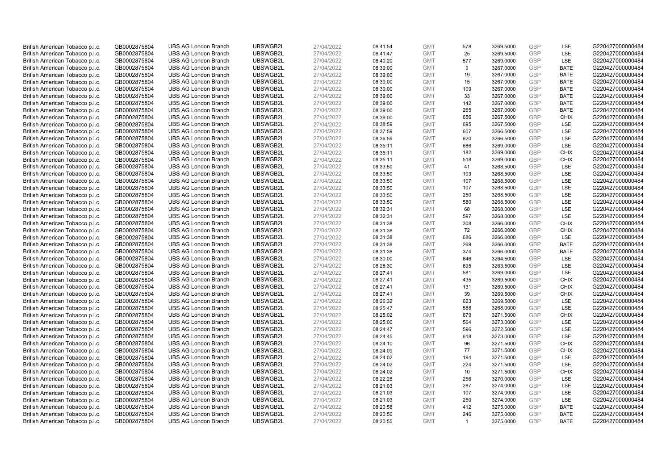| British American Tobacco p.l.c.                                    | GB0002875804 | <b>UBS AG London Branch</b>                                | UBSWGB2L             | 27/04/2022               | 08:41:54 | <b>GMT</b>               | 578                   | 3269.5000              | <b>GBP</b>               | LSE                        | G220427000000484                     |
|--------------------------------------------------------------------|--------------|------------------------------------------------------------|----------------------|--------------------------|----------|--------------------------|-----------------------|------------------------|--------------------------|----------------------------|--------------------------------------|
| British American Tobacco p.l.c.                                    | GB0002875804 | <b>UBS AG London Branch</b>                                | UBSWGB2L             | 27/04/2022               | 08:41:47 | <b>GMT</b>               | 25                    | 3269.5000              | GBP                      | LSE                        | G220427000000484                     |
| British American Tobacco p.l.c.                                    | GB0002875804 | <b>UBS AG London Branch</b>                                | UBSWGB2L             | 27/04/2022               | 08:40:20 | <b>GMT</b>               | 577                   | 3269.0000              | GBP                      | LSE                        | G220427000000484                     |
| British American Tobacco p.l.c.                                    | GB0002875804 | <b>UBS AG London Branch</b>                                | UBSWGB2L             | 27/04/2022               | 08:39:00 | <b>GMT</b>               | 9                     | 3267.0000              | GBP                      | <b>BATE</b>                | G220427000000484                     |
| British American Tobacco p.l.c.                                    | GB0002875804 | <b>UBS AG London Branch</b>                                | UBSWGB2L             | 27/04/2022               | 08:39:00 | <b>GMT</b>               | 19                    | 3267.0000              | GBP                      | <b>BATE</b>                | G220427000000484                     |
| British American Tobacco p.l.c.                                    | GB0002875804 | <b>UBS AG London Branch</b>                                | UBSWGB2L             | 27/04/2022               | 08:39:00 | <b>GMT</b>               | 15                    | 3267.0000              | <b>GBP</b>               | <b>BATE</b>                | G220427000000484                     |
| British American Tobacco p.l.c.                                    | GB0002875804 | <b>UBS AG London Branch</b>                                | UBSWGB2L             | 27/04/2022               | 08:39:00 | <b>GMT</b>               | 109                   | 3267.0000              | GBP                      | <b>BATE</b>                | G220427000000484                     |
| British American Tobacco p.l.c.                                    | GB0002875804 | <b>UBS AG London Branch</b>                                | UBSWGB2L             | 27/04/2022               | 08:39:00 | <b>GMT</b>               | 33                    | 3267.0000              | <b>GBP</b>               | <b>BATE</b>                | G220427000000484                     |
| British American Tobacco p.l.c.                                    | GB0002875804 | <b>UBS AG London Branch</b>                                | UBSWGB2L             | 27/04/2022               | 08:39:00 | <b>GMT</b>               | 142                   | 3267.0000              | GBP                      | <b>BATE</b>                | G220427000000484                     |
| British American Tobacco p.l.c.                                    | GB0002875804 | <b>UBS AG London Branch</b>                                | UBSWGB2L             | 27/04/2022               | 08:39:00 | <b>GMT</b>               | 265                   | 3267.0000              | <b>GBP</b>               | <b>BATE</b>                | G220427000000484                     |
| British American Tobacco p.l.c.                                    | GB0002875804 | <b>UBS AG London Branch</b>                                | UBSWGB2L             | 27/04/2022               | 08:39:00 | <b>GMT</b>               | 656                   | 3267.5000              | GBP                      | <b>CHIX</b>                | G220427000000484                     |
| British American Tobacco p.l.c.                                    | GB0002875804 | <b>UBS AG London Branch</b>                                | UBSWGB2L             | 27/04/2022               | 08:38:59 | <b>GMT</b>               | 695                   | 3267.5000              | <b>GBP</b>               | LSE                        | G220427000000484                     |
| British American Tobacco p.l.c.                                    | GB0002875804 | <b>UBS AG London Branch</b>                                | UBSWGB2L             | 27/04/2022               | 08:37:59 | <b>GMT</b>               | 607                   | 3266.5000              | <b>GBP</b>               | LSE                        | G220427000000484                     |
| British American Tobacco p.l.c.                                    | GB0002875804 | <b>UBS AG London Branch</b>                                | UBSWGB2L             | 27/04/2022               | 08:36:59 | <b>GMT</b>               | 620                   | 3266.5000              | <b>GBP</b>               | LSE                        | G220427000000484                     |
| British American Tobacco p.l.c.                                    | GB0002875804 | <b>UBS AG London Branch</b>                                | UBSWGB2L             | 27/04/2022               | 08:35:11 | <b>GMT</b>               | 686                   | 3269.0000              | <b>GBP</b>               | <b>LSE</b>                 | G220427000000484                     |
| British American Tobacco p.l.c.                                    | GB0002875804 | <b>UBS AG London Branch</b>                                | UBSWGB2L             | 27/04/2022               | 08:35:11 | <b>GMT</b>               | 182                   | 3269.0000              | GBP                      | <b>CHIX</b>                | G220427000000484                     |
| British American Tobacco p.l.c.                                    | GB0002875804 | <b>UBS AG London Branch</b>                                | UBSWGB2L             | 27/04/2022               | 08:35:11 | <b>GMT</b>               | 518                   | 3269.0000              | GBP                      | <b>CHIX</b>                | G220427000000484                     |
| British American Tobacco p.l.c.                                    | GB0002875804 | <b>UBS AG London Branch</b>                                | UBSWGB2L             | 27/04/2022               | 08:33:50 | <b>GMT</b>               | 41                    | 3268.5000              | <b>GBP</b>               | LSE                        | G220427000000484                     |
| British American Tobacco p.l.c.                                    | GB0002875804 | <b>UBS AG London Branch</b>                                | UBSWGB2L             | 27/04/2022               | 08:33:50 | <b>GMT</b>               | 103                   | 3268.5000              | <b>GBP</b>               | <b>LSE</b>                 | G220427000000484                     |
| British American Tobacco p.l.c.                                    | GB0002875804 | <b>UBS AG London Branch</b>                                | UBSWGB2L             | 27/04/2022               | 08:33:50 | <b>GMT</b>               | 107                   | 3268.5000              | GBP                      | LSE                        | G220427000000484                     |
| British American Tobacco p.l.c.                                    | GB0002875804 | <b>UBS AG London Branch</b>                                | UBSWGB2L             | 27/04/2022               | 08:33:50 | <b>GMT</b>               | 107                   | 3268.5000              | <b>GBP</b>               | LSE                        | G220427000000484                     |
| British American Tobacco p.l.c.                                    | GB0002875804 | <b>UBS AG London Branch</b>                                | UBSWGB2L             | 27/04/2022               | 08:33:50 | <b>GMT</b>               | 250                   | 3268.5000              | <b>GBP</b>               | LSE                        | G220427000000484                     |
| British American Tobacco p.l.c.                                    | GB0002875804 | <b>UBS AG London Branch</b>                                | UBSWGB2L             | 27/04/2022               | 08:33:50 | <b>GMT</b>               | 580                   | 3268.5000              | <b>GBP</b>               | LSE                        | G220427000000484                     |
| British American Tobacco p.l.c.                                    | GB0002875804 | <b>UBS AG London Branch</b>                                | UBSWGB2L             | 27/04/2022               | 08:32:31 | <b>GMT</b>               | 68                    | 3268.0000              | GBP                      | LSE                        | G220427000000484                     |
| British American Tobacco p.l.c.                                    | GB0002875804 | <b>UBS AG London Branch</b>                                | UBSWGB2L             | 27/04/2022               | 08:32:31 | <b>GMT</b>               | 597                   | 3268.0000              | <b>GBP</b>               | LSE                        | G220427000000484                     |
| British American Tobacco p.l.c.                                    | GB0002875804 | <b>UBS AG London Branch</b>                                | UBSWGB2L             | 27/04/2022               | 08:31:38 | <b>GMT</b>               | 308                   | 3266.0000              | GBP                      | <b>CHIX</b>                | G220427000000484                     |
| British American Tobacco p.l.c.                                    | GB0002875804 | <b>UBS AG London Branch</b>                                | UBSWGB2L             | 27/04/2022               | 08:31:38 | <b>GMT</b>               | 72                    | 3266.0000              | <b>GBP</b>               | <b>CHIX</b>                | G220427000000484                     |
| British American Tobacco p.l.c.                                    | GB0002875804 | <b>UBS AG London Branch</b>                                | UBSWGB2L             | 27/04/2022               | 08:31:38 | <b>GMT</b>               | 686                   | 3266.0000              | <b>GBP</b>               | <b>LSE</b>                 | G220427000000484                     |
| British American Tobacco p.l.c.                                    | GB0002875804 | <b>UBS AG London Branch</b>                                | UBSWGB2L             | 27/04/2022               | 08:31:38 | <b>GMT</b>               | 269                   | 3266.0000              | GBP                      | <b>BATE</b>                | G220427000000484                     |
| British American Tobacco p.l.c.                                    | GB0002875804 | <b>UBS AG London Branch</b>                                | UBSWGB2L             | 27/04/2022               | 08:31:38 | <b>GMT</b>               | 374                   | 3266.0000              | GBP                      | <b>BATE</b>                | G220427000000484                     |
| British American Tobacco p.l.c.                                    | GB0002875804 | <b>UBS AG London Branch</b>                                | UBSWGB2L             | 27/04/2022               | 08:30:00 | <b>GMT</b>               | 646                   | 3264.5000              | GBP                      | LSE                        | G220427000000484                     |
| British American Tobacco p.l.c.                                    | GB0002875804 | <b>UBS AG London Branch</b>                                | UBSWGB2L             | 27/04/2022               | 08:28:30 | <b>GMT</b>               | 695                   | 3263.5000              | GBP                      | <b>LSE</b>                 | G220427000000484                     |
| British American Tobacco p.l.c.                                    | GB0002875804 | <b>UBS AG London Branch</b>                                | UBSWGB2L             | 27/04/2022               | 08:27:41 | <b>GMT</b>               | 581                   | 3269.0000              | GBP                      | LSE                        | G220427000000484                     |
| British American Tobacco p.l.c.                                    | GB0002875804 | <b>UBS AG London Branch</b>                                | UBSWGB2L             | 27/04/2022               | 08:27:41 | <b>GMT</b>               | 435                   | 3269.5000              | GBP                      | <b>CHIX</b>                | G220427000000484                     |
| British American Tobacco p.l.c.                                    | GB0002875804 | <b>UBS AG London Branch</b>                                | UBSWGB2L             | 27/04/2022               | 08:27:41 | <b>GMT</b>               | 131                   | 3269.5000              | GBP                      | <b>CHIX</b>                | G220427000000484                     |
| British American Tobacco p.l.c.                                    | GB0002875804 | <b>UBS AG London Branch</b>                                | UBSWGB2L             | 27/04/2022               | 08:27:41 | <b>GMT</b>               | 39                    | 3269.5000              | <b>GBP</b>               | <b>CHIX</b>                | G220427000000484                     |
| British American Tobacco p.l.c.                                    | GB0002875804 | <b>UBS AG London Branch</b>                                | UBSWGB2L             | 27/04/2022               | 08:26:32 | <b>GMT</b>               | 623                   | 3269.5000              | GBP                      | <b>LSE</b>                 | G220427000000484                     |
| British American Tobacco p.l.c.                                    | GB0002875804 | <b>UBS AG London Branch</b>                                | UBSWGB2L             | 27/04/2022               | 08:25:47 | <b>GMT</b>               | 588                   | 3268.0000              | <b>GBP</b>               | LSE                        | G220427000000484                     |
| British American Tobacco p.l.c.                                    | GB0002875804 | <b>UBS AG London Branch</b>                                | UBSWGB2L             | 27/04/2022               | 08:25:02 | <b>GMT</b>               | 679                   | 3271.5000              | GBP                      | <b>CHIX</b>                | G220427000000484                     |
| British American Tobacco p.l.c.                                    | GB0002875804 | <b>UBS AG London Branch</b>                                | UBSWGB2L             | 27/04/2022               | 08:25:00 | <b>GMT</b>               | 564                   | 3273.0000              | <b>GBP</b>               | <b>LSE</b>                 | G220427000000484                     |
| British American Tobacco p.l.c.                                    | GB0002875804 | <b>UBS AG London Branch</b>                                | UBSWGB2L             | 27/04/2022               | 08:24:47 | <b>GMT</b>               | 596                   | 3272.5000              | <b>GBP</b>               | LSE                        | G220427000000484                     |
| British American Tobacco p.l.c.                                    | GB0002875804 | <b>UBS AG London Branch</b>                                | UBSWGB2L             | 27/04/2022               | 08:24:45 | <b>GMT</b>               | 618                   | 3273.0000              | GBP                      | LSE                        | G220427000000484                     |
| British American Tobacco p.l.c.                                    | GB0002875804 | <b>UBS AG London Branch</b>                                | UBSWGB2L             | 27/04/2022               | 08:24:10 | <b>GMT</b>               | 96                    | 3271.5000              | GBP                      | <b>CHIX</b>                | G220427000000484                     |
| British American Tobacco p.l.c.                                    | GB0002875804 | <b>UBS AG London Branch</b>                                | UBSWGB2L             | 27/04/2022               | 08:24:09 | <b>GMT</b>               | 77                    | 3271.5000              | GBP                      | <b>CHIX</b>                | G220427000000484                     |
| British American Tobacco p.l.c.                                    | GB0002875804 | <b>UBS AG London Branch</b>                                | UBSWGB2L             | 27/04/2022               | 08:24:02 | <b>GMT</b>               | 194                   | 3271.5000              | GBP                      | <b>LSE</b>                 | G220427000000484                     |
| British American Tobacco p.l.c.                                    | GB0002875804 | <b>UBS AG London Branch</b>                                | UBSWGB2L             | 27/04/2022               | 08:24:02 | <b>GMT</b>               | 224                   | 3271.5000              | <b>GBP</b>               | LSE                        | G220427000000484                     |
| British American Tobacco p.l.c.                                    | GB0002875804 | <b>UBS AG London Branch</b>                                | UBSWGB2L             | 27/04/2022               | 08:24:02 | <b>GMT</b>               | 10                    | 3271.5000              | <b>GBP</b>               | <b>CHIX</b>                | G220427000000484                     |
| British American Tobacco p.l.c.                                    | GB0002875804 | <b>UBS AG London Branch</b>                                | UBSWGB2L             | 27/04/2022               | 08:22:28 | <b>GMT</b>               | 256                   | 3270.0000              | <b>GBP</b>               | LSE                        | G220427000000484                     |
|                                                                    |              |                                                            |                      |                          |          | <b>GMT</b>               |                       |                        | GBP                      |                            |                                      |
| British American Tobacco p.l.c.<br>British American Tobacco p.l.c. | GB0002875804 | <b>UBS AG London Branch</b><br><b>UBS AG London Branch</b> | UBSWGB2L<br>UBSWGB2L | 27/04/2022<br>27/04/2022 | 08:21:03 | <b>GMT</b>               | 287                   | 3274.0000              | <b>GBP</b>               | LSE<br>LSE                 | G220427000000484<br>G220427000000484 |
|                                                                    | GB0002875804 |                                                            |                      |                          | 08:21:03 |                          | 107                   | 3274.0000              |                          |                            |                                      |
| British American Tobacco p.l.c.                                    | GB0002875804 | <b>UBS AG London Branch</b><br><b>UBS AG London Branch</b> | UBSWGB2L<br>UBSWGB2L | 27/04/2022               | 08:21:03 | <b>GMT</b><br><b>GMT</b> | 250<br>412            | 3274.0000              | <b>GBP</b><br><b>GBP</b> | LSE<br><b>BATE</b>         | G220427000000484<br>G220427000000484 |
| British American Tobacco p.l.c.                                    | GB0002875804 |                                                            |                      | 27/04/2022               | 08:20:58 |                          |                       | 3275.0000              | GBP                      |                            | G220427000000484                     |
| British American Tobacco p.l.c.                                    | GB0002875804 | <b>UBS AG London Branch</b>                                | UBSWGB2L             | 27/04/2022               | 08:20:56 | <b>GMT</b><br><b>GMT</b> | 246<br>$\overline{1}$ | 3275.0000<br>3275.0000 | GBP                      | <b>BATE</b><br><b>BATE</b> |                                      |
| British American Tobacco p.l.c.                                    | GB0002875804 | <b>UBS AG London Branch</b>                                | UBSWGB2L             | 27/04/2022               | 08:20:55 |                          |                       |                        |                          |                            | G220427000000484                     |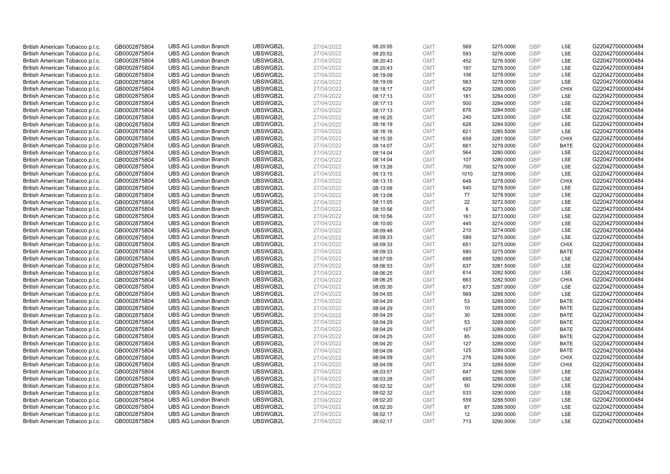| British American Tobacco p.l.c.                                    | GB0002875804                 | <b>UBS AG London Branch</b>                                | UBSWGB2L             | 27/04/2022               | 08:20:55             | <b>GMT</b>               | 569       | 3275.0000              | <b>GBP</b>               | <b>LSE</b>  | G220427000000484                     |
|--------------------------------------------------------------------|------------------------------|------------------------------------------------------------|----------------------|--------------------------|----------------------|--------------------------|-----------|------------------------|--------------------------|-------------|--------------------------------------|
| British American Tobacco p.l.c.                                    | GB0002875804                 | <b>UBS AG London Branch</b>                                | UBSWGB2L             | 27/04/2022               | 08:20:52             | <b>GMT</b>               | 593       | 3276.0000              | <b>GBP</b>               | LSE         | G220427000000484                     |
| British American Tobacco p.l.c.                                    | GB0002875804                 | <b>UBS AG London Branch</b>                                | UBSWGB2L             | 27/04/2022               | 08:20:43             | <b>GMT</b>               | 452       | 3276.5000              | <b>GBP</b>               | LSE         | G220427000000484                     |
| British American Tobacco p.l.c.                                    | GB0002875804                 | <b>UBS AG London Branch</b>                                | UBSWGB2L             | 27/04/2022               | 08:20:43             | <b>GMT</b>               | 197       | 3276.5000              | <b>GBP</b>               | LSE         | G220427000000484                     |
| British American Tobacco p.l.c.                                    | GB0002875804                 | <b>UBS AG London Branch</b>                                | UBSWGB2L             | 27/04/2022               | 08:19:09             | <b>GMT</b>               | 106       | 3278.0000              | <b>GBP</b>               | LSE         | G220427000000484                     |
| British American Tobacco p.l.c.                                    | GB0002875804                 | <b>UBS AG London Branch</b>                                | UBSWGB2L             | 27/04/2022               | 08:19:09             | <b>GMT</b>               | 563       | 3278.0000              | <b>GBP</b>               | LSE         | G220427000000484                     |
| British American Tobacco p.l.c.                                    | GB0002875804                 | <b>UBS AG London Branch</b>                                | UBSWGB2L             | 27/04/2022               | 08:18:17             | <b>GMT</b>               | 629       | 3280.0000              | <b>GBP</b>               | <b>CHIX</b> | G220427000000484                     |
| British American Tobacco p.l.c.                                    | GB0002875804                 | <b>UBS AG London Branch</b>                                | UBSWGB2L             | 27/04/2022               | 08:17:13             | <b>GMT</b>               | 181       | 3284.0000              | <b>GBP</b>               | LSE         | G220427000000484                     |
| British American Tobacco p.l.c.                                    | GB0002875804                 | <b>UBS AG London Branch</b>                                | UBSWGB2L             | 27/04/2022               | 08:17:13             | <b>GMT</b>               | 500       | 3284.0000              | <b>GBP</b>               | LSE         | G220427000000484                     |
| British American Tobacco p.l.c.                                    | GB0002875804                 | <b>UBS AG London Branch</b>                                | UBSWGB2L             | 27/04/2022               | 08:17:13             | <b>GMT</b>               | 676       | 3284.5000              | <b>GBP</b>               | <b>LSE</b>  | G220427000000484                     |
| British American Tobacco p.l.c.                                    | GB0002875804                 | <b>UBS AG London Branch</b>                                | UBSWGB2L             | 27/04/2022               | 08:16:25             | <b>GMT</b>               | 240       | 3283.0000              | <b>GBP</b>               | LSE         | G220427000000484                     |
| British American Tobacco p.l.c.                                    | GB0002875804                 | <b>UBS AG London Branch</b>                                | UBSWGB2L             | 27/04/2022               | 08:16:19             | <b>GMT</b>               | 626       | 3284.5000              | <b>GBP</b>               | LSE         | G220427000000484                     |
| British American Tobacco p.l.c.                                    | GB0002875804                 | <b>UBS AG London Branch</b>                                | UBSWGB2L             | 27/04/2022               | 08:16:16             | <b>GMT</b>               | 621       | 3285.5000              | <b>GBP</b>               | LSE         | G220427000000484                     |
| British American Tobacco p.l.c.                                    | GB0002875804                 | <b>UBS AG London Branch</b>                                | UBSWGB2L             | 27/04/2022               | 08:15:35             | <b>GMT</b>               | 659       | 3281.5000              | <b>GBP</b>               | <b>CHIX</b> | G220427000000484                     |
| British American Tobacco p.l.c.                                    | GB0002875804                 | <b>UBS AG London Branch</b>                                | UBSWGB2L             | 27/04/2022               | 08:14:07             | <b>GMT</b>               | 661       | 3279.0000              | <b>GBP</b>               | <b>BATE</b> | G220427000000484                     |
| British American Tobacco p.l.c.                                    | GB0002875804                 | <b>UBS AG London Branch</b>                                | UBSWGB2L             | 27/04/2022               | 08:14:04             | <b>GMT</b>               | 564       | 3280.0000              | <b>GBP</b>               | LSE         | G220427000000484                     |
| British American Tobacco p.l.c.                                    | GB0002875804                 | <b>UBS AG London Branch</b>                                | UBSWGB2L             | 27/04/2022               | 08:14:04             | <b>GMT</b>               | 107       | 3280.0000              | <b>GBP</b>               | LSE         | G220427000000484                     |
| British American Tobacco p.l.c.                                    | GB0002875804                 | <b>UBS AG London Branch</b>                                | UBSWGB2L             | 27/04/2022               | 08:13:26             | <b>GMT</b>               | 700       | 3278.0000              | <b>GBP</b>               | LSE         | G220427000000484                     |
| British American Tobacco p.l.c.                                    | GB0002875804                 | <b>UBS AG London Branch</b>                                | UBSWGB2L             | 27/04/2022               | 08:13:15             | <b>GMT</b>               | 1010      | 3278.0000              | <b>GBP</b>               | LSE         | G220427000000484                     |
| British American Tobacco p.l.c.                                    | GB0002875804                 | <b>UBS AG London Branch</b>                                | UBSWGB2L             | 27/04/2022               | 08:13:15             | <b>GMT</b>               | 648       | 3278.0000              | <b>GBP</b>               | <b>CHIX</b> | G220427000000484                     |
| British American Tobacco p.l.c.                                    | GB0002875804                 | <b>UBS AG London Branch</b>                                | UBSWGB2L             | 27/04/2022               | 08:13:08             | <b>GMT</b>               | 540       | 3278.5000              | <b>GBP</b>               | LSE         | G220427000000484                     |
| British American Tobacco p.l.c.                                    | GB0002875804                 | <b>UBS AG London Branch</b>                                | UBSWGB2L             | 27/04/2022               | 08:13:08             | <b>GMT</b>               | 77        | 3278.5000              | <b>GBP</b>               | LSE         | G220427000000484                     |
| British American Tobacco p.l.c.                                    | GB0002875804                 | <b>UBS AG London Branch</b>                                | UBSWGB2L             | 27/04/2022               | 08:11:05             | <b>GMT</b>               | 22        | 3272.5000              | <b>GBP</b>               | <b>LSE</b>  | G220427000000484                     |
| British American Tobacco p.l.c.                                    | GB0002875804                 | <b>UBS AG London Branch</b>                                | UBSWGB2L             | 27/04/2022               | 08:10:56             | <b>GMT</b>               | 8         | 3273.0000              | <b>GBP</b>               | LSE         | G220427000000484                     |
| British American Tobacco p.l.c.                                    | GB0002875804                 | <b>UBS AG London Branch</b>                                | UBSWGB2L             | 27/04/2022               | 08:10:56             | <b>GMT</b>               | 161       | 3273.0000              | <b>GBP</b>               | LSE         | G220427000000484                     |
| British American Tobacco p.l.c.                                    | GB0002875804                 | <b>UBS AG London Branch</b>                                | UBSWGB2L             | 27/04/2022               | 08:10:00             | <b>GMT</b>               | 445       | 3274.0000              | <b>GBP</b>               | LSE         | G220427000000484                     |
| British American Tobacco p.l.c.                                    | GB0002875804                 | <b>UBS AG London Branch</b>                                | UBSWGB2L             | 27/04/2022               | 08:09:48             | <b>GMT</b>               | 210       | 3274.0000              | <b>GBP</b>               | LSE         | G220427000000484                     |
| British American Tobacco p.l.c.                                    | GB0002875804                 | <b>UBS AG London Branch</b>                                | UBSWGB2L             | 27/04/2022               | 08:09:33             | <b>GMT</b>               | 589       | 3275.0000              | <b>GBP</b>               | LSE         | G220427000000484                     |
| British American Tobacco p.l.c.                                    | GB0002875804                 | <b>UBS AG London Branch</b>                                | UBSWGB2L             | 27/04/2022               | 08:09:33             | <b>GMT</b>               | 651       | 3275.0000              | <b>GBP</b>               | <b>CHIX</b> | G220427000000484                     |
| British American Tobacco p.l.c.                                    | GB0002875804                 | <b>UBS AG London Branch</b>                                | UBSWGB2L             | 27/04/2022               | 08:09:33             | <b>GMT</b>               | 580       | 3275.0000              | <b>GBP</b>               | <b>BATE</b> | G220427000000484                     |
| British American Tobacco p.l.c.                                    | GB0002875804                 | <b>UBS AG London Branch</b>                                | UBSWGB2L             | 27/04/2022               | 08:07:05             | <b>GMT</b>               | 699       | 3280.0000              | <b>GBP</b>               | LSE         | G220427000000484                     |
| British American Tobacco p.l.c.                                    | GB0002875804                 | <b>UBS AG London Branch</b>                                | UBSWGB2L             | 27/04/2022               | 08:06:53             | <b>GMT</b>               | 637       | 3281.5000              | <b>GBP</b>               | LSE         | G220427000000484                     |
| British American Tobacco p.l.c.                                    | GB0002875804                 | <b>UBS AG London Branch</b>                                | UBSWGB2L             | 27/04/2022               | 08:06:25             | <b>GMT</b>               | 614       | 3282.5000              | <b>GBP</b>               | LSE         | G220427000000484                     |
| British American Tobacco p.l.c.                                    | GB0002875804                 | <b>UBS AG London Branch</b>                                | UBSWGB2L             | 27/04/2022               | 08:06:25             | <b>GMT</b>               | 663       | 3282.5000              | <b>GBP</b>               | <b>CHIX</b> | G220427000000484                     |
| British American Tobacco p.l.c.                                    | GB0002875804                 | <b>UBS AG London Branch</b>                                | UBSWGB2L             | 27/04/2022               | 08:05:30             | <b>GMT</b>               | 673       | 3287.0000              | <b>GBP</b>               | LSE         | G220427000000484                     |
| British American Tobacco p.l.c.                                    | GB0002875804                 | <b>UBS AG London Branch</b>                                | UBSWGB2L             | 27/04/2022               | 08:04:55             | <b>GMT</b>               | 569       | 3288.5000              | <b>GBP</b>               | LSE         | G220427000000484                     |
| British American Tobacco p.l.c.                                    | GB0002875804                 | <b>UBS AG London Branch</b>                                | UBSWGB2L             | 27/04/2022               | 08:04:29             | <b>GMT</b>               | 53        | 3289.0000              | <b>GBP</b>               | <b>BATE</b> | G220427000000484                     |
| British American Tobacco p.l.c.                                    | GB0002875804                 | <b>UBS AG London Branch</b>                                | UBSWGB2L             | 27/04/2022               | 08:04:29             | <b>GMT</b>               | 10        | 3289.0000              | <b>GBP</b>               | <b>BATE</b> | G220427000000484                     |
| British American Tobacco p.l.c.                                    | GB0002875804                 | <b>UBS AG London Branch</b>                                | UBSWGB2L             | 27/04/2022               | 08:04:29             | <b>GMT</b>               | 30        | 3289.0000              | <b>GBP</b>               | <b>BATE</b> | G220427000000484                     |
| British American Tobacco p.l.c.                                    | GB0002875804                 | <b>UBS AG London Branch</b>                                | UBSWGB2L             | 27/04/2022               | 08:04:29             | <b>GMT</b>               | 53        | 3289.0000              | <b>GBP</b>               | <b>BATE</b> | G220427000000484                     |
| British American Tobacco p.l.c.                                    | GB0002875804                 | <b>UBS AG London Branch</b>                                | UBSWGB2L             | 27/04/2022               | 08:04:29             | <b>GMT</b>               | 107       | 3289.0000              | <b>GBP</b>               | <b>BATE</b> | G220427000000484                     |
| British American Tobacco p.l.c.                                    | GB0002875804                 | <b>UBS AG London Branch</b>                                | UBSWGB2L             | 27/04/2022               | 08:04:25             | <b>GMT</b>               | 85        | 3289.0000              | <b>GBP</b>               | <b>BATE</b> | G220427000000484                     |
| British American Tobacco p.l.c.                                    | GB0002875804                 | <b>UBS AG London Branch</b>                                | UBSWGB2L             | 27/04/2022               | 08:04:20             | <b>GMT</b>               | 127       | 3289.0000              | <b>GBP</b>               | <b>BATE</b> | G220427000000484                     |
| British American Tobacco p.l.c.                                    | GB0002875804                 | <b>UBS AG London Branch</b>                                | UBSWGB2L             | 27/04/2022               | 08:04:09             | <b>GMT</b>               | 125       | 3289.0000              | <b>GBP</b>               | <b>BATE</b> | G220427000000484                     |
| British American Tobacco p.l.c.                                    | GB0002875804                 | <b>UBS AG London Branch</b>                                | UBSWGB2L             | 27/04/2022               | 08:04:09             | <b>GMT</b>               | 278       | 3289.5000              | <b>GBP</b>               | <b>CHIX</b> | G220427000000484                     |
| British American Tobacco p.l.c.                                    | GB0002875804                 | <b>UBS AG London Branch</b>                                | UBSWGB2L             | 27/04/2022               | 08:04:09             | <b>GMT</b>               | 374       | 3289.5000              | <b>GBP</b>               | <b>CHIX</b> | G220427000000484                     |
| British American Tobacco p.l.c.                                    | GB0002875804                 | <b>UBS AG London Branch</b>                                | UBSWGB2L             | 27/04/2022               | 08:03:57             | <b>GMT</b>               | 647       | 3290.5000              | <b>GBP</b>               | LSE         | G220427000000484                     |
| British American Tobacco p.l.c.                                    | GB0002875804                 | <b>UBS AG London Branch</b>                                | UBSWGB2L             | 27/04/2022               | 08:03:28             | <b>GMT</b>               | 685       | 3288.0000              | <b>GBP</b>               | LSE         | G220427000000484                     |
| British American Tobacco p.l.c.                                    | GB0002875804                 | <b>UBS AG London Branch</b>                                | UBSWGB2L             | 27/04/2022               | 08:02:32             | <b>GMT</b>               | 50        | 3290.0000              | <b>GBP</b>               | LSE         | G220427000000484                     |
| British American Tobacco p.l.c.                                    | GB0002875804                 | <b>UBS AG London Branch</b>                                | UBSWGB2L             | 27/04/2022               | 08:02:32             | <b>GMT</b>               | 533       | 3290.0000              | <b>GBP</b>               | <b>LSE</b>  | G220427000000484                     |
| British American Tobacco p.l.c.                                    | GB0002875804                 | <b>UBS AG London Branch</b>                                | UBSWGB2L<br>UBSWGB2L | 27/04/2022               | 08:02:20             | <b>GMT</b>               | 559<br>87 | 3288.5000              | <b>GBP</b>               | LSE<br>LSE  | G220427000000484<br>G220427000000484 |
| British American Tobacco p.l.c.                                    | GB0002875804<br>GB0002875804 | <b>UBS AG London Branch</b><br><b>UBS AG London Branch</b> | UBSWGB2L             | 27/04/2022<br>27/04/2022 | 08:02:20             | <b>GMT</b><br><b>GMT</b> |           | 3288.5000              | <b>GBP</b><br><b>GBP</b> | LSE         | G220427000000484                     |
| British American Tobacco p.l.c.<br>British American Tobacco p.l.c. | GB0002875804                 | <b>UBS AG London Branch</b>                                | UBSWGB2L             | 27/04/2022               | 08:02:17<br>08:02:17 | <b>GMT</b>               | 12<br>713 | 3290.0000<br>3290.0000 | GBP                      | <b>LSE</b>  | G220427000000484                     |
|                                                                    |                              |                                                            |                      |                          |                      |                          |           |                        |                          |             |                                      |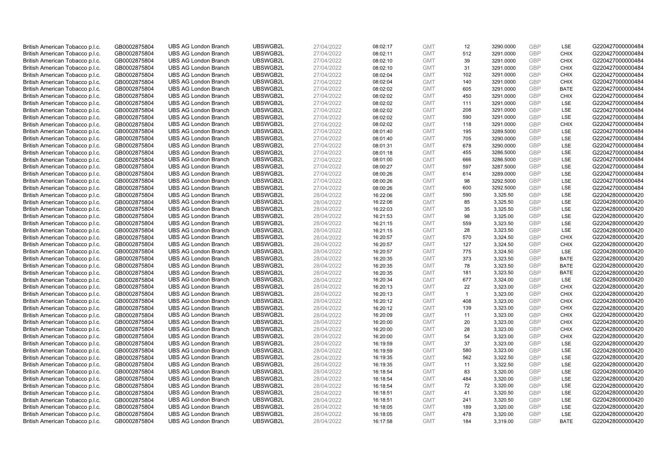| British American Tobacco p.l.c. | GB0002875804 | <b>UBS AG London Branch</b> | UBSWGB2L | 27/04/2022 | 08:02:17 | <b>GMT</b> | 12           | 3290.0000 | <b>GBP</b>               | LSE                        | G220427000000484 |
|---------------------------------|--------------|-----------------------------|----------|------------|----------|------------|--------------|-----------|--------------------------|----------------------------|------------------|
| British American Tobacco p.l.c. | GB0002875804 | <b>UBS AG London Branch</b> | UBSWGB2L | 27/04/2022 | 08:02:11 | <b>GMT</b> | 512          | 3291.0000 | <b>GBP</b>               | <b>CHIX</b>                | G220427000000484 |
| British American Tobacco p.l.c. | GB0002875804 | <b>UBS AG London Branch</b> | UBSWGB2L | 27/04/2022 | 08:02:10 | <b>GMT</b> | 39           | 3291.0000 | <b>GBP</b>               | <b>CHIX</b>                | G220427000000484 |
|                                 |              |                             | UBSWGB2L | 27/04/2022 |          |            |              |           | <b>GBP</b>               |                            |                  |
| British American Tobacco p.l.c. | GB0002875804 | <b>UBS AG London Branch</b> |          |            | 08:02:10 | <b>GMT</b> | 31           | 3291.0000 |                          | <b>CHIX</b>                | G220427000000484 |
| British American Tobacco p.l.c. | GB0002875804 | <b>UBS AG London Branch</b> | UBSWGB2L | 27/04/2022 | 08:02:04 | <b>GMT</b> | 102          | 3291.0000 | <b>GBP</b>               | <b>CHIX</b>                | G220427000000484 |
| British American Tobacco p.l.c. | GB0002875804 | <b>UBS AG London Branch</b> | UBSWGB2L | 27/04/2022 | 08:02:04 | <b>GMT</b> | 140          | 3291.0000 | <b>GBP</b>               | <b>CHIX</b>                | G220427000000484 |
| British American Tobacco p.l.c. | GB0002875804 | <b>UBS AG London Branch</b> | UBSWGB2L | 27/04/2022 | 08:02:02 | <b>GMT</b> | 605          | 3291.0000 | <b>GBP</b>               | <b>BATE</b>                | G220427000000484 |
| British American Tobacco p.l.c. | GB0002875804 | <b>UBS AG London Branch</b> | UBSWGB2L | 27/04/2022 | 08:02:02 | <b>GMT</b> | 450          | 3291.0000 | <b>GBP</b>               | <b>CHIX</b>                | G220427000000484 |
| British American Tobacco p.l.c. | GB0002875804 | <b>UBS AG London Branch</b> | UBSWGB2L | 27/04/2022 | 08:02:02 | <b>GMT</b> | 111          | 3291.0000 | <b>GBP</b>               | LSE                        | G220427000000484 |
| British American Tobacco p.l.c. | GB0002875804 | <b>UBS AG London Branch</b> | UBSWGB2L | 27/04/2022 | 08:02:02 | <b>GMT</b> | 208          | 3291.0000 | <b>GBP</b>               | LSE                        | G220427000000484 |
| British American Tobacco p.l.c. | GB0002875804 | <b>UBS AG London Branch</b> | UBSWGB2L | 27/04/2022 | 08:02:02 | <b>GMT</b> | 590          | 3291.0000 | <b>GBP</b>               | LSE                        | G220427000000484 |
| British American Tobacco p.l.c. | GB0002875804 | <b>UBS AG London Branch</b> | UBSWGB2L | 27/04/2022 | 08:02:02 | <b>GMT</b> | 118          | 3291.0000 | <b>GBP</b>               | <b>CHIX</b>                | G220427000000484 |
| British American Tobacco p.l.c. | GB0002875804 | <b>UBS AG London Branch</b> | UBSWGB2L | 27/04/2022 | 08:01:40 | <b>GMT</b> | 195          | 3289.5000 | <b>GBP</b>               | <b>LSE</b>                 | G220427000000484 |
| British American Tobacco p.l.c. | GB0002875804 | <b>UBS AG London Branch</b> | UBSWGB2L | 27/04/2022 | 08:01:40 | <b>GMT</b> | 705          | 3290.0000 | <b>GBP</b>               | LSE                        | G220427000000484 |
| British American Tobacco p.l.c. | GB0002875804 | <b>UBS AG London Branch</b> | UBSWGB2L | 27/04/2022 | 08:01:31 | <b>GMT</b> | 678          | 3290.0000 | <b>GBP</b>               | <b>LSE</b>                 | G220427000000484 |
| British American Tobacco p.l.c. | GB0002875804 | <b>UBS AG London Branch</b> | UBSWGB2L | 27/04/2022 | 08:01:18 | <b>GMT</b> | 455          | 3286.5000 | <b>GBP</b>               | LSE                        | G220427000000484 |
| British American Tobacco p.l.c. | GB0002875804 | <b>UBS AG London Branch</b> | UBSWGB2L | 27/04/2022 | 08:01:00 | <b>GMT</b> | 666          | 3286.5000 | <b>GBP</b>               | LSE                        | G220427000000484 |
| British American Tobacco p.l.c. | GB0002875804 | <b>UBS AG London Branch</b> | UBSWGB2L | 27/04/2022 | 08:00:27 | <b>GMT</b> | 597          | 3287.5000 | GBP                      | LSE                        | G220427000000484 |
| British American Tobacco p.l.c. | GB0002875804 | <b>UBS AG London Branch</b> | UBSWGB2L | 27/04/2022 | 08:00:26 | <b>GMT</b> | 614          | 3289.0000 | <b>GBP</b>               | <b>LSE</b>                 | G220427000000484 |
| British American Tobacco p.l.c. | GB0002875804 | <b>UBS AG London Branch</b> | UBSWGB2L | 27/04/2022 | 08:00:26 | <b>GMT</b> | 98           | 3292.5000 | <b>GBP</b>               | LSE                        | G220427000000484 |
| British American Tobacco p.l.c. | GB0002875804 | <b>UBS AG London Branch</b> | UBSWGB2L | 27/04/2022 | 08:00:26 | <b>GMT</b> | 600          | 3292.5000 | <b>GBP</b>               | LSE                        | G220427000000484 |
| British American Tobacco p.l.c. | GB0002875804 | <b>UBS AG London Branch</b> | UBSWGB2L | 28/04/2022 | 16:22:06 | <b>GMT</b> | 590          | 3,325.50  | <b>GBP</b>               | LSE                        | G220428000000420 |
| British American Tobacco p.l.c. | GB0002875804 | <b>UBS AG London Branch</b> | UBSWGB2L | 28/04/2022 | 16:22:06 | <b>GMT</b> | 85           | 3,325.50  | <b>GBP</b>               | LSE                        | G220428000000420 |
| British American Tobacco p.l.c. | GB0002875804 | <b>UBS AG London Branch</b> | UBSWGB2L | 28/04/2022 | 16:22:03 | <b>GMT</b> | 35           | 3,325.50  | <b>GBP</b>               | <b>LSE</b>                 | G220428000000420 |
| British American Tobacco p.l.c. | GB0002875804 | <b>UBS AG London Branch</b> | UBSWGB2L | 28/04/2022 | 16:21:53 | <b>GMT</b> | 98           | 3,325.00  | <b>GBP</b>               | LSE                        | G220428000000420 |
| British American Tobacco p.l.c. | GB0002875804 | <b>UBS AG London Branch</b> | UBSWGB2L | 28/04/2022 | 16:21:15 | <b>GMT</b> | 559          | 3,323.50  | <b>GBP</b>               | LSE                        | G220428000000420 |
| British American Tobacco p.l.c. | GB0002875804 | <b>UBS AG London Branch</b> | UBSWGB2L | 28/04/2022 | 16:21:15 | <b>GMT</b> | 28           | 3,323.50  | <b>GBP</b>               | LSE                        | G220428000000420 |
| British American Tobacco p.l.c. | GB0002875804 | <b>UBS AG London Branch</b> | UBSWGB2L | 28/04/2022 | 16:20:57 | <b>GMT</b> | 570          | 3,324.50  | <b>GBP</b>               | <b>CHIX</b>                | G220428000000420 |
| British American Tobacco p.l.c. | GB0002875804 | <b>UBS AG London Branch</b> | UBSWGB2L | 28/04/2022 | 16:20:57 | <b>GMT</b> | 127          | 3,324.50  | <b>GBP</b>               | <b>CHIX</b>                | G220428000000420 |
| British American Tobacco p.l.c. | GB0002875804 | <b>UBS AG London Branch</b> | UBSWGB2L | 28/04/2022 | 16:20:57 | <b>GMT</b> | 775          | 3,324.50  | <b>GBP</b>               | LSE                        | G220428000000420 |
| British American Tobacco p.l.c. | GB0002875804 | <b>UBS AG London Branch</b> | UBSWGB2L | 28/04/2022 | 16:20:35 | <b>GMT</b> | 373          | 3,323.50  | <b>GBP</b>               | <b>BATE</b>                | G220428000000420 |
| British American Tobacco p.l.c. | GB0002875804 | <b>UBS AG London Branch</b> | UBSWGB2L | 28/04/2022 | 16:20:35 | <b>GMT</b> | 78           | 3,323.50  | <b>GBP</b>               | <b>BATE</b>                | G220428000000420 |
| British American Tobacco p.l.c. | GB0002875804 | <b>UBS AG London Branch</b> | UBSWGB2L | 28/04/2022 | 16:20:35 | <b>GMT</b> | 181          | 3,323.50  | <b>GBP</b>               | <b>BATE</b>                | G220428000000420 |
| British American Tobacco p.l.c. | GB0002875804 | <b>UBS AG London Branch</b> | UBSWGB2L | 28/04/2022 | 16:20:34 | <b>GMT</b> | 677          | 3,324.00  | <b>GBP</b>               | LSE                        | G220428000000420 |
| British American Tobacco p.l.c. | GB0002875804 | <b>UBS AG London Branch</b> | UBSWGB2L | 28/04/2022 | 16:20:13 | <b>GMT</b> | 22           | 3,323.00  | <b>GBP</b>               | <b>CHIX</b>                | G220428000000420 |
| British American Tobacco p.l.c. | GB0002875804 | <b>UBS AG London Branch</b> | UBSWGB2L | 28/04/2022 | 16:20:13 | <b>GMT</b> | $\mathbf{1}$ | 3,323.00  | <b>GBP</b>               | <b>CHIX</b>                | G220428000000420 |
| British American Tobacco p.l.c. | GB0002875804 | <b>UBS AG London Branch</b> | UBSWGB2L | 28/04/2022 | 16:20:12 | <b>GMT</b> | 408          | 3,323.00  | <b>GBP</b>               | <b>CHIX</b>                | G220428000000420 |
| British American Tobacco p.l.c. | GB0002875804 | <b>UBS AG London Branch</b> | UBSWGB2L | 28/04/2022 | 16:20:12 | <b>GMT</b> | 139          | 3,323.00  | <b>GBP</b>               | <b>CHIX</b>                | G220428000000420 |
|                                 |              | <b>UBS AG London Branch</b> | UBSWGB2L | 28/04/2022 |          | <b>GMT</b> | 11           |           | <b>GBP</b>               | <b>CHIX</b>                | G220428000000420 |
| British American Tobacco p.l.c. | GB0002875804 |                             |          |            | 16:20:09 |            |              | 3,323.00  |                          |                            |                  |
| British American Tobacco p.l.c. | GB0002875804 | <b>UBS AG London Branch</b> | UBSWGB2L | 28/04/2022 | 16:20:00 | <b>GMT</b> | 20           | 3,323.00  | <b>GBP</b><br><b>GBP</b> | <b>CHIX</b><br><b>CHIX</b> | G220428000000420 |
| British American Tobacco p.l.c. | GB0002875804 | <b>UBS AG London Branch</b> | UBSWGB2L | 28/04/2022 | 16:20:00 | <b>GMT</b> | 28           | 3,323.00  |                          |                            | G220428000000420 |
| British American Tobacco p.l.c. | GB0002875804 | <b>UBS AG London Branch</b> | UBSWGB2L | 28/04/2022 | 16:20:00 | <b>GMT</b> | 54           | 3,323.00  | <b>GBP</b>               | <b>CHIX</b>                | G220428000000420 |
| British American Tobacco p.l.c. | GB0002875804 | <b>UBS AG London Branch</b> | UBSWGB2L | 28/04/2022 | 16:19:59 | <b>GMT</b> | 37           | 3,323.00  | <b>GBP</b>               | LSE                        | G220428000000420 |
| British American Tobacco p.l.c. | GB0002875804 | <b>UBS AG London Branch</b> | UBSWGB2L | 28/04/2022 | 16:19:59 | <b>GMT</b> | 580          | 3,323.00  | <b>GBP</b>               | LSE                        | G220428000000420 |
| British American Tobacco p.l.c. | GB0002875804 | <b>UBS AG London Branch</b> | UBSWGB2L | 28/04/2022 | 16:19:35 | <b>GMT</b> | 562          | 3,322.50  | <b>GBP</b>               | LSE                        | G220428000000420 |
| British American Tobacco p.l.c. | GB0002875804 | <b>UBS AG London Branch</b> | UBSWGB2L | 28/04/2022 | 16:19:35 | <b>GMT</b> | 11           | 3,322.50  | <b>GBP</b>               | LSE                        | G220428000000420 |
| British American Tobacco p.l.c. | GB0002875804 | <b>UBS AG London Branch</b> | UBSWGB2L | 28/04/2022 | 16:18:54 | <b>GMT</b> | 83           | 3,320.00  | <b>GBP</b>               | LSE                        | G220428000000420 |
| British American Tobacco p.l.c. | GB0002875804 | <b>UBS AG London Branch</b> | UBSWGB2L | 28/04/2022 | 16:18:54 | <b>GMT</b> | 484          | 3,320.00  | <b>GBP</b>               | LSE                        | G220428000000420 |
| British American Tobacco p.l.c. | GB0002875804 | <b>UBS AG London Branch</b> | UBSWGB2L | 28/04/2022 | 16:18:54 | <b>GMT</b> | 72           | 3,320.00  | <b>GBP</b>               | LSE                        | G220428000000420 |
| British American Tobacco p.l.c. | GB0002875804 | <b>UBS AG London Branch</b> | UBSWGB2L | 28/04/2022 | 16:18:51 | <b>GMT</b> | 41           | 3,320.50  | <b>GBP</b>               | LSE                        | G220428000000420 |
| British American Tobacco p.l.c. | GB0002875804 | <b>UBS AG London Branch</b> | UBSWGB2L | 28/04/2022 | 16:18:51 | <b>GMT</b> | 241          | 3,320.50  | <b>GBP</b>               | LSE                        | G220428000000420 |
| British American Tobacco p.l.c. | GB0002875804 | <b>UBS AG London Branch</b> | UBSWGB2L | 28/04/2022 | 16:18:05 | <b>GMT</b> | 189          | 3,320.00  | <b>GBP</b>               | LSE                        | G220428000000420 |
| British American Tobacco p.l.c. | GB0002875804 | <b>UBS AG London Branch</b> | UBSWGB2L | 28/04/2022 | 16:18:05 | <b>GMT</b> | 478          | 3,320.00  | <b>GBP</b>               | LSE                        | G220428000000420 |
| British American Tobacco p.l.c. | GB0002875804 | <b>UBS AG London Branch</b> | UBSWGB2L | 28/04/2022 | 16:17:58 | <b>GMT</b> | 184          | 3.319.00  | GBP                      | <b>BATE</b>                | G220428000000420 |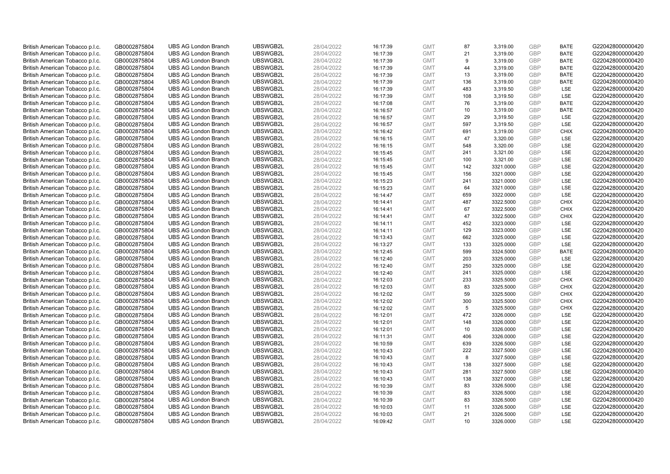| British American Tobacco p.l.c. | GB0002875804 | <b>UBS AG London Branch</b> | UBSWGB2L | 28/04/2022 | 16:17:39 | <b>GMT</b> | 87              | 3,319.00  | <b>GBP</b> | <b>BATE</b> | G220428000000420 |
|---------------------------------|--------------|-----------------------------|----------|------------|----------|------------|-----------------|-----------|------------|-------------|------------------|
| British American Tobacco p.l.c. | GB0002875804 | <b>UBS AG London Branch</b> | UBSWGB2L | 28/04/2022 | 16:17:39 | <b>GMT</b> | 21              | 3,319.00  | GBP        | <b>BATE</b> | G220428000000420 |
| British American Tobacco p.l.c. | GB0002875804 | <b>UBS AG London Branch</b> | UBSWGB2L | 28/04/2022 | 16:17:39 | <b>GMT</b> | 9               | 3,319.00  | GBP        | <b>BATE</b> | G220428000000420 |
| British American Tobacco p.l.c. | GB0002875804 | <b>UBS AG London Branch</b> | UBSWGB2L | 28/04/2022 | 16:17:39 | <b>GMT</b> | 44              | 3,319.00  | GBP        | <b>BATE</b> | G220428000000420 |
| British American Tobacco p.l.c. | GB0002875804 | <b>UBS AG London Branch</b> | UBSWGB2L | 28/04/2022 | 16:17:39 | <b>GMT</b> | 13              | 3,319.00  | <b>GBP</b> | <b>BATE</b> | G220428000000420 |
| British American Tobacco p.l.c. | GB0002875804 | <b>UBS AG London Branch</b> | UBSWGB2L | 28/04/2022 | 16:17:39 | <b>GMT</b> | 136             | 3,319.00  | <b>GBP</b> | <b>BATE</b> | G220428000000420 |
| British American Tobacco p.l.c. | GB0002875804 | <b>UBS AG London Branch</b> | UBSWGB2L | 28/04/2022 | 16:17:39 | <b>GMT</b> | 483             | 3,319.50  | GBP        | LSE         | G220428000000420 |
| British American Tobacco p.l.c. | GB0002875804 | <b>UBS AG London Branch</b> | UBSWGB2L | 28/04/2022 | 16:17:39 | <b>GMT</b> | 108             | 3,319.50  | GBP        | LSE         | G220428000000420 |
| British American Tobacco p.l.c. | GB0002875804 | <b>UBS AG London Branch</b> | UBSWGB2L | 28/04/2022 | 16:17:08 | <b>GMT</b> | 76              | 3,319.00  | GBP        | <b>BATE</b> | G220428000000420 |
| British American Tobacco p.l.c. | GB0002875804 | <b>UBS AG London Branch</b> | UBSWGB2L | 28/04/2022 | 16:16:57 | <b>GMT</b> | 10              | 3,319.00  | <b>GBP</b> | <b>BATE</b> | G220428000000420 |
| British American Tobacco p.l.c. | GB0002875804 | <b>UBS AG London Branch</b> | UBSWGB2L | 28/04/2022 | 16:16:57 | <b>GMT</b> | 29              | 3,319.50  | GBP        | <b>LSE</b>  | G220428000000420 |
| British American Tobacco p.l.c. | GB0002875804 | <b>UBS AG London Branch</b> | UBSWGB2L | 28/04/2022 | 16:16:57 | <b>GMT</b> | 597             | 3,319.50  | <b>GBP</b> | LSE         | G220428000000420 |
| British American Tobacco p.l.c. | GB0002875804 | <b>UBS AG London Branch</b> | UBSWGB2L | 28/04/2022 | 16:16:42 | <b>GMT</b> | 691             | 3,319.00  | <b>GBP</b> | <b>CHIX</b> | G220428000000420 |
| British American Tobacco p.l.c. | GB0002875804 | <b>UBS AG London Branch</b> | UBSWGB2L | 28/04/2022 | 16:16:15 | <b>GMT</b> | 47              | 3,320.00  | <b>GBP</b> | <b>LSE</b>  | G220428000000420 |
| British American Tobacco p.l.c. | GB0002875804 | <b>UBS AG London Branch</b> | UBSWGB2L | 28/04/2022 | 16:16:15 | <b>GMT</b> | 548             | 3,320.00  | GBP        | <b>LSE</b>  | G220428000000420 |
| British American Tobacco p.l.c. | GB0002875804 | <b>UBS AG London Branch</b> | UBSWGB2L | 28/04/2022 | 16:15:45 | <b>GMT</b> | 241             | 3,321.00  | <b>GBP</b> | LSE         | G220428000000420 |
| British American Tobacco p.l.c. | GB0002875804 | <b>UBS AG London Branch</b> | UBSWGB2L | 28/04/2022 | 16:15:45 | <b>GMT</b> | 100             | 3,321.00  | <b>GBP</b> | LSE         | G220428000000420 |
| British American Tobacco p.l.c. | GB0002875804 | <b>UBS AG London Branch</b> | UBSWGB2L | 28/04/2022 | 16:15:45 | <b>GMT</b> | 142             | 3321.0000 | <b>GBP</b> | LSE         | G220428000000420 |
| British American Tobacco p.l.c. | GB0002875804 | <b>UBS AG London Branch</b> | UBSWGB2L | 28/04/2022 | 16:15:45 | <b>GMT</b> | 156             | 3321.0000 | GBP        | <b>LSE</b>  | G220428000000420 |
| British American Tobacco p.l.c. | GB0002875804 | <b>UBS AG London Branch</b> | UBSWGB2L | 28/04/2022 | 16:15:23 | <b>GMT</b> | 241             | 3321.0000 | <b>GBP</b> | LSE         | G220428000000420 |
| British American Tobacco p.l.c. | GB0002875804 | <b>UBS AG London Branch</b> | UBSWGB2L | 28/04/2022 | 16:15:23 | <b>GMT</b> | 64              | 3321.0000 | <b>GBP</b> | LSE         | G220428000000420 |
| British American Tobacco p.l.c. | GB0002875804 | <b>UBS AG London Branch</b> | UBSWGB2L | 28/04/2022 | 16:14:47 | <b>GMT</b> | 659             | 3322.0000 | GBP        | LSE         | G220428000000420 |
| British American Tobacco p.l.c. | GB0002875804 | <b>UBS AG London Branch</b> | UBSWGB2L | 28/04/2022 | 16:14:41 | <b>GMT</b> | 487             | 3322.5000 | <b>GBP</b> | <b>CHIX</b> | G220428000000420 |
| British American Tobacco p.l.c. | GB0002875804 | <b>UBS AG London Branch</b> | UBSWGB2L | 28/04/2022 | 16:14:41 | <b>GMT</b> | 67              | 3322.5000 | GBP        | <b>CHIX</b> | G220428000000420 |
| British American Tobacco p.l.c. | GB0002875804 | <b>UBS AG London Branch</b> | UBSWGB2L | 28/04/2022 | 16:14:41 | <b>GMT</b> | 47              | 3322.5000 | <b>GBP</b> | <b>CHIX</b> | G220428000000420 |
| British American Tobacco p.l.c. | GB0002875804 | <b>UBS AG London Branch</b> | UBSWGB2L | 28/04/2022 | 16:14:11 | <b>GMT</b> | 452             | 3323.0000 | <b>GBP</b> | <b>LSE</b>  | G220428000000420 |
| British American Tobacco p.l.c. | GB0002875804 | <b>UBS AG London Branch</b> | UBSWGB2L | 28/04/2022 | 16:14:11 | <b>GMT</b> | 129             | 3323.0000 | GBP        | <b>LSE</b>  | G220428000000420 |
| British American Tobacco p.l.c. | GB0002875804 | <b>UBS AG London Branch</b> | UBSWGB2L | 28/04/2022 | 16:13:43 | <b>GMT</b> | 662             | 3325.0000 | <b>GBP</b> | <b>LSE</b>  | G220428000000420 |
| British American Tobacco p.l.c. | GB0002875804 | <b>UBS AG London Branch</b> | UBSWGB2L | 28/04/2022 | 16:13:27 | <b>GMT</b> | 133             | 3325.0000 | GBP        | LSE         | G220428000000420 |
| British American Tobacco p.l.c. | GB0002875804 | <b>UBS AG London Branch</b> | UBSWGB2L | 28/04/2022 | 16:12:45 | <b>GMT</b> | 599             | 3324.5000 | GBP        | <b>BATE</b> | G220428000000420 |
| British American Tobacco p.l.c. | GB0002875804 | <b>UBS AG London Branch</b> | UBSWGB2L | 28/04/2022 | 16:12:40 | <b>GMT</b> | 203             | 3325.0000 | GBP        | LSE         | G220428000000420 |
| British American Tobacco p.l.c. | GB0002875804 | <b>UBS AG London Branch</b> | UBSWGB2L | 28/04/2022 | 16:12:40 | <b>GMT</b> | 250             | 3325.0000 | GBP        | <b>LSE</b>  | G220428000000420 |
| British American Tobacco p.l.c. | GB0002875804 | <b>UBS AG London Branch</b> | UBSWGB2L | 28/04/2022 | 16:12:40 | <b>GMT</b> | 241             | 3325.0000 | GBP        | LSE         | G220428000000420 |
| British American Tobacco p.l.c. | GB0002875804 | <b>UBS AG London Branch</b> | UBSWGB2L | 28/04/2022 | 16:12:03 | <b>GMT</b> | 233             | 3325.5000 | GBP        | <b>CHIX</b> | G220428000000420 |
| British American Tobacco p.l.c. | GB0002875804 | <b>UBS AG London Branch</b> | UBSWGB2L | 28/04/2022 | 16:12:03 | <b>GMT</b> | 83              | 3325.5000 | GBP        | <b>CHIX</b> | G220428000000420 |
| British American Tobacco p.l.c. | GB0002875804 | <b>UBS AG London Branch</b> | UBSWGB2L | 28/04/2022 | 16:12:02 | <b>GMT</b> | 59              | 3325.5000 | <b>GBP</b> | <b>CHIX</b> | G220428000000420 |
| British American Tobacco p.l.c. | GB0002875804 | <b>UBS AG London Branch</b> | UBSWGB2L | 28/04/2022 | 16:12:02 | <b>GMT</b> | 300             | 3325.5000 | GBP        | <b>CHIX</b> | G220428000000420 |
| British American Tobacco p.l.c. | GB0002875804 | <b>UBS AG London Branch</b> | UBSWGB2L | 28/04/2022 | 16:12:02 | <b>GMT</b> | 5               | 3325.5000 | <b>GBP</b> | <b>CHIX</b> | G220428000000420 |
| British American Tobacco p.l.c. | GB0002875804 | <b>UBS AG London Branch</b> | UBSWGB2L | 28/04/2022 | 16:12:01 | <b>GMT</b> | 472             | 3326.0000 | GBP        | LSE         | G220428000000420 |
| British American Tobacco p.l.c. | GB0002875804 | <b>UBS AG London Branch</b> | UBSWGB2L | 28/04/2022 | 16:12:01 | <b>GMT</b> | 148             | 3326.0000 | GBP        | <b>LSE</b>  | G220428000000420 |
| British American Tobacco p.l.c. | GB0002875804 | <b>UBS AG London Branch</b> | UBSWGB2L | 28/04/2022 | 16:12:01 | <b>GMT</b> | 10              | 3326.0000 | <b>GBP</b> | <b>LSE</b>  | G220428000000420 |
| British American Tobacco p.l.c. | GB0002875804 | <b>UBS AG London Branch</b> | UBSWGB2L | 28/04/2022 | 16:11:31 | <b>GMT</b> | 406             | 3326.0000 | GBP        | LSE         | G220428000000420 |
| British American Tobacco p.l.c. | GB0002875804 | <b>UBS AG London Branch</b> | UBSWGB2L | 28/04/2022 | 16:10:59 | <b>GMT</b> | 639             | 3326.5000 | <b>GBP</b> | LSE         | G220428000000420 |
| British American Tobacco p.l.c. | GB0002875804 | <b>UBS AG London Branch</b> | UBSWGB2L | 28/04/2022 | 16:10:43 | <b>GMT</b> | 222             | 3327.5000 | GBP        | LSE         | G220428000000420 |
| British American Tobacco p.l.c. | GB0002875804 | <b>UBS AG London Branch</b> | UBSWGB2L | 28/04/2022 | 16:10:43 | <b>GMT</b> | 8               | 3327.5000 | <b>GBP</b> | <b>LSE</b>  | G220428000000420 |
| British American Tobacco p.l.c. | GB0002875804 | <b>UBS AG London Branch</b> | UBSWGB2L | 28/04/2022 | 16:10:43 | <b>GMT</b> | 138             | 3327.5000 | <b>GBP</b> | LSE         | G220428000000420 |
| British American Tobacco p.l.c. | GB0002875804 | <b>UBS AG London Branch</b> | UBSWGB2L | 28/04/2022 | 16:10:43 | <b>GMT</b> | 281             | 3327.5000 | <b>GBP</b> | LSE         | G220428000000420 |
| British American Tobacco p.l.c. | GB0002875804 | <b>UBS AG London Branch</b> | UBSWGB2L | 28/04/2022 | 16:10:43 | <b>GMT</b> | 138             | 3327.0000 | <b>GBP</b> | LSE         | G220428000000420 |
| British American Tobacco p.l.c. | GB0002875804 | <b>UBS AG London Branch</b> | UBSWGB2L | 28/04/2022 | 16:10:39 | <b>GMT</b> | 83              | 3326.5000 | <b>GBP</b> | LSE         | G220428000000420 |
| British American Tobacco p.l.c. | GB0002875804 | <b>UBS AG London Branch</b> | UBSWGB2L | 28/04/2022 | 16:10:39 | <b>GMT</b> | 83              | 3326.5000 | <b>GBP</b> | LSE         | G220428000000420 |
| British American Tobacco p.l.c. | GB0002875804 | <b>UBS AG London Branch</b> | UBSWGB2L | 28/04/2022 | 16:10:39 | <b>GMT</b> | 83              | 3326.5000 | GBP        | LSE         | G220428000000420 |
| British American Tobacco p.l.c. | GB0002875804 | <b>UBS AG London Branch</b> | UBSWGB2L | 28/04/2022 | 16:10:03 | <b>GMT</b> | 11              | 3326.5000 | <b>GBP</b> | LSE         | G220428000000420 |
| British American Tobacco p.l.c. | GB0002875804 | <b>UBS AG London Branch</b> | UBSWGB2L | 28/04/2022 | 16:10:03 | <b>GMT</b> | 21              | 3326.5000 | GBP        | LSE         | G220428000000420 |
| British American Tobacco p.l.c. | GB0002875804 | <b>UBS AG London Branch</b> | UBSWGB2L | 28/04/2022 | 16:09:42 | <b>GMT</b> | 10 <sup>1</sup> | 3326.0000 | GBP        | <b>LSE</b>  | G220428000000420 |
|                                 |              |                             |          |            |          |            |                 |           |            |             |                  |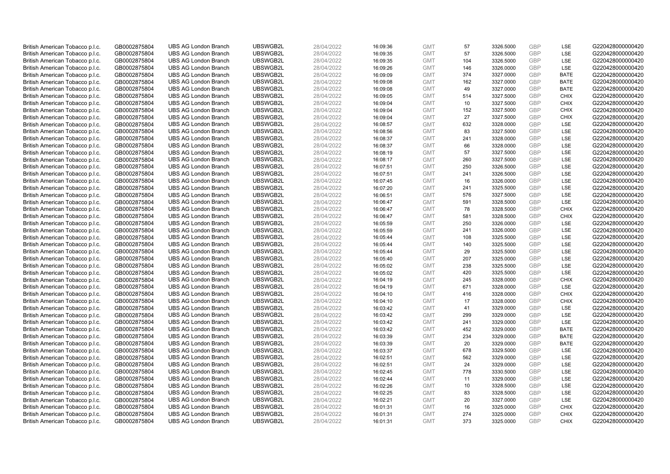| British American Tobacco p.l.c. | GB0002875804 | <b>UBS AG London Branch</b> | UBSWGB2L | 28/04/2022 | 16:09:36 | <b>GMT</b> | 57  | 3326.5000 | <b>GBP</b> | LSE         | G220428000000420 |
|---------------------------------|--------------|-----------------------------|----------|------------|----------|------------|-----|-----------|------------|-------------|------------------|
| British American Tobacco p.l.c. | GB0002875804 | <b>UBS AG London Branch</b> | UBSWGB2L | 28/04/2022 | 16:09:35 | <b>GMT</b> | 57  | 3326.5000 | <b>GBP</b> | LSE         | G220428000000420 |
| British American Tobacco p.l.c. | GB0002875804 | <b>UBS AG London Branch</b> | UBSWGB2L | 28/04/2022 | 16:09:35 | <b>GMT</b> | 104 | 3326.5000 | <b>GBP</b> | LSE         | G220428000000420 |
| British American Tobacco p.l.c. | GB0002875804 | <b>UBS AG London Branch</b> | UBSWGB2L | 28/04/2022 | 16:09:26 | <b>GMT</b> | 146 | 3326.0000 | <b>GBP</b> | LSE         | G220428000000420 |
| British American Tobacco p.l.c. | GB0002875804 | <b>UBS AG London Branch</b> | UBSWGB2L | 28/04/2022 | 16:09:09 | <b>GMT</b> | 374 | 3327.0000 | <b>GBP</b> | <b>BATE</b> | G220428000000420 |
| British American Tobacco p.l.c. | GB0002875804 | <b>UBS AG London Branch</b> | UBSWGB2L | 28/04/2022 | 16:09:08 | <b>GMT</b> | 162 | 3327.0000 | <b>GBP</b> | <b>BATE</b> | G220428000000420 |
| British American Tobacco p.l.c. | GB0002875804 | <b>UBS AG London Branch</b> | UBSWGB2L | 28/04/2022 | 16:09:08 | <b>GMT</b> | 49  | 3327.0000 | <b>GBP</b> | <b>BATE</b> | G220428000000420 |
| British American Tobacco p.l.c. | GB0002875804 | <b>UBS AG London Branch</b> | UBSWGB2L | 28/04/2022 | 16:09:05 | <b>GMT</b> | 514 | 3327.5000 | <b>GBP</b> | <b>CHIX</b> | G220428000000420 |
| British American Tobacco p.l.c. | GB0002875804 | <b>UBS AG London Branch</b> | UBSWGB2L | 28/04/2022 | 16:09:04 | <b>GMT</b> | 10  | 3327.5000 | <b>GBP</b> | <b>CHIX</b> | G220428000000420 |
| British American Tobacco p.l.c. | GB0002875804 | <b>UBS AG London Branch</b> | UBSWGB2L | 28/04/2022 | 16:09:04 | <b>GMT</b> | 152 | 3327.5000 | <b>GBP</b> | <b>CHIX</b> | G220428000000420 |
| British American Tobacco p.l.c. | GB0002875804 | <b>UBS AG London Branch</b> | UBSWGB2L | 28/04/2022 | 16:09:04 | <b>GMT</b> | 27  | 3327.5000 | <b>GBP</b> | <b>CHIX</b> | G220428000000420 |
| British American Tobacco p.l.c. | GB0002875804 | <b>UBS AG London Branch</b> | UBSWGB2L | 28/04/2022 | 16:08:57 | <b>GMT</b> | 632 | 3328.0000 | <b>GBP</b> | LSE         | G220428000000420 |
| British American Tobacco p.l.c. | GB0002875804 | <b>UBS AG London Branch</b> | UBSWGB2L | 28/04/2022 | 16:08:56 | <b>GMT</b> | 83  | 3327.5000 | <b>GBP</b> | LSE         | G220428000000420 |
| British American Tobacco p.l.c. | GB0002875804 | <b>UBS AG London Branch</b> | UBSWGB2L | 28/04/2022 | 16:08:37 | <b>GMT</b> | 241 | 3328.0000 | <b>GBP</b> | LSE         | G220428000000420 |
| British American Tobacco p.l.c. | GB0002875804 | <b>UBS AG London Branch</b> | UBSWGB2L | 28/04/2022 | 16:08:37 | <b>GMT</b> | 66  | 3328.0000 | <b>GBP</b> | LSE         | G220428000000420 |
| British American Tobacco p.l.c. | GB0002875804 | <b>UBS AG London Branch</b> | UBSWGB2L | 28/04/2022 | 16:08:19 | <b>GMT</b> | 57  | 3327.5000 | <b>GBP</b> | LSE         | G220428000000420 |
| British American Tobacco p.l.c. | GB0002875804 | <b>UBS AG London Branch</b> | UBSWGB2L | 28/04/2022 | 16:08:17 | <b>GMT</b> | 260 | 3327.5000 | <b>GBP</b> | <b>LSE</b>  | G220428000000420 |
| British American Tobacco p.l.c. | GB0002875804 | <b>UBS AG London Branch</b> | UBSWGB2L | 28/04/2022 | 16:07:51 | <b>GMT</b> | 250 | 3326.5000 | GBP        | LSE         | G220428000000420 |
| British American Tobacco p.l.c. | GB0002875804 | <b>UBS AG London Branch</b> | UBSWGB2L | 28/04/2022 | 16:07:51 | <b>GMT</b> | 241 | 3326.5000 | <b>GBP</b> | <b>LSE</b>  | G220428000000420 |
| British American Tobacco p.l.c. | GB0002875804 | <b>UBS AG London Branch</b> | UBSWGB2L | 28/04/2022 | 16:07:45 | <b>GMT</b> | 16  | 3326.0000 | <b>GBP</b> | LSE         | G220428000000420 |
| British American Tobacco p.l.c. | GB0002875804 | <b>UBS AG London Branch</b> | UBSWGB2L | 28/04/2022 | 16:07:20 | <b>GMT</b> | 241 | 3325.5000 | <b>GBP</b> | LSE         | G220428000000420 |
| British American Tobacco p.l.c. | GB0002875804 | <b>UBS AG London Branch</b> | UBSWGB2L | 28/04/2022 | 16:06:51 | <b>GMT</b> | 576 | 3327.5000 | GBP        | <b>LSE</b>  | G220428000000420 |
| British American Tobacco p.l.c. | GB0002875804 | <b>UBS AG London Branch</b> | UBSWGB2L | 28/04/2022 | 16:06:47 | <b>GMT</b> | 591 | 3328.5000 | <b>GBP</b> | LSE         | G220428000000420 |
| British American Tobacco p.l.c. | GB0002875804 | <b>UBS AG London Branch</b> | UBSWGB2L | 28/04/2022 | 16:06:47 | <b>GMT</b> | 78  | 3328.5000 | <b>GBP</b> | <b>CHIX</b> | G220428000000420 |
| British American Tobacco p.l.c. | GB0002875804 | <b>UBS AG London Branch</b> | UBSWGB2L | 28/04/2022 | 16:06:47 | <b>GMT</b> | 581 | 3328.5000 | <b>GBP</b> | <b>CHIX</b> | G220428000000420 |
| British American Tobacco p.l.c. | GB0002875804 | <b>UBS AG London Branch</b> | UBSWGB2L | 28/04/2022 | 16:05:59 | <b>GMT</b> | 250 | 3326.0000 | <b>GBP</b> | LSE         | G220428000000420 |
| British American Tobacco p.l.c. | GB0002875804 | <b>UBS AG London Branch</b> | UBSWGB2L | 28/04/2022 | 16:05:59 | <b>GMT</b> | 241 | 3326.0000 | <b>GBP</b> | LSE         | G220428000000420 |
| British American Tobacco p.l.c. | GB0002875804 | <b>UBS AG London Branch</b> | UBSWGB2L | 28/04/2022 | 16:05:44 | <b>GMT</b> | 108 | 3325.5000 | <b>GBP</b> | LSE         | G220428000000420 |
| British American Tobacco p.l.c. | GB0002875804 | <b>UBS AG London Branch</b> | UBSWGB2L | 28/04/2022 | 16:05:44 | <b>GMT</b> | 140 | 3325.5000 | GBP        | LSE         | G220428000000420 |
| British American Tobacco p.l.c. | GB0002875804 | <b>UBS AG London Branch</b> | UBSWGB2L | 28/04/2022 | 16:05:44 | <b>GMT</b> | 29  | 3325.5000 | <b>GBP</b> | LSE         | G220428000000420 |
| British American Tobacco p.l.c. | GB0002875804 | <b>UBS AG London Branch</b> | UBSWGB2L | 28/04/2022 | 16:05:40 | <b>GMT</b> | 207 | 3325.0000 | <b>GBP</b> | LSE         | G220428000000420 |
| British American Tobacco p.l.c. | GB0002875804 | <b>UBS AG London Branch</b> | UBSWGB2L | 28/04/2022 | 16:05:02 | <b>GMT</b> | 238 | 3325.5000 | <b>GBP</b> | <b>LSE</b>  | G220428000000420 |
| British American Tobacco p.l.c. | GB0002875804 | <b>UBS AG London Branch</b> | UBSWGB2L | 28/04/2022 | 16:05:02 | <b>GMT</b> | 420 | 3325.5000 | GBP        | <b>LSE</b>  | G220428000000420 |
| British American Tobacco p.l.c. | GB0002875804 | <b>UBS AG London Branch</b> | UBSWGB2L | 28/04/2022 | 16:04:19 | <b>GMT</b> | 245 | 3328.0000 | <b>GBP</b> | <b>CHIX</b> | G220428000000420 |
| British American Tobacco p.l.c. | GB0002875804 | <b>UBS AG London Branch</b> | UBSWGB2L | 28/04/2022 | 16:04:19 | <b>GMT</b> | 671 | 3328.0000 | <b>GBP</b> | LSE         | G220428000000420 |
| British American Tobacco p.l.c. | GB0002875804 | <b>UBS AG London Branch</b> | UBSWGB2L | 28/04/2022 | 16:04:10 | <b>GMT</b> | 416 | 3328.0000 | <b>GBP</b> | <b>CHIX</b> | G220428000000420 |
| British American Tobacco p.l.c. | GB0002875804 | <b>UBS AG London Branch</b> | UBSWGB2L | 28/04/2022 | 16:04:10 | <b>GMT</b> | 17  | 3328.0000 | GBP        | <b>CHIX</b> | G220428000000420 |
| British American Tobacco p.l.c. | GB0002875804 | <b>UBS AG London Branch</b> | UBSWGB2L | 28/04/2022 | 16:03:42 | <b>GMT</b> | 41  | 3329.0000 | <b>GBP</b> | LSE         | G220428000000420 |
| British American Tobacco p.l.c. | GB0002875804 | <b>UBS AG London Branch</b> | UBSWGB2L | 28/04/2022 | 16:03:42 | <b>GMT</b> | 299 | 3329.0000 | GBP        | LSE         | G220428000000420 |
| British American Tobacco p.l.c. | GB0002875804 | <b>UBS AG London Branch</b> | UBSWGB2L | 28/04/2022 | 16:03:42 | <b>GMT</b> | 241 | 3329.0000 | <b>GBP</b> | LSE         | G220428000000420 |
| British American Tobacco p.l.c. | GB0002875804 | <b>UBS AG London Branch</b> | UBSWGB2L | 28/04/2022 | 16:03:42 | <b>GMT</b> | 452 | 3329.0000 | <b>GBP</b> | <b>BATE</b> | G220428000000420 |
| British American Tobacco p.l.c. | GB0002875804 | <b>UBS AG London Branch</b> | UBSWGB2L | 28/04/2022 | 16:03:39 | <b>GMT</b> | 234 | 3329.0000 | GBP        | <b>BATE</b> | G220428000000420 |
| British American Tobacco p.l.c. | GB0002875804 | <b>UBS AG London Branch</b> | UBSWGB2L | 28/04/2022 | 16:03:39 | <b>GMT</b> | 20  | 3329.0000 | <b>GBP</b> | <b>BATE</b> | G220428000000420 |
| British American Tobacco p.l.c. | GB0002875804 | <b>UBS AG London Branch</b> | UBSWGB2L | 28/04/2022 | 16:03:37 | <b>GMT</b> | 678 | 3329.5000 | <b>GBP</b> | LSE         | G220428000000420 |
| British American Tobacco p.l.c. | GB0002875804 | <b>UBS AG London Branch</b> | UBSWGB2L | 28/04/2022 | 16:02:51 | <b>GMT</b> | 562 | 3329.0000 | GBP        | <b>LSE</b>  | G220428000000420 |
| British American Tobacco p.l.c. | GB0002875804 | <b>UBS AG London Branch</b> | UBSWGB2L | 28/04/2022 | 16:02:51 | <b>GMT</b> | 24  | 3329.0000 | <b>GBP</b> | LSE         | G220428000000420 |
| British American Tobacco p.l.c. | GB0002875804 | <b>UBS AG London Branch</b> | UBSWGB2L | 28/04/2022 | 16:02:45 | <b>GMT</b> | 778 | 3330.5000 | <b>GBP</b> | <b>LSE</b>  | G220428000000420 |
| British American Tobacco p.l.c. | GB0002875804 | <b>UBS AG London Branch</b> | UBSWGB2L | 28/04/2022 | 16:02:44 | <b>GMT</b> | 11  | 3329.0000 | <b>GBP</b> | LSE         | G220428000000420 |
| British American Tobacco p.l.c. | GB0002875804 | <b>UBS AG London Branch</b> | UBSWGB2L | 28/04/2022 | 16:02:26 | <b>GMT</b> | 10  | 3328.5000 | <b>GBP</b> | LSE         | G220428000000420 |
| British American Tobacco p.l.c. | GB0002875804 | <b>UBS AG London Branch</b> | UBSWGB2L | 28/04/2022 | 16:02:25 | <b>GMT</b> | 83  | 3328.5000 | <b>GBP</b> | LSE         | G220428000000420 |
| British American Tobacco p.l.c. | GB0002875804 | <b>UBS AG London Branch</b> | UBSWGB2L | 28/04/2022 | 16:02:21 | <b>GMT</b> | 20  | 3327.0000 | <b>GBP</b> | LSE         | G220428000000420 |
| British American Tobacco p.l.c. | GB0002875804 | <b>UBS AG London Branch</b> | UBSWGB2L | 28/04/2022 | 16:01:31 | <b>GMT</b> | 16  | 3325.0000 | <b>GBP</b> | <b>CHIX</b> | G220428000000420 |
| British American Tobacco p.l.c. | GB0002875804 | <b>UBS AG London Branch</b> | UBSWGB2L | 28/04/2022 | 16:01:31 | <b>GMT</b> | 274 | 3325.0000 | GBP        | <b>CHIX</b> | G220428000000420 |
| British American Tobacco p.l.c. | GB0002875804 | <b>UBS AG London Branch</b> | UBSWGB2L | 28/04/2022 | 16:01:31 | <b>GMT</b> | 373 | 3325.0000 | GBP        | <b>CHIX</b> | G220428000000420 |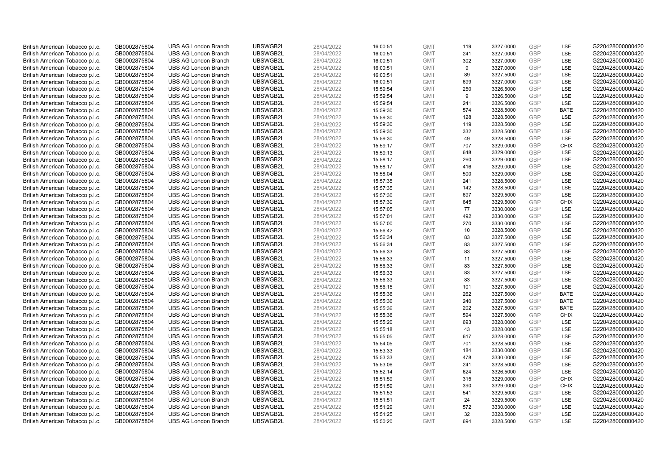| British American Tobacco p.l.c. | GB0002875804 | <b>UBS AG London Branch</b> | UBSWGB2L | 28/04/2022 | 16:00:51 | <b>GMT</b> | 119 | 3327.0000 | <b>GBP</b> | LSE         | G220428000000420 |
|---------------------------------|--------------|-----------------------------|----------|------------|----------|------------|-----|-----------|------------|-------------|------------------|
| British American Tobacco p.l.c. | GB0002875804 | <b>UBS AG London Branch</b> | UBSWGB2L | 28/04/2022 | 16:00:51 | <b>GMT</b> | 241 | 3327.0000 | GBP        | LSE         | G220428000000420 |
| British American Tobacco p.l.c. | GB0002875804 | <b>UBS AG London Branch</b> | UBSWGB2L | 28/04/2022 | 16:00:51 | <b>GMT</b> | 302 | 3327.0000 | GBP        | LSE         | G220428000000420 |
| British American Tobacco p.l.c. | GB0002875804 | <b>UBS AG London Branch</b> | UBSWGB2L | 28/04/2022 | 16:00:51 | <b>GMT</b> | 9   | 3327.0000 | GBP        | LSE         | G220428000000420 |
| British American Tobacco p.l.c. | GB0002875804 | <b>UBS AG London Branch</b> | UBSWGB2L | 28/04/2022 | 16:00:51 | <b>GMT</b> | 89  | 3327.5000 | <b>GBP</b> | LSE         | G220428000000420 |
| British American Tobacco p.l.c. | GB0002875804 | <b>UBS AG London Branch</b> | UBSWGB2L | 28/04/2022 | 16:00:51 | <b>GMT</b> | 699 | 3327.0000 | <b>GBP</b> | LSE         | G220428000000420 |
| British American Tobacco p.l.c. | GB0002875804 | <b>UBS AG London Branch</b> | UBSWGB2L | 28/04/2022 | 15:59:54 | <b>GMT</b> | 250 | 3326.5000 | GBP        | LSE         | G220428000000420 |
| British American Tobacco p.l.c. | GB0002875804 | <b>UBS AG London Branch</b> | UBSWGB2L | 28/04/2022 | 15:59:54 | <b>GMT</b> | 9   | 3326.5000 | <b>GBP</b> | <b>LSE</b>  | G220428000000420 |
| British American Tobacco p.l.c. | GB0002875804 | <b>UBS AG London Branch</b> | UBSWGB2L | 28/04/2022 | 15:59:54 | <b>GMT</b> | 241 | 3326.5000 | GBP        | <b>LSE</b>  | G220428000000420 |
| British American Tobacco p.l.c. | GB0002875804 | <b>UBS AG London Branch</b> | UBSWGB2L | 28/04/2022 | 15:59:30 | <b>GMT</b> | 574 | 3328.5000 | <b>GBP</b> | <b>BATE</b> | G220428000000420 |
| British American Tobacco p.l.c. | GB0002875804 | <b>UBS AG London Branch</b> | UBSWGB2L | 28/04/2022 | 15:59:30 | <b>GMT</b> | 128 | 3328.5000 | GBP        | <b>LSE</b>  | G220428000000420 |
| British American Tobacco p.l.c. | GB0002875804 | <b>UBS AG London Branch</b> | UBSWGB2L | 28/04/2022 | 15:59:30 | <b>GMT</b> | 119 | 3328.5000 | <b>GBP</b> | LSE         | G220428000000420 |
| British American Tobacco p.l.c. | GB0002875804 | <b>UBS AG London Branch</b> | UBSWGB2L | 28/04/2022 | 15:59:30 | <b>GMT</b> | 332 | 3328.5000 | <b>GBP</b> | LSE         | G220428000000420 |
| British American Tobacco p.l.c. | GB0002875804 | <b>UBS AG London Branch</b> | UBSWGB2L | 28/04/2022 | 15:59:30 | <b>GMT</b> | 49  | 3328.5000 | <b>GBP</b> | LSE         | G220428000000420 |
| British American Tobacco p.l.c. | GB0002875804 | <b>UBS AG London Branch</b> | UBSWGB2L | 28/04/2022 | 15:59:17 | <b>GMT</b> | 707 | 3329.0000 | <b>GBP</b> | <b>CHIX</b> | G220428000000420 |
| British American Tobacco p.l.c. | GB0002875804 | <b>UBS AG London Branch</b> | UBSWGB2L | 28/04/2022 | 15:59:13 | <b>GMT</b> | 648 | 3329.0000 | GBP        | LSE         | G220428000000420 |
| British American Tobacco p.l.c. | GB0002875804 | <b>UBS AG London Branch</b> | UBSWGB2L | 28/04/2022 | 15:58:17 | <b>GMT</b> | 260 | 3329.0000 | <b>GBP</b> | LSE         | G220428000000420 |
| British American Tobacco p.l.c. | GB0002875804 | <b>UBS AG London Branch</b> | UBSWGB2L | 28/04/2022 | 15:58:17 | <b>GMT</b> | 416 | 3329.0000 | <b>GBP</b> | LSE         | G220428000000420 |
| British American Tobacco p.l.c. | GB0002875804 | <b>UBS AG London Branch</b> | UBSWGB2L | 28/04/2022 | 15:58:04 | <b>GMT</b> | 500 | 3329.0000 | GBP        | <b>LSE</b>  | G220428000000420 |
| British American Tobacco p.l.c. | GB0002875804 | <b>UBS AG London Branch</b> | UBSWGB2L | 28/04/2022 | 15:57:35 | <b>GMT</b> | 241 | 3328.5000 | GBP        | LSE         | G220428000000420 |
| British American Tobacco p.l.c. | GB0002875804 | <b>UBS AG London Branch</b> | UBSWGB2L | 28/04/2022 | 15:57:35 | <b>GMT</b> | 142 | 3328.5000 | <b>GBP</b> | LSE         | G220428000000420 |
| British American Tobacco p.l.c. | GB0002875804 | <b>UBS AG London Branch</b> | UBSWGB2L | 28/04/2022 | 15:57:30 | <b>GMT</b> | 697 | 3329.5000 | <b>GBP</b> | LSE         | G220428000000420 |
| British American Tobacco p.l.c. | GB0002875804 | <b>UBS AG London Branch</b> | UBSWGB2L | 28/04/2022 | 15:57:30 | <b>GMT</b> | 645 | 3329.5000 | <b>GBP</b> | <b>CHIX</b> | G220428000000420 |
| British American Tobacco p.l.c. | GB0002875804 | <b>UBS AG London Branch</b> | UBSWGB2L | 28/04/2022 | 15:57:05 | <b>GMT</b> | 77  | 3330.0000 | GBP        | <b>LSE</b>  | G220428000000420 |
| British American Tobacco p.l.c. | GB0002875804 | <b>UBS AG London Branch</b> | UBSWGB2L | 28/04/2022 | 15:57:01 | <b>GMT</b> | 492 | 3330.0000 | <b>GBP</b> | LSE         | G220428000000420 |
| British American Tobacco p.l.c. | GB0002875804 | <b>UBS AG London Branch</b> | UBSWGB2L | 28/04/2022 | 15:57:00 | <b>GMT</b> | 270 | 3330.0000 | <b>GBP</b> | LSE         | G220428000000420 |
| British American Tobacco p.l.c. | GB0002875804 | <b>UBS AG London Branch</b> | UBSWGB2L | 28/04/2022 | 15:56:42 | <b>GMT</b> | 10  | 3328.5000 | GBP        | LSE         | G220428000000420 |
| British American Tobacco p.l.c. | GB0002875804 | <b>UBS AG London Branch</b> | UBSWGB2L | 28/04/2022 | 15:56:34 | <b>GMT</b> | 83  | 3327.5000 | <b>GBP</b> | <b>LSE</b>  | G220428000000420 |
| British American Tobacco p.l.c. | GB0002875804 | <b>UBS AG London Branch</b> | UBSWGB2L | 28/04/2022 | 15:56:34 | <b>GMT</b> | 83  | 3327.5000 | GBP        | LSE         | G220428000000420 |
| British American Tobacco p.l.c. | GB0002875804 | <b>UBS AG London Branch</b> | UBSWGB2L | 28/04/2022 | 15:56:33 | <b>GMT</b> | 83  | 3327.5000 | <b>GBP</b> | LSE         | G220428000000420 |
| British American Tobacco p.l.c. | GB0002875804 | <b>UBS AG London Branch</b> | UBSWGB2L | 28/04/2022 | 15:56:33 | <b>GMT</b> | 11  | 3327.5000 | GBP        | LSE         | G220428000000420 |
| British American Tobacco p.l.c. | GB0002875804 | <b>UBS AG London Branch</b> | UBSWGB2L | 28/04/2022 | 15:56:33 | <b>GMT</b> | 83  | 3327.5000 | <b>GBP</b> | <b>LSE</b>  | G220428000000420 |
| British American Tobacco p.l.c. | GB0002875804 | <b>UBS AG London Branch</b> | UBSWGB2L | 28/04/2022 | 15:56:33 | <b>GMT</b> | 83  | 3327.5000 | <b>GBP</b> | LSE         | G220428000000420 |
| British American Tobacco p.l.c. | GB0002875804 | <b>UBS AG London Branch</b> | UBSWGB2L | 28/04/2022 | 15:56:33 | <b>GMT</b> | 83  | 3327.5000 | GBP        | LSE         | G220428000000420 |
| British American Tobacco p.l.c. | GB0002875804 | <b>UBS AG London Branch</b> | UBSWGB2L | 28/04/2022 | 15:56:15 | <b>GMT</b> | 101 | 3327.5000 | GBP        | LSE         | G220428000000420 |
| British American Tobacco p.l.c. | GB0002875804 | <b>UBS AG London Branch</b> | UBSWGB2L | 28/04/2022 | 15:55:36 | <b>GMT</b> | 262 | 3327.5000 | <b>GBP</b> | <b>BATE</b> | G220428000000420 |
| British American Tobacco p.l.c. | GB0002875804 | <b>UBS AG London Branch</b> | UBSWGB2L | 28/04/2022 | 15:55:36 | <b>GMT</b> | 240 | 3327.5000 | GBP        | <b>BATE</b> | G220428000000420 |
| British American Tobacco p.l.c. | GB0002875804 | <b>UBS AG London Branch</b> | UBSWGB2L | 28/04/2022 | 15:55:36 | <b>GMT</b> | 202 | 3327.5000 | <b>GBP</b> | <b>BATE</b> | G220428000000420 |
| British American Tobacco p.l.c. | GB0002875804 | <b>UBS AG London Branch</b> | UBSWGB2L | 28/04/2022 | 15:55:36 | <b>GMT</b> | 594 | 3327.5000 | <b>GBP</b> | <b>CHIX</b> | G220428000000420 |
| British American Tobacco p.l.c. | GB0002875804 | <b>UBS AG London Branch</b> | UBSWGB2L | 28/04/2022 | 15:55:20 | <b>GMT</b> | 693 | 3328.0000 | GBP        | <b>LSE</b>  | G220428000000420 |
| British American Tobacco p.l.c. | GB0002875804 | <b>UBS AG London Branch</b> | UBSWGB2L | 28/04/2022 | 15:55:18 | <b>GMT</b> | 43  | 3328.0000 | <b>GBP</b> | <b>LSE</b>  | G220428000000420 |
| British American Tobacco p.l.c. | GB0002875804 | <b>UBS AG London Branch</b> | UBSWGB2L | 28/04/2022 | 15:55:05 | <b>GMT</b> | 617 | 3328.0000 | GBP        | LSE         | G220428000000420 |
| British American Tobacco p.l.c. | GB0002875804 | <b>UBS AG London Branch</b> | UBSWGB2L | 28/04/2022 | 15:54:05 | <b>GMT</b> | 701 | 3328.5000 | <b>GBP</b> | LSE         | G220428000000420 |
| British American Tobacco p.l.c. | GB0002875804 | <b>UBS AG London Branch</b> | UBSWGB2L | 28/04/2022 | 15:53:33 | <b>GMT</b> | 184 | 3330.0000 | GBP        | LSE         | G220428000000420 |
| British American Tobacco p.l.c. | GB0002875804 | <b>UBS AG London Branch</b> | UBSWGB2L | 28/04/2022 | 15:53:33 | <b>GMT</b> | 478 | 3330.0000 | GBP        | <b>LSE</b>  | G220428000000420 |
| British American Tobacco p.l.c. | GB0002875804 | <b>UBS AG London Branch</b> | UBSWGB2L | 28/04/2022 | 15:53:06 | <b>GMT</b> | 241 | 3328.5000 | <b>GBP</b> | LSE         | G220428000000420 |
| British American Tobacco p.l.c. | GB0002875804 | <b>UBS AG London Branch</b> | UBSWGB2L | 28/04/2022 | 15:52:14 | <b>GMT</b> | 624 | 3326.5000 | <b>GBP</b> | LSE         | G220428000000420 |
| British American Tobacco p.l.c. | GB0002875804 | <b>UBS AG London Branch</b> | UBSWGB2L | 28/04/2022 | 15:51:59 | <b>GMT</b> | 315 | 3329.0000 | GBP        | <b>CHIX</b> | G220428000000420 |
| British American Tobacco p.l.c. | GB0002875804 | <b>UBS AG London Branch</b> | UBSWGB2L | 28/04/2022 | 15:51:59 | <b>GMT</b> | 390 | 3329.0000 | GBP        | <b>CHIX</b> | G220428000000420 |
| British American Tobacco p.l.c. | GB0002875804 | <b>UBS AG London Branch</b> | UBSWGB2L | 28/04/2022 | 15:51:53 | <b>GMT</b> | 541 | 3329.5000 | GBP        | <b>LSE</b>  | G220428000000420 |
| British American Tobacco p.l.c. | GB0002875804 | <b>UBS AG London Branch</b> | UBSWGB2L | 28/04/2022 | 15:51:51 | <b>GMT</b> | 24  | 3329.5000 | <b>GBP</b> | LSE         | G220428000000420 |
| British American Tobacco p.l.c. | GB0002875804 | <b>UBS AG London Branch</b> | UBSWGB2L | 28/04/2022 | 15:51:29 | <b>GMT</b> | 572 | 3330.0000 | <b>GBP</b> | LSE         | G220428000000420 |
| British American Tobacco p.l.c. | GB0002875804 | <b>UBS AG London Branch</b> | UBSWGB2L | 28/04/2022 | 15:51:25 | <b>GMT</b> | 32  | 3328.5000 | GBP        | LSE         | G220428000000420 |
| British American Tobacco p.l.c. | GB0002875804 | <b>UBS AG London Branch</b> | UBSWGB2L | 28/04/2022 | 15:50:20 | <b>GMT</b> | 694 | 3328.5000 | GBP        | <b>LSE</b>  | G220428000000420 |
|                                 |              |                             |          |            |          |            |     |           |            |             |                  |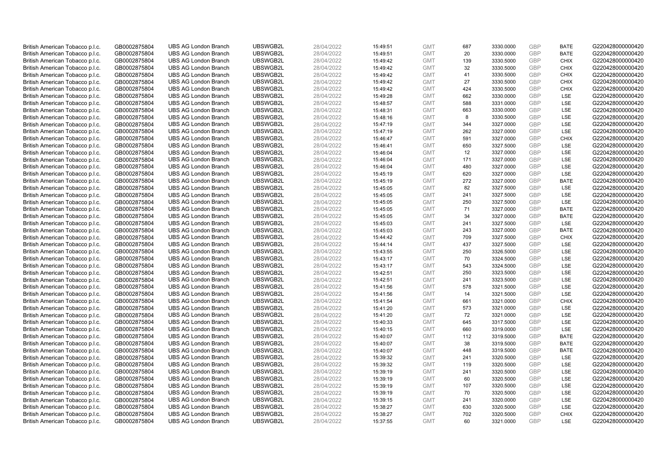| British American Tobacco p.l.c. | GB0002875804 | <b>UBS AG London Branch</b> | UBSWGB2L | 28/04/2022 | 15:49:51 | <b>GMT</b> | 687 | 3330.0000 | <b>GBP</b> | <b>BATE</b> | G220428000000420 |
|---------------------------------|--------------|-----------------------------|----------|------------|----------|------------|-----|-----------|------------|-------------|------------------|
| British American Tobacco p.l.c. | GB0002875804 | <b>UBS AG London Branch</b> | UBSWGB2L | 28/04/2022 | 15:49:51 | <b>GMT</b> | 20  | 3330.0000 | GBP        | <b>BATE</b> | G220428000000420 |
| British American Tobacco p.l.c. | GB0002875804 | <b>UBS AG London Branch</b> | UBSWGB2L | 28/04/2022 | 15:49:42 | <b>GMT</b> | 139 | 3330.5000 | <b>GBP</b> | <b>CHIX</b> | G220428000000420 |
| British American Tobacco p.l.c. | GB0002875804 | <b>UBS AG London Branch</b> | UBSWGB2L | 28/04/2022 | 15:49:42 | <b>GMT</b> | 32  | 3330.5000 | GBP        | <b>CHIX</b> | G220428000000420 |
| British American Tobacco p.l.c. | GB0002875804 | <b>UBS AG London Branch</b> | UBSWGB2L | 28/04/2022 | 15:49:42 | <b>GMT</b> | 41  | 3330.5000 | <b>GBP</b> | <b>CHIX</b> | G220428000000420 |
| British American Tobacco p.l.c. | GB0002875804 | <b>UBS AG London Branch</b> | UBSWGB2L | 28/04/2022 | 15:49:42 | <b>GMT</b> | 27  | 3330.5000 | GBP        | <b>CHIX</b> | G220428000000420 |
| British American Tobacco p.l.c. | GB0002875804 | <b>UBS AG London Branch</b> | UBSWGB2L | 28/04/2022 | 15:49:42 | <b>GMT</b> | 424 | 3330.5000 | <b>GBP</b> | <b>CHIX</b> | G220428000000420 |
| British American Tobacco p.l.c. | GB0002875804 | <b>UBS AG London Branch</b> | UBSWGB2L | 28/04/2022 | 15:49:28 | <b>GMT</b> | 662 | 3330.0000 | <b>GBP</b> | LSE         | G220428000000420 |
| British American Tobacco p.l.c. | GB0002875804 | <b>UBS AG London Branch</b> | UBSWGB2L | 28/04/2022 | 15:48:57 | <b>GMT</b> | 588 | 3331.0000 | <b>GBP</b> | <b>LSE</b>  | G220428000000420 |
| British American Tobacco p.l.c. | GB0002875804 | <b>UBS AG London Branch</b> | UBSWGB2L | 28/04/2022 | 15:48:31 | <b>GMT</b> | 663 | 3330.0000 | GBP        | <b>LSE</b>  | G220428000000420 |
| British American Tobacco p.l.c. | GB0002875804 | <b>UBS AG London Branch</b> | UBSWGB2L | 28/04/2022 | 15:48:16 | <b>GMT</b> | 8   | 3330.5000 | <b>GBP</b> | LSE         | G220428000000420 |
| British American Tobacco p.l.c. | GB0002875804 | <b>UBS AG London Branch</b> | UBSWGB2L | 28/04/2022 | 15:47:19 | <b>GMT</b> | 344 | 3327.0000 | <b>GBP</b> | LSE         | G220428000000420 |
| British American Tobacco p.l.c. | GB0002875804 | <b>UBS AG London Branch</b> | UBSWGB2L | 28/04/2022 | 15:47:19 | <b>GMT</b> | 262 | 3327.0000 | <b>GBP</b> | LSE         | G220428000000420 |
| British American Tobacco p.l.c. | GB0002875804 | <b>UBS AG London Branch</b> | UBSWGB2L | 28/04/2022 | 15:46:47 | <b>GMT</b> | 591 | 3327.0000 | <b>GBP</b> | <b>CHIX</b> | G220428000000420 |
| British American Tobacco p.l.c. | GB0002875804 | <b>UBS AG London Branch</b> | UBSWGB2L | 28/04/2022 | 15:46:41 | <b>GMT</b> | 650 | 3327.5000 | GBP        | LSE         | G220428000000420 |
| British American Tobacco p.l.c. | GB0002875804 | <b>UBS AG London Branch</b> | UBSWGB2L | 28/04/2022 | 15:46:04 | <b>GMT</b> | 12  | 3327.0000 | <b>GBP</b> | LSE         | G220428000000420 |
| British American Tobacco p.l.c. | GB0002875804 | <b>UBS AG London Branch</b> | UBSWGB2L | 28/04/2022 | 15:46:04 | <b>GMT</b> | 171 | 3327.0000 | <b>GBP</b> | <b>LSE</b>  | G220428000000420 |
| British American Tobacco p.l.c. | GB0002875804 | <b>UBS AG London Branch</b> | UBSWGB2L | 28/04/2022 | 15:46:04 | <b>GMT</b> | 480 | 3327.0000 | GBP        | LSE         | G220428000000420 |
| British American Tobacco p.l.c. | GB0002875804 | <b>UBS AG London Branch</b> | UBSWGB2L | 28/04/2022 | 15:45:19 | <b>GMT</b> | 620 | 3327.0000 | GBP        | <b>LSE</b>  | G220428000000420 |
| British American Tobacco p.l.c. | GB0002875804 | <b>UBS AG London Branch</b> | UBSWGB2L | 28/04/2022 | 15:45:19 | <b>GMT</b> | 272 | 3327.0000 | <b>GBP</b> | <b>BATE</b> | G220428000000420 |
| British American Tobacco p.l.c. | GB0002875804 | <b>UBS AG London Branch</b> | UBSWGB2L | 28/04/2022 | 15:45:05 | <b>GMT</b> | 82  | 3327.5000 | <b>GBP</b> | LSE         | G220428000000420 |
| British American Tobacco p.l.c. | GB0002875804 | <b>UBS AG London Branch</b> | UBSWGB2L | 28/04/2022 | 15:45:05 | <b>GMT</b> | 241 | 3327.5000 | GBP        | <b>LSE</b>  | G220428000000420 |
| British American Tobacco p.l.c. | GB0002875804 | <b>UBS AG London Branch</b> | UBSWGB2L | 28/04/2022 | 15:45:05 | <b>GMT</b> | 250 | 3327.5000 | <b>GBP</b> | LSE         | G220428000000420 |
| British American Tobacco p.l.c. | GB0002875804 | <b>UBS AG London Branch</b> | UBSWGB2L | 28/04/2022 | 15:45:05 | <b>GMT</b> | 71  | 3327.0000 | <b>GBP</b> | <b>BATE</b> | G220428000000420 |
| British American Tobacco p.l.c. | GB0002875804 | <b>UBS AG London Branch</b> | UBSWGB2L | 28/04/2022 | 15:45:05 | <b>GMT</b> | 34  | 3327.0000 | <b>GBP</b> | <b>BATE</b> | G220428000000420 |
| British American Tobacco p.l.c. | GB0002875804 | <b>UBS AG London Branch</b> | UBSWGB2L | 28/04/2022 | 15:45:03 | <b>GMT</b> | 241 | 3327.5000 | GBP        | LSE         | G220428000000420 |
| British American Tobacco p.l.c. | GB0002875804 | <b>UBS AG London Branch</b> | UBSWGB2L | 28/04/2022 | 15:45:03 | <b>GMT</b> | 243 | 3327.0000 | <b>GBP</b> | <b>BATE</b> | G220428000000420 |
| British American Tobacco p.l.c. | GB0002875804 | <b>UBS AG London Branch</b> | UBSWGB2L | 28/04/2022 | 15:44:42 | <b>GMT</b> | 709 | 3327.5000 | <b>GBP</b> | <b>CHIX</b> | G220428000000420 |
| British American Tobacco p.l.c. | GB0002875804 | <b>UBS AG London Branch</b> | UBSWGB2L | 28/04/2022 | 15:44:14 | <b>GMT</b> | 437 | 3327.5000 | GBP        | LSE         | G220428000000420 |
| British American Tobacco p.l.c. | GB0002875804 | <b>UBS AG London Branch</b> | UBSWGB2L | 28/04/2022 | 15:43:55 | <b>GMT</b> | 250 | 3326.5000 | <b>GBP</b> | LSE         | G220428000000420 |
| British American Tobacco p.l.c. | GB0002875804 | <b>UBS AG London Branch</b> | UBSWGB2L | 28/04/2022 | 15:43:17 | <b>GMT</b> | 70  | 3324.5000 | <b>GBP</b> | LSE         | G220428000000420 |
| British American Tobacco p.l.c. | GB0002875804 | <b>UBS AG London Branch</b> | UBSWGB2L | 28/04/2022 | 15:43:17 | <b>GMT</b> | 543 | 3324.5000 | <b>GBP</b> | <b>LSE</b>  | G220428000000420 |
| British American Tobacco p.l.c. | GB0002875804 | <b>UBS AG London Branch</b> | UBSWGB2L | 28/04/2022 | 15:42:51 | <b>GMT</b> | 250 | 3323.5000 | GBP        | LSE         | G220428000000420 |
| British American Tobacco p.l.c. | GB0002875804 | <b>UBS AG London Branch</b> | UBSWGB2L | 28/04/2022 | 15:42:51 | <b>GMT</b> | 241 | 3323.5000 | <b>GBP</b> | LSE         | G220428000000420 |
| British American Tobacco p.l.c. | GB0002875804 | <b>UBS AG London Branch</b> | UBSWGB2L | 28/04/2022 | 15:41:56 | <b>GMT</b> | 578 | 3321.5000 | <b>GBP</b> | LSE         | G220428000000420 |
| British American Tobacco p.l.c. | GB0002875804 | <b>UBS AG London Branch</b> | UBSWGB2L | 28/04/2022 | 15:41:56 | <b>GMT</b> | 14  | 3321.5000 | <b>GBP</b> | <b>LSE</b>  | G220428000000420 |
| British American Tobacco p.l.c. | GB0002875804 | <b>UBS AG London Branch</b> | UBSWGB2L | 28/04/2022 | 15:41:54 | <b>GMT</b> | 661 | 3321.0000 | GBP        | <b>CHIX</b> | G220428000000420 |
| British American Tobacco p.l.c. | GB0002875804 | <b>UBS AG London Branch</b> | UBSWGB2L | 28/04/2022 | 15:41:20 | <b>GMT</b> | 573 | 3321.0000 | <b>GBP</b> | <b>LSE</b>  | G220428000000420 |
| British American Tobacco p.l.c. | GB0002875804 | <b>UBS AG London Branch</b> | UBSWGB2L | 28/04/2022 | 15:41:20 | <b>GMT</b> | 72  | 3321.0000 | <b>GBP</b> | LSE         | G220428000000420 |
| British American Tobacco p.l.c. | GB0002875804 | <b>UBS AG London Branch</b> | UBSWGB2L | 28/04/2022 | 15:40:33 | <b>GMT</b> | 645 | 3317.5000 | GBP        | LSE         | G220428000000420 |
| British American Tobacco p.l.c. | GB0002875804 | <b>UBS AG London Branch</b> | UBSWGB2L | 28/04/2022 | 15:40:15 | <b>GMT</b> | 660 | 3319.0000 | <b>GBP</b> | LSE         | G220428000000420 |
| British American Tobacco p.l.c. | GB0002875804 | <b>UBS AG London Branch</b> | UBSWGB2L | 28/04/2022 | 15:40:07 | <b>GMT</b> | 112 | 3319.5000 | GBP        | <b>BATE</b> | G220428000000420 |
| British American Tobacco p.l.c. | GB0002875804 | <b>UBS AG London Branch</b> | UBSWGB2L | 28/04/2022 | 15:40:07 | <b>GMT</b> | 38  | 3319.5000 | <b>GBP</b> | <b>BATE</b> | G220428000000420 |
| British American Tobacco p.l.c. | GB0002875804 | <b>UBS AG London Branch</b> | UBSWGB2L | 28/04/2022 | 15:40:07 | <b>GMT</b> | 448 | 3319.5000 | <b>GBP</b> | <b>BATE</b> | G220428000000420 |
| British American Tobacco p.l.c. | GB0002875804 | <b>UBS AG London Branch</b> | UBSWGB2L | 28/04/2022 | 15:39:32 | <b>GMT</b> | 241 | 3320.5000 | GBP        | <b>LSE</b>  | G220428000000420 |
| British American Tobacco p.l.c. | GB0002875804 | <b>UBS AG London Branch</b> | UBSWGB2L | 28/04/2022 | 15:39:32 | <b>GMT</b> | 119 | 3320.5000 | <b>GBP</b> | LSE         | G220428000000420 |
| British American Tobacco p.l.c. | GB0002875804 | <b>UBS AG London Branch</b> | UBSWGB2L | 28/04/2022 | 15:39:19 | <b>GMT</b> | 241 | 3320.5000 | GBP        | LSE         | G220428000000420 |
| British American Tobacco p.l.c. | GB0002875804 | <b>UBS AG London Branch</b> | UBSWGB2L | 28/04/2022 | 15:39:19 | <b>GMT</b> | 60  | 3320.5000 | <b>GBP</b> | LSE         | G220428000000420 |
| British American Tobacco p.l.c. | GB0002875804 | <b>UBS AG London Branch</b> | UBSWGB2L | 28/04/2022 | 15:39:19 | <b>GMT</b> | 107 | 3320.5000 | <b>GBP</b> | LSE         | G220428000000420 |
| British American Tobacco p.l.c. | GB0002875804 | <b>UBS AG London Branch</b> | UBSWGB2L | 28/04/2022 | 15:39:19 | <b>GMT</b> | 70  | 3320.5000 | <b>GBP</b> | LSE         | G220428000000420 |
| British American Tobacco p.l.c. | GB0002875804 | <b>UBS AG London Branch</b> | UBSWGB2L | 28/04/2022 | 15:39:15 | <b>GMT</b> | 241 | 3320.0000 | GBP        | LSE         | G220428000000420 |
| British American Tobacco p.l.c. | GB0002875804 | <b>UBS AG London Branch</b> | UBSWGB2L | 28/04/2022 | 15:38:27 | <b>GMT</b> | 630 | 3320.5000 | <b>GBP</b> | LSE         | G220428000000420 |
| British American Tobacco p.l.c. | GB0002875804 | <b>UBS AG London Branch</b> | UBSWGB2L | 28/04/2022 | 15:38:27 | <b>GMT</b> | 702 | 3320.5000 | GBP        | <b>CHIX</b> | G220428000000420 |
| British American Tobacco p.l.c. | GB0002875804 | <b>UBS AG London Branch</b> | UBSWGB2L | 28/04/2022 | 15:37:55 | <b>GMT</b> | 60  | 3321.0000 | GBP        | <b>LSE</b>  | G220428000000420 |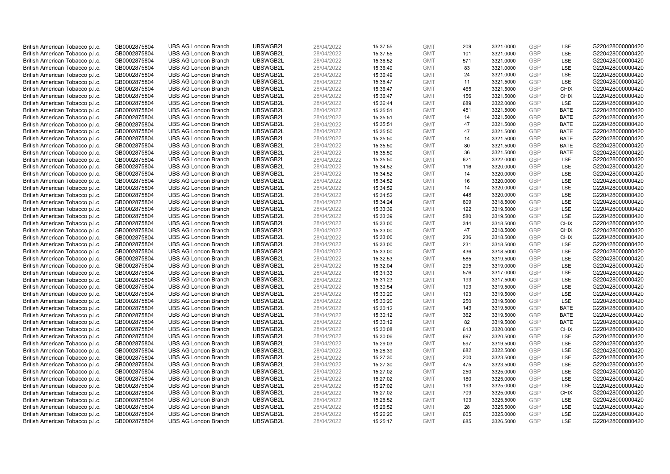| British American Tobacco p.l.c. | GB0002875804 | <b>UBS AG London Branch</b> | UBSWGB2L | 28/04/2022 | 15:37:55 | <b>GMT</b> | 209 | 3321.0000 | GBP        | LSE         | G220428000000420 |
|---------------------------------|--------------|-----------------------------|----------|------------|----------|------------|-----|-----------|------------|-------------|------------------|
| British American Tobacco p.l.c. | GB0002875804 | <b>UBS AG London Branch</b> | UBSWGB2L | 28/04/2022 | 15:37:55 | <b>GMT</b> | 101 | 3321.0000 | GBP        | LSE         | G220428000000420 |
| British American Tobacco p.l.c. | GB0002875804 | <b>UBS AG London Branch</b> | UBSWGB2L | 28/04/2022 | 15:36:52 | <b>GMT</b> | 571 | 3321.0000 | GBP        | LSE         | G220428000000420 |
| British American Tobacco p.l.c. | GB0002875804 | <b>UBS AG London Branch</b> | UBSWGB2L | 28/04/2022 | 15:36:49 | <b>GMT</b> | 83  | 3321.0000 | GBP        | LSE         | G220428000000420 |
| British American Tobacco p.l.c. | GB0002875804 | <b>UBS AG London Branch</b> | UBSWGB2L | 28/04/2022 | 15:36:49 | <b>GMT</b> | 24  | 3321.0000 | <b>GBP</b> | LSE         | G220428000000420 |
| British American Tobacco p.l.c. | GB0002875804 | <b>UBS AG London Branch</b> | UBSWGB2L | 28/04/2022 | 15:36:47 | <b>GMT</b> | 11  | 3321.5000 | <b>GBP</b> | LSE         | G220428000000420 |
| British American Tobacco p.l.c. | GB0002875804 | <b>UBS AG London Branch</b> | UBSWGB2L | 28/04/2022 | 15:36:47 | <b>GMT</b> | 465 | 3321.5000 | GBP        | <b>CHIX</b> | G220428000000420 |
| British American Tobacco p.l.c. | GB0002875804 | <b>UBS AG London Branch</b> | UBSWGB2L | 28/04/2022 | 15:36:47 | <b>GMT</b> | 156 | 3321.5000 | <b>GBP</b> | <b>CHIX</b> | G220428000000420 |
| British American Tobacco p.l.c. | GB0002875804 | <b>UBS AG London Branch</b> | UBSWGB2L | 28/04/2022 | 15:36:44 | <b>GMT</b> | 689 | 3322.0000 | GBP        | LSE         | G220428000000420 |
| British American Tobacco p.l.c. | GB0002875804 | <b>UBS AG London Branch</b> | UBSWGB2L | 28/04/2022 | 15:35:51 | <b>GMT</b> | 451 | 3321.5000 | <b>GBP</b> | <b>BATE</b> | G220428000000420 |
| British American Tobacco p.l.c. | GB0002875804 | <b>UBS AG London Branch</b> | UBSWGB2L | 28/04/2022 | 15:35:51 | <b>GMT</b> | 14  | 3321.5000 | GBP        | <b>BATE</b> | G220428000000420 |
| British American Tobacco p.l.c. | GB0002875804 | <b>UBS AG London Branch</b> | UBSWGB2L | 28/04/2022 | 15:35:51 | <b>GMT</b> | 47  | 3321.5000 | <b>GBP</b> | <b>BATE</b> | G220428000000420 |
| British American Tobacco p.l.c. | GB0002875804 | <b>UBS AG London Branch</b> | UBSWGB2L | 28/04/2022 | 15:35:50 | <b>GMT</b> | 47  | 3321.5000 | <b>GBP</b> | <b>BATE</b> | G220428000000420 |
| British American Tobacco p.l.c. | GB0002875804 | <b>UBS AG London Branch</b> | UBSWGB2L | 28/04/2022 | 15:35:50 | <b>GMT</b> | 14  | 3321.5000 | <b>GBP</b> | <b>BATE</b> | G220428000000420 |
| British American Tobacco p.l.c. | GB0002875804 | <b>UBS AG London Branch</b> | UBSWGB2L | 28/04/2022 | 15:35:50 | <b>GMT</b> | 80  | 3321.5000 | <b>GBP</b> | <b>BATE</b> | G220428000000420 |
| British American Tobacco p.l.c. | GB0002875804 | <b>UBS AG London Branch</b> | UBSWGB2L | 28/04/2022 | 15:35:50 | <b>GMT</b> | 36  | 3321.5000 | GBP        | <b>BATE</b> | G220428000000420 |
| British American Tobacco p.l.c. | GB0002875804 | <b>UBS AG London Branch</b> | UBSWGB2L | 28/04/2022 | 15:35:50 | <b>GMT</b> | 621 | 3322.0000 | <b>GBP</b> | LSE         | G220428000000420 |
| British American Tobacco p.l.c. | GB0002875804 | <b>UBS AG London Branch</b> | UBSWGB2L | 28/04/2022 | 15:34:52 | <b>GMT</b> | 116 | 3320.0000 | <b>GBP</b> | LSE         | G220428000000420 |
| British American Tobacco p.l.c. | GB0002875804 | <b>UBS AG London Branch</b> | UBSWGB2L | 28/04/2022 | 15:34:52 | <b>GMT</b> | 14  | 3320.0000 | GBP        | <b>LSE</b>  | G220428000000420 |
| British American Tobacco p.l.c. | GB0002875804 | <b>UBS AG London Branch</b> | UBSWGB2L | 28/04/2022 | 15:34:52 | <b>GMT</b> | 16  | 3320.0000 | GBP        | LSE         | G220428000000420 |
| British American Tobacco p.l.c. | GB0002875804 | <b>UBS AG London Branch</b> | UBSWGB2L | 28/04/2022 | 15:34:52 | <b>GMT</b> | 14  | 3320.0000 | <b>GBP</b> | <b>LSE</b>  | G220428000000420 |
| British American Tobacco p.l.c. | GB0002875804 | <b>UBS AG London Branch</b> | UBSWGB2L | 28/04/2022 | 15:34:52 | <b>GMT</b> | 448 | 3320.0000 | <b>GBP</b> | LSE         | G220428000000420 |
| British American Tobacco p.l.c. | GB0002875804 | <b>UBS AG London Branch</b> | UBSWGB2L | 28/04/2022 | 15:34:24 | <b>GMT</b> | 609 | 3318.5000 | <b>GBP</b> | LSE         | G220428000000420 |
| British American Tobacco p.l.c. | GB0002875804 | <b>UBS AG London Branch</b> | UBSWGB2L | 28/04/2022 | 15:33:39 | <b>GMT</b> | 122 | 3319.5000 | GBP        | LSE         | G220428000000420 |
| British American Tobacco p.l.c. | GB0002875804 | <b>UBS AG London Branch</b> | UBSWGB2L | 28/04/2022 | 15:33:39 | <b>GMT</b> | 580 | 3319.5000 | <b>GBP</b> | LSE         | G220428000000420 |
| British American Tobacco p.l.c. | GB0002875804 | <b>UBS AG London Branch</b> | UBSWGB2L | 28/04/2022 | 15:33:00 | <b>GMT</b> | 344 | 3318.5000 | GBP        | <b>CHIX</b> | G220428000000420 |
| British American Tobacco p.l.c. | GB0002875804 | <b>UBS AG London Branch</b> | UBSWGB2L | 28/04/2022 | 15:33:00 | <b>GMT</b> | 47  | 3318.5000 | <b>GBP</b> | <b>CHIX</b> | G220428000000420 |
| British American Tobacco p.l.c. | GB0002875804 | <b>UBS AG London Branch</b> | UBSWGB2L | 28/04/2022 | 15:33:00 | <b>GMT</b> | 236 | 3318.5000 | <b>GBP</b> | <b>CHIX</b> | G220428000000420 |
| British American Tobacco p.l.c. | GB0002875804 | <b>UBS AG London Branch</b> | UBSWGB2L | 28/04/2022 | 15:33:00 | <b>GMT</b> | 231 | 3318.5000 | GBP        | <b>LSE</b>  | G220428000000420 |
| British American Tobacco p.l.c. | GB0002875804 | <b>UBS AG London Branch</b> | UBSWGB2L | 28/04/2022 | 15:33:00 | <b>GMT</b> | 436 | 3318.5000 | <b>GBP</b> | LSE         | G220428000000420 |
| British American Tobacco p.l.c. | GB0002875804 | <b>UBS AG London Branch</b> | UBSWGB2L | 28/04/2022 | 15:32:53 | <b>GMT</b> | 585 | 3319.5000 | <b>GBP</b> | LSE         | G220428000000420 |
| British American Tobacco p.l.c. | GB0002875804 | <b>UBS AG London Branch</b> | UBSWGB2L | 28/04/2022 | 15:32:04 | <b>GMT</b> | 295 | 3319.0000 | <b>GBP</b> | <b>LSE</b>  | G220428000000420 |
| British American Tobacco p.l.c. | GB0002875804 | <b>UBS AG London Branch</b> | UBSWGB2L | 28/04/2022 | 15:31:33 | <b>GMT</b> | 576 | 3317.0000 | <b>GBP</b> | LSE         | G220428000000420 |
| British American Tobacco p.l.c. | GB0002875804 | <b>UBS AG London Branch</b> | UBSWGB2L | 28/04/2022 | 15:31:23 | <b>GMT</b> | 193 | 3317.5000 | GBP        | LSE         | G220428000000420 |
| British American Tobacco p.l.c. | GB0002875804 | <b>UBS AG London Branch</b> | UBSWGB2L | 28/04/2022 | 15:30:54 | <b>GMT</b> | 193 | 3319.5000 | <b>GBP</b> | LSE         | G220428000000420 |
| British American Tobacco p.l.c. | GB0002875804 | <b>UBS AG London Branch</b> | UBSWGB2L | 28/04/2022 | 15:30:20 | <b>GMT</b> | 193 | 3319.5000 | <b>GBP</b> | LSE         | G220428000000420 |
| British American Tobacco p.l.c. | GB0002875804 | <b>UBS AG London Branch</b> | UBSWGB2L | 28/04/2022 | 15:30:20 | <b>GMT</b> | 250 | 3319.5000 | GBP        | LSE         | G220428000000420 |
| British American Tobacco p.l.c. | GB0002875804 | <b>UBS AG London Branch</b> | UBSWGB2L | 28/04/2022 | 15:30:12 | <b>GMT</b> | 143 | 3319.5000 | <b>GBP</b> | <b>BATE</b> | G220428000000420 |
| British American Tobacco p.l.c. | GB0002875804 | <b>UBS AG London Branch</b> | UBSWGB2L | 28/04/2022 | 15:30:12 | <b>GMT</b> | 362 | 3319.5000 | GBP        | <b>BATE</b> | G220428000000420 |
| British American Tobacco p.l.c. | GB0002875804 | <b>UBS AG London Branch</b> | UBSWGB2L | 28/04/2022 | 15:30:12 | <b>GMT</b> | 82  | 3319.5000 | GBP        | <b>BATE</b> | G220428000000420 |
| British American Tobacco p.l.c. | GB0002875804 | <b>UBS AG London Branch</b> | UBSWGB2L | 28/04/2022 | 15:30:08 | <b>GMT</b> | 613 | 3320.0000 | <b>GBP</b> | <b>CHIX</b> | G220428000000420 |
| British American Tobacco p.l.c. | GB0002875804 | <b>UBS AG London Branch</b> | UBSWGB2L | 28/04/2022 | 15:30:06 | <b>GMT</b> | 697 | 3320.5000 | <b>GBP</b> | <b>LSE</b>  | G220428000000420 |
| British American Tobacco p.l.c. | GB0002875804 | <b>UBS AG London Branch</b> | UBSWGB2L | 28/04/2022 | 15:29:03 | <b>GMT</b> | 597 | 3319.5000 | <b>GBP</b> | LSE         | G220428000000420 |
| British American Tobacco p.l.c. | GB0002875804 | <b>UBS AG London Branch</b> | UBSWGB2L | 28/04/2022 | 15:28:39 | <b>GMT</b> | 682 | 3322.5000 | GBP        | LSE         | G220428000000420 |
| British American Tobacco p.l.c. | GB0002875804 | <b>UBS AG London Branch</b> | UBSWGB2L | 28/04/2022 | 15:27:30 | <b>GMT</b> | 200 | 3323.5000 | <b>GBP</b> | <b>LSE</b>  | G220428000000420 |
| British American Tobacco p.l.c. | GB0002875804 | <b>UBS AG London Branch</b> | UBSWGB2L | 28/04/2022 | 15:27:30 | <b>GMT</b> | 475 | 3323.5000 | <b>GBP</b> | LSE         | G220428000000420 |
| British American Tobacco p.l.c. | GB0002875804 | <b>UBS AG London Branch</b> | UBSWGB2L | 28/04/2022 | 15:27:02 | <b>GMT</b> | 250 | 3325.0000 | <b>GBP</b> | LSE         | G220428000000420 |
| British American Tobacco p.l.c. | GB0002875804 | <b>UBS AG London Branch</b> | UBSWGB2L | 28/04/2022 | 15:27:02 | <b>GMT</b> | 180 | 3325.0000 | <b>GBP</b> | LSE         | G220428000000420 |
| British American Tobacco p.l.c. | GB0002875804 | <b>UBS AG London Branch</b> | UBSWGB2L | 28/04/2022 | 15:27:02 | <b>GMT</b> | 193 | 3325.0000 | GBP        | LSE         | G220428000000420 |
| British American Tobacco p.l.c. | GB0002875804 | <b>UBS AG London Branch</b> | UBSWGB2L | 28/04/2022 | 15:27:02 | <b>GMT</b> | 709 | 3325.0000 | GBP        | <b>CHIX</b> | G220428000000420 |
| British American Tobacco p.l.c. | GB0002875804 | <b>UBS AG London Branch</b> | UBSWGB2L | 28/04/2022 | 15:26:52 | <b>GMT</b> | 193 | 3325.5000 | GBP        | LSE         | G220428000000420 |
| British American Tobacco p.l.c. | GB0002875804 | <b>UBS AG London Branch</b> | UBSWGB2L | 28/04/2022 | 15:26:52 | <b>GMT</b> | 28  | 3325.5000 | <b>GBP</b> | LSE         | G220428000000420 |
| British American Tobacco p.l.c. | GB0002875804 | <b>UBS AG London Branch</b> | UBSWGB2L | 28/04/2022 | 15:26:20 | <b>GMT</b> | 605 | 3325.0000 | GBP        | LSE         | G220428000000420 |
| British American Tobacco p.l.c. | GB0002875804 | <b>UBS AG London Branch</b> | UBSWGB2L | 28/04/2022 | 15:25:17 | <b>GMT</b> | 685 | 3326.5000 | GBP        | <b>LSE</b>  | G220428000000420 |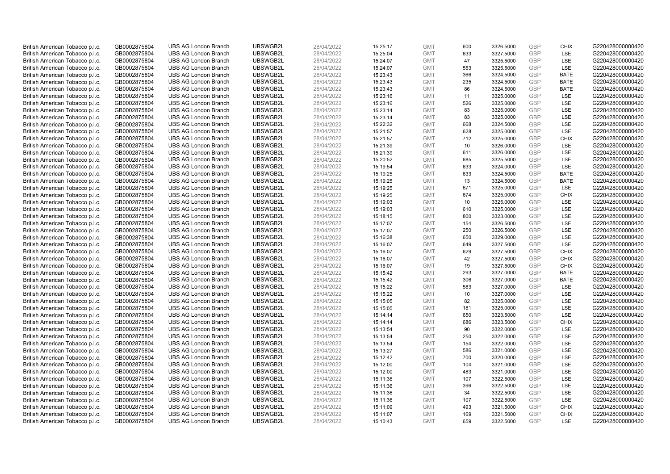| British American Tobacco p.l.c. | GB0002875804 | <b>UBS AG London Branch</b> | UBSWGB2L | 28/04/2022 | 15:25:17 | <b>GMT</b> | 600 | 3326.5000 | <b>GBP</b> | <b>CHIX</b> | G220428000000420 |
|---------------------------------|--------------|-----------------------------|----------|------------|----------|------------|-----|-----------|------------|-------------|------------------|
| British American Tobacco p.l.c. | GB0002875804 | <b>UBS AG London Branch</b> | UBSWGB2L | 28/04/2022 | 15:25:04 | <b>GMT</b> | 633 | 3327.5000 | GBP        | <b>LSE</b>  | G220428000000420 |
| British American Tobacco p.l.c. | GB0002875804 | <b>UBS AG London Branch</b> | UBSWGB2L | 28/04/2022 | 15:24:07 | <b>GMT</b> | 47  | 3325.5000 | <b>GBP</b> | LSE         | G220428000000420 |
| British American Tobacco p.l.c. | GB0002875804 | <b>UBS AG London Branch</b> | UBSWGB2L | 28/04/2022 | 15:24:07 | <b>GMT</b> | 553 | 3325.5000 | GBP        | LSE         | G220428000000420 |
| British American Tobacco p.l.c. | GB0002875804 | <b>UBS AG London Branch</b> | UBSWGB2L | 28/04/2022 | 15:23:43 | <b>GMT</b> | 366 | 3324.5000 | GBP        | <b>BATE</b> | G220428000000420 |
| British American Tobacco p.l.c. | GB0002875804 | <b>UBS AG London Branch</b> | UBSWGB2L | 28/04/2022 | 15:23:43 | <b>GMT</b> | 235 | 3324.5000 | <b>GBP</b> | <b>BATE</b> | G220428000000420 |
| British American Tobacco p.l.c. | GB0002875804 | <b>UBS AG London Branch</b> | UBSWGB2L | 28/04/2022 | 15:23:43 | <b>GMT</b> | 86  | 3324.5000 | <b>GBP</b> | <b>BATE</b> | G220428000000420 |
| British American Tobacco p.l.c. | GB0002875804 | <b>UBS AG London Branch</b> | UBSWGB2L | 28/04/2022 | 15:23:16 | <b>GMT</b> | 11  | 3325.0000 | <b>GBP</b> | <b>LSE</b>  | G220428000000420 |
| British American Tobacco p.l.c. | GB0002875804 | <b>UBS AG London Branch</b> | UBSWGB2L | 28/04/2022 | 15:23:16 | <b>GMT</b> | 526 | 3325.0000 | <b>GBP</b> | LSE         | G220428000000420 |
| British American Tobacco p.l.c. | GB0002875804 | <b>UBS AG London Branch</b> | UBSWGB2L | 28/04/2022 | 15:23:14 | <b>GMT</b> | 83  | 3325.0000 | <b>GBP</b> | <b>LSE</b>  | G220428000000420 |
| British American Tobacco p.l.c. | GB0002875804 | <b>UBS AG London Branch</b> | UBSWGB2L | 28/04/2022 | 15:23:14 | <b>GMT</b> | 83  | 3325.0000 | <b>GBP</b> | LSE         | G220428000000420 |
| British American Tobacco p.l.c. | GB0002875804 | <b>UBS AG London Branch</b> | UBSWGB2L | 28/04/2022 | 15:22:32 | <b>GMT</b> | 668 | 3324.5000 | <b>GBP</b> | LSE         | G220428000000420 |
| British American Tobacco p.l.c. | GB0002875804 | <b>UBS AG London Branch</b> | UBSWGB2L | 28/04/2022 | 15:21:57 | <b>GMT</b> | 628 | 3325.0000 | <b>GBP</b> | LSE         | G220428000000420 |
| British American Tobacco p.l.c. | GB0002875804 | <b>UBS AG London Branch</b> | UBSWGB2L | 28/04/2022 | 15:21:57 | <b>GMT</b> | 712 | 3325.0000 | <b>GBP</b> | <b>CHIX</b> | G220428000000420 |
| British American Tobacco p.l.c. | GB0002875804 | <b>UBS AG London Branch</b> | UBSWGB2L | 28/04/2022 | 15:21:39 | <b>GMT</b> | 10  | 3326.0000 | <b>GBP</b> | <b>LSE</b>  | G220428000000420 |
| British American Tobacco p.l.c. | GB0002875804 | <b>UBS AG London Branch</b> | UBSWGB2L | 28/04/2022 | 15:21:39 | <b>GMT</b> | 611 | 3326.0000 | <b>GBP</b> | LSE         | G220428000000420 |
| British American Tobacco p.l.c. | GB0002875804 | <b>UBS AG London Branch</b> | UBSWGB2L | 28/04/2022 | 15:20:52 | <b>GMT</b> | 685 | 3325.5000 | <b>GBP</b> | LSE         | G220428000000420 |
| British American Tobacco p.l.c. | GB0002875804 | <b>UBS AG London Branch</b> | UBSWGB2L | 28/04/2022 | 15:19:54 | <b>GMT</b> | 633 | 3324.0000 | GBP        | LSE         | G220428000000420 |
| British American Tobacco p.l.c. | GB0002875804 | <b>UBS AG London Branch</b> | UBSWGB2L | 28/04/2022 | 15:19:25 | <b>GMT</b> | 633 | 3324.5000 | <b>GBP</b> | <b>BATE</b> | G220428000000420 |
| British American Tobacco p.l.c. | GB0002875804 | <b>UBS AG London Branch</b> | UBSWGB2L | 28/04/2022 | 15:19:25 | <b>GMT</b> | 13  | 3324.5000 | GBP        | <b>BATE</b> | G220428000000420 |
| British American Tobacco p.l.c. | GB0002875804 | <b>UBS AG London Branch</b> | UBSWGB2L | 28/04/2022 | 15:19:25 | <b>GMT</b> | 671 | 3325.0000 | <b>GBP</b> | LSE         | G220428000000420 |
| British American Tobacco p.l.c. | GB0002875804 | <b>UBS AG London Branch</b> | UBSWGB2L | 28/04/2022 | 15:19:25 | <b>GMT</b> | 674 | 3325.0000 | <b>GBP</b> | <b>CHIX</b> | G220428000000420 |
| British American Tobacco p.l.c. | GB0002875804 | <b>UBS AG London Branch</b> | UBSWGB2L | 28/04/2022 | 15:19:03 | <b>GMT</b> | 10  | 3325.0000 | <b>GBP</b> | <b>LSE</b>  | G220428000000420 |
| British American Tobacco p.l.c. | GB0002875804 | <b>UBS AG London Branch</b> | UBSWGB2L | 28/04/2022 | 15:19:03 | <b>GMT</b> | 610 | 3325.0000 | <b>GBP</b> | LSE         | G220428000000420 |
| British American Tobacco p.l.c. | GB0002875804 | <b>UBS AG London Branch</b> | UBSWGB2L | 28/04/2022 | 15:18:15 | <b>GMT</b> | 800 | 3323.0000 | <b>GBP</b> | LSE         | G220428000000420 |
| British American Tobacco p.l.c. | GB0002875804 | <b>UBS AG London Branch</b> | UBSWGB2L | 28/04/2022 | 15:17:07 | <b>GMT</b> | 154 | 3326.5000 | <b>GBP</b> | LSE         | G220428000000420 |
| British American Tobacco p.l.c. | GB0002875804 | <b>UBS AG London Branch</b> | UBSWGB2L | 28/04/2022 | 15:17:07 | <b>GMT</b> | 250 | 3326.5000 | GBP        | LSE         | G220428000000420 |
| British American Tobacco p.l.c. | GB0002875804 | <b>UBS AG London Branch</b> | UBSWGB2L | 28/04/2022 | 15:16:38 | <b>GMT</b> | 650 | 3329.0000 | <b>GBP</b> | <b>LSE</b>  | G220428000000420 |
| British American Tobacco p.l.c. | GB0002875804 | <b>UBS AG London Branch</b> | UBSWGB2L | 28/04/2022 | 15:16:07 | <b>GMT</b> | 649 | 3327.5000 | GBP        | LSE         | G220428000000420 |
| British American Tobacco p.l.c. | GB0002875804 | <b>UBS AG London Branch</b> | UBSWGB2L | 28/04/2022 | 15:16:07 | <b>GMT</b> | 629 | 3327.5000 | <b>GBP</b> | <b>CHIX</b> | G220428000000420 |
| British American Tobacco p.l.c. | GB0002875804 | <b>UBS AG London Branch</b> | UBSWGB2L | 28/04/2022 | 15:16:07 | <b>GMT</b> | 42  | 3327.5000 | GBP        | <b>CHIX</b> | G220428000000420 |
| British American Tobacco p.l.c. | GB0002875804 | <b>UBS AG London Branch</b> | UBSWGB2L | 28/04/2022 | 15:16:07 | <b>GMT</b> | 19  | 3327.5000 | <b>GBP</b> | <b>CHIX</b> | G220428000000420 |
| British American Tobacco p.l.c. | GB0002875804 | <b>UBS AG London Branch</b> | UBSWGB2L | 28/04/2022 | 15:15:42 | <b>GMT</b> | 293 | 3327.0000 | GBP        | <b>BATE</b> | G220428000000420 |
| British American Tobacco p.l.c. | GB0002875804 | <b>UBS AG London Branch</b> | UBSWGB2L | 28/04/2022 | 15:15:42 | <b>GMT</b> | 306 | 3327.0000 | GBP        | <b>BATE</b> | G220428000000420 |
| British American Tobacco p.l.c. | GB0002875804 | <b>UBS AG London Branch</b> | UBSWGB2L | 28/04/2022 | 15:15:22 | <b>GMT</b> | 583 | 3327.0000 | <b>GBP</b> | LSE         | G220428000000420 |
| British American Tobacco p.l.c. | GB0002875804 | <b>UBS AG London Branch</b> | UBSWGB2L | 28/04/2022 | 15:15:22 | <b>GMT</b> | 10  | 3327.0000 | <b>GBP</b> | LSE         | G220428000000420 |
| British American Tobacco p.l.c. | GB0002875804 | <b>UBS AG London Branch</b> | UBSWGB2L | 28/04/2022 | 15:15:05 | <b>GMT</b> | 82  | 3325.0000 | GBP        | LSE         | G220428000000420 |
| British American Tobacco p.l.c. | GB0002875804 | <b>UBS AG London Branch</b> | UBSWGB2L | 28/04/2022 | 15:15:05 | <b>GMT</b> | 181 | 3325.0000 | <b>GBP</b> | LSE         | G220428000000420 |
| British American Tobacco p.l.c. | GB0002875804 | <b>UBS AG London Branch</b> | UBSWGB2L | 28/04/2022 | 15:14:14 | <b>GMT</b> | 650 | 3323.5000 | GBP        | <b>LSE</b>  | G220428000000420 |
| British American Tobacco p.l.c. | GB0002875804 | <b>UBS AG London Branch</b> | UBSWGB2L | 28/04/2022 | 15:14:14 | <b>GMT</b> | 686 | 3323.5000 | GBP        | <b>CHIX</b> | G220428000000420 |
| British American Tobacco p.l.c. | GB0002875804 | <b>UBS AG London Branch</b> | UBSWGB2L | 28/04/2022 | 15:13:54 | <b>GMT</b> | 90  | 3322.0000 | <b>GBP</b> | <b>LSE</b>  | G220428000000420 |
| British American Tobacco p.l.c. | GB0002875804 | <b>UBS AG London Branch</b> | UBSWGB2L | 28/04/2022 | 15:13:54 | <b>GMT</b> | 250 | 3322.0000 | GBP        | LSE         | G220428000000420 |
| British American Tobacco p.l.c. | GB0002875804 | <b>UBS AG London Branch</b> | UBSWGB2L | 28/04/2022 | 15:13:54 | <b>GMT</b> | 154 | 3322.0000 | <b>GBP</b> | LSE         | G220428000000420 |
| British American Tobacco p.l.c. | GB0002875804 | <b>UBS AG London Branch</b> | UBSWGB2L | 28/04/2022 | 15:13:27 | <b>GMT</b> | 586 | 3321.0000 | GBP        | LSE         | G220428000000420 |
| British American Tobacco p.l.c. | GB0002875804 | <b>UBS AG London Branch</b> | UBSWGB2L | 28/04/2022 | 15:12:42 | <b>GMT</b> | 700 | 3320.0000 | GBP        | <b>LSE</b>  | G220428000000420 |
| British American Tobacco p.l.c. | GB0002875804 | <b>UBS AG London Branch</b> | UBSWGB2L | 28/04/2022 | 15:12:00 | <b>GMT</b> | 104 | 3321.0000 | <b>GBP</b> | LSE         | G220428000000420 |
| British American Tobacco p.l.c. | GB0002875804 | <b>UBS AG London Branch</b> | UBSWGB2L | 28/04/2022 | 15:12:00 | <b>GMT</b> | 483 | 3321.0000 | <b>GBP</b> | LSE         | G220428000000420 |
| British American Tobacco p.l.c. | GB0002875804 | <b>UBS AG London Branch</b> | UBSWGB2L | 28/04/2022 | 15:11:36 | <b>GMT</b> | 107 | 3322.5000 | <b>GBP</b> | LSE         | G220428000000420 |
| British American Tobacco p.l.c. | GB0002875804 | <b>UBS AG London Branch</b> | UBSWGB2L | 28/04/2022 | 15:11:36 | <b>GMT</b> | 396 | 3322.5000 | GBP        | LSE         | G220428000000420 |
| British American Tobacco p.l.c. | GB0002875804 | <b>UBS AG London Branch</b> | UBSWGB2L | 28/04/2022 | 15:11:36 | <b>GMT</b> | 34  | 3322.5000 | <b>GBP</b> | LSE         | G220428000000420 |
| British American Tobacco p.l.c. | GB0002875804 | <b>UBS AG London Branch</b> | UBSWGB2L | 28/04/2022 | 15:11:36 | <b>GMT</b> | 107 | 3322.5000 | GBP        | LSE         | G220428000000420 |
| British American Tobacco p.l.c. | GB0002875804 | <b>UBS AG London Branch</b> | UBSWGB2L | 28/04/2022 | 15:11:09 | <b>GMT</b> | 493 | 3321.5000 | <b>GBP</b> | <b>CHIX</b> | G220428000000420 |
| British American Tobacco p.l.c. | GB0002875804 | <b>UBS AG London Branch</b> | UBSWGB2L | 28/04/2022 | 15:11:07 | <b>GMT</b> | 169 | 3321.5000 | GBP        | <b>CHIX</b> | G220428000000420 |
| British American Tobacco p.l.c. | GB0002875804 | <b>UBS AG London Branch</b> | UBSWGB2L | 28/04/2022 | 15:10:43 | <b>GMT</b> | 659 | 3322.5000 | GBP        | <b>LSE</b>  | G220428000000420 |
|                                 |              |                             |          |            |          |            |     |           |            |             |                  |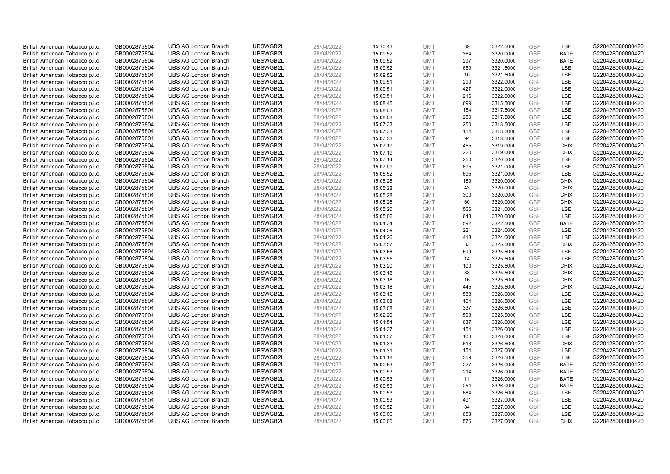| British American Tobacco p.l.c. | GB0002875804 | <b>UBS AG London Branch</b>                                | UBSWGB2L             | 28/04/2022 | 15:10:43             | <b>GMT</b>               | 39         | 3322.5000              | <b>GBP</b> | LSE         | G220428000000420                     |
|---------------------------------|--------------|------------------------------------------------------------|----------------------|------------|----------------------|--------------------------|------------|------------------------|------------|-------------|--------------------------------------|
| British American Tobacco p.l.c. | GB0002875804 | <b>UBS AG London Branch</b>                                | UBSWGB2L             | 28/04/2022 | 15:09:52             | <b>GMT</b>               | 364        | 3320.0000              | <b>GBP</b> | <b>BATE</b> | G220428000000420                     |
| British American Tobacco p.l.c. | GB0002875804 | <b>UBS AG London Branch</b>                                | UBSWGB2L             | 28/04/2022 | 15:09:52             | <b>GMT</b>               | 297        | 3320.0000              | GBP        | <b>BATE</b> | G220428000000420                     |
| British American Tobacco p.l.c. | GB0002875804 | <b>UBS AG London Branch</b>                                | UBSWGB2L             | 28/04/2022 | 15:09:52             | <b>GMT</b>               | 650        | 3321.5000              | GBP        | <b>LSE</b>  | G220428000000420                     |
| British American Tobacco p.l.c. | GB0002875804 | <b>UBS AG London Branch</b>                                | UBSWGB2L             | 28/04/2022 | 15:09:52             | <b>GMT</b>               | 10         | 3321.5000              | <b>GBP</b> | LSE         | G220428000000420                     |
| British American Tobacco p.l.c. | GB0002875804 | <b>UBS AG London Branch</b>                                | UBSWGB2L             | 28/04/2022 | 15:09:51             | <b>GMT</b>               | 290        | 3322.0000              | <b>GBP</b> | LSE         | G220428000000420                     |
| British American Tobacco p.l.c. | GB0002875804 | <b>UBS AG London Branch</b>                                | UBSWGB2L             | 28/04/2022 | 15:09:51             | <b>GMT</b>               | 427        | 3322.0000              | GBP        | LSE         | G220428000000420                     |
| British American Tobacco p.l.c. | GB0002875804 | <b>UBS AG London Branch</b>                                | UBSWGB2L             | 28/04/2022 | 15:09:51             | <b>GMT</b>               | 216        | 3322.0000              | <b>GBP</b> | <b>LSE</b>  | G220428000000420                     |
| British American Tobacco p.l.c. | GB0002875804 | <b>UBS AG London Branch</b>                                | UBSWGB2L             | 28/04/2022 | 15:08:45             | <b>GMT</b>               | 699        | 3315.5000              | <b>GBP</b> | LSE         | G220428000000420                     |
| British American Tobacco p.l.c. | GB0002875804 | <b>UBS AG London Branch</b>                                | UBSWGB2L             | 28/04/2022 | 15:08:03             | <b>GMT</b>               | 154        | 3317.5000              | <b>GBP</b> | <b>LSE</b>  | G220428000000420                     |
| British American Tobacco p.l.c. | GB0002875804 | <b>UBS AG London Branch</b>                                | UBSWGB2L             | 28/04/2022 | 15:08:03             | <b>GMT</b>               | 250        | 3317.5000              | GBP        | LSE         | G220428000000420                     |
| British American Tobacco p.l.c. | GB0002875804 | <b>UBS AG London Branch</b>                                | UBSWGB2L             | 28/04/2022 | 15:07:33             | <b>GMT</b>               | 250        | 3318.5000              | <b>GBP</b> | LSE         | G220428000000420                     |
| British American Tobacco p.l.c. | GB0002875804 | <b>UBS AG London Branch</b>                                | UBSWGB2L             | 28/04/2022 | 15:07:33             | <b>GMT</b>               | 154        | 3318.5000              | <b>GBP</b> | LSE         | G220428000000420                     |
| British American Tobacco p.l.c. | GB0002875804 | <b>UBS AG London Branch</b>                                | UBSWGB2L             | 28/04/2022 | 15:07:33             | <b>GMT</b>               | 94         | 3318.5000              | <b>GBP</b> | LSE         | G220428000000420                     |
| British American Tobacco p.l.c. | GB0002875804 | <b>UBS AG London Branch</b>                                | UBSWGB2L             | 28/04/2022 | 15:07:19             | <b>GMT</b>               | 455        | 3319.0000              | <b>GBP</b> | <b>CHIX</b> | G220428000000420                     |
| British American Tobacco p.l.c. | GB0002875804 | <b>UBS AG London Branch</b>                                | UBSWGB2L             | 28/04/2022 | 15:07:19             | <b>GMT</b>               | 220        | 3319.0000              | GBP        | <b>CHIX</b> | G220428000000420                     |
| British American Tobacco p.l.c. | GB0002875804 | <b>UBS AG London Branch</b>                                | UBSWGB2L             | 28/04/2022 | 15:07:14             | <b>GMT</b>               | 250        | 3320.5000              | GBP        | <b>LSE</b>  | G220428000000420                     |
| British American Tobacco p.l.c. | GB0002875804 | <b>UBS AG London Branch</b>                                | UBSWGB2L             | 28/04/2022 | 15:07:09             | <b>GMT</b>               | 695        | 3321.0000              | <b>GBP</b> | LSE         | G220428000000420                     |
| British American Tobacco p.l.c. | GB0002875804 | <b>UBS AG London Branch</b>                                | UBSWGB2L             | 28/04/2022 | 15:05:52             | <b>GMT</b>               | 695        | 3321.0000              | <b>GBP</b> | <b>LSE</b>  | G220428000000420                     |
| British American Tobacco p.l.c. | GB0002875804 | <b>UBS AG London Branch</b>                                | UBSWGB2L             | 28/04/2022 | 15:05:28             | <b>GMT</b>               | 189        | 3320.0000              | GBP        | <b>CHIX</b> | G220428000000420                     |
| British American Tobacco p.l.c. | GB0002875804 | <b>UBS AG London Branch</b>                                | UBSWGB2L             | 28/04/2022 | 15:05:28             | <b>GMT</b>               | 43         | 3320.0000              | <b>GBP</b> | <b>CHIX</b> | G220428000000420                     |
| British American Tobacco p.l.c. | GB0002875804 | <b>UBS AG London Branch</b>                                | UBSWGB2L             | 28/04/2022 | 15:05:28             | <b>GMT</b>               | 300        | 3320.0000              | GBP        | <b>CHIX</b> | G220428000000420                     |
| British American Tobacco p.l.c. | GB0002875804 | <b>UBS AG London Branch</b>                                | UBSWGB2L             | 28/04/2022 | 15:05:28             | <b>GMT</b>               | 60         | 3320.0000              | <b>GBP</b> | <b>CHIX</b> | G220428000000420                     |
| British American Tobacco p.l.c. | GB0002875804 | <b>UBS AG London Branch</b>                                | UBSWGB2L             | 28/04/2022 | 15:05:20             | <b>GMT</b>               | 566        | 3321.0000              | GBP        | <b>LSE</b>  | G220428000000420                     |
| British American Tobacco p.l.c. | GB0002875804 | <b>UBS AG London Branch</b>                                | UBSWGB2L             | 28/04/2022 | 15:05:06             | <b>GMT</b>               | 648        | 3320.0000              | <b>GBP</b> | LSE         | G220428000000420                     |
| British American Tobacco p.l.c. | GB0002875804 | <b>UBS AG London Branch</b>                                | UBSWGB2L             | 28/04/2022 | 15:04:34             | <b>GMT</b>               | 592        | 3322.5000              | GBP        | <b>BATE</b> | G220428000000420                     |
| British American Tobacco p.l.c. | GB0002875804 | <b>UBS AG London Branch</b>                                | UBSWGB2L             | 28/04/2022 | 15:04:26             | <b>GMT</b>               | 221        | 3324.0000              | <b>GBP</b> | <b>LSE</b>  | G220428000000420                     |
| British American Tobacco p.l.c. | GB0002875804 | <b>UBS AG London Branch</b>                                | UBSWGB2L             | 28/04/2022 | 15:04:26             | <b>GMT</b>               | 418        | 3324.0000              | <b>GBP</b> | <b>LSE</b>  | G220428000000420                     |
| British American Tobacco p.l.c. | GB0002875804 | <b>UBS AG London Branch</b>                                | UBSWGB2L             | 28/04/2022 | 15:03:57             | <b>GMT</b>               | 33         | 3325.5000              | GBP        | <b>CHIX</b> | G220428000000420                     |
| British American Tobacco p.l.c. | GB0002875804 | <b>UBS AG London Branch</b>                                | UBSWGB2L             | 28/04/2022 | 15:03:56             | <b>GMT</b>               | 599        | 3325.5000              | GBP        | LSE         | G220428000000420                     |
| British American Tobacco p.l.c. | GB0002875804 | <b>UBS AG London Branch</b>                                | UBSWGB2L             | 28/04/2022 | 15:03:55             | <b>GMT</b>               | 14         | 3325.5000              | GBP        | LSE         | G220428000000420                     |
| British American Tobacco p.l.c. | GB0002875804 | <b>UBS AG London Branch</b>                                | UBSWGB2L             | 28/04/2022 | 15:03:20             | <b>GMT</b>               | 100        | 3325.5000              | GBP        | <b>CHIX</b> | G220428000000420                     |
| British American Tobacco p.l.c. | GB0002875804 | <b>UBS AG London Branch</b>                                | UBSWGB2L             | 28/04/2022 | 15:03:18             | <b>GMT</b>               | 33         | 3325.5000              | GBP        | <b>CHIX</b> | G220428000000420                     |
| British American Tobacco p.l.c. | GB0002875804 | <b>UBS AG London Branch</b>                                | UBSWGB2L             | 28/04/2022 | 15:03:18             | <b>GMT</b>               | 16         | 3325.5000              | GBP        | <b>CHIX</b> | G220428000000420                     |
| British American Tobacco p.l.c. | GB0002875804 | <b>UBS AG London Branch</b>                                | UBSWGB2L             | 28/04/2022 | 15:03:18             | <b>GMT</b>               | 445        | 3325.5000              | GBP        | <b>CHIX</b> | G220428000000420                     |
| British American Tobacco p.l.c. | GB0002875804 | <b>UBS AG London Branch</b>                                | UBSWGB2L             | 28/04/2022 | 15:03:15             | <b>GMT</b>               | 588        | 3326.0000              | <b>GBP</b> | LSE         | G220428000000420                     |
| British American Tobacco p.l.c. | GB0002875804 | <b>UBS AG London Branch</b>                                | UBSWGB2L             | 28/04/2022 | 15:03:08             | <b>GMT</b>               | 104        | 3326.5000              | GBP        | LSE         | G220428000000420                     |
| British American Tobacco p.l.c. | GB0002875804 | <b>UBS AG London Branch</b>                                | UBSWGB2L             | 28/04/2022 | 15:03:08             | <b>GMT</b>               | 337        | 3326.5000              | <b>GBP</b> | LSE         | G220428000000420                     |
| British American Tobacco p.l.c. | GB0002875804 | <b>UBS AG London Branch</b>                                | UBSWGB2L             | 28/04/2022 | 15:02:20             | <b>GMT</b>               | 593        | 3325.5000              | <b>GBP</b> | <b>LSE</b>  | G220428000000420                     |
| British American Tobacco p.l.c. | GB0002875804 | <b>UBS AG London Branch</b>                                | UBSWGB2L             | 28/04/2022 | 15:01:54             | <b>GMT</b>               | 637        | 3326.0000              | GBP        | <b>LSE</b>  | G220428000000420                     |
| British American Tobacco p.l.c. | GB0002875804 | <b>UBS AG London Branch</b>                                | UBSWGB2L             | 28/04/2022 | 15:01:37             | <b>GMT</b>               | 154        | 3326.0000              | <b>GBP</b> | <b>LSE</b>  | G220428000000420                     |
| British American Tobacco p.l.c. | GB0002875804 | <b>UBS AG London Branch</b>                                | UBSWGB2L             | 28/04/2022 | 15:01:37             | <b>GMT</b>               | 106        | 3326.0000              | <b>GBP</b> | LSE         | G220428000000420                     |
| British American Tobacco p.l.c. | GB0002875804 | <b>UBS AG London Branch</b>                                | UBSWGB2L             | 28/04/2022 | 15:01:33             | <b>GMT</b>               | 613        | 3326.5000              | <b>GBP</b> | <b>CHIX</b> | G220428000000420                     |
| British American Tobacco p.l.c. | GB0002875804 | <b>UBS AG London Branch</b>                                | UBSWGB2L             | 28/04/2022 | 15:01:31             | <b>GMT</b>               | 154        | 3327.0000              | GBP        | <b>LSE</b>  | G220428000000420                     |
| British American Tobacco p.l.c. | GB0002875804 | <b>UBS AG London Branch</b>                                | UBSWGB2L             | 28/04/2022 | 15:01:18             | <b>GMT</b>               | 359        | 3326.5000              | GBP        | <b>LSE</b>  | G220428000000420                     |
| British American Tobacco p.l.c. | GB0002875804 | <b>UBS AG London Branch</b>                                | UBSWGB2L             | 28/04/2022 | 15:00:53             | <b>GMT</b>               | 227        | 3326.0000              | GBP        | <b>BATE</b> | G220428000000420                     |
| British American Tobacco p.l.c. | GB0002875804 | <b>UBS AG London Branch</b>                                | UBSWGB2L             | 28/04/2022 | 15:00:53             | <b>GMT</b>               | 214        | 3326.0000              | GBP        | <b>BATE</b> | G220428000000420                     |
| British American Tobacco p.l.c. | GB0002875804 | <b>UBS AG London Branch</b>                                | UBSWGB2L             | 28/04/2022 | 15:00:53             | <b>GMT</b>               | 11         | 3326.0000              | GBP        | <b>BATE</b> | G220428000000420                     |
| British American Tobacco p.l.c. | GB0002875804 | <b>UBS AG London Branch</b>                                | UBSWGB2L             | 28/04/2022 |                      | <b>GMT</b>               | 254        | 3326.0000              | GBP        | <b>BATE</b> | G220428000000420                     |
| British American Tobacco p.l.c. | GB0002875804 | <b>UBS AG London Branch</b>                                | UBSWGB2L             | 28/04/2022 | 15:00:53<br>15:00:53 | <b>GMT</b>               | 684        | 3326.5000              | <b>GBP</b> | LSE         | G220428000000420                     |
|                                 |              |                                                            |                      |            |                      |                          |            | 3327.0000              | GBP        | LSE         |                                      |
| British American Tobacco p.l.c. | GB0002875804 | <b>UBS AG London Branch</b><br><b>UBS AG London Branch</b> | UBSWGB2L<br>UBSWGB2L | 28/04/2022 | 15:00:53             | <b>GMT</b><br><b>GMT</b> | 491<br>84  |                        | <b>GBP</b> | LSE         | G220428000000420<br>G220428000000420 |
| British American Tobacco p.l.c. | GB0002875804 |                                                            |                      | 28/04/2022 | 15:00:52             |                          |            | 3327.0000              | GBP        | LSE         |                                      |
| British American Tobacco p.l.c. | GB0002875804 | <b>UBS AG London Branch</b>                                | UBSWGB2L             | 28/04/2022 | 15:00:00             | <b>GMT</b><br><b>GMT</b> | 653<br>576 | 3327.0000<br>3327.0000 | GBP        | <b>CHIX</b> | G220428000000420                     |
| British American Tobacco p.l.c. | GB0002875804 | <b>UBS AG London Branch</b>                                | UBSWGB2L             | 28/04/2022 | 15:00:00             |                          |            |                        |            |             | G220428000000420                     |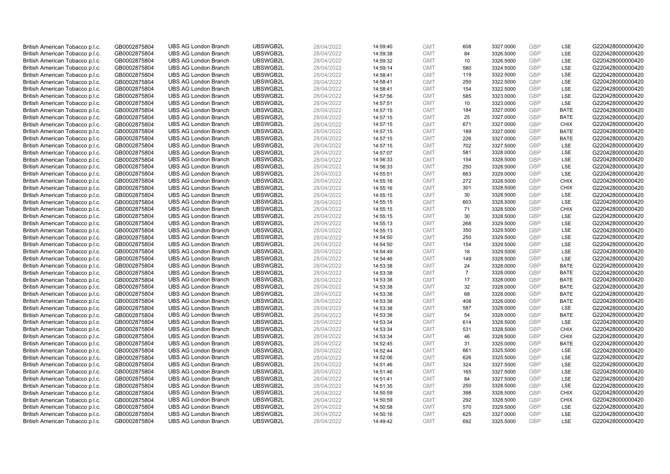| British American Tobacco p.l.c. | GB0002875804 | <b>UBS AG London Branch</b> | UBSWGB2L | 28/04/2022 | 14:59:40 | <b>GMT</b> | 608            | 3327.0000 | <b>GBP</b> | LSE         | G220428000000420 |
|---------------------------------|--------------|-----------------------------|----------|------------|----------|------------|----------------|-----------|------------|-------------|------------------|
| British American Tobacco p.l.c. | GB0002875804 | <b>UBS AG London Branch</b> | UBSWGB2L | 28/04/2022 | 14:59:38 | <b>GMT</b> | 84             | 3326.5000 | GBP        | LSE         | G220428000000420 |
| British American Tobacco p.l.c. | GB0002875804 | <b>UBS AG London Branch</b> | UBSWGB2L | 28/04/2022 | 14:59:32 | <b>GMT</b> | 10             | 3326.5000 | GBP        | LSE         | G220428000000420 |
| British American Tobacco p.l.c. | GB0002875804 | <b>UBS AG London Branch</b> | UBSWGB2L | 28/04/2022 | 14:59:14 | <b>GMT</b> | 580            | 3324.5000 | GBP        | LSE         | G220428000000420 |
| British American Tobacco p.l.c. | GB0002875804 | <b>UBS AG London Branch</b> | UBSWGB2L | 28/04/2022 | 14:58:41 | <b>GMT</b> | 119            | 3322.5000 | <b>GBP</b> | LSE         | G220428000000420 |
| British American Tobacco p.l.c. | GB0002875804 | <b>UBS AG London Branch</b> | UBSWGB2L | 28/04/2022 | 14:58:41 | <b>GMT</b> | 250            | 3322.5000 | GBP        | LSE         | G220428000000420 |
| British American Tobacco p.l.c. | GB0002875804 | <b>UBS AG London Branch</b> | UBSWGB2L | 28/04/2022 | 14:58:41 | <b>GMT</b> | 154            | 3322.5000 | GBP        | LSE         | G220428000000420 |
| British American Tobacco p.l.c. | GB0002875804 | <b>UBS AG London Branch</b> | UBSWGB2L | 28/04/2022 | 14:57:56 | <b>GMT</b> | 585            | 3323.0000 | <b>GBP</b> | <b>LSE</b>  | G220428000000420 |
| British American Tobacco p.l.c. | GB0002875804 | <b>UBS AG London Branch</b> | UBSWGB2L | 28/04/2022 | 14:57:51 | <b>GMT</b> | 10             | 3323.0000 | GBP        | LSE         | G220428000000420 |
| British American Tobacco p.l.c. | GB0002875804 | <b>UBS AG London Branch</b> | UBSWGB2L | 28/04/2022 | 14:57:15 | <b>GMT</b> | 184            | 3327.0000 | <b>GBP</b> | <b>BATE</b> | G220428000000420 |
| British American Tobacco p.l.c. | GB0002875804 | <b>UBS AG London Branch</b> | UBSWGB2L | 28/04/2022 | 14:57:15 | <b>GMT</b> | 25             | 3327.0000 | GBP        | <b>BATE</b> | G220428000000420 |
| British American Tobacco p.l.c. | GB0002875804 | <b>UBS AG London Branch</b> | UBSWGB2L | 28/04/2022 | 14:57:15 | <b>GMT</b> | 671            | 3327.0000 | <b>GBP</b> | <b>CHIX</b> | G220428000000420 |
| British American Tobacco p.l.c. | GB0002875804 | <b>UBS AG London Branch</b> | UBSWGB2L | 28/04/2022 | 14:57:15 | <b>GMT</b> | 189            | 3327.0000 | <b>GBP</b> | <b>BATE</b> | G220428000000420 |
| British American Tobacco p.l.c. | GB0002875804 | <b>UBS AG London Branch</b> | UBSWGB2L | 28/04/2022 | 14:57:15 | <b>GMT</b> | 226            | 3327.0000 | <b>GBP</b> | <b>BATE</b> | G220428000000420 |
| British American Tobacco p.l.c. | GB0002875804 | <b>UBS AG London Branch</b> | UBSWGB2L | 28/04/2022 | 14:57:15 | <b>GMT</b> | 702            | 3327.5000 | <b>GBP</b> | <b>LSE</b>  | G220428000000420 |
| British American Tobacco p.l.c. | GB0002875804 | <b>UBS AG London Branch</b> | UBSWGB2L | 28/04/2022 | 14:57:07 | <b>GMT</b> | 581            | 3328.0000 | GBP        | LSE         | G220428000000420 |
| British American Tobacco p.l.c. | GB0002875804 | <b>UBS AG London Branch</b> | UBSWGB2L | 28/04/2022 | 14:56:33 | <b>GMT</b> | 154            | 3328.5000 | <b>GBP</b> | LSE         | G220428000000420 |
| British American Tobacco p.l.c. | GB0002875804 | <b>UBS AG London Branch</b> | UBSWGB2L | 28/04/2022 | 14:56:33 | <b>GMT</b> | 250            | 3328.5000 | <b>GBP</b> | LSE         | G220428000000420 |
| British American Tobacco p.l.c. | GB0002875804 | <b>UBS AG London Branch</b> | UBSWGB2L | 28/04/2022 | 14:55:51 | <b>GMT</b> | 663            | 3329.0000 | <b>GBP</b> | <b>LSE</b>  | G220428000000420 |
| British American Tobacco p.l.c. | GB0002875804 | <b>UBS AG London Branch</b> | UBSWGB2L | 28/04/2022 | 14:55:16 | <b>GMT</b> | 272            | 3328.5000 | GBP        | <b>CHIX</b> | G220428000000420 |
| British American Tobacco p.l.c. | GB0002875804 | <b>UBS AG London Branch</b> | UBSWGB2L | 28/04/2022 | 14:55:16 | <b>GMT</b> | 301            | 3328.5000 | <b>GBP</b> | <b>CHIX</b> | G220428000000420 |
| British American Tobacco p.l.c. | GB0002875804 | <b>UBS AG London Branch</b> | UBSWGB2L | 28/04/2022 | 14:55:15 | <b>GMT</b> | 30             | 3328.5000 | GBP        | LSE         | G220428000000420 |
| British American Tobacco p.l.c. | GB0002875804 | <b>UBS AG London Branch</b> | UBSWGB2L | 28/04/2022 | 14:55:15 | <b>GMT</b> | 603            | 3328.5000 | <b>GBP</b> | LSE         | G220428000000420 |
| British American Tobacco p.l.c. | GB0002875804 | <b>UBS AG London Branch</b> | UBSWGB2L | 28/04/2022 | 14:55:15 | <b>GMT</b> | 71             | 3328.5000 | GBP        | <b>CHIX</b> | G220428000000420 |
| British American Tobacco p.l.c. | GB0002875804 | <b>UBS AG London Branch</b> | UBSWGB2L | 28/04/2022 | 14:55:15 | <b>GMT</b> | 30             | 3328.5000 | <b>GBP</b> | LSE         | G220428000000420 |
| British American Tobacco p.l.c. | GB0002875804 | <b>UBS AG London Branch</b> | UBSWGB2L | 28/04/2022 | 14:55:13 | <b>GMT</b> | 268            | 3329.5000 | <b>GBP</b> | LSE         | G220428000000420 |
| British American Tobacco p.l.c. | GB0002875804 | <b>UBS AG London Branch</b> | UBSWGB2L | 28/04/2022 | 14:55:13 | <b>GMT</b> | 350            | 3329.5000 | GBP        | <b>LSE</b>  | G220428000000420 |
| British American Tobacco p.l.c. | GB0002875804 | <b>UBS AG London Branch</b> | UBSWGB2L | 28/04/2022 | 14:54:50 | <b>GMT</b> | 250            | 3329.5000 | <b>GBP</b> | <b>LSE</b>  | G220428000000420 |
| British American Tobacco p.l.c. | GB0002875804 | <b>UBS AG London Branch</b> | UBSWGB2L | 28/04/2022 | 14:54:50 | <b>GMT</b> | 154            | 3329.5000 | GBP        | LSE         | G220428000000420 |
| British American Tobacco p.l.c. | GB0002875804 | <b>UBS AG London Branch</b> | UBSWGB2L | 28/04/2022 | 14:54:49 | <b>GMT</b> | 16             | 3329.5000 | <b>GBP</b> | LSE         | G220428000000420 |
| British American Tobacco p.l.c. | GB0002875804 | <b>UBS AG London Branch</b> | UBSWGB2L | 28/04/2022 | 14:54:46 | <b>GMT</b> | 149            | 3328.5000 | GBP        | LSE         | G220428000000420 |
| British American Tobacco p.l.c. | GB0002875804 | <b>UBS AG London Branch</b> | UBSWGB2L | 28/04/2022 | 14:53:38 | <b>GMT</b> | 24             | 3328.0000 | GBP        | <b>BATE</b> | G220428000000420 |
| British American Tobacco p.l.c. | GB0002875804 | <b>UBS AG London Branch</b> | UBSWGB2L | 28/04/2022 | 14:53:38 | <b>GMT</b> | $\overline{7}$ | 3328.0000 | GBP        | <b>BATE</b> | G220428000000420 |
| British American Tobacco p.l.c. | GB0002875804 | <b>UBS AG London Branch</b> | UBSWGB2L | 28/04/2022 | 14:53:38 | <b>GMT</b> | 17             | 3328.0000 | GBP        | <b>BATE</b> | G220428000000420 |
| British American Tobacco p.l.c. | GB0002875804 | <b>UBS AG London Branch</b> | UBSWGB2L | 28/04/2022 | 14:53:38 | <b>GMT</b> | 32             | 3328.0000 | GBP        | <b>BATE</b> | G220428000000420 |
| British American Tobacco p.l.c. | GB0002875804 | <b>UBS AG London Branch</b> | UBSWGB2L | 28/04/2022 | 14:53:38 | <b>GMT</b> | 68             | 3328.0000 | <b>GBP</b> | <b>BATE</b> | G220428000000420 |
| British American Tobacco p.l.c. | GB0002875804 | <b>UBS AG London Branch</b> | UBSWGB2L | 28/04/2022 | 14:53:38 | <b>GMT</b> | 408            | 3328.0000 | GBP        | <b>BATE</b> | G220428000000420 |
| British American Tobacco p.l.c. | GB0002875804 | <b>UBS AG London Branch</b> | UBSWGB2L | 28/04/2022 | 14:53:38 | <b>GMT</b> | 587            | 3328.0000 | <b>GBP</b> | LSE         | G220428000000420 |
| British American Tobacco p.l.c. | GB0002875804 | <b>UBS AG London Branch</b> | UBSWGB2L | 28/04/2022 | 14:53:38 | <b>GMT</b> | 54             | 3328.0000 | GBP        | <b>BATE</b> | G220428000000420 |
| British American Tobacco p.l.c. | GB0002875804 | <b>UBS AG London Branch</b> | UBSWGB2L | 28/04/2022 | 14:53:34 | <b>GMT</b> | 614            | 3328.5000 | GBP        | <b>LSE</b>  | G220428000000420 |
| British American Tobacco p.l.c. | GB0002875804 | <b>UBS AG London Branch</b> | UBSWGB2L | 28/04/2022 | 14:53:34 | <b>GMT</b> | 531            | 3328.5000 | <b>GBP</b> | <b>CHIX</b> | G220428000000420 |
| British American Tobacco p.l.c. | GB0002875804 | <b>UBS AG London Branch</b> | UBSWGB2L | 28/04/2022 | 14:53:34 | <b>GMT</b> | 46             | 3328.5000 | GBP        | <b>CHIX</b> | G220428000000420 |
| British American Tobacco p.l.c. | GB0002875804 | <b>UBS AG London Branch</b> | UBSWGB2L | 28/04/2022 | 14:52:45 | <b>GMT</b> | 31             | 3325.0000 | GBP        | <b>BATE</b> | G220428000000420 |
| British American Tobacco p.l.c. | GB0002875804 | <b>UBS AG London Branch</b> | UBSWGB2L | 28/04/2022 | 14:52:44 | <b>GMT</b> | 661            | 3325.5000 | GBP        | <b>LSE</b>  | G220428000000420 |
| British American Tobacco p.l.c. | GB0002875804 | <b>UBS AG London Branch</b> | UBSWGB2L | 28/04/2022 | 14:52:06 | <b>GMT</b> | 626            | 3325.5000 | <b>GBP</b> | <b>LSE</b>  | G220428000000420 |
| British American Tobacco p.l.c. | GB0002875804 | <b>UBS AG London Branch</b> | UBSWGB2L | 28/04/2022 | 14:51:46 | <b>GMT</b> | 324            | 3327.5000 | <b>GBP</b> | LSE         | G220428000000420 |
| British American Tobacco p.l.c. | GB0002875804 | <b>UBS AG London Branch</b> | UBSWGB2L | 28/04/2022 | 14:51:46 | <b>GMT</b> | 165            | 3327.5000 | <b>GBP</b> | LSE         | G220428000000420 |
| British American Tobacco p.l.c. | GB0002875804 | <b>UBS AG London Branch</b> | UBSWGB2L | 28/04/2022 | 14:51:41 | <b>GMT</b> | 84             | 3327.5000 | <b>GBP</b> | LSE         | G220428000000420 |
| British American Tobacco p.l.c. | GB0002875804 | <b>UBS AG London Branch</b> | UBSWGB2L | 28/04/2022 | 14:51:35 | <b>GMT</b> | 250            | 3328.5000 | GBP        | LSE         | G220428000000420 |
| British American Tobacco p.l.c. | GB0002875804 | <b>UBS AG London Branch</b> | UBSWGB2L | 28/04/2022 | 14:50:59 | <b>GMT</b> | 398            | 3328.5000 | GBP        | <b>CHIX</b> | G220428000000420 |
| British American Tobacco p.l.c. | GB0002875804 | <b>UBS AG London Branch</b> | UBSWGB2L | 28/04/2022 | 14:50:59 | <b>GMT</b> | 292            | 3328.5000 | GBP        | <b>CHIX</b> | G220428000000420 |
| British American Tobacco p.l.c. | GB0002875804 | <b>UBS AG London Branch</b> | UBSWGB2L | 28/04/2022 | 14:50:58 | <b>GMT</b> | 570            | 3329.5000 | <b>GBP</b> | LSE         | G220428000000420 |
| British American Tobacco p.l.c. | GB0002875804 | <b>UBS AG London Branch</b> | UBSWGB2L | 28/04/2022 | 14:50:16 | <b>GMT</b> | 625            | 3327.0000 | GBP        | LSE         | G220428000000420 |
| British American Tobacco p.l.c. | GB0002875804 | <b>UBS AG London Branch</b> | UBSWGB2L | 28/04/2022 | 14:49:42 | <b>GMT</b> | 692            | 3325.5000 | GBP        | <b>LSE</b>  | G220428000000420 |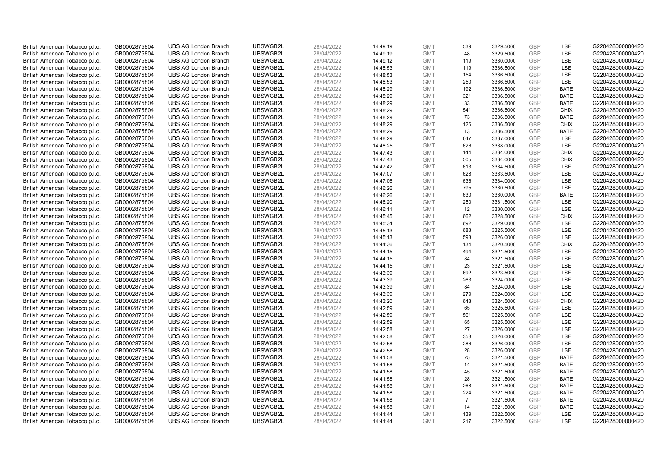| British American Tobacco p.l.c. | GB0002875804 | <b>UBS AG London Branch</b> | UBSWGB2L             | 28/04/2022 | 14:49:19 | <b>GMT</b> | 539            | 3329.5000 | <b>GBP</b> | LSE         | G220428000000420 |
|---------------------------------|--------------|-----------------------------|----------------------|------------|----------|------------|----------------|-----------|------------|-------------|------------------|
| British American Tobacco p.l.c. | GB0002875804 | <b>UBS AG London Branch</b> | UBSWGB2L             | 28/04/2022 | 14:49:19 | <b>GMT</b> | 48             | 3329.5000 | GBP        | LSE         | G220428000000420 |
| British American Tobacco p.l.c. | GB0002875804 | <b>UBS AG London Branch</b> | UBSWGB2L             | 28/04/2022 | 14:49:12 | <b>GMT</b> | 119            | 3330.0000 | GBP        | LSE         | G220428000000420 |
| British American Tobacco p.l.c. | GB0002875804 | <b>UBS AG London Branch</b> | UBSWGB2L             | 28/04/2022 | 14:48:53 | <b>GMT</b> | 119            | 3336.5000 | GBP        | LSE         | G220428000000420 |
| British American Tobacco p.l.c. | GB0002875804 | <b>UBS AG London Branch</b> | UBSWGB2L             | 28/04/2022 | 14:48:53 | <b>GMT</b> | 154            | 3336.5000 | <b>GBP</b> | LSE         | G220428000000420 |
| British American Tobacco p.l.c. | GB0002875804 | <b>UBS AG London Branch</b> | UBSWGB2L             | 28/04/2022 | 14:48:53 | <b>GMT</b> | 250            | 3336.5000 | <b>GBP</b> | LSE         | G220428000000420 |
| British American Tobacco p.l.c. | GB0002875804 | <b>UBS AG London Branch</b> | UBSWGB2L             | 28/04/2022 | 14:48:29 | <b>GMT</b> | 192            | 3336.5000 | GBP        | <b>BATE</b> | G220428000000420 |
| British American Tobacco p.l.c. | GB0002875804 | <b>UBS AG London Branch</b> | UBSWGB2L             | 28/04/2022 | 14:48:29 | <b>GMT</b> | 321            | 3336.5000 | <b>GBP</b> | <b>BATE</b> | G220428000000420 |
| British American Tobacco p.l.c. | GB0002875804 | <b>UBS AG London Branch</b> | UBSWGB2L             | 28/04/2022 | 14:48:29 | <b>GMT</b> | 33             | 3336.5000 | GBP        | <b>BATE</b> | G220428000000420 |
| British American Tobacco p.l.c. | GB0002875804 | <b>UBS AG London Branch</b> | UBSWGB2L             | 28/04/2022 | 14:48:29 | <b>GMT</b> | 541            | 3336.5000 | <b>GBP</b> | <b>CHIX</b> | G220428000000420 |
| British American Tobacco p.l.c. | GB0002875804 | <b>UBS AG London Branch</b> | UBSWGB2L             | 28/04/2022 | 14:48:29 | <b>GMT</b> | 73             | 3336.5000 | GBP        | <b>BATE</b> | G220428000000420 |
| British American Tobacco p.l.c. | GB0002875804 | <b>UBS AG London Branch</b> | UBSWGB2L             | 28/04/2022 | 14:48:29 | <b>GMT</b> | 126            | 3336.5000 | <b>GBP</b> | <b>CHIX</b> | G220428000000420 |
| British American Tobacco p.l.c. | GB0002875804 | <b>UBS AG London Branch</b> | UBSWGB2L             | 28/04/2022 | 14:48:29 | <b>GMT</b> | 13             | 3336.5000 | <b>GBP</b> | <b>BATE</b> | G220428000000420 |
| British American Tobacco p.l.c. | GB0002875804 | <b>UBS AG London Branch</b> | UBSWGB2L             | 28/04/2022 | 14:48:29 | <b>GMT</b> | 647            | 3337.0000 | <b>GBP</b> | <b>LSE</b>  | G220428000000420 |
| British American Tobacco p.l.c. | GB0002875804 | <b>UBS AG London Branch</b> | UBSWGB2L             | 28/04/2022 | 14:48:25 | <b>GMT</b> | 626            | 3338.0000 | <b>GBP</b> | <b>LSE</b>  | G220428000000420 |
| British American Tobacco p.l.c. | GB0002875804 | <b>UBS AG London Branch</b> | UBSWGB2L             | 28/04/2022 | 14:47:43 | <b>GMT</b> | 144            | 3334.0000 | GBP        | <b>CHIX</b> | G220428000000420 |
| British American Tobacco p.l.c. | GB0002875804 | <b>UBS AG London Branch</b> | UBSWGB2L             | 28/04/2022 | 14:47:43 | <b>GMT</b> | 505            | 3334.0000 | GBP        | <b>CHIX</b> | G220428000000420 |
| British American Tobacco p.l.c. | GB0002875804 | <b>UBS AG London Branch</b> | UBSWGB2L             | 28/04/2022 | 14:47:42 | <b>GMT</b> | 613            | 3334.5000 | <b>GBP</b> | LSE         | G220428000000420 |
| British American Tobacco p.l.c. | GB0002875804 | <b>UBS AG London Branch</b> | UBSWGB2L             | 28/04/2022 | 14:47:07 | <b>GMT</b> | 628            | 3333.5000 | GBP        | <b>LSE</b>  | G220428000000420 |
| British American Tobacco p.l.c. | GB0002875804 | <b>UBS AG London Branch</b> | UBSWGB2L             | 28/04/2022 | 14:47:06 | <b>GMT</b> | 636            | 3334.0000 | GBP        | LSE         | G220428000000420 |
| British American Tobacco p.l.c. | GB0002875804 | <b>UBS AG London Branch</b> | UBSWGB2L             | 28/04/2022 | 14:46:26 | <b>GMT</b> | 795            | 3330.5000 | <b>GBP</b> | LSE         | G220428000000420 |
| British American Tobacco p.l.c. | GB0002875804 | <b>UBS AG London Branch</b> | UBSWGB2L             | 28/04/2022 | 14:46:26 | <b>GMT</b> | 630            | 3330.0000 | GBP        | <b>BATE</b> | G220428000000420 |
| British American Tobacco p.l.c. | GB0002875804 | <b>UBS AG London Branch</b> | UBSWGB2L             | 28/04/2022 | 14:46:20 | <b>GMT</b> | 250            | 3331.5000 | <b>GBP</b> | LSE         | G220428000000420 |
| British American Tobacco p.l.c. | GB0002875804 | <b>UBS AG London Branch</b> | UBSWGB2L             | 28/04/2022 | 14:46:11 | <b>GMT</b> | 12             | 3330.0000 | GBP        | LSE         | G220428000000420 |
| British American Tobacco p.l.c. | GB0002875804 | <b>UBS AG London Branch</b> | UBSWGB2L             | 28/04/2022 | 14:45:45 | <b>GMT</b> | 662            | 3328.5000 | <b>GBP</b> | <b>CHIX</b> | G220428000000420 |
| British American Tobacco p.l.c. | GB0002875804 | <b>UBS AG London Branch</b> | UBSWGB2L             | 28/04/2022 | 14:45:34 | <b>GMT</b> | 692            | 3329.0000 | <b>GBP</b> | <b>LSE</b>  | G220428000000420 |
| British American Tobacco p.l.c. | GB0002875804 | <b>UBS AG London Branch</b> | UBSWGB2L             | 28/04/2022 | 14:45:13 | <b>GMT</b> | 683            | 3325.5000 | GBP        | <b>LSE</b>  | G220428000000420 |
| British American Tobacco p.l.c. | GB0002875804 | <b>UBS AG London Branch</b> | UBSWGB2L             | 28/04/2022 | 14:45:13 | <b>GMT</b> | 593            | 3326.0000 | <b>GBP</b> | <b>LSE</b>  | G220428000000420 |
| British American Tobacco p.l.c. | GB0002875804 | <b>UBS AG London Branch</b> | UBSWGB2L             | 28/04/2022 | 14:44:36 | <b>GMT</b> | 134            | 3320.5000 | GBP        | <b>CHIX</b> | G220428000000420 |
| British American Tobacco p.l.c. | GB0002875804 | <b>UBS AG London Branch</b> | UBSWGB2L             | 28/04/2022 | 14:44:15 | <b>GMT</b> | 494            | 3321.5000 | GBP        | LSE         | G220428000000420 |
| British American Tobacco p.l.c. | GB0002875804 | <b>UBS AG London Branch</b> | UBSWGB2L             | 28/04/2022 | 14:44:15 | <b>GMT</b> | 84             | 3321.5000 | GBP        | LSE         | G220428000000420 |
| British American Tobacco p.l.c. | GB0002875804 | <b>UBS AG London Branch</b> | UBSWGB2L             | 28/04/2022 | 14:44:15 | <b>GMT</b> | 23             | 3321.5000 | <b>GBP</b> | <b>LSE</b>  | G220428000000420 |
| British American Tobacco p.l.c. | GB0002875804 | <b>UBS AG London Branch</b> | UBSWGB2L             | 28/04/2022 | 14:43:39 | <b>GMT</b> | 692            | 3323.5000 | <b>GBP</b> | LSE         | G220428000000420 |
| British American Tobacco p.l.c. | GB0002875804 | <b>UBS AG London Branch</b> | UBSWGB2L             | 28/04/2022 | 14:43:39 | <b>GMT</b> | 263            | 3324.0000 | GBP        | LSE         | G220428000000420 |
| British American Tobacco p.l.c. | GB0002875804 | <b>UBS AG London Branch</b> | UBSWGB2L             | 28/04/2022 | 14:43:39 | <b>GMT</b> | 84             | 3324.0000 | <b>GBP</b> | LSE         | G220428000000420 |
| British American Tobacco p.l.c. | GB0002875804 | <b>UBS AG London Branch</b> | UBSWGB2L             | 28/04/2022 | 14:43:39 | <b>GMT</b> | 279            | 3324.0000 | <b>GBP</b> | LSE         | G220428000000420 |
| British American Tobacco p.l.c. | GB0002875804 | <b>UBS AG London Branch</b> | UBSWGB2L             | 28/04/2022 | 14:43:20 | <b>GMT</b> | 648            | 3324.5000 | GBP        | <b>CHIX</b> | G220428000000420 |
| British American Tobacco p.l.c. | GB0002875804 | <b>UBS AG London Branch</b> | UBSWGB2L             | 28/04/2022 | 14:42:59 | <b>GMT</b> | 65             | 3325.5000 | <b>GBP</b> | LSE         | G220428000000420 |
| British American Tobacco p.l.c. | GB0002875804 | <b>UBS AG London Branch</b> | UBSWGB2L             | 28/04/2022 | 14:42:59 | <b>GMT</b> | 561            | 3325.5000 | <b>GBP</b> | LSE         | G220428000000420 |
| British American Tobacco p.l.c. | GB0002875804 | <b>UBS AG London Branch</b> | UBSWGB2L             | 28/04/2022 | 14:42:59 | <b>GMT</b> | 65             | 3325.5000 | GBP        | <b>LSE</b>  | G220428000000420 |
| British American Tobacco p.l.c. | GB0002875804 | <b>UBS AG London Branch</b> | UBSWGB2L             | 28/04/2022 | 14:42:58 | <b>GMT</b> | 27             | 3326.0000 | <b>GBP</b> | <b>LSE</b>  | G220428000000420 |
| British American Tobacco p.l.c. | GB0002875804 | <b>UBS AG London Branch</b> | UBSWGB2L             | 28/04/2022 | 14:42:58 | <b>GMT</b> | 358            | 3326.0000 | GBP        | LSE         | G220428000000420 |
| British American Tobacco p.l.c. | GB0002875804 | <b>UBS AG London Branch</b> | UBSWGB2L             | 28/04/2022 | 14:42:58 | <b>GMT</b> | 286            | 3326.0000 | <b>GBP</b> | LSE         | G220428000000420 |
| British American Tobacco p.l.c. | GB0002875804 | <b>UBS AG London Branch</b> | UBSWGB2L             | 28/04/2022 | 14:42:58 | <b>GMT</b> | 28             | 3326.0000 | GBP        | LSE         | G220428000000420 |
| British American Tobacco p.l.c. | GB0002875804 | <b>UBS AG London Branch</b> | UBSWGB2L             | 28/04/2022 | 14:41:58 | <b>GMT</b> | 75             | 3321.5000 | GBP        | <b>BATE</b> | G220428000000420 |
|                                 |              | <b>UBS AG London Branch</b> | UBSWGB2L             | 28/04/2022 | 14:41:58 | <b>GMT</b> | 14             | 3321.5000 | GBP        | <b>BATE</b> | G220428000000420 |
| British American Tobacco p.l.c. | GB0002875804 |                             |                      |            |          |            | 45             |           |            |             |                  |
| British American Tobacco p.l.c. | GB0002875804 | <b>UBS AG London Branch</b> | UBSWGB2L<br>UBSWGB2L | 28/04/2022 | 14:41:58 | <b>GMT</b> | 28             | 3321.5000 | GBP<br>GBP | <b>BATE</b> | G220428000000420 |
| British American Tobacco p.l.c. | GB0002875804 | <b>UBS AG London Branch</b> |                      | 28/04/2022 | 14:41:58 | <b>GMT</b> |                | 3321.5000 |            | <b>BATE</b> | G220428000000420 |
| British American Tobacco p.l.c. | GB0002875804 | <b>UBS AG London Branch</b> | UBSWGB2L             | 28/04/2022 | 14:41:58 | <b>GMT</b> | 268            | 3321.5000 | GBP        | <b>BATE</b> | G220428000000420 |
| British American Tobacco p.l.c. | GB0002875804 | <b>UBS AG London Branch</b> | UBSWGB2L             | 28/04/2022 | 14:41:58 | <b>GMT</b> | 224            | 3321.5000 | GBP        | <b>BATE</b> | G220428000000420 |
| British American Tobacco p.l.c. | GB0002875804 | <b>UBS AG London Branch</b> | UBSWGB2L             | 28/04/2022 | 14:41:58 | <b>GMT</b> | $\overline{7}$ | 3321.5000 | GBP        | <b>BATE</b> | G220428000000420 |
| British American Tobacco p.l.c. | GB0002875804 | <b>UBS AG London Branch</b> | UBSWGB2L             | 28/04/2022 | 14:41:58 | <b>GMT</b> | 14             | 3321.5000 | <b>GBP</b> | <b>BATE</b> | G220428000000420 |
| British American Tobacco p.l.c. | GB0002875804 | <b>UBS AG London Branch</b> | UBSWGB2L             | 28/04/2022 | 14:41:44 | <b>GMT</b> | 139            | 3322.5000 | GBP        | LSE         | G220428000000420 |
| British American Tobacco p.l.c. | GB0002875804 | <b>UBS AG London Branch</b> | UBSWGB2L             | 28/04/2022 | 14:41:44 | <b>GMT</b> | 217            | 3322.5000 | GBP        | <b>LSE</b>  | G220428000000420 |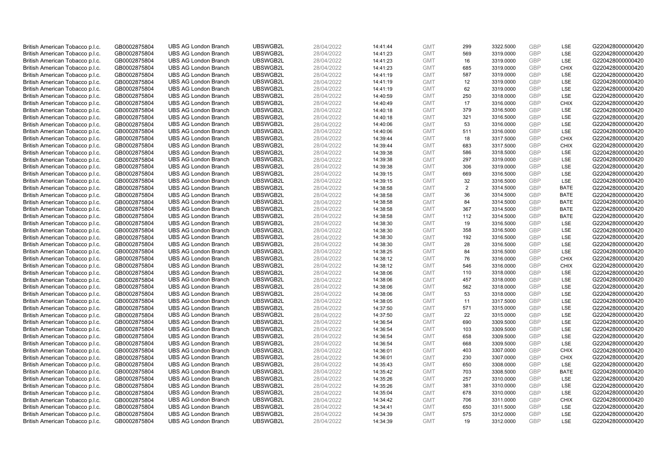| British American Tobacco p.l.c. | GB0002875804 | <b>UBS AG London Branch</b> | UBSWGB2L | 28/04/2022 | 14:41:44 | <b>GMT</b> | 299 | 3322.5000 | GBP        | LSE         | G220428000000420 |
|---------------------------------|--------------|-----------------------------|----------|------------|----------|------------|-----|-----------|------------|-------------|------------------|
| British American Tobacco p.l.c. | GB0002875804 | <b>UBS AG London Branch</b> | UBSWGB2L | 28/04/2022 | 14:41:23 | <b>GMT</b> | 569 | 3319.0000 | GBP        | LSE         | G220428000000420 |
| British American Tobacco p.l.c. | GB0002875804 | <b>UBS AG London Branch</b> | UBSWGB2L | 28/04/2022 | 14:41:23 | <b>GMT</b> | 16  | 3319.0000 | GBP        | LSE         | G220428000000420 |
| British American Tobacco p.l.c. | GB0002875804 | <b>UBS AG London Branch</b> | UBSWGB2L | 28/04/2022 | 14:41:23 | <b>GMT</b> | 685 | 3319.0000 | GBP        | <b>CHIX</b> | G220428000000420 |
| British American Tobacco p.l.c. | GB0002875804 | <b>UBS AG London Branch</b> | UBSWGB2L | 28/04/2022 | 14:41:19 | <b>GMT</b> | 587 | 3319.0000 | <b>GBP</b> | LSE         | G220428000000420 |
| British American Tobacco p.l.c. | GB0002875804 | <b>UBS AG London Branch</b> | UBSWGB2L | 28/04/2022 | 14:41:19 | <b>GMT</b> | 12  | 3319.0000 | <b>GBP</b> | LSE         | G220428000000420 |
| British American Tobacco p.l.c. | GB0002875804 | <b>UBS AG London Branch</b> | UBSWGB2L | 28/04/2022 | 14:41:19 | <b>GMT</b> | 62  | 3319.0000 | GBP        | LSE         | G220428000000420 |
| British American Tobacco p.l.c. | GB0002875804 | <b>UBS AG London Branch</b> | UBSWGB2L | 28/04/2022 | 14:40:59 | <b>GMT</b> | 250 | 3318.0000 | <b>GBP</b> | LSE         | G220428000000420 |
| British American Tobacco p.l.c. | GB0002875804 | <b>UBS AG London Branch</b> | UBSWGB2L | 28/04/2022 | 14:40:49 | <b>GMT</b> | 17  | 3316.0000 | GBP        | <b>CHIX</b> | G220428000000420 |
| British American Tobacco p.l.c. | GB0002875804 | <b>UBS AG London Branch</b> | UBSWGB2L | 28/04/2022 | 14:40:18 | <b>GMT</b> | 379 | 3316.5000 | <b>GBP</b> | <b>LSE</b>  | G220428000000420 |
| British American Tobacco p.l.c. | GB0002875804 | <b>UBS AG London Branch</b> | UBSWGB2L | 28/04/2022 | 14:40:18 | <b>GMT</b> | 321 | 3316.5000 | GBP        | LSE         | G220428000000420 |
| British American Tobacco p.l.c. | GB0002875804 | <b>UBS AG London Branch</b> | UBSWGB2L | 28/04/2022 | 14:40:06 | <b>GMT</b> | 53  | 3316.0000 | <b>GBP</b> | LSE         | G220428000000420 |
| British American Tobacco p.l.c. | GB0002875804 | <b>UBS AG London Branch</b> | UBSWGB2L | 28/04/2022 | 14:40:06 | <b>GMT</b> | 511 | 3316.0000 | <b>GBP</b> | LSE         | G220428000000420 |
| British American Tobacco p.l.c. | GB0002875804 | <b>UBS AG London Branch</b> | UBSWGB2L | 28/04/2022 | 14:39:44 | <b>GMT</b> | 18  | 3317.5000 | <b>GBP</b> | <b>CHIX</b> | G220428000000420 |
| British American Tobacco p.l.c. | GB0002875804 | <b>UBS AG London Branch</b> | UBSWGB2L | 28/04/2022 | 14:39:44 | <b>GMT</b> | 683 | 3317.5000 | <b>GBP</b> | <b>CHIX</b> | G220428000000420 |
| British American Tobacco p.l.c. | GB0002875804 | <b>UBS AG London Branch</b> | UBSWGB2L | 28/04/2022 | 14:39:38 | <b>GMT</b> | 586 | 3318.5000 | GBP        | <b>LSE</b>  | G220428000000420 |
| British American Tobacco p.l.c. | GB0002875804 | <b>UBS AG London Branch</b> | UBSWGB2L | 28/04/2022 | 14:39:38 | <b>GMT</b> | 297 | 3319.0000 | <b>GBP</b> | LSE         | G220428000000420 |
| British American Tobacco p.l.c. | GB0002875804 | <b>UBS AG London Branch</b> | UBSWGB2L | 28/04/2022 | 14:39:38 | <b>GMT</b> | 306 | 3319.0000 | <b>GBP</b> | LSE         | G220428000000420 |
| British American Tobacco p.l.c. | GB0002875804 | <b>UBS AG London Branch</b> | UBSWGB2L | 28/04/2022 | 14:39:15 | <b>GMT</b> | 669 | 3316.5000 | GBP        | <b>LSE</b>  | G220428000000420 |
| British American Tobacco p.l.c. | GB0002875804 | <b>UBS AG London Branch</b> | UBSWGB2L | 28/04/2022 | 14:39:15 | <b>GMT</b> | 32  | 3316.5000 | <b>GBP</b> | LSE         | G220428000000420 |
| British American Tobacco p.l.c. | GB0002875804 | <b>UBS AG London Branch</b> | UBSWGB2L | 28/04/2022 | 14:38:58 | <b>GMT</b> | 2   | 3314.5000 | <b>GBP</b> | <b>BATE</b> | G220428000000420 |
| British American Tobacco p.l.c. | GB0002875804 | <b>UBS AG London Branch</b> | UBSWGB2L | 28/04/2022 | 14:38:58 | <b>GMT</b> | 36  | 3314.5000 | GBP        | <b>BATE</b> | G220428000000420 |
| British American Tobacco p.l.c. | GB0002875804 | <b>UBS AG London Branch</b> | UBSWGB2L | 28/04/2022 | 14:38:58 | <b>GMT</b> | 84  | 3314.5000 | <b>GBP</b> | <b>BATE</b> | G220428000000420 |
| British American Tobacco p.l.c. | GB0002875804 | <b>UBS AG London Branch</b> | UBSWGB2L | 28/04/2022 | 14:38:58 | <b>GMT</b> | 367 | 3314.5000 | GBP        | <b>BATE</b> | G220428000000420 |
| British American Tobacco p.l.c. | GB0002875804 | <b>UBS AG London Branch</b> | UBSWGB2L | 28/04/2022 | 14:38:58 | <b>GMT</b> | 112 | 3314.5000 | <b>GBP</b> | <b>BATE</b> | G220428000000420 |
| British American Tobacco p.l.c. | GB0002875804 | <b>UBS AG London Branch</b> | UBSWGB2L | 28/04/2022 | 14:38:30 | <b>GMT</b> | 19  | 3316.5000 | <b>GBP</b> | LSE         | G220428000000420 |
| British American Tobacco p.l.c. | GB0002875804 | <b>UBS AG London Branch</b> | UBSWGB2L | 28/04/2022 | 14:38:30 | <b>GMT</b> | 358 | 3316.5000 | GBP        | <b>LSE</b>  | G220428000000420 |
| British American Tobacco p.l.c. | GB0002875804 | <b>UBS AG London Branch</b> | UBSWGB2L | 28/04/2022 | 14:38:30 | <b>GMT</b> | 192 | 3316.5000 | <b>GBP</b> | <b>LSE</b>  | G220428000000420 |
| British American Tobacco p.l.c. | GB0002875804 | <b>UBS AG London Branch</b> | UBSWGB2L | 28/04/2022 | 14:38:30 | <b>GMT</b> | 28  | 3316.5000 | GBP        | LSE         | G220428000000420 |
| British American Tobacco p.l.c. | GB0002875804 | <b>UBS AG London Branch</b> | UBSWGB2L | 28/04/2022 | 14:38:25 | <b>GMT</b> | 84  | 3316.5000 | <b>GBP</b> | LSE         | G220428000000420 |
| British American Tobacco p.l.c. | GB0002875804 | <b>UBS AG London Branch</b> | UBSWGB2L | 28/04/2022 | 14:38:12 | <b>GMT</b> | 76  | 3316.0000 | GBP        | <b>CHIX</b> | G220428000000420 |
| British American Tobacco p.l.c. | GB0002875804 | <b>UBS AG London Branch</b> | UBSWGB2L | 28/04/2022 | 14:38:12 | <b>GMT</b> | 546 | 3316.0000 | GBP        | <b>CHIX</b> | G220428000000420 |
| British American Tobacco p.l.c. | GB0002875804 | <b>UBS AG London Branch</b> | UBSWGB2L | 28/04/2022 | 14:38:06 | <b>GMT</b> | 110 | 3318.0000 | <b>GBP</b> | LSE         | G220428000000420 |
| British American Tobacco p.l.c. | GB0002875804 | <b>UBS AG London Branch</b> | UBSWGB2L | 28/04/2022 | 14:38:06 | <b>GMT</b> | 457 | 3318.0000 | GBP        | LSE         | G220428000000420 |
| British American Tobacco p.l.c. | GB0002875804 | <b>UBS AG London Branch</b> | UBSWGB2L | 28/04/2022 | 14:38:06 | <b>GMT</b> | 562 | 3318.0000 | <b>GBP</b> | LSE         | G220428000000420 |
| British American Tobacco p.l.c. | GB0002875804 | <b>UBS AG London Branch</b> | UBSWGB2L | 28/04/2022 | 14:38:06 | <b>GMT</b> | 53  | 3318.0000 | <b>GBP</b> | LSE         | G220428000000420 |
| British American Tobacco p.l.c. | GB0002875804 | <b>UBS AG London Branch</b> | UBSWGB2L | 28/04/2022 | 14:38:05 | <b>GMT</b> | 11  | 3317.5000 | GBP        | LSE         | G220428000000420 |
| British American Tobacco p.l.c. | GB0002875804 | <b>UBS AG London Branch</b> | UBSWGB2L | 28/04/2022 | 14:37:50 | <b>GMT</b> | 571 | 3315.0000 | <b>GBP</b> | LSE         | G220428000000420 |
| British American Tobacco p.l.c. | GB0002875804 | <b>UBS AG London Branch</b> | UBSWGB2L | 28/04/2022 | 14:37:50 | <b>GMT</b> | 22  | 3315.0000 | <b>GBP</b> | <b>LSE</b>  | G220428000000420 |
| British American Tobacco p.l.c. | GB0002875804 | <b>UBS AG London Branch</b> | UBSWGB2L | 28/04/2022 | 14:36:54 | <b>GMT</b> | 690 | 3309.5000 | GBP        | <b>LSE</b>  | G220428000000420 |
| British American Tobacco p.l.c. | GB0002875804 | <b>UBS AG London Branch</b> | UBSWGB2L | 28/04/2022 | 14:36:54 | <b>GMT</b> | 103 | 3309.5000 | <b>GBP</b> | <b>LSE</b>  | G220428000000420 |
| British American Tobacco p.l.c. | GB0002875804 | <b>UBS AG London Branch</b> | UBSWGB2L | 28/04/2022 | 14:36:54 | <b>GMT</b> | 658 | 3309.5000 | GBP        | LSE         | G220428000000420 |
|                                 |              |                             | UBSWGB2L | 28/04/2022 |          | <b>GMT</b> | 668 |           | <b>GBP</b> | LSE         | G220428000000420 |
| British American Tobacco p.l.c. | GB0002875804 | <b>UBS AG London Branch</b> |          |            | 14:36:54 |            |     | 3309.5000 | GBP        | <b>CHIX</b> |                  |
| British American Tobacco p.l.c. | GB0002875804 | <b>UBS AG London Branch</b> | UBSWGB2L | 28/04/2022 | 14:36:01 | <b>GMT</b> | 403 | 3307.0000 |            |             | G220428000000420 |
| British American Tobacco p.l.c. | GB0002875804 | <b>UBS AG London Branch</b> | UBSWGB2L | 28/04/2022 | 14:36:01 | <b>GMT</b> | 230 | 3307.0000 | GBP        | <b>CHIX</b> | G220428000000420 |
| British American Tobacco p.l.c. | GB0002875804 | <b>UBS AG London Branch</b> | UBSWGB2L | 28/04/2022 | 14:35:43 | <b>GMT</b> | 650 | 3308.0000 | <b>GBP</b> | LSE         | G220428000000420 |
| British American Tobacco p.l.c. | GB0002875804 | <b>UBS AG London Branch</b> | UBSWGB2L | 28/04/2022 | 14:35:42 | <b>GMT</b> | 703 | 3308.5000 | <b>GBP</b> | <b>BATE</b> | G220428000000420 |
| British American Tobacco p.l.c. | GB0002875804 | <b>UBS AG London Branch</b> | UBSWGB2L | 28/04/2022 | 14:35:26 | <b>GMT</b> | 257 | 3310.0000 | <b>GBP</b> | LSE         | G220428000000420 |
| British American Tobacco p.l.c. | GB0002875804 | <b>UBS AG London Branch</b> | UBSWGB2L | 28/04/2022 | 14:35:26 | <b>GMT</b> | 381 | 3310.0000 | GBP        | LSE         | G220428000000420 |
| British American Tobacco p.l.c. | GB0002875804 | <b>UBS AG London Branch</b> | UBSWGB2L | 28/04/2022 | 14:35:04 | <b>GMT</b> | 678 | 3310.0000 | GBP        | LSE         | G220428000000420 |
| British American Tobacco p.l.c. | GB0002875804 | <b>UBS AG London Branch</b> | UBSWGB2L | 28/04/2022 | 14:34:42 | <b>GMT</b> | 706 | 3311.0000 | GBP        | <b>CHIX</b> | G220428000000420 |
| British American Tobacco p.l.c. | GB0002875804 | <b>UBS AG London Branch</b> | UBSWGB2L | 28/04/2022 | 14:34:41 | <b>GMT</b> | 650 | 3311.5000 | <b>GBP</b> | LSE         | G220428000000420 |
| British American Tobacco p.l.c. | GB0002875804 | <b>UBS AG London Branch</b> | UBSWGB2L | 28/04/2022 | 14:34:39 | <b>GMT</b> | 575 | 3312.0000 | GBP        | LSE         | G220428000000420 |
| British American Tobacco p.l.c. | GB0002875804 | <b>UBS AG London Branch</b> | UBSWGB2L | 28/04/2022 | 14:34:39 | <b>GMT</b> | 19  | 3312.0000 | GBP        | <b>LSE</b>  | G220428000000420 |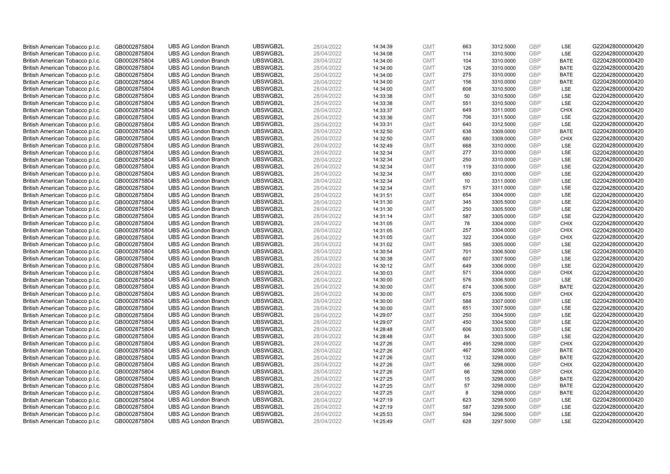| British American Tobacco p.l.c. | GB0002875804 | <b>UBS AG London Branch</b> | UBSWGB2L | 28/04/2022 | 14:34:39 | <b>GMT</b> | 663 | 3312.5000 | <b>GBP</b> | LSE         | G220428000000420 |
|---------------------------------|--------------|-----------------------------|----------|------------|----------|------------|-----|-----------|------------|-------------|------------------|
| British American Tobacco p.l.c. | GB0002875804 | <b>UBS AG London Branch</b> | UBSWGB2L | 28/04/2022 | 14:34:08 | <b>GMT</b> | 114 | 3310.5000 | <b>GBP</b> | LSE         | G220428000000420 |
| British American Tobacco p.l.c. | GB0002875804 | <b>UBS AG London Branch</b> | UBSWGB2L | 28/04/2022 | 14:34:00 | <b>GMT</b> | 104 | 3310.0000 | GBP        | <b>BATE</b> | G220428000000420 |
| British American Tobacco p.l.c. | GB0002875804 | <b>UBS AG London Branch</b> | UBSWGB2L | 28/04/2022 | 14:34:00 | <b>GMT</b> | 126 | 3310.0000 | GBP        | <b>BATE</b> | G220428000000420 |
| British American Tobacco p.l.c. | GB0002875804 | <b>UBS AG London Branch</b> | UBSWGB2L | 28/04/2022 | 14:34:00 | <b>GMT</b> | 275 | 3310.0000 | GBP        | <b>BATE</b> | G220428000000420 |
| British American Tobacco p.l.c. | GB0002875804 | <b>UBS AG London Branch</b> | UBSWGB2L | 28/04/2022 | 14:34:00 | <b>GMT</b> | 156 | 3310.0000 | <b>GBP</b> | <b>BATE</b> | G220428000000420 |
| British American Tobacco p.l.c. | GB0002875804 | <b>UBS AG London Branch</b> | UBSWGB2L | 28/04/2022 | 14:34:00 | <b>GMT</b> | 608 | 3310.5000 | GBP        | LSE         | G220428000000420 |
| British American Tobacco p.l.c. | GB0002875804 | <b>UBS AG London Branch</b> | UBSWGB2L | 28/04/2022 | 14:33:38 | <b>GMT</b> | 50  | 3310.5000 | <b>GBP</b> | LSE         | G220428000000420 |
| British American Tobacco p.l.c. | GB0002875804 | <b>UBS AG London Branch</b> | UBSWGB2L | 28/04/2022 | 14:33:38 | <b>GMT</b> | 551 | 3310.5000 | <b>GBP</b> | <b>LSE</b>  | G220428000000420 |
| British American Tobacco p.l.c. | GB0002875804 | <b>UBS AG London Branch</b> | UBSWGB2L | 28/04/2022 | 14:33:37 | <b>GMT</b> | 649 | 3311.0000 | <b>GBP</b> | <b>CHIX</b> | G220428000000420 |
| British American Tobacco p.l.c. | GB0002875804 | <b>UBS AG London Branch</b> | UBSWGB2L | 28/04/2022 | 14:33:36 | <b>GMT</b> | 706 | 3311.5000 | GBP        | LSE         | G220428000000420 |
| British American Tobacco p.l.c. | GB0002875804 | <b>UBS AG London Branch</b> | UBSWGB2L | 28/04/2022 | 14:33:31 | <b>GMT</b> | 640 | 3312.5000 | <b>GBP</b> | LSE         | G220428000000420 |
| British American Tobacco p.l.c. | GB0002875804 | <b>UBS AG London Branch</b> | UBSWGB2L | 28/04/2022 | 14:32:50 | <b>GMT</b> | 638 | 3309.0000 | <b>GBP</b> | <b>BATE</b> | G220428000000420 |
| British American Tobacco p.l.c. | GB0002875804 | <b>UBS AG London Branch</b> | UBSWGB2L | 28/04/2022 | 14:32:50 | <b>GMT</b> | 680 | 3309.0000 | <b>GBP</b> | <b>CHIX</b> | G220428000000420 |
| British American Tobacco p.l.c. | GB0002875804 | <b>UBS AG London Branch</b> | UBSWGB2L | 28/04/2022 | 14:32:49 | <b>GMT</b> | 668 | 3310.0000 | <b>GBP</b> | <b>LSE</b>  | G220428000000420 |
| British American Tobacco p.l.c. | GB0002875804 | <b>UBS AG London Branch</b> | UBSWGB2L | 28/04/2022 | 14:32:34 | <b>GMT</b> | 277 | 3310.0000 | GBP        | LSE         | G220428000000420 |
| British American Tobacco p.l.c. | GB0002875804 | <b>UBS AG London Branch</b> | UBSWGB2L | 28/04/2022 | 14:32:34 | <b>GMT</b> | 250 | 3310.0000 | <b>GBP</b> | LSE         | G220428000000420 |
| British American Tobacco p.l.c. | GB0002875804 | <b>UBS AG London Branch</b> | UBSWGB2L | 28/04/2022 | 14:32:34 | <b>GMT</b> | 119 | 3310.0000 | <b>GBP</b> | LSE         | G220428000000420 |
| British American Tobacco p.l.c. | GB0002875804 | <b>UBS AG London Branch</b> | UBSWGB2L | 28/04/2022 | 14:32:34 | <b>GMT</b> | 680 | 3310.0000 | GBP        | <b>LSE</b>  | G220428000000420 |
| British American Tobacco p.l.c. | GB0002875804 | <b>UBS AG London Branch</b> | UBSWGB2L | 28/04/2022 | 14:32:34 | <b>GMT</b> | 10  | 3311.0000 | GBP        | LSE         | G220428000000420 |
| British American Tobacco p.l.c. | GB0002875804 | <b>UBS AG London Branch</b> | UBSWGB2L | 28/04/2022 | 14:32:34 | <b>GMT</b> | 571 | 3311.0000 | GBP        | <b>LSE</b>  | G220428000000420 |
| British American Tobacco p.l.c. | GB0002875804 | <b>UBS AG London Branch</b> | UBSWGB2L | 28/04/2022 | 14:31:51 | <b>GMT</b> | 654 | 3304.0000 | <b>GBP</b> | LSE         | G220428000000420 |
| British American Tobacco p.l.c. | GB0002875804 | <b>UBS AG London Branch</b> | UBSWGB2L | 28/04/2022 | 14:31:30 | <b>GMT</b> | 345 | 3305.5000 | <b>GBP</b> | LSE         | G220428000000420 |
| British American Tobacco p.l.c. | GB0002875804 | <b>UBS AG London Branch</b> | UBSWGB2L | 28/04/2022 | 14:31:30 | <b>GMT</b> | 250 | 3305.5000 | GBP        | LSE         | G220428000000420 |
| British American Tobacco p.l.c. | GB0002875804 | <b>UBS AG London Branch</b> | UBSWGB2L | 28/04/2022 | 14:31:14 | <b>GMT</b> | 587 | 3305.0000 | <b>GBP</b> | LSE         | G220428000000420 |
| British American Tobacco p.l.c. | GB0002875804 | <b>UBS AG London Branch</b> | UBSWGB2L | 28/04/2022 | 14:31:05 | <b>GMT</b> | 78  | 3304.0000 | GBP        | <b>CHIX</b> | G220428000000420 |
| British American Tobacco p.l.c. | GB0002875804 | <b>UBS AG London Branch</b> | UBSWGB2L | 28/04/2022 | 14:31:05 | <b>GMT</b> | 257 | 3304.0000 | <b>GBP</b> | <b>CHIX</b> | G220428000000420 |
| British American Tobacco p.l.c. | GB0002875804 | <b>UBS AG London Branch</b> | UBSWGB2L | 28/04/2022 | 14:31:05 | <b>GMT</b> | 322 | 3304.0000 | <b>GBP</b> | <b>CHIX</b> | G220428000000420 |
| British American Tobacco p.l.c. | GB0002875804 | <b>UBS AG London Branch</b> | UBSWGB2L | 28/04/2022 | 14:31:02 | <b>GMT</b> | 585 | 3305.0000 | GBP        | <b>LSE</b>  | G220428000000420 |
| British American Tobacco p.l.c. | GB0002875804 | <b>UBS AG London Branch</b> | UBSWGB2L | 28/04/2022 | 14:30:54 | <b>GMT</b> | 701 | 3306.5000 | <b>GBP</b> | LSE         | G220428000000420 |
| British American Tobacco p.l.c. | GB0002875804 | <b>UBS AG London Branch</b> | UBSWGB2L | 28/04/2022 | 14:30:38 | <b>GMT</b> | 607 | 3307.5000 | GBP        | LSE         | G220428000000420 |
| British American Tobacco p.l.c. | GB0002875804 | <b>UBS AG London Branch</b> | UBSWGB2L | 28/04/2022 | 14:30:12 | <b>GMT</b> | 649 | 3306.0000 | GBP        | <b>LSE</b>  | G220428000000420 |
| British American Tobacco p.l.c. | GB0002875804 | <b>UBS AG London Branch</b> | UBSWGB2L | 28/04/2022 | 14:30:03 | <b>GMT</b> | 571 | 3304.0000 | GBP        | <b>CHIX</b> | G220428000000420 |
| British American Tobacco p.l.c. | GB0002875804 | <b>UBS AG London Branch</b> | UBSWGB2L | 28/04/2022 | 14:30:00 | <b>GMT</b> | 576 | 3306.5000 | GBP        | LSE         | G220428000000420 |
| British American Tobacco p.l.c. | GB0002875804 | <b>UBS AG London Branch</b> | UBSWGB2L | 28/04/2022 | 14:30:00 | <b>GMT</b> | 674 | 3306.5000 | GBP        | <b>BATE</b> | G220428000000420 |
| British American Tobacco p.l.c. | GB0002875804 | <b>UBS AG London Branch</b> | UBSWGB2L | 28/04/2022 | 14:30:00 | <b>GMT</b> | 675 | 3306.5000 | <b>GBP</b> | <b>CHIX</b> | G220428000000420 |
| British American Tobacco p.l.c. | GB0002875804 | <b>UBS AG London Branch</b> | UBSWGB2L | 28/04/2022 | 14:30:00 | <b>GMT</b> | 588 | 3307.0000 | GBP        | <b>LSE</b>  | G220428000000420 |
| British American Tobacco p.l.c. | GB0002875804 | <b>UBS AG London Branch</b> | UBSWGB2L | 28/04/2022 | 14:30:00 | <b>GMT</b> | 651 | 3307.5000 | <b>GBP</b> | LSE         | G220428000000420 |
| British American Tobacco p.l.c. | GB0002875804 | <b>UBS AG London Branch</b> | UBSWGB2L | 28/04/2022 | 14:29:07 | <b>GMT</b> | 250 | 3304.5000 | <b>GBP</b> | LSE         | G220428000000420 |
| British American Tobacco p.l.c. | GB0002875804 | <b>UBS AG London Branch</b> | UBSWGB2L | 28/04/2022 | 14:29:07 | <b>GMT</b> | 450 | 3304.5000 | GBP        | LSE         | G220428000000420 |
| British American Tobacco p.l.c. | GB0002875804 | <b>UBS AG London Branch</b> | UBSWGB2L | 28/04/2022 | 14:28:48 | <b>GMT</b> | 606 | 3303.5000 | <b>GBP</b> | <b>LSE</b>  | G220428000000420 |
| British American Tobacco p.l.c. | GB0002875804 | <b>UBS AG London Branch</b> | UBSWGB2L | 28/04/2022 | 14:28:48 | <b>GMT</b> | 84  | 3303.5000 | GBP        | LSE         | G220428000000420 |
| British American Tobacco p.l.c. | GB0002875804 | <b>UBS AG London Branch</b> | UBSWGB2L | 28/04/2022 | 14:27:26 | <b>GMT</b> | 495 | 3298.0000 | GBP        | <b>CHIX</b> | G220428000000420 |
| British American Tobacco p.l.c. | GB0002875804 | <b>UBS AG London Branch</b> | UBSWGB2L | 28/04/2022 | 14:27:26 | <b>GMT</b> | 467 | 3298.0000 | GBP        | <b>BATE</b> | G220428000000420 |
| British American Tobacco p.l.c. | GB0002875804 | <b>UBS AG London Branch</b> | UBSWGB2L | 28/04/2022 | 14:27:26 | <b>GMT</b> | 132 | 3298.0000 | GBP        | <b>BATE</b> | G220428000000420 |
| British American Tobacco p.l.c. | GB0002875804 | <b>UBS AG London Branch</b> | UBSWGB2L | 28/04/2022 | 14:27:26 | <b>GMT</b> | 66  | 3298.0000 | <b>GBP</b> | <b>CHIX</b> | G220428000000420 |
| British American Tobacco p.l.c. | GB0002875804 | <b>UBS AG London Branch</b> | UBSWGB2L | 28/04/2022 | 14:27:26 | <b>GMT</b> | 66  | 3298.0000 | GBP        | <b>CHIX</b> | G220428000000420 |
| British American Tobacco p.l.c. | GB0002875804 | <b>UBS AG London Branch</b> | UBSWGB2L | 28/04/2022 | 14:27:25 | <b>GMT</b> | 15  | 3298.0000 | GBP        | <b>BATE</b> | G220428000000420 |
| British American Tobacco p.l.c. | GB0002875804 | <b>UBS AG London Branch</b> | UBSWGB2L | 28/04/2022 | 14:27:25 | <b>GMT</b> | 57  | 3298.0000 | GBP        | <b>BATE</b> | G220428000000420 |
| British American Tobacco p.l.c. | GB0002875804 | <b>UBS AG London Branch</b> | UBSWGB2L | 28/04/2022 | 14:27:25 | <b>GMT</b> | 8   | 3298.0000 | GBP        | <b>BATE</b> | G220428000000420 |
| British American Tobacco p.l.c. | GB0002875804 | <b>UBS AG London Branch</b> | UBSWGB2L | 28/04/2022 | 14:27:19 | <b>GMT</b> | 623 | 3298.5000 | GBP        | LSE         | G220428000000420 |
| British American Tobacco p.l.c. | GB0002875804 | <b>UBS AG London Branch</b> | UBSWGB2L | 28/04/2022 | 14:27:19 | <b>GMT</b> | 587 | 3299.5000 | <b>GBP</b> | LSE         | G220428000000420 |
| British American Tobacco p.l.c. | GB0002875804 | <b>UBS AG London Branch</b> | UBSWGB2L | 28/04/2022 | 14:25:53 | <b>GMT</b> | 594 | 3296.5000 | GBP        | LSE         | G220428000000420 |
| British American Tobacco p.l.c. | GB0002875804 | <b>UBS AG London Branch</b> | UBSWGB2L | 28/04/2022 | 14:25:49 | <b>GMT</b> | 628 | 3297.5000 | GBP        | <b>LSE</b>  | G220428000000420 |
|                                 |              |                             |          |            |          |            |     |           |            |             |                  |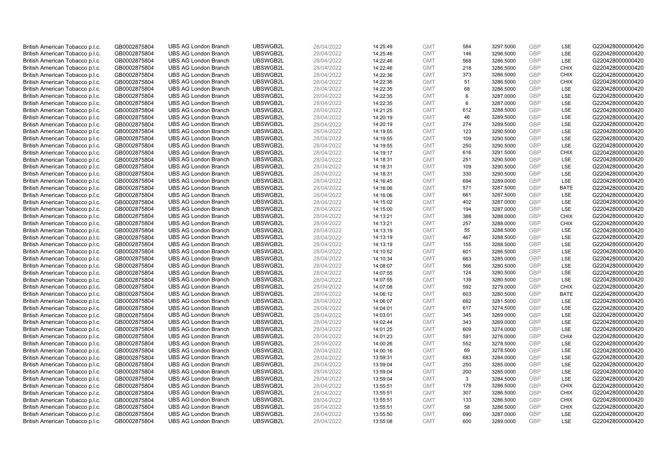| British American Tobacco p.l.c. | GB0002875804 | <b>UBS AG London Branch</b> | UBSWGB2L             | 28/04/2022 | 14:25:49 | <b>GMT</b> | 584 | 3297.5000              | <b>GBP</b> | LSE         | G220428000000420 |
|---------------------------------|--------------|-----------------------------|----------------------|------------|----------|------------|-----|------------------------|------------|-------------|------------------|
| British American Tobacco p.l.c. | GB0002875804 | <b>UBS AG London Branch</b> | UBSWGB2L             | 28/04/2022 | 14:25:46 | <b>GMT</b> | 146 | 3296.5000              | <b>GBP</b> | LSE         | G220428000000420 |
| British American Tobacco p.l.c. | GB0002875804 | <b>UBS AG London Branch</b> | UBSWGB2L             | 28/04/2022 | 14:22:46 | <b>GMT</b> | 568 | 3286.5000              | GBP        | LSE         | G220428000000420 |
| British American Tobacco p.l.c. | GB0002875804 | <b>UBS AG London Branch</b> | UBSWGB2L             | 28/04/2022 | 14:22:46 | <b>GMT</b> | 218 | 3286.5000              | GBP        | <b>CHIX</b> | G220428000000420 |
| British American Tobacco p.l.c. | GB0002875804 | <b>UBS AG London Branch</b> | UBSWGB2L             | 28/04/2022 | 14:22:36 | <b>GMT</b> | 373 | 3286.5000              | <b>GBP</b> | <b>CHIX</b> | G220428000000420 |
| British American Tobacco p.l.c. | GB0002875804 | <b>UBS AG London Branch</b> | UBSWGB2L             | 28/04/2022 | 14:22:36 | <b>GMT</b> | 51  | 3286.5000              | <b>GBP</b> | <b>CHIX</b> | G220428000000420 |
| British American Tobacco p.l.c. | GB0002875804 | <b>UBS AG London Branch</b> | UBSWGB2L             | 28/04/2022 | 14:22:35 | <b>GMT</b> | 68  | 3286.5000              | GBP        | LSE         | G220428000000420 |
| British American Tobacco p.l.c. | GB0002875804 | <b>UBS AG London Branch</b> | UBSWGB2L             | 28/04/2022 | 14:22:35 | <b>GMT</b> | 6   | 3287.0000              | <b>GBP</b> | LSE         | G220428000000420 |
| British American Tobacco p.l.c. | GB0002875804 | <b>UBS AG London Branch</b> | UBSWGB2L             | 28/04/2022 | 14:22:35 | <b>GMT</b> | 6   | 3287.0000              | <b>GBP</b> | LSE         | G220428000000420 |
| British American Tobacco p.l.c. | GB0002875804 | <b>UBS AG London Branch</b> | UBSWGB2L             | 28/04/2022 | 14:21:25 | <b>GMT</b> | 612 | 3288.5000              | <b>GBP</b> | <b>LSE</b>  | G220428000000420 |
| British American Tobacco p.l.c. | GB0002875804 | <b>UBS AG London Branch</b> | UBSWGB2L             | 28/04/2022 | 14:20:19 | <b>GMT</b> | 46  | 3289.5000              | GBP        | LSE         | G220428000000420 |
| British American Tobacco p.l.c. | GB0002875804 | <b>UBS AG London Branch</b> | UBSWGB2L             | 28/04/2022 | 14:20:19 | <b>GMT</b> | 274 | 3289.5000              | <b>GBP</b> | LSE         | G220428000000420 |
| British American Tobacco p.l.c. | GB0002875804 | <b>UBS AG London Branch</b> | UBSWGB2L             | 28/04/2022 | 14:19:55 | <b>GMT</b> | 123 | 3290.5000              | <b>GBP</b> | LSE         | G220428000000420 |
| British American Tobacco p.l.c. | GB0002875804 | <b>UBS AG London Branch</b> | UBSWGB2L             | 28/04/2022 | 14:19:55 | <b>GMT</b> | 109 | 3290.5000              | <b>GBP</b> | LSE         | G220428000000420 |
| British American Tobacco p.l.c. | GB0002875804 | <b>UBS AG London Branch</b> | UBSWGB2L             | 28/04/2022 | 14:19:55 | <b>GMT</b> | 250 | 3290.5000              | <b>GBP</b> | <b>LSE</b>  | G220428000000420 |
| British American Tobacco p.l.c. | GB0002875804 | <b>UBS AG London Branch</b> | UBSWGB2L             | 28/04/2022 | 14:19:17 | <b>GMT</b> | 616 | 3291.5000              | GBP        | <b>CHIX</b> | G220428000000420 |
| British American Tobacco p.l.c. | GB0002875804 | <b>UBS AG London Branch</b> | UBSWGB2L             | 28/04/2022 | 14:18:31 | <b>GMT</b> | 251 | 3290.5000              | GBP        | <b>LSE</b>  | G220428000000420 |
| British American Tobacco p.l.c. | GB0002875804 | <b>UBS AG London Branch</b> | UBSWGB2L             | 28/04/2022 | 14:18:31 | <b>GMT</b> | 109 | 3290.5000              | <b>GBP</b> | LSE         | G220428000000420 |
| British American Tobacco p.l.c. | GB0002875804 | <b>UBS AG London Branch</b> | UBSWGB2L             | 28/04/2022 | 14:18:31 | <b>GMT</b> | 330 | 3290.5000              | GBP        | <b>LSE</b>  | G220428000000420 |
| British American Tobacco p.l.c. | GB0002875804 | <b>UBS AG London Branch</b> | UBSWGB2L             | 28/04/2022 | 14:16:45 | <b>GMT</b> | 694 | 3289.0000              | GBP        | LSE         | G220428000000420 |
| British American Tobacco p.l.c. | GB0002875804 | <b>UBS AG London Branch</b> | UBSWGB2L             | 28/04/2022 | 14:16:06 | <b>GMT</b> | 571 | 3287.5000              | <b>GBP</b> | <b>BATE</b> | G220428000000420 |
| British American Tobacco p.l.c. | GB0002875804 | <b>UBS AG London Branch</b> | UBSWGB2L             | 28/04/2022 | 14:16:06 | <b>GMT</b> | 661 | 3287.5000              | <b>GBP</b> | LSE         | G220428000000420 |
| British American Tobacco p.l.c. | GB0002875804 | <b>UBS AG London Branch</b> | UBSWGB2L             | 28/04/2022 | 14:15:02 | <b>GMT</b> | 402 | 3287.0000              | <b>GBP</b> | LSE         | G220428000000420 |
| British American Tobacco p.l.c. | GB0002875804 | <b>UBS AG London Branch</b> | UBSWGB2L             | 28/04/2022 | 14:15:00 | <b>GMT</b> | 194 | 3287.0000              | GBP        | LSE         | G220428000000420 |
| British American Tobacco p.l.c. | GB0002875804 | <b>UBS AG London Branch</b> | UBSWGB2L             | 28/04/2022 | 14:13:21 | <b>GMT</b> | 388 | 3288.0000              | <b>GBP</b> | <b>CHIX</b> | G220428000000420 |
| British American Tobacco p.l.c. | GB0002875804 | <b>UBS AG London Branch</b> | UBSWGB2L             | 28/04/2022 | 14:13:21 | <b>GMT</b> | 257 | 3288.0000              | GBP        | <b>CHIX</b> | G220428000000420 |
| British American Tobacco p.l.c. | GB0002875804 | <b>UBS AG London Branch</b> | UBSWGB2L             | 28/04/2022 | 14:13:19 | <b>GMT</b> | 55  | 3288.5000              | <b>GBP</b> | <b>LSE</b>  | G220428000000420 |
| British American Tobacco p.l.c. | GB0002875804 | <b>UBS AG London Branch</b> | UBSWGB2L             | 28/04/2022 | 14:13:19 | <b>GMT</b> | 467 | 3288.5000              | <b>GBP</b> | <b>LSE</b>  | G220428000000420 |
| British American Tobacco p.l.c. | GB0002875804 | <b>UBS AG London Branch</b> | UBSWGB2L             | 28/04/2022 | 14:13:19 | <b>GMT</b> | 155 | 3288.5000              | GBP        | LSE         | G220428000000420 |
| British American Tobacco p.l.c. | GB0002875804 | <b>UBS AG London Branch</b> | UBSWGB2L             | 28/04/2022 | 14:10:52 | <b>GMT</b> | 601 | 3286.5000              | <b>GBP</b> | LSE         | G220428000000420 |
| British American Tobacco p.l.c. | GB0002875804 | <b>UBS AG London Branch</b> | UBSWGB2L             | 28/04/2022 | 14:10:34 | <b>GMT</b> | 663 | 3285.0000              | <b>GBP</b> | LSE         | G220428000000420 |
| British American Tobacco p.l.c. | GB0002875804 | <b>UBS AG London Branch</b> | UBSWGB2L             | 28/04/2022 | 14:08:07 | <b>GMT</b> | 566 | 3280.5000              | <b>GBP</b> | <b>LSE</b>  | G220428000000420 |
| British American Tobacco p.l.c. | GB0002875804 | <b>UBS AG London Branch</b> | UBSWGB2L             | 28/04/2022 | 14:07:55 | <b>GMT</b> | 124 | 3280.5000              | GBP        | LSE         | G220428000000420 |
| British American Tobacco p.l.c. | GB0002875804 | <b>UBS AG London Branch</b> | UBSWGB2L             | 28/04/2022 | 14:07:55 | <b>GMT</b> | 139 | 3280.5000              | GBP        | LSE         | G220428000000420 |
| British American Tobacco p.l.c. | GB0002875804 | <b>UBS AG London Branch</b> | UBSWGB2L             | 28/04/2022 | 14:07:08 | <b>GMT</b> | 592 | 3279.0000              | GBP        | <b>CHIX</b> | G220428000000420 |
| British American Tobacco p.l.c. | GB0002875804 | <b>UBS AG London Branch</b> | UBSWGB2L             | 28/04/2022 | 14:06:12 | <b>GMT</b> | 603 | 3280.5000              | <b>GBP</b> | <b>BATE</b> | G220428000000420 |
| British American Tobacco p.l.c. | GB0002875804 | <b>UBS AG London Branch</b> | UBSWGB2L             | 28/04/2022 | 14:06:07 | <b>GMT</b> | 682 | 3281.5000              | GBP        | <b>LSE</b>  | G220428000000420 |
| British American Tobacco p.l.c. | GB0002875804 | <b>UBS AG London Branch</b> | UBSWGB2L             | 28/04/2022 | 14:04:01 | <b>GMT</b> | 617 | 3274.5000              | <b>GBP</b> | LSE         | G220428000000420 |
| British American Tobacco p.l.c. | GB0002875804 | <b>UBS AG London Branch</b> | UBSWGB2L             | 28/04/2022 | 14:03:01 | <b>GMT</b> | 345 | 3269.0000              | <b>GBP</b> | LSE         | G220428000000420 |
| British American Tobacco p.l.c. | GB0002875804 | <b>UBS AG London Branch</b> | UBSWGB2L             | 28/04/2022 | 14:02:44 | <b>GMT</b> | 343 | 3269.0000              | GBP        | LSE         | G220428000000420 |
| British American Tobacco p.l.c. | GB0002875804 | <b>UBS AG London Branch</b> | UBSWGB2L             | 28/04/2022 | 14:01:25 | <b>GMT</b> | 609 | 3274.0000              | <b>GBP</b> | <b>LSE</b>  | G220428000000420 |
| British American Tobacco p.l.c. | GB0002875804 | <b>UBS AG London Branch</b> | UBSWGB2L             | 28/04/2022 | 14:01:23 | <b>GMT</b> | 591 | 3276.0000              | GBP        | <b>CHIX</b> | G220428000000420 |
| British American Tobacco p.l.c. | GB0002875804 | <b>UBS AG London Branch</b> | UBSWGB2L             | 28/04/2022 | 14:00:26 | <b>GMT</b> | 552 | 3278.5000              | GBP        | LSE         | G220428000000420 |
| British American Tobacco p.l.c. | GB0002875804 | <b>UBS AG London Branch</b> | UBSWGB2L             | 28/04/2022 | 14:00:16 | <b>GMT</b> | 69  | 3278.5000              | GBP        | <b>LSE</b>  | G220428000000420 |
| British American Tobacco p.l.c. | GB0002875804 | <b>UBS AG London Branch</b> | UBSWGB2L             | 28/04/2022 | 13:59:31 | <b>GMT</b> | 683 | 3284.0000              | GBP        | <b>LSE</b>  | G220428000000420 |
|                                 |              | <b>UBS AG London Branch</b> | UBSWGB2L             | 28/04/2022 |          | <b>GMT</b> | 250 |                        | <b>GBP</b> | LSE         | G220428000000420 |
| British American Tobacco p.l.c. | GB0002875804 |                             |                      |            | 13:59:04 | <b>GMT</b> | 200 | 3285.0000<br>3285.0000 | <b>GBP</b> | LSE         |                  |
| British American Tobacco p.l.c. | GB0002875804 | <b>UBS AG London Branch</b> | UBSWGB2L<br>UBSWGB2L | 28/04/2022 | 13:59:04 |            |     |                        | <b>GBP</b> | LSE         | G220428000000420 |
| British American Tobacco p.l.c. | GB0002875804 | <b>UBS AG London Branch</b> |                      | 28/04/2022 | 13:59:04 | <b>GMT</b> | 3   | 3284.5000              | GBP        |             | G220428000000420 |
| British American Tobacco p.l.c. | GB0002875804 | <b>UBS AG London Branch</b> | UBSWGB2L             | 28/04/2022 | 13:55:51 | <b>GMT</b> | 178 | 3286.5000              |            | <b>CHIX</b> | G220428000000420 |
| British American Tobacco p.l.c. | GB0002875804 | <b>UBS AG London Branch</b> | UBSWGB2L             | 28/04/2022 | 13:55:51 | <b>GMT</b> | 307 | 3286.5000              | GBP        | <b>CHIX</b> | G220428000000420 |
| British American Tobacco p.l.c. | GB0002875804 | <b>UBS AG London Branch</b> | UBSWGB2L             | 28/04/2022 | 13:55:51 | <b>GMT</b> | 133 | 3286.5000              | <b>GBP</b> | <b>CHIX</b> | G220428000000420 |
| British American Tobacco p.l.c. | GB0002875804 | <b>UBS AG London Branch</b> | UBSWGB2L             | 28/04/2022 | 13:55:51 | <b>GMT</b> | 58  | 3286.5000              | <b>GBP</b> | <b>CHIX</b> | G220428000000420 |
| British American Tobacco p.l.c. | GB0002875804 | <b>UBS AG London Branch</b> | UBSWGB2L             | 28/04/2022 | 13:55:50 | <b>GMT</b> | 690 | 3287.0000              | GBP        | <b>LSE</b>  | G220428000000420 |
| British American Tobacco p.l.c. | GB0002875804 | <b>UBS AG London Branch</b> | UBSWGB2L             | 28/04/2022 | 13:55:08 | <b>GMT</b> | 600 | 3289.0000              | GBP        | <b>LSE</b>  | G220428000000420 |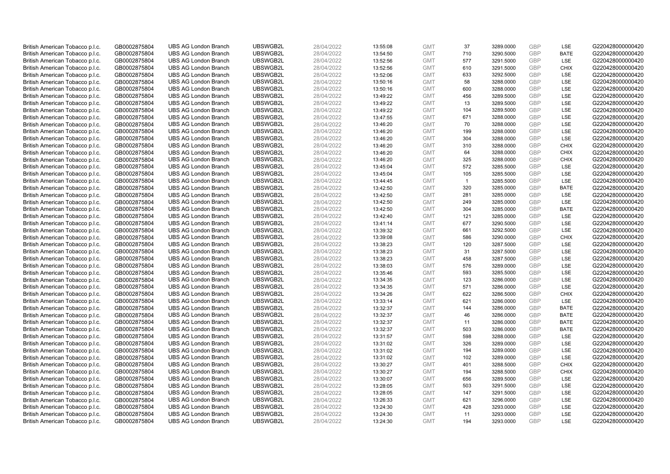| British American Tobacco p.l.c. | GB0002875804 | <b>UBS AG London Branch</b> | UBSWGB2L | 28/04/2022 | 13:55:08 | <b>GMT</b> | 37             | 3289.0000 | <b>GBP</b> | <b>LSE</b>  | G220428000000420 |
|---------------------------------|--------------|-----------------------------|----------|------------|----------|------------|----------------|-----------|------------|-------------|------------------|
| British American Tobacco p.l.c. | GB0002875804 | <b>UBS AG London Branch</b> | UBSWGB2L | 28/04/2022 | 13:54:50 | <b>GMT</b> | 710            | 3290.5000 | GBP        | <b>BATE</b> | G220428000000420 |
| British American Tobacco p.l.c. | GB0002875804 | <b>UBS AG London Branch</b> | UBSWGB2L | 28/04/2022 | 13:52:56 | <b>GMT</b> | 577            | 3291.5000 | <b>GBP</b> | <b>LSE</b>  | G220428000000420 |
| British American Tobacco p.l.c. | GB0002875804 | <b>UBS AG London Branch</b> | UBSWGB2L | 28/04/2022 | 13:52:56 | <b>GMT</b> | 610            | 3291.5000 | GBP        | <b>CHIX</b> | G220428000000420 |
| British American Tobacco p.l.c. | GB0002875804 | <b>UBS AG London Branch</b> | UBSWGB2L | 28/04/2022 | 13:52:06 | <b>GMT</b> | 633            | 3292.5000 | <b>GBP</b> | <b>LSE</b>  | G220428000000420 |
| British American Tobacco p.l.c. | GB0002875804 | <b>UBS AG London Branch</b> | UBSWGB2L | 28/04/2022 | 13:50:16 | <b>GMT</b> | 58             | 3288.0000 | GBP        | LSE         | G220428000000420 |
| British American Tobacco p.l.c. | GB0002875804 | <b>UBS AG London Branch</b> | UBSWGB2L | 28/04/2022 | 13:50:16 | <b>GMT</b> | 600            | 3288.0000 | <b>GBP</b> | LSE         | G220428000000420 |
| British American Tobacco p.l.c. | GB0002875804 | <b>UBS AG London Branch</b> | UBSWGB2L | 28/04/2022 | 13:49:22 | <b>GMT</b> | 456            | 3289.5000 | <b>GBP</b> | LSE         | G220428000000420 |
| British American Tobacco p.l.c. | GB0002875804 | <b>UBS AG London Branch</b> | UBSWGB2L | 28/04/2022 | 13:49:22 | <b>GMT</b> | 13             | 3289.5000 | <b>GBP</b> | LSE         | G220428000000420 |
| British American Tobacco p.l.c. | GB0002875804 | <b>UBS AG London Branch</b> | UBSWGB2L | 28/04/2022 | 13:49:22 | <b>GMT</b> | 104            | 3289.5000 | GBP        | <b>LSE</b>  | G220428000000420 |
| British American Tobacco p.l.c. | GB0002875804 | <b>UBS AG London Branch</b> | UBSWGB2L | 28/04/2022 | 13:47:55 | <b>GMT</b> | 671            | 3288.0000 | <b>GBP</b> | LSE         | G220428000000420 |
| British American Tobacco p.l.c. | GB0002875804 | <b>UBS AG London Branch</b> | UBSWGB2L | 28/04/2022 | 13:46:20 | <b>GMT</b> | 70             | 3288.0000 | <b>GBP</b> | LSE         | G220428000000420 |
| British American Tobacco p.l.c. | GB0002875804 | <b>UBS AG London Branch</b> | UBSWGB2L | 28/04/2022 | 13:46:20 | <b>GMT</b> | 199            | 3288.0000 | <b>GBP</b> | LSE         | G220428000000420 |
| British American Tobacco p.l.c. | GB0002875804 | <b>UBS AG London Branch</b> | UBSWGB2L | 28/04/2022 | 13:46:20 | <b>GMT</b> | 304            | 3288.0000 | <b>GBP</b> | <b>LSE</b>  | G220428000000420 |
| British American Tobacco p.l.c. | GB0002875804 | <b>UBS AG London Branch</b> | UBSWGB2L | 28/04/2022 | 13:46:20 | <b>GMT</b> | 310            | 3288.0000 | GBP        | <b>CHIX</b> | G220428000000420 |
| British American Tobacco p.l.c. | GB0002875804 | <b>UBS AG London Branch</b> | UBSWGB2L | 28/04/2022 | 13:46:20 | <b>GMT</b> | 64             | 3288.0000 | <b>GBP</b> | <b>CHIX</b> | G220428000000420 |
| British American Tobacco p.l.c. | GB0002875804 | <b>UBS AG London Branch</b> | UBSWGB2L | 28/04/2022 | 13:46:20 | <b>GMT</b> | 325            | 3288.0000 | GBP        | <b>CHIX</b> | G220428000000420 |
| British American Tobacco p.l.c. | GB0002875804 | <b>UBS AG London Branch</b> | UBSWGB2L | 28/04/2022 | 13:45:04 | <b>GMT</b> | 572            | 3285.5000 | GBP        | LSE         | G220428000000420 |
| British American Tobacco p.l.c. | GB0002875804 | <b>UBS AG London Branch</b> | UBSWGB2L | 28/04/2022 | 13:45:04 | <b>GMT</b> | 105            | 3285.5000 | <b>GBP</b> | <b>LSE</b>  | G220428000000420 |
| British American Tobacco p.l.c. | GB0002875804 | <b>UBS AG London Branch</b> | UBSWGB2L | 28/04/2022 | 13:44:45 | <b>GMT</b> | $\overline{1}$ | 3285.5000 | <b>GBP</b> | LSE         | G220428000000420 |
| British American Tobacco p.l.c. | GB0002875804 | <b>UBS AG London Branch</b> | UBSWGB2L | 28/04/2022 | 13:42:50 | <b>GMT</b> | 320            | 3285.0000 | GBP        | <b>BATE</b> | G220428000000420 |
| British American Tobacco p.l.c. | GB0002875804 | <b>UBS AG London Branch</b> | UBSWGB2L | 28/04/2022 | 13:42:50 | <b>GMT</b> | 281            | 3285.0000 | GBP        | <b>LSE</b>  | G220428000000420 |
| British American Tobacco p.l.c. | GB0002875804 | <b>UBS AG London Branch</b> | UBSWGB2L | 28/04/2022 | 13:42:50 | <b>GMT</b> | 249            | 3285.0000 | <b>GBP</b> | LSE         | G220428000000420 |
| British American Tobacco p.l.c. | GB0002875804 | <b>UBS AG London Branch</b> | UBSWGB2L | 28/04/2022 | 13:42:50 | <b>GMT</b> | 304            | 3285.0000 | <b>GBP</b> | <b>BATE</b> | G220428000000420 |
| British American Tobacco p.l.c. | GB0002875804 | <b>UBS AG London Branch</b> | UBSWGB2L | 28/04/2022 | 13:42:40 | <b>GMT</b> | 121            | 3285.0000 | <b>GBP</b> | <b>LSE</b>  | G220428000000420 |
| British American Tobacco p.l.c. | GB0002875804 | <b>UBS AG London Branch</b> | UBSWGB2L | 28/04/2022 | 13:41:14 | <b>GMT</b> | 677            | 3290.5000 | <b>GBP</b> | LSE         | G220428000000420 |
| British American Tobacco p.l.c. | GB0002875804 | <b>UBS AG London Branch</b> | UBSWGB2L | 28/04/2022 | 13:39:32 | <b>GMT</b> | 661            | 3292.5000 | <b>GBP</b> | LSE         | G220428000000420 |
| British American Tobacco p.l.c. | GB0002875804 | <b>UBS AG London Branch</b> | UBSWGB2L | 28/04/2022 | 13:39:08 | <b>GMT</b> | 586            | 3290.0000 | <b>GBP</b> | <b>CHIX</b> | G220428000000420 |
| British American Tobacco p.l.c. | GB0002875804 | <b>UBS AG London Branch</b> | UBSWGB2L | 28/04/2022 | 13:38:23 | <b>GMT</b> | 120            | 3287.5000 | GBP        | LSE         | G220428000000420 |
| British American Tobacco p.l.c. | GB0002875804 | <b>UBS AG London Branch</b> | UBSWGB2L | 28/04/2022 | 13:38:23 | <b>GMT</b> | 31             | 3287.5000 | <b>GBP</b> | LSE         | G220428000000420 |
| British American Tobacco p.l.c. | GB0002875804 | <b>UBS AG London Branch</b> | UBSWGB2L | 28/04/2022 | 13:38:23 | <b>GMT</b> | 458            | 3287.5000 | <b>GBP</b> | LSE         | G220428000000420 |
| British American Tobacco p.l.c. | GB0002875804 | <b>UBS AG London Branch</b> | UBSWGB2L | 28/04/2022 | 13:38:03 | <b>GMT</b> | 576            | 3289.0000 | <b>GBP</b> | <b>LSE</b>  | G220428000000420 |
| British American Tobacco p.l.c. | GB0002875804 | <b>UBS AG London Branch</b> | UBSWGB2L | 28/04/2022 | 13:35:46 | <b>GMT</b> | 593            | 3285.5000 | GBP        | LSE         | G220428000000420 |
| British American Tobacco p.l.c. | GB0002875804 | <b>UBS AG London Branch</b> | UBSWGB2L | 28/04/2022 | 13:34:35 | <b>GMT</b> | 123            | 3286.0000 | <b>GBP</b> | LSE         | G220428000000420 |
| British American Tobacco p.l.c. | GB0002875804 | <b>UBS AG London Branch</b> | UBSWGB2L | 28/04/2022 | 13:34:35 | <b>GMT</b> | 571            | 3286.0000 | <b>GBP</b> | <b>LSE</b>  | G220428000000420 |
| British American Tobacco p.l.c. | GB0002875804 | <b>UBS AG London Branch</b> | UBSWGB2L | 28/04/2022 | 13:34:26 | <b>GMT</b> | 622            | 3286.5000 | <b>GBP</b> | <b>CHIX</b> | G220428000000420 |
| British American Tobacco p.l.c. | GB0002875804 | <b>UBS AG London Branch</b> | UBSWGB2L | 28/04/2022 | 13:33:14 | <b>GMT</b> | 621            | 3286.0000 | GBP        | <b>LSE</b>  | G220428000000420 |
| British American Tobacco p.l.c. | GB0002875804 | <b>UBS AG London Branch</b> | UBSWGB2L | 28/04/2022 | 13:32:37 | <b>GMT</b> | 144            | 3286.0000 | <b>GBP</b> | <b>BATE</b> | G220428000000420 |
| British American Tobacco p.l.c. | GB0002875804 | <b>UBS AG London Branch</b> | UBSWGB2L | 28/04/2022 | 13:32:37 | <b>GMT</b> | 46             | 3286.0000 | GBP        | <b>BATE</b> | G220428000000420 |
| British American Tobacco p.l.c. | GB0002875804 | <b>UBS AG London Branch</b> | UBSWGB2L | 28/04/2022 | 13:32:37 | <b>GMT</b> | 11             | 3286.0000 | <b>GBP</b> | <b>BATE</b> | G220428000000420 |
| British American Tobacco p.l.c. | GB0002875804 | <b>UBS AG London Branch</b> | UBSWGB2L | 28/04/2022 | 13:32:37 | <b>GMT</b> | 503            | 3286.0000 | <b>GBP</b> | <b>BATE</b> | G220428000000420 |
| British American Tobacco p.l.c. | GB0002875804 | <b>UBS AG London Branch</b> | UBSWGB2L | 28/04/2022 | 13:31:57 | <b>GMT</b> | 598            | 3288.0000 | GBP        | LSE         | G220428000000420 |
| British American Tobacco p.l.c. | GB0002875804 | <b>UBS AG London Branch</b> | UBSWGB2L | 28/04/2022 | 13:31:02 | <b>GMT</b> | 326            | 3289.0000 | <b>GBP</b> | LSE         | G220428000000420 |
| British American Tobacco p.l.c. | GB0002875804 | <b>UBS AG London Branch</b> | UBSWGB2L | 28/04/2022 | 13:31:02 | <b>GMT</b> | 194            | 3289.0000 | <b>GBP</b> | LSE         | G220428000000420 |
| British American Tobacco p.l.c. | GB0002875804 | <b>UBS AG London Branch</b> | UBSWGB2L | 28/04/2022 | 13:31:02 | <b>GMT</b> | 102            | 3289.0000 | <b>GBP</b> | <b>LSE</b>  | G220428000000420 |
| British American Tobacco p.l.c. | GB0002875804 | <b>UBS AG London Branch</b> | UBSWGB2L | 28/04/2022 | 13:30:27 | <b>GMT</b> | 401            | 3288.5000 | GBP        | <b>CHIX</b> | G220428000000420 |
| British American Tobacco p.l.c. | GB0002875804 | <b>UBS AG London Branch</b> | UBSWGB2L | 28/04/2022 | 13:30:27 | <b>GMT</b> | 194            | 3288.5000 | <b>GBP</b> | <b>CHIX</b> | G220428000000420 |
| British American Tobacco p.l.c. | GB0002875804 | <b>UBS AG London Branch</b> | UBSWGB2L | 28/04/2022 | 13:30:07 | <b>GMT</b> | 656            | 3289.5000 | <b>GBP</b> | LSE         | G220428000000420 |
| British American Tobacco p.l.c. | GB0002875804 | <b>UBS AG London Branch</b> | UBSWGB2L | 28/04/2022 | 13:28:05 | <b>GMT</b> | 503            | 3291.5000 | <b>GBP</b> | LSE         | G220428000000420 |
| British American Tobacco p.l.c. | GB0002875804 | <b>UBS AG London Branch</b> | UBSWGB2L | 28/04/2022 | 13:28:05 | <b>GMT</b> | 147            | 3291.5000 | <b>GBP</b> | LSE         | G220428000000420 |
| British American Tobacco p.l.c. | GB0002875804 | <b>UBS AG London Branch</b> | UBSWGB2L | 28/04/2022 | 13:26:33 | <b>GMT</b> | 621            | 3296.0000 | GBP        | LSE         | G220428000000420 |
| British American Tobacco p.l.c. | GB0002875804 | <b>UBS AG London Branch</b> | UBSWGB2L | 28/04/2022 | 13:24:30 | <b>GMT</b> | 428            | 3293.0000 | <b>GBP</b> | LSE         | G220428000000420 |
| British American Tobacco p.l.c. | GB0002875804 | <b>UBS AG London Branch</b> | UBSWGB2L | 28/04/2022 | 13:24:30 | <b>GMT</b> | 11             | 3293.0000 | GBP        | LSE         | G220428000000420 |
| British American Tobacco p.l.c. | GB0002875804 | <b>UBS AG London Branch</b> | UBSWGB2L | 28/04/2022 | 13:24:30 | <b>GMT</b> | 194            | 3293.0000 | GBP        | <b>LSE</b>  | G220428000000420 |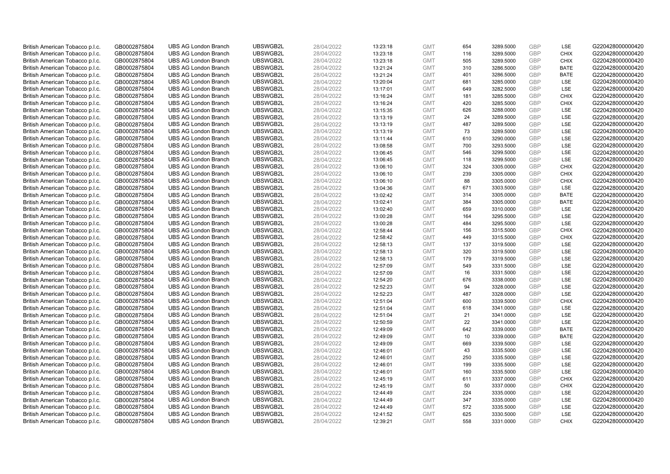| British American Tobacco p.l.c. | GB0002875804                 | <b>UBS AG London Branch</b> | UBSWGB2L             | 28/04/2022               | 13:23:18 | <b>GMT</b>               | 654        | 3289.5000              | <b>GBP</b> | LSE                | G220428000000420 |
|---------------------------------|------------------------------|-----------------------------|----------------------|--------------------------|----------|--------------------------|------------|------------------------|------------|--------------------|------------------|
| British American Tobacco p.l.c. | GB0002875804                 | <b>UBS AG London Branch</b> | UBSWGB2L             | 28/04/2022               | 13:23:18 | <b>GMT</b>               | 116        | 3289.5000              | GBP        | <b>CHIX</b>        | G220428000000420 |
| British American Tobacco p.l.c. | GB0002875804                 | <b>UBS AG London Branch</b> | UBSWGB2L             | 28/04/2022               | 13:23:18 | <b>GMT</b>               | 505        | 3289.5000              | <b>GBP</b> | <b>CHIX</b>        | G220428000000420 |
| British American Tobacco p.l.c. | GB0002875804                 | <b>UBS AG London Branch</b> | UBSWGB2L             | 28/04/2022               | 13:21:24 | <b>GMT</b>               | 310        | 3286.5000              | GBP        | <b>BATE</b>        | G220428000000420 |
| British American Tobacco p.l.c. | GB0002875804                 | <b>UBS AG London Branch</b> | UBSWGB2L             | 28/04/2022               | 13:21:24 | <b>GMT</b>               | 401        | 3286.5000              | <b>GBP</b> | <b>BATE</b>        | G220428000000420 |
| British American Tobacco p.l.c. | GB0002875804                 | <b>UBS AG London Branch</b> | UBSWGB2L             | 28/04/2022               | 13:20:04 | <b>GMT</b>               | 681        | 3285.0000              | GBP        | <b>LSE</b>         | G220428000000420 |
| British American Tobacco p.l.c. | GB0002875804                 | <b>UBS AG London Branch</b> | UBSWGB2L             | 28/04/2022               | 13:17:01 | <b>GMT</b>               | 649        | 3282.5000              | <b>GBP</b> | LSE                | G220428000000420 |
| British American Tobacco p.l.c. | GB0002875804                 | <b>UBS AG London Branch</b> | UBSWGB2L             | 28/04/2022               | 13:16:24 | <b>GMT</b>               | 181        | 3285.5000              | <b>GBP</b> | <b>CHIX</b>        | G220428000000420 |
| British American Tobacco p.l.c. | GB0002875804                 | <b>UBS AG London Branch</b> | UBSWGB2L             | 28/04/2022               | 13:16:24 | <b>GMT</b>               | 420        | 3285.5000              | <b>GBP</b> | <b>CHIX</b>        | G220428000000420 |
| British American Tobacco p.l.c. | GB0002875804                 | <b>UBS AG London Branch</b> | UBSWGB2L             | 28/04/2022               | 13:15:35 | <b>GMT</b>               | 626        | 3288.0000              | GBP        | <b>LSE</b>         | G220428000000420 |
| British American Tobacco p.l.c. | GB0002875804                 | <b>UBS AG London Branch</b> | UBSWGB2L             | 28/04/2022               | 13:13:19 | <b>GMT</b>               | 24         | 3289.5000              | <b>GBP</b> | LSE                | G220428000000420 |
| British American Tobacco p.l.c. | GB0002875804                 | <b>UBS AG London Branch</b> | UBSWGB2L             | 28/04/2022               | 13:13:19 | <b>GMT</b>               | 487        | 3289.5000              | <b>GBP</b> | LSE                | G220428000000420 |
| British American Tobacco p.l.c. | GB0002875804                 | <b>UBS AG London Branch</b> | UBSWGB2L             | 28/04/2022               | 13:13:19 | <b>GMT</b>               | 73         | 3289.5000              | <b>GBP</b> | LSE                | G220428000000420 |
| British American Tobacco p.l.c. | GB0002875804                 | <b>UBS AG London Branch</b> | UBSWGB2L             | 28/04/2022               | 13:11:44 | <b>GMT</b>               | 610        | 3290.0000              | <b>GBP</b> | LSE                | G220428000000420 |
| British American Tobacco p.l.c. | GB0002875804                 | <b>UBS AG London Branch</b> | UBSWGB2L             | 28/04/2022               | 13:08:58 | <b>GMT</b>               | 700        | 3293.5000              | GBP        | LSE                | G220428000000420 |
| British American Tobacco p.l.c. | GB0002875804                 | <b>UBS AG London Branch</b> | UBSWGB2L             | 28/04/2022               | 13:06:45 | <b>GMT</b>               | 546        | 3299.5000              | <b>GBP</b> | LSE                | G220428000000420 |
| British American Tobacco p.l.c. | GB0002875804                 | <b>UBS AG London Branch</b> | UBSWGB2L             | 28/04/2022               | 13:06:45 | <b>GMT</b>               | 118        | 3299.5000              | <b>GBP</b> | <b>LSE</b>         | G220428000000420 |
| British American Tobacco p.l.c. | GB0002875804                 | <b>UBS AG London Branch</b> | UBSWGB2L             | 28/04/2022               | 13:06:10 | <b>GMT</b>               | 324        | 3305.0000              | GBP        | <b>CHIX</b>        | G220428000000420 |
| British American Tobacco p.l.c. | GB0002875804                 | <b>UBS AG London Branch</b> | UBSWGB2L             | 28/04/2022               | 13:06:10 | <b>GMT</b>               | 239        | 3305.0000              | GBP        | <b>CHIX</b>        | G220428000000420 |
| British American Tobacco p.l.c. | GB0002875804                 | <b>UBS AG London Branch</b> | UBSWGB2L             | 28/04/2022               | 13:06:10 | <b>GMT</b>               | 88         | 3305.0000              | <b>GBP</b> | <b>CHIX</b>        | G220428000000420 |
| British American Tobacco p.l.c. | GB0002875804                 | <b>UBS AG London Branch</b> | UBSWGB2L             | 28/04/2022               | 13:04:36 | <b>GMT</b>               | 671        | 3303.5000              | GBP        | LSE                | G220428000000420 |
| British American Tobacco p.l.c. | GB0002875804                 | <b>UBS AG London Branch</b> | UBSWGB2L             | 28/04/2022               | 13:02:42 | <b>GMT</b>               | 314        | 3305.0000              | GBP        | <b>BATE</b>        | G220428000000420 |
| British American Tobacco p.l.c. | GB0002875804                 | <b>UBS AG London Branch</b> | UBSWGB2L             | 28/04/2022               | 13:02:41 | <b>GMT</b>               | 384        | 3305.0000              | GBP        | <b>BATE</b>        | G220428000000420 |
| British American Tobacco p.l.c. | GB0002875804                 | <b>UBS AG London Branch</b> | UBSWGB2L             | 28/04/2022               | 13:02:40 | <b>GMT</b>               | 659        | 3310.0000              | <b>GBP</b> | LSE                | G220428000000420 |
| British American Tobacco p.l.c. | GB0002875804                 | <b>UBS AG London Branch</b> | UBSWGB2L             | 28/04/2022               | 13:00:28 | <b>GMT</b>               | 164        | 3295.5000              | <b>GBP</b> | LSE                | G220428000000420 |
| British American Tobacco p.l.c. | GB0002875804                 | <b>UBS AG London Branch</b> | UBSWGB2L             | 28/04/2022               | 13:00:28 | <b>GMT</b>               | 484        | 3295.5000              | <b>GBP</b> | LSE                | G220428000000420 |
| British American Tobacco p.l.c. | GB0002875804                 | <b>UBS AG London Branch</b> | UBSWGB2L             | 28/04/2022               | 12:58:44 | <b>GMT</b>               | 156        | 3315.5000              | <b>GBP</b> | <b>CHIX</b>        | G220428000000420 |
| British American Tobacco p.l.c. | GB0002875804                 | <b>UBS AG London Branch</b> | UBSWGB2L             | 28/04/2022               | 12:58:42 | <b>GMT</b>               | 449        | 3315.5000              | <b>GBP</b> | <b>CHIX</b>        | G220428000000420 |
| British American Tobacco p.l.c. | GB0002875804                 | <b>UBS AG London Branch</b> | UBSWGB2L             | 28/04/2022               | 12:58:13 | <b>GMT</b>               | 137        | 3319.5000              | GBP        | LSE                | G220428000000420 |
| British American Tobacco p.l.c. | GB0002875804                 | <b>UBS AG London Branch</b> | UBSWGB2L             | 28/04/2022               | 12:58:13 | <b>GMT</b>               | 320        | 3319.5000              | <b>GBP</b> | LSE                | G220428000000420 |
| British American Tobacco p.l.c. | GB0002875804                 | <b>UBS AG London Branch</b> | UBSWGB2L             | 28/04/2022               | 12:58:13 | <b>GMT</b>               | 179        | 3319.5000              | <b>GBP</b> | LSE                | G220428000000420 |
| British American Tobacco p.l.c. | GB0002875804                 | <b>UBS AG London Branch</b> | UBSWGB2L             | 28/04/2022               | 12:57:09 | <b>GMT</b>               | 549        | 3331.5000              | <b>GBP</b> | <b>LSE</b>         | G220428000000420 |
| British American Tobacco p.l.c. | GB0002875804                 | <b>UBS AG London Branch</b> | UBSWGB2L             | 28/04/2022               | 12:57:09 | <b>GMT</b>               | 16         | 3331.5000              | GBP        | LSE                | G220428000000420 |
| British American Tobacco p.l.c. | GB0002875804                 | <b>UBS AG London Branch</b> | UBSWGB2L             | 28/04/2022               | 12:54:20 | <b>GMT</b>               | 676        | 3338.0000              | <b>GBP</b> | LSE                | G220428000000420 |
| British American Tobacco p.l.c. | GB0002875804                 | <b>UBS AG London Branch</b> | UBSWGB2L             | 28/04/2022               | 12:52:23 | <b>GMT</b>               | 94         | 3328.0000              | <b>GBP</b> | LSE                | G220428000000420 |
| British American Tobacco p.l.c. | GB0002875804                 | <b>UBS AG London Branch</b> | UBSWGB2L             | 28/04/2022               | 12:52:23 | <b>GMT</b>               | 487        | 3328.0000              | <b>GBP</b> | <b>LSE</b>         | G220428000000420 |
| British American Tobacco p.l.c. | GB0002875804                 | <b>UBS AG London Branch</b> | UBSWGB2L             | 28/04/2022               | 12:51:04 | <b>GMT</b>               | 600        | 3339.5000              | GBP        | <b>CHIX</b>        | G220428000000420 |
| British American Tobacco p.l.c. | GB0002875804                 | <b>UBS AG London Branch</b> | UBSWGB2L             | 28/04/2022               | 12:51:04 | <b>GMT</b>               | 618        | 3341.0000              | <b>GBP</b> | LSE                | G220428000000420 |
| British American Tobacco p.l.c. | GB0002875804                 | <b>UBS AG London Branch</b> | UBSWGB2L             | 28/04/2022               | 12:51:04 | <b>GMT</b>               | 21         | 3341.0000              | <b>GBP</b> | LSE                | G220428000000420 |
| British American Tobacco p.l.c. | GB0002875804                 | <b>UBS AG London Branch</b> | UBSWGB2L             | 28/04/2022               | 12:50:59 | <b>GMT</b>               | 22         | 3341.0000              | <b>GBP</b> | LSE                | G220428000000420 |
| British American Tobacco p.l.c. | GB0002875804                 | <b>UBS AG London Branch</b> | UBSWGB2L             | 28/04/2022               | 12:49:09 | <b>GMT</b>               | 642        | 3339.0000              | <b>GBP</b> | <b>BATE</b>        | G220428000000420 |
| British American Tobacco p.l.c. | GB0002875804                 | <b>UBS AG London Branch</b> | UBSWGB2L             | 28/04/2022               | 12:49:09 | <b>GMT</b>               | 10         | 3339.0000              | GBP        | <b>BATE</b>        | G220428000000420 |
| British American Tobacco p.l.c. | GB0002875804                 | <b>UBS AG London Branch</b> | UBSWGB2L             | 28/04/2022               | 12:49:09 | <b>GMT</b>               | 669        | 3339.5000              | <b>GBP</b> | <b>LSE</b>         | G220428000000420 |
| British American Tobacco p.l.c. | GB0002875804                 | <b>UBS AG London Branch</b> | UBSWGB2L             | 28/04/2022               | 12:46:01 | <b>GMT</b>               | 43         | 3335.5000              | <b>GBP</b> | LSE                | G220428000000420 |
| British American Tobacco p.l.c. | GB0002875804                 | <b>UBS AG London Branch</b> | UBSWGB2L             | 28/04/2022               | 12:46:01 | <b>GMT</b>               | 250        | 3335.5000              | GBP        | <b>LSE</b>         | G220428000000420 |
| British American Tobacco p.l.c. | GB0002875804                 | <b>UBS AG London Branch</b> | UBSWGB2L             | 28/04/2022               | 12:46:01 | <b>GMT</b>               | 199        | 3335.5000              | <b>GBP</b> | LSE                | G220428000000420 |
| British American Tobacco p.l.c. | GB0002875804                 | <b>UBS AG London Branch</b> | UBSWGB2L             | 28/04/2022               | 12:46:01 | <b>GMT</b>               | 160        | 3335.5000              | <b>GBP</b> | LSE                | G220428000000420 |
| British American Tobacco p.l.c. | GB0002875804                 | <b>UBS AG London Branch</b> | UBSWGB2L             | 28/04/2022               | 12:45:19 | <b>GMT</b>               | 611        | 3337.0000              | <b>GBP</b> | <b>CHIX</b>        | G220428000000420 |
| British American Tobacco p.l.c. | GB0002875804                 | <b>UBS AG London Branch</b> | UBSWGB2L             | 28/04/2022               | 12:45:19 | <b>GMT</b>               | 50         | 3337.0000              | <b>GBP</b> | <b>CHIX</b>        | G220428000000420 |
| British American Tobacco p.l.c. | GB0002875804                 | <b>UBS AG London Branch</b> | UBSWGB2L             | 28/04/2022               | 12:44:49 | <b>GMT</b>               | 224        | 3335.0000              | GBP        | <b>LSE</b>         | G220428000000420 |
| British American Tobacco p.l.c. | GB0002875804                 | <b>UBS AG London Branch</b> | UBSWGB2L             | 28/04/2022               | 12:44:49 | <b>GMT</b>               | 347        | 3335.0000              | GBP        | LSE                | G220428000000420 |
| British American Tobacco p.l.c. | GB0002875804                 | <b>UBS AG London Branch</b> | UBSWGB2L             | 28/04/2022               | 12:44:49 | <b>GMT</b>               | 572        | 3335.5000              | <b>GBP</b> | LSE                | G220428000000420 |
| British American Tobacco p.l.c. | GB0002875804<br>GB0002875804 | <b>UBS AG London Branch</b> | UBSWGB2L<br>UBSWGB2L | 28/04/2022<br>28/04/2022 | 12:41:52 | <b>GMT</b><br><b>GMT</b> | 625<br>558 | 3330.5000<br>3331.0000 | GBP<br>GBP | LSE<br><b>CHIX</b> | G220428000000420 |
| British American Tobacco p.l.c. |                              | <b>UBS AG London Branch</b> |                      |                          | 12:39:21 |                          |            |                        |            |                    | G220428000000420 |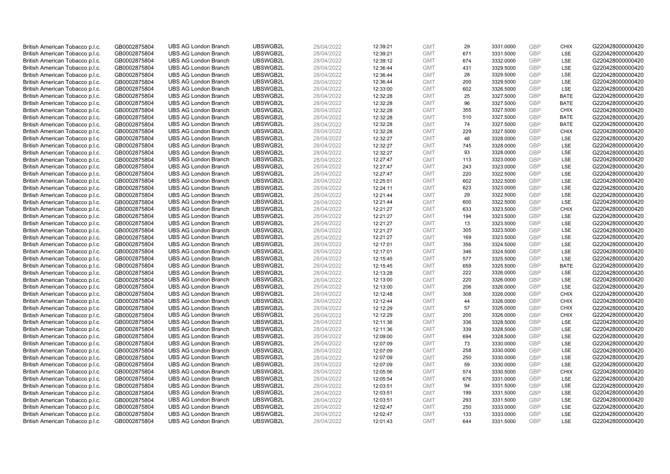| British American Tobacco p.l.c. | GB0002875804                 | <b>UBS AG London Branch</b> | UBSWGB2L             | 28/04/2022               | 12:39:21             | <b>GMT</b>               | 29         | 3331.0000              | <b>GBP</b> | <b>CHIX</b> | G220428000000420 |
|---------------------------------|------------------------------|-----------------------------|----------------------|--------------------------|----------------------|--------------------------|------------|------------------------|------------|-------------|------------------|
| British American Tobacco p.l.c. | GB0002875804                 | <b>UBS AG London Branch</b> | UBSWGB2L             | 28/04/2022               | 12:39:21             | <b>GMT</b>               | 671        | 3331.5000              | GBP        | <b>LSE</b>  | G220428000000420 |
| British American Tobacco p.l.c. | GB0002875804                 | <b>UBS AG London Branch</b> | UBSWGB2L             | 28/04/2022               | 12:39:12             | <b>GMT</b>               | 674        | 3332.0000              | GBP        | LSE         | G220428000000420 |
| British American Tobacco p.l.c. | GB0002875804                 | <b>UBS AG London Branch</b> | UBSWGB2L             | 28/04/2022               | 12:36:44             | <b>GMT</b>               | 431        | 3329.5000              | GBP        | LSE         | G220428000000420 |
| British American Tobacco p.l.c. | GB0002875804                 | <b>UBS AG London Branch</b> | UBSWGB2L             | 28/04/2022               | 12:36:44             | <b>GMT</b>               | 28         | 3329.5000              | <b>GBP</b> | LSE         | G220428000000420 |
| British American Tobacco p.l.c. | GB0002875804                 | <b>UBS AG London Branch</b> | UBSWGB2L             | 28/04/2022               | 12:36:44             | <b>GMT</b>               | 200        | 3329.5000              | <b>GBP</b> | LSE         | G220428000000420 |
| British American Tobacco p.l.c. | GB0002875804                 | <b>UBS AG London Branch</b> | UBSWGB2L             | 28/04/2022               | 12:33:00             | <b>GMT</b>               | 602        | 3326.5000              | GBP        | LSE         | G220428000000420 |
| British American Tobacco p.l.c. | GB0002875804                 | <b>UBS AG London Branch</b> | UBSWGB2L             | 28/04/2022               | 12:32:28             | <b>GMT</b>               | 25         | 3327.5000              | <b>GBP</b> | <b>BATE</b> | G220428000000420 |
| British American Tobacco p.l.c. | GB0002875804                 | <b>UBS AG London Branch</b> | UBSWGB2L             | 28/04/2022               | 12:32:28             | <b>GMT</b>               | 96         | 3327.5000              | GBP        | <b>BATE</b> | G220428000000420 |
| British American Tobacco p.l.c. | GB0002875804                 | <b>UBS AG London Branch</b> | UBSWGB2L             | 28/04/2022               | 12:32:28             | <b>GMT</b>               | 355        | 3327.5000              | <b>GBP</b> | <b>CHIX</b> | G220428000000420 |
| British American Tobacco p.l.c. | GB0002875804                 | <b>UBS AG London Branch</b> | UBSWGB2L             | 28/04/2022               | 12:32:28             | <b>GMT</b>               | 510        | 3327.5000              | GBP        | <b>BATE</b> | G220428000000420 |
| British American Tobacco p.l.c. | GB0002875804                 | <b>UBS AG London Branch</b> | UBSWGB2L             | 28/04/2022               | 12:32:28             | <b>GMT</b>               | 74         | 3327.5000              | <b>GBP</b> | <b>BATE</b> | G220428000000420 |
| British American Tobacco p.l.c. | GB0002875804                 | <b>UBS AG London Branch</b> | UBSWGB2L             | 28/04/2022               | 12:32:28             | <b>GMT</b>               | 229        | 3327.5000              | <b>GBP</b> | <b>CHIX</b> | G220428000000420 |
| British American Tobacco p.l.c. | GB0002875804                 | <b>UBS AG London Branch</b> | UBSWGB2L             | 28/04/2022               | 12:32:27             | <b>GMT</b>               | 48         | 3328.0000              | <b>GBP</b> | <b>LSE</b>  | G220428000000420 |
| British American Tobacco p.l.c. | GB0002875804                 | <b>UBS AG London Branch</b> | UBSWGB2L             | 28/04/2022               | 12:32:27             | <b>GMT</b>               | 745        | 3328.0000              | <b>GBP</b> | <b>LSE</b>  | G220428000000420 |
| British American Tobacco p.l.c. | GB0002875804                 | <b>UBS AG London Branch</b> | UBSWGB2L             | 28/04/2022               | 12:32:27             | <b>GMT</b>               | 93         | 3328.0000              | GBP        | LSE         | G220428000000420 |
| British American Tobacco p.l.c. | GB0002875804                 | <b>UBS AG London Branch</b> | UBSWGB2L             | 28/04/2022               | 12:27:47             | <b>GMT</b>               | 113        | 3323.0000              | <b>GBP</b> | LSE         | G220428000000420 |
| British American Tobacco p.l.c. | GB0002875804                 | <b>UBS AG London Branch</b> | UBSWGB2L             | 28/04/2022               | 12:27:47             | <b>GMT</b>               | 243        | 3323.0000              | <b>GBP</b> | LSE         | G220428000000420 |
| British American Tobacco p.l.c. | GB0002875804                 | <b>UBS AG London Branch</b> | UBSWGB2L             | 28/04/2022               | 12:27:47             | <b>GMT</b>               | 220        | 3322.5000              | GBP        | <b>LSE</b>  | G220428000000420 |
| British American Tobacco p.l.c. | GB0002875804                 | <b>UBS AG London Branch</b> | UBSWGB2L             | 28/04/2022               | 12:25:51             | <b>GMT</b>               | 602        | 3322.5000              | GBP        | LSE         | G220428000000420 |
| British American Tobacco p.l.c. | GB0002875804                 | <b>UBS AG London Branch</b> | UBSWGB2L             | 28/04/2022               | 12:24:11             | <b>GMT</b>               | 623        | 3323.0000              | <b>GBP</b> | LSE         | G220428000000420 |
| British American Tobacco p.l.c. | GB0002875804                 | <b>UBS AG London Branch</b> | UBSWGB2L             | 28/04/2022               | 12:21:44             | <b>GMT</b>               | 29         | 3322.5000              | <b>GBP</b> | LSE         | G220428000000420 |
| British American Tobacco p.l.c. | GB0002875804                 | <b>UBS AG London Branch</b> | UBSWGB2L             | 28/04/2022               | 12:21:44             | <b>GMT</b>               | 600        | 3322.5000              | <b>GBP</b> | LSE         | G220428000000420 |
| British American Tobacco p.l.c. | GB0002875804                 | <b>UBS AG London Branch</b> | UBSWGB2L             | 28/04/2022               | 12:21:27             | <b>GMT</b>               | 633        | 3323.5000              | GBP        | <b>CHIX</b> | G220428000000420 |
| British American Tobacco p.l.c. | GB0002875804                 | <b>UBS AG London Branch</b> | UBSWGB2L             | 28/04/2022               | 12:21:27             | <b>GMT</b>               | 194        | 3323.5000              | <b>GBP</b> | LSE         | G220428000000420 |
| British American Tobacco p.l.c. | GB0002875804                 | <b>UBS AG London Branch</b> | UBSWGB2L             | 28/04/2022               | 12:21:27             | <b>GMT</b>               | 13         | 3323.5000              | <b>GBP</b> | LSE         | G220428000000420 |
| British American Tobacco p.l.c. | GB0002875804                 | <b>UBS AG London Branch</b> | UBSWGB2L             | 28/04/2022               | 12:21:27             | <b>GMT</b>               | 305        | 3323.5000              | GBP        | <b>LSE</b>  | G220428000000420 |
| British American Tobacco p.l.c. | GB0002875804                 | <b>UBS AG London Branch</b> | UBSWGB2L             | 28/04/2022               | 12:21:27             | <b>GMT</b>               | 169        | 3323.5000              | <b>GBP</b> | <b>LSE</b>  | G220428000000420 |
| British American Tobacco p.l.c. | GB0002875804                 | <b>UBS AG London Branch</b> | UBSWGB2L             | 28/04/2022               | 12:17:01             | <b>GMT</b>               | 356        | 3324.5000              | GBP        | LSE         | G220428000000420 |
| British American Tobacco p.l.c. | GB0002875804                 | <b>UBS AG London Branch</b> | UBSWGB2L             | 28/04/2022               | 12:17:01             | <b>GMT</b>               | 346        | 3324.5000              | <b>GBP</b> | LSE         | G220428000000420 |
| British American Tobacco p.l.c. | GB0002875804                 | <b>UBS AG London Branch</b> | UBSWGB2L             | 28/04/2022               | 12:15:45             | <b>GMT</b>               | 577        | 3325.5000              | GBP        | LSE         | G220428000000420 |
| British American Tobacco p.l.c. | GB0002875804                 | <b>UBS AG London Branch</b> | UBSWGB2L             | 28/04/2022               | 12:15:45             | <b>GMT</b>               | 659        | 3325.5000              | GBP        | <b>BATE</b> | G220428000000420 |
| British American Tobacco p.l.c. | GB0002875804                 | <b>UBS AG London Branch</b> | UBSWGB2L             | 28/04/2022               | 12:13:28             | <b>GMT</b>               | 222        | 3326.0000              | GBP        | LSE         | G220428000000420 |
| British American Tobacco p.l.c. | GB0002875804                 | <b>UBS AG London Branch</b> | UBSWGB2L             | 28/04/2022               | 12:13:00             | <b>GMT</b>               | 220        | 3326.0000              | GBP        | LSE         | G220428000000420 |
| British American Tobacco p.l.c. | GB0002875804                 | <b>UBS AG London Branch</b> | UBSWGB2L             | 28/04/2022               | 12:13:00             | <b>GMT</b>               | 206        | 3326.0000              | GBP        | LSE         | G220428000000420 |
| British American Tobacco p.l.c. | GB0002875804                 | <b>UBS AG London Branch</b> | UBSWGB2L             | 28/04/2022               | 12:12:48             | <b>GMT</b>               | 308        | 3326.0000              | <b>GBP</b> | <b>CHIX</b> | G220428000000420 |
| British American Tobacco p.l.c. | GB0002875804                 | <b>UBS AG London Branch</b> | UBSWGB2L             | 28/04/2022               | 12:12:44             | <b>GMT</b>               | 44         | 3326.0000              | GBP        | <b>CHIX</b> | G220428000000420 |
| British American Tobacco p.l.c. | GB0002875804                 | <b>UBS AG London Branch</b> | UBSWGB2L             | 28/04/2022               | 12:12:29             | <b>GMT</b>               | 57         | 3326.0000              | <b>GBP</b> | <b>CHIX</b> | G220428000000420 |
| British American Tobacco p.l.c. | GB0002875804                 | <b>UBS AG London Branch</b> | UBSWGB2L             | 28/04/2022               | 12:12:29             | <b>GMT</b>               | 200        | 3326.0000              | GBP        | <b>CHIX</b> | G220428000000420 |
| British American Tobacco p.l.c. | GB0002875804                 | <b>UBS AG London Branch</b> | UBSWGB2L             | 28/04/2022               | 12:11:36             | <b>GMT</b>               | 336        | 3328.5000              | GBP        | <b>LSE</b>  | G220428000000420 |
| British American Tobacco p.l.c. | GB0002875804                 | <b>UBS AG London Branch</b> | UBSWGB2L             | 28/04/2022               | 12:11:36             | <b>GMT</b>               | 339        | 3328.5000              | <b>GBP</b> | <b>LSE</b>  | G220428000000420 |
| British American Tobacco p.l.c. | GB0002875804                 | <b>UBS AG London Branch</b> | UBSWGB2L             | 28/04/2022               | 12:09:00             | <b>GMT</b>               | 694        | 3328.5000              | GBP        | LSE         | G220428000000420 |
| British American Tobacco p.l.c. | GB0002875804                 | <b>UBS AG London Branch</b> | UBSWGB2L             | 28/04/2022               | 12:07:09             | <b>GMT</b>               | 73         | 3330.0000              | <b>GBP</b> | LSE         | G220428000000420 |
| British American Tobacco p.l.c. | GB0002875804                 | <b>UBS AG London Branch</b> | UBSWGB2L             | 28/04/2022               | 12:07:09             | <b>GMT</b>               | 258        | 3330.0000              | GBP        | LSE         | G220428000000420 |
| British American Tobacco p.l.c. | GB0002875804                 | <b>UBS AG London Branch</b> | UBSWGB2L             | 28/04/2022               | 12:07:09             | <b>GMT</b>               | 250        | 3330.0000              | GBP        | <b>LSE</b>  | G220428000000420 |
| British American Tobacco p.l.c. | GB0002875804                 | <b>UBS AG London Branch</b> | UBSWGB2L             | 28/04/2022               | 12:07:09             | <b>GMT</b>               | 59         | 3330.0000              | <b>GBP</b> | LSE         | G220428000000420 |
| British American Tobacco p.l.c. | GB0002875804                 | <b>UBS AG London Branch</b> | UBSWGB2L             | 28/04/2022               | 12:05:56             | <b>GMT</b>               | 574        | 3330.5000              | <b>GBP</b> | <b>CHIX</b> | G220428000000420 |
| British American Tobacco p.l.c. | GB0002875804                 | <b>UBS AG London Branch</b> | UBSWGB2L             | 28/04/2022               | 12:05:54             | <b>GMT</b>               | 676        | 3331.0000              | <b>GBP</b> | LSE         | G220428000000420 |
| British American Tobacco p.l.c. | GB0002875804                 | <b>UBS AG London Branch</b> | UBSWGB2L             | 28/04/2022               | 12:03:51             | <b>GMT</b>               | 94         | 3331.5000              | <b>GBP</b> | LSE         | G220428000000420 |
| British American Tobacco p.l.c. | GB0002875804                 | <b>UBS AG London Branch</b> | UBSWGB2L             | 28/04/2022               | 12:03:51             | <b>GMT</b>               | 199        | 3331.5000              | <b>GBP</b> | LSE         | G220428000000420 |
| British American Tobacco p.l.c. |                              | <b>UBS AG London Branch</b> | UBSWGB2L             | 28/04/2022               |                      | <b>GMT</b>               | 293        | 3331.5000              | GBP        | LSE         | G220428000000420 |
| British American Tobacco p.l.c. | GB0002875804                 | <b>UBS AG London Branch</b> | UBSWGB2L             | 28/04/2022               | 12:03:51<br>12:02:47 | <b>GMT</b>               | 250        | 3333.0000              | <b>GBP</b> | LSE         | G220428000000420 |
|                                 | GB0002875804                 |                             |                      |                          |                      |                          |            |                        | GBP        | LSE         | G220428000000420 |
| British American Tobacco p.l.c. | GB0002875804<br>GB0002875804 | <b>UBS AG London Branch</b> | UBSWGB2L<br>UBSWGB2L | 28/04/2022<br>28/04/2022 | 12:02:47             | <b>GMT</b><br><b>GMT</b> | 133<br>644 | 3333.0000<br>3331.5000 | GBP        | <b>LSE</b>  |                  |
| British American Tobacco p.l.c. |                              | <b>UBS AG London Branch</b> |                      |                          | 12:01:43             |                          |            |                        |            |             | G220428000000420 |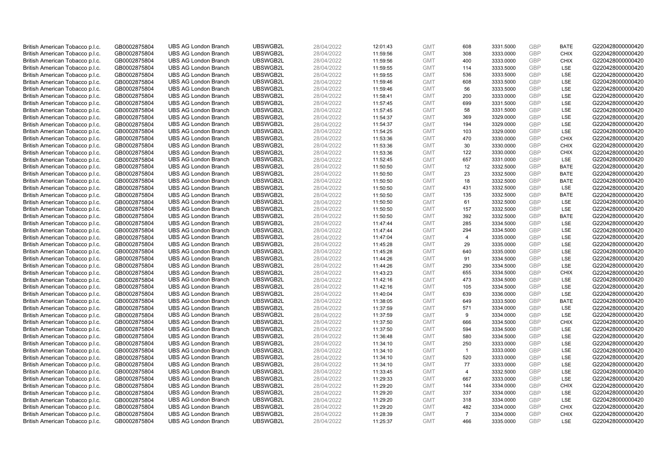| British American Tobacco p.l.c. | GB0002875804 | <b>UBS AG London Branch</b> | UBSWGB2L | 28/04/2022 | 12:01:43 | <b>GMT</b> | 608            | 3331.5000 | <b>GBP</b> | <b>BATE</b> | G220428000000420 |
|---------------------------------|--------------|-----------------------------|----------|------------|----------|------------|----------------|-----------|------------|-------------|------------------|
| British American Tobacco p.l.c. | GB0002875804 | <b>UBS AG London Branch</b> | UBSWGB2L | 28/04/2022 | 11:59:56 | <b>GMT</b> | 308            | 3333.0000 | GBP        | <b>CHIX</b> | G220428000000420 |
| British American Tobacco p.l.c. | GB0002875804 | <b>UBS AG London Branch</b> | UBSWGB2L | 28/04/2022 | 11:59:56 | <b>GMT</b> | 400            | 3333.0000 | <b>GBP</b> | <b>CHIX</b> | G220428000000420 |
| British American Tobacco p.l.c. | GB0002875804 | <b>UBS AG London Branch</b> | UBSWGB2L | 28/04/2022 | 11:59:55 | <b>GMT</b> | 114            | 3333.5000 | GBP        | LSE         | G220428000000420 |
| British American Tobacco p.l.c. | GB0002875804 | <b>UBS AG London Branch</b> | UBSWGB2L | 28/04/2022 | 11:59:55 | <b>GMT</b> | 536            | 3333.5000 | <b>GBP</b> | <b>LSE</b>  | G220428000000420 |
| British American Tobacco p.l.c. | GB0002875804 | <b>UBS AG London Branch</b> | UBSWGB2L | 28/04/2022 | 11:59:46 | <b>GMT</b> | 608            | 3333.5000 | GBP        | LSE         | G220428000000420 |
| British American Tobacco p.l.c. | GB0002875804 | <b>UBS AG London Branch</b> | UBSWGB2L | 28/04/2022 | 11:59:46 | <b>GMT</b> | 56             | 3333.5000 | <b>GBP</b> | LSE         | G220428000000420 |
| British American Tobacco p.l.c. | GB0002875804 | <b>UBS AG London Branch</b> | UBSWGB2L | 28/04/2022 | 11:58:41 | <b>GMT</b> | 200            | 3333.0000 | <b>GBP</b> | LSE         | G220428000000420 |
| British American Tobacco p.l.c. | GB0002875804 | <b>UBS AG London Branch</b> | UBSWGB2L | 28/04/2022 | 11:57:45 | <b>GMT</b> | 699            | 3331.5000 | <b>GBP</b> | LSE         | G220428000000420 |
| British American Tobacco p.l.c. | GB0002875804 | <b>UBS AG London Branch</b> | UBSWGB2L | 28/04/2022 | 11:57:45 | <b>GMT</b> | 58             | 3331.5000 | <b>GBP</b> | <b>LSE</b>  | G220428000000420 |
| British American Tobacco p.l.c. | GB0002875804 | <b>UBS AG London Branch</b> | UBSWGB2L | 28/04/2022 | 11:54:37 | <b>GMT</b> | 369            | 3329.0000 | GBP        | LSE         | G220428000000420 |
| British American Tobacco p.l.c. | GB0002875804 | <b>UBS AG London Branch</b> | UBSWGB2L | 28/04/2022 | 11:54:37 | <b>GMT</b> | 194            | 3329.0000 | <b>GBP</b> | <b>LSE</b>  | G220428000000420 |
| British American Tobacco p.l.c. | GB0002875804 | <b>UBS AG London Branch</b> | UBSWGB2L | 28/04/2022 | 11:54:25 | <b>GMT</b> | 103            | 3329.0000 | <b>GBP</b> | LSE         | G220428000000420 |
| British American Tobacco p.l.c. | GB0002875804 | <b>UBS AG London Branch</b> | UBSWGB2L | 28/04/2022 | 11:53:36 | <b>GMT</b> | 470            | 3330.0000 | <b>GBP</b> | <b>CHIX</b> | G220428000000420 |
| British American Tobacco p.l.c. | GB0002875804 | <b>UBS AG London Branch</b> | UBSWGB2L | 28/04/2022 | 11:53:36 | <b>GMT</b> | 30             | 3330.0000 | GBP        | <b>CHIX</b> | G220428000000420 |
| British American Tobacco p.l.c. | GB0002875804 | <b>UBS AG London Branch</b> | UBSWGB2L | 28/04/2022 | 11:53:36 | <b>GMT</b> | 122            | 3330.0000 | <b>GBP</b> | <b>CHIX</b> | G220428000000420 |
| British American Tobacco p.l.c. | GB0002875804 | <b>UBS AG London Branch</b> | UBSWGB2L | 28/04/2022 | 11:52:45 | <b>GMT</b> | 657            | 3331.0000 | GBP        | <b>LSE</b>  | G220428000000420 |
| British American Tobacco p.l.c. | GB0002875804 | <b>UBS AG London Branch</b> | UBSWGB2L | 28/04/2022 | 11:50:50 | <b>GMT</b> | 12             | 3332.5000 | <b>GBP</b> | <b>BATE</b> | G220428000000420 |
| British American Tobacco p.l.c. | GB0002875804 | <b>UBS AG London Branch</b> | UBSWGB2L | 28/04/2022 | 11:50:50 | <b>GMT</b> | 23             | 3332.5000 | <b>GBP</b> | <b>BATE</b> | G220428000000420 |
| British American Tobacco p.l.c. | GB0002875804 | <b>UBS AG London Branch</b> | UBSWGB2L | 28/04/2022 | 11:50:50 | <b>GMT</b> | 18             | 3332.5000 | <b>GBP</b> | <b>BATE</b> | G220428000000420 |
| British American Tobacco p.l.c. | GB0002875804 | <b>UBS AG London Branch</b> | UBSWGB2L | 28/04/2022 | 11:50:50 | <b>GMT</b> | 431            | 3332.5000 | GBP        | LSE         | G220428000000420 |
| British American Tobacco p.l.c. | GB0002875804 | <b>UBS AG London Branch</b> | UBSWGB2L | 28/04/2022 | 11:50:50 | <b>GMT</b> | 135            | 3332.5000 | <b>GBP</b> | <b>BATE</b> | G220428000000420 |
| British American Tobacco p.l.c. | GB0002875804 | <b>UBS AG London Branch</b> | UBSWGB2L | 28/04/2022 | 11:50:50 | <b>GMT</b> | 61             | 3332.5000 | <b>GBP</b> | <b>LSE</b>  | G220428000000420 |
| British American Tobacco p.l.c. | GB0002875804 | <b>UBS AG London Branch</b> | UBSWGB2L | 28/04/2022 | 11:50:50 | <b>GMT</b> | 157            | 3332.5000 | <b>GBP</b> | LSE         | G220428000000420 |
| British American Tobacco p.l.c. | GB0002875804 | <b>UBS AG London Branch</b> | UBSWGB2L | 28/04/2022 | 11:50:50 | <b>GMT</b> | 392            | 3332.5000 | <b>GBP</b> | <b>BATE</b> | G220428000000420 |
| British American Tobacco p.l.c. | GB0002875804 | <b>UBS AG London Branch</b> | UBSWGB2L | 28/04/2022 | 11:47:44 | <b>GMT</b> | 285            | 3334.5000 | <b>GBP</b> | LSE         | G220428000000420 |
| British American Tobacco p.l.c. | GB0002875804 | <b>UBS AG London Branch</b> | UBSWGB2L | 28/04/2022 | 11:47:44 | <b>GMT</b> | 294            | 3334.5000 | <b>GBP</b> | LSE         | G220428000000420 |
| British American Tobacco p.l.c. | GB0002875804 | <b>UBS AG London Branch</b> | UBSWGB2L | 28/04/2022 | 11:47:04 | <b>GMT</b> | $\overline{4}$ | 3335.0000 | GBP        | LSE         | G220428000000420 |
| British American Tobacco p.l.c. | GB0002875804 | <b>UBS AG London Branch</b> | UBSWGB2L | 28/04/2022 | 11:45:28 | <b>GMT</b> | 29             | 3335.0000 | <b>GBP</b> | <b>LSE</b>  | G220428000000420 |
| British American Tobacco p.l.c. | GB0002875804 | <b>UBS AG London Branch</b> | UBSWGB2L | 28/04/2022 | 11:45:28 | <b>GMT</b> | 640            | 3335.0000 | <b>GBP</b> | LSE         | G220428000000420 |
| British American Tobacco p.l.c. | GB0002875804 | <b>UBS AG London Branch</b> | UBSWGB2L | 28/04/2022 | 11:44:26 | <b>GMT</b> | 91             | 3334.5000 | GBP        | <b>LSE</b>  | G220428000000420 |
| British American Tobacco p.l.c. | GB0002875804 | <b>UBS AG London Branch</b> | UBSWGB2L | 28/04/2022 | 11:44:26 | <b>GMT</b> | 290            | 3334.5000 | GBP        | LSE         | G220428000000420 |
| British American Tobacco p.l.c. | GB0002875804 | <b>UBS AG London Branch</b> | UBSWGB2L | 28/04/2022 | 11:43:23 | <b>GMT</b> | 655            | 3334.5000 | <b>GBP</b> | <b>CHIX</b> | G220428000000420 |
| British American Tobacco p.l.c. | GB0002875804 | <b>UBS AG London Branch</b> | UBSWGB2L | 28/04/2022 | 11:42:16 | <b>GMT</b> | 473            | 3334.5000 | <b>GBP</b> | LSE         | G220428000000420 |
| British American Tobacco p.l.c. | GB0002875804 | <b>UBS AG London Branch</b> | UBSWGB2L | 28/04/2022 | 11:42:16 | <b>GMT</b> | 105            | 3334.5000 | <b>GBP</b> | <b>LSE</b>  | G220428000000420 |
| British American Tobacco p.l.c. | GB0002875804 | <b>UBS AG London Branch</b> | UBSWGB2L | 28/04/2022 | 11:40:04 | <b>GMT</b> | 639            | 3336.0000 | <b>GBP</b> | <b>LSE</b>  | G220428000000420 |
| British American Tobacco p.l.c. | GB0002875804 | <b>UBS AG London Branch</b> | UBSWGB2L | 28/04/2022 | 11:38:05 | <b>GMT</b> | 649            | 3333.5000 | <b>GBP</b> | <b>BATE</b> | G220428000000420 |
| British American Tobacco p.l.c. | GB0002875804 | <b>UBS AG London Branch</b> | UBSWGB2L | 28/04/2022 | 11:37:59 | <b>GMT</b> | 571            | 3334.0000 | <b>GBP</b> | LSE         | G220428000000420 |
| British American Tobacco p.l.c. | GB0002875804 | <b>UBS AG London Branch</b> | UBSWGB2L | 28/04/2022 | 11:37:59 | <b>GMT</b> | 9              | 3334.0000 | <b>GBP</b> | LSE         | G220428000000420 |
| British American Tobacco p.l.c. | GB0002875804 | <b>UBS AG London Branch</b> | UBSWGB2L | 28/04/2022 | 11:37:50 | <b>GMT</b> | 666            | 3334.5000 | <b>GBP</b> | <b>CHIX</b> | G220428000000420 |
| British American Tobacco p.l.c. | GB0002875804 | <b>UBS AG London Branch</b> | UBSWGB2L | 28/04/2022 | 11:37:50 | <b>GMT</b> | 594            | 3334.5000 | <b>GBP</b> | LSE         | G220428000000420 |
| British American Tobacco p.l.c. | GB0002875804 | <b>UBS AG London Branch</b> | UBSWGB2L | 28/04/2022 | 11:36:48 | <b>GMT</b> | 580            | 3334.5000 | <b>GBP</b> | <b>LSE</b>  | G220428000000420 |
| British American Tobacco p.l.c. | GB0002875804 | <b>UBS AG London Branch</b> | UBSWGB2L | 28/04/2022 | 11:34:10 | <b>GMT</b> | 250            | 3333.0000 | <b>GBP</b> | <b>LSE</b>  | G220428000000420 |
| British American Tobacco p.l.c. | GB0002875804 | <b>UBS AG London Branch</b> | UBSWGB2L | 28/04/2022 | 11:34:10 | <b>GMT</b> | $\overline{1}$ | 3333.0000 | GBP        | <b>LSE</b>  | G220428000000420 |
| British American Tobacco p.l.c. | GB0002875804 | <b>UBS AG London Branch</b> | UBSWGB2L | 28/04/2022 | 11:34:10 | <b>GMT</b> | 520            | 3333.0000 | <b>GBP</b> | LSE         | G220428000000420 |
| British American Tobacco p.l.c. | GB0002875804 | <b>UBS AG London Branch</b> | UBSWGB2L | 28/04/2022 | 11:34:10 | <b>GMT</b> | 77             | 3333.0000 | <b>GBP</b> | LSE         | G220428000000420 |
| British American Tobacco p.l.c. | GB0002875804 | <b>UBS AG London Branch</b> | UBSWGB2L | 28/04/2022 | 11:33:45 | <b>GMT</b> | $\overline{4}$ | 3332.5000 | <b>GBP</b> | LSE         | G220428000000420 |
| British American Tobacco p.l.c. | GB0002875804 | <b>UBS AG London Branch</b> | UBSWGB2L | 28/04/2022 | 11:29:33 | <b>GMT</b> | 667            | 3333.0000 | GBP        | <b>LSE</b>  | G220428000000420 |
| British American Tobacco p.l.c. | GB0002875804 | <b>UBS AG London Branch</b> | UBSWGB2L | 28/04/2022 | 11:29:20 | <b>GMT</b> | 144            | 3334.0000 | <b>GBP</b> | <b>CHIX</b> | G220428000000420 |
| British American Tobacco p.l.c. | GB0002875804 | <b>UBS AG London Branch</b> | UBSWGB2L | 28/04/2022 | 11:29:20 | <b>GMT</b> | 337            | 3334.0000 | <b>GBP</b> | LSE         | G220428000000420 |
| British American Tobacco p.l.c. | GB0002875804 | <b>UBS AG London Branch</b> | UBSWGB2L | 28/04/2022 | 11:29:20 | <b>GMT</b> | 318            | 3334.0000 | GBP        | LSE         | G220428000000420 |
| British American Tobacco p.l.c. | GB0002875804 | <b>UBS AG London Branch</b> | UBSWGB2L | 28/04/2022 | 11:29:20 | <b>GMT</b> | 482            | 3334.0000 | <b>GBP</b> | <b>CHIX</b> | G220428000000420 |
| British American Tobacco p.l.c. | GB0002875804 | <b>UBS AG London Branch</b> | UBSWGB2L | 28/04/2022 | 11:28:39 | <b>GMT</b> | $\overline{7}$ | 3334.0000 | <b>GBP</b> | <b>CHIX</b> | G220428000000420 |
| British American Tobacco p.l.c. | GB0002875804 | <b>UBS AG London Branch</b> | UBSWGB2L | 28/04/2022 | 11:25:37 | <b>GMT</b> | 466            | 3335.0000 | <b>GBP</b> | LSE         | G220428000000420 |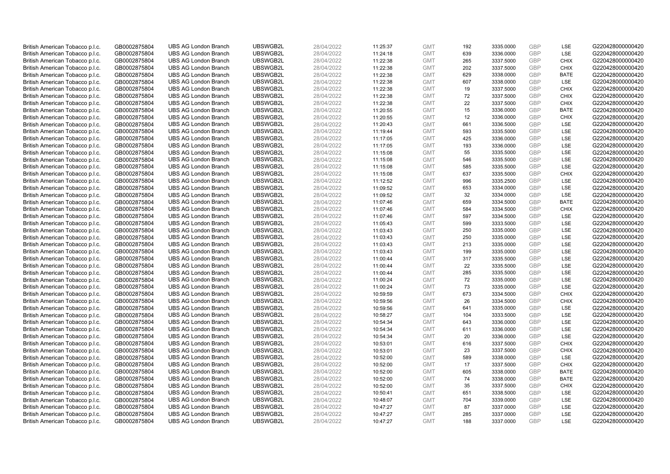| British American Tobacco p.l.c. | GB0002875804                 | <b>UBS AG London Branch</b> | UBSWGB2L             | 28/04/2022               | 11:25:37             | <b>GMT</b>               | 192        | 3335.0000              | <b>GBP</b> | LSE         | G220428000000420 |
|---------------------------------|------------------------------|-----------------------------|----------------------|--------------------------|----------------------|--------------------------|------------|------------------------|------------|-------------|------------------|
| British American Tobacco p.l.c. | GB0002875804                 | <b>UBS AG London Branch</b> | UBSWGB2L             | 28/04/2022               | 11:24:18             | <b>GMT</b>               | 639        | 3336.0000              | <b>GBP</b> | LSE         | G220428000000420 |
| British American Tobacco p.l.c. | GB0002875804                 | <b>UBS AG London Branch</b> | UBSWGB2L             | 28/04/2022               | 11:22:38             | <b>GMT</b>               | 265        | 3337.5000              | <b>GBP</b> | <b>CHIX</b> | G220428000000420 |
| British American Tobacco p.l.c. | GB0002875804                 | <b>UBS AG London Branch</b> | UBSWGB2L             | 28/04/2022               | 11:22:38             | <b>GMT</b>               | 202        | 3337.5000              | GBP        | <b>CHIX</b> | G220428000000420 |
| British American Tobacco p.l.c. | GB0002875804                 | <b>UBS AG London Branch</b> | UBSWGB2L             | 28/04/2022               | 11:22:38             | <b>GMT</b>               | 629        | 3338.0000              | <b>GBP</b> | <b>BATE</b> | G220428000000420 |
| British American Tobacco p.l.c. | GB0002875804                 | <b>UBS AG London Branch</b> | UBSWGB2L             | 28/04/2022               | 11:22:38             | <b>GMT</b>               | 607        | 3338.0000              | <b>GBP</b> | <b>LSE</b>  | G220428000000420 |
| British American Tobacco p.l.c. | GB0002875804                 | <b>UBS AG London Branch</b> | UBSWGB2L             | 28/04/2022               | 11:22:38             | <b>GMT</b>               | 19         | 3337.5000              | <b>GBP</b> | <b>CHIX</b> | G220428000000420 |
| British American Tobacco p.l.c. | GB0002875804                 | <b>UBS AG London Branch</b> | UBSWGB2L             | 28/04/2022               | 11:22:38             | <b>GMT</b>               | 72         | 3337.5000              | <b>GBP</b> | <b>CHIX</b> | G220428000000420 |
| British American Tobacco p.l.c. | GB0002875804                 | <b>UBS AG London Branch</b> | UBSWGB2L             | 28/04/2022               | 11:22:38             | <b>GMT</b>               | 22         | 3337.5000              | <b>GBP</b> | <b>CHIX</b> | G220428000000420 |
| British American Tobacco p.l.c. | GB0002875804                 | <b>UBS AG London Branch</b> | UBSWGB2L             | 28/04/2022               | 11:20:55             | <b>GMT</b>               | 15         | 3336.0000              | <b>GBP</b> | <b>BATE</b> | G220428000000420 |
| British American Tobacco p.l.c. | GB0002875804                 | <b>UBS AG London Branch</b> | UBSWGB2L             | 28/04/2022               | 11:20:55             | <b>GMT</b>               | 12         | 3336.0000              | <b>GBP</b> | <b>CHIX</b> | G220428000000420 |
| British American Tobacco p.l.c. | GB0002875804                 | <b>UBS AG London Branch</b> | UBSWGB2L             | 28/04/2022               | 11:20:43             | <b>GMT</b>               | 661        | 3336.5000              | <b>GBP</b> | LSE         | G220428000000420 |
| British American Tobacco p.l.c. | GB0002875804                 | <b>UBS AG London Branch</b> | UBSWGB2L             | 28/04/2022               | 11:19:44             | <b>GMT</b>               | 593        | 3335.5000              | <b>GBP</b> | LSE         | G220428000000420 |
| British American Tobacco p.l.c. | GB0002875804                 | <b>UBS AG London Branch</b> | UBSWGB2L             | 28/04/2022               | 11:17:05             | <b>GMT</b>               | 425        | 3336.0000              | <b>GBP</b> | LSE         | G220428000000420 |
| British American Tobacco p.l.c. | GB0002875804                 | <b>UBS AG London Branch</b> | UBSWGB2L             | 28/04/2022               | 11:17:05             | <b>GMT</b>               | 193        | 3336.0000              | <b>GBP</b> | <b>LSE</b>  | G220428000000420 |
| British American Tobacco p.l.c. | GB0002875804                 | <b>UBS AG London Branch</b> | UBSWGB2L             | 28/04/2022               | 11:15:08             | <b>GMT</b>               | 55         | 3335.5000              | <b>GBP</b> | LSE         | G220428000000420 |
| British American Tobacco p.l.c. | GB0002875804                 | <b>UBS AG London Branch</b> | UBSWGB2L             | 28/04/2022               | 11:15:08             | <b>GMT</b>               | 546        | 3335.5000              | <b>GBP</b> | LSE         | G220428000000420 |
| British American Tobacco p.l.c. | GB0002875804                 | <b>UBS AG London Branch</b> | UBSWGB2L             | 28/04/2022               | 11:15:08             | <b>GMT</b>               | 585        | 3335.5000              | <b>GBP</b> | LSE         | G220428000000420 |
| British American Tobacco p.l.c. | GB0002875804                 | <b>UBS AG London Branch</b> | UBSWGB2L             | 28/04/2022               | 11:15:08             | <b>GMT</b>               | 637        | 3335.5000              | <b>GBP</b> | <b>CHIX</b> | G220428000000420 |
| British American Tobacco p.l.c. | GB0002875804                 | <b>UBS AG London Branch</b> | UBSWGB2L             | 28/04/2022               | 11:12:52             | <b>GMT</b>               | 996        | 3335.2500              | GBP        | LSE         | G220428000000420 |
| British American Tobacco p.l.c. | GB0002875804                 | <b>UBS AG London Branch</b> | UBSWGB2L             | 28/04/2022               | 11:09:52             | <b>GMT</b>               | 653        | 3334.0000              | <b>GBP</b> | LSE         | G220428000000420 |
| British American Tobacco p.l.c. | GB0002875804                 | <b>UBS AG London Branch</b> | UBSWGB2L             | 28/04/2022               | 11:09:52             | <b>GMT</b>               | 32         | 3334.0000              | GBP        | LSE         | G220428000000420 |
| British American Tobacco p.l.c. | GB0002875804                 | <b>UBS AG London Branch</b> | UBSWGB2L             | 28/04/2022               | 11:07:46             | <b>GMT</b>               | 659        | 3334.5000              | <b>GBP</b> | <b>BATE</b> | G220428000000420 |
| British American Tobacco p.l.c. | GB0002875804                 | <b>UBS AG London Branch</b> | UBSWGB2L             | 28/04/2022               | 11:07:46             | <b>GMT</b>               | 584        | 3334.5000              | GBP        | <b>CHIX</b> | G220428000000420 |
| British American Tobacco p.l.c. | GB0002875804                 | <b>UBS AG London Branch</b> | UBSWGB2L             | 28/04/2022               | 11:07:46             | <b>GMT</b>               | 597        | 3334.5000              | <b>GBP</b> | LSE         | G220428000000420 |
| British American Tobacco p.l.c. | GB0002875804                 | <b>UBS AG London Branch</b> | UBSWGB2L             | 28/04/2022               | 11:05:43             | <b>GMT</b>               | 599        | 3333.5000              | <b>GBP</b> | LSE         | G220428000000420 |
| British American Tobacco p.l.c. | GB0002875804                 | <b>UBS AG London Branch</b> | UBSWGB2L             | 28/04/2022               | 11:03:43             | <b>GMT</b>               | 250        | 3335.0000              | GBP        | <b>LSE</b>  | G220428000000420 |
| British American Tobacco p.l.c. | GB0002875804                 | <b>UBS AG London Branch</b> | UBSWGB2L             | 28/04/2022               | 11:03:43             | <b>GMT</b>               | 250        | 3335.0000              | <b>GBP</b> | <b>LSE</b>  | G220428000000420 |
| British American Tobacco p.l.c. | GB0002875804                 | <b>UBS AG London Branch</b> | UBSWGB2L             | 28/04/2022               | 11:03:43             | <b>GMT</b>               | 213        | 3335.0000              | GBP        | LSE         | G220428000000420 |
| British American Tobacco p.l.c. | GB0002875804                 | <b>UBS AG London Branch</b> | UBSWGB2L             | 28/04/2022               | 11:03:43             | <b>GMT</b>               | 199        | 3335.0000              | <b>GBP</b> | LSE         | G220428000000420 |
| British American Tobacco p.l.c. | GB0002875804                 | <b>UBS AG London Branch</b> | UBSWGB2L             | 28/04/2022               | 11:00:44             | <b>GMT</b>               | 317        | 3335.5000              | GBP        | LSE         | G220428000000420 |
| British American Tobacco p.l.c. | GB0002875804                 | <b>UBS AG London Branch</b> | UBSWGB2L             | 28/04/2022               | 11:00:44             | <b>GMT</b>               | 22         | 3335.5000              | <b>GBP</b> | <b>LSE</b>  | G220428000000420 |
| British American Tobacco p.l.c. | GB0002875804                 | <b>UBS AG London Branch</b> | UBSWGB2L             | 28/04/2022               | 11:00:44             | <b>GMT</b>               | 285        | 3335.5000              | GBP        | LSE         | G220428000000420 |
| British American Tobacco p.l.c. | GB0002875804                 | <b>UBS AG London Branch</b> | UBSWGB2L             | 28/04/2022               | 11:00:24             | <b>GMT</b>               | 72         | 3335.0000              | GBP        | LSE         | G220428000000420 |
| British American Tobacco p.l.c. | GB0002875804                 | <b>UBS AG London Branch</b> | UBSWGB2L             | 28/04/2022               | 11:00:24             | <b>GMT</b>               | 73         | 3335.0000              | GBP        | LSE         | G220428000000420 |
| British American Tobacco p.l.c. | GB0002875804                 | <b>UBS AG London Branch</b> | UBSWGB2L             | 28/04/2022               | 10:59:59             | <b>GMT</b>               | 673        | 3334.5000              | <b>GBP</b> | <b>CHIX</b> | G220428000000420 |
| British American Tobacco p.l.c. | GB0002875804                 | <b>UBS AG London Branch</b> | UBSWGB2L             | 28/04/2022               | 10:59:56             | <b>GMT</b>               | 26         | 3334.5000              | GBP        | <b>CHIX</b> | G220428000000420 |
| British American Tobacco p.l.c. | GB0002875804                 | <b>UBS AG London Branch</b> | UBSWGB2L             | 28/04/2022               | 10:59:56             | <b>GMT</b>               | 641        | 3335.0000              | <b>GBP</b> | LSE         | G220428000000420 |
| British American Tobacco p.l.c. | GB0002875804                 | <b>UBS AG London Branch</b> | UBSWGB2L             | 28/04/2022               | 10:58:27             | <b>GMT</b>               | 104        | 3333.5000              | <b>GBP</b> | LSE         | G220428000000420 |
| British American Tobacco p.l.c. | GB0002875804                 | <b>UBS AG London Branch</b> | UBSWGB2L             | 28/04/2022               | 10:54:34             | <b>GMT</b>               | 643        | 3336.0000              | GBP        | <b>LSE</b>  | G220428000000420 |
| British American Tobacco p.l.c. | GB0002875804                 | <b>UBS AG London Branch</b> | UBSWGB2L             | 28/04/2022               | 10:54:34             | <b>GMT</b>               | 611        | 3336.0000              | <b>GBP</b> | <b>LSE</b>  | G220428000000420 |
| British American Tobacco p.l.c. | GB0002875804                 | <b>UBS AG London Branch</b> | UBSWGB2L             | 28/04/2022               | 10:54:34             | <b>GMT</b>               | 20         | 3336.0000              | GBP        | LSE         | G220428000000420 |
| British American Tobacco p.l.c. | GB0002875804                 | <b>UBS AG London Branch</b> | UBSWGB2L             | 28/04/2022               | 10:53:01             | <b>GMT</b>               | 616        | 3337.5000              | <b>GBP</b> | <b>CHIX</b> | G220428000000420 |
| British American Tobacco p.l.c. | GB0002875804                 | <b>UBS AG London Branch</b> | UBSWGB2L             | 28/04/2022               | 10:53:01             | <b>GMT</b>               | 23         | 3337.5000              | GBP        | <b>CHIX</b> | G220428000000420 |
| British American Tobacco p.l.c. | GB0002875804                 | <b>UBS AG London Branch</b> | UBSWGB2L             | 28/04/2022               | 10:52:00             | <b>GMT</b>               | 589        | 3338.0000              | GBP        | <b>LSE</b>  | G220428000000420 |
| British American Tobacco p.l.c. | GB0002875804                 | <b>UBS AG London Branch</b> | UBSWGB2L             | 28/04/2022               | 10:52:00             | <b>GMT</b>               | 17         | 3337.5000              | <b>GBP</b> | <b>CHIX</b> | G220428000000420 |
| British American Tobacco p.l.c. | GB0002875804                 | <b>UBS AG London Branch</b> | UBSWGB2L             | 28/04/2022               | 10:52:00             | <b>GMT</b>               | 605        | 3338.0000              | GBP        | <b>BATE</b> | G220428000000420 |
| British American Tobacco p.l.c. | GB0002875804                 | <b>UBS AG London Branch</b> | UBSWGB2L             | 28/04/2022               | 10:52:00             | <b>GMT</b>               | 74         | 3338.0000              | GBP        | <b>BATE</b> | G220428000000420 |
| British American Tobacco p.l.c. | GB0002875804                 | <b>UBS AG London Branch</b> | UBSWGB2L             | 28/04/2022               | 10:52:00             | <b>GMT</b>               | 35         | 3337.5000              | GBP        | <b>CHIX</b> | G220428000000420 |
| British American Tobacco p.l.c. | GB0002875804                 | <b>UBS AG London Branch</b> | UBSWGB2L             | 28/04/2022               | 10:50:41             | <b>GMT</b>               | 651        | 3338.5000              | GBP        | <b>LSE</b>  | G220428000000420 |
| British American Tobacco p.l.c. |                              | <b>UBS AG London Branch</b> | UBSWGB2L             | 28/04/2022               |                      | <b>GMT</b>               | 704        | 3339.0000              | GBP        | LSE         | G220428000000420 |
| British American Tobacco p.l.c. | GB0002875804                 | <b>UBS AG London Branch</b> | UBSWGB2L             | 28/04/2022               | 10:48:07<br>10:47:27 | <b>GMT</b>               | 87         | 3337.0000              | <b>GBP</b> | LSE         | G220428000000420 |
|                                 | GB0002875804                 |                             |                      |                          |                      |                          |            |                        | GBP        | LSE         | G220428000000420 |
| British American Tobacco p.l.c. | GB0002875804<br>GB0002875804 | <b>UBS AG London Branch</b> | UBSWGB2L<br>UBSWGB2L | 28/04/2022<br>28/04/2022 | 10:47:27             | <b>GMT</b><br><b>GMT</b> | 285<br>188 | 3337.0000<br>3337.0000 | GBP        | <b>LSE</b>  |                  |
| British American Tobacco p.l.c. |                              | <b>UBS AG London Branch</b> |                      |                          | 10:47:27             |                          |            |                        |            |             | G220428000000420 |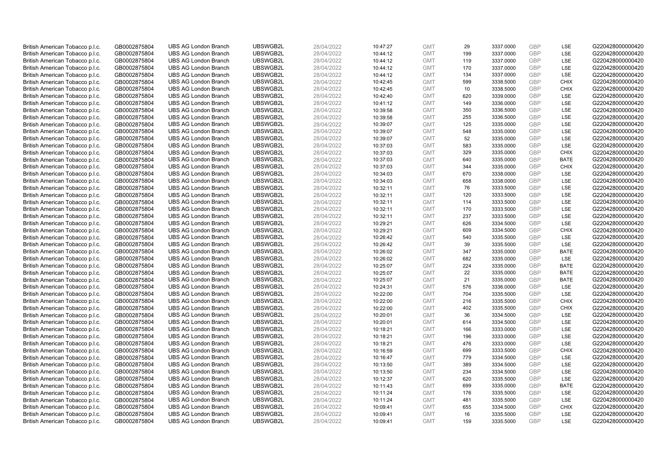| British American Tobacco p.l.c. | GB0002875804 | <b>UBS AG London Branch</b> | UBSWGB2L | 28/04/2022 | 10:47:27 | <b>GMT</b> | 29  | 3337.0000 | <b>GBP</b> | LSE         | G220428000000420 |
|---------------------------------|--------------|-----------------------------|----------|------------|----------|------------|-----|-----------|------------|-------------|------------------|
| British American Tobacco p.l.c. | GB0002875804 | <b>UBS AG London Branch</b> | UBSWGB2L | 28/04/2022 | 10:44:12 | <b>GMT</b> | 199 | 3337.0000 | GBP        | LSE         | G220428000000420 |
| British American Tobacco p.l.c. | GB0002875804 | <b>UBS AG London Branch</b> | UBSWGB2L | 28/04/2022 | 10:44:12 | <b>GMT</b> | 119 | 3337.0000 | GBP        | LSE         | G220428000000420 |
| British American Tobacco p.l.c. | GB0002875804 | <b>UBS AG London Branch</b> | UBSWGB2L | 28/04/2022 | 10:44:12 | <b>GMT</b> | 170 | 3337.0000 | GBP        | LSE         | G220428000000420 |
| British American Tobacco p.l.c. | GB0002875804 | <b>UBS AG London Branch</b> | UBSWGB2L | 28/04/2022 | 10:44:12 | <b>GMT</b> | 134 | 3337.0000 | <b>GBP</b> | LSE         | G220428000000420 |
| British American Tobacco p.l.c. | GB0002875804 | <b>UBS AG London Branch</b> | UBSWGB2L | 28/04/2022 | 10:42:45 | <b>GMT</b> | 599 | 3338.5000 | <b>GBP</b> | <b>CHIX</b> | G220428000000420 |
| British American Tobacco p.l.c. | GB0002875804 | <b>UBS AG London Branch</b> | UBSWGB2L | 28/04/2022 | 10:42:45 | <b>GMT</b> | 10  | 3338.5000 | GBP        | <b>CHIX</b> | G220428000000420 |
| British American Tobacco p.l.c. | GB0002875804 | <b>UBS AG London Branch</b> | UBSWGB2L | 28/04/2022 | 10:42:40 | <b>GMT</b> | 620 | 3339.0000 | <b>GBP</b> | <b>LSE</b>  | G220428000000420 |
| British American Tobacco p.l.c. | GB0002875804 | <b>UBS AG London Branch</b> | UBSWGB2L | 28/04/2022 | 10:41:12 | <b>GMT</b> | 149 | 3336.0000 | <b>GBP</b> | LSE         | G220428000000420 |
| British American Tobacco p.l.c. | GB0002875804 | <b>UBS AG London Branch</b> | UBSWGB2L | 28/04/2022 | 10:39:58 | <b>GMT</b> | 350 | 3336.5000 | <b>GBP</b> | <b>LSE</b>  | G220428000000420 |
| British American Tobacco p.l.c. | GB0002875804 | <b>UBS AG London Branch</b> | UBSWGB2L | 28/04/2022 | 10:39:58 | <b>GMT</b> | 255 | 3336.5000 | GBP        | LSE         | G220428000000420 |
| British American Tobacco p.l.c. | GB0002875804 | <b>UBS AG London Branch</b> | UBSWGB2L | 28/04/2022 | 10:39:07 | <b>GMT</b> | 125 | 3335.0000 | <b>GBP</b> | LSE         | G220428000000420 |
| British American Tobacco p.l.c. | GB0002875804 | <b>UBS AG London Branch</b> | UBSWGB2L | 28/04/2022 | 10:39:07 | <b>GMT</b> | 548 | 3335.0000 | <b>GBP</b> | LSE         | G220428000000420 |
| British American Tobacco p.l.c. | GB0002875804 | <b>UBS AG London Branch</b> | UBSWGB2L | 28/04/2022 | 10:39:07 | <b>GMT</b> | 52  | 3335.0000 | <b>GBP</b> | LSE         | G220428000000420 |
| British American Tobacco p.l.c. | GB0002875804 | <b>UBS AG London Branch</b> | UBSWGB2L | 28/04/2022 | 10:37:03 | <b>GMT</b> | 583 | 3335.0000 | <b>GBP</b> | <b>LSE</b>  | G220428000000420 |
| British American Tobacco p.l.c. | GB0002875804 | <b>UBS AG London Branch</b> | UBSWGB2L | 28/04/2022 | 10:37:03 | <b>GMT</b> | 329 | 3335.0000 | GBP        | <b>CHIX</b> | G220428000000420 |
| British American Tobacco p.l.c. | GB0002875804 | <b>UBS AG London Branch</b> | UBSWGB2L | 28/04/2022 | 10:37:03 | <b>GMT</b> | 640 | 3335.0000 | GBP        | <b>BATE</b> | G220428000000420 |
| British American Tobacco p.l.c. | GB0002875804 | <b>UBS AG London Branch</b> | UBSWGB2L | 28/04/2022 | 10:37:03 | <b>GMT</b> | 344 | 3335.0000 | <b>GBP</b> | <b>CHIX</b> | G220428000000420 |
| British American Tobacco p.l.c. | GB0002875804 | <b>UBS AG London Branch</b> | UBSWGB2L | 28/04/2022 | 10:34:03 | <b>GMT</b> | 670 | 3338.0000 | <b>GBP</b> | <b>LSE</b>  | G220428000000420 |
| British American Tobacco p.l.c. | GB0002875804 | <b>UBS AG London Branch</b> | UBSWGB2L | 28/04/2022 | 10:34:03 | <b>GMT</b> | 658 | 3338.0000 | <b>GBP</b> | LSE         | G220428000000420 |
| British American Tobacco p.l.c. | GB0002875804 | <b>UBS AG London Branch</b> | UBSWGB2L | 28/04/2022 | 10:32:11 | <b>GMT</b> | 76  | 3333.5000 | <b>GBP</b> | <b>LSE</b>  | G220428000000420 |
| British American Tobacco p.l.c. | GB0002875804 | <b>UBS AG London Branch</b> | UBSWGB2L | 28/04/2022 | 10:32:11 | <b>GMT</b> | 120 | 3333.5000 | <b>GBP</b> | LSE         | G220428000000420 |
| British American Tobacco p.l.c. | GB0002875804 | <b>UBS AG London Branch</b> | UBSWGB2L | 28/04/2022 | 10:32:11 | <b>GMT</b> | 114 | 3333.5000 | <b>GBP</b> | LSE         | G220428000000420 |
| British American Tobacco p.l.c. | GB0002875804 | <b>UBS AG London Branch</b> | UBSWGB2L | 28/04/2022 | 10:32:11 | <b>GMT</b> | 170 | 3333.5000 | GBP        | LSE         | G220428000000420 |
| British American Tobacco p.l.c. | GB0002875804 | <b>UBS AG London Branch</b> | UBSWGB2L | 28/04/2022 | 10:32:11 | <b>GMT</b> | 237 | 3333.5000 | <b>GBP</b> | LSE         | G220428000000420 |
| British American Tobacco p.l.c. | GB0002875804 | <b>UBS AG London Branch</b> | UBSWGB2L | 28/04/2022 | 10:29:21 | <b>GMT</b> | 626 | 3334.5000 | <b>GBP</b> | LSE         | G220428000000420 |
| British American Tobacco p.l.c. | GB0002875804 | <b>UBS AG London Branch</b> | UBSWGB2L | 28/04/2022 | 10:29:21 | <b>GMT</b> | 609 | 3334.5000 | <b>GBP</b> | <b>CHIX</b> | G220428000000420 |
| British American Tobacco p.l.c. | GB0002875804 | <b>UBS AG London Branch</b> | UBSWGB2L | 28/04/2022 | 10:26:42 | <b>GMT</b> | 540 | 3335.5000 | <b>GBP</b> | <b>LSE</b>  | G220428000000420 |
| British American Tobacco p.l.c. | GB0002875804 | <b>UBS AG London Branch</b> | UBSWGB2L | 28/04/2022 | 10:26:42 | <b>GMT</b> | 39  | 3335.5000 | GBP        | LSE         | G220428000000420 |
| British American Tobacco p.l.c. | GB0002875804 | <b>UBS AG London Branch</b> | UBSWGB2L | 28/04/2022 | 10:26:02 | <b>GMT</b> | 347 | 3335.0000 | GBP        | <b>BATE</b> | G220428000000420 |
| British American Tobacco p.l.c. | GB0002875804 | <b>UBS AG London Branch</b> | UBSWGB2L | 28/04/2022 | 10:26:02 | <b>GMT</b> | 682 | 3335.0000 | GBP        | <b>LSE</b>  | G220428000000420 |
| British American Tobacco p.l.c. | GB0002875804 | <b>UBS AG London Branch</b> | UBSWGB2L | 28/04/2022 | 10:25:07 | <b>GMT</b> | 224 | 3335.0000 | GBP        | <b>BATE</b> | G220428000000420 |
| British American Tobacco p.l.c. | GB0002875804 | <b>UBS AG London Branch</b> | UBSWGB2L | 28/04/2022 | 10:25:07 | <b>GMT</b> | 22  | 3335.0000 | GBP        | <b>BATE</b> | G220428000000420 |
| British American Tobacco p.l.c. | GB0002875804 | <b>UBS AG London Branch</b> | UBSWGB2L | 28/04/2022 | 10:25:07 | <b>GMT</b> | 21  | 3335.0000 | GBP        | <b>BATE</b> | G220428000000420 |
| British American Tobacco p.l.c. | GB0002875804 | <b>UBS AG London Branch</b> | UBSWGB2L | 28/04/2022 | 10:24:31 | <b>GMT</b> | 576 | 3336.0000 | <b>GBP</b> | LSE         | G220428000000420 |
| British American Tobacco p.l.c. | GB0002875804 | <b>UBS AG London Branch</b> | UBSWGB2L | 28/04/2022 | 10:22:00 | <b>GMT</b> | 704 | 3335.5000 | <b>GBP</b> | LSE         | G220428000000420 |
| British American Tobacco p.l.c. | GB0002875804 | <b>UBS AG London Branch</b> | UBSWGB2L | 28/04/2022 | 10:22:00 | <b>GMT</b> | 216 | 3335.5000 | GBP        | <b>CHIX</b> | G220428000000420 |
| British American Tobacco p.l.c. | GB0002875804 | <b>UBS AG London Branch</b> | UBSWGB2L | 28/04/2022 | 10:22:00 | <b>GMT</b> | 402 | 3335.5000 | <b>GBP</b> | <b>CHIX</b> | G220428000000420 |
| British American Tobacco p.l.c. | GB0002875804 | <b>UBS AG London Branch</b> | UBSWGB2L | 28/04/2022 | 10:20:01 | <b>GMT</b> | 36  | 3334.5000 | <b>GBP</b> | LSE         | G220428000000420 |
| British American Tobacco p.l.c. | GB0002875804 | <b>UBS AG London Branch</b> | UBSWGB2L | 28/04/2022 | 10:20:01 | <b>GMT</b> | 614 | 3334.5000 | GBP        | <b>LSE</b>  | G220428000000420 |
| British American Tobacco p.l.c. | GB0002875804 | <b>UBS AG London Branch</b> | UBSWGB2L | 28/04/2022 | 10:18:21 | <b>GMT</b> | 166 | 3333.0000 | <b>GBP</b> | <b>LSE</b>  | G220428000000420 |
| British American Tobacco p.l.c. | GB0002875804 | <b>UBS AG London Branch</b> | UBSWGB2L | 28/04/2022 | 10:18:21 | <b>GMT</b> | 196 | 3333.0000 | GBP        | LSE         | G220428000000420 |
| British American Tobacco p.l.c. | GB0002875804 | <b>UBS AG London Branch</b> | UBSWGB2L | 28/04/2022 | 10:18:21 | <b>GMT</b> | 476 | 3333.0000 | <b>GBP</b> | LSE         | G220428000000420 |
| British American Tobacco p.l.c. | GB0002875804 | <b>UBS AG London Branch</b> | UBSWGB2L | 28/04/2022 | 10:16:59 | <b>GMT</b> | 699 | 3333.5000 | GBP        | <b>CHIX</b> | G220428000000420 |
| British American Tobacco p.l.c. | GB0002875804 | <b>UBS AG London Branch</b> | UBSWGB2L | 28/04/2022 | 10:16:47 | <b>GMT</b> | 779 | 3334.5000 | GBP        | <b>LSE</b>  | G220428000000420 |
| British American Tobacco p.l.c. | GB0002875804 | <b>UBS AG London Branch</b> | UBSWGB2L | 28/04/2022 | 10:13:50 | <b>GMT</b> | 389 | 3334.5000 | <b>GBP</b> | LSE         | G220428000000420 |
| British American Tobacco p.l.c. | GB0002875804 | <b>UBS AG London Branch</b> | UBSWGB2L | 28/04/2022 | 10:13:50 | <b>GMT</b> | 234 | 3334.5000 | <b>GBP</b> | LSE         | G220428000000420 |
| British American Tobacco p.l.c. | GB0002875804 | <b>UBS AG London Branch</b> | UBSWGB2L | 28/04/2022 | 10:12:37 | <b>GMT</b> | 620 | 3335.5000 | <b>GBP</b> | LSE         | G220428000000420 |
| British American Tobacco p.l.c. | GB0002875804 | <b>UBS AG London Branch</b> | UBSWGB2L | 28/04/2022 | 10:11:43 | <b>GMT</b> | 699 | 3335.0000 | GBP        | <b>BATE</b> | G220428000000420 |
| British American Tobacco p.l.c. | GB0002875804 | <b>UBS AG London Branch</b> | UBSWGB2L | 28/04/2022 | 10:11:24 | <b>GMT</b> | 176 | 3335.5000 | GBP        | <b>LSE</b>  | G220428000000420 |
| British American Tobacco p.l.c. | GB0002875804 | <b>UBS AG London Branch</b> | UBSWGB2L | 28/04/2022 | 10:11:24 | <b>GMT</b> | 481 | 3335.5000 | GBP        | LSE         | G220428000000420 |
| British American Tobacco p.l.c. | GB0002875804 | <b>UBS AG London Branch</b> | UBSWGB2L | 28/04/2022 | 10:09:41 | <b>GMT</b> | 655 | 3334.5000 | <b>GBP</b> | <b>CHIX</b> | G220428000000420 |
| British American Tobacco p.l.c. | GB0002875804 | <b>UBS AG London Branch</b> | UBSWGB2L | 28/04/2022 | 10:09:41 | <b>GMT</b> | 16  | 3335.5000 | GBP        | LSE         | G220428000000420 |
| British American Tobacco p.l.c. | GB0002875804 | <b>UBS AG London Branch</b> | UBSWGB2L | 28/04/2022 | 10:09:41 | <b>GMT</b> | 159 | 3335.5000 | GBP        | <b>LSE</b>  | G220428000000420 |
|                                 |              |                             |          |            |          |            |     |           |            |             |                  |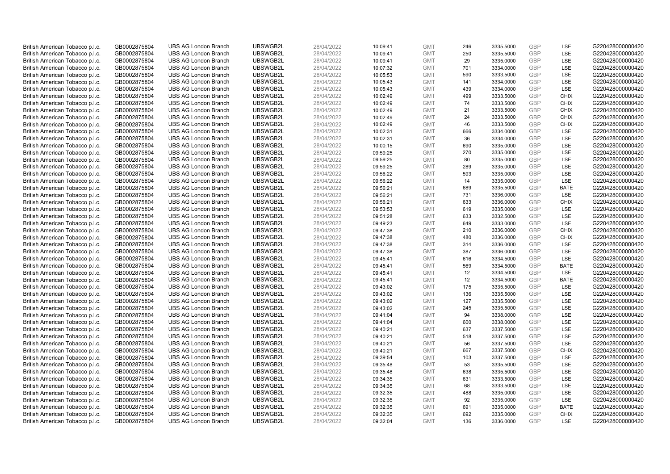| British American Tobacco p.l.c. | GB0002875804                 | <b>UBS AG London Branch</b> | UBSWGB2L | 28/04/2022 | 10:09:41             | <b>GMT</b> | 246 | 3335.5000 | <b>GBP</b> | LSE         | G220428000000420 |
|---------------------------------|------------------------------|-----------------------------|----------|------------|----------------------|------------|-----|-----------|------------|-------------|------------------|
| British American Tobacco p.l.c. | GB0002875804                 | <b>UBS AG London Branch</b> | UBSWGB2L | 28/04/2022 | 10:09:41             | <b>GMT</b> | 250 | 3335.5000 | GBP        | LSE         | G220428000000420 |
| British American Tobacco p.l.c. | GB0002875804                 | <b>UBS AG London Branch</b> | UBSWGB2L | 28/04/2022 | 10:09:41             | <b>GMT</b> | 29  | 3335.0000 | GBP        | LSE         | G220428000000420 |
| British American Tobacco p.l.c. | GB0002875804                 | <b>UBS AG London Branch</b> | UBSWGB2L | 28/04/2022 | 10:07:32             | <b>GMT</b> | 701 | 3334.0000 | GBP        | LSE         | G220428000000420 |
| British American Tobacco p.l.c. | GB0002875804                 | <b>UBS AG London Branch</b> | UBSWGB2L | 28/04/2022 | 10:05:53             | <b>GMT</b> | 590 | 3333.5000 | <b>GBP</b> | LSE         | G220428000000420 |
| British American Tobacco p.l.c. | GB0002875804                 | <b>UBS AG London Branch</b> | UBSWGB2L | 28/04/2022 | 10:05:43             | <b>GMT</b> | 141 | 3334.0000 | <b>GBP</b> | LSE         | G220428000000420 |
| British American Tobacco p.l.c. | GB0002875804                 | <b>UBS AG London Branch</b> | UBSWGB2L | 28/04/2022 | 10:05:43             | <b>GMT</b> | 439 | 3334.0000 | GBP        | LSE         | G220428000000420 |
| British American Tobacco p.l.c. | GB0002875804                 | <b>UBS AG London Branch</b> | UBSWGB2L | 28/04/2022 | 10:02:49             | <b>GMT</b> | 499 | 3333.5000 | <b>GBP</b> | <b>CHIX</b> | G220428000000420 |
| British American Tobacco p.l.c. | GB0002875804                 | <b>UBS AG London Branch</b> | UBSWGB2L | 28/04/2022 | 10:02:49             | <b>GMT</b> | 74  | 3333.5000 | GBP        | <b>CHIX</b> | G220428000000420 |
| British American Tobacco p.l.c. | GB0002875804                 | <b>UBS AG London Branch</b> | UBSWGB2L | 28/04/2022 | 10:02:49             | <b>GMT</b> | 21  | 3333.5000 | <b>GBP</b> | <b>CHIX</b> | G220428000000420 |
| British American Tobacco p.l.c. | GB0002875804                 | <b>UBS AG London Branch</b> | UBSWGB2L | 28/04/2022 | 10:02:49             | <b>GMT</b> | 24  | 3333.5000 | GBP        | <b>CHIX</b> | G220428000000420 |
| British American Tobacco p.l.c. | GB0002875804                 | <b>UBS AG London Branch</b> | UBSWGB2L | 28/04/2022 | 10:02:49             | <b>GMT</b> | 46  | 3333.5000 | <b>GBP</b> | <b>CHIX</b> | G220428000000420 |
| British American Tobacco p.l.c. | GB0002875804                 | <b>UBS AG London Branch</b> | UBSWGB2L | 28/04/2022 | 10:02:31             | <b>GMT</b> | 666 | 3334.0000 | <b>GBP</b> | LSE         | G220428000000420 |
| British American Tobacco p.l.c. | GB0002875804                 | <b>UBS AG London Branch</b> | UBSWGB2L | 28/04/2022 | 10:02:31             | <b>GMT</b> | 36  | 3334.0000 | <b>GBP</b> | <b>LSE</b>  | G220428000000420 |
| British American Tobacco p.l.c. | GB0002875804                 | <b>UBS AG London Branch</b> | UBSWGB2L | 28/04/2022 | 10:00:15             | <b>GMT</b> | 690 | 3335.0000 | <b>GBP</b> | <b>LSE</b>  | G220428000000420 |
| British American Tobacco p.l.c. | GB0002875804                 | <b>UBS AG London Branch</b> | UBSWGB2L | 28/04/2022 | 09:59:25             | <b>GMT</b> | 270 | 3335.0000 | GBP        | LSE         | G220428000000420 |
| British American Tobacco p.l.c. | GB0002875804                 | <b>UBS AG London Branch</b> | UBSWGB2L | 28/04/2022 | 09:59:25             | <b>GMT</b> | 80  | 3335.0000 | <b>GBP</b> | LSE         | G220428000000420 |
| British American Tobacco p.l.c. | GB0002875804                 | <b>UBS AG London Branch</b> | UBSWGB2L | 28/04/2022 | 09:59:25             | <b>GMT</b> | 289 | 3335.0000 | <b>GBP</b> | LSE         | G220428000000420 |
| British American Tobacco p.l.c. | GB0002875804                 | <b>UBS AG London Branch</b> | UBSWGB2L | 28/04/2022 | 09:56:22             | <b>GMT</b> | 593 | 3335.0000 | GBP        | <b>LSE</b>  | G220428000000420 |
| British American Tobacco p.l.c. | GB0002875804                 | <b>UBS AG London Branch</b> | UBSWGB2L | 28/04/2022 | 09:56:22             | <b>GMT</b> | 14  | 3335.0000 | GBP        | LSE         | G220428000000420 |
| British American Tobacco p.l.c. | GB0002875804                 | <b>UBS AG London Branch</b> | UBSWGB2L | 28/04/2022 | 09:56:21             | <b>GMT</b> | 689 | 3335.5000 | <b>GBP</b> | <b>BATE</b> | G220428000000420 |
| British American Tobacco p.l.c. | GB0002875804                 | <b>UBS AG London Branch</b> | UBSWGB2L | 28/04/2022 | 09:56:21             | <b>GMT</b> | 731 | 3336.0000 | GBP        | LSE         | G220428000000420 |
| British American Tobacco p.l.c. | GB0002875804                 | <b>UBS AG London Branch</b> | UBSWGB2L | 28/04/2022 | 09:56:21             | <b>GMT</b> | 633 | 3336.0000 | <b>GBP</b> | <b>CHIX</b> | G220428000000420 |
| British American Tobacco p.l.c. | GB0002875804                 | <b>UBS AG London Branch</b> | UBSWGB2L | 28/04/2022 | 09:53:53             | <b>GMT</b> | 619 | 3335.0000 | GBP        | <b>LSE</b>  | G220428000000420 |
| British American Tobacco p.l.c. | GB0002875804                 | <b>UBS AG London Branch</b> | UBSWGB2L | 28/04/2022 | 09:51:28             | <b>GMT</b> | 633 | 3332.5000 | <b>GBP</b> | LSE         | G220428000000420 |
| British American Tobacco p.l.c. | GB0002875804                 | <b>UBS AG London Branch</b> | UBSWGB2L | 28/04/2022 | 09:49:23             | <b>GMT</b> | 649 | 3333.0000 | GBP        | LSE         | G220428000000420 |
| British American Tobacco p.l.c. | GB0002875804                 | <b>UBS AG London Branch</b> | UBSWGB2L | 28/04/2022 | 09:47:38             | <b>GMT</b> | 210 | 3336.0000 | <b>GBP</b> | <b>CHIX</b> | G220428000000420 |
| British American Tobacco p.l.c. | GB0002875804                 | <b>UBS AG London Branch</b> | UBSWGB2L | 28/04/2022 | 09:47:38             | <b>GMT</b> | 480 | 3336.0000 | <b>GBP</b> | <b>CHIX</b> | G220428000000420 |
| British American Tobacco p.l.c. | GB0002875804                 | <b>UBS AG London Branch</b> | UBSWGB2L | 28/04/2022 | 09:47:38             | <b>GMT</b> | 314 | 3336.0000 | GBP        | <b>LSE</b>  | G220428000000420 |
| British American Tobacco p.l.c. | GB0002875804                 | <b>UBS AG London Branch</b> | UBSWGB2L | 28/04/2022 | 09:47:38             | <b>GMT</b> | 387 | 3336.0000 | <b>GBP</b> | LSE         | G220428000000420 |
| British American Tobacco p.l.c. | GB0002875804                 | <b>UBS AG London Branch</b> | UBSWGB2L | 28/04/2022 | 09:45:41             | <b>GMT</b> | 616 | 3334.5000 | GBP        | LSE         | G220428000000420 |
| British American Tobacco p.l.c. | GB0002875804                 | <b>UBS AG London Branch</b> | UBSWGB2L | 28/04/2022 | 09:45:41             | <b>GMT</b> | 569 | 3334.5000 | GBP        | <b>BATE</b> | G220428000000420 |
| British American Tobacco p.l.c. | GB0002875804                 | <b>UBS AG London Branch</b> | UBSWGB2L | 28/04/2022 | 09:45:41             | <b>GMT</b> | 12  | 3334.5000 | GBP        | LSE         | G220428000000420 |
| British American Tobacco p.l.c. | GB0002875804                 | <b>UBS AG London Branch</b> | UBSWGB2L | 28/04/2022 | 09:45:41             | <b>GMT</b> | 12  | 3334.5000 | GBP        | <b>BATE</b> | G220428000000420 |
| British American Tobacco p.l.c. | GB0002875804                 | <b>UBS AG London Branch</b> | UBSWGB2L | 28/04/2022 | 09:43:02             | <b>GMT</b> | 175 | 3335.5000 | <b>GBP</b> | LSE         | G220428000000420 |
| British American Tobacco p.l.c. | GB0002875804                 | <b>UBS AG London Branch</b> | UBSWGB2L | 28/04/2022 | 09:43:02             | <b>GMT</b> | 136 | 3335.5000 | <b>GBP</b> | LSE         | G220428000000420 |
| British American Tobacco p.l.c. | GB0002875804                 | <b>UBS AG London Branch</b> | UBSWGB2L | 28/04/2022 | 09:43:02             | <b>GMT</b> | 127 | 3335.5000 | GBP        | LSE         | G220428000000420 |
| British American Tobacco p.l.c. | GB0002875804                 | <b>UBS AG London Branch</b> | UBSWGB2L | 28/04/2022 | 09:43:02             | <b>GMT</b> | 245 | 3335.5000 | <b>GBP</b> | LSE         | G220428000000420 |
| British American Tobacco p.l.c. | GB0002875804                 | <b>UBS AG London Branch</b> | UBSWGB2L | 28/04/2022 | 09:41:04             | <b>GMT</b> | 94  | 3338.0000 | GBP        | LSE         | G220428000000420 |
| British American Tobacco p.l.c. | GB0002875804                 | <b>UBS AG London Branch</b> | UBSWGB2L | 28/04/2022 | 09:41:04             | <b>GMT</b> | 600 | 3338.0000 | GBP        | <b>LSE</b>  | G220428000000420 |
| British American Tobacco p.l.c. | GB0002875804                 | <b>UBS AG London Branch</b> | UBSWGB2L | 28/04/2022 | 09:40:21             | <b>GMT</b> | 637 | 3337.5000 | <b>GBP</b> | <b>LSE</b>  | G220428000000420 |
| British American Tobacco p.l.c. | GB0002875804                 | <b>UBS AG London Branch</b> | UBSWGB2L | 28/04/2022 | 09:40:21             | <b>GMT</b> | 518 | 3337.5000 | <b>GBP</b> | LSE         | G220428000000420 |
| British American Tobacco p.l.c. | GB0002875804                 | <b>UBS AG London Branch</b> | UBSWGB2L | 28/04/2022 | 09:40:21             | <b>GMT</b> | 56  | 3337.5000 | <b>GBP</b> | LSE         | G220428000000420 |
| British American Tobacco p.l.c. | GB0002875804                 | <b>UBS AG London Branch</b> | UBSWGB2L | 28/04/2022 | 09:40:21             | <b>GMT</b> | 667 | 3337.5000 | GBP        | <b>CHIX</b> | G220428000000420 |
| British American Tobacco p.l.c. | GB0002875804                 | <b>UBS AG London Branch</b> | UBSWGB2L | 28/04/2022 | 09:39:54             | <b>GMT</b> | 103 | 3337.5000 | GBP        | <b>LSE</b>  | G220428000000420 |
| British American Tobacco p.l.c. | GB0002875804                 | <b>UBS AG London Branch</b> | UBSWGB2L | 28/04/2022 | 09:35:48             | <b>GMT</b> | 53  | 3335.5000 | <b>GBP</b> | LSE         | G220428000000420 |
| British American Tobacco p.l.c. | GB0002875804                 | <b>UBS AG London Branch</b> | UBSWGB2L | 28/04/2022 | 09:35:48             | <b>GMT</b> | 638 | 3335.5000 | <b>GBP</b> | LSE         | G220428000000420 |
| British American Tobacco p.l.c. | GB0002875804                 | <b>UBS AG London Branch</b> | UBSWGB2L | 28/04/2022 | 09:34:35             | <b>GMT</b> | 631 | 3333.5000 | <b>GBP</b> | LSE         | G220428000000420 |
| British American Tobacco p.l.c. | GB0002875804                 | <b>UBS AG London Branch</b> | UBSWGB2L | 28/04/2022 | 09:34:35             | <b>GMT</b> | 68  | 3333.5000 | GBP        | LSE         | G220428000000420 |
| British American Tobacco p.l.c. | GB0002875804                 | <b>UBS AG London Branch</b> | UBSWGB2L | 28/04/2022 | 09:32:35             | <b>GMT</b> | 488 | 3335.0000 | <b>GBP</b> | LSE         | G220428000000420 |
| British American Tobacco p.l.c. |                              | <b>UBS AG London Branch</b> | UBSWGB2L | 28/04/2022 |                      | <b>GMT</b> | 92  | 3335.0000 | <b>GBP</b> | LSE         | G220428000000420 |
| British American Tobacco p.l.c. | GB0002875804                 | <b>UBS AG London Branch</b> | UBSWGB2L | 28/04/2022 | 09:32:35<br>09:32:35 | <b>GMT</b> | 691 | 3335.0000 | <b>GBP</b> | <b>BATE</b> | G220428000000420 |
|                                 | GB0002875804<br>GB0002875804 | <b>UBS AG London Branch</b> | UBSWGB2L | 28/04/2022 |                      | <b>GMT</b> | 692 | 3335.0000 | GBP        | <b>CHIX</b> | G220428000000420 |
| British American Tobacco p.l.c. | GB0002875804                 |                             | UBSWGB2L | 28/04/2022 | 09:32:35             | <b>GMT</b> | 136 | 3336.0000 | GBP        | <b>LSE</b>  |                  |
| British American Tobacco p.l.c. |                              | <b>UBS AG London Branch</b> |          |            | 09:32:04             |            |     |           |            |             | G220428000000420 |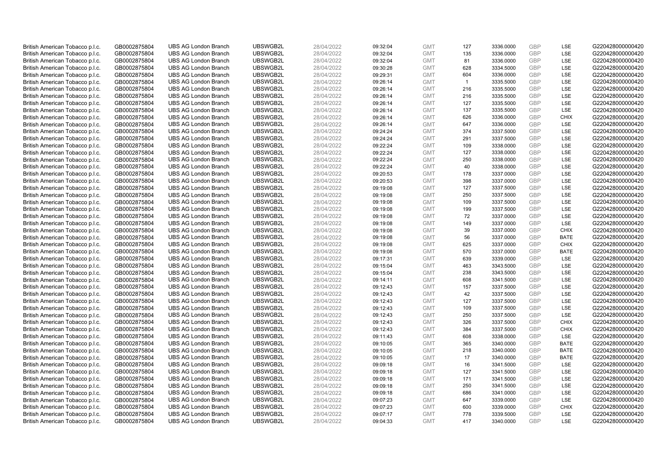| British American Tobacco p.l.c.                                    | GB0002875804                 | <b>UBS AG London Branch</b>                                | UBSWGB2L             | 28/04/2022               | 09:32:04             | <b>GMT</b>               | 127            | 3336.0000              | <b>GBP</b>               | LSE                        | G220428000000420                     |
|--------------------------------------------------------------------|------------------------------|------------------------------------------------------------|----------------------|--------------------------|----------------------|--------------------------|----------------|------------------------|--------------------------|----------------------------|--------------------------------------|
| British American Tobacco p.l.c.                                    | GB0002875804                 | <b>UBS AG London Branch</b>                                | UBSWGB2L             | 28/04/2022               | 09:32:04             | <b>GMT</b>               | 135            | 3336.0000              | GBP                      | LSE                        | G220428000000420                     |
| British American Tobacco p.l.c.                                    | GB0002875804                 | <b>UBS AG London Branch</b>                                | UBSWGB2L             | 28/04/2022               | 09:32:04             | <b>GMT</b>               | 81             | 3336.0000              | GBP                      | LSE                        | G220428000000420                     |
| British American Tobacco p.l.c.                                    | GB0002875804                 | <b>UBS AG London Branch</b>                                | UBSWGB2L             | 28/04/2022               | 09:30:28             | <b>GMT</b>               | 628            | 3334.5000              | GBP                      | LSE                        | G220428000000420                     |
| British American Tobacco p.l.c.                                    | GB0002875804                 | <b>UBS AG London Branch</b>                                | UBSWGB2L             | 28/04/2022               | 09:29:31             | <b>GMT</b>               | 604            | 3336.0000              | <b>GBP</b>               | LSE                        | G220428000000420                     |
| British American Tobacco p.l.c.                                    | GB0002875804                 | <b>UBS AG London Branch</b>                                | UBSWGB2L             | 28/04/2022               | 09:26:14             | <b>GMT</b>               | $\overline{1}$ | 3335.5000              | <b>GBP</b>               | LSE                        | G220428000000420                     |
| British American Tobacco p.l.c.                                    | GB0002875804                 | <b>UBS AG London Branch</b>                                | UBSWGB2L             | 28/04/2022               | 09:26:14             | <b>GMT</b>               | 216            | 3335.5000              | GBP                      | LSE                        | G220428000000420                     |
| British American Tobacco p.l.c.                                    | GB0002875804                 | <b>UBS AG London Branch</b>                                | UBSWGB2L             | 28/04/2022               | 09:26:14             | <b>GMT</b>               | 216            | 3335.5000              | <b>GBP</b>               | <b>LSE</b>                 | G220428000000420                     |
| British American Tobacco p.l.c.                                    | GB0002875804                 | <b>UBS AG London Branch</b>                                | UBSWGB2L             | 28/04/2022               | 09:26:14             | <b>GMT</b>               | 127            | 3335.5000              | GBP                      | LSE                        | G220428000000420                     |
| British American Tobacco p.l.c.                                    | GB0002875804                 | <b>UBS AG London Branch</b>                                | UBSWGB2L             | 28/04/2022               | 09:26:14             | <b>GMT</b>               | 137            | 3335.5000              | <b>GBP</b>               | <b>LSE</b>                 | G220428000000420                     |
| British American Tobacco p.l.c.                                    | GB0002875804                 | <b>UBS AG London Branch</b>                                | UBSWGB2L             | 28/04/2022               | 09:26:14             | <b>GMT</b>               | 626            | 3336.0000              | GBP                      | <b>CHIX</b>                | G220428000000420                     |
| British American Tobacco p.l.c.                                    | GB0002875804                 | <b>UBS AG London Branch</b>                                | UBSWGB2L             | 28/04/2022               | 09:26:14             | <b>GMT</b>               | 647            | 3336.0000              | <b>GBP</b>               | LSE                        | G220428000000420                     |
| British American Tobacco p.l.c.                                    | GB0002875804                 | <b>UBS AG London Branch</b>                                | UBSWGB2L             | 28/04/2022               | 09:24:24             | <b>GMT</b>               | 374            | 3337.5000              | <b>GBP</b>               | LSE                        | G220428000000420                     |
| British American Tobacco p.l.c.                                    | GB0002875804                 | <b>UBS AG London Branch</b>                                | UBSWGB2L             | 28/04/2022               | 09:24:24             | <b>GMT</b>               | 291            | 3337.5000              | <b>GBP</b>               | LSE                        | G220428000000420                     |
| British American Tobacco p.l.c.                                    | GB0002875804                 | <b>UBS AG London Branch</b>                                | UBSWGB2L             | 28/04/2022               | 09:22:24             | <b>GMT</b>               | 109            | 3338.0000              | <b>GBP</b>               | <b>LSE</b>                 | G220428000000420                     |
| British American Tobacco p.l.c.                                    | GB0002875804                 | <b>UBS AG London Branch</b>                                | UBSWGB2L             | 28/04/2022               | 09:22:24             | <b>GMT</b>               | 127            | 3338.0000              | GBP                      | LSE                        | G220428000000420                     |
| British American Tobacco p.l.c.                                    | GB0002875804                 | <b>UBS AG London Branch</b>                                | UBSWGB2L             | 28/04/2022               | 09:22:24             | <b>GMT</b>               | 250            | 3338.0000              | <b>GBP</b>               | LSE                        | G220428000000420                     |
| British American Tobacco p.l.c.                                    | GB0002875804                 | <b>UBS AG London Branch</b>                                | UBSWGB2L             | 28/04/2022               | 09:22:24             | <b>GMT</b>               | 40             | 3338.0000              | <b>GBP</b>               | LSE                        | G220428000000420                     |
| British American Tobacco p.l.c.                                    | GB0002875804                 | <b>UBS AG London Branch</b>                                | UBSWGB2L             | 28/04/2022               | 09:20:53             | <b>GMT</b>               | 178            | 3337.0000              | GBP                      | <b>LSE</b>                 | G220428000000420                     |
| British American Tobacco p.l.c.                                    | GB0002875804                 | <b>UBS AG London Branch</b>                                | UBSWGB2L             | 28/04/2022               | 09:20:53             | <b>GMT</b>               | 398            | 3337.0000              | GBP                      | LSE                        | G220428000000420                     |
| British American Tobacco p.l.c.                                    | GB0002875804                 | <b>UBS AG London Branch</b>                                | UBSWGB2L             | 28/04/2022               | 09:19:08             | <b>GMT</b>               | 127            | 3337.5000              | <b>GBP</b>               | <b>LSE</b>                 | G220428000000420                     |
| British American Tobacco p.l.c.                                    | GB0002875804                 | <b>UBS AG London Branch</b>                                | UBSWGB2L             | 28/04/2022               | 09:19:08             | <b>GMT</b>               | 250            | 3337.5000              | <b>GBP</b>               | LSE                        | G220428000000420                     |
| British American Tobacco p.l.c.                                    | GB0002875804                 | <b>UBS AG London Branch</b>                                | UBSWGB2L             | 28/04/2022               | 09:19:08             | <b>GMT</b>               | 109            | 3337.5000              | <b>GBP</b>               | LSE                        | G220428000000420                     |
| British American Tobacco p.l.c.                                    | GB0002875804                 | <b>UBS AG London Branch</b>                                | UBSWGB2L             | 28/04/2022               | 09:19:08             | <b>GMT</b>               | 199            | 3337.5000              | GBP                      | LSE                        | G220428000000420                     |
| British American Tobacco p.l.c.                                    | GB0002875804                 | <b>UBS AG London Branch</b>                                | UBSWGB2L             | 28/04/2022               | 09:19:08             | <b>GMT</b>               | 72             | 3337.0000              | <b>GBP</b>               | LSE                        | G220428000000420                     |
| British American Tobacco p.l.c.                                    | GB0002875804                 | <b>UBS AG London Branch</b>                                | UBSWGB2L             | 28/04/2022               | 09:19:08             | <b>GMT</b>               | 149            | 3337.0000              | GBP                      | LSE                        | G220428000000420                     |
| British American Tobacco p.l.c.                                    | GB0002875804                 | <b>UBS AG London Branch</b>                                | UBSWGB2L             | 28/04/2022               | 09:19:08             | <b>GMT</b>               | 39             | 3337.0000              | <b>GBP</b>               | <b>CHIX</b>                | G220428000000420                     |
| British American Tobacco p.l.c.                                    | GB0002875804                 | <b>UBS AG London Branch</b>                                | UBSWGB2L             | 28/04/2022               | 09:19:08             | <b>GMT</b>               | 56             | 3337.0000              | <b>GBP</b>               | <b>BATE</b>                | G220428000000420                     |
| British American Tobacco p.l.c.                                    | GB0002875804                 | <b>UBS AG London Branch</b>                                | UBSWGB2L             | 28/04/2022               | 09:19:08             | <b>GMT</b>               | 625            | 3337.0000              | GBP                      | <b>CHIX</b>                | G220428000000420                     |
| British American Tobacco p.l.c.                                    | GB0002875804                 | <b>UBS AG London Branch</b>                                | UBSWGB2L             | 28/04/2022               | 09:19:08             | <b>GMT</b>               | 570            | 3337.0000              | GBP                      | <b>BATE</b>                | G220428000000420                     |
| British American Tobacco p.l.c.                                    | GB0002875804                 | <b>UBS AG London Branch</b>                                | UBSWGB2L             | 28/04/2022               | 09:17:31             | <b>GMT</b>               | 639            | 3339.0000              | GBP                      | <b>LSE</b>                 | G220428000000420                     |
| British American Tobacco p.l.c.                                    | GB0002875804                 | <b>UBS AG London Branch</b>                                | UBSWGB2L             | 28/04/2022               | 09:15:04             | <b>GMT</b>               | 463            | 3343.5000              | <b>GBP</b>               | <b>LSE</b>                 | G220428000000420                     |
| British American Tobacco p.l.c.                                    | GB0002875804                 | <b>UBS AG London Branch</b>                                | UBSWGB2L             | 28/04/2022               | 09:15:04             | <b>GMT</b>               | 238            | 3343.5000              | GBP                      | LSE                        | G220428000000420                     |
| British American Tobacco p.l.c.                                    | GB0002875804                 | <b>UBS AG London Branch</b>                                | UBSWGB2L             | 28/04/2022               | 09:14:11             | <b>GMT</b>               | 608            | 3341.5000              | GBP                      | LSE                        | G220428000000420                     |
| British American Tobacco p.l.c.                                    | GB0002875804                 | <b>UBS AG London Branch</b>                                | UBSWGB2L             | 28/04/2022               | 09:12:43             | <b>GMT</b>               | 157            | 3337.5000              | <b>GBP</b>               | LSE                        | G220428000000420                     |
| British American Tobacco p.l.c.                                    | GB0002875804                 | <b>UBS AG London Branch</b>                                | UBSWGB2L             | 28/04/2022               | 09:12:43             | <b>GMT</b>               | 42             | 3337.5000              | <b>GBP</b>               | LSE                        | G220428000000420                     |
| British American Tobacco p.l.c.                                    | GB0002875804                 | <b>UBS AG London Branch</b>                                | UBSWGB2L             | 28/04/2022               | 09:12:43             | <b>GMT</b>               | 127            | 3337.5000              | GBP                      | LSE                        | G220428000000420                     |
| British American Tobacco p.l.c.                                    | GB0002875804                 | <b>UBS AG London Branch</b>                                | UBSWGB2L             | 28/04/2022               | 09:12:43             | <b>GMT</b>               | 109            | 3337.5000              | <b>GBP</b>               | LSE                        | G220428000000420                     |
| British American Tobacco p.l.c.                                    | GB0002875804                 | <b>UBS AG London Branch</b>                                | UBSWGB2L             | 28/04/2022               | 09:12:43             | <b>GMT</b>               | 250            | 3337.5000              | GBP                      | LSE                        | G220428000000420                     |
| British American Tobacco p.l.c.                                    | GB0002875804                 | <b>UBS AG London Branch</b>                                | UBSWGB2L<br>UBSWGB2L | 28/04/2022<br>28/04/2022 | 09:12:43             | <b>GMT</b><br><b>GMT</b> | 326<br>384     | 3337.5000<br>3337.5000 | GBP<br><b>GBP</b>        | <b>CHIX</b><br><b>CHIX</b> | G220428000000420                     |
| British American Tobacco p.l.c.                                    | GB0002875804                 | <b>UBS AG London Branch</b>                                |                      |                          | 09:12:43             |                          |                |                        |                          |                            | G220428000000420                     |
| British American Tobacco p.l.c.                                    | GB0002875804                 | <b>UBS AG London Branch</b>                                | UBSWGB2L             | 28/04/2022               | 09:11:43             | <b>GMT</b><br><b>GMT</b> | 608            | 3338.0000              | GBP<br>GBP               | <b>LSE</b>                 | G220428000000420                     |
| British American Tobacco p.l.c.                                    | GB0002875804                 | <b>UBS AG London Branch</b>                                | UBSWGB2L             | 28/04/2022               | 09:10:05             |                          | 365            | 3340.0000              | GBP                      | <b>BATE</b><br><b>BATE</b> | G220428000000420                     |
| British American Tobacco p.l.c.                                    | GB0002875804                 | <b>UBS AG London Branch</b><br><b>UBS AG London Branch</b> | UBSWGB2L<br>UBSWGB2L | 28/04/2022               | 09:10:05<br>09:10:05 | <b>GMT</b><br><b>GMT</b> | 218<br>17      | 3340.0000<br>3340.0000 | GBP                      | <b>BATE</b>                | G220428000000420<br>G220428000000420 |
| British American Tobacco p.l.c.                                    | GB0002875804                 | <b>UBS AG London Branch</b>                                | UBSWGB2L             | 28/04/2022<br>28/04/2022 |                      | <b>GMT</b>               |                |                        | <b>GBP</b>               | LSE                        | G220428000000420                     |
| British American Tobacco p.l.c.                                    | GB0002875804                 |                                                            |                      |                          | 09:09:18             |                          | 16<br>127      | 3341.5000              |                          | LSE                        |                                      |
| British American Tobacco p.l.c.                                    | GB0002875804                 | <b>UBS AG London Branch</b><br><b>UBS AG London Branch</b> | UBSWGB2L<br>UBSWGB2L | 28/04/2022               | 09:09:18             | <b>GMT</b><br><b>GMT</b> | 171            | 3341.5000              | <b>GBP</b><br><b>GBP</b> | LSE                        | G220428000000420<br>G220428000000420 |
| British American Tobacco p.l.c.                                    | GB0002875804                 |                                                            |                      | 28/04/2022               | 09:09:18             | <b>GMT</b>               |                | 3341.5000              | <b>GBP</b>               |                            |                                      |
| British American Tobacco p.l.c.<br>British American Tobacco p.l.c. | GB0002875804                 | <b>UBS AG London Branch</b><br><b>UBS AG London Branch</b> | UBSWGB2L<br>UBSWGB2L | 28/04/2022<br>28/04/2022 | 09:09:18             | <b>GMT</b>               | 250            | 3341.5000              | <b>GBP</b>               | LSE<br>LSE                 | G220428000000420<br>G220428000000420 |
|                                                                    | GB0002875804                 |                                                            |                      |                          | 09:09:18             |                          | 686<br>647     | 3341.0000<br>3339.0000 | <b>GBP</b>               | LSE                        |                                      |
| British American Tobacco p.l.c.<br>British American Tobacco p.l.c. | GB0002875804<br>GB0002875804 | <b>UBS AG London Branch</b><br><b>UBS AG London Branch</b> | UBSWGB2L<br>UBSWGB2L | 28/04/2022<br>28/04/2022 | 09:07:23<br>09:07:23 | <b>GMT</b><br><b>GMT</b> | 600            | 3339.0000              | <b>GBP</b>               | <b>CHIX</b>                | G220428000000420<br>G220428000000420 |
| British American Tobacco p.l.c.                                    | GB0002875804                 | <b>UBS AG London Branch</b>                                | UBSWGB2L             | 28/04/2022               | 09:07:17             | <b>GMT</b>               | 778            | 3339.5000              | GBP                      | <b>LSE</b>                 | G220428000000420                     |
| British American Tobacco p.l.c.                                    | GB0002875804                 | <b>UBS AG London Branch</b>                                | UBSWGB2L             | 28/04/2022               | 09:04:33             | <b>GMT</b>               | 417            | 3340.0000              | GBP                      | <b>LSE</b>                 | G220428000000420                     |
|                                                                    |                              |                                                            |                      |                          |                      |                          |                |                        |                          |                            |                                      |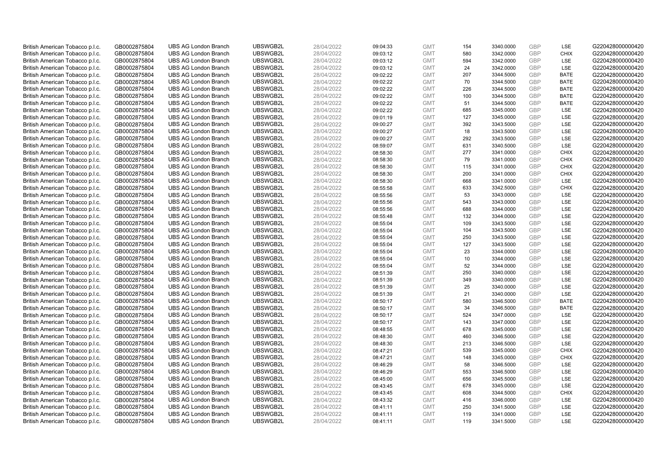| British American Tobacco p.l.c. | GB0002875804 | <b>UBS AG London Branch</b> | UBSWGB2L | 28/04/2022 | 09:04:33 | <b>GMT</b> | 154 | 3340.0000 | <b>GBP</b> | LSE         | G220428000000420 |
|---------------------------------|--------------|-----------------------------|----------|------------|----------|------------|-----|-----------|------------|-------------|------------------|
| British American Tobacco p.l.c. | GB0002875804 | <b>UBS AG London Branch</b> | UBSWGB2L | 28/04/2022 | 09:03:12 | <b>GMT</b> | 580 | 3342.0000 | GBP        | <b>CHIX</b> | G220428000000420 |
| British American Tobacco p.l.c. | GB0002875804 | <b>UBS AG London Branch</b> | UBSWGB2L | 28/04/2022 | 09:03:12 | <b>GMT</b> | 594 | 3342.0000 | GBP        | LSE         | G220428000000420 |
| British American Tobacco p.l.c. | GB0002875804 | <b>UBS AG London Branch</b> | UBSWGB2L | 28/04/2022 | 09:03:12 | <b>GMT</b> | 24  | 3342.0000 | GBP        | LSE         | G220428000000420 |
| British American Tobacco p.l.c. | GB0002875804 | <b>UBS AG London Branch</b> | UBSWGB2L | 28/04/2022 | 09:02:22 | <b>GMT</b> | 207 | 3344.5000 | GBP        | <b>BATE</b> | G220428000000420 |
| British American Tobacco p.l.c. | GB0002875804 | <b>UBS AG London Branch</b> | UBSWGB2L | 28/04/2022 | 09:02:22 | <b>GMT</b> | 70  | 3344.5000 | <b>GBP</b> | <b>BATE</b> | G220428000000420 |
| British American Tobacco p.l.c. | GB0002875804 | <b>UBS AG London Branch</b> | UBSWGB2L | 28/04/2022 | 09:02:22 | <b>GMT</b> | 226 | 3344.5000 | GBP        | <b>BATE</b> | G220428000000420 |
| British American Tobacco p.l.c. | GB0002875804 | <b>UBS AG London Branch</b> | UBSWGB2L | 28/04/2022 | 09:02:22 | <b>GMT</b> | 100 | 3344.5000 | <b>GBP</b> | <b>BATE</b> | G220428000000420 |
| British American Tobacco p.l.c. | GB0002875804 | <b>UBS AG London Branch</b> | UBSWGB2L | 28/04/2022 | 09:02:22 | <b>GMT</b> | 51  | 3344.5000 | GBP        | <b>BATE</b> | G220428000000420 |
| British American Tobacco p.l.c. | GB0002875804 | <b>UBS AG London Branch</b> | UBSWGB2L | 28/04/2022 | 09:02:22 | <b>GMT</b> | 685 | 3345.0000 | <b>GBP</b> | <b>LSE</b>  | G220428000000420 |
| British American Tobacco p.l.c. | GB0002875804 | <b>UBS AG London Branch</b> | UBSWGB2L | 28/04/2022 | 09:01:19 | <b>GMT</b> | 127 | 3345.0000 | GBP        | LSE         | G220428000000420 |
| British American Tobacco p.l.c. | GB0002875804 | <b>UBS AG London Branch</b> | UBSWGB2L | 28/04/2022 | 09:00:27 | <b>GMT</b> | 392 | 3343.5000 | <b>GBP</b> | LSE         | G220428000000420 |
| British American Tobacco p.l.c. | GB0002875804 | <b>UBS AG London Branch</b> | UBSWGB2L | 28/04/2022 | 09:00:27 | <b>GMT</b> | 18  | 3343.5000 | <b>GBP</b> | LSE         | G220428000000420 |
| British American Tobacco p.l.c. | GB0002875804 | <b>UBS AG London Branch</b> | UBSWGB2L | 28/04/2022 | 09:00:27 | <b>GMT</b> | 292 | 3343.5000 | <b>GBP</b> | LSE         | G220428000000420 |
| British American Tobacco p.l.c. | GB0002875804 | <b>UBS AG London Branch</b> | UBSWGB2L | 28/04/2022 | 08:59:07 | <b>GMT</b> | 631 | 3340.5000 | <b>GBP</b> | <b>LSE</b>  | G220428000000420 |
| British American Tobacco p.l.c. | GB0002875804 | <b>UBS AG London Branch</b> | UBSWGB2L | 28/04/2022 | 08:58:30 | <b>GMT</b> | 277 | 3341.0000 | GBP        | <b>CHIX</b> | G220428000000420 |
| British American Tobacco p.l.c. | GB0002875804 | <b>UBS AG London Branch</b> | UBSWGB2L | 28/04/2022 | 08:58:30 | <b>GMT</b> | 79  | 3341.0000 | GBP        | <b>CHIX</b> | G220428000000420 |
| British American Tobacco p.l.c. | GB0002875804 | <b>UBS AG London Branch</b> | UBSWGB2L | 28/04/2022 | 08:58:30 | <b>GMT</b> | 115 | 3341.0000 | GBP        | <b>CHIX</b> | G220428000000420 |
| British American Tobacco p.l.c. | GB0002875804 | <b>UBS AG London Branch</b> | UBSWGB2L | 28/04/2022 | 08:58:30 | <b>GMT</b> | 200 | 3341.0000 | <b>GBP</b> | <b>CHIX</b> | G220428000000420 |
| British American Tobacco p.l.c. | GB0002875804 | <b>UBS AG London Branch</b> | UBSWGB2L | 28/04/2022 | 08:58:30 | <b>GMT</b> | 668 | 3341.0000 | GBP        | LSE         | G220428000000420 |
| British American Tobacco p.l.c. | GB0002875804 | <b>UBS AG London Branch</b> | UBSWGB2L | 28/04/2022 | 08:55:58 | <b>GMT</b> | 633 | 3342.5000 | <b>GBP</b> | <b>CHIX</b> | G220428000000420 |
| British American Tobacco p.l.c. | GB0002875804 | <b>UBS AG London Branch</b> | UBSWGB2L | 28/04/2022 | 08:55:56 | <b>GMT</b> | 53  | 3343.0000 | GBP        | LSE         | G220428000000420 |
| British American Tobacco p.l.c. | GB0002875804 | <b>UBS AG London Branch</b> | UBSWGB2L | 28/04/2022 | 08:55:56 | <b>GMT</b> | 543 | 3343.0000 | <b>GBP</b> | LSE         | G220428000000420 |
| British American Tobacco p.l.c. | GB0002875804 | <b>UBS AG London Branch</b> | UBSWGB2L | 28/04/2022 | 08:55:56 | <b>GMT</b> | 688 | 3344.0000 | GBP        | LSE         | G220428000000420 |
| British American Tobacco p.l.c. | GB0002875804 | <b>UBS AG London Branch</b> | UBSWGB2L | 28/04/2022 | 08:55:48 | <b>GMT</b> | 132 | 3344.0000 | <b>GBP</b> | LSE         | G220428000000420 |
| British American Tobacco p.l.c. | GB0002875804 | <b>UBS AG London Branch</b> | UBSWGB2L | 28/04/2022 | 08:55:04 | <b>GMT</b> | 109 | 3343.5000 | <b>GBP</b> | LSE         | G220428000000420 |
| British American Tobacco p.l.c. | GB0002875804 | <b>UBS AG London Branch</b> | UBSWGB2L | 28/04/2022 | 08:55:04 | <b>GMT</b> | 104 | 3343.5000 | GBP        | LSE         | G220428000000420 |
| British American Tobacco p.l.c. | GB0002875804 | <b>UBS AG London Branch</b> | UBSWGB2L | 28/04/2022 | 08:55:04 | <b>GMT</b> | 250 | 3343.5000 | <b>GBP</b> | <b>LSE</b>  | G220428000000420 |
| British American Tobacco p.l.c. | GB0002875804 | <b>UBS AG London Branch</b> | UBSWGB2L | 28/04/2022 | 08:55:04 | <b>GMT</b> | 127 | 3343.5000 | GBP        | LSE         | G220428000000420 |
| British American Tobacco p.l.c. | GB0002875804 | <b>UBS AG London Branch</b> | UBSWGB2L | 28/04/2022 | 08:55:04 | <b>GMT</b> | 23  | 3344.0000 | <b>GBP</b> | LSE         | G220428000000420 |
| British American Tobacco p.l.c. | GB0002875804 | <b>UBS AG London Branch</b> | UBSWGB2L | 28/04/2022 | 08:55:04 | <b>GMT</b> | 10  | 3344.0000 | <b>GBP</b> | LSE         | G220428000000420 |
| British American Tobacco p.l.c. | GB0002875804 | <b>UBS AG London Branch</b> | UBSWGB2L | 28/04/2022 | 08:55:04 | <b>GMT</b> | 52  | 3344.0000 | GBP        | <b>LSE</b>  | G220428000000420 |
| British American Tobacco p.l.c. | GB0002875804 | <b>UBS AG London Branch</b> | UBSWGB2L | 28/04/2022 | 08:51:39 | <b>GMT</b> | 250 | 3340.0000 | <b>GBP</b> | LSE         | G220428000000420 |
| British American Tobacco p.l.c. | GB0002875804 | <b>UBS AG London Branch</b> | UBSWGB2L | 28/04/2022 | 08:51:39 | <b>GMT</b> | 349 | 3340.0000 | GBP        | LSE         | G220428000000420 |
| British American Tobacco p.l.c. | GB0002875804 | <b>UBS AG London Branch</b> | UBSWGB2L | 28/04/2022 | 08:51:39 | <b>GMT</b> | 25  | 3340.0000 | <b>GBP</b> | LSE         | G220428000000420 |
| British American Tobacco p.l.c. | GB0002875804 | <b>UBS AG London Branch</b> | UBSWGB2L | 28/04/2022 | 08:51:39 | <b>GMT</b> | 21  | 3340.0000 | <b>GBP</b> | LSE         | G220428000000420 |
| British American Tobacco p.l.c. | GB0002875804 | <b>UBS AG London Branch</b> | UBSWGB2L | 28/04/2022 | 08:50:17 | <b>GMT</b> | 580 | 3346.5000 | GBP        | <b>BATE</b> | G220428000000420 |
| British American Tobacco p.l.c. | GB0002875804 | <b>UBS AG London Branch</b> | UBSWGB2L | 28/04/2022 | 08:50:17 | <b>GMT</b> | 34  | 3346.5000 | <b>GBP</b> | <b>BATE</b> | G220428000000420 |
| British American Tobacco p.l.c. | GB0002875804 | <b>UBS AG London Branch</b> | UBSWGB2L | 28/04/2022 | 08:50:17 | <b>GMT</b> | 524 | 3347.0000 | <b>GBP</b> | LSE         | G220428000000420 |
| British American Tobacco p.l.c. | GB0002875804 | <b>UBS AG London Branch</b> | UBSWGB2L | 28/04/2022 | 08:50:17 | <b>GMT</b> | 143 | 3347.0000 | GBP        | <b>LSE</b>  | G220428000000420 |
| British American Tobacco p.l.c. | GB0002875804 | <b>UBS AG London Branch</b> | UBSWGB2L | 28/04/2022 | 08:48:55 | <b>GMT</b> | 678 | 3345.0000 | <b>GBP</b> | <b>LSE</b>  | G220428000000420 |
| British American Tobacco p.l.c. | GB0002875804 | <b>UBS AG London Branch</b> | UBSWGB2L | 28/04/2022 | 08:48:30 | <b>GMT</b> | 460 | 3346.5000 | <b>GBP</b> | LSE         | G220428000000420 |
| British American Tobacco p.l.c. | GB0002875804 | <b>UBS AG London Branch</b> | UBSWGB2L | 28/04/2022 | 08:48:30 | <b>GMT</b> | 213 | 3346.5000 | <b>GBP</b> | LSE         | G220428000000420 |
| British American Tobacco p.l.c. | GB0002875804 | <b>UBS AG London Branch</b> | UBSWGB2L | 28/04/2022 | 08:47:21 | <b>GMT</b> | 539 | 3345.0000 | GBP        | <b>CHIX</b> | G220428000000420 |
| British American Tobacco p.l.c. | GB0002875804 | <b>UBS AG London Branch</b> | UBSWGB2L | 28/04/2022 | 08:47:21 | <b>GMT</b> | 148 | 3345.0000 | GBP        | <b>CHIX</b> | G220428000000420 |
| British American Tobacco p.l.c. | GB0002875804 | <b>UBS AG London Branch</b> | UBSWGB2L | 28/04/2022 | 08:46:29 | <b>GMT</b> | 58  | 3346.5000 | <b>GBP</b> | LSE         | G220428000000420 |
| British American Tobacco p.l.c. | GB0002875804 | <b>UBS AG London Branch</b> | UBSWGB2L | 28/04/2022 | 08:46:29 | <b>GMT</b> | 553 | 3346.5000 | <b>GBP</b> | LSE         | G220428000000420 |
| British American Tobacco p.l.c. | GB0002875804 | <b>UBS AG London Branch</b> | UBSWGB2L | 28/04/2022 | 08:45:00 | <b>GMT</b> | 656 | 3345.5000 | <b>GBP</b> | LSE         | G220428000000420 |
| British American Tobacco p.l.c. | GB0002875804 | <b>UBS AG London Branch</b> | UBSWGB2L | 28/04/2022 | 08:43:45 | <b>GMT</b> | 678 | 3345.0000 | <b>GBP</b> | LSE         | G220428000000420 |
| British American Tobacco p.l.c. | GB0002875804 | <b>UBS AG London Branch</b> | UBSWGB2L | 28/04/2022 | 08:43:45 | <b>GMT</b> | 608 | 3344.5000 | GBP        | <b>CHIX</b> | G220428000000420 |
| British American Tobacco p.l.c. | GB0002875804 | <b>UBS AG London Branch</b> | UBSWGB2L | 28/04/2022 | 08:43:32 | <b>GMT</b> | 416 | 3346.0000 | GBP        | LSE         | G220428000000420 |
| British American Tobacco p.l.c. | GB0002875804 | <b>UBS AG London Branch</b> | UBSWGB2L | 28/04/2022 | 08:41:11 | <b>GMT</b> | 250 | 3341.5000 | <b>GBP</b> | LSE         | G220428000000420 |
| British American Tobacco p.l.c. | GB0002875804 | <b>UBS AG London Branch</b> | UBSWGB2L | 28/04/2022 | 08:41:11 | <b>GMT</b> | 119 | 3341.0000 | GBP        | LSE         | G220428000000420 |
| British American Tobacco p.l.c. | GB0002875804 | <b>UBS AG London Branch</b> | UBSWGB2L | 28/04/2022 | 08:41:11 | <b>GMT</b> | 119 | 3341.5000 | GBP        | <b>LSE</b>  | G220428000000420 |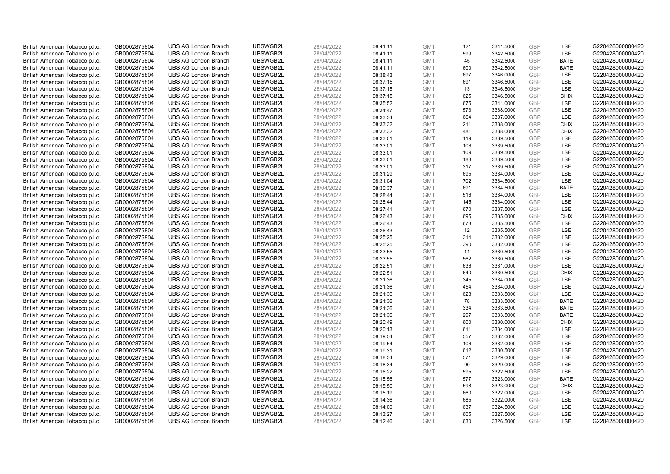| British American Tobacco p.l.c. | GB0002875804 | <b>UBS AG London Branch</b>                                | UBSWGB2L             | 28/04/2022 | 08:41:11             | <b>GMT</b>               | 121 | 3341.5000              | <b>GBP</b>        | LSE         | G220428000000420                     |
|---------------------------------|--------------|------------------------------------------------------------|----------------------|------------|----------------------|--------------------------|-----|------------------------|-------------------|-------------|--------------------------------------|
| British American Tobacco p.l.c. | GB0002875804 | <b>UBS AG London Branch</b>                                | UBSWGB2L             | 28/04/2022 | 08:41:11             | <b>GMT</b>               | 599 | 3342.5000              | <b>GBP</b>        | LSE         | G220428000000420                     |
| British American Tobacco p.l.c. | GB0002875804 | <b>UBS AG London Branch</b>                                | UBSWGB2L             | 28/04/2022 | 08:41:11             | <b>GMT</b>               | 45  | 3342.5000              | GBP               | <b>BATE</b> | G220428000000420                     |
| British American Tobacco p.l.c. | GB0002875804 | <b>UBS AG London Branch</b>                                | UBSWGB2L             | 28/04/2022 | 08:41:11             | <b>GMT</b>               | 600 | 3342.5000              | GBP               | <b>BATE</b> | G220428000000420                     |
| British American Tobacco p.l.c. | GB0002875804 | <b>UBS AG London Branch</b>                                | UBSWGB2L             | 28/04/2022 | 08:38:43             | <b>GMT</b>               | 697 | 3346.0000              | <b>GBP</b>        | LSE         | G220428000000420                     |
| British American Tobacco p.l.c. | GB0002875804 | <b>UBS AG London Branch</b>                                | UBSWGB2L             | 28/04/2022 | 08:37:15             | <b>GMT</b>               | 691 | 3346.5000              | <b>GBP</b>        | LSE         | G220428000000420                     |
| British American Tobacco p.l.c. | GB0002875804 | <b>UBS AG London Branch</b>                                | UBSWGB2L             | 28/04/2022 | 08:37:15             | <b>GMT</b>               | 13  | 3346.5000              | <b>GBP</b>        | LSE         | G220428000000420                     |
| British American Tobacco p.l.c. | GB0002875804 | <b>UBS AG London Branch</b>                                | UBSWGB2L             | 28/04/2022 | 08:37:15             | <b>GMT</b>               | 625 | 3346.5000              | <b>GBP</b>        | <b>CHIX</b> | G220428000000420                     |
| British American Tobacco p.l.c. | GB0002875804 | <b>UBS AG London Branch</b>                                | UBSWGB2L             | 28/04/2022 | 08:35:52             | <b>GMT</b>               | 675 | 3341.0000              | <b>GBP</b>        | LSE         | G220428000000420                     |
| British American Tobacco p.l.c. | GB0002875804 | <b>UBS AG London Branch</b>                                | UBSWGB2L             | 28/04/2022 | 08:34:47             | <b>GMT</b>               | 573 | 3338.0000              | <b>GBP</b>        | LSE         | G220428000000420                     |
| British American Tobacco p.l.c. | GB0002875804 | <b>UBS AG London Branch</b>                                | UBSWGB2L             | 28/04/2022 | 08:33:34             | <b>GMT</b>               | 664 | 3337.0000              | <b>GBP</b>        | LSE         | G220428000000420                     |
| British American Tobacco p.l.c. | GB0002875804 | <b>UBS AG London Branch</b>                                | UBSWGB2L             | 28/04/2022 | 08:33:32             | <b>GMT</b>               | 211 | 3338.0000              | <b>GBP</b>        | <b>CHIX</b> | G220428000000420                     |
| British American Tobacco p.l.c. | GB0002875804 | <b>UBS AG London Branch</b>                                | UBSWGB2L             | 28/04/2022 | 08:33:32             | <b>GMT</b>               | 481 | 3338.0000              | <b>GBP</b>        | <b>CHIX</b> | G220428000000420                     |
| British American Tobacco p.l.c. | GB0002875804 | <b>UBS AG London Branch</b>                                | UBSWGB2L             | 28/04/2022 | 08:33:01             | <b>GMT</b>               | 119 | 3339.5000              | <b>GBP</b>        | <b>LSE</b>  | G220428000000420                     |
| British American Tobacco p.l.c. | GB0002875804 | <b>UBS AG London Branch</b>                                | UBSWGB2L             | 28/04/2022 | 08:33:01             | <b>GMT</b>               | 106 | 3339.5000              | <b>GBP</b>        | <b>LSE</b>  | G220428000000420                     |
| British American Tobacco p.l.c. | GB0002875804 | <b>UBS AG London Branch</b>                                | UBSWGB2L             | 28/04/2022 | 08:33:01             | <b>GMT</b>               | 109 | 3339.5000              | <b>GBP</b>        | LSE         | G220428000000420                     |
| British American Tobacco p.l.c. | GB0002875804 | <b>UBS AG London Branch</b>                                | UBSWGB2L             | 28/04/2022 | 08:33:01             | <b>GMT</b>               | 183 | 3339.5000              | <b>GBP</b>        | LSE         | G220428000000420                     |
| British American Tobacco p.l.c. | GB0002875804 | <b>UBS AG London Branch</b>                                | UBSWGB2L             | 28/04/2022 | 08:33:01             | <b>GMT</b>               | 317 | 3339.5000              | <b>GBP</b>        | LSE         | G220428000000420                     |
| British American Tobacco p.l.c. | GB0002875804 | <b>UBS AG London Branch</b>                                | UBSWGB2L             | 28/04/2022 | 08:31:29             | <b>GMT</b>               | 695 | 3334.0000              | GBP               | <b>LSE</b>  | G220428000000420                     |
| British American Tobacco p.l.c. | GB0002875804 | <b>UBS AG London Branch</b>                                | UBSWGB2L             | 28/04/2022 | 08:31:04             | <b>GMT</b>               | 702 | 3334.5000              | <b>GBP</b>        | LSE         | G220428000000420                     |
| British American Tobacco p.l.c. | GB0002875804 | <b>UBS AG London Branch</b>                                | UBSWGB2L             | 28/04/2022 | 08:30:37             | <b>GMT</b>               | 691 | 3334.5000              | <b>GBP</b>        | <b>BATE</b> | G220428000000420                     |
| British American Tobacco p.l.c. | GB0002875804 | <b>UBS AG London Branch</b>                                | UBSWGB2L             | 28/04/2022 | 08:28:44             | <b>GMT</b>               | 516 | 3334.0000              | <b>GBP</b>        | LSE         | G220428000000420                     |
| British American Tobacco p.l.c. | GB0002875804 | <b>UBS AG London Branch</b>                                | UBSWGB2L             | 28/04/2022 | 08:28:44             | <b>GMT</b>               | 145 | 3334.0000              | <b>GBP</b>        | LSE         | G220428000000420                     |
| British American Tobacco p.l.c. | GB0002875804 | <b>UBS AG London Branch</b>                                | UBSWGB2L             | 28/04/2022 | 08:27:41             | <b>GMT</b>               | 670 | 3337.5000              | <b>GBP</b>        | LSE         | G220428000000420                     |
| British American Tobacco p.l.c. | GB0002875804 | <b>UBS AG London Branch</b>                                | UBSWGB2L             | 28/04/2022 | 08:26:43             | <b>GMT</b>               | 695 | 3335.0000              | <b>GBP</b>        | <b>CHIX</b> | G220428000000420                     |
| British American Tobacco p.l.c. | GB0002875804 | <b>UBS AG London Branch</b>                                | UBSWGB2L             | 28/04/2022 | 08:26:43             | <b>GMT</b>               | 678 | 3335.5000              | <b>GBP</b>        | <b>LSE</b>  | G220428000000420                     |
| British American Tobacco p.l.c. | GB0002875804 | <b>UBS AG London Branch</b>                                | UBSWGB2L             | 28/04/2022 | 08:26:43             | <b>GMT</b>               | 12  | 3335.5000              | GBP               | <b>LSE</b>  | G220428000000420                     |
| British American Tobacco p.l.c. | GB0002875804 | <b>UBS AG London Branch</b>                                | UBSWGB2L             | 28/04/2022 | 08:25:25             | <b>GMT</b>               | 314 | 3332.0000              | <b>GBP</b>        | <b>LSE</b>  | G220428000000420                     |
| British American Tobacco p.l.c. | GB0002875804 | <b>UBS AG London Branch</b>                                | UBSWGB2L             | 28/04/2022 | 08:25:25             | <b>GMT</b>               | 390 | 3332.0000              | <b>GBP</b>        | LSE         | G220428000000420                     |
| British American Tobacco p.l.c. | GB0002875804 | <b>UBS AG London Branch</b>                                | UBSWGB2L             | 28/04/2022 | 08:23:55             | <b>GMT</b>               | 11  | 3330.5000              | <b>GBP</b>        | LSE         | G220428000000420                     |
| British American Tobacco p.l.c. | GB0002875804 | <b>UBS AG London Branch</b>                                | UBSWGB2L             | 28/04/2022 | 08:23:55             | <b>GMT</b>               | 562 | 3330.5000              | GBP               | LSE         | G220428000000420                     |
| British American Tobacco p.l.c. | GB0002875804 | <b>UBS AG London Branch</b>                                | UBSWGB2L             | 28/04/2022 | 08:22:51             | <b>GMT</b>               | 636 | 3331.0000              | <b>GBP</b>        | <b>LSE</b>  | G220428000000420                     |
| British American Tobacco p.l.c. | GB0002875804 | <b>UBS AG London Branch</b>                                | UBSWGB2L             | 28/04/2022 | 08:22:51             | <b>GMT</b>               | 640 | 3330.5000              | <b>GBP</b>        | <b>CHIX</b> | G220428000000420                     |
|                                 |              |                                                            |                      |            |                      |                          | 345 |                        |                   | LSE         |                                      |
| British American Tobacco p.l.c. | GB0002875804 | <b>UBS AG London Branch</b><br><b>UBS AG London Branch</b> | UBSWGB2L<br>UBSWGB2L | 28/04/2022 | 08:21:36<br>08:21:36 | <b>GMT</b><br><b>GMT</b> | 454 | 3334.0000<br>3334.0000 | GBP<br><b>GBP</b> | LSE         | G220428000000420<br>G220428000000420 |
| British American Tobacco p.l.c. | GB0002875804 |                                                            |                      | 28/04/2022 |                      |                          |     |                        |                   |             |                                      |
| British American Tobacco p.l.c. | GB0002875804 | <b>UBS AG London Branch</b>                                | UBSWGB2L             | 28/04/2022 | 08:21:36             | <b>GMT</b>               | 628 | 3333.5000              | <b>GBP</b>        | LSE         | G220428000000420                     |
| British American Tobacco p.l.c. | GB0002875804 | <b>UBS AG London Branch</b>                                | UBSWGB2L             | 28/04/2022 | 08:21:36             | <b>GMT</b>               | 78  | 3333.5000              | GBP               | <b>BATE</b> | G220428000000420                     |
| British American Tobacco p.l.c. | GB0002875804 | <b>UBS AG London Branch</b>                                | UBSWGB2L             | 28/04/2022 | 08:21:36             | <b>GMT</b>               | 334 | 3333.5000              | <b>GBP</b>        | <b>BATE</b> | G220428000000420                     |
| British American Tobacco p.l.c. | GB0002875804 | <b>UBS AG London Branch</b>                                | UBSWGB2L             | 28/04/2022 | 08:21:36             | <b>GMT</b>               | 297 | 3333.5000              | <b>GBP</b>        | <b>BATE</b> | G220428000000420                     |
| British American Tobacco p.l.c. | GB0002875804 | <b>UBS AG London Branch</b>                                | UBSWGB2L             | 28/04/2022 | 08:20:49             | <b>GMT</b>               | 600 | 3330.0000              | GBP               | <b>CHIX</b> | G220428000000420                     |
| British American Tobacco p.l.c. | GB0002875804 | <b>UBS AG London Branch</b>                                | UBSWGB2L             | 28/04/2022 | 08:20:13             | <b>GMT</b>               | 611 | 3334.0000              | <b>GBP</b>        | <b>LSE</b>  | G220428000000420                     |
| British American Tobacco p.l.c. | GB0002875804 | <b>UBS AG London Branch</b>                                | UBSWGB2L             | 28/04/2022 | 08:19:54             | <b>GMT</b>               | 557 | 3332.0000              | <b>GBP</b>        | LSE         | G220428000000420                     |
| British American Tobacco p.l.c. | GB0002875804 | <b>UBS AG London Branch</b>                                | UBSWGB2L             | 28/04/2022 | 08:19:54             | <b>GMT</b>               | 106 | 3332.0000              | <b>GBP</b>        | LSE         | G220428000000420                     |
| British American Tobacco p.l.c. | GB0002875804 | <b>UBS AG London Branch</b>                                | UBSWGB2L             | 28/04/2022 | 08:19:31             | <b>GMT</b>               | 612 | 3330.5000              | GBP               | LSE         | G220428000000420                     |
| British American Tobacco p.l.c. | GB0002875804 | <b>UBS AG London Branch</b>                                | UBSWGB2L             | 28/04/2022 | 08:18:34             | <b>GMT</b>               | 571 | 3329.0000              | <b>GBP</b>        | <b>LSE</b>  | G220428000000420                     |
| British American Tobacco p.l.c. | GB0002875804 | <b>UBS AG London Branch</b>                                | UBSWGB2L             | 28/04/2022 | 08:18:34             | <b>GMT</b>               | 90  | 3329.0000              | GBP               | LSE         | G220428000000420                     |
| British American Tobacco p.l.c. | GB0002875804 | <b>UBS AG London Branch</b>                                | UBSWGB2L             | 28/04/2022 | 08:16:22             | <b>GMT</b>               | 595 | 3322.5000              | <b>GBP</b>        | LSE         | G220428000000420                     |
| British American Tobacco p.l.c. | GB0002875804 | <b>UBS AG London Branch</b>                                | UBSWGB2L             | 28/04/2022 | 08:15:56             | <b>GMT</b>               | 577 | 3323.0000              | GBP               | <b>BATE</b> | G220428000000420                     |
| British American Tobacco p.l.c. | GB0002875804 | <b>UBS AG London Branch</b>                                | UBSWGB2L             | 28/04/2022 | 08:15:56             | <b>GMT</b>               | 598 | 3323.0000              | GBP               | <b>CHIX</b> | G220428000000420                     |
| British American Tobacco p.l.c. | GB0002875804 | <b>UBS AG London Branch</b>                                | UBSWGB2L             | 28/04/2022 | 08:15:19             | <b>GMT</b>               | 660 | 3322.0000              | GBP               | <b>LSE</b>  | G220428000000420                     |
| British American Tobacco p.l.c. | GB0002875804 | <b>UBS AG London Branch</b>                                | UBSWGB2L             | 28/04/2022 | 08:14:36             | <b>GMT</b>               | 685 | 3322.0000              | GBP               | LSE         | G220428000000420                     |
| British American Tobacco p.l.c. | GB0002875804 | <b>UBS AG London Branch</b>                                | UBSWGB2L             | 28/04/2022 | 08:14:00             | <b>GMT</b>               | 637 | 3324.5000              | <b>GBP</b>        | LSE         | G220428000000420                     |
| British American Tobacco p.l.c. | GB0002875804 | <b>UBS AG London Branch</b>                                | UBSWGB2L             | 28/04/2022 | 08:13:27             | <b>GMT</b>               | 605 | 3327.5000              | GBP               | LSE         | G220428000000420                     |
| British American Tobacco p.l.c. | GB0002875804 | <b>UBS AG London Branch</b>                                | UBSWGB2L             | 28/04/2022 | 08:12:46             | <b>GMT</b>               | 630 | 3326.5000              | GBP               | <b>LSE</b>  | G220428000000420                     |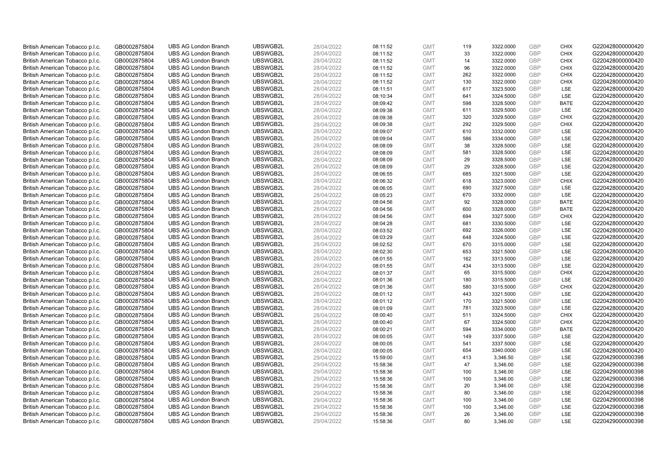| British American Tobacco p.l.c. | GB0002875804 | <b>UBS AG London Branch</b> | UBSWGB2L | 28/04/2022 | 08:11:52 | <b>GMT</b> | 119       | 3322.0000 | <b>GBP</b>               | <b>CHIX</b> | G220428000000420 |
|---------------------------------|--------------|-----------------------------|----------|------------|----------|------------|-----------|-----------|--------------------------|-------------|------------------|
| British American Tobacco p.l.c. | GB0002875804 | <b>UBS AG London Branch</b> | UBSWGB2L | 28/04/2022 | 08:11:52 | <b>GMT</b> | 33        | 3322.0000 | <b>GBP</b>               | <b>CHIX</b> | G220428000000420 |
| British American Tobacco p.l.c. | GB0002875804 | <b>UBS AG London Branch</b> | UBSWGB2L | 28/04/2022 | 08:11:52 | <b>GMT</b> | 14        | 3322.0000 | <b>GBP</b>               | <b>CHIX</b> | G220428000000420 |
|                                 |              |                             | UBSWGB2L |            |          |            |           |           | <b>GBP</b>               |             |                  |
| British American Tobacco p.l.c. | GB0002875804 | <b>UBS AG London Branch</b> |          | 28/04/2022 | 08:11:52 | <b>GMT</b> | 96        | 3322.0000 |                          | <b>CHIX</b> | G220428000000420 |
| British American Tobacco p.l.c. | GB0002875804 | <b>UBS AG London Branch</b> | UBSWGB2L | 28/04/2022 | 08:11:52 | <b>GMT</b> | 262       | 3322.0000 | <b>GBP</b>               | <b>CHIX</b> | G220428000000420 |
| British American Tobacco p.l.c. | GB0002875804 | <b>UBS AG London Branch</b> | UBSWGB2L | 28/04/2022 | 08:11:52 | <b>GMT</b> | 130       | 3322.0000 | <b>GBP</b>               | <b>CHIX</b> | G220428000000420 |
| British American Tobacco p.l.c. | GB0002875804 | <b>UBS AG London Branch</b> | UBSWGB2L | 28/04/2022 | 08:11:51 | <b>GMT</b> | 617       | 3323.5000 | <b>GBP</b>               | LSE         | G220428000000420 |
| British American Tobacco p.l.c. | GB0002875804 | <b>UBS AG London Branch</b> | UBSWGB2L | 28/04/2022 | 08:10:34 | <b>GMT</b> | 641       | 3324.5000 | <b>GBP</b>               | LSE         | G220428000000420 |
| British American Tobacco p.l.c. | GB0002875804 | <b>UBS AG London Branch</b> | UBSWGB2L | 28/04/2022 | 08:09:42 | <b>GMT</b> | 598       | 3328.5000 | <b>GBP</b>               | <b>BATE</b> | G220428000000420 |
| British American Tobacco p.l.c. | GB0002875804 | <b>UBS AG London Branch</b> | UBSWGB2L | 28/04/2022 | 08:09:38 | <b>GMT</b> | 611       | 3329.5000 | <b>GBP</b>               | LSE         | G220428000000420 |
| British American Tobacco p.l.c. | GB0002875804 | <b>UBS AG London Branch</b> | UBSWGB2L | 28/04/2022 | 08:09:38 | <b>GMT</b> | 320       | 3329.5000 | <b>GBP</b>               | <b>CHIX</b> | G220428000000420 |
| British American Tobacco p.l.c. | GB0002875804 | <b>UBS AG London Branch</b> | UBSWGB2L | 28/04/2022 | 08:09:38 | <b>GMT</b> | 292       | 3329.5000 | <b>GBP</b>               | <b>CHIX</b> | G220428000000420 |
| British American Tobacco p.l.c. | GB0002875804 | <b>UBS AG London Branch</b> | UBSWGB2L | 28/04/2022 | 08:09:07 | <b>GMT</b> | 610       | 3332.0000 | <b>GBP</b>               | LSE         | G220428000000420 |
| British American Tobacco p.l.c. | GB0002875804 | <b>UBS AG London Branch</b> | UBSWGB2L | 28/04/2022 | 08:09:04 | <b>GMT</b> | 586       | 3334.0000 | <b>GBP</b>               | LSE         | G220428000000420 |
| British American Tobacco p.l.c. | GB0002875804 | <b>UBS AG London Branch</b> | UBSWGB2L | 28/04/2022 | 08:08:09 | <b>GMT</b> | 38        | 3328.5000 | <b>GBP</b>               | <b>LSE</b>  | G220428000000420 |
| British American Tobacco p.l.c. | GB0002875804 | <b>UBS AG London Branch</b> | UBSWGB2L | 28/04/2022 | 08:08:09 | <b>GMT</b> | 581       | 3328.5000 | <b>GBP</b>               | LSE         | G220428000000420 |
| British American Tobacco p.l.c. | GB0002875804 | <b>UBS AG London Branch</b> | UBSWGB2L | 28/04/2022 | 08:08:09 | <b>GMT</b> | 29        | 3328.5000 | <b>GBP</b>               | LSE         | G220428000000420 |
| British American Tobacco p.l.c. | GB0002875804 | <b>UBS AG London Branch</b> | UBSWGB2L | 28/04/2022 | 08:08:09 | <b>GMT</b> | 29        | 3328.5000 | GBP                      | LSE         | G220428000000420 |
| British American Tobacco p.l.c. | GB0002875804 | <b>UBS AG London Branch</b> | UBSWGB2L | 28/04/2022 | 08:06:55 | <b>GMT</b> | 685       | 3321.5000 | <b>GBP</b>               | <b>LSE</b>  | G220428000000420 |
| British American Tobacco p.l.c. | GB0002875804 | <b>UBS AG London Branch</b> | UBSWGB2L | 28/04/2022 | 08:06:32 | <b>GMT</b> | 618       | 3323.0000 | <b>GBP</b>               | <b>CHIX</b> | G220428000000420 |
| British American Tobacco p.l.c. | GB0002875804 | <b>UBS AG London Branch</b> | UBSWGB2L | 28/04/2022 | 08:06:05 | <b>GMT</b> | 690       | 3327.5000 | <b>GBP</b>               | LSE         | G220428000000420 |
| British American Tobacco p.l.c. | GB0002875804 | <b>UBS AG London Branch</b> | UBSWGB2L | 28/04/2022 | 08:05:23 | <b>GMT</b> | 670       | 3332.0000 | <b>GBP</b>               | LSE         | G220428000000420 |
| British American Tobacco p.l.c. | GB0002875804 | <b>UBS AG London Branch</b> | UBSWGB2L | 28/04/2022 | 08:04:56 | <b>GMT</b> | 92        | 3328.0000 | <b>GBP</b>               | <b>BATE</b> | G220428000000420 |
| British American Tobacco p.l.c. | GB0002875804 | <b>UBS AG London Branch</b> | UBSWGB2L | 28/04/2022 | 08:04:56 | <b>GMT</b> | 600       | 3328.0000 | <b>GBP</b>               | <b>BATE</b> | G220428000000420 |
| British American Tobacco p.l.c. | GB0002875804 | <b>UBS AG London Branch</b> | UBSWGB2L | 28/04/2022 | 08:04:56 | <b>GMT</b> | 694       | 3327.5000 | <b>GBP</b>               | <b>CHIX</b> | G220428000000420 |
| British American Tobacco p.l.c. | GB0002875804 | <b>UBS AG London Branch</b> | UBSWGB2L | 28/04/2022 | 08:04:28 | <b>GMT</b> | 681       | 3330.5000 | <b>GBP</b>               | LSE         | G220428000000420 |
| British American Tobacco p.l.c. | GB0002875804 | <b>UBS AG London Branch</b> | UBSWGB2L | 28/04/2022 | 08:03:52 | <b>GMT</b> | 692       | 3326.0000 | <b>GBP</b>               | LSE         | G220428000000420 |
| British American Tobacco p.l.c. | GB0002875804 | <b>UBS AG London Branch</b> | UBSWGB2L | 28/04/2022 | 08:03:29 | <b>GMT</b> | 648       | 3324.5000 | <b>GBP</b>               | LSE         | G220428000000420 |
| British American Tobacco p.l.c. | GB0002875804 | <b>UBS AG London Branch</b> | UBSWGB2L | 28/04/2022 | 08:02:52 | <b>GMT</b> | 670       | 3315.0000 | <b>GBP</b>               | LSE         | G220428000000420 |
| British American Tobacco p.l.c. | GB0002875804 | <b>UBS AG London Branch</b> | UBSWGB2L | 28/04/2022 | 08:02:30 | <b>GMT</b> | 653       | 3321.5000 | <b>GBP</b>               | LSE         | G220428000000420 |
| British American Tobacco p.l.c. | GB0002875804 | <b>UBS AG London Branch</b> | UBSWGB2L | 28/04/2022 | 08:01:55 | <b>GMT</b> | 162       | 3313.5000 | GBP                      | LSE         | G220428000000420 |
| British American Tobacco p.l.c. | GB0002875804 | <b>UBS AG London Branch</b> | UBSWGB2L | 28/04/2022 | 08:01:55 | <b>GMT</b> | 434       | 3313.5000 | <b>GBP</b>               | LSE         | G220428000000420 |
| British American Tobacco p.l.c. | GB0002875804 | <b>UBS AG London Branch</b> | UBSWGB2L | 28/04/2022 | 08:01:37 | <b>GMT</b> | 65        | 3315.5000 | <b>GBP</b>               | <b>CHIX</b> | G220428000000420 |
| British American Tobacco p.l.c. | GB0002875804 | <b>UBS AG London Branch</b> | UBSWGB2L | 28/04/2022 | 08:01:36 | <b>GMT</b> | 180       | 3315.5000 | <b>GBP</b>               | LSE         | G220428000000420 |
| British American Tobacco p.l.c. | GB0002875804 | <b>UBS AG London Branch</b> | UBSWGB2L | 28/04/2022 | 08:01:36 | <b>GMT</b> | 580       | 3315.5000 | <b>GBP</b>               | <b>CHIX</b> | G220428000000420 |
| British American Tobacco p.l.c. | GB0002875804 | <b>UBS AG London Branch</b> | UBSWGB2L | 28/04/2022 | 08:01:12 | <b>GMT</b> | 443       | 3321.5000 | <b>GBP</b>               | LSE         | G220428000000420 |
| British American Tobacco p.l.c. | GB0002875804 | <b>UBS AG London Branch</b> | UBSWGB2L | 28/04/2022 | 08:01:12 | <b>GMT</b> | 170       | 3321.5000 | <b>GBP</b>               | LSE         | G220428000000420 |
| British American Tobacco p.l.c. | GB0002875804 | <b>UBS AG London Branch</b> | UBSWGB2L | 28/04/2022 | 08:01:09 | <b>GMT</b> | 781       | 3323.5000 | <b>GBP</b>               | LSE         | G220428000000420 |
|                                 |              | <b>UBS AG London Branch</b> | UBSWGB2L | 28/04/2022 |          | <b>GMT</b> | 511       | 3324.5000 | <b>GBP</b>               | <b>CHIX</b> | G220428000000420 |
| British American Tobacco p.l.c. | GB0002875804 |                             |          |            | 08:00:40 |            |           |           |                          |             |                  |
| British American Tobacco p.l.c. | GB0002875804 | <b>UBS AG London Branch</b> | UBSWGB2L | 28/04/2022 | 08:00:40 | <b>GMT</b> | 67<br>594 | 3324.5000 | <b>GBP</b><br><b>GBP</b> | <b>CHIX</b> | G220428000000420 |
| British American Tobacco p.l.c. | GB0002875804 | <b>UBS AG London Branch</b> | UBSWGB2L | 28/04/2022 | 08:00:21 | <b>GMT</b> |           | 3334.0000 |                          | <b>BATE</b> | G220428000000420 |
| British American Tobacco p.l.c. | GB0002875804 | <b>UBS AG London Branch</b> | UBSWGB2L | 28/04/2022 | 08:00:05 | <b>GMT</b> | 149       | 3337.5000 | <b>GBP</b>               | LSE         | G220428000000420 |
| British American Tobacco p.l.c. | GB0002875804 | <b>UBS AG London Branch</b> | UBSWGB2L | 28/04/2022 | 08:00:05 | <b>GMT</b> | 541       | 3337.5000 | <b>GBP</b>               | LSE         | G220428000000420 |
| British American Tobacco p.l.c. | GB0002875804 | <b>UBS AG London Branch</b> | UBSWGB2L | 28/04/2022 | 08:00:05 | <b>GMT</b> | 654       | 3340.0000 | <b>GBP</b>               | LSE         | G220428000000420 |
| British American Tobacco p.l.c. | GB0002875804 | <b>UBS AG London Branch</b> | UBSWGB2L | 29/04/2022 | 15:59:00 | <b>GMT</b> | 413       | 3,346.50  | <b>GBP</b>               | LSE         | G220429000000398 |
| British American Tobacco p.l.c. | GB0002875804 | <b>UBS AG London Branch</b> | UBSWGB2L | 29/04/2022 | 15:58:36 | <b>GMT</b> | 47        | 3,346.00  | <b>GBP</b>               | LSE         | G220429000000398 |
| British American Tobacco p.l.c. | GB0002875804 | <b>UBS AG London Branch</b> | UBSWGB2L | 29/04/2022 | 15:58:36 | <b>GMT</b> | 100       | 3,346.00  | <b>GBP</b>               | LSE         | G220429000000398 |
| British American Tobacco p.l.c. | GB0002875804 | <b>UBS AG London Branch</b> | UBSWGB2L | 29/04/2022 | 15:58:36 | <b>GMT</b> | 100       | 3,346.00  | <b>GBP</b>               | LSE         | G220429000000398 |
| British American Tobacco p.l.c. | GB0002875804 | <b>UBS AG London Branch</b> | UBSWGB2L | 29/04/2022 | 15:58:36 | <b>GMT</b> | 20        | 3,346.00  | <b>GBP</b>               | LSE         | G220429000000398 |
| British American Tobacco p.l.c. | GB0002875804 | <b>UBS AG London Branch</b> | UBSWGB2L | 29/04/2022 | 15:58:36 | <b>GMT</b> | 80        | 3,346.00  | <b>GBP</b>               | LSE         | G220429000000398 |
| British American Tobacco p.l.c. | GB0002875804 | <b>UBS AG London Branch</b> | UBSWGB2L | 29/04/2022 | 15:58:36 | <b>GMT</b> | 100       | 3,346.00  | <b>GBP</b>               | LSE         | G220429000000398 |
| British American Tobacco p.l.c. | GB0002875804 | <b>UBS AG London Branch</b> | UBSWGB2L | 29/04/2022 | 15:58:36 | <b>GMT</b> | 100       | 3,346.00  | <b>GBP</b>               | LSE         | G220429000000398 |
| British American Tobacco p.l.c. | GB0002875804 | <b>UBS AG London Branch</b> | UBSWGB2L | 29/04/2022 | 15:58:36 | <b>GMT</b> | 26        | 3,346.00  | <b>GBP</b>               | LSE         | G220429000000398 |
| British American Tobacco p.l.c. | GB0002875804 | <b>UBS AG London Branch</b> | UBSWGB2L | 29/04/2022 | 15:58:36 | <b>GMT</b> | 80        | 3.346.00  | GBP                      | LSE         | G220429000000398 |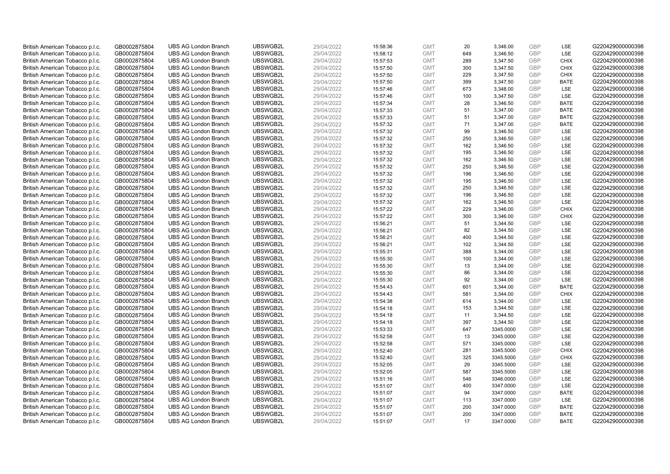| British American Tobacco p.l.c. | GB0002875804 | <b>UBS AG London Branch</b> | UBSWGB2L | 29/04/2022 | 15:58:36 | <b>GMT</b> | 20  | 3,346.00  | <b>GBP</b>               | LSE               | G220429000000398 |
|---------------------------------|--------------|-----------------------------|----------|------------|----------|------------|-----|-----------|--------------------------|-------------------|------------------|
| British American Tobacco p.l.c. | GB0002875804 | <b>UBS AG London Branch</b> | UBSWGB2L | 29/04/2022 | 15:58:12 | <b>GMT</b> | 649 | 3,346.50  | <b>GBP</b>               | LSE               | G220429000000398 |
| British American Tobacco p.l.c. | GB0002875804 | <b>UBS AG London Branch</b> | UBSWGB2L | 29/04/2022 | 15:57:53 | <b>GMT</b> | 289 | 3,347.50  | <b>GBP</b>               | <b>CHIX</b>       | G220429000000398 |
|                                 |              |                             | UBSWGB2L |            |          |            |     |           | <b>GBP</b>               |                   |                  |
| British American Tobacco p.l.c. | GB0002875804 | <b>UBS AG London Branch</b> |          | 29/04/2022 | 15:57:50 | <b>GMT</b> | 300 | 3,347.50  |                          | <b>CHIX</b>       | G220429000000398 |
| British American Tobacco p.l.c. | GB0002875804 | <b>UBS AG London Branch</b> | UBSWGB2L | 29/04/2022 | 15:57:50 | <b>GMT</b> | 229 | 3,347.50  | <b>GBP</b>               | <b>CHIX</b>       | G220429000000398 |
| British American Tobacco p.l.c. | GB0002875804 | <b>UBS AG London Branch</b> | UBSWGB2L | 29/04/2022 | 15:57:50 | <b>GMT</b> | 399 | 3,347.50  | <b>GBP</b>               | BATE              | G220429000000398 |
| British American Tobacco p.l.c. | GB0002875804 | <b>UBS AG London Branch</b> | UBSWGB2L | 29/04/2022 | 15:57:46 | <b>GMT</b> | 673 | 3,348.00  | <b>GBP</b>               | LSE               | G220429000000398 |
| British American Tobacco p.l.c. | GB0002875804 | <b>UBS AG London Branch</b> | UBSWGB2L | 29/04/2022 | 15:57:46 | <b>GMT</b> | 100 | 3,347.50  | <b>GBP</b>               | LSE               | G220429000000398 |
| British American Tobacco p.l.c. | GB0002875804 | <b>UBS AG London Branch</b> | UBSWGB2L | 29/04/2022 | 15:57:34 | <b>GMT</b> | 28  | 3,346.50  | <b>GBP</b>               | <b>BATE</b>       | G220429000000398 |
| British American Tobacco p.l.c. | GB0002875804 | <b>UBS AG London Branch</b> | UBSWGB2L | 29/04/2022 | 15:57:33 | <b>GMT</b> | 51  | 3,347.00  | <b>GBP</b>               | <b>BATE</b>       | G220429000000398 |
| British American Tobacco p.l.c. | GB0002875804 | <b>UBS AG London Branch</b> | UBSWGB2L | 29/04/2022 | 15:57:33 | <b>GMT</b> | 51  | 3,347.00  | <b>GBP</b>               | <b>BATE</b>       | G220429000000398 |
| British American Tobacco p.l.c. | GB0002875804 | <b>UBS AG London Branch</b> | UBSWGB2L | 29/04/2022 | 15:57:32 | <b>GMT</b> | 71  | 3,347.00  | <b>GBP</b>               | <b>BATE</b>       | G220429000000398 |
| British American Tobacco p.l.c. | GB0002875804 | <b>UBS AG London Branch</b> | UBSWGB2L | 29/04/2022 | 15:57:32 | <b>GMT</b> | 99  | 3,346.50  | <b>GBP</b>               | LSE               | G220429000000398 |
| British American Tobacco p.l.c. | GB0002875804 | <b>UBS AG London Branch</b> | UBSWGB2L | 29/04/2022 | 15:57:32 | <b>GMT</b> | 250 | 3,346.50  | <b>GBP</b>               | LSE               | G220429000000398 |
| British American Tobacco p.l.c. | GB0002875804 | <b>UBS AG London Branch</b> | UBSWGB2L | 29/04/2022 | 15:57:32 | <b>GMT</b> | 162 | 3,346.50  | GBP                      | LSE               | G220429000000398 |
| British American Tobacco p.l.c. | GB0002875804 | <b>UBS AG London Branch</b> | UBSWGB2L | 29/04/2022 | 15:57:32 | <b>GMT</b> | 195 | 3,346.50  | <b>GBP</b>               | LSE               | G220429000000398 |
| British American Tobacco p.l.c. | GB0002875804 | <b>UBS AG London Branch</b> | UBSWGB2L | 29/04/2022 | 15:57:32 | <b>GMT</b> | 162 | 3,346.50  | <b>GBP</b>               | LSE               | G220429000000398 |
| British American Tobacco p.l.c. | GB0002875804 | <b>UBS AG London Branch</b> | UBSWGB2L | 29/04/2022 | 15:57:32 | <b>GMT</b> | 250 | 3,346.50  | <b>GBP</b>               | LSE               | G220429000000398 |
| British American Tobacco p.l.c. | GB0002875804 | <b>UBS AG London Branch</b> | UBSWGB2L | 29/04/2022 | 15:57:32 | <b>GMT</b> | 196 | 3,346.50  | <b>GBP</b>               | <b>LSE</b>        | G220429000000398 |
| British American Tobacco p.l.c. | GB0002875804 | <b>UBS AG London Branch</b> | UBSWGB2L | 29/04/2022 | 15:57:32 | <b>GMT</b> | 195 | 3,346.50  | <b>GBP</b>               | LSE               | G220429000000398 |
| British American Tobacco p.l.c. | GB0002875804 | <b>UBS AG London Branch</b> | UBSWGB2L | 29/04/2022 | 15:57:32 | <b>GMT</b> | 250 | 3,346.50  | <b>GBP</b>               | LSE               | G220429000000398 |
| British American Tobacco p.l.c. | GB0002875804 | <b>UBS AG London Branch</b> | UBSWGB2L | 29/04/2022 | 15:57:32 | <b>GMT</b> | 196 | 3,346.50  | <b>GBP</b>               | LSE               | G220429000000398 |
| British American Tobacco p.l.c. | GB0002875804 | <b>UBS AG London Branch</b> | UBSWGB2L | 29/04/2022 | 15:57:32 | <b>GMT</b> | 162 | 3,346.50  | <b>GBP</b>               | LSE               | G220429000000398 |
| British American Tobacco p.l.c. | GB0002875804 | <b>UBS AG London Branch</b> | UBSWGB2L | 29/04/2022 | 15:57:22 | <b>GMT</b> | 229 | 3,346.00  | <b>GBP</b>               | <b>CHIX</b>       | G220429000000398 |
| British American Tobacco p.l.c. | GB0002875804 | <b>UBS AG London Branch</b> | UBSWGB2L | 29/04/2022 | 15:57:22 | <b>GMT</b> | 300 | 3,346.00  | <b>GBP</b>               | <b>CHIX</b>       | G220429000000398 |
| British American Tobacco p.l.c. | GB0002875804 | <b>UBS AG London Branch</b> | UBSWGB2L | 29/04/2022 | 15:56:21 | <b>GMT</b> | 51  | 3,344.50  | <b>GBP</b>               | LSE               | G220429000000398 |
| British American Tobacco p.l.c. | GB0002875804 | <b>UBS AG London Branch</b> | UBSWGB2L | 29/04/2022 | 15:56:21 | <b>GMT</b> | 82  | 3,344.50  | <b>GBP</b>               | LSE               | G220429000000398 |
| British American Tobacco p.l.c. | GB0002875804 | <b>UBS AG London Branch</b> | UBSWGB2L | 29/04/2022 | 15:56:21 | <b>GMT</b> | 400 | 3,344.50  | <b>GBP</b>               | LSE               | G220429000000398 |
| British American Tobacco p.l.c. | GB0002875804 | <b>UBS AG London Branch</b> | UBSWGB2L | 29/04/2022 | 15:56:21 | <b>GMT</b> | 102 | 3,344.50  | <b>GBP</b>               | LSE               | G220429000000398 |
| British American Tobacco p.l.c. | GB0002875804 | <b>UBS AG London Branch</b> | UBSWGB2L | 29/04/2022 | 15:55:31 | <b>GMT</b> | 388 | 3,344.00  | <b>GBP</b>               | LSE               | G220429000000398 |
| British American Tobacco p.l.c. | GB0002875804 | <b>UBS AG London Branch</b> | UBSWGB2L | 29/04/2022 | 15:55:30 | <b>GMT</b> | 100 | 3,344.00  | <b>GBP</b>               | LSE               | G220429000000398 |
| British American Tobacco p.l.c. | GB0002875804 | <b>UBS AG London Branch</b> | UBSWGB2L | 29/04/2022 | 15:55:30 | <b>GMT</b> | 13  | 3,344.00  | <b>GBP</b>               | LSE               | G220429000000398 |
| British American Tobacco p.l.c. | GB0002875804 | <b>UBS AG London Branch</b> | UBSWGB2L | 29/04/2022 | 15:55:30 | <b>GMT</b> | 86  | 3,344.00  | <b>GBP</b>               | LSE               | G220429000000398 |
| British American Tobacco p.l.c. | GB0002875804 | <b>UBS AG London Branch</b> | UBSWGB2L | 29/04/2022 | 15:55:30 | <b>GMT</b> | 92  | 3,344.00  | <b>GBP</b>               | LSE               | G220429000000398 |
| British American Tobacco p.l.c. | GB0002875804 | <b>UBS AG London Branch</b> | UBSWGB2L | 29/04/2022 | 15:54:43 | <b>GMT</b> | 601 | 3,344.00  | <b>GBP</b>               | <b>BATE</b>       | G220429000000398 |
| British American Tobacco p.l.c. | GB0002875804 | <b>UBS AG London Branch</b> | UBSWGB2L | 29/04/2022 | 15:54:43 | <b>GMT</b> | 581 | 3,344.00  | <b>GBP</b>               | <b>CHIX</b>       | G220429000000398 |
| British American Tobacco p.l.c. | GB0002875804 | <b>UBS AG London Branch</b> | UBSWGB2L | 29/04/2022 | 15:54:38 | <b>GMT</b> | 614 | 3,344.00  | <b>GBP</b>               | LSE               | G220429000000398 |
| British American Tobacco p.l.c. | GB0002875804 | <b>UBS AG London Branch</b> | UBSWGB2L | 29/04/2022 | 15:54:18 | <b>GMT</b> | 153 | 3,344.50  | <b>GBP</b>               | LSE               | G220429000000398 |
|                                 |              | <b>UBS AG London Branch</b> | UBSWGB2L |            |          | <b>GMT</b> | 11  |           | <b>GBP</b>               | LSE               | G220429000000398 |
| British American Tobacco p.l.c. | GB0002875804 |                             |          | 29/04/2022 | 15:54:18 |            |     | 3,344.50  |                          |                   |                  |
| British American Tobacco p.l.c. | GB0002875804 | <b>UBS AG London Branch</b> | UBSWGB2L | 29/04/2022 | 15:54:18 | <b>GMT</b> | 397 | 3,344.50  | <b>GBP</b><br><b>GBP</b> | LSE<br><b>LSE</b> | G220429000000398 |
| British American Tobacco p.l.c. | GB0002875804 | <b>UBS AG London Branch</b> | UBSWGB2L | 29/04/2022 | 15:53:33 | <b>GMT</b> | 647 | 3345.0000 |                          |                   | G220429000000398 |
| British American Tobacco p.l.c. | GB0002875804 | <b>UBS AG London Branch</b> | UBSWGB2L | 29/04/2022 | 15:52:58 | <b>GMT</b> | 13  | 3345.0000 | <b>GBP</b>               | LSE               | G220429000000398 |
| British American Tobacco p.l.c. | GB0002875804 | <b>UBS AG London Branch</b> | UBSWGB2L | 29/04/2022 | 15:52:58 | <b>GMT</b> | 571 | 3345.0000 | <b>GBP</b>               | LSE               | G220429000000398 |
| British American Tobacco p.l.c. | GB0002875804 | <b>UBS AG London Branch</b> | UBSWGB2L | 29/04/2022 | 15:52:40 | <b>GMT</b> | 281 | 3345.5000 | GBP                      | <b>CHIX</b>       | G220429000000398 |
| British American Tobacco p.l.c. | GB0002875804 | <b>UBS AG London Branch</b> | UBSWGB2L | 29/04/2022 | 15:52:40 | <b>GMT</b> | 325 | 3345.5000 | <b>GBP</b>               | <b>CHIX</b>       | G220429000000398 |
| British American Tobacco p.l.c. | GB0002875804 | <b>UBS AG London Branch</b> | UBSWGB2L | 29/04/2022 | 15:52:05 | <b>GMT</b> | 29  | 3345.5000 | <b>GBP</b>               | LSE               | G220429000000398 |
| British American Tobacco p.l.c. | GB0002875804 | <b>UBS AG London Branch</b> | UBSWGB2L | 29/04/2022 | 15:52:05 | <b>GMT</b> | 587 | 3345.5000 | <b>GBP</b>               | LSE               | G220429000000398 |
| British American Tobacco p.l.c. | GB0002875804 | <b>UBS AG London Branch</b> | UBSWGB2L | 29/04/2022 | 15:51:16 | <b>GMT</b> | 546 | 3346.0000 | GBP                      | LSE               | G220429000000398 |
| British American Tobacco p.l.c. | GB0002875804 | <b>UBS AG London Branch</b> | UBSWGB2L | 29/04/2022 | 15:51:07 | <b>GMT</b> | 400 | 3347.0000 | <b>GBP</b>               | LSE               | G220429000000398 |
| British American Tobacco p.l.c. | GB0002875804 | <b>UBS AG London Branch</b> | UBSWGB2L | 29/04/2022 | 15:51:07 | <b>GMT</b> | 94  | 3347.0000 | <b>GBP</b>               | <b>BATE</b>       | G220429000000398 |
| British American Tobacco p.l.c. | GB0002875804 | <b>UBS AG London Branch</b> | UBSWGB2L | 29/04/2022 | 15:51:07 | <b>GMT</b> | 113 | 3347.0000 | <b>GBP</b>               | LSE               | G220429000000398 |
| British American Tobacco p.l.c. | GB0002875804 | <b>UBS AG London Branch</b> | UBSWGB2L | 29/04/2022 | 15:51:07 | <b>GMT</b> | 200 | 3347.0000 | <b>GBP</b>               | <b>BATE</b>       | G220429000000398 |
| British American Tobacco p.l.c. | GB0002875804 | <b>UBS AG London Branch</b> | UBSWGB2L | 29/04/2022 | 15:51:07 | <b>GMT</b> | 200 | 3347.0000 | <b>GBP</b>               | <b>BATE</b>       | G220429000000398 |
| British American Tobacco p.l.c. | GB0002875804 | <b>UBS AG London Branch</b> | UBSWGB2L | 29/04/2022 | 15:51:07 | <b>GMT</b> | 17  | 3347.0000 | GBP                      | <b>BATE</b>       | G220429000000398 |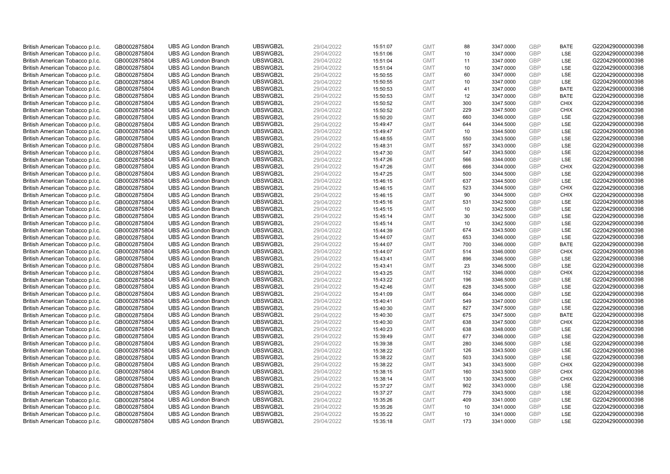| British American Tobacco p.l.c. | GB0002875804                 | <b>UBS AG London Branch</b> | UBSWGB2L | 29/04/2022               | 15:51:07 | <b>GMT</b>               | 88        | 3347.0000              | <b>GBP</b>        | <b>BATE</b> | G220429000000398 |
|---------------------------------|------------------------------|-----------------------------|----------|--------------------------|----------|--------------------------|-----------|------------------------|-------------------|-------------|------------------|
| British American Tobacco p.l.c. | GB0002875804                 | <b>UBS AG London Branch</b> | UBSWGB2L | 29/04/2022               | 15:51:06 | <b>GMT</b>               | 10        | 3347.0000              | <b>GBP</b>        | LSE         | G220429000000398 |
| British American Tobacco p.l.c. | GB0002875804                 | <b>UBS AG London Branch</b> | UBSWGB2L | 29/04/2022               | 15:51:04 | <b>GMT</b>               | 11        | 3347.0000              | <b>GBP</b>        | LSE         | G220429000000398 |
| British American Tobacco p.l.c. | GB0002875804                 | <b>UBS AG London Branch</b> | UBSWGB2L | 29/04/2022               | 15:51:04 | <b>GMT</b>               | 10        | 3347.0000              | <b>GBP</b>        | LSE         | G220429000000398 |
| British American Tobacco p.l.c. | GB0002875804                 | <b>UBS AG London Branch</b> | UBSWGB2L | 29/04/2022               | 15:50:55 | <b>GMT</b>               | 60        | 3347.0000              | <b>GBP</b>        | LSE         | G220429000000398 |
| British American Tobacco p.l.c. | GB0002875804                 | <b>UBS AG London Branch</b> | UBSWGB2L | 29/04/2022               | 15:50:55 | <b>GMT</b>               | 10        | 3347.0000              | <b>GBP</b>        | LSE         | G220429000000398 |
| British American Tobacco p.l.c. | GB0002875804                 | <b>UBS AG London Branch</b> | UBSWGB2L | 29/04/2022               | 15:50:53 | <b>GMT</b>               | 41        | 3347.0000              | <b>GBP</b>        | <b>BATE</b> | G220429000000398 |
| British American Tobacco p.l.c. | GB0002875804                 | <b>UBS AG London Branch</b> | UBSWGB2L | 29/04/2022               | 15:50:53 | <b>GMT</b>               | 12        | 3347.0000              | <b>GBP</b>        | <b>BATE</b> | G220429000000398 |
| British American Tobacco p.l.c. | GB0002875804                 | <b>UBS AG London Branch</b> | UBSWGB2L | 29/04/2022               | 15:50:52 | <b>GMT</b>               | 300       | 3347.5000              | <b>GBP</b>        | <b>CHIX</b> | G220429000000398 |
| British American Tobacco p.l.c. | GB0002875804                 | <b>UBS AG London Branch</b> | UBSWGB2L | 29/04/2022               | 15:50:52 | <b>GMT</b>               | 229       | 3347.5000              | <b>GBP</b>        | <b>CHIX</b> | G220429000000398 |
| British American Tobacco p.l.c. | GB0002875804                 | <b>UBS AG London Branch</b> | UBSWGB2L | 29/04/2022               | 15:50:20 | <b>GMT</b>               | 660       | 3346.0000              | <b>GBP</b>        | LSE         | G220429000000398 |
| British American Tobacco p.l.c. | GB0002875804                 | <b>UBS AG London Branch</b> | UBSWGB2L | 29/04/2022               | 15:49:47 | <b>GMT</b>               | 644       | 3344.5000              | <b>GBP</b>        | LSE         | G220429000000398 |
| British American Tobacco p.l.c. | GB0002875804                 | <b>UBS AG London Branch</b> | UBSWGB2L | 29/04/2022               | 15:49:47 | <b>GMT</b>               | 10        | 3344.5000              | <b>GBP</b>        | LSE         | G220429000000398 |
| British American Tobacco p.l.c. | GB0002875804                 | <b>UBS AG London Branch</b> | UBSWGB2L | 29/04/2022               | 15:48:55 | <b>GMT</b>               | 550       | 3343.5000              | <b>GBP</b>        | LSE         | G220429000000398 |
| British American Tobacco p.l.c. | GB0002875804                 | <b>UBS AG London Branch</b> | UBSWGB2L | 29/04/2022               | 15:48:31 | <b>GMT</b>               | 557       | 3343.0000              | <b>GBP</b>        | LSE         | G220429000000398 |
| British American Tobacco p.l.c. | GB0002875804                 | <b>UBS AG London Branch</b> | UBSWGB2L | 29/04/2022               | 15:47:30 | <b>GMT</b>               | 547       | 3343.5000              | <b>GBP</b>        | LSE         | G220429000000398 |
| British American Tobacco p.l.c. | GB0002875804                 | <b>UBS AG London Branch</b> | UBSWGB2L | 29/04/2022               | 15:47:26 | <b>GMT</b>               | 566       | 3344.0000              | <b>GBP</b>        | LSE         | G220429000000398 |
| British American Tobacco p.l.c. | GB0002875804                 | <b>UBS AG London Branch</b> | UBSWGB2L | 29/04/2022               | 15:47:26 | <b>GMT</b>               | 666       | 3344.0000              | <b>GBP</b>        | <b>CHIX</b> | G220429000000398 |
| British American Tobacco p.l.c. | GB0002875804                 | <b>UBS AG London Branch</b> | UBSWGB2L | 29/04/2022               | 15:47:25 | <b>GMT</b>               | 500       | 3344.5000              | <b>GBP</b>        | <b>LSE</b>  | G220429000000398 |
| British American Tobacco p.l.c. | GB0002875804                 | <b>UBS AG London Branch</b> | UBSWGB2L | 29/04/2022               | 15:46:15 | <b>GMT</b>               | 637       | 3344.5000              | <b>GBP</b>        | LSE         | G220429000000398 |
| British American Tobacco p.l.c. | GB0002875804                 | <b>UBS AG London Branch</b> | UBSWGB2L | 29/04/2022               | 15:46:15 | <b>GMT</b>               | 523       | 3344.5000              | <b>GBP</b>        | <b>CHIX</b> | G220429000000398 |
| British American Tobacco p.l.c. | GB0002875804                 | <b>UBS AG London Branch</b> | UBSWGB2L | 29/04/2022               | 15:46:15 | <b>GMT</b>               | 90        | 3344.5000              | <b>GBP</b>        | <b>CHIX</b> | G220429000000398 |
| British American Tobacco p.l.c. | GB0002875804                 | <b>UBS AG London Branch</b> | UBSWGB2L | 29/04/2022               | 15:45:16 | <b>GMT</b>               | 531       | 3342.5000              | <b>GBP</b>        | <b>LSE</b>  | G220429000000398 |
| British American Tobacco p.l.c. | GB0002875804                 | <b>UBS AG London Branch</b> | UBSWGB2L | 29/04/2022               | 15:45:15 | <b>GMT</b>               | 10        | 3342.5000              | <b>GBP</b>        | LSE         | G220429000000398 |
| British American Tobacco p.l.c. | GB0002875804                 | <b>UBS AG London Branch</b> | UBSWGB2L | 29/04/2022               | 15:45:14 | <b>GMT</b>               | 30        | 3342.5000              | <b>GBP</b>        | LSE         | G220429000000398 |
| British American Tobacco p.l.c. | GB0002875804                 | <b>UBS AG London Branch</b> | UBSWGB2L | 29/04/2022               | 15:45:14 | <b>GMT</b>               | 10        | 3342.5000              | <b>GBP</b>        | LSE         | G220429000000398 |
| British American Tobacco p.l.c. | GB0002875804                 | <b>UBS AG London Branch</b> | UBSWGB2L | 29/04/2022               | 15:44:39 | <b>GMT</b>               | 674       | 3343.5000              | <b>GBP</b>        | LSE         | G220429000000398 |
| British American Tobacco p.l.c. | GB0002875804                 | <b>UBS AG London Branch</b> | UBSWGB2L | 29/04/2022               | 15:44:07 | <b>GMT</b>               | 653       | 3346.0000              | <b>GBP</b>        | LSE         | G220429000000398 |
| British American Tobacco p.l.c. | GB0002875804                 | <b>UBS AG London Branch</b> | UBSWGB2L | 29/04/2022               | 15:44:07 | <b>GMT</b>               | 700       | 3346.0000              | <b>GBP</b>        | <b>BATE</b> | G220429000000398 |
| British American Tobacco p.l.c. | GB0002875804                 | <b>UBS AG London Branch</b> | UBSWGB2L | 29/04/2022               | 15:44:07 | <b>GMT</b>               | 514       | 3346.0000              | <b>GBP</b>        | <b>CHIX</b> | G220429000000398 |
| British American Tobacco p.l.c. | GB0002875804                 | <b>UBS AG London Branch</b> | UBSWGB2L | 29/04/2022               | 15:43:41 | <b>GMT</b>               | 896       | 3346.5000              | <b>GBP</b>        | LSE         | G220429000000398 |
| British American Tobacco p.l.c. | GB0002875804                 | <b>UBS AG London Branch</b> | UBSWGB2L | 29/04/2022               | 15:43:41 | <b>GMT</b>               | 23        | 3346.5000              | <b>GBP</b>        | LSE         | G220429000000398 |
| British American Tobacco p.l.c. | GB0002875804                 | <b>UBS AG London Branch</b> | UBSWGB2L | 29/04/2022               | 15:43:25 | <b>GMT</b>               | 152       | 3346.0000              | <b>GBP</b>        | <b>CHIX</b> | G220429000000398 |
| British American Tobacco p.l.c. | GB0002875804                 | <b>UBS AG London Branch</b> | UBSWGB2L | 29/04/2022               | 15:43:22 | <b>GMT</b>               | 196       | 3346.5000              | <b>GBP</b>        | LSE         | G220429000000398 |
| British American Tobacco p.l.c. | GB0002875804                 | <b>UBS AG London Branch</b> | UBSWGB2L | 29/04/2022               | 15:42:46 | <b>GMT</b>               | 628       | 3345.5000              | <b>GBP</b>        | LSE         | G220429000000398 |
| British American Tobacco p.l.c. | GB0002875804                 | <b>UBS AG London Branch</b> | UBSWGB2L | 29/04/2022               | 15:41:09 | <b>GMT</b>               | 664       | 3346.0000              | <b>GBP</b>        | LSE         | G220429000000398 |
| British American Tobacco p.l.c. | GB0002875804                 | <b>UBS AG London Branch</b> | UBSWGB2L | 29/04/2022               | 15:40:41 | <b>GMT</b>               | 549       | 3347.0000              | <b>GBP</b>        | LSE         | G220429000000398 |
| British American Tobacco p.l.c. | GB0002875804                 | <b>UBS AG London Branch</b> | UBSWGB2L | 29/04/2022               | 15:40:30 | <b>GMT</b>               | 827       | 3347.5000              | <b>GBP</b>        | LSE         | G220429000000398 |
| British American Tobacco p.l.c. | GB0002875804                 | <b>UBS AG London Branch</b> | UBSWGB2L | 29/04/2022               | 15:40:30 | <b>GMT</b>               | 675       | 3347.5000              | <b>GBP</b>        | <b>BATE</b> | G220429000000398 |
| British American Tobacco p.l.c. | GB0002875804                 | <b>UBS AG London Branch</b> | UBSWGB2L | 29/04/2022               | 15:40:30 | <b>GMT</b>               | 638       | 3347.5000              | <b>GBP</b>        | <b>CHIX</b> | G220429000000398 |
| British American Tobacco p.l.c. | GB0002875804                 | <b>UBS AG London Branch</b> | UBSWGB2L | 29/04/2022               | 15:40:23 | <b>GMT</b>               | 638       | 3348.0000              | GBP               | LSE         | G220429000000398 |
| British American Tobacco p.l.c. | GB0002875804                 | <b>UBS AG London Branch</b> | UBSWGB2L | 29/04/2022               | 15:39:49 | <b>GMT</b>               | 677       | 3346.0000              | <b>GBP</b>        | LSE         | G220429000000398 |
| British American Tobacco p.l.c. | GB0002875804                 | <b>UBS AG London Branch</b> | UBSWGB2L | 29/04/2022               | 15:39:38 | <b>GMT</b>               | 280       | 3346.5000              | <b>GBP</b>        | LSE         | G220429000000398 |
| British American Tobacco p.l.c. | GB0002875804                 | <b>UBS AG London Branch</b> | UBSWGB2L | 29/04/2022               | 15:38:22 | <b>GMT</b>               | 126       | 3343.5000              | <b>GBP</b>        | LSE         | G220429000000398 |
| British American Tobacco p.l.c. | GB0002875804                 | <b>UBS AG London Branch</b> | UBSWGB2L | 29/04/2022               | 15:38:22 | <b>GMT</b>               | 503       | 3343.5000              | <b>GBP</b>        | <b>LSE</b>  | G220429000000398 |
| British American Tobacco p.l.c. | GB0002875804                 | <b>UBS AG London Branch</b> | UBSWGB2L | 29/04/2022               | 15:38:22 | <b>GMT</b>               | 343       | 3343.5000              | <b>GBP</b>        | <b>CHIX</b> | G220429000000398 |
| British American Tobacco p.l.c. | GB0002875804                 | <b>UBS AG London Branch</b> | UBSWGB2L | 29/04/2022               | 15:38:15 | <b>GMT</b>               | 160       | 3343.5000              | <b>GBP</b>        | <b>CHIX</b> | G220429000000398 |
| British American Tobacco p.l.c. | GB0002875804                 | <b>UBS AG London Branch</b> | UBSWGB2L | 29/04/2022               | 15:38:14 | <b>GMT</b>               | 130       | 3343.5000              | <b>GBP</b>        | <b>CHIX</b> | G220429000000398 |
| British American Tobacco p.l.c. | GB0002875804                 | <b>UBS AG London Branch</b> | UBSWGB2L | 29/04/2022               | 15:37:27 | <b>GMT</b>               | 902       | 3343.0000              | <b>GBP</b>        | LSE         | G220429000000398 |
| British American Tobacco p.l.c. | GB0002875804                 | <b>UBS AG London Branch</b> | UBSWGB2L | 29/04/2022               | 15:37:27 | <b>GMT</b>               | 779       | 3343.5000              | <b>GBP</b>        | LSE         | G220429000000398 |
| British American Tobacco p.l.c. | GB0002875804                 | <b>UBS AG London Branch</b> | UBSWGB2L | 29/04/2022               | 15:35:26 | <b>GMT</b>               | 409       | 3341.0000              | <b>GBP</b>        | LSE         | G220429000000398 |
| British American Tobacco p.l.c. | GB0002875804                 | <b>UBS AG London Branch</b> | UBSWGB2L | 29/04/2022               | 15:35:26 | <b>GMT</b>               | 10        | 3341.0000              | <b>GBP</b>        | LSE         | G220429000000398 |
| British American Tobacco p.l.c. | GB0002875804<br>GB0002875804 | <b>UBS AG London Branch</b> | UBSWGB2L | 29/04/2022<br>29/04/2022 | 15:35:22 | <b>GMT</b><br><b>GMT</b> | 10<br>173 | 3341.0000<br>3341.0000 | <b>GBP</b><br>GBP | LSE<br>LSE  | G220429000000398 |
| British American Tobacco p.l.c. |                              | <b>UBS AG London Branch</b> | UBSWGB2L |                          | 15:35:18 |                          |           |                        |                   |             | G220429000000398 |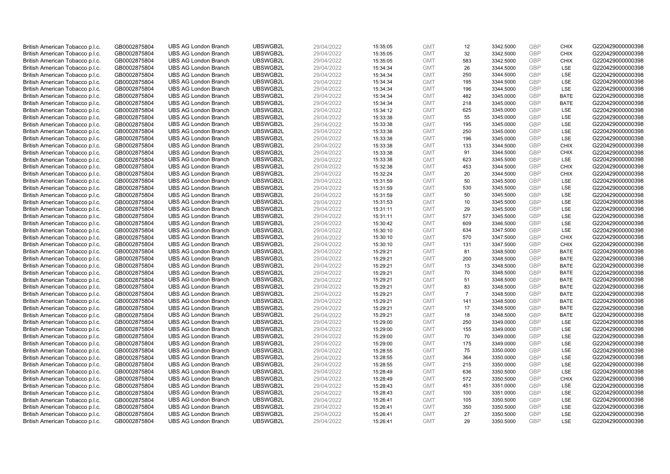| British American Tobacco p.l.c. | GB0002875804 | <b>UBS AG London Branch</b> | UBSWGB2L | 29/04/2022 | 15:35:05 | <b>GMT</b> | 12             | 3342.5000 | <b>GBP</b>               | <b>CHIX</b> | G220429000000398 |
|---------------------------------|--------------|-----------------------------|----------|------------|----------|------------|----------------|-----------|--------------------------|-------------|------------------|
| British American Tobacco p.l.c. | GB0002875804 | <b>UBS AG London Branch</b> | UBSWGB2L | 29/04/2022 | 15:35:05 | <b>GMT</b> | 32             | 3342.5000 | <b>GBP</b>               | <b>CHIX</b> | G220429000000398 |
| British American Tobacco p.l.c. | GB0002875804 | <b>UBS AG London Branch</b> | UBSWGB2L | 29/04/2022 | 15:35:05 | <b>GMT</b> | 583            | 3342.5000 | <b>GBP</b>               | <b>CHIX</b> | G220429000000398 |
|                                 |              |                             | UBSWGB2L |            |          |            |                |           | <b>GBP</b>               |             |                  |
| British American Tobacco p.l.c. | GB0002875804 | <b>UBS AG London Branch</b> |          | 29/04/2022 | 15:34:34 | <b>GMT</b> | 26             | 3344.5000 |                          | LSE         | G220429000000398 |
| British American Tobacco p.l.c. | GB0002875804 | <b>UBS AG London Branch</b> | UBSWGB2L | 29/04/2022 | 15:34:34 | <b>GMT</b> | 250            | 3344.5000 | <b>GBP</b>               | LSE         | G220429000000398 |
| British American Tobacco p.l.c. | GB0002875804 | <b>UBS AG London Branch</b> | UBSWGB2L | 29/04/2022 | 15:34:34 | <b>GMT</b> | 195            | 3344.5000 | <b>GBP</b>               | LSE         | G220429000000398 |
| British American Tobacco p.l.c. | GB0002875804 | <b>UBS AG London Branch</b> | UBSWGB2L | 29/04/2022 | 15:34:34 | <b>GMT</b> | 196            | 3344.5000 | <b>GBP</b>               | LSE         | G220429000000398 |
| British American Tobacco p.l.c. | GB0002875804 | <b>UBS AG London Branch</b> | UBSWGB2L | 29/04/2022 | 15:34:34 | <b>GMT</b> | 482            | 3345.0000 | <b>GBP</b>               | <b>BATE</b> | G220429000000398 |
| British American Tobacco p.l.c. | GB0002875804 | <b>UBS AG London Branch</b> | UBSWGB2L | 29/04/2022 | 15:34:34 | <b>GMT</b> | 218            | 3345.0000 | <b>GBP</b>               | <b>BATE</b> | G220429000000398 |
| British American Tobacco p.l.c. | GB0002875804 | <b>UBS AG London Branch</b> | UBSWGB2L | 29/04/2022 | 15:34:12 | <b>GMT</b> | 625            | 3345.0000 | <b>GBP</b>               | LSE         | G220429000000398 |
| British American Tobacco p.l.c. | GB0002875804 | <b>UBS AG London Branch</b> | UBSWGB2L | 29/04/2022 | 15:33:38 | <b>GMT</b> | 55             | 3345.0000 | <b>GBP</b>               | LSE         | G220429000000398 |
| British American Tobacco p.l.c. | GB0002875804 | <b>UBS AG London Branch</b> | UBSWGB2L | 29/04/2022 | 15:33:38 | <b>GMT</b> | 195            | 3345.0000 | <b>GBP</b>               | LSE         | G220429000000398 |
| British American Tobacco p.l.c. | GB0002875804 | <b>UBS AG London Branch</b> | UBSWGB2L | 29/04/2022 | 15:33:38 | <b>GMT</b> | 250            | 3345.0000 | <b>GBP</b>               | LSE         | G220429000000398 |
| British American Tobacco p.l.c. | GB0002875804 | <b>UBS AG London Branch</b> | UBSWGB2L | 29/04/2022 | 15:33:38 | <b>GMT</b> | 196            | 3345.0000 | <b>GBP</b>               | LSE         | G220429000000398 |
| British American Tobacco p.l.c. | GB0002875804 | <b>UBS AG London Branch</b> | UBSWGB2L | 29/04/2022 | 15:33:38 | <b>GMT</b> | 133            | 3344.5000 | <b>GBP</b>               | <b>CHIX</b> | G220429000000398 |
| British American Tobacco p.l.c. | GB0002875804 | <b>UBS AG London Branch</b> | UBSWGB2L | 29/04/2022 | 15:33:38 | <b>GMT</b> | 91             | 3344.5000 | <b>GBP</b>               | <b>CHIX</b> | G220429000000398 |
| British American Tobacco p.l.c. | GB0002875804 | <b>UBS AG London Branch</b> | UBSWGB2L | 29/04/2022 | 15:33:38 | <b>GMT</b> | 623            | 3345.5000 | <b>GBP</b>               | LSE         | G220429000000398 |
| British American Tobacco p.l.c. | GB0002875804 | <b>UBS AG London Branch</b> | UBSWGB2L | 29/04/2022 | 15:32:38 | <b>GMT</b> | 453            | 3344.5000 | <b>GBP</b>               | <b>CHIX</b> | G220429000000398 |
| British American Tobacco p.l.c. | GB0002875804 | <b>UBS AG London Branch</b> | UBSWGB2L | 29/04/2022 | 15:32:24 | <b>GMT</b> | 20             | 3344.5000 | <b>GBP</b>               | <b>CHIX</b> | G220429000000398 |
| British American Tobacco p.l.c. | GB0002875804 | <b>UBS AG London Branch</b> | UBSWGB2L | 29/04/2022 | 15:31:59 | <b>GMT</b> | 50             | 3345.5000 | <b>GBP</b>               | LSE         | G220429000000398 |
| British American Tobacco p.l.c. | GB0002875804 | <b>UBS AG London Branch</b> | UBSWGB2L | 29/04/2022 | 15:31:59 | <b>GMT</b> | 530            | 3345.5000 | <b>GBP</b>               | LSE         | G220429000000398 |
| British American Tobacco p.l.c. | GB0002875804 | <b>UBS AG London Branch</b> | UBSWGB2L | 29/04/2022 | 15:31:59 | <b>GMT</b> | 50             | 3345.5000 | <b>GBP</b>               | LSE         | G220429000000398 |
| British American Tobacco p.l.c. | GB0002875804 | <b>UBS AG London Branch</b> | UBSWGB2L | 29/04/2022 | 15:31:53 | <b>GMT</b> | 10             | 3345.5000 | <b>GBP</b>               | LSE         | G220429000000398 |
| British American Tobacco p.l.c. | GB0002875804 | <b>UBS AG London Branch</b> | UBSWGB2L | 29/04/2022 | 15:31:11 | <b>GMT</b> | 29             | 3345.5000 | <b>GBP</b>               | LSE         | G220429000000398 |
| British American Tobacco p.l.c. | GB0002875804 | <b>UBS AG London Branch</b> | UBSWGB2L | 29/04/2022 | 15:31:11 | <b>GMT</b> | 577            | 3345.5000 | <b>GBP</b>               | LSE         | G220429000000398 |
| British American Tobacco p.l.c. | GB0002875804 | <b>UBS AG London Branch</b> | UBSWGB2L | 29/04/2022 | 15:30:42 | <b>GMT</b> | 609            | 3346.5000 | <b>GBP</b>               | LSE         | G220429000000398 |
| British American Tobacco p.l.c. | GB0002875804 | <b>UBS AG London Branch</b> | UBSWGB2L | 29/04/2022 | 15:30:10 | <b>GMT</b> | 634            | 3347.5000 | <b>GBP</b>               | LSE         | G220429000000398 |
| British American Tobacco p.l.c. | GB0002875804 | <b>UBS AG London Branch</b> | UBSWGB2L | 29/04/2022 | 15:30:10 | <b>GMT</b> | 570            | 3347.5000 | <b>GBP</b>               | <b>CHIX</b> | G220429000000398 |
| British American Tobacco p.l.c. | GB0002875804 | <b>UBS AG London Branch</b> | UBSWGB2L | 29/04/2022 | 15:30:10 | <b>GMT</b> | 131            | 3347.5000 | <b>GBP</b>               | <b>CHIX</b> | G220429000000398 |
| British American Tobacco p.l.c. | GB0002875804 | <b>UBS AG London Branch</b> | UBSWGB2L | 29/04/2022 | 15:29:21 | <b>GMT</b> | 81             | 3348.5000 | <b>GBP</b>               | <b>BATE</b> | G220429000000398 |
| British American Tobacco p.l.c. | GB0002875804 | <b>UBS AG London Branch</b> | UBSWGB2L | 29/04/2022 | 15:29:21 | <b>GMT</b> | 200            | 3348.5000 | <b>GBP</b>               | <b>BATE</b> | G220429000000398 |
| British American Tobacco p.l.c. | GB0002875804 | <b>UBS AG London Branch</b> | UBSWGB2L | 29/04/2022 | 15:29:21 | <b>GMT</b> | 13             | 3348.5000 | <b>GBP</b>               | <b>BATE</b> | G220429000000398 |
| British American Tobacco p.l.c. | GB0002875804 | <b>UBS AG London Branch</b> | UBSWGB2L | 29/04/2022 | 15:29:21 | <b>GMT</b> | 70             | 3348.5000 | <b>GBP</b>               | <b>BATE</b> | G220429000000398 |
| British American Tobacco p.l.c. | GB0002875804 | <b>UBS AG London Branch</b> | UBSWGB2L | 29/04/2022 | 15:29:21 | <b>GMT</b> | 51             | 3348.5000 | GBP                      | <b>BATE</b> | G220429000000398 |
| British American Tobacco p.l.c. | GB0002875804 | <b>UBS AG London Branch</b> | UBSWGB2L | 29/04/2022 | 15:29:21 | <b>GMT</b> | 83             | 3348.5000 | <b>GBP</b>               | <b>BATE</b> | G220429000000398 |
| British American Tobacco p.l.c. | GB0002875804 | <b>UBS AG London Branch</b> | UBSWGB2L | 29/04/2022 | 15:29:21 | <b>GMT</b> | $\overline{7}$ | 3348.5000 | <b>GBP</b>               | <b>BATE</b> | G220429000000398 |
| British American Tobacco p.l.c. | GB0002875804 | <b>UBS AG London Branch</b> | UBSWGB2L | 29/04/2022 | 15:29:21 | <b>GMT</b> | 141            | 3348.5000 | <b>GBP</b>               | <b>BATE</b> | G220429000000398 |
| British American Tobacco p.l.c. | GB0002875804 | <b>UBS AG London Branch</b> | UBSWGB2L | 29/04/2022 | 15:29:21 | <b>GMT</b> | 17             | 3348.5000 | <b>GBP</b>               | <b>BATE</b> | G220429000000398 |
|                                 |              | <b>UBS AG London Branch</b> | UBSWGB2L | 29/04/2022 |          | <b>GMT</b> | 18             | 3348.5000 | <b>GBP</b>               | <b>BATE</b> | G220429000000398 |
| British American Tobacco p.l.c. | GB0002875804 |                             |          |            | 15:29:21 |            |                |           |                          |             |                  |
| British American Tobacco p.l.c. | GB0002875804 | <b>UBS AG London Branch</b> | UBSWGB2L | 29/04/2022 | 15:29:00 | <b>GMT</b> | 250            | 3349.0000 | <b>GBP</b><br><b>GBP</b> | LSE<br>LSE  | G220429000000398 |
| British American Tobacco p.l.c. | GB0002875804 | <b>UBS AG London Branch</b> | UBSWGB2L | 29/04/2022 | 15:29:00 | <b>GMT</b> | 155            | 3349.0000 |                          |             | G220429000000398 |
| British American Tobacco p.l.c. | GB0002875804 | <b>UBS AG London Branch</b> | UBSWGB2L | 29/04/2022 | 15:29:00 | <b>GMT</b> | 70             | 3349.0000 | <b>GBP</b>               | LSE         | G220429000000398 |
| British American Tobacco p.l.c. | GB0002875804 | <b>UBS AG London Branch</b> | UBSWGB2L | 29/04/2022 | 15:29:00 | <b>GMT</b> | 175            | 3349.0000 | <b>GBP</b>               | LSE         | G220429000000398 |
| British American Tobacco p.l.c. | GB0002875804 | <b>UBS AG London Branch</b> | UBSWGB2L | 29/04/2022 | 15:28:55 | <b>GMT</b> | 75             | 3350.0000 | GBP                      | LSE         | G220429000000398 |
| British American Tobacco p.l.c. | GB0002875804 | <b>UBS AG London Branch</b> | UBSWGB2L | 29/04/2022 | 15:28:55 | <b>GMT</b> | 364            | 3350.0000 | <b>GBP</b>               | LSE         | G220429000000398 |
| British American Tobacco p.l.c. | GB0002875804 | <b>UBS AG London Branch</b> | UBSWGB2L | 29/04/2022 | 15:28:55 | <b>GMT</b> | 215            | 3350.0000 | <b>GBP</b>               | LSE         | G220429000000398 |
| British American Tobacco p.l.c. | GB0002875804 | <b>UBS AG London Branch</b> | UBSWGB2L | 29/04/2022 | 15:28:49 | <b>GMT</b> | 636            | 3350.5000 | <b>GBP</b>               | LSE         | G220429000000398 |
| British American Tobacco p.l.c. | GB0002875804 | <b>UBS AG London Branch</b> | UBSWGB2L | 29/04/2022 | 15:28:49 | <b>GMT</b> | 572            | 3350.5000 | <b>GBP</b>               | <b>CHIX</b> | G220429000000398 |
| British American Tobacco p.l.c. | GB0002875804 | <b>UBS AG London Branch</b> | UBSWGB2L | 29/04/2022 | 15:28:43 | <b>GMT</b> | 451            | 3351.0000 | <b>GBP</b>               | LSE         | G220429000000398 |
| British American Tobacco p.l.c. | GB0002875804 | <b>UBS AG London Branch</b> | UBSWGB2L | 29/04/2022 | 15:28:43 | <b>GMT</b> | 100            | 3351.0000 | <b>GBP</b>               | LSE         | G220429000000398 |
| British American Tobacco p.l.c. | GB0002875804 | <b>UBS AG London Branch</b> | UBSWGB2L | 29/04/2022 | 15:26:41 | <b>GMT</b> | 105            | 3350.5000 | <b>GBP</b>               | LSE         | G220429000000398 |
| British American Tobacco p.l.c. | GB0002875804 | <b>UBS AG London Branch</b> | UBSWGB2L | 29/04/2022 | 15:26:41 | <b>GMT</b> | 350            | 3350.5000 | <b>GBP</b>               | LSE         | G220429000000398 |
| British American Tobacco p.l.c. | GB0002875804 | <b>UBS AG London Branch</b> | UBSWGB2L | 29/04/2022 | 15:26:41 | <b>GMT</b> | 27             | 3350.5000 | <b>GBP</b>               | LSE         | G220429000000398 |
| British American Tobacco p.l.c. | GB0002875804 | <b>UBS AG London Branch</b> | UBSWGB2L | 29/04/2022 | 15:26:41 | <b>GMT</b> | 29             | 3350.5000 | GBP                      | LSE         | G220429000000398 |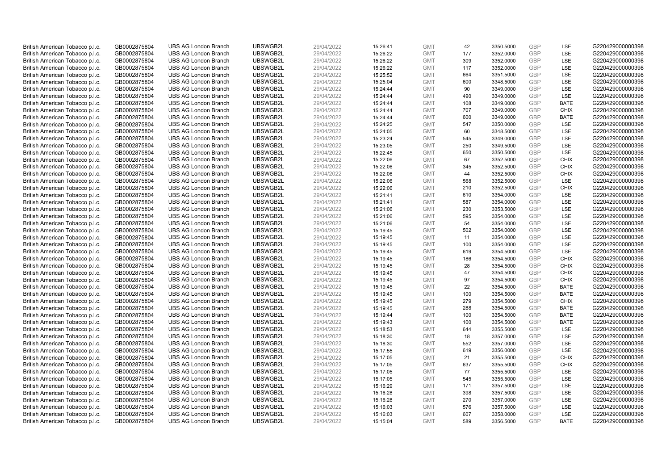| British American Tobacco p.l.c. | GB0002875804 | <b>UBS AG London Branch</b> | UBSWGB2L | 29/04/2022 | 15:26:41 | <b>GMT</b> | 42  | 3350.5000 | <b>GBP</b> | LSE         | G220429000000398 |
|---------------------------------|--------------|-----------------------------|----------|------------|----------|------------|-----|-----------|------------|-------------|------------------|
| British American Tobacco p.l.c. | GB0002875804 | <b>UBS AG London Branch</b> | UBSWGB2L | 29/04/2022 | 15:26:22 | <b>GMT</b> | 177 | 3352.0000 | GBP        | <b>LSE</b>  | G220429000000398 |
| British American Tobacco p.l.c. | GB0002875804 | <b>UBS AG London Branch</b> | UBSWGB2L | 29/04/2022 | 15:26:22 | <b>GMT</b> | 309 | 3352.0000 | <b>GBP</b> | LSE         | G220429000000398 |
| British American Tobacco p.l.c. | GB0002875804 | <b>UBS AG London Branch</b> | UBSWGB2L | 29/04/2022 | 15:26:22 | <b>GMT</b> | 117 | 3352.0000 | <b>GBP</b> | LSE         | G220429000000398 |
| British American Tobacco p.l.c. | GB0002875804 | <b>UBS AG London Branch</b> | UBSWGB2L | 29/04/2022 | 15:25:52 | <b>GMT</b> | 664 | 3351.5000 | <b>GBP</b> | LSE         | G220429000000398 |
| British American Tobacco p.l.c. | GB0002875804 | <b>UBS AG London Branch</b> | UBSWGB2L | 29/04/2022 | 15:25:04 | <b>GMT</b> | 600 | 3348.5000 | <b>GBP</b> | <b>LSE</b>  | G220429000000398 |
| British American Tobacco p.l.c. | GB0002875804 | <b>UBS AG London Branch</b> | UBSWGB2L | 29/04/2022 | 15:24:44 | <b>GMT</b> | 90  | 3349.0000 | <b>GBP</b> | LSE         | G220429000000398 |
| British American Tobacco p.l.c. | GB0002875804 | <b>UBS AG London Branch</b> | UBSWGB2L | 29/04/2022 | 15:24:44 | <b>GMT</b> | 490 | 3349.0000 | <b>GBP</b> | LSE         | G220429000000398 |
| British American Tobacco p.l.c. | GB0002875804 | <b>UBS AG London Branch</b> | UBSWGB2L | 29/04/2022 | 15:24:44 | <b>GMT</b> | 108 | 3349.0000 | GBP        | <b>BATE</b> | G220429000000398 |
| British American Tobacco p.l.c. | GB0002875804 | <b>UBS AG London Branch</b> | UBSWGB2L | 29/04/2022 | 15:24:44 | <b>GMT</b> | 707 | 3349.0000 | <b>GBP</b> | <b>CHIX</b> | G220429000000398 |
| British American Tobacco p.l.c. | GB0002875804 | <b>UBS AG London Branch</b> | UBSWGB2L | 29/04/2022 | 15:24:44 | <b>GMT</b> | 600 | 3349.0000 | <b>GBP</b> | <b>BATE</b> | G220429000000398 |
| British American Tobacco p.l.c. | GB0002875804 | <b>UBS AG London Branch</b> | UBSWGB2L | 29/04/2022 | 15:24:25 | <b>GMT</b> | 547 | 3350.0000 | <b>GBP</b> | LSE         | G220429000000398 |
| British American Tobacco p.l.c. | GB0002875804 | <b>UBS AG London Branch</b> | UBSWGB2L | 29/04/2022 | 15:24:05 | <b>GMT</b> | 60  | 3348.5000 | GBP        | LSE         | G220429000000398 |
| British American Tobacco p.l.c. | GB0002875804 | <b>UBS AG London Branch</b> | UBSWGB2L | 29/04/2022 | 15:23:24 | <b>GMT</b> | 545 | 3349.0000 | <b>GBP</b> | LSE         | G220429000000398 |
| British American Tobacco p.l.c. | GB0002875804 | <b>UBS AG London Branch</b> | UBSWGB2L | 29/04/2022 | 15:23:05 | <b>GMT</b> | 250 | 3349.5000 | GBP        | <b>LSE</b>  | G220429000000398 |
| British American Tobacco p.l.c. | GB0002875804 | <b>UBS AG London Branch</b> | UBSWGB2L | 29/04/2022 | 15:22:45 | <b>GMT</b> | 650 | 3350.5000 | GBP        | LSE         | G220429000000398 |
| British American Tobacco p.l.c. | GB0002875804 | <b>UBS AG London Branch</b> | UBSWGB2L | 29/04/2022 | 15:22:06 | <b>GMT</b> | 67  | 3352.5000 | GBP        | <b>CHIX</b> | G220429000000398 |
| British American Tobacco p.l.c. | GB0002875804 | <b>UBS AG London Branch</b> | UBSWGB2L | 29/04/2022 | 15:22:06 | <b>GMT</b> | 345 | 3352.5000 | GBP        | <b>CHIX</b> | G220429000000398 |
| British American Tobacco p.l.c. | GB0002875804 | <b>UBS AG London Branch</b> | UBSWGB2L | 29/04/2022 | 15:22:06 | <b>GMT</b> | 44  | 3352.5000 | <b>GBP</b> | <b>CHIX</b> | G220429000000398 |
| British American Tobacco p.l.c. | GB0002875804 | <b>UBS AG London Branch</b> | UBSWGB2L | 29/04/2022 | 15:22:06 | <b>GMT</b> | 568 | 3352.5000 | <b>GBP</b> | LSE         | G220429000000398 |
| British American Tobacco p.l.c. | GB0002875804 | <b>UBS AG London Branch</b> | UBSWGB2L | 29/04/2022 | 15:22:06 | <b>GMT</b> | 210 | 3352.5000 | <b>GBP</b> | <b>CHIX</b> | G220429000000398 |
| British American Tobacco p.l.c. | GB0002875804 | <b>UBS AG London Branch</b> | UBSWGB2L | 29/04/2022 | 15:21:41 | <b>GMT</b> | 610 | 3354.0000 | GBP        | LSE         | G220429000000398 |
| British American Tobacco p.l.c. | GB0002875804 | <b>UBS AG London Branch</b> | UBSWGB2L | 29/04/2022 | 15:21:41 | <b>GMT</b> | 587 | 3354.0000 | <b>GBP</b> | LSE         | G220429000000398 |
| British American Tobacco p.l.c. | GB0002875804 | <b>UBS AG London Branch</b> | UBSWGB2L | 29/04/2022 | 15:21:06 | <b>GMT</b> | 230 | 3353.5000 | GBP        | <b>LSE</b>  | G220429000000398 |
| British American Tobacco p.l.c. | GB0002875804 | <b>UBS AG London Branch</b> | UBSWGB2L | 29/04/2022 | 15:21:06 | <b>GMT</b> | 595 | 3354.0000 | <b>GBP</b> | LSE         | G220429000000398 |
| British American Tobacco p.l.c. | GB0002875804 | <b>UBS AG London Branch</b> | UBSWGB2L | 29/04/2022 | 15:21:06 | <b>GMT</b> | 54  | 3354.0000 | GBP        | LSE         | G220429000000398 |
| British American Tobacco p.l.c. | GB0002875804 | <b>UBS AG London Branch</b> | UBSWGB2L | 29/04/2022 | 15:19:45 | <b>GMT</b> | 502 | 3354.0000 | <b>GBP</b> | LSE         | G220429000000398 |
| British American Tobacco p.l.c. | GB0002875804 | <b>UBS AG London Branch</b> | UBSWGB2L | 29/04/2022 | 15:19:45 | <b>GMT</b> | 11  | 3354.0000 | GBP        | LSE         | G220429000000398 |
| British American Tobacco p.l.c. | GB0002875804 | <b>UBS AG London Branch</b> | UBSWGB2L | 29/04/2022 | 15:19:45 | <b>GMT</b> | 100 | 3354.0000 | <b>GBP</b> | LSE         | G220429000000398 |
| British American Tobacco p.l.c. | GB0002875804 | <b>UBS AG London Branch</b> | UBSWGB2L | 29/04/2022 | 15:19:45 | <b>GMT</b> | 619 | 3354.5000 | GBP        | LSE         | G220429000000398 |
| British American Tobacco p.l.c. | GB0002875804 | <b>UBS AG London Branch</b> | UBSWGB2L | 29/04/2022 | 15:19:45 | <b>GMT</b> | 186 | 3354.5000 | <b>GBP</b> | <b>CHIX</b> | G220429000000398 |
| British American Tobacco p.l.c. | GB0002875804 | <b>UBS AG London Branch</b> | UBSWGB2L | 29/04/2022 | 15:19:45 | <b>GMT</b> | 28  | 3354.5000 | GBP        | <b>CHIX</b> | G220429000000398 |
| British American Tobacco p.l.c. | GB0002875804 | <b>UBS AG London Branch</b> | UBSWGB2L | 29/04/2022 | 15:19:45 | <b>GMT</b> | 47  | 3354.5000 | <b>GBP</b> | <b>CHIX</b> | G220429000000398 |
| British American Tobacco p.l.c. | GB0002875804 | <b>UBS AG London Branch</b> | UBSWGB2L | 29/04/2022 | 15:19:45 | <b>GMT</b> | 97  | 3354.5000 | <b>GBP</b> | <b>CHIX</b> | G220429000000398 |
| British American Tobacco p.l.c. | GB0002875804 | <b>UBS AG London Branch</b> | UBSWGB2L | 29/04/2022 | 15:19:45 | <b>GMT</b> | 22  | 3354.5000 | GBP        | <b>BATE</b> | G220429000000398 |
| British American Tobacco p.l.c. | GB0002875804 | <b>UBS AG London Branch</b> | UBSWGB2L | 29/04/2022 | 15:19:45 | <b>GMT</b> | 100 | 3354.5000 | <b>GBP</b> | <b>BATE</b> | G220429000000398 |
| British American Tobacco p.l.c. | GB0002875804 | <b>UBS AG London Branch</b> | UBSWGB2L | 29/04/2022 | 15:19:45 | <b>GMT</b> | 279 | 3354.5000 | GBP        | <b>CHIX</b> | G220429000000398 |
| British American Tobacco p.l.c. | GB0002875804 | <b>UBS AG London Branch</b> | UBSWGB2L | 29/04/2022 | 15:19:45 | <b>GMT</b> | 288 | 3354.5000 | <b>GBP</b> | <b>BATE</b> | G220429000000398 |
| British American Tobacco p.l.c. | GB0002875804 | <b>UBS AG London Branch</b> | UBSWGB2L | 29/04/2022 | 15:19:44 | <b>GMT</b> | 100 | 3354.5000 | GBP        | <b>BATE</b> | G220429000000398 |
| British American Tobacco p.l.c. | GB0002875804 | <b>UBS AG London Branch</b> | UBSWGB2L | 29/04/2022 | 15:19:43 | <b>GMT</b> | 100 | 3354.5000 | <b>GBP</b> | <b>BATE</b> | G220429000000398 |
| British American Tobacco p.l.c. | GB0002875804 | <b>UBS AG London Branch</b> | UBSWGB2L | 29/04/2022 | 15:18:53 | <b>GMT</b> | 644 | 3355.5000 | GBP        | LSE         | G220429000000398 |
| British American Tobacco p.l.c. | GB0002875804 | <b>UBS AG London Branch</b> | UBSWGB2L | 29/04/2022 | 15:18:30 | <b>GMT</b> | 18  | 3357.0000 | <b>GBP</b> | LSE         | G220429000000398 |
| British American Tobacco p.l.c. | GB0002875804 | <b>UBS AG London Branch</b> | UBSWGB2L | 29/04/2022 | 15:18:30 | <b>GMT</b> | 552 | 3357.0000 | GBP        | LSE         | G220429000000398 |
| British American Tobacco p.l.c. | GB0002875804 | <b>UBS AG London Branch</b> | UBSWGB2L | 29/04/2022 | 15:17:55 | <b>GMT</b> | 619 | 3356.0000 | <b>GBP</b> | LSE         | G220429000000398 |
| British American Tobacco p.l.c. | GB0002875804 | <b>UBS AG London Branch</b> | UBSWGB2L | 29/04/2022 | 15:17:05 | <b>GMT</b> | 21  | 3355.5000 | <b>GBP</b> | <b>CHIX</b> | G220429000000398 |
| British American Tobacco p.l.c. | GB0002875804 | <b>UBS AG London Branch</b> | UBSWGB2L | 29/04/2022 | 15:17:05 | <b>GMT</b> | 637 | 3355.5000 | <b>GBP</b> | <b>CHIX</b> | G220429000000398 |
| British American Tobacco p.l.c. | GB0002875804 | <b>UBS AG London Branch</b> | UBSWGB2L | 29/04/2022 | 15:17:05 | <b>GMT</b> | 77  | 3355.5000 | <b>GBP</b> | LSE         | G220429000000398 |
| British American Tobacco p.l.c. | GB0002875804 | <b>UBS AG London Branch</b> | UBSWGB2L | 29/04/2022 | 15:17:05 | <b>GMT</b> | 545 | 3355.5000 | GBP        | LSE         | G220429000000398 |
| British American Tobacco p.l.c. | GB0002875804 | <b>UBS AG London Branch</b> | UBSWGB2L | 29/04/2022 | 15:16:29 | <b>GMT</b> | 171 | 3357.5000 | <b>GBP</b> | LSE         | G220429000000398 |
| British American Tobacco p.l.c. | GB0002875804 | <b>UBS AG London Branch</b> | UBSWGB2L | 29/04/2022 | 15:16:28 | <b>GMT</b> | 398 | 3357.5000 | GBP        | <b>LSE</b>  | G220429000000398 |
| British American Tobacco p.l.c. | GB0002875804 | <b>UBS AG London Branch</b> | UBSWGB2L | 29/04/2022 | 15:16:28 | <b>GMT</b> | 270 | 3357.0000 | <b>GBP</b> | LSE         | G220429000000398 |
| British American Tobacco p.l.c. | GB0002875804 | <b>UBS AG London Branch</b> | UBSWGB2L | 29/04/2022 | 15:16:03 | <b>GMT</b> | 576 | 3357.5000 | <b>GBP</b> | LSE         | G220429000000398 |
| British American Tobacco p.l.c. | GB0002875804 | <b>UBS AG London Branch</b> | UBSWGB2L | 29/04/2022 | 15:16:03 | <b>GMT</b> | 607 | 3358.0000 | <b>GBP</b> | <b>LSE</b>  | G220429000000398 |
| British American Tobacco p.l.c. | GB0002875804 | <b>UBS AG London Branch</b> | UBSWGB2L | 29/04/2022 | 15:15:04 | <b>GMT</b> | 589 | 3356.5000 | GBP        | <b>BATE</b> | G220429000000398 |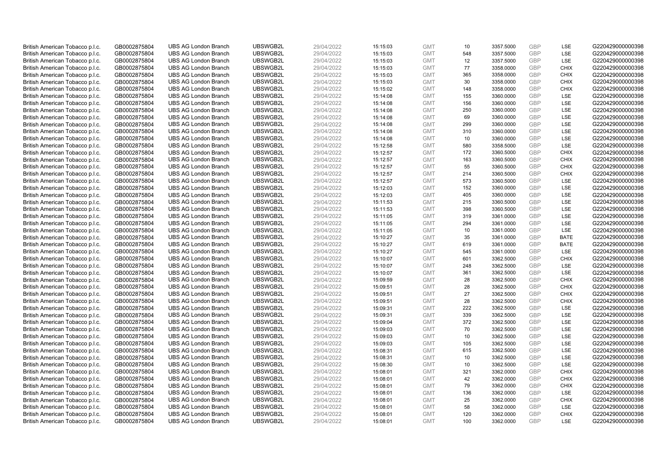| British American Tobacco p.l.c.                                    | GB0002875804                 | <b>UBS AG London Branch</b>                                | UBSWGB2L             | 29/04/2022               | 15:15:03             | <b>GMT</b>               | 10         | 3357.5000              | <b>GBP</b>        | LSE                       | G220429000000398                     |
|--------------------------------------------------------------------|------------------------------|------------------------------------------------------------|----------------------|--------------------------|----------------------|--------------------------|------------|------------------------|-------------------|---------------------------|--------------------------------------|
| British American Tobacco p.l.c.                                    | GB0002875804                 | <b>UBS AG London Branch</b>                                | UBSWGB2L             | 29/04/2022               | 15:15:03             | <b>GMT</b>               | 548        | 3357.5000              | GBP               | LSE                       | G220429000000398                     |
| British American Tobacco p.l.c.                                    | GB0002875804                 | <b>UBS AG London Branch</b>                                | UBSWGB2L             | 29/04/2022               | 15:15:03             | <b>GMT</b>               | 12         | 3357.5000              | <b>GBP</b>        | LSE                       | G220429000000398                     |
|                                                                    |                              |                                                            | UBSWGB2L             |                          |                      |                          |            |                        | <b>GBP</b>        |                           |                                      |
| British American Tobacco p.l.c.                                    | GB0002875804                 | <b>UBS AG London Branch</b>                                |                      | 29/04/2022               | 15:15:03             | <b>GMT</b>               | 77         | 3358.0000              |                   | <b>CHIX</b>               | G220429000000398                     |
| British American Tobacco p.l.c.                                    | GB0002875804                 | <b>UBS AG London Branch</b>                                | UBSWGB2L             | 29/04/2022               | 15:15:03             | <b>GMT</b>               | 365        | 3358.0000              | <b>GBP</b>        | <b>CHIX</b>               | G220429000000398                     |
| British American Tobacco p.l.c.                                    | GB0002875804                 | <b>UBS AG London Branch</b>                                | UBSWGB2L             | 29/04/2022               | 15:15:03             | <b>GMT</b>               | 30         | 3358.0000              | <b>GBP</b>        | <b>CHIX</b>               | G220429000000398                     |
| British American Tobacco p.l.c.                                    | GB0002875804                 | <b>UBS AG London Branch</b>                                | UBSWGB2L             | 29/04/2022               | 15:15:02             | <b>GMT</b>               | 148        | 3358.0000              | <b>GBP</b>        | <b>CHIX</b>               | G220429000000398                     |
| British American Tobacco p.l.c.                                    | GB0002875804                 | <b>UBS AG London Branch</b>                                | UBSWGB2L             | 29/04/2022               | 15:14:08             | <b>GMT</b>               | 155        | 3360.0000              | <b>GBP</b>        | LSE                       | G220429000000398                     |
| British American Tobacco p.l.c.                                    | GB0002875804                 | <b>UBS AG London Branch</b>                                | UBSWGB2L             | 29/04/2022               | 15:14:08             | <b>GMT</b>               | 156        | 3360.0000              | <b>GBP</b>        | LSE                       | G220429000000398                     |
| British American Tobacco p.l.c.                                    | GB0002875804                 | <b>UBS AG London Branch</b>                                | UBSWGB2L             | 29/04/2022               | 15:14:08             | <b>GMT</b>               | 250        | 3360.0000              | <b>GBP</b>        | LSE                       | G220429000000398                     |
| British American Tobacco p.l.c.                                    | GB0002875804                 | <b>UBS AG London Branch</b>                                | UBSWGB2L             | 29/04/2022               | 15:14:08             | <b>GMT</b>               | 69         | 3360.0000              | <b>GBP</b>        | LSE                       | G220429000000398                     |
| British American Tobacco p.l.c.                                    | GB0002875804                 | <b>UBS AG London Branch</b>                                | UBSWGB2L             | 29/04/2022               | 15:14:08             | <b>GMT</b>               | 299        | 3360.0000              | <b>GBP</b>        | LSE                       | G220429000000398                     |
| British American Tobacco p.l.c.                                    | GB0002875804                 | <b>UBS AG London Branch</b>                                | UBSWGB2L             | 29/04/2022               | 15:14:08             | <b>GMT</b>               | 310        | 3360.0000              | <b>GBP</b>        | LSE                       | G220429000000398                     |
| British American Tobacco p.l.c.                                    | GB0002875804                 | <b>UBS AG London Branch</b>                                | UBSWGB2L             | 29/04/2022               | 15:14:08             | <b>GMT</b>               | 10         | 3360.0000              | <b>GBP</b>        | LSE                       | G220429000000398                     |
| British American Tobacco p.l.c.                                    | GB0002875804                 | <b>UBS AG London Branch</b>                                | UBSWGB2L             | 29/04/2022               | 15:12:58             | <b>GMT</b>               | 580        | 3358.5000              | <b>GBP</b>        | LSE                       | G220429000000398                     |
| British American Tobacco p.l.c.                                    | GB0002875804                 | <b>UBS AG London Branch</b>                                | UBSWGB2L             | 29/04/2022               | 15:12:57             | <b>GMT</b>               | 172        | 3360.5000              | <b>GBP</b>        | <b>CHIX</b>               | G220429000000398                     |
| British American Tobacco p.l.c.                                    | GB0002875804                 | <b>UBS AG London Branch</b>                                | UBSWGB2L             | 29/04/2022               | 15:12:57             | <b>GMT</b>               | 163        | 3360.5000              | <b>GBP</b>        | <b>CHIX</b>               | G220429000000398                     |
| British American Tobacco p.l.c.                                    | GB0002875804                 | <b>UBS AG London Branch</b>                                | UBSWGB2L             | 29/04/2022               | 15:12:57             | <b>GMT</b>               | 55         | 3360.5000              | <b>GBP</b>        | <b>CHIX</b>               | G220429000000398                     |
| British American Tobacco p.l.c.                                    | GB0002875804                 | <b>UBS AG London Branch</b>                                | UBSWGB2L             | 29/04/2022               | 15:12:57             | <b>GMT</b>               | 214        | 3360.5000              | <b>GBP</b>        | <b>CHIX</b>               | G220429000000398                     |
| British American Tobacco p.l.c.                                    | GB0002875804                 | <b>UBS AG London Branch</b>                                | UBSWGB2L             | 29/04/2022               | 15:12:57             | <b>GMT</b>               | 573        | 3360.5000              | <b>GBP</b>        | LSE                       | G220429000000398                     |
| British American Tobacco p.l.c.                                    | GB0002875804                 | <b>UBS AG London Branch</b>                                | UBSWGB2L             | 29/04/2022               | 15:12:03             | <b>GMT</b>               | 152        | 3360.0000              | <b>GBP</b>        | LSE                       | G220429000000398                     |
| British American Tobacco p.l.c.                                    | GB0002875804                 | <b>UBS AG London Branch</b>                                | UBSWGB2L             | 29/04/2022               | 15:12:03             | <b>GMT</b>               | 405        | 3360.0000              | <b>GBP</b>        | LSE                       | G220429000000398                     |
| British American Tobacco p.l.c.                                    | GB0002875804                 | <b>UBS AG London Branch</b>                                | UBSWGB2L             | 29/04/2022               | 15:11:53             | <b>GMT</b>               | 215        | 3360.5000              | <b>GBP</b>        | LSE                       | G220429000000398                     |
| British American Tobacco p.l.c.                                    | GB0002875804                 | <b>UBS AG London Branch</b>                                | UBSWGB2L             | 29/04/2022               | 15:11:53             | <b>GMT</b>               | 398        | 3360.5000              | <b>GBP</b>        | <b>LSE</b>                | G220429000000398                     |
| British American Tobacco p.l.c.                                    | GB0002875804                 | <b>UBS AG London Branch</b>                                | UBSWGB2L             | 29/04/2022               | 15:11:05             | <b>GMT</b>               | 319        | 3361.0000              | <b>GBP</b>        | LSE                       | G220429000000398                     |
| British American Tobacco p.l.c.                                    | GB0002875804                 | <b>UBS AG London Branch</b>                                | UBSWGB2L             | 29/04/2022               | 15:11:05             | <b>GMT</b>               | 294        | 3361.0000              | <b>GBP</b>        | LSE                       | G220429000000398                     |
| British American Tobacco p.l.c.                                    | GB0002875804                 | <b>UBS AG London Branch</b>                                | UBSWGB2L             | 29/04/2022               | 15:11:05             | <b>GMT</b>               | 10         | 3361.0000              | <b>GBP</b>        | LSE                       | G220429000000398                     |
| British American Tobacco p.l.c.                                    | GB0002875804                 |                                                            |                      |                          |                      |                          |            |                        |                   |                           |                                      |
|                                                                    |                              |                                                            |                      |                          |                      |                          |            |                        |                   |                           |                                      |
|                                                                    |                              | <b>UBS AG London Branch</b>                                | UBSWGB2L             | 29/04/2022               | 15:10:27             | <b>GMT</b>               | 35         | 3361.0000              | <b>GBP</b>        | <b>BATE</b>               | G220429000000398                     |
| British American Tobacco p.l.c.                                    | GB0002875804                 | <b>UBS AG London Branch</b>                                | UBSWGB2L             | 29/04/2022               | 15:10:27             | <b>GMT</b>               | 619        | 3361.0000              | <b>GBP</b>        | <b>BATE</b>               | G220429000000398                     |
| British American Tobacco p.l.c.                                    | GB0002875804                 | <b>UBS AG London Branch</b>                                | UBSWGB2L             | 29/04/2022               | 15:10:27             | <b>GMT</b>               | 545        | 3361.0000              | <b>GBP</b>        | LSE                       | G220429000000398                     |
| British American Tobacco p.l.c.                                    | GB0002875804                 | <b>UBS AG London Branch</b>                                | UBSWGB2L             | 29/04/2022               | 15:10:07             | <b>GMT</b>               | 601        | 3362.5000              | GBP               | <b>CHIX</b>               | G220429000000398                     |
| British American Tobacco p.l.c.                                    | GB0002875804                 | <b>UBS AG London Branch</b>                                | UBSWGB2L             | 29/04/2022               | 15:10:07             | <b>GMT</b>               | 248        | 3362.5000              | <b>GBP</b>        | <b>LSE</b>                | G220429000000398                     |
| British American Tobacco p.l.c.                                    | GB0002875804                 | <b>UBS AG London Branch</b>                                | UBSWGB2L             | 29/04/2022               | 15:10:07             | <b>GMT</b>               | 361        | 3362.5000              | <b>GBP</b>        | LSE                       | G220429000000398                     |
| British American Tobacco p.l.c.                                    | GB0002875804                 | <b>UBS AG London Branch</b>                                | UBSWGB2L             | 29/04/2022               | 15:09:59             | <b>GMT</b>               | 28         | 3362.5000              | <b>GBP</b>        | <b>CHIX</b>               | G220429000000398                     |
| British American Tobacco p.l.c.                                    | GB0002875804                 | <b>UBS AG London Branch</b>                                | UBSWGB2L             | 29/04/2022               | 15:09:51             | <b>GMT</b>               | 28         | 3362.5000              | <b>GBP</b>        | <b>CHIX</b>               | G220429000000398                     |
| British American Tobacco p.l.c.                                    | GB0002875804                 | <b>UBS AG London Branch</b>                                | UBSWGB2L             | 29/04/2022               | 15:09:51             | <b>GMT</b>               | 27         | 3362.5000              | <b>GBP</b>        | <b>CHIX</b>               | G220429000000398                     |
| British American Tobacco p.l.c.                                    | GB0002875804                 | <b>UBS AG London Branch</b>                                | UBSWGB2L             | 29/04/2022               | 15:09:51             | <b>GMT</b>               | 28         | 3362.5000              | <b>GBP</b>        | <b>CHIX</b>               | G220429000000398                     |
| British American Tobacco p.l.c.                                    | GB0002875804                 | <b>UBS AG London Branch</b>                                | UBSWGB2L             | 29/04/2022               | 15:09:31             | <b>GMT</b>               | 222        | 3362.5000              | <b>GBP</b>        | LSE                       | G220429000000398                     |
| British American Tobacco p.l.c.                                    | GB0002875804                 | <b>UBS AG London Branch</b>                                | UBSWGB2L             | 29/04/2022               | 15:09:31             | <b>GMT</b>               | 339        | 3362.5000              | <b>GBP</b>        | LSE                       | G220429000000398                     |
| British American Tobacco p.l.c.                                    | GB0002875804                 | <b>UBS AG London Branch</b>                                | UBSWGB2L             | 29/04/2022               | 15:09:04             | <b>GMT</b>               | 372        | 3362.5000              | <b>GBP</b>        | LSE                       | G220429000000398                     |
| British American Tobacco p.l.c.                                    | GB0002875804                 | <b>UBS AG London Branch</b>                                | UBSWGB2L             | 29/04/2022               | 15:09:03             | <b>GMT</b>               | 70         | 3362.5000              | <b>GBP</b>        | <b>LSE</b>                | G220429000000398                     |
| British American Tobacco p.l.c.                                    | GB0002875804                 | <b>UBS AG London Branch</b>                                | UBSWGB2L             | 29/04/2022               | 15:09:03             | <b>GMT</b>               | 10         | 3362.5000              | <b>GBP</b>        | LSE                       | G220429000000398                     |
| British American Tobacco p.l.c.                                    | GB0002875804                 | <b>UBS AG London Branch</b>                                | UBSWGB2L             | 29/04/2022               | 15:09:03             | <b>GMT</b>               | 105        | 3362.5000              | <b>GBP</b>        | LSE                       | G220429000000398                     |
| British American Tobacco p.l.c.                                    | GB0002875804                 | <b>UBS AG London Branch</b>                                | UBSWGB2L             | 29/04/2022               | 15:08:31             | <b>GMT</b>               | 615        | 3362.5000              | GBP               | LSE                       | G220429000000398                     |
| British American Tobacco p.l.c.                                    | GB0002875804                 | <b>UBS AG London Branch</b>                                | UBSWGB2L             | 29/04/2022               | 15:08:31             | <b>GMT</b>               | 10         | 3362.5000              | <b>GBP</b>        | <b>LSE</b>                | G220429000000398                     |
| British American Tobacco p.l.c.                                    | GB0002875804                 | <b>UBS AG London Branch</b>                                | UBSWGB2L             | 29/04/2022               | 15:08:30             | <b>GMT</b>               | 10         | 3362.5000              | <b>GBP</b>        | LSE                       | G220429000000398                     |
| British American Tobacco p.l.c.                                    | GB0002875804                 | <b>UBS AG London Branch</b>                                | UBSWGB2L             | 29/04/2022               | 15:08:01             | <b>GMT</b>               | 321        | 3362.0000              | <b>GBP</b>        | <b>CHIX</b>               | G220429000000398                     |
| British American Tobacco p.l.c.                                    | GB0002875804                 | <b>UBS AG London Branch</b>                                | UBSWGB2L             | 29/04/2022               | 15:08:01             | <b>GMT</b>               | 42         | 3362.0000              | <b>GBP</b>        | <b>CHIX</b>               | G220429000000398                     |
| British American Tobacco p.l.c.                                    | GB0002875804                 | <b>UBS AG London Branch</b>                                | UBSWGB2L             | 29/04/2022               | 15:08:01             | <b>GMT</b>               | 79         | 3362.0000              | <b>GBP</b>        | <b>CHIX</b>               | G220429000000398                     |
| British American Tobacco p.l.c.                                    | GB0002875804                 | <b>UBS AG London Branch</b>                                | UBSWGB2L             | 29/04/2022               | 15:08:01             | <b>GMT</b>               | 136        | 3362.0000              | <b>GBP</b>        | <b>LSE</b>                | G220429000000398                     |
| British American Tobacco p.l.c.                                    | GB0002875804                 | <b>UBS AG London Branch</b>                                | UBSWGB2L             | 29/04/2022               | 15:08:01             | <b>GMT</b>               | 25         | 3362.0000              | <b>GBP</b>        | <b>CHIX</b>               | G220429000000398                     |
| British American Tobacco p.l.c.                                    | GB0002875804                 | <b>UBS AG London Branch</b>                                | UBSWGB2L             | 29/04/2022               | 15:08:01             | <b>GMT</b>               | 58         | 3362.0000              | <b>GBP</b>        | LSE                       | G220429000000398                     |
| British American Tobacco p.l.c.<br>British American Tobacco p.l.c. | GB0002875804<br>GB0002875804 | <b>UBS AG London Branch</b><br><b>UBS AG London Branch</b> | UBSWGB2L<br>UBSWGB2L | 29/04/2022<br>29/04/2022 | 15:08:01<br>15:08:01 | <b>GMT</b><br><b>GMT</b> | 120<br>100 | 3362.0000<br>3362.0000 | <b>GBP</b><br>GBP | <b>CHIX</b><br><b>LSE</b> | G220429000000398<br>G220429000000398 |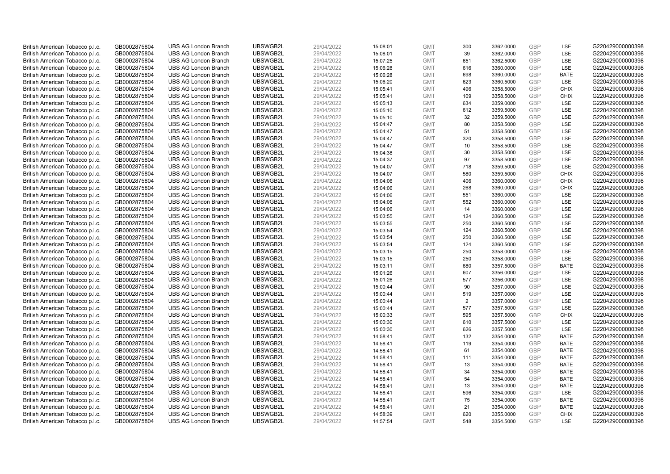| British American Tobacco p.l.c. | GB0002875804 | <b>UBS AG London Branch</b> | UBSWGB2L | 29/04/2022 | 15:08:01 | <b>GMT</b> | 300 | 3362.0000 | <b>GBP</b>               | LSE               | G220429000000398 |
|---------------------------------|--------------|-----------------------------|----------|------------|----------|------------|-----|-----------|--------------------------|-------------------|------------------|
| British American Tobacco p.l.c. | GB0002875804 | <b>UBS AG London Branch</b> | UBSWGB2L | 29/04/2022 | 15:08:01 | <b>GMT</b> | 39  | 3362.0000 | GBP                      | <b>LSE</b>        | G220429000000398 |
| British American Tobacco p.l.c. | GB0002875804 | <b>UBS AG London Branch</b> | UBSWGB2L | 29/04/2022 | 15:07:25 | <b>GMT</b> | 651 | 3362.5000 | <b>GBP</b>               | LSE               | G220429000000398 |
|                                 |              |                             | UBSWGB2L |            |          |            |     |           | <b>GBP</b>               | LSE               |                  |
| British American Tobacco p.l.c. | GB0002875804 | <b>UBS AG London Branch</b> |          | 29/04/2022 | 15:06:28 | <b>GMT</b> | 616 | 3360.0000 |                          |                   | G220429000000398 |
| British American Tobacco p.l.c. | GB0002875804 | <b>UBS AG London Branch</b> | UBSWGB2L | 29/04/2022 | 15:06:28 | <b>GMT</b> | 698 | 3360.0000 | <b>GBP</b>               | <b>BATE</b>       | G220429000000398 |
| British American Tobacco p.l.c. | GB0002875804 | <b>UBS AG London Branch</b> | UBSWGB2L | 29/04/2022 | 15:06:20 | <b>GMT</b> | 623 | 3360.5000 | <b>GBP</b>               | LSE               | G220429000000398 |
| British American Tobacco p.l.c. | GB0002875804 | <b>UBS AG London Branch</b> | UBSWGB2L | 29/04/2022 | 15:05:41 | <b>GMT</b> | 496 | 3358.5000 | <b>GBP</b>               | <b>CHIX</b>       | G220429000000398 |
| British American Tobacco p.l.c. | GB0002875804 | <b>UBS AG London Branch</b> | UBSWGB2L | 29/04/2022 | 15:05:41 | <b>GMT</b> | 109 | 3358.5000 | <b>GBP</b>               | <b>CHIX</b>       | G220429000000398 |
| British American Tobacco p.l.c. | GB0002875804 | <b>UBS AG London Branch</b> | UBSWGB2L | 29/04/2022 | 15:05:13 | <b>GMT</b> | 634 | 3359.0000 | <b>GBP</b>               | LSE               | G220429000000398 |
| British American Tobacco p.l.c. | GB0002875804 | <b>UBS AG London Branch</b> | UBSWGB2L | 29/04/2022 | 15:05:10 | <b>GMT</b> | 612 | 3359.5000 | <b>GBP</b>               | LSE               | G220429000000398 |
| British American Tobacco p.l.c. | GB0002875804 | <b>UBS AG London Branch</b> | UBSWGB2L | 29/04/2022 | 15:05:10 | <b>GMT</b> | 32  | 3359.5000 | <b>GBP</b>               | LSE               | G220429000000398 |
| British American Tobacco p.l.c. | GB0002875804 | <b>UBS AG London Branch</b> | UBSWGB2L | 29/04/2022 | 15:04:47 | <b>GMT</b> | 80  | 3358.5000 | <b>GBP</b>               | LSE               | G220429000000398 |
| British American Tobacco p.l.c. | GB0002875804 | <b>UBS AG London Branch</b> | UBSWGB2L | 29/04/2022 | 15:04:47 | <b>GMT</b> | 51  | 3358.5000 | <b>GBP</b>               | <b>LSE</b>        | G220429000000398 |
| British American Tobacco p.l.c. | GB0002875804 | <b>UBS AG London Branch</b> | UBSWGB2L | 29/04/2022 | 15:04:47 | <b>GMT</b> | 320 | 3358.5000 | <b>GBP</b>               | LSE               | G220429000000398 |
| British American Tobacco p.l.c. | GB0002875804 | <b>UBS AG London Branch</b> | UBSWGB2L | 29/04/2022 | 15:04:47 | <b>GMT</b> | 10  | 3358.5000 | <b>GBP</b>               | <b>LSE</b>        | G220429000000398 |
| British American Tobacco p.l.c. | GB0002875804 | <b>UBS AG London Branch</b> | UBSWGB2L | 29/04/2022 | 15:04:38 | <b>GMT</b> | 30  | 3358.5000 | <b>GBP</b>               | LSE               | G220429000000398 |
| British American Tobacco p.l.c. | GB0002875804 | <b>UBS AG London Branch</b> | UBSWGB2L | 29/04/2022 | 15:04:37 | <b>GMT</b> | 97  | 3358.5000 | <b>GBP</b>               | LSE               | G220429000000398 |
| British American Tobacco p.l.c. | GB0002875804 | <b>UBS AG London Branch</b> | UBSWGB2L | 29/04/2022 | 15:04:07 | <b>GMT</b> | 718 | 3359.5000 | <b>GBP</b>               | LSE               | G220429000000398 |
| British American Tobacco p.l.c. | GB0002875804 | <b>UBS AG London Branch</b> | UBSWGB2L | 29/04/2022 | 15:04:07 | <b>GMT</b> | 580 | 3359.5000 | <b>GBP</b>               | <b>CHIX</b>       | G220429000000398 |
| British American Tobacco p.l.c. | GB0002875804 | <b>UBS AG London Branch</b> | UBSWGB2L | 29/04/2022 | 15:04:06 | <b>GMT</b> | 406 | 3360.0000 | <b>GBP</b>               | <b>CHIX</b>       | G220429000000398 |
| British American Tobacco p.l.c. | GB0002875804 | <b>UBS AG London Branch</b> | UBSWGB2L | 29/04/2022 | 15:04:06 | <b>GMT</b> | 268 | 3360.0000 | <b>GBP</b>               | <b>CHIX</b>       | G220429000000398 |
| British American Tobacco p.l.c. | GB0002875804 | <b>UBS AG London Branch</b> | UBSWGB2L | 29/04/2022 | 15:04:06 | <b>GMT</b> | 551 | 3360.0000 | <b>GBP</b>               | LSE               | G220429000000398 |
| British American Tobacco p.l.c. | GB0002875804 | <b>UBS AG London Branch</b> | UBSWGB2L | 29/04/2022 | 15:04:06 | <b>GMT</b> | 552 | 3360.0000 | <b>GBP</b>               | LSE               | G220429000000398 |
| British American Tobacco p.l.c. | GB0002875804 | <b>UBS AG London Branch</b> | UBSWGB2L | 29/04/2022 | 15:04:06 | <b>GMT</b> | 14  | 3360.0000 | <b>GBP</b>               | <b>LSE</b>        | G220429000000398 |
| British American Tobacco p.l.c. | GB0002875804 | <b>UBS AG London Branch</b> | UBSWGB2L | 29/04/2022 | 15:03:55 | <b>GMT</b> | 124 | 3360.5000 | <b>GBP</b>               | LSE               | G220429000000398 |
| British American Tobacco p.l.c. | GB0002875804 | <b>UBS AG London Branch</b> | UBSWGB2L | 29/04/2022 | 15:03:55 | <b>GMT</b> | 250 | 3360.5000 | <b>GBP</b>               | LSE               | G220429000000398 |
| British American Tobacco p.l.c. | GB0002875804 | <b>UBS AG London Branch</b> | UBSWGB2L | 29/04/2022 | 15:03:54 | <b>GMT</b> | 124 | 3360.5000 | <b>GBP</b>               | LSE               | G220429000000398 |
| British American Tobacco p.l.c. | GB0002875804 | <b>UBS AG London Branch</b> | UBSWGB2L | 29/04/2022 | 15:03:54 | <b>GMT</b> | 250 | 3360.5000 | <b>GBP</b>               | <b>LSE</b>        | G220429000000398 |
| British American Tobacco p.l.c. | GB0002875804 | <b>UBS AG London Branch</b> | UBSWGB2L | 29/04/2022 | 15:03:54 | <b>GMT</b> | 124 | 3360.5000 | <b>GBP</b>               | LSE               | G220429000000398 |
| British American Tobacco p.l.c. | GB0002875804 | <b>UBS AG London Branch</b> | UBSWGB2L | 29/04/2022 | 15:03:15 | <b>GMT</b> | 250 | 3358.0000 | <b>GBP</b>               | LSE               | G220429000000398 |
| British American Tobacco p.l.c. | GB0002875804 | <b>UBS AG London Branch</b> | UBSWGB2L | 29/04/2022 | 15:03:15 | <b>GMT</b> | 250 | 3358.0000 | GBP                      | LSE               | G220429000000398 |
| British American Tobacco p.l.c. | GB0002875804 | <b>UBS AG London Branch</b> | UBSWGB2L | 29/04/2022 | 15:03:11 | <b>GMT</b> | 680 | 3357.5000 | <b>GBP</b>               | <b>BATE</b>       | G220429000000398 |
| British American Tobacco p.l.c. | GB0002875804 | <b>UBS AG London Branch</b> | UBSWGB2L | 29/04/2022 | 15:01:26 | <b>GMT</b> | 607 | 3356.0000 | <b>GBP</b>               | LSE               | G220429000000398 |
| British American Tobacco p.l.c. | GB0002875804 | <b>UBS AG London Branch</b> | UBSWGB2L | 29/04/2022 | 15:01:26 | <b>GMT</b> | 577 | 3356.0000 | <b>GBP</b>               | LSE               | G220429000000398 |
| British American Tobacco p.l.c. | GB0002875804 | <b>UBS AG London Branch</b> | UBSWGB2L | 29/04/2022 | 15:00:44 | <b>GMT</b> | 90  | 3357.0000 | <b>GBP</b>               | LSE               | G220429000000398 |
| British American Tobacco p.l.c. | GB0002875804 | <b>UBS AG London Branch</b> | UBSWGB2L | 29/04/2022 | 15:00:44 | <b>GMT</b> | 519 | 3357.0000 | <b>GBP</b>               | LSE               | G220429000000398 |
| British American Tobacco p.l.c. | GB0002875804 | <b>UBS AG London Branch</b> | UBSWGB2L | 29/04/2022 | 15:00:44 | <b>GMT</b> | 2   | 3357.0000 | <b>GBP</b>               | <b>LSE</b>        | G220429000000398 |
| British American Tobacco p.l.c. | GB0002875804 | <b>UBS AG London Branch</b> | UBSWGB2L | 29/04/2022 | 15:00:44 | <b>GMT</b> | 577 | 3357.5000 | <b>GBP</b>               | LSE               | G220429000000398 |
|                                 |              | <b>UBS AG London Branch</b> | UBSWGB2L | 29/04/2022 |          | <b>GMT</b> | 595 | 3357.5000 | <b>GBP</b>               | <b>CHIX</b>       | G220429000000398 |
| British American Tobacco p.l.c. | GB0002875804 |                             |          |            | 15:00:33 |            |     |           |                          |                   |                  |
| British American Tobacco p.l.c. | GB0002875804 | <b>UBS AG London Branch</b> | UBSWGB2L | 29/04/2022 | 15:00:30 | <b>GMT</b> | 610 | 3357.5000 | <b>GBP</b><br><b>GBP</b> | LSE<br><b>LSE</b> | G220429000000398 |
| British American Tobacco p.l.c. | GB0002875804 | <b>UBS AG London Branch</b> | UBSWGB2L | 29/04/2022 | 15:00:30 | <b>GMT</b> | 626 | 3357.5000 |                          |                   | G220429000000398 |
| British American Tobacco p.l.c. | GB0002875804 | <b>UBS AG London Branch</b> | UBSWGB2L | 29/04/2022 | 14:58:41 | <b>GMT</b> | 132 | 3354.0000 | <b>GBP</b>               | <b>BATE</b>       | G220429000000398 |
| British American Tobacco p.l.c. | GB0002875804 | <b>UBS AG London Branch</b> | UBSWGB2L | 29/04/2022 | 14:58:41 | <b>GMT</b> | 119 | 3354.0000 | <b>GBP</b>               | <b>BATE</b>       | G220429000000398 |
| British American Tobacco p.l.c. | GB0002875804 | <b>UBS AG London Branch</b> | UBSWGB2L | 29/04/2022 | 14:58:41 | <b>GMT</b> | 61  | 3354.0000 | <b>GBP</b>               | <b>BATE</b>       | G220429000000398 |
| British American Tobacco p.l.c. | GB0002875804 | <b>UBS AG London Branch</b> | UBSWGB2L | 29/04/2022 | 14:58:41 | <b>GMT</b> | 111 | 3354.0000 | <b>GBP</b>               | <b>BATE</b>       | G220429000000398 |
| British American Tobacco p.l.c. | GB0002875804 | <b>UBS AG London Branch</b> | UBSWGB2L | 29/04/2022 | 14:58:41 | <b>GMT</b> | 13  | 3354.0000 | <b>GBP</b>               | <b>BATE</b>       | G220429000000398 |
| British American Tobacco p.l.c. | GB0002875804 | <b>UBS AG London Branch</b> | UBSWGB2L | 29/04/2022 | 14:58:41 | <b>GMT</b> | 34  | 3354.0000 | <b>GBP</b>               | <b>BATE</b>       | G220429000000398 |
| British American Tobacco p.l.c. | GB0002875804 | <b>UBS AG London Branch</b> | UBSWGB2L | 29/04/2022 | 14:58:41 | <b>GMT</b> | 54  | 3354.0000 | <b>GBP</b>               | <b>BATE</b>       | G220429000000398 |
| British American Tobacco p.l.c. | GB0002875804 | <b>UBS AG London Branch</b> | UBSWGB2L | 29/04/2022 | 14:58:41 | <b>GMT</b> | 13  | 3354.0000 | <b>GBP</b>               | <b>BATE</b>       | G220429000000398 |
| British American Tobacco p.l.c. | GB0002875804 | <b>UBS AG London Branch</b> | UBSWGB2L | 29/04/2022 | 14:58:41 | <b>GMT</b> | 596 | 3354.0000 | <b>GBP</b>               | <b>LSE</b>        | G220429000000398 |
| British American Tobacco p.l.c. | GB0002875804 | <b>UBS AG London Branch</b> | UBSWGB2L | 29/04/2022 | 14:58:41 | <b>GMT</b> | 75  | 3354.0000 | <b>GBP</b>               | <b>BATE</b>       | G220429000000398 |
| British American Tobacco p.l.c. | GB0002875804 | <b>UBS AG London Branch</b> | UBSWGB2L | 29/04/2022 | 14:58:41 | <b>GMT</b> | 21  | 3354.0000 | <b>GBP</b>               | <b>BATE</b>       | G220429000000398 |
| British American Tobacco p.l.c. | GB0002875804 | <b>UBS AG London Branch</b> | UBSWGB2L | 29/04/2022 | 14:58:39 | <b>GMT</b> | 620 | 3355.0000 | <b>GBP</b>               | <b>CHIX</b>       | G220429000000398 |
| British American Tobacco p.l.c. | GB0002875804 | <b>UBS AG London Branch</b> | UBSWGB2L | 29/04/2022 | 14:57:54 | <b>GMT</b> | 548 | 3354.5000 | GBP                      | <b>LSE</b>        | G220429000000398 |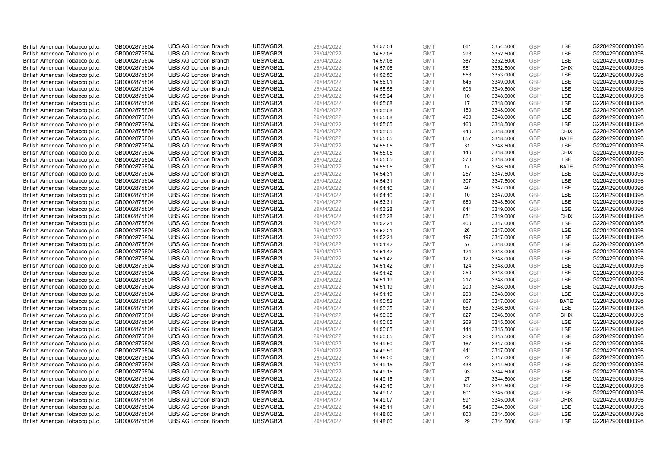| British American Tobacco p.l.c. | GB0002875804 | <b>UBS AG London Branch</b> | UBSWGB2L | 29/04/2022 | 14:57:54 | <b>GMT</b> | 661 | 3354.5000 | <b>GBP</b>               | LSE         | G220429000000398 |
|---------------------------------|--------------|-----------------------------|----------|------------|----------|------------|-----|-----------|--------------------------|-------------|------------------|
| British American Tobacco p.l.c. | GB0002875804 | <b>UBS AG London Branch</b> | UBSWGB2L | 29/04/2022 | 14:57:06 | <b>GMT</b> | 293 | 3352.5000 | GBP                      | <b>LSE</b>  | G220429000000398 |
| British American Tobacco p.l.c. | GB0002875804 | <b>UBS AG London Branch</b> | UBSWGB2L | 29/04/2022 | 14:57:06 | <b>GMT</b> | 367 | 3352.5000 | <b>GBP</b>               | LSE         | G220429000000398 |
| British American Tobacco p.l.c. | GB0002875804 | <b>UBS AG London Branch</b> | UBSWGB2L | 29/04/2022 | 14:57:06 | <b>GMT</b> | 581 | 3352.5000 | <b>GBP</b>               | <b>CHIX</b> | G220429000000398 |
| British American Tobacco p.l.c. | GB0002875804 | <b>UBS AG London Branch</b> | UBSWGB2L | 29/04/2022 | 14:56:50 | <b>GMT</b> | 553 | 3353.0000 | <b>GBP</b>               | LSE         | G220429000000398 |
|                                 |              | <b>UBS AG London Branch</b> | UBSWGB2L |            |          |            | 645 |           |                          | LSE         | G220429000000398 |
| British American Tobacco p.l.c. | GB0002875804 |                             |          | 29/04/2022 | 14:56:01 | <b>GMT</b> |     | 3349.0000 | <b>GBP</b><br><b>GBP</b> |             |                  |
| British American Tobacco p.l.c. | GB0002875804 | <b>UBS AG London Branch</b> | UBSWGB2L | 29/04/2022 | 14:55:58 | <b>GMT</b> | 603 | 3349.5000 |                          | LSE         | G220429000000398 |
| British American Tobacco p.l.c. | GB0002875804 | <b>UBS AG London Branch</b> | UBSWGB2L | 29/04/2022 | 14:55:24 | <b>GMT</b> | 10  | 3348.0000 | <b>GBP</b>               | LSE         | G220429000000398 |
| British American Tobacco p.l.c. | GB0002875804 | <b>UBS AG London Branch</b> | UBSWGB2L | 29/04/2022 | 14:55:08 | <b>GMT</b> | 17  | 3348.0000 | <b>GBP</b>               | LSE         | G220429000000398 |
| British American Tobacco p.l.c. | GB0002875804 | <b>UBS AG London Branch</b> | UBSWGB2L | 29/04/2022 | 14:55:08 | <b>GMT</b> | 150 | 3348.0000 | <b>GBP</b>               | LSE         | G220429000000398 |
| British American Tobacco p.l.c. | GB0002875804 | <b>UBS AG London Branch</b> | UBSWGB2L | 29/04/2022 | 14:55:08 | <b>GMT</b> | 400 | 3348.0000 | <b>GBP</b>               | LSE         | G220429000000398 |
| British American Tobacco p.l.c. | GB0002875804 | <b>UBS AG London Branch</b> | UBSWGB2L | 29/04/2022 | 14:55:05 | <b>GMT</b> | 160 | 3348.5000 | <b>GBP</b>               | LSE         | G220429000000398 |
| British American Tobacco p.l.c. | GB0002875804 | <b>UBS AG London Branch</b> | UBSWGB2L | 29/04/2022 | 14:55:05 | <b>GMT</b> | 440 | 3348.5000 | <b>GBP</b>               | <b>CHIX</b> | G220429000000398 |
| British American Tobacco p.l.c. | GB0002875804 | <b>UBS AG London Branch</b> | UBSWGB2L | 29/04/2022 | 14:55:05 | <b>GMT</b> | 657 | 3348.5000 | <b>GBP</b>               | <b>BATE</b> | G220429000000398 |
| British American Tobacco p.l.c. | GB0002875804 | <b>UBS AG London Branch</b> | UBSWGB2L | 29/04/2022 | 14:55:05 | <b>GMT</b> | 31  | 3348.5000 | <b>GBP</b>               | LSE         | G220429000000398 |
| British American Tobacco p.l.c. | GB0002875804 | <b>UBS AG London Branch</b> | UBSWGB2L | 29/04/2022 | 14:55:05 | <b>GMT</b> | 140 | 3348.5000 | <b>GBP</b>               | <b>CHIX</b> | G220429000000398 |
| British American Tobacco p.l.c. | GB0002875804 | <b>UBS AG London Branch</b> | UBSWGB2L | 29/04/2022 | 14:55:05 | <b>GMT</b> | 376 | 3348.5000 | <b>GBP</b>               | LSE         | G220429000000398 |
| British American Tobacco p.l.c. | GB0002875804 | <b>UBS AG London Branch</b> | UBSWGB2L | 29/04/2022 | 14:55:05 | <b>GMT</b> | 17  | 3348.5000 | <b>GBP</b>               | <b>BATE</b> | G220429000000398 |
| British American Tobacco p.l.c. | GB0002875804 | <b>UBS AG London Branch</b> | UBSWGB2L | 29/04/2022 | 14:54:31 | <b>GMT</b> | 257 | 3347.5000 | <b>GBP</b>               | <b>LSE</b>  | G220429000000398 |
| British American Tobacco p.l.c. | GB0002875804 | <b>UBS AG London Branch</b> | UBSWGB2L | 29/04/2022 | 14:54:31 | <b>GMT</b> | 307 | 3347.5000 | <b>GBP</b>               | LSE         | G220429000000398 |
| British American Tobacco p.l.c. | GB0002875804 | <b>UBS AG London Branch</b> | UBSWGB2L | 29/04/2022 | 14:54:10 | <b>GMT</b> | 40  | 3347.0000 | <b>GBP</b>               | LSE         | G220429000000398 |
| British American Tobacco p.l.c. | GB0002875804 | <b>UBS AG London Branch</b> | UBSWGB2L | 29/04/2022 | 14:54:10 | <b>GMT</b> | 10  | 3347.0000 | <b>GBP</b>               | LSE         | G220429000000398 |
| British American Tobacco p.l.c. | GB0002875804 | <b>UBS AG London Branch</b> | UBSWGB2L | 29/04/2022 | 14:53:31 | <b>GMT</b> | 680 | 3348.5000 | <b>GBP</b>               | LSE         | G220429000000398 |
| British American Tobacco p.l.c. | GB0002875804 | <b>UBS AG London Branch</b> | UBSWGB2L | 29/04/2022 | 14:53:28 | <b>GMT</b> | 641 | 3349.0000 | <b>GBP</b>               | LSE         | G220429000000398 |
| British American Tobacco p.l.c. | GB0002875804 | <b>UBS AG London Branch</b> | UBSWGB2L | 29/04/2022 | 14:53:28 | <b>GMT</b> | 651 | 3349.0000 | <b>GBP</b>               | <b>CHIX</b> | G220429000000398 |
| British American Tobacco p.l.c. | GB0002875804 | <b>UBS AG London Branch</b> | UBSWGB2L | 29/04/2022 | 14:52:21 | <b>GMT</b> | 400 | 3347.0000 | <b>GBP</b>               | LSE         | G220429000000398 |
| British American Tobacco p.l.c. | GB0002875804 | <b>UBS AG London Branch</b> | UBSWGB2L | 29/04/2022 | 14:52:21 | <b>GMT</b> | 26  | 3347.0000 | <b>GBP</b>               | LSE         | G220429000000398 |
| British American Tobacco p.l.c. | GB0002875804 | <b>UBS AG London Branch</b> | UBSWGB2L | 29/04/2022 | 14:52:21 | <b>GMT</b> | 197 | 3347.0000 | <b>GBP</b>               | LSE         | G220429000000398 |
| British American Tobacco p.l.c. | GB0002875804 | <b>UBS AG London Branch</b> | UBSWGB2L | 29/04/2022 | 14:51:42 | <b>GMT</b> | 57  | 3348.0000 | <b>GBP</b>               | LSE         | G220429000000398 |
| British American Tobacco p.l.c. | GB0002875804 | <b>UBS AG London Branch</b> | UBSWGB2L | 29/04/2022 | 14:51:42 | <b>GMT</b> | 124 | 3348.0000 | <b>GBP</b>               | LSE         | G220429000000398 |
| British American Tobacco p.l.c. | GB0002875804 | <b>UBS AG London Branch</b> | UBSWGB2L | 29/04/2022 | 14:51:42 | <b>GMT</b> | 120 | 3348.0000 | GBP                      | LSE         | G220429000000398 |
| British American Tobacco p.l.c. | GB0002875804 | <b>UBS AG London Branch</b> | UBSWGB2L | 29/04/2022 | 14:51:42 | <b>GMT</b> | 124 | 3348.0000 | <b>GBP</b>               | LSE         | G220429000000398 |
| British American Tobacco p.l.c. | GB0002875804 | <b>UBS AG London Branch</b> | UBSWGB2L | 29/04/2022 | 14:51:42 | <b>GMT</b> | 250 | 3348.0000 | <b>GBP</b>               | LSE         | G220429000000398 |
| British American Tobacco p.l.c. | GB0002875804 | <b>UBS AG London Branch</b> | UBSWGB2L | 29/04/2022 | 14:51:19 | <b>GMT</b> | 217 | 3348.0000 | <b>GBP</b>               | LSE         | G220429000000398 |
| British American Tobacco p.l.c. | GB0002875804 | <b>UBS AG London Branch</b> | UBSWGB2L | 29/04/2022 | 14:51:19 | <b>GMT</b> | 200 | 3348.0000 | <b>GBP</b>               | LSE         | G220429000000398 |
| British American Tobacco p.l.c. | GB0002875804 | <b>UBS AG London Branch</b> | UBSWGB2L | 29/04/2022 | 14:51:19 | <b>GMT</b> | 200 | 3348.0000 | <b>GBP</b>               | LSE         | G220429000000398 |
| British American Tobacco p.l.c. | GB0002875804 | <b>UBS AG London Branch</b> | UBSWGB2L | 29/04/2022 | 14:50:52 | <b>GMT</b> | 667 | 3347.0000 | <b>GBP</b>               | <b>BATE</b> | G220429000000398 |
| British American Tobacco p.l.c. | GB0002875804 | <b>UBS AG London Branch</b> | UBSWGB2L | 29/04/2022 | 14:50:35 | <b>GMT</b> | 669 | 3346.5000 | <b>GBP</b>               | LSE         | G220429000000398 |
| British American Tobacco p.l.c. | GB0002875804 | <b>UBS AG London Branch</b> | UBSWGB2L | 29/04/2022 | 14:50:35 | <b>GMT</b> | 627 | 3346.5000 | <b>GBP</b>               | <b>CHIX</b> | G220429000000398 |
| British American Tobacco p.l.c. | GB0002875804 | <b>UBS AG London Branch</b> | UBSWGB2L | 29/04/2022 | 14:50:05 | <b>GMT</b> | 269 | 3345.5000 | <b>GBP</b>               | LSE         | G220429000000398 |
| British American Tobacco p.l.c. | GB0002875804 | <b>UBS AG London Branch</b> | UBSWGB2L | 29/04/2022 | 14:50:05 | <b>GMT</b> | 144 | 3345.5000 | <b>GBP</b>               | <b>LSE</b>  | G220429000000398 |
| British American Tobacco p.l.c. | GB0002875804 | <b>UBS AG London Branch</b> | UBSWGB2L | 29/04/2022 | 14:50:05 | <b>GMT</b> | 209 | 3345.5000 | <b>GBP</b>               | LSE         | G220429000000398 |
| British American Tobacco p.l.c. | GB0002875804 | <b>UBS AG London Branch</b> | UBSWGB2L | 29/04/2022 | 14:49:50 | <b>GMT</b> | 167 | 3347.0000 | <b>GBP</b>               | LSE         | G220429000000398 |
| British American Tobacco p.l.c. | GB0002875804 | <b>UBS AG London Branch</b> | UBSWGB2L | 29/04/2022 | 14:49:50 | <b>GMT</b> | 441 | 3347.0000 | GBP                      | LSE         | G220429000000398 |
| British American Tobacco p.l.c. | GB0002875804 | <b>UBS AG London Branch</b> | UBSWGB2L | 29/04/2022 | 14:49:50 | <b>GMT</b> | 72  | 3347.0000 | <b>GBP</b>               | <b>LSE</b>  | G220429000000398 |
| British American Tobacco p.l.c. | GB0002875804 | <b>UBS AG London Branch</b> | UBSWGB2L | 29/04/2022 | 14:49:15 | <b>GMT</b> | 438 | 3344.5000 | <b>GBP</b>               | LSE         | G220429000000398 |
| British American Tobacco p.l.c. | GB0002875804 | <b>UBS AG London Branch</b> | UBSWGB2L | 29/04/2022 | 14:49:15 | <b>GMT</b> | 93  | 3344.5000 | <b>GBP</b>               | LSE         | G220429000000398 |
| British American Tobacco p.l.c. | GB0002875804 | <b>UBS AG London Branch</b> | UBSWGB2L | 29/04/2022 | 14:49:15 | <b>GMT</b> | 27  | 3344.5000 | <b>GBP</b>               | LSE         | G220429000000398 |
| British American Tobacco p.l.c. | GB0002875804 | <b>UBS AG London Branch</b> | UBSWGB2L | 29/04/2022 | 14:49:15 | <b>GMT</b> | 107 | 3344.5000 | <b>GBP</b>               | LSE         | G220429000000398 |
| British American Tobacco p.l.c. | GB0002875804 | <b>UBS AG London Branch</b> | UBSWGB2L | 29/04/2022 | 14:49:07 | <b>GMT</b> | 601 | 3345.0000 | <b>GBP</b>               | <b>LSE</b>  | G220429000000398 |
| British American Tobacco p.l.c. | GB0002875804 | <b>UBS AG London Branch</b> | UBSWGB2L | 29/04/2022 | 14:49:07 | <b>GMT</b> | 591 | 3345.0000 | <b>GBP</b>               | <b>CHIX</b> | G220429000000398 |
| British American Tobacco p.l.c. | GB0002875804 | <b>UBS AG London Branch</b> | UBSWGB2L | 29/04/2022 | 14:48:11 | <b>GMT</b> | 546 | 3344.5000 | <b>GBP</b>               | LSE         | G220429000000398 |
| British American Tobacco p.l.c. | GB0002875804 | <b>UBS AG London Branch</b> | UBSWGB2L | 29/04/2022 | 14:48:00 | <b>GMT</b> | 800 | 3344.5000 | <b>GBP</b>               | LSE         | G220429000000398 |
| British American Tobacco p.l.c. | GB0002875804 | <b>UBS AG London Branch</b> | UBSWGB2L | 29/04/2022 | 14:48:00 | <b>GMT</b> | 29  | 3344.5000 | GBP                      | <b>LSE</b>  | G220429000000398 |
|                                 |              |                             |          |            |          |            |     |           |                          |             |                  |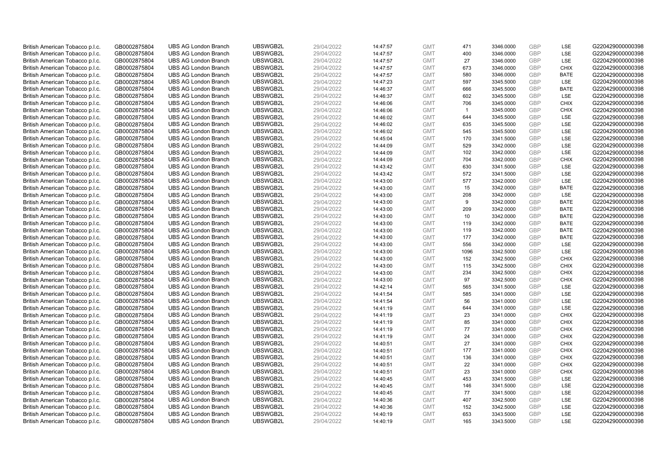| British American Tobacco p.l.c. | GB0002875804 | <b>UBS AG London Branch</b> | UBSWGB2L | 29/04/2022 | 14:47:57             | <b>GMT</b> | 471            | 3346.0000 | <b>GBP</b> | LSE         | G220429000000398 |
|---------------------------------|--------------|-----------------------------|----------|------------|----------------------|------------|----------------|-----------|------------|-------------|------------------|
|                                 | GB0002875804 | <b>UBS AG London Branch</b> | UBSWGB2L | 29/04/2022 |                      | <b>GMT</b> | 400            | 3346.0000 | GBP        | LSE         | G220429000000398 |
| British American Tobacco p.l.c. |              |                             |          |            | 14:47:57             |            |                |           | GBP        | LSE         |                  |
| British American Tobacco p.l.c. | GB0002875804 | <b>UBS AG London Branch</b> | UBSWGB2L | 29/04/2022 | 14:47:57             | <b>GMT</b> | 27             | 3346.0000 |            |             | G220429000000398 |
| British American Tobacco p.l.c. | GB0002875804 | <b>UBS AG London Branch</b> | UBSWGB2L | 29/04/2022 | 14:47:57             | <b>GMT</b> | 673            | 3346.0000 | <b>GBP</b> | <b>CHIX</b> | G220429000000398 |
| British American Tobacco p.l.c. | GB0002875804 | <b>UBS AG London Branch</b> | UBSWGB2L | 29/04/2022 | 14:47:57             | <b>GMT</b> | 580            | 3346.0000 | GBP        | <b>BATE</b> | G220429000000398 |
| British American Tobacco p.l.c. | GB0002875804 | <b>UBS AG London Branch</b> | UBSWGB2L | 29/04/2022 | 14:47:23             | <b>GMT</b> | 597            | 3345.5000 | <b>GBP</b> | <b>LSE</b>  | G220429000000398 |
| British American Tobacco p.l.c. | GB0002875804 | <b>UBS AG London Branch</b> | UBSWGB2L | 29/04/2022 | 14:46:37             | <b>GMT</b> | 666            | 3345.5000 | GBP        | <b>BATE</b> | G220429000000398 |
| British American Tobacco p.l.c. | GB0002875804 | <b>UBS AG London Branch</b> | UBSWGB2L | 29/04/2022 | 14:46:37             | <b>GMT</b> | 602            | 3345.5000 | <b>GBP</b> | LSE         | G220429000000398 |
| British American Tobacco p.l.c. | GB0002875804 | <b>UBS AG London Branch</b> | UBSWGB2L | 29/04/2022 | 14:46:06             | <b>GMT</b> | 706            | 3345.0000 | GBP        | <b>CHIX</b> | G220429000000398 |
| British American Tobacco p.l.c. | GB0002875804 | <b>UBS AG London Branch</b> | UBSWGB2L | 29/04/2022 | 14:46:06             | <b>GMT</b> | $\overline{1}$ | 3345.0000 | <b>GBP</b> | <b>CHIX</b> | G220429000000398 |
| British American Tobacco p.l.c. | GB0002875804 | <b>UBS AG London Branch</b> | UBSWGB2L | 29/04/2022 | 14:46:02             | <b>GMT</b> | 644            | 3345.5000 | GBP        | <b>LSE</b>  | G220429000000398 |
| British American Tobacco p.l.c. | GB0002875804 | <b>UBS AG London Branch</b> | UBSWGB2L | 29/04/2022 | 14:46:02             | <b>GMT</b> | 635            | 3345.5000 | <b>GBP</b> | LSE         | G220429000000398 |
| British American Tobacco p.l.c. | GB0002875804 | <b>UBS AG London Branch</b> | UBSWGB2L | 29/04/2022 | 14:46:02             | <b>GMT</b> | 545            | 3345.5000 | GBP        | LSE         | G220429000000398 |
| British American Tobacco p.l.c. | GB0002875804 | <b>UBS AG London Branch</b> | UBSWGB2L | 29/04/2022 | 14:45:04             | <b>GMT</b> | 170            | 3341.5000 | <b>GBP</b> | LSE         | G220429000000398 |
| British American Tobacco p.l.c. | GB0002875804 | <b>UBS AG London Branch</b> | UBSWGB2L | 29/04/2022 | 14:44:09             | <b>GMT</b> | 529            | 3342.0000 | GBP        | LSE         | G220429000000398 |
| British American Tobacco p.l.c. | GB0002875804 | <b>UBS AG London Branch</b> | UBSWGB2L | 29/04/2022 | 14:44:09             | <b>GMT</b> | 102            | 3342.0000 | GBP        | LSE         | G220429000000398 |
| British American Tobacco p.l.c. | GB0002875804 | <b>UBS AG London Branch</b> | UBSWGB2L | 29/04/2022 | 14:44:09             | <b>GMT</b> | 704            | 3342.0000 | GBP        | <b>CHIX</b> | G220429000000398 |
| British American Tobacco p.l.c. | GB0002875804 | <b>UBS AG London Branch</b> | UBSWGB2L | 29/04/2022 | 14:43:42             | <b>GMT</b> | 630            | 3341.5000 | GBP        | <b>LSE</b>  | G220429000000398 |
| British American Tobacco p.l.c. | GB0002875804 | <b>UBS AG London Branch</b> | UBSWGB2L | 29/04/2022 | 14:43:42             | <b>GMT</b> | 572            | 3341.5000 | <b>GBP</b> | <b>LSE</b>  | G220429000000398 |
| British American Tobacco p.l.c. | GB0002875804 | <b>UBS AG London Branch</b> | UBSWGB2L | 29/04/2022 | 14:43:00             | <b>GMT</b> | 577            | 3342.0000 | <b>GBP</b> | LSE         | G220429000000398 |
| British American Tobacco p.l.c. | GB0002875804 | <b>UBS AG London Branch</b> | UBSWGB2L | 29/04/2022 | 14:43:00             | <b>GMT</b> | 15             | 3342.0000 | <b>GBP</b> | <b>BATE</b> | G220429000000398 |
| British American Tobacco p.l.c. | GB0002875804 | <b>UBS AG London Branch</b> | UBSWGB2L | 29/04/2022 | 14:43:00             | <b>GMT</b> | 208            | 3342.0000 | GBP        | LSE         | G220429000000398 |
| British American Tobacco p.l.c. | GB0002875804 | <b>UBS AG London Branch</b> | UBSWGB2L | 29/04/2022 | 14:43:00             | <b>GMT</b> | 9              | 3342.0000 | <b>GBP</b> | <b>BATE</b> | G220429000000398 |
| British American Tobacco p.l.c. | GB0002875804 | <b>UBS AG London Branch</b> | UBSWGB2L | 29/04/2022 | 14:43:00             | <b>GMT</b> | 209            | 3342.0000 | <b>GBP</b> | <b>BATE</b> | G220429000000398 |
| British American Tobacco p.l.c. | GB0002875804 | <b>UBS AG London Branch</b> | UBSWGB2L | 29/04/2022 | 14:43:00             | <b>GMT</b> | 10             | 3342.0000 | <b>GBP</b> | <b>BATE</b> | G220429000000398 |
| British American Tobacco p.l.c. | GB0002875804 | <b>UBS AG London Branch</b> | UBSWGB2L | 29/04/2022 | 14:43:00             | <b>GMT</b> | 119            | 3342.0000 | GBP        | <b>BATE</b> | G220429000000398 |
| British American Tobacco p.l.c. | GB0002875804 | <b>UBS AG London Branch</b> | UBSWGB2L | 29/04/2022 | 14:43:00             | <b>GMT</b> | 119            | 3342.0000 | <b>GBP</b> | <b>BATE</b> | G220429000000398 |
| British American Tobacco p.l.c. | GB0002875804 | <b>UBS AG London Branch</b> | UBSWGB2L | 29/04/2022 | 14:43:00             | <b>GMT</b> | 177            | 3342.0000 | GBP        | <b>BATE</b> | G220429000000398 |
| British American Tobacco p.l.c. | GB0002875804 | <b>UBS AG London Branch</b> | UBSWGB2L | 29/04/2022 | 14:43:00             | <b>GMT</b> | 556            | 3342.0000 | <b>GBP</b> | LSE         | G220429000000398 |
| British American Tobacco p.l.c. | GB0002875804 | <b>UBS AG London Branch</b> | UBSWGB2L | 29/04/2022 | 14:43:00             | <b>GMT</b> | 1096           | 3342.5000 | GBP        | LSE         | G220429000000398 |
| British American Tobacco p.l.c. | GB0002875804 | <b>UBS AG London Branch</b> | UBSWGB2L | 29/04/2022 | 14:43:00             | <b>GMT</b> | 152            | 3342.5000 | <b>GBP</b> | <b>CHIX</b> | G220429000000398 |
| British American Tobacco p.l.c. | GB0002875804 | <b>UBS AG London Branch</b> | UBSWGB2L | 29/04/2022 | 14:43:00             | <b>GMT</b> | 115            | 3342.5000 | <b>GBP</b> | CHIX        | G220429000000398 |
| British American Tobacco p.l.c. | GB0002875804 | <b>UBS AG London Branch</b> | UBSWGB2L | 29/04/2022 | 14:43:00             | <b>GMT</b> | 234            | 3342.5000 | <b>GBP</b> | <b>CHIX</b> | G220429000000398 |
| British American Tobacco p.l.c. | GB0002875804 | <b>UBS AG London Branch</b> | UBSWGB2L | 29/04/2022 | 14:43:00             | <b>GMT</b> | 97             | 3342.5000 | <b>GBP</b> | <b>CHIX</b> | G220429000000398 |
| British American Tobacco p.l.c. | GB0002875804 | <b>UBS AG London Branch</b> | UBSWGB2L | 29/04/2022 | 14:42:14             | <b>GMT</b> | 565            | 3341.5000 | GBP        | LSE         | G220429000000398 |
| British American Tobacco p.l.c. | GB0002875804 | <b>UBS AG London Branch</b> | UBSWGB2L | 29/04/2022 | 14:41:54             | <b>GMT</b> | 585            | 3341.0000 | <b>GBP</b> | LSE         | G220429000000398 |
| British American Tobacco p.l.c. | GB0002875804 | <b>UBS AG London Branch</b> | UBSWGB2L | 29/04/2022 | 14:41:54             | <b>GMT</b> | 56             | 3341.0000 | <b>GBP</b> | LSE         | G220429000000398 |
| British American Tobacco p.l.c. | GB0002875804 | <b>UBS AG London Branch</b> | UBSWGB2L | 29/04/2022 | 14:41:19             | <b>GMT</b> | 644            | 3341.0000 | <b>GBP</b> | LSE         | G220429000000398 |
| British American Tobacco p.l.c. | GB0002875804 | <b>UBS AG London Branch</b> | UBSWGB2L | 29/04/2022 | 14:41:19             | <b>GMT</b> | 23             | 3341.0000 | GBP        | <b>CHIX</b> | G220429000000398 |
| British American Tobacco p.l.c. | GB0002875804 | <b>UBS AG London Branch</b> | UBSWGB2L | 29/04/2022 | 14:41:19             | <b>GMT</b> | 85             | 3341.0000 | <b>GBP</b> | <b>CHIX</b> | G220429000000398 |
| British American Tobacco p.l.c. | GB0002875804 | <b>UBS AG London Branch</b> | UBSWGB2L | 29/04/2022 | 14:41:19             | <b>GMT</b> | 77             | 3341.0000 | GBP        | <b>CHIX</b> | G220429000000398 |
| British American Tobacco p.l.c. | GB0002875804 | <b>UBS AG London Branch</b> | UBSWGB2L | 29/04/2022 | 14:41:19             | <b>GMT</b> | 24             | 3341.0000 | <b>GBP</b> | <b>CHIX</b> | G220429000000398 |
| British American Tobacco p.l.c. | GB0002875804 | <b>UBS AG London Branch</b> | UBSWGB2L | 29/04/2022 | 14:40:51             | <b>GMT</b> | 27             | 3341.0000 | GBP        | <b>CHIX</b> | G220429000000398 |
| British American Tobacco p.l.c. | GB0002875804 | <b>UBS AG London Branch</b> | UBSWGB2L | 29/04/2022 |                      | <b>GMT</b> | 177            | 3341.0000 | GBP        | <b>CHIX</b> | G220429000000398 |
| British American Tobacco p.l.c. | GB0002875804 | <b>UBS AG London Branch</b> | UBSWGB2L | 29/04/2022 | 14:40:51<br>14:40:51 | <b>GMT</b> | 136            | 3341.0000 | <b>GBP</b> | <b>CHIX</b> | G220429000000398 |
|                                 |              | <b>UBS AG London Branch</b> | UBSWGB2L | 29/04/2022 |                      | <b>GMT</b> |                |           | <b>GBP</b> |             | G220429000000398 |
| British American Tobacco p.l.c. | GB0002875804 |                             |          |            | 14:40:51             |            | 22             | 3341.0000 |            | <b>CHIX</b> |                  |
| British American Tobacco p.l.c. | GB0002875804 | <b>UBS AG London Branch</b> | UBSWGB2L | 29/04/2022 | 14:40:51             | <b>GMT</b> | 23             | 3341.0000 | GBP        | <b>CHIX</b> | G220429000000398 |
| British American Tobacco p.l.c. | GB0002875804 | <b>UBS AG London Branch</b> | UBSWGB2L | 29/04/2022 | 14:40:45             | <b>GMT</b> | 453            | 3341.5000 | GBP        | LSE         | G220429000000398 |
| British American Tobacco p.l.c. | GB0002875804 | <b>UBS AG London Branch</b> | UBSWGB2L | 29/04/2022 | 14:40:45             | <b>GMT</b> | 146            | 3341.5000 | <b>GBP</b> | LSE         | G220429000000398 |
| British American Tobacco p.l.c. | GB0002875804 | <b>UBS AG London Branch</b> | UBSWGB2L | 29/04/2022 | 14:40:45             | <b>GMT</b> | 77             | 3341.5000 | GBP        | <b>LSE</b>  | G220429000000398 |
| British American Tobacco p.l.c. | GB0002875804 | <b>UBS AG London Branch</b> | UBSWGB2L | 29/04/2022 | 14:40:36             | <b>GMT</b> | 407            | 3342.5000 | <b>GBP</b> | LSE         | G220429000000398 |
| British American Tobacco p.l.c. | GB0002875804 | <b>UBS AG London Branch</b> | UBSWGB2L | 29/04/2022 | 14:40:36             | <b>GMT</b> | 152            | 3342.5000 | GBP        | LSE         | G220429000000398 |
| British American Tobacco p.l.c. | GB0002875804 | <b>UBS AG London Branch</b> | UBSWGB2L | 29/04/2022 | 14:40:19             | <b>GMT</b> | 653            | 3343.5000 | <b>GBP</b> | LSE         | G220429000000398 |
| British American Tobacco p.l.c. | GB0002875804 | <b>UBS AG London Branch</b> | UBSWGB2L | 29/04/2022 | 14:40:19             | <b>GMT</b> | 165            | 3343.5000 | GBP        | <b>LSE</b>  | G220429000000398 |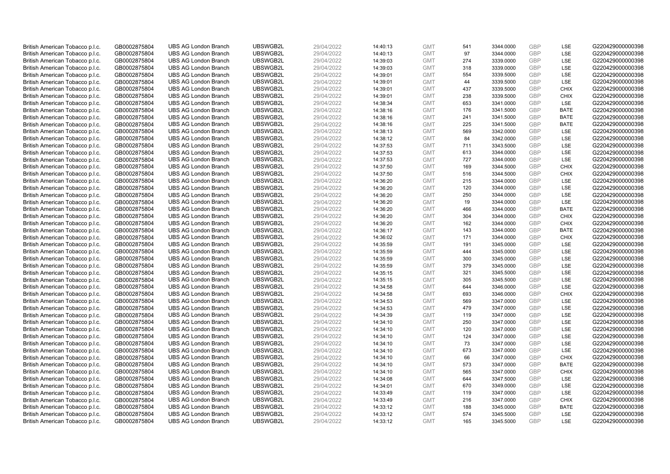| British American Tobacco p.l.c. | GB0002875804 | <b>UBS AG London Branch</b> | UBSWGB2L | 29/04/2022 | 14:40:13 | <b>GMT</b> | 541 | 3344.0000 | <b>GBP</b>               | LSE         | G220429000000398 |
|---------------------------------|--------------|-----------------------------|----------|------------|----------|------------|-----|-----------|--------------------------|-------------|------------------|
| British American Tobacco p.l.c. | GB0002875804 | <b>UBS AG London Branch</b> | UBSWGB2L | 29/04/2022 | 14:40:13 | <b>GMT</b> | 97  | 3344.0000 | GBP                      | <b>LSE</b>  | G220429000000398 |
| British American Tobacco p.l.c. | GB0002875804 | <b>UBS AG London Branch</b> | UBSWGB2L | 29/04/2022 | 14:39:03 | <b>GMT</b> | 274 | 3339.0000 | <b>GBP</b>               | LSE         | G220429000000398 |
| British American Tobacco p.l.c. | GB0002875804 | <b>UBS AG London Branch</b> | UBSWGB2L | 29/04/2022 | 14:39:03 | <b>GMT</b> | 318 | 3339.0000 | <b>GBP</b>               | LSE         | G220429000000398 |
| British American Tobacco p.l.c. | GB0002875804 | <b>UBS AG London Branch</b> | UBSWGB2L | 29/04/2022 |          | <b>GMT</b> | 554 | 3339.5000 | <b>GBP</b>               | LSE         | G220429000000398 |
|                                 |              | <b>UBS AG London Branch</b> | UBSWGB2L |            | 14:39:01 |            | 44  |           |                          | LSE         | G220429000000398 |
| British American Tobacco p.l.c. | GB0002875804 |                             |          | 29/04/2022 | 14:39:01 | <b>GMT</b> |     | 3339.5000 | <b>GBP</b><br><b>GBP</b> |             |                  |
| British American Tobacco p.l.c. | GB0002875804 | <b>UBS AG London Branch</b> | UBSWGB2L | 29/04/2022 | 14:39:01 | <b>GMT</b> | 437 | 3339.5000 |                          | <b>CHIX</b> | G220429000000398 |
| British American Tobacco p.l.c. | GB0002875804 | <b>UBS AG London Branch</b> | UBSWGB2L | 29/04/2022 | 14:39:01 | <b>GMT</b> | 238 | 3339.5000 | <b>GBP</b>               | <b>CHIX</b> | G220429000000398 |
| British American Tobacco p.l.c. | GB0002875804 | <b>UBS AG London Branch</b> | UBSWGB2L | 29/04/2022 | 14:38:34 | <b>GMT</b> | 653 | 3341.0000 | <b>GBP</b>               | LSE         | G220429000000398 |
| British American Tobacco p.l.c. | GB0002875804 | <b>UBS AG London Branch</b> | UBSWGB2L | 29/04/2022 | 14:38:16 | <b>GMT</b> | 176 | 3341.5000 | <b>GBP</b>               | <b>BATE</b> | G220429000000398 |
| British American Tobacco p.l.c. | GB0002875804 | <b>UBS AG London Branch</b> | UBSWGB2L | 29/04/2022 | 14:38:16 | <b>GMT</b> | 241 | 3341.5000 | <b>GBP</b>               | <b>BATE</b> | G220429000000398 |
| British American Tobacco p.l.c. | GB0002875804 | <b>UBS AG London Branch</b> | UBSWGB2L | 29/04/2022 | 14:38:16 | <b>GMT</b> | 225 | 3341.5000 | <b>GBP</b>               | <b>BATE</b> | G220429000000398 |
| British American Tobacco p.l.c. | GB0002875804 | <b>UBS AG London Branch</b> | UBSWGB2L | 29/04/2022 | 14:38:13 | <b>GMT</b> | 569 | 3342.0000 | <b>GBP</b>               | LSE         | G220429000000398 |
| British American Tobacco p.l.c. | GB0002875804 | <b>UBS AG London Branch</b> | UBSWGB2L | 29/04/2022 | 14:38:12 | <b>GMT</b> | 84  | 3342.0000 | <b>GBP</b>               | LSE         | G220429000000398 |
| British American Tobacco p.l.c. | GB0002875804 | <b>UBS AG London Branch</b> | UBSWGB2L | 29/04/2022 | 14:37:53 | <b>GMT</b> | 711 | 3343.5000 | <b>GBP</b>               | <b>LSE</b>  | G220429000000398 |
| British American Tobacco p.l.c. | GB0002875804 | <b>UBS AG London Branch</b> | UBSWGB2L | 29/04/2022 | 14:37:53 | <b>GMT</b> | 613 | 3344.0000 | <b>GBP</b>               | LSE         | G220429000000398 |
| British American Tobacco p.l.c. | GB0002875804 | <b>UBS AG London Branch</b> | UBSWGB2L | 29/04/2022 | 14:37:53 | <b>GMT</b> | 727 | 3344.0000 | <b>GBP</b>               | LSE         | G220429000000398 |
| British American Tobacco p.l.c. | GB0002875804 | <b>UBS AG London Branch</b> | UBSWGB2L | 29/04/2022 | 14:37:50 | <b>GMT</b> | 169 | 3344.5000 | <b>GBP</b>               | <b>CHIX</b> | G220429000000398 |
| British American Tobacco p.l.c. | GB0002875804 | <b>UBS AG London Branch</b> | UBSWGB2L | 29/04/2022 | 14:37:50 | <b>GMT</b> | 516 | 3344.5000 | <b>GBP</b>               | <b>CHIX</b> | G220429000000398 |
| British American Tobacco p.l.c. | GB0002875804 | <b>UBS AG London Branch</b> | UBSWGB2L | 29/04/2022 | 14:36:20 | <b>GMT</b> | 215 | 3344.0000 | <b>GBP</b>               | LSE         | G220429000000398 |
| British American Tobacco p.l.c. | GB0002875804 | <b>UBS AG London Branch</b> | UBSWGB2L | 29/04/2022 | 14:36:20 | <b>GMT</b> | 120 | 3344.0000 | <b>GBP</b>               | LSE         | G220429000000398 |
| British American Tobacco p.l.c. | GB0002875804 | <b>UBS AG London Branch</b> | UBSWGB2L | 29/04/2022 | 14:36:20 | <b>GMT</b> | 250 | 3344.0000 | <b>GBP</b>               | LSE         | G220429000000398 |
| British American Tobacco p.l.c. | GB0002875804 | <b>UBS AG London Branch</b> | UBSWGB2L | 29/04/2022 | 14:36:20 | <b>GMT</b> | 19  | 3344.0000 | <b>GBP</b>               | LSE         | G220429000000398 |
| British American Tobacco p.l.c. | GB0002875804 | <b>UBS AG London Branch</b> | UBSWGB2L | 29/04/2022 | 14:36:20 | <b>GMT</b> | 466 | 3344.0000 | <b>GBP</b>               | <b>BATE</b> | G220429000000398 |
| British American Tobacco p.l.c. | GB0002875804 | <b>UBS AG London Branch</b> | UBSWGB2L | 29/04/2022 | 14:36:20 | <b>GMT</b> | 304 | 3344.0000 | <b>GBP</b>               | <b>CHIX</b> | G220429000000398 |
| British American Tobacco p.l.c. | GB0002875804 | <b>UBS AG London Branch</b> | UBSWGB2L | 29/04/2022 | 14:36:20 | <b>GMT</b> | 162 | 3344.0000 | <b>GBP</b>               | <b>CHIX</b> | G220429000000398 |
| British American Tobacco p.l.c. | GB0002875804 | <b>UBS AG London Branch</b> | UBSWGB2L | 29/04/2022 | 14:36:17 | <b>GMT</b> | 143 | 3344.0000 | <b>GBP</b>               | <b>BATE</b> | G220429000000398 |
| British American Tobacco p.l.c. | GB0002875804 | <b>UBS AG London Branch</b> | UBSWGB2L | 29/04/2022 | 14:36:02 | <b>GMT</b> | 171 | 3344.0000 | <b>GBP</b>               | <b>CHIX</b> | G220429000000398 |
| British American Tobacco p.l.c. | GB0002875804 | <b>UBS AG London Branch</b> | UBSWGB2L | 29/04/2022 | 14:35:59 | <b>GMT</b> | 191 | 3345.0000 | <b>GBP</b>               | LSE         | G220429000000398 |
| British American Tobacco p.l.c. | GB0002875804 | <b>UBS AG London Branch</b> | UBSWGB2L | 29/04/2022 | 14:35:59 | <b>GMT</b> | 444 | 3345.0000 | <b>GBP</b>               | LSE         | G220429000000398 |
| British American Tobacco p.l.c. | GB0002875804 | <b>UBS AG London Branch</b> | UBSWGB2L | 29/04/2022 | 14:35:59 | <b>GMT</b> | 300 | 3345.0000 | GBP                      | LSE         | G220429000000398 |
| British American Tobacco p.l.c. | GB0002875804 | <b>UBS AG London Branch</b> | UBSWGB2L | 29/04/2022 | 14:35:59 | <b>GMT</b> | 379 | 3345.0000 | <b>GBP</b>               | <b>LSE</b>  | G220429000000398 |
| British American Tobacco p.l.c. | GB0002875804 | <b>UBS AG London Branch</b> | UBSWGB2L | 29/04/2022 | 14:35:15 | <b>GMT</b> | 321 | 3345.5000 | <b>GBP</b>               | LSE         | G220429000000398 |
| British American Tobacco p.l.c. | GB0002875804 | <b>UBS AG London Branch</b> | UBSWGB2L | 29/04/2022 | 14:35:15 | <b>GMT</b> | 305 | 3345.5000 | <b>GBP</b>               | LSE         | G220429000000398 |
| British American Tobacco p.l.c. | GB0002875804 | <b>UBS AG London Branch</b> | UBSWGB2L | 29/04/2022 | 14:34:58 | <b>GMT</b> | 644 | 3346.0000 | <b>GBP</b>               | LSE         | G220429000000398 |
| British American Tobacco p.l.c. | GB0002875804 | <b>UBS AG London Branch</b> | UBSWGB2L | 29/04/2022 | 14:34:58 | <b>GMT</b> | 693 | 3346.0000 | <b>GBP</b>               | <b>CHIX</b> | G220429000000398 |
| British American Tobacco p.l.c. | GB0002875804 | <b>UBS AG London Branch</b> | UBSWGB2L | 29/04/2022 | 14:34:53 | <b>GMT</b> | 569 | 3347.0000 | <b>GBP</b>               | <b>LSE</b>  | G220429000000398 |
| British American Tobacco p.l.c. | GB0002875804 | <b>UBS AG London Branch</b> | UBSWGB2L | 29/04/2022 | 14:34:53 | <b>GMT</b> | 479 | 3347.0000 | <b>GBP</b>               | LSE         | G220429000000398 |
| British American Tobacco p.l.c. | GB0002875804 | <b>UBS AG London Branch</b> | UBSWGB2L | 29/04/2022 | 14:34:39 | <b>GMT</b> | 119 | 3347.0000 | <b>GBP</b>               | LSE         | G220429000000398 |
| British American Tobacco p.l.c. | GB0002875804 | <b>UBS AG London Branch</b> | UBSWGB2L | 29/04/2022 | 14:34:10 | <b>GMT</b> | 250 | 3347.0000 | <b>GBP</b>               | LSE         | G220429000000398 |
| British American Tobacco p.l.c. | GB0002875804 | <b>UBS AG London Branch</b> | UBSWGB2L | 29/04/2022 | 14:34:10 | <b>GMT</b> | 120 | 3347.0000 | <b>GBP</b>               | <b>LSE</b>  | G220429000000398 |
| British American Tobacco p.l.c. | GB0002875804 | <b>UBS AG London Branch</b> | UBSWGB2L | 29/04/2022 | 14:34:10 | <b>GMT</b> | 124 | 3347.0000 | <b>GBP</b>               | LSE         | G220429000000398 |
| British American Tobacco p.l.c. | GB0002875804 | <b>UBS AG London Branch</b> | UBSWGB2L | 29/04/2022 | 14:34:10 | <b>GMT</b> | 73  | 3347.0000 | <b>GBP</b>               | LSE         | G220429000000398 |
| British American Tobacco p.l.c. | GB0002875804 | <b>UBS AG London Branch</b> | UBSWGB2L | 29/04/2022 | 14:34:10 | <b>GMT</b> | 673 | 3347.0000 | GBP                      | LSE         | G220429000000398 |
| British American Tobacco p.l.c. | GB0002875804 | <b>UBS AG London Branch</b> | UBSWGB2L | 29/04/2022 | 14:34:10 | <b>GMT</b> | 66  | 3347.0000 | <b>GBP</b>               | <b>CHIX</b> | G220429000000398 |
| British American Tobacco p.l.c. | GB0002875804 | <b>UBS AG London Branch</b> | UBSWGB2L | 29/04/2022 | 14:34:10 | <b>GMT</b> | 573 | 3347.0000 | <b>GBP</b>               | <b>BATE</b> | G220429000000398 |
| British American Tobacco p.l.c. | GB0002875804 | <b>UBS AG London Branch</b> | UBSWGB2L | 29/04/2022 | 14:34:10 | <b>GMT</b> | 565 | 3347.0000 | <b>GBP</b>               | <b>CHIX</b> | G220429000000398 |
| British American Tobacco p.l.c. | GB0002875804 | <b>UBS AG London Branch</b> | UBSWGB2L | 29/04/2022 | 14:34:08 | <b>GMT</b> | 644 | 3347.5000 | GBP                      | LSE         | G220429000000398 |
| British American Tobacco p.l.c. | GB0002875804 | <b>UBS AG London Branch</b> | UBSWGB2L | 29/04/2022 | 14:34:01 | <b>GMT</b> | 670 | 3349.0000 | <b>GBP</b>               | LSE         | G220429000000398 |
| British American Tobacco p.l.c. | GB0002875804 | <b>UBS AG London Branch</b> | UBSWGB2L | 29/04/2022 | 14:33:49 | <b>GMT</b> | 119 | 3347.0000 | <b>GBP</b>               | <b>LSE</b>  | G220429000000398 |
| British American Tobacco p.l.c. | GB0002875804 | <b>UBS AG London Branch</b> | UBSWGB2L | 29/04/2022 | 14:33:49 | <b>GMT</b> | 216 | 3347.0000 | <b>GBP</b>               | <b>CHIX</b> | G220429000000398 |
| British American Tobacco p.l.c. | GB0002875804 | <b>UBS AG London Branch</b> | UBSWGB2L | 29/04/2022 | 14:33:12 | <b>GMT</b> | 188 | 3345.0000 | <b>GBP</b>               | <b>BATE</b> | G220429000000398 |
| British American Tobacco p.l.c. | GB0002875804 | <b>UBS AG London Branch</b> | UBSWGB2L | 29/04/2022 | 14:33:12 | <b>GMT</b> | 574 | 3345.5000 | <b>GBP</b>               | LSE         | G220429000000398 |
| British American Tobacco p.l.c. | GB0002875804 | <b>UBS AG London Branch</b> | UBSWGB2L | 29/04/2022 | 14:33:12 | <b>GMT</b> | 165 | 3345.5000 | GBP                      | <b>LSE</b>  | G220429000000398 |
|                                 |              |                             |          |            |          |            |     |           |                          |             |                  |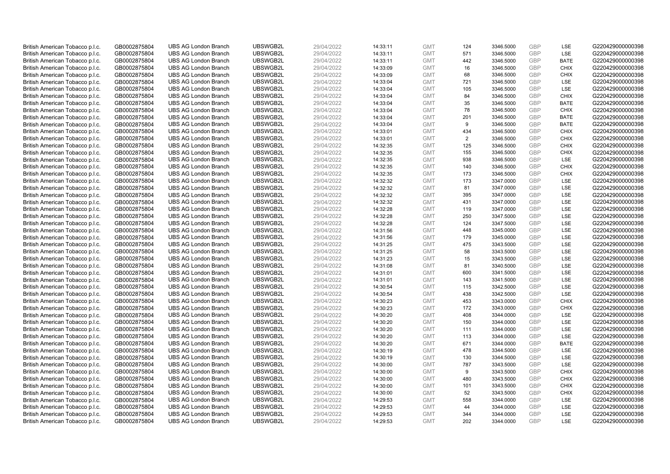| British American Tobacco p.l.c. | GB0002875804 | <b>UBS AG London Branch</b> | UBSWGB2L | 29/04/2022 | 14:33:11 | <b>GMT</b> | 124 | 3346.5000 | <b>GBP</b> | LSE         | G220429000000398 |
|---------------------------------|--------------|-----------------------------|----------|------------|----------|------------|-----|-----------|------------|-------------|------------------|
|                                 |              |                             |          |            |          |            |     |           | GBP        |             |                  |
| British American Tobacco p.l.c. | GB0002875804 | <b>UBS AG London Branch</b> | UBSWGB2L | 29/04/2022 | 14:33:11 | <b>GMT</b> | 571 | 3346.5000 |            | LSE         | G220429000000398 |
| British American Tobacco p.l.c. | GB0002875804 | <b>UBS AG London Branch</b> | UBSWGB2L | 29/04/2022 | 14:33:11 | <b>GMT</b> | 442 | 3346.5000 | GBP        | <b>BATE</b> | G220429000000398 |
| British American Tobacco p.l.c. | GB0002875804 | <b>UBS AG London Branch</b> | UBSWGB2L | 29/04/2022 | 14:33:09 | <b>GMT</b> | 16  | 3346.5000 | <b>GBP</b> | <b>CHIX</b> | G220429000000398 |
| British American Tobacco p.l.c. | GB0002875804 | <b>UBS AG London Branch</b> | UBSWGB2L | 29/04/2022 | 14:33:09 | <b>GMT</b> | 68  | 3346.5000 | GBP        | <b>CHIX</b> | G220429000000398 |
| British American Tobacco p.l.c. | GB0002875804 | <b>UBS AG London Branch</b> | UBSWGB2L | 29/04/2022 | 14:33:04 | <b>GMT</b> | 721 | 3346.5000 | <b>GBP</b> | <b>LSE</b>  | G220429000000398 |
| British American Tobacco p.l.c. | GB0002875804 | <b>UBS AG London Branch</b> | UBSWGB2L | 29/04/2022 | 14:33:04 | <b>GMT</b> | 105 | 3346.5000 | GBP        | LSE         | G220429000000398 |
| British American Tobacco p.l.c. | GB0002875804 | <b>UBS AG London Branch</b> | UBSWGB2L | 29/04/2022 | 14:33:04 | <b>GMT</b> | 84  | 3346.5000 | <b>GBP</b> | <b>CHIX</b> | G220429000000398 |
| British American Tobacco p.l.c. | GB0002875804 | <b>UBS AG London Branch</b> | UBSWGB2L | 29/04/2022 | 14:33:04 | <b>GMT</b> | 35  | 3346.5000 | GBP        | <b>BATE</b> | G220429000000398 |
| British American Tobacco p.l.c. | GB0002875804 | <b>UBS AG London Branch</b> | UBSWGB2L | 29/04/2022 | 14:33:04 | <b>GMT</b> | 78  | 3346.5000 | <b>GBP</b> | <b>CHIX</b> | G220429000000398 |
| British American Tobacco p.l.c. | GB0002875804 | <b>UBS AG London Branch</b> | UBSWGB2L | 29/04/2022 | 14:33:04 | <b>GMT</b> | 201 | 3346.5000 | GBP        | <b>BATE</b> | G220429000000398 |
| British American Tobacco p.l.c. | GB0002875804 | <b>UBS AG London Branch</b> | UBSWGB2L | 29/04/2022 | 14:33:04 | <b>GMT</b> | 9   | 3346.5000 | <b>GBP</b> | <b>BATE</b> | G220429000000398 |
| British American Tobacco p.l.c. | GB0002875804 | <b>UBS AG London Branch</b> | UBSWGB2L | 29/04/2022 | 14:33:01 | <b>GMT</b> | 434 | 3346.5000 | GBP        | <b>CHIX</b> | G220429000000398 |
| British American Tobacco p.l.c. | GB0002875804 | <b>UBS AG London Branch</b> | UBSWGB2L | 29/04/2022 | 14:33:01 | <b>GMT</b> | 2   | 3346.5000 | <b>GBP</b> | <b>CHIX</b> | G220429000000398 |
| British American Tobacco p.l.c. | GB0002875804 | <b>UBS AG London Branch</b> | UBSWGB2L | 29/04/2022 | 14:32:35 | <b>GMT</b> | 125 | 3346.5000 | GBP        | <b>CHIX</b> | G220429000000398 |
| British American Tobacco p.l.c. | GB0002875804 | <b>UBS AG London Branch</b> | UBSWGB2L | 29/04/2022 | 14:32:35 | <b>GMT</b> | 155 | 3346.5000 | GBP        | <b>CHIX</b> | G220429000000398 |
| British American Tobacco p.l.c. | GB0002875804 | <b>UBS AG London Branch</b> | UBSWGB2L | 29/04/2022 | 14:32:35 | <b>GMT</b> | 938 | 3346.5000 | GBP        | LSE         | G220429000000398 |
| British American Tobacco p.l.c. | GB0002875804 | <b>UBS AG London Branch</b> | UBSWGB2L | 29/04/2022 | 14:32:35 | <b>GMT</b> | 140 | 3346.5000 | GBP        | <b>CHIX</b> | G220429000000398 |
| British American Tobacco p.l.c. | GB0002875804 | <b>UBS AG London Branch</b> | UBSWGB2L | 29/04/2022 | 14:32:35 | <b>GMT</b> | 173 | 3346.5000 | <b>GBP</b> | <b>CHIX</b> | G220429000000398 |
| British American Tobacco p.l.c. | GB0002875804 | <b>UBS AG London Branch</b> | UBSWGB2L | 29/04/2022 | 14:32:32 | <b>GMT</b> | 173 | 3347.0000 | <b>GBP</b> | LSE         | G220429000000398 |
| British American Tobacco p.l.c. | GB0002875804 | <b>UBS AG London Branch</b> | UBSWGB2L | 29/04/2022 | 14:32:32 | <b>GMT</b> | 81  | 3347.0000 | <b>GBP</b> | LSE         | G220429000000398 |
| British American Tobacco p.l.c. | GB0002875804 | <b>UBS AG London Branch</b> | UBSWGB2L | 29/04/2022 | 14:32:32 | <b>GMT</b> | 395 | 3347.0000 | GBP        | LSE         | G220429000000398 |
|                                 |              |                             |          |            |          |            |     |           | <b>GBP</b> |             |                  |
| British American Tobacco p.l.c. | GB0002875804 | <b>UBS AG London Branch</b> | UBSWGB2L | 29/04/2022 | 14:32:32 | <b>GMT</b> | 431 | 3347.0000 | <b>GBP</b> | LSE         | G220429000000398 |
| British American Tobacco p.l.c. | GB0002875804 | <b>UBS AG London Branch</b> | UBSWGB2L | 29/04/2022 | 14:32:28 | <b>GMT</b> | 119 | 3347.0000 |            | <b>LSE</b>  | G220429000000398 |
| British American Tobacco p.l.c. | GB0002875804 | <b>UBS AG London Branch</b> | UBSWGB2L | 29/04/2022 | 14:32:28 | <b>GMT</b> | 250 | 3347.5000 | <b>GBP</b> | LSE         | G220429000000398 |
| British American Tobacco p.l.c. | GB0002875804 | <b>UBS AG London Branch</b> | UBSWGB2L | 29/04/2022 | 14:32:28 | <b>GMT</b> | 124 | 3347.5000 | GBP        | LSE         | G220429000000398 |
| British American Tobacco p.l.c. | GB0002875804 | <b>UBS AG London Branch</b> | UBSWGB2L | 29/04/2022 | 14:31:56 | <b>GMT</b> | 448 | 3345.0000 | <b>GBP</b> | LSE         | G220429000000398 |
| British American Tobacco p.l.c. | GB0002875804 | <b>UBS AG London Branch</b> | UBSWGB2L | 29/04/2022 | 14:31:56 | <b>GMT</b> | 179 | 3345.0000 | GBP        | LSE         | G220429000000398 |
| British American Tobacco p.l.c. | GB0002875804 | <b>UBS AG London Branch</b> | UBSWGB2L | 29/04/2022 | 14:31:25 | <b>GMT</b> | 475 | 3343.5000 | <b>GBP</b> | LSE         | G220429000000398 |
| British American Tobacco p.l.c. | GB0002875804 | <b>UBS AG London Branch</b> | UBSWGB2L | 29/04/2022 | 14:31:25 | <b>GMT</b> | 58  | 3343.5000 | GBP        | LSE         | G220429000000398 |
| British American Tobacco p.l.c. | GB0002875804 | <b>UBS AG London Branch</b> | UBSWGB2L | 29/04/2022 | 14:31:23 | <b>GMT</b> | 15  | 3343.5000 | <b>GBP</b> | <b>LSE</b>  | G220429000000398 |
| British American Tobacco p.l.c. | GB0002875804 | <b>UBS AG London Branch</b> | UBSWGB2L | 29/04/2022 | 14:31:08 | <b>GMT</b> | 81  | 3340.5000 | <b>GBP</b> | <b>LSE</b>  | G220429000000398 |
| British American Tobacco p.l.c. | GB0002875804 | <b>UBS AG London Branch</b> | UBSWGB2L | 29/04/2022 | 14:31:01 | <b>GMT</b> | 600 | 3341.5000 | <b>GBP</b> | LSE         | G220429000000398 |
| British American Tobacco p.l.c. | GB0002875804 | <b>UBS AG London Branch</b> | UBSWGB2L | 29/04/2022 | 14:31:01 | <b>GMT</b> | 143 | 3341.5000 | <b>GBP</b> | LSE         | G220429000000398 |
| British American Tobacco p.l.c. | GB0002875804 | <b>UBS AG London Branch</b> | UBSWGB2L | 29/04/2022 | 14:30:54 | <b>GMT</b> | 115 | 3342.5000 | GBP        | LSE         | G220429000000398 |
| British American Tobacco p.l.c. | GB0002875804 | <b>UBS AG London Branch</b> | UBSWGB2L | 29/04/2022 | 14:30:54 | <b>GMT</b> | 438 | 3342.5000 | <b>GBP</b> | LSE         | G220429000000398 |
| British American Tobacco p.l.c. | GB0002875804 | <b>UBS AG London Branch</b> | UBSWGB2L | 29/04/2022 | 14:30:23 | <b>GMT</b> | 453 | 3343.0000 | <b>GBP</b> | <b>CHIX</b> | G220429000000398 |
| British American Tobacco p.l.c. | GB0002875804 | <b>UBS AG London Branch</b> | UBSWGB2L | 29/04/2022 | 14:30:23 | <b>GMT</b> | 172 | 3343.0000 | <b>GBP</b> | <b>CHIX</b> | G220429000000398 |
| British American Tobacco p.l.c. | GB0002875804 | <b>UBS AG London Branch</b> | UBSWGB2L | 29/04/2022 | 14:30:20 | <b>GMT</b> | 408 | 3344.0000 | GBP        | LSE         | G220429000000398 |
| British American Tobacco p.l.c. | GB0002875804 | <b>UBS AG London Branch</b> | UBSWGB2L | 29/04/2022 | 14:30:20 | <b>GMT</b> | 150 | 3344.0000 | <b>GBP</b> | <b>LSE</b>  | G220429000000398 |
| British American Tobacco p.l.c. | GB0002875804 | <b>UBS AG London Branch</b> | UBSWGB2L | 29/04/2022 | 14:30:20 | <b>GMT</b> | 111 | 3344.0000 | GBP        | LSE         | G220429000000398 |
| British American Tobacco p.l.c. | GB0002875804 | <b>UBS AG London Branch</b> | UBSWGB2L | 29/04/2022 | 14:30:20 | <b>GMT</b> | 113 | 3344.0000 | <b>GBP</b> | LSE         | G220429000000398 |
| British American Tobacco p.l.c. | GB0002875804 | <b>UBS AG London Branch</b> | UBSWGB2L | 29/04/2022 | 14:30:20 | <b>GMT</b> | 671 | 3344.0000 | GBP        | <b>BATE</b> | G220429000000398 |
| British American Tobacco p.l.c. | GB0002875804 | <b>UBS AG London Branch</b> | UBSWGB2L | 29/04/2022 | 14:30:19 | <b>GMT</b> | 478 | 3344.5000 | <b>GBP</b> | LSE         | G220429000000398 |
| British American Tobacco p.l.c. | GB0002875804 | <b>UBS AG London Branch</b> | UBSWGB2L | 29/04/2022 | 14:30:19 | <b>GMT</b> | 130 | 3344.5000 | <b>GBP</b> | LSE         | G220429000000398 |
| British American Tobacco p.l.c. | GB0002875804 | <b>UBS AG London Branch</b> | UBSWGB2L | 29/04/2022 | 14:30:00 | <b>GMT</b> | 787 | 3343.5000 | <b>GBP</b> | LSE         | G220429000000398 |
| British American Tobacco p.l.c. | GB0002875804 | <b>UBS AG London Branch</b> | UBSWGB2L | 29/04/2022 | 14:30:00 | <b>GMT</b> | 9   | 3343.5000 | GBP        | <b>CHIX</b> | G220429000000398 |
| British American Tobacco p.l.c. | GB0002875804 | <b>UBS AG London Branch</b> | UBSWGB2L | 29/04/2022 | 14:30:00 | <b>GMT</b> | 480 | 3343.5000 | GBP        | <b>CHIX</b> | G220429000000398 |
| British American Tobacco p.l.c. | GB0002875804 | <b>UBS AG London Branch</b> | UBSWGB2L | 29/04/2022 | 14:30:00 | <b>GMT</b> | 101 | 3343.5000 | GBP        | <b>CHIX</b> | G220429000000398 |
| British American Tobacco p.l.c. | GB0002875804 | <b>UBS AG London Branch</b> | UBSWGB2L | 29/04/2022 | 14:30:00 | <b>GMT</b> | 52  | 3343.5000 | GBP        | <b>CHIX</b> | G220429000000398 |
| British American Tobacco p.l.c. | GB0002875804 | <b>UBS AG London Branch</b> | UBSWGB2L | 29/04/2022 | 14:29:53 | <b>GMT</b> | 558 | 3344.0000 | <b>GBP</b> | LSE         | G220429000000398 |
| British American Tobacco p.l.c. | GB0002875804 | <b>UBS AG London Branch</b> | UBSWGB2L | 29/04/2022 | 14:29:53 | <b>GMT</b> | 44  | 3344.0000 | GBP        | LSE         | G220429000000398 |
| British American Tobacco p.l.c. | GB0002875804 | <b>UBS AG London Branch</b> | UBSWGB2L | 29/04/2022 | 14:29:53 | <b>GMT</b> | 344 | 3344.0000 | <b>GBP</b> | LSE         | G220429000000398 |
| British American Tobacco p.l.c. | GB0002875804 | <b>UBS AG London Branch</b> | UBSWGB2L | 29/04/2022 | 14:29:53 | <b>GMT</b> | 202 | 3344.0000 | GBP        | <b>LSE</b>  | G220429000000398 |
|                                 |              |                             |          |            |          |            |     |           |            |             |                  |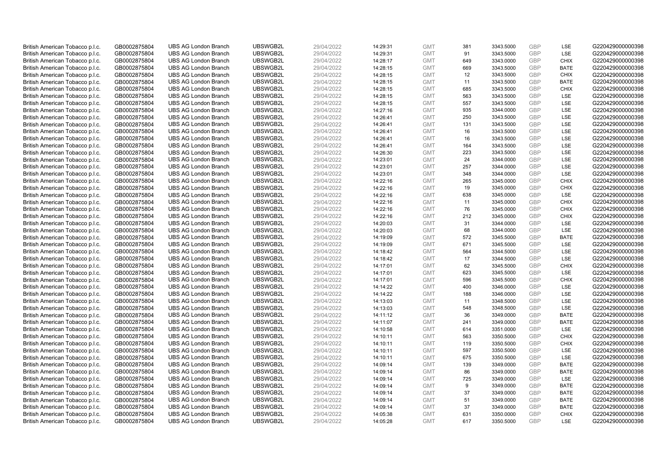| British American Tobacco p.l.c. | GB0002875804 | <b>UBS AG London Branch</b> | UBSWGB2L | 29/04/2022 | 14:29:31 | <b>GMT</b> | 381 | 3343.5000 | <b>GBP</b>               | LSE         | G220429000000398 |
|---------------------------------|--------------|-----------------------------|----------|------------|----------|------------|-----|-----------|--------------------------|-------------|------------------|
| British American Tobacco p.l.c. | GB0002875804 | <b>UBS AG London Branch</b> | UBSWGB2L | 29/04/2022 | 14:29:31 | <b>GMT</b> | 91  | 3343.5000 | <b>GBP</b>               | LSE         | G220429000000398 |
| British American Tobacco p.l.c. | GB0002875804 | <b>UBS AG London Branch</b> | UBSWGB2L | 29/04/2022 | 14:28:17 | <b>GMT</b> | 649 | 3343.0000 | <b>GBP</b>               | <b>CHIX</b> | G220429000000398 |
| British American Tobacco p.l.c. | GB0002875804 | <b>UBS AG London Branch</b> | UBSWGB2L | 29/04/2022 | 14:28:15 | <b>GMT</b> | 669 | 3343.5000 | <b>GBP</b>               | <b>BATE</b> | G220429000000398 |
| British American Tobacco p.l.c. | GB0002875804 | <b>UBS AG London Branch</b> | UBSWGB2L | 29/04/2022 |          | <b>GMT</b> | 12  | 3343.5000 | <b>GBP</b>               | <b>CHIX</b> | G220429000000398 |
|                                 |              | <b>UBS AG London Branch</b> | UBSWGB2L |            | 14:28:15 |            | 11  |           |                          | <b>BATE</b> | G220429000000398 |
| British American Tobacco p.l.c. | GB0002875804 |                             |          | 29/04/2022 | 14:28:15 | <b>GMT</b> |     | 3343.5000 | <b>GBP</b><br><b>GBP</b> |             |                  |
| British American Tobacco p.l.c. | GB0002875804 | <b>UBS AG London Branch</b> | UBSWGB2L | 29/04/2022 | 14:28:15 | <b>GMT</b> | 685 | 3343.5000 |                          | <b>CHIX</b> | G220429000000398 |
| British American Tobacco p.l.c. | GB0002875804 | <b>UBS AG London Branch</b> | UBSWGB2L | 29/04/2022 | 14:28:15 | <b>GMT</b> | 563 | 3343.5000 | <b>GBP</b>               | LSE         | G220429000000398 |
| British American Tobacco p.l.c. | GB0002875804 | <b>UBS AG London Branch</b> | UBSWGB2L | 29/04/2022 | 14:28:15 | <b>GMT</b> | 557 | 3343.5000 | <b>GBP</b>               | LSE         | G220429000000398 |
| British American Tobacco p.l.c. | GB0002875804 | <b>UBS AG London Branch</b> | UBSWGB2L | 29/04/2022 | 14:27:16 | <b>GMT</b> | 935 | 3344.0000 | <b>GBP</b>               | LSE         | G220429000000398 |
| British American Tobacco p.l.c. | GB0002875804 | <b>UBS AG London Branch</b> | UBSWGB2L | 29/04/2022 | 14:26:41 | <b>GMT</b> | 250 | 3343.5000 | <b>GBP</b>               | LSE         | G220429000000398 |
| British American Tobacco p.l.c. | GB0002875804 | <b>UBS AG London Branch</b> | UBSWGB2L | 29/04/2022 | 14:26:41 | <b>GMT</b> | 131 | 3343.5000 | <b>GBP</b>               | LSE         | G220429000000398 |
| British American Tobacco p.l.c. | GB0002875804 | <b>UBS AG London Branch</b> | UBSWGB2L | 29/04/2022 | 14:26:41 | <b>GMT</b> | 16  | 3343.5000 | <b>GBP</b>               | <b>LSE</b>  | G220429000000398 |
| British American Tobacco p.l.c. | GB0002875804 | <b>UBS AG London Branch</b> | UBSWGB2L | 29/04/2022 | 14:26:41 | <b>GMT</b> | 16  | 3343.5000 | <b>GBP</b>               | LSE         | G220429000000398 |
| British American Tobacco p.l.c. | GB0002875804 | <b>UBS AG London Branch</b> | UBSWGB2L | 29/04/2022 | 14:26:41 | <b>GMT</b> | 164 | 3343.5000 | <b>GBP</b>               | <b>LSE</b>  | G220429000000398 |
| British American Tobacco p.l.c. | GB0002875804 | <b>UBS AG London Branch</b> | UBSWGB2L | 29/04/2022 | 14:26:30 | <b>GMT</b> | 223 | 3343.5000 | <b>GBP</b>               | LSE         | G220429000000398 |
| British American Tobacco p.l.c. | GB0002875804 | <b>UBS AG London Branch</b> | UBSWGB2L | 29/04/2022 | 14:23:01 | <b>GMT</b> | 24  | 3344.0000 | <b>GBP</b>               | LSE         | G220429000000398 |
| British American Tobacco p.l.c. | GB0002875804 | <b>UBS AG London Branch</b> | UBSWGB2L | 29/04/2022 | 14:23:01 | <b>GMT</b> | 257 | 3344.0000 | <b>GBP</b>               | LSE         | G220429000000398 |
| British American Tobacco p.l.c. | GB0002875804 | <b>UBS AG London Branch</b> | UBSWGB2L | 29/04/2022 | 14:23:01 | <b>GMT</b> | 348 | 3344.0000 | <b>GBP</b>               | <b>LSE</b>  | G220429000000398 |
| British American Tobacco p.l.c. | GB0002875804 | <b>UBS AG London Branch</b> | UBSWGB2L | 29/04/2022 | 14:22:16 | <b>GMT</b> | 265 | 3345.0000 | <b>GBP</b>               | <b>CHIX</b> | G220429000000398 |
| British American Tobacco p.l.c. | GB0002875804 | <b>UBS AG London Branch</b> | UBSWGB2L | 29/04/2022 | 14:22:16 | <b>GMT</b> | 19  | 3345.0000 | <b>GBP</b>               | <b>CHIX</b> | G220429000000398 |
| British American Tobacco p.l.c. | GB0002875804 | <b>UBS AG London Branch</b> | UBSWGB2L | 29/04/2022 | 14:22:16 | <b>GMT</b> | 638 | 3345.0000 | <b>GBP</b>               | LSE         | G220429000000398 |
| British American Tobacco p.l.c. | GB0002875804 | <b>UBS AG London Branch</b> | UBSWGB2L | 29/04/2022 | 14:22:16 | <b>GMT</b> | 11  | 3345.0000 | <b>GBP</b>               | <b>CHIX</b> | G220429000000398 |
| British American Tobacco p.l.c. | GB0002875804 | <b>UBS AG London Branch</b> | UBSWGB2L | 29/04/2022 | 14:22:16 | <b>GMT</b> | 76  | 3345.0000 | <b>GBP</b>               | <b>CHIX</b> | G220429000000398 |
| British American Tobacco p.l.c. | GB0002875804 | <b>UBS AG London Branch</b> | UBSWGB2L | 29/04/2022 | 14:22:16 | <b>GMT</b> | 212 | 3345.0000 | <b>GBP</b>               | <b>CHIX</b> | G220429000000398 |
| British American Tobacco p.l.c. | GB0002875804 | <b>UBS AG London Branch</b> | UBSWGB2L | 29/04/2022 | 14:20:03 | <b>GMT</b> | 31  | 3344.0000 | <b>GBP</b>               | LSE         | G220429000000398 |
| British American Tobacco p.l.c. | GB0002875804 | <b>UBS AG London Branch</b> | UBSWGB2L | 29/04/2022 | 14:20:03 | <b>GMT</b> | 68  | 3344.0000 | <b>GBP</b>               | LSE         | G220429000000398 |
| British American Tobacco p.l.c. | GB0002875804 | <b>UBS AG London Branch</b> | UBSWGB2L | 29/04/2022 | 14:19:09 | <b>GMT</b> | 572 | 3345.5000 | <b>GBP</b>               | <b>BATE</b> | G220429000000398 |
| British American Tobacco p.l.c. | GB0002875804 | <b>UBS AG London Branch</b> | UBSWGB2L | 29/04/2022 | 14:19:09 | <b>GMT</b> | 671 | 3345.5000 | <b>GBP</b>               | LSE         | G220429000000398 |
| British American Tobacco p.l.c. | GB0002875804 | <b>UBS AG London Branch</b> | UBSWGB2L | 29/04/2022 | 14:18:42 | <b>GMT</b> | 564 | 3344.5000 | <b>GBP</b>               | LSE         | G220429000000398 |
| British American Tobacco p.l.c. | GB0002875804 | <b>UBS AG London Branch</b> | UBSWGB2L | 29/04/2022 | 14:18:42 | <b>GMT</b> | 17  | 3344.5000 | <b>GBP</b>               | LSE         | G220429000000398 |
| British American Tobacco p.l.c. | GB0002875804 | <b>UBS AG London Branch</b> | UBSWGB2L | 29/04/2022 | 14:17:01 | <b>GMT</b> | 62  | 3345.5000 | <b>GBP</b>               | <b>CHIX</b> | G220429000000398 |
| British American Tobacco p.l.c. | GB0002875804 | <b>UBS AG London Branch</b> | UBSWGB2L | 29/04/2022 | 14:17:01 | <b>GMT</b> | 623 | 3345.5000 | <b>GBP</b>               | LSE         | G220429000000398 |
| British American Tobacco p.l.c. | GB0002875804 | <b>UBS AG London Branch</b> | UBSWGB2L | 29/04/2022 | 14:17:01 | <b>GMT</b> | 596 | 3345.5000 | <b>GBP</b>               | <b>CHIX</b> | G220429000000398 |
| British American Tobacco p.l.c. | GB0002875804 | <b>UBS AG London Branch</b> | UBSWGB2L | 29/04/2022 | 14:14:22 | <b>GMT</b> | 400 | 3346.0000 | <b>GBP</b>               | LSE         | G220429000000398 |
| British American Tobacco p.l.c. | GB0002875804 | <b>UBS AG London Branch</b> | UBSWGB2L | 29/04/2022 | 14:14:22 | <b>GMT</b> | 188 | 3346.0000 | <b>GBP</b>               | LSE         | G220429000000398 |
| British American Tobacco p.l.c. | GB0002875804 | <b>UBS AG London Branch</b> | UBSWGB2L | 29/04/2022 | 14:13:03 | <b>GMT</b> | 11  | 3348.5000 | <b>GBP</b>               | <b>LSE</b>  | G220429000000398 |
| British American Tobacco p.l.c. | GB0002875804 | <b>UBS AG London Branch</b> | UBSWGB2L | 29/04/2022 | 14:13:03 | <b>GMT</b> | 548 | 3348.5000 | <b>GBP</b>               | LSE         | G220429000000398 |
| British American Tobacco p.l.c. | GB0002875804 | <b>UBS AG London Branch</b> | UBSWGB2L | 29/04/2022 | 14:11:12 | <b>GMT</b> | 36  | 3349.0000 | <b>GBP</b>               | <b>BATE</b> | G220429000000398 |
| British American Tobacco p.l.c. | GB0002875804 | <b>UBS AG London Branch</b> | UBSWGB2L | 29/04/2022 | 14:11:07 | <b>GMT</b> | 241 | 3349.0000 | <b>GBP</b>               | <b>BATE</b> | G220429000000398 |
| British American Tobacco p.l.c. | GB0002875804 | <b>UBS AG London Branch</b> | UBSWGB2L | 29/04/2022 | 14:10:58 | <b>GMT</b> | 614 | 3351.0000 | <b>GBP</b>               | LSE         | G220429000000398 |
| British American Tobacco p.l.c. | GB0002875804 | <b>UBS AG London Branch</b> | UBSWGB2L | 29/04/2022 | 14:10:11 | <b>GMT</b> | 563 | 3350.5000 | <b>GBP</b>               | <b>CHIX</b> | G220429000000398 |
| British American Tobacco p.l.c. | GB0002875804 | <b>UBS AG London Branch</b> | UBSWGB2L | 29/04/2022 | 14:10:11 | <b>GMT</b> | 119 | 3350.5000 | <b>GBP</b>               | <b>CHIX</b> | G220429000000398 |
| British American Tobacco p.l.c. | GB0002875804 | <b>UBS AG London Branch</b> | UBSWGB2L | 29/04/2022 | 14:10:11 | <b>GMT</b> | 597 | 3350.5000 | GBP                      | LSE         | G220429000000398 |
| British American Tobacco p.l.c. | GB0002875804 | <b>UBS AG London Branch</b> | UBSWGB2L | 29/04/2022 | 14:10:11 | <b>GMT</b> | 675 | 3350.5000 | <b>GBP</b>               | LSE         | G220429000000398 |
| British American Tobacco p.l.c. | GB0002875804 | <b>UBS AG London Branch</b> | UBSWGB2L | 29/04/2022 | 14:09:14 | <b>GMT</b> | 139 | 3349.0000 | <b>GBP</b>               | <b>BATE</b> | G220429000000398 |
| British American Tobacco p.l.c. | GB0002875804 | <b>UBS AG London Branch</b> | UBSWGB2L | 29/04/2022 | 14:09:14 | <b>GMT</b> | 86  | 3349.0000 | <b>GBP</b>               | <b>BATE</b> | G220429000000398 |
| British American Tobacco p.l.c. | GB0002875804 | <b>UBS AG London Branch</b> | UBSWGB2L | 29/04/2022 | 14:09:14 | <b>GMT</b> | 725 | 3349.0000 | <b>GBP</b>               | LSE         | G220429000000398 |
| British American Tobacco p.l.c. | GB0002875804 | <b>UBS AG London Branch</b> | UBSWGB2L | 29/04/2022 | 14:09:14 | <b>GMT</b> | 9   | 3349.0000 | <b>GBP</b>               | <b>BATE</b> | G220429000000398 |
| British American Tobacco p.l.c. | GB0002875804 | <b>UBS AG London Branch</b> | UBSWGB2L | 29/04/2022 | 14:09:14 | <b>GMT</b> | 37  | 3349.0000 | <b>GBP</b>               | <b>BATE</b> | G220429000000398 |
| British American Tobacco p.l.c. | GB0002875804 | <b>UBS AG London Branch</b> | UBSWGB2L | 29/04/2022 | 14:09:14 | <b>GMT</b> | 51  | 3349.0000 | <b>GBP</b>               | <b>BATE</b> | G220429000000398 |
| British American Tobacco p.l.c. | GB0002875804 | <b>UBS AG London Branch</b> | UBSWGB2L | 29/04/2022 | 14:09:14 | <b>GMT</b> | 37  | 3349.0000 | <b>GBP</b>               | <b>BATE</b> | G220429000000398 |
| British American Tobacco p.l.c. | GB0002875804 | <b>UBS AG London Branch</b> | UBSWGB2L | 29/04/2022 | 14:05:38 | <b>GMT</b> | 631 | 3350.0000 | <b>GBP</b>               | <b>CHIX</b> | G220429000000398 |
| British American Tobacco p.l.c. | GB0002875804 | <b>UBS AG London Branch</b> | UBSWGB2L | 29/04/2022 | 14:05:28 | <b>GMT</b> | 617 | 3350.5000 | GBP                      | LSE         | G220429000000398 |
|                                 |              |                             |          |            |          |            |     |           |                          |             |                  |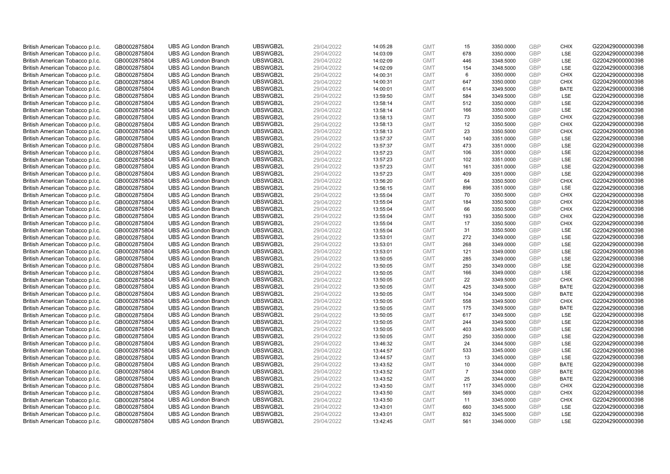| British American Tobacco p.l.c. | GB0002875804 | <b>UBS AG London Branch</b> | UBSWGB2L | 29/04/2022 |          | <b>GMT</b> |                | 3350.0000 | <b>GBP</b> | <b>CHIX</b> | G220429000000398 |
|---------------------------------|--------------|-----------------------------|----------|------------|----------|------------|----------------|-----------|------------|-------------|------------------|
|                                 |              |                             |          |            | 14:05:28 |            | 15<br>678      |           | GBP        | <b>LSE</b>  |                  |
| British American Tobacco p.l.c. | GB0002875804 | <b>UBS AG London Branch</b> | UBSWGB2L | 29/04/2022 | 14:03:09 | <b>GMT</b> |                | 3350.0000 |            |             | G220429000000398 |
| British American Tobacco p.l.c. | GB0002875804 | <b>UBS AG London Branch</b> | UBSWGB2L | 29/04/2022 | 14:02:09 | <b>GMT</b> | 446            | 3348.5000 | GBP        | LSE         | G220429000000398 |
| British American Tobacco p.l.c. | GB0002875804 | <b>UBS AG London Branch</b> | UBSWGB2L | 29/04/2022 | 14:02:09 | <b>GMT</b> | 154            | 3348.5000 | <b>GBP</b> | LSE         | G220429000000398 |
| British American Tobacco p.l.c. | GB0002875804 | <b>UBS AG London Branch</b> | UBSWGB2L | 29/04/2022 | 14:00:31 | <b>GMT</b> | 6              | 3350.0000 | GBP        | <b>CHIX</b> | G220429000000398 |
| British American Tobacco p.l.c. | GB0002875804 | <b>UBS AG London Branch</b> | UBSWGB2L | 29/04/2022 | 14:00:31 | <b>GMT</b> | 647            | 3350.0000 | <b>GBP</b> | <b>CHIX</b> | G220429000000398 |
| British American Tobacco p.l.c. | GB0002875804 | <b>UBS AG London Branch</b> | UBSWGB2L | 29/04/2022 | 14:00:01 | <b>GMT</b> | 614            | 3349.5000 | GBP        | <b>BATE</b> | G220429000000398 |
| British American Tobacco p.l.c. | GB0002875804 | <b>UBS AG London Branch</b> | UBSWGB2L | 29/04/2022 | 13:59:50 | <b>GMT</b> | 584            | 3349.5000 | <b>GBP</b> | LSE         | G220429000000398 |
| British American Tobacco p.l.c. | GB0002875804 | <b>UBS AG London Branch</b> | UBSWGB2L | 29/04/2022 | 13:58:14 | <b>GMT</b> | 512            | 3350.0000 | GBP        | LSE         | G220429000000398 |
| British American Tobacco p.l.c. | GB0002875804 | <b>UBS AG London Branch</b> | UBSWGB2L | 29/04/2022 | 13:58:14 | <b>GMT</b> | 166            | 3350.0000 | <b>GBP</b> | LSE         | G220429000000398 |
| British American Tobacco p.l.c. | GB0002875804 | <b>UBS AG London Branch</b> | UBSWGB2L | 29/04/2022 | 13:58:13 | <b>GMT</b> | 73             | 3350.5000 | GBP        | CHIX        | G220429000000398 |
| British American Tobacco p.l.c. | GB0002875804 | <b>UBS AG London Branch</b> | UBSWGB2L | 29/04/2022 | 13:58:13 | <b>GMT</b> | 12             | 3350.5000 | <b>GBP</b> | <b>CHIX</b> | G220429000000398 |
| British American Tobacco p.l.c. | GB0002875804 | <b>UBS AG London Branch</b> | UBSWGB2L | 29/04/2022 | 13:58:13 | <b>GMT</b> | 23             | 3350.5000 | GBP        | <b>CHIX</b> | G220429000000398 |
| British American Tobacco p.l.c. | GB0002875804 | <b>UBS AG London Branch</b> | UBSWGB2L | 29/04/2022 | 13:57:37 | <b>GMT</b> | 140            | 3351.0000 | <b>GBP</b> | <b>LSE</b>  | G220429000000398 |
| British American Tobacco p.l.c. | GB0002875804 | <b>UBS AG London Branch</b> | UBSWGB2L | 29/04/2022 | 13:57:37 | <b>GMT</b> | 473            | 3351.0000 | GBP        | <b>LSE</b>  | G220429000000398 |
| British American Tobacco p.l.c. | GB0002875804 | <b>UBS AG London Branch</b> | UBSWGB2L | 29/04/2022 | 13:57:23 | <b>GMT</b> | 106            | 3351.0000 | GBP        | LSE         | G220429000000398 |
| British American Tobacco p.l.c. | GB0002875804 | <b>UBS AG London Branch</b> | UBSWGB2L | 29/04/2022 | 13:57:23 | <b>GMT</b> | 102            | 3351.0000 | GBP        | LSE         | G220429000000398 |
| British American Tobacco p.l.c. | GB0002875804 | <b>UBS AG London Branch</b> | UBSWGB2L | 29/04/2022 | 13:57:23 | <b>GMT</b> | 161            | 3351.0000 | GBP        | LSE         | G220429000000398 |
| British American Tobacco p.l.c. | GB0002875804 | <b>UBS AG London Branch</b> | UBSWGB2L | 29/04/2022 | 13:57:23 | <b>GMT</b> | 409            | 3351.0000 | <b>GBP</b> | <b>LSE</b>  | G220429000000398 |
| British American Tobacco p.l.c. | GB0002875804 | <b>UBS AG London Branch</b> | UBSWGB2L | 29/04/2022 | 13:56:20 | <b>GMT</b> | 64             | 3350.5000 | <b>GBP</b> | <b>CHIX</b> | G220429000000398 |
| British American Tobacco p.l.c. | GB0002875804 | <b>UBS AG London Branch</b> | UBSWGB2L | 29/04/2022 | 13:56:15 | <b>GMT</b> | 896            | 3351.0000 | <b>GBP</b> | LSE         | G220429000000398 |
| British American Tobacco p.l.c. | GB0002875804 | <b>UBS AG London Branch</b> | UBSWGB2L | 29/04/2022 | 13:55:04 | <b>GMT</b> | 70             | 3350.5000 | GBP        | <b>CHIX</b> | G220429000000398 |
| British American Tobacco p.l.c. | GB0002875804 | <b>UBS AG London Branch</b> | UBSWGB2L | 29/04/2022 | 13:55:04 | <b>GMT</b> | 184            | 3350.5000 | GBP        | <b>CHIX</b> | G220429000000398 |
| British American Tobacco p.l.c. | GB0002875804 | <b>UBS AG London Branch</b> | UBSWGB2L | 29/04/2022 | 13:55:04 | <b>GMT</b> | 66             | 3350.5000 | GBP        | <b>CHIX</b> | G220429000000398 |
| British American Tobacco p.l.c. | GB0002875804 | <b>UBS AG London Branch</b> | UBSWGB2L | 29/04/2022 | 13:55:04 | <b>GMT</b> | 193            | 3350.5000 | <b>GBP</b> | <b>CHIX</b> | G220429000000398 |
| British American Tobacco p.l.c. | GB0002875804 | <b>UBS AG London Branch</b> | UBSWGB2L | 29/04/2022 | 13:55:04 | <b>GMT</b> | 17             | 3350.5000 | GBP        | <b>CHIX</b> | G220429000000398 |
| British American Tobacco p.l.c. | GB0002875804 | <b>UBS AG London Branch</b> | UBSWGB2L | 29/04/2022 | 13:55:04 | <b>GMT</b> | 31             | 3350.5000 | <b>GBP</b> | <b>LSE</b>  | G220429000000398 |
| British American Tobacco p.l.c. | GB0002875804 | <b>UBS AG London Branch</b> | UBSWGB2L | 29/04/2022 | 13:53:01 | <b>GMT</b> | 272            | 3349.0000 | GBP        | LSE         | G220429000000398 |
| British American Tobacco p.l.c. | GB0002875804 | <b>UBS AG London Branch</b> | UBSWGB2L | 29/04/2022 | 13:53:01 | <b>GMT</b> | 268            | 3349.0000 | <b>GBP</b> | LSE         | G220429000000398 |
| British American Tobacco p.l.c. | GB0002875804 | <b>UBS AG London Branch</b> | UBSWGB2L | 29/04/2022 | 13:53:01 | <b>GMT</b> | 121            | 3349.0000 | GBP        | LSE         | G220429000000398 |
| British American Tobacco p.l.c. | GB0002875804 | <b>UBS AG London Branch</b> | UBSWGB2L | 29/04/2022 | 13:50:05 | <b>GMT</b> | 285            | 3349.0000 | <b>GBP</b> | <b>LSE</b>  | G220429000000398 |
| British American Tobacco p.l.c. | GB0002875804 | <b>UBS AG London Branch</b> | UBSWGB2L | 29/04/2022 | 13:50:05 | <b>GMT</b> | 250            | 3349.0000 | <b>GBP</b> | <b>LSE</b>  | G220429000000398 |
| British American Tobacco p.l.c. | GB0002875804 | <b>UBS AG London Branch</b> | UBSWGB2L | 29/04/2022 | 13:50:05 | <b>GMT</b> | 166            | 3349.0000 | <b>GBP</b> | LSE         | G220429000000398 |
| British American Tobacco p.l.c. | GB0002875804 | <b>UBS AG London Branch</b> | UBSWGB2L | 29/04/2022 | 13:50:05 | <b>GMT</b> | 22             | 3349.5000 | <b>GBP</b> | <b>CHIX</b> | G220429000000398 |
| British American Tobacco p.l.c. | GB0002875804 | <b>UBS AG London Branch</b> | UBSWGB2L | 29/04/2022 | 13:50:05 | <b>GMT</b> | 425            | 3349.5000 | <b>GBP</b> | <b>BATE</b> | G220429000000398 |
| British American Tobacco p.l.c. | GB0002875804 | <b>UBS AG London Branch</b> | UBSWGB2L | 29/04/2022 | 13:50:05 | <b>GMT</b> | 104            | 3349.5000 | <b>GBP</b> | <b>BATE</b> | G220429000000398 |
| British American Tobacco p.l.c. | GB0002875804 | <b>UBS AG London Branch</b> | UBSWGB2L | 29/04/2022 | 13:50:05 | <b>GMT</b> | 558            | 3349.5000 | <b>GBP</b> | <b>CHIX</b> | G220429000000398 |
| British American Tobacco p.l.c. | GB0002875804 | <b>UBS AG London Branch</b> | UBSWGB2L | 29/04/2022 | 13:50:05 | <b>GMT</b> | 175            | 3349.5000 | <b>GBP</b> | <b>BATE</b> | G220429000000398 |
| British American Tobacco p.l.c. | GB0002875804 | <b>UBS AG London Branch</b> | UBSWGB2L | 29/04/2022 | 13:50:05 | <b>GMT</b> | 617            | 3349.5000 | GBP        | LSE         | G220429000000398 |
| British American Tobacco p.l.c. | GB0002875804 | <b>UBS AG London Branch</b> | UBSWGB2L | 29/04/2022 | 13:50:05 | <b>GMT</b> | 244            | 3349.5000 | <b>GBP</b> | <b>LSE</b>  | G220429000000398 |
| British American Tobacco p.l.c. | GB0002875804 | <b>UBS AG London Branch</b> | UBSWGB2L | 29/04/2022 | 13:50:05 | <b>GMT</b> | 403            | 3349.5000 | GBP        | LSE         | G220429000000398 |
| British American Tobacco p.l.c. | GB0002875804 | <b>UBS AG London Branch</b> | UBSWGB2L | 29/04/2022 | 13:50:05 | <b>GMT</b> | 250            | 3350.0000 | <b>GBP</b> | LSE         | G220429000000398 |
| British American Tobacco p.l.c. | GB0002875804 | <b>UBS AG London Branch</b> | UBSWGB2L | 29/04/2022 | 13:46:32 | <b>GMT</b> | 24             | 3344.5000 | GBP        | LSE         | G220429000000398 |
| British American Tobacco p.l.c. | GB0002875804 | <b>UBS AG London Branch</b> | UBSWGB2L | 29/04/2022 | 13:44:57 | <b>GMT</b> | 533            | 3345.0000 | <b>GBP</b> | <b>LSE</b>  | G220429000000398 |
| British American Tobacco p.l.c. | GB0002875804 | <b>UBS AG London Branch</b> | UBSWGB2L | 29/04/2022 | 13:44:57 | <b>GMT</b> | 13             | 3345.0000 | <b>GBP</b> | LSE         | G220429000000398 |
| British American Tobacco p.l.c. | GB0002875804 | <b>UBS AG London Branch</b> | UBSWGB2L | 29/04/2022 | 13:43:52 | <b>GMT</b> | 10             | 3344.0000 | <b>GBP</b> | <b>BATE</b> | G220429000000398 |
| British American Tobacco p.l.c. | GB0002875804 | <b>UBS AG London Branch</b> | UBSWGB2L | 29/04/2022 | 13:43:52 | <b>GMT</b> | $\overline{7}$ | 3344.0000 | <b>GBP</b> | <b>BATE</b> | G220429000000398 |
| British American Tobacco p.l.c. | GB0002875804 | <b>UBS AG London Branch</b> | UBSWGB2L | 29/04/2022 | 13:43:52 | <b>GMT</b> | 25             | 3344.0000 | <b>GBP</b> | <b>BATE</b> | G220429000000398 |
| British American Tobacco p.l.c. | GB0002875804 | <b>UBS AG London Branch</b> | UBSWGB2L | 29/04/2022 | 13:43:50 | <b>GMT</b> | 117            | 3345.0000 | <b>GBP</b> | <b>CHIX</b> | G220429000000398 |
| British American Tobacco p.l.c. | GB0002875804 | <b>UBS AG London Branch</b> | UBSWGB2L | 29/04/2022 | 13:43:50 | <b>GMT</b> | 569            | 3345.0000 | <b>GBP</b> | <b>CHIX</b> | G220429000000398 |
| British American Tobacco p.l.c. | GB0002875804 | <b>UBS AG London Branch</b> | UBSWGB2L | 29/04/2022 | 13:43:50 | <b>GMT</b> | 11             | 3345.0000 | <b>GBP</b> | <b>CHIX</b> | G220429000000398 |
| British American Tobacco p.l.c. | GB0002875804 | <b>UBS AG London Branch</b> | UBSWGB2L | 29/04/2022 | 13:43:01 | <b>GMT</b> | 660            | 3345.5000 | <b>GBP</b> | LSE         | G220429000000398 |
| British American Tobacco p.l.c. | GB0002875804 | <b>UBS AG London Branch</b> | UBSWGB2L | 29/04/2022 | 13:43:01 | <b>GMT</b> | 832            | 3345.5000 | <b>GBP</b> | LSE         | G220429000000398 |
| British American Tobacco p.l.c. | GB0002875804 | <b>UBS AG London Branch</b> | UBSWGB2L | 29/04/2022 | 13:42:45 | <b>GMT</b> | 561            | 3346.0000 | GBP        | <b>LSE</b>  | G220429000000398 |
|                                 |              |                             |          |            |          |            |                |           |            |             |                  |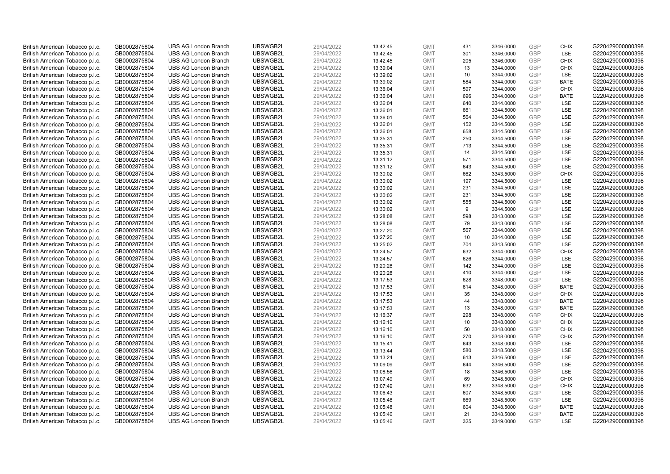| British American Tobacco p.l.c.                                    | GB0002875804                 |                             | UBSWGB2L | 29/04/2022 |          | <b>GMT</b> |            |           | <b>GBP</b> |                           |                  |
|--------------------------------------------------------------------|------------------------------|-----------------------------|----------|------------|----------|------------|------------|-----------|------------|---------------------------|------------------|
|                                                                    |                              | <b>UBS AG London Branch</b> |          |            | 13:42:45 |            | 431<br>301 | 3346.0000 | GBP        | <b>CHIX</b><br><b>LSE</b> | G220429000000398 |
| British American Tobacco p.l.c.                                    | GB0002875804                 | <b>UBS AG London Branch</b> | UBSWGB2L | 29/04/2022 | 13:42:45 | <b>GMT</b> |            | 3346.0000 |            |                           | G220429000000398 |
| British American Tobacco p.l.c.                                    | GB0002875804                 | <b>UBS AG London Branch</b> | UBSWGB2L | 29/04/2022 | 13:42:45 | <b>GMT</b> | 205        | 3346.0000 | <b>GBP</b> | <b>CHIX</b>               | G220429000000398 |
| British American Tobacco p.l.c.                                    | GB0002875804                 | <b>UBS AG London Branch</b> | UBSWGB2L | 29/04/2022 | 13:39:04 | <b>GMT</b> | 13         | 3344.0000 | <b>GBP</b> | <b>CHIX</b>               | G220429000000398 |
| British American Tobacco p.l.c.                                    | GB0002875804                 | <b>UBS AG London Branch</b> | UBSWGB2L | 29/04/2022 | 13:39:02 | <b>GMT</b> | 10         | 3344.0000 | <b>GBP</b> | <b>LSE</b>                | G220429000000398 |
| British American Tobacco p.l.c.                                    | GB0002875804                 | <b>UBS AG London Branch</b> | UBSWGB2L | 29/04/2022 | 13:39:02 | <b>GMT</b> | 584        | 3344.0000 | <b>GBP</b> | <b>BATE</b>               | G220429000000398 |
| British American Tobacco p.l.c.                                    | GB0002875804                 | <b>UBS AG London Branch</b> | UBSWGB2L | 29/04/2022 | 13:36:04 | <b>GMT</b> | 597        | 3344.0000 | GBP        | <b>CHIX</b>               | G220429000000398 |
| British American Tobacco p.l.c.                                    | GB0002875804                 | <b>UBS AG London Branch</b> | UBSWGB2L | 29/04/2022 | 13:36:04 | <b>GMT</b> | 696        | 3344.0000 | <b>GBP</b> | <b>BATE</b>               | G220429000000398 |
| British American Tobacco p.l.c.                                    | GB0002875804                 | <b>UBS AG London Branch</b> | UBSWGB2L | 29/04/2022 | 13:36:04 | <b>GMT</b> | 640        | 3344.0000 | GBP        | LSE                       | G220429000000398 |
| British American Tobacco p.l.c.                                    | GB0002875804                 | <b>UBS AG London Branch</b> | UBSWGB2L | 29/04/2022 | 13:36:01 | <b>GMT</b> | 661        | 3344.5000 | <b>GBP</b> | LSE                       | G220429000000398 |
| British American Tobacco p.l.c.                                    | GB0002875804                 | <b>UBS AG London Branch</b> | UBSWGB2L | 29/04/2022 | 13:36:01 | <b>GMT</b> | 564        | 3344.5000 | GBP        | <b>LSE</b>                | G220429000000398 |
| British American Tobacco p.l.c.                                    | GB0002875804                 | <b>UBS AG London Branch</b> | UBSWGB2L | 29/04/2022 | 13:36:01 | <b>GMT</b> | 152        | 3344.5000 | <b>GBP</b> | LSE                       | G220429000000398 |
| British American Tobacco p.l.c.                                    | GB0002875804                 | <b>UBS AG London Branch</b> | UBSWGB2L | 29/04/2022 | 13:36:01 | <b>GMT</b> | 658        | 3344.5000 | GBP        | LSE                       | G220429000000398 |
| British American Tobacco p.l.c.                                    | GB0002875804                 | <b>UBS AG London Branch</b> | UBSWGB2L | 29/04/2022 | 13:35:31 | <b>GMT</b> | 250        | 3344.5000 | <b>GBP</b> | LSE                       | G220429000000398 |
| British American Tobacco p.l.c.                                    | GB0002875804                 | <b>UBS AG London Branch</b> | UBSWGB2L | 29/04/2022 | 13:35:31 | <b>GMT</b> | 713        | 3344.5000 | GBP        | <b>LSE</b>                | G220429000000398 |
| British American Tobacco p.l.c.                                    | GB0002875804                 | <b>UBS AG London Branch</b> | UBSWGB2L | 29/04/2022 | 13:35:31 | <b>GMT</b> | 14         | 3344.5000 | GBP        | LSE                       | G220429000000398 |
| British American Tobacco p.l.c.                                    | GB0002875804                 | <b>UBS AG London Branch</b> | UBSWGB2L | 29/04/2022 | 13:31:12 | <b>GMT</b> | 571        | 3344.5000 | GBP        | LSE                       | G220429000000398 |
| British American Tobacco p.l.c.                                    | GB0002875804                 | <b>UBS AG London Branch</b> | UBSWGB2L | 29/04/2022 | 13:31:12 | <b>GMT</b> | 643        | 3344.5000 | GBP        | LSE                       | G220429000000398 |
| British American Tobacco p.l.c.                                    | GB0002875804                 | <b>UBS AG London Branch</b> | UBSWGB2L | 29/04/2022 | 13:30:02 | <b>GMT</b> | 662        | 3343.5000 | <b>GBP</b> | <b>CHIX</b>               | G220429000000398 |
| British American Tobacco p.l.c.                                    | GB0002875804                 | <b>UBS AG London Branch</b> | UBSWGB2L | 29/04/2022 | 13:30:02 | <b>GMT</b> | 197        | 3344.5000 | <b>GBP</b> | LSE                       | G220429000000398 |
| British American Tobacco p.l.c.                                    | GB0002875804                 | <b>UBS AG London Branch</b> | UBSWGB2L | 29/04/2022 | 13:30:02 | <b>GMT</b> | 231        | 3344.5000 | <b>GBP</b> | LSE                       | G220429000000398 |
| British American Tobacco p.l.c.                                    | GB0002875804                 | <b>UBS AG London Branch</b> | UBSWGB2L | 29/04/2022 | 13:30:02 | <b>GMT</b> | 231        | 3344.5000 | GBP        | LSE                       | G220429000000398 |
| British American Tobacco p.l.c.                                    | GB0002875804                 | <b>UBS AG London Branch</b> | UBSWGB2L | 29/04/2022 | 13:30:02 | <b>GMT</b> | 555        | 3344.5000 | <b>GBP</b> | LSE                       | G220429000000398 |
| British American Tobacco p.l.c.                                    | GB0002875804                 | <b>UBS AG London Branch</b> | UBSWGB2L | 29/04/2022 | 13:30:02 | <b>GMT</b> | 9          | 3344.5000 | <b>GBP</b> | <b>LSE</b>                | G220429000000398 |
| British American Tobacco p.l.c.                                    | GB0002875804                 | <b>UBS AG London Branch</b> | UBSWGB2L | 29/04/2022 | 13:28:08 | <b>GMT</b> | 598        | 3343.0000 | <b>GBP</b> | LSE                       | G220429000000398 |
| British American Tobacco p.l.c.                                    | GB0002875804                 | <b>UBS AG London Branch</b> | UBSWGB2L | 29/04/2022 | 13:28:08 | <b>GMT</b> | 79         | 3343.0000 | GBP        | LSE                       | G220429000000398 |
| British American Tobacco p.l.c.                                    | GB0002875804                 | <b>UBS AG London Branch</b> | UBSWGB2L | 29/04/2022 | 13:27:20 | <b>GMT</b> | 567        | 3344.0000 | <b>GBP</b> | LSE                       | G220429000000398 |
| British American Tobacco p.l.c.                                    | GB0002875804                 | <b>UBS AG London Branch</b> | UBSWGB2L | 29/04/2022 | 13:27:20 | <b>GMT</b> | 10         | 3344.0000 | GBP        | LSE                       | G220429000000398 |
| British American Tobacco p.l.c.                                    | GB0002875804                 | <b>UBS AG London Branch</b> | UBSWGB2L | 29/04/2022 | 13:25:02 | <b>GMT</b> | 704        | 3343.5000 | <b>GBP</b> | LSE                       | G220429000000398 |
| British American Tobacco p.l.c.                                    | GB0002875804                 | <b>UBS AG London Branch</b> | UBSWGB2L | 29/04/2022 | 13:24:57 | <b>GMT</b> | 632        | 3344.0000 | GBP        | <b>CHIX</b>               | G220429000000398 |
| British American Tobacco p.l.c.                                    | GB0002875804                 | <b>UBS AG London Branch</b> | UBSWGB2L | 29/04/2022 | 13:24:57 | <b>GMT</b> | 626        | 3344.0000 | <b>GBP</b> | <b>LSE</b>                | G220429000000398 |
| British American Tobacco p.l.c.                                    | GB0002875804                 | <b>UBS AG London Branch</b> | UBSWGB2L | 29/04/2022 | 13:20:28 | <b>GMT</b> | 142        | 3344.0000 | <b>GBP</b> | <b>LSE</b>                | G220429000000398 |
| British American Tobacco p.l.c.                                    | GB0002875804                 | <b>UBS AG London Branch</b> | UBSWGB2L | 29/04/2022 | 13:20:28 | <b>GMT</b> | 410        | 3344.0000 | <b>GBP</b> | LSE                       | G220429000000398 |
| British American Tobacco p.l.c.                                    | GB0002875804                 | <b>UBS AG London Branch</b> | UBSWGB2L | 29/04/2022 | 13:17:53 | <b>GMT</b> | 628        | 3348.0000 | <b>GBP</b> | LSE                       | G220429000000398 |
| British American Tobacco p.l.c.                                    | GB0002875804                 | <b>UBS AG London Branch</b> | UBSWGB2L | 29/04/2022 | 13:17:53 | <b>GMT</b> | 614        | 3348.0000 | GBP        | <b>BATE</b>               | G220429000000398 |
| British American Tobacco p.l.c.                                    | GB0002875804                 | <b>UBS AG London Branch</b> | UBSWGB2L | 29/04/2022 | 13:17:53 | <b>GMT</b> | 35         | 3348.0000 | <b>GBP</b> | <b>CHIX</b>               | G220429000000398 |
| British American Tobacco p.l.c.                                    | GB0002875804                 | <b>UBS AG London Branch</b> | UBSWGB2L | 29/04/2022 | 13:17:53 | <b>GMT</b> | 44         | 3348.0000 | <b>GBP</b> | <b>BATE</b>               | G220429000000398 |
| British American Tobacco p.l.c.                                    | GB0002875804                 | <b>UBS AG London Branch</b> | UBSWGB2L | 29/04/2022 | 13:17:53 | <b>GMT</b> | 13         | 3348.0000 | <b>GBP</b> | <b>BATE</b>               | G220429000000398 |
| British American Tobacco p.l.c.                                    | GB0002875804                 | <b>UBS AG London Branch</b> | UBSWGB2L | 29/04/2022 | 13:16:37 | <b>GMT</b> | 298        | 3348.0000 | GBP        | <b>CHIX</b>               | G220429000000398 |
| British American Tobacco p.l.c.                                    | GB0002875804                 | <b>UBS AG London Branch</b> | UBSWGB2L | 29/04/2022 | 13:16:10 | <b>GMT</b> | 10         | 3348.0000 | <b>GBP</b> | <b>CHIX</b>               | G220429000000398 |
| British American Tobacco p.l.c.                                    | GB0002875804                 | <b>UBS AG London Branch</b> | UBSWGB2L | 29/04/2022 | 13:16:10 | <b>GMT</b> | 50         | 3348.0000 | GBP        | <b>CHIX</b>               | G220429000000398 |
| British American Tobacco p.l.c.                                    | GB0002875804                 | <b>UBS AG London Branch</b> | UBSWGB2L | 29/04/2022 | 13:16:10 | <b>GMT</b> | 270        | 3348.0000 | <b>GBP</b> | <b>CHIX</b>               | G220429000000398 |
| British American Tobacco p.l.c.                                    | GB0002875804                 | <b>UBS AG London Branch</b> | UBSWGB2L | 29/04/2022 | 13:15:41 | <b>GMT</b> | 643        | 3348.0000 | <b>GBP</b> | LSE                       | G220429000000398 |
| British American Tobacco p.l.c.                                    | GB0002875804                 | <b>UBS AG London Branch</b> | UBSWGB2L | 29/04/2022 | 13:13:44 | <b>GMT</b> | 580        | 3348.5000 | <b>GBP</b> | <b>LSE</b>                | G220429000000398 |
| British American Tobacco p.l.c.                                    | GB0002875804                 | <b>UBS AG London Branch</b> | UBSWGB2L | 29/04/2022 | 13:13:24 | <b>GMT</b> | 613        | 3346.5000 | <b>GBP</b> | LSE                       | G220429000000398 |
|                                                                    |                              | <b>UBS AG London Branch</b> | UBSWGB2L | 29/04/2022 | 13:09:09 | <b>GMT</b> | 644        | 3346.5000 | <b>GBP</b> | LSE                       | G220429000000398 |
| British American Tobacco p.l.c.<br>British American Tobacco p.l.c. | GB0002875804<br>GB0002875804 | <b>UBS AG London Branch</b> | UBSWGB2L | 29/04/2022 | 13:08:56 | <b>GMT</b> | 18         | 3346.5000 | <b>GBP</b> | LSE                       | G220429000000398 |
|                                                                    |                              | <b>UBS AG London Branch</b> | UBSWGB2L |            |          | <b>GMT</b> | 69         | 3348.5000 | GBP        | <b>CHIX</b>               | G220429000000398 |
| British American Tobacco p.l.c.                                    | GB0002875804                 |                             |          | 29/04/2022 | 13:07:49 | <b>GMT</b> |            |           | <b>GBP</b> |                           |                  |
| British American Tobacco p.l.c.                                    | GB0002875804                 | <b>UBS AG London Branch</b> | UBSWGB2L | 29/04/2022 | 13:07:49 |            | 632        | 3348.5000 | <b>GBP</b> | <b>CHIX</b>               | G220429000000398 |
| British American Tobacco p.l.c.                                    | GB0002875804                 | <b>UBS AG London Branch</b> | UBSWGB2L | 29/04/2022 | 13:06:43 | <b>GMT</b> | 607        | 3348.5000 |            | <b>LSE</b>                | G220429000000398 |
| British American Tobacco p.l.c.                                    | GB0002875804                 | <b>UBS AG London Branch</b> | UBSWGB2L | 29/04/2022 | 13:05:48 | <b>GMT</b> | 669        | 3348.5000 | <b>GBP</b> | LSE                       | G220429000000398 |
| British American Tobacco p.l.c.                                    | GB0002875804                 | <b>UBS AG London Branch</b> | UBSWGB2L | 29/04/2022 | 13:05:48 | <b>GMT</b> | 604        | 3348.5000 | <b>GBP</b> | <b>BATE</b>               | G220429000000398 |
| British American Tobacco p.l.c.                                    | GB0002875804                 | <b>UBS AG London Branch</b> | UBSWGB2L | 29/04/2022 | 13:05:46 | <b>GMT</b> | 21         | 3348.5000 | <b>GBP</b> | <b>BATE</b>               | G220429000000398 |
| British American Tobacco p.l.c.                                    | GB0002875804                 | <b>UBS AG London Branch</b> | UBSWGB2L | 29/04/2022 | 13:05:46 | <b>GMT</b> | 325        | 3349.0000 | GBP        | <b>LSE</b>                | G220429000000398 |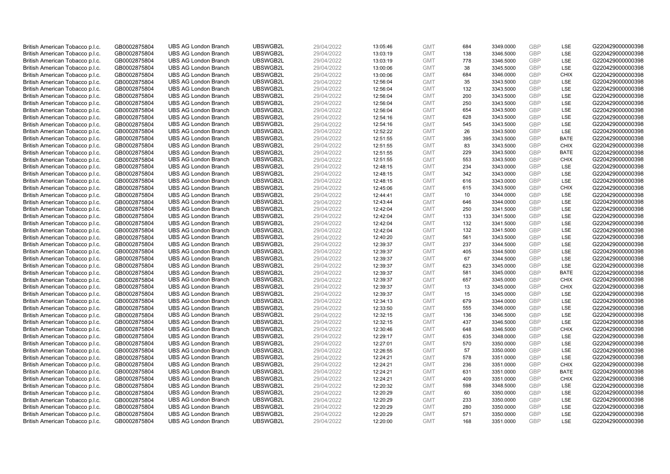| British American Tobacco p.l.c.                                    | GB0002875804                 | <b>UBS AG London Branch</b>                                | UBSWGB2L             | 29/04/2022               | 13:05:46             | <b>GMT</b>               | 684        | 3349.0000              | <b>GBP</b>               | LSE                        | G220429000000398                     |
|--------------------------------------------------------------------|------------------------------|------------------------------------------------------------|----------------------|--------------------------|----------------------|--------------------------|------------|------------------------|--------------------------|----------------------------|--------------------------------------|
| British American Tobacco p.l.c.                                    | GB0002875804                 | <b>UBS AG London Branch</b>                                | UBSWGB2L             | 29/04/2022               | 13:03:19             | <b>GMT</b>               | 138        | 3346.5000              | GBP                      | <b>LSE</b>                 | G220429000000398                     |
| British American Tobacco p.l.c.                                    | GB0002875804                 | <b>UBS AG London Branch</b>                                | UBSWGB2L             | 29/04/2022               | 13:03:19             | <b>GMT</b>               | 778        | 3346.5000              | <b>GBP</b>               | LSE                        | G220429000000398                     |
| British American Tobacco p.l.c.                                    | GB0002875804                 | <b>UBS AG London Branch</b>                                | UBSWGB2L             | 29/04/2022               | 13:00:06             | <b>GMT</b>               | 38         | 3345.5000              | <b>GBP</b>               | LSE                        | G220429000000398                     |
| British American Tobacco p.l.c.                                    | GB0002875804                 | <b>UBS AG London Branch</b>                                | UBSWGB2L             | 29/04/2022               | 13:00:06             | <b>GMT</b>               | 684        | 3346.0000              | <b>GBP</b>               | <b>CHIX</b>                | G220429000000398                     |
| British American Tobacco p.l.c.                                    | GB0002875804                 | <b>UBS AG London Branch</b>                                | UBSWGB2L             | 29/04/2022               | 12:56:04             | <b>GMT</b>               | 35         | 3343.5000              | <b>GBP</b>               | <b>LSE</b>                 | G220429000000398                     |
| British American Tobacco p.l.c.                                    | GB0002875804                 | <b>UBS AG London Branch</b>                                | UBSWGB2L             | 29/04/2022               | 12:56:04             | <b>GMT</b>               | 132        | 3343.5000              | GBP                      | LSE                        | G220429000000398                     |
| British American Tobacco p.l.c.                                    | GB0002875804                 | <b>UBS AG London Branch</b>                                | UBSWGB2L             | 29/04/2022               | 12:56:04             | <b>GMT</b>               | 200        | 3343.5000              | <b>GBP</b>               | LSE                        | G220429000000398                     |
| British American Tobacco p.l.c.                                    | GB0002875804                 | <b>UBS AG London Branch</b>                                | UBSWGB2L             | 29/04/2022               | 12:56:04             | <b>GMT</b>               | 250        | 3343.5000              | GBP                      | LSE                        | G220429000000398                     |
| British American Tobacco p.l.c.                                    | GB0002875804                 | <b>UBS AG London Branch</b>                                | UBSWGB2L             | 29/04/2022               | 12:56:04             | <b>GMT</b>               | 654        | 3343.5000              | <b>GBP</b>               | LSE                        | G220429000000398                     |
| British American Tobacco p.l.c.                                    | GB0002875804                 | <b>UBS AG London Branch</b>                                | UBSWGB2L             | 29/04/2022               | 12:54:16             | <b>GMT</b>               | 628        | 3343.5000              | GBP                      | <b>LSE</b>                 | G220429000000398                     |
| British American Tobacco p.l.c.                                    | GB0002875804                 | <b>UBS AG London Branch</b>                                | UBSWGB2L             | 29/04/2022               | 12:54:16             | <b>GMT</b>               | 545        | 3343.5000              | <b>GBP</b>               | LSE                        | G220429000000398                     |
| British American Tobacco p.l.c.                                    | GB0002875804                 | <b>UBS AG London Branch</b>                                | UBSWGB2L             | 29/04/2022               | 12:52:22             | <b>GMT</b>               | 26         | 3343.5000              | GBP                      | LSE                        | G220429000000398                     |
| British American Tobacco p.l.c.                                    | GB0002875804                 | <b>UBS AG London Branch</b>                                | UBSWGB2L             | 29/04/2022               | 12:51:55             | <b>GMT</b>               | 395        | 3343.5000              | <b>GBP</b>               | <b>BATE</b><br><b>CHIX</b> | G220429000000398                     |
| British American Tobacco p.l.c.                                    | GB0002875804                 | <b>UBS AG London Branch</b>                                | UBSWGB2L             | 29/04/2022               | 12:51:55             | <b>GMT</b>               | 83         | 3343.5000              | GBP                      |                            | G220429000000398                     |
| British American Tobacco p.l.c.                                    | GB0002875804                 | <b>UBS AG London Branch</b>                                | UBSWGB2L<br>UBSWGB2L | 29/04/2022               | 12:51:55             | <b>GMT</b>               | 229        | 3343.5000              | GBP<br>GBP               | <b>BATE</b>                | G220429000000398                     |
| British American Tobacco p.l.c.                                    | GB0002875804                 | <b>UBS AG London Branch</b>                                |                      | 29/04/2022               | 12:51:55             | <b>GMT</b>               | 553        | 3343.5000              |                          | <b>CHIX</b>                | G220429000000398                     |
| British American Tobacco p.l.c.                                    | GB0002875804                 | <b>UBS AG London Branch</b>                                | UBSWGB2L             | 29/04/2022               | 12:48:15             | <b>GMT</b>               | 234        | 3343.0000              | GBP                      | <b>LSE</b>                 | G220429000000398                     |
| British American Tobacco p.l.c.                                    | GB0002875804                 | <b>UBS AG London Branch</b>                                | UBSWGB2L             | 29/04/2022               | 12:48:15             | <b>GMT</b>               | 342        | 3343.0000              | <b>GBP</b>               | <b>LSE</b>                 | G220429000000398                     |
| British American Tobacco p.l.c.                                    | GB0002875804                 | <b>UBS AG London Branch</b>                                | UBSWGB2L             | 29/04/2022               | 12:48:15             | <b>GMT</b>               | 616        | 3343.0000              | <b>GBP</b>               | LSE                        | G220429000000398                     |
| British American Tobacco p.l.c.                                    | GB0002875804                 | <b>UBS AG London Branch</b>                                | UBSWGB2L<br>UBSWGB2L | 29/04/2022<br>29/04/2022 | 12:45:06             | <b>GMT</b>               | 615<br>10  | 3343.5000              | <b>GBP</b><br>GBP        | <b>CHIX</b><br>LSE         | G220429000000398<br>G220429000000398 |
| British American Tobacco p.l.c.                                    | GB0002875804                 | <b>UBS AG London Branch</b>                                |                      |                          | 12:44:41             | <b>GMT</b>               |            | 3344.0000              |                          |                            |                                      |
| British American Tobacco p.l.c.<br>British American Tobacco p.l.c. | GB0002875804<br>GB0002875804 | <b>UBS AG London Branch</b><br><b>UBS AG London Branch</b> | UBSWGB2L<br>UBSWGB2L | 29/04/2022<br>29/04/2022 | 12:43:44             | <b>GMT</b><br><b>GMT</b> | 646<br>250 | 3344.0000              | <b>GBP</b><br><b>GBP</b> | LSE<br><b>LSE</b>          | G220429000000398<br>G220429000000398 |
|                                                                    |                              | <b>UBS AG London Branch</b>                                | UBSWGB2L             | 29/04/2022               | 12:42:04             |                          | 133        | 3341.5000<br>3341.5000 | <b>GBP</b>               | LSE                        | G220429000000398                     |
| British American Tobacco p.l.c.<br>British American Tobacco p.l.c. | GB0002875804<br>GB0002875804 | <b>UBS AG London Branch</b>                                | UBSWGB2L             | 29/04/2022               | 12:42:04<br>12:42:04 | <b>GMT</b><br><b>GMT</b> | 132        | 3341.5000              | GBP                      | LSE                        | G220429000000398                     |
| British American Tobacco p.l.c.                                    | GB0002875804                 | <b>UBS AG London Branch</b>                                | UBSWGB2L             | 29/04/2022               | 12:42:04             | <b>GMT</b>               | 132        | 3341.5000              | <b>GBP</b>               | LSE                        | G220429000000398                     |
| British American Tobacco p.l.c.                                    | GB0002875804                 | <b>UBS AG London Branch</b>                                | UBSWGB2L             | 29/04/2022               | 12:40:20             | <b>GMT</b>               | 561        | 3343.5000              | GBP                      | LSE                        | G220429000000398                     |
| British American Tobacco p.l.c.                                    | GB0002875804                 | <b>UBS AG London Branch</b>                                | UBSWGB2L             | 29/04/2022               | 12:39:37             | <b>GMT</b>               | 237        | 3344.5000              | <b>GBP</b>               | LSE                        | G220429000000398                     |
| British American Tobacco p.l.c.                                    | GB0002875804                 | <b>UBS AG London Branch</b>                                | UBSWGB2L             | 29/04/2022               | 12:39:37             | <b>GMT</b>               | 405        | 3344.5000              | GBP                      | LSE                        | G220429000000398                     |
| British American Tobacco p.l.c.                                    | GB0002875804                 | <b>UBS AG London Branch</b>                                | UBSWGB2L             | 29/04/2022               | 12:39:37             | <b>GMT</b>               | 67         | 3344.5000              | <b>GBP</b>               | <b>LSE</b>                 | G220429000000398                     |
| British American Tobacco p.l.c.                                    | GB0002875804                 | <b>UBS AG London Branch</b>                                | UBSWGB2L             | 29/04/2022               | 12:39:37             | <b>GMT</b>               | 623        | 3345.0000              | <b>GBP</b>               | <b>LSE</b>                 | G220429000000398                     |
| British American Tobacco p.l.c.                                    | GB0002875804                 | <b>UBS AG London Branch</b>                                | UBSWGB2L             | 29/04/2022               | 12:39:37             | <b>GMT</b>               | 581        | 3345.0000              | <b>GBP</b>               | <b>BATE</b>                | G220429000000398                     |
| British American Tobacco p.l.c.                                    | GB0002875804                 | <b>UBS AG London Branch</b>                                | UBSWGB2L             | 29/04/2022               | 12:39:37             | <b>GMT</b>               | 657        | 3345.0000              | <b>GBP</b>               | <b>CHIX</b>                | G220429000000398                     |
| British American Tobacco p.l.c.                                    | GB0002875804                 | <b>UBS AG London Branch</b>                                | UBSWGB2L             | 29/04/2022               | 12:39:37             | <b>GMT</b>               | 13         | 3345.0000              | GBP                      | <b>CHIX</b>                | G220429000000398                     |
| British American Tobacco p.l.c.                                    | GB0002875804                 | <b>UBS AG London Branch</b>                                | UBSWGB2L             | 29/04/2022               | 12:39:37             | <b>GMT</b>               | 15         | 3345.0000              | <b>GBP</b>               | LSE                        | G220429000000398                     |
| British American Tobacco p.l.c.                                    | GB0002875804                 | <b>UBS AG London Branch</b>                                | UBSWGB2L             | 29/04/2022               | 12:34:13             | <b>GMT</b>               | 679        | 3344.0000              | <b>GBP</b>               | <b>LSE</b>                 | G220429000000398                     |
| British American Tobacco p.l.c.                                    | GB0002875804                 | <b>UBS AG London Branch</b>                                | UBSWGB2L             | 29/04/2022               | 12:33:50             | <b>GMT</b>               | 555        | 3346.0000              | <b>GBP</b>               | LSE                        | G220429000000398                     |
| British American Tobacco p.l.c.                                    | GB0002875804                 | <b>UBS AG London Branch</b>                                | UBSWGB2L             | 29/04/2022               | 12:32:15             | <b>GMT</b>               | 136        | 3346.5000              | GBP                      | LSE                        | G220429000000398                     |
| British American Tobacco p.l.c.                                    | GB0002875804                 | <b>UBS AG London Branch</b>                                | UBSWGB2L             | 29/04/2022               | 12:32:15             | <b>GMT</b>               | 437        | 3346.5000              | <b>GBP</b>               | LSE                        | G220429000000398                     |
| British American Tobacco p.l.c.                                    | GB0002875804                 | <b>UBS AG London Branch</b>                                | UBSWGB2L             | 29/04/2022               | 12:30:46             | <b>GMT</b>               | 648        | 3346.5000              | GBP                      | CHIX                       | G220429000000398                     |
| British American Tobacco p.l.c.                                    | GB0002875804                 | <b>UBS AG London Branch</b>                                | UBSWGB2L             | 29/04/2022               | 12:29:17             | <b>GMT</b>               | 635        | 3348.0000              | <b>GBP</b>               | <b>LSE</b>                 | G220429000000398                     |
| British American Tobacco p.l.c.                                    | GB0002875804                 | <b>UBS AG London Branch</b>                                | UBSWGB2L             | 29/04/2022               | 12:27:01             | <b>GMT</b>               | 570        | 3350.0000              | GBP                      | LSE                        | G220429000000398                     |
| British American Tobacco p.l.c.                                    | GB0002875804                 | <b>UBS AG London Branch</b>                                | UBSWGB2L             | 29/04/2022               | 12:26:55             | <b>GMT</b>               | 57         | 3350.0000              | <b>GBP</b>               | <b>LSE</b>                 | G220429000000398                     |
| British American Tobacco p.l.c.                                    | GB0002875804                 | <b>UBS AG London Branch</b>                                | UBSWGB2L             | 29/04/2022               | 12:24:21             | <b>GMT</b>               | 578        | 3351.0000              | <b>GBP</b>               | LSE                        | G220429000000398                     |
| British American Tobacco p.l.c.                                    | GB0002875804                 | <b>UBS AG London Branch</b>                                | UBSWGB2L             | 29/04/2022               | 12:24:21             | <b>GMT</b>               | 236        | 3351.0000              | <b>GBP</b>               | <b>CHIX</b>                | G220429000000398                     |
| British American Tobacco p.l.c.                                    | GB0002875804                 | <b>UBS AG London Branch</b>                                | UBSWGB2L             | 29/04/2022               | 12:24:21             | <b>GMT</b>               | 631        | 3351.0000              | <b>GBP</b>               | <b>BATE</b>                | G220429000000398                     |
| British American Tobacco p.l.c.                                    | GB0002875804                 | <b>UBS AG London Branch</b>                                | UBSWGB2L             | 29/04/2022               | 12:24:21             | <b>GMT</b>               | 409        | 3351.0000              | GBP                      | <b>CHIX</b>                | G220429000000398                     |
| British American Tobacco p.l.c.                                    | GB0002875804                 | <b>UBS AG London Branch</b>                                | UBSWGB2L             | 29/04/2022               | 12:20:32             | <b>GMT</b>               | 598        | 3348.5000              | <b>GBP</b>               | LSE                        | G220429000000398                     |
| British American Tobacco p.l.c.                                    | GB0002875804                 | <b>UBS AG London Branch</b>                                | UBSWGB2L             | 29/04/2022               | 12:20:29             | <b>GMT</b>               | 60         | 3350.0000              | GBP                      | <b>LSE</b>                 | G220429000000398                     |
| British American Tobacco p.l.c.                                    | GB0002875804                 | <b>UBS AG London Branch</b>                                | UBSWGB2L             | 29/04/2022               | 12:20:29             | <b>GMT</b>               | 233        | 3350.0000              | <b>GBP</b>               | LSE                        | G220429000000398                     |
| British American Tobacco p.l.c.                                    | GB0002875804                 | <b>UBS AG London Branch</b>                                | UBSWGB2L             | 29/04/2022               | 12:20:29             | <b>GMT</b>               | 280        | 3350.0000              | <b>GBP</b>               | LSE                        | G220429000000398                     |
| British American Tobacco p.l.c.                                    | GB0002875804                 | <b>UBS AG London Branch</b>                                | UBSWGB2L             | 29/04/2022               | 12:20:29             | <b>GMT</b>               | 571        | 3350.0000              | <b>GBP</b>               | LSE                        | G220429000000398                     |
| British American Tobacco p.l.c.                                    | GB0002875804                 | <b>UBS AG London Branch</b>                                | UBSWGB2L             | 29/04/2022               | 12:20:00             | <b>GMT</b>               | 168        | 3351.0000              | GBP                      | <b>LSE</b>                 | G220429000000398                     |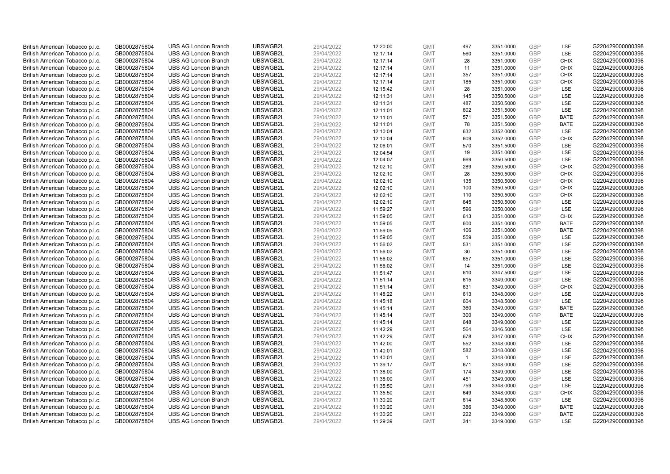| British American Tobacco p.l.c. | GB0002875804 | <b>UBS AG London Branch</b> | UBSWGB2L | 29/04/2022 | 12:20:00 | <b>GMT</b> | 497            | 3351.0000 | <b>GBP</b>               | LSE         | G220429000000398 |
|---------------------------------|--------------|-----------------------------|----------|------------|----------|------------|----------------|-----------|--------------------------|-------------|------------------|
| British American Tobacco p.l.c. | GB0002875804 | <b>UBS AG London Branch</b> | UBSWGB2L | 29/04/2022 | 12:17:14 | <b>GMT</b> | 560            | 3351.0000 | <b>GBP</b>               | LSE         | G220429000000398 |
| British American Tobacco p.l.c. | GB0002875804 | <b>UBS AG London Branch</b> | UBSWGB2L | 29/04/2022 | 12:17:14 | <b>GMT</b> | 28             | 3351.0000 | <b>GBP</b>               | <b>CHIX</b> | G220429000000398 |
|                                 |              |                             | UBSWGB2L |            |          |            |                |           | <b>GBP</b>               |             |                  |
| British American Tobacco p.l.c. | GB0002875804 | <b>UBS AG London Branch</b> |          | 29/04/2022 | 12:17:14 | <b>GMT</b> | 11             | 3351.0000 |                          | <b>CHIX</b> | G220429000000398 |
| British American Tobacco p.l.c. | GB0002875804 | <b>UBS AG London Branch</b> | UBSWGB2L | 29/04/2022 | 12:17:14 | <b>GMT</b> | 357            | 3351.0000 | <b>GBP</b>               | <b>CHIX</b> | G220429000000398 |
| British American Tobacco p.l.c. | GB0002875804 | <b>UBS AG London Branch</b> | UBSWGB2L | 29/04/2022 | 12:17:14 | <b>GMT</b> | 185            | 3351.0000 | <b>GBP</b>               | <b>CHIX</b> | G220429000000398 |
| British American Tobacco p.l.c. | GB0002875804 | <b>UBS AG London Branch</b> | UBSWGB2L | 29/04/2022 | 12:15:42 | <b>GMT</b> | 28             | 3351.0000 | <b>GBP</b>               | LSE         | G220429000000398 |
| British American Tobacco p.l.c. | GB0002875804 | <b>UBS AG London Branch</b> | UBSWGB2L | 29/04/2022 | 12:11:31 | <b>GMT</b> | 145            | 3350.5000 | <b>GBP</b>               | LSE         | G220429000000398 |
| British American Tobacco p.l.c. | GB0002875804 | <b>UBS AG London Branch</b> | UBSWGB2L | 29/04/2022 | 12:11:31 | <b>GMT</b> | 487            | 3350.5000 | <b>GBP</b>               | LSE         | G220429000000398 |
| British American Tobacco p.l.c. | GB0002875804 | <b>UBS AG London Branch</b> | UBSWGB2L | 29/04/2022 | 12:11:01 | <b>GMT</b> | 602            | 3351.5000 | <b>GBP</b>               | LSE         | G220429000000398 |
| British American Tobacco p.l.c. | GB0002875804 | <b>UBS AG London Branch</b> | UBSWGB2L | 29/04/2022 | 12:11:01 | <b>GMT</b> | 571            | 3351.5000 | <b>GBP</b>               | <b>BATE</b> | G220429000000398 |
| British American Tobacco p.l.c. | GB0002875804 | <b>UBS AG London Branch</b> | UBSWGB2L | 29/04/2022 | 12:11:01 | <b>GMT</b> | 78             | 3351.5000 | <b>GBP</b>               | <b>BATE</b> | G220429000000398 |
| British American Tobacco p.l.c. | GB0002875804 | <b>UBS AG London Branch</b> | UBSWGB2L | 29/04/2022 | 12:10:04 | <b>GMT</b> | 632            | 3352.0000 | <b>GBP</b>               | LSE         | G220429000000398 |
| British American Tobacco p.l.c. | GB0002875804 | <b>UBS AG London Branch</b> | UBSWGB2L | 29/04/2022 | 12:10:04 | <b>GMT</b> | 609            | 3352.0000 | <b>GBP</b>               | <b>CHIX</b> | G220429000000398 |
| British American Tobacco p.l.c. | GB0002875804 | <b>UBS AG London Branch</b> | UBSWGB2L | 29/04/2022 | 12:06:01 | <b>GMT</b> | 570            | 3351.5000 | <b>GBP</b>               | LSE         | G220429000000398 |
| British American Tobacco p.l.c. | GB0002875804 | <b>UBS AG London Branch</b> | UBSWGB2L | 29/04/2022 | 12:04:54 | <b>GMT</b> | 19             | 3351.0000 | <b>GBP</b>               | LSE         | G220429000000398 |
| British American Tobacco p.l.c. | GB0002875804 | <b>UBS AG London Branch</b> | UBSWGB2L | 29/04/2022 | 12:04:07 | <b>GMT</b> | 669            | 3350.5000 | <b>GBP</b>               | LSE         | G220429000000398 |
| British American Tobacco p.l.c. | GB0002875804 | <b>UBS AG London Branch</b> | UBSWGB2L | 29/04/2022 | 12:02:10 | <b>GMT</b> | 289            | 3350.5000 | <b>GBP</b>               | <b>CHIX</b> | G220429000000398 |
| British American Tobacco p.l.c. | GB0002875804 | <b>UBS AG London Branch</b> | UBSWGB2L | 29/04/2022 | 12:02:10 | <b>GMT</b> | 28             | 3350.5000 | <b>GBP</b>               | <b>CHIX</b> | G220429000000398 |
| British American Tobacco p.l.c. | GB0002875804 | <b>UBS AG London Branch</b> | UBSWGB2L | 29/04/2022 | 12:02:10 | <b>GMT</b> | 135            | 3350.5000 | <b>GBP</b>               | <b>CHIX</b> | G220429000000398 |
| British American Tobacco p.l.c. | GB0002875804 | <b>UBS AG London Branch</b> | UBSWGB2L | 29/04/2022 | 12:02:10 | <b>GMT</b> | 100            | 3350.5000 | <b>GBP</b>               | <b>CHIX</b> | G220429000000398 |
| British American Tobacco p.l.c. | GB0002875804 | <b>UBS AG London Branch</b> | UBSWGB2L | 29/04/2022 | 12:02:10 | <b>GMT</b> | 110            | 3350.5000 | <b>GBP</b>               | <b>CHIX</b> | G220429000000398 |
| British American Tobacco p.l.c. | GB0002875804 | <b>UBS AG London Branch</b> | UBSWGB2L | 29/04/2022 | 12:02:10 | <b>GMT</b> | 645            | 3350.5000 | <b>GBP</b>               | LSE         | G220429000000398 |
| British American Tobacco p.l.c. | GB0002875804 | <b>UBS AG London Branch</b> | UBSWGB2L | 29/04/2022 | 11:59:27 | <b>GMT</b> | 596            | 3350.0000 | <b>GBP</b>               | LSE         | G220429000000398 |
| British American Tobacco p.l.c. | GB0002875804 | <b>UBS AG London Branch</b> | UBSWGB2L | 29/04/2022 | 11:59:05 | <b>GMT</b> | 613            | 3351.0000 | <b>GBP</b>               | <b>CHIX</b> | G220429000000398 |
| British American Tobacco p.l.c. | GB0002875804 | <b>UBS AG London Branch</b> | UBSWGB2L | 29/04/2022 | 11:59:05 | <b>GMT</b> | 600            | 3351.0000 | <b>GBP</b>               | <b>BATE</b> | G220429000000398 |
| British American Tobacco p.l.c. | GB0002875804 | <b>UBS AG London Branch</b> | UBSWGB2L | 29/04/2022 | 11:59:05 | <b>GMT</b> | 106            | 3351.0000 | <b>GBP</b>               | <b>BATE</b> | G220429000000398 |
| British American Tobacco p.l.c. | GB0002875804 | <b>UBS AG London Branch</b> | UBSWGB2L | 29/04/2022 | 11:59:05 | <b>GMT</b> | 559            | 3351.0000 | <b>GBP</b>               | LSE         | G220429000000398 |
| British American Tobacco p.l.c. | GB0002875804 | <b>UBS AG London Branch</b> | UBSWGB2L | 29/04/2022 | 11:56:02 | <b>GMT</b> | 531            | 3351.0000 | <b>GBP</b>               | LSE         | G220429000000398 |
| British American Tobacco p.l.c. | GB0002875804 | <b>UBS AG London Branch</b> | UBSWGB2L | 29/04/2022 | 11:56:02 | <b>GMT</b> | 30             | 3351.0000 | <b>GBP</b>               | LSE         | G220429000000398 |
| British American Tobacco p.l.c. | GB0002875804 | <b>UBS AG London Branch</b> | UBSWGB2L | 29/04/2022 | 11:56:02 | <b>GMT</b> | 657            | 3351.0000 | GBP                      | LSE         | G220429000000398 |
| British American Tobacco p.l.c. | GB0002875804 | <b>UBS AG London Branch</b> | UBSWGB2L | 29/04/2022 | 11:56:02 | <b>GMT</b> | 14             | 3351.0000 | <b>GBP</b>               | LSE         | G220429000000398 |
| British American Tobacco p.l.c. | GB0002875804 | <b>UBS AG London Branch</b> | UBSWGB2L | 29/04/2022 | 11:51:47 | <b>GMT</b> | 610            | 3347.5000 | <b>GBP</b>               | LSE         | G220429000000398 |
| British American Tobacco p.l.c. | GB0002875804 | <b>UBS AG London Branch</b> | UBSWGB2L | 29/04/2022 | 11:51:14 | <b>GMT</b> | 615            | 3349.0000 | <b>GBP</b>               | LSE         | G220429000000398 |
| British American Tobacco p.l.c. | GB0002875804 | <b>UBS AG London Branch</b> | UBSWGB2L | 29/04/2022 | 11:51:14 | <b>GMT</b> | 631            | 3349.0000 | <b>GBP</b>               | <b>CHIX</b> | G220429000000398 |
| British American Tobacco p.l.c. | GB0002875804 | <b>UBS AG London Branch</b> | UBSWGB2L | 29/04/2022 | 11:48:22 | <b>GMT</b> | 613            | 3348.0000 | <b>GBP</b>               | LSE         | G220429000000398 |
| British American Tobacco p.l.c. | GB0002875804 | <b>UBS AG London Branch</b> | UBSWGB2L | 29/04/2022 | 11:45:18 | <b>GMT</b> | 604            | 3348.5000 | <b>GBP</b>               | LSE         | G220429000000398 |
| British American Tobacco p.l.c. | GB0002875804 | <b>UBS AG London Branch</b> | UBSWGB2L | 29/04/2022 | 11:45:14 | <b>GMT</b> | 360            | 3349.0000 | <b>GBP</b>               | <b>BATE</b> | G220429000000398 |
|                                 |              | <b>UBS AG London Branch</b> | UBSWGB2L | 29/04/2022 |          | <b>GMT</b> | 300            | 3349.0000 | <b>GBP</b>               | <b>BATE</b> | G220429000000398 |
| British American Tobacco p.l.c. | GB0002875804 |                             |          |            | 11:45:14 |            |                |           |                          |             |                  |
| British American Tobacco p.l.c. | GB0002875804 | <b>UBS AG London Branch</b> | UBSWGB2L | 29/04/2022 | 11:45:14 | <b>GMT</b> | 648<br>564     | 3349.0000 | <b>GBP</b><br><b>GBP</b> | LSE<br>LSE  | G220429000000398 |
| British American Tobacco p.l.c. | GB0002875804 | <b>UBS AG London Branch</b> | UBSWGB2L | 29/04/2022 | 11:42:29 | <b>GMT</b> |                | 3346.5000 |                          |             | G220429000000398 |
| British American Tobacco p.l.c. | GB0002875804 | <b>UBS AG London Branch</b> | UBSWGB2L | 29/04/2022 | 11:42:29 | <b>GMT</b> | 678            | 3347.0000 | <b>GBP</b>               | <b>CHIX</b> | G220429000000398 |
| British American Tobacco p.l.c. | GB0002875804 | <b>UBS AG London Branch</b> | UBSWGB2L | 29/04/2022 | 11:42:00 | <b>GMT</b> | 552            | 3348.0000 | <b>GBP</b>               | LSE         | G220429000000398 |
| British American Tobacco p.l.c. | GB0002875804 | <b>UBS AG London Branch</b> | UBSWGB2L | 29/04/2022 | 11:40:01 | <b>GMT</b> | 582            | 3348.0000 | GBP                      | LSE         | G220429000000398 |
| British American Tobacco p.l.c. | GB0002875804 | <b>UBS AG London Branch</b> | UBSWGB2L | 29/04/2022 | 11:40:01 | <b>GMT</b> | $\overline{1}$ | 3348.0000 | <b>GBP</b>               | LSE         | G220429000000398 |
| British American Tobacco p.l.c. | GB0002875804 | <b>UBS AG London Branch</b> | UBSWGB2L | 29/04/2022 | 11:39:17 | <b>GMT</b> | 671            | 3348.0000 | <b>GBP</b>               | LSE         | G220429000000398 |
| British American Tobacco p.l.c. | GB0002875804 | <b>UBS AG London Branch</b> | UBSWGB2L | 29/04/2022 | 11:38:00 | <b>GMT</b> | 174            | 3349.0000 | <b>GBP</b>               | LSE         | G220429000000398 |
| British American Tobacco p.l.c. | GB0002875804 | <b>UBS AG London Branch</b> | UBSWGB2L | 29/04/2022 | 11:38:00 | <b>GMT</b> | 451            | 3349.0000 | <b>GBP</b>               | LSE         | G220429000000398 |
| British American Tobacco p.l.c. | GB0002875804 | <b>UBS AG London Branch</b> | UBSWGB2L | 29/04/2022 | 11:35:50 | <b>GMT</b> | 759            | 3348.0000 | <b>GBP</b>               | LSE         | G220429000000398 |
| British American Tobacco p.l.c. | GB0002875804 | <b>UBS AG London Branch</b> | UBSWGB2L | 29/04/2022 | 11:35:50 | <b>GMT</b> | 649            | 3348.0000 | <b>GBP</b>               | <b>CHIX</b> | G220429000000398 |
| British American Tobacco p.l.c. | GB0002875804 | <b>UBS AG London Branch</b> | UBSWGB2L | 29/04/2022 | 11:30:20 | <b>GMT</b> | 614            | 3348.5000 | <b>GBP</b>               | LSE         | G220429000000398 |
| British American Tobacco p.l.c. | GB0002875804 | <b>UBS AG London Branch</b> | UBSWGB2L | 29/04/2022 | 11:30:20 | <b>GMT</b> | 386            | 3349.0000 | <b>GBP</b>               | <b>BATE</b> | G220429000000398 |
| British American Tobacco p.l.c. | GB0002875804 | <b>UBS AG London Branch</b> | UBSWGB2L | 29/04/2022 | 11:30:20 | <b>GMT</b> | 222            | 3349.0000 | <b>GBP</b>               | <b>BATE</b> | G220429000000398 |
| British American Tobacco p.l.c. | GB0002875804 | <b>UBS AG London Branch</b> | UBSWGB2L | 29/04/2022 | 11:29:39 | <b>GMT</b> | 341            | 3349.0000 | GBP                      | LSE         | G220429000000398 |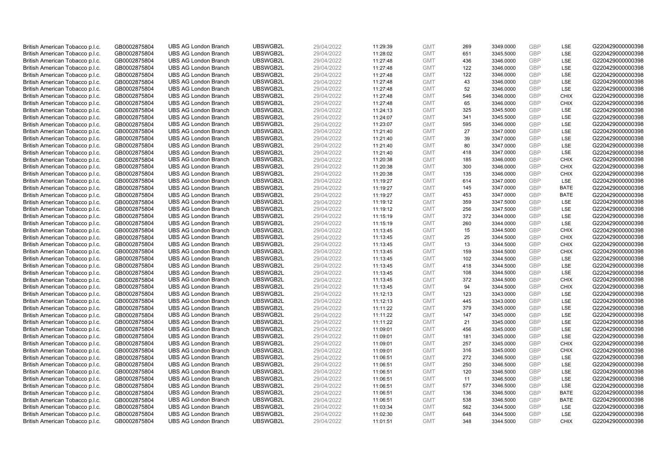| British American Tobacco p.l.c.                                    | GB0002875804                 | <b>UBS AG London Branch</b>                                | UBSWGB2L             | 29/04/2022               | 11:29:39             | <b>GMT</b>               | 269 | 3349.0000              | <b>GBP</b>               | LSE                        | G220429000000398                     |
|--------------------------------------------------------------------|------------------------------|------------------------------------------------------------|----------------------|--------------------------|----------------------|--------------------------|-----|------------------------|--------------------------|----------------------------|--------------------------------------|
| British American Tobacco p.l.c.                                    | GB0002875804                 | <b>UBS AG London Branch</b>                                | UBSWGB2L             | 29/04/2022               | 11:28:02             | <b>GMT</b>               | 651 | 3345.5000              | GBP                      | LSE                        | G220429000000398                     |
| British American Tobacco p.l.c.                                    | GB0002875804                 | <b>UBS AG London Branch</b>                                | UBSWGB2L             | 29/04/2022               | 11:27:48             | <b>GMT</b>               | 436 | 3346.0000              | <b>GBP</b>               | LSE                        | G220429000000398                     |
| British American Tobacco p.l.c.                                    | GB0002875804                 | <b>UBS AG London Branch</b>                                | UBSWGB2L             | 29/04/2022               | 11:27:48             | <b>GMT</b>               | 122 | 3346.0000              | <b>GBP</b>               | LSE                        | G220429000000398                     |
| British American Tobacco p.l.c.                                    | GB0002875804                 | <b>UBS AG London Branch</b>                                | UBSWGB2L             | 29/04/2022               | 11:27:48             | <b>GMT</b>               | 122 | 3346.0000              | <b>GBP</b>               | LSE                        | G220429000000398                     |
|                                                                    |                              | <b>UBS AG London Branch</b>                                | UBSWGB2L             |                          |                      |                          | 43  |                        |                          | LSE                        | G220429000000398                     |
| British American Tobacco p.l.c.<br>British American Tobacco p.l.c. | GB0002875804<br>GB0002875804 | <b>UBS AG London Branch</b>                                | UBSWGB2L             | 29/04/2022<br>29/04/2022 | 11:27:48             | <b>GMT</b><br><b>GMT</b> | 52  | 3346.0000<br>3346.0000 | <b>GBP</b><br><b>GBP</b> | LSE                        | G220429000000398                     |
|                                                                    |                              |                                                            |                      |                          | 11:27:48             |                          | 546 |                        |                          |                            |                                      |
| British American Tobacco p.l.c.                                    | GB0002875804                 | <b>UBS AG London Branch</b><br><b>UBS AG London Branch</b> | UBSWGB2L<br>UBSWGB2L | 29/04/2022               | 11:27:48<br>11:27:48 | <b>GMT</b>               | 65  | 3346.0000<br>3346.0000 | <b>GBP</b><br><b>GBP</b> | <b>CHIX</b><br><b>CHIX</b> | G220429000000398<br>G220429000000398 |
| British American Tobacco p.l.c.                                    | GB0002875804                 |                                                            |                      | 29/04/2022               |                      | <b>GMT</b>               |     |                        |                          |                            |                                      |
| British American Tobacco p.l.c.                                    | GB0002875804                 | <b>UBS AG London Branch</b>                                | UBSWGB2L             | 29/04/2022               | 11:24:13             | <b>GMT</b>               | 325 | 3345.5000              | <b>GBP</b><br><b>GBP</b> | LSE                        | G220429000000398                     |
| British American Tobacco p.l.c.                                    | GB0002875804                 | <b>UBS AG London Branch</b>                                | UBSWGB2L             | 29/04/2022               | 11:24:07             | <b>GMT</b>               | 341 | 3345.5000              |                          | LSE                        | G220429000000398                     |
| British American Tobacco p.l.c.                                    | GB0002875804                 | <b>UBS AG London Branch</b>                                | UBSWGB2L             | 29/04/2022               | 11:23:07             | <b>GMT</b>               | 595 | 3346.0000              | <b>GBP</b>               | LSE                        | G220429000000398                     |
| British American Tobacco p.l.c.                                    | GB0002875804                 | <b>UBS AG London Branch</b>                                | UBSWGB2L             | 29/04/2022               | 11:21:40             | <b>GMT</b>               | 27  | 3347.0000              | <b>GBP</b>               | LSE                        | G220429000000398                     |
| British American Tobacco p.l.c.                                    | GB0002875804                 | <b>UBS AG London Branch</b>                                | UBSWGB2L             | 29/04/2022               | 11:21:40             | <b>GMT</b>               | 39  | 3347.0000              | <b>GBP</b>               | LSE                        | G220429000000398                     |
| British American Tobacco p.l.c.                                    | GB0002875804                 | <b>UBS AG London Branch</b>                                | UBSWGB2L             | 29/04/2022               | 11:21:40             | <b>GMT</b>               | 80  | 3347.0000              | <b>GBP</b>               | LSE                        | G220429000000398                     |
| British American Tobacco p.l.c.                                    | GB0002875804                 | <b>UBS AG London Branch</b>                                | UBSWGB2L             | 29/04/2022               | 11:21:40             | <b>GMT</b>               | 418 | 3347.0000              | <b>GBP</b>               | LSE                        | G220429000000398                     |
| British American Tobacco p.l.c.                                    | GB0002875804                 | <b>UBS AG London Branch</b>                                | UBSWGB2L             | 29/04/2022               | 11:20:38             | <b>GMT</b>               | 185 | 3346.0000              | <b>GBP</b>               | <b>CHIX</b>                | G220429000000398                     |
| British American Tobacco p.l.c.                                    | GB0002875804                 | <b>UBS AG London Branch</b>                                | UBSWGB2L             | 29/04/2022               | 11:20:38             | <b>GMT</b>               | 300 | 3346.0000              | <b>GBP</b>               | <b>CHIX</b>                | G220429000000398                     |
| British American Tobacco p.l.c.                                    | GB0002875804                 | <b>UBS AG London Branch</b>                                | UBSWGB2L             | 29/04/2022               | 11:20:38             | <b>GMT</b>               | 135 | 3346.0000              | <b>GBP</b>               | <b>CHIX</b>                | G220429000000398                     |
| British American Tobacco p.l.c.                                    | GB0002875804                 | <b>UBS AG London Branch</b>                                | UBSWGB2L             | 29/04/2022               | 11:19:27             | <b>GMT</b>               | 614 | 3347.0000              | <b>GBP</b>               | LSE                        | G220429000000398                     |
| British American Tobacco p.l.c.                                    | GB0002875804                 | <b>UBS AG London Branch</b>                                | UBSWGB2L             | 29/04/2022               | 11:19:27             | <b>GMT</b>               | 145 | 3347.0000              | <b>GBP</b>               | <b>BATE</b>                | G220429000000398                     |
| British American Tobacco p.l.c.                                    | GB0002875804                 | <b>UBS AG London Branch</b>                                | UBSWGB2L             | 29/04/2022               | 11:19:27             | <b>GMT</b>               | 453 | 3347.0000              | <b>GBP</b>               | <b>BATE</b>                | G220429000000398                     |
| British American Tobacco p.l.c.                                    | GB0002875804                 | <b>UBS AG London Branch</b>                                | UBSWGB2L             | 29/04/2022               | 11:19:12             | <b>GMT</b>               | 359 | 3347.5000              | <b>GBP</b>               | LSE                        | G220429000000398                     |
| British American Tobacco p.l.c.                                    | GB0002875804                 | <b>UBS AG London Branch</b>                                | UBSWGB2L             | 29/04/2022               | 11:19:12             | <b>GMT</b>               | 256 | 3347.5000              | <b>GBP</b>               | LSE                        | G220429000000398                     |
| British American Tobacco p.l.c.                                    | GB0002875804                 | <b>UBS AG London Branch</b>                                | UBSWGB2L             | 29/04/2022               | 11:15:19             | <b>GMT</b>               | 372 | 3344.0000              | <b>GBP</b>               | LSE                        | G220429000000398                     |
| British American Tobacco p.l.c.                                    | GB0002875804                 | <b>UBS AG London Branch</b>                                | UBSWGB2L             | 29/04/2022               | 11:15:19             | <b>GMT</b>               | 260 | 3344.0000              | <b>GBP</b>               | LSE                        | G220429000000398                     |
| British American Tobacco p.l.c.                                    | GB0002875804                 | <b>UBS AG London Branch</b>                                | UBSWGB2L             | 29/04/2022               | 11:13:45             | <b>GMT</b>               | 15  | 3344.5000              | <b>GBP</b>               | <b>CHIX</b>                | G220429000000398                     |
| British American Tobacco p.l.c.                                    | GB0002875804                 | <b>UBS AG London Branch</b>                                | UBSWGB2L             | 29/04/2022               | 11:13:45             | <b>GMT</b>               | 25  | 3344.5000              | <b>GBP</b>               | <b>CHIX</b>                | G220429000000398                     |
| British American Tobacco p.l.c.                                    | GB0002875804                 | <b>UBS AG London Branch</b>                                | UBSWGB2L             | 29/04/2022               | 11:13:45             | <b>GMT</b>               | 13  | 3344.5000              | <b>GBP</b>               | <b>CHIX</b>                | G220429000000398                     |
| British American Tobacco p.l.c.                                    | GB0002875804                 | <b>UBS AG London Branch</b>                                | UBSWGB2L             | 29/04/2022               | 11:13:45             | <b>GMT</b>               | 159 | 3344.5000              | <b>GBP</b>               | <b>CHIX</b>                | G220429000000398                     |
| British American Tobacco p.l.c.                                    | GB0002875804                 | <b>UBS AG London Branch</b>                                | UBSWGB2L             | 29/04/2022               | 11:13:45             | <b>GMT</b>               | 102 | 3344.5000              | GBP                      | LSE                        | G220429000000398                     |
| British American Tobacco p.l.c.                                    | GB0002875804                 | <b>UBS AG London Branch</b>                                | UBSWGB2L             | 29/04/2022               | 11:13:45             | <b>GMT</b>               | 418 | 3344.5000              | <b>GBP</b>               | LSE                        | G220429000000398                     |
| British American Tobacco p.l.c.                                    | GB0002875804                 | <b>UBS AG London Branch</b>                                | UBSWGB2L             | 29/04/2022               | 11:13:45             | <b>GMT</b>               | 108 | 3344.5000              | <b>GBP</b>               | LSE                        | G220429000000398                     |
| British American Tobacco p.l.c.                                    | GB0002875804                 | <b>UBS AG London Branch</b>                                | UBSWGB2L             | 29/04/2022               | 11:13:45             | <b>GMT</b>               | 372 | 3344.5000              | <b>GBP</b>               | <b>CHIX</b>                | G220429000000398                     |
| British American Tobacco p.l.c.                                    | GB0002875804                 | <b>UBS AG London Branch</b>                                | UBSWGB2L             | 29/04/2022               | 11:13:45             | <b>GMT</b>               | 94  | 3344.5000              | <b>GBP</b>               | <b>CHIX</b>                | G220429000000398                     |
| British American Tobacco p.l.c.                                    | GB0002875804                 | <b>UBS AG London Branch</b>                                | UBSWGB2L             | 29/04/2022               | 11:12:13             | <b>GMT</b>               | 123 | 3343.0000              | <b>GBP</b>               | LSE                        | G220429000000398                     |
| British American Tobacco p.l.c.                                    | GB0002875804                 | <b>UBS AG London Branch</b>                                | UBSWGB2L             | 29/04/2022               | 11:12:13             | <b>GMT</b>               | 445 | 3343.0000              | <b>GBP</b>               | LSE                        | G220429000000398                     |
| British American Tobacco p.l.c.                                    | GB0002875804                 | <b>UBS AG London Branch</b>                                | UBSWGB2L             | 29/04/2022               | 11:11:22             | <b>GMT</b>               | 379 | 3345.0000              | <b>GBP</b>               | LSE                        | G220429000000398                     |
| British American Tobacco p.l.c.                                    | GB0002875804                 | <b>UBS AG London Branch</b>                                | UBSWGB2L             | 29/04/2022               | 11:11:22             | <b>GMT</b>               | 147 | 3345.0000              | <b>GBP</b>               | LSE                        | G220429000000398                     |
| British American Tobacco p.l.c.                                    | GB0002875804                 | <b>UBS AG London Branch</b>                                | UBSWGB2L             | 29/04/2022               | 11:11:22             | <b>GMT</b>               | 21  | 3345.0000              | <b>GBP</b>               | LSE                        | G220429000000398                     |
| British American Tobacco p.l.c.                                    | GB0002875804                 | <b>UBS AG London Branch</b>                                | UBSWGB2L             | 29/04/2022               | 11:09:01             | <b>GMT</b>               | 456 | 3345.0000              | <b>GBP</b>               | LSE                        | G220429000000398                     |
| British American Tobacco p.l.c.                                    | GB0002875804                 | <b>UBS AG London Branch</b>                                | UBSWGB2L             | 29/04/2022               | 11:09:01             | <b>GMT</b>               | 181 | 3345.0000              | <b>GBP</b>               | LSE                        | G220429000000398                     |
| British American Tobacco p.l.c.                                    | GB0002875804                 | <b>UBS AG London Branch</b>                                | UBSWGB2L             | 29/04/2022               | 11:09:01             | <b>GMT</b>               | 257 | 3345.0000              | <b>GBP</b>               | <b>CHIX</b>                | G220429000000398                     |
| British American Tobacco p.l.c.                                    | GB0002875804                 | <b>UBS AG London Branch</b>                                | UBSWGB2L             | 29/04/2022               | 11:09:01             | <b>GMT</b>               | 316 | 3345.0000              | GBP                      | <b>CHIX</b>                | G220429000000398                     |
| British American Tobacco p.l.c.                                    | GB0002875804                 | <b>UBS AG London Branch</b>                                | UBSWGB2L             | 29/04/2022               | 11:06:51             | <b>GMT</b>               | 272 | 3346.5000              | <b>GBP</b>               | <b>LSE</b>                 | G220429000000398                     |
| British American Tobacco p.l.c.                                    | GB0002875804                 | <b>UBS AG London Branch</b>                                | UBSWGB2L             | 29/04/2022               | 11:06:51             | <b>GMT</b>               | 250 | 3346.5000              | <b>GBP</b>               | LSE                        | G220429000000398                     |
| British American Tobacco p.l.c.                                    | GB0002875804                 | <b>UBS AG London Branch</b>                                | UBSWGB2L             | 29/04/2022               | 11:06:51             | <b>GMT</b>               | 120 | 3346.5000              | <b>GBP</b>               | LSE                        | G220429000000398                     |
| British American Tobacco p.l.c.                                    | GB0002875804                 | <b>UBS AG London Branch</b>                                | UBSWGB2L             | 29/04/2022               | 11:06:51             | <b>GMT</b>               | 11  | 3346.5000              | <b>GBP</b>               | LSE                        | G220429000000398                     |
| British American Tobacco p.l.c.                                    | GB0002875804                 | <b>UBS AG London Branch</b>                                | UBSWGB2L             | 29/04/2022               | 11:06:51             | <b>GMT</b>               | 577 | 3346.5000              | <b>GBP</b>               | LSE                        | G220429000000398                     |
| British American Tobacco p.l.c.                                    | GB0002875804                 | <b>UBS AG London Branch</b>                                | UBSWGB2L             | 29/04/2022               | 11:06:51             | <b>GMT</b>               | 136 | 3346.5000              | <b>GBP</b>               | <b>BATE</b>                | G220429000000398                     |
| British American Tobacco p.l.c.                                    | GB0002875804                 | <b>UBS AG London Branch</b>                                | UBSWGB2L             | 29/04/2022               | 11:06:51             | <b>GMT</b>               | 538 | 3346.5000              | <b>GBP</b>               | <b>BATE</b>                | G220429000000398                     |
| British American Tobacco p.l.c.                                    | GB0002875804                 | <b>UBS AG London Branch</b>                                | UBSWGB2L             | 29/04/2022               | 11:03:34             | <b>GMT</b>               | 562 | 3344.5000              | <b>GBP</b>               | LSE                        | G220429000000398                     |
| British American Tobacco p.l.c.                                    | GB0002875804                 | <b>UBS AG London Branch</b>                                | UBSWGB2L             | 29/04/2022               | 11:02:30             | <b>GMT</b>               | 648 | 3344.5000              | <b>GBP</b>               | LSE                        | G220429000000398                     |
| British American Tobacco p.l.c.                                    | GB0002875804                 | <b>UBS AG London Branch</b>                                | UBSWGB2L             | 29/04/2022               | 11:01:51             | <b>GMT</b>               | 348 | 3344.5000              | GBP                      | <b>CHIX</b>                | G220429000000398                     |
|                                                                    |                              |                                                            |                      |                          |                      |                          |     |                        |                          |                            |                                      |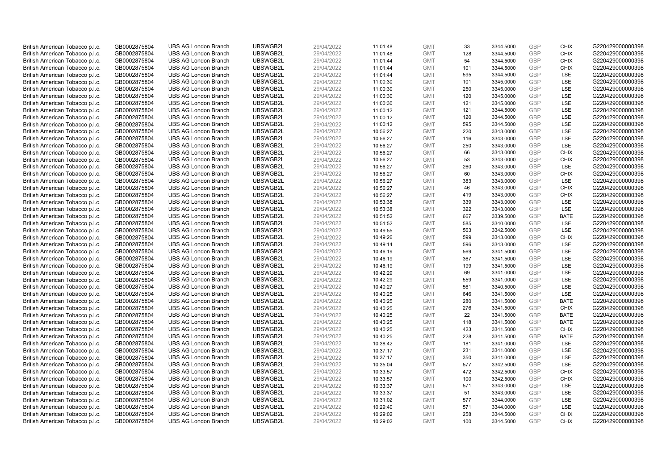| British American Tobacco p.l.c. | GB0002875804 | <b>UBS AG London Branch</b> | UBSWGB2L | 29/04/2022 | 11:01:48 | <b>GMT</b> | 33  | 3344.5000 | <b>GBP</b> | <b>CHIX</b> | G220429000000398 |
|---------------------------------|--------------|-----------------------------|----------|------------|----------|------------|-----|-----------|------------|-------------|------------------|
| British American Tobacco p.l.c. | GB0002875804 | <b>UBS AG London Branch</b> | UBSWGB2L | 29/04/2022 | 11:01:48 | <b>GMT</b> | 128 | 3344.5000 | <b>GBP</b> | <b>CHIX</b> | G220429000000398 |
| British American Tobacco p.l.c. | GB0002875804 | <b>UBS AG London Branch</b> | UBSWGB2L | 29/04/2022 | 11:01:44 | <b>GMT</b> | 54  | 3344.5000 | GBP        | <b>CHIX</b> | G220429000000398 |
| British American Tobacco p.l.c. | GB0002875804 | <b>UBS AG London Branch</b> | UBSWGB2L | 29/04/2022 | 11:01:44 | <b>GMT</b> | 101 | 3344.5000 | <b>GBP</b> | <b>CHIX</b> | G220429000000398 |
| British American Tobacco p.l.c. | GB0002875804 | <b>UBS AG London Branch</b> | UBSWGB2L | 29/04/2022 | 11:01:44 | <b>GMT</b> | 595 | 3344.5000 | GBP        | <b>LSE</b>  | G220429000000398 |
| British American Tobacco p.l.c. | GB0002875804 | <b>UBS AG London Branch</b> | UBSWGB2L | 29/04/2022 | 11:00:30 | <b>GMT</b> | 101 | 3345.0000 | <b>GBP</b> | <b>LSE</b>  | G220429000000398 |
| British American Tobacco p.l.c. | GB0002875804 | <b>UBS AG London Branch</b> | UBSWGB2L | 29/04/2022 | 11:00:30 | <b>GMT</b> | 250 | 3345.0000 | GBP        | LSE         | G220429000000398 |
| British American Tobacco p.l.c. | GB0002875804 | <b>UBS AG London Branch</b> | UBSWGB2L | 29/04/2022 | 11:00:30 | <b>GMT</b> | 120 | 3345.0000 | <b>GBP</b> | LSE         | G220429000000398 |
| British American Tobacco p.l.c. | GB0002875804 | <b>UBS AG London Branch</b> | UBSWGB2L | 29/04/2022 | 11:00:30 | <b>GMT</b> | 121 | 3345.0000 | GBP        | LSE         | G220429000000398 |
| British American Tobacco p.l.c. | GB0002875804 | <b>UBS AG London Branch</b> | UBSWGB2L | 29/04/2022 | 11:00:12 | <b>GMT</b> | 121 | 3344.5000 | <b>GBP</b> | LSE         | G220429000000398 |
| British American Tobacco p.l.c. | GB0002875804 | <b>UBS AG London Branch</b> | UBSWGB2L | 29/04/2022 | 11:00:12 | <b>GMT</b> | 120 | 3344.5000 | <b>GBP</b> | <b>LSE</b>  | G220429000000398 |
| British American Tobacco p.l.c. | GB0002875804 | <b>UBS AG London Branch</b> | UBSWGB2L | 29/04/2022 | 11:00:12 | <b>GMT</b> | 595 | 3344.5000 | <b>GBP</b> | LSE         | G220429000000398 |
| British American Tobacco p.l.c. | GB0002875804 | <b>UBS AG London Branch</b> | UBSWGB2L | 29/04/2022 | 10:56:27 | <b>GMT</b> | 220 | 3343.0000 | <b>GBP</b> | LSE         | G220429000000398 |
| British American Tobacco p.l.c. | GB0002875804 | <b>UBS AG London Branch</b> | UBSWGB2L | 29/04/2022 | 10:56:27 | <b>GMT</b> | 116 | 3343.0000 | <b>GBP</b> | LSE         | G220429000000398 |
| British American Tobacco p.l.c. | GB0002875804 | <b>UBS AG London Branch</b> | UBSWGB2L | 29/04/2022 | 10:56:27 | <b>GMT</b> | 250 | 3343.0000 | GBP        | <b>LSE</b>  | G220429000000398 |
| British American Tobacco p.l.c. | GB0002875804 | <b>UBS AG London Branch</b> | UBSWGB2L | 29/04/2022 | 10:56:27 | <b>GMT</b> | 66  | 3343.0000 | <b>GBP</b> | <b>CHIX</b> | G220429000000398 |
| British American Tobacco p.l.c. | GB0002875804 | <b>UBS AG London Branch</b> | UBSWGB2L | 29/04/2022 | 10:56:27 | <b>GMT</b> | 53  | 3343.0000 | GBP        | <b>CHIX</b> | G220429000000398 |
| British American Tobacco p.l.c. | GB0002875804 | <b>UBS AG London Branch</b> | UBSWGB2L | 29/04/2022 | 10:56:27 | <b>GMT</b> | 260 | 3343.0000 | <b>GBP</b> | <b>LSE</b>  | G220429000000398 |
| British American Tobacco p.l.c. | GB0002875804 | <b>UBS AG London Branch</b> | UBSWGB2L | 29/04/2022 | 10:56:27 | <b>GMT</b> | 60  | 3343.0000 | <b>GBP</b> | <b>CHIX</b> | G220429000000398 |
| British American Tobacco p.l.c. | GB0002875804 | <b>UBS AG London Branch</b> | UBSWGB2L | 29/04/2022 | 10:56:27 | <b>GMT</b> | 383 | 3343.0000 | <b>GBP</b> | LSE         | G220429000000398 |
| British American Tobacco p.l.c. | GB0002875804 | <b>UBS AG London Branch</b> | UBSWGB2L | 29/04/2022 | 10:56:27 | <b>GMT</b> | 46  | 3343.0000 | <b>GBP</b> | <b>CHIX</b> | G220429000000398 |
| British American Tobacco p.l.c. | GB0002875804 | <b>UBS AG London Branch</b> | UBSWGB2L | 29/04/2022 | 10:56:27 | <b>GMT</b> | 419 | 3343.0000 | GBP        | <b>CHIX</b> | G220429000000398 |
| British American Tobacco p.l.c. | GB0002875804 | <b>UBS AG London Branch</b> | UBSWGB2L | 29/04/2022 | 10:53:38 | <b>GMT</b> | 339 | 3343.0000 | <b>GBP</b> | LSE         | G220429000000398 |
| British American Tobacco p.l.c. | GB0002875804 | <b>UBS AG London Branch</b> | UBSWGB2L | 29/04/2022 | 10:53:38 | <b>GMT</b> | 322 | 3343.0000 | <b>GBP</b> | <b>LSE</b>  | G220429000000398 |
| British American Tobacco p.l.c. | GB0002875804 | <b>UBS AG London Branch</b> | UBSWGB2L | 29/04/2022 | 10:51:52 | <b>GMT</b> | 667 | 3339.5000 | <b>GBP</b> | <b>BATE</b> | G220429000000398 |
| British American Tobacco p.l.c. | GB0002875804 | <b>UBS AG London Branch</b> | UBSWGB2L | 29/04/2022 | 10:51:52 | <b>GMT</b> | 585 | 3340.0000 | GBP        | LSE         | G220429000000398 |
| British American Tobacco p.l.c. | GB0002875804 | <b>UBS AG London Branch</b> | UBSWGB2L | 29/04/2022 | 10:49:55 | <b>GMT</b> | 563 | 3342.5000 | <b>GBP</b> | LSE         | G220429000000398 |
| British American Tobacco p.l.c. | GB0002875804 | <b>UBS AG London Branch</b> | UBSWGB2L | 29/04/2022 | 10:49:26 | <b>GMT</b> | 599 | 3343.0000 | GBP        | CHIX        | G220429000000398 |
| British American Tobacco p.l.c. | GB0002875804 | <b>UBS AG London Branch</b> | UBSWGB2L | 29/04/2022 | 10:49:14 | <b>GMT</b> | 596 | 3343.0000 | <b>GBP</b> | <b>LSE</b>  | G220429000000398 |
| British American Tobacco p.l.c. | GB0002875804 | <b>UBS AG London Branch</b> | UBSWGB2L | 29/04/2022 | 10:46:19 | <b>GMT</b> | 569 | 3341.5000 | GBP        | LSE         | G220429000000398 |
| British American Tobacco p.l.c. | GB0002875804 | <b>UBS AG London Branch</b> | UBSWGB2L | 29/04/2022 | 10:46:19 | <b>GMT</b> | 367 | 3341.5000 | <b>GBP</b> | <b>LSE</b>  | G220429000000398 |
| British American Tobacco p.l.c. | GB0002875804 | <b>UBS AG London Branch</b> | UBSWGB2L | 29/04/2022 | 10:46:19 | <b>GMT</b> | 199 | 3341.5000 | <b>GBP</b> | <b>LSE</b>  | G220429000000398 |
| British American Tobacco p.l.c. | GB0002875804 | <b>UBS AG London Branch</b> | UBSWGB2L | 29/04/2022 | 10:42:29 | <b>GMT</b> | 69  | 3341.0000 | <b>GBP</b> | LSE         | G220429000000398 |
| British American Tobacco p.l.c. | GB0002875804 | <b>UBS AG London Branch</b> | UBSWGB2L | 29/04/2022 | 10:42:29 | <b>GMT</b> | 559 | 3341.0000 | <b>GBP</b> | LSE         | G220429000000398 |
| British American Tobacco p.l.c. | GB0002875804 | <b>UBS AG London Branch</b> | UBSWGB2L | 29/04/2022 | 10:40:27 | <b>GMT</b> | 561 | 3340.5000 | GBP        | LSE         | G220429000000398 |
| British American Tobacco p.l.c. | GB0002875804 | <b>UBS AG London Branch</b> | UBSWGB2L | 29/04/2022 | 10:40:25 | <b>GMT</b> | 646 | 3341.5000 | <b>GBP</b> | LSE         | G220429000000398 |
| British American Tobacco p.l.c. | GB0002875804 | <b>UBS AG London Branch</b> | UBSWGB2L | 29/04/2022 | 10:40:25 | <b>GMT</b> | 280 | 3341.5000 | <b>GBP</b> | <b>BATE</b> | G220429000000398 |
| British American Tobacco p.l.c. | GB0002875804 | <b>UBS AG London Branch</b> | UBSWGB2L | 29/04/2022 | 10:40:25 | <b>GMT</b> | 276 | 3341.5000 | <b>GBP</b> | <b>CHIX</b> | G220429000000398 |
| British American Tobacco p.l.c. | GB0002875804 | <b>UBS AG London Branch</b> | UBSWGB2L | 29/04/2022 | 10:40:25 | <b>GMT</b> | 22  | 3341.5000 | GBP        | <b>BATE</b> | G220429000000398 |
| British American Tobacco p.l.c. | GB0002875804 | <b>UBS AG London Branch</b> | UBSWGB2L | 29/04/2022 | 10:40:25 | <b>GMT</b> | 118 | 3341.5000 | <b>GBP</b> | <b>BATE</b> | G220429000000398 |
| British American Tobacco p.l.c. | GB0002875804 | <b>UBS AG London Branch</b> | UBSWGB2L | 29/04/2022 | 10:40:25 | <b>GMT</b> | 423 | 3341.5000 | GBP        | <b>CHIX</b> | G220429000000398 |
| British American Tobacco p.l.c. | GB0002875804 | <b>UBS AG London Branch</b> | UBSWGB2L | 29/04/2022 | 10:40:25 | <b>GMT</b> | 228 | 3341.5000 | <b>GBP</b> | <b>BATE</b> | G220429000000398 |
| British American Tobacco p.l.c. | GB0002875804 | <b>UBS AG London Branch</b> | UBSWGB2L | 29/04/2022 | 10:38:42 | <b>GMT</b> | 181 | 3341.0000 | <b>GBP</b> | LSE         | G220429000000398 |
| British American Tobacco p.l.c. | GB0002875804 | <b>UBS AG London Branch</b> | UBSWGB2L | 29/04/2022 | 10:37:17 | <b>GMT</b> | 231 | 3341.0000 | <b>GBP</b> | LSE         | G220429000000398 |
| British American Tobacco p.l.c. | GB0002875804 | <b>UBS AG London Branch</b> | UBSWGB2L | 29/04/2022 | 10:37:17 | <b>GMT</b> | 350 | 3341.0000 | <b>GBP</b> | LSE         | G220429000000398 |
| British American Tobacco p.l.c. | GB0002875804 | <b>UBS AG London Branch</b> | UBSWGB2L | 29/04/2022 | 10:35:04 | <b>GMT</b> | 577 | 3342.5000 | <b>GBP</b> | LSE         | G220429000000398 |
| British American Tobacco p.l.c. | GB0002875804 | <b>UBS AG London Branch</b> | UBSWGB2L | 29/04/2022 | 10:33:57 | <b>GMT</b> | 472 | 3342.5000 | GBP        | <b>CHIX</b> | G220429000000398 |
| British American Tobacco p.l.c. | GB0002875804 | <b>UBS AG London Branch</b> | UBSWGB2L | 29/04/2022 | 10:33:57 | <b>GMT</b> | 100 | 3342.5000 | GBP        | <b>CHIX</b> | G220429000000398 |
| British American Tobacco p.l.c. | GB0002875804 | <b>UBS AG London Branch</b> | UBSWGB2L | 29/04/2022 | 10:33:37 | <b>GMT</b> | 571 | 3343.0000 | <b>GBP</b> | LSE         | G220429000000398 |
| British American Tobacco p.l.c. | GB0002875804 | <b>UBS AG London Branch</b> | UBSWGB2L | 29/04/2022 | 10:33:37 | <b>GMT</b> | 51  | 3343.0000 | GBP        | <b>LSE</b>  | G220429000000398 |
| British American Tobacco p.l.c. | GB0002875804 | <b>UBS AG London Branch</b> | UBSWGB2L | 29/04/2022 | 10:31:02 | <b>GMT</b> | 577 | 3344.0000 | <b>GBP</b> | LSE         | G220429000000398 |
| British American Tobacco p.l.c. | GB0002875804 | <b>UBS AG London Branch</b> | UBSWGB2L | 29/04/2022 | 10:29:40 | <b>GMT</b> | 571 | 3344.0000 | GBP        | LSE         | G220429000000398 |
| British American Tobacco p.l.c. | GB0002875804 | <b>UBS AG London Branch</b> | UBSWGB2L | 29/04/2022 | 10:29:02 | <b>GMT</b> | 258 | 3344.5000 | <b>GBP</b> | <b>CHIX</b> | G220429000000398 |
| British American Tobacco p.l.c. | GB0002875804 | <b>UBS AG London Branch</b> | UBSWGB2L | 29/04/2022 | 10:29:02 | <b>GMT</b> | 100 | 3344.5000 | GBP        | CHIX        | G220429000000398 |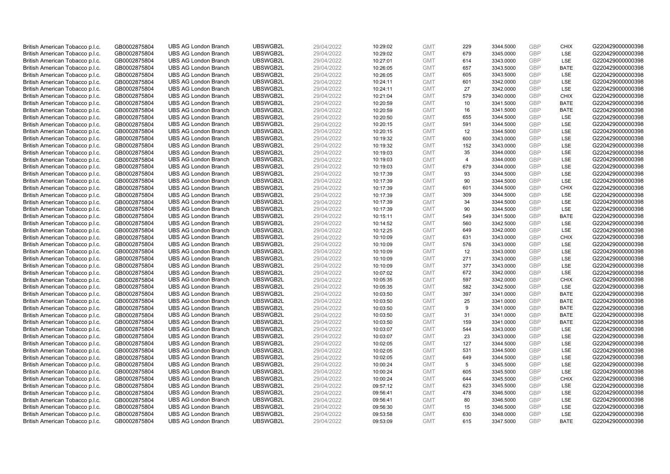| British American Tobacco p.l.c.                                    | GB0002875804                 | <b>UBS AG London Branch</b>                                | UBSWGB2L             | 29/04/2022               | 10:29:02             | <b>GMT</b>               | 229            | 3344.5000              | <b>GBP</b>        | <b>CHIX</b>               | G220429000000398                     |
|--------------------------------------------------------------------|------------------------------|------------------------------------------------------------|----------------------|--------------------------|----------------------|--------------------------|----------------|------------------------|-------------------|---------------------------|--------------------------------------|
| British American Tobacco p.l.c.                                    | GB0002875804                 | <b>UBS AG London Branch</b>                                | UBSWGB2L             | 29/04/2022               | 10:29:02             | <b>GMT</b>               | 679            | 3345.0000              | GBP               | LSE                       | G220429000000398                     |
| British American Tobacco p.l.c.                                    | GB0002875804                 | <b>UBS AG London Branch</b>                                | UBSWGB2L             | 29/04/2022               | 10:27:01             | <b>GMT</b>               | 614            | 3343.0000              | <b>GBP</b>        | LSE                       | G220429000000398                     |
| British American Tobacco p.l.c.                                    | GB0002875804                 | <b>UBS AG London Branch</b>                                | UBSWGB2L             | 29/04/2022               | 10:26:05             | <b>GMT</b>               | 657            | 3343.5000              | GBP               | <b>BATE</b>               | G220429000000398                     |
| British American Tobacco p.l.c.                                    | GB0002875804                 | <b>UBS AG London Branch</b>                                | UBSWGB2L             | 29/04/2022               | 10:26:05             | <b>GMT</b>               | 605            | 3343.5000              | <b>GBP</b>        | <b>LSE</b>                | G220429000000398                     |
| British American Tobacco p.l.c.                                    | GB0002875804                 | <b>UBS AG London Branch</b>                                | UBSWGB2L             | 29/04/2022               | 10:24:11             | <b>GMT</b>               | 601            | 3342.0000              | GBP               | <b>LSE</b>                | G220429000000398                     |
| British American Tobacco p.l.c.                                    | GB0002875804                 | <b>UBS AG London Branch</b>                                | UBSWGB2L             | 29/04/2022               | 10:24:11             | <b>GMT</b>               | 27             | 3342.0000              | <b>GBP</b>        | LSE                       | G220429000000398                     |
| British American Tobacco p.l.c.                                    | GB0002875804                 | <b>UBS AG London Branch</b>                                | UBSWGB2L             | 29/04/2022               | 10:21:04             | <b>GMT</b>               | 579            | 3340.0000              | GBP               | <b>CHIX</b>               | G220429000000398                     |
| British American Tobacco p.l.c.                                    | GB0002875804                 | <b>UBS AG London Branch</b>                                | UBSWGB2L             | 29/04/2022               | 10:20:59             | <b>GMT</b>               | 10             | 3341.5000              | <b>GBP</b>        | <b>BATE</b>               | G220429000000398                     |
| British American Tobacco p.l.c.                                    | GB0002875804                 | <b>UBS AG London Branch</b>                                | UBSWGB2L             | 29/04/2022               | 10:20:59             | <b>GMT</b>               | 16             | 3341.5000              | <b>GBP</b>        | <b>BATE</b>               | G220429000000398                     |
| British American Tobacco p.l.c.                                    | GB0002875804                 | <b>UBS AG London Branch</b>                                | UBSWGB2L             | 29/04/2022               | 10:20:50             | <b>GMT</b>               | 655            | 3344.5000              | <b>GBP</b>        | LSE                       | G220429000000398                     |
| British American Tobacco p.l.c.                                    | GB0002875804                 | <b>UBS AG London Branch</b>                                | UBSWGB2L             | 29/04/2022               | 10:20:15             | <b>GMT</b>               | 591            | 3344.5000              | <b>GBP</b>        | LSE                       | G220429000000398                     |
| British American Tobacco p.l.c.                                    | GB0002875804                 | <b>UBS AG London Branch</b>                                | UBSWGB2L             | 29/04/2022               | 10:20:15             | <b>GMT</b>               | 12             | 3344.5000              | GBP               | LSE                       | G220429000000398                     |
| British American Tobacco p.l.c.                                    | GB0002875804                 | <b>UBS AG London Branch</b>                                | UBSWGB2L             | 29/04/2022               | 10:19:32             | <b>GMT</b>               | 600            | 3343.0000              | <b>GBP</b>        | LSE                       | G220429000000398                     |
| British American Tobacco p.l.c.                                    | GB0002875804                 | <b>UBS AG London Branch</b>                                | UBSWGB2L             | 29/04/2022               | 10:19:32             | <b>GMT</b>               | 152            | 3343.0000              | <b>GBP</b>        | LSE                       | G220429000000398                     |
| British American Tobacco p.l.c.                                    | GB0002875804                 | <b>UBS AG London Branch</b>                                | UBSWGB2L             | 29/04/2022               | 10:19:03             | <b>GMT</b>               | 35             | 3344.0000              | <b>GBP</b>        | LSE                       | G220429000000398                     |
| British American Tobacco p.l.c.                                    | GB0002875804                 | <b>UBS AG London Branch</b>                                | UBSWGB2L             | 29/04/2022               | 10:19:03             | <b>GMT</b>               | $\overline{4}$ | 3344.0000              | GBP               | LSE                       | G220429000000398                     |
| British American Tobacco p.l.c.                                    | GB0002875804                 | <b>UBS AG London Branch</b>                                | UBSWGB2L             | 29/04/2022               | 10:19:03             | <b>GMT</b>               | 679            | 3344.0000              | <b>GBP</b>        | LSE                       | G220429000000398                     |
| British American Tobacco p.l.c.                                    | GB0002875804                 | <b>UBS AG London Branch</b>                                | UBSWGB2L             | 29/04/2022               | 10:17:39             | <b>GMT</b>               | 93             | 3344.5000              | GBP               | LSE                       | G220429000000398                     |
| British American Tobacco p.l.c.                                    | GB0002875804                 | <b>UBS AG London Branch</b>                                | UBSWGB2L             | 29/04/2022               | 10:17:39             | <b>GMT</b>               | 90             | 3344.5000              | <b>GBP</b>        | LSE                       | G220429000000398                     |
| British American Tobacco p.l.c.                                    | GB0002875804                 | <b>UBS AG London Branch</b>                                | UBSWGB2L             | 29/04/2022               | 10:17:39             | <b>GMT</b>               | 601            | 3344.5000              | GBP               | <b>CHIX</b>               | G220429000000398                     |
| British American Tobacco p.l.c.                                    | GB0002875804                 | <b>UBS AG London Branch</b>                                | UBSWGB2L             | 29/04/2022               | 10:17:39             | <b>GMT</b>               | 309            | 3344.5000              | <b>GBP</b>        | <b>LSE</b>                | G220429000000398                     |
| British American Tobacco p.l.c.                                    | GB0002875804                 | <b>UBS AG London Branch</b>                                | UBSWGB2L             | 29/04/2022               | 10:17:39             | <b>GMT</b>               | 34             | 3344.5000              | GBP               | <b>LSE</b>                | G220429000000398                     |
| British American Tobacco p.l.c.                                    | GB0002875804                 | <b>UBS AG London Branch</b>                                | UBSWGB2L             | 29/04/2022               | 10:17:39             | <b>GMT</b>               | 90             | 3344.5000              | <b>GBP</b>        | LSE                       | G220429000000398                     |
| British American Tobacco p.l.c.                                    | GB0002875804                 | <b>UBS AG London Branch</b>                                | UBSWGB2L             | 29/04/2022               | 10:15:11             | <b>GMT</b>               | 549            | 3341.5000              | <b>GBP</b>        | <b>BATE</b>               | G220429000000398                     |
| British American Tobacco p.l.c.                                    | GB0002875804                 | <b>UBS AG London Branch</b>                                | UBSWGB2L             | 29/04/2022               | 10:14:52             | <b>GMT</b>               | 560            | 3342.5000              | GBP               | LSE                       | G220429000000398                     |
| British American Tobacco p.l.c.                                    | GB0002875804                 | <b>UBS AG London Branch</b>                                | UBSWGB2L             | 29/04/2022               | 10:12:25             | <b>GMT</b>               | 649            | 3342.0000              | <b>GBP</b>        | LSE                       | G220429000000398                     |
| British American Tobacco p.l.c.                                    | GB0002875804                 | <b>UBS AG London Branch</b>                                | UBSWGB2L             | 29/04/2022               | 10:10:09             | <b>GMT</b>               | 631            | 3343.0000              | GBP               | <b>CHIX</b>               | G220429000000398                     |
| British American Tobacco p.l.c.                                    | GB0002875804                 | <b>UBS AG London Branch</b>                                | UBSWGB2L             | 29/04/2022               | 10:10:09             | <b>GMT</b>               | 576            | 3343.0000              | <b>GBP</b>        | LSE                       | G220429000000398                     |
| British American Tobacco p.l.c.                                    | GB0002875804                 | <b>UBS AG London Branch</b>                                | UBSWGB2L             | 29/04/2022               | 10:10:09             | <b>GMT</b>               | 12             | 3343.0000              | <b>GBP</b>        | LSE                       | G220429000000398                     |
| British American Tobacco p.l.c.                                    | GB0002875804                 | <b>UBS AG London Branch</b>                                | UBSWGB2L             | 29/04/2022               | 10:10:09             | <b>GMT</b>               | 271            | 3343.0000              | <b>GBP</b>        | LSE                       | G220429000000398                     |
| British American Tobacco p.l.c.                                    | GB0002875804                 | <b>UBS AG London Branch</b>                                | UBSWGB2L             | 29/04/2022               | 10:10:09             | <b>GMT</b>               | 377            | 3343.0000              | GBP               | LSE                       | G220429000000398                     |
| British American Tobacco p.l.c.                                    | GB0002875804                 | <b>UBS AG London Branch</b>                                | UBSWGB2L             | 29/04/2022               | 10:07:02             | <b>GMT</b>               | 672            | 3342.0000              | <b>GBP</b>        | LSE                       | G220429000000398                     |
| British American Tobacco p.l.c.                                    | GB0002875804                 | <b>UBS AG London Branch</b>                                | UBSWGB2L             | 29/04/2022               | 10:05:35             | <b>GMT</b>               | 597            | 3342.0000              | <b>GBP</b>        | <b>CHIX</b>               | G220429000000398                     |
| British American Tobacco p.l.c.                                    | GB0002875804                 | <b>UBS AG London Branch</b>                                | UBSWGB2L             | 29/04/2022               | 10:05:35             | <b>GMT</b>               | 582            | 3342.5000              | <b>GBP</b>        | LSE                       | G220429000000398                     |
| British American Tobacco p.l.c.                                    | GB0002875804                 | <b>UBS AG London Branch</b>                                | UBSWGB2L             | 29/04/2022               | 10:03:50             | <b>GMT</b>               | 397            | 3341.0000              | <b>GBP</b>        | <b>BATE</b>               | G220429000000398                     |
| British American Tobacco p.l.c.                                    | GB0002875804                 | <b>UBS AG London Branch</b>                                | UBSWGB2L             | 29/04/2022               | 10:03:50             | <b>GMT</b>               | 25             | 3341.0000              | <b>GBP</b>        | <b>BATE</b>               | G220429000000398                     |
| British American Tobacco p.l.c.                                    | GB0002875804                 | <b>UBS AG London Branch</b>                                | UBSWGB2L             | 29/04/2022               | 10:03:50             | <b>GMT</b>               | 9              | 3341.0000              | <b>GBP</b>        | <b>BATE</b>               | G220429000000398                     |
| British American Tobacco p.l.c.                                    | GB0002875804                 | <b>UBS AG London Branch</b>                                | UBSWGB2L             | 29/04/2022               | 10:03:50             | <b>GMT</b>               | 31             | 3341.0000              | <b>GBP</b>        | <b>BATE</b>               | G220429000000398                     |
| British American Tobacco p.l.c.                                    | GB0002875804                 | <b>UBS AG London Branch</b>                                | UBSWGB2L             | 29/04/2022               | 10:03:50             | <b>GMT</b>               | 159<br>544     | 3341.0000              | <b>GBP</b><br>GBP | <b>BATE</b><br><b>LSE</b> | G220429000000398                     |
| British American Tobacco p.l.c.                                    | GB0002875804                 | <b>UBS AG London Branch</b><br><b>UBS AG London Branch</b> | UBSWGB2L<br>UBSWGB2L | 29/04/2022               | 10:03:07             | <b>GMT</b><br><b>GMT</b> | 23             | 3343.0000<br>3343.0000 | <b>GBP</b>        | LSE                       | G220429000000398<br>G220429000000398 |
| British American Tobacco p.l.c.                                    | GB0002875804<br>GB0002875804 | <b>UBS AG London Branch</b>                                | UBSWGB2L             | 29/04/2022<br>29/04/2022 | 10:03:07<br>10:02:05 | <b>GMT</b>               | 127            |                        | GBP               | LSE                       | G220429000000398                     |
| British American Tobacco p.l.c.<br>British American Tobacco p.l.c. | GB0002875804                 | <b>UBS AG London Branch</b>                                | UBSWGB2L             | 29/04/2022               | 10:02:05             | <b>GMT</b>               | 531            | 3344.5000<br>3344.5000 | <b>GBP</b>        | LSE                       | G220429000000398                     |
| British American Tobacco p.l.c.                                    | GB0002875804                 | <b>UBS AG London Branch</b>                                | UBSWGB2L             | 29/04/2022               | 10:02:05             | <b>GMT</b>               | 649            | 3344.5000              | <b>GBP</b>        | <b>LSE</b>                | G220429000000398                     |
| British American Tobacco p.l.c.                                    | GB0002875804                 | <b>UBS AG London Branch</b>                                | UBSWGB2L             | 29/04/2022               | 10:00:24             | <b>GMT</b>               | 5              | 3345.5000              | <b>GBP</b>        | LSE                       | G220429000000398                     |
| British American Tobacco p.l.c.                                    | GB0002875804                 | <b>UBS AG London Branch</b>                                | UBSWGB2L             | 29/04/2022               | 10:00:24             | <b>GMT</b>               | 605            | 3345.5000              | <b>GBP</b>        | LSE                       | G220429000000398                     |
| British American Tobacco p.l.c.                                    | GB0002875804                 | <b>UBS AG London Branch</b>                                | UBSWGB2L             | 29/04/2022               | 10:00:24             | <b>GMT</b>               | 644            | 3345.5000              | GBP               | <b>CHIX</b>               | G220429000000398                     |
| British American Tobacco p.l.c.                                    | GB0002875804                 | <b>UBS AG London Branch</b>                                | UBSWGB2L             | 29/04/2022               | 09:57:12             | <b>GMT</b>               | 623            | 3345.5000              | <b>GBP</b>        | LSE                       | G220429000000398                     |
| British American Tobacco p.l.c.                                    | GB0002875804                 | <b>UBS AG London Branch</b>                                | UBSWGB2L             | 29/04/2022               | 09:56:41             | <b>GMT</b>               | 478            | 3346.5000              | GBP               | <b>LSE</b>                | G220429000000398                     |
| British American Tobacco p.l.c.                                    | GB0002875804                 | <b>UBS AG London Branch</b>                                | UBSWGB2L             | 29/04/2022               | 09:56:41             | <b>GMT</b>               | 80             | 3346.5000              | <b>GBP</b>        | LSE                       | G220429000000398                     |
| British American Tobacco p.l.c.                                    | GB0002875804                 | <b>UBS AG London Branch</b>                                | UBSWGB2L             | 29/04/2022               | 09:56:30             | <b>GMT</b>               | 15             | 3346.5000              | <b>GBP</b>        | LSE                       | G220429000000398                     |
| British American Tobacco p.l.c.                                    | GB0002875804                 | <b>UBS AG London Branch</b>                                | UBSWGB2L             | 29/04/2022               | 09:53:58             | <b>GMT</b>               | 630            | 3348.0000              | <b>GBP</b>        | <b>LSE</b>                | G220429000000398                     |
| British American Tobacco p.l.c.                                    | GB0002875804                 | <b>UBS AG London Branch</b>                                | UBSWGB2L             | 29/04/2022               | 09:53:09             | <b>GMT</b>               | 615            | 3347.5000              | GBP               | <b>BATE</b>               | G220429000000398                     |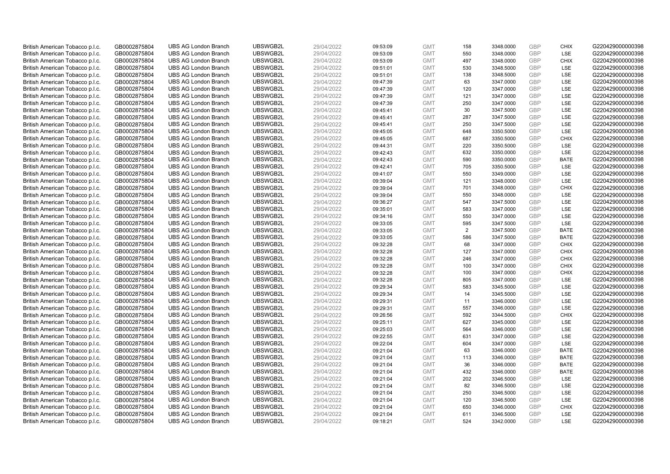| British American Tobacco p.l.c. | GB0002875804 | <b>UBS AG London Branch</b> | UBSWGB2L             | 29/04/2022 | 09:53:09 | <b>GMT</b> | 158 | 3348.0000              | <b>GBP</b>        | <b>CHIX</b> | G220429000000398                     |
|---------------------------------|--------------|-----------------------------|----------------------|------------|----------|------------|-----|------------------------|-------------------|-------------|--------------------------------------|
| British American Tobacco p.l.c. | GB0002875804 | <b>UBS AG London Branch</b> | UBSWGB2L             | 29/04/2022 | 09:53:09 | <b>GMT</b> | 550 | 3348.0000              | <b>GBP</b>        | LSE         | G220429000000398                     |
| British American Tobacco p.l.c. | GB0002875804 | <b>UBS AG London Branch</b> | UBSWGB2L             | 29/04/2022 | 09:53:09 | <b>GMT</b> | 497 | 3348.0000              | <b>GBP</b>        | <b>CHIX</b> | G220429000000398                     |
| British American Tobacco p.l.c. | GB0002875804 | <b>UBS AG London Branch</b> | UBSWGB2L             | 29/04/2022 | 09:51:01 | <b>GMT</b> | 530 | 3348.5000              | <b>GBP</b>        | LSE         | G220429000000398                     |
| British American Tobacco p.l.c. | GB0002875804 | <b>UBS AG London Branch</b> | UBSWGB2L             | 29/04/2022 | 09:51:01 | <b>GMT</b> | 138 | 3348.5000              | <b>GBP</b>        | LSE         | G220429000000398                     |
|                                 |              | <b>UBS AG London Branch</b> | UBSWGB2L             |            |          |            | 63  |                        | <b>GBP</b>        | LSE         | G220429000000398                     |
| British American Tobacco p.l.c. | GB0002875804 |                             |                      | 29/04/2022 | 09:47:39 | <b>GMT</b> |     | 3347.0000              | <b>GBP</b>        |             |                                      |
| British American Tobacco p.l.c. | GB0002875804 | <b>UBS AG London Branch</b> | UBSWGB2L             | 29/04/2022 | 09:47:39 | <b>GMT</b> | 120 | 3347.0000              |                   | LSE         | G220429000000398                     |
| British American Tobacco p.l.c. | GB0002875804 | <b>UBS AG London Branch</b> | UBSWGB2L             | 29/04/2022 | 09:47:39 | <b>GMT</b> | 121 | 3347.0000              | <b>GBP</b>        | LSE         | G220429000000398                     |
| British American Tobacco p.l.c. | GB0002875804 | <b>UBS AG London Branch</b> | UBSWGB2L             | 29/04/2022 | 09:47:39 | <b>GMT</b> | 250 | 3347.0000              | <b>GBP</b>        | LSE         | G220429000000398                     |
| British American Tobacco p.l.c. | GB0002875804 | <b>UBS AG London Branch</b> | UBSWGB2L             | 29/04/2022 | 09:45:41 | <b>GMT</b> | 30  | 3347.5000              | <b>GBP</b>        | LSE         | G220429000000398                     |
| British American Tobacco p.l.c. | GB0002875804 | <b>UBS AG London Branch</b> | UBSWGB2L             | 29/04/2022 | 09:45:41 | <b>GMT</b> | 287 | 3347.5000              | <b>GBP</b>        | LSE         | G220429000000398                     |
| British American Tobacco p.l.c. | GB0002875804 | <b>UBS AG London Branch</b> | UBSWGB2L             | 29/04/2022 | 09:45:41 | <b>GMT</b> | 250 | 3347.5000              | <b>GBP</b>        | LSE         | G220429000000398                     |
| British American Tobacco p.l.c. | GB0002875804 | <b>UBS AG London Branch</b> | UBSWGB2L             | 29/04/2022 | 09:45:05 | <b>GMT</b> | 648 | 3350.5000              | <b>GBP</b>        | LSE         | G220429000000398                     |
| British American Tobacco p.l.c. | GB0002875804 | <b>UBS AG London Branch</b> | UBSWGB2L             | 29/04/2022 | 09:45:05 | <b>GMT</b> | 687 | 3350.5000              | <b>GBP</b>        | <b>CHIX</b> | G220429000000398                     |
| British American Tobacco p.l.c. | GB0002875804 | <b>UBS AG London Branch</b> | UBSWGB2L             | 29/04/2022 | 09:44:31 | <b>GMT</b> | 220 | 3350.5000              | <b>GBP</b>        | LSE         | G220429000000398                     |
| British American Tobacco p.l.c. | GB0002875804 | <b>UBS AG London Branch</b> | UBSWGB2L             | 29/04/2022 | 09:42:43 | <b>GMT</b> | 632 | 3350.0000              | <b>GBP</b>        | LSE         | G220429000000398                     |
| British American Tobacco p.l.c. | GB0002875804 | <b>UBS AG London Branch</b> | UBSWGB2L             | 29/04/2022 | 09:42:43 | <b>GMT</b> | 590 | 3350.0000              | <b>GBP</b>        | <b>BATE</b> | G220429000000398                     |
| British American Tobacco p.l.c. | GB0002875804 | <b>UBS AG London Branch</b> | UBSWGB2L             | 29/04/2022 | 09:42:41 | <b>GMT</b> | 705 | 3350.5000              | <b>GBP</b>        | LSE         | G220429000000398                     |
| British American Tobacco p.l.c. | GB0002875804 | <b>UBS AG London Branch</b> | UBSWGB2L             | 29/04/2022 | 09:41:07 | <b>GMT</b> | 550 | 3349.0000              | <b>GBP</b>        | <b>LSE</b>  | G220429000000398                     |
| British American Tobacco p.l.c. | GB0002875804 | <b>UBS AG London Branch</b> | UBSWGB2L             | 29/04/2022 | 09:39:04 | <b>GMT</b> | 121 | 3348.0000              | <b>GBP</b>        | LSE         | G220429000000398                     |
| British American Tobacco p.l.c. | GB0002875804 | <b>UBS AG London Branch</b> | UBSWGB2L             | 29/04/2022 | 09:39:04 | <b>GMT</b> | 701 | 3348.0000              | <b>GBP</b>        | <b>CHIX</b> | G220429000000398                     |
| British American Tobacco p.l.c. | GB0002875804 | <b>UBS AG London Branch</b> | UBSWGB2L             | 29/04/2022 | 09:39:04 | <b>GMT</b> | 550 | 3348.0000              | <b>GBP</b>        | LSE         | G220429000000398                     |
| British American Tobacco p.l.c. | GB0002875804 | <b>UBS AG London Branch</b> | UBSWGB2L             | 29/04/2022 | 09:36:27 | <b>GMT</b> | 547 | 3347.5000              | <b>GBP</b>        | LSE         | G220429000000398                     |
| British American Tobacco p.l.c. | GB0002875804 | <b>UBS AG London Branch</b> | UBSWGB2L             | 29/04/2022 | 09:35:01 | <b>GMT</b> | 583 | 3347.0000              | <b>GBP</b>        | LSE         | G220429000000398                     |
| British American Tobacco p.l.c. | GB0002875804 | <b>UBS AG London Branch</b> | UBSWGB2L             | 29/04/2022 | 09:34:16 | <b>GMT</b> | 550 | 3347.0000              | <b>GBP</b>        | LSE         | G220429000000398                     |
| British American Tobacco p.l.c. | GB0002875804 | <b>UBS AG London Branch</b> | UBSWGB2L             | 29/04/2022 | 09:33:05 | <b>GMT</b> | 595 | 3347.5000              | <b>GBP</b>        | LSE         | G220429000000398                     |
| British American Tobacco p.l.c. | GB0002875804 | <b>UBS AG London Branch</b> | UBSWGB2L             | 29/04/2022 | 09:33:05 | <b>GMT</b> | 2   | 3347.5000              | <b>GBP</b>        | <b>BATE</b> | G220429000000398                     |
| British American Tobacco p.l.c. | GB0002875804 | <b>UBS AG London Branch</b> | UBSWGB2L             | 29/04/2022 | 09:33:05 | <b>GMT</b> | 586 | 3347.5000              | <b>GBP</b>        | <b>BATE</b> | G220429000000398                     |
| British American Tobacco p.l.c. | GB0002875804 | <b>UBS AG London Branch</b> | UBSWGB2L             | 29/04/2022 | 09:32:28 | <b>GMT</b> | 68  | 3347.0000              | <b>GBP</b>        | <b>CHIX</b> | G220429000000398                     |
| British American Tobacco p.l.c. | GB0002875804 | <b>UBS AG London Branch</b> | UBSWGB2L             | 29/04/2022 | 09:32:28 | <b>GMT</b> | 127 | 3347.0000              | <b>GBP</b>        | <b>CHIX</b> | G220429000000398                     |
| British American Tobacco p.l.c. | GB0002875804 | <b>UBS AG London Branch</b> | UBSWGB2L             | 29/04/2022 | 09:32:28 | <b>GMT</b> | 246 | 3347.0000              | GBP               | <b>CHIX</b> | G220429000000398                     |
| British American Tobacco p.l.c. | GB0002875804 | <b>UBS AG London Branch</b> | UBSWGB2L             | 29/04/2022 | 09:32:28 | <b>GMT</b> | 100 | 3347.0000              | <b>GBP</b>        | <b>CHIX</b> | G220429000000398                     |
| British American Tobacco p.l.c. | GB0002875804 | <b>UBS AG London Branch</b> | UBSWGB2L             | 29/04/2022 | 09:32:28 | <b>GMT</b> | 100 | 3347.0000              | <b>GBP</b>        | <b>CHIX</b> | G220429000000398                     |
| British American Tobacco p.l.c. | GB0002875804 | <b>UBS AG London Branch</b> | UBSWGB2L             | 29/04/2022 | 09:32:28 | <b>GMT</b> | 805 | 3347.0000              | <b>GBP</b>        | LSE         | G220429000000398                     |
| British American Tobacco p.l.c. | GB0002875804 | <b>UBS AG London Branch</b> | UBSWGB2L             | 29/04/2022 | 09:29:34 | <b>GMT</b> | 583 | 3345.5000              | <b>GBP</b>        | LSE         | G220429000000398                     |
| British American Tobacco p.l.c. | GB0002875804 | <b>UBS AG London Branch</b> | UBSWGB2L             | 29/04/2022 | 09:29:34 | <b>GMT</b> | 14  | 3345.5000              | <b>GBP</b>        | LSE         | G220429000000398                     |
| British American Tobacco p.l.c. | GB0002875804 | <b>UBS AG London Branch</b> | UBSWGB2L             | 29/04/2022 | 09:29:31 | <b>GMT</b> | 11  | 3346.0000              | <b>GBP</b>        | LSE         | G220429000000398                     |
| British American Tobacco p.l.c. | GB0002875804 | <b>UBS AG London Branch</b> | UBSWGB2L             | 29/04/2022 | 09:29:31 | <b>GMT</b> | 557 | 3346.0000              | <b>GBP</b>        | LSE         | G220429000000398                     |
| British American Tobacco p.l.c. | GB0002875804 | <b>UBS AG London Branch</b> | UBSWGB2L             | 29/04/2022 | 09:26:56 | <b>GMT</b> | 592 | 3344.5000              | <b>GBP</b>        | <b>CHIX</b> | G220429000000398                     |
| British American Tobacco p.l.c. | GB0002875804 | <b>UBS AG London Branch</b> | UBSWGB2L             | 29/04/2022 | 09:25:11 | <b>GMT</b> | 627 | 3345.0000              | <b>GBP</b>        | LSE         | G220429000000398                     |
| British American Tobacco p.l.c. | GB0002875804 | <b>UBS AG London Branch</b> | UBSWGB2L             | 29/04/2022 | 09:25:03 | <b>GMT</b> | 564 | 3346.0000              | <b>GBP</b>        | LSE         | G220429000000398                     |
| British American Tobacco p.l.c. | GB0002875804 | <b>UBS AG London Branch</b> | UBSWGB2L             | 29/04/2022 | 09:22:55 | <b>GMT</b> | 631 | 3347.0000              | <b>GBP</b>        | LSE         | G220429000000398                     |
| British American Tobacco p.l.c. | GB0002875804 | <b>UBS AG London Branch</b> | UBSWGB2L             | 29/04/2022 | 09:22:04 | <b>GMT</b> | 604 | 3347.0000              | <b>GBP</b>        | LSE         | G220429000000398                     |
| British American Tobacco p.l.c. | GB0002875804 | <b>UBS AG London Branch</b> | UBSWGB2L             | 29/04/2022 | 09:21:04 | <b>GMT</b> | 63  | 3346.0000              | <b>GBP</b>        | <b>BATE</b> | G220429000000398                     |
| British American Tobacco p.l.c. | GB0002875804 | <b>UBS AG London Branch</b> | UBSWGB2L             | 29/04/2022 | 09:21:04 | <b>GMT</b> | 113 | 3346.0000              | <b>GBP</b>        | <b>BATE</b> | G220429000000398                     |
|                                 |              | <b>UBS AG London Branch</b> | UBSWGB2L             | 29/04/2022 |          | <b>GMT</b> | 36  |                        | <b>GBP</b>        | <b>BATE</b> | G220429000000398                     |
| British American Tobacco p.l.c. | GB0002875804 |                             |                      |            | 09:21:04 | <b>GMT</b> | 432 | 3346.0000<br>3346.0000 |                   | <b>BATE</b> |                                      |
| British American Tobacco p.l.c. | GB0002875804 | <b>UBS AG London Branch</b> | UBSWGB2L<br>UBSWGB2L | 29/04/2022 | 09:21:04 |            | 202 |                        | <b>GBP</b><br>GBP | LSE         | G220429000000398<br>G220429000000398 |
| British American Tobacco p.l.c. | GB0002875804 | <b>UBS AG London Branch</b> |                      | 29/04/2022 | 09:21:04 | <b>GMT</b> |     | 3346.5000              |                   |             |                                      |
| British American Tobacco p.l.c. | GB0002875804 | <b>UBS AG London Branch</b> | UBSWGB2L             | 29/04/2022 | 09:21:04 | <b>GMT</b> | 82  | 3346.5000              | <b>GBP</b>        | LSE         | G220429000000398                     |
| British American Tobacco p.l.c. | GB0002875804 | <b>UBS AG London Branch</b> | UBSWGB2L             | 29/04/2022 | 09:21:04 | <b>GMT</b> | 250 | 3346.5000              | <b>GBP</b>        | LSE         | G220429000000398                     |
| British American Tobacco p.l.c. | GB0002875804 | <b>UBS AG London Branch</b> | UBSWGB2L             | 29/04/2022 | 09:21:04 | <b>GMT</b> | 120 | 3346.5000              | <b>GBP</b>        | LSE         | G220429000000398                     |
| British American Tobacco p.l.c. | GB0002875804 | <b>UBS AG London Branch</b> | UBSWGB2L             | 29/04/2022 | 09:21:04 | <b>GMT</b> | 650 | 3346.0000              | <b>GBP</b>        | <b>CHIX</b> | G220429000000398                     |
| British American Tobacco p.l.c. | GB0002875804 | <b>UBS AG London Branch</b> | UBSWGB2L             | 29/04/2022 | 09:21:04 | <b>GMT</b> | 611 | 3346.5000              | <b>GBP</b>        | <b>LSE</b>  | G220429000000398                     |
| British American Tobacco p.l.c. | GB0002875804 | <b>UBS AG London Branch</b> | UBSWGB2L             | 29/04/2022 | 09:18:21 | <b>GMT</b> | 524 | 3342.0000              | GBP               | LSE         | G220429000000398                     |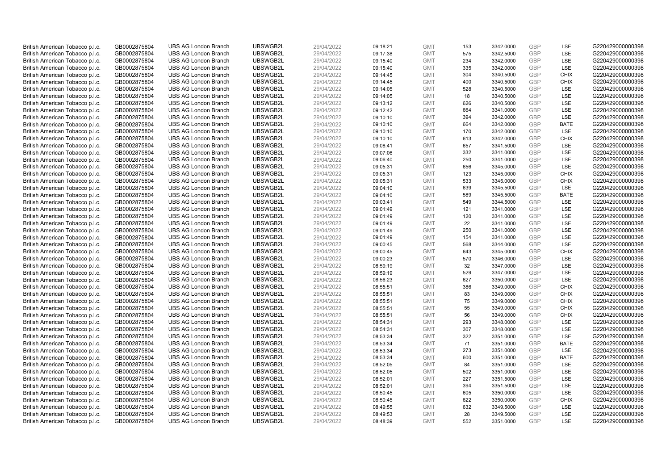| British American Tobacco p.l.c. | GB0002875804 | <b>UBS AG London Branch</b> | UBSWGB2L | 29/04/2022 | 09:18:21 | <b>GMT</b> | 153 | 3342.0000 | <b>GBP</b> | <b>LSE</b>  | G220429000000398 |
|---------------------------------|--------------|-----------------------------|----------|------------|----------|------------|-----|-----------|------------|-------------|------------------|
|                                 |              |                             |          |            |          |            | 575 |           | GBP        | LSE         |                  |
| British American Tobacco p.l.c. | GB0002875804 | <b>UBS AG London Branch</b> | UBSWGB2L | 29/04/2022 | 09:17:38 | <b>GMT</b> |     | 3342.5000 |            |             | G220429000000398 |
| British American Tobacco p.l.c. | GB0002875804 | <b>UBS AG London Branch</b> | UBSWGB2L | 29/04/2022 | 09:15:40 | <b>GMT</b> | 234 | 3342.0000 | <b>GBP</b> | LSE         | G220429000000398 |
| British American Tobacco p.l.c. | GB0002875804 | <b>UBS AG London Branch</b> | UBSWGB2L | 29/04/2022 | 09:15:40 | <b>GMT</b> | 335 | 3342.0000 | <b>GBP</b> | LSE         | G220429000000398 |
| British American Tobacco p.l.c. | GB0002875804 | <b>UBS AG London Branch</b> | UBSWGB2L | 29/04/2022 | 09:14:45 | <b>GMT</b> | 304 | 3340.5000 | <b>GBP</b> | <b>CHIX</b> | G220429000000398 |
| British American Tobacco p.l.c. | GB0002875804 | <b>UBS AG London Branch</b> | UBSWGB2L | 29/04/2022 | 09:14:45 | <b>GMT</b> | 400 | 3340.5000 | <b>GBP</b> | <b>CHIX</b> | G220429000000398 |
| British American Tobacco p.l.c. | GB0002875804 | <b>UBS AG London Branch</b> | UBSWGB2L | 29/04/2022 | 09:14:05 | <b>GMT</b> | 528 | 3340.5000 | <b>GBP</b> | LSE         | G220429000000398 |
| British American Tobacco p.l.c. | GB0002875804 | <b>UBS AG London Branch</b> | UBSWGB2L | 29/04/2022 | 09:14:05 | <b>GMT</b> | 18  | 3340.5000 | <b>GBP</b> | LSE         | G220429000000398 |
| British American Tobacco p.l.c. | GB0002875804 | <b>UBS AG London Branch</b> | UBSWGB2L | 29/04/2022 | 09:13:12 | <b>GMT</b> | 626 | 3340.5000 | <b>GBP</b> | LSE         | G220429000000398 |
| British American Tobacco p.l.c. | GB0002875804 | <b>UBS AG London Branch</b> | UBSWGB2L | 29/04/2022 | 09:12:42 | <b>GMT</b> | 664 | 3341.0000 | <b>GBP</b> | LSE         | G220429000000398 |
| British American Tobacco p.l.c. | GB0002875804 | <b>UBS AG London Branch</b> | UBSWGB2L | 29/04/2022 | 09:10:10 | <b>GMT</b> | 394 | 3342.0000 | <b>GBP</b> | <b>LSE</b>  | G220429000000398 |
| British American Tobacco p.l.c. | GB0002875804 | <b>UBS AG London Branch</b> | UBSWGB2L | 29/04/2022 | 09:10:10 | <b>GMT</b> | 664 | 3342.0000 | <b>GBP</b> | <b>BATE</b> | G220429000000398 |
| British American Tobacco p.l.c. | GB0002875804 | <b>UBS AG London Branch</b> | UBSWGB2L | 29/04/2022 | 09:10:10 | <b>GMT</b> | 170 | 3342.0000 | <b>GBP</b> | LSE         | G220429000000398 |
| British American Tobacco p.l.c. | GB0002875804 | <b>UBS AG London Branch</b> | UBSWGB2L | 29/04/2022 | 09:10:10 | <b>GMT</b> | 613 | 3342.0000 | <b>GBP</b> | <b>CHIX</b> | G220429000000398 |
| British American Tobacco p.l.c. | GB0002875804 | <b>UBS AG London Branch</b> | UBSWGB2L | 29/04/2022 | 09:08:41 | <b>GMT</b> | 657 | 3341.5000 | GBP        | <b>LSE</b>  | G220429000000398 |
| British American Tobacco p.l.c. | GB0002875804 | <b>UBS AG London Branch</b> | UBSWGB2L | 29/04/2022 | 09:07:06 | <b>GMT</b> | 332 | 3341.0000 | <b>GBP</b> | LSE         | G220429000000398 |
|                                 |              | <b>UBS AG London Branch</b> |          |            |          | <b>GMT</b> |     |           | <b>GBP</b> |             |                  |
| British American Tobacco p.l.c. | GB0002875804 |                             | UBSWGB2L | 29/04/2022 | 09:06:40 |            | 250 | 3341.0000 |            | LSE         | G220429000000398 |
| British American Tobacco p.l.c. | GB0002875804 | <b>UBS AG London Branch</b> | UBSWGB2L | 29/04/2022 | 09:05:31 | <b>GMT</b> | 656 | 3345.0000 | GBP        | LSE         | G220429000000398 |
| British American Tobacco p.l.c. | GB0002875804 | <b>UBS AG London Branch</b> | UBSWGB2L | 29/04/2022 | 09:05:31 | <b>GMT</b> | 123 | 3345.0000 | <b>GBP</b> | <b>CHIX</b> | G220429000000398 |
| British American Tobacco p.l.c. | GB0002875804 | <b>UBS AG London Branch</b> | UBSWGB2L | 29/04/2022 | 09:05:31 | <b>GMT</b> | 533 | 3345.0000 | <b>GBP</b> | <b>CHIX</b> | G220429000000398 |
| British American Tobacco p.l.c. | GB0002875804 | <b>UBS AG London Branch</b> | UBSWGB2L | 29/04/2022 | 09:04:10 | <b>GMT</b> | 639 | 3345.5000 | <b>GBP</b> | LSE         | G220429000000398 |
| British American Tobacco p.l.c. | GB0002875804 | <b>UBS AG London Branch</b> | UBSWGB2L | 29/04/2022 | 09:04:10 | <b>GMT</b> | 589 | 3345.5000 | <b>GBP</b> | <b>BATE</b> | G220429000000398 |
| British American Tobacco p.l.c. | GB0002875804 | <b>UBS AG London Branch</b> | UBSWGB2L | 29/04/2022 | 09:03:41 | <b>GMT</b> | 549 | 3344.5000 | <b>GBP</b> | LSE         | G220429000000398 |
| British American Tobacco p.l.c. | GB0002875804 | <b>UBS AG London Branch</b> | UBSWGB2L | 29/04/2022 | 09:01:49 | <b>GMT</b> | 121 | 3341.0000 | <b>GBP</b> | <b>LSE</b>  | G220429000000398 |
| British American Tobacco p.l.c. | GB0002875804 | <b>UBS AG London Branch</b> | UBSWGB2L | 29/04/2022 | 09:01:49 | <b>GMT</b> | 120 | 3341.0000 | <b>GBP</b> | LSE         | G220429000000398 |
| British American Tobacco p.l.c. | GB0002875804 | <b>UBS AG London Branch</b> | UBSWGB2L | 29/04/2022 | 09:01:49 | <b>GMT</b> | 22  | 3341.0000 | <b>GBP</b> | LSE         | G220429000000398 |
| British American Tobacco p.l.c. | GB0002875804 | <b>UBS AG London Branch</b> | UBSWGB2L | 29/04/2022 | 09:01:49 | <b>GMT</b> | 250 | 3341.0000 | <b>GBP</b> | LSE         | G220429000000398 |
| British American Tobacco p.l.c. | GB0002875804 | <b>UBS AG London Branch</b> | UBSWGB2L | 29/04/2022 | 09:01:49 | <b>GMT</b> | 154 | 3341.0000 | <b>GBP</b> | LSE         | G220429000000398 |
| British American Tobacco p.l.c. | GB0002875804 | <b>UBS AG London Branch</b> | UBSWGB2L | 29/04/2022 | 09:00:45 | <b>GMT</b> | 568 | 3344.0000 | <b>GBP</b> | LSE         | G220429000000398 |
| British American Tobacco p.l.c. | GB0002875804 | <b>UBS AG London Branch</b> | UBSWGB2L | 29/04/2022 | 09:00:45 | <b>GMT</b> | 643 | 3345.0000 | <b>GBP</b> | <b>CHIX</b> | G220429000000398 |
| British American Tobacco p.l.c. | GB0002875804 | <b>UBS AG London Branch</b> | UBSWGB2L | 29/04/2022 | 09:00:23 | <b>GMT</b> | 570 | 3346.0000 | <b>GBP</b> | <b>LSE</b>  | G220429000000398 |
| British American Tobacco p.l.c. | GB0002875804 | <b>UBS AG London Branch</b> | UBSWGB2L | 29/04/2022 | 08:59:19 | <b>GMT</b> | 32  | 3347.0000 | <b>GBP</b> | <b>LSE</b>  | G220429000000398 |
| British American Tobacco p.l.c. | GB0002875804 | <b>UBS AG London Branch</b> | UBSWGB2L | 29/04/2022 | 08:59:19 | <b>GMT</b> | 529 | 3347.0000 | <b>GBP</b> | LSE         | G220429000000398 |
| British American Tobacco p.l.c. | GB0002875804 | <b>UBS AG London Branch</b> | UBSWGB2L | 29/04/2022 | 08:56:23 | <b>GMT</b> | 627 | 3350.0000 | <b>GBP</b> | LSE         | G220429000000398 |
| British American Tobacco p.l.c. | GB0002875804 | <b>UBS AG London Branch</b> | UBSWGB2L | 29/04/2022 | 08:55:51 | <b>GMT</b> | 386 | 3349.0000 | <b>GBP</b> | <b>CHIX</b> | G220429000000398 |
| British American Tobacco p.l.c. | GB0002875804 | <b>UBS AG London Branch</b> | UBSWGB2L | 29/04/2022 | 08:55:51 | <b>GMT</b> | 83  | 3349.0000 | <b>GBP</b> | <b>CHIX</b> | G220429000000398 |
| British American Tobacco p.l.c. | GB0002875804 | <b>UBS AG London Branch</b> | UBSWGB2L | 29/04/2022 | 08:55:51 | <b>GMT</b> | 75  | 3349.0000 | GBP        | <b>CHIX</b> | G220429000000398 |
| British American Tobacco p.l.c. | GB0002875804 | <b>UBS AG London Branch</b> | UBSWGB2L | 29/04/2022 | 08:55:51 | <b>GMT</b> | 55  | 3349.0000 | <b>GBP</b> | <b>CHIX</b> | G220429000000398 |
| British American Tobacco p.l.c. | GB0002875804 | <b>UBS AG London Branch</b> | UBSWGB2L | 29/04/2022 | 08:55:51 | <b>GMT</b> | 56  | 3349.0000 | <b>GBP</b> | <b>CHIX</b> | G220429000000398 |
| British American Tobacco p.l.c. | GB0002875804 | <b>UBS AG London Branch</b> | UBSWGB2L | 29/04/2022 | 08:54:31 | <b>GMT</b> | 293 | 3348.0000 | <b>GBP</b> | <b>LSE</b>  | G220429000000398 |
| British American Tobacco p.l.c. | GB0002875804 | <b>UBS AG London Branch</b> | UBSWGB2L | 29/04/2022 | 08:54:31 | <b>GMT</b> | 307 | 3348.0000 | <b>GBP</b> | LSE         | G220429000000398 |
|                                 |              | <b>UBS AG London Branch</b> | UBSWGB2L |            |          |            |     |           | <b>GBP</b> | LSE         | G220429000000398 |
| British American Tobacco p.l.c. | GB0002875804 |                             |          | 29/04/2022 | 08:53:34 | <b>GMT</b> | 322 | 3351.0000 | <b>GBP</b> |             |                  |
| British American Tobacco p.l.c. | GB0002875804 | <b>UBS AG London Branch</b> | UBSWGB2L | 29/04/2022 | 08:53:34 | <b>GMT</b> | 71  | 3351.0000 |            | <b>BATE</b> | G220429000000398 |
| British American Tobacco p.l.c. | GB0002875804 | <b>UBS AG London Branch</b> | UBSWGB2L | 29/04/2022 | 08:53:34 | <b>GMT</b> | 273 | 3351.0000 | <b>GBP</b> | LSE         | G220429000000398 |
| British American Tobacco p.l.c. | GB0002875804 | <b>UBS AG London Branch</b> | UBSWGB2L | 29/04/2022 | 08:53:34 | <b>GMT</b> | 600 | 3351.0000 | GBP        | <b>BATE</b> | G220429000000398 |
| British American Tobacco p.l.c. | GB0002875804 | <b>UBS AG London Branch</b> | UBSWGB2L | 29/04/2022 | 08:52:05 | <b>GMT</b> | 84  | 3351.0000 | <b>GBP</b> | LSE         | G220429000000398 |
| British American Tobacco p.l.c. | GB0002875804 | <b>UBS AG London Branch</b> | UBSWGB2L | 29/04/2022 | 08:52:05 | <b>GMT</b> | 502 | 3351.0000 | <b>GBP</b> | LSE         | G220429000000398 |
| British American Tobacco p.l.c. | GB0002875804 | <b>UBS AG London Branch</b> | UBSWGB2L | 29/04/2022 | 08:52:01 | <b>GMT</b> | 227 | 3351.5000 | <b>GBP</b> | LSE         | G220429000000398 |
| British American Tobacco p.l.c. | GB0002875804 | <b>UBS AG London Branch</b> | UBSWGB2L | 29/04/2022 | 08:52:01 | <b>GMT</b> | 394 | 3351.5000 | <b>GBP</b> | LSE         | G220429000000398 |
| British American Tobacco p.l.c. | GB0002875804 | <b>UBS AG London Branch</b> | UBSWGB2L | 29/04/2022 | 08:50:45 | <b>GMT</b> | 605 | 3350.0000 | GBP        | <b>LSE</b>  | G220429000000398 |
| British American Tobacco p.l.c. | GB0002875804 | <b>UBS AG London Branch</b> | UBSWGB2L | 29/04/2022 | 08:50:45 | <b>GMT</b> | 622 | 3350.0000 | <b>GBP</b> | <b>CHIX</b> | G220429000000398 |
| British American Tobacco p.l.c. | GB0002875804 | <b>UBS AG London Branch</b> | UBSWGB2L | 29/04/2022 | 08:49:55 | <b>GMT</b> | 632 | 3349.5000 | <b>GBP</b> | LSE         | G220429000000398 |
| British American Tobacco p.l.c. | GB0002875804 | <b>UBS AG London Branch</b> | UBSWGB2L | 29/04/2022 | 08:49:53 | <b>GMT</b> | 28  | 3349.5000 | <b>GBP</b> | <b>LSE</b>  | G220429000000398 |
| British American Tobacco p.l.c. | GB0002875804 | <b>UBS AG London Branch</b> | UBSWGB2L | 29/04/2022 | 08:48:39 | <b>GMT</b> | 552 | 3351.0000 | GBP        | <b>LSE</b>  | G220429000000398 |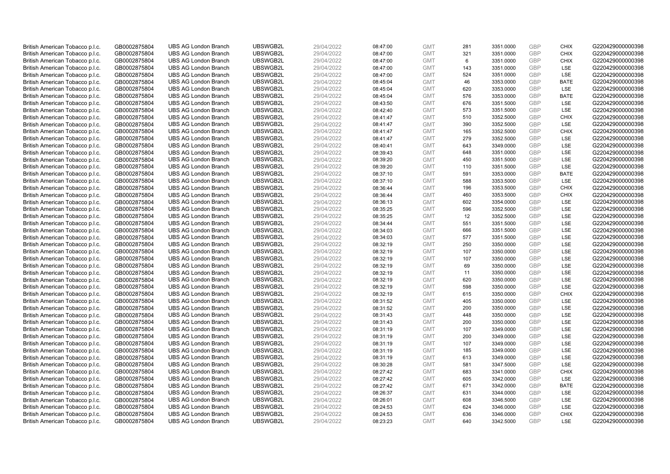|                                 | British American Tobacco p.l.c.                                    | GB0002875804 | <b>UBS AG London Branch</b> | UBSWGB2L | 29/04/2022 | 08:47:00 | <b>GMT</b> | 281 | 3351.0000 | <b>GBP</b>               | <b>CHIX</b> | G220429000000398 |
|---------------------------------|--------------------------------------------------------------------|--------------|-----------------------------|----------|------------|----------|------------|-----|-----------|--------------------------|-------------|------------------|
|                                 | British American Tobacco p.l.c.                                    | GB0002875804 | <b>UBS AG London Branch</b> | UBSWGB2L | 29/04/2022 | 08:47:00 | <b>GMT</b> | 321 | 3351.0000 | <b>GBP</b>               | <b>CHIX</b> | G220429000000398 |
|                                 | British American Tobacco p.l.c.                                    | GB0002875804 | <b>UBS AG London Branch</b> | UBSWGB2L | 29/04/2022 | 08:47:00 | <b>GMT</b> | 6   | 3351.0000 | <b>GBP</b>               | <b>CHIX</b> | G220429000000398 |
|                                 | British American Tobacco p.l.c.                                    | GB0002875804 | <b>UBS AG London Branch</b> | UBSWGB2L | 29/04/2022 | 08:47:00 | <b>GMT</b> | 143 | 3351.0000 | <b>GBP</b>               | LSE         | G220429000000398 |
|                                 | British American Tobacco p.l.c.                                    | GB0002875804 | <b>UBS AG London Branch</b> | UBSWGB2L | 29/04/2022 | 08:47:00 | <b>GMT</b> | 524 | 3351.0000 | <b>GBP</b>               | LSE         | G220429000000398 |
|                                 | British American Tobacco p.l.c.                                    | GB0002875804 | <b>UBS AG London Branch</b> | UBSWGB2L | 29/04/2022 | 08:45:04 | <b>GMT</b> | 46  | 3353.0000 | <b>GBP</b>               | <b>BATE</b> | G220429000000398 |
|                                 | British American Tobacco p.l.c.                                    | GB0002875804 | <b>UBS AG London Branch</b> | UBSWGB2L | 29/04/2022 | 08:45:04 | <b>GMT</b> | 620 | 3353.0000 | <b>GBP</b>               | LSE         | G220429000000398 |
|                                 | British American Tobacco p.l.c.                                    | GB0002875804 | <b>UBS AG London Branch</b> | UBSWGB2L | 29/04/2022 | 08:45:04 | <b>GMT</b> | 576 | 3353.0000 | <b>GBP</b>               | <b>BATE</b> | G220429000000398 |
|                                 | British American Tobacco p.l.c.                                    | GB0002875804 | <b>UBS AG London Branch</b> | UBSWGB2L | 29/04/2022 | 08:43:50 | <b>GMT</b> | 676 | 3351.5000 | <b>GBP</b>               | LSE         | G220429000000398 |
|                                 | British American Tobacco p.l.c.                                    | GB0002875804 | <b>UBS AG London Branch</b> | UBSWGB2L | 29/04/2022 | 08:42:40 | <b>GMT</b> | 573 | 3351.5000 | <b>GBP</b>               | LSE         | G220429000000398 |
|                                 | British American Tobacco p.l.c.                                    | GB0002875804 | <b>UBS AG London Branch</b> | UBSWGB2L | 29/04/2022 | 08:41:47 | <b>GMT</b> | 510 | 3352.5000 | <b>GBP</b>               | <b>CHIX</b> | G220429000000398 |
|                                 | British American Tobacco p.l.c.                                    | GB0002875804 | <b>UBS AG London Branch</b> | UBSWGB2L | 29/04/2022 | 08:41:47 | <b>GMT</b> | 390 | 3352.5000 | <b>GBP</b>               | LSE         | G220429000000398 |
|                                 | British American Tobacco p.l.c.                                    | GB0002875804 | <b>UBS AG London Branch</b> | UBSWGB2L | 29/04/2022 | 08:41:47 | <b>GMT</b> | 165 | 3352.5000 | <b>GBP</b>               | <b>CHIX</b> | G220429000000398 |
|                                 | British American Tobacco p.l.c.                                    | GB0002875804 | <b>UBS AG London Branch</b> | UBSWGB2L | 29/04/2022 | 08:41:47 | <b>GMT</b> | 279 | 3352.5000 | <b>GBP</b>               | LSE         | G220429000000398 |
|                                 | British American Tobacco p.l.c.                                    | GB0002875804 | <b>UBS AG London Branch</b> | UBSWGB2L | 29/04/2022 | 08:40:41 | <b>GMT</b> | 643 | 3349.0000 | GBP                      | LSE         | G220429000000398 |
|                                 | British American Tobacco p.l.c.                                    | GB0002875804 | <b>UBS AG London Branch</b> | UBSWGB2L | 29/04/2022 | 08:39:43 | <b>GMT</b> | 648 | 3351.0000 | <b>GBP</b>               | LSE         | G220429000000398 |
|                                 |                                                                    | GB0002875804 | <b>UBS AG London Branch</b> | UBSWGB2L | 29/04/2022 | 08:39:20 | <b>GMT</b> | 450 | 3351.5000 | <b>GBP</b>               | LSE         | G220429000000398 |
|                                 | British American Tobacco p.l.c.<br>British American Tobacco p.l.c. | GB0002875804 | <b>UBS AG London Branch</b> | UBSWGB2L | 29/04/2022 |          | <b>GMT</b> | 110 | 3351.5000 | <b>GBP</b>               | LSE         | G220429000000398 |
|                                 |                                                                    |              |                             | UBSWGB2L |            | 08:39:20 |            |     |           |                          | <b>BATE</b> |                  |
|                                 | British American Tobacco p.l.c.                                    | GB0002875804 | <b>UBS AG London Branch</b> |          | 29/04/2022 | 08:37:10 | <b>GMT</b> | 591 | 3353.0000 | <b>GBP</b><br><b>GBP</b> |             | G220429000000398 |
|                                 | British American Tobacco p.l.c.                                    | GB0002875804 | <b>UBS AG London Branch</b> | UBSWGB2L | 29/04/2022 | 08:37:10 | <b>GMT</b> | 588 | 3353.5000 |                          | LSE         | G220429000000398 |
|                                 | British American Tobacco p.l.c.                                    | GB0002875804 | <b>UBS AG London Branch</b> | UBSWGB2L | 29/04/2022 | 08:36:44 | <b>GMT</b> | 196 | 3353.5000 | <b>GBP</b>               | <b>CHIX</b> | G220429000000398 |
|                                 | British American Tobacco p.l.c.                                    | GB0002875804 | <b>UBS AG London Branch</b> | UBSWGB2L | 29/04/2022 | 08:36:44 | <b>GMT</b> | 460 | 3353.5000 | <b>GBP</b>               | <b>CHIX</b> | G220429000000398 |
|                                 | British American Tobacco p.l.c.                                    | GB0002875804 | <b>UBS AG London Branch</b> | UBSWGB2L | 29/04/2022 | 08:36:13 | <b>GMT</b> | 602 | 3354.0000 | <b>GBP</b>               | LSE         | G220429000000398 |
|                                 | British American Tobacco p.l.c.                                    | GB0002875804 | <b>UBS AG London Branch</b> | UBSWGB2L | 29/04/2022 | 08:35:25 | <b>GMT</b> | 596 | 3352.5000 | <b>GBP</b>               | LSE         | G220429000000398 |
|                                 | British American Tobacco p.l.c.                                    | GB0002875804 | <b>UBS AG London Branch</b> | UBSWGB2L | 29/04/2022 | 08:35:25 | <b>GMT</b> | 12  | 3352.5000 | <b>GBP</b>               | LSE         | G220429000000398 |
|                                 | British American Tobacco p.l.c.                                    | GB0002875804 | <b>UBS AG London Branch</b> | UBSWGB2L | 29/04/2022 | 08:34:44 | <b>GMT</b> | 551 | 3351.5000 | <b>GBP</b>               | LSE         | G220429000000398 |
|                                 | British American Tobacco p.l.c.                                    | GB0002875804 | <b>UBS AG London Branch</b> | UBSWGB2L | 29/04/2022 | 08:34:03 | <b>GMT</b> | 666 | 3351.5000 | <b>GBP</b>               | LSE         | G220429000000398 |
|                                 | British American Tobacco p.l.c.                                    | GB0002875804 | <b>UBS AG London Branch</b> | UBSWGB2L | 29/04/2022 | 08:34:03 | <b>GMT</b> | 577 | 3351.5000 | <b>GBP</b>               | LSE         | G220429000000398 |
|                                 | British American Tobacco p.l.c.                                    | GB0002875804 | <b>UBS AG London Branch</b> | UBSWGB2L | 29/04/2022 | 08:32:19 | <b>GMT</b> | 250 | 3350.0000 | <b>GBP</b>               | LSE         | G220429000000398 |
|                                 | British American Tobacco p.l.c.                                    | GB0002875804 | <b>UBS AG London Branch</b> | UBSWGB2L | 29/04/2022 | 08:32:19 | <b>GMT</b> | 107 | 3350.0000 | <b>GBP</b>               | LSE         | G220429000000398 |
|                                 | British American Tobacco p.l.c.                                    | GB0002875804 | <b>UBS AG London Branch</b> | UBSWGB2L | 29/04/2022 | 08:32:19 | <b>GMT</b> | 107 | 3350.0000 | GBP                      | LSE         | G220429000000398 |
|                                 | British American Tobacco p.l.c.                                    | GB0002875804 | <b>UBS AG London Branch</b> | UBSWGB2L | 29/04/2022 | 08:32:19 | <b>GMT</b> | 69  | 3350.0000 | <b>GBP</b>               | LSE         | G220429000000398 |
|                                 | British American Tobacco p.l.c.                                    | GB0002875804 | <b>UBS AG London Branch</b> | UBSWGB2L | 29/04/2022 | 08:32:19 | <b>GMT</b> | 11  | 3350.0000 | <b>GBP</b>               | LSE         | G220429000000398 |
|                                 | British American Tobacco p.l.c.                                    | GB0002875804 | <b>UBS AG London Branch</b> | UBSWGB2L | 29/04/2022 | 08:32:19 | <b>GMT</b> | 620 | 3350.0000 | <b>GBP</b>               | LSE         | G220429000000398 |
|                                 | British American Tobacco p.l.c.                                    | GB0002875804 | <b>UBS AG London Branch</b> | UBSWGB2L | 29/04/2022 | 08:32:19 | <b>GMT</b> | 598 | 3350.0000 | <b>GBP</b>               | LSE         | G220429000000398 |
|                                 | British American Tobacco p.l.c.                                    | GB0002875804 | <b>UBS AG London Branch</b> | UBSWGB2L | 29/04/2022 | 08:32:19 | <b>GMT</b> | 615 | 3350.0000 | <b>GBP</b>               | <b>CHIX</b> | G220429000000398 |
|                                 | British American Tobacco p.l.c.                                    | GB0002875804 | <b>UBS AG London Branch</b> | UBSWGB2L | 29/04/2022 | 08:31:52 | <b>GMT</b> | 405 | 3350.0000 | <b>GBP</b>               | LSE         | G220429000000398 |
|                                 | British American Tobacco p.l.c.                                    | GB0002875804 | <b>UBS AG London Branch</b> | UBSWGB2L | 29/04/2022 | 08:31:52 | <b>GMT</b> | 200 | 3350.0000 | <b>GBP</b>               | LSE         | G220429000000398 |
|                                 | British American Tobacco p.l.c.                                    | GB0002875804 | <b>UBS AG London Branch</b> | UBSWGB2L | 29/04/2022 | 08:31:43 | <b>GMT</b> | 448 | 3350.0000 | <b>GBP</b>               | LSE         | G220429000000398 |
|                                 | British American Tobacco p.l.c.                                    | GB0002875804 | <b>UBS AG London Branch</b> | UBSWGB2L | 29/04/2022 | 08:31:43 | <b>GMT</b> | 200 | 3350.0000 | <b>GBP</b>               | LSE         | G220429000000398 |
|                                 | British American Tobacco p.l.c.                                    | GB0002875804 | <b>UBS AG London Branch</b> | UBSWGB2L | 29/04/2022 | 08:31:19 | <b>GMT</b> | 107 | 3349.0000 | <b>GBP</b>               | LSE         | G220429000000398 |
|                                 | British American Tobacco p.l.c.                                    | GB0002875804 | <b>UBS AG London Branch</b> | UBSWGB2L | 29/04/2022 | 08:31:19 | <b>GMT</b> | 200 | 3349.0000 | <b>GBP</b>               | LSE         | G220429000000398 |
|                                 | British American Tobacco p.l.c.                                    | GB0002875804 | <b>UBS AG London Branch</b> | UBSWGB2L | 29/04/2022 | 08:31:19 | <b>GMT</b> | 107 | 3349.0000 | <b>GBP</b>               | LSE         | G220429000000398 |
|                                 | British American Tobacco p.l.c.                                    | GB0002875804 | <b>UBS AG London Branch</b> | UBSWGB2L | 29/04/2022 | 08:31:19 | <b>GMT</b> | 185 | 3349.0000 | GBP                      | LSE         | G220429000000398 |
|                                 | British American Tobacco p.l.c.                                    | GB0002875804 | <b>UBS AG London Branch</b> | UBSWGB2L | 29/04/2022 | 08:31:19 | <b>GMT</b> | 613 | 3349.0000 | <b>GBP</b>               | LSE         | G220429000000398 |
|                                 | British American Tobacco p.l.c.                                    | GB0002875804 | <b>UBS AG London Branch</b> | UBSWGB2L | 29/04/2022 | 08:30:28 | <b>GMT</b> | 581 | 3347.5000 | <b>GBP</b>               | LSE         | G220429000000398 |
|                                 | British American Tobacco p.l.c.                                    | GB0002875804 | <b>UBS AG London Branch</b> | UBSWGB2L | 29/04/2022 | 08:27:42 | <b>GMT</b> | 683 | 3341.0000 | <b>GBP</b>               | <b>CHIX</b> | G220429000000398 |
|                                 | British American Tobacco p.l.c.                                    | GB0002875804 | <b>UBS AG London Branch</b> | UBSWGB2L | 29/04/2022 | 08:27:42 | <b>GMT</b> | 605 | 3342.0000 | <b>GBP</b>               | LSE         | G220429000000398 |
|                                 | British American Tobacco p.l.c.                                    | GB0002875804 | <b>UBS AG London Branch</b> | UBSWGB2L | 29/04/2022 | 08:27:42 | <b>GMT</b> | 671 | 3342.0000 | <b>GBP</b>               | <b>BATE</b> | G220429000000398 |
|                                 | British American Tobacco p.l.c.                                    | GB0002875804 | <b>UBS AG London Branch</b> | UBSWGB2L | 29/04/2022 | 08:26:37 | <b>GMT</b> | 631 | 3344.0000 | <b>GBP</b>               | LSE         | G220429000000398 |
|                                 | British American Tobacco p.l.c.                                    | GB0002875804 | <b>UBS AG London Branch</b> | UBSWGB2L | 29/04/2022 | 08:26:01 | <b>GMT</b> | 608 | 3346.5000 | <b>GBP</b>               | LSE         | G220429000000398 |
|                                 |                                                                    | GB0002875804 | <b>UBS AG London Branch</b> | UBSWGB2L | 29/04/2022 | 08:24:53 | <b>GMT</b> | 624 | 3346.0000 | <b>GBP</b>               | LSE         | G220429000000398 |
| British American Tobacco p.l.c. |                                                                    |              |                             |          |            |          |            |     |           |                          |             |                  |
|                                 | British American Tobacco p.l.c.                                    | GB0002875804 | <b>UBS AG London Branch</b> | UBSWGB2L | 29/04/2022 | 08:24:53 | <b>GMT</b> | 636 | 3346.0000 | <b>GBP</b>               | <b>CHIX</b> | G220429000000398 |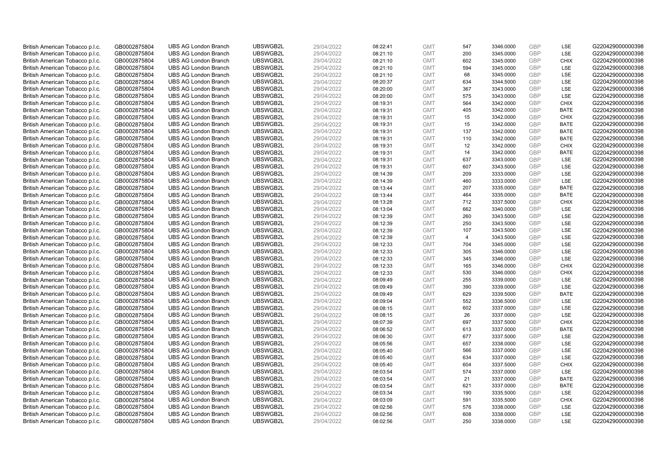| British American Tobacco p.l.c. | GB0002875804 | <b>UBS AG London Branch</b> | UBSWGB2L | 29/04/2022 | 08:22:41 | <b>GMT</b> | 547            | 3346.0000 | <b>GBP</b>               | LSE         | G220429000000398 |
|---------------------------------|--------------|-----------------------------|----------|------------|----------|------------|----------------|-----------|--------------------------|-------------|------------------|
| British American Tobacco p.l.c. | GB0002875804 | <b>UBS AG London Branch</b> | UBSWGB2L | 29/04/2022 | 08:21:10 | <b>GMT</b> | 200            | 3345.0000 | GBP                      | LSE         | G220429000000398 |
| British American Tobacco p.l.c. | GB0002875804 | <b>UBS AG London Branch</b> | UBSWGB2L | 29/04/2022 | 08:21:10 | <b>GMT</b> | 602            | 3345.0000 | <b>GBP</b>               | <b>CHIX</b> | G220429000000398 |
| British American Tobacco p.l.c. | GB0002875804 | <b>UBS AG London Branch</b> | UBSWGB2L | 29/04/2022 | 08:21:10 | <b>GMT</b> | 594            | 3345.0000 | <b>GBP</b>               | LSE         | G220429000000398 |
|                                 |              |                             |          |            |          | <b>GMT</b> | 68             |           | <b>GBP</b>               | LSE         |                  |
| British American Tobacco p.l.c. | GB0002875804 | <b>UBS AG London Branch</b> | UBSWGB2L | 29/04/2022 | 08:21:10 |            |                | 3345.0000 |                          |             | G220429000000398 |
| British American Tobacco p.l.c. | GB0002875804 | <b>UBS AG London Branch</b> | UBSWGB2L | 29/04/2022 | 08:20:37 | <b>GMT</b> | 634            | 3344.5000 | <b>GBP</b>               | LSE         | G220429000000398 |
| British American Tobacco p.l.c. | GB0002875804 | <b>UBS AG London Branch</b> | UBSWGB2L | 29/04/2022 | 08:20:00 | <b>GMT</b> | 367            | 3343.0000 | <b>GBP</b>               | LSE         | G220429000000398 |
| British American Tobacco p.l.c. | GB0002875804 | <b>UBS AG London Branch</b> | UBSWGB2L | 29/04/2022 | 08:20:00 | <b>GMT</b> | 575            | 3343.0000 | <b>GBP</b>               | LSE         | G220429000000398 |
| British American Tobacco p.l.c. | GB0002875804 | <b>UBS AG London Branch</b> | UBSWGB2L | 29/04/2022 | 08:19:31 | <b>GMT</b> | 564            | 3342.0000 | <b>GBP</b>               | <b>CHIX</b> | G220429000000398 |
| British American Tobacco p.l.c. | GB0002875804 | <b>UBS AG London Branch</b> | UBSWGB2L | 29/04/2022 | 08:19:31 | <b>GMT</b> | 405            | 3342.0000 | <b>GBP</b>               | <b>BATE</b> | G220429000000398 |
| British American Tobacco p.l.c. | GB0002875804 | <b>UBS AG London Branch</b> | UBSWGB2L | 29/04/2022 | 08:19:31 | <b>GMT</b> | 15             | 3342.0000 | <b>GBP</b>               | <b>CHIX</b> | G220429000000398 |
| British American Tobacco p.l.c. | GB0002875804 | <b>UBS AG London Branch</b> | UBSWGB2L | 29/04/2022 | 08:19:31 | <b>GMT</b> | 15             | 3342.0000 | <b>GBP</b>               | <b>BATE</b> | G220429000000398 |
| British American Tobacco p.l.c. | GB0002875804 | <b>UBS AG London Branch</b> | UBSWGB2L | 29/04/2022 | 08:19:31 | <b>GMT</b> | 137            | 3342.0000 | <b>GBP</b>               | <b>BATE</b> | G220429000000398 |
| British American Tobacco p.l.c. | GB0002875804 | <b>UBS AG London Branch</b> | UBSWGB2L | 29/04/2022 | 08:19:31 | <b>GMT</b> | 110            | 3342.0000 | <b>GBP</b>               | <b>BATE</b> | G220429000000398 |
| British American Tobacco p.l.c. | GB0002875804 | <b>UBS AG London Branch</b> | UBSWGB2L | 29/04/2022 | 08:19:31 | <b>GMT</b> | 12             | 3342.0000 | <b>GBP</b>               | <b>CHIX</b> | G220429000000398 |
| British American Tobacco p.l.c. | GB0002875804 | <b>UBS AG London Branch</b> | UBSWGB2L | 29/04/2022 | 08:19:31 | <b>GMT</b> | 14             | 3342.0000 | <b>GBP</b>               | <b>BATE</b> | G220429000000398 |
| British American Tobacco p.l.c. | GB0002875804 | <b>UBS AG London Branch</b> | UBSWGB2L | 29/04/2022 | 08:19:31 | <b>GMT</b> | 637            | 3343.0000 | <b>GBP</b>               | LSE         | G220429000000398 |
| British American Tobacco p.l.c. | GB0002875804 | <b>UBS AG London Branch</b> | UBSWGB2L | 29/04/2022 | 08:19:31 | <b>GMT</b> | 607            | 3343.5000 | GBP                      | LSE         | G220429000000398 |
| British American Tobacco p.l.c. | GB0002875804 | <b>UBS AG London Branch</b> | UBSWGB2L | 29/04/2022 | 08:14:39 | <b>GMT</b> | 209            | 3333.0000 | <b>GBP</b>               | <b>LSE</b>  | G220429000000398 |
| British American Tobacco p.l.c. | GB0002875804 | <b>UBS AG London Branch</b> | UBSWGB2L | 29/04/2022 | 08:14:39 | <b>GMT</b> | 460            | 3333.0000 | <b>GBP</b>               | LSE         | G220429000000398 |
| British American Tobacco p.l.c. | GB0002875804 | <b>UBS AG London Branch</b> | UBSWGB2L | 29/04/2022 | 08:13:44 | <b>GMT</b> | 207            | 3335.0000 | <b>GBP</b>               | <b>BATE</b> | G220429000000398 |
| British American Tobacco p.l.c. | GB0002875804 | <b>UBS AG London Branch</b> | UBSWGB2L | 29/04/2022 | 08:13:44 | <b>GMT</b> | 464            | 3335.0000 | <b>GBP</b>               | <b>BATE</b> | G220429000000398 |
| British American Tobacco p.l.c. | GB0002875804 | <b>UBS AG London Branch</b> | UBSWGB2L | 29/04/2022 | 08:13:28 | <b>GMT</b> | 712            | 3337.5000 | <b>GBP</b>               | <b>CHIX</b> | G220429000000398 |
| British American Tobacco p.l.c. | GB0002875804 | <b>UBS AG London Branch</b> | UBSWGB2L | 29/04/2022 | 08:13:04 | <b>GMT</b> | 662            | 3340.0000 | <b>GBP</b>               | <b>LSE</b>  | G220429000000398 |
| British American Tobacco p.l.c. | GB0002875804 | <b>UBS AG London Branch</b> | UBSWGB2L | 29/04/2022 | 08:12:39 | <b>GMT</b> | 260            | 3343.5000 | <b>GBP</b>               | LSE         | G220429000000398 |
| British American Tobacco p.l.c. | GB0002875804 | <b>UBS AG London Branch</b> | UBSWGB2L | 29/04/2022 | 08:12:39 | <b>GMT</b> | 250            | 3343.5000 | <b>GBP</b>               | LSE         | G220429000000398 |
| British American Tobacco p.l.c. | GB0002875804 | <b>UBS AG London Branch</b> | UBSWGB2L | 29/04/2022 | 08:12:39 | <b>GMT</b> | 107            | 3343.5000 | <b>GBP</b>               | LSE         | G220429000000398 |
| British American Tobacco p.l.c. | GB0002875804 | <b>UBS AG London Branch</b> | UBSWGB2L | 29/04/2022 | 08:12:39 | <b>GMT</b> | $\overline{4}$ | 3343.5000 | <b>GBP</b>               | <b>LSE</b>  | G220429000000398 |
| British American Tobacco p.l.c. | GB0002875804 | <b>UBS AG London Branch</b> | UBSWGB2L | 29/04/2022 | 08:12:33 | <b>GMT</b> | 704            | 3345.0000 | <b>GBP</b>               | LSE         | G220429000000398 |
| British American Tobacco p.l.c. | GB0002875804 | <b>UBS AG London Branch</b> | UBSWGB2L | 29/04/2022 | 08:12:33 | <b>GMT</b> | 305            | 3346.0000 | <b>GBP</b>               | LSE         | G220429000000398 |
| British American Tobacco p.l.c. | GB0002875804 | <b>UBS AG London Branch</b> | UBSWGB2L | 29/04/2022 | 08:12:33 | <b>GMT</b> | 345            | 3346.0000 | GBP                      | LSE         | G220429000000398 |
| British American Tobacco p.l.c. | GB0002875804 | <b>UBS AG London Branch</b> | UBSWGB2L | 29/04/2022 | 08:12:33 | <b>GMT</b> | 165            | 3346.0000 | <b>GBP</b>               | <b>CHIX</b> | G220429000000398 |
| British American Tobacco p.l.c. | GB0002875804 | <b>UBS AG London Branch</b> | UBSWGB2L | 29/04/2022 | 08:12:33 | <b>GMT</b> | 530            | 3346.0000 | <b>GBP</b>               | <b>CHIX</b> | G220429000000398 |
| British American Tobacco p.l.c. | GB0002875804 | <b>UBS AG London Branch</b> | UBSWGB2L | 29/04/2022 | 08:09:49 | <b>GMT</b> | 255            | 3339.0000 | <b>GBP</b>               | LSE         | G220429000000398 |
| British American Tobacco p.l.c. | GB0002875804 | <b>UBS AG London Branch</b> | UBSWGB2L | 29/04/2022 | 08:09:49 | <b>GMT</b> | 390            | 3339.0000 | <b>GBP</b>               | LSE         | G220429000000398 |
| British American Tobacco p.l.c. | GB0002875804 | <b>UBS AG London Branch</b> | UBSWGB2L | 29/04/2022 | 08:09:49 | <b>GMT</b> | 629            | 3339.5000 | <b>GBP</b>               | <b>BATE</b> | G220429000000398 |
| British American Tobacco p.l.c. | GB0002875804 | <b>UBS AG London Branch</b> | UBSWGB2L | 29/04/2022 | 08:09:04 | <b>GMT</b> | 552            | 3336.5000 | <b>GBP</b>               | <b>LSE</b>  | G220429000000398 |
| British American Tobacco p.l.c. | GB0002875804 | <b>UBS AG London Branch</b> | UBSWGB2L | 29/04/2022 | 08:08:15 | <b>GMT</b> | 602            | 3337.0000 | <b>GBP</b>               | LSE         | G220429000000398 |
|                                 |              | <b>UBS AG London Branch</b> | UBSWGB2L | 29/04/2022 |          | <b>GMT</b> | 26             | 3337.0000 | <b>GBP</b>               | LSE         | G220429000000398 |
| British American Tobacco p.l.c. | GB0002875804 |                             |          |            | 08:08:15 |            |                |           |                          |             |                  |
| British American Tobacco p.l.c. | GB0002875804 | <b>UBS AG London Branch</b> | UBSWGB2L | 29/04/2022 | 08:07:39 | <b>GMT</b> | 697<br>613     | 3337.5000 | <b>GBP</b><br><b>GBP</b> | <b>CHIX</b> | G220429000000398 |
| British American Tobacco p.l.c. | GB0002875804 | <b>UBS AG London Branch</b> | UBSWGB2L | 29/04/2022 | 08:06:52 | <b>GMT</b> |                | 3337.0000 |                          | <b>BATE</b> | G220429000000398 |
| British American Tobacco p.l.c. | GB0002875804 | <b>UBS AG London Branch</b> | UBSWGB2L | 29/04/2022 | 08:06:30 | <b>GMT</b> | 677            | 3337.5000 | <b>GBP</b>               | LSE         | G220429000000398 |
| British American Tobacco p.l.c. | GB0002875804 | <b>UBS AG London Branch</b> | UBSWGB2L | 29/04/2022 | 08:05:56 | <b>GMT</b> | 657            | 3338.0000 | <b>GBP</b>               | LSE         | G220429000000398 |
| British American Tobacco p.l.c. | GB0002875804 | <b>UBS AG London Branch</b> | UBSWGB2L | 29/04/2022 | 08:05:40 | <b>GMT</b> | 566            | 3337.0000 | GBP                      | LSE         | G220429000000398 |
| British American Tobacco p.l.c. | GB0002875804 | <b>UBS AG London Branch</b> | UBSWGB2L | 29/04/2022 | 08:05:40 | <b>GMT</b> | 634            | 3337.0000 | <b>GBP</b>               | <b>LSE</b>  | G220429000000398 |
| British American Tobacco p.l.c. | GB0002875804 | <b>UBS AG London Branch</b> | UBSWGB2L | 29/04/2022 | 08:05:40 | <b>GMT</b> | 604            | 3337.5000 | <b>GBP</b>               | <b>CHIX</b> | G220429000000398 |
| British American Tobacco p.l.c. | GB0002875804 | <b>UBS AG London Branch</b> | UBSWGB2L | 29/04/2022 | 08:03:54 | <b>GMT</b> | 574            | 3337.0000 | <b>GBP</b>               | <b>LSE</b>  | G220429000000398 |
| British American Tobacco p.l.c. | GB0002875804 | <b>UBS AG London Branch</b> | UBSWGB2L | 29/04/2022 | 08:03:54 | <b>GMT</b> | 21             | 3337.0000 | <b>GBP</b>               | <b>BATE</b> | G220429000000398 |
| British American Tobacco p.l.c. | GB0002875804 | <b>UBS AG London Branch</b> | UBSWGB2L | 29/04/2022 | 08:03:54 | <b>GMT</b> | 621            | 3337.0000 | <b>GBP</b>               | <b>BATE</b> | G220429000000398 |
| British American Tobacco p.l.c. | GB0002875804 | <b>UBS AG London Branch</b> | UBSWGB2L | 29/04/2022 | 08:03:34 | <b>GMT</b> | 190            | 3335.5000 | <b>GBP</b>               | <b>LSE</b>  | G220429000000398 |
| British American Tobacco p.l.c. | GB0002875804 | <b>UBS AG London Branch</b> | UBSWGB2L | 29/04/2022 | 08:03:09 | <b>GMT</b> | 591            | 3335.5000 | <b>GBP</b>               | <b>CHIX</b> | G220429000000398 |
| British American Tobacco p.l.c. | GB0002875804 | <b>UBS AG London Branch</b> | UBSWGB2L | 29/04/2022 | 08:02:56 | <b>GMT</b> | 576            | 3338.0000 | <b>GBP</b>               | LSE         | G220429000000398 |
| British American Tobacco p.l.c. | GB0002875804 | <b>UBS AG London Branch</b> | UBSWGB2L | 29/04/2022 | 08:02:56 | <b>GMT</b> | 608            | 3338.0000 | <b>GBP</b>               | LSE         | G220429000000398 |
| British American Tobacco p.l.c. | GB0002875804 | <b>UBS AG London Branch</b> | UBSWGB2L | 29/04/2022 | 08:02:56 | <b>GMT</b> | 250            | 3338.0000 | GBP                      | <b>LSE</b>  | G220429000000398 |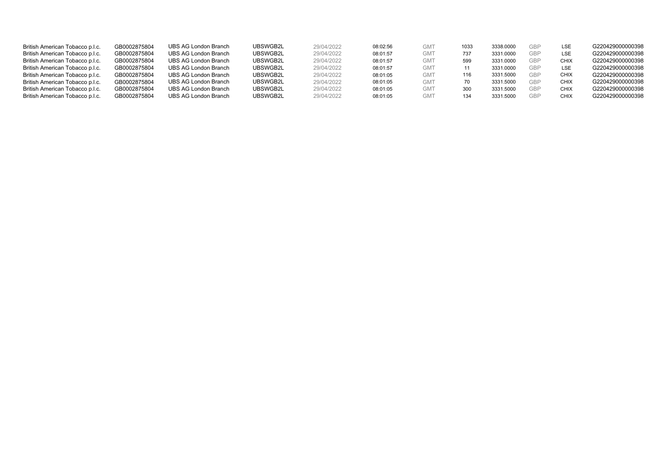| British American Tobacco p.l.c. | GB0002875804 | UBS AG London Branch | UBSWGB2L | 29/04/2022 | 08:02:56 | <b>GM</b>       | 1033 | 3338.0000 | <b>GBP</b> | LSE         | G220429000000398 |
|---------------------------------|--------------|----------------------|----------|------------|----------|-----------------|------|-----------|------------|-------------|------------------|
| British American Tobacco p.l.c. | GB0002875804 | UBS AG London Branch | UBSWGB2L | 29/04/2022 | 08:01:57 | GM <sub>1</sub> | 737  | 3331.0000 | <b>GBP</b> | LSE         | G220429000000398 |
| British American Tobacco p.l.c. | GB0002875804 | UBS AG London Branch | UBSWGB2L | 29/04/2022 | 08:01:57 | <b>GMT</b>      | 599  | 3331.0000 | GBP        | CHIX        | G220429000000398 |
| British American Tobacco p.l.c. | GB0002875804 | UBS AG London Branch | UBSWGB2L | 29/04/2022 | 08:01:57 | <b>GMT</b>      |      | 3331.0000 | GBP        | LSE         | G220429000000398 |
| British American Tobacco p.l.c. | GB0002875804 | UBS AG London Branch | UBSWGB2L | 29/04/2022 | 08:01:05 | GM <sub>1</sub> | 116  | 3331.5000 | GBP        | <b>CHIX</b> | G220429000000398 |
| British American Tobacco p.l.c. | GB0002875804 | UBS AG London Branch | UBSWGB2L | 29/04/2022 | 08:01:05 | <b>GMT</b>      |      | 3331.5000 | GBP        | <b>CHIX</b> | G220429000000398 |
| British American Tobacco p.l.c. | GB0002875804 | UBS AG London Branch | UBSWGB2L | 29/04/2022 | 08:01:05 | <b>GMT</b>      | 30C  | 3331.5000 | <b>GBP</b> | <b>CHIX</b> | G220429000000398 |
| British American Tobacco p.l.c. | GB0002875804 | UBS AG London Branch | UBSWGB2L | 29/04/2022 | 08:01:05 | <b>GMT</b>      | 134  | 3331.5000 | GBP        | <b>CHIX</b> | G220429000000398 |